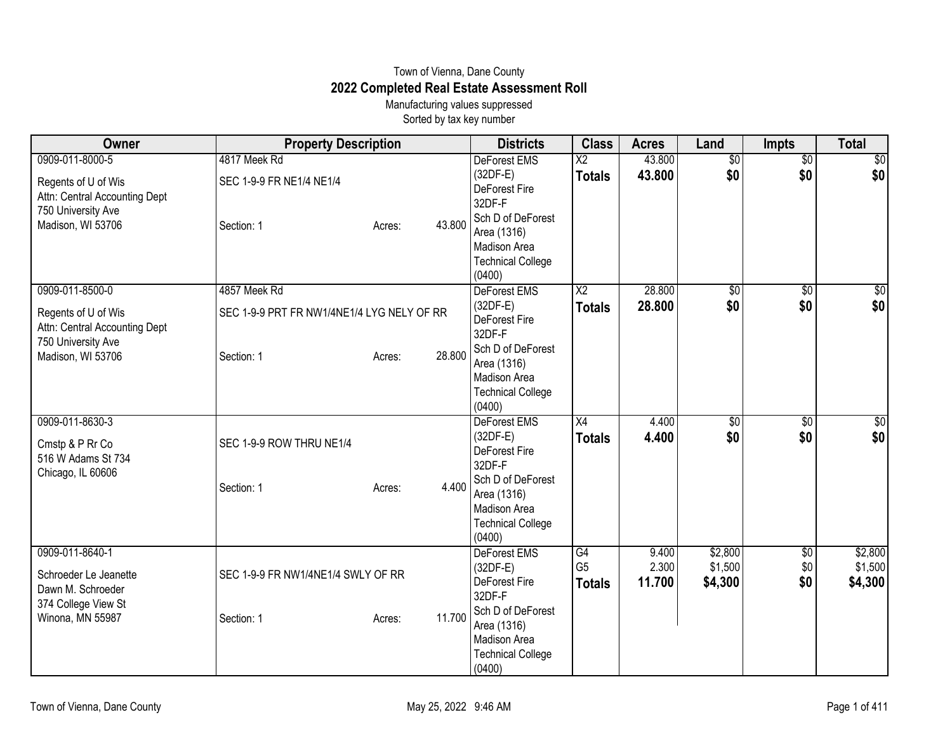## Town of Vienna, Dane County **2022 Completed Real Estate Assessment Roll**

Manufacturing values suppressed Sorted by tax key number

| 0909-011-8000-5<br>4817 Meek Rd<br>$\overline{\text{X2}}$<br>43.800<br>$\overline{50}$<br>DeForest EMS<br>$\overline{50}$<br>\$0<br>\$0<br>\$0 <br>(32DF-E)<br>43.800<br><b>Totals</b><br>SEC 1-9-9 FR NE1/4 NE1/4<br>Regents of U of Wis<br>DeForest Fire<br>Attn: Central Accounting Dept<br>32DF-F<br>750 University Ave<br>Sch D of DeForest<br>Madison, WI 53706<br>43.800<br>Section: 1<br>Acres:<br>Area (1316)<br>Madison Area<br><b>Technical College</b><br>(0400)<br>28.800<br>0909-011-8500-0<br>4857 Meek Rd<br>DeForest EMS<br>$\overline{\text{X2}}$<br>\$0<br>\$0<br>\$0<br>\$0<br>$(32DF-E)$<br>28.800<br><b>Totals</b><br>SEC 1-9-9 PRT FR NW1/4NE1/4 LYG NELY OF RR<br>Regents of U of Wis<br>DeForest Fire<br>Attn: Central Accounting Dept<br>32DF-F<br>750 University Ave<br>Sch D of DeForest<br>28,800<br>Madison, WI 53706<br>Section: 1<br>Acres:<br>Area (1316)<br>Madison Area<br><b>Technical College</b><br>(0400)<br>0909-011-8630-3<br>DeForest EMS<br>X4<br>4.400<br>\$0<br>\$0<br>\$0<br>\$0<br>$(32DF-E)$<br>4.400<br><b>Totals</b><br>SEC 1-9-9 ROW THRU NE1/4<br>Cmstp & P Rr Co<br>DeForest Fire<br>516 W Adams St 734<br>32DF-F<br>Chicago, IL 60606<br>Sch D of DeForest<br>4.400<br>Section: 1<br>Acres:<br>Area (1316)<br>Madison Area<br><b>Technical College</b><br>(0400)<br>\$2,800<br>0909-011-8640-1<br>DeForest EMS<br>9.400<br>G4<br>$\sqrt{6}$<br>G <sub>5</sub><br>2.300<br>\$1,500<br>\$0<br>$(32DF-E)$<br>SEC 1-9-9 FR NW1/4NE1/4 SWLY OF RR<br>Schroeder Le Jeanette<br>\$0<br>DeForest Fire<br>11.700<br>\$4,300<br><b>Totals</b><br>Dawn M. Schroeder<br>32DF-F<br>374 College View St<br>Sch D of DeForest<br>Winona, MN 55987<br>11.700<br>Section: 1<br>Acres:<br>Area (1316)<br>Madison Area<br><b>Technical College</b><br>(0400) | Owner | <b>Property Description</b> | <b>Districts</b> | <b>Class</b> | <b>Acres</b> | Land | <b>Impts</b> | <b>Total</b>    |
|-------------------------------------------------------------------------------------------------------------------------------------------------------------------------------------------------------------------------------------------------------------------------------------------------------------------------------------------------------------------------------------------------------------------------------------------------------------------------------------------------------------------------------------------------------------------------------------------------------------------------------------------------------------------------------------------------------------------------------------------------------------------------------------------------------------------------------------------------------------------------------------------------------------------------------------------------------------------------------------------------------------------------------------------------------------------------------------------------------------------------------------------------------------------------------------------------------------------------------------------------------------------------------------------------------------------------------------------------------------------------------------------------------------------------------------------------------------------------------------------------------------------------------------------------------------------------------------------------------------------------------------------------------------------------------------------------------------------------------------------------------------------------------------------------|-------|-----------------------------|------------------|--------------|--------------|------|--------------|-----------------|
|                                                                                                                                                                                                                                                                                                                                                                                                                                                                                                                                                                                                                                                                                                                                                                                                                                                                                                                                                                                                                                                                                                                                                                                                                                                                                                                                                                                                                                                                                                                                                                                                                                                                                                                                                                                                 |       |                             |                  |              |              |      |              | $\overline{30}$ |
|                                                                                                                                                                                                                                                                                                                                                                                                                                                                                                                                                                                                                                                                                                                                                                                                                                                                                                                                                                                                                                                                                                                                                                                                                                                                                                                                                                                                                                                                                                                                                                                                                                                                                                                                                                                                 |       |                             |                  |              |              |      |              |                 |
|                                                                                                                                                                                                                                                                                                                                                                                                                                                                                                                                                                                                                                                                                                                                                                                                                                                                                                                                                                                                                                                                                                                                                                                                                                                                                                                                                                                                                                                                                                                                                                                                                                                                                                                                                                                                 |       |                             |                  |              |              |      |              |                 |
|                                                                                                                                                                                                                                                                                                                                                                                                                                                                                                                                                                                                                                                                                                                                                                                                                                                                                                                                                                                                                                                                                                                                                                                                                                                                                                                                                                                                                                                                                                                                                                                                                                                                                                                                                                                                 |       |                             |                  |              |              |      |              |                 |
| $\overline{50}$<br>\$0                                                                                                                                                                                                                                                                                                                                                                                                                                                                                                                                                                                                                                                                                                                                                                                                                                                                                                                                                                                                                                                                                                                                                                                                                                                                                                                                                                                                                                                                                                                                                                                                                                                                                                                                                                          |       |                             |                  |              |              |      |              |                 |
|                                                                                                                                                                                                                                                                                                                                                                                                                                                                                                                                                                                                                                                                                                                                                                                                                                                                                                                                                                                                                                                                                                                                                                                                                                                                                                                                                                                                                                                                                                                                                                                                                                                                                                                                                                                                 |       |                             |                  |              |              |      |              |                 |
|                                                                                                                                                                                                                                                                                                                                                                                                                                                                                                                                                                                                                                                                                                                                                                                                                                                                                                                                                                                                                                                                                                                                                                                                                                                                                                                                                                                                                                                                                                                                                                                                                                                                                                                                                                                                 |       |                             |                  |              |              |      |              |                 |
|                                                                                                                                                                                                                                                                                                                                                                                                                                                                                                                                                                                                                                                                                                                                                                                                                                                                                                                                                                                                                                                                                                                                                                                                                                                                                                                                                                                                                                                                                                                                                                                                                                                                                                                                                                                                 |       |                             |                  |              |              |      |              |                 |
|                                                                                                                                                                                                                                                                                                                                                                                                                                                                                                                                                                                                                                                                                                                                                                                                                                                                                                                                                                                                                                                                                                                                                                                                                                                                                                                                                                                                                                                                                                                                                                                                                                                                                                                                                                                                 |       |                             |                  |              |              |      |              |                 |
|                                                                                                                                                                                                                                                                                                                                                                                                                                                                                                                                                                                                                                                                                                                                                                                                                                                                                                                                                                                                                                                                                                                                                                                                                                                                                                                                                                                                                                                                                                                                                                                                                                                                                                                                                                                                 |       |                             |                  |              |              |      |              |                 |
|                                                                                                                                                                                                                                                                                                                                                                                                                                                                                                                                                                                                                                                                                                                                                                                                                                                                                                                                                                                                                                                                                                                                                                                                                                                                                                                                                                                                                                                                                                                                                                                                                                                                                                                                                                                                 |       |                             |                  |              |              |      |              |                 |
|                                                                                                                                                                                                                                                                                                                                                                                                                                                                                                                                                                                                                                                                                                                                                                                                                                                                                                                                                                                                                                                                                                                                                                                                                                                                                                                                                                                                                                                                                                                                                                                                                                                                                                                                                                                                 |       |                             |                  |              |              |      |              |                 |
| \$0<br>\$0 <br>\$2,800<br>\$1,500<br>\$4,300                                                                                                                                                                                                                                                                                                                                                                                                                                                                                                                                                                                                                                                                                                                                                                                                                                                                                                                                                                                                                                                                                                                                                                                                                                                                                                                                                                                                                                                                                                                                                                                                                                                                                                                                                    |       |                             |                  |              |              |      |              |                 |
|                                                                                                                                                                                                                                                                                                                                                                                                                                                                                                                                                                                                                                                                                                                                                                                                                                                                                                                                                                                                                                                                                                                                                                                                                                                                                                                                                                                                                                                                                                                                                                                                                                                                                                                                                                                                 |       |                             |                  |              |              |      |              |                 |
|                                                                                                                                                                                                                                                                                                                                                                                                                                                                                                                                                                                                                                                                                                                                                                                                                                                                                                                                                                                                                                                                                                                                                                                                                                                                                                                                                                                                                                                                                                                                                                                                                                                                                                                                                                                                 |       |                             |                  |              |              |      |              |                 |
|                                                                                                                                                                                                                                                                                                                                                                                                                                                                                                                                                                                                                                                                                                                                                                                                                                                                                                                                                                                                                                                                                                                                                                                                                                                                                                                                                                                                                                                                                                                                                                                                                                                                                                                                                                                                 |       |                             |                  |              |              |      |              |                 |
|                                                                                                                                                                                                                                                                                                                                                                                                                                                                                                                                                                                                                                                                                                                                                                                                                                                                                                                                                                                                                                                                                                                                                                                                                                                                                                                                                                                                                                                                                                                                                                                                                                                                                                                                                                                                 |       |                             |                  |              |              |      |              |                 |
|                                                                                                                                                                                                                                                                                                                                                                                                                                                                                                                                                                                                                                                                                                                                                                                                                                                                                                                                                                                                                                                                                                                                                                                                                                                                                                                                                                                                                                                                                                                                                                                                                                                                                                                                                                                                 |       |                             |                  |              |              |      |              |                 |
|                                                                                                                                                                                                                                                                                                                                                                                                                                                                                                                                                                                                                                                                                                                                                                                                                                                                                                                                                                                                                                                                                                                                                                                                                                                                                                                                                                                                                                                                                                                                                                                                                                                                                                                                                                                                 |       |                             |                  |              |              |      |              |                 |
|                                                                                                                                                                                                                                                                                                                                                                                                                                                                                                                                                                                                                                                                                                                                                                                                                                                                                                                                                                                                                                                                                                                                                                                                                                                                                                                                                                                                                                                                                                                                                                                                                                                                                                                                                                                                 |       |                             |                  |              |              |      |              |                 |
|                                                                                                                                                                                                                                                                                                                                                                                                                                                                                                                                                                                                                                                                                                                                                                                                                                                                                                                                                                                                                                                                                                                                                                                                                                                                                                                                                                                                                                                                                                                                                                                                                                                                                                                                                                                                 |       |                             |                  |              |              |      |              |                 |
|                                                                                                                                                                                                                                                                                                                                                                                                                                                                                                                                                                                                                                                                                                                                                                                                                                                                                                                                                                                                                                                                                                                                                                                                                                                                                                                                                                                                                                                                                                                                                                                                                                                                                                                                                                                                 |       |                             |                  |              |              |      |              |                 |
|                                                                                                                                                                                                                                                                                                                                                                                                                                                                                                                                                                                                                                                                                                                                                                                                                                                                                                                                                                                                                                                                                                                                                                                                                                                                                                                                                                                                                                                                                                                                                                                                                                                                                                                                                                                                 |       |                             |                  |              |              |      |              |                 |
|                                                                                                                                                                                                                                                                                                                                                                                                                                                                                                                                                                                                                                                                                                                                                                                                                                                                                                                                                                                                                                                                                                                                                                                                                                                                                                                                                                                                                                                                                                                                                                                                                                                                                                                                                                                                 |       |                             |                  |              |              |      |              |                 |
|                                                                                                                                                                                                                                                                                                                                                                                                                                                                                                                                                                                                                                                                                                                                                                                                                                                                                                                                                                                                                                                                                                                                                                                                                                                                                                                                                                                                                                                                                                                                                                                                                                                                                                                                                                                                 |       |                             |                  |              |              |      |              |                 |
|                                                                                                                                                                                                                                                                                                                                                                                                                                                                                                                                                                                                                                                                                                                                                                                                                                                                                                                                                                                                                                                                                                                                                                                                                                                                                                                                                                                                                                                                                                                                                                                                                                                                                                                                                                                                 |       |                             |                  |              |              |      |              |                 |
|                                                                                                                                                                                                                                                                                                                                                                                                                                                                                                                                                                                                                                                                                                                                                                                                                                                                                                                                                                                                                                                                                                                                                                                                                                                                                                                                                                                                                                                                                                                                                                                                                                                                                                                                                                                                 |       |                             |                  |              |              |      |              |                 |
|                                                                                                                                                                                                                                                                                                                                                                                                                                                                                                                                                                                                                                                                                                                                                                                                                                                                                                                                                                                                                                                                                                                                                                                                                                                                                                                                                                                                                                                                                                                                                                                                                                                                                                                                                                                                 |       |                             |                  |              |              |      |              |                 |
|                                                                                                                                                                                                                                                                                                                                                                                                                                                                                                                                                                                                                                                                                                                                                                                                                                                                                                                                                                                                                                                                                                                                                                                                                                                                                                                                                                                                                                                                                                                                                                                                                                                                                                                                                                                                 |       |                             |                  |              |              |      |              |                 |
|                                                                                                                                                                                                                                                                                                                                                                                                                                                                                                                                                                                                                                                                                                                                                                                                                                                                                                                                                                                                                                                                                                                                                                                                                                                                                                                                                                                                                                                                                                                                                                                                                                                                                                                                                                                                 |       |                             |                  |              |              |      |              |                 |
|                                                                                                                                                                                                                                                                                                                                                                                                                                                                                                                                                                                                                                                                                                                                                                                                                                                                                                                                                                                                                                                                                                                                                                                                                                                                                                                                                                                                                                                                                                                                                                                                                                                                                                                                                                                                 |       |                             |                  |              |              |      |              |                 |
|                                                                                                                                                                                                                                                                                                                                                                                                                                                                                                                                                                                                                                                                                                                                                                                                                                                                                                                                                                                                                                                                                                                                                                                                                                                                                                                                                                                                                                                                                                                                                                                                                                                                                                                                                                                                 |       |                             |                  |              |              |      |              |                 |
|                                                                                                                                                                                                                                                                                                                                                                                                                                                                                                                                                                                                                                                                                                                                                                                                                                                                                                                                                                                                                                                                                                                                                                                                                                                                                                                                                                                                                                                                                                                                                                                                                                                                                                                                                                                                 |       |                             |                  |              |              |      |              |                 |
|                                                                                                                                                                                                                                                                                                                                                                                                                                                                                                                                                                                                                                                                                                                                                                                                                                                                                                                                                                                                                                                                                                                                                                                                                                                                                                                                                                                                                                                                                                                                                                                                                                                                                                                                                                                                 |       |                             |                  |              |              |      |              |                 |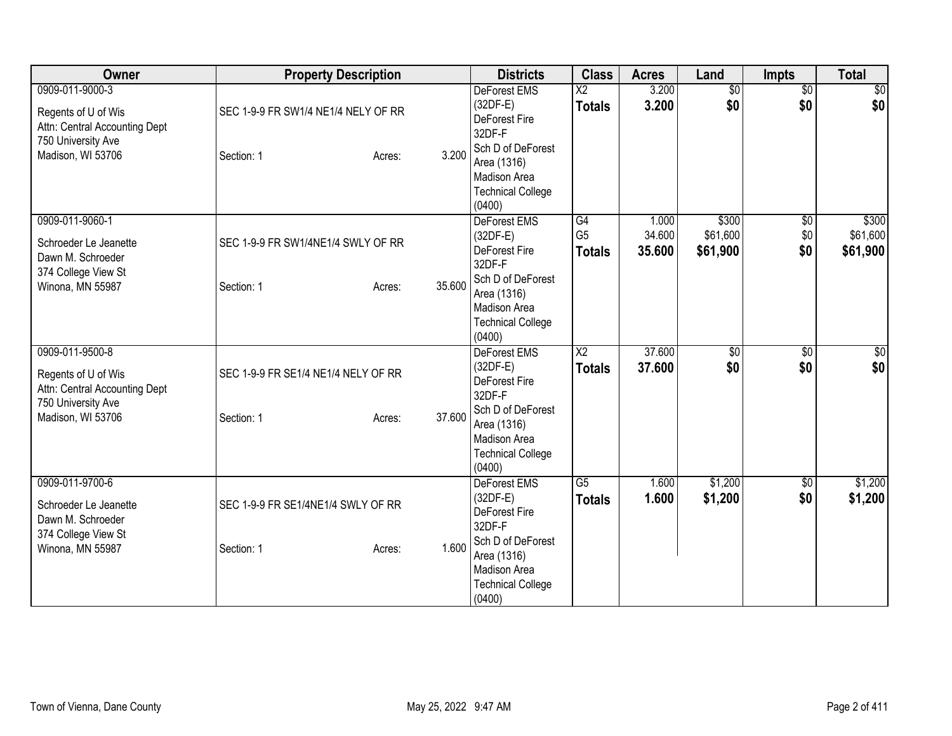| Owner                                                                                                              | <b>Property Description</b>                       |                  | <b>Districts</b>                                                                                                                                              | <b>Class</b>                            | <b>Acres</b>              | Land                          | <b>Impts</b>                  | <b>Total</b>                  |
|--------------------------------------------------------------------------------------------------------------------|---------------------------------------------------|------------------|---------------------------------------------------------------------------------------------------------------------------------------------------------------|-----------------------------------------|---------------------------|-------------------------------|-------------------------------|-------------------------------|
| 0909-011-9000-3<br>Regents of U of Wis<br>Attn: Central Accounting Dept<br>750 University Ave<br>Madison, WI 53706 | SEC 1-9-9 FR SW1/4 NE1/4 NELY OF RR<br>Section: 1 | 3.200<br>Acres:  | <b>DeForest EMS</b><br>(32DF-E)<br>DeForest Fire<br>32DF-F<br>Sch D of DeForest<br>Area (1316)<br>Madison Area<br><b>Technical College</b><br>(0400)          | $\overline{\text{X2}}$<br><b>Totals</b> | 3.200<br>3.200            | $\overline{50}$<br>\$0        | $\overline{30}$<br>\$0        | $\frac{1}{20}$<br>\$0         |
| 0909-011-9060-1<br>Schroeder Le Jeanette<br>Dawn M. Schroeder<br>374 College View St<br>Winona, MN 55987           | SEC 1-9-9 FR SW1/4NE1/4 SWLY OF RR<br>Section: 1  | 35.600<br>Acres: | DeForest EMS<br>$(32DF-E)$<br>DeForest Fire<br>32DF-F<br>Sch D of DeForest<br>Area (1316)<br><b>Madison Area</b><br><b>Technical College</b><br>(0400)        | G4<br>G <sub>5</sub><br><b>Totals</b>   | 1.000<br>34.600<br>35.600 | \$300<br>\$61,600<br>\$61,900 | $\overline{50}$<br>\$0<br>\$0 | \$300<br>\$61,600<br>\$61,900 |
| 0909-011-9500-8<br>Regents of U of Wis<br>Attn: Central Accounting Dept<br>750 University Ave<br>Madison, WI 53706 | SEC 1-9-9 FR SE1/4 NE1/4 NELY OF RR<br>Section: 1 | 37.600<br>Acres: | <b>DeForest EMS</b><br>$(32DF-E)$<br>DeForest Fire<br>32DF-F<br>Sch D of DeForest<br>Area (1316)<br><b>Madison Area</b><br><b>Technical College</b><br>(0400) | $\overline{\text{X2}}$<br><b>Totals</b> | 37.600<br>37.600          | \$0<br>\$0                    | \$0<br>\$0                    | \$0<br>\$0                    |
| 0909-011-9700-6<br>Schroeder Le Jeanette<br>Dawn M. Schroeder<br>374 College View St<br>Winona, MN 55987           | SEC 1-9-9 FR SE1/4NE1/4 SWLY OF RR<br>Section: 1  | 1.600<br>Acres:  | DeForest EMS<br>$(32DF-E)$<br>DeForest Fire<br>32DF-F<br>Sch D of DeForest<br>Area (1316)<br>Madison Area<br><b>Technical College</b><br>(0400)               | $\overline{G5}$<br><b>Totals</b>        | 1.600<br>1.600            | \$1,200<br>\$1,200            | $\overline{50}$<br>\$0        | \$1,200<br>\$1,200            |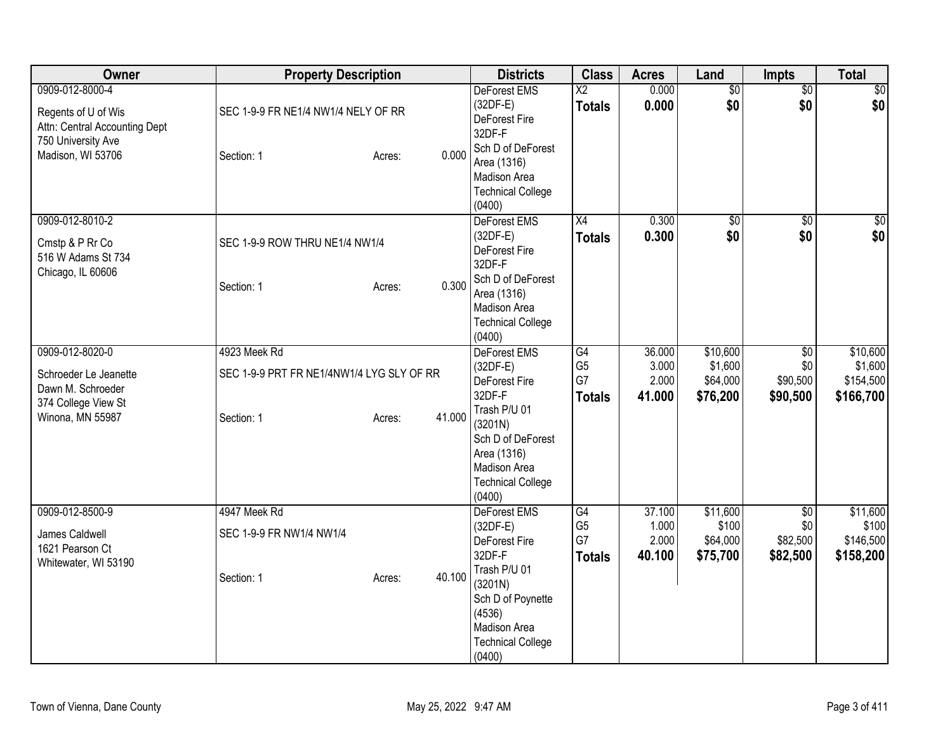| <b>Owner</b>                                                                                                       | <b>Property Description</b>                                                                 | <b>Districts</b>                                                                                                                                                                         | <b>Class</b>                                | <b>Acres</b>                       | Land                                        | Impts                                          | <b>Total</b>                                  |
|--------------------------------------------------------------------------------------------------------------------|---------------------------------------------------------------------------------------------|------------------------------------------------------------------------------------------------------------------------------------------------------------------------------------------|---------------------------------------------|------------------------------------|---------------------------------------------|------------------------------------------------|-----------------------------------------------|
| 0909-012-8000-4<br>Regents of U of Wis<br>Attn: Central Accounting Dept<br>750 University Ave<br>Madison, WI 53706 | SEC 1-9-9 FR NE1/4 NW1/4 NELY OF RR<br>0.000<br>Section: 1<br>Acres:                        | DeForest EMS<br>$(32DF-E)$<br>DeForest Fire<br>32DF-F<br>Sch D of DeForest<br>Area (1316)<br><b>Madison Area</b><br><b>Technical College</b><br>(0400)                                   | $\overline{X2}$<br><b>Totals</b>            | 0.000<br>0.000                     | $\overline{$0}$<br>\$0                      | $\overline{50}$<br>\$0                         | \$0<br> \$0                                   |
| 0909-012-8010-2<br>Cmstp & P Rr Co<br>516 W Adams St 734<br>Chicago, IL 60606                                      | SEC 1-9-9 ROW THRU NE1/4 NW1/4<br>0.300<br>Section: 1<br>Acres:                             | DeForest EMS<br>$(32DF-E)$<br>DeForest Fire<br>32DF-F<br>Sch D of DeForest<br>Area (1316)<br>Madison Area<br><b>Technical College</b><br>(0400)                                          | $\overline{X4}$<br><b>Totals</b>            | 0.300<br>0.300                     | $\overline{60}$<br>\$0                      | $\overline{50}$<br>\$0                         | \$0<br>\$0                                    |
| 0909-012-8020-0<br>Schroeder Le Jeanette<br>Dawn M. Schroeder<br>374 College View St<br>Winona, MN 55987           | 4923 Meek Rd<br>SEC 1-9-9 PRT FR NE1/4NW1/4 LYG SLY OF RR<br>41.000<br>Section: 1<br>Acres: | <b>DeForest EMS</b><br>$(32DF-E)$<br>DeForest Fire<br>32DF-F<br>Trash P/U 01<br>(3201N)<br>Sch D of DeForest<br>Area (1316)<br><b>Madison Area</b><br><b>Technical College</b><br>(0400) | G4<br>G <sub>5</sub><br>G7<br><b>Totals</b> | 36.000<br>3.000<br>2.000<br>41.000 | \$10,600<br>\$1,600<br>\$64,000<br>\$76,200 | $\overline{50}$<br>\$0<br>\$90,500<br>\$90,500 | \$10,600<br>\$1,600<br>\$154,500<br>\$166,700 |
| 0909-012-8500-9<br>James Caldwell<br>1621 Pearson Ct<br>Whitewater, WI 53190                                       | 4947 Meek Rd<br>SEC 1-9-9 FR NW1/4 NW1/4<br>40.100<br>Section: 1<br>Acres:                  | DeForest EMS<br>(32DF-E)<br>DeForest Fire<br>32DF-F<br>Trash P/U 01<br>(3201N)<br>Sch D of Poynette<br>(4536)<br>Madison Area<br><b>Technical College</b><br>(0400)                      | G4<br>G <sub>5</sub><br>G7<br><b>Totals</b> | 37.100<br>1.000<br>2.000<br>40.100 | \$11,600<br>\$100<br>\$64,000<br>\$75,700   | $\overline{60}$<br>\$0<br>\$82,500<br>\$82,500 | \$11,600<br>\$100<br>\$146,500<br>\$158,200   |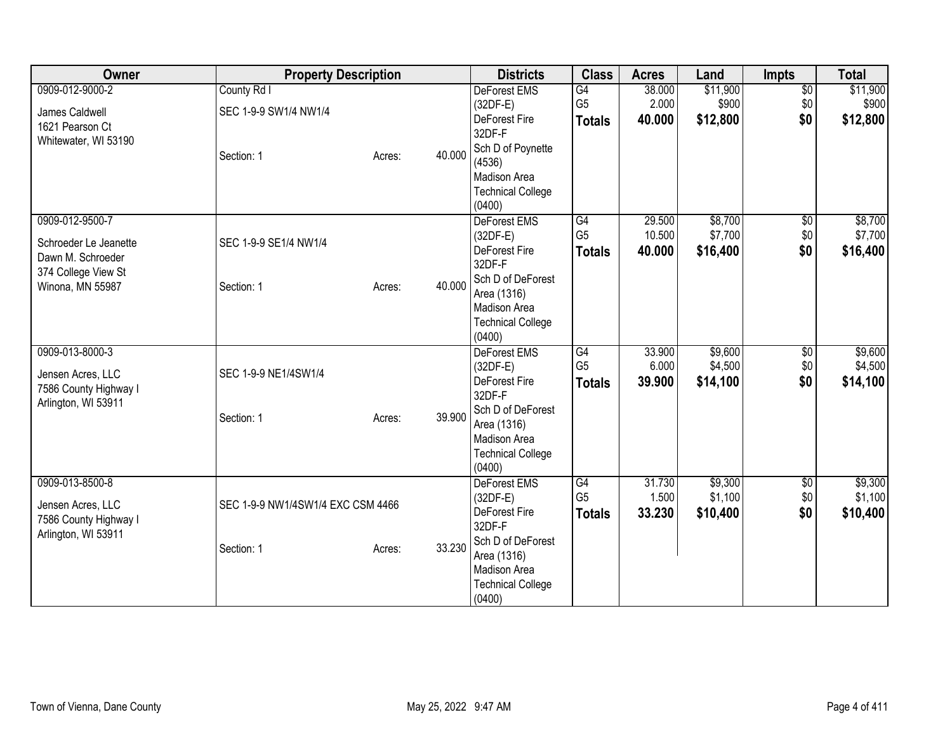| Owner                                                                                | <b>Property Description</b>       |        |        | <b>Districts</b>                                                                       | <b>Class</b>                                       | <b>Acres</b>               | Land                           | <b>Impts</b>                  | <b>Total</b>                   |
|--------------------------------------------------------------------------------------|-----------------------------------|--------|--------|----------------------------------------------------------------------------------------|----------------------------------------------------|----------------------------|--------------------------------|-------------------------------|--------------------------------|
| 0909-012-9000-2                                                                      | County Rd I                       |        |        | DeForest EMS                                                                           | G4                                                 | 38.000                     | \$11,900                       | $\overline{50}$               | \$11,900                       |
| James Caldwell<br>1621 Pearson Ct                                                    | SEC 1-9-9 SW1/4 NW1/4             |        |        | $(32DF-E)$<br>DeForest Fire<br>32DF-F                                                  | G <sub>5</sub><br><b>Totals</b>                    | 2.000<br>40.000            | \$900<br>\$12,800              | \$0<br>\$0                    | \$900<br>\$12,800              |
| Whitewater, WI 53190                                                                 | Section: 1                        | Acres: | 40.000 | Sch D of Poynette<br>(4536)<br>Madison Area<br><b>Technical College</b><br>(0400)      |                                                    |                            |                                |                               |                                |
| 0909-012-9500-7<br>Schroeder Le Jeanette<br>Dawn M. Schroeder<br>374 College View St | SEC 1-9-9 SE1/4 NW1/4             |        |        | DeForest EMS<br>$(32DF-E)$<br>DeForest Fire<br>32DF-F                                  | G4<br>G <sub>5</sub><br><b>Totals</b>              | 29.500<br>10.500<br>40.000 | \$8,700<br>\$7,700<br>\$16,400 | $\overline{50}$<br>\$0<br>\$0 | \$8,700<br>\$7,700<br>\$16,400 |
| Winona, MN 55987                                                                     | Section: 1                        | Acres: | 40.000 | Sch D of DeForest<br>Area (1316)<br>Madison Area<br><b>Technical College</b><br>(0400) |                                                    |                            |                                |                               |                                |
| 0909-013-8000-3<br>Jensen Acres, LLC<br>7586 County Highway I<br>Arlington, WI 53911 | SEC 1-9-9 NE1/4SW1/4              |        |        | <b>DeForest EMS</b><br>$(32DF-E)$<br>DeForest Fire<br>32DF-F                           | $\overline{G4}$<br>G <sub>5</sub><br><b>Totals</b> | 33.900<br>6.000<br>39.900  | \$9,600<br>\$4,500<br>\$14,100 | \$0<br>\$0<br>\$0             | \$9,600<br>\$4,500<br>\$14,100 |
|                                                                                      | Section: 1                        | Acres: | 39.900 | Sch D of DeForest<br>Area (1316)<br>Madison Area<br><b>Technical College</b><br>(0400) |                                                    |                            |                                |                               |                                |
| 0909-013-8500-8<br>Jensen Acres, LLC<br>7586 County Highway I<br>Arlington, WI 53911 | SEC 1-9-9 NW1/4SW1/4 EXC CSM 4466 |        |        | DeForest EMS<br>$(32DF-E)$<br>DeForest Fire<br>32DF-F                                  | G4<br>G <sub>5</sub><br><b>Totals</b>              | 31.730<br>1.500<br>33.230  | \$9,300<br>\$1,100<br>\$10,400 | $\overline{50}$<br>\$0<br>\$0 | \$9,300<br>\$1,100<br>\$10,400 |
|                                                                                      | Section: 1                        | Acres: | 33.230 | Sch D of DeForest<br>Area (1316)<br>Madison Area<br><b>Technical College</b><br>(0400) |                                                    |                            |                                |                               |                                |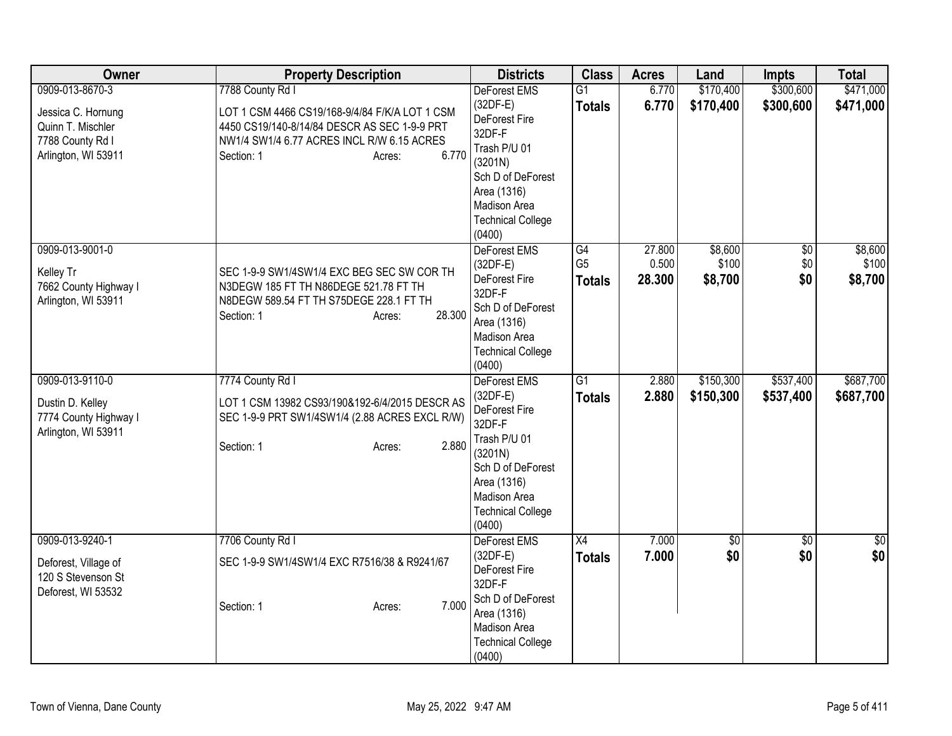| Owner                                     | <b>Property Description</b>                    | <b>Districts</b>                   | <b>Class</b>    | <b>Acres</b> | Land      | <b>Impts</b>    | <b>Total</b> |
|-------------------------------------------|------------------------------------------------|------------------------------------|-----------------|--------------|-----------|-----------------|--------------|
| 0909-013-8670-3                           | 7788 County Rd I                               | DeForest EMS                       | $\overline{G1}$ | 6.770        | \$170,400 | \$300,600       | \$471,000    |
| Jessica C. Hornung                        | LOT 1 CSM 4466 CS19/168-9/4/84 F/K/A LOT 1 CSM | $(32DF-E)$                         | <b>Totals</b>   | 6.770        | \$170,400 | \$300,600       | \$471,000    |
| Quinn T. Mischler                         | 4450 CS19/140-8/14/84 DESCR AS SEC 1-9-9 PRT   | DeForest Fire                      |                 |              |           |                 |              |
| 7788 County Rd I                          | NW1/4 SW1/4 6.77 ACRES INCL R/W 6.15 ACRES     | 32DF-F<br>Trash P/U 01             |                 |              |           |                 |              |
| Arlington, WI 53911                       | 6.770<br>Section: 1<br>Acres:                  | (3201N)                            |                 |              |           |                 |              |
|                                           |                                                | Sch D of DeForest                  |                 |              |           |                 |              |
|                                           |                                                | Area (1316)                        |                 |              |           |                 |              |
|                                           |                                                | Madison Area                       |                 |              |           |                 |              |
|                                           |                                                | <b>Technical College</b>           |                 |              |           |                 |              |
|                                           |                                                | (0400)                             |                 |              |           |                 |              |
| 0909-013-9001-0                           |                                                | DeForest EMS                       | G4              | 27.800       | \$8,600   | $\overline{50}$ | \$8,600      |
| Kelley Tr                                 | SEC 1-9-9 SW1/4SW1/4 EXC BEG SEC SW COR TH     | $(32DF-E)$                         | G <sub>5</sub>  | 0.500        | \$100     | \$0             | \$100        |
| 7662 County Highway I                     | N3DEGW 185 FT TH N86DEGE 521.78 FT TH          | DeForest Fire                      | <b>Totals</b>   | 28.300       | \$8,700   | \$0             | \$8,700      |
| Arlington, WI 53911                       | N8DEGW 589.54 FT TH S75DEGE 228.1 FT TH        | 32DF-F                             |                 |              |           |                 |              |
|                                           | 28.300<br>Section: 1<br>Acres:                 | Sch D of DeForest                  |                 |              |           |                 |              |
|                                           |                                                | Area (1316)<br>Madison Area        |                 |              |           |                 |              |
|                                           |                                                | <b>Technical College</b>           |                 |              |           |                 |              |
|                                           |                                                | (0400)                             |                 |              |           |                 |              |
| 0909-013-9110-0                           | 7774 County Rd I                               | DeForest EMS                       | $\overline{G1}$ | 2.880        | \$150,300 | \$537,400       | \$687,700    |
|                                           | LOT 1 CSM 13982 CS93/190&192-6/4/2015 DESCR AS | (32DF-E)                           | <b>Totals</b>   | 2.880        | \$150,300 | \$537,400       | \$687,700    |
| Dustin D. Kelley<br>7774 County Highway I | SEC 1-9-9 PRT SW1/4SW1/4 (2.88 ACRES EXCL R/W) | DeForest Fire                      |                 |              |           |                 |              |
| Arlington, WI 53911                       |                                                | 32DF-F                             |                 |              |           |                 |              |
|                                           | 2.880<br>Section: 1<br>Acres:                  | Trash P/U 01                       |                 |              |           |                 |              |
|                                           |                                                | (3201N)                            |                 |              |           |                 |              |
|                                           |                                                | Sch D of DeForest<br>Area (1316)   |                 |              |           |                 |              |
|                                           |                                                | Madison Area                       |                 |              |           |                 |              |
|                                           |                                                | <b>Technical College</b>           |                 |              |           |                 |              |
|                                           |                                                | (0400)                             |                 |              |           |                 |              |
| 0909-013-9240-1                           | 7706 County Rd I                               | DeForest EMS                       | X4              | 7.000        | \$0       | $\overline{50}$ | \$0          |
| Deforest, Village of                      | SEC 1-9-9 SW1/4SW1/4 EXC R7516/38 & R9241/67   | $(32DF-E)$                         | <b>Totals</b>   | 7.000        | \$0       | \$0             | \$0          |
| 120 S Stevenson St                        |                                                | DeForest Fire                      |                 |              |           |                 |              |
| Deforest, WI 53532                        |                                                | 32DF-F                             |                 |              |           |                 |              |
|                                           | 7.000<br>Section: 1<br>Acres:                  | Sch D of DeForest                  |                 |              |           |                 |              |
|                                           |                                                | Area (1316)                        |                 |              |           |                 |              |
|                                           |                                                | Madison Area                       |                 |              |           |                 |              |
|                                           |                                                | <b>Technical College</b><br>(0400) |                 |              |           |                 |              |
|                                           |                                                |                                    |                 |              |           |                 |              |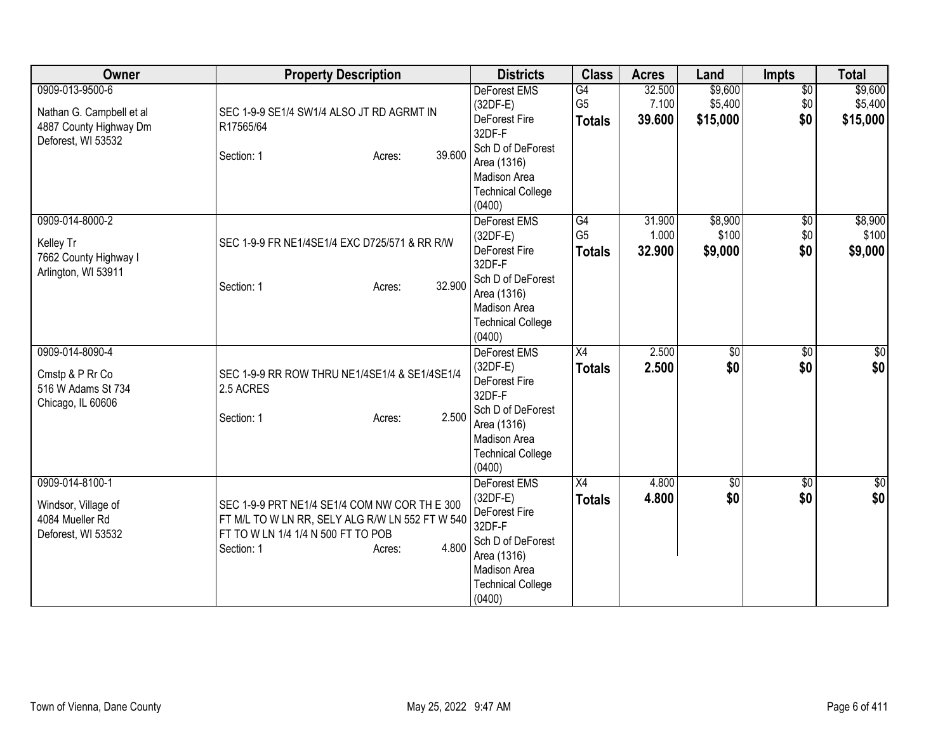| Owner                                                                                       | <b>Property Description</b>                                                                                                                                             | <b>Districts</b>                                                                                                                                       | <b>Class</b>                          | <b>Acres</b>              | Land                           | <b>Impts</b>                  | <b>Total</b>                   |
|---------------------------------------------------------------------------------------------|-------------------------------------------------------------------------------------------------------------------------------------------------------------------------|--------------------------------------------------------------------------------------------------------------------------------------------------------|---------------------------------------|---------------------------|--------------------------------|-------------------------------|--------------------------------|
| 0909-013-9500-6<br>Nathan G. Campbell et al<br>4887 County Highway Dm<br>Deforest, WI 53532 | SEC 1-9-9 SE1/4 SW1/4 ALSO JT RD AGRMT IN<br>R17565/64<br>39.600<br>Section: 1<br>Acres:                                                                                | <b>DeForest EMS</b><br>$(32DF-E)$<br>DeForest Fire<br>32DF-F<br>Sch D of DeForest<br>Area (1316)<br>Madison Area<br><b>Technical College</b><br>(0400) | G4<br>G <sub>5</sub><br><b>Totals</b> | 32.500<br>7.100<br>39.600 | \$9,600<br>\$5,400<br>\$15,000 | $\overline{50}$<br>\$0<br>\$0 | \$9,600<br>\$5,400<br>\$15,000 |
| 0909-014-8000-2<br>Kelley Tr<br>7662 County Highway I<br>Arlington, WI 53911                | SEC 1-9-9 FR NE1/4SE1/4 EXC D725/571 & RR R/W<br>32.900<br>Section: 1<br>Acres:                                                                                         | DeForest EMS<br>$(32DF-E)$<br>DeForest Fire<br>32DF-F<br>Sch D of DeForest<br>Area (1316)<br>Madison Area<br><b>Technical College</b><br>(0400)        | G4<br>G <sub>5</sub><br><b>Totals</b> | 31.900<br>1.000<br>32.900 | \$8,900<br>\$100<br>\$9,000    | $\overline{60}$<br>\$0<br>\$0 | \$8,900<br>\$100<br>\$9,000    |
| 0909-014-8090-4<br>Cmstp & P Rr Co<br>516 W Adams St 734<br>Chicago, IL 60606               | SEC 1-9-9 RR ROW THRU NE1/4SE1/4 & SE1/4SE1/4<br>2.5 ACRES<br>2.500<br>Section: 1<br>Acres:                                                                             | DeForest EMS<br>$(32DF-E)$<br>DeForest Fire<br>32DF-F<br>Sch D of DeForest<br>Area (1316)<br><b>Madison Area</b><br><b>Technical College</b><br>(0400) | X4<br><b>Totals</b>                   | 2.500<br>2.500            | \$0<br>\$0                     | $\overline{30}$<br>\$0        | \$0<br>\$0                     |
| 0909-014-8100-1<br>Windsor, Village of<br>4084 Mueller Rd<br>Deforest, WI 53532             | SEC 1-9-9 PRT NE1/4 SE1/4 COM NW COR TH E 300<br>FT M/L TO W LN RR, SELY ALG R/W LN 552 FT W 540<br>FT TO W LN 1/4 1/4 N 500 FT TO POB<br>4.800<br>Section: 1<br>Acres: | <b>DeForest EMS</b><br>$(32DF-E)$<br>DeForest Fire<br>32DF-F<br>Sch D of DeForest<br>Area (1316)<br>Madison Area<br><b>Technical College</b><br>(0400) | X4<br><b>Totals</b>                   | 4.800<br>4.800            | \$0<br>\$0                     | $\overline{60}$<br>\$0        | \$0<br>\$0                     |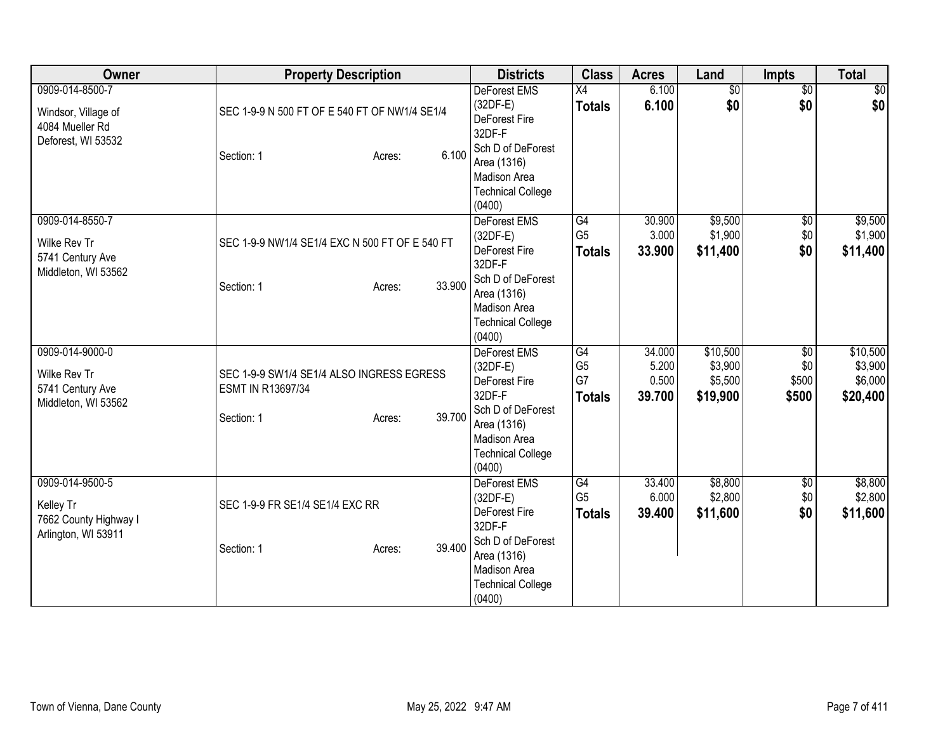| Owner                                                                           | <b>Property Description</b>                                                                      | <b>Districts</b>                                                                                                                                       | <b>Class</b>                                | <b>Acres</b>                       | Land                                       | <b>Impts</b>                  | <b>Total</b>                               |
|---------------------------------------------------------------------------------|--------------------------------------------------------------------------------------------------|--------------------------------------------------------------------------------------------------------------------------------------------------------|---------------------------------------------|------------------------------------|--------------------------------------------|-------------------------------|--------------------------------------------|
| 0909-014-8500-7<br>Windsor, Village of<br>4084 Mueller Rd<br>Deforest, WI 53532 | SEC 1-9-9 N 500 FT OF E 540 FT OF NW1/4 SE1/4<br>6.100<br>Section: 1<br>Acres:                   | DeForest EMS<br>$(32DF-E)$<br>DeForest Fire<br>32DF-F<br>Sch D of DeForest<br>Area (1316)<br>Madison Area<br><b>Technical College</b><br>(0400)        | $\overline{X4}$<br><b>Totals</b>            | 6.100<br>6.100                     | $\overline{50}$<br>\$0                     | $\overline{50}$<br>\$0        | $\sqrt{30}$<br>\$0                         |
| 0909-014-8550-7<br>Wilke Rev Tr<br>5741 Century Ave<br>Middleton, WI 53562      | SEC 1-9-9 NW1/4 SE1/4 EXC N 500 FT OF E 540 FT<br>33.900<br>Section: 1<br>Acres:                 | DeForest EMS<br>$(32DF-E)$<br>DeForest Fire<br>32DF-F<br>Sch D of DeForest<br>Area (1316)<br>Madison Area<br><b>Technical College</b><br>(0400)        | G4<br>G <sub>5</sub><br><b>Totals</b>       | 30.900<br>3.000<br>33.900          | \$9,500<br>\$1,900<br>\$11,400             | $\overline{50}$<br>\$0<br>\$0 | \$9,500<br>\$1,900<br>\$11,400             |
| 0909-014-9000-0<br>Wilke Rev Tr<br>5741 Century Ave<br>Middleton, WI 53562      | SEC 1-9-9 SW1/4 SE1/4 ALSO INGRESS EGRESS<br>ESMT IN R13697/34<br>39.700<br>Section: 1<br>Acres: | <b>DeForest EMS</b><br>$(32DF-E)$<br>DeForest Fire<br>32DF-F<br>Sch D of DeForest<br>Area (1316)<br>Madison Area<br><b>Technical College</b><br>(0400) | G4<br>G <sub>5</sub><br>G7<br><b>Totals</b> | 34.000<br>5.200<br>0.500<br>39.700 | \$10,500<br>\$3,900<br>\$5,500<br>\$19,900 | \$0<br>\$0<br>\$500<br>\$500  | \$10,500<br>\$3,900<br>\$6,000<br>\$20,400 |
| 0909-014-9500-5<br>Kelley Tr<br>7662 County Highway I<br>Arlington, WI 53911    | SEC 1-9-9 FR SE1/4 SE1/4 EXC RR<br>39.400<br>Section: 1<br>Acres:                                | DeForest EMS<br>$(32DF-E)$<br>DeForest Fire<br>32DF-F<br>Sch D of DeForest<br>Area (1316)<br>Madison Area<br><b>Technical College</b><br>(0400)        | G4<br>G <sub>5</sub><br><b>Totals</b>       | 33.400<br>6.000<br>39.400          | \$8,800<br>\$2,800<br>\$11,600             | $\overline{50}$<br>\$0<br>\$0 | \$8,800<br>\$2,800<br>\$11,600             |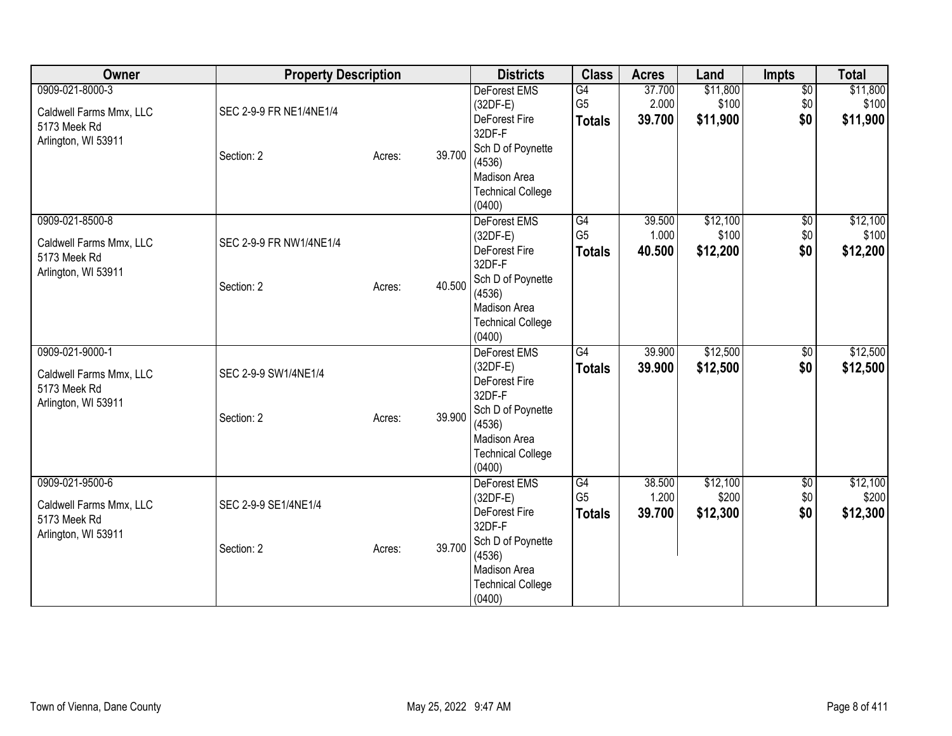| 0909-021-8000-3<br>$\overline{50}$<br>G4<br>37.700<br>\$11,800<br><b>DeForest EMS</b><br>G <sub>5</sub><br>\$100<br>\$0<br>2.000<br>$(32DF-E)$<br>SEC 2-9-9 FR NE1/4NE1/4<br>Caldwell Farms Mmx, LLC<br>\$0<br>39.700<br>\$11,900<br>DeForest Fire<br><b>Totals</b><br>5173 Meek Rd<br>32DF-F<br>Arlington, WI 53911<br>Sch D of Poynette<br>39.700<br>Section: 2<br>Acres:<br>(4536)<br><b>Madison Area</b><br><b>Technical College</b><br>(0400)<br>\$12,100<br>0909-021-8500-8<br>DeForest EMS<br>G4<br>39.500<br>$\sqrt{6}$<br>G <sub>5</sub><br>\$0<br>1.000<br>\$100<br>$(32DF-E)$<br>Caldwell Farms Mmx, LLC<br>SEC 2-9-9 FR NW1/4NE1/4<br>\$12,200<br>\$0<br>DeForest Fire<br>40.500<br><b>Totals</b><br>5173 Meek Rd<br>32DF-F<br>Arlington, WI 53911<br>Sch D of Poynette<br>40.500<br>Section: 2<br>Acres:<br>(4536)<br>Madison Area | Owner | <b>Property Description</b> |  | <b>Districts</b>         | <b>Class</b> | <b>Acres</b> | Land | <b>Impts</b> | <b>Total</b>      |
|-------------------------------------------------------------------------------------------------------------------------------------------------------------------------------------------------------------------------------------------------------------------------------------------------------------------------------------------------------------------------------------------------------------------------------------------------------------------------------------------------------------------------------------------------------------------------------------------------------------------------------------------------------------------------------------------------------------------------------------------------------------------------------------------------------------------------------------------------|-------|-----------------------------|--|--------------------------|--------------|--------------|------|--------------|-------------------|
|                                                                                                                                                                                                                                                                                                                                                                                                                                                                                                                                                                                                                                                                                                                                                                                                                                                 |       |                             |  |                          |              |              |      |              | \$11,800<br>\$100 |
|                                                                                                                                                                                                                                                                                                                                                                                                                                                                                                                                                                                                                                                                                                                                                                                                                                                 |       |                             |  |                          |              |              |      |              | \$11,900          |
|                                                                                                                                                                                                                                                                                                                                                                                                                                                                                                                                                                                                                                                                                                                                                                                                                                                 |       |                             |  |                          |              |              |      |              |                   |
|                                                                                                                                                                                                                                                                                                                                                                                                                                                                                                                                                                                                                                                                                                                                                                                                                                                 |       |                             |  |                          |              |              |      |              |                   |
|                                                                                                                                                                                                                                                                                                                                                                                                                                                                                                                                                                                                                                                                                                                                                                                                                                                 |       |                             |  |                          |              |              |      |              |                   |
|                                                                                                                                                                                                                                                                                                                                                                                                                                                                                                                                                                                                                                                                                                                                                                                                                                                 |       |                             |  |                          |              |              |      |              |                   |
|                                                                                                                                                                                                                                                                                                                                                                                                                                                                                                                                                                                                                                                                                                                                                                                                                                                 |       |                             |  |                          |              |              |      |              | \$12,100          |
|                                                                                                                                                                                                                                                                                                                                                                                                                                                                                                                                                                                                                                                                                                                                                                                                                                                 |       |                             |  |                          |              |              |      |              | \$100             |
|                                                                                                                                                                                                                                                                                                                                                                                                                                                                                                                                                                                                                                                                                                                                                                                                                                                 |       |                             |  |                          |              |              |      |              | \$12,200          |
|                                                                                                                                                                                                                                                                                                                                                                                                                                                                                                                                                                                                                                                                                                                                                                                                                                                 |       |                             |  |                          |              |              |      |              |                   |
|                                                                                                                                                                                                                                                                                                                                                                                                                                                                                                                                                                                                                                                                                                                                                                                                                                                 |       |                             |  |                          |              |              |      |              |                   |
|                                                                                                                                                                                                                                                                                                                                                                                                                                                                                                                                                                                                                                                                                                                                                                                                                                                 |       |                             |  | <b>Technical College</b> |              |              |      |              |                   |
| (0400)                                                                                                                                                                                                                                                                                                                                                                                                                                                                                                                                                                                                                                                                                                                                                                                                                                          |       |                             |  |                          |              |              |      |              |                   |
| 0909-021-9000-1<br>\$12,500<br><b>DeForest EMS</b><br>G4<br>39.900<br>\$0<br>$(32DF-E)$                                                                                                                                                                                                                                                                                                                                                                                                                                                                                                                                                                                                                                                                                                                                                         |       |                             |  |                          |              |              |      |              | \$12,500          |
| \$12,500<br>\$0<br>39.900<br><b>Totals</b><br>SEC 2-9-9 SW1/4NE1/4<br>Caldwell Farms Mmx, LLC<br>DeForest Fire                                                                                                                                                                                                                                                                                                                                                                                                                                                                                                                                                                                                                                                                                                                                  |       |                             |  |                          |              |              |      |              | \$12,500          |
| 5173 Meek Rd<br>32DF-F                                                                                                                                                                                                                                                                                                                                                                                                                                                                                                                                                                                                                                                                                                                                                                                                                          |       |                             |  |                          |              |              |      |              |                   |
| Arlington, WI 53911<br>Sch D of Poynette<br>39.900<br>Section: 2<br>Acres:                                                                                                                                                                                                                                                                                                                                                                                                                                                                                                                                                                                                                                                                                                                                                                      |       |                             |  |                          |              |              |      |              |                   |
| (4536)<br><b>Madison Area</b>                                                                                                                                                                                                                                                                                                                                                                                                                                                                                                                                                                                                                                                                                                                                                                                                                   |       |                             |  |                          |              |              |      |              |                   |
| <b>Technical College</b>                                                                                                                                                                                                                                                                                                                                                                                                                                                                                                                                                                                                                                                                                                                                                                                                                        |       |                             |  |                          |              |              |      |              |                   |
| (0400)                                                                                                                                                                                                                                                                                                                                                                                                                                                                                                                                                                                                                                                                                                                                                                                                                                          |       |                             |  |                          |              |              |      |              |                   |
| 0909-021-9500-6<br>\$12,100<br>$\overline{50}$<br><b>DeForest EMS</b><br>G4<br>38.500                                                                                                                                                                                                                                                                                                                                                                                                                                                                                                                                                                                                                                                                                                                                                           |       |                             |  |                          |              |              |      |              | \$12,100          |
| G <sub>5</sub><br>\$0<br>1.200<br>\$200<br>$(32DF-E)$<br>SEC 2-9-9 SE1/4NE1/4<br>Caldwell Farms Mmx, LLC                                                                                                                                                                                                                                                                                                                                                                                                                                                                                                                                                                                                                                                                                                                                        |       |                             |  |                          |              |              |      |              | \$200             |
| \$0<br>DeForest Fire<br>39.700<br>\$12,300<br><b>Totals</b><br>5173 Meek Rd<br>32DF-F                                                                                                                                                                                                                                                                                                                                                                                                                                                                                                                                                                                                                                                                                                                                                           |       |                             |  |                          |              |              |      |              | \$12,300          |
| Arlington, WI 53911<br>Sch D of Poynette                                                                                                                                                                                                                                                                                                                                                                                                                                                                                                                                                                                                                                                                                                                                                                                                        |       |                             |  |                          |              |              |      |              |                   |
| 39.700<br>Section: 2<br>Acres:<br>(4536)                                                                                                                                                                                                                                                                                                                                                                                                                                                                                                                                                                                                                                                                                                                                                                                                        |       |                             |  |                          |              |              |      |              |                   |
| Madison Area                                                                                                                                                                                                                                                                                                                                                                                                                                                                                                                                                                                                                                                                                                                                                                                                                                    |       |                             |  |                          |              |              |      |              |                   |
| <b>Technical College</b><br>(0400)                                                                                                                                                                                                                                                                                                                                                                                                                                                                                                                                                                                                                                                                                                                                                                                                              |       |                             |  |                          |              |              |      |              |                   |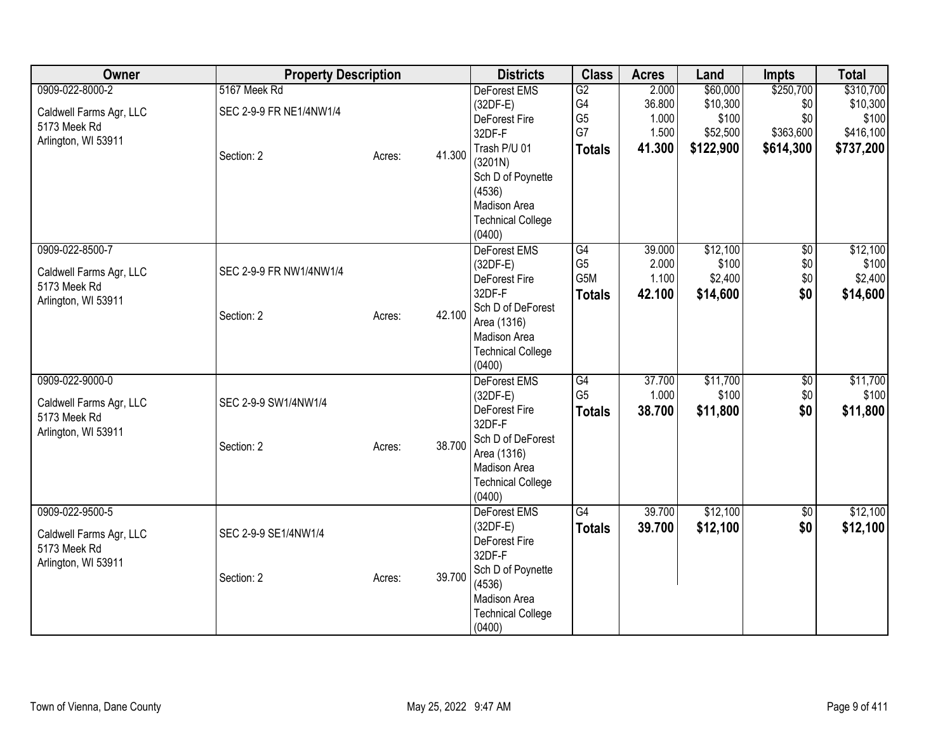| Owner                                                                             | <b>Property Description</b>                           |                  | <b>Districts</b>                                                                                                                                                             | <b>Class</b>                                      | <b>Acres</b>                                | Land                                                   | Impts                                             | <b>Total</b>                                             |
|-----------------------------------------------------------------------------------|-------------------------------------------------------|------------------|------------------------------------------------------------------------------------------------------------------------------------------------------------------------------|---------------------------------------------------|---------------------------------------------|--------------------------------------------------------|---------------------------------------------------|----------------------------------------------------------|
| 0909-022-8000-2<br>Caldwell Farms Agr, LLC<br>5173 Meek Rd<br>Arlington, WI 53911 | 5167 Meek Rd<br>SEC 2-9-9 FR NE1/4NW1/4<br>Section: 2 | 41.300<br>Acres: | DeForest EMS<br>$(32DF-E)$<br>DeForest Fire<br>32DF-F<br>Trash P/U 01<br>(3201N)<br>Sch D of Poynette<br>(4536)<br><b>Madison Area</b><br><b>Technical College</b><br>(0400) | G2<br>G4<br>G <sub>5</sub><br>G7<br><b>Totals</b> | 2.000<br>36.800<br>1.000<br>1.500<br>41.300 | \$60,000<br>\$10,300<br>\$100<br>\$52,500<br>\$122,900 | \$250,700<br>\$0<br>\$0<br>\$363,600<br>\$614,300 | \$310,700<br>\$10,300<br>\$100<br>\$416,100<br>\$737,200 |
| 0909-022-8500-7<br>Caldwell Farms Agr, LLC<br>5173 Meek Rd<br>Arlington, WI 53911 | SEC 2-9-9 FR NW1/4NW1/4<br>Section: 2                 | 42.100<br>Acres: | DeForest EMS<br>$(32DF-E)$<br>DeForest Fire<br>32DF-F<br>Sch D of DeForest<br>Area (1316)<br>Madison Area<br><b>Technical College</b><br>(0400)                              | G4<br>G <sub>5</sub><br>G5M<br><b>Totals</b>      | 39.000<br>2.000<br>1.100<br>42.100          | \$12,100<br>\$100<br>\$2,400<br>\$14,600               | $\sqrt{6}$<br>\$0<br>\$0<br>\$0                   | \$12,100<br>\$100<br>\$2,400<br>\$14,600                 |
| 0909-022-9000-0<br>Caldwell Farms Agr, LLC<br>5173 Meek Rd<br>Arlington, WI 53911 | SEC 2-9-9 SW1/4NW1/4<br>Section: 2                    | 38.700<br>Acres: | <b>DeForest EMS</b><br>$(32DF-E)$<br>DeForest Fire<br>32DF-F<br>Sch D of DeForest<br>Area (1316)<br>Madison Area<br><b>Technical College</b><br>(0400)                       | G4<br>G <sub>5</sub><br><b>Totals</b>             | 37.700<br>1.000<br>38.700                   | \$11,700<br>\$100<br>\$11,800                          | \$0<br>\$0<br>\$0                                 | \$11,700<br>\$100<br>\$11,800                            |
| 0909-022-9500-5<br>Caldwell Farms Agr, LLC<br>5173 Meek Rd<br>Arlington, WI 53911 | SEC 2-9-9 SE1/4NW1/4<br>Section: 2                    | 39.700<br>Acres: | DeForest EMS<br>$(32DF-E)$<br>DeForest Fire<br>32DF-F<br>Sch D of Poynette<br>(4536)<br>Madison Area<br><b>Technical College</b><br>(0400)                                   | G4<br><b>Totals</b>                               | 39.700<br>39.700                            | \$12,100<br>\$12,100                                   | $\overline{50}$<br>\$0                            | \$12,100<br>\$12,100                                     |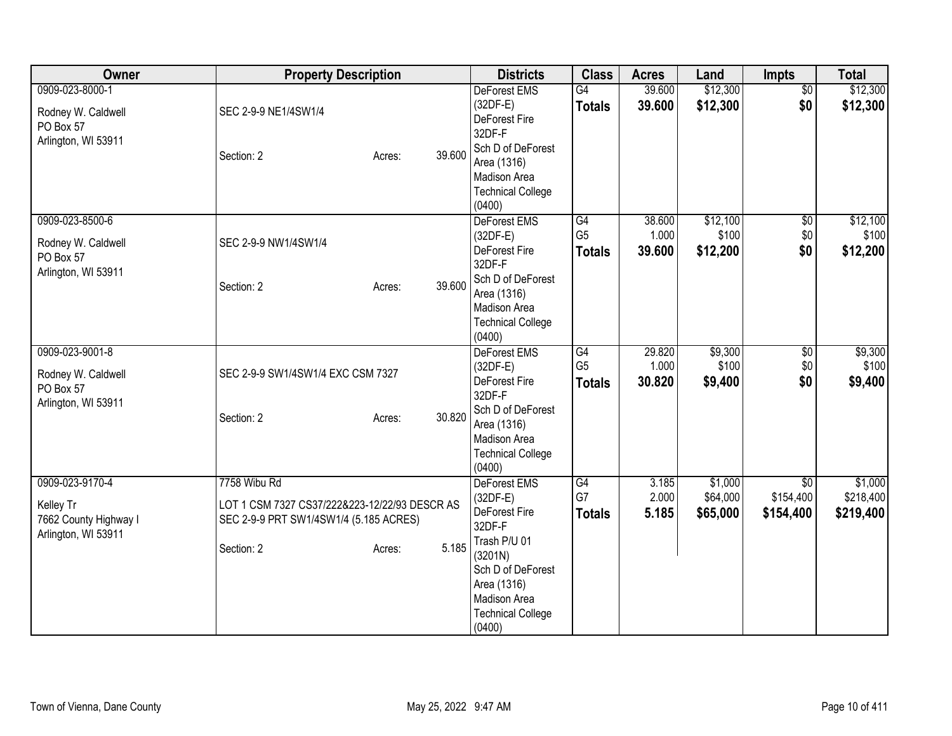| Owner                                                                        |                                                                                                                       | <b>Property Description</b> |        | <b>Districts</b>                                                                                                                                                           | <b>Class</b>                          | <b>Acres</b>              | Land                            | Impts                                     | <b>Total</b>                      |
|------------------------------------------------------------------------------|-----------------------------------------------------------------------------------------------------------------------|-----------------------------|--------|----------------------------------------------------------------------------------------------------------------------------------------------------------------------------|---------------------------------------|---------------------------|---------------------------------|-------------------------------------------|-----------------------------------|
| 0909-023-8000-1<br>Rodney W. Caldwell<br>PO Box 57<br>Arlington, WI 53911    | SEC 2-9-9 NE1/4SW1/4<br>Section: 2                                                                                    | Acres:                      | 39.600 | DeForest EMS<br>$(32DF-E)$<br>DeForest Fire<br>32DF-F<br>Sch D of DeForest<br>Area (1316)<br>Madison Area<br><b>Technical College</b>                                      | G4<br><b>Totals</b>                   | 39.600<br>39.600          | \$12,300<br>\$12,300            | $\overline{50}$<br>\$0                    | \$12,300<br>\$12,300              |
| 0909-023-8500-6<br>Rodney W. Caldwell<br>PO Box 57<br>Arlington, WI 53911    | SEC 2-9-9 NW1/4SW1/4<br>Section: 2                                                                                    | Acres:                      | 39.600 | (0400)<br>DeForest EMS<br>$(32DF-E)$<br>DeForest Fire<br>32DF-F<br>Sch D of DeForest<br>Area (1316)<br>Madison Area<br><b>Technical College</b><br>(0400)                  | G4<br>G <sub>5</sub><br><b>Totals</b> | 38.600<br>1.000<br>39.600 | \$12,100<br>\$100<br>\$12,200   | $\sqrt{6}$<br>$$0$$<br>\$0                | \$12,100<br>\$100<br>\$12,200     |
| 0909-023-9001-8<br>Rodney W. Caldwell<br>PO Box 57<br>Arlington, WI 53911    | SEC 2-9-9 SW1/4SW1/4 EXC CSM 7327<br>Section: 2                                                                       | Acres:                      | 30.820 | <b>DeForest EMS</b><br>$(32DF-E)$<br>DeForest Fire<br>32DF-F<br>Sch D of DeForest<br>Area (1316)<br>Madison Area<br><b>Technical College</b><br>(0400)                     | G4<br>G <sub>5</sub><br><b>Totals</b> | 29.820<br>1.000<br>30.820 | \$9,300<br>\$100<br>\$9,400     | \$0<br>\$0<br>\$0                         | \$9,300<br>\$100<br>\$9,400       |
| 0909-023-9170-4<br>Kelley Tr<br>7662 County Highway I<br>Arlington, WI 53911 | 7758 Wibu Rd<br>LOT 1 CSM 7327 CS37/222&223-12/22/93 DESCR AS<br>SEC 2-9-9 PRT SW1/4SW1/4 (5.185 ACRES)<br>Section: 2 | Acres:                      | 5.185  | DeForest EMS<br>$(32DF-E)$<br>DeForest Fire<br>32DF-F<br>Trash P/U 01<br>(3201N)<br>Sch D of DeForest<br>Area (1316)<br>Madison Area<br><b>Technical College</b><br>(0400) | G4<br>G7<br><b>Totals</b>             | 3.185<br>2.000<br>5.185   | \$1,000<br>\$64,000<br>\$65,000 | $\overline{50}$<br>\$154,400<br>\$154,400 | \$1,000<br>\$218,400<br>\$219,400 |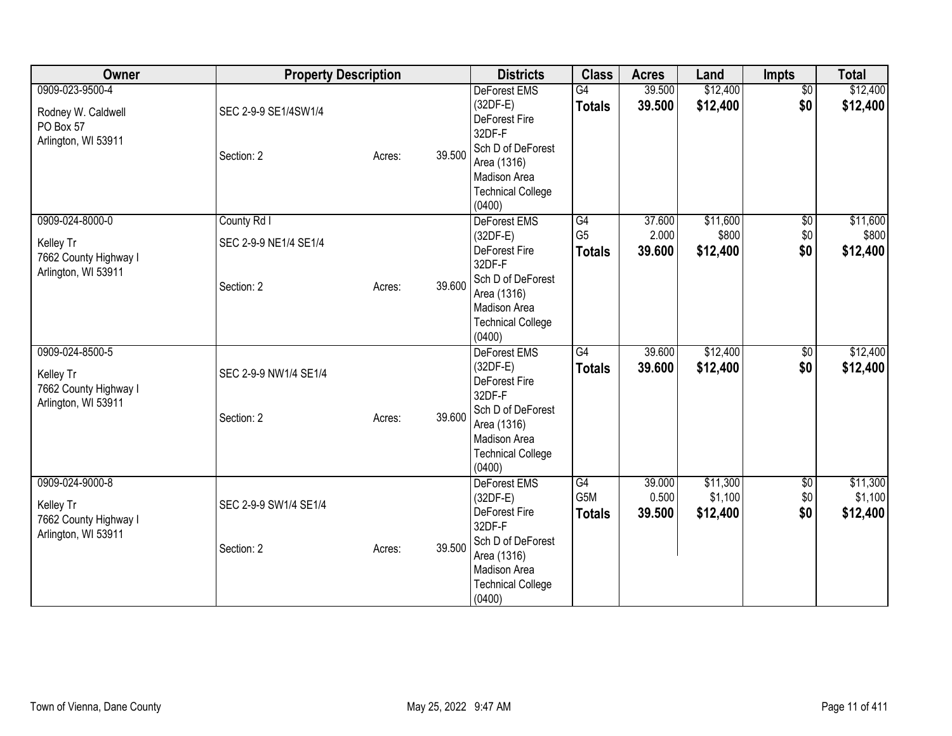| Owner                                                                        | <b>Property Description</b>                        |        |        | <b>Districts</b>                                                                                                                                              | <b>Class</b>                          | <b>Acres</b>              | Land                            | Impts                         | <b>Total</b>                    |
|------------------------------------------------------------------------------|----------------------------------------------------|--------|--------|---------------------------------------------------------------------------------------------------------------------------------------------------------------|---------------------------------------|---------------------------|---------------------------------|-------------------------------|---------------------------------|
| 0909-023-9500-4<br>Rodney W. Caldwell<br>PO Box 57<br>Arlington, WI 53911    | SEC 2-9-9 SE1/4SW1/4<br>Section: 2                 | Acres: | 39.500 | DeForest EMS<br>(32DF-E)<br>DeForest Fire<br>32DF-F<br>Sch D of DeForest<br>Area (1316)<br>Madison Area<br><b>Technical College</b><br>(0400)                 | G4<br><b>Totals</b>                   | 39.500<br>39.500          | \$12,400<br>\$12,400            | $\overline{50}$<br>\$0        | \$12,400<br>\$12,400            |
| 0909-024-8000-0<br>Kelley Tr<br>7662 County Highway I<br>Arlington, WI 53911 | County Rd I<br>SEC 2-9-9 NE1/4 SE1/4<br>Section: 2 | Acres: | 39.600 | DeForest EMS<br>$(32DF-E)$<br>DeForest Fire<br>32DF-F<br>Sch D of DeForest<br>Area (1316)<br>Madison Area<br><b>Technical College</b><br>(0400)               | G4<br>G <sub>5</sub><br><b>Totals</b> | 37.600<br>2.000<br>39.600 | \$11,600<br>\$800<br>\$12,400   | $\overline{60}$<br>\$0<br>\$0 | \$11,600<br>\$800<br>\$12,400   |
| 0909-024-8500-5<br>Kelley Tr<br>7662 County Highway I<br>Arlington, WI 53911 | SEC 2-9-9 NW1/4 SE1/4<br>Section: 2                | Acres: | 39.600 | <b>DeForest EMS</b><br>$(32DF-E)$<br>DeForest Fire<br>32DF-F<br>Sch D of DeForest<br>Area (1316)<br><b>Madison Area</b><br><b>Technical College</b><br>(0400) | G4<br><b>Totals</b>                   | 39.600<br>39.600          | \$12,400<br>\$12,400            | $\overline{50}$<br>\$0        | \$12,400<br>\$12,400            |
| 0909-024-9000-8<br>Kelley Tr<br>7662 County Highway I<br>Arlington, WI 53911 | SEC 2-9-9 SW1/4 SE1/4<br>Section: 2                | Acres: | 39.500 | DeForest EMS<br>$(32DF-E)$<br>DeForest Fire<br>32DF-F<br>Sch D of DeForest<br>Area (1316)<br>Madison Area<br><b>Technical College</b><br>(0400)               | G4<br>G5M<br><b>Totals</b>            | 39.000<br>0.500<br>39.500 | \$11,300<br>\$1,100<br>\$12,400 | $\overline{50}$<br>\$0<br>\$0 | \$11,300<br>\$1,100<br>\$12,400 |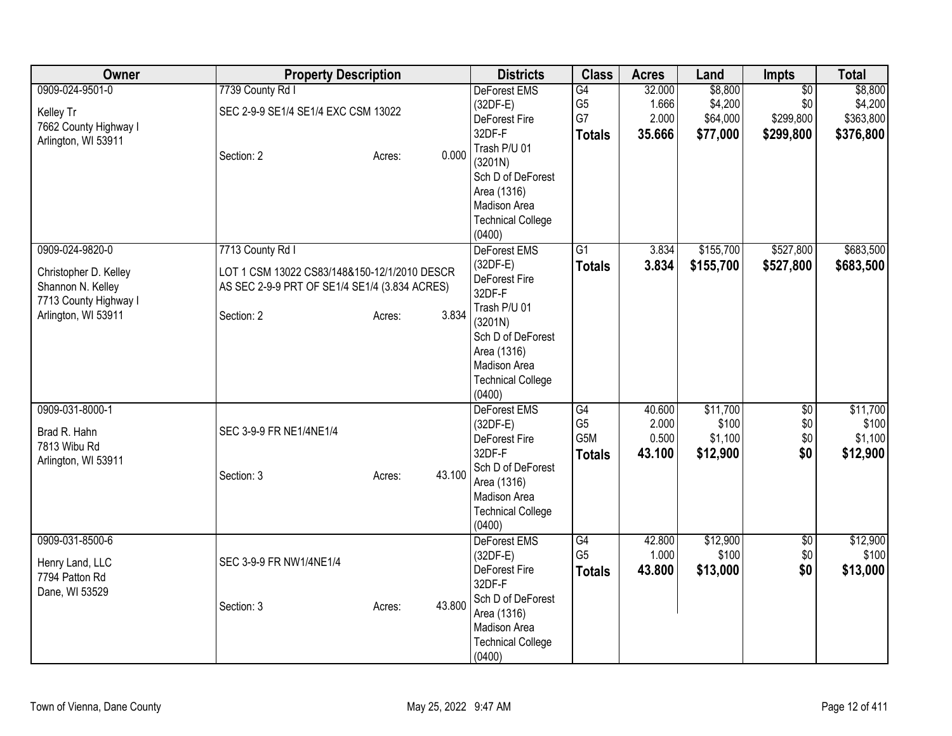| Owner                 | <b>Property Description</b>                   |                  | <b>Districts</b>         | <b>Class</b>     | <b>Acres</b> | Land      | <b>Impts</b>    | <b>Total</b> |
|-----------------------|-----------------------------------------------|------------------|--------------------------|------------------|--------------|-----------|-----------------|--------------|
| 0909-024-9501-0       | 7739 County Rd I                              |                  | DeForest EMS             | $\overline{G4}$  | 32.000       | \$8,800   | $\overline{50}$ | \$8,800      |
| Kelley Tr             | SEC 2-9-9 SE1/4 SE1/4 EXC CSM 13022           |                  | $(32DF-E)$               | G <sub>5</sub>   | 1.666        | \$4,200   | \$0             | \$4,200      |
| 7662 County Highway I |                                               |                  | DeForest Fire            | G7               | 2.000        | \$64,000  | \$299,800       | \$363,800    |
| Arlington, WI 53911   |                                               |                  | 32DF-F                   | <b>Totals</b>    | 35.666       | \$77,000  | \$299,800       | \$376,800    |
|                       | Section: 2                                    | 0.000<br>Acres:  | Trash P/U 01             |                  |              |           |                 |              |
|                       |                                               |                  | (3201N)                  |                  |              |           |                 |              |
|                       |                                               |                  | Sch D of DeForest        |                  |              |           |                 |              |
|                       |                                               |                  | Area (1316)              |                  |              |           |                 |              |
|                       |                                               |                  | Madison Area             |                  |              |           |                 |              |
|                       |                                               |                  | <b>Technical College</b> |                  |              |           |                 |              |
|                       |                                               |                  | (0400)<br>DeForest EMS   | $\overline{G1}$  |              | \$155,700 | \$527,800       | \$683,500    |
| 0909-024-9820-0       | 7713 County Rd I                              |                  | $(32DF-E)$               |                  | 3.834        |           |                 |              |
| Christopher D. Kelley | LOT 1 CSM 13022 CS83/148&150-12/1/2010 DESCR  |                  | DeForest Fire            | <b>Totals</b>    | 3.834        | \$155,700 | \$527,800       | \$683,500    |
| Shannon N. Kelley     | AS SEC 2-9-9 PRT OF SE1/4 SE1/4 (3.834 ACRES) |                  | 32DF-F                   |                  |              |           |                 |              |
| 7713 County Highway I |                                               |                  | Trash P/U 01             |                  |              |           |                 |              |
| Arlington, WI 53911   | Section: 2                                    | 3.834<br>Acres:  | (3201N)                  |                  |              |           |                 |              |
|                       |                                               |                  | Sch D of DeForest        |                  |              |           |                 |              |
|                       |                                               |                  | Area (1316)              |                  |              |           |                 |              |
|                       |                                               |                  | <b>Madison Area</b>      |                  |              |           |                 |              |
|                       |                                               |                  | <b>Technical College</b> |                  |              |           |                 |              |
|                       |                                               |                  | (0400)                   |                  |              |           |                 |              |
| 0909-031-8000-1       |                                               |                  | <b>DeForest EMS</b>      | G4               | 40.600       | \$11,700  | $\sqrt{6}$      | \$11,700     |
|                       |                                               |                  | $(32DF-E)$               | G <sub>5</sub>   | 2.000        | \$100     | \$0             | \$100        |
| Brad R. Hahn          | SEC 3-9-9 FR NE1/4NE1/4                       |                  | DeForest Fire            | G <sub>5</sub> M | 0.500        | \$1,100   | \$0             | \$1,100      |
| 7813 Wibu Rd          |                                               |                  | 32DF-F                   | <b>Totals</b>    | 43.100       | \$12,900  | \$0             | \$12,900     |
| Arlington, WI 53911   | Section: 3                                    | 43.100           | Sch D of DeForest        |                  |              |           |                 |              |
|                       |                                               | Acres:           | Area (1316)              |                  |              |           |                 |              |
|                       |                                               |                  | Madison Area             |                  |              |           |                 |              |
|                       |                                               |                  | <b>Technical College</b> |                  |              |           |                 |              |
|                       |                                               |                  | (0400)                   |                  |              |           |                 |              |
| 0909-031-8500-6       |                                               |                  | DeForest EMS             | G4               | 42.800       | \$12,900  | \$0             | \$12,900     |
| Henry Land, LLC       | SEC 3-9-9 FR NW1/4NE1/4                       |                  | $(32DF-E)$               | G <sub>5</sub>   | 1.000        | \$100     | \$0             | \$100        |
| 7794 Patton Rd        |                                               |                  | DeForest Fire            | <b>Totals</b>    | 43.800       | \$13,000  | \$0             | \$13,000     |
| Dane, WI 53529        |                                               |                  | 32DF-F                   |                  |              |           |                 |              |
|                       | Section: 3                                    | 43.800<br>Acres: | Sch D of DeForest        |                  |              |           |                 |              |
|                       |                                               |                  | Area (1316)              |                  |              |           |                 |              |
|                       |                                               |                  | Madison Area             |                  |              |           |                 |              |
|                       |                                               |                  | <b>Technical College</b> |                  |              |           |                 |              |
|                       |                                               |                  | (0400)                   |                  |              |           |                 |              |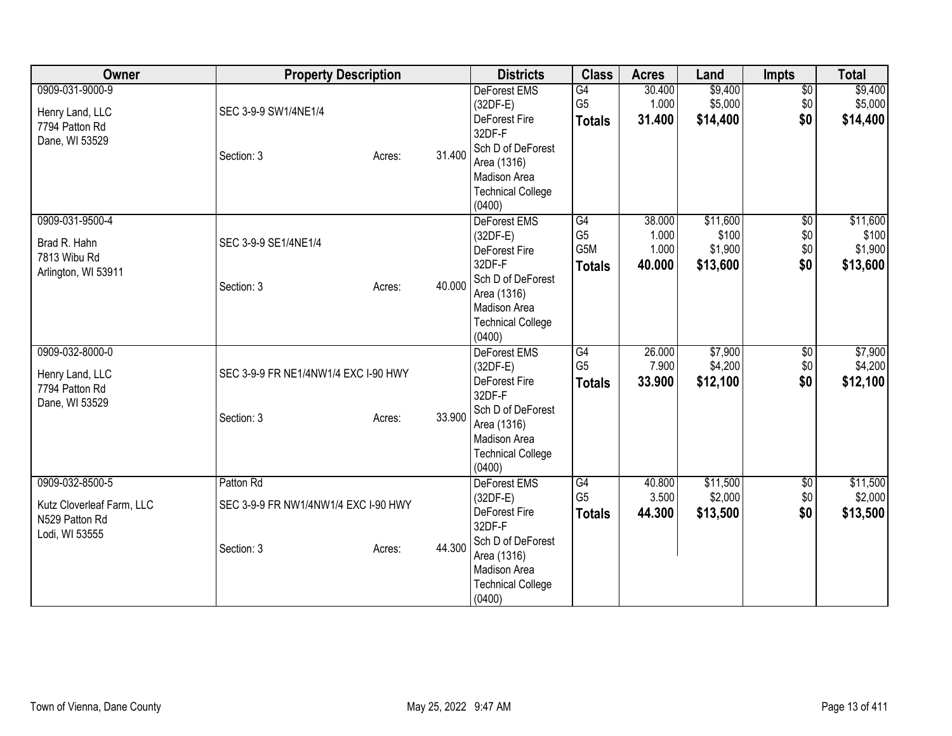| Owner                                                                            | <b>Property Description</b>                                     |                  | <b>Districts</b>                                                                                                                                              | <b>Class</b>                                 | <b>Acres</b>                       | Land                                     | <b>Impts</b>                         | <b>Total</b>                             |
|----------------------------------------------------------------------------------|-----------------------------------------------------------------|------------------|---------------------------------------------------------------------------------------------------------------------------------------------------------------|----------------------------------------------|------------------------------------|------------------------------------------|--------------------------------------|------------------------------------------|
| 0909-031-9000-9<br>Henry Land, LLC<br>7794 Patton Rd<br>Dane, WI 53529           | SEC 3-9-9 SW1/4NE1/4<br>Section: 3                              | 31.400<br>Acres: | <b>DeForest EMS</b><br>$(32DF-E)$<br>DeForest Fire<br>32DF-F<br>Sch D of DeForest<br>Area (1316)<br>Madison Area<br><b>Technical College</b><br>(0400)        | G4<br>G <sub>5</sub><br><b>Totals</b>        | 30.400<br>1.000<br>31.400          | \$9,400<br>\$5,000<br>\$14,400           | $\overline{50}$<br>\$0<br>\$0        | \$9,400<br>\$5,000<br>\$14,400           |
| 0909-031-9500-4<br>Brad R. Hahn<br>7813 Wibu Rd<br>Arlington, WI 53911           | SEC 3-9-9 SE1/4NE1/4<br>Section: 3                              | 40.000<br>Acres: | DeForest EMS<br>$(32DF-E)$<br>DeForest Fire<br>32DF-F<br>Sch D of DeForest<br>Area (1316)<br>Madison Area<br><b>Technical College</b><br>(0400)               | G4<br>G <sub>5</sub><br>G5M<br><b>Totals</b> | 38.000<br>1.000<br>1.000<br>40.000 | \$11,600<br>\$100<br>\$1,900<br>\$13,600 | $\overline{50}$<br>\$0<br>\$0<br>\$0 | \$11,600<br>\$100<br>\$1,900<br>\$13,600 |
| 0909-032-8000-0<br>Henry Land, LLC<br>7794 Patton Rd<br>Dane, WI 53529           | SEC 3-9-9 FR NE1/4NW1/4 EXC I-90 HWY<br>Section: 3              | 33.900<br>Acres: | <b>DeForest EMS</b><br>$(32DF-E)$<br>DeForest Fire<br>32DF-F<br>Sch D of DeForest<br>Area (1316)<br><b>Madison Area</b><br><b>Technical College</b><br>(0400) | G4<br>G <sub>5</sub><br><b>Totals</b>        | 26.000<br>7.900<br>33.900          | \$7,900<br>\$4,200<br>\$12,100           | \$0<br>\$0<br>\$0                    | \$7,900<br>\$4,200<br>\$12,100           |
| 0909-032-8500-5<br>Kutz Cloverleaf Farm, LLC<br>N529 Patton Rd<br>Lodi, WI 53555 | Patton Rd<br>SEC 3-9-9 FR NW1/4NW1/4 EXC I-90 HWY<br>Section: 3 | 44.300<br>Acres: | DeForest EMS<br>$(32DF-E)$<br>DeForest Fire<br>32DF-F<br>Sch D of DeForest<br>Area (1316)<br>Madison Area<br><b>Technical College</b><br>(0400)               | G4<br>G <sub>5</sub><br><b>Totals</b>        | 40.800<br>3.500<br>44.300          | \$11,500<br>\$2,000<br>\$13,500          | $\overline{50}$<br>\$0<br>\$0        | \$11,500<br>\$2,000<br>\$13,500          |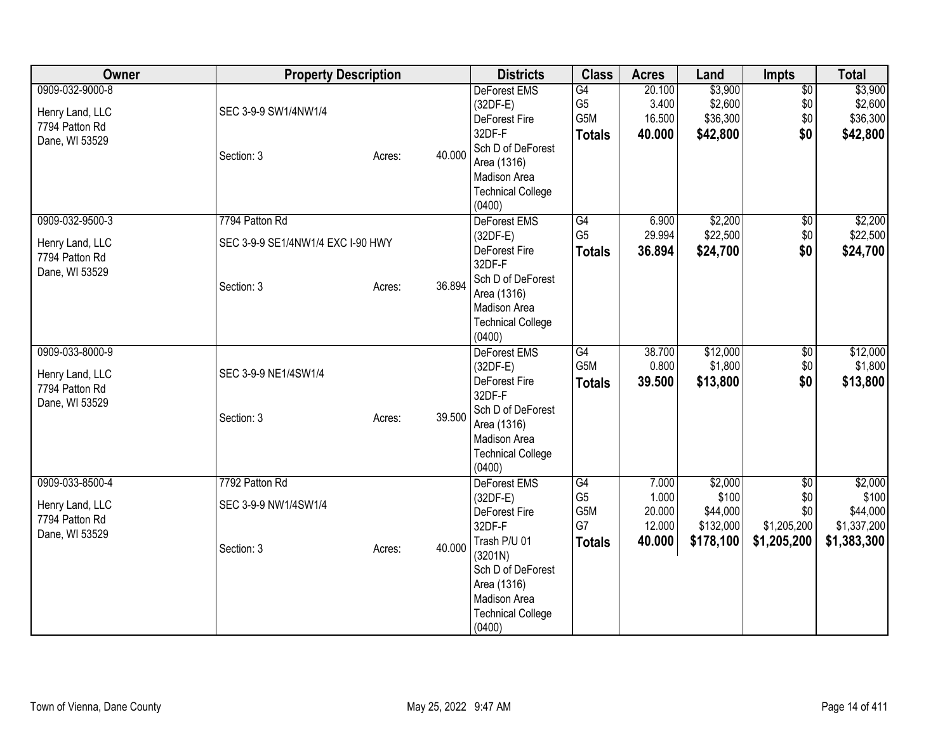| Owner                                                                  | <b>Property Description</b>                                       |        |        | <b>Districts</b>                                                                                                                                                           | <b>Class</b>                                         | <b>Acres</b>                                 | Land                                                   | Impts                                                       | <b>Total</b>                                               |
|------------------------------------------------------------------------|-------------------------------------------------------------------|--------|--------|----------------------------------------------------------------------------------------------------------------------------------------------------------------------------|------------------------------------------------------|----------------------------------------------|--------------------------------------------------------|-------------------------------------------------------------|------------------------------------------------------------|
| 0909-032-9000-8<br>Henry Land, LLC<br>7794 Patton Rd<br>Dane, WI 53529 | SEC 3-9-9 SW1/4NW1/4<br>Section: 3                                | Acres: | 40.000 | <b>DeForest EMS</b><br>$(32DF-E)$<br>DeForest Fire<br>32DF-F<br>Sch D of DeForest<br>Area (1316)<br>Madison Area<br><b>Technical College</b><br>(0400)                     | G4<br>G <sub>5</sub><br>G5M<br><b>Totals</b>         | 20.100<br>3.400<br>16.500<br>40.000          | \$3,900<br>\$2,600<br>\$36,300<br>\$42,800             | $\overline{50}$<br>\$0<br>\$0<br>\$0                        | \$3,900<br>\$2,600<br>\$36,300<br>\$42,800                 |
| 0909-032-9500-3<br>Henry Land, LLC<br>7794 Patton Rd<br>Dane, WI 53529 | 7794 Patton Rd<br>SEC 3-9-9 SE1/4NW1/4 EXC I-90 HWY<br>Section: 3 | Acres: | 36.894 | DeForest EMS<br>$(32DF-E)$<br>DeForest Fire<br>32DF-F<br>Sch D of DeForest<br>Area (1316)<br>Madison Area<br><b>Technical College</b><br>(0400)                            | G4<br>G <sub>5</sub><br><b>Totals</b>                | 6.900<br>29.994<br>36.894                    | \$2,200<br>\$22,500<br>\$24,700                        | $\sqrt{6}$<br>\$0<br>\$0                                    | \$2,200<br>\$22,500<br>\$24,700                            |
| 0909-033-8000-9<br>Henry Land, LLC<br>7794 Patton Rd<br>Dane, WI 53529 | SEC 3-9-9 NE1/4SW1/4<br>Section: 3                                | Acres: | 39.500 | <b>DeForest EMS</b><br>$(32DF-E)$<br>DeForest Fire<br>32DF-F<br>Sch D of DeForest<br>Area (1316)<br>Madison Area<br><b>Technical College</b><br>(0400)                     | $\overline{G4}$<br>G <sub>5</sub> M<br><b>Totals</b> | 38.700<br>0.800<br>39.500                    | \$12,000<br>\$1,800<br>\$13,800                        | $\overline{50}$<br>\$0<br>\$0                               | \$12,000<br>\$1,800<br>\$13,800                            |
| 0909-033-8500-4<br>Henry Land, LLC<br>7794 Patton Rd<br>Dane, WI 53529 | 7792 Patton Rd<br>SEC 3-9-9 NW1/4SW1/4<br>Section: 3              | Acres: | 40.000 | DeForest EMS<br>$(32DF-E)$<br>DeForest Fire<br>32DF-F<br>Trash P/U 01<br>(3201N)<br>Sch D of DeForest<br>Area (1316)<br>Madison Area<br><b>Technical College</b><br>(0400) | G4<br>G <sub>5</sub><br>G5M<br>G7<br><b>Totals</b>   | 7.000<br>1.000<br>20.000<br>12.000<br>40.000 | \$2,000<br>\$100<br>\$44,000<br>\$132,000<br>\$178,100 | $\overline{50}$<br>\$0<br>\$0<br>\$1,205,200<br>\$1,205,200 | \$2,000<br>\$100<br>\$44,000<br>\$1,337,200<br>\$1,383,300 |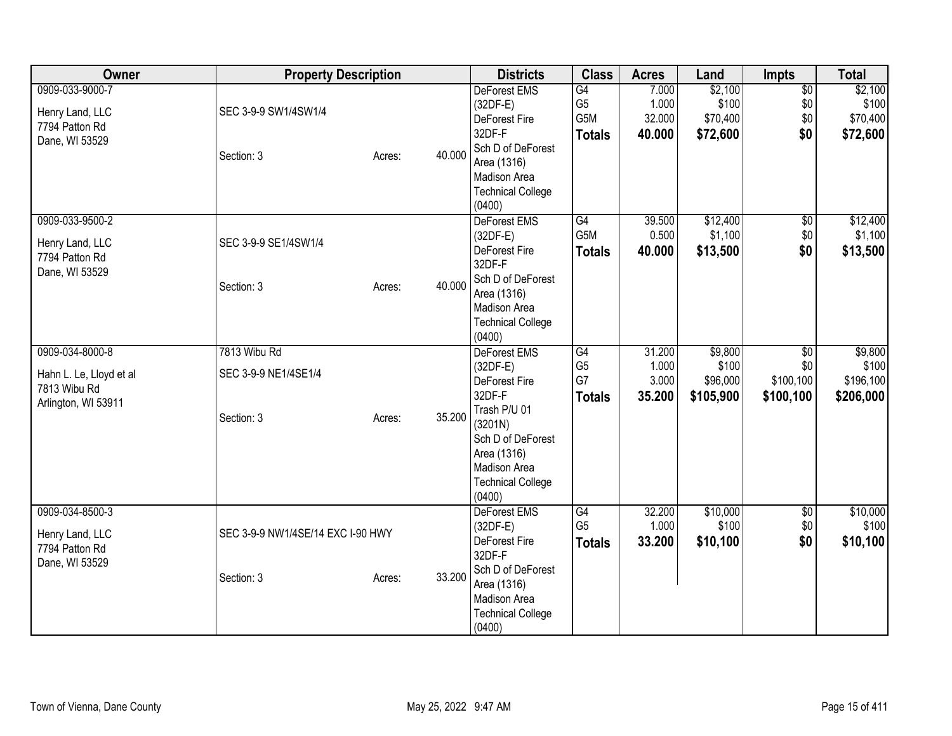| Owner                                                                             | <b>Property Description</b>                        |        |        | <b>Districts</b>                                                                                                                                                                  | <b>Class</b>                                 | <b>Acres</b>                       | Land                                      | Impts                                            | <b>Total</b>                               |
|-----------------------------------------------------------------------------------|----------------------------------------------------|--------|--------|-----------------------------------------------------------------------------------------------------------------------------------------------------------------------------------|----------------------------------------------|------------------------------------|-------------------------------------------|--------------------------------------------------|--------------------------------------------|
| 0909-033-9000-7<br>Henry Land, LLC<br>7794 Patton Rd<br>Dane, WI 53529            | SEC 3-9-9 SW1/4SW1/4<br>Section: 3                 | Acres: | 40.000 | DeForest EMS<br>$(32DF-E)$<br>DeForest Fire<br>32DF-F<br>Sch D of DeForest<br>Area (1316)<br>Madison Area<br><b>Technical College</b><br>(0400)                                   | G4<br>G <sub>5</sub><br>G5M<br><b>Totals</b> | 7.000<br>1.000<br>32.000<br>40.000 | \$2,100<br>\$100<br>\$70,400<br>\$72,600  | $\overline{50}$<br>\$0<br>\$0<br>\$0             | \$2,100<br>\$100<br>\$70,400<br>\$72,600   |
| 0909-033-9500-2<br>Henry Land, LLC<br>7794 Patton Rd<br>Dane, WI 53529            | SEC 3-9-9 SE1/4SW1/4<br>Section: 3                 | Acres: | 40.000 | DeForest EMS<br>$(32DF-E)$<br>DeForest Fire<br>32DF-F<br>Sch D of DeForest<br>Area (1316)<br>Madison Area<br><b>Technical College</b><br>(0400)                                   | $\overline{G4}$<br>G5M<br><b>Totals</b>      | 39.500<br>0.500<br>40.000          | \$12,400<br>\$1,100<br>\$13,500           | $\overline{50}$<br>$$0$$<br>\$0                  | \$12,400<br>\$1,100<br>\$13,500            |
| 0909-034-8000-8<br>Hahn L. Le, Lloyd et al<br>7813 Wibu Rd<br>Arlington, WI 53911 | 7813 Wibu Rd<br>SEC 3-9-9 NE1/4SE1/4<br>Section: 3 | Acres: | 35.200 | <b>DeForest EMS</b><br>$(32DF-E)$<br>DeForest Fire<br>32DF-F<br>Trash P/U 01<br>(3201N)<br>Sch D of DeForest<br>Area (1316)<br>Madison Area<br><b>Technical College</b><br>(0400) | G4<br>G <sub>5</sub><br>G7<br><b>Totals</b>  | 31.200<br>1.000<br>3.000<br>35.200 | \$9,800<br>\$100<br>\$96,000<br>\$105,900 | $\overline{50}$<br>\$0<br>\$100,100<br>\$100,100 | \$9,800<br>\$100<br>\$196,100<br>\$206,000 |
| 0909-034-8500-3<br>Henry Land, LLC<br>7794 Patton Rd<br>Dane, WI 53529            | SEC 3-9-9 NW1/4SE/14 EXC I-90 HWY<br>Section: 3    | Acres: | 33.200 | DeForest EMS<br>$(32DF-E)$<br>DeForest Fire<br>32DF-F<br>Sch D of DeForest<br>Area (1316)<br>Madison Area<br><b>Technical College</b><br>(0400)                                   | G4<br>G <sub>5</sub><br><b>Totals</b>        | 32.200<br>1.000<br>33.200          | \$10,000<br>\$100<br>\$10,100             | $\overline{50}$<br>\$0<br>\$0                    | \$10,000<br>\$100<br>\$10,100              |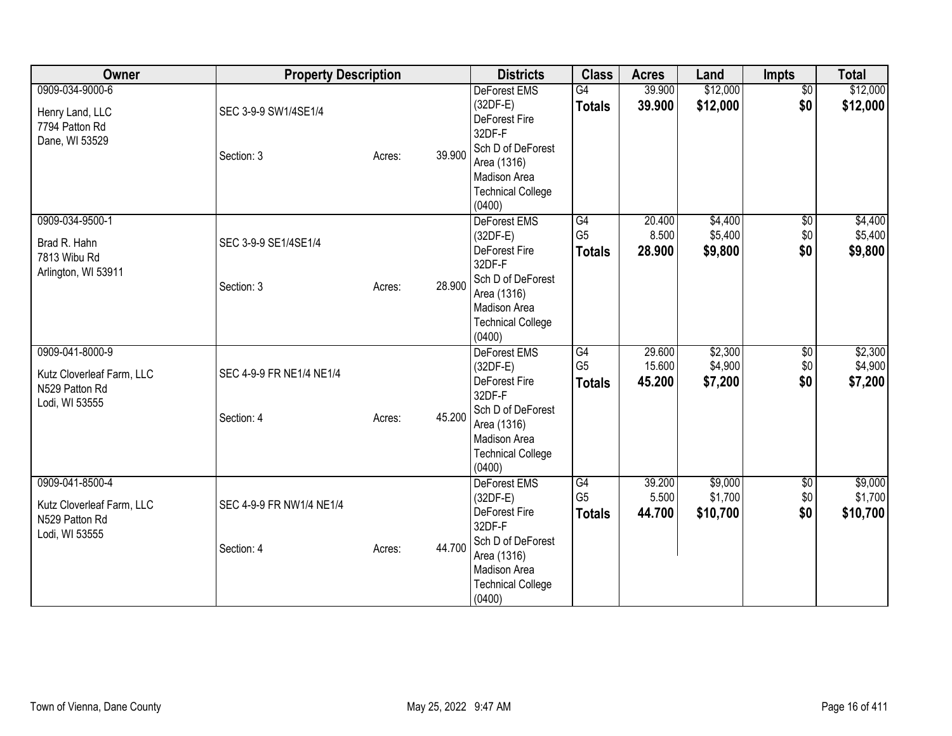| Owner                                                                            | <b>Property Description</b>            |        |        | <b>Districts</b>                                                                                                                                              | <b>Class</b>                                       | <b>Acres</b>               | Land                           | Impts                         | <b>Total</b>                   |
|----------------------------------------------------------------------------------|----------------------------------------|--------|--------|---------------------------------------------------------------------------------------------------------------------------------------------------------------|----------------------------------------------------|----------------------------|--------------------------------|-------------------------------|--------------------------------|
| 0909-034-9000-6<br>Henry Land, LLC<br>7794 Patton Rd<br>Dane, WI 53529           | SEC 3-9-9 SW1/4SE1/4<br>Section: 3     | Acres: | 39.900 | <b>DeForest EMS</b><br>$(32DF-E)$<br>DeForest Fire<br>32DF-F<br>Sch D of DeForest<br>Area (1316)<br>Madison Area<br><b>Technical College</b><br>(0400)        | G4<br><b>Totals</b>                                | 39.900<br>39.900           | \$12,000<br>\$12,000           | $\overline{50}$<br>\$0        | \$12,000<br>\$12,000           |
| 0909-034-9500-1<br>Brad R. Hahn<br>7813 Wibu Rd<br>Arlington, WI 53911           | SEC 3-9-9 SE1/4SE1/4<br>Section: 3     | Acres: | 28.900 | DeForest EMS<br>$(32DF-E)$<br>DeForest Fire<br>32DF-F<br>Sch D of DeForest<br>Area (1316)<br>Madison Area<br><b>Technical College</b><br>(0400)               | $\overline{G4}$<br>G <sub>5</sub><br><b>Totals</b> | 20.400<br>8.500<br>28.900  | \$4,400<br>\$5,400<br>\$9,800  | $\overline{30}$<br>\$0<br>\$0 | \$4,400<br>\$5,400<br>\$9,800  |
| 0909-041-8000-9<br>Kutz Cloverleaf Farm, LLC<br>N529 Patton Rd<br>Lodi, WI 53555 | SEC 4-9-9 FR NE1/4 NE1/4<br>Section: 4 | Acres: | 45.200 | <b>DeForest EMS</b><br>$(32DF-E)$<br>DeForest Fire<br>32DF-F<br>Sch D of DeForest<br>Area (1316)<br><b>Madison Area</b><br><b>Technical College</b><br>(0400) | G4<br>G <sub>5</sub><br><b>Totals</b>              | 29.600<br>15.600<br>45.200 | \$2,300<br>\$4,900<br>\$7,200  | \$0<br>\$0<br>\$0             | \$2,300<br>\$4,900<br>\$7,200  |
| 0909-041-8500-4<br>Kutz Cloverleaf Farm, LLC<br>N529 Patton Rd<br>Lodi, WI 53555 | SEC 4-9-9 FR NW1/4 NE1/4<br>Section: 4 | Acres: | 44.700 | DeForest EMS<br>$(32DF-E)$<br>DeForest Fire<br>32DF-F<br>Sch D of DeForest<br>Area (1316)<br>Madison Area<br><b>Technical College</b><br>(0400)               | G4<br>G <sub>5</sub><br><b>Totals</b>              | 39.200<br>5.500<br>44.700  | \$9,000<br>\$1,700<br>\$10,700 | $\overline{50}$<br>\$0<br>\$0 | \$9,000<br>\$1,700<br>\$10,700 |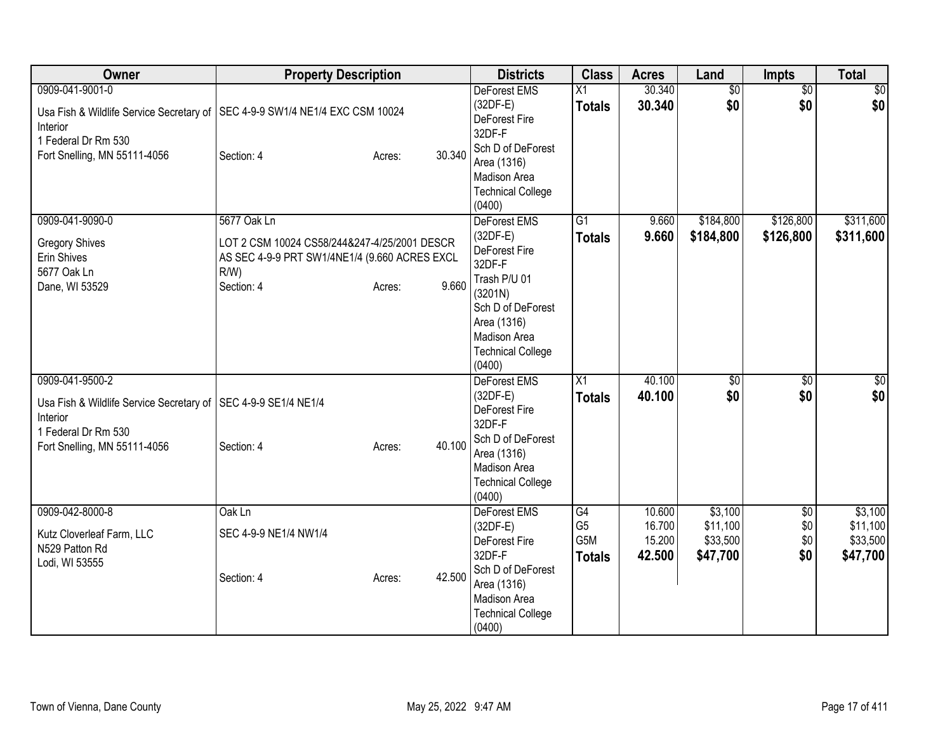| Owner                                                                                                                          | <b>Property Description</b>                                                                                                                              | <b>Districts</b>                                                                                                                                                           | <b>Class</b>                                 | <b>Acres</b>                         | Land                                        | Impts                                | <b>Total</b>                                |
|--------------------------------------------------------------------------------------------------------------------------------|----------------------------------------------------------------------------------------------------------------------------------------------------------|----------------------------------------------------------------------------------------------------------------------------------------------------------------------------|----------------------------------------------|--------------------------------------|---------------------------------------------|--------------------------------------|---------------------------------------------|
| 0909-041-9001-0<br>Interior<br>1 Federal Dr Rm 530<br>Fort Snelling, MN 55111-4056                                             | Usa Fish & Wildlife Service Secretary of   SEC 4-9-9 SW1/4 NE1/4 EXC CSM 10024<br>30.340<br>Section: 4<br>Acres:                                         | <b>DeForest EMS</b><br>$(32DF-E)$<br>DeForest Fire<br>32DF-F<br>Sch D of DeForest<br>Area (1316)<br>Madison Area<br><b>Technical College</b><br>(0400)                     | $\overline{X1}$<br><b>Totals</b>             | 30.340<br>30.340                     | $\overline{60}$<br>\$0                      | $\overline{60}$<br>\$0               | \$0<br>\$0                                  |
| 0909-041-9090-0<br><b>Gregory Shives</b><br>Erin Shives<br>5677 Oak Ln<br>Dane, WI 53529                                       | 5677 Oak Ln<br>LOT 2 CSM 10024 CS58/244&247-4/25/2001 DESCR<br>AS SEC 4-9-9 PRT SW1/4NE1/4 (9.660 ACRES EXCL<br>$R/W$ )<br>9.660<br>Section: 4<br>Acres: | DeForest EMS<br>$(32DF-E)$<br>DeForest Fire<br>32DF-F<br>Trash P/U 01<br>(3201N)<br>Sch D of DeForest<br>Area (1316)<br>Madison Area<br><b>Technical College</b><br>(0400) | $\overline{G1}$<br><b>Totals</b>             | 9.660<br>9.660                       | \$184,800<br>\$184,800                      | \$126,800<br>\$126,800               | \$311,600<br>\$311,600                      |
| 0909-041-9500-2<br>Usa Fish & Wildlife Service Secretary of<br>Interior<br>1 Federal Dr Rm 530<br>Fort Snelling, MN 55111-4056 | SEC 4-9-9 SE1/4 NE1/4<br>40.100<br>Section: 4<br>Acres:                                                                                                  | DeForest EMS<br>$(32DF-E)$<br>DeForest Fire<br>32DF-F<br>Sch D of DeForest<br>Area (1316)<br>Madison Area<br><b>Technical College</b><br>(0400)                            | X1<br><b>Totals</b>                          | 40.100<br>40.100                     | \$0<br>\$0                                  | \$0<br>\$0                           | \$0<br>\$0                                  |
| 0909-042-8000-8<br>Kutz Cloverleaf Farm, LLC<br>N529 Patton Rd<br>Lodi, WI 53555                                               | Oak Ln<br>SEC 4-9-9 NE1/4 NW1/4<br>42.500<br>Section: 4<br>Acres:                                                                                        | DeForest EMS<br>$(32DF-E)$<br>DeForest Fire<br>32DF-F<br>Sch D of DeForest<br>Area (1316)<br>Madison Area<br><b>Technical College</b><br>(0400)                            | G4<br>G <sub>5</sub><br>G5M<br><b>Totals</b> | 10.600<br>16.700<br>15.200<br>42.500 | \$3,100<br>\$11,100<br>\$33,500<br>\$47,700 | $\overline{50}$<br>\$0<br>\$0<br>\$0 | \$3,100<br>\$11,100<br>\$33,500<br>\$47,700 |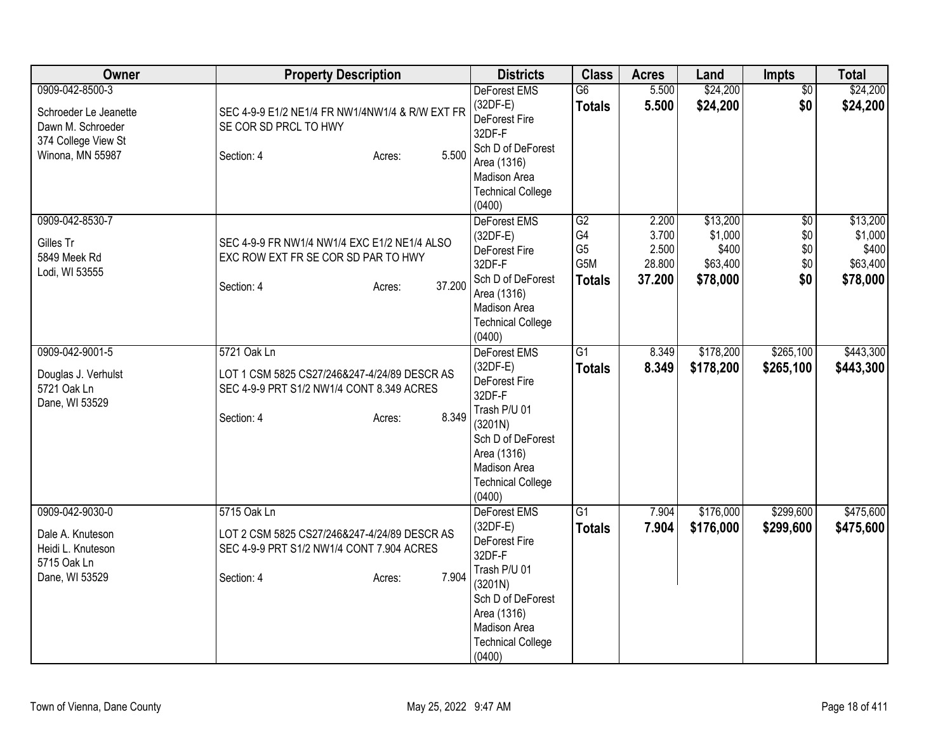| Owner                                                                                                    | <b>Property Description</b>                                                                                                               | <b>Districts</b>                                                                                                                                                                  | <b>Class</b>                                       | <b>Acres</b>                                | Land                                                 | Impts                                           | <b>Total</b>                                         |
|----------------------------------------------------------------------------------------------------------|-------------------------------------------------------------------------------------------------------------------------------------------|-----------------------------------------------------------------------------------------------------------------------------------------------------------------------------------|----------------------------------------------------|---------------------------------------------|------------------------------------------------------|-------------------------------------------------|------------------------------------------------------|
| 0909-042-8500-3<br>Schroeder Le Jeanette<br>Dawn M. Schroeder<br>374 College View St<br>Winona, MN 55987 | SEC 4-9-9 E1/2 NE1/4 FR NW1/4NW1/4 & R/W EXT FR<br>SE COR SD PRCL TO HWY<br>5.500<br>Section: 4<br>Acres:                                 | DeForest EMS<br>$(32DF-E)$<br>DeForest Fire<br>32DF-F<br>Sch D of DeForest<br>Area (1316)<br>Madison Area<br><b>Technical College</b><br>(0400)                                   | $\overline{G6}$<br><b>Totals</b>                   | 5.500<br>5.500                              | \$24,200<br>\$24,200                                 | $\overline{50}$<br>\$0                          | \$24,200<br>\$24,200                                 |
| 0909-042-8530-7<br>Gilles Tr<br>5849 Meek Rd<br>Lodi, WI 53555                                           | SEC 4-9-9 FR NW1/4 NW1/4 EXC E1/2 NE1/4 ALSO<br>EXC ROW EXT FR SE COR SD PAR TO HWY<br>37.200<br>Section: 4<br>Acres:                     | DeForest EMS<br>$(32DF-E)$<br>DeForest Fire<br>32DF-F<br>Sch D of DeForest<br>Area (1316)<br>Madison Area<br><b>Technical College</b><br>(0400)                                   | G2<br>G4<br>G <sub>5</sub><br>G5M<br><b>Totals</b> | 2.200<br>3.700<br>2.500<br>28.800<br>37.200 | \$13,200<br>\$1,000<br>\$400<br>\$63,400<br>\$78,000 | $\overline{50}$<br>\$0<br>\$0\$<br>\$0\$<br>\$0 | \$13,200<br>\$1,000<br>\$400<br>\$63,400<br>\$78,000 |
| 0909-042-9001-5<br>Douglas J. Verhulst<br>5721 Oak Ln<br>Dane, WI 53529                                  | 5721 Oak Ln<br>LOT 1 CSM 5825 CS27/246&247-4/24/89 DESCR AS<br>SEC 4-9-9 PRT S1/2 NW1/4 CONT 8.349 ACRES<br>8.349<br>Section: 4<br>Acres: | DeForest EMS<br>$(32DF-E)$<br>DeForest Fire<br>32DF-F<br>Trash P/U 01<br>(3201N)<br>Sch D of DeForest<br>Area (1316)<br>Madison Area<br><b>Technical College</b><br>(0400)        | G1<br><b>Totals</b>                                | 8.349<br>8.349                              | \$178,200<br>\$178,200                               | \$265,100<br>\$265,100                          | \$443,300<br>\$443,300                               |
| 0909-042-9030-0<br>Dale A. Knuteson<br>Heidi L. Knuteson<br>5715 Oak Ln<br>Dane, WI 53529                | 5715 Oak Ln<br>LOT 2 CSM 5825 CS27/246&247-4/24/89 DESCR AS<br>SEC 4-9-9 PRT S1/2 NW1/4 CONT 7.904 ACRES<br>7.904<br>Section: 4<br>Acres: | <b>DeForest EMS</b><br>$(32DF-E)$<br>DeForest Fire<br>32DF-F<br>Trash P/U 01<br>(3201N)<br>Sch D of DeForest<br>Area (1316)<br>Madison Area<br><b>Technical College</b><br>(0400) | G1<br><b>Totals</b>                                | 7.904<br>7.904                              | \$176,000<br>\$176,000                               | \$299,600<br>\$299,600                          | \$475,600<br>\$475,600                               |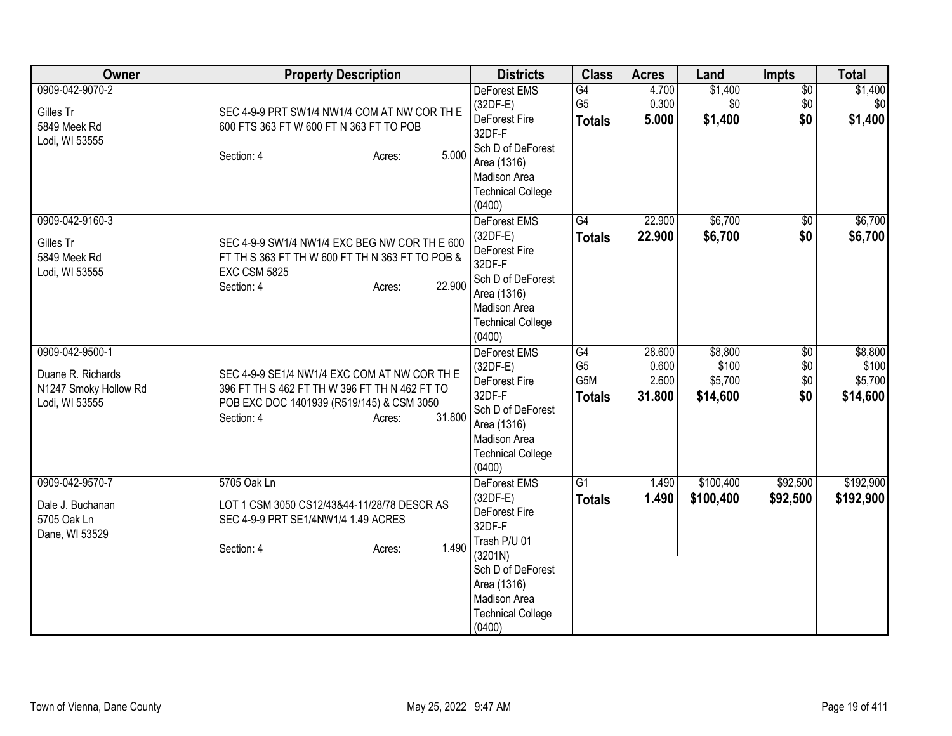| Owner                                                                           | <b>Property Description</b>                                                                                                                                                  | <b>Districts</b>                                                                                                                                                                  | <b>Class</b>                                 | <b>Acres</b>                       | Land                                    | Impts                                | <b>Total</b>                            |
|---------------------------------------------------------------------------------|------------------------------------------------------------------------------------------------------------------------------------------------------------------------------|-----------------------------------------------------------------------------------------------------------------------------------------------------------------------------------|----------------------------------------------|------------------------------------|-----------------------------------------|--------------------------------------|-----------------------------------------|
| 0909-042-9070-2<br>Gilles Tr<br>5849 Meek Rd<br>Lodi, WI 53555                  | SEC 4-9-9 PRT SW1/4 NW1/4 COM AT NW COR TH E<br>600 FTS 363 FT W 600 FT N 363 FT TO POB<br>5.000<br>Section: 4<br>Acres:                                                     | DeForest EMS<br>$(32DF-E)$<br>DeForest Fire<br>32DF-F<br>Sch D of DeForest<br>Area (1316)<br>Madison Area<br><b>Technical College</b><br>(0400)                                   | G4<br>G <sub>5</sub><br><b>Totals</b>        | 4.700<br>0.300<br>5.000            | \$1,400<br>\$0<br>\$1,400               | $\overline{50}$<br>\$0<br>\$0        | \$1,400<br>\$0<br>\$1,400               |
| 0909-042-9160-3<br>Gilles Tr<br>5849 Meek Rd<br>Lodi, WI 53555                  | SEC 4-9-9 SW1/4 NW1/4 EXC BEG NW COR TH E 600<br>FT TH S 363 FT TH W 600 FT TH N 363 FT TO POB &<br><b>EXC CSM 5825</b><br>22.900<br>Section: 4<br>Acres:                    | DeForest EMS<br>$(32DF-E)$<br>DeForest Fire<br>32DF-F<br>Sch D of DeForest<br>Area (1316)<br>Madison Area<br><b>Technical College</b><br>(0400)                                   | $\overline{G4}$<br><b>Totals</b>             | 22.900<br>22,900                   | \$6,700<br>\$6,700                      | $\overline{50}$<br>\$0               | \$6,700<br>\$6,700                      |
| 0909-042-9500-1<br>Duane R. Richards<br>N1247 Smoky Hollow Rd<br>Lodi, WI 53555 | SEC 4-9-9 SE1/4 NW1/4 EXC COM AT NW COR TH E<br>396 FT TH S 462 FT TH W 396 FT TH N 462 FT TO<br>POB EXC DOC 1401939 (R519/145) & CSM 3050<br>31.800<br>Section: 4<br>Acres: | <b>DeForest EMS</b><br>$(32DF-E)$<br>DeForest Fire<br>32DF-F<br>Sch D of DeForest<br>Area (1316)<br>Madison Area<br><b>Technical College</b><br>(0400)                            | G4<br>G <sub>5</sub><br>G5M<br><b>Totals</b> | 28.600<br>0.600<br>2.600<br>31.800 | \$8,800<br>\$100<br>\$5,700<br>\$14,600 | $\overline{50}$<br>\$0<br>\$0<br>\$0 | \$8,800<br>\$100<br>\$5,700<br>\$14,600 |
| 0909-042-9570-7<br>Dale J. Buchanan<br>5705 Oak Ln<br>Dane, WI 53529            | 5705 Oak Ln<br>LOT 1 CSM 3050 CS12/43&44-11/28/78 DESCR AS<br>SEC 4-9-9 PRT SE1/4NW1/4 1.49 ACRES<br>1.490<br>Section: 4<br>Acres:                                           | <b>DeForest EMS</b><br>$(32DF-E)$<br>DeForest Fire<br>32DF-F<br>Trash P/U 01<br>(3201N)<br>Sch D of DeForest<br>Area (1316)<br>Madison Area<br><b>Technical College</b><br>(0400) | G1<br><b>Totals</b>                          | 1.490<br>1.490                     | \$100,400<br>\$100,400                  | \$92,500<br>\$92,500                 | \$192,900<br>\$192,900                  |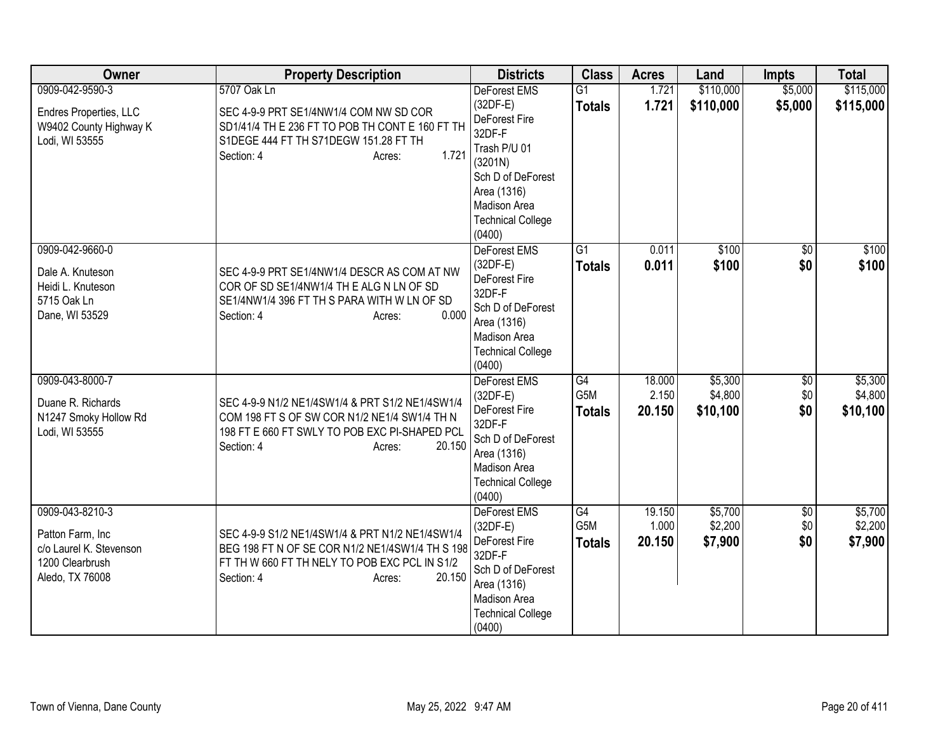| Owner                                                                                                | <b>Property Description</b>                                                                                                                                                           | <b>Districts</b>                                                                                                                                                                  | <b>Class</b>                                         | <b>Acres</b>              | Land                           | <b>Impts</b>                  | <b>Total</b>                   |
|------------------------------------------------------------------------------------------------------|---------------------------------------------------------------------------------------------------------------------------------------------------------------------------------------|-----------------------------------------------------------------------------------------------------------------------------------------------------------------------------------|------------------------------------------------------|---------------------------|--------------------------------|-------------------------------|--------------------------------|
| 0909-042-9590-3<br>Endres Properties, LLC<br>W9402 County Highway K<br>Lodi, WI 53555                | 5707 Oak Ln<br>SEC 4-9-9 PRT SE1/4NW1/4 COM NW SD COR<br>SD1/41/4 TH E 236 FT TO POB TH CONT E 160 FT TH<br>S1DEGE 444 FT TH S71DEGW 151.28 FT TH<br>1.721<br>Section: 4<br>Acres:    | <b>DeForest EMS</b><br>$(32DF-E)$<br>DeForest Fire<br>32DF-F<br>Trash P/U 01<br>(3201N)<br>Sch D of DeForest<br>Area (1316)<br>Madison Area<br><b>Technical College</b><br>(0400) | $\overline{G1}$<br><b>Totals</b>                     | 1.721<br>1.721            | \$110,000<br>\$110,000         | \$5,000<br>\$5,000            | \$115,000<br>\$115,000         |
| 0909-042-9660-0<br>Dale A. Knuteson<br>Heidi L. Knuteson<br>5715 Oak Ln<br>Dane, WI 53529            | SEC 4-9-9 PRT SE1/4NW1/4 DESCR AS COM AT NW<br>COR OF SD SE1/4NW1/4 THE ALG N LN OF SD<br>SE1/4NW1/4 396 FT TH S PARA WITH W LN OF SD<br>0.000<br>Section: 4<br>Acres:                | DeForest EMS<br>$(32DF-E)$<br>DeForest Fire<br>32DF-F<br>Sch D of DeForest<br>Area (1316)<br><b>Madison Area</b><br><b>Technical College</b><br>(0400)                            | G1<br><b>Totals</b>                                  | 0.011<br>0.011            | \$100<br>\$100                 | $\sqrt{6}$<br>\$0             | \$100<br>\$100                 |
| 0909-043-8000-7<br>Duane R. Richards<br>N1247 Smoky Hollow Rd<br>Lodi, WI 53555                      | SEC 4-9-9 N1/2 NE1/4SW1/4 & PRT S1/2 NE1/4SW1/4<br>COM 198 FT S OF SW COR N1/2 NE1/4 SW1/4 TH N<br>198 FT E 660 FT SWLY TO POB EXC PI-SHAPED PCL<br>20.150<br>Section: 4<br>Acres:    | DeForest EMS<br>(32DF-E)<br>DeForest Fire<br>32DF-F<br>Sch D of DeForest<br>Area (1316)<br>Madison Area<br><b>Technical College</b><br>(0400)                                     | G4<br>G <sub>5</sub> M<br><b>Totals</b>              | 18.000<br>2.150<br>20.150 | \$5,300<br>\$4,800<br>\$10,100 | \$0<br>\$0<br>\$0             | \$5,300<br>\$4,800<br>\$10,100 |
| 0909-043-8210-3<br>Patton Farm, Inc<br>c/o Laurel K. Stevenson<br>1200 Clearbrush<br>Aledo, TX 76008 | SEC 4-9-9 S1/2 NE1/4SW1/4 & PRT N1/2 NE1/4SW1/4<br>BEG 198 FT N OF SE COR N1/2 NE1/4SW1/4 TH S 198<br>FT TH W 660 FT TH NELY TO POB EXC PCL IN S1/2<br>20.150<br>Section: 4<br>Acres: | <b>DeForest EMS</b><br>$(32DF-E)$<br>DeForest Fire<br>32DF-F<br>Sch D of DeForest<br>Area (1316)<br>Madison Area<br><b>Technical College</b><br>(0400)                            | $\overline{G4}$<br>G <sub>5</sub> M<br><b>Totals</b> | 19.150<br>1.000<br>20.150 | \$5,700<br>\$2,200<br>\$7,900  | $\overline{50}$<br>\$0<br>\$0 | \$5,700<br>\$2,200<br>\$7,900  |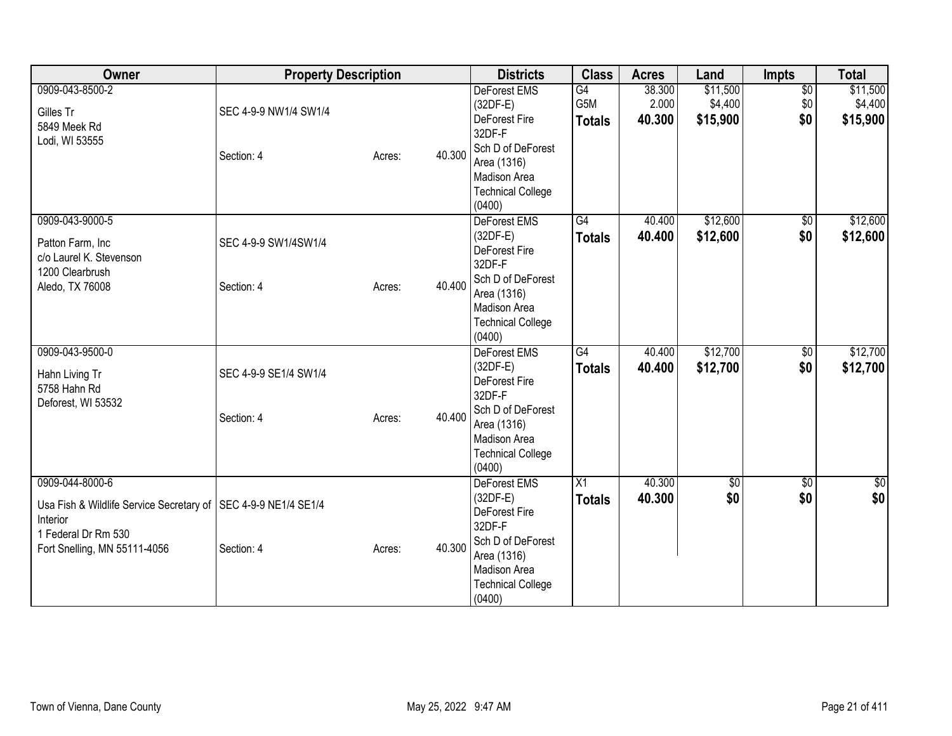| <b>Owner</b>                                                                                                           | <b>Property Description</b> |        |        | <b>Districts</b>                                                                                 | <b>Class</b>               | <b>Acres</b>              | Land                            | Impts                         | <b>Total</b>                    |
|------------------------------------------------------------------------------------------------------------------------|-----------------------------|--------|--------|--------------------------------------------------------------------------------------------------|----------------------------|---------------------------|---------------------------------|-------------------------------|---------------------------------|
| 0909-043-8500-2<br>Gilles Tr                                                                                           | SEC 4-9-9 NW1/4 SW1/4       |        |        | DeForest EMS<br>$(32DF-E)$<br>DeForest Fire                                                      | G4<br>G5M<br><b>Totals</b> | 38.300<br>2.000<br>40.300 | \$11,500<br>\$4,400<br>\$15,900 | $\overline{50}$<br>\$0<br>\$0 | \$11,500<br>\$4,400<br>\$15,900 |
| 5849 Meek Rd<br>Lodi, WI 53555                                                                                         | Section: 4                  | Acres: | 40.300 | 32DF-F<br>Sch D of DeForest<br>Area (1316)<br>Madison Area<br><b>Technical College</b><br>(0400) |                            |                           |                                 |                               |                                 |
| 0909-043-9000-5<br>Patton Farm, Inc<br>c/o Laurel K. Stevenson<br>1200 Clearbrush                                      | SEC 4-9-9 SW1/4SW1/4        |        |        | DeForest EMS<br>$(32DF-E)$<br>DeForest Fire<br>32DF-F                                            | G4<br><b>Totals</b>        | 40.400<br>40.400          | \$12,600<br>\$12,600            | $\sqrt{6}$<br>\$0             | \$12,600<br>\$12,600            |
| Aledo, TX 76008                                                                                                        | Section: 4                  | Acres: | 40.400 | Sch D of DeForest<br>Area (1316)<br>Madison Area<br><b>Technical College</b><br>(0400)           |                            |                           |                                 |                               |                                 |
| 0909-043-9500-0<br>Hahn Living Tr<br>5758 Hahn Rd<br>Deforest, WI 53532                                                | SEC 4-9-9 SE1/4 SW1/4       |        |        | DeForest EMS<br>$(32DF-E)$<br>DeForest Fire<br>32DF-F                                            | G4<br><b>Totals</b>        | 40.400<br>40.400          | \$12,700<br>\$12,700            | $\overline{50}$<br>\$0        | \$12,700<br>\$12,700            |
|                                                                                                                        | Section: 4                  | Acres: | 40.400 | Sch D of DeForest<br>Area (1316)<br><b>Madison Area</b><br><b>Technical College</b><br>(0400)    |                            |                           |                                 |                               |                                 |
| 0909-044-8000-6<br>Usa Fish & Wildlife Service Secretary of   SEC 4-9-9 NE1/4 SE1/4<br>Interior<br>1 Federal Dr Rm 530 |                             |        |        | <b>DeForest EMS</b><br>$(32DF-E)$<br>DeForest Fire<br>32DF-F<br>Sch D of DeForest                | X1<br><b>Totals</b>        | 40.300<br>40.300          | $\overline{60}$<br>\$0          | $\overline{30}$<br>\$0        | \$0<br>\$0                      |
| Fort Snelling, MN 55111-4056                                                                                           | Section: 4                  | Acres: | 40.300 | Area (1316)<br>Madison Area<br><b>Technical College</b><br>(0400)                                |                            |                           |                                 |                               |                                 |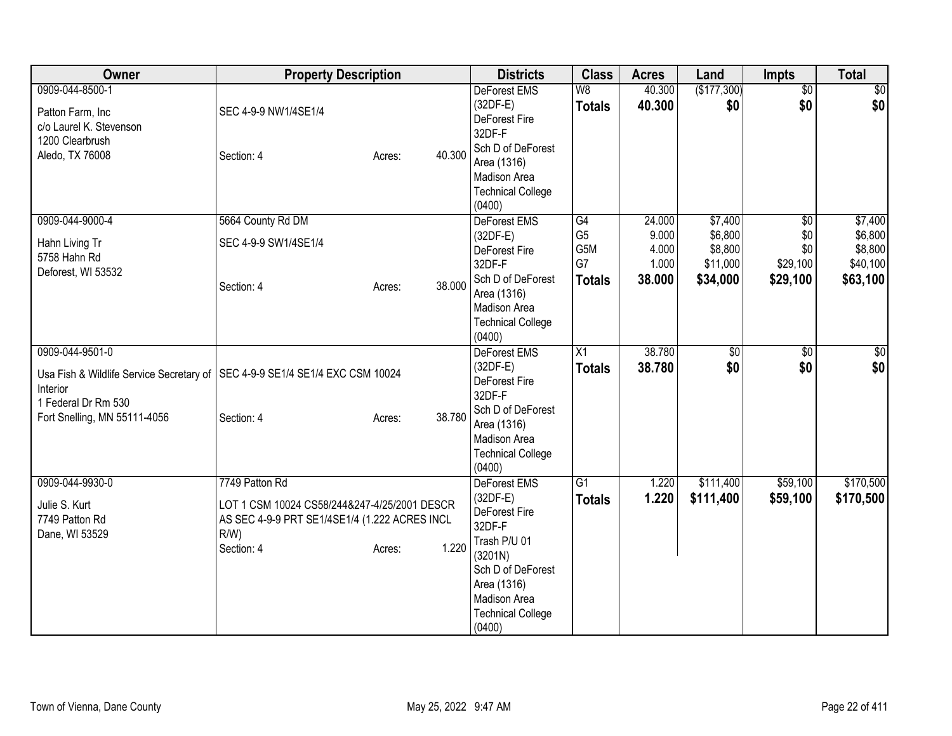| Owner                                                                                                                          | <b>Property Description</b>                                                                                                                                 | <b>Districts</b>                                                                                                                                                                  | <b>Class</b>                                       | <b>Acres</b>                                | Land                                                  | Impts                                                 | <b>Total</b>                                          |
|--------------------------------------------------------------------------------------------------------------------------------|-------------------------------------------------------------------------------------------------------------------------------------------------------------|-----------------------------------------------------------------------------------------------------------------------------------------------------------------------------------|----------------------------------------------------|---------------------------------------------|-------------------------------------------------------|-------------------------------------------------------|-------------------------------------------------------|
| 0909-044-8500-1<br>Patton Farm, Inc<br>c/o Laurel K. Stevenson<br>1200 Clearbrush<br>Aledo, TX 76008                           | SEC 4-9-9 NW1/4SE1/4<br>40.300<br>Section: 4<br>Acres:                                                                                                      | <b>DeForest EMS</b><br>$(32DF-E)$<br>DeForest Fire<br>32DF-F<br>Sch D of DeForest<br>Area (1316)<br>Madison Area<br><b>Technical College</b><br>(0400)                            | W8<br><b>Totals</b>                                | 40.300<br>40.300                            | (\$177,300)<br>\$0                                    | $\overline{50}$<br>\$0                                | \$0<br>\$0                                            |
| 0909-044-9000-4<br>Hahn Living Tr<br>5758 Hahn Rd<br>Deforest, WI 53532                                                        | 5664 County Rd DM<br>SEC 4-9-9 SW1/4SE1/4<br>38.000<br>Section: 4<br>Acres:                                                                                 | DeForest EMS<br>$(32DF-E)$<br>DeForest Fire<br>32DF-F<br>Sch D of DeForest<br>Area (1316)<br><b>Madison Area</b><br><b>Technical College</b><br>(0400)                            | G4<br>G <sub>5</sub><br>G5M<br>G7<br><b>Totals</b> | 24.000<br>9.000<br>4.000<br>1.000<br>38.000 | \$7,400<br>\$6,800<br>\$8,800<br>\$11,000<br>\$34,000 | $\overline{50}$<br>\$0<br>\$0<br>\$29,100<br>\$29,100 | \$7,400<br>\$6,800<br>\$8,800<br>\$40,100<br>\$63,100 |
| 0909-044-9501-0<br>Usa Fish & Wildlife Service Secretary of<br>Interior<br>1 Federal Dr Rm 530<br>Fort Snelling, MN 55111-4056 | SEC 4-9-9 SE1/4 SE1/4 EXC CSM 10024<br>38.780<br>Section: 4<br>Acres:                                                                                       | <b>DeForest EMS</b><br>$(32DF-E)$<br>DeForest Fire<br>32DF-F<br>Sch D of DeForest<br>Area (1316)<br>Madison Area<br><b>Technical College</b><br>(0400)                            | $\overline{X1}$<br><b>Totals</b>                   | 38.780<br>38.780                            | \$0<br>\$0                                            | $\overline{50}$<br>\$0                                | \$0<br>\$0                                            |
| 0909-044-9930-0<br>Julie S. Kurt<br>7749 Patton Rd<br>Dane, WI 53529                                                           | 7749 Patton Rd<br>LOT 1 CSM 10024 CS58/244&247-4/25/2001 DESCR<br>AS SEC 4-9-9 PRT SE1/4SE1/4 (1.222 ACRES INCL<br>$R/W$ )<br>1.220<br>Section: 4<br>Acres: | <b>DeForest EMS</b><br>$(32DF-E)$<br>DeForest Fire<br>32DF-F<br>Trash P/U 01<br>(3201N)<br>Sch D of DeForest<br>Area (1316)<br>Madison Area<br><b>Technical College</b><br>(0400) | G1<br><b>Totals</b>                                | 1.220<br>1.220                              | \$111,400<br>\$111,400                                | \$59,100<br>\$59,100                                  | \$170,500<br>\$170,500                                |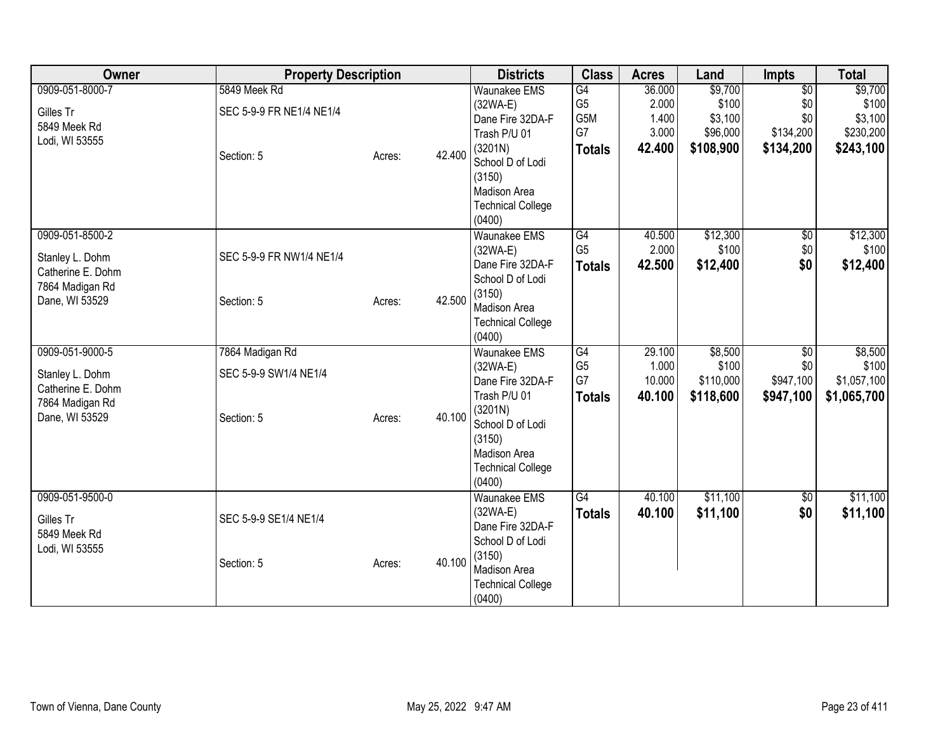| Owner             | <b>Property Description</b> |        |        | <b>Districts</b>                   | <b>Class</b>                      | <b>Acres</b>    | Land              | <b>Impts</b>           | <b>Total</b>      |
|-------------------|-----------------------------|--------|--------|------------------------------------|-----------------------------------|-----------------|-------------------|------------------------|-------------------|
| 0909-051-8000-7   | 5849 Meek Rd                |        |        | <b>Waunakee EMS</b>                | $\overline{G4}$                   | 36.000          | \$9,700           | $\overline{50}$        | \$9,700           |
| Gilles Tr         | SEC 5-9-9 FR NE1/4 NE1/4    |        |        | $(32WA-E)$                         | G <sub>5</sub>                    | 2.000           | \$100             | \$0                    | \$100             |
| 5849 Meek Rd      |                             |        |        | Dane Fire 32DA-F                   | G5M                               | 1.400           | \$3,100           | \$0                    | \$3,100           |
| Lodi, WI 53555    |                             |        |        | Trash P/U 01                       | G7                                | 3.000           | \$96,000          | \$134,200              | \$230,200         |
|                   | Section: 5                  | Acres: | 42.400 | (3201N)                            | <b>Totals</b>                     | 42.400          | \$108,900         | \$134,200              | \$243,100         |
|                   |                             |        |        | School D of Lodi                   |                                   |                 |                   |                        |                   |
|                   |                             |        |        | (3150)                             |                                   |                 |                   |                        |                   |
|                   |                             |        |        | Madison Area                       |                                   |                 |                   |                        |                   |
|                   |                             |        |        | <b>Technical College</b>           |                                   |                 |                   |                        |                   |
|                   |                             |        |        | (0400)                             |                                   |                 |                   |                        |                   |
| 0909-051-8500-2   |                             |        |        | <b>Waunakee EMS</b>                | $\overline{G4}$<br>G <sub>5</sub> | 40.500<br>2.000 | \$12,300<br>\$100 | $\overline{30}$<br>\$0 | \$12,300<br>\$100 |
| Stanley L. Dohm   | SEC 5-9-9 FR NW1/4 NE1/4    |        |        | $(32WA-E)$<br>Dane Fire 32DA-F     |                                   | 42.500          | \$12,400          | \$0                    | \$12,400          |
| Catherine E. Dohm |                             |        |        | School D of Lodi                   | <b>Totals</b>                     |                 |                   |                        |                   |
| 7864 Madigan Rd   |                             |        |        | (3150)                             |                                   |                 |                   |                        |                   |
| Dane, WI 53529    | Section: 5                  | Acres: | 42.500 | Madison Area                       |                                   |                 |                   |                        |                   |
|                   |                             |        |        | <b>Technical College</b>           |                                   |                 |                   |                        |                   |
|                   |                             |        |        | (0400)                             |                                   |                 |                   |                        |                   |
| 0909-051-9000-5   | 7864 Madigan Rd             |        |        | Waunakee EMS                       | G4                                | 29.100          | \$8,500           | \$0                    | \$8,500           |
| Stanley L. Dohm   | SEC 5-9-9 SW1/4 NE1/4       |        |        | $(32WA-E)$                         | G <sub>5</sub>                    | 1.000           | \$100             | \$0                    | \$100             |
| Catherine E. Dohm |                             |        |        | Dane Fire 32DA-F                   | G7                                | 10.000          | \$110,000         | \$947,100              | \$1,057,100       |
| 7864 Madigan Rd   |                             |        |        | Trash P/U 01                       | <b>Totals</b>                     | 40.100          | \$118,600         | \$947,100              | \$1,065,700       |
| Dane, WI 53529    | Section: 5                  | Acres: | 40.100 | (3201N)                            |                                   |                 |                   |                        |                   |
|                   |                             |        |        | School D of Lodi                   |                                   |                 |                   |                        |                   |
|                   |                             |        |        | (3150)                             |                                   |                 |                   |                        |                   |
|                   |                             |        |        | Madison Area                       |                                   |                 |                   |                        |                   |
|                   |                             |        |        | <b>Technical College</b><br>(0400) |                                   |                 |                   |                        |                   |
| 0909-051-9500-0   |                             |        |        | <b>Waunakee EMS</b>                | G4                                | 40.100          | \$11,100          | $\overline{50}$        | \$11,100          |
|                   |                             |        |        | $(32WA-E)$                         | <b>Totals</b>                     | 40.100          | \$11,100          | \$0                    | \$11,100          |
| Gilles Tr         | SEC 5-9-9 SE1/4 NE1/4       |        |        | Dane Fire 32DA-F                   |                                   |                 |                   |                        |                   |
| 5849 Meek Rd      |                             |        |        | School D of Lodi                   |                                   |                 |                   |                        |                   |
| Lodi, WI 53555    |                             |        |        | (3150)                             |                                   |                 |                   |                        |                   |
|                   | Section: 5                  | Acres: | 40.100 | Madison Area                       |                                   |                 |                   |                        |                   |
|                   |                             |        |        | <b>Technical College</b>           |                                   |                 |                   |                        |                   |
|                   |                             |        |        | (0400)                             |                                   |                 |                   |                        |                   |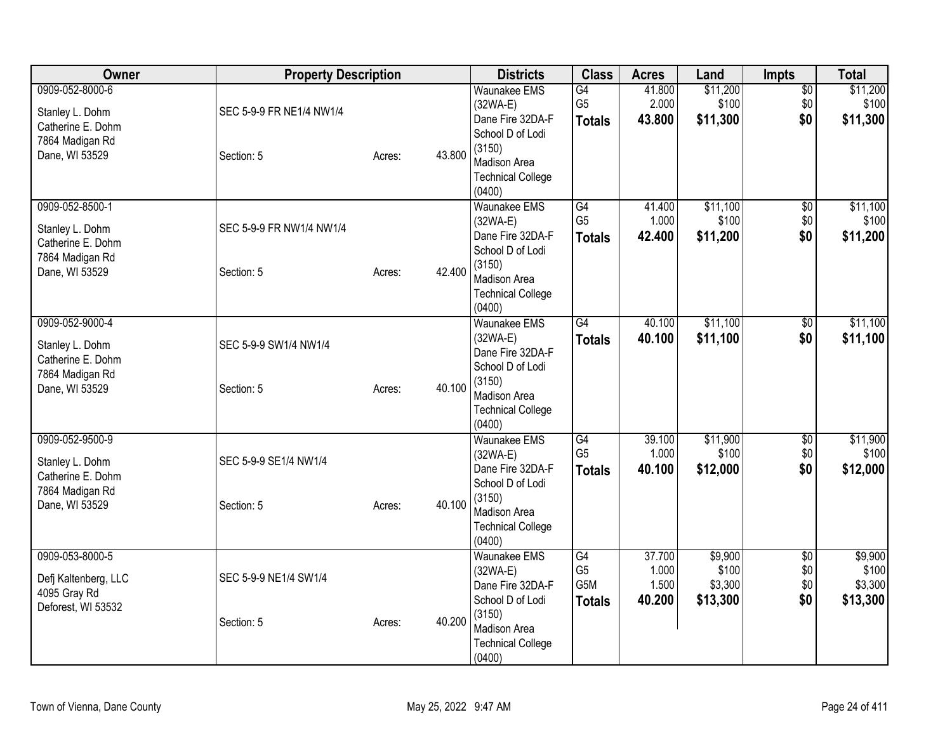| Owner                                                                                        | <b>Property Description</b>            |        | <b>Districts</b> | <b>Class</b>                                                                                                                                     | <b>Acres</b>                                              | Land                               | Impts                                   | <b>Total</b>                         |                                         |
|----------------------------------------------------------------------------------------------|----------------------------------------|--------|------------------|--------------------------------------------------------------------------------------------------------------------------------------------------|-----------------------------------------------------------|------------------------------------|-----------------------------------------|--------------------------------------|-----------------------------------------|
| 0909-052-8000-6<br>Stanley L. Dohm<br>Catherine E. Dohm<br>7864 Madigan Rd<br>Dane, WI 53529 | SEC 5-9-9 FR NE1/4 NW1/4<br>Section: 5 | Acres: | 43.800           | <b>Waunakee EMS</b><br>(32WA-E)<br>Dane Fire 32DA-F<br>School D of Lodi<br>(3150)<br><b>Madison Area</b><br><b>Technical College</b><br>(0400)   | G4<br>G <sub>5</sub><br><b>Totals</b>                     | 41.800<br>2.000<br>43.800          | \$11,200<br>\$100<br>\$11,300           | $\overline{50}$<br>\$0<br>\$0        | \$11,200<br>\$100<br>\$11,300           |
| 0909-052-8500-1<br>Stanley L. Dohm<br>Catherine E. Dohm<br>7864 Madigan Rd<br>Dane, WI 53529 | SEC 5-9-9 FR NW1/4 NW1/4<br>Section: 5 | Acres: | 42.400           | <b>Waunakee EMS</b><br>$(32WA-E)$<br>Dane Fire 32DA-F<br>School D of Lodi<br>(3150)<br><b>Madison Area</b><br><b>Technical College</b><br>(0400) | G4<br>G <sub>5</sub><br><b>Totals</b>                     | 41.400<br>1.000<br>42.400          | \$11,100<br>\$100<br>\$11,200           | $\overline{60}$<br>\$0<br>\$0        | \$11,100<br>\$100<br>\$11,200           |
| 0909-052-9000-4<br>Stanley L. Dohm<br>Catherine E. Dohm<br>7864 Madigan Rd<br>Dane, WI 53529 | SEC 5-9-9 SW1/4 NW1/4<br>Section: 5    | Acres: | 40.100           | <b>Waunakee EMS</b><br>$(32WA-E)$<br>Dane Fire 32DA-F<br>School D of Lodi<br>(3150)<br>Madison Area<br><b>Technical College</b><br>(0400)        | $\overline{G4}$<br><b>Totals</b>                          | 40.100<br>40.100                   | \$11,100<br>\$11,100                    | \$0<br>\$0                           | \$11,100<br>\$11,100                    |
| 0909-052-9500-9<br>Stanley L. Dohm<br>Catherine E. Dohm<br>7864 Madigan Rd<br>Dane, WI 53529 | SEC 5-9-9 SE1/4 NW1/4<br>Section: 5    | Acres: | 40.100           | Waunakee EMS<br>$(32WA-E)$<br>Dane Fire 32DA-F<br>School D of Lodi<br>(3150)<br><b>Madison Area</b><br><b>Technical College</b><br>(0400)        | G4<br>G <sub>5</sub><br><b>Totals</b>                     | 39.100<br>1.000<br>40.100          | \$11,900<br>\$100<br>\$12,000           | $\overline{50}$<br>\$0<br>\$0        | \$11,900<br>\$100<br>\$12,000           |
| 0909-053-8000-5<br>Defj Kaltenberg, LLC<br>4095 Gray Rd<br>Deforest, WI 53532                | SEC 5-9-9 NE1/4 SW1/4<br>Section: 5    | Acres: | 40.200           | <b>Waunakee EMS</b><br>$(32WA-E)$<br>Dane Fire 32DA-F<br>School D of Lodi<br>(3150)<br>Madison Area<br><b>Technical College</b><br>(0400)        | $\overline{G4}$<br>G <sub>5</sub><br>G5M<br><b>Totals</b> | 37.700<br>1.000<br>1.500<br>40.200 | \$9,900<br>\$100<br>\$3,300<br>\$13,300 | $\overline{50}$<br>\$0<br>\$0<br>\$0 | \$9,900<br>\$100<br>\$3,300<br>\$13,300 |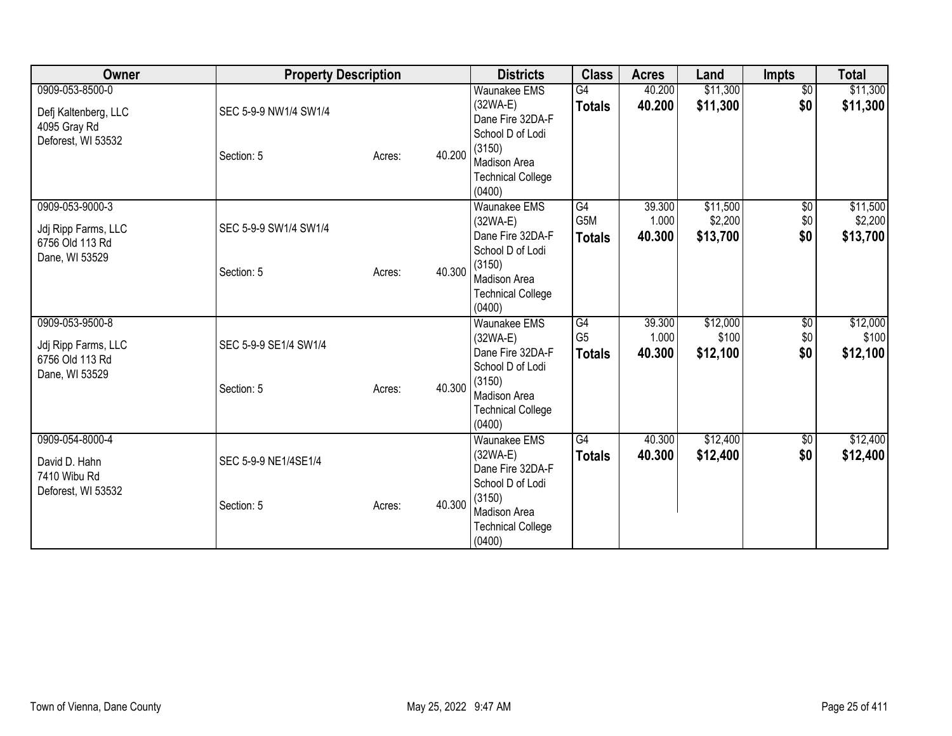| Owner                                                                         | <b>Property Description</b>         |        |        | <b>Districts</b>                                                                                                                                 | <b>Class</b>                          | <b>Acres</b>              | Land                            | <b>Impts</b>                  | <b>Total</b>                    |
|-------------------------------------------------------------------------------|-------------------------------------|--------|--------|--------------------------------------------------------------------------------------------------------------------------------------------------|---------------------------------------|---------------------------|---------------------------------|-------------------------------|---------------------------------|
| 0909-053-8500-0<br>Defj Kaltenberg, LLC<br>4095 Gray Rd<br>Deforest, WI 53532 | SEC 5-9-9 NW1/4 SW1/4<br>Section: 5 | Acres: | 40.200 | <b>Waunakee EMS</b><br>$(32WA-E)$<br>Dane Fire 32DA-F<br>School D of Lodi<br>(3150)<br><b>Madison Area</b><br><b>Technical College</b><br>(0400) | G4<br><b>Totals</b>                   | 40.200<br>40.200          | \$11,300<br>\$11,300            | $\overline{50}$<br>\$0        | \$11,300<br>\$11,300            |
| 0909-053-9000-3<br>Jdj Ripp Farms, LLC<br>6756 Old 113 Rd<br>Dane, WI 53529   | SEC 5-9-9 SW1/4 SW1/4<br>Section: 5 | Acres: | 40.300 | <b>Waunakee EMS</b><br>$(32WA-E)$<br>Dane Fire 32DA-F<br>School D of Lodi<br>(3150)<br>Madison Area<br><b>Technical College</b><br>(0400)        | G4<br>G5M<br><b>Totals</b>            | 39.300<br>1.000<br>40.300 | \$11,500<br>\$2,200<br>\$13,700 | $\overline{60}$<br>\$0<br>\$0 | \$11,500<br>\$2,200<br>\$13,700 |
| 0909-053-9500-8<br>Jdj Ripp Farms, LLC<br>6756 Old 113 Rd<br>Dane, WI 53529   | SEC 5-9-9 SE1/4 SW1/4<br>Section: 5 | Acres: | 40.300 | <b>Waunakee EMS</b><br>$(32WA-E)$<br>Dane Fire 32DA-F<br>School D of Lodi<br>(3150)<br>Madison Area<br><b>Technical College</b><br>(0400)        | G4<br>G <sub>5</sub><br><b>Totals</b> | 39.300<br>1.000<br>40.300 | \$12,000<br>\$100<br>\$12,100   | \$0<br>\$0<br>\$0             | \$12,000<br>\$100<br>\$12,100   |
| 0909-054-8000-4<br>David D. Hahn<br>7410 Wibu Rd<br>Deforest, WI 53532        | SEC 5-9-9 NE1/4SE1/4<br>Section: 5  | Acres: | 40.300 | <b>Waunakee EMS</b><br>$(32WA-E)$<br>Dane Fire 32DA-F<br>School D of Lodi<br>(3150)<br>Madison Area<br><b>Technical College</b><br>(0400)        | G4<br><b>Totals</b>                   | 40.300<br>40.300          | \$12,400<br>\$12,400            | $\overline{60}$<br>\$0        | \$12,400<br>\$12,400            |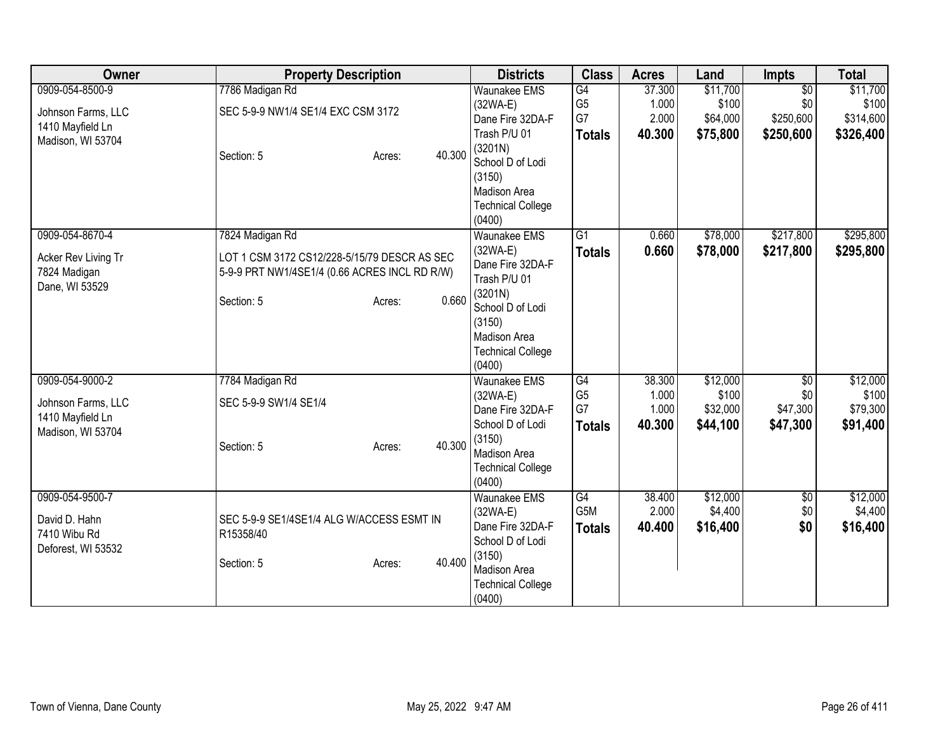| Owner                                                                          | <b>Property Description</b>                                                                                                                       | <b>Districts</b>                                                                                                                                                     | <b>Class</b>                                | <b>Acres</b>                       | Land                                      | <b>Impts</b>                        | <b>Total</b>                              |
|--------------------------------------------------------------------------------|---------------------------------------------------------------------------------------------------------------------------------------------------|----------------------------------------------------------------------------------------------------------------------------------------------------------------------|---------------------------------------------|------------------------------------|-------------------------------------------|-------------------------------------|-------------------------------------------|
| 0909-054-8500-9<br>Johnson Farms, LLC                                          | 7786 Madigan Rd<br>SEC 5-9-9 NW1/4 SE1/4 EXC CSM 3172                                                                                             | <b>Waunakee EMS</b><br>(32WA-E)<br>Dane Fire 32DA-F                                                                                                                  | $\overline{G4}$<br>G <sub>5</sub><br>G7     | 37.300<br>1.000<br>2.000           | \$11,700<br>\$100<br>\$64,000             | $\overline{50}$<br>\$0<br>\$250,600 | \$11,700<br>\$100<br>\$314,600            |
| 1410 Mayfield Ln<br>Madison, WI 53704                                          | 40.300<br>Section: 5<br>Acres:                                                                                                                    | Trash P/U 01<br>(3201N)<br>School D of Lodi<br>(3150)<br>Madison Area<br><b>Technical College</b><br>(0400)                                                          | <b>Totals</b>                               | 40.300                             | \$75,800                                  | \$250,600                           | \$326,400                                 |
| 0909-054-8670-4<br>Acker Rev Living Tr<br>7824 Madigan<br>Dane, WI 53529       | 7824 Madigan Rd<br>LOT 1 CSM 3172 CS12/228-5/15/79 DESCR AS SEC<br>5-9-9 PRT NW1/4SE1/4 (0.66 ACRES INCL RD R/W)<br>0.660<br>Section: 5<br>Acres: | <b>Waunakee EMS</b><br>$(32WA-E)$<br>Dane Fire 32DA-F<br>Trash P/U 01<br>(3201N)<br>School D of Lodi<br>(3150)<br>Madison Area<br><b>Technical College</b><br>(0400) | $\overline{G1}$<br><b>Totals</b>            | 0.660<br>0.660                     | \$78,000<br>\$78,000                      | \$217,800<br>\$217,800              | \$295,800<br>\$295,800                    |
| 0909-054-9000-2<br>Johnson Farms, LLC<br>1410 Mayfield Ln<br>Madison, WI 53704 | 7784 Madigan Rd<br>SEC 5-9-9 SW1/4 SE1/4<br>40.300<br>Section: 5<br>Acres:                                                                        | <b>Waunakee EMS</b><br>$(32WA-E)$<br>Dane Fire 32DA-F<br>School D of Lodi<br>(3150)<br>Madison Area<br><b>Technical College</b><br>(0400)                            | G4<br>G <sub>5</sub><br>G7<br><b>Totals</b> | 38.300<br>1.000<br>1.000<br>40.300 | \$12,000<br>\$100<br>\$32,000<br>\$44,100 | \$0<br>\$0<br>\$47,300<br>\$47,300  | \$12,000<br>\$100<br>\$79,300<br>\$91,400 |
| 0909-054-9500-7<br>David D. Hahn<br>7410 Wibu Rd<br>Deforest, WI 53532         | SEC 5-9-9 SE1/4SE1/4 ALG W/ACCESS ESMT IN<br>R15358/40<br>40.400<br>Section: 5<br>Acres:                                                          | <b>Waunakee EMS</b><br>$(32WA-E)$<br>Dane Fire 32DA-F<br>School D of Lodi<br>(3150)<br>Madison Area<br><b>Technical College</b><br>(0400)                            | G4<br>G5M<br><b>Totals</b>                  | 38.400<br>2.000<br>40.400          | \$12,000<br>\$4,400<br>\$16,400           | $\sqrt{6}$<br>\$0<br>\$0            | \$12,000<br>\$4,400<br>\$16,400           |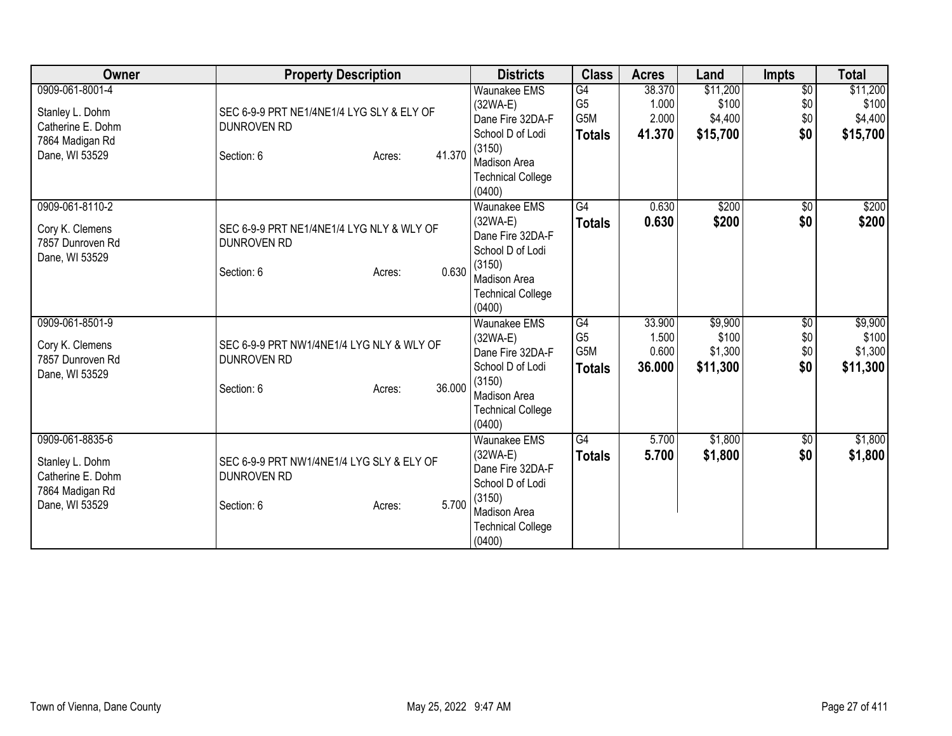| Owner                                                                                        | <b>Property Description</b>                                                                       | <b>Districts</b>                                                                                                                          | <b>Class</b>                                 | <b>Acres</b>                       | Land                                     | Impts                                | <b>Total</b>                             |
|----------------------------------------------------------------------------------------------|---------------------------------------------------------------------------------------------------|-------------------------------------------------------------------------------------------------------------------------------------------|----------------------------------------------|------------------------------------|------------------------------------------|--------------------------------------|------------------------------------------|
| 0909-061-8001-4<br>Stanley L. Dohm<br>Catherine E. Dohm<br>7864 Madigan Rd<br>Dane, WI 53529 | SEC 6-9-9 PRT NE1/4NE1/4 LYG SLY & ELY OF<br>DUNROVEN RD<br>41.370<br>Section: 6<br>Acres:        | <b>Waunakee EMS</b><br>$(32WA-E)$<br>Dane Fire 32DA-F<br>School D of Lodi<br>(3150)<br>Madison Area<br><b>Technical College</b><br>(0400) | G4<br>G <sub>5</sub><br>G5M<br><b>Totals</b> | 38.370<br>1.000<br>2.000<br>41.370 | \$11,200<br>\$100<br>\$4,400<br>\$15,700 | $\overline{50}$<br>\$0<br>\$0<br>\$0 | \$11,200<br>\$100<br>\$4,400<br>\$15,700 |
| 0909-061-8110-2<br>Cory K. Clemens<br>7857 Dunroven Rd<br>Dane, WI 53529                     | SEC 6-9-9 PRT NE1/4NE1/4 LYG NLY & WLY OF<br><b>DUNROVEN RD</b><br>0.630<br>Section: 6<br>Acres:  | <b>Waunakee EMS</b><br>$(32WA-E)$<br>Dane Fire 32DA-F<br>School D of Lodi<br>(3150)<br>Madison Area<br><b>Technical College</b><br>(0400) | G4<br><b>Totals</b>                          | 0.630<br>0.630                     | \$200<br>\$200                           | $\overline{50}$<br>\$0               | \$200<br>\$200                           |
| 0909-061-8501-9<br>Cory K. Clemens<br>7857 Dunroven Rd<br>Dane, WI 53529                     | SEC 6-9-9 PRT NW1/4NE1/4 LYG NLY & WLY OF<br><b>DUNROVEN RD</b><br>36.000<br>Section: 6<br>Acres: | <b>Waunakee EMS</b><br>$(32WA-E)$<br>Dane Fire 32DA-F<br>School D of Lodi<br>(3150)<br>Madison Area<br><b>Technical College</b><br>(0400) | G4<br>G <sub>5</sub><br>G5M<br><b>Totals</b> | 33.900<br>1.500<br>0.600<br>36.000 | \$9,900<br>\$100<br>\$1,300<br>\$11,300  | $\overline{60}$<br>\$0<br>\$0<br>\$0 | \$9,900<br>\$100<br>\$1,300<br>\$11,300  |
| 0909-061-8835-6<br>Stanley L. Dohm<br>Catherine E. Dohm<br>7864 Madigan Rd<br>Dane, WI 53529 | SEC 6-9-9 PRT NW1/4NE1/4 LYG SLY & ELY OF<br><b>DUNROVEN RD</b><br>5.700<br>Section: 6<br>Acres:  | <b>Waunakee EMS</b><br>$(32WA-E)$<br>Dane Fire 32DA-F<br>School D of Lodi<br>(3150)<br>Madison Area<br><b>Technical College</b><br>(0400) | G4<br><b>Totals</b>                          | 5.700<br>5.700                     | \$1,800<br>\$1,800                       | \$0<br>\$0                           | \$1,800<br>\$1,800                       |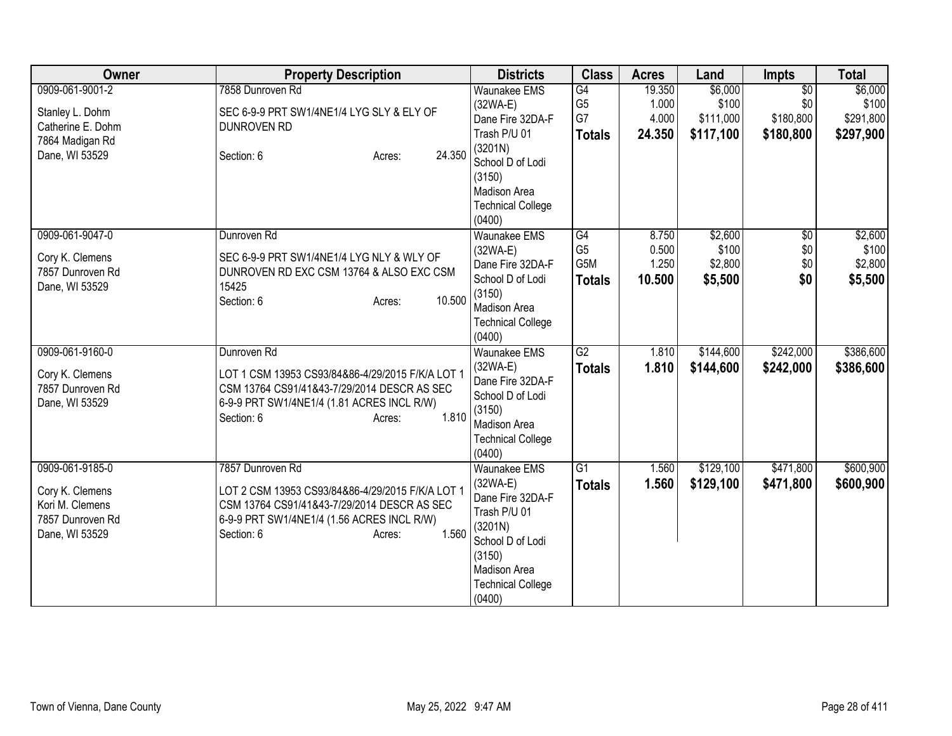| Owner             | <b>Property Description</b>                                                 | <b>Districts</b>                   | <b>Class</b>    | <b>Acres</b> | Land      | <b>Impts</b>    | <b>Total</b> |
|-------------------|-----------------------------------------------------------------------------|------------------------------------|-----------------|--------------|-----------|-----------------|--------------|
| 0909-061-9001-2   | 7858 Dunroven Rd                                                            | <b>Waunakee EMS</b>                | G4              | 19.350       | \$6,000   | $\overline{50}$ | \$6,000      |
| Stanley L. Dohm   | SEC 6-9-9 PRT SW1/4NE1/4 LYG SLY & ELY OF                                   | (32WA-E)                           | G <sub>5</sub>  | 1.000        | \$100     | \$0             | \$100        |
| Catherine E. Dohm | <b>DUNROVEN RD</b>                                                          | Dane Fire 32DA-F                   | G7              | 4.000        | \$111,000 | \$180,800       | \$291,800    |
| 7864 Madigan Rd   |                                                                             | Trash P/U 01                       | <b>Totals</b>   | 24.350       | \$117,100 | \$180,800       | \$297,900    |
| Dane, WI 53529    | 24.350<br>Section: 6<br>Acres:                                              | (3201N)<br>School D of Lodi        |                 |              |           |                 |              |
|                   |                                                                             | (3150)                             |                 |              |           |                 |              |
|                   |                                                                             | Madison Area                       |                 |              |           |                 |              |
|                   |                                                                             | <b>Technical College</b>           |                 |              |           |                 |              |
|                   |                                                                             | (0400)                             |                 |              |           |                 |              |
| 0909-061-9047-0   | Dunroven Rd                                                                 | <b>Waunakee EMS</b>                | $\overline{G4}$ | 8.750        | \$2,600   | $\overline{50}$ | \$2,600      |
| Cory K. Clemens   | SEC 6-9-9 PRT SW1/4NE1/4 LYG NLY & WLY OF                                   | (32WA-E)                           | G <sub>5</sub>  | 0.500        | \$100     | \$0             | \$100        |
| 7857 Dunroven Rd  | DUNROVEN RD EXC CSM 13764 & ALSO EXC CSM                                    | Dane Fire 32DA-F                   | G5M             | 1.250        | \$2,800   | \$0             | \$2,800      |
| Dane, WI 53529    | 15425                                                                       | School D of Lodi                   | <b>Totals</b>   | 10.500       | \$5,500   | \$0             | \$5,500      |
|                   | 10.500<br>Section: 6<br>Acres:                                              | (3150)                             |                 |              |           |                 |              |
|                   |                                                                             | Madison Area                       |                 |              |           |                 |              |
|                   |                                                                             | <b>Technical College</b><br>(0400) |                 |              |           |                 |              |
| 0909-061-9160-0   | Dunroven Rd                                                                 | Waunakee EMS                       | G2              | 1.810        | \$144,600 | \$242,000       | \$386,600    |
|                   |                                                                             | $(32WA-E)$                         | <b>Totals</b>   | 1.810        | \$144,600 | \$242,000       | \$386,600    |
| Cory K. Clemens   | LOT 1 CSM 13953 CS93/84&86-4/29/2015 F/K/A LOT 1                            | Dane Fire 32DA-F                   |                 |              |           |                 |              |
| 7857 Dunroven Rd  | CSM 13764 CS91/41&43-7/29/2014 DESCR AS SEC                                 | School D of Lodi                   |                 |              |           |                 |              |
| Dane, WI 53529    | 6-9-9 PRT SW1/4NE1/4 (1.81 ACRES INCL R/W)<br>1.810<br>Section: 6<br>Acres: | (3150)                             |                 |              |           |                 |              |
|                   |                                                                             | Madison Area                       |                 |              |           |                 |              |
|                   |                                                                             | <b>Technical College</b>           |                 |              |           |                 |              |
|                   |                                                                             | (0400)                             |                 |              |           |                 |              |
| 0909-061-9185-0   | 7857 Dunroven Rd                                                            | <b>Waunakee EMS</b>                | $\overline{G1}$ | 1.560        | \$129,100 | \$471,800       | \$600,900    |
| Cory K. Clemens   | LOT 2 CSM 13953 CS93/84&86-4/29/2015 F/K/A LOT 1                            | $(32WA-E)$<br>Dane Fire 32DA-F     | <b>Totals</b>   | 1.560        | \$129,100 | \$471,800       | \$600,900    |
| Kori M. Clemens   | CSM 13764 CS91/41&43-7/29/2014 DESCR AS SEC                                 | Trash P/U 01                       |                 |              |           |                 |              |
| 7857 Dunroven Rd  | 6-9-9 PRT SW1/4NE1/4 (1.56 ACRES INCL R/W)                                  | (3201N)                            |                 |              |           |                 |              |
| Dane, WI 53529    | 1.560<br>Section: 6<br>Acres:                                               | School D of Lodi                   |                 |              |           |                 |              |
|                   |                                                                             | (3150)                             |                 |              |           |                 |              |
|                   |                                                                             | Madison Area                       |                 |              |           |                 |              |
|                   |                                                                             | <b>Technical College</b>           |                 |              |           |                 |              |
|                   |                                                                             | (0400)                             |                 |              |           |                 |              |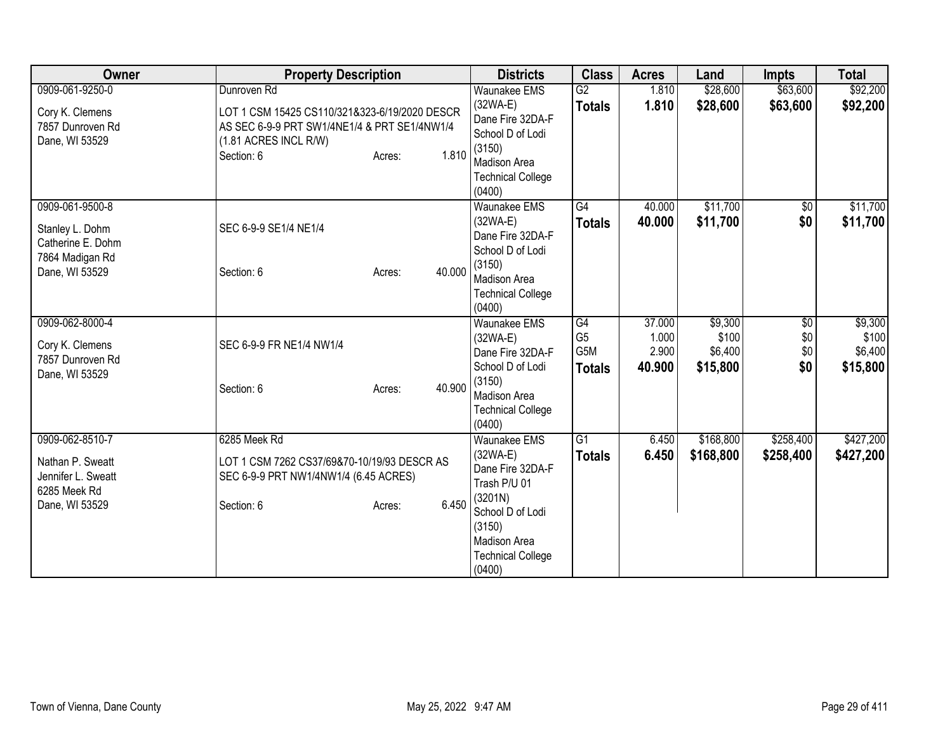| Owner                                                                                        | <b>Property Description</b>                                                                                                                                            | <b>Districts</b>                                                                                                                                                            | <b>Class</b>                                              | <b>Acres</b>                       | Land                                    | <b>Impts</b>                         | <b>Total</b>                            |
|----------------------------------------------------------------------------------------------|------------------------------------------------------------------------------------------------------------------------------------------------------------------------|-----------------------------------------------------------------------------------------------------------------------------------------------------------------------------|-----------------------------------------------------------|------------------------------------|-----------------------------------------|--------------------------------------|-----------------------------------------|
| 0909-061-9250-0<br>Cory K. Clemens<br>7857 Dunroven Rd<br>Dane, WI 53529                     | Dunroven Rd<br>LOT 1 CSM 15425 CS110/321&323-6/19/2020 DESCR<br>AS SEC 6-9-9 PRT SW1/4NE1/4 & PRT SE1/4NW1/4<br>(1.81 ACRES INCL R/W)<br>1.810<br>Section: 6<br>Acres: | <b>Waunakee EMS</b><br>$(32WA-E)$<br>Dane Fire 32DA-F<br>School D of Lodi<br>(3150)<br><b>Madison Area</b><br><b>Technical College</b>                                      | G2<br><b>Totals</b>                                       | 1.810<br>1.810                     | \$28,600<br>\$28,600                    | \$63,600<br>\$63,600                 | \$92,200<br>\$92,200                    |
| 0909-061-9500-8<br>Stanley L. Dohm<br>Catherine E. Dohm<br>7864 Madigan Rd<br>Dane, WI 53529 | SEC 6-9-9 SE1/4 NE1/4<br>40.000<br>Section: 6<br>Acres:                                                                                                                | (0400)<br><b>Waunakee EMS</b><br>$(32WA-E)$<br>Dane Fire 32DA-F<br>School D of Lodi<br>(3150)<br>Madison Area<br><b>Technical College</b><br>(0400)                         | G4<br><b>Totals</b>                                       | 40.000<br>40.000                   | \$11,700<br>\$11,700                    | $\sqrt{6}$<br>\$0                    | \$11,700<br>\$11,700                    |
| 0909-062-8000-4<br>Cory K. Clemens<br>7857 Dunroven Rd<br>Dane, WI 53529                     | SEC 6-9-9 FR NE1/4 NW1/4<br>40.900<br>Section: 6<br>Acres:                                                                                                             | <b>Waunakee EMS</b><br>$(32WA-E)$<br>Dane Fire 32DA-F<br>School D of Lodi<br>(3150)<br>Madison Area<br><b>Technical College</b><br>(0400)                                   | $\overline{G4}$<br>G <sub>5</sub><br>G5M<br><b>Totals</b> | 37.000<br>1.000<br>2.900<br>40.900 | \$9,300<br>\$100<br>\$6,400<br>\$15,800 | $\overline{60}$<br>\$0<br>\$0<br>\$0 | \$9,300<br>\$100<br>\$6,400<br>\$15,800 |
| 0909-062-8510-7<br>Nathan P. Sweatt<br>Jennifer L. Sweatt<br>6285 Meek Rd<br>Dane, WI 53529  | 6285 Meek Rd<br>LOT 1 CSM 7262 CS37/69&70-10/19/93 DESCR AS<br>SEC 6-9-9 PRT NW1/4NW1/4 (6.45 ACRES)<br>6.450<br>Section: 6<br>Acres:                                  | <b>Waunakee EMS</b><br>$(32WA-E)$<br>Dane Fire 32DA-F<br>Trash P/U 01<br>(3201N)<br>School D of Lodi<br>(3150)<br><b>Madison Area</b><br><b>Technical College</b><br>(0400) | $\overline{G1}$<br><b>Totals</b>                          | 6.450<br>6.450                     | \$168,800<br>\$168,800                  | \$258,400<br>\$258,400               | \$427,200<br>\$427,200                  |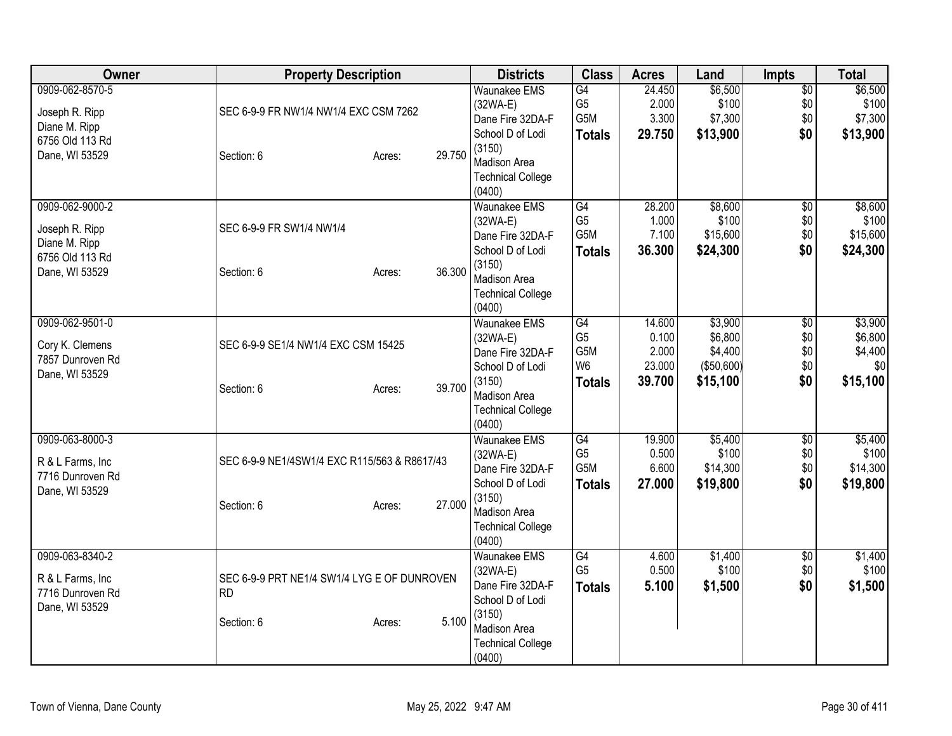| Owner                                                                                   | <b>Property Description</b>                                                               | <b>Districts</b>                                                                                                                                 | <b>Class</b>                                                   | <b>Acres</b>                                 | Land                                                     | Impts                                | <b>Total</b>                                     |
|-----------------------------------------------------------------------------------------|-------------------------------------------------------------------------------------------|--------------------------------------------------------------------------------------------------------------------------------------------------|----------------------------------------------------------------|----------------------------------------------|----------------------------------------------------------|--------------------------------------|--------------------------------------------------|
| 0909-062-8570-5<br>Joseph R. Ripp<br>Diane M. Ripp<br>6756 Old 113 Rd<br>Dane, WI 53529 | SEC 6-9-9 FR NW1/4 NW1/4 EXC CSM 7262<br>29.750<br>Section: 6<br>Acres:                   | <b>Waunakee EMS</b><br>$(32WA-E)$<br>Dane Fire 32DA-F<br>School D of Lodi<br>(3150)<br>Madison Area<br><b>Technical College</b><br>(0400)        | G4<br>G <sub>5</sub><br>G5M<br><b>Totals</b>                   | 24.450<br>2.000<br>3.300<br>29.750           | \$6,500<br>\$100<br>\$7,300<br>\$13,900                  | $\overline{50}$<br>\$0<br>\$0<br>\$0 | \$6,500<br>\$100<br>\$7,300<br>\$13,900          |
| 0909-062-9000-2<br>Joseph R. Ripp<br>Diane M. Ripp<br>6756 Old 113 Rd<br>Dane, WI 53529 | SEC 6-9-9 FR SW1/4 NW1/4<br>36.300<br>Section: 6<br>Acres:                                | <b>Waunakee EMS</b><br>$(32WA-E)$<br>Dane Fire 32DA-F<br>School D of Lodi<br>(3150)<br>Madison Area<br><b>Technical College</b><br>(0400)        | G4<br>G <sub>5</sub><br>G5M<br><b>Totals</b>                   | 28.200<br>1.000<br>7.100<br>36.300           | \$8,600<br>\$100<br>\$15,600<br>\$24,300                 | $\overline{50}$<br>\$0<br>\$0<br>\$0 | \$8,600<br>\$100<br>\$15,600<br>\$24,300         |
| 0909-062-9501-0<br>Cory K. Clemens<br>7857 Dunroven Rd<br>Dane, WI 53529                | SEC 6-9-9 SE1/4 NW1/4 EXC CSM 15425<br>39.700<br>Section: 6<br>Acres:                     | Waunakee EMS<br>$(32WA-E)$<br>Dane Fire 32DA-F<br>School D of Lodi<br>(3150)<br>Madison Area<br><b>Technical College</b><br>(0400)               | G4<br>G <sub>5</sub><br>G5M<br>W <sub>6</sub><br><b>Totals</b> | 14.600<br>0.100<br>2.000<br>23.000<br>39.700 | \$3,900<br>\$6,800<br>\$4,400<br>( \$50,600]<br>\$15,100 | \$0<br>\$0<br>\$0<br>\$0<br>\$0      | \$3,900<br>\$6,800<br>\$4,400<br>\$0<br>\$15,100 |
| 0909-063-8000-3<br>R & L Farms, Inc<br>7716 Dunroven Rd<br>Dane, WI 53529               | SEC 6-9-9 NE1/4SW1/4 EXC R115/563 & R8617/43<br>27.000<br>Section: 6<br>Acres:            | <b>Waunakee EMS</b><br>$(32WA-E)$<br>Dane Fire 32DA-F<br>School D of Lodi<br>(3150)<br><b>Madison Area</b><br><b>Technical College</b><br>(0400) | G4<br>G <sub>5</sub><br>G5M<br><b>Totals</b>                   | 19.900<br>0.500<br>6.600<br>27.000           | \$5,400<br>\$100<br>\$14,300<br>\$19,800                 | $\overline{60}$<br>\$0<br>\$0<br>\$0 | \$5,400<br>\$100<br>\$14,300<br>\$19,800         |
| 0909-063-8340-2<br>R & L Farms, Inc.<br>7716 Dunroven Rd<br>Dane, WI 53529              | SEC 6-9-9 PRT NE1/4 SW1/4 LYG E OF DUNROVEN<br><b>RD</b><br>5.100<br>Section: 6<br>Acres: | Waunakee EMS<br>$(32WA-E)$<br>Dane Fire 32DA-F<br>School D of Lodi<br>(3150)<br>Madison Area<br><b>Technical College</b><br>(0400)               | G4<br>G <sub>5</sub><br><b>Totals</b>                          | 4.600<br>0.500<br>5.100                      | \$1,400<br>\$100<br>\$1,500                              | $\overline{50}$<br>\$0<br>\$0        | \$1,400<br>\$100<br>\$1,500                      |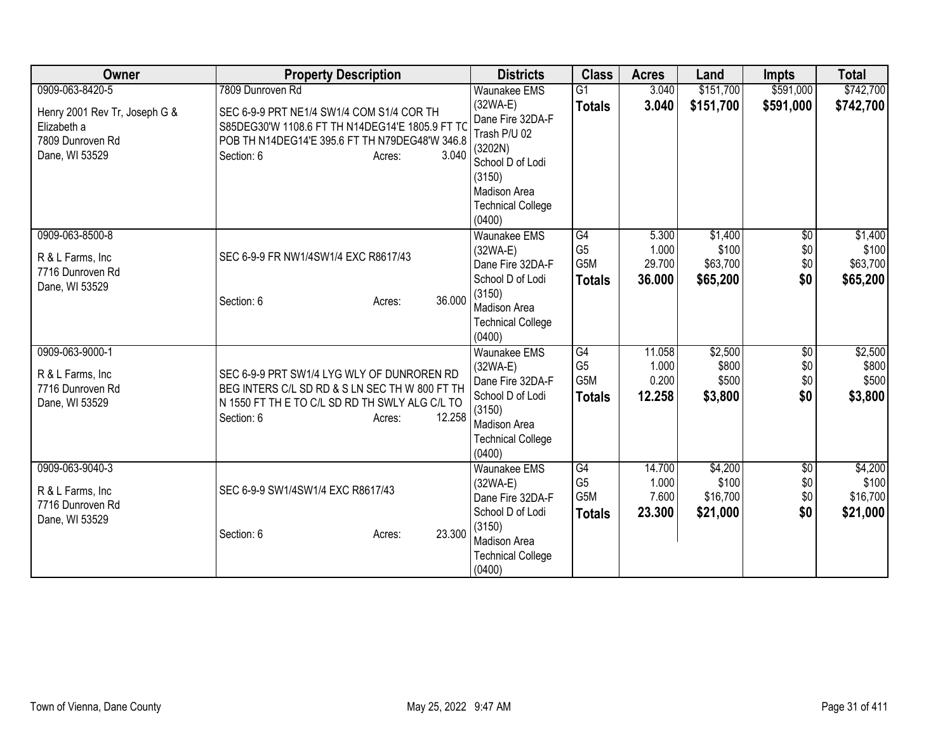| Owner                                                                                                 | <b>Property Description</b>                                                                                                                                                                         | <b>Districts</b>                                                                                                                                                            | <b>Class</b>                                              | <b>Acres</b>                       | Land                                     | <b>Impts</b>                         | <b>Total</b>                             |
|-------------------------------------------------------------------------------------------------------|-----------------------------------------------------------------------------------------------------------------------------------------------------------------------------------------------------|-----------------------------------------------------------------------------------------------------------------------------------------------------------------------------|-----------------------------------------------------------|------------------------------------|------------------------------------------|--------------------------------------|------------------------------------------|
| 0909-063-8420-5<br>Henry 2001 Rev Tr, Joseph G &<br>Elizabeth a<br>7809 Dunroven Rd<br>Dane, WI 53529 | 7809 Dunroven Rd<br>SEC 6-9-9 PRT NE1/4 SW1/4 COM S1/4 COR TH<br>S85DEG30'W 1108.6 FT TH N14DEG14'E 1805.9 FT TO<br>POB TH N14DEG14'E 395.6 FT TH N79DEG48'W 346.8<br>3.040<br>Section: 6<br>Acres: | <b>Waunakee EMS</b><br>$(32WA-E)$<br>Dane Fire 32DA-F<br>Trash P/U 02<br>(3202N)<br>School D of Lodi<br>(3150)<br><b>Madison Area</b><br><b>Technical College</b><br>(0400) | $\overline{G1}$<br><b>Totals</b>                          | 3.040<br>3.040                     | \$151,700<br>\$151,700                   | \$591,000<br>\$591,000               | \$742,700<br>\$742,700                   |
| 0909-063-8500-8<br>R & L Farms, Inc<br>7716 Dunroven Rd<br>Dane, WI 53529                             | SEC 6-9-9 FR NW1/4SW1/4 EXC R8617/43<br>36.000<br>Section: 6<br>Acres:                                                                                                                              | <b>Waunakee EMS</b><br>$(32WA-E)$<br>Dane Fire 32DA-F<br>School D of Lodi<br>(3150)<br>Madison Area<br><b>Technical College</b><br>(0400)                                   | G4<br>G <sub>5</sub><br>G5M<br><b>Totals</b>              | 5.300<br>1.000<br>29.700<br>36.000 | \$1,400<br>\$100<br>\$63,700<br>\$65,200 | $\sqrt{6}$<br>\$0<br>\$0<br>\$0      | \$1,400<br>\$100<br>\$63,700<br>\$65,200 |
| 0909-063-9000-1<br>R & L Farms, Inc<br>7716 Dunroven Rd<br>Dane, WI 53529                             | SEC 6-9-9 PRT SW1/4 LYG WLY OF DUNROREN RD<br>BEG INTERS C/L SD RD & S LN SEC TH W 800 FT TH<br>N 1550 FT TH E TO C/L SD RD TH SWLY ALG C/L TO<br>12.258<br>Section: 6<br>Acres:                    | Waunakee EMS<br>$(32WA-E)$<br>Dane Fire 32DA-F<br>School D of Lodi<br>(3150)<br>Madison Area<br><b>Technical College</b><br>(0400)                                          | G4<br>G <sub>5</sub><br>G5M<br><b>Totals</b>              | 11.058<br>1.000<br>0.200<br>12.258 | \$2,500<br>\$800<br>\$500<br>\$3,800     | \$0<br>\$0<br>\$0<br>\$0             | \$2,500<br>\$800<br>\$500<br>\$3,800     |
| 0909-063-9040-3<br>R & L Farms, Inc<br>7716 Dunroven Rd<br>Dane, WI 53529                             | SEC 6-9-9 SW1/4SW1/4 EXC R8617/43<br>23.300<br>Section: 6<br>Acres:                                                                                                                                 | <b>Waunakee EMS</b><br>(32WA-E)<br>Dane Fire 32DA-F<br>School D of Lodi<br>(3150)<br>Madison Area<br><b>Technical College</b><br>(0400)                                     | G4<br>G <sub>5</sub><br>G <sub>5</sub> M<br><b>Totals</b> | 14.700<br>1.000<br>7.600<br>23.300 | \$4,200<br>\$100<br>\$16,700<br>\$21,000 | $\overline{60}$<br>\$0<br>\$0<br>\$0 | \$4,200<br>\$100<br>\$16,700<br>\$21,000 |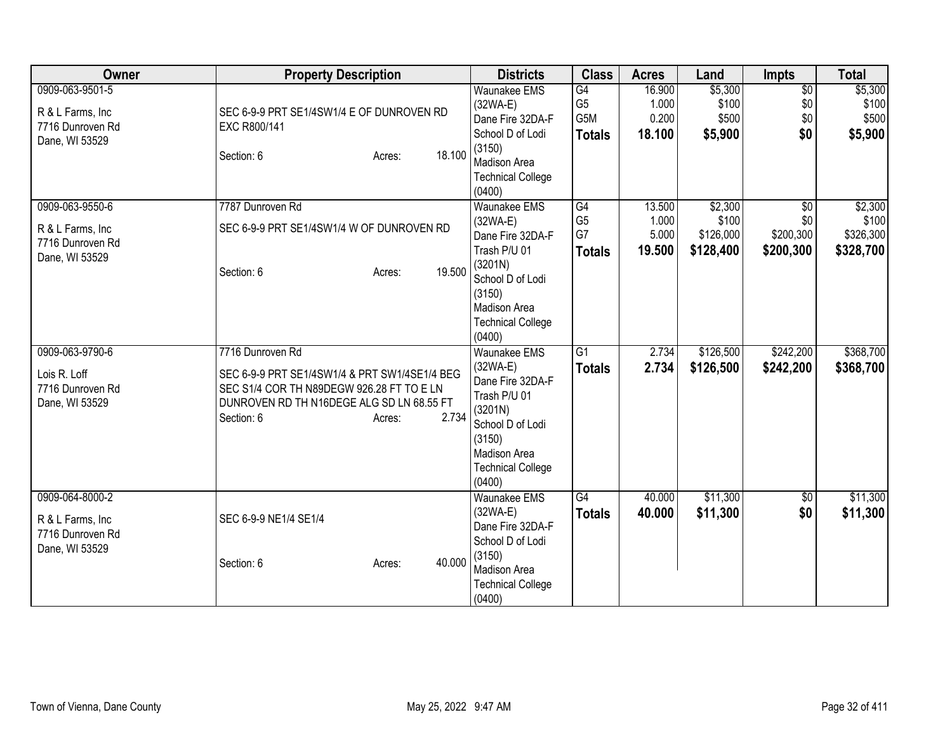| Owner                                                                      | <b>Property Description</b>                                                                                                                                                                  | <b>Districts</b>                                                                                                                                                            | <b>Class</b>                                 | <b>Acres</b>                       | Land                                       | <b>Impts</b>                                     | <b>Total</b>                               |
|----------------------------------------------------------------------------|----------------------------------------------------------------------------------------------------------------------------------------------------------------------------------------------|-----------------------------------------------------------------------------------------------------------------------------------------------------------------------------|----------------------------------------------|------------------------------------|--------------------------------------------|--------------------------------------------------|--------------------------------------------|
| 0909-063-9501-5<br>R & L Farms, Inc.<br>7716 Dunroven Rd<br>Dane, WI 53529 | SEC 6-9-9 PRT SE1/4SW1/4 E OF DUNROVEN RD<br>EXC R800/141<br>18.100<br>Section: 6<br>Acres:                                                                                                  | <b>Waunakee EMS</b><br>$(32WA-E)$<br>Dane Fire 32DA-F<br>School D of Lodi<br>(3150)<br>Madison Area<br><b>Technical College</b><br>(0400)                                   | G4<br>G <sub>5</sub><br>G5M<br><b>Totals</b> | 16.900<br>1.000<br>0.200<br>18.100 | \$5,300<br>\$100<br>\$500<br>\$5,900       | $\overline{50}$<br>\$0<br>\$0<br>\$0             | \$5,300<br>\$100<br>\$500<br>\$5,900       |
| 0909-063-9550-6<br>R & L Farms, Inc<br>7716 Dunroven Rd<br>Dane, WI 53529  | 7787 Dunroven Rd<br>SEC 6-9-9 PRT SE1/4SW1/4 W OF DUNROVEN RD<br>19.500<br>Section: 6<br>Acres:                                                                                              | <b>Waunakee EMS</b><br>$(32WA-E)$<br>Dane Fire 32DA-F<br>Trash P/U 01<br>(3201N)<br>School D of Lodi<br>(3150)<br><b>Madison Area</b><br><b>Technical College</b><br>(0400) | G4<br>G <sub>5</sub><br>G7<br><b>Totals</b>  | 13.500<br>1.000<br>5.000<br>19.500 | \$2,300<br>\$100<br>\$126,000<br>\$128,400 | $\overline{50}$<br>\$0<br>\$200,300<br>\$200,300 | \$2,300<br>\$100<br>\$326,300<br>\$328,700 |
| 0909-063-9790-6<br>Lois R. Loff<br>7716 Dunroven Rd<br>Dane, WI 53529      | 7716 Dunroven Rd<br>SEC 6-9-9 PRT SE1/4SW1/4 & PRT SW1/4SE1/4 BEG<br>SEC S1/4 COR TH N89DEGW 926.28 FT TO E LN<br>DUNROVEN RD TH N16DEGE ALG SD LN 68.55 FT<br>2.734<br>Section: 6<br>Acres: | <b>Waunakee EMS</b><br>$(32WA-E)$<br>Dane Fire 32DA-F<br>Trash P/U 01<br>(3201N)<br>School D of Lodi<br>(3150)<br><b>Madison Area</b><br><b>Technical College</b><br>(0400) | $\overline{G1}$<br><b>Totals</b>             | 2.734<br>2.734                     | \$126,500<br>\$126,500                     | \$242,200<br>\$242,200                           | \$368,700<br>\$368,700                     |
| 0909-064-8000-2<br>R & L Farms, Inc.<br>7716 Dunroven Rd<br>Dane, WI 53529 | SEC 6-9-9 NE1/4 SE1/4<br>40.000<br>Section: 6<br>Acres:                                                                                                                                      | Waunakee EMS<br>$(32WA-E)$<br>Dane Fire 32DA-F<br>School D of Lodi<br>(3150)<br><b>Madison Area</b><br><b>Technical College</b><br>(0400)                                   | G4<br><b>Totals</b>                          | 40.000<br>40.000                   | \$11,300<br>\$11,300                       | $\overline{50}$<br>\$0                           | \$11,300<br>\$11,300                       |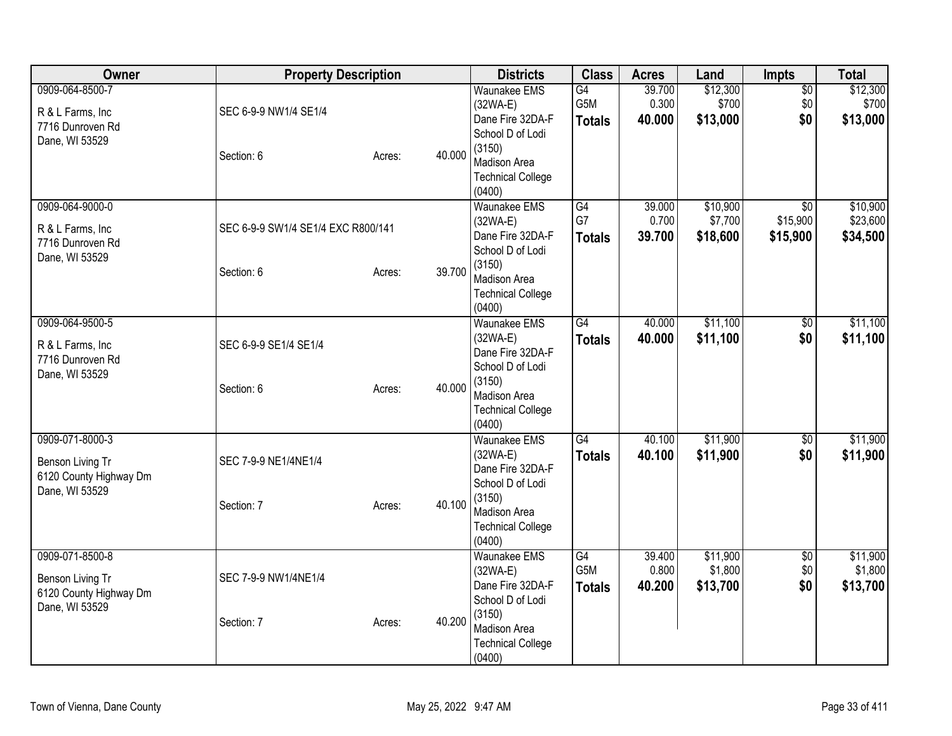| <b>Owner</b>                                                                    | <b>Property Description</b>                      |        |        | <b>Districts</b>                                                                                                                                 | <b>Class</b>                            | <b>Acres</b>              | Land                            | Impts                                   | <b>Total</b>                     |
|---------------------------------------------------------------------------------|--------------------------------------------------|--------|--------|--------------------------------------------------------------------------------------------------------------------------------------------------|-----------------------------------------|---------------------------|---------------------------------|-----------------------------------------|----------------------------------|
| 0909-064-8500-7<br>R & L Farms, Inc<br>7716 Dunroven Rd<br>Dane, WI 53529       | SEC 6-9-9 NW1/4 SE1/4<br>Section: 6              | Acres: | 40.000 | <b>Waunakee EMS</b><br>$(32WA-E)$<br>Dane Fire 32DA-F<br>School D of Lodi<br>(3150)<br><b>Madison Area</b><br><b>Technical College</b><br>(0400) | G4<br>G5M<br><b>Totals</b>              | 39.700<br>0.300<br>40.000 | \$12,300<br>\$700<br>\$13,000   | $\overline{50}$<br>\$0<br>\$0           | \$12,300<br>\$700<br>\$13,000    |
| 0909-064-9000-0<br>R & L Farms, Inc<br>7716 Dunroven Rd<br>Dane, WI 53529       | SEC 6-9-9 SW1/4 SE1/4 EXC R800/141<br>Section: 6 | Acres: | 39.700 | <b>Waunakee EMS</b><br>$(32WA-E)$<br>Dane Fire 32DA-F<br>School D of Lodi<br>(3150)<br>Madison Area<br><b>Technical College</b><br>(0400)        | $\overline{G4}$<br>G7<br><b>Totals</b>  | 39.000<br>0.700<br>39.700 | \$10,900<br>\$7,700<br>\$18,600 | $\overline{50}$<br>\$15,900<br>\$15,900 | \$10,900<br>\$23,600<br>\$34,500 |
| 0909-064-9500-5<br>R & L Farms, Inc.<br>7716 Dunroven Rd<br>Dane, WI 53529      | SEC 6-9-9 SE1/4 SE1/4<br>Section: 6              | Acres: | 40.000 | <b>Waunakee EMS</b><br>$(32WA-E)$<br>Dane Fire 32DA-F<br>School D of Lodi<br>(3150)<br>Madison Area<br><b>Technical College</b><br>(0400)        | G4<br><b>Totals</b>                     | 40.000<br>40.000          | \$11,100<br>\$11,100            | \$0<br>\$0                              | \$11,100<br>\$11,100             |
| 0909-071-8000-3<br>Benson Living Tr<br>6120 County Highway Dm<br>Dane, WI 53529 | SEC 7-9-9 NE1/4NE1/4<br>Section: 7               | Acres: | 40.100 | <b>Waunakee EMS</b><br>$(32WA-E)$<br>Dane Fire 32DA-F<br>School D of Lodi<br>(3150)<br>Madison Area<br><b>Technical College</b><br>(0400)        | G4<br><b>Totals</b>                     | 40.100<br>40.100          | \$11,900<br>\$11,900            | $\overline{50}$<br>\$0                  | \$11,900<br>\$11,900             |
| 0909-071-8500-8<br>Benson Living Tr<br>6120 County Highway Dm<br>Dane, WI 53529 | SEC 7-9-9 NW1/4NE1/4<br>Section: 7               | Acres: | 40.200 | <b>Waunakee EMS</b><br>$(32WA-E)$<br>Dane Fire 32DA-F<br>School D of Lodi<br>(3150)<br>Madison Area<br><b>Technical College</b><br>(0400)        | $\overline{G4}$<br>G5M<br><b>Totals</b> | 39.400<br>0.800<br>40.200 | \$11,900<br>\$1,800<br>\$13,700 | $\overline{60}$<br>\$0<br>\$0           | \$11,900<br>\$1,800<br>\$13,700  |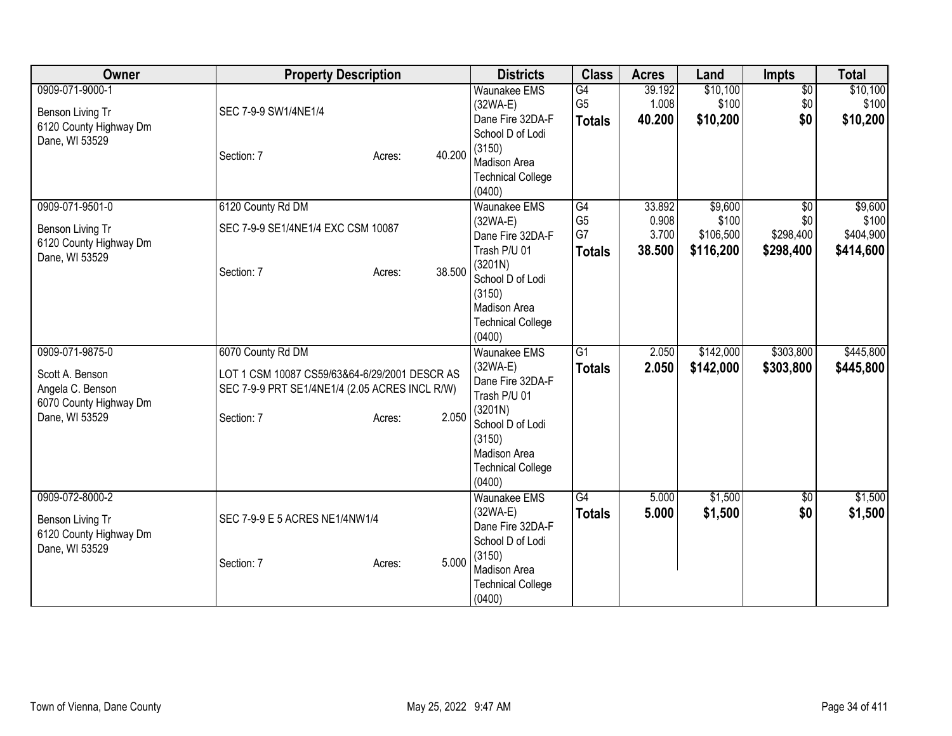| <b>Owner</b>                                                                                       | <b>Property Description</b>                                                                                                                  |        | <b>Districts</b>                                                                                     | <b>Class</b>                                | <b>Acres</b>                       | Land                                       | <b>Impts</b>                                     | <b>Total</b>                               |
|----------------------------------------------------------------------------------------------------|----------------------------------------------------------------------------------------------------------------------------------------------|--------|------------------------------------------------------------------------------------------------------|---------------------------------------------|------------------------------------|--------------------------------------------|--------------------------------------------------|--------------------------------------------|
| 0909-071-9000-1<br>Benson Living Tr<br>6120 County Highway Dm<br>Dane, WI 53529                    | SEC 7-9-9 SW1/4NE1/4                                                                                                                         |        | <b>Waunakee EMS</b><br>$(32WA-E)$<br>Dane Fire 32DA-F<br>School D of Lodi<br>(3150)                  | G4<br>G <sub>5</sub><br><b>Totals</b>       | 39.192<br>1.008<br>40.200          | \$10,100<br>\$100<br>\$10,200              | $\overline{30}$<br>\$0<br>\$0                    | \$10,100<br>\$100<br>\$10,200              |
|                                                                                                    | Section: 7<br>Acres:                                                                                                                         | 40.200 | <b>Madison Area</b><br><b>Technical College</b><br>(0400)                                            |                                             |                                    |                                            |                                                  |                                            |
| 0909-071-9501-0<br>Benson Living Tr<br>6120 County Highway Dm<br>Dane, WI 53529                    | 6120 County Rd DM<br>SEC 7-9-9 SE1/4NE1/4 EXC CSM 10087<br>Section: 7<br>Acres:                                                              | 38.500 | <b>Waunakee EMS</b><br>$(32WA-E)$<br>Dane Fire 32DA-F<br>Trash P/U 01<br>(3201N)<br>School D of Lodi | G4<br>G <sub>5</sub><br>G7<br><b>Totals</b> | 33.892<br>0.908<br>3.700<br>38.500 | \$9,600<br>\$100<br>\$106,500<br>\$116,200 | $\overline{50}$<br>\$0<br>\$298,400<br>\$298,400 | \$9,600<br>\$100<br>\$404,900<br>\$414,600 |
|                                                                                                    |                                                                                                                                              |        | (3150)<br><b>Madison Area</b><br><b>Technical College</b><br>(0400)                                  |                                             |                                    |                                            |                                                  |                                            |
| 0909-071-9875-0<br>Scott A. Benson<br>Angela C. Benson<br>6070 County Highway Dm<br>Dane, WI 53529 | 6070 County Rd DM<br>LOT 1 CSM 10087 CS59/63&64-6/29/2001 DESCR AS<br>SEC 7-9-9 PRT SE1/4NE1/4 (2.05 ACRES INCL R/W)<br>Section: 7<br>Acres: | 2.050  | <b>Waunakee EMS</b><br>$(32WA-E)$<br>Dane Fire 32DA-F<br>Trash P/U 01<br>(3201N)                     | G1<br><b>Totals</b>                         | 2.050<br>2.050                     | \$142,000<br>\$142,000                     | \$303,800<br>\$303,800                           | \$445,800<br>\$445,800                     |
|                                                                                                    |                                                                                                                                              |        | School D of Lodi<br>(3150)<br>Madison Area<br><b>Technical College</b><br>(0400)                     |                                             |                                    |                                            |                                                  |                                            |
| 0909-072-8000-2<br>Benson Living Tr<br>6120 County Highway Dm<br>Dane, WI 53529                    | SEC 7-9-9 E 5 ACRES NE1/4NW1/4                                                                                                               |        | <b>Waunakee EMS</b><br>$(32WA-E)$<br>Dane Fire 32DA-F<br>School D of Lodi                            | G4<br><b>Totals</b>                         | 5.000<br>5.000                     | \$1,500<br>\$1,500                         | $\overline{50}$<br>\$0                           | \$1,500<br>\$1,500                         |
|                                                                                                    | Section: 7<br>Acres:                                                                                                                         | 5.000  | (3150)<br><b>Madison Area</b><br><b>Technical College</b><br>(0400)                                  |                                             |                                    |                                            |                                                  |                                            |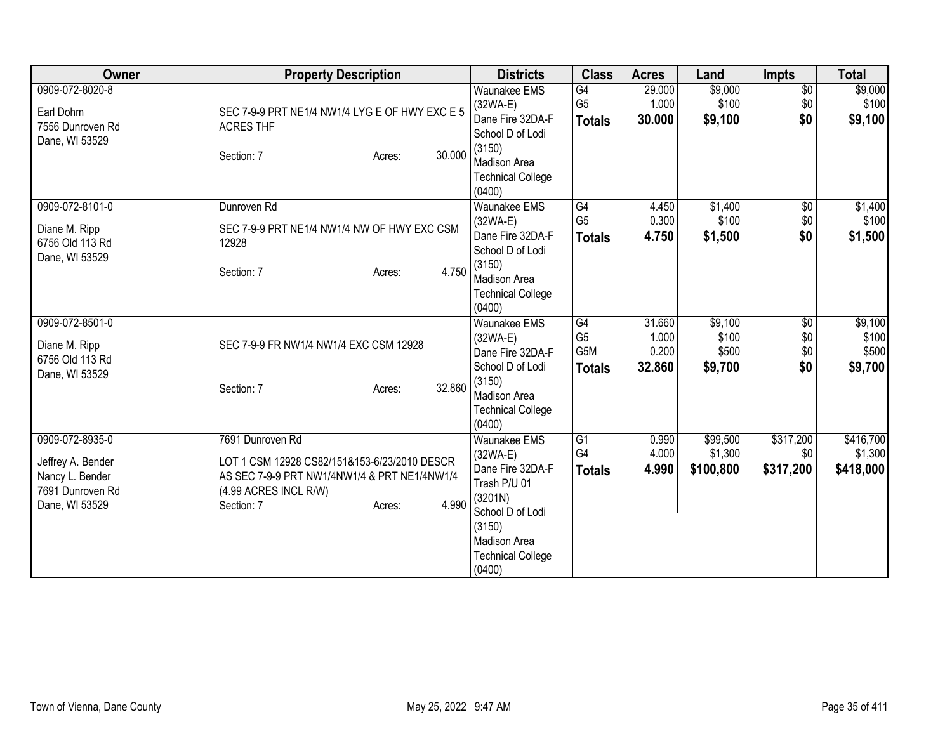| Owner                                                                                         | <b>Property Description</b>                                                                                                                                                | <b>Districts</b>                                                                                                                                                                                        | <b>Class</b>                                              | <b>Acres</b>                       | Land                                 | <b>Impts</b>                         | <b>Total</b>                         |
|-----------------------------------------------------------------------------------------------|----------------------------------------------------------------------------------------------------------------------------------------------------------------------------|---------------------------------------------------------------------------------------------------------------------------------------------------------------------------------------------------------|-----------------------------------------------------------|------------------------------------|--------------------------------------|--------------------------------------|--------------------------------------|
| 0909-072-8020-8<br>Earl Dohm<br>7556 Dunroven Rd<br>Dane, WI 53529                            | SEC 7-9-9 PRT NE1/4 NW1/4 LYG E OF HWY EXC E 5<br><b>ACRES THF</b><br>30.000<br>Section: 7<br>Acres:                                                                       | <b>Waunakee EMS</b><br>$(32WA-E)$<br>Dane Fire 32DA-F<br>School D of Lodi<br>(3150)<br><b>Madison Area</b>                                                                                              | G4<br>G <sub>5</sub><br><b>Totals</b>                     | 29.000<br>1.000<br>30.000          | \$9,000<br>\$100<br>\$9,100          | $\overline{60}$<br>\$0<br>\$0        | \$9,000<br>\$100<br>\$9,100          |
| 0909-072-8101-0<br>Diane M. Ripp<br>6756 Old 113 Rd<br>Dane, WI 53529                         | Dunroven <sub>Rd</sub><br>SEC 7-9-9 PRT NE1/4 NW1/4 NW OF HWY EXC CSM<br>12928<br>4.750<br>Section: 7<br>Acres:                                                            | <b>Technical College</b><br>(0400)<br><b>Waunakee EMS</b><br>$(32WA-E)$<br>Dane Fire 32DA-F<br>School D of Lodi<br>(3150)<br>Madison Area                                                               | G4<br>G <sub>5</sub><br><b>Totals</b>                     | 4.450<br>0.300<br>4.750            | \$1,400<br>\$100<br>\$1,500          | $\sqrt{6}$<br>\$0<br>\$0             | \$1,400<br>\$100<br>\$1,500          |
| 0909-072-8501-0<br>Diane M. Ripp<br>6756 Old 113 Rd<br>Dane, WI 53529                         | SEC 7-9-9 FR NW1/4 NW1/4 EXC CSM 12928<br>32,860<br>Section: 7<br>Acres:                                                                                                   | <b>Technical College</b><br>(0400)<br>Waunakee EMS<br>$(32WA-E)$<br>Dane Fire 32DA-F<br>School D of Lodi<br>(3150)<br>Madison Area                                                                      | $\overline{G4}$<br>G <sub>5</sub><br>G5M<br><b>Totals</b> | 31.660<br>1.000<br>0.200<br>32.860 | \$9,100<br>\$100<br>\$500<br>\$9,700 | $\overline{50}$<br>\$0<br>\$0<br>\$0 | \$9,100<br>\$100<br>\$500<br>\$9,700 |
| 0909-072-8935-0<br>Jeffrey A. Bender<br>Nancy L. Bender<br>7691 Dunroven Rd<br>Dane, WI 53529 | 7691 Dunroven Rd<br>LOT 1 CSM 12928 CS82/151&153-6/23/2010 DESCR<br>AS SEC 7-9-9 PRT NW1/4NW1/4 & PRT NE1/4NW1/4<br>(4.99 ACRES INCL R/W)<br>4.990<br>Section: 7<br>Acres: | <b>Technical College</b><br>(0400)<br><b>Waunakee EMS</b><br>$(32WA-E)$<br>Dane Fire 32DA-F<br>Trash P/U 01<br>(3201N)<br>School D of Lodi<br>(3150)<br><b>Madison Area</b><br><b>Technical College</b> | $\overline{G1}$<br>G4<br><b>Totals</b>                    | 0.990<br>4.000<br>4.990            | \$99,500<br>\$1,300<br>\$100,800     | \$317,200<br>\$0<br>\$317,200        | \$416,700<br>\$1,300<br>\$418,000    |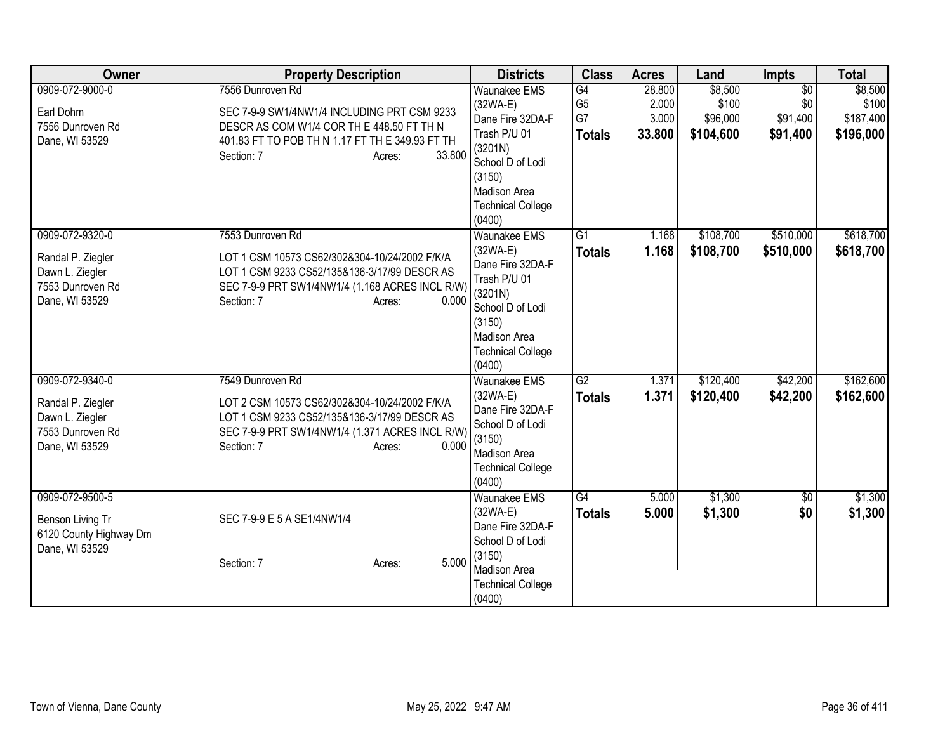| Owner                                                                                         | <b>Property Description</b>                                                                                                                                                                           | <b>Districts</b>                                                                                                                                                            | <b>Class</b>                                | <b>Acres</b>                       | Land                                      | <b>Impts</b>                                   | <b>Total</b>                               |
|-----------------------------------------------------------------------------------------------|-------------------------------------------------------------------------------------------------------------------------------------------------------------------------------------------------------|-----------------------------------------------------------------------------------------------------------------------------------------------------------------------------|---------------------------------------------|------------------------------------|-------------------------------------------|------------------------------------------------|--------------------------------------------|
| 0909-072-9000-0<br>Earl Dohm<br>7556 Dunroven Rd<br>Dane, WI 53529                            | 7556 Dunroven Rd<br>SEC 7-9-9 SW1/4NW1/4 INCLUDING PRT CSM 9233<br>DESCR AS COM W1/4 COR TH E 448.50 FT TH N<br>401.83 FT TO POB TH N 1.17 FT TH E 349.93 FT TH<br>33.800<br>Section: 7<br>Acres:     | <b>Waunakee EMS</b><br>$(32WA-E)$<br>Dane Fire 32DA-F<br>Trash P/U 01<br>(3201N)<br>School D of Lodi<br>(3150)<br><b>Madison Area</b><br><b>Technical College</b><br>(0400) | G4<br>G <sub>5</sub><br>G7<br><b>Totals</b> | 28.800<br>2.000<br>3.000<br>33.800 | \$8,500<br>\$100<br>\$96,000<br>\$104,600 | $\overline{50}$<br>\$0<br>\$91,400<br>\$91,400 | \$8,500<br>\$100<br>\$187,400<br>\$196,000 |
| 0909-072-9320-0<br>Randal P. Ziegler<br>Dawn L. Ziegler<br>7553 Dunroven Rd<br>Dane, WI 53529 | 7553 Dunroven Rd<br>LOT 1 CSM 10573 CS62/302&304-10/24/2002 F/K/A<br>LOT 1 CSM 9233 CS52/135&136-3/17/99 DESCR AS<br>SEC 7-9-9 PRT SW1/4NW1/4 (1.168 ACRES INCL R/W)<br>Section: 7<br>0.000<br>Acres: | <b>Waunakee EMS</b><br>$(32WA-E)$<br>Dane Fire 32DA-F<br>Trash P/U 01<br>(3201N)<br>School D of Lodi<br>(3150)<br><b>Madison Area</b><br><b>Technical College</b><br>(0400) | $\overline{G1}$<br><b>Totals</b>            | 1.168<br>1.168                     | \$108,700<br>\$108,700                    | \$510,000<br>\$510,000                         | \$618,700<br>\$618,700                     |
| 0909-072-9340-0<br>Randal P. Ziegler<br>Dawn L. Ziegler<br>7553 Dunroven Rd<br>Dane, WI 53529 | 7549 Dunroven Rd<br>LOT 2 CSM 10573 CS62/302&304-10/24/2002 F/K/A<br>LOT 1 CSM 9233 CS52/135&136-3/17/99 DESCR AS<br>SEC 7-9-9 PRT SW1/4NW1/4 (1.371 ACRES INCL R/W)<br>0.000<br>Section: 7<br>Acres: | <b>Waunakee EMS</b><br>$(32WA-E)$<br>Dane Fire 32DA-F<br>School D of Lodi<br>(3150)<br><b>Madison Area</b><br><b>Technical College</b><br>(0400)                            | G2<br><b>Totals</b>                         | 1.371<br>1.371                     | \$120,400<br>\$120,400                    | \$42,200<br>\$42,200                           | \$162,600<br>\$162,600                     |
| 0909-072-9500-5<br>Benson Living Tr<br>6120 County Highway Dm<br>Dane, WI 53529               | SEC 7-9-9 E 5 A SE1/4NW1/4<br>5.000<br>Section: 7<br>Acres:                                                                                                                                           | <b>Waunakee EMS</b><br>$(32WA-E)$<br>Dane Fire 32DA-F<br>School D of Lodi<br>(3150)<br><b>Madison Area</b><br><b>Technical College</b><br>(0400)                            | G4<br><b>Totals</b>                         | 5.000<br>5.000                     | \$1,300<br>\$1,300                        | $\overline{50}$<br>\$0                         | \$1,300<br>\$1,300                         |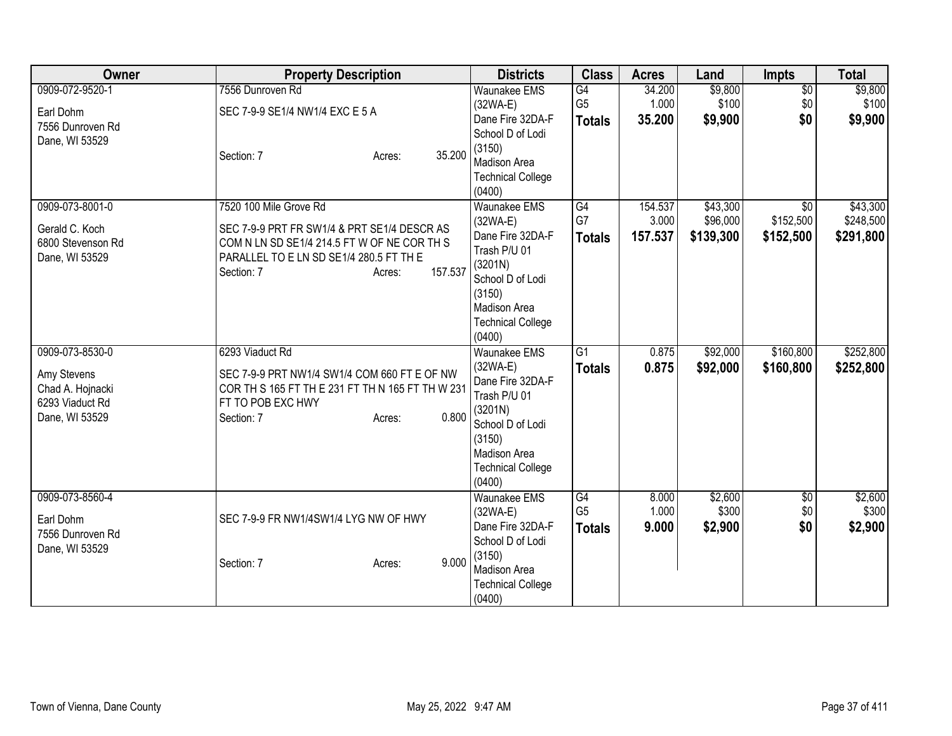| Owner                                                                                   | <b>Property Description</b>                                                                                                                                                                        | <b>Districts</b>                                                                                                                                              | <b>Class</b>                          | <b>Acres</b>                | Land                              | <b>Impts</b>                              | <b>Total</b>                       |
|-----------------------------------------------------------------------------------------|----------------------------------------------------------------------------------------------------------------------------------------------------------------------------------------------------|---------------------------------------------------------------------------------------------------------------------------------------------------------------|---------------------------------------|-----------------------------|-----------------------------------|-------------------------------------------|------------------------------------|
| 0909-072-9520-1<br>Earl Dohm                                                            | 7556 Dunroven Rd<br>SEC 7-9-9 SE1/4 NW1/4 EXC E 5 A                                                                                                                                                | <b>Waunakee EMS</b><br>$(32WA-E)$<br>Dane Fire 32DA-F                                                                                                         | G4<br>G <sub>5</sub><br><b>Totals</b> | 34.200<br>1.000<br>35.200   | \$9,800<br>\$100<br>\$9,900       | $\overline{30}$<br>\$0<br>\$0             | \$9,800<br>\$100<br>\$9,900        |
| 7556 Dunroven Rd<br>Dane, WI 53529                                                      | 35.200<br>Section: 7<br>Acres:                                                                                                                                                                     | School D of Lodi<br>(3150)<br>Madison Area<br><b>Technical College</b><br>(0400)                                                                              |                                       |                             |                                   |                                           |                                    |
| 0909-073-8001-0<br>Gerald C. Koch<br>6800 Stevenson Rd<br>Dane, WI 53529                | 7520 100 Mile Grove Rd<br>SEC 7-9-9 PRT FR SW1/4 & PRT SE1/4 DESCR AS<br>COM N LN SD SE1/4 214.5 FT W OF NE COR TH S<br>PARALLEL TO E LN SD SE1/4 280.5 FT TH E<br>157.537<br>Section: 7<br>Acres: | Waunakee EMS<br>$(32WA-E)$<br>Dane Fire 32DA-F<br>Trash P/U 01<br>(3201N)<br>School D of Lodi<br>(3150)<br>Madison Area<br><b>Technical College</b><br>(0400) | G4<br>G7<br><b>Totals</b>             | 154.537<br>3.000<br>157.537 | \$43,300<br>\$96,000<br>\$139,300 | $\overline{30}$<br>\$152,500<br>\$152,500 | \$43,300<br>\$248,500<br>\$291,800 |
| 0909-073-8530-0<br>Amy Stevens<br>Chad A. Hojnacki<br>6293 Viaduct Rd<br>Dane, WI 53529 | 6293 Viaduct Rd<br>SEC 7-9-9 PRT NW1/4 SW1/4 COM 660 FT E OF NW<br>COR TH S 165 FT TH E 231 FT TH N 165 FT TH W 231<br>FT TO POB EXC HWY<br>0.800<br>Section: 7<br>Acres:                          | Waunakee EMS<br>$(32WA-E)$<br>Dane Fire 32DA-F<br>Trash P/U 01<br>(3201N)<br>School D of Lodi<br>(3150)<br>Madison Area<br><b>Technical College</b><br>(0400) | $\overline{G1}$<br><b>Totals</b>      | 0.875<br>0.875              | \$92,000<br>\$92,000              | \$160,800<br>\$160,800                    | \$252,800<br>\$252,800             |
| 0909-073-8560-4<br>Earl Dohm<br>7556 Dunroven Rd<br>Dane, WI 53529                      | SEC 7-9-9 FR NW1/4SW1/4 LYG NW OF HWY<br>9.000<br>Section: 7<br>Acres:                                                                                                                             | <b>Waunakee EMS</b><br>$(32WA-E)$<br>Dane Fire 32DA-F<br>School D of Lodi<br>(3150)<br><b>Madison Area</b><br><b>Technical College</b><br>(0400)              | G4<br>G <sub>5</sub><br><b>Totals</b> | 8.000<br>1.000<br>9.000     | \$2,600<br>\$300<br>\$2,900       | $\overline{30}$<br>\$0<br>\$0             | \$2,600<br>\$300<br>\$2,900        |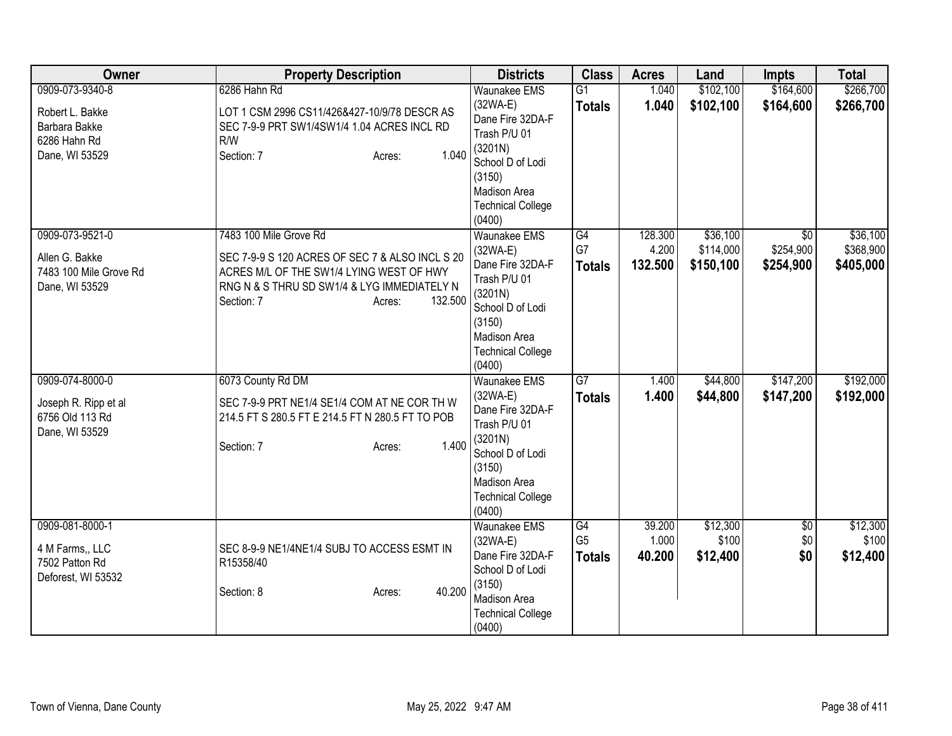| Owner                                                                                 | <b>Property Description</b>                                                                                                                                                                             | <b>Districts</b>                                                                                                                                                     | <b>Class</b>                          | <b>Acres</b>                | Land                               | <b>Impts</b>                              | <b>Total</b>                       |
|---------------------------------------------------------------------------------------|---------------------------------------------------------------------------------------------------------------------------------------------------------------------------------------------------------|----------------------------------------------------------------------------------------------------------------------------------------------------------------------|---------------------------------------|-----------------------------|------------------------------------|-------------------------------------------|------------------------------------|
| 0909-073-9340-8<br>Robert L. Bakke<br>Barbara Bakke<br>6286 Hahn Rd<br>Dane, WI 53529 | 6286 Hahn Rd<br>LOT 1 CSM 2996 CS11/426&427-10/9/78 DESCR AS<br>SEC 7-9-9 PRT SW1/4SW1/4 1.04 ACRES INCL RD<br>R/W<br>1.040<br>Section: 7<br>Acres:                                                     | <b>Waunakee EMS</b><br>$(32WA-E)$<br>Dane Fire 32DA-F<br>Trash P/U 01<br>(3201N)<br>School D of Lodi<br>(3150)<br>Madison Area<br><b>Technical College</b><br>(0400) | G1<br><b>Totals</b>                   | 1.040<br>1.040              | \$102,100<br>\$102,100             | \$164,600<br>\$164,600                    | \$266,700<br>\$266,700             |
| 0909-073-9521-0<br>Allen G. Bakke<br>7483 100 Mile Grove Rd<br>Dane, WI 53529         | 7483 100 Mile Grove Rd<br>SEC 7-9-9 S 120 ACRES OF SEC 7 & ALSO INCL S 20<br>ACRES M/L OF THE SW1/4 LYING WEST OF HWY<br>RNG N & S THRU SD SW1/4 & LYG IMMEDIATELY N<br>132.500<br>Section: 7<br>Acres: | <b>Waunakee EMS</b><br>$(32WA-E)$<br>Dane Fire 32DA-F<br>Trash P/U 01<br>(3201N)<br>School D of Lodi<br>(3150)<br>Madison Area<br><b>Technical College</b><br>(0400) | G4<br>G7<br><b>Totals</b>             | 128.300<br>4.200<br>132.500 | \$36,100<br>\$114,000<br>\$150,100 | $\overline{50}$<br>\$254,900<br>\$254,900 | \$36,100<br>\$368,900<br>\$405,000 |
| 0909-074-8000-0<br>Joseph R. Ripp et al<br>6756 Old 113 Rd<br>Dane, WI 53529          | 6073 County Rd DM<br>SEC 7-9-9 PRT NE1/4 SE1/4 COM AT NE COR TH W<br>214.5 FT S 280.5 FT E 214.5 FT N 280.5 FT TO POB<br>1.400<br>Section: 7<br>Acres:                                                  | <b>Waunakee EMS</b><br>$(32WA-E)$<br>Dane Fire 32DA-F<br>Trash P/U 01<br>(3201N)<br>School D of Lodi<br>(3150)<br>Madison Area<br><b>Technical College</b><br>(0400) | G7<br><b>Totals</b>                   | 1.400<br>1.400              | \$44,800<br>\$44,800               | \$147,200<br>\$147,200                    | \$192,000<br>\$192,000             |
| 0909-081-8000-1<br>4 M Farms,, LLC<br>7502 Patton Rd<br>Deforest, WI 53532            | SEC 8-9-9 NE1/4NE1/4 SUBJ TO ACCESS ESMT IN<br>R15358/40<br>40.200<br>Section: 8<br>Acres:                                                                                                              | Waunakee EMS<br>$(32WA-E)$<br>Dane Fire 32DA-F<br>School D of Lodi<br>(3150)<br>Madison Area<br><b>Technical College</b><br>(0400)                                   | G4<br>G <sub>5</sub><br><b>Totals</b> | 39.200<br>1.000<br>40.200   | \$12,300<br>\$100<br>\$12,400      | $\overline{50}$<br>\$0<br>\$0             | \$12,300<br>\$100<br>\$12,400      |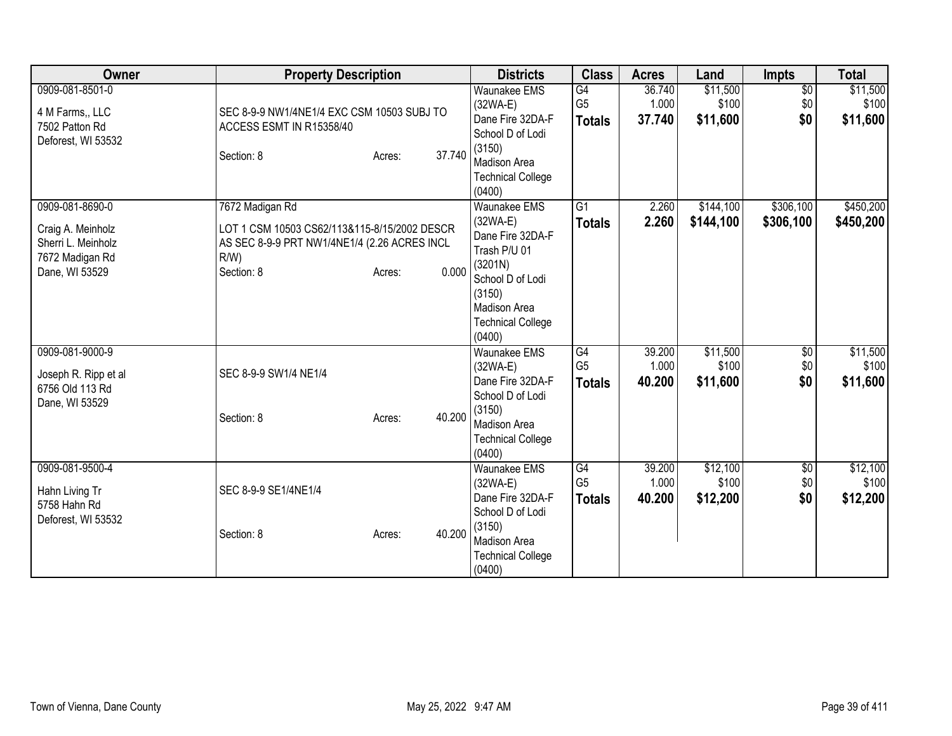| Owner                                                                                           | <b>Property Description</b>                                                                                                                                 | <b>Districts</b>                                                                                                                                                               | <b>Class</b>                                       | <b>Acres</b>              | Land                          | <b>Impts</b>                  | <b>Total</b>                  |
|-------------------------------------------------------------------------------------------------|-------------------------------------------------------------------------------------------------------------------------------------------------------------|--------------------------------------------------------------------------------------------------------------------------------------------------------------------------------|----------------------------------------------------|---------------------------|-------------------------------|-------------------------------|-------------------------------|
| 0909-081-8501-0<br>4 M Farms,, LLC<br>7502 Patton Rd<br>Deforest, WI 53532                      | SEC 8-9-9 NW1/4NE1/4 EXC CSM 10503 SUBJ TO<br>ACCESS ESMT IN R15358/40<br>37.740<br>Section: 8<br>Acres:                                                    | <b>Waunakee EMS</b><br>$(32WA-E)$<br>Dane Fire 32DA-F<br>School D of Lodi<br>(3150)<br>Madison Area<br><b>Technical College</b>                                                | G4<br>G <sub>5</sub><br><b>Totals</b>              | 36.740<br>1.000<br>37.740 | \$11,500<br>\$100<br>\$11,600 | $\overline{60}$<br>\$0<br>\$0 | \$11,500<br>\$100<br>\$11,600 |
| 0909-081-8690-0<br>Craig A. Meinholz<br>Sherri L. Meinholz<br>7672 Madigan Rd<br>Dane, WI 53529 | 7672 Madigan Rd<br>LOT 1 CSM 10503 CS62/113&115-8/15/2002 DESCR<br>AS SEC 8-9-9 PRT NW1/4NE1/4 (2.26 ACRES INCL<br>$R/W$ )<br>0.000<br>Section: 8<br>Acres: | (0400)<br>Waunakee EMS<br>$(32WA-E)$<br>Dane Fire 32DA-F<br>Trash P/U 01<br>(3201N)<br>School D of Lodi<br>(3150)<br><b>Madison Area</b><br><b>Technical College</b><br>(0400) | $\overline{G1}$<br><b>Totals</b>                   | 2.260<br>2.260            | \$144,100<br>\$144,100        | \$306,100<br>\$306,100        | \$450,200<br>\$450,200        |
| 0909-081-9000-9<br>Joseph R. Ripp et al<br>6756 Old 113 Rd<br>Dane, WI 53529                    | SEC 8-9-9 SW1/4 NE1/4<br>40.200<br>Section: 8<br>Acres:                                                                                                     | Waunakee EMS<br>$(32WA-E)$<br>Dane Fire 32DA-F<br>School D of Lodi<br>(3150)<br><b>Madison Area</b><br><b>Technical College</b><br>(0400)                                      | $\overline{G4}$<br>G <sub>5</sub><br><b>Totals</b> | 39.200<br>1.000<br>40.200 | \$11,500<br>\$100<br>\$11,600 | $\overline{50}$<br>\$0<br>\$0 | \$11,500<br>\$100<br>\$11,600 |
| 0909-081-9500-4<br>Hahn Living Tr<br>5758 Hahn Rd<br>Deforest, WI 53532                         | SEC 8-9-9 SE1/4NE1/4<br>40.200<br>Section: 8<br>Acres:                                                                                                      | <b>Waunakee EMS</b><br>$(32WA-E)$<br>Dane Fire 32DA-F<br>School D of Lodi<br>(3150)<br>Madison Area<br><b>Technical College</b><br>(0400)                                      | G4<br>G <sub>5</sub><br><b>Totals</b>              | 39.200<br>1.000<br>40.200 | \$12,100<br>\$100<br>\$12,200 | $\overline{60}$<br>\$0<br>\$0 | \$12,100<br>\$100<br>\$12,200 |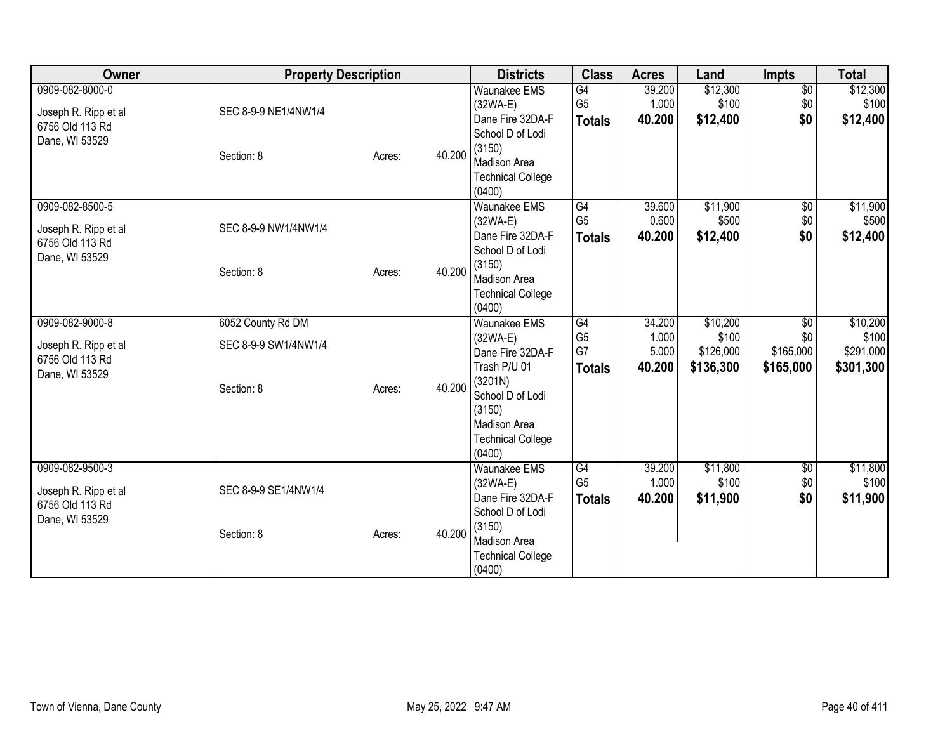| <b>Owner</b>                                                                 | <b>Property Description</b>                             |        |        | <b>Districts</b>                                                                                                                                                            | <b>Class</b>                                | <b>Acres</b>                       | Land                                        | Impts                                | <b>Total</b>                                |
|------------------------------------------------------------------------------|---------------------------------------------------------|--------|--------|-----------------------------------------------------------------------------------------------------------------------------------------------------------------------------|---------------------------------------------|------------------------------------|---------------------------------------------|--------------------------------------|---------------------------------------------|
| 0909-082-8000-0<br>Joseph R. Ripp et al<br>6756 Old 113 Rd<br>Dane, WI 53529 | SEC 8-9-9 NE1/4NW1/4<br>Section: 8                      | Acres: | 40.200 | <b>Waunakee EMS</b><br>$(32WA-E)$<br>Dane Fire 32DA-F<br>School D of Lodi<br>(3150)<br>Madison Area                                                                         | G4<br>G <sub>5</sub><br><b>Totals</b>       | 39.200<br>1.000<br>40.200          | \$12,300<br>\$100<br>\$12,400               | $\overline{60}$<br>\$0<br>\$0        | \$12,300<br>\$100<br>\$12,400               |
| 0909-082-8500-5                                                              |                                                         |        |        | <b>Technical College</b><br>(0400)<br>Waunakee EMS<br>$(32WA-E)$                                                                                                            | G4<br>G <sub>5</sub>                        | 39.600<br>0.600                    | \$11,900<br>\$500                           | $\overline{60}$<br>\$0               | \$11,900<br>\$500                           |
| Joseph R. Ripp et al<br>6756 Old 113 Rd<br>Dane, WI 53529                    | SEC 8-9-9 NW1/4NW1/4<br>Section: 8                      | Acres: | 40.200 | Dane Fire 32DA-F<br>School D of Lodi<br>(3150)<br>Madison Area<br><b>Technical College</b><br>(0400)                                                                        | <b>Totals</b>                               | 40.200                             | \$12,400                                    | \$0                                  | \$12,400                                    |
| 0909-082-9000-8<br>Joseph R. Ripp et al<br>6756 Old 113 Rd<br>Dane, WI 53529 | 6052 County Rd DM<br>SEC 8-9-9 SW1/4NW1/4<br>Section: 8 | Acres: | 40.200 | <b>Waunakee EMS</b><br>$(32WA-E)$<br>Dane Fire 32DA-F<br>Trash P/U 01<br>(3201N)<br>School D of Lodi<br>(3150)<br><b>Madison Area</b><br><b>Technical College</b><br>(0400) | G4<br>G <sub>5</sub><br>G7<br><b>Totals</b> | 34.200<br>1.000<br>5.000<br>40.200 | \$10,200<br>\$100<br>\$126,000<br>\$136,300 | \$0<br>\$0<br>\$165,000<br>\$165,000 | \$10,200<br>\$100<br>\$291,000<br>\$301,300 |
| 0909-082-9500-3<br>Joseph R. Ripp et al<br>6756 Old 113 Rd<br>Dane, WI 53529 | SEC 8-9-9 SE1/4NW1/4<br>Section: 8                      | Acres: | 40.200 | Waunakee EMS<br>$(32WA-E)$<br>Dane Fire 32DA-F<br>School D of Lodi<br>(3150)<br>Madison Area<br><b>Technical College</b><br>(0400)                                          | G4<br>G <sub>5</sub><br><b>Totals</b>       | 39.200<br>1.000<br>40.200          | \$11,800<br>\$100<br>\$11,900               | $\overline{50}$<br>\$0<br>\$0        | \$11,800<br>\$100<br>\$11,900               |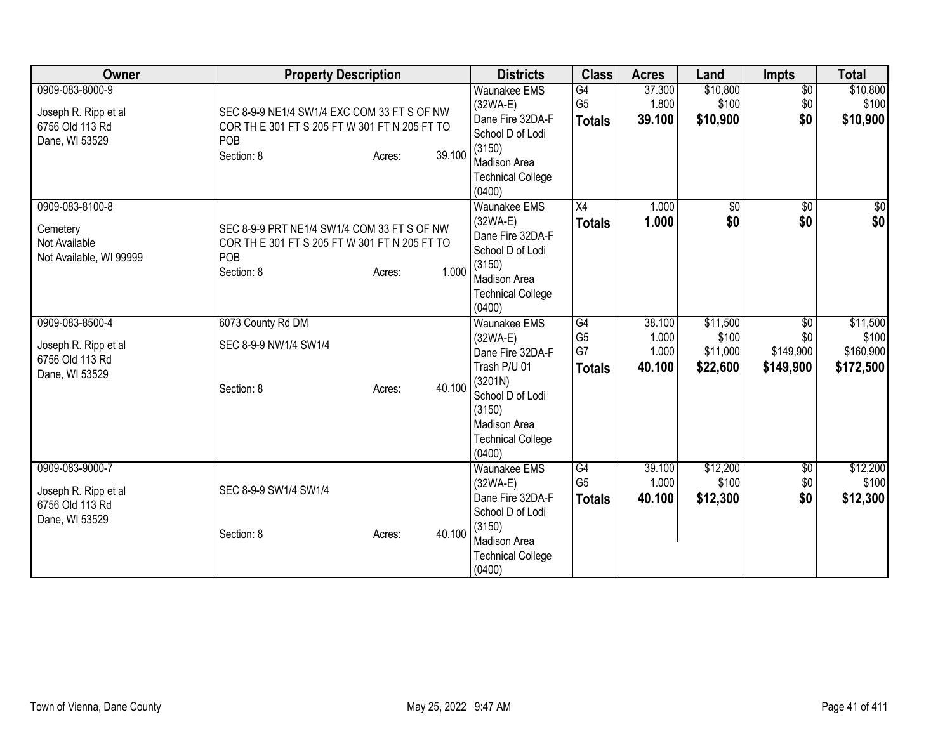| Owner                                                                        | <b>Property Description</b>                                                                                                           | <b>Districts</b>                                                                                                                                                            | <b>Class</b>                                | <b>Acres</b>                       | Land                                      | <b>Impts</b>                         | <b>Total</b>                                |
|------------------------------------------------------------------------------|---------------------------------------------------------------------------------------------------------------------------------------|-----------------------------------------------------------------------------------------------------------------------------------------------------------------------------|---------------------------------------------|------------------------------------|-------------------------------------------|--------------------------------------|---------------------------------------------|
| 0909-083-8000-9<br>Joseph R. Ripp et al<br>6756 Old 113 Rd<br>Dane, WI 53529 | SEC 8-9-9 NE1/4 SW1/4 EXC COM 33 FT S OF NW<br>COR TH E 301 FT S 205 FT W 301 FT N 205 FT TO<br>POB<br>39.100<br>Section: 8<br>Acres: | <b>Waunakee EMS</b><br>$(32WA-E)$<br>Dane Fire 32DA-F<br>School D of Lodi<br>(3150)<br>Madison Area<br><b>Technical College</b><br>(0400)                                   | G4<br>G <sub>5</sub><br><b>Totals</b>       | 37.300<br>1.800<br>39.100          | \$10,800<br>\$100<br>\$10,900             | $\overline{60}$<br>\$0<br>\$0        | \$10,800<br>\$100<br>\$10,900               |
| 0909-083-8100-8<br>Cemetery<br>Not Available<br>Not Available, WI 99999      | SEC 8-9-9 PRT NE1/4 SW1/4 COM 33 FT S OF NW<br>COR TH E 301 FT S 205 FT W 301 FT N 205 FT TO<br>POB<br>1.000<br>Section: 8<br>Acres:  | Waunakee EMS<br>$(32WA-E)$<br>Dane Fire 32DA-F<br>School D of Lodi<br>(3150)<br><b>Madison Area</b><br><b>Technical College</b><br>(0400)                                   | $\overline{X4}$<br><b>Totals</b>            | 1.000<br>1.000                     | $\sqrt{$0}$<br>\$0                        | $\overline{50}$<br>\$0               | $\frac{6}{3}$<br>\$0                        |
| 0909-083-8500-4<br>Joseph R. Ripp et al<br>6756 Old 113 Rd<br>Dane, WI 53529 | 6073 County Rd DM<br>SEC 8-9-9 NW1/4 SW1/4<br>40.100<br>Section: 8<br>Acres:                                                          | <b>Waunakee EMS</b><br>$(32WA-E)$<br>Dane Fire 32DA-F<br>Trash P/U 01<br>(3201N)<br>School D of Lodi<br>(3150)<br><b>Madison Area</b><br><b>Technical College</b><br>(0400) | G4<br>G <sub>5</sub><br>G7<br><b>Totals</b> | 38.100<br>1.000<br>1.000<br>40.100 | \$11,500<br>\$100<br>\$11,000<br>\$22,600 | \$0<br>\$0<br>\$149,900<br>\$149,900 | \$11,500<br>\$100<br>\$160,900<br>\$172,500 |
| 0909-083-9000-7<br>Joseph R. Ripp et al<br>6756 Old 113 Rd<br>Dane, WI 53529 | SEC 8-9-9 SW1/4 SW1/4<br>40.100<br>Section: 8<br>Acres:                                                                               | <b>Waunakee EMS</b><br>$(32WA-E)$<br>Dane Fire 32DA-F<br>School D of Lodi<br>(3150)<br>Madison Area<br><b>Technical College</b><br>(0400)                                   | G4<br>G <sub>5</sub><br><b>Totals</b>       | 39.100<br>1.000<br>40.100          | \$12,200<br>\$100<br>\$12,300             | $\overline{50}$<br>\$0<br>\$0        | \$12,200<br>\$100<br>\$12,300               |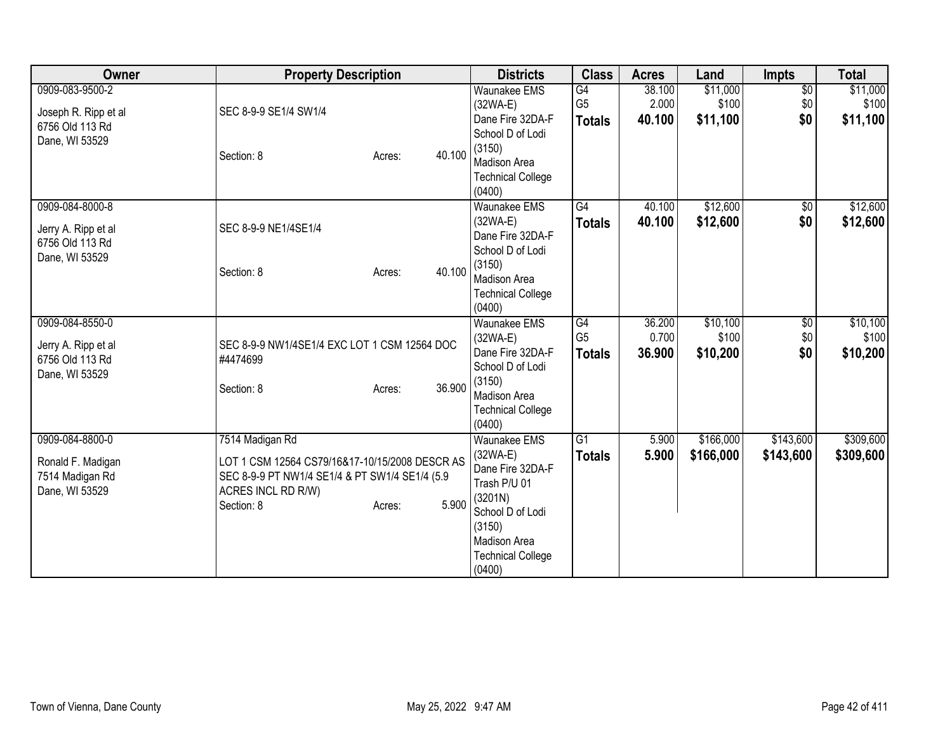| Owner                | <b>Property Description</b>                    |        |        | <b>Districts</b>                     | <b>Class</b>    | <b>Acres</b> | Land      | Impts                  | <b>Total</b> |
|----------------------|------------------------------------------------|--------|--------|--------------------------------------|-----------------|--------------|-----------|------------------------|--------------|
| 0909-083-9500-2      |                                                |        |        | <b>Waunakee EMS</b>                  | G4              | 38.100       | \$11,000  | $\overline{60}$        | \$11,000     |
| Joseph R. Ripp et al | SEC 8-9-9 SE1/4 SW1/4                          |        |        | $(32WA-E)$                           | G <sub>5</sub>  | 2.000        | \$100     | \$0                    | \$100        |
| 6756 Old 113 Rd      |                                                |        |        | Dane Fire 32DA-F<br>School D of Lodi | <b>Totals</b>   | 40.100       | \$11,100  | \$0                    | \$11,100     |
| Dane, WI 53529       |                                                |        |        | (3150)                               |                 |              |           |                        |              |
|                      | Section: 8                                     | Acres: | 40.100 | <b>Madison Area</b>                  |                 |              |           |                        |              |
|                      |                                                |        |        | <b>Technical College</b>             |                 |              |           |                        |              |
|                      |                                                |        |        | (0400)                               |                 |              |           |                        |              |
| 0909-084-8000-8      |                                                |        |        | <b>Waunakee EMS</b>                  | G4              | 40.100       | \$12,600  | $\sqrt{6}$             | \$12,600     |
| Jerry A. Ripp et al  | SEC 8-9-9 NE1/4SE1/4                           |        |        | $(32WA-E)$                           | <b>Totals</b>   | 40.100       | \$12,600  | \$0                    | \$12,600     |
| 6756 Old 113 Rd      |                                                |        |        | Dane Fire 32DA-F                     |                 |              |           |                        |              |
| Dane, WI 53529       |                                                |        |        | School D of Lodi                     |                 |              |           |                        |              |
|                      | Section: 8                                     | Acres: | 40.100 | (3150)                               |                 |              |           |                        |              |
|                      |                                                |        |        | Madison Area                         |                 |              |           |                        |              |
|                      |                                                |        |        | <b>Technical College</b>             |                 |              |           |                        |              |
| 0909-084-8550-0      |                                                |        |        | (0400)<br><b>Waunakee EMS</b>        | $\overline{G4}$ | 36.200       | \$10,100  |                        | \$10,100     |
|                      |                                                |        |        | $(32WA-E)$                           | G <sub>5</sub>  | 0.700        | \$100     | $\overline{60}$<br>\$0 | \$100        |
| Jerry A. Ripp et al  | SEC 8-9-9 NW1/4SE1/4 EXC LOT 1 CSM 12564 DOC   |        |        | Dane Fire 32DA-F                     |                 | 36.900       | \$10,200  | \$0                    | \$10,200     |
| 6756 Old 113 Rd      | #4474699                                       |        |        | School D of Lodi                     | <b>Totals</b>   |              |           |                        |              |
| Dane, WI 53529       |                                                |        |        | (3150)                               |                 |              |           |                        |              |
|                      | Section: 8                                     | Acres: | 36.900 | Madison Area                         |                 |              |           |                        |              |
|                      |                                                |        |        | <b>Technical College</b>             |                 |              |           |                        |              |
|                      |                                                |        |        | (0400)                               |                 |              |           |                        |              |
| 0909-084-8800-0      | 7514 Madigan Rd                                |        |        | <b>Waunakee EMS</b>                  | $\overline{G1}$ | 5.900        | \$166,000 | \$143,600              | \$309,600    |
| Ronald F. Madigan    | LOT 1 CSM 12564 CS79/16&17-10/15/2008 DESCR AS |        |        | (32WA-E)                             | <b>Totals</b>   | 5.900        | \$166,000 | \$143,600              | \$309,600    |
| 7514 Madigan Rd      | SEC 8-9-9 PT NW1/4 SE1/4 & PT SW1/4 SE1/4 (5.9 |        |        | Dane Fire 32DA-F                     |                 |              |           |                        |              |
| Dane, WI 53529       | ACRES INCL RD R/W)                             |        |        | Trash P/U 01                         |                 |              |           |                        |              |
|                      | Section: 8                                     | Acres: | 5.900  | (3201N)                              |                 |              |           |                        |              |
|                      |                                                |        |        | School D of Lodi                     |                 |              |           |                        |              |
|                      |                                                |        |        | (3150)<br><b>Madison Area</b>        |                 |              |           |                        |              |
|                      |                                                |        |        | <b>Technical College</b>             |                 |              |           |                        |              |
|                      |                                                |        |        | (0400)                               |                 |              |           |                        |              |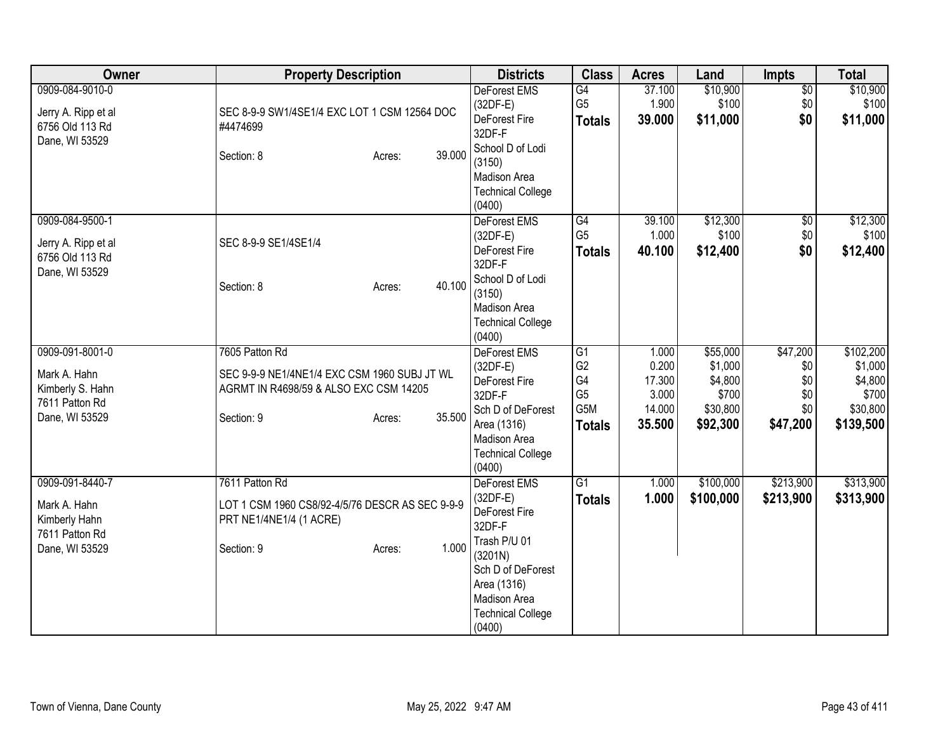| Owner                                                                                   | <b>Property Description</b>                                                                                                                | <b>Districts</b>                                                                                                                                                                  | <b>Class</b>                                                         | <b>Acres</b>                                          | Land                                                            | Impts                                            | <b>Total</b>                                                      |
|-----------------------------------------------------------------------------------------|--------------------------------------------------------------------------------------------------------------------------------------------|-----------------------------------------------------------------------------------------------------------------------------------------------------------------------------------|----------------------------------------------------------------------|-------------------------------------------------------|-----------------------------------------------------------------|--------------------------------------------------|-------------------------------------------------------------------|
| 0909-084-9010-0<br>Jerry A. Ripp et al<br>6756 Old 113 Rd<br>Dane, WI 53529             | SEC 8-9-9 SW1/4SE1/4 EXC LOT 1 CSM 12564 DOC<br>#4474699<br>39.000<br>Section: 8<br>Acres:                                                 | <b>DeForest EMS</b><br>$(32DF-E)$<br>DeForest Fire<br>32DF-F<br>School D of Lodi<br>(3150)<br>Madison Area<br><b>Technical College</b><br>(0400)                                  | G4<br>G <sub>5</sub><br><b>Totals</b>                                | 37.100<br>1.900<br>39.000                             | \$10,900<br>\$100<br>\$11,000                                   | $\overline{50}$<br>\$0<br>\$0                    | \$10,900<br>\$100<br>\$11,000                                     |
| 0909-084-9500-1<br>Jerry A. Ripp et al<br>6756 Old 113 Rd<br>Dane, WI 53529             | SEC 8-9-9 SE1/4SE1/4<br>40.100<br>Section: 8<br>Acres:                                                                                     | DeForest EMS<br>$(32DF-E)$<br>DeForest Fire<br>32DF-F<br>School D of Lodi<br>(3150)<br>Madison Area<br><b>Technical College</b><br>(0400)                                         | G4<br>G <sub>5</sub><br><b>Totals</b>                                | 39.100<br>1.000<br>40.100                             | \$12,300<br>\$100<br>\$12,400                                   | $\overline{50}$<br>\$0<br>\$0                    | \$12,300<br>\$100<br>\$12,400                                     |
| 0909-091-8001-0<br>Mark A. Hahn<br>Kimberly S. Hahn<br>7611 Patton Rd<br>Dane, WI 53529 | 7605 Patton Rd<br>SEC 9-9-9 NE1/4NE1/4 EXC CSM 1960 SUBJ JT WL<br>AGRMT IN R4698/59 & ALSO EXC CSM 14205<br>35.500<br>Section: 9<br>Acres: | <b>DeForest EMS</b><br>$(32DF-E)$<br>DeForest Fire<br>32DF-F<br>Sch D of DeForest<br>Area (1316)<br>Madison Area<br><b>Technical College</b><br>(0400)                            | G1<br>G <sub>2</sub><br>G4<br>G <sub>5</sub><br>G5M<br><b>Totals</b> | 1.000<br>0.200<br>17.300<br>3.000<br>14.000<br>35.500 | \$55,000<br>\$1,000<br>\$4,800<br>\$700<br>\$30,800<br>\$92,300 | \$47,200<br>\$0<br>\$0<br>\$0<br>\$0<br>\$47,200 | \$102,200<br>\$1,000<br>\$4,800<br>\$700<br>\$30,800<br>\$139,500 |
| 0909-091-8440-7<br>Mark A. Hahn<br>Kimberly Hahn<br>7611 Patton Rd<br>Dane, WI 53529    | 7611 Patton Rd<br>LOT 1 CSM 1960 CS8/92-4/5/76 DESCR AS SEC 9-9-9<br>PRT NE1/4NE1/4 (1 ACRE)<br>1.000<br>Section: 9<br>Acres:              | <b>DeForest EMS</b><br>$(32DF-E)$<br>DeForest Fire<br>32DF-F<br>Trash P/U 01<br>(3201N)<br>Sch D of DeForest<br>Area (1316)<br>Madison Area<br><b>Technical College</b><br>(0400) | G1<br><b>Totals</b>                                                  | 1.000<br>1.000                                        | \$100,000<br>\$100,000                                          | \$213,900<br>\$213,900                           | \$313,900<br>\$313,900                                            |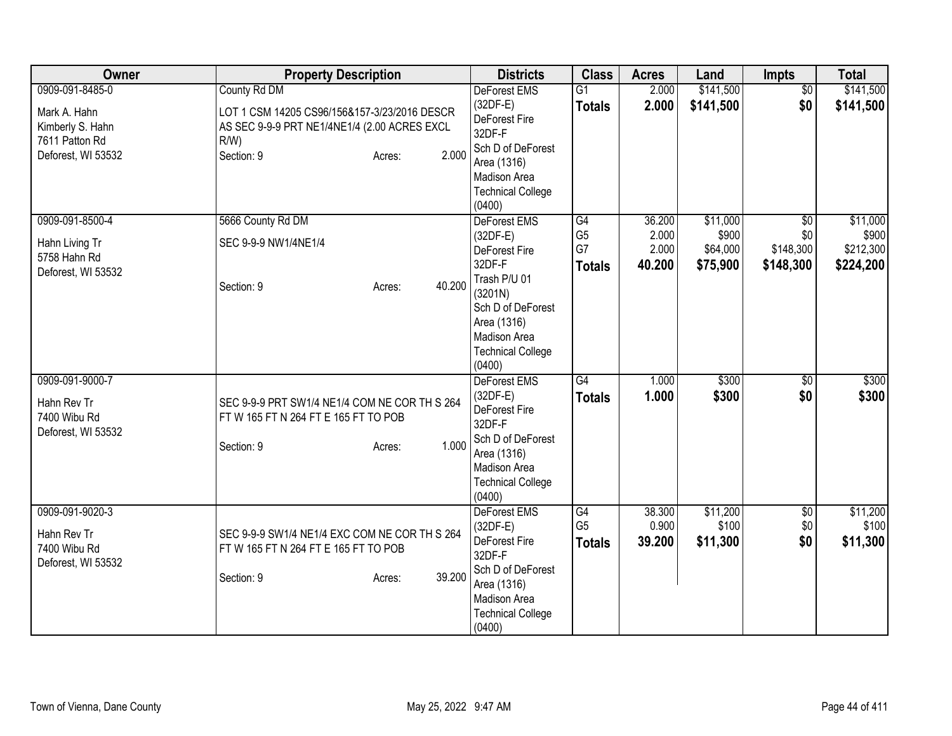| Owner                                                                                       | <b>Property Description</b>                                                                                                                              | <b>Districts</b>                                                                                                                                                           | <b>Class</b>                                | <b>Acres</b>                       | Land                                      | Impts                                            | <b>Total</b>                                |
|---------------------------------------------------------------------------------------------|----------------------------------------------------------------------------------------------------------------------------------------------------------|----------------------------------------------------------------------------------------------------------------------------------------------------------------------------|---------------------------------------------|------------------------------------|-------------------------------------------|--------------------------------------------------|---------------------------------------------|
| 0909-091-8485-0<br>Mark A. Hahn<br>Kimberly S. Hahn<br>7611 Patton Rd<br>Deforest, WI 53532 | County Rd DM<br>LOT 1 CSM 14205 CS96/156&157-3/23/2016 DESCR<br>AS SEC 9-9-9 PRT NE1/4NE1/4 (2.00 ACRES EXCL<br>$R/W$ )<br>2.000<br>Section: 9<br>Acres: | <b>DeForest EMS</b><br>$(32DF-E)$<br>DeForest Fire<br>32DF-F<br>Sch D of DeForest<br>Area (1316)<br>Madison Area<br><b>Technical College</b><br>(0400)                     | $\overline{G1}$<br><b>Totals</b>            | 2.000<br>2.000                     | \$141,500<br>\$141,500                    | $\overline{50}$<br>\$0                           | \$141,500<br>\$141,500                      |
| 0909-091-8500-4<br>Hahn Living Tr<br>5758 Hahn Rd<br>Deforest, WI 53532                     | 5666 County Rd DM<br>SEC 9-9-9 NW1/4NE1/4<br>40.200<br>Section: 9<br>Acres:                                                                              | DeForest EMS<br>$(32DF-E)$<br>DeForest Fire<br>32DF-F<br>Trash P/U 01<br>(3201N)<br>Sch D of DeForest<br>Area (1316)<br>Madison Area<br><b>Technical College</b><br>(0400) | G4<br>G <sub>5</sub><br>G7<br><b>Totals</b> | 36.200<br>2.000<br>2.000<br>40.200 | \$11,000<br>\$900<br>\$64,000<br>\$75,900 | $\overline{50}$<br>\$0<br>\$148,300<br>\$148,300 | \$11,000<br>\$900<br>\$212,300<br>\$224,200 |
| 0909-091-9000-7<br>Hahn Rev Tr<br>7400 Wibu Rd<br>Deforest, WI 53532                        | SEC 9-9-9 PRT SW1/4 NE1/4 COM NE COR TH S 264<br>FT W 165 FT N 264 FT E 165 FT TO POB<br>1.000<br>Section: 9<br>Acres:                                   | <b>DeForest EMS</b><br>$(32DF-E)$<br>DeForest Fire<br>32DF-F<br>Sch D of DeForest<br>Area (1316)<br>Madison Area<br><b>Technical College</b><br>(0400)                     | G4<br><b>Totals</b>                         | 1.000<br>1.000                     | \$300<br>\$300                            | \$0<br>\$0                                       | \$300<br>\$300                              |
| 0909-091-9020-3<br>Hahn Rev Tr<br>7400 Wibu Rd<br>Deforest, WI 53532                        | SEC 9-9-9 SW1/4 NE1/4 EXC COM NE COR TH S 264<br>FT W 165 FT N 264 FT E 165 FT TO POB<br>39.200<br>Section: 9<br>Acres:                                  | DeForest EMS<br>$(32DF-E)$<br>DeForest Fire<br>32DF-F<br>Sch D of DeForest<br>Area (1316)<br>Madison Area<br><b>Technical College</b><br>(0400)                            | G4<br>G <sub>5</sub><br><b>Totals</b>       | 38.300<br>0.900<br>39.200          | \$11,200<br>\$100<br>\$11,300             | $\overline{50}$<br>\$0<br>\$0                    | \$11,200<br>\$100<br>\$11,300               |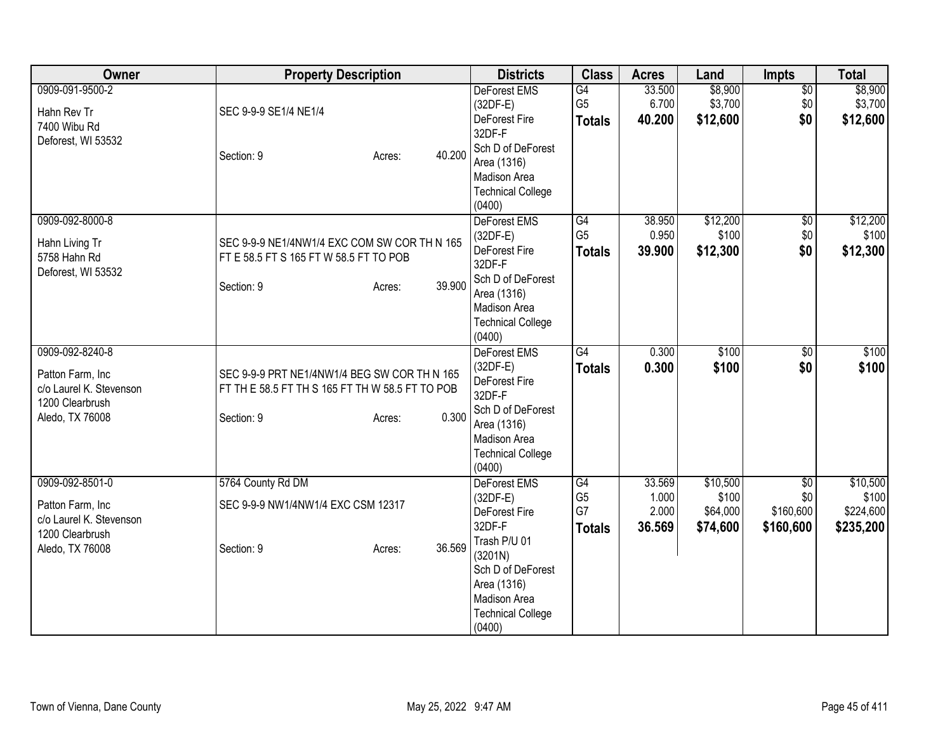| Owner                                                                                                | <b>Property Description</b>                                                                                                      | <b>Districts</b>                                                                                                                                                                  | <b>Class</b>                                | <b>Acres</b>                       | Land                                      | Impts                                            | <b>Total</b>                                |
|------------------------------------------------------------------------------------------------------|----------------------------------------------------------------------------------------------------------------------------------|-----------------------------------------------------------------------------------------------------------------------------------------------------------------------------------|---------------------------------------------|------------------------------------|-------------------------------------------|--------------------------------------------------|---------------------------------------------|
| 0909-091-9500-2<br>Hahn Rev Tr<br>7400 Wibu Rd<br>Deforest, WI 53532                                 | SEC 9-9-9 SE1/4 NE1/4<br>40.200<br>Section: 9<br>Acres:                                                                          | <b>DeForest EMS</b><br>$(32DF-E)$<br>DeForest Fire<br>32DF-F<br>Sch D of DeForest<br>Area (1316)<br>Madison Area<br><b>Technical College</b><br>(0400)                            | G4<br>G <sub>5</sub><br><b>Totals</b>       | 33.500<br>6.700<br>40.200          | \$8,900<br>\$3,700<br>\$12,600            | $\overline{50}$<br>\$0<br>\$0                    | \$8,900<br>\$3,700<br>\$12,600              |
| 0909-092-8000-8<br>Hahn Living Tr<br>5758 Hahn Rd<br>Deforest, WI 53532                              | SEC 9-9-9 NE1/4NW1/4 EXC COM SW COR TH N 165<br>FT E 58.5 FT S 165 FT W 58.5 FT TO POB<br>39.900<br>Section: 9<br>Acres:         | DeForest EMS<br>$(32DF-E)$<br>DeForest Fire<br>32DF-F<br>Sch D of DeForest<br>Area (1316)<br>Madison Area<br><b>Technical College</b><br>(0400)                                   | G4<br>G <sub>5</sub><br><b>Totals</b>       | 38.950<br>0.950<br>39.900          | \$12,200<br>\$100<br>\$12,300             | $\overline{50}$<br>\$0<br>\$0                    | \$12,200<br>\$100<br>\$12,300               |
| 0909-092-8240-8<br>Patton Farm, Inc<br>c/o Laurel K. Stevenson<br>1200 Clearbrush<br>Aledo, TX 76008 | SEC 9-9-9 PRT NE1/4NW1/4 BEG SW COR TH N 165<br>FT TH E 58.5 FT TH S 165 FT TH W 58.5 FT TO POB<br>0.300<br>Section: 9<br>Acres: | <b>DeForest EMS</b><br>$(32DF-E)$<br><b>DeForest Fire</b><br>32DF-F<br>Sch D of DeForest<br>Area (1316)<br>Madison Area<br><b>Technical College</b><br>(0400)                     | G4<br><b>Totals</b>                         | 0.300<br>0.300                     | \$100<br>\$100                            | \$0<br>\$0                                       | \$100<br>\$100                              |
| 0909-092-8501-0<br>Patton Farm, Inc<br>c/o Laurel K. Stevenson<br>1200 Clearbrush<br>Aledo, TX 76008 | 5764 County Rd DM<br>SEC 9-9-9 NW1/4NW1/4 EXC CSM 12317<br>36.569<br>Section: 9<br>Acres:                                        | <b>DeForest EMS</b><br>$(32DF-E)$<br>DeForest Fire<br>32DF-F<br>Trash P/U 01<br>(3201N)<br>Sch D of DeForest<br>Area (1316)<br>Madison Area<br><b>Technical College</b><br>(0400) | G4<br>G <sub>5</sub><br>G7<br><b>Totals</b> | 33.569<br>1.000<br>2.000<br>36.569 | \$10,500<br>\$100<br>\$64,000<br>\$74,600 | $\overline{50}$<br>\$0<br>\$160,600<br>\$160,600 | \$10,500<br>\$100<br>\$224,600<br>\$235,200 |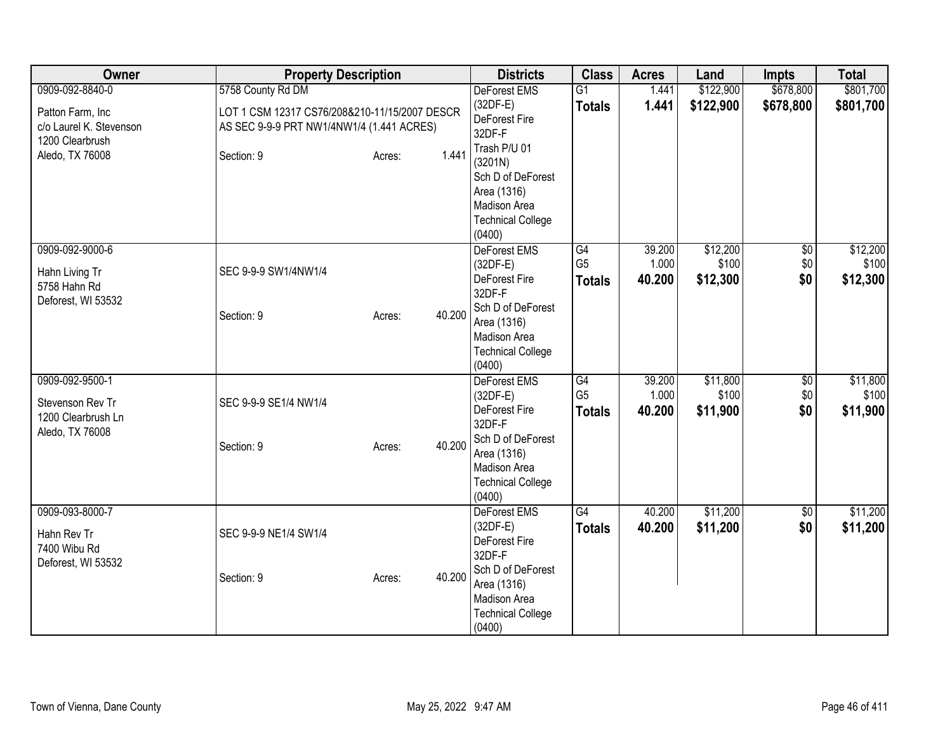| Owner                                                                        | <b>Property Description</b>                                                                | <b>Districts</b>                                                                                                                                       | <b>Class</b>                          | <b>Acres</b>              | Land                          | <b>Impts</b>              | <b>Total</b>                  |
|------------------------------------------------------------------------------|--------------------------------------------------------------------------------------------|--------------------------------------------------------------------------------------------------------------------------------------------------------|---------------------------------------|---------------------------|-------------------------------|---------------------------|-------------------------------|
| 0909-092-8840-0                                                              | 5758 County Rd DM                                                                          | DeForest EMS                                                                                                                                           | $\overline{G1}$                       | 1.441                     | \$122,900                     | \$678,800                 | \$801,700                     |
| Patton Farm, Inc<br>c/o Laurel K. Stevenson                                  | LOT 1 CSM 12317 CS76/208&210-11/15/2007 DESCR<br>AS SEC 9-9-9 PRT NW1/4NW1/4 (1.441 ACRES) | $(32DF-E)$<br>DeForest Fire<br>32DF-F                                                                                                                  | <b>Totals</b>                         | 1.441                     | \$122,900                     | \$678,800                 | \$801,700                     |
| 1200 Clearbrush<br>Aledo, TX 76008                                           | 1.441<br>Section: 9<br>Acres:                                                              | Trash P/U 01<br>(3201N)<br>Sch D of DeForest<br>Area (1316)<br>Madison Area<br><b>Technical College</b><br>(0400)                                      |                                       |                           |                               |                           |                               |
| 0909-092-9000-6<br>Hahn Living Tr<br>5758 Hahn Rd<br>Deforest, WI 53532      | SEC 9-9-9 SW1/4NW1/4<br>40.200<br>Section: 9<br>Acres:                                     | DeForest EMS<br>$(32DF-E)$<br>DeForest Fire<br>32DF-F<br>Sch D of DeForest<br>Area (1316)<br>Madison Area<br><b>Technical College</b><br>(0400)        | G4<br>G <sub>5</sub><br><b>Totals</b> | 39.200<br>1.000<br>40.200 | \$12,200<br>\$100<br>\$12,300 | $\sqrt{$0}$<br>\$0<br>\$0 | \$12,200<br>\$100<br>\$12,300 |
| 0909-092-9500-1<br>Stevenson Rev Tr<br>1200 Clearbrush Ln<br>Aledo, TX 76008 | SEC 9-9-9 SE1/4 NW1/4<br>40.200<br>Section: 9<br>Acres:                                    | <b>DeForest EMS</b><br>$(32DF-E)$<br>DeForest Fire<br>32DF-F<br>Sch D of DeForest<br>Area (1316)<br>Madison Area<br><b>Technical College</b><br>(0400) | G4<br>G <sub>5</sub><br><b>Totals</b> | 39.200<br>1.000<br>40.200 | \$11,800<br>\$100<br>\$11,900 | \$0<br>\$0<br>\$0         | \$11,800<br>\$100<br>\$11,900 |
| 0909-093-8000-7<br>Hahn Rev Tr<br>7400 Wibu Rd<br>Deforest, WI 53532         | SEC 9-9-9 NE1/4 SW1/4<br>40.200<br>Section: 9<br>Acres:                                    | DeForest EMS<br>$(32DF-E)$<br>DeForest Fire<br>32DF-F<br>Sch D of DeForest<br>Area (1316)<br>Madison Area<br><b>Technical College</b><br>(0400)        | $\overline{G4}$<br><b>Totals</b>      | 40.200<br>40.200          | \$11,200<br>\$11,200          | $\overline{60}$<br>\$0    | \$11,200<br>\$11,200          |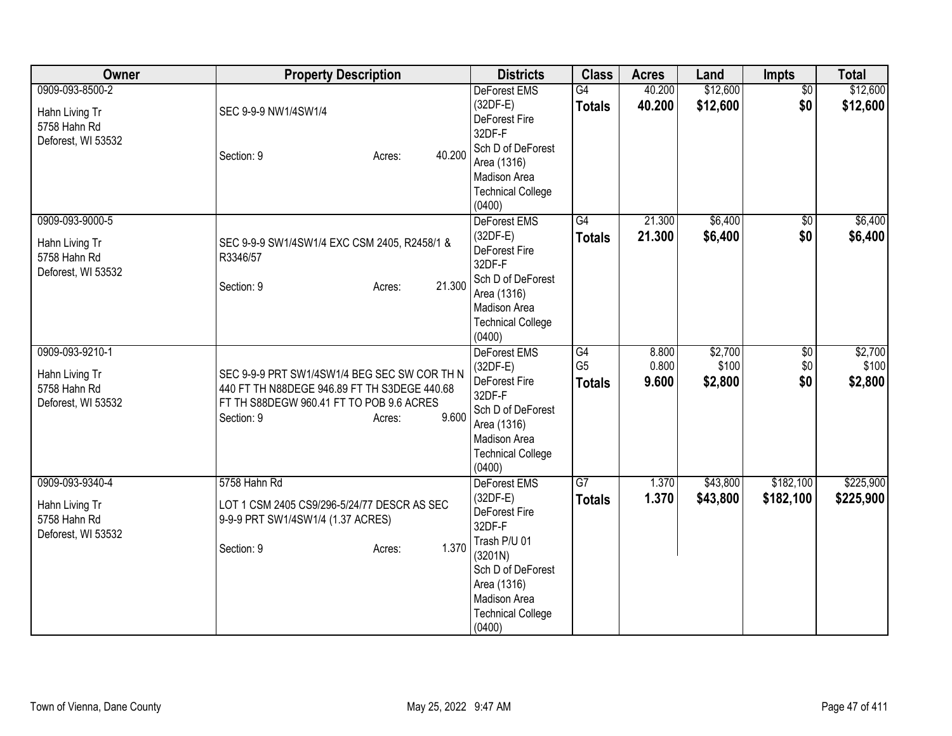| Owner                                                                   | <b>Property Description</b>                                                                                                                                               | <b>Districts</b>                                                                                                                                                           | <b>Class</b>                          | <b>Acres</b>            | Land                        | Impts                         | <b>Total</b>                |
|-------------------------------------------------------------------------|---------------------------------------------------------------------------------------------------------------------------------------------------------------------------|----------------------------------------------------------------------------------------------------------------------------------------------------------------------------|---------------------------------------|-------------------------|-----------------------------|-------------------------------|-----------------------------|
| 0909-093-8500-2<br>Hahn Living Tr<br>5758 Hahn Rd<br>Deforest, WI 53532 | SEC 9-9-9 NW1/4SW1/4<br>40.200<br>Section: 9<br>Acres:                                                                                                                    | <b>DeForest EMS</b><br>$(32DF-E)$<br>DeForest Fire<br>32DF-F<br>Sch D of DeForest<br>Area (1316)<br>Madison Area<br><b>Technical College</b><br>(0400)                     | G4<br><b>Totals</b>                   | 40.200<br>40.200        | \$12,600<br>\$12,600        | $\overline{50}$<br>\$0        | \$12,600<br>\$12,600        |
| 0909-093-9000-5<br>Hahn Living Tr<br>5758 Hahn Rd<br>Deforest, WI 53532 | SEC 9-9-9 SW1/4SW1/4 EXC CSM 2405, R2458/1 &<br>R3346/57<br>21.300<br>Section: 9<br>Acres:                                                                                | DeForest EMS<br>$(32DF-E)$<br>DeForest Fire<br>32DF-F<br>Sch D of DeForest<br>Area (1316)<br>Madison Area<br><b>Technical College</b><br>(0400)                            | $\overline{G4}$<br><b>Totals</b>      | 21.300<br>21.300        | \$6,400<br>\$6,400          | $\overline{50}$<br>\$0        | \$6,400<br>\$6,400          |
| 0909-093-9210-1<br>Hahn Living Tr<br>5758 Hahn Rd<br>Deforest, WI 53532 | SEC 9-9-9 PRT SW1/4SW1/4 BEG SEC SW COR TH N<br>440 FT TH N88DEGE 946.89 FT TH S3DEGE 440.68<br>FT TH S88DEGW 960.41 FT TO POB 9.6 ACRES<br>9.600<br>Section: 9<br>Acres: | <b>DeForest EMS</b><br>$(32DF-E)$<br>DeForest Fire<br>32DF-F<br>Sch D of DeForest<br>Area (1316)<br>Madison Area<br><b>Technical College</b><br>(0400)                     | G4<br>G <sub>5</sub><br><b>Totals</b> | 8.800<br>0.800<br>9.600 | \$2,700<br>\$100<br>\$2,800 | $\overline{60}$<br>\$0<br>\$0 | \$2,700<br>\$100<br>\$2,800 |
| 0909-093-9340-4<br>Hahn Living Tr<br>5758 Hahn Rd<br>Deforest, WI 53532 | 5758 Hahn Rd<br>LOT 1 CSM 2405 CS9/296-5/24/77 DESCR AS SEC<br>9-9-9 PRT SW1/4SW1/4 (1.37 ACRES)<br>1.370<br>Section: 9<br>Acres:                                         | DeForest EMS<br>$(32DF-E)$<br>DeForest Fire<br>32DF-F<br>Trash P/U 01<br>(3201N)<br>Sch D of DeForest<br>Area (1316)<br>Madison Area<br><b>Technical College</b><br>(0400) | G7<br><b>Totals</b>                   | 1.370<br>1.370          | \$43,800<br>\$43,800        | \$182,100<br>\$182,100        | \$225,900<br>\$225,900      |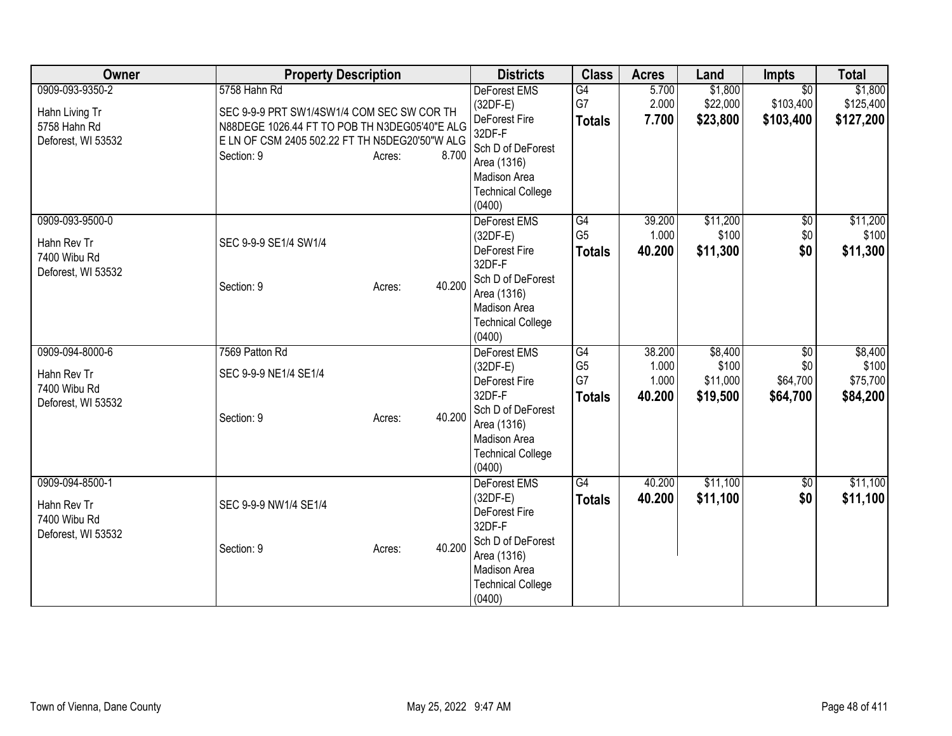| <b>Owner</b>                                                         | <b>Property Description</b>                                                                                             |        | <b>Districts</b>                                                                                 | <b>Class</b>                                | <b>Acres</b>                       | Land                                     | <b>Impts</b>                              | <b>Total</b>                             |
|----------------------------------------------------------------------|-------------------------------------------------------------------------------------------------------------------------|--------|--------------------------------------------------------------------------------------------------|---------------------------------------------|------------------------------------|------------------------------------------|-------------------------------------------|------------------------------------------|
| 0909-093-9350-2<br>Hahn Living Tr                                    | 5758 Hahn Rd<br>SEC 9-9-9 PRT SW1/4SW1/4 COM SEC SW COR TH                                                              |        | <b>DeForest EMS</b><br>(32DF-E)<br>DeForest Fire                                                 | G4<br>G7                                    | 5.700<br>2.000<br>7.700            | \$1,800<br>\$22,000<br>\$23,800          | $\overline{30}$<br>\$103,400<br>\$103,400 | \$1,800<br>\$125,400<br>\$127,200        |
| 5758 Hahn Rd<br>Deforest, WI 53532                                   | N88DEGE 1026.44 FT TO POB TH N3DEG05'40"E ALG<br>E LN OF CSM 2405 502.22 FT TH N5DEG20'50"W ALG<br>Section: 9<br>Acres: | 8.700  | 32DF-F<br>Sch D of DeForest<br>Area (1316)<br>Madison Area<br><b>Technical College</b><br>(0400) | <b>Totals</b>                               |                                    |                                          |                                           |                                          |
| 0909-093-9500-0<br>Hahn Rev Tr<br>7400 Wibu Rd<br>Deforest, WI 53532 | SEC 9-9-9 SE1/4 SW1/4                                                                                                   |        | DeForest EMS<br>$(32DF-E)$<br>DeForest Fire<br>32DF-F                                            | G4<br>G <sub>5</sub><br><b>Totals</b>       | 39.200<br>1.000<br>40.200          | \$11,200<br>\$100<br>\$11,300            | $\overline{50}$<br>\$0<br>\$0             | \$11,200<br>\$100<br>\$11,300            |
|                                                                      | Section: 9<br>Acres:                                                                                                    | 40.200 | Sch D of DeForest<br>Area (1316)<br>Madison Area<br><b>Technical College</b><br>(0400)           |                                             |                                    |                                          |                                           |                                          |
| 0909-094-8000-6<br>Hahn Rev Tr<br>7400 Wibu Rd<br>Deforest, WI 53532 | 7569 Patton Rd<br>SEC 9-9-9 NE1/4 SE1/4                                                                                 |        | DeForest EMS<br>(32DF-E)<br>DeForest Fire<br>32DF-F                                              | G4<br>G <sub>5</sub><br>G7<br><b>Totals</b> | 38.200<br>1.000<br>1.000<br>40.200 | \$8,400<br>\$100<br>\$11,000<br>\$19,500 | \$0<br>\$0<br>\$64,700<br>\$64,700        | \$8,400<br>\$100<br>\$75,700<br>\$84,200 |
|                                                                      | Section: 9<br>Acres:                                                                                                    | 40.200 | Sch D of DeForest<br>Area (1316)<br><b>Madison Area</b><br><b>Technical College</b><br>(0400)    |                                             |                                    |                                          |                                           |                                          |
| 0909-094-8500-1<br>Hahn Rev Tr<br>7400 Wibu Rd<br>Deforest, WI 53532 | SEC 9-9-9 NW1/4 SE1/4                                                                                                   |        | <b>DeForest EMS</b><br>$(32DF-E)$<br>DeForest Fire<br>32DF-F<br>Sch D of DeForest                | G4<br><b>Totals</b>                         | 40.200<br>40.200                   | \$11,100<br>\$11,100                     | $\overline{50}$<br>\$0                    | \$11,100<br>\$11,100                     |
|                                                                      | Section: 9<br>Acres:                                                                                                    | 40.200 | Area (1316)<br>Madison Area<br><b>Technical College</b><br>(0400)                                |                                             |                                    |                                          |                                           |                                          |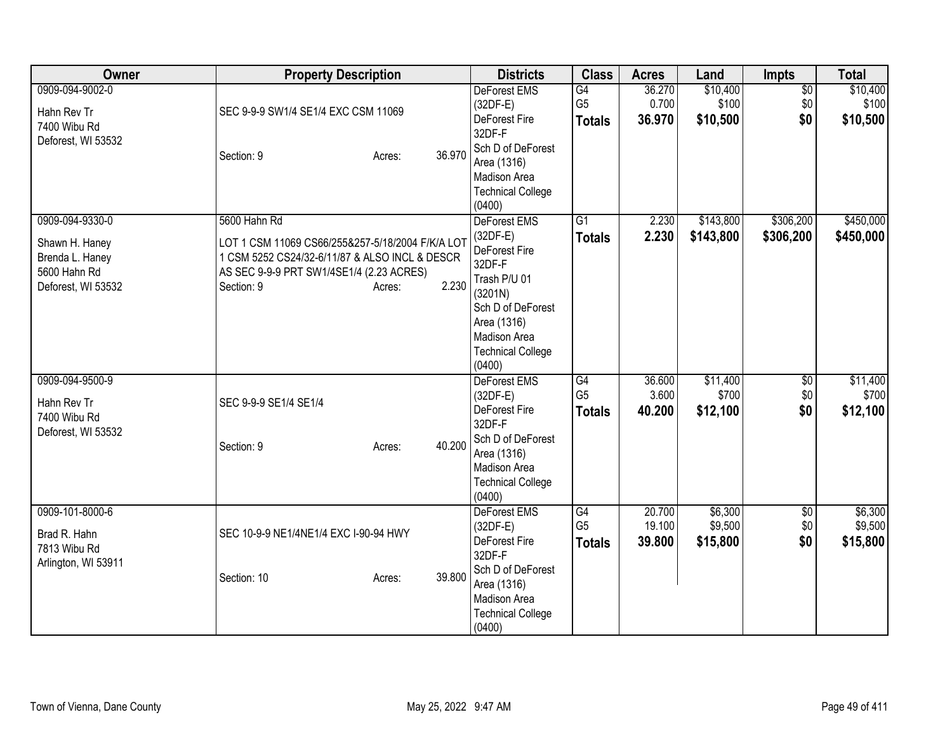| <b>Owner</b>                                                                               | <b>Property Description</b>                                                                                                                                                                     | <b>Districts</b>                                                                                                                                                           | <b>Class</b>                          | <b>Acres</b>               | Land                           | Impts                         | <b>Total</b>                   |
|--------------------------------------------------------------------------------------------|-------------------------------------------------------------------------------------------------------------------------------------------------------------------------------------------------|----------------------------------------------------------------------------------------------------------------------------------------------------------------------------|---------------------------------------|----------------------------|--------------------------------|-------------------------------|--------------------------------|
| 0909-094-9002-0<br>Hahn Rev Tr<br>7400 Wibu Rd<br>Deforest, WI 53532                       | SEC 9-9-9 SW1/4 SE1/4 EXC CSM 11069<br>36.970<br>Section: 9<br>Acres:                                                                                                                           | <b>DeForest EMS</b><br>$(32DF-E)$<br>DeForest Fire<br>32DF-F<br>Sch D of DeForest<br>Area (1316)<br>Madison Area<br><b>Technical College</b><br>(0400)                     | G4<br>G <sub>5</sub><br><b>Totals</b> | 36.270<br>0.700<br>36.970  | \$10,400<br>\$100<br>\$10,500  | $\overline{50}$<br>\$0<br>\$0 | \$10,400<br>\$100<br>\$10,500  |
| 0909-094-9330-0<br>Shawn H. Haney<br>Brenda L. Haney<br>5600 Hahn Rd<br>Deforest, WI 53532 | 5600 Hahn Rd<br>LOT 1 CSM 11069 CS66/255&257-5/18/2004 F/K/A LOT<br>1 CSM 5252 CS24/32-6/11/87 & ALSO INCL & DESCR<br>AS SEC 9-9-9 PRT SW1/4SE1/4 (2.23 ACRES)<br>2.230<br>Section: 9<br>Acres: | DeForest EMS<br>$(32DF-E)$<br>DeForest Fire<br>32DF-F<br>Trash P/U 01<br>(3201N)<br>Sch D of DeForest<br>Area (1316)<br>Madison Area<br><b>Technical College</b><br>(0400) | $\overline{G1}$<br><b>Totals</b>      | 2.230<br>2.230             | \$143,800<br>\$143,800         | \$306,200<br>\$306,200        | \$450,000<br>\$450,000         |
| 0909-094-9500-9<br>Hahn Rev Tr<br>7400 Wibu Rd<br>Deforest, WI 53532                       | SEC 9-9-9 SE1/4 SE1/4<br>40.200<br>Section: 9<br>Acres:                                                                                                                                         | DeForest EMS<br>(32DF-E)<br>DeForest Fire<br>32DF-F<br>Sch D of DeForest<br>Area (1316)<br>Madison Area<br><b>Technical College</b><br>(0400)                              | G4<br>G <sub>5</sub><br><b>Totals</b> | 36.600<br>3.600<br>40.200  | \$11,400<br>\$700<br>\$12,100  | $\overline{50}$<br>\$0<br>\$0 | \$11,400<br>\$700<br>\$12,100  |
| 0909-101-8000-6<br>Brad R. Hahn<br>7813 Wibu Rd<br>Arlington, WI 53911                     | SEC 10-9-9 NE1/4NE1/4 EXC I-90-94 HWY<br>39.800<br>Section: 10<br>Acres:                                                                                                                        | DeForest EMS<br>$(32DF-E)$<br>DeForest Fire<br>32DF-F<br>Sch D of DeForest<br>Area (1316)<br>Madison Area<br><b>Technical College</b><br>(0400)                            | G4<br>G <sub>5</sub><br><b>Totals</b> | 20.700<br>19.100<br>39.800 | \$6,300<br>\$9,500<br>\$15,800 | $\overline{60}$<br>\$0<br>\$0 | \$6,300<br>\$9,500<br>\$15,800 |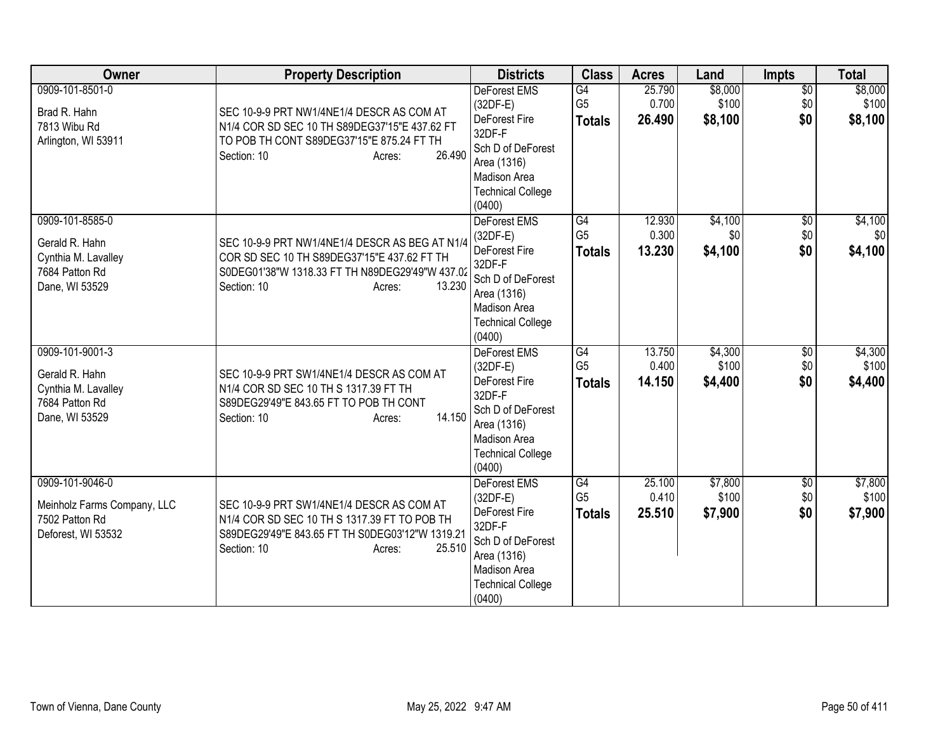| Owner                                                                                        | <b>Property Description</b>                                                                                                                                                         | <b>Districts</b>                                                                                                                                            | <b>Class</b>                          | <b>Acres</b>              | Land                        | <b>Impts</b>                  | <b>Total</b>                |
|----------------------------------------------------------------------------------------------|-------------------------------------------------------------------------------------------------------------------------------------------------------------------------------------|-------------------------------------------------------------------------------------------------------------------------------------------------------------|---------------------------------------|---------------------------|-----------------------------|-------------------------------|-----------------------------|
| 0909-101-8501-0<br>Brad R. Hahn<br>7813 Wibu Rd<br>Arlington, WI 53911                       | SEC 10-9-9 PRT NW1/4NE1/4 DESCR AS COM AT<br>N1/4 COR SD SEC 10 TH S89DEG37'15"E 437.62 FT<br>TO POB TH CONT S89DEG37'15"E 875.24 FT TH<br>26.490<br>Section: 10<br>Acres:          | <b>DeForest EMS</b><br>(32DF-E)<br>DeForest Fire<br>32DF-F<br>Sch D of DeForest<br>Area (1316)<br><b>Madison Area</b><br><b>Technical College</b><br>(0400) | G4<br>G <sub>5</sub><br><b>Totals</b> | 25.790<br>0.700<br>26.490 | \$8,000<br>\$100<br>\$8,100 | $\overline{50}$<br>\$0<br>\$0 | \$8,000<br>\$100<br>\$8,100 |
| 0909-101-8585-0<br>Gerald R. Hahn<br>Cynthia M. Lavalley<br>7684 Patton Rd<br>Dane, WI 53529 | SEC 10-9-9 PRT NW1/4NE1/4 DESCR AS BEG AT N1/4<br>COR SD SEC 10 TH S89DEG37'15"E 437.62 FT TH<br>S0DEG01'38"W 1318.33 FT TH N89DEG29'49"W 437.02<br>Section: 10<br>13.230<br>Acres: | DeForest EMS<br>(32DF-E)<br>DeForest Fire<br>32DF-F<br>Sch D of DeForest<br>Area (1316)<br><b>Madison Area</b><br><b>Technical College</b><br>(0400)        | G4<br>G <sub>5</sub><br><b>Totals</b> | 12.930<br>0.300<br>13.230 | \$4,100<br>\$0<br>\$4,100   | $\overline{50}$<br>\$0<br>\$0 | \$4,100<br>\$0<br>\$4,100   |
| 0909-101-9001-3<br>Gerald R. Hahn<br>Cynthia M. Lavalley<br>7684 Patton Rd<br>Dane, WI 53529 | SEC 10-9-9 PRT SW1/4NE1/4 DESCR AS COM AT<br>N1/4 COR SD SEC 10 TH S 1317.39 FT TH<br>S89DEG29'49"E 843.65 FT TO POB TH CONT<br>14.150<br>Section: 10<br>Acres:                     | DeForest EMS<br>$(32DF-E)$<br>DeForest Fire<br>32DF-F<br>Sch D of DeForest<br>Area (1316)<br><b>Madison Area</b><br><b>Technical College</b><br>(0400)      | G4<br>G <sub>5</sub><br><b>Totals</b> | 13.750<br>0.400<br>14.150 | \$4,300<br>\$100<br>\$4,400 | \$0<br>\$0<br>\$0             | \$4,300<br>\$100<br>\$4,400 |
| 0909-101-9046-0<br>Meinholz Farms Company, LLC<br>7502 Patton Rd<br>Deforest, WI 53532       | SEC 10-9-9 PRT SW1/4NE1/4 DESCR AS COM AT<br>N1/4 COR SD SEC 10 TH S 1317.39 FT TO POB TH<br>S89DEG29'49"E 843.65 FT TH S0DEG03'12"W 1319.21<br>25.510<br>Section: 10<br>Acres:     | <b>DeForest EMS</b><br>$(32DF-E)$<br>DeForest Fire<br>32DF-F<br>Sch D of DeForest<br>Area (1316)<br>Madison Area<br><b>Technical College</b><br>(0400)      | G4<br>G <sub>5</sub><br><b>Totals</b> | 25.100<br>0.410<br>25.510 | \$7,800<br>\$100<br>\$7,900 | $\sqrt{$0}$<br>\$0<br>\$0     | \$7,800<br>\$100<br>\$7,900 |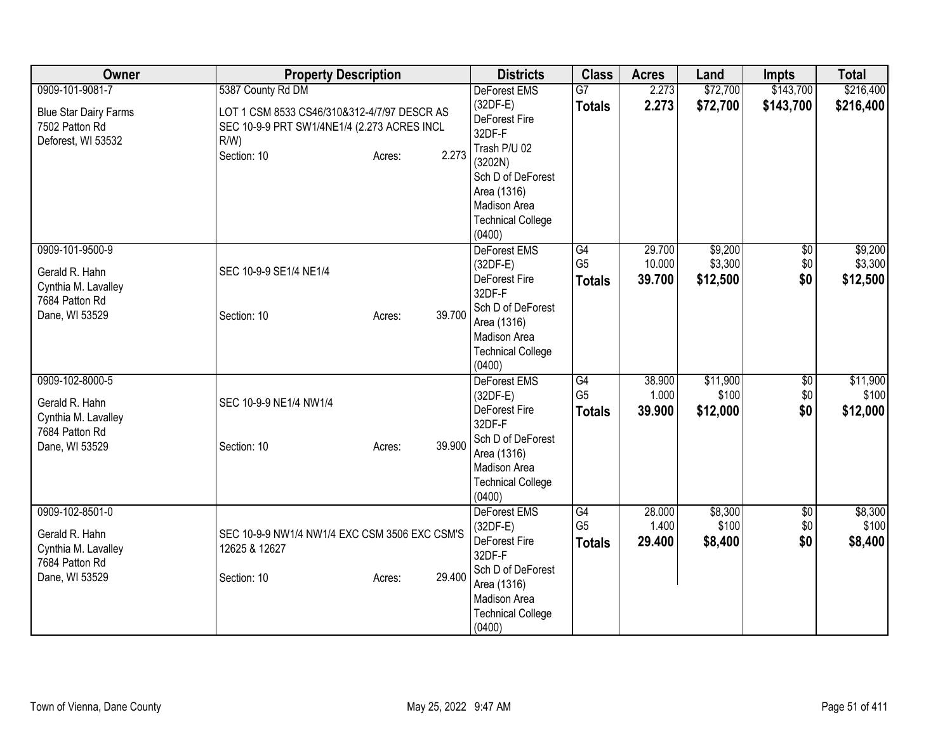| Owner                                                                                        | <b>Property Description</b>                                                                                                                                  | <b>Districts</b>                                                                                                                                                 | <b>Class</b>                                       | <b>Acres</b>               | Land                           | <b>Impts</b>                  | <b>Total</b>                   |
|----------------------------------------------------------------------------------------------|--------------------------------------------------------------------------------------------------------------------------------------------------------------|------------------------------------------------------------------------------------------------------------------------------------------------------------------|----------------------------------------------------|----------------------------|--------------------------------|-------------------------------|--------------------------------|
| 0909-101-9081-7<br><b>Blue Star Dairy Farms</b><br>7502 Patton Rd<br>Deforest, WI 53532      | 5387 County Rd DM<br>LOT 1 CSM 8533 CS46/310&312-4/7/97 DESCR AS<br>SEC 10-9-9 PRT SW1/4NE1/4 (2.273 ACRES INCL<br>$R/W$ )<br>2.273<br>Section: 10<br>Acres: | DeForest EMS<br>$(32DF-E)$<br>DeForest Fire<br>32DF-F<br>Trash P/U 02<br>(3202N)<br>Sch D of DeForest<br>Area (1316)<br>Madison Area<br><b>Technical College</b> | $\overline{G7}$<br><b>Totals</b>                   | 2.273<br>2.273             | \$72,700<br>\$72,700           | \$143,700<br>\$143,700        | \$216,400<br>\$216,400         |
| 0909-101-9500-9<br>Gerald R. Hahn<br>Cynthia M. Lavalley<br>7684 Patton Rd<br>Dane, WI 53529 | SEC 10-9-9 SE1/4 NE1/4<br>39.700<br>Section: 10<br>Acres:                                                                                                    | (0400)<br>DeForest EMS<br>(32DF-E)<br>DeForest Fire<br>32DF-F<br>Sch D of DeForest<br>Area (1316)<br>Madison Area<br><b>Technical College</b><br>(0400)          | G4<br>G <sub>5</sub><br><b>Totals</b>              | 29.700<br>10.000<br>39.700 | \$9,200<br>\$3,300<br>\$12,500 | $\sqrt{6}$<br>\$0<br>\$0      | \$9,200<br>\$3,300<br>\$12,500 |
| 0909-102-8000-5<br>Gerald R. Hahn<br>Cynthia M. Lavalley<br>7684 Patton Rd<br>Dane, WI 53529 | SEC 10-9-9 NE1/4 NW1/4<br>39.900<br>Section: 10<br>Acres:                                                                                                    | DeForest EMS<br>$(32DF-E)$<br>DeForest Fire<br>32DF-F<br>Sch D of DeForest<br>Area (1316)<br>Madison Area<br><b>Technical College</b><br>(0400)                  | G4<br>G <sub>5</sub><br><b>Totals</b>              | 38.900<br>1.000<br>39.900  | \$11,900<br>\$100<br>\$12,000  | \$0<br>\$0<br>\$0             | \$11,900<br>\$100<br>\$12,000  |
| 0909-102-8501-0<br>Gerald R. Hahn<br>Cynthia M. Lavalley<br>7684 Patton Rd<br>Dane, WI 53529 | SEC 10-9-9 NW1/4 NW1/4 EXC CSM 3506 EXC CSM'S<br>12625 & 12627<br>29.400<br>Section: 10<br>Acres:                                                            | DeForest EMS<br>$(32DF-E)$<br>DeForest Fire<br>32DF-F<br>Sch D of DeForest<br>Area (1316)<br>Madison Area<br><b>Technical College</b><br>(0400)                  | $\overline{G4}$<br>G <sub>5</sub><br><b>Totals</b> | 28.000<br>1.400<br>29.400  | \$8,300<br>\$100<br>\$8,400    | $\overline{50}$<br>\$0<br>\$0 | \$8,300<br>\$100<br>\$8,400    |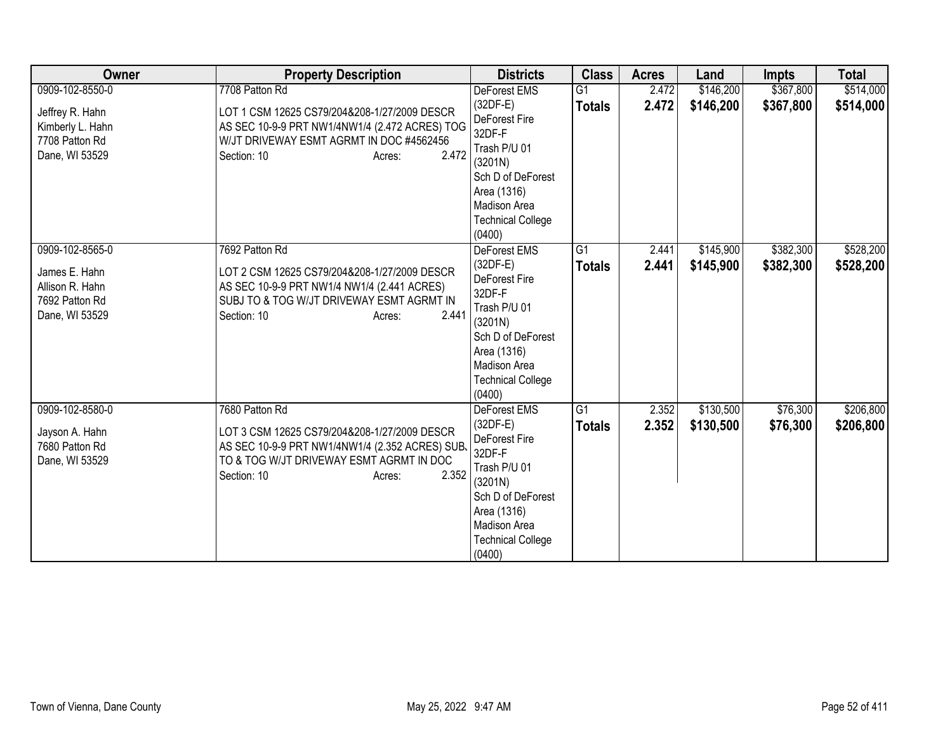| Owner                                                                                      | <b>Property Description</b>                                                                                                                                                                     | <b>Districts</b>                                                                                                                                                                  | <b>Class</b>                    | <b>Acres</b>   | Land                   | <b>Impts</b>           | <b>Total</b>           |
|--------------------------------------------------------------------------------------------|-------------------------------------------------------------------------------------------------------------------------------------------------------------------------------------------------|-----------------------------------------------------------------------------------------------------------------------------------------------------------------------------------|---------------------------------|----------------|------------------------|------------------------|------------------------|
| 0909-102-8550-0<br>Jeffrey R. Hahn<br>Kimberly L. Hahn<br>7708 Patton Rd<br>Dane, WI 53529 | 7708 Patton Rd<br>LOT 1 CSM 12625 CS79/204&208-1/27/2009 DESCR<br>AS SEC 10-9-9 PRT NW1/4NW1/4 (2.472 ACRES) TOG<br>W/JT DRIVEWAY ESMT AGRMT IN DOC #4562456<br>2.472<br>Section: 10<br>Acres:  | <b>DeForest EMS</b><br>$(32DF-E)$<br>DeForest Fire<br>32DF-F<br>Trash P/U 01<br>(3201N)<br>Sch D of DeForest<br>Area (1316)<br>Madison Area<br><b>Technical College</b><br>(0400) | G1<br><b>Totals</b>             | 2.472<br>2.472 | \$146,200<br>\$146,200 | \$367,800<br>\$367,800 | \$514,000<br>\$514,000 |
| 0909-102-8565-0<br>James E. Hahn<br>Allison R. Hahn<br>7692 Patton Rd<br>Dane, WI 53529    | 7692 Patton Rd<br>LOT 2 CSM 12625 CS79/204&208-1/27/2009 DESCR<br>AS SEC 10-9-9 PRT NW1/4 NW1/4 (2.441 ACRES)<br>SUBJ TO & TOG W/JT DRIVEWAY ESMT AGRMT IN<br>2.441<br>Section: 10<br>Acres:    | DeForest EMS<br>$(32DF-E)$<br>DeForest Fire<br>32DF-F<br>Trash P/U 01<br>(3201N)<br>Sch D of DeForest<br>Area (1316)<br>Madison Area<br><b>Technical College</b><br>(0400)        | G1<br><b>Totals</b>             | 2.441<br>2.441 | \$145,900<br>\$145,900 | \$382,300<br>\$382,300 | \$528,200<br>\$528,200 |
| 0909-102-8580-0<br>Jayson A. Hahn<br>7680 Patton Rd<br>Dane, WI 53529                      | 7680 Patton Rd<br>LOT 3 CSM 12625 CS79/204&208-1/27/2009 DESCR<br>AS SEC 10-9-9 PRT NW1/4NW1/4 (2.352 ACRES) SUB.<br>TO & TOG W/JT DRIVEWAY ESMT AGRMT IN DOC<br>2.352<br>Section: 10<br>Acres: | DeForest EMS<br>$(32DF-E)$<br>DeForest Fire<br>32DF-F<br>Trash P/U 01<br>(3201N)<br>Sch D of DeForest<br>Area (1316)<br>Madison Area<br><b>Technical College</b><br>(0400)        | G <sub>1</sub><br><b>Totals</b> | 2.352<br>2.352 | \$130,500<br>\$130,500 | \$76,300<br>\$76,300   | \$206,800<br>\$206,800 |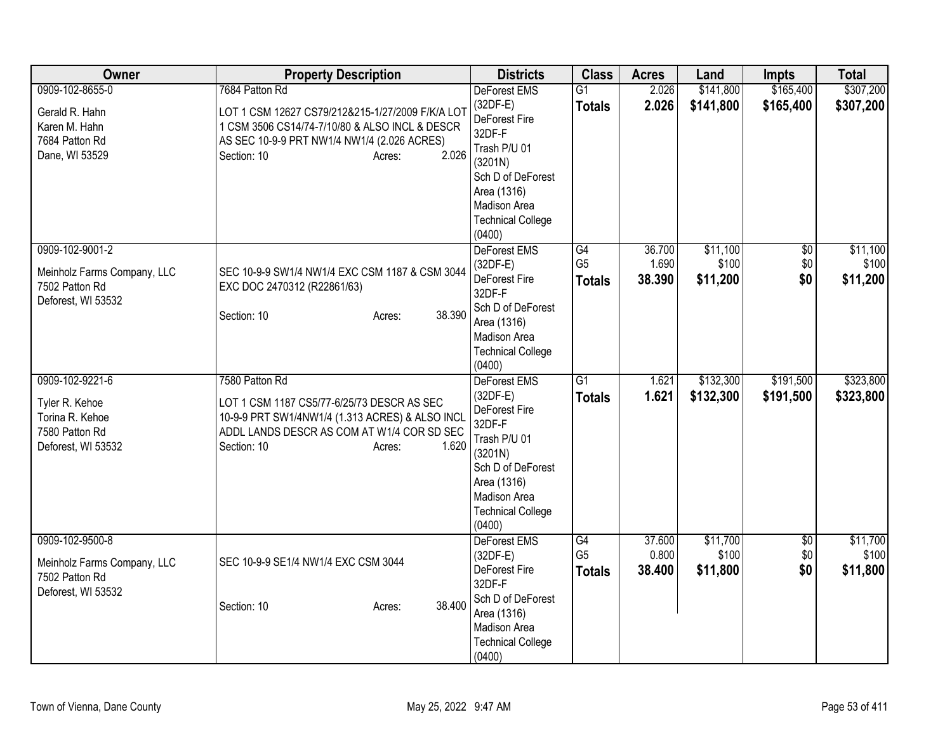| Owner                       | <b>Property Description</b>                      | <b>Districts</b>                 | <b>Class</b>    | <b>Acres</b> | Land      | <b>Impts</b>    | <b>Total</b> |
|-----------------------------|--------------------------------------------------|----------------------------------|-----------------|--------------|-----------|-----------------|--------------|
| 0909-102-8655-0             | 7684 Patton Rd                                   | DeForest EMS                     | $\overline{G1}$ | 2.026        | \$141,800 | \$165,400       | \$307,200    |
| Gerald R. Hahn              | LOT 1 CSM 12627 CS79/212&215-1/27/2009 F/K/A LOT | $(32DF-E)$                       | <b>Totals</b>   | 2.026        | \$141,800 | \$165,400       | \$307,200    |
| Karen M. Hahn               | 1 CSM 3506 CS14/74-7/10/80 & ALSO INCL & DESCR   | DeForest Fire                    |                 |              |           |                 |              |
| 7684 Patton Rd              | AS SEC 10-9-9 PRT NW1/4 NW1/4 (2.026 ACRES)      | 32DF-F<br>Trash P/U 01           |                 |              |           |                 |              |
| Dane, WI 53529              | Section: 10<br>2.026<br>Acres:                   | (3201N)                          |                 |              |           |                 |              |
|                             |                                                  | Sch D of DeForest                |                 |              |           |                 |              |
|                             |                                                  | Area (1316)                      |                 |              |           |                 |              |
|                             |                                                  | Madison Area                     |                 |              |           |                 |              |
|                             |                                                  | <b>Technical College</b>         |                 |              |           |                 |              |
|                             |                                                  | (0400)                           |                 |              |           |                 |              |
| 0909-102-9001-2             |                                                  | DeForest EMS                     | G4              | 36.700       | \$11,100  | $\overline{50}$ | \$11,100     |
| Meinholz Farms Company, LLC | SEC 10-9-9 SW1/4 NW1/4 EXC CSM 1187 & CSM 3044   | $(32DF-E)$                       | G <sub>5</sub>  | 1.690        | \$100     | \$0             | \$100        |
| 7502 Patton Rd              | EXC DOC 2470312 (R22861/63)                      | DeForest Fire                    | <b>Totals</b>   | 38.390       | \$11,200  | \$0             | \$11,200     |
| Deforest, WI 53532          |                                                  | 32DF-F                           |                 |              |           |                 |              |
|                             | 38.390<br>Section: 10<br>Acres:                  | Sch D of DeForest<br>Area (1316) |                 |              |           |                 |              |
|                             |                                                  | Madison Area                     |                 |              |           |                 |              |
|                             |                                                  | <b>Technical College</b>         |                 |              |           |                 |              |
|                             |                                                  | (0400)                           |                 |              |           |                 |              |
| 0909-102-9221-6             | 7580 Patton Rd                                   | DeForest EMS                     | $\overline{G1}$ | 1.621        | \$132,300 | \$191,500       | \$323,800    |
| Tyler R. Kehoe              | LOT 1 CSM 1187 CS5/77-6/25/73 DESCR AS SEC       | $(32DF-E)$                       | <b>Totals</b>   | 1.621        | \$132,300 | \$191,500       | \$323,800    |
| Torina R. Kehoe             | 10-9-9 PRT SW1/4NW1/4 (1.313 ACRES) & ALSO INCL  | DeForest Fire                    |                 |              |           |                 |              |
| 7580 Patton Rd              | ADDL LANDS DESCR AS COM AT W1/4 COR SD SEC       | 32DF-F                           |                 |              |           |                 |              |
| Deforest, WI 53532          | Section: 10<br>1.620<br>Acres:                   | Trash P/U 01                     |                 |              |           |                 |              |
|                             |                                                  | (3201N)<br>Sch D of DeForest     |                 |              |           |                 |              |
|                             |                                                  | Area (1316)                      |                 |              |           |                 |              |
|                             |                                                  | Madison Area                     |                 |              |           |                 |              |
|                             |                                                  | <b>Technical College</b>         |                 |              |           |                 |              |
|                             |                                                  | (0400)                           |                 |              |           |                 |              |
| 0909-102-9500-8             |                                                  | DeForest EMS                     | G4              | 37.600       | \$11,700  | $\overline{50}$ | \$11,700     |
| Meinholz Farms Company, LLC | SEC 10-9-9 SE1/4 NW1/4 EXC CSM 3044              | $(32DF-E)$                       | G <sub>5</sub>  | 0.800        | \$100     | \$0             | \$100        |
| 7502 Patton Rd              |                                                  | DeForest Fire                    | <b>Totals</b>   | 38.400       | \$11,800  | \$0             | \$11,800     |
| Deforest, WI 53532          |                                                  | 32DF-F                           |                 |              |           |                 |              |
|                             | 38.400<br>Section: 10<br>Acres:                  | Sch D of DeForest<br>Area (1316) |                 |              |           |                 |              |
|                             |                                                  | Madison Area                     |                 |              |           |                 |              |
|                             |                                                  | <b>Technical College</b>         |                 |              |           |                 |              |
|                             |                                                  | (0400)                           |                 |              |           |                 |              |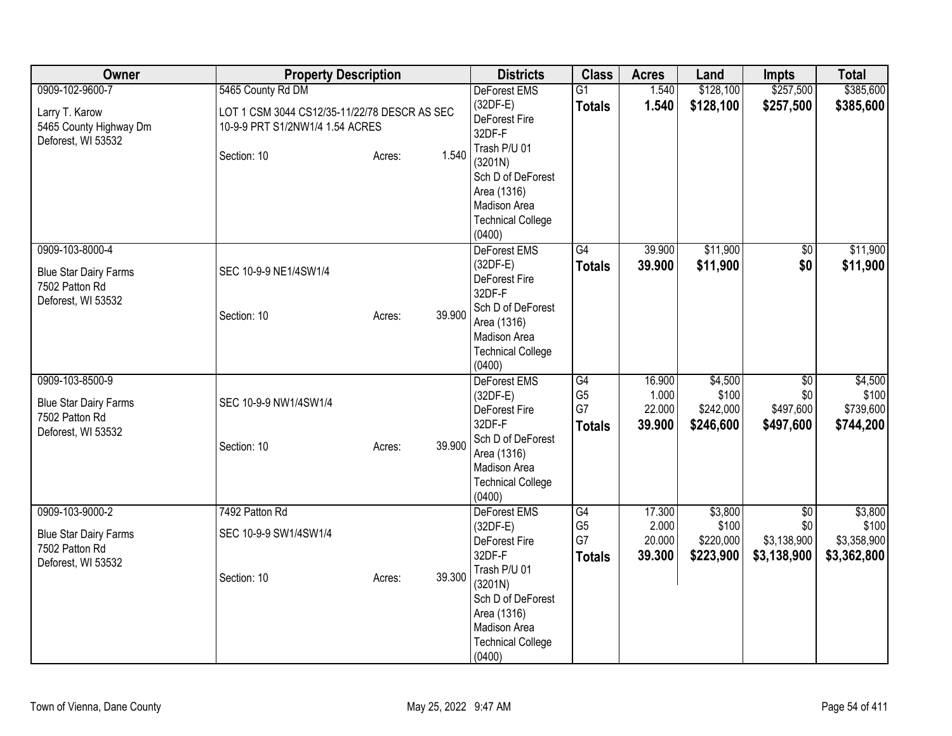| Owner                                                                                   | <b>Property Description</b>                                                                                                   | <b>Districts</b>                                                                                                                                                                            | <b>Class</b>                                | <b>Acres</b>                        | Land                                       | <b>Impts</b>                                         | <b>Total</b>                                   |
|-----------------------------------------------------------------------------------------|-------------------------------------------------------------------------------------------------------------------------------|---------------------------------------------------------------------------------------------------------------------------------------------------------------------------------------------|---------------------------------------------|-------------------------------------|--------------------------------------------|------------------------------------------------------|------------------------------------------------|
| 0909-102-9600-7<br>Larry T. Karow<br>5465 County Highway Dm<br>Deforest, WI 53532       | 5465 County Rd DM<br>LOT 1 CSM 3044 CS12/35-11/22/78 DESCR AS SEC<br>10-9-9 PRT S1/2NW1/4 1.54 ACRES<br>Section: 10<br>Acres: | DeForest EMS<br>$(32DF-E)$<br>DeForest Fire<br>32DF-F<br>Trash P/U 01<br>1.540                                                                                                              | $\overline{G1}$<br><b>Totals</b>            | 1.540<br>1.540                      | \$128,100<br>\$128,100                     | \$257,500<br>\$257,500                               | \$385,600<br>\$385,600                         |
|                                                                                         |                                                                                                                               | (3201N)<br>Sch D of DeForest<br>Area (1316)<br>Madison Area<br><b>Technical College</b><br>(0400)                                                                                           |                                             |                                     |                                            |                                                      |                                                |
| 0909-103-8000-4<br><b>Blue Star Dairy Farms</b><br>7502 Patton Rd<br>Deforest, WI 53532 | SEC 10-9-9 NE1/4SW1/4<br>Section: 10<br>Acres:                                                                                | DeForest EMS<br>$(32DF-E)$<br>DeForest Fire<br>32DF-F<br>Sch D of DeForest<br>39.900<br>Area (1316)<br>Madison Area<br><b>Technical College</b><br>(0400)                                   | G4<br><b>Totals</b>                         | 39.900<br>39.900                    | \$11,900<br>\$11,900                       | $\sqrt{6}$<br>\$0                                    | \$11,900<br>\$11,900                           |
| 0909-103-8500-9<br><b>Blue Star Dairy Farms</b><br>7502 Patton Rd<br>Deforest, WI 53532 | SEC 10-9-9 NW1/4SW1/4<br>Section: 10<br>Acres:                                                                                | <b>DeForest EMS</b><br>$(32DF-E)$<br>DeForest Fire<br>32DF-F<br>Sch D of DeForest<br>39.900<br>Area (1316)<br>Madison Area<br><b>Technical College</b><br>(0400)                            | G4<br>G <sub>5</sub><br>G7<br><b>Totals</b> | 16.900<br>1.000<br>22.000<br>39.900 | \$4,500<br>\$100<br>\$242,000<br>\$246,600 | $\overline{50}$<br>\$0<br>\$497,600<br>\$497,600     | \$4,500<br>\$100<br>\$739,600<br>\$744,200     |
| 0909-103-9000-2<br><b>Blue Star Dairy Farms</b><br>7502 Patton Rd<br>Deforest, WI 53532 | 7492 Patton Rd<br>SEC 10-9-9 SW1/4SW1/4<br>Section: 10<br>Acres:                                                              | <b>DeForest EMS</b><br>$(32DF-E)$<br>DeForest Fire<br>32DF-F<br>Trash P/U 01<br>39.300<br>(3201N)<br>Sch D of DeForest<br>Area (1316)<br>Madison Area<br><b>Technical College</b><br>(0400) | G4<br>G <sub>5</sub><br>G7<br><b>Totals</b> | 17.300<br>2.000<br>20.000<br>39.300 | \$3,800<br>\$100<br>\$220,000<br>\$223,900 | $\overline{50}$<br>\$0<br>\$3,138,900<br>\$3,138,900 | \$3,800<br>\$100<br>\$3,358,900<br>\$3,362,800 |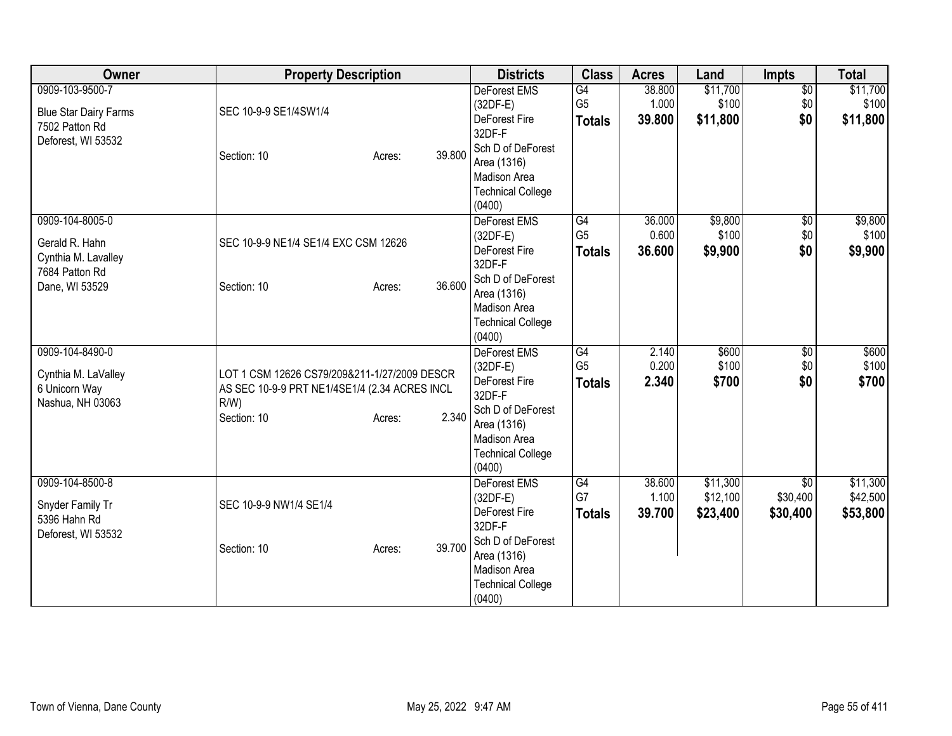| <b>Owner</b>                                                                                 | <b>Property Description</b>                                                                                                       |        | <b>Districts</b>                                                                                                                                       | <b>Class</b>                          | <b>Acres</b>              | Land                             | <b>Impts</b>                            | <b>Total</b>                     |
|----------------------------------------------------------------------------------------------|-----------------------------------------------------------------------------------------------------------------------------------|--------|--------------------------------------------------------------------------------------------------------------------------------------------------------|---------------------------------------|---------------------------|----------------------------------|-----------------------------------------|----------------------------------|
| 0909-103-9500-7<br><b>Blue Star Dairy Farms</b><br>7502 Patton Rd<br>Deforest, WI 53532      | SEC 10-9-9 SE1/4SW1/4<br>Section: 10<br>Acres:                                                                                    | 39.800 | <b>DeForest EMS</b><br>(32DF-E)<br>DeForest Fire<br>32DF-F<br>Sch D of DeForest<br>Area (1316)<br>Madison Area<br><b>Technical College</b><br>(0400)   | G4<br>G <sub>5</sub><br><b>Totals</b> | 38.800<br>1.000<br>39.800 | \$11,700<br>\$100<br>\$11,800    | $\overline{50}$<br>\$0<br>\$0           | \$11,700<br>\$100<br>\$11,800    |
| 0909-104-8005-0<br>Gerald R. Hahn<br>Cynthia M. Lavalley<br>7684 Patton Rd<br>Dane, WI 53529 | SEC 10-9-9 NE1/4 SE1/4 EXC CSM 12626<br>Section: 10<br>Acres:                                                                     | 36.600 | DeForest EMS<br>$(32DF-E)$<br>DeForest Fire<br>32DF-F<br>Sch D of DeForest<br>Area (1316)<br>Madison Area<br><b>Technical College</b><br>(0400)        | G4<br>G <sub>5</sub><br><b>Totals</b> | 36.000<br>0.600<br>36.600 | \$9,800<br>\$100<br>\$9,900      | $\overline{50}$<br>\$0<br>\$0           | \$9,800<br>\$100<br>\$9,900      |
| 0909-104-8490-0<br>Cynthia M. LaValley<br>6 Unicorn Way<br>Nashua, NH 03063                  | LOT 1 CSM 12626 CS79/209&211-1/27/2009 DESCR<br>AS SEC 10-9-9 PRT NE1/4SE1/4 (2.34 ACRES INCL<br>$R/W$ )<br>Section: 10<br>Acres: | 2.340  | DeForest EMS<br>$(32DF-E)$<br>DeForest Fire<br>32DF-F<br>Sch D of DeForest<br>Area (1316)<br><b>Madison Area</b><br><b>Technical College</b><br>(0400) | G4<br>G <sub>5</sub><br><b>Totals</b> | 2.140<br>0.200<br>2.340   | \$600<br>\$100<br>\$700          | \$0<br>\$0<br>\$0                       | \$600<br>\$100<br>\$700          |
| 0909-104-8500-8<br>Snyder Family Tr<br>5396 Hahn Rd<br>Deforest, WI 53532                    | SEC 10-9-9 NW1/4 SE1/4<br>Section: 10<br>Acres:                                                                                   | 39.700 | <b>DeForest EMS</b><br>$(32DF-E)$<br>DeForest Fire<br>32DF-F<br>Sch D of DeForest<br>Area (1316)<br>Madison Area<br><b>Technical College</b><br>(0400) | G4<br>G7<br><b>Totals</b>             | 38.600<br>1.100<br>39.700 | \$11,300<br>\$12,100<br>\$23,400 | $\overline{30}$<br>\$30,400<br>\$30,400 | \$11,300<br>\$42,500<br>\$53,800 |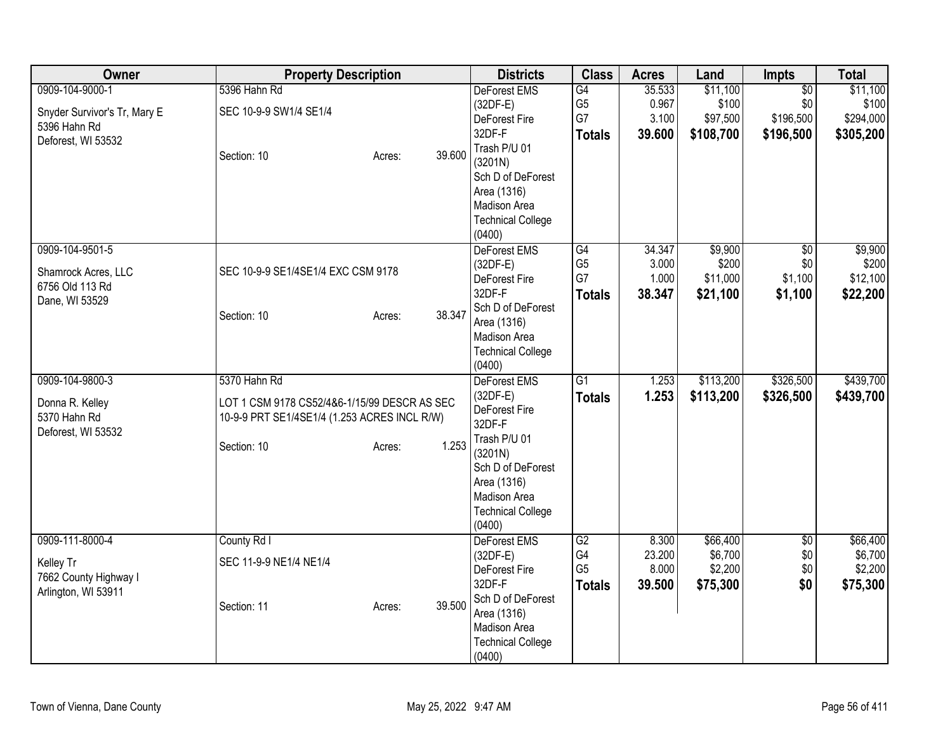| Owner                        | <b>Property Description</b>                  |                  | <b>Districts</b>         | <b>Class</b>   | <b>Acres</b> | Land      | <b>Impts</b>    | <b>Total</b> |
|------------------------------|----------------------------------------------|------------------|--------------------------|----------------|--------------|-----------|-----------------|--------------|
| 0909-104-9000-1              | 5396 Hahn Rd                                 |                  | DeForest EMS             | G4             | 35.533       | \$11,100  | $\overline{50}$ | \$11,100     |
| Snyder Survivor's Tr, Mary E | SEC 10-9-9 SW1/4 SE1/4                       |                  | $(32DF-E)$               | G <sub>5</sub> | 0.967        | \$100     | \$0             | \$100        |
| 5396 Hahn Rd                 |                                              |                  | DeForest Fire            | G7             | 3.100        | \$97,500  | \$196,500       | \$294,000    |
| Deforest, WI 53532           |                                              |                  | 32DF-F                   | <b>Totals</b>  | 39.600       | \$108,700 | \$196,500       | \$305,200    |
|                              | Section: 10                                  | 39.600<br>Acres: | Trash P/U 01             |                |              |           |                 |              |
|                              |                                              |                  | (3201N)                  |                |              |           |                 |              |
|                              |                                              |                  | Sch D of DeForest        |                |              |           |                 |              |
|                              |                                              |                  | Area (1316)              |                |              |           |                 |              |
|                              |                                              |                  | <b>Madison Area</b>      |                |              |           |                 |              |
|                              |                                              |                  | <b>Technical College</b> |                |              |           |                 |              |
|                              |                                              |                  | (0400)                   |                |              |           |                 |              |
| 0909-104-9501-5              |                                              |                  | DeForest EMS             | G4             | 34.347       | \$9,900   | $\overline{50}$ | \$9,900      |
| Shamrock Acres, LLC          | SEC 10-9-9 SE1/4SE1/4 EXC CSM 9178           |                  | $(32DF-E)$               | G <sub>5</sub> | 3.000        | \$200     | \$0             | \$200        |
| 6756 Old 113 Rd              |                                              |                  | DeForest Fire            | G7             | 1.000        | \$11,000  | \$1,100         | \$12,100     |
| Dane, WI 53529               |                                              |                  | 32DF-F                   | <b>Totals</b>  | 38.347       | \$21,100  | \$1,100         | \$22,200     |
|                              | Section: 10                                  | 38.347<br>Acres: | Sch D of DeForest        |                |              |           |                 |              |
|                              |                                              |                  | Area (1316)              |                |              |           |                 |              |
|                              |                                              |                  | Madison Area             |                |              |           |                 |              |
|                              |                                              |                  | <b>Technical College</b> |                |              |           |                 |              |
|                              |                                              |                  | (0400)                   |                |              |           |                 |              |
| 0909-104-9800-3              | 5370 Hahn Rd                                 |                  | <b>DeForest EMS</b>      | G1             | 1.253        | \$113,200 | \$326,500       | \$439,700    |
| Donna R. Kelley              | LOT 1 CSM 9178 CS52/4&6-1/15/99 DESCR AS SEC |                  | $(32DF-E)$               | <b>Totals</b>  | 1.253        | \$113,200 | \$326,500       | \$439,700    |
| 5370 Hahn Rd                 | 10-9-9 PRT SE1/4SE1/4 (1.253 ACRES INCL R/W) |                  | DeForest Fire            |                |              |           |                 |              |
| Deforest, WI 53532           |                                              |                  | 32DF-F                   |                |              |           |                 |              |
|                              | Section: 10                                  | 1.253<br>Acres:  | Trash P/U 01             |                |              |           |                 |              |
|                              |                                              |                  | (3201N)                  |                |              |           |                 |              |
|                              |                                              |                  | Sch D of DeForest        |                |              |           |                 |              |
|                              |                                              |                  | Area (1316)              |                |              |           |                 |              |
|                              |                                              |                  | Madison Area             |                |              |           |                 |              |
|                              |                                              |                  | <b>Technical College</b> |                |              |           |                 |              |
|                              |                                              |                  | (0400)                   |                |              |           |                 |              |
| 0909-111-8000-4              | County Rd I                                  |                  | <b>DeForest EMS</b>      | G2             | 8.300        | \$66,400  | $\overline{60}$ | \$66,400     |
| Kelley Tr                    | SEC 11-9-9 NE1/4 NE1/4                       |                  | $(32DF-E)$               | G4             | 23.200       | \$6,700   | \$0             | \$6,700      |
| 7662 County Highway I        |                                              |                  | DeForest Fire            | G <sub>5</sub> | 8.000        | \$2,200   | \$0             | \$2,200      |
| Arlington, WI 53911          |                                              |                  | 32DF-F                   | <b>Totals</b>  | 39.500       | \$75,300  | \$0             | \$75,300     |
|                              | Section: 11                                  | 39.500<br>Acres: | Sch D of DeForest        |                |              |           |                 |              |
|                              |                                              |                  | Area (1316)              |                |              |           |                 |              |
|                              |                                              |                  | Madison Area             |                |              |           |                 |              |
|                              |                                              |                  | <b>Technical College</b> |                |              |           |                 |              |
|                              |                                              |                  | (0400)                   |                |              |           |                 |              |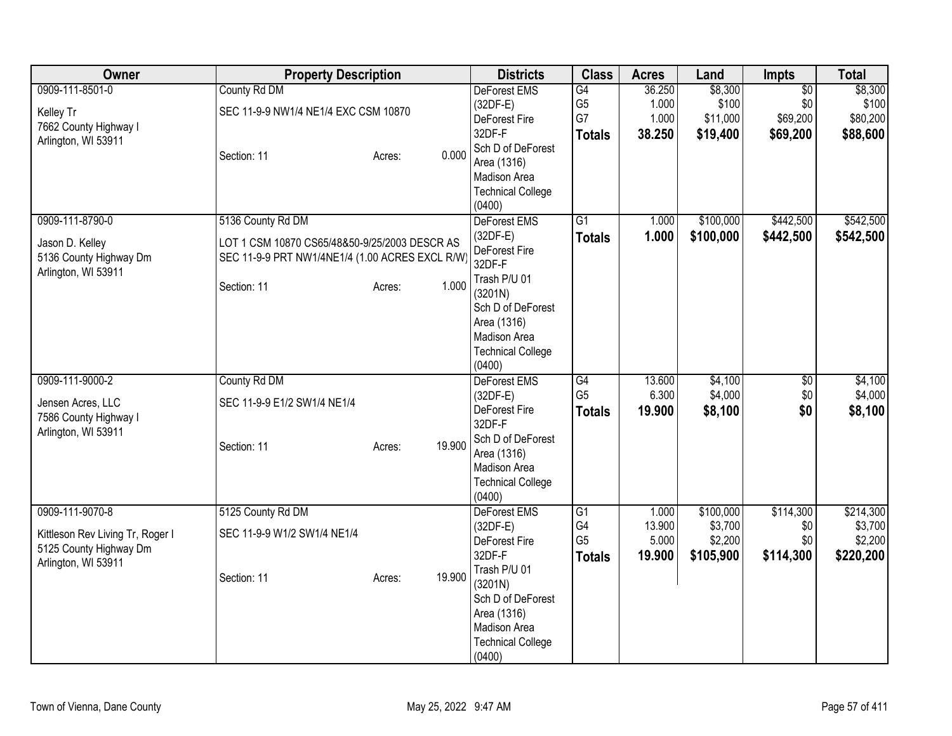| Owner                                                                                                | <b>Property Description</b>                                                                                                                             | <b>Districts</b>                                                                                                                                                                  | <b>Class</b>                                             | <b>Acres</b>                       | Land                                         | <b>Impts</b>                               | <b>Total</b>                                 |
|------------------------------------------------------------------------------------------------------|---------------------------------------------------------------------------------------------------------------------------------------------------------|-----------------------------------------------------------------------------------------------------------------------------------------------------------------------------------|----------------------------------------------------------|------------------------------------|----------------------------------------------|--------------------------------------------|----------------------------------------------|
| 0909-111-8501-0<br>Kelley Tr<br>7662 County Highway I<br>Arlington, WI 53911                         | County Rd DM<br>SEC 11-9-9 NW1/4 NE1/4 EXC CSM 10870<br>0.000<br>Section: 11<br>Acres:                                                                  | <b>DeForest EMS</b><br>$(32DF-E)$<br>DeForest Fire<br>32DF-F<br>Sch D of DeForest<br>Area (1316)<br>Madison Area<br><b>Technical College</b><br>(0400)                            | G4<br>G <sub>5</sub><br>G7<br><b>Totals</b>              | 36.250<br>1.000<br>1.000<br>38.250 | \$8,300<br>\$100<br>\$11,000<br>\$19,400     | $\sqrt{$0}$<br>\$0<br>\$69,200<br>\$69,200 | \$8,300<br>\$100<br>\$80,200<br>\$88,600     |
| 0909-111-8790-0<br>Jason D. Kelley<br>5136 County Highway Dm<br>Arlington, WI 53911                  | 5136 County Rd DM<br>LOT 1 CSM 10870 CS65/48&50-9/25/2003 DESCR AS<br>SEC 11-9-9 PRT NW1/4NE1/4 (1.00 ACRES EXCL R/W)<br>1.000<br>Section: 11<br>Acres: | DeForest EMS<br>$(32DF-E)$<br>DeForest Fire<br>32DF-F<br>Trash P/U 01<br>(3201N)<br>Sch D of DeForest<br>Area (1316)<br>Madison Area<br><b>Technical College</b><br>(0400)        | $\overline{G1}$<br><b>Totals</b>                         | 1.000<br>1.000                     | \$100,000<br>\$100,000                       | \$442,500<br>\$442,500                     | \$542,500<br>\$542,500                       |
| 0909-111-9000-2<br>Jensen Acres, LLC<br>7586 County Highway I<br>Arlington, WI 53911                 | County Rd DM<br>SEC 11-9-9 E1/2 SW1/4 NE1/4<br>19.900<br>Section: 11<br>Acres:                                                                          | <b>DeForest EMS</b><br>$(32DF-E)$<br>DeForest Fire<br>32DF-F<br>Sch D of DeForest<br>Area (1316)<br>Madison Area<br><b>Technical College</b><br>(0400)                            | G4<br>G <sub>5</sub><br><b>Totals</b>                    | 13.600<br>6.300<br>19.900          | \$4,100<br>\$4,000<br>\$8,100                | \$0<br>\$0<br>\$0                          | \$4,100<br>\$4,000<br>\$8,100                |
| 0909-111-9070-8<br>Kittleson Rev Living Tr, Roger I<br>5125 County Highway Dm<br>Arlington, WI 53911 | 5125 County Rd DM<br>SEC 11-9-9 W1/2 SW1/4 NE1/4<br>19.900<br>Section: 11<br>Acres:                                                                     | <b>DeForest EMS</b><br>$(32DF-E)$<br>DeForest Fire<br>32DF-F<br>Trash P/U 01<br>(3201N)<br>Sch D of DeForest<br>Area (1316)<br>Madison Area<br><b>Technical College</b><br>(0400) | $\overline{G1}$<br>G4<br>G <sub>5</sub><br><b>Totals</b> | 1.000<br>13.900<br>5.000<br>19.900 | \$100,000<br>\$3,700<br>\$2,200<br>\$105,900 | \$114,300<br>\$0<br>\$0<br>\$114,300       | \$214,300<br>\$3,700<br>\$2,200<br>\$220,200 |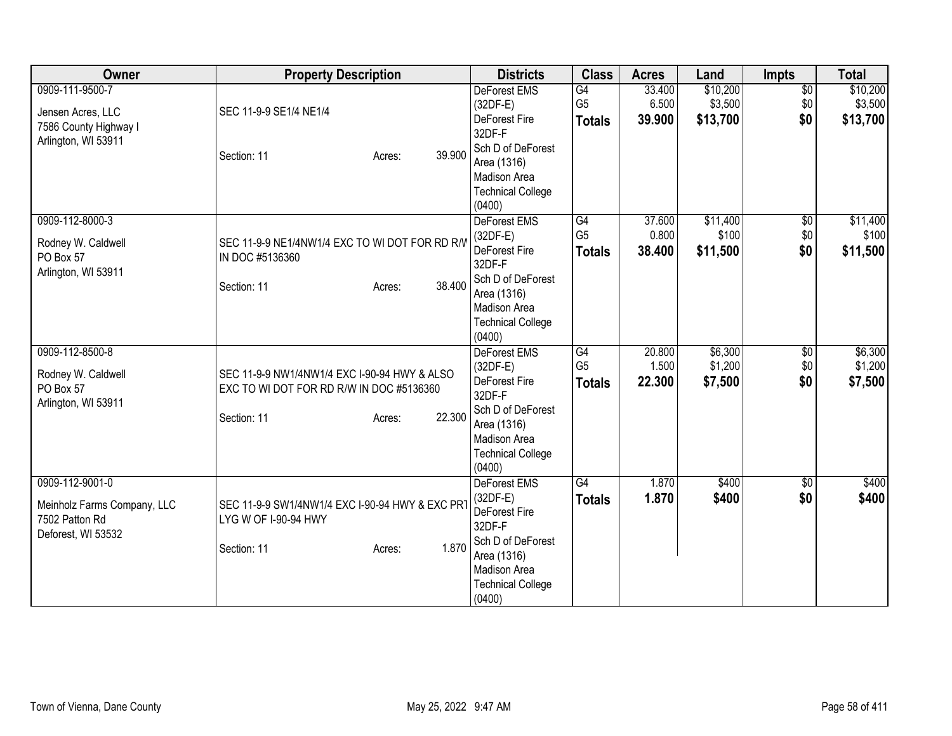| Owner                                                                                | <b>Property Description</b>                                                                                                 | <b>Districts</b>                                                                                                                | <b>Class</b>                                       | <b>Acres</b>              | Land                            | <b>Impts</b>                  | <b>Total</b>                    |
|--------------------------------------------------------------------------------------|-----------------------------------------------------------------------------------------------------------------------------|---------------------------------------------------------------------------------------------------------------------------------|----------------------------------------------------|---------------------------|---------------------------------|-------------------------------|---------------------------------|
| 0909-111-9500-7<br>Jensen Acres, LLC<br>7586 County Highway I<br>Arlington, WI 53911 | SEC 11-9-9 SE1/4 NE1/4                                                                                                      | <b>DeForest EMS</b><br>$(32DF-E)$<br>DeForest Fire<br>32DF-F                                                                    | G4<br>G <sub>5</sub><br><b>Totals</b>              | 33.400<br>6.500<br>39.900 | \$10,200<br>\$3,500<br>\$13,700 | $\overline{50}$<br>\$0<br>\$0 | \$10,200<br>\$3,500<br>\$13,700 |
|                                                                                      | 39.900<br>Section: 11<br>Acres:                                                                                             | Sch D of DeForest<br>Area (1316)<br><b>Madison Area</b><br><b>Technical College</b><br>(0400)                                   |                                                    |                           |                                 |                               |                                 |
| 0909-112-8000-3<br>Rodney W. Caldwell<br>PO Box 57                                   | SEC 11-9-9 NE1/4NW1/4 EXC TO WI DOT FOR RD R/V<br>IN DOC #5136360                                                           | DeForest EMS<br>$(32DF-E)$<br>DeForest Fire<br>32DF-F                                                                           | G4<br>G <sub>5</sub><br><b>Totals</b>              | 37.600<br>0.800<br>38.400 | \$11,400<br>\$100<br>\$11,500   | $\overline{60}$<br>\$0<br>\$0 | \$11,400<br>\$100<br>\$11,500   |
| Arlington, WI 53911                                                                  | 38.400<br>Section: 11<br>Acres:                                                                                             | Sch D of DeForest<br>Area (1316)<br>Madison Area<br><b>Technical College</b><br>(0400)                                          |                                                    |                           |                                 |                               |                                 |
| 0909-112-8500-8<br>Rodney W. Caldwell<br>PO Box 57<br>Arlington, WI 53911            | SEC 11-9-9 NW1/4NW1/4 EXC I-90-94 HWY & ALSO<br>EXC TO WI DOT FOR RD R/W IN DOC #5136360<br>22.300<br>Section: 11<br>Acres: | <b>DeForest EMS</b><br>$(32DF-E)$<br>DeForest Fire<br>32DF-F<br>Sch D of DeForest<br>Area (1316)<br>Madison Area                | $\overline{G4}$<br>G <sub>5</sub><br><b>Totals</b> | 20.800<br>1.500<br>22.300 | \$6,300<br>\$1,200<br>\$7,500   | $\overline{50}$<br>\$0<br>\$0 | \$6,300<br>\$1,200<br>\$7,500   |
| 0909-112-9001-0                                                                      |                                                                                                                             | <b>Technical College</b><br>(0400)<br>DeForest EMS                                                                              | G4                                                 | 1.870                     | \$400                           | $\overline{50}$               | \$400                           |
| Meinholz Farms Company, LLC<br>7502 Patton Rd<br>Deforest, WI 53532                  | SEC 11-9-9 SW1/4NW1/4 EXC I-90-94 HWY & EXC PRT<br>LYG W OF I-90-94 HWY<br>1.870<br>Section: 11<br>Acres:                   | $(32DF-E)$<br>DeForest Fire<br>32DF-F<br>Sch D of DeForest<br>Area (1316)<br>Madison Area<br><b>Technical College</b><br>(0400) | <b>Totals</b>                                      | 1.870                     | \$400                           | \$0                           | \$400                           |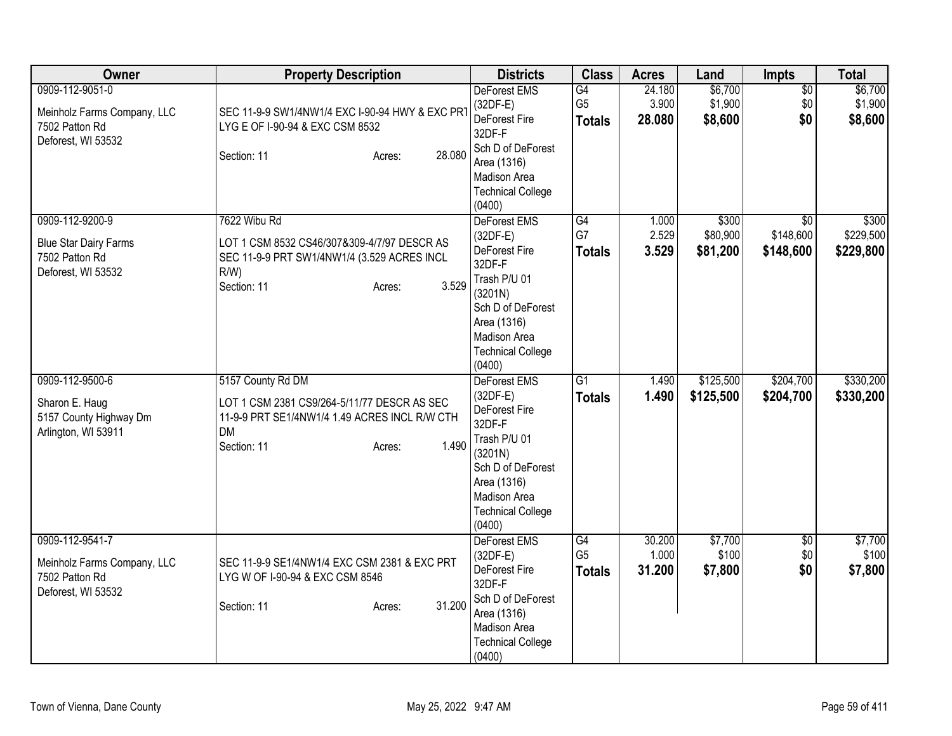| <b>Owner</b>                                                                            | <b>Property Description</b>                                                                                                                                      | <b>Districts</b>                                                                                                                                                                  | <b>Class</b>                          | <b>Acres</b>              | Land                          | <b>Impts</b>                              | <b>Total</b>                    |
|-----------------------------------------------------------------------------------------|------------------------------------------------------------------------------------------------------------------------------------------------------------------|-----------------------------------------------------------------------------------------------------------------------------------------------------------------------------------|---------------------------------------|---------------------------|-------------------------------|-------------------------------------------|---------------------------------|
| 0909-112-9051-0<br>Meinholz Farms Company, LLC<br>7502 Patton Rd<br>Deforest, WI 53532  | SEC 11-9-9 SW1/4NW1/4 EXC I-90-94 HWY & EXC PRT<br>LYG E OF I-90-94 & EXC CSM 8532<br>28.080<br>Section: 11<br>Acres:                                            | <b>DeForest EMS</b><br>$(32DF-E)$<br>DeForest Fire<br>32DF-F<br>Sch D of DeForest<br>Area (1316)<br><b>Madison Area</b><br><b>Technical College</b><br>(0400)                     | G4<br>G <sub>5</sub><br><b>Totals</b> | 24.180<br>3.900<br>28.080 | \$6,700<br>\$1,900<br>\$8,600 | $\overline{50}$<br>\$0<br>\$0             | \$6,700<br>\$1,900<br>\$8,600   |
| 0909-112-9200-9<br><b>Blue Star Dairy Farms</b><br>7502 Patton Rd<br>Deforest, WI 53532 | 7622 Wibu Rd<br>LOT 1 CSM 8532 CS46/307&309-4/7/97 DESCR AS<br>SEC 11-9-9 PRT SW1/4NW1/4 (3.529 ACRES INCL<br>$R/W$ )<br>3.529<br>Section: 11<br>Acres:          | DeForest EMS<br>$(32DF-E)$<br>DeForest Fire<br>32DF-F<br>Trash P/U 01<br>(3201N)<br>Sch D of DeForest<br>Area (1316)<br>Madison Area<br><b>Technical College</b><br>(0400)        | G4<br>G7<br><b>Totals</b>             | 1.000<br>2.529<br>3.529   | \$300<br>\$80,900<br>\$81,200 | $\overline{30}$<br>\$148,600<br>\$148,600 | \$300<br>\$229,500<br>\$229,800 |
| 0909-112-9500-6<br>Sharon E. Haug<br>5157 County Highway Dm<br>Arlington, WI 53911      | 5157 County Rd DM<br>LOT 1 CSM 2381 CS9/264-5/11/77 DESCR AS SEC<br>11-9-9 PRT SE1/4NW1/4 1.49 ACRES INCL R/W CTH<br><b>DM</b><br>1.490<br>Section: 11<br>Acres: | <b>DeForest EMS</b><br>$(32DF-E)$<br>DeForest Fire<br>32DF-F<br>Trash P/U 01<br>(3201N)<br>Sch D of DeForest<br>Area (1316)<br>Madison Area<br><b>Technical College</b><br>(0400) | G1<br><b>Totals</b>                   | 1.490<br>1.490            | \$125,500<br>\$125,500        | \$204,700<br>\$204,700                    | \$330,200<br>\$330,200          |
| 0909-112-9541-7<br>Meinholz Farms Company, LLC<br>7502 Patton Rd<br>Deforest, WI 53532  | SEC 11-9-9 SE1/4NW1/4 EXC CSM 2381 & EXC PRT<br>LYG W OF I-90-94 & EXC CSM 8546<br>31.200<br>Section: 11<br>Acres:                                               | DeForest EMS<br>$(32DF-E)$<br>DeForest Fire<br>32DF-F<br>Sch D of DeForest<br>Area (1316)<br>Madison Area<br><b>Technical College</b><br>(0400)                                   | G4<br>G <sub>5</sub><br><b>Totals</b> | 30.200<br>1.000<br>31.200 | \$7,700<br>\$100<br>\$7,800   | $\overline{50}$<br>\$0<br>\$0             | \$7,700<br>\$100<br>\$7,800     |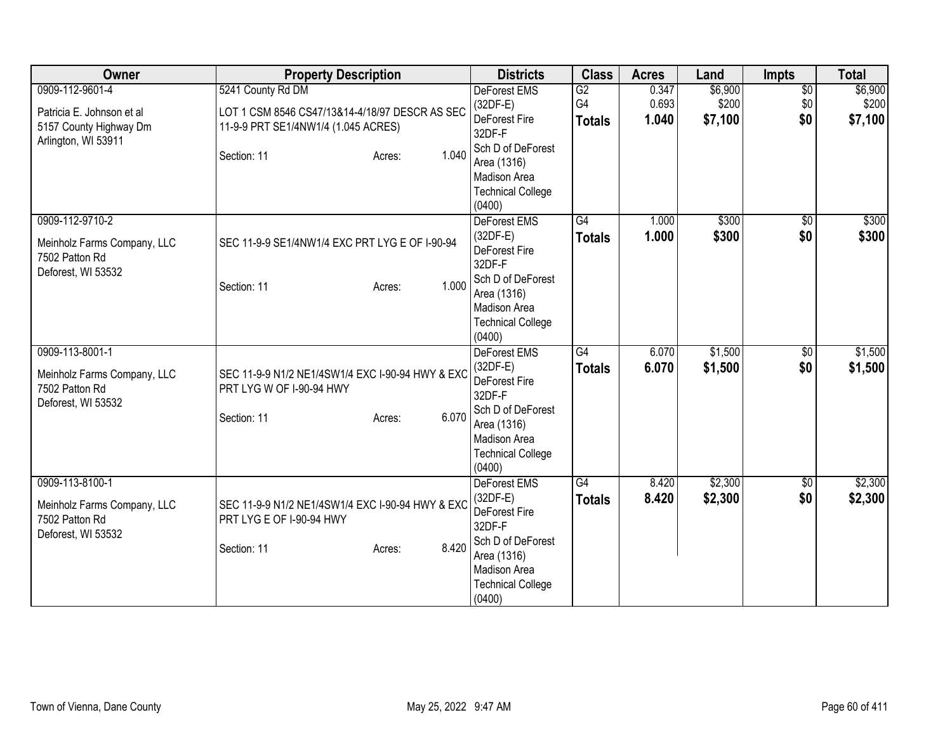| Owner                       | <b>Property Description</b>                      | <b>Districts</b>            | <b>Class</b>        | <b>Acres</b>   | Land             | <b>Impts</b>           | <b>Total</b>       |
|-----------------------------|--------------------------------------------------|-----------------------------|---------------------|----------------|------------------|------------------------|--------------------|
| 0909-112-9601-4             | 5241 County Rd DM                                | <b>DeForest EMS</b>         | $\overline{G2}$     | 0.347          | \$6,900          | $\overline{50}$        | \$6,900            |
| Patricia E. Johnson et al   | LOT 1 CSM 8546 CS47/13&14-4/18/97 DESCR AS SEC   | $(32DF-E)$<br>DeForest Fire | G4<br><b>Totals</b> | 0.693<br>1.040 | \$200<br>\$7,100 | \$0<br>\$0             | \$200<br>\$7,100   |
| 5157 County Highway Dm      | 11-9-9 PRT SE1/4NW1/4 (1.045 ACRES)              | 32DF-F                      |                     |                |                  |                        |                    |
| Arlington, WI 53911         |                                                  | Sch D of DeForest           |                     |                |                  |                        |                    |
|                             | 1.040<br>Section: 11<br>Acres:                   | Area (1316)                 |                     |                |                  |                        |                    |
|                             |                                                  | <b>Madison Area</b>         |                     |                |                  |                        |                    |
|                             |                                                  | <b>Technical College</b>    |                     |                |                  |                        |                    |
|                             |                                                  | (0400)                      |                     |                |                  |                        |                    |
| 0909-112-9710-2             |                                                  | DeForest EMS                | $\overline{G4}$     | 1.000          | \$300            | $\overline{50}$        | \$300              |
| Meinholz Farms Company, LLC | SEC 11-9-9 SE1/4NW1/4 EXC PRT LYG E OF I-90-94   | $(32DF-E)$<br>DeForest Fire | <b>Totals</b>       | 1.000          | \$300            | \$0                    | \$300              |
| 7502 Patton Rd              |                                                  | 32DF-F                      |                     |                |                  |                        |                    |
| Deforest, WI 53532          |                                                  | Sch D of DeForest           |                     |                |                  |                        |                    |
|                             | 1.000<br>Section: 11<br>Acres:                   | Area (1316)                 |                     |                |                  |                        |                    |
|                             |                                                  | Madison Area                |                     |                |                  |                        |                    |
|                             |                                                  | <b>Technical College</b>    |                     |                |                  |                        |                    |
|                             |                                                  | (0400)                      |                     |                |                  |                        |                    |
| 0909-113-8001-1             |                                                  | DeForest EMS                | G4                  | 6.070          | \$1,500          | $\overline{50}$        | \$1,500            |
| Meinholz Farms Company, LLC | SEC 11-9-9 N1/2 NE1/4SW1/4 EXC I-90-94 HWY & EXC | $(32DF-E)$<br>DeForest Fire | <b>Totals</b>       | 6.070          | \$1,500          | \$0                    | \$1,500            |
| 7502 Patton Rd              | PRT LYG W OF I-90-94 HWY                         | 32DF-F                      |                     |                |                  |                        |                    |
| Deforest, WI 53532          |                                                  | Sch D of DeForest           |                     |                |                  |                        |                    |
|                             | 6.070<br>Section: 11<br>Acres:                   | Area (1316)                 |                     |                |                  |                        |                    |
|                             |                                                  | Madison Area                |                     |                |                  |                        |                    |
|                             |                                                  | <b>Technical College</b>    |                     |                |                  |                        |                    |
|                             |                                                  | (0400)                      |                     |                |                  |                        |                    |
| 0909-113-8100-1             |                                                  | DeForest EMS<br>$(32DF-E)$  | G4                  | 8.420<br>8.420 | \$2,300          | $\overline{50}$<br>\$0 | \$2,300<br>\$2,300 |
| Meinholz Farms Company, LLC | SEC 11-9-9 N1/2 NE1/4SW1/4 EXC I-90-94 HWY & EXC | DeForest Fire               | <b>Totals</b>       |                | \$2,300          |                        |                    |
| 7502 Patton Rd              | PRT LYG E OF I-90-94 HWY                         | 32DF-F                      |                     |                |                  |                        |                    |
| Deforest, WI 53532          |                                                  | Sch D of DeForest           |                     |                |                  |                        |                    |
|                             | 8.420<br>Section: 11<br>Acres:                   | Area (1316)                 |                     |                |                  |                        |                    |
|                             |                                                  | Madison Area                |                     |                |                  |                        |                    |
|                             |                                                  | <b>Technical College</b>    |                     |                |                  |                        |                    |
|                             |                                                  | (0400)                      |                     |                |                  |                        |                    |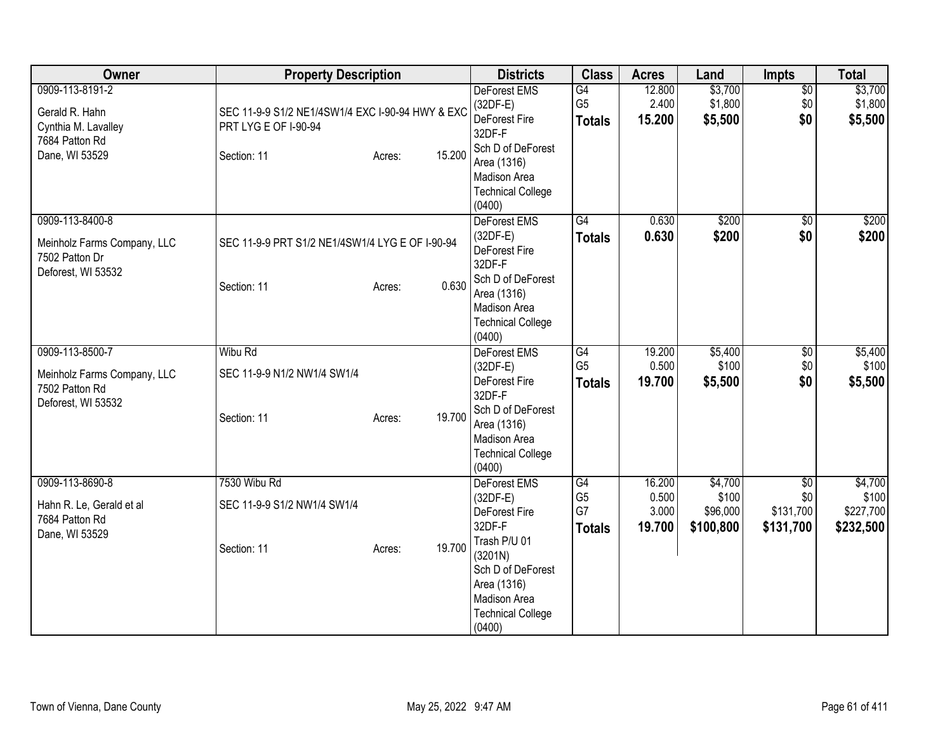| <b>Owner</b>                                                                                 | <b>Property Description</b>                                                                                 | <b>Districts</b>                                                                                                                                                           | <b>Class</b>                                | <b>Acres</b>                       | Land                                      | Impts                                            | <b>Total</b>                               |
|----------------------------------------------------------------------------------------------|-------------------------------------------------------------------------------------------------------------|----------------------------------------------------------------------------------------------------------------------------------------------------------------------------|---------------------------------------------|------------------------------------|-------------------------------------------|--------------------------------------------------|--------------------------------------------|
| 0909-113-8191-2<br>Gerald R. Hahn<br>Cynthia M. Lavalley<br>7684 Patton Rd<br>Dane, WI 53529 | SEC 11-9-9 S1/2 NE1/4SW1/4 EXC I-90-94 HWY & EXC<br>PRT LYG E OF I-90-94<br>15.200<br>Section: 11<br>Acres: | <b>DeForest EMS</b><br>$(32DF-E)$<br>DeForest Fire<br>32DF-F<br>Sch D of DeForest<br>Area (1316)<br>Madison Area<br><b>Technical College</b><br>(0400)                     | G4<br>G <sub>5</sub><br><b>Totals</b>       | 12.800<br>2.400<br>15.200          | \$3,700<br>\$1,800<br>\$5,500             | $\overline{50}$<br>\$0<br>\$0                    | \$3,700<br>\$1,800<br>\$5,500              |
| 0909-113-8400-8<br>Meinholz Farms Company, LLC<br>7502 Patton Dr<br>Deforest, WI 53532       | SEC 11-9-9 PRT S1/2 NE1/4SW1/4 LYG E OF I-90-94<br>0.630<br>Section: 11<br>Acres:                           | DeForest EMS<br>$(32DF-E)$<br>DeForest Fire<br>32DF-F<br>Sch D of DeForest<br>Area (1316)<br>Madison Area<br><b>Technical College</b><br>(0400)                            | G4<br><b>Totals</b>                         | 0.630<br>0.630                     | \$200<br>\$200                            | $\sqrt{6}$<br>\$0                                | \$200<br>\$200                             |
| 0909-113-8500-7<br>Meinholz Farms Company, LLC<br>7502 Patton Rd<br>Deforest, WI 53532       | Wibu Rd<br>SEC 11-9-9 N1/2 NW1/4 SW1/4<br>19.700<br>Section: 11<br>Acres:                                   | DeForest EMS<br>(32DF-E)<br>DeForest Fire<br>32DF-F<br>Sch D of DeForest<br>Area (1316)<br>Madison Area<br><b>Technical College</b><br>(0400)                              | G4<br>G <sub>5</sub><br><b>Totals</b>       | 19.200<br>0.500<br>19.700          | \$5,400<br>\$100<br>\$5,500               | $\overline{60}$<br>\$0<br>\$0                    | \$5,400<br>\$100<br>\$5,500                |
| 0909-113-8690-8<br>Hahn R. Le, Gerald et al<br>7684 Patton Rd<br>Dane, WI 53529              | 7530 Wibu Rd<br>SEC 11-9-9 S1/2 NW1/4 SW1/4<br>19.700<br>Section: 11<br>Acres:                              | DeForest EMS<br>$(32DF-E)$<br>DeForest Fire<br>32DF-F<br>Trash P/U 01<br>(3201N)<br>Sch D of DeForest<br>Area (1316)<br>Madison Area<br><b>Technical College</b><br>(0400) | G4<br>G <sub>5</sub><br>G7<br><b>Totals</b> | 16.200<br>0.500<br>3.000<br>19.700 | \$4,700<br>\$100<br>\$96,000<br>\$100,800 | $\overline{50}$<br>\$0<br>\$131,700<br>\$131,700 | \$4,700<br>\$100<br>\$227,700<br>\$232,500 |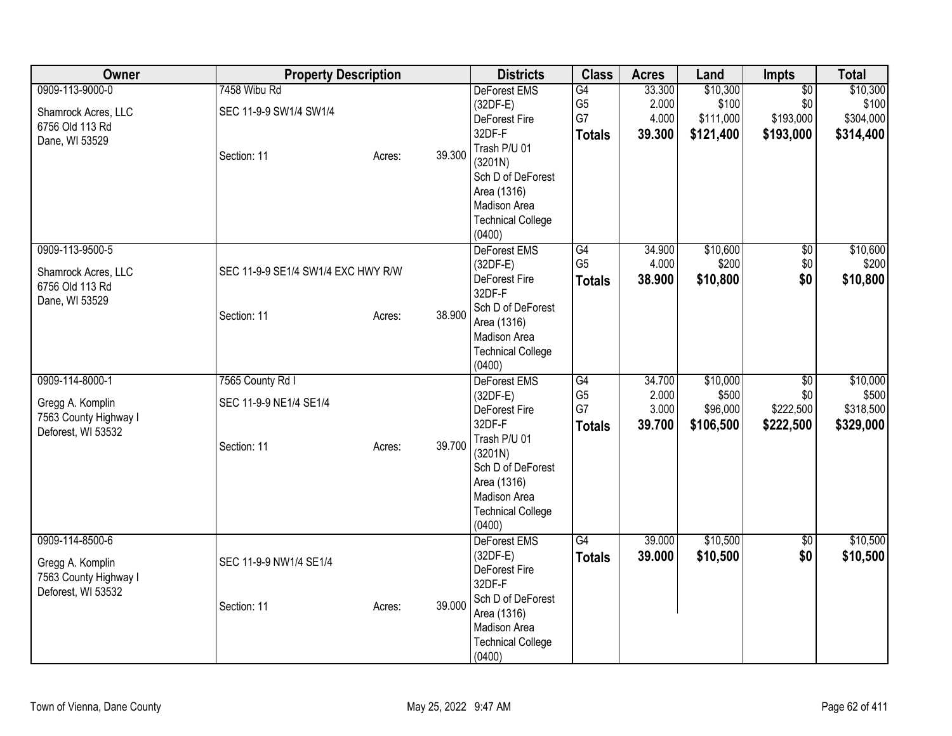| Owner                                                                              | <b>Property Description</b>                               |                  | <b>Districts</b>                                                                                                                                                                  | <b>Class</b>                                | <b>Acres</b>                       | Land                                        | Impts                                            | <b>Total</b>                                |
|------------------------------------------------------------------------------------|-----------------------------------------------------------|------------------|-----------------------------------------------------------------------------------------------------------------------------------------------------------------------------------|---------------------------------------------|------------------------------------|---------------------------------------------|--------------------------------------------------|---------------------------------------------|
| 0909-113-9000-0<br>Shamrock Acres, LLC<br>6756 Old 113 Rd<br>Dane, WI 53529        | 7458 Wibu Rd<br>SEC 11-9-9 SW1/4 SW1/4<br>Section: 11     | 39.300<br>Acres: | DeForest EMS<br>$(32DF-E)$<br>DeForest Fire<br>32DF-F<br>Trash P/U 01<br>(3201N)<br>Sch D of DeForest<br>Area (1316)                                                              | G4<br>G <sub>5</sub><br>G7<br><b>Totals</b> | 33.300<br>2.000<br>4.000<br>39.300 | \$10,300<br>\$100<br>\$111,000<br>\$121,400 | $\overline{50}$<br>\$0<br>\$193,000<br>\$193,000 | \$10,300<br>\$100<br>\$304,000<br>\$314,400 |
| 0909-113-9500-5<br>Shamrock Acres, LLC                                             | SEC 11-9-9 SE1/4 SW1/4 EXC HWY R/W                        |                  | Madison Area<br><b>Technical College</b><br>(0400)<br>DeForest EMS<br>$(32DF-E)$<br>DeForest Fire                                                                                 | G4<br>G <sub>5</sub>                        | 34.900<br>4.000                    | \$10,600<br>\$200                           | $\overline{60}$<br>\$0                           | \$10,600<br>\$200                           |
| 6756 Old 113 Rd<br>Dane, WI 53529                                                  | Section: 11                                               | 38.900<br>Acres: | 32DF-F<br>Sch D of DeForest<br>Area (1316)<br>Madison Area<br><b>Technical College</b><br>(0400)                                                                                  | <b>Totals</b>                               | 38.900                             | \$10,800                                    | \$0                                              | \$10,800                                    |
| 0909-114-8000-1<br>Gregg A. Komplin<br>7563 County Highway I<br>Deforest, WI 53532 | 7565 County Rd I<br>SEC 11-9-9 NE1/4 SE1/4<br>Section: 11 | 39.700<br>Acres: | <b>DeForest EMS</b><br>$(32DF-E)$<br>DeForest Fire<br>32DF-F<br>Trash P/U 01<br>(3201N)<br>Sch D of DeForest<br>Area (1316)<br>Madison Area<br><b>Technical College</b><br>(0400) | G4<br>G <sub>5</sub><br>G7<br><b>Totals</b> | 34.700<br>2.000<br>3.000<br>39.700 | \$10,000<br>\$500<br>\$96,000<br>\$106,500  | \$0<br>\$0<br>\$222,500<br>\$222,500             | \$10,000<br>\$500<br>\$318,500<br>\$329,000 |
| 0909-114-8500-6<br>Gregg A. Komplin<br>7563 County Highway I<br>Deforest, WI 53532 | SEC 11-9-9 NW1/4 SE1/4<br>Section: 11                     | 39.000<br>Acres: | DeForest EMS<br>$(32DF-E)$<br>DeForest Fire<br>32DF-F<br>Sch D of DeForest<br>Area (1316)<br>Madison Area<br><b>Technical College</b><br>(0400)                                   | G4<br><b>Totals</b>                         | 39.000<br>39.000                   | \$10,500<br>\$10,500                        | \$0<br>\$0                                       | \$10,500<br>\$10,500                        |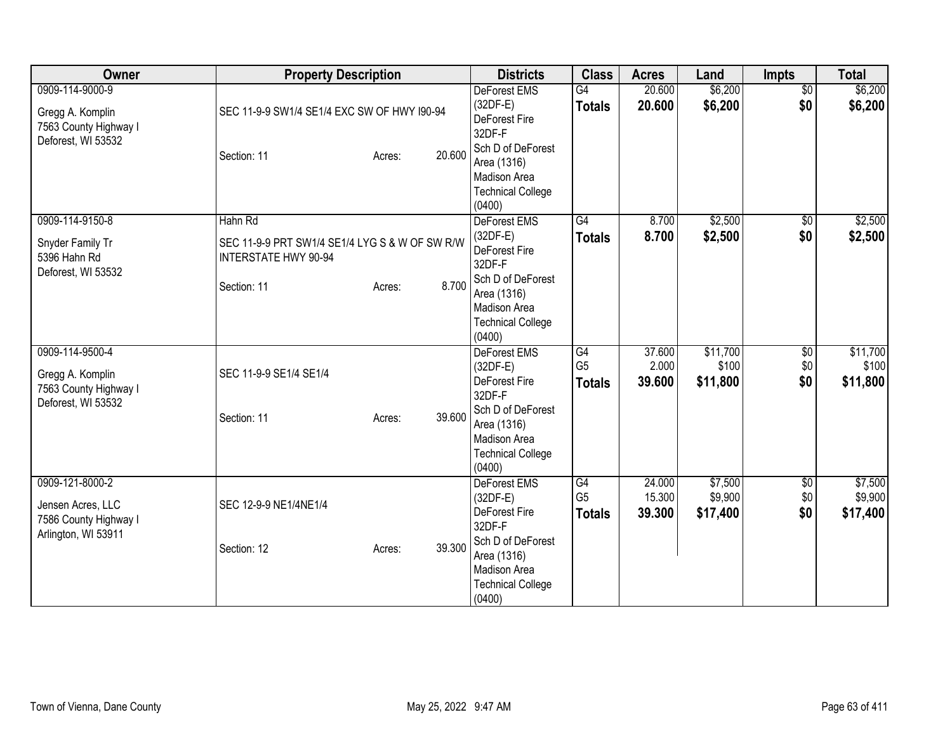| <b>Owner</b>                                                                         | <b>Property Description</b>                                                                                       |        | <b>Districts</b>                                                                                          | <b>Class</b>                          | <b>Acres</b>               | Land                           | <b>Impts</b>                  | <b>Total</b>                   |
|--------------------------------------------------------------------------------------|-------------------------------------------------------------------------------------------------------------------|--------|-----------------------------------------------------------------------------------------------------------|---------------------------------------|----------------------------|--------------------------------|-------------------------------|--------------------------------|
| 0909-114-9000-9<br>Gregg A. Komplin<br>7563 County Highway I<br>Deforest, WI 53532   | SEC 11-9-9 SW1/4 SE1/4 EXC SW OF HWY I90-94<br>Section: 11<br>Acres:                                              | 20,600 | <b>DeForest EMS</b><br>(32DF-E)<br>DeForest Fire<br>32DF-F<br>Sch D of DeForest<br>Area (1316)            | G4<br><b>Totals</b>                   | 20.600<br>20.600           | \$6,200<br>\$6,200             | $\overline{50}$<br>\$0        | \$6,200<br>\$6,200             |
|                                                                                      |                                                                                                                   |        | Madison Area<br><b>Technical College</b><br>(0400)                                                        |                                       |                            |                                |                               |                                |
| 0909-114-9150-8<br>Snyder Family Tr<br>5396 Hahn Rd<br>Deforest, WI 53532            | Hahn Rd<br>SEC 11-9-9 PRT SW1/4 SE1/4 LYG S & W OF SW R/W<br><b>INTERSTATE HWY 90-94</b><br>Section: 11<br>Acres: | 8.700  | DeForest EMS<br>$(32DF-E)$<br>DeForest Fire<br>32DF-F<br>Sch D of DeForest<br>Area (1316)<br>Madison Area | G4<br><b>Totals</b>                   | 8.700<br>8.700             | \$2,500<br>\$2,500             | $\sqrt{6}$<br>\$0             | \$2,500<br>\$2,500             |
| 0909-114-9500-4<br>Gregg A. Komplin                                                  | SEC 11-9-9 SE1/4 SE1/4                                                                                            |        | <b>Technical College</b><br>(0400)<br>DeForest EMS<br>$(32DF-E)$<br>DeForest Fire                         | G4<br>G <sub>5</sub><br><b>Totals</b> | 37.600<br>2.000<br>39.600  | \$11,700<br>\$100<br>\$11,800  | $\overline{60}$<br>\$0<br>\$0 | \$11,700<br>\$100<br>\$11,800  |
| 7563 County Highway I<br>Deforest, WI 53532                                          | Section: 11<br>Acres:                                                                                             | 39.600 | 32DF-F<br>Sch D of DeForest<br>Area (1316)<br><b>Madison Area</b><br><b>Technical College</b><br>(0400)   |                                       |                            |                                |                               |                                |
| 0909-121-8000-2<br>Jensen Acres, LLC<br>7586 County Highway I<br>Arlington, WI 53911 | SEC 12-9-9 NE1/4NE1/4                                                                                             |        | <b>DeForest EMS</b><br>$(32DF-E)$<br>DeForest Fire<br>32DF-F                                              | G4<br>G <sub>5</sub><br><b>Totals</b> | 24.000<br>15.300<br>39.300 | \$7,500<br>\$9,900<br>\$17,400 | $\overline{60}$<br>\$0<br>\$0 | \$7,500<br>\$9,900<br>\$17,400 |
|                                                                                      | Section: 12<br>Acres:                                                                                             | 39.300 | Sch D of DeForest<br>Area (1316)<br>Madison Area<br><b>Technical College</b><br>(0400)                    |                                       |                            |                                |                               |                                |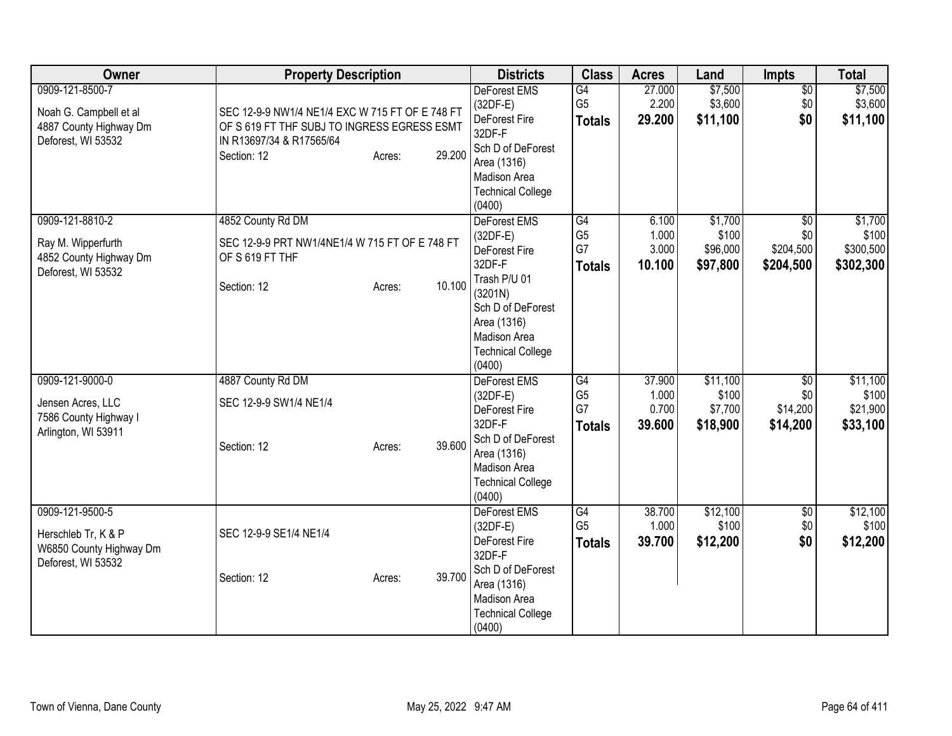| Owner                                                                                     | <b>Property Description</b>                                                                                                                                   | <b>Districts</b>                                                                                                                                       | <b>Class</b>                                | <b>Acres</b>                       | Land                                     | Impts                              | <b>Total</b>                              |
|-------------------------------------------------------------------------------------------|---------------------------------------------------------------------------------------------------------------------------------------------------------------|--------------------------------------------------------------------------------------------------------------------------------------------------------|---------------------------------------------|------------------------------------|------------------------------------------|------------------------------------|-------------------------------------------|
| 0909-121-8500-7<br>Noah G. Campbell et al<br>4887 County Highway Dm<br>Deforest, WI 53532 | SEC 12-9-9 NW1/4 NE1/4 EXC W 715 FT OF E 748 FT<br>OF S 619 FT THF SUBJ TO INGRESS EGRESS ESMT<br>IN R13697/34 & R17565/64<br>29.200<br>Section: 12<br>Acres: | <b>DeForest EMS</b><br>$(32DF-E)$<br>DeForest Fire<br>32DF-F<br>Sch D of DeForest<br>Area (1316)<br>Madison Area<br><b>Technical College</b><br>(0400) | G4<br>G <sub>5</sub><br><b>Totals</b>       | 27.000<br>2.200<br>29.200          | \$7,500<br>\$3,600<br>\$11,100           | $\overline{50}$<br>\$0<br>\$0      | \$7,500<br>\$3,600<br>\$11,100            |
| 0909-121-8810-2                                                                           | 4852 County Rd DM                                                                                                                                             | DeForest EMS                                                                                                                                           | $\overline{G4}$                             | 6.100                              | \$1,700                                  | $\overline{50}$                    | \$1,700                                   |
| Ray M. Wipperfurth<br>4852 County Highway Dm<br>Deforest, WI 53532                        | SEC 12-9-9 PRT NW1/4NE1/4 W 715 FT OF E 748 FT<br>OF S 619 FT THF                                                                                             | $(32DF-E)$<br>DeForest Fire<br>32DF-F<br>Trash P/U 01                                                                                                  | G <sub>5</sub><br>G7<br><b>Totals</b>       | 1.000<br>3.000<br>10.100           | \$100<br>\$96,000<br>\$97,800            | \$0<br>\$204,500<br>\$204,500      | \$100<br>\$300,500<br>\$302,300           |
|                                                                                           | 10.100<br>Section: 12<br>Acres:                                                                                                                               | (3201N)<br>Sch D of DeForest<br>Area (1316)<br>Madison Area<br><b>Technical College</b><br>(0400)                                                      |                                             |                                    |                                          |                                    |                                           |
| 0909-121-9000-0<br>Jensen Acres, LLC<br>7586 County Highway I<br>Arlington, WI 53911      | 4887 County Rd DM<br>SEC 12-9-9 SW1/4 NE1/4<br>39.600<br>Section: 12<br>Acres:                                                                                | <b>DeForest EMS</b><br>$(32DF-E)$<br>DeForest Fire<br>32DF-F<br>Sch D of DeForest<br>Area (1316)<br>Madison Area<br><b>Technical College</b>           | G4<br>G <sub>5</sub><br>G7<br><b>Totals</b> | 37.900<br>1.000<br>0.700<br>39.600 | \$11,100<br>\$100<br>\$7,700<br>\$18,900 | \$0<br>\$0<br>\$14,200<br>\$14,200 | \$11,100<br>\$100<br>\$21,900<br>\$33,100 |
| 0909-121-9500-5                                                                           |                                                                                                                                                               | (0400)<br>DeForest EMS                                                                                                                                 | G4                                          | 38.700                             | \$12,100                                 | $\overline{50}$                    | \$12,100                                  |
| Herschleb Tr, K & P<br>W6850 County Highway Dm<br>Deforest, WI 53532                      | SEC 12-9-9 SE1/4 NE1/4                                                                                                                                        | $(32DF-E)$<br>DeForest Fire<br>32DF-F                                                                                                                  | G <sub>5</sub><br><b>Totals</b>             | 1.000<br>39.700                    | \$100<br>\$12,200                        | \$0<br>\$0                         | \$100<br>\$12,200                         |
|                                                                                           | 39.700<br>Section: 12<br>Acres:                                                                                                                               | Sch D of DeForest<br>Area (1316)<br>Madison Area<br><b>Technical College</b><br>(0400)                                                                 |                                             |                                    |                                          |                                    |                                           |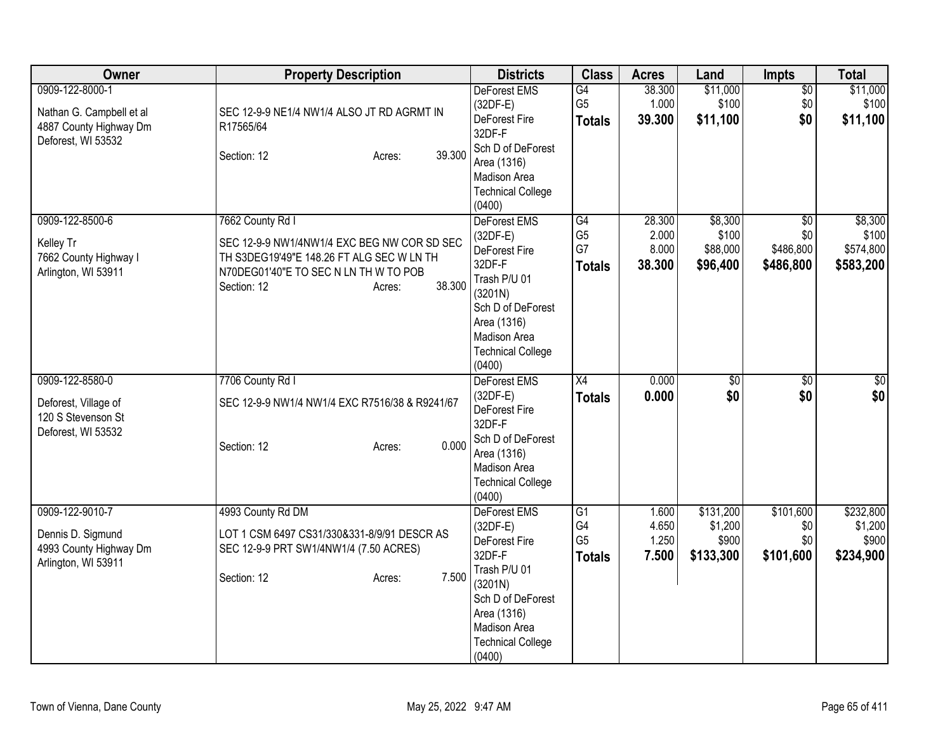| Owner                                                                                       | <b>Property Description</b>                                                                                                                                                              | <b>Districts</b>                                                                                                                                                           | <b>Class</b>                                             | <b>Acres</b>                       | Land                                       | <b>Impts</b>                                     | <b>Total</b>                               |
|---------------------------------------------------------------------------------------------|------------------------------------------------------------------------------------------------------------------------------------------------------------------------------------------|----------------------------------------------------------------------------------------------------------------------------------------------------------------------------|----------------------------------------------------------|------------------------------------|--------------------------------------------|--------------------------------------------------|--------------------------------------------|
| 0909-122-8000-1<br>Nathan G. Campbell et al<br>4887 County Highway Dm<br>Deforest, WI 53532 | SEC 12-9-9 NE1/4 NW1/4 ALSO JT RD AGRMT IN<br>R17565/64<br>39.300<br>Section: 12<br>Acres:                                                                                               | DeForest EMS<br>$(32DF-E)$<br>DeForest Fire<br>32DF-F<br>Sch D of DeForest<br>Area (1316)<br>Madison Area<br><b>Technical College</b><br>(0400)                            | G4<br>G <sub>5</sub><br><b>Totals</b>                    | 38.300<br>1.000<br>39.300          | \$11,000<br>\$100<br>\$11,100              | $\overline{50}$<br>\$0 <br>\$0                   | \$11,000<br>\$100<br>\$11,100              |
| 0909-122-8500-6<br>Kelley Tr<br>7662 County Highway I<br>Arlington, WI 53911                | 7662 County Rd I<br>SEC 12-9-9 NW1/4NW1/4 EXC BEG NW COR SD SEC<br>TH S3DEG19'49"E 148.26 FT ALG SEC W LN TH<br>N70DEG01'40"E TO SEC N LN TH W TO POB<br>38.300<br>Section: 12<br>Acres: | DeForest EMS<br>$(32DF-E)$<br>DeForest Fire<br>32DF-F<br>Trash P/U 01<br>(3201N)<br>Sch D of DeForest<br>Area (1316)<br>Madison Area<br><b>Technical College</b><br>(0400) | $\overline{G4}$<br>G <sub>5</sub><br>G7<br><b>Totals</b> | 28.300<br>2.000<br>8.000<br>38.300 | \$8,300<br>\$100<br>\$88,000<br>\$96,400   | $\overline{30}$<br>\$0<br>\$486,800<br>\$486,800 | \$8,300<br>\$100<br>\$574,800<br>\$583,200 |
| 0909-122-8580-0<br>Deforest, Village of<br>120 S Stevenson St<br>Deforest, WI 53532         | 7706 County Rd I<br>SEC 12-9-9 NW1/4 NW1/4 EXC R7516/38 & R9241/67<br>0.000<br>Section: 12<br>Acres:                                                                                     | <b>DeForest EMS</b><br>$(32DF-E)$<br>DeForest Fire<br>32DF-F<br>Sch D of DeForest<br>Area (1316)<br>Madison Area<br><b>Technical College</b><br>(0400)                     | $\overline{X4}$<br><b>Totals</b>                         | 0.000<br>0.000                     | \$0<br>\$0                                 | $\overline{50}$<br>\$0                           | \$0<br>\$0                                 |
| 0909-122-9010-7<br>Dennis D. Sigmund<br>4993 County Highway Dm<br>Arlington, WI 53911       | 4993 County Rd DM<br>LOT 1 CSM 6497 CS31/330&331-8/9/91 DESCR AS<br>SEC 12-9-9 PRT SW1/4NW1/4 (7.50 ACRES)<br>7.500<br>Section: 12<br>Acres:                                             | DeForest EMS<br>$(32DF-E)$<br>DeForest Fire<br>32DF-F<br>Trash P/U 01<br>(3201N)<br>Sch D of DeForest<br>Area (1316)<br>Madison Area<br><b>Technical College</b><br>(0400) | $\overline{G1}$<br>G4<br>G <sub>5</sub><br><b>Totals</b> | 1.600<br>4.650<br>1.250<br>7.500   | \$131,200<br>\$1,200<br>\$900<br>\$133,300 | \$101,600<br>\$0<br>\$0<br>\$101,600             | \$232,800<br>\$1,200<br>\$900<br>\$234,900 |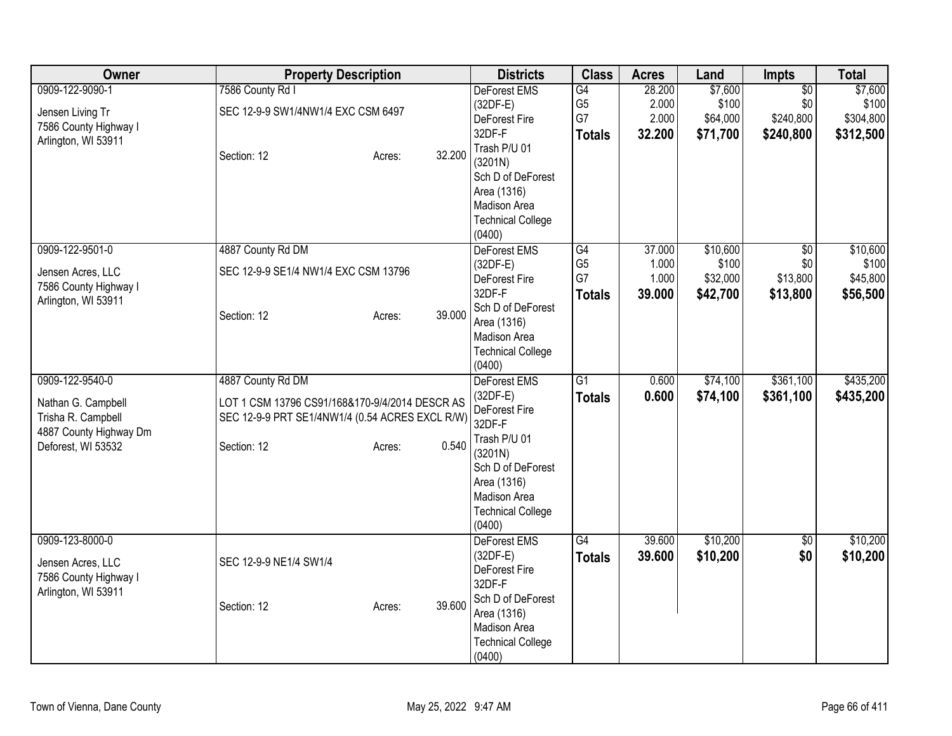| Owner                  | <b>Property Description</b>                     |                  | <b>Districts</b>                   | <b>Class</b>    | <b>Acres</b> | Land     | <b>Impts</b>    | <b>Total</b> |
|------------------------|-------------------------------------------------|------------------|------------------------------------|-----------------|--------------|----------|-----------------|--------------|
| 0909-122-9090-1        | 7586 County Rd I                                |                  | <b>DeForest EMS</b>                | G4              | 28.200       | \$7,600  | $\overline{50}$ | \$7,600      |
| Jensen Living Tr       | SEC 12-9-9 SW1/4NW1/4 EXC CSM 6497              |                  | $(32DF-E)$                         | G <sub>5</sub>  | 2.000        | \$100    | \$0             | \$100        |
| 7586 County Highway I  |                                                 |                  | DeForest Fire                      | G7              | 2.000        | \$64,000 | \$240,800       | \$304,800    |
| Arlington, WI 53911    |                                                 |                  | 32DF-F                             | <b>Totals</b>   | 32.200       | \$71,700 | \$240,800       | \$312,500    |
|                        | Section: 12                                     | 32.200<br>Acres: | Trash P/U 01                       |                 |              |          |                 |              |
|                        |                                                 |                  | (3201N)                            |                 |              |          |                 |              |
|                        |                                                 |                  | Sch D of DeForest                  |                 |              |          |                 |              |
|                        |                                                 |                  | Area (1316)                        |                 |              |          |                 |              |
|                        |                                                 |                  | Madison Area                       |                 |              |          |                 |              |
|                        |                                                 |                  | <b>Technical College</b>           |                 |              |          |                 |              |
|                        |                                                 |                  | (0400)                             |                 |              |          |                 |              |
| 0909-122-9501-0        | 4887 County Rd DM                               |                  | DeForest EMS                       | G4              | 37.000       | \$10,600 | $\overline{30}$ | \$10,600     |
| Jensen Acres, LLC      | SEC 12-9-9 SE1/4 NW1/4 EXC CSM 13796            |                  | $(32DF-E)$                         | G <sub>5</sub>  | 1.000        | \$100    | \$0             | \$100        |
| 7586 County Highway I  |                                                 |                  | DeForest Fire                      | G7              | 1.000        | \$32,000 | \$13,800        | \$45,800     |
| Arlington, WI 53911    |                                                 |                  | 32DF-F                             | <b>Totals</b>   | 39.000       | \$42,700 | \$13,800        | \$56,500     |
|                        | Section: 12                                     | 39.000<br>Acres: | Sch D of DeForest                  |                 |              |          |                 |              |
|                        |                                                 |                  | Area (1316)                        |                 |              |          |                 |              |
|                        |                                                 |                  | Madison Area                       |                 |              |          |                 |              |
|                        |                                                 |                  | <b>Technical College</b>           |                 |              |          |                 |              |
|                        |                                                 |                  | (0400)                             |                 |              |          |                 |              |
| 0909-122-9540-0        | 4887 County Rd DM                               |                  | <b>DeForest EMS</b>                | $\overline{G1}$ | 0.600        | \$74,100 | \$361,100       | \$435,200    |
| Nathan G. Campbell     | LOT 1 CSM 13796 CS91/168&170-9/4/2014 DESCR AS  |                  | $(32DF-E)$                         | <b>Totals</b>   | 0.600        | \$74,100 | \$361,100       | \$435,200    |
| Trisha R. Campbell     | SEC 12-9-9 PRT SE1/4NW1/4 (0.54 ACRES EXCL R/W) |                  | DeForest Fire<br>32DF-F            |                 |              |          |                 |              |
| 4887 County Highway Dm |                                                 |                  |                                    |                 |              |          |                 |              |
| Deforest, WI 53532     | Section: 12                                     | 0.540<br>Acres:  | Trash P/U 01                       |                 |              |          |                 |              |
|                        |                                                 |                  | (3201N)                            |                 |              |          |                 |              |
|                        |                                                 |                  | Sch D of DeForest                  |                 |              |          |                 |              |
|                        |                                                 |                  | Area (1316)<br>Madison Area        |                 |              |          |                 |              |
|                        |                                                 |                  |                                    |                 |              |          |                 |              |
|                        |                                                 |                  | <b>Technical College</b><br>(0400) |                 |              |          |                 |              |
| 0909-123-8000-0        |                                                 |                  | <b>DeForest EMS</b>                | G4              | 39.600       | \$10,200 | $\sqrt{6}$      | \$10,200     |
|                        |                                                 |                  | $(32DF-E)$                         |                 | 39.600       |          | \$0             |              |
| Jensen Acres, LLC      | SEC 12-9-9 NE1/4 SW1/4                          |                  | DeForest Fire                      | <b>Totals</b>   |              | \$10,200 |                 | \$10,200     |
| 7586 County Highway I  |                                                 |                  | 32DF-F                             |                 |              |          |                 |              |
| Arlington, WI 53911    |                                                 |                  | Sch D of DeForest                  |                 |              |          |                 |              |
|                        | Section: 12                                     | 39.600<br>Acres: | Area (1316)                        |                 |              |          |                 |              |
|                        |                                                 |                  | Madison Area                       |                 |              |          |                 |              |
|                        |                                                 |                  | <b>Technical College</b>           |                 |              |          |                 |              |
|                        |                                                 |                  | (0400)                             |                 |              |          |                 |              |
|                        |                                                 |                  |                                    |                 |              |          |                 |              |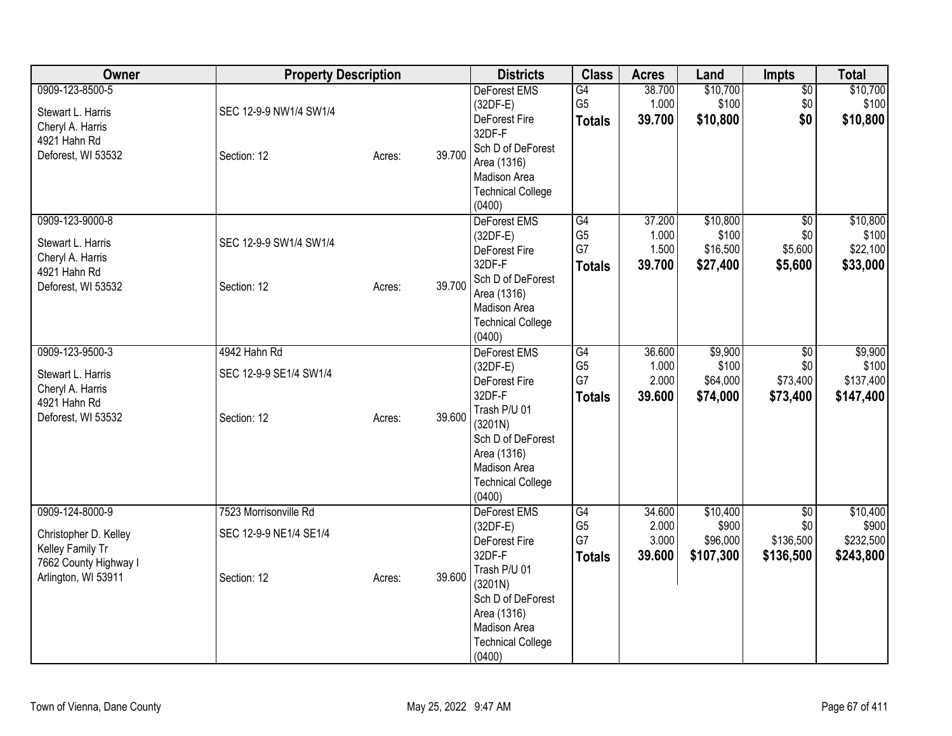| Owner                                                                                                        | <b>Property Description</b>                                    |        |        | <b>Districts</b>                                                                                                                                                                | <b>Class</b>                                | <b>Acres</b>                       | Land                                       | Impts                                            | <b>Total</b>                                |
|--------------------------------------------------------------------------------------------------------------|----------------------------------------------------------------|--------|--------|---------------------------------------------------------------------------------------------------------------------------------------------------------------------------------|---------------------------------------------|------------------------------------|--------------------------------------------|--------------------------------------------------|---------------------------------------------|
| 0909-123-8500-5<br>Stewart L. Harris<br>Cheryl A. Harris<br>4921 Hahn Rd<br>Deforest, WI 53532               | SEC 12-9-9 NW1/4 SW1/4<br>Section: 12                          | Acres: | 39.700 | <b>DeForest EMS</b><br>$(32DF-E)$<br>DeForest Fire<br>32DF-F<br>Sch D of DeForest<br>Area (1316)<br>Madison Area<br><b>Technical College</b><br>(0400)                          | G4<br>G <sub>5</sub><br><b>Totals</b>       | 38.700<br>1.000<br>39.700          | \$10,700<br>\$100<br>\$10,800              | $\overline{50}$<br>\$0<br>\$0                    | \$10,700<br>\$100<br>\$10,800               |
| 0909-123-9000-8<br>Stewart L. Harris<br>Cheryl A. Harris<br>4921 Hahn Rd<br>Deforest, WI 53532               | SEC 12-9-9 SW1/4 SW1/4<br>Section: 12                          | Acres: | 39.700 | DeForest EMS<br>$(32DF-E)$<br>DeForest Fire<br>32DF-F<br>Sch D of DeForest<br>Area (1316)<br>Madison Area<br><b>Technical College</b><br>(0400)                                 | G4<br>G <sub>5</sub><br>G7<br><b>Totals</b> | 37.200<br>1.000<br>1.500<br>39.700 | \$10,800<br>\$100<br>\$16,500<br>\$27,400  | $\overline{50}$<br>\$0<br>\$5,600<br>\$5,600     | \$10,800<br>\$100<br>\$22,100<br>\$33,000   |
| 0909-123-9500-3<br>Stewart L. Harris<br>Cheryl A. Harris<br>4921 Hahn Rd<br>Deforest, WI 53532               | 4942 Hahn Rd<br>SEC 12-9-9 SE1/4 SW1/4<br>Section: 12          | Acres: | 39.600 | DeForest EMS<br>$(32DF-E)$<br>DeForest Fire<br>32DF-F<br>Trash P/U 01<br>(3201N)<br>Sch D of DeForest<br>Area (1316)<br>Madison Area<br><b>Technical College</b><br>(0400)      | G4<br>G <sub>5</sub><br>G7<br><b>Totals</b> | 36.600<br>1.000<br>2.000<br>39.600 | \$9,900<br>\$100<br>\$64,000<br>\$74,000   | $\overline{50}$<br>\$0<br>\$73,400<br>\$73,400   | \$9,900<br>\$100<br>\$137,400<br>\$147,400  |
| 0909-124-8000-9<br>Christopher D. Kelley<br>Kelley Family Tr<br>7662 County Highway I<br>Arlington, WI 53911 | 7523 Morrisonville Rd<br>SEC 12-9-9 NE1/4 SE1/4<br>Section: 12 | Acres: | 39.600 | <b>DeForest EMS</b><br>(32DF-E)<br>DeForest Fire<br>32DF-F<br>Trash P/U 01<br>(3201N)<br>Sch D of DeForest<br>Area (1316)<br>Madison Area<br><b>Technical College</b><br>(0400) | G4<br>G <sub>5</sub><br>G7<br><b>Totals</b> | 34.600<br>2.000<br>3.000<br>39.600 | \$10,400<br>\$900<br>\$96,000<br>\$107,300 | $\overline{60}$<br>\$0<br>\$136,500<br>\$136,500 | \$10,400<br>\$900<br>\$232,500<br>\$243,800 |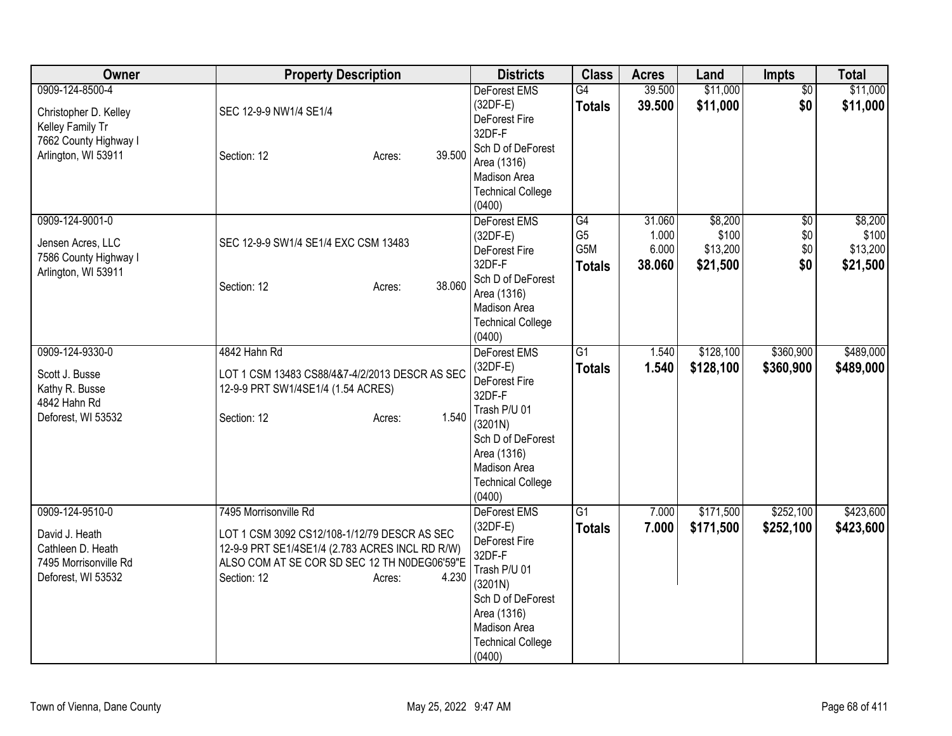| Owner                                                                                                        | <b>Property Description</b>                                                                                                                                                                                | <b>Districts</b>                                                                                                                                                                  | <b>Class</b>                                 | <b>Acres</b>                       | Land                                     | <b>Impts</b>                     | <b>Total</b>                             |
|--------------------------------------------------------------------------------------------------------------|------------------------------------------------------------------------------------------------------------------------------------------------------------------------------------------------------------|-----------------------------------------------------------------------------------------------------------------------------------------------------------------------------------|----------------------------------------------|------------------------------------|------------------------------------------|----------------------------------|------------------------------------------|
| 0909-124-8500-4<br>Christopher D. Kelley<br>Kelley Family Tr<br>7662 County Highway I<br>Arlington, WI 53911 | SEC 12-9-9 NW1/4 SE1/4<br>39.500<br>Section: 12<br>Acres:                                                                                                                                                  | DeForest EMS<br>$(32DF-E)$<br>DeForest Fire<br>32DF-F<br>Sch D of DeForest<br>Area (1316)<br>Madison Area<br><b>Technical College</b><br>(0400)                                   | G4<br><b>Totals</b>                          | 39.500<br>39.500                   | \$11,000<br>\$11,000                     | $\overline{50}$<br>\$0           | \$11,000<br>\$11,000                     |
| 0909-124-9001-0<br>Jensen Acres, LLC<br>7586 County Highway I<br>Arlington, WI 53911                         | SEC 12-9-9 SW1/4 SE1/4 EXC CSM 13483<br>38.060<br>Section: 12<br>Acres:                                                                                                                                    | <b>DeForest EMS</b><br>$(32DF-E)$<br>DeForest Fire<br>32DF-F<br>Sch D of DeForest<br>Area (1316)<br>Madison Area<br><b>Technical College</b><br>(0400)                            | G4<br>G <sub>5</sub><br>G5M<br><b>Totals</b> | 31.060<br>1.000<br>6.000<br>38.060 | \$8,200<br>\$100<br>\$13,200<br>\$21,500 | $\sqrt{$0}$<br>\$0<br>\$0<br>\$0 | \$8,200<br>\$100<br>\$13,200<br>\$21,500 |
| 0909-124-9330-0<br>Scott J. Busse<br>Kathy R. Busse<br>4842 Hahn Rd<br>Deforest, WI 53532                    | 4842 Hahn Rd<br>LOT 1 CSM 13483 CS88/4&7-4/2/2013 DESCR AS SEC<br>12-9-9 PRT SW1/4SE1/4 (1.54 ACRES)<br>1.540<br>Section: 12<br>Acres:                                                                     | DeForest EMS<br>$(32DF-E)$<br><b>DeForest Fire</b><br>32DF-F<br>Trash P/U 01<br>(3201N)<br>Sch D of DeForest<br>Area (1316)<br>Madison Area<br><b>Technical College</b><br>(0400) | G1<br><b>Totals</b>                          | 1.540<br>1.540                     | \$128,100<br>\$128,100                   | \$360,900<br>\$360,900           | \$489,000<br>\$489,000                   |
| 0909-124-9510-0<br>David J. Heath<br>Cathleen D. Heath<br>7495 Morrisonville Rd<br>Deforest, WI 53532        | 7495 Morrisonville Rd<br>LOT 1 CSM 3092 CS12/108-1/12/79 DESCR AS SEC<br>12-9-9 PRT SE1/4SE1/4 (2.783 ACRES INCL RD R/W)<br>ALSO COM AT SE COR SD SEC 12 TH N0DEG06'59"E<br>4.230<br>Section: 12<br>Acres: | DeForest EMS<br>$(32DF-E)$<br><b>DeForest Fire</b><br>32DF-F<br>Trash P/U 01<br>(3201N)<br>Sch D of DeForest<br>Area (1316)<br>Madison Area<br><b>Technical College</b><br>(0400) | G1<br><b>Totals</b>                          | 7.000<br>7.000                     | \$171,500<br>\$171,500                   | \$252,100<br>\$252,100           | \$423,600<br>\$423,600                   |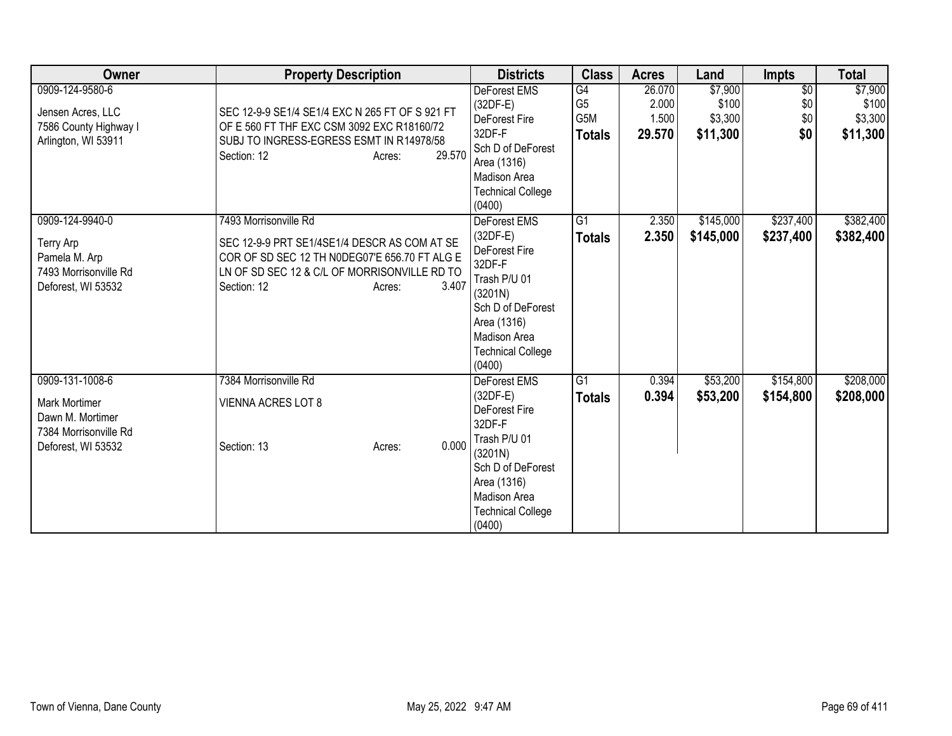| Owner                                                                                               | <b>Property Description</b>                                                                                                                                                                              | <b>Districts</b>                                                                                                                                                                  | <b>Class</b>                                              | <b>Acres</b>                       | Land                                    | <b>Impts</b>                         | <b>Total</b>                            |
|-----------------------------------------------------------------------------------------------------|----------------------------------------------------------------------------------------------------------------------------------------------------------------------------------------------------------|-----------------------------------------------------------------------------------------------------------------------------------------------------------------------------------|-----------------------------------------------------------|------------------------------------|-----------------------------------------|--------------------------------------|-----------------------------------------|
| 0909-124-9580-6<br>Jensen Acres, LLC<br>7586 County Highway I<br>Arlington, WI 53911                | SEC 12-9-9 SE1/4 SE1/4 EXC N 265 FT OF S 921 FT<br>OF E 560 FT THF EXC CSM 3092 EXC R18160/72<br>SUBJ TO INGRESS-EGRESS ESMT IN R14978/58<br>29.570<br>Section: 12<br>Acres:                             | <b>DeForest EMS</b><br>$(32DF-E)$<br>DeForest Fire<br>32DF-F<br>Sch D of DeForest<br>Area (1316)<br>Madison Area<br><b>Technical College</b><br>(0400)                            | $\overline{G4}$<br>G <sub>5</sub><br>G5M<br><b>Totals</b> | 26.070<br>2.000<br>1.500<br>29.570 | \$7,900<br>\$100<br>\$3,300<br>\$11,300 | $\overline{50}$<br>\$0<br>\$0<br>\$0 | \$7,900<br>\$100<br>\$3,300<br>\$11,300 |
| 0909-124-9940-0<br>Terry Arp<br>Pamela M. Arp<br>7493 Morrisonville Rd<br>Deforest, WI 53532        | 7493 Morrisonville Rd<br>SEC 12-9-9 PRT SE1/4SE1/4 DESCR AS COM AT SE<br>COR OF SD SEC 12 TH N0DEG07'E 656.70 FT ALG E<br>LN OF SD SEC 12 & C/L OF MORRISONVILLE RD TO<br>3.407<br>Section: 12<br>Acres: | DeForest EMS<br>$(32DF-E)$<br>DeForest Fire<br>32DF-F<br>Trash P/U 01<br>(3201N)<br>Sch D of DeForest<br>Area (1316)<br><b>Madison Area</b><br><b>Technical College</b><br>(0400) | G1<br><b>Totals</b>                                       | 2.350<br>2.350                     | \$145,000<br>\$145,000                  | \$237,400<br>\$237,400               | \$382,400<br>\$382,400                  |
| 0909-131-1008-6<br>Mark Mortimer<br>Dawn M. Mortimer<br>7384 Morrisonville Rd<br>Deforest, WI 53532 | 7384 Morrisonville Rd<br><b>VIENNA ACRES LOT 8</b><br>0.000<br>Section: 13<br>Acres:                                                                                                                     | <b>DeForest EMS</b><br>$(32DF-E)$<br>DeForest Fire<br>32DF-F<br>Trash P/U 01<br>(3201N)<br>Sch D of DeForest<br>Area (1316)<br>Madison Area<br><b>Technical College</b><br>(0400) | G1<br><b>Totals</b>                                       | 0.394<br>0.394                     | \$53,200<br>\$53,200                    | \$154,800<br>\$154,800               | \$208,000<br>\$208,000                  |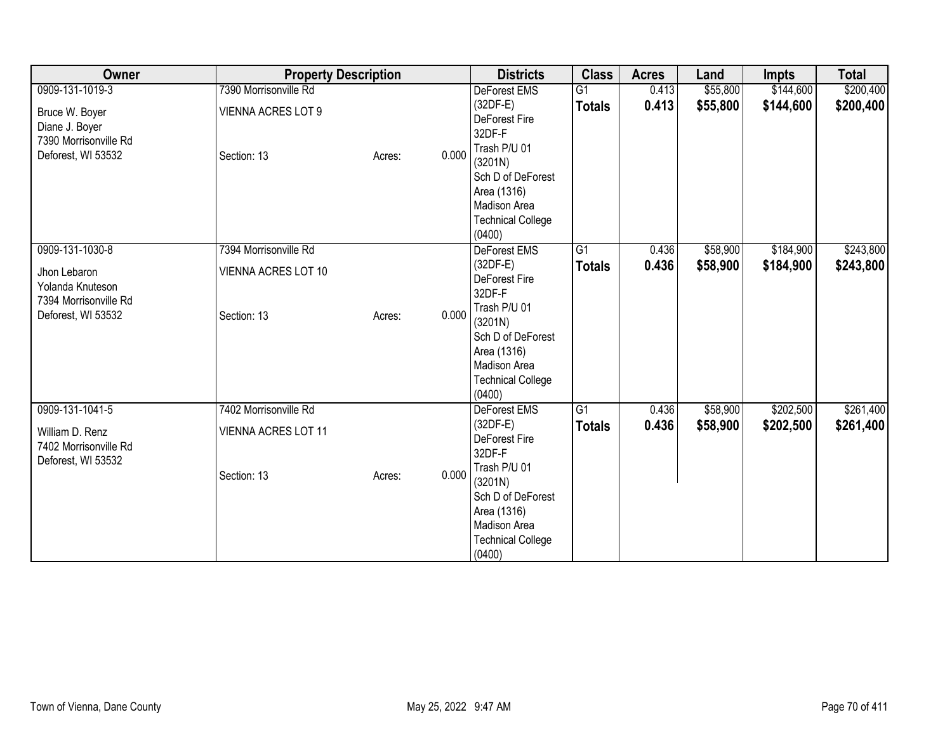| Owner                                                                                              | <b>Property Description</b>                                        |        |       | <b>Districts</b>                                                                                                                                                                | <b>Class</b>                     | <b>Acres</b>   | Land                 | Impts                  | <b>Total</b>           |
|----------------------------------------------------------------------------------------------------|--------------------------------------------------------------------|--------|-------|---------------------------------------------------------------------------------------------------------------------------------------------------------------------------------|----------------------------------|----------------|----------------------|------------------------|------------------------|
| 0909-131-1019-3<br>Bruce W. Boyer<br>Diane J. Boyer<br>7390 Morrisonville Rd<br>Deforest, WI 53532 | 7390 Morrisonville Rd<br><b>VIENNA ACRES LOT 9</b><br>Section: 13  | Acres: | 0.000 | DeForest EMS<br>(32DF-E)<br>DeForest Fire<br>32DF-F<br>Trash P/U 01<br>(3201N)<br>Sch D of DeForest<br>Area (1316)<br>Madison Area<br><b>Technical College</b><br>(0400)        | $\overline{G1}$<br><b>Totals</b> | 0.413<br>0.413 | \$55,800<br>\$55,800 | \$144,600<br>\$144,600 | \$200,400<br>\$200,400 |
| 0909-131-1030-8<br>Jhon Lebaron<br>Yolanda Knuteson<br>7394 Morrisonville Rd<br>Deforest, WI 53532 | 7394 Morrisonville Rd<br>VIENNA ACRES LOT 10<br>Section: 13        | Acres: | 0.000 | DeForest EMS<br>(32DF-E)<br>DeForest Fire<br>32DF-F<br>Trash P/U 01<br>(3201N)<br>Sch D of DeForest<br>Area (1316)<br><b>Madison Area</b><br><b>Technical College</b><br>(0400) | $\overline{G1}$<br><b>Totals</b> | 0.436<br>0.436 | \$58,900<br>\$58,900 | \$184,900<br>\$184,900 | \$243,800<br>\$243,800 |
| 0909-131-1041-5<br>William D. Renz<br>7402 Morrisonville Rd<br>Deforest, WI 53532                  | 7402 Morrisonville Rd<br><b>VIENNA ACRES LOT 11</b><br>Section: 13 | Acres: | 0.000 | <b>DeForest EMS</b><br>(32DF-E)<br>DeForest Fire<br>32DF-F<br>Trash P/U 01<br>(3201N)<br>Sch D of DeForest<br>Area (1316)<br>Madison Area<br><b>Technical College</b><br>(0400) | $\overline{G1}$<br><b>Totals</b> | 0.436<br>0.436 | \$58,900<br>\$58,900 | \$202,500<br>\$202,500 | \$261,400<br>\$261,400 |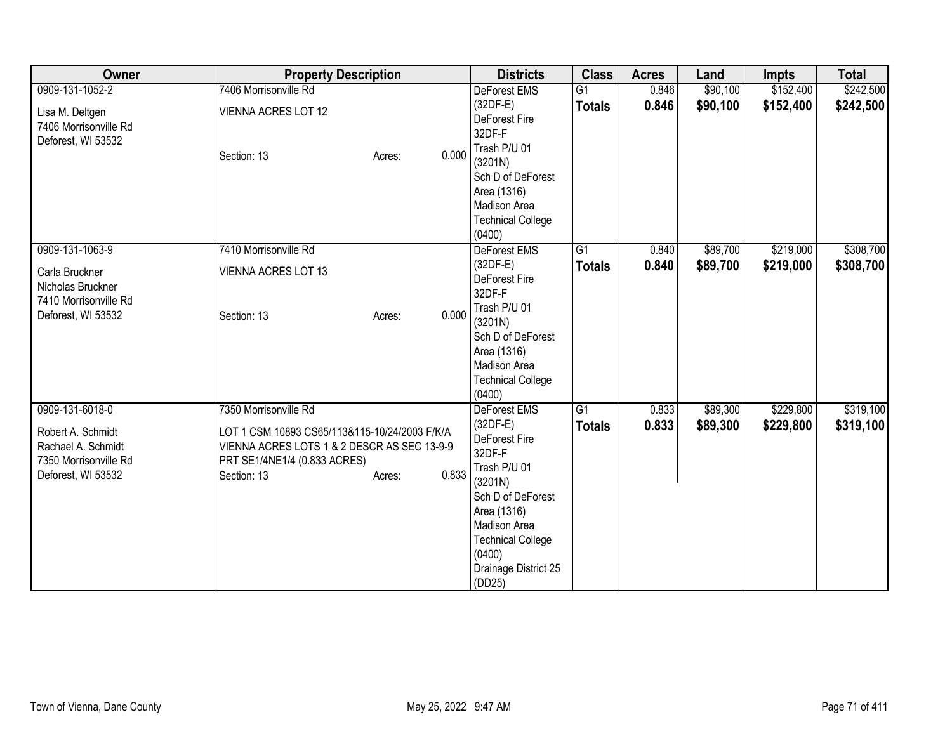| Owner                 | <b>Property Description</b>                   |                 | <b>Districts</b>            | <b>Class</b>    | <b>Acres</b> | Land     | <b>Impts</b> | <b>Total</b> |
|-----------------------|-----------------------------------------------|-----------------|-----------------------------|-----------------|--------------|----------|--------------|--------------|
| 0909-131-1052-2       | 7406 Morrisonville Rd                         |                 | <b>DeForest EMS</b>         | G1              | 0.846        | \$90,100 | \$152,400    | \$242,500    |
| Lisa M. Deltgen       | <b>VIENNA ACRES LOT 12</b>                    |                 | $(32DF-E)$                  | <b>Totals</b>   | 0.846        | \$90,100 | \$152,400    | \$242,500    |
| 7406 Morrisonville Rd |                                               |                 | DeForest Fire               |                 |              |          |              |              |
| Deforest, WI 53532    |                                               |                 | 32DF-F                      |                 |              |          |              |              |
|                       | Section: 13                                   | 0.000<br>Acres: | Trash P/U 01                |                 |              |          |              |              |
|                       |                                               |                 | (3201N)                     |                 |              |          |              |              |
|                       |                                               |                 | Sch D of DeForest           |                 |              |          |              |              |
|                       |                                               |                 | Area (1316)<br>Madison Area |                 |              |          |              |              |
|                       |                                               |                 | <b>Technical College</b>    |                 |              |          |              |              |
|                       |                                               |                 | (0400)                      |                 |              |          |              |              |
| 0909-131-1063-9       | 7410 Morrisonville Rd                         |                 | DeForest EMS                | $\overline{G1}$ | 0.840        | \$89,700 | \$219,000    | \$308,700    |
|                       |                                               |                 | $(32DF-E)$                  | <b>Totals</b>   | 0.840        | \$89,700 | \$219,000    | \$308,700    |
| Carla Bruckner        | <b>VIENNA ACRES LOT 13</b>                    |                 | DeForest Fire               |                 |              |          |              |              |
| Nicholas Bruckner     |                                               |                 | 32DF-F                      |                 |              |          |              |              |
| 7410 Morrisonville Rd |                                               |                 | Trash P/U 01                |                 |              |          |              |              |
| Deforest, WI 53532    | Section: 13                                   | 0.000<br>Acres: | (3201N)                     |                 |              |          |              |              |
|                       |                                               |                 | Sch D of DeForest           |                 |              |          |              |              |
|                       |                                               |                 | Area (1316)                 |                 |              |          |              |              |
|                       |                                               |                 | Madison Area                |                 |              |          |              |              |
|                       |                                               |                 | <b>Technical College</b>    |                 |              |          |              |              |
|                       |                                               |                 | (0400)                      |                 |              |          |              |              |
| 0909-131-6018-0       | 7350 Morrisonville Rd                         |                 | <b>DeForest EMS</b>         | $\overline{G1}$ | 0.833        | \$89,300 | \$229,800    | \$319,100    |
| Robert A. Schmidt     | LOT 1 CSM 10893 CS65/113&115-10/24/2003 F/K/A |                 | $(32DF-E)$                  | <b>Totals</b>   | 0.833        | \$89,300 | \$229,800    | \$319,100    |
| Rachael A. Schmidt    | VIENNA ACRES LOTS 1 & 2 DESCR AS SEC 13-9-9   |                 | DeForest Fire               |                 |              |          |              |              |
| 7350 Morrisonville Rd | PRT SE1/4NE1/4 (0.833 ACRES)                  |                 | 32DF-F<br>Trash P/U 01      |                 |              |          |              |              |
| Deforest, WI 53532    | Section: 13                                   | 0.833<br>Acres: | (3201N)                     |                 |              |          |              |              |
|                       |                                               |                 | Sch D of DeForest           |                 |              |          |              |              |
|                       |                                               |                 | Area (1316)                 |                 |              |          |              |              |
|                       |                                               |                 | Madison Area                |                 |              |          |              |              |
|                       |                                               |                 | <b>Technical College</b>    |                 |              |          |              |              |
|                       |                                               |                 | (0400)                      |                 |              |          |              |              |
|                       |                                               |                 | Drainage District 25        |                 |              |          |              |              |
|                       |                                               |                 | (DD25)                      |                 |              |          |              |              |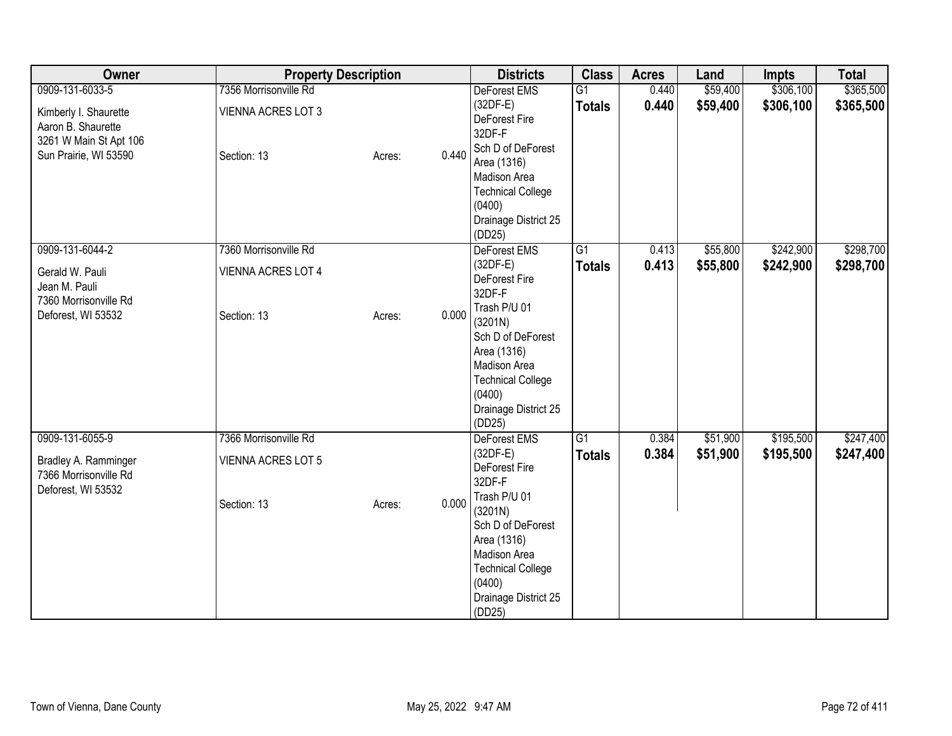| Owner                                                                                                             | <b>Property Description</b>                                       |        |       | <b>Districts</b>                                                                                                                                                                                                    | <b>Class</b>                     | <b>Acres</b>   | Land                 | <b>Impts</b>           | <b>Total</b>           |
|-------------------------------------------------------------------------------------------------------------------|-------------------------------------------------------------------|--------|-------|---------------------------------------------------------------------------------------------------------------------------------------------------------------------------------------------------------------------|----------------------------------|----------------|----------------------|------------------------|------------------------|
| 0909-131-6033-5<br>Kimberly I. Shaurette<br>Aaron B. Shaurette<br>3261 W Main St Apt 106<br>Sun Prairie, WI 53590 | 7356 Morrisonville Rd<br><b>VIENNA ACRES LOT 3</b><br>Section: 13 | Acres: | 0.440 | DeForest EMS<br>$(32DF-E)$<br>DeForest Fire<br>32DF-F<br>Sch D of DeForest<br>Area (1316)<br>Madison Area<br><b>Technical College</b><br>(0400)<br>Drainage District 25<br>(DD25)                                   | $\overline{G1}$<br><b>Totals</b> | 0.440<br>0.440 | \$59,400<br>\$59,400 | \$306,100<br>\$306,100 | \$365,500<br>\$365,500 |
| 0909-131-6044-2<br>Gerald W. Pauli<br>Jean M. Pauli<br>7360 Morrisonville Rd<br>Deforest, WI 53532                | 7360 Morrisonville Rd<br>VIENNA ACRES LOT 4<br>Section: 13        | Acres: | 0.000 | DeForest EMS<br>(32DF-E)<br>DeForest Fire<br>32DF-F<br>Trash P/U 01<br>(3201N)<br>Sch D of DeForest<br>Area (1316)<br>Madison Area<br><b>Technical College</b><br>(0400)<br>Drainage District 25<br>(DD25)          | $\overline{G1}$<br><b>Totals</b> | 0.413<br>0.413 | \$55,800<br>\$55,800 | \$242,900<br>\$242,900 | \$298,700<br>\$298,700 |
| 0909-131-6055-9<br>Bradley A. Ramminger<br>7366 Morrisonville Rd<br>Deforest, WI 53532                            | 7366 Morrisonville Rd<br><b>VIENNA ACRES LOT 5</b><br>Section: 13 | Acres: | 0.000 | <b>DeForest EMS</b><br>$(32DF-E)$<br>DeForest Fire<br>32DF-F<br>Trash P/U 01<br>(3201N)<br>Sch D of DeForest<br>Area (1316)<br>Madison Area<br><b>Technical College</b><br>(0400)<br>Drainage District 25<br>(DD25) | $\overline{G1}$<br><b>Totals</b> | 0.384<br>0.384 | \$51,900<br>\$51,900 | \$195,500<br>\$195,500 | \$247,400<br>\$247,400 |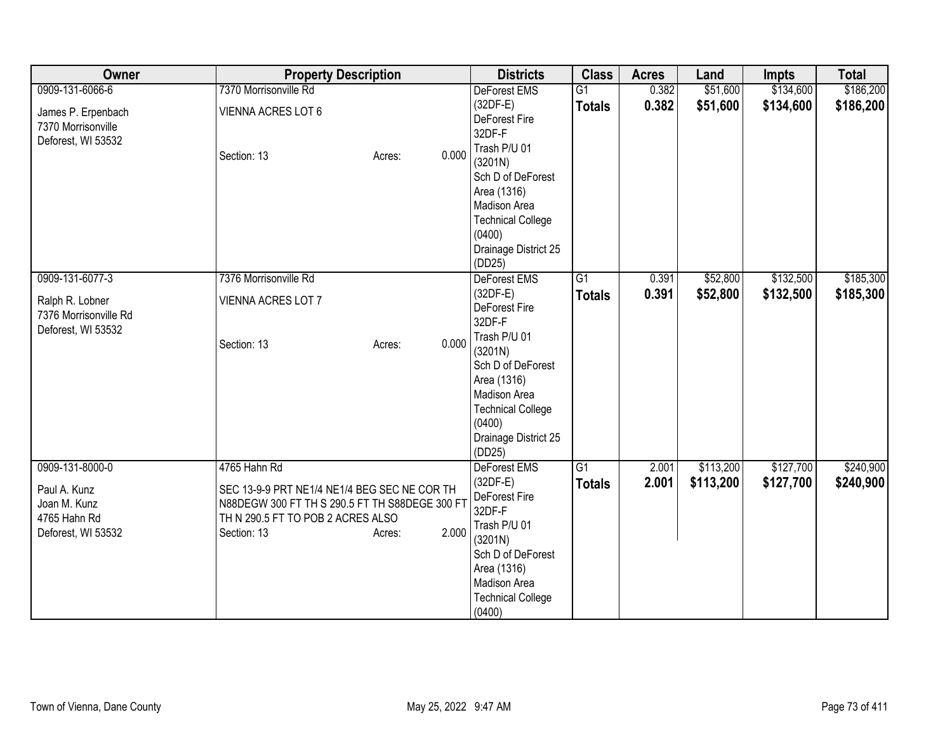| Owner                 | <b>Property Description</b>                    |                 | <b>Districts</b>                   | <b>Class</b>    | <b>Acres</b> | Land      | <b>Impts</b> | <b>Total</b> |
|-----------------------|------------------------------------------------|-----------------|------------------------------------|-----------------|--------------|-----------|--------------|--------------|
| 0909-131-6066-6       | 7370 Morrisonville Rd                          |                 | <b>DeForest EMS</b>                | $\overline{G1}$ | 0.382        | \$51,600  | \$134,600    | \$186,200    |
| James P. Erpenbach    | VIENNA ACRES LOT 6                             |                 | $(32DF-E)$                         | <b>Totals</b>   | 0.382        | \$51,600  | \$134,600    | \$186,200    |
| 7370 Morrisonville    |                                                |                 | DeForest Fire                      |                 |              |           |              |              |
| Deforest, WI 53532    |                                                |                 | 32DF-F                             |                 |              |           |              |              |
|                       | Section: 13                                    | 0.000<br>Acres: | Trash P/U 01                       |                 |              |           |              |              |
|                       |                                                |                 | (3201N)                            |                 |              |           |              |              |
|                       |                                                |                 | Sch D of DeForest                  |                 |              |           |              |              |
|                       |                                                |                 | Area (1316)<br>Madison Area        |                 |              |           |              |              |
|                       |                                                |                 |                                    |                 |              |           |              |              |
|                       |                                                |                 | <b>Technical College</b><br>(0400) |                 |              |           |              |              |
|                       |                                                |                 | Drainage District 25               |                 |              |           |              |              |
|                       |                                                |                 | (DD25)                             |                 |              |           |              |              |
| 0909-131-6077-3       | 7376 Morrisonville Rd                          |                 | DeForest EMS                       | G1              | 0.391        | \$52,800  | \$132,500    | \$185,300    |
|                       |                                                |                 | $(32DF-E)$                         | <b>Totals</b>   | 0.391        | \$52,800  | \$132,500    | \$185,300    |
| Ralph R. Lobner       | <b>VIENNA ACRES LOT 7</b>                      |                 | DeForest Fire                      |                 |              |           |              |              |
| 7376 Morrisonville Rd |                                                |                 | 32DF-F                             |                 |              |           |              |              |
| Deforest, WI 53532    |                                                |                 | Trash P/U 01                       |                 |              |           |              |              |
|                       | Section: 13                                    | 0.000<br>Acres: | (3201N)                            |                 |              |           |              |              |
|                       |                                                |                 | Sch D of DeForest                  |                 |              |           |              |              |
|                       |                                                |                 | Area (1316)                        |                 |              |           |              |              |
|                       |                                                |                 | Madison Area                       |                 |              |           |              |              |
|                       |                                                |                 | <b>Technical College</b>           |                 |              |           |              |              |
|                       |                                                |                 | (0400)                             |                 |              |           |              |              |
|                       |                                                |                 | Drainage District 25               |                 |              |           |              |              |
|                       |                                                |                 | (DD25)                             |                 |              |           |              |              |
| 0909-131-8000-0       | 4765 Hahn Rd                                   |                 | DeForest EMS                       | G1              | 2.001        | \$113,200 | \$127,700    | \$240,900    |
| Paul A. Kunz          | SEC 13-9-9 PRT NE1/4 NE1/4 BEG SEC NE COR TH   |                 | $(32DF-E)$                         | <b>Totals</b>   | 2.001        | \$113,200 | \$127,700    | \$240,900    |
| Joan M. Kunz          | N88DEGW 300 FT TH S 290.5 FT TH S88DEGE 300 FT |                 | DeForest Fire                      |                 |              |           |              |              |
| 4765 Hahn Rd          | TH N 290.5 FT TO POB 2 ACRES ALSO              |                 | 32DF-F                             |                 |              |           |              |              |
| Deforest, WI 53532    | Section: 13                                    | 2.000<br>Acres: | Trash P/U 01                       |                 |              |           |              |              |
|                       |                                                |                 | (3201N)<br>Sch D of DeForest       |                 |              |           |              |              |
|                       |                                                |                 | Area (1316)                        |                 |              |           |              |              |
|                       |                                                |                 | Madison Area                       |                 |              |           |              |              |
|                       |                                                |                 | <b>Technical College</b>           |                 |              |           |              |              |
|                       |                                                |                 | (0400)                             |                 |              |           |              |              |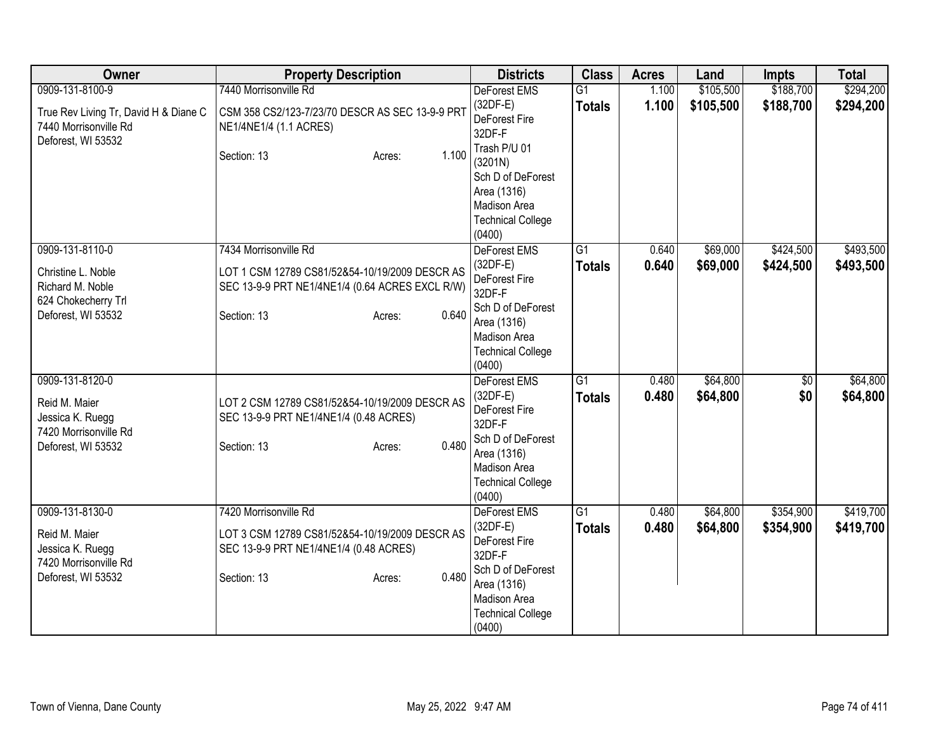| Owner                                                                                                   | <b>Property Description</b>                                                                                                                                  | <b>Districts</b>                                                                                                                                                           | <b>Class</b>                     | <b>Acres</b>   | Land                   | <b>Impts</b>           | <b>Total</b>           |
|---------------------------------------------------------------------------------------------------------|--------------------------------------------------------------------------------------------------------------------------------------------------------------|----------------------------------------------------------------------------------------------------------------------------------------------------------------------------|----------------------------------|----------------|------------------------|------------------------|------------------------|
| 0909-131-8100-9<br>True Rev Living Tr, David H & Diane C<br>7440 Morrisonville Rd<br>Deforest, WI 53532 | 7440 Morrisonville Rd<br>CSM 358 CS2/123-7/23/70 DESCR AS SEC 13-9-9 PRT<br>NE1/4NE1/4 (1.1 ACRES)<br>1.100<br>Section: 13<br>Acres:                         | DeForest EMS<br>$(32DF-E)$<br>DeForest Fire<br>32DF-F<br>Trash P/U 01<br>(3201N)<br>Sch D of DeForest<br>Area (1316)<br>Madison Area<br><b>Technical College</b><br>(0400) | $\overline{G1}$<br><b>Totals</b> | 1.100<br>1.100 | \$105,500<br>\$105,500 | \$188,700<br>\$188,700 | \$294,200<br>\$294,200 |
| 0909-131-8110-0<br>Christine L. Noble<br>Richard M. Noble<br>624 Chokecherry Trl<br>Deforest, WI 53532  | 7434 Morrisonville Rd<br>LOT 1 CSM 12789 CS81/52&54-10/19/2009 DESCR AS<br>SEC 13-9-9 PRT NE1/4NE1/4 (0.64 ACRES EXCL R/W)<br>0.640<br>Section: 13<br>Acres: | DeForest EMS<br>$(32DF-E)$<br>DeForest Fire<br>32DF-F<br>Sch D of DeForest<br>Area (1316)<br>Madison Area<br><b>Technical College</b><br>(0400)                            | $\overline{G1}$<br><b>Totals</b> | 0.640<br>0.640 | \$69,000<br>\$69,000   | \$424,500<br>\$424,500 | \$493,500<br>\$493,500 |
| 0909-131-8120-0<br>Reid M. Maier<br>Jessica K. Ruegg<br>7420 Morrisonville Rd<br>Deforest, WI 53532     | LOT 2 CSM 12789 CS81/52&54-10/19/2009 DESCR AS<br>SEC 13-9-9 PRT NE1/4NE1/4 (0.48 ACRES)<br>0.480<br>Section: 13<br>Acres:                                   | DeForest EMS<br>$(32DF-E)$<br>DeForest Fire<br>32DF-F<br>Sch D of DeForest<br>Area (1316)<br>Madison Area<br><b>Technical College</b><br>(0400)                            | $\overline{G1}$<br><b>Totals</b> | 0.480<br>0.480 | \$64,800<br>\$64,800   | \$0<br>\$0             | \$64,800<br>\$64,800   |
| 0909-131-8130-0<br>Reid M. Maier<br>Jessica K. Ruegg<br>7420 Morrisonville Rd<br>Deforest, WI 53532     | 7420 Morrisonville Rd<br>LOT 3 CSM 12789 CS81/52&54-10/19/2009 DESCR AS<br>SEC 13-9-9 PRT NE1/4NE1/4 (0.48 ACRES)<br>0.480<br>Section: 13<br>Acres:          | DeForest EMS<br>$(32DF-E)$<br>DeForest Fire<br>32DF-F<br>Sch D of DeForest<br>Area (1316)<br>Madison Area<br><b>Technical College</b><br>(0400)                            | $\overline{G1}$<br><b>Totals</b> | 0.480<br>0.480 | \$64,800<br>\$64,800   | \$354,900<br>\$354,900 | \$419,700<br>\$419,700 |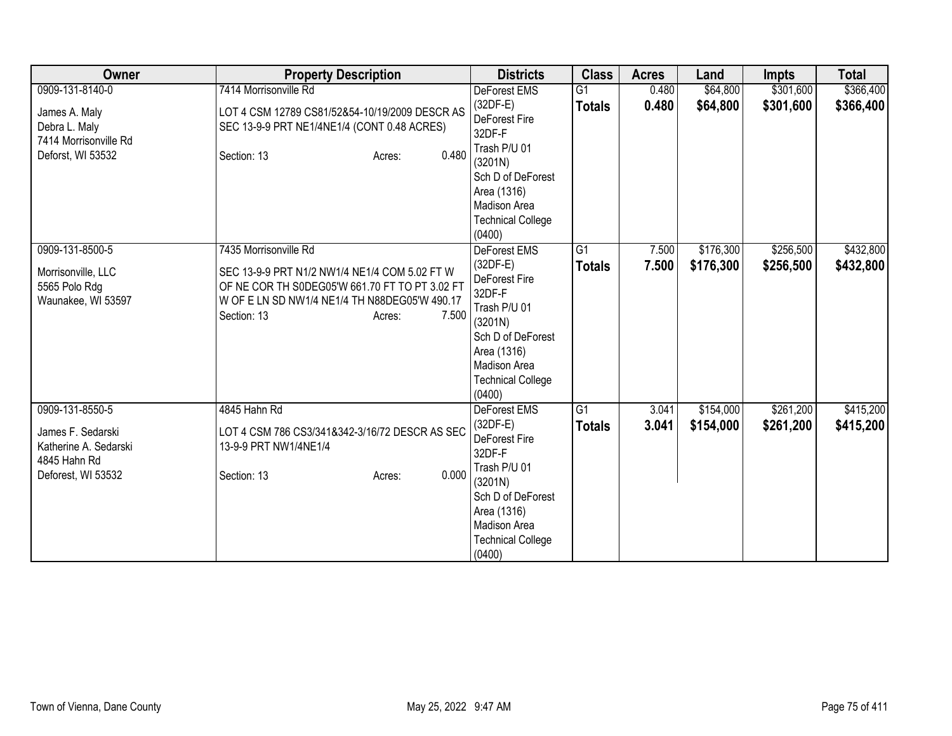| Owner                                                                                               | <b>Property Description</b>                                                                                                                                                                                 | <b>Districts</b>                                                                                                                                                                         | <b>Class</b>        | <b>Acres</b>   | Land                   | <b>Impts</b>           | <b>Total</b>           |
|-----------------------------------------------------------------------------------------------------|-------------------------------------------------------------------------------------------------------------------------------------------------------------------------------------------------------------|------------------------------------------------------------------------------------------------------------------------------------------------------------------------------------------|---------------------|----------------|------------------------|------------------------|------------------------|
| 0909-131-8140-0<br>James A. Maly<br>Debra L. Maly<br>7414 Morrisonville Rd<br>Deforst, WI 53532     | 7414 Morrisonville Rd<br>LOT 4 CSM 12789 CS81/52&54-10/19/2009 DESCR AS<br>SEC 13-9-9 PRT NE1/4NE1/4 (CONT 0.48 ACRES)<br>0.480<br>Section: 13<br>Acres:                                                    | <b>DeForest EMS</b><br>$(32DF-E)$<br>DeForest Fire<br>32DF-F<br>Trash P/U 01<br>(3201N)<br>Sch D of DeForest<br>Area (1316)<br><b>Madison Area</b><br><b>Technical College</b><br>(0400) | G1<br><b>Totals</b> | 0.480<br>0.480 | \$64,800<br>\$64,800   | \$301,600<br>\$301,600 | \$366,400<br>\$366,400 |
| 0909-131-8500-5<br>Morrisonville, LLC<br>5565 Polo Rdg<br>Waunakee, WI 53597                        | 7435 Morrisonville Rd<br>SEC 13-9-9 PRT N1/2 NW1/4 NE1/4 COM 5.02 FT W<br>OF NE COR TH S0DEG05'W 661.70 FT TO PT 3.02 FT<br>W OF E LN SD NW1/4 NE1/4 TH N88DEG05'W 490.17<br>Section: 13<br>7.500<br>Acres: | DeForest EMS<br>$(32DF-E)$<br>DeForest Fire<br>32DF-F<br>Trash P/U 01<br>(3201N)<br>Sch D of DeForest<br>Area (1316)<br>Madison Area<br><b>Technical College</b><br>(0400)               | G1<br><b>Totals</b> | 7.500<br>7.500 | \$176,300<br>\$176,300 | \$256,500<br>\$256,500 | \$432,800<br>\$432,800 |
| 0909-131-8550-5<br>James F. Sedarski<br>Katherine A. Sedarski<br>4845 Hahn Rd<br>Deforest, WI 53532 | 4845 Hahn Rd<br>LOT 4 CSM 786 CS3/341&342-3/16/72 DESCR AS SEC<br>13-9-9 PRT NW1/4NE1/4<br>0.000<br>Section: 13<br>Acres:                                                                                   | <b>DeForest EMS</b><br>$(32DF-E)$<br>DeForest Fire<br>32DF-F<br>Trash P/U 01<br>(3201N)<br>Sch D of DeForest<br>Area (1316)<br>Madison Area<br><b>Technical College</b><br>(0400)        | G1<br><b>Totals</b> | 3.041<br>3.041 | \$154,000<br>\$154,000 | \$261,200<br>\$261,200 | \$415,200<br>\$415,200 |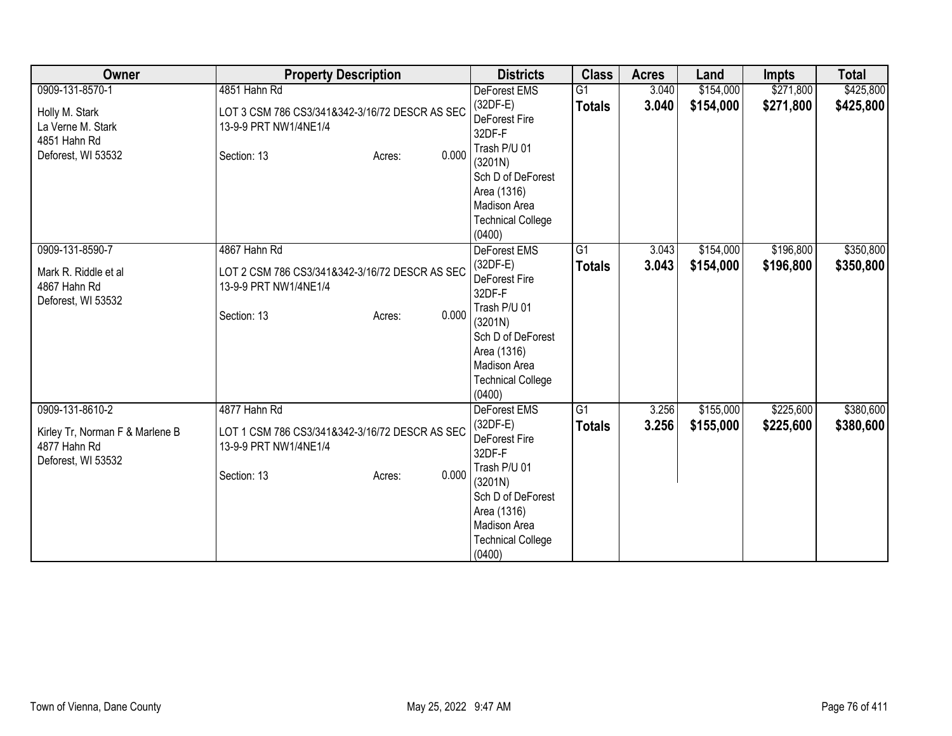| Owner                                                                                        | <b>Property Description</b>                                                                                               | <b>Districts</b>                                                                                                                                                                  | <b>Class</b>        | <b>Acres</b>   | Land                   | <b>Impts</b>           | <b>Total</b>           |
|----------------------------------------------------------------------------------------------|---------------------------------------------------------------------------------------------------------------------------|-----------------------------------------------------------------------------------------------------------------------------------------------------------------------------------|---------------------|----------------|------------------------|------------------------|------------------------|
| 0909-131-8570-1<br>Holly M. Stark<br>La Verne M. Stark<br>4851 Hahn Rd<br>Deforest, WI 53532 | 4851 Hahn Rd<br>LOT 3 CSM 786 CS3/341&342-3/16/72 DESCR AS SEC<br>13-9-9 PRT NW1/4NE1/4<br>0.000<br>Section: 13<br>Acres: | <b>DeForest EMS</b><br>$(32DF-E)$<br>DeForest Fire<br>32DF-F<br>Trash P/U 01<br>(3201N)<br>Sch D of DeForest<br>Area (1316)<br>Madison Area<br><b>Technical College</b><br>(0400) | G1<br><b>Totals</b> | 3.040<br>3.040 | \$154,000<br>\$154,000 | \$271,800<br>\$271,800 | \$425,800<br>\$425,800 |
| 0909-131-8590-7<br>Mark R. Riddle et al<br>4867 Hahn Rd<br>Deforest, WI 53532                | 4867 Hahn Rd<br>LOT 2 CSM 786 CS3/341&342-3/16/72 DESCR AS SEC<br>13-9-9 PRT NW1/4NE1/4<br>0.000<br>Section: 13<br>Acres: | <b>DeForest EMS</b><br>$(32DF-E)$<br>DeForest Fire<br>32DF-F<br>Trash P/U 01<br>(3201N)<br>Sch D of DeForest<br>Area (1316)<br>Madison Area<br><b>Technical College</b><br>(0400) | G1<br><b>Totals</b> | 3.043<br>3.043 | \$154,000<br>\$154,000 | \$196,800<br>\$196,800 | \$350,800<br>\$350,800 |
| 0909-131-8610-2<br>Kirley Tr, Norman F & Marlene B<br>4877 Hahn Rd<br>Deforest, WI 53532     | 4877 Hahn Rd<br>LOT 1 CSM 786 CS3/341&342-3/16/72 DESCR AS SEC<br>13-9-9 PRT NW1/4NE1/4<br>0.000<br>Section: 13<br>Acres: | <b>DeForest EMS</b><br>$(32DF-E)$<br>DeForest Fire<br>32DF-F<br>Trash P/U 01<br>(3201N)<br>Sch D of DeForest<br>Area (1316)<br>Madison Area<br><b>Technical College</b><br>(0400) | G1<br><b>Totals</b> | 3.256<br>3.256 | \$155,000<br>\$155,000 | \$225,600<br>\$225,600 | \$380,600<br>\$380,600 |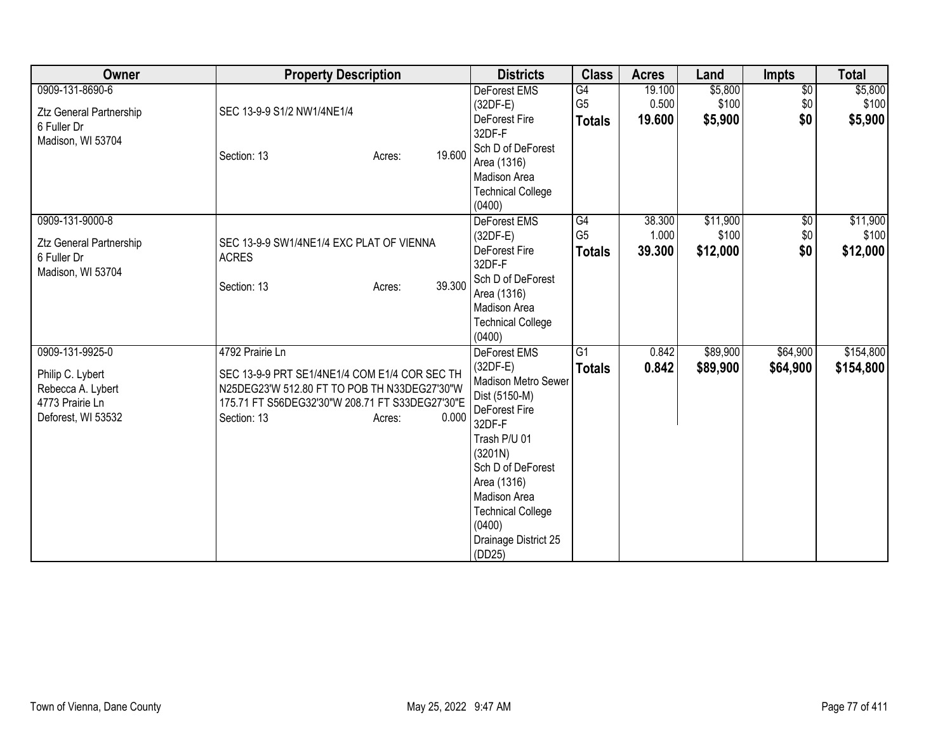| Owner                                         | <b>Property Description</b>                              |        | <b>Districts</b>                     | <b>Class</b>   | <b>Acres</b>    | Land     | <b>Impts</b>    | <b>Total</b> |
|-----------------------------------------------|----------------------------------------------------------|--------|--------------------------------------|----------------|-----------------|----------|-----------------|--------------|
| 0909-131-8690-6                               |                                                          |        | DeForest EMS                         | G4             | 19.100          | \$5,800  | $\overline{60}$ | \$5,800      |
| <b>Ztz General Partnership</b>                | SEC 13-9-9 S1/2 NW1/4NE1/4                               |        | (32DF-E)<br><b>DeForest Fire</b>     | G <sub>5</sub> | 0.500<br>19.600 | \$100    | \$0<br>\$0      | \$100        |
| 6 Fuller Dr                                   |                                                          |        | 32DF-F                               | <b>Totals</b>  |                 | \$5,900  |                 | \$5,900      |
| Madison, WI 53704                             |                                                          | 19,600 | Sch D of DeForest                    |                |                 |          |                 |              |
|                                               | Section: 13<br>Acres:                                    |        | Area (1316)                          |                |                 |          |                 |              |
|                                               |                                                          |        | Madison Area                         |                |                 |          |                 |              |
|                                               |                                                          |        | <b>Technical College</b>             |                |                 |          |                 |              |
| 0909-131-9000-8                               |                                                          |        | (0400)<br>DeForest EMS               | G4             | 38.300          | \$11,900 | $\sqrt{6}$      | \$11,900     |
|                                               |                                                          |        | $(32DF-E)$                           | G <sub>5</sub> | 1.000           | \$100    | \$0             | \$100        |
| <b>Ztz General Partnership</b><br>6 Fuller Dr | SEC 13-9-9 SW1/4NE1/4 EXC PLAT OF VIENNA<br><b>ACRES</b> |        | DeForest Fire                        | <b>Totals</b>  | 39.300          | \$12,000 | \$0             | \$12,000     |
| Madison, WI 53704                             |                                                          |        | 32DF-F                               |                |                 |          |                 |              |
|                                               | Section: 13<br>Acres:                                    | 39.300 | Sch D of DeForest                    |                |                 |          |                 |              |
|                                               |                                                          |        | Area (1316)<br>Madison Area          |                |                 |          |                 |              |
|                                               |                                                          |        | <b>Technical College</b>             |                |                 |          |                 |              |
|                                               |                                                          |        | (0400)                               |                |                 |          |                 |              |
| 0909-131-9925-0                               | 4792 Prairie Ln                                          |        | DeForest EMS                         | G1             | 0.842           | \$89,900 | \$64,900        | \$154,800    |
| Philip C. Lybert                              | SEC 13-9-9 PRT SE1/4NE1/4 COM E1/4 COR SEC TH            |        | $(32DF-E)$                           | <b>Totals</b>  | 0.842           | \$89,900 | \$64,900        | \$154,800    |
| Rebecca A. Lybert                             | N25DEG23'W 512.80 FT TO POB TH N33DEG27'30"W             |        | Madison Metro Sewer<br>Dist (5150-M) |                |                 |          |                 |              |
| 4773 Prairie Ln                               | 175.71 FT S56DEG32'30"W 208.71 FT S33DEG27'30"E          |        | DeForest Fire                        |                |                 |          |                 |              |
| Deforest, WI 53532                            | Section: 13<br>Acres:                                    | 0.000  | 32DF-F                               |                |                 |          |                 |              |
|                                               |                                                          |        | Trash P/U 01                         |                |                 |          |                 |              |
|                                               |                                                          |        | (3201N)                              |                |                 |          |                 |              |
|                                               |                                                          |        | Sch D of DeForest<br>Area (1316)     |                |                 |          |                 |              |
|                                               |                                                          |        | Madison Area                         |                |                 |          |                 |              |
|                                               |                                                          |        | <b>Technical College</b>             |                |                 |          |                 |              |
|                                               |                                                          |        | (0400)                               |                |                 |          |                 |              |
|                                               |                                                          |        | Drainage District 25                 |                |                 |          |                 |              |
|                                               |                                                          |        | (DD25)                               |                |                 |          |                 |              |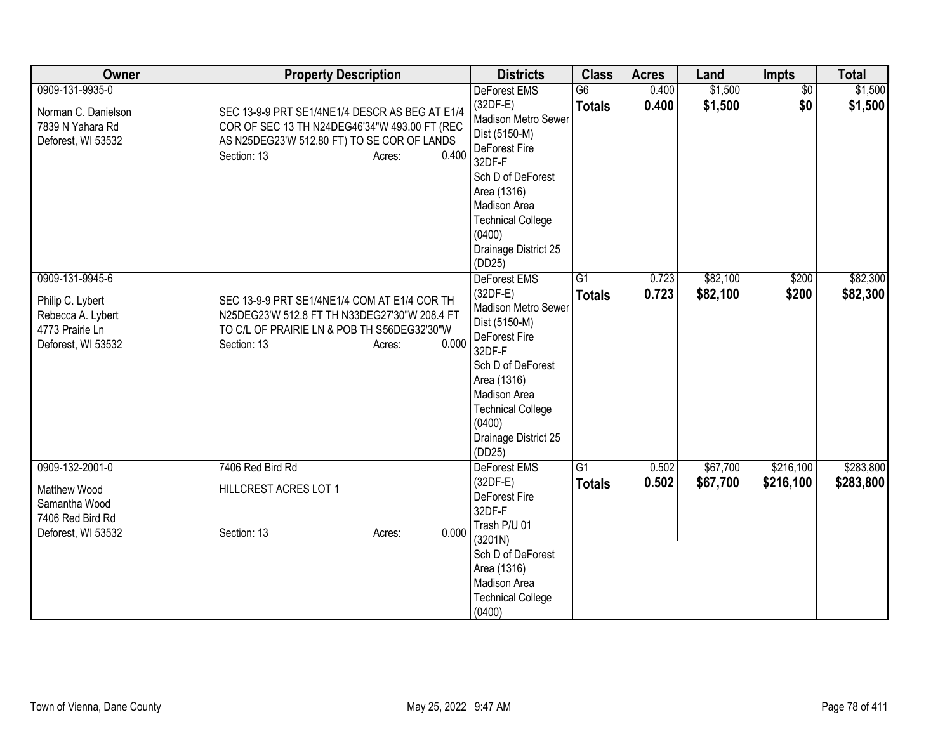| Owner                                                                                             | <b>Property Description</b>                                                                                                                                                      | <b>Districts</b>                                                                                                                                                                                                          | <b>Class</b>                     | <b>Acres</b>   | Land                 | <b>Impts</b>           | <b>Total</b>           |
|---------------------------------------------------------------------------------------------------|----------------------------------------------------------------------------------------------------------------------------------------------------------------------------------|---------------------------------------------------------------------------------------------------------------------------------------------------------------------------------------------------------------------------|----------------------------------|----------------|----------------------|------------------------|------------------------|
| 0909-131-9935-0<br>Norman C. Danielson<br>7839 N Yahara Rd<br>Deforest, WI 53532                  | SEC 13-9-9 PRT SE1/4NE1/4 DESCR AS BEG AT E1/4<br>COR OF SEC 13 TH N24DEG46'34"W 493.00 FT (REC<br>AS N25DEG23'W 512.80 FT) TO SE COR OF LANDS<br>0.400<br>Section: 13<br>Acres: | DeForest EMS<br>$(32DF-E)$<br>Madison Metro Sewer<br>Dist (5150-M)<br>DeForest Fire<br>32DF-F<br>Sch D of DeForest<br>Area (1316)<br>Madison Area<br><b>Technical College</b><br>(0400)<br>Drainage District 25<br>(DD25) | $\overline{G6}$<br><b>Totals</b> | 0.400<br>0.400 | \$1,500<br>\$1,500   | $\overline{50}$<br>\$0 | \$1,500<br>\$1,500     |
| 0909-131-9945-6<br>Philip C. Lybert<br>Rebecca A. Lybert<br>4773 Prairie Ln<br>Deforest, WI 53532 | SEC 13-9-9 PRT SE1/4NE1/4 COM AT E1/4 COR TH<br>N25DEG23'W 512.8 FT TH N33DEG27'30"W 208.4 FT<br>TO C/L OF PRAIRIE LN & POB TH S56DEG32'30"W<br>0.000<br>Section: 13<br>Acres:   | DeForest EMS<br>$(32DF-E)$<br>Madison Metro Sewer<br>Dist (5150-M)<br>DeForest Fire<br>32DF-F<br>Sch D of DeForest<br>Area (1316)<br>Madison Area<br><b>Technical College</b><br>(0400)<br>Drainage District 25<br>(DD25) | $\overline{G1}$<br><b>Totals</b> | 0.723<br>0.723 | \$82,100<br>\$82,100 | \$200<br>\$200         | \$82,300<br>\$82,300   |
| 0909-132-2001-0<br>Matthew Wood<br>Samantha Wood<br>7406 Red Bird Rd<br>Deforest, WI 53532        | 7406 Red Bird Rd<br>HILLCREST ACRES LOT 1<br>0.000<br>Section: 13<br>Acres:                                                                                                      | <b>DeForest EMS</b><br>$(32DF-E)$<br>DeForest Fire<br>32DF-F<br>Trash P/U 01<br>(3201N)<br>Sch D of DeForest<br>Area (1316)<br>Madison Area<br><b>Technical College</b><br>(0400)                                         | $\overline{G1}$<br><b>Totals</b> | 0.502<br>0.502 | \$67,700<br>\$67,700 | \$216,100<br>\$216,100 | \$283,800<br>\$283,800 |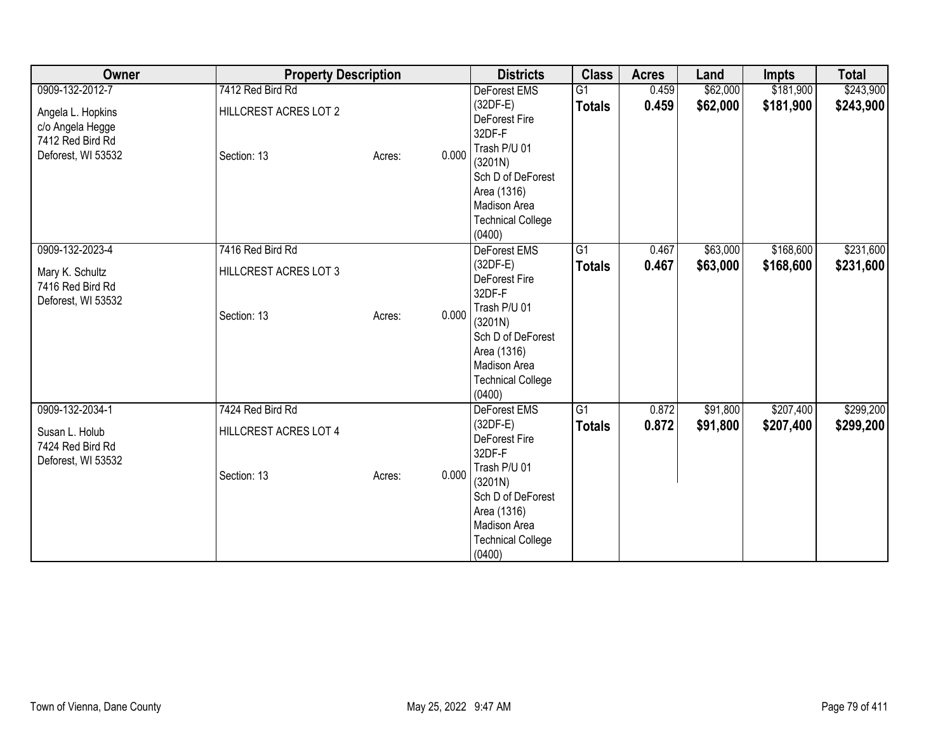| Owner                                                                                              | <b>Property Description</b>                              |                 | <b>Districts</b>                                                                                                                                                                  | <b>Class</b>                     | <b>Acres</b>   | Land                 | Impts                  | <b>Total</b>           |
|----------------------------------------------------------------------------------------------------|----------------------------------------------------------|-----------------|-----------------------------------------------------------------------------------------------------------------------------------------------------------------------------------|----------------------------------|----------------|----------------------|------------------------|------------------------|
| 0909-132-2012-7<br>Angela L. Hopkins<br>c/o Angela Hegge<br>7412 Red Bird Rd<br>Deforest, WI 53532 | 7412 Red Bird Rd<br>HILLCREST ACRES LOT 2<br>Section: 13 | 0.000<br>Acres: | DeForest EMS<br>$(32DF-E)$<br>DeForest Fire<br>32DF-F<br>Trash P/U 01<br>(3201N)<br>Sch D of DeForest<br>Area (1316)<br>Madison Area<br><b>Technical College</b><br>(0400)        | G1<br><b>Totals</b>              | 0.459<br>0.459 | \$62,000<br>\$62,000 | \$181,900<br>\$181,900 | \$243,900<br>\$243,900 |
| 0909-132-2023-4<br>Mary K. Schultz<br>7416 Red Bird Rd<br>Deforest, WI 53532                       | 7416 Red Bird Rd<br>HILLCREST ACRES LOT 3<br>Section: 13 | 0.000<br>Acres: | DeForest EMS<br>$(32DF-E)$<br><b>DeForest Fire</b><br>32DF-F<br>Trash P/U 01<br>(3201N)<br>Sch D of DeForest<br>Area (1316)<br>Madison Area<br><b>Technical College</b><br>(0400) | $\overline{G1}$<br><b>Totals</b> | 0.467<br>0.467 | \$63,000<br>\$63,000 | \$168,600<br>\$168,600 | \$231,600<br>\$231,600 |
| 0909-132-2034-1<br>Susan L. Holub<br>7424 Red Bird Rd<br>Deforest, WI 53532                        | 7424 Red Bird Rd<br>HILLCREST ACRES LOT 4<br>Section: 13 | 0.000<br>Acres: | <b>DeForest EMS</b><br>$(32DF-E)$<br>DeForest Fire<br>32DF-F<br>Trash P/U 01<br>(3201N)<br>Sch D of DeForest<br>Area (1316)<br>Madison Area<br><b>Technical College</b><br>(0400) | $\overline{G1}$<br><b>Totals</b> | 0.872<br>0.872 | \$91,800<br>\$91,800 | \$207,400<br>\$207,400 | \$299,200<br>\$299,200 |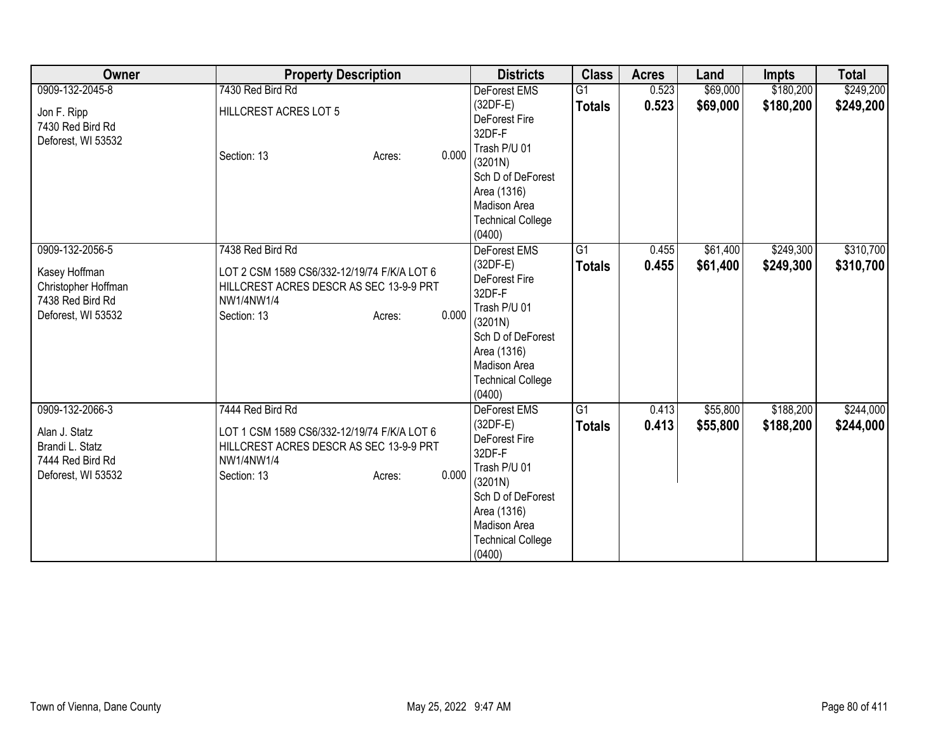| Owner                                                                                             | <b>Property Description</b>                                                                                                                                | <b>Districts</b>                                                                                                                                                                | <b>Class</b>                     | <b>Acres</b>   | Land                 | <b>Impts</b>           | <b>Total</b>           |
|---------------------------------------------------------------------------------------------------|------------------------------------------------------------------------------------------------------------------------------------------------------------|---------------------------------------------------------------------------------------------------------------------------------------------------------------------------------|----------------------------------|----------------|----------------------|------------------------|------------------------|
| 0909-132-2045-8<br>Jon F. Ripp<br>7430 Red Bird Rd<br>Deforest, WI 53532                          | 7430 Red Bird Rd<br>HILLCREST ACRES LOT 5<br>0.000<br>Section: 13<br>Acres:                                                                                | DeForest EMS<br>(32DF-E)<br><b>DeForest Fire</b><br>32DF-F<br>Trash P/U 01<br>(3201N)<br>Sch D of DeForest<br>Area (1316)<br>Madison Area<br><b>Technical College</b><br>(0400) | $\overline{G1}$<br><b>Totals</b> | 0.523<br>0.523 | \$69,000<br>\$69,000 | \$180,200<br>\$180,200 | \$249,200<br>\$249,200 |
| 0909-132-2056-5<br>Kasey Hoffman<br>Christopher Hoffman<br>7438 Red Bird Rd<br>Deforest, WI 53532 | 7438 Red Bird Rd<br>LOT 2 CSM 1589 CS6/332-12/19/74 F/K/A LOT 6<br>HILLCREST ACRES DESCR AS SEC 13-9-9 PRT<br>NW1/4NW1/4<br>0.000<br>Section: 13<br>Acres: | DeForest EMS<br>(32DF-E)<br>DeForest Fire<br>32DF-F<br>Trash P/U 01<br>(3201N)<br>Sch D of DeForest<br>Area (1316)<br>Madison Area<br><b>Technical College</b><br>(0400)        | $\overline{G1}$<br><b>Totals</b> | 0.455<br>0.455 | \$61,400<br>\$61,400 | \$249,300<br>\$249,300 | \$310,700<br>\$310,700 |
| 0909-132-2066-3<br>Alan J. Statz<br>Brandi L. Statz<br>7444 Red Bird Rd<br>Deforest, WI 53532     | 7444 Red Bird Rd<br>LOT 1 CSM 1589 CS6/332-12/19/74 F/K/A LOT 6<br>HILLCREST ACRES DESCR AS SEC 13-9-9 PRT<br>NW1/4NW1/4<br>0.000<br>Section: 13<br>Acres: | <b>DeForest EMS</b><br>(32DF-E)<br>DeForest Fire<br>32DF-F<br>Trash P/U 01<br>(3201N)<br>Sch D of DeForest<br>Area (1316)<br>Madison Area<br><b>Technical College</b><br>(0400) | G1<br><b>Totals</b>              | 0.413<br>0.413 | \$55,800<br>\$55,800 | \$188,200<br>\$188,200 | \$244,000<br>\$244,000 |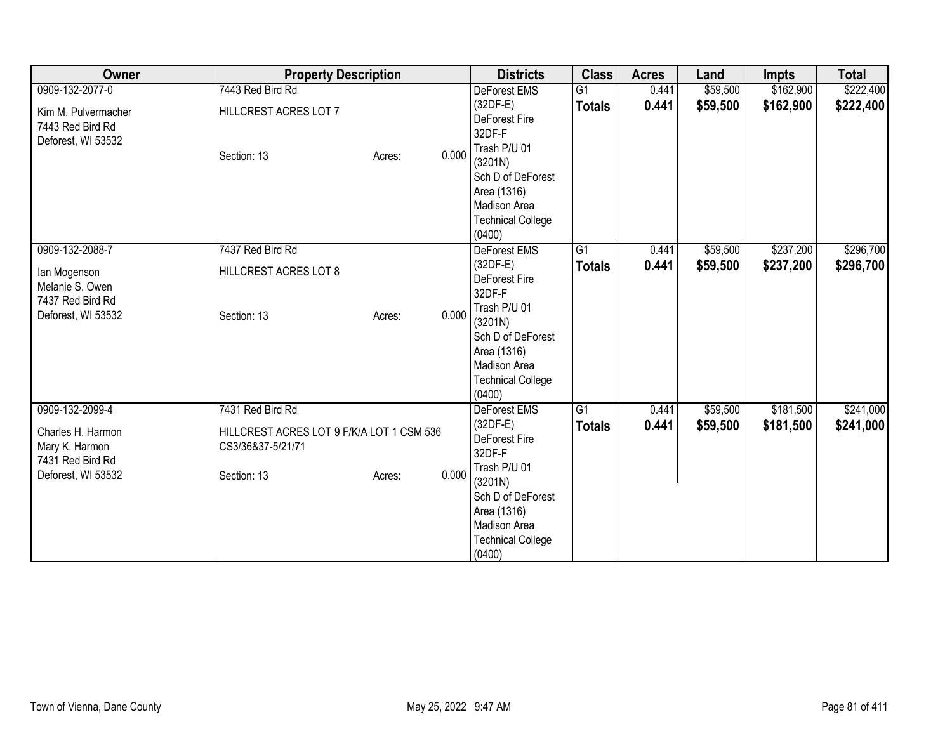| Owner                                                                                            | <b>Property Description</b>                                                                                          | <b>Districts</b>                                                                                                                                                                  | <b>Class</b>                     | <b>Acres</b>   | Land                 | Impts                  | <b>Total</b>           |
|--------------------------------------------------------------------------------------------------|----------------------------------------------------------------------------------------------------------------------|-----------------------------------------------------------------------------------------------------------------------------------------------------------------------------------|----------------------------------|----------------|----------------------|------------------------|------------------------|
| 0909-132-2077-0<br>Kim M. Pulvermacher<br>7443 Red Bird Rd<br>Deforest, WI 53532                 | 7443 Red Bird Rd<br>HILLCREST ACRES LOT 7<br>0.000<br>Section: 13<br>Acres:                                          | DeForest EMS<br>$(32DF-E)$<br><b>DeForest Fire</b><br>32DF-F<br>Trash P/U 01<br>(3201N)<br>Sch D of DeForest<br>Area (1316)<br>Madison Area<br><b>Technical College</b><br>(0400) | G1<br><b>Totals</b>              | 0.441<br>0.441 | \$59,500<br>\$59,500 | \$162,900<br>\$162,900 | \$222,400<br>\$222,400 |
| 0909-132-2088-7<br>lan Mogenson<br>Melanie S. Owen<br>7437 Red Bird Rd<br>Deforest, WI 53532     | 7437 Red Bird Rd<br>HILLCREST ACRES LOT 8<br>0.000<br>Section: 13<br>Acres:                                          | DeForest EMS<br>$(32DF-E)$<br><b>DeForest Fire</b><br>32DF-F<br>Trash P/U 01<br>(3201N)<br>Sch D of DeForest<br>Area (1316)<br>Madison Area<br><b>Technical College</b><br>(0400) | $\overline{G1}$<br><b>Totals</b> | 0.441<br>0.441 | \$59,500<br>\$59,500 | \$237,200<br>\$237,200 | \$296,700<br>\$296,700 |
| 0909-132-2099-4<br>Charles H. Harmon<br>Mary K. Harmon<br>7431 Red Bird Rd<br>Deforest, WI 53532 | 7431 Red Bird Rd<br>HILLCREST ACRES LOT 9 F/K/A LOT 1 CSM 536<br>CS3/36&37-5/21/71<br>0.000<br>Section: 13<br>Acres: | <b>DeForest EMS</b><br>$(32DF-E)$<br>DeForest Fire<br>32DF-F<br>Trash P/U 01<br>(3201N)<br>Sch D of DeForest<br>Area (1316)<br>Madison Area<br><b>Technical College</b><br>(0400) | $\overline{G1}$<br><b>Totals</b> | 0.441<br>0.441 | \$59,500<br>\$59,500 | \$181,500<br>\$181,500 | \$241,000<br>\$241,000 |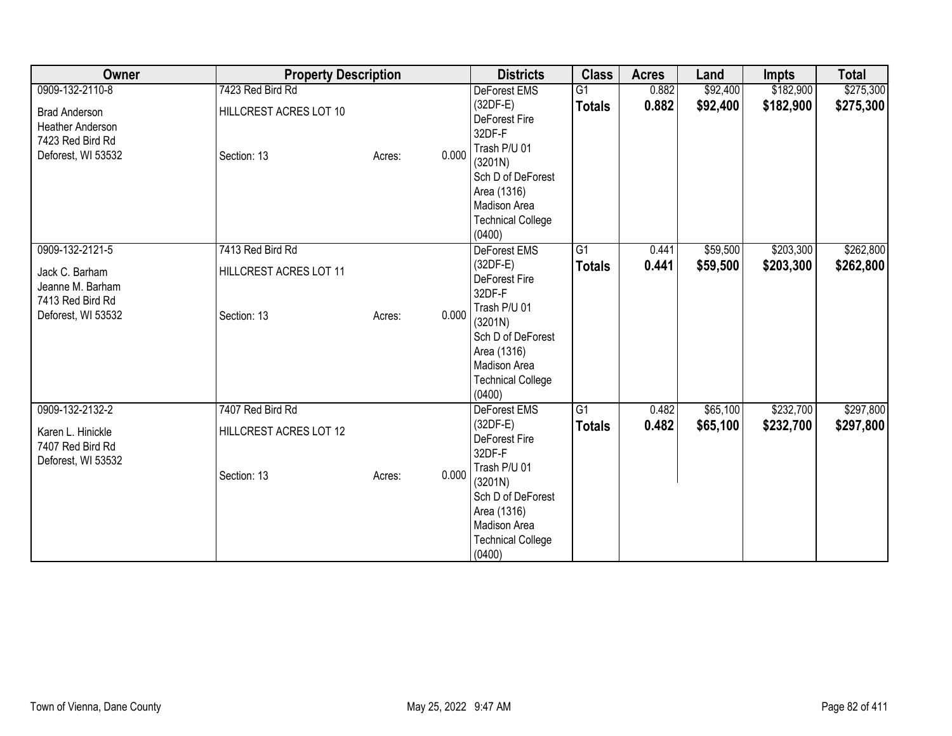| Owner                                                                                                 | <b>Property Description</b>                               |                 | <b>Districts</b>                                                                                                                                                                | <b>Class</b>                     | <b>Acres</b>   | Land                 | <b>Impts</b>           | <b>Total</b>           |
|-------------------------------------------------------------------------------------------------------|-----------------------------------------------------------|-----------------|---------------------------------------------------------------------------------------------------------------------------------------------------------------------------------|----------------------------------|----------------|----------------------|------------------------|------------------------|
| 0909-132-2110-8<br><b>Brad Anderson</b><br>Heather Anderson<br>7423 Red Bird Rd<br>Deforest, WI 53532 | 7423 Red Bird Rd<br>HILLCREST ACRES LOT 10<br>Section: 13 | 0.000<br>Acres: | DeForest EMS<br>(32DF-E)<br><b>DeForest Fire</b><br>32DF-F<br>Trash P/U 01<br>(3201N)<br>Sch D of DeForest<br>Area (1316)<br>Madison Area<br><b>Technical College</b><br>(0400) | G1<br><b>Totals</b>              | 0.882<br>0.882 | \$92,400<br>\$92,400 | \$182,900<br>\$182,900 | \$275,300<br>\$275,300 |
| 0909-132-2121-5<br>Jack C. Barham<br>Jeanne M. Barham<br>7413 Red Bird Rd<br>Deforest, WI 53532       | 7413 Red Bird Rd<br>HILLCREST ACRES LOT 11<br>Section: 13 | 0.000<br>Acres: | DeForest EMS<br>$(32DF-E)$<br>DeForest Fire<br>32DF-F<br>Trash P/U 01<br>(3201N)<br>Sch D of DeForest<br>Area (1316)<br>Madison Area<br><b>Technical College</b><br>(0400)      | $\overline{G1}$<br><b>Totals</b> | 0.441<br>0.441 | \$59,500<br>\$59,500 | \$203,300<br>\$203,300 | \$262,800<br>\$262,800 |
| 0909-132-2132-2<br>Karen L. Hinickle<br>7407 Red Bird Rd<br>Deforest, WI 53532                        | 7407 Red Bird Rd<br>HILLCREST ACRES LOT 12<br>Section: 13 | 0.000<br>Acres: | <b>DeForest EMS</b><br>(32DF-E)<br>DeForest Fire<br>32DF-F<br>Trash P/U 01<br>(3201N)<br>Sch D of DeForest<br>Area (1316)<br>Madison Area<br><b>Technical College</b><br>(0400) | $\overline{G1}$<br><b>Totals</b> | 0.482<br>0.482 | \$65,100<br>\$65,100 | \$232,700<br>\$232,700 | \$297,800<br>\$297,800 |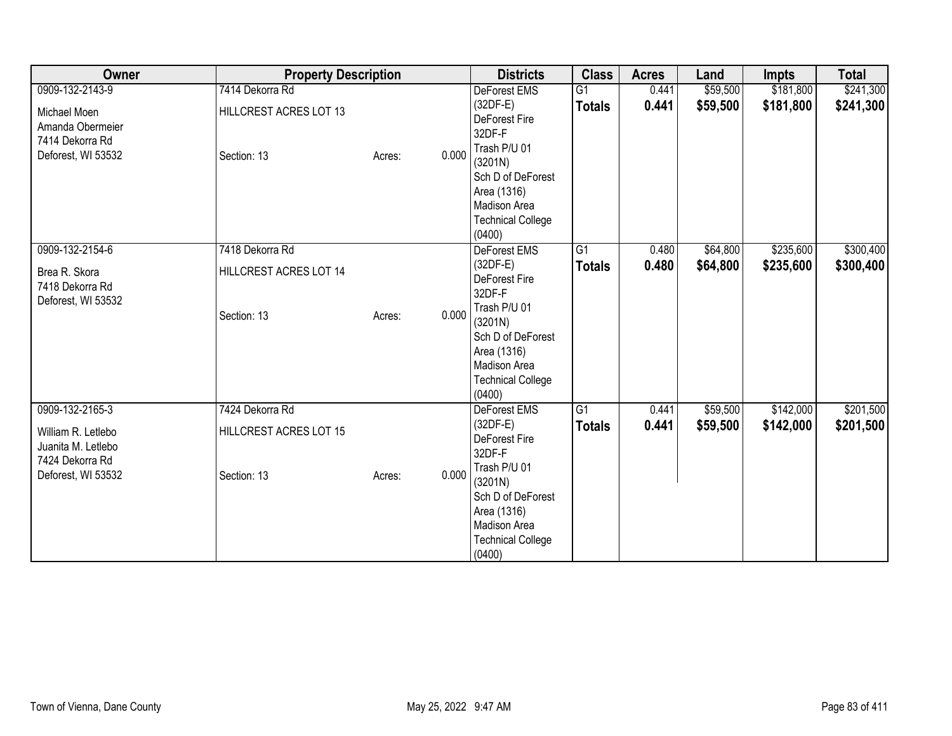| Owner                                                                                                | <b>Property Description</b>                              |                 | <b>Districts</b>                                                                                                                                                                  | <b>Class</b>                     | <b>Acres</b>   | Land                 | Impts                  | <b>Total</b>           |
|------------------------------------------------------------------------------------------------------|----------------------------------------------------------|-----------------|-----------------------------------------------------------------------------------------------------------------------------------------------------------------------------------|----------------------------------|----------------|----------------------|------------------------|------------------------|
| 0909-132-2143-9<br>Michael Moen<br>Amanda Obermeier<br>7414 Dekorra Rd<br>Deforest, WI 53532         | 7414 Dekorra Rd<br>HILLCREST ACRES LOT 13<br>Section: 13 | 0.000<br>Acres: | DeForest EMS<br>$(32DF-E)$<br>DeForest Fire<br>32DF-F<br>Trash P/U 01<br>(3201N)<br>Sch D of DeForest<br>Area (1316)<br>Madison Area<br><b>Technical College</b><br>(0400)        | G1<br><b>Totals</b>              | 0.441<br>0.441 | \$59,500<br>\$59,500 | \$181,800<br>\$181,800 | \$241,300<br>\$241,300 |
| 0909-132-2154-6<br>Brea R. Skora<br>7418 Dekorra Rd<br>Deforest, WI 53532                            | 7418 Dekorra Rd<br>HILLCREST ACRES LOT 14<br>Section: 13 | 0.000<br>Acres: | DeForest EMS<br>$(32DF-E)$<br>DeForest Fire<br>32DF-F<br>Trash P/U 01<br>(3201N)<br>Sch D of DeForest<br>Area (1316)<br>Madison Area<br><b>Technical College</b><br>(0400)        | $\overline{G1}$<br><b>Totals</b> | 0.480<br>0.480 | \$64,800<br>\$64,800 | \$235,600<br>\$235,600 | \$300,400<br>\$300,400 |
| 0909-132-2165-3<br>William R. Letlebo<br>Juanita M. Letlebo<br>7424 Dekorra Rd<br>Deforest, WI 53532 | 7424 Dekorra Rd<br>HILLCREST ACRES LOT 15<br>Section: 13 | 0.000<br>Acres: | <b>DeForest EMS</b><br>$(32DF-E)$<br>DeForest Fire<br>32DF-F<br>Trash P/U 01<br>(3201N)<br>Sch D of DeForest<br>Area (1316)<br>Madison Area<br><b>Technical College</b><br>(0400) | $\overline{G1}$<br><b>Totals</b> | 0.441<br>0.441 | \$59,500<br>\$59,500 | \$142,000<br>\$142,000 | \$201,500<br>\$201,500 |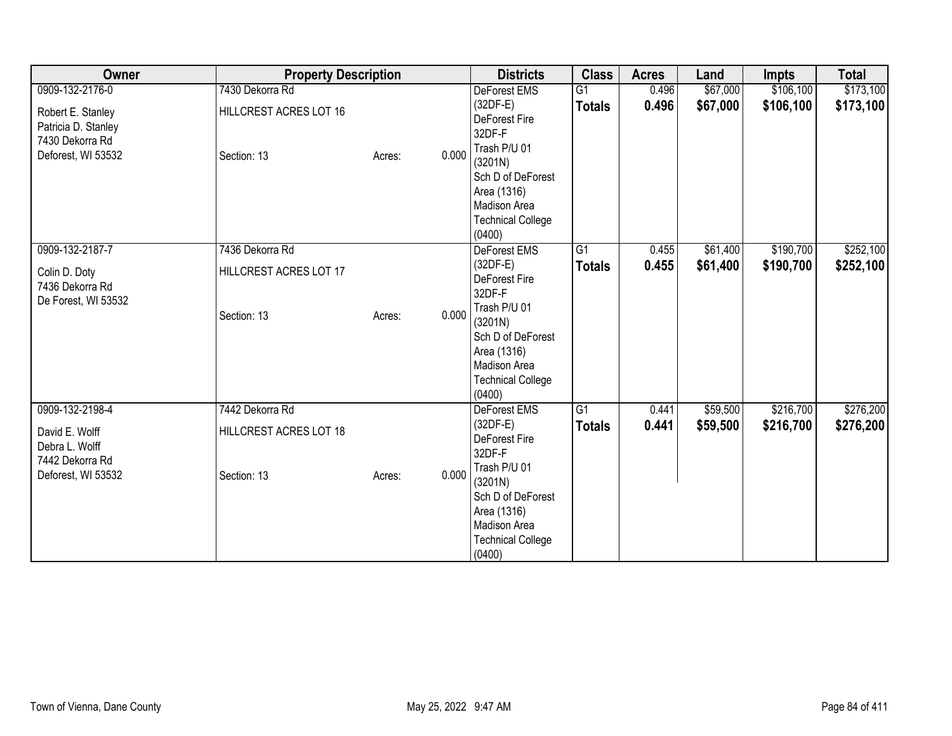| Owner                                                                                                | <b>Property Description</b>                              |                 | <b>Districts</b>                                                                                                                                                                  | <b>Class</b>                     | <b>Acres</b>   | Land                 | Impts                  | <b>Total</b>           |
|------------------------------------------------------------------------------------------------------|----------------------------------------------------------|-----------------|-----------------------------------------------------------------------------------------------------------------------------------------------------------------------------------|----------------------------------|----------------|----------------------|------------------------|------------------------|
| 0909-132-2176-0<br>Robert E. Stanley<br>Patricia D. Stanley<br>7430 Dekorra Rd<br>Deforest, WI 53532 | 7430 Dekorra Rd<br>HILLCREST ACRES LOT 16<br>Section: 13 | 0.000<br>Acres: | DeForest EMS<br>$(32DF-E)$<br>DeForest Fire<br>32DF-F<br>Trash P/U 01<br>(3201N)<br>Sch D of DeForest<br>Area (1316)<br>Madison Area<br><b>Technical College</b><br>(0400)        | G1<br><b>Totals</b>              | 0.496<br>0.496 | \$67,000<br>\$67,000 | \$106,100<br>\$106,100 | \$173,100<br>\$173,100 |
| 0909-132-2187-7<br>Colin D. Doty<br>7436 Dekorra Rd<br>De Forest, WI 53532                           | 7436 Dekorra Rd<br>HILLCREST ACRES LOT 17<br>Section: 13 | 0.000<br>Acres: | DeForest EMS<br>$(32DF-E)$<br>DeForest Fire<br>32DF-F<br>Trash P/U 01<br>(3201N)<br>Sch D of DeForest<br>Area (1316)<br>Madison Area<br><b>Technical College</b><br>(0400)        | $\overline{G1}$<br><b>Totals</b> | 0.455<br>0.455 | \$61,400<br>\$61,400 | \$190,700<br>\$190,700 | \$252,100<br>\$252,100 |
| 0909-132-2198-4<br>David E. Wolff<br>Debra L. Wolff<br>7442 Dekorra Rd<br>Deforest, WI 53532         | 7442 Dekorra Rd<br>HILLCREST ACRES LOT 18<br>Section: 13 | 0.000<br>Acres: | <b>DeForest EMS</b><br>$(32DF-E)$<br>DeForest Fire<br>32DF-F<br>Trash P/U 01<br>(3201N)<br>Sch D of DeForest<br>Area (1316)<br>Madison Area<br><b>Technical College</b><br>(0400) | $\overline{G1}$<br><b>Totals</b> | 0.441<br>0.441 | \$59,500<br>\$59,500 | \$216,700<br>\$216,700 | \$276,200<br>\$276,200 |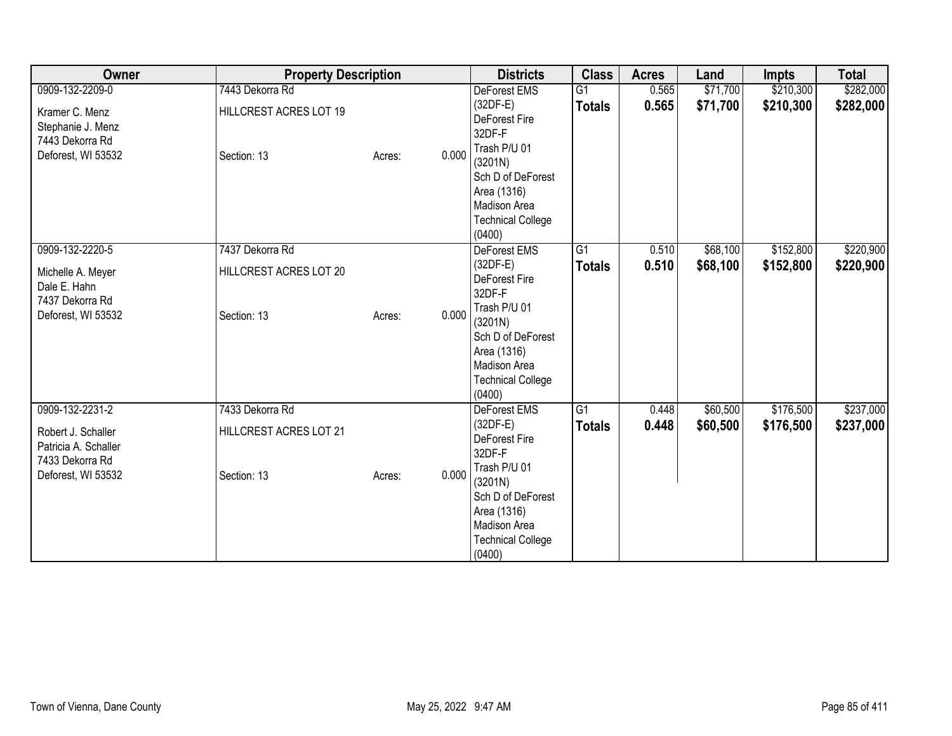| Owner                                                                                                  | <b>Property Description</b>                              |        |       | <b>Districts</b>                                                                                                                                                                | <b>Class</b>                     | <b>Acres</b>   | Land                 | <b>Impts</b>           | <b>Total</b>           |
|--------------------------------------------------------------------------------------------------------|----------------------------------------------------------|--------|-------|---------------------------------------------------------------------------------------------------------------------------------------------------------------------------------|----------------------------------|----------------|----------------------|------------------------|------------------------|
| 0909-132-2209-0<br>Kramer C. Menz<br>Stephanie J. Menz<br>7443 Dekorra Rd<br>Deforest, WI 53532        | 7443 Dekorra Rd<br>HILLCREST ACRES LOT 19<br>Section: 13 | Acres: | 0.000 | DeForest EMS<br>(32DF-E)<br>DeForest Fire<br>32DF-F<br>Trash P/U 01<br>(3201N)<br>Sch D of DeForest<br>Area (1316)<br>Madison Area<br><b>Technical College</b><br>(0400)        | $\overline{G1}$<br><b>Totals</b> | 0.565<br>0.565 | \$71,700<br>\$71,700 | \$210,300<br>\$210,300 | \$282,000<br>\$282,000 |
| 0909-132-2220-5<br>Michelle A. Meyer<br>Dale E. Hahn<br>7437 Dekorra Rd<br>Deforest, WI 53532          | 7437 Dekorra Rd<br>HILLCREST ACRES LOT 20<br>Section: 13 | Acres: | 0.000 | DeForest EMS<br>(32DF-E)<br>DeForest Fire<br>32DF-F<br>Trash P/U 01<br>(3201N)<br>Sch D of DeForest<br>Area (1316)<br><b>Madison Area</b><br><b>Technical College</b><br>(0400) | $\overline{G1}$<br><b>Totals</b> | 0.510<br>0.510 | \$68,100<br>\$68,100 | \$152,800<br>\$152,800 | \$220,900<br>\$220,900 |
| 0909-132-2231-2<br>Robert J. Schaller<br>Patricia A. Schaller<br>7433 Dekorra Rd<br>Deforest, WI 53532 | 7433 Dekorra Rd<br>HILLCREST ACRES LOT 21<br>Section: 13 | Acres: | 0.000 | <b>DeForest EMS</b><br>(32DF-E)<br>DeForest Fire<br>32DF-F<br>Trash P/U 01<br>(3201N)<br>Sch D of DeForest<br>Area (1316)<br>Madison Area<br><b>Technical College</b><br>(0400) | $\overline{G1}$<br><b>Totals</b> | 0.448<br>0.448 | \$60,500<br>\$60,500 | \$176,500<br>\$176,500 | \$237,000<br>\$237,000 |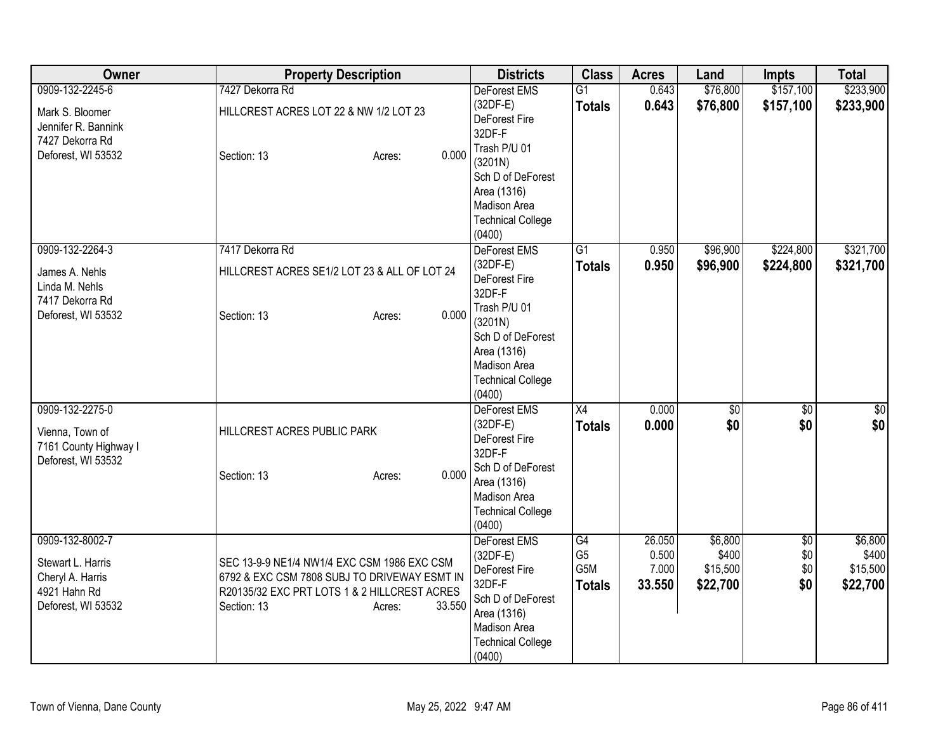| Owner                                                                                          | <b>Property Description</b>                                                                                                                                                    | <b>Districts</b>                                                                                                                                | <b>Class</b>                                 | <b>Acres</b>                       | Land                                     | <b>Impts</b>             | <b>Total</b>                             |
|------------------------------------------------------------------------------------------------|--------------------------------------------------------------------------------------------------------------------------------------------------------------------------------|-------------------------------------------------------------------------------------------------------------------------------------------------|----------------------------------------------|------------------------------------|------------------------------------------|--------------------------|------------------------------------------|
| 0909-132-2245-6                                                                                | 7427 Dekorra Rd                                                                                                                                                                | <b>DeForest EMS</b>                                                                                                                             | $\overline{G1}$                              | 0.643                              | \$76,800                                 | \$157,100                | \$233,900                                |
| Mark S. Bloomer<br>Jennifer R. Bannink                                                         | HILLCREST ACRES LOT 22 & NW 1/2 LOT 23                                                                                                                                         | $(32DF-E)$<br>DeForest Fire<br>32DF-F                                                                                                           | <b>Totals</b>                                | 0.643                              | \$76,800                                 | \$157,100                | \$233,900                                |
| 7427 Dekorra Rd<br>Deforest, WI 53532                                                          | 0.000<br>Section: 13<br>Acres:                                                                                                                                                 | Trash P/U 01<br>(3201N)<br>Sch D of DeForest                                                                                                    |                                              |                                    |                                          |                          |                                          |
|                                                                                                |                                                                                                                                                                                | Area (1316)<br>Madison Area<br><b>Technical College</b><br>(0400)                                                                               |                                              |                                    |                                          |                          |                                          |
| 0909-132-2264-3<br>James A. Nehls<br>Linda M. Nehls<br>7417 Dekorra Rd                         | 7417 Dekorra Rd<br>HILLCREST ACRES SE1/2 LOT 23 & ALL OF LOT 24                                                                                                                | DeForest EMS<br>$(32DF-E)$<br>DeForest Fire<br>32DF-F                                                                                           | $\overline{G1}$<br><b>Totals</b>             | 0.950<br>0.950                     | \$96,900<br>\$96,900                     | \$224,800<br>\$224,800   | \$321,700<br>\$321,700                   |
| Deforest, WI 53532                                                                             | 0.000<br>Section: 13<br>Acres:                                                                                                                                                 | Trash P/U 01<br>(3201N)<br>Sch D of DeForest<br>Area (1316)<br>Madison Area<br><b>Technical College</b><br>(0400)                               |                                              |                                    |                                          |                          |                                          |
| 0909-132-2275-0<br>Vienna, Town of<br>7161 County Highway I<br>Deforest, WI 53532              | HILLCREST ACRES PUBLIC PARK<br>0.000<br>Section: 13<br>Acres:                                                                                                                  | DeForest EMS<br>(32DF-E)<br>DeForest Fire<br>32DF-F<br>Sch D of DeForest<br>Area (1316)<br>Madison Area<br><b>Technical College</b><br>(0400)   | X4<br><b>Totals</b>                          | 0.000<br>0.000                     | $\sqrt{50}$<br>\$0                       | $\overline{50}$<br>\$0   | $\sqrt{50}$<br>\$0                       |
| 0909-132-8002-7<br>Stewart L. Harris<br>Cheryl A. Harris<br>4921 Hahn Rd<br>Deforest, WI 53532 | SEC 13-9-9 NE1/4 NW1/4 EXC CSM 1986 EXC CSM<br>6792 & EXC CSM 7808 SUBJ TO DRIVEWAY ESMT IN<br>R20135/32 EXC PRT LOTS 1 & 2 HILLCREST ACRES<br>Section: 13<br>33.550<br>Acres: | DeForest EMS<br>$(32DF-E)$<br>DeForest Fire<br>32DF-F<br>Sch D of DeForest<br>Area (1316)<br>Madison Area<br><b>Technical College</b><br>(0400) | G4<br>G <sub>5</sub><br>G5M<br><b>Totals</b> | 26.050<br>0.500<br>7.000<br>33.550 | \$6,800<br>\$400<br>\$15,500<br>\$22,700 | \$0<br>\$0<br>\$0<br>\$0 | \$6,800<br>\$400<br>\$15,500<br>\$22,700 |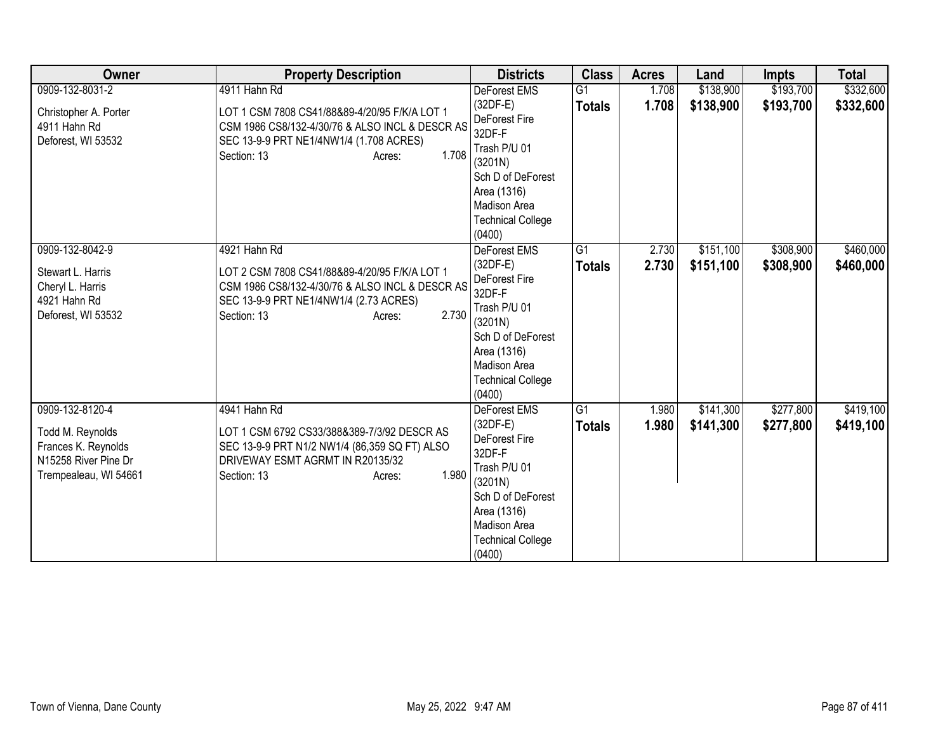| Owner                                                                                                       | <b>Property Description</b>                                                                                                                                                                   | <b>Districts</b>                                                                                                                                                                  | <b>Class</b>                     | <b>Acres</b>   | Land                   | <b>Impts</b>           | <b>Total</b>           |
|-------------------------------------------------------------------------------------------------------------|-----------------------------------------------------------------------------------------------------------------------------------------------------------------------------------------------|-----------------------------------------------------------------------------------------------------------------------------------------------------------------------------------|----------------------------------|----------------|------------------------|------------------------|------------------------|
| 0909-132-8031-2<br>Christopher A. Porter<br>4911 Hahn Rd<br>Deforest, WI 53532                              | 4911 Hahn Rd<br>LOT 1 CSM 7808 CS41/88&89-4/20/95 F/K/A LOT 1<br>CSM 1986 CS8/132-4/30/76 & ALSO INCL & DESCR AS<br>SEC 13-9-9 PRT NE1/4NW1/4 (1.708 ACRES)<br>1.708<br>Section: 13<br>Acres: | DeForest EMS<br>$(32DF-E)$<br>DeForest Fire<br>32DF-F<br>Trash P/U 01<br>(3201N)<br>Sch D of DeForest<br>Area (1316)<br>Madison Area<br><b>Technical College</b><br>(0400)        | $\overline{G1}$<br><b>Totals</b> | 1.708<br>1.708 | \$138,900<br>\$138,900 | \$193,700<br>\$193,700 | \$332,600<br>\$332,600 |
| 0909-132-8042-9<br>Stewart L. Harris<br>Cheryl L. Harris<br>4921 Hahn Rd<br>Deforest, WI 53532              | 4921 Hahn Rd<br>LOT 2 CSM 7808 CS41/88&89-4/20/95 F/K/A LOT 1<br>CSM 1986 CS8/132-4/30/76 & ALSO INCL & DESCR AS<br>SEC 13-9-9 PRT NE1/4NW1/4 (2.73 ACRES)<br>2.730<br>Section: 13<br>Acres:  | DeForest EMS<br>$(32DF-E)$<br>DeForest Fire<br>32DF-F<br>Trash P/U 01<br>(3201N)<br>Sch D of DeForest<br>Area (1316)<br>Madison Area<br><b>Technical College</b><br>(0400)        | $\overline{G1}$<br><b>Totals</b> | 2.730<br>2.730 | \$151,100<br>\$151,100 | \$308,900<br>\$308,900 | \$460,000<br>\$460,000 |
| 0909-132-8120-4<br>Todd M. Reynolds<br>Frances K. Reynolds<br>N15258 River Pine Dr<br>Trempealeau, WI 54661 | 4941 Hahn Rd<br>LOT 1 CSM 6792 CS33/388&389-7/3/92 DESCR AS<br>SEC 13-9-9 PRT N1/2 NW1/4 (86,359 SQ FT) ALSO<br>DRIVEWAY ESMT AGRMT IN R20135/32<br>1.980<br>Section: 13<br>Acres:            | <b>DeForest EMS</b><br>$(32DF-E)$<br>DeForest Fire<br>32DF-F<br>Trash P/U 01<br>(3201N)<br>Sch D of DeForest<br>Area (1316)<br>Madison Area<br><b>Technical College</b><br>(0400) | G1<br><b>Totals</b>              | 1.980<br>1.980 | \$141,300<br>\$141,300 | \$277,800<br>\$277,800 | \$419,100<br>\$419,100 |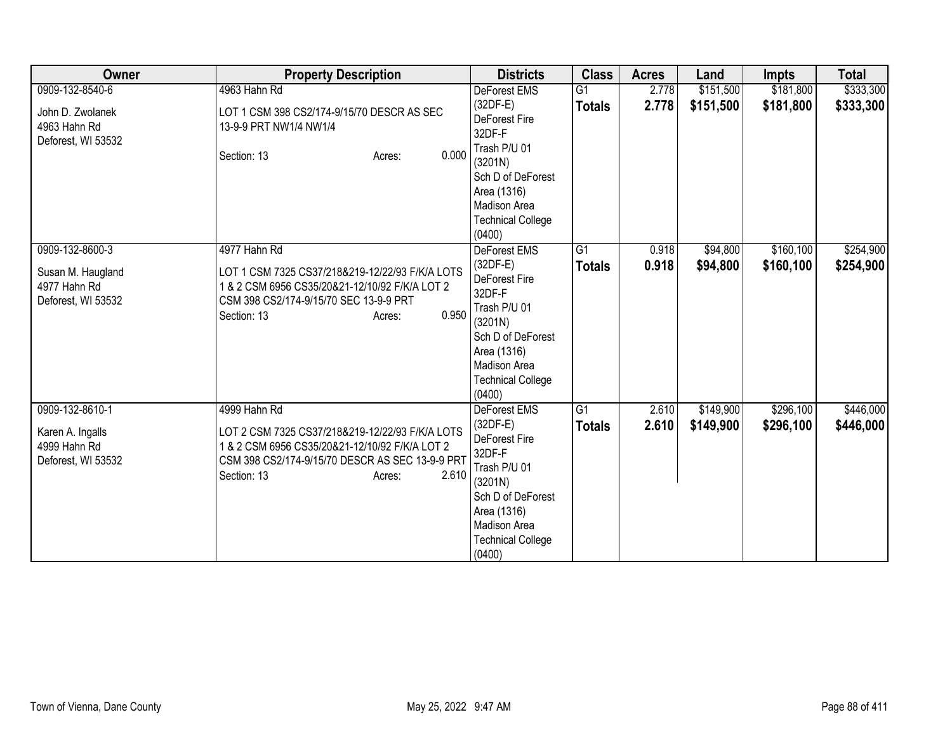| Owner                                                                      | <b>Property Description</b>                                                                                                                                                                            | <b>Districts</b>                                                                                                                                                                  | <b>Class</b>                     | <b>Acres</b>   | Land                   | <b>Impts</b>            | <b>Total</b>           |
|----------------------------------------------------------------------------|--------------------------------------------------------------------------------------------------------------------------------------------------------------------------------------------------------|-----------------------------------------------------------------------------------------------------------------------------------------------------------------------------------|----------------------------------|----------------|------------------------|-------------------------|------------------------|
| 0909-132-8540-6<br>John D. Zwolanek<br>4963 Hahn Rd<br>Deforest, WI 53532  | 4963 Hahn Rd<br>LOT 1 CSM 398 CS2/174-9/15/70 DESCR AS SEC<br>13-9-9 PRT NW1/4 NW1/4<br>0.000<br>Section: 13<br>Acres:                                                                                 | <b>DeForest EMS</b><br>$(32DF-E)$<br>DeForest Fire<br>32DF-F<br>Trash P/U 01<br>(3201N)<br>Sch D of DeForest<br>Area (1316)<br>Madison Area<br><b>Technical College</b><br>(0400) | G1<br><b>Totals</b>              | 2.778<br>2.778 | \$151,500<br>\$151,500 | \$181,800<br>\$181,800  | \$333,300<br>\$333,300 |
| 0909-132-8600-3<br>Susan M. Haugland<br>4977 Hahn Rd<br>Deforest, WI 53532 | 4977 Hahn Rd<br>LOT 1 CSM 7325 CS37/218&219-12/22/93 F/K/A LOTS<br>1 & 2 CSM 6956 CS35/20&21-12/10/92 F/K/A LOT 2<br>CSM 398 CS2/174-9/15/70 SEC 13-9-9 PRT<br>0.950<br>Section: 13<br>Acres:          | DeForest EMS<br>$(32DF-E)$<br>DeForest Fire<br>32DF-F<br>Trash P/U 01<br>(3201N)<br>Sch D of DeForest<br>Area (1316)<br><b>Madison Area</b><br><b>Technical College</b><br>(0400) | $\overline{G1}$<br><b>Totals</b> | 0.918<br>0.918 | \$94,800<br>\$94,800   | \$160, 100<br>\$160,100 | \$254,900<br>\$254,900 |
| 0909-132-8610-1<br>Karen A. Ingalls<br>4999 Hahn Rd<br>Deforest, WI 53532  | 4999 Hahn Rd<br>LOT 2 CSM 7325 CS37/218&219-12/22/93 F/K/A LOTS<br>1 & 2 CSM 6956 CS35/20&21-12/10/92 F/K/A LOT 2<br>CSM 398 CS2/174-9/15/70 DESCR AS SEC 13-9-9 PRT<br>2.610<br>Section: 13<br>Acres: | DeForest EMS<br>$(32DF-E)$<br>DeForest Fire<br>32DF-F<br>Trash P/U 01<br>(3201N)<br>Sch D of DeForest<br>Area (1316)<br>Madison Area<br><b>Technical College</b><br>(0400)        | $\overline{G1}$<br><b>Totals</b> | 2.610<br>2.610 | \$149,900<br>\$149,900 | \$296,100<br>\$296,100  | \$446,000<br>\$446,000 |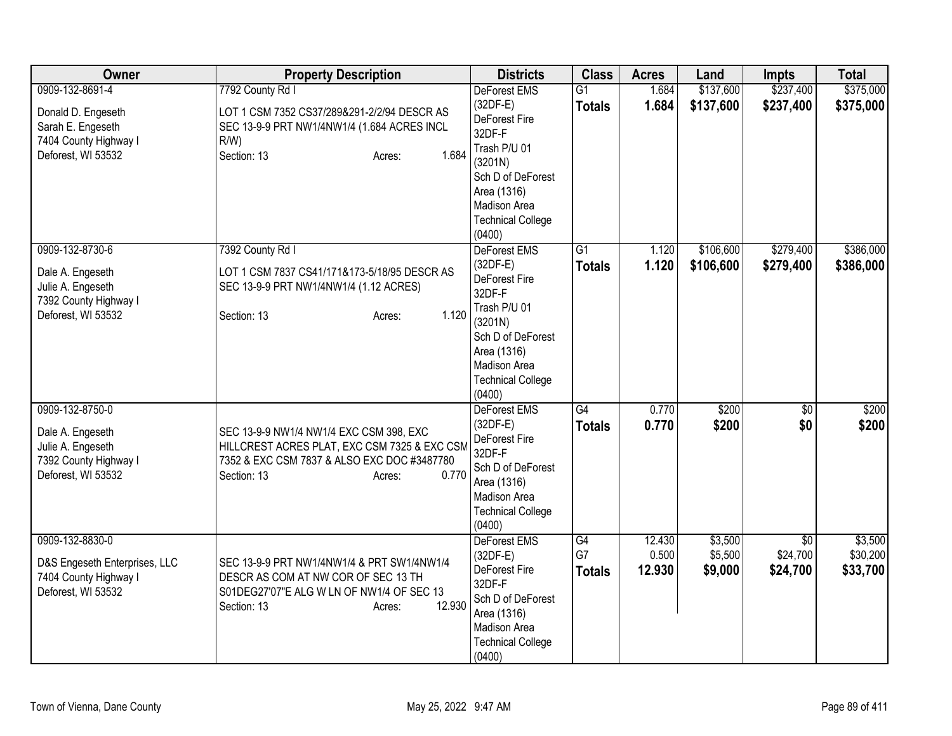| Owner                                                                                                     | <b>Property Description</b>                                                                                                                                              | <b>Districts</b>                                                                                                                                                                            | <b>Class</b>                     | <b>Acres</b>              | Land                          | Impts                                   | <b>Total</b>                    |
|-----------------------------------------------------------------------------------------------------------|--------------------------------------------------------------------------------------------------------------------------------------------------------------------------|---------------------------------------------------------------------------------------------------------------------------------------------------------------------------------------------|----------------------------------|---------------------------|-------------------------------|-----------------------------------------|---------------------------------|
| 0909-132-8691-4<br>Donald D. Engeseth<br>Sarah E. Engeseth<br>7404 County Highway I<br>Deforest, WI 53532 | 7792 County Rd I<br>LOT 1 CSM 7352 CS37/289&291-2/2/94 DESCR AS<br>SEC 13-9-9 PRT NW1/4NW1/4 (1.684 ACRES INCL<br>$R/W$ )<br>1.684<br>Section: 13<br>Acres:              | DeForest EMS<br>$(32DF-E)$<br>DeForest Fire<br>32DF-F<br>Trash P/U 01<br>(3201N)<br>Sch D of DeForest<br>Area (1316)<br>Madison Area<br><b>Technical College</b>                            | $\overline{G1}$<br><b>Totals</b> | 1.684<br>1.684            | \$137,600<br>\$137,600        | \$237,400<br>\$237,400                  | \$375,000<br>\$375,000          |
| 0909-132-8730-6<br>Dale A. Engeseth<br>Julie A. Engeseth<br>7392 County Highway I<br>Deforest, WI 53532   | 7392 County Rd I<br>LOT 1 CSM 7837 CS41/171&173-5/18/95 DESCR AS<br>SEC 13-9-9 PRT NW1/4NW1/4 (1.12 ACRES)<br>1.120<br>Section: 13<br>Acres:                             | (0400)<br>DeForest EMS<br>$(32DF-E)$<br>DeForest Fire<br>32DF-F<br>Trash P/U 01<br>(3201N)<br>Sch D of DeForest<br>Area (1316)<br><b>Madison Area</b><br><b>Technical College</b><br>(0400) | $\overline{G1}$<br><b>Totals</b> | 1.120<br>1.120            | \$106,600<br>\$106,600        | \$279,400<br>\$279,400                  | \$386,000<br>\$386,000          |
| 0909-132-8750-0<br>Dale A. Engeseth<br>Julie A. Engeseth<br>7392 County Highway I<br>Deforest, WI 53532   | SEC 13-9-9 NW1/4 NW1/4 EXC CSM 398, EXC<br>HILLCREST ACRES PLAT, EXC CSM 7325 & EXC CSM<br>7352 & EXC CSM 7837 & ALSO EXC DOC #3487780<br>0.770<br>Section: 13<br>Acres: | <b>DeForest EMS</b><br>$(32DF-E)$<br>DeForest Fire<br>32DF-F<br>Sch D of DeForest<br>Area (1316)<br>Madison Area<br><b>Technical College</b><br>(0400)                                      | G4<br><b>Totals</b>              | 0.770<br>0.770            | \$200<br>\$200                | \$0<br>\$0                              | \$200<br>\$200                  |
| 0909-132-8830-0<br>D&S Engeseth Enterprises, LLC<br>7404 County Highway I<br>Deforest, WI 53532           | SEC 13-9-9 PRT NW1/4NW1/4 & PRT SW1/4NW1/4<br>DESCR AS COM AT NW COR OF SEC 13 TH<br>S01DEG27'07"E ALG W LN OF NW1/4 OF SEC 13<br>12.930<br>Section: 13<br>Acres:        | DeForest EMS<br>$(32DF-E)$<br>DeForest Fire<br>32DF-F<br>Sch D of DeForest<br>Area (1316)<br>Madison Area<br><b>Technical College</b><br>(0400)                                             | G4<br>G7<br><b>Totals</b>        | 12.430<br>0.500<br>12.930 | \$3,500<br>\$5,500<br>\$9,000 | $\overline{50}$<br>\$24,700<br>\$24,700 | \$3,500<br>\$30,200<br>\$33,700 |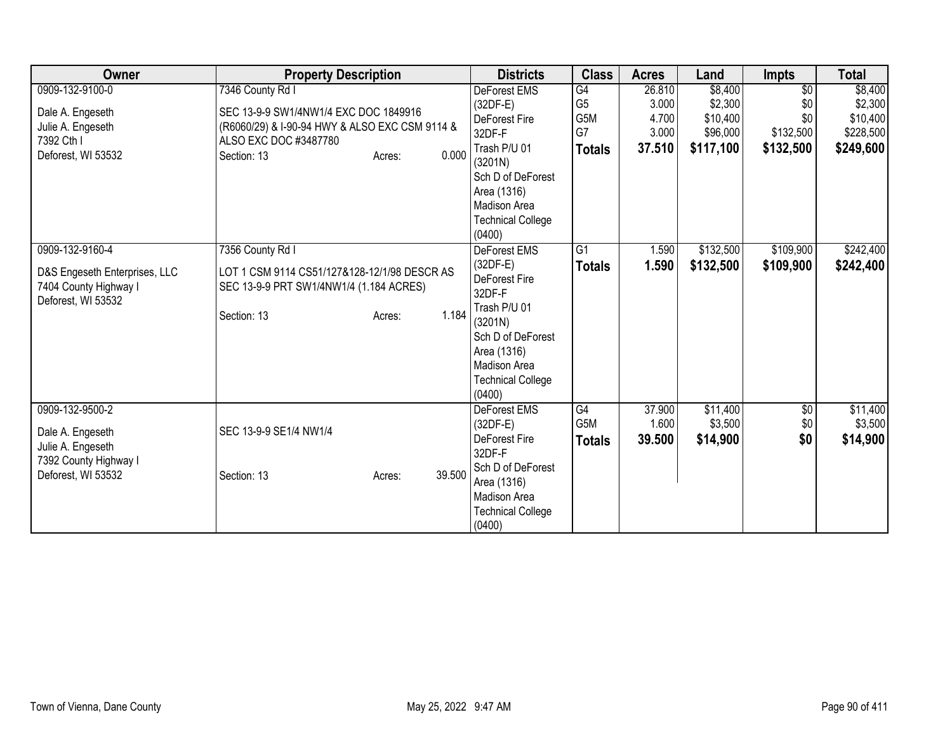| Owner                                                                                                   | <b>Property Description</b>                                                                                                                                            | <b>Districts</b>                                                                                                                                                                  | <b>Class</b>                                                    | <b>Acres</b>                                | Land                                                    | <b>Impts</b>                                            | <b>Total</b>                                             |
|---------------------------------------------------------------------------------------------------------|------------------------------------------------------------------------------------------------------------------------------------------------------------------------|-----------------------------------------------------------------------------------------------------------------------------------------------------------------------------------|-----------------------------------------------------------------|---------------------------------------------|---------------------------------------------------------|---------------------------------------------------------|----------------------------------------------------------|
| 0909-132-9100-0<br>Dale A. Engeseth<br>Julie A. Engeseth<br>7392 Cth I<br>Deforest, WI 53532            | 7346 County Rd I<br>SEC 13-9-9 SW1/4NW1/4 EXC DOC 1849916<br>(R6060/29) & I-90-94 HWY & ALSO EXC CSM 9114 &<br>ALSO EXC DOC #3487780<br>0.000<br>Section: 13<br>Acres: | <b>DeForest EMS</b><br>$(32DF-E)$<br>DeForest Fire<br>32DF-F<br>Trash P/U 01<br>(3201N)<br>Sch D of DeForest<br>Area (1316)<br>Madison Area<br><b>Technical College</b><br>(0400) | $\overline{G4}$<br>G <sub>5</sub><br>G5M<br>G7<br><b>Totals</b> | 26.810<br>3.000<br>4.700<br>3.000<br>37.510 | \$8,400<br>\$2,300<br>\$10,400<br>\$96,000<br>\$117,100 | $\overline{50}$<br>\$0<br>\$0<br>\$132,500<br>\$132,500 | \$8,400<br>\$2,300<br>\$10,400<br>\$228,500<br>\$249,600 |
| 0909-132-9160-4<br>D&S Engeseth Enterprises, LLC<br>7404 County Highway I<br>Deforest, WI 53532         | 7356 County Rd I<br>LOT 1 CSM 9114 CS51/127&128-12/1/98 DESCR AS<br>SEC 13-9-9 PRT SW1/4NW1/4 (1.184 ACRES)<br>1.184<br>Section: 13<br>Acres:                          | DeForest EMS<br>$(32DF-E)$<br><b>DeForest Fire</b><br>32DF-F<br>Trash P/U 01<br>(3201N)<br>Sch D of DeForest<br>Area (1316)<br>Madison Area<br><b>Technical College</b><br>(0400) | G1<br><b>Totals</b>                                             | 1.590<br>1.590                              | \$132,500<br>\$132,500                                  | \$109,900<br>\$109,900                                  | \$242,400<br>\$242,400                                   |
| 0909-132-9500-2<br>Dale A. Engeseth<br>Julie A. Engeseth<br>7392 County Highway I<br>Deforest, WI 53532 | SEC 13-9-9 SE1/4 NW1/4<br>39.500<br>Section: 13<br>Acres:                                                                                                              | <b>DeForest EMS</b><br>$(32DF-E)$<br>DeForest Fire<br>32DF-F<br>Sch D of DeForest<br>Area (1316)<br>Madison Area<br><b>Technical College</b><br>(0400)                            | G4<br>G5M<br><b>Totals</b>                                      | 37.900<br>1.600<br>39.500                   | \$11,400<br>\$3,500<br>\$14,900                         | \$0<br>\$0<br>\$0                                       | \$11,400<br>\$3,500<br>\$14,900                          |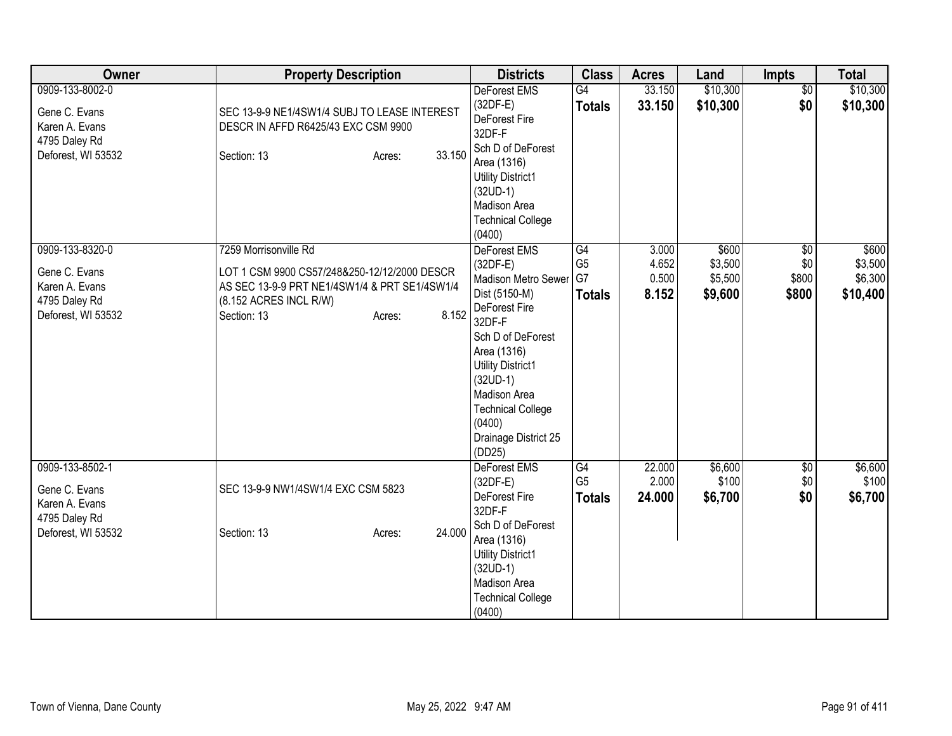| Owner                                                                                     | <b>Property Description</b>                                                                                                                                                        | <b>Districts</b>                                                                                                                                                                                                                                                       | <b>Class</b>                          | <b>Acres</b>                     | Land                                   | <b>Impts</b>                        | <b>Total</b>                            |
|-------------------------------------------------------------------------------------------|------------------------------------------------------------------------------------------------------------------------------------------------------------------------------------|------------------------------------------------------------------------------------------------------------------------------------------------------------------------------------------------------------------------------------------------------------------------|---------------------------------------|----------------------------------|----------------------------------------|-------------------------------------|-----------------------------------------|
| 0909-133-8002-0<br>Gene C. Evans<br>Karen A. Evans<br>4795 Daley Rd<br>Deforest, WI 53532 | SEC 13-9-9 NE1/4SW1/4 SUBJ TO LEASE INTEREST<br>DESCR IN AFFD R6425/43 EXC CSM 9900<br>33.150<br>Section: 13<br>Acres:                                                             | DeForest EMS<br>$(32DF-E)$<br>DeForest Fire<br>32DF-F<br>Sch D of DeForest<br>Area (1316)<br><b>Utility District1</b><br>$(32UD-1)$<br>Madison Area<br><b>Technical College</b><br>(0400)                                                                              | $\overline{G4}$<br><b>Totals</b>      | 33.150<br>33.150                 | \$10,300<br>\$10,300                   | $\overline{50}$<br>\$0              | \$10,300<br>\$10,300                    |
| 0909-133-8320-0<br>Gene C. Evans<br>Karen A. Evans<br>4795 Daley Rd<br>Deforest, WI 53532 | 7259 Morrisonville Rd<br>LOT 1 CSM 9900 CS57/248&250-12/12/2000 DESCR<br>AS SEC 13-9-9 PRT NE1/4SW1/4 & PRT SE1/4SW1/4<br>(8.152 ACRES INCL R/W)<br>8.152<br>Section: 13<br>Acres: | DeForest EMS<br>$(32DF-E)$<br>Madison Metro Sewer G7<br>Dist (5150-M)<br>DeForest Fire<br>32DF-F<br>Sch D of DeForest<br>Area (1316)<br><b>Utility District1</b><br>$(32UD-1)$<br>Madison Area<br><b>Technical College</b><br>(0400)<br>Drainage District 25<br>(DD25) | G4<br>G <sub>5</sub><br><b>Totals</b> | 3.000<br>4.652<br>0.500<br>8.152 | \$600<br>\$3,500<br>\$5,500<br>\$9,600 | $\sqrt{6}$<br>\$0<br>\$800<br>\$800 | \$600<br>\$3,500<br>\$6,300<br>\$10,400 |
| 0909-133-8502-1<br>Gene C. Evans<br>Karen A. Evans<br>4795 Daley Rd<br>Deforest, WI 53532 | SEC 13-9-9 NW1/4SW1/4 EXC CSM 5823<br>24.000<br>Section: 13<br>Acres:                                                                                                              | DeForest EMS<br>$(32DF-E)$<br>DeForest Fire<br>32DF-F<br>Sch D of DeForest<br>Area (1316)<br><b>Utility District1</b><br>$(32UD-1)$<br>Madison Area<br><b>Technical College</b><br>(0400)                                                                              | G4<br>G <sub>5</sub><br><b>Totals</b> | 22.000<br>2.000<br>24.000        | \$6,600<br>\$100<br>\$6,700            | \$0<br>\$0<br>\$0                   | \$6,600<br>\$100<br>\$6,700             |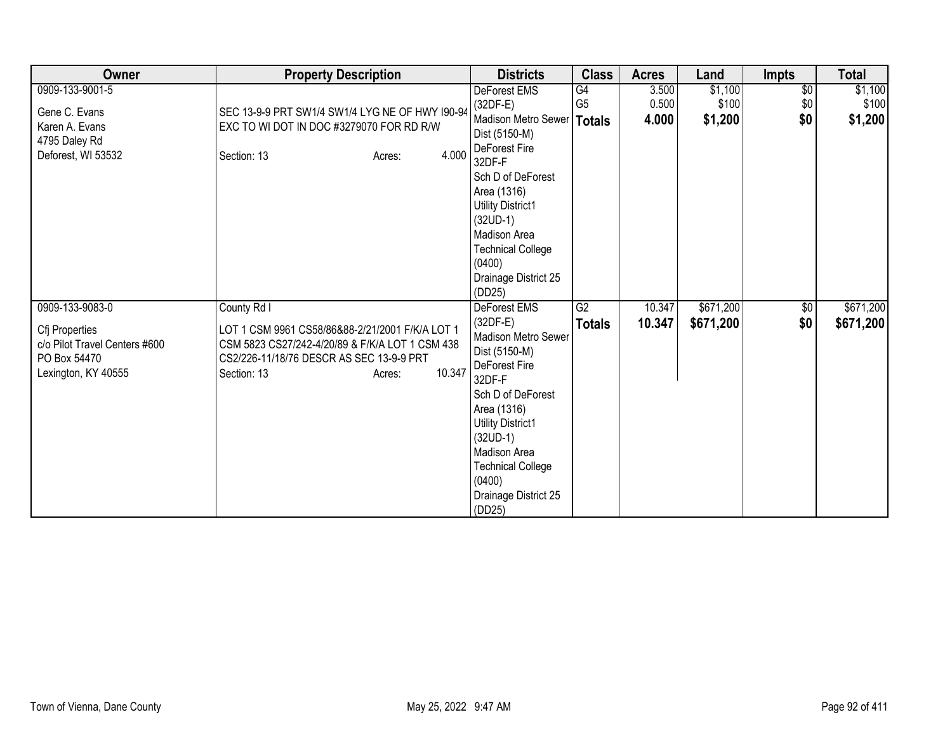| Owner                                                                                                     | <b>Property Description</b>                                                                                                                                                                      | <b>Districts</b>                                                                                                                                                                                                                                                    | <b>Class</b>                                       | <b>Acres</b>            | Land                        | <b>Impts</b>                  | <b>Total</b>                |
|-----------------------------------------------------------------------------------------------------------|--------------------------------------------------------------------------------------------------------------------------------------------------------------------------------------------------|---------------------------------------------------------------------------------------------------------------------------------------------------------------------------------------------------------------------------------------------------------------------|----------------------------------------------------|-------------------------|-----------------------------|-------------------------------|-----------------------------|
| 0909-133-9001-5<br>Gene C. Evans<br>Karen A. Evans<br>4795 Daley Rd<br>Deforest, WI 53532                 | SEC 13-9-9 PRT SW1/4 SW1/4 LYG NE OF HWY 190-94<br>EXC TO WI DOT IN DOC #3279070 FOR RD R/W<br>4.000<br>Section: 13<br>Acres:                                                                    | DeForest EMS<br>$(32DF-E)$<br>Madison Metro Sewer<br>Dist (5150-M)<br>DeForest Fire<br>32DF-F<br>Sch D of DeForest<br>Area (1316)<br>Utility District1<br>$(32UD-1)$<br>Madison Area<br><b>Technical College</b><br>(0400)<br>Drainage District 25<br>(DD25)        | $\overline{G4}$<br>G <sub>5</sub><br><b>Totals</b> | 3.500<br>0.500<br>4.000 | \$1,100<br>\$100<br>\$1,200 | $\overline{50}$<br>\$0<br>\$0 | \$1,100<br>\$100<br>\$1,200 |
| 0909-133-9083-0<br>Cfj Properties<br>c/o Pilot Travel Centers #600<br>PO Box 54470<br>Lexington, KY 40555 | County Rd I<br>LOT 1 CSM 9961 CS58/86&88-2/21/2001 F/K/A LOT 1<br>CSM 5823 CS27/242-4/20/89 & F/K/A LOT 1 CSM 438<br>CS2/226-11/18/76 DESCR AS SEC 13-9-9 PRT<br>10.347<br>Section: 13<br>Acres: | <b>DeForest EMS</b><br>$(32DF-E)$<br>Madison Metro Sewer<br>Dist (5150-M)<br>DeForest Fire<br>32DF-F<br>Sch D of DeForest<br>Area (1316)<br>Utility District1<br>$(32UD-1)$<br>Madison Area<br><b>Technical College</b><br>(0400)<br>Drainage District 25<br>(DD25) | G2<br><b>Totals</b>                                | 10.347<br>10.347        | \$671,200<br>\$671,200      | $\sqrt{6}$<br>\$0             | \$671,200<br>\$671,200      |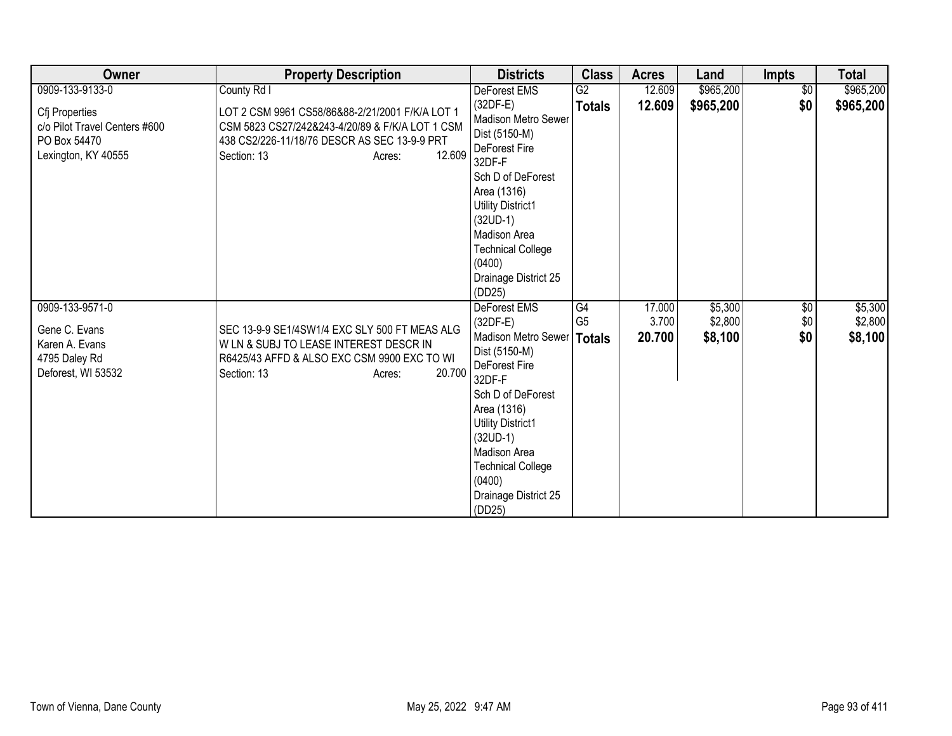| Owner                                                                                  | <b>Property Description</b>                                                                                                                                                           | <b>Districts</b>                                                                                                                                                                                                                               | <b>Class</b>    | <b>Acres</b> | Land      | <b>Impts</b>    | <b>Total</b> |
|----------------------------------------------------------------------------------------|---------------------------------------------------------------------------------------------------------------------------------------------------------------------------------------|------------------------------------------------------------------------------------------------------------------------------------------------------------------------------------------------------------------------------------------------|-----------------|--------------|-----------|-----------------|--------------|
| 0909-133-9133-0                                                                        | County Rd I                                                                                                                                                                           | DeForest EMS                                                                                                                                                                                                                                   | $\overline{G2}$ | 12.609       | \$965,200 | \$0             | \$965,200    |
| Cfj Properties<br>c/o Pilot Travel Centers #600<br>PO Box 54470<br>Lexington, KY 40555 | LOT 2 CSM 9961 CS58/86&88-2/21/2001 F/K/A LOT 1<br>CSM 5823 CS27/242&243-4/20/89 & F/K/A LOT 1 CSM<br>438 CS2/226-11/18/76 DESCR AS SEC 13-9-9 PRT<br>12.609<br>Section: 13<br>Acres: | $(32DF-E)$<br>Madison Metro Sewer<br>Dist (5150-M)<br>DeForest Fire<br>32DF-F<br>Sch D of DeForest<br>Area (1316)<br><b>Utility District1</b><br>$(32UD-1)$<br>Madison Area<br><b>Technical College</b><br>(0400)<br>Drainage District 25      | <b>Totals</b>   | 12.609       | \$965,200 | \$0             | \$965,200    |
| 0909-133-9571-0                                                                        |                                                                                                                                                                                       | (DD25)<br><b>DeForest EMS</b>                                                                                                                                                                                                                  | G4              | 17.000       | \$5,300   | $\overline{60}$ | \$5,300      |
|                                                                                        |                                                                                                                                                                                       | $(32DF-E)$                                                                                                                                                                                                                                     | G <sub>5</sub>  | 3.700        | \$2,800   | \$0             | \$2,800      |
| Gene C. Evans<br>Karen A. Evans<br>4795 Daley Rd<br>Deforest, WI 53532                 | SEC 13-9-9 SE1/4SW1/4 EXC SLY 500 FT MEAS ALG<br>W LN & SUBJ TO LEASE INTEREST DESCR IN<br>R6425/43 AFFD & ALSO EXC CSM 9900 EXC TO WI<br>20.700<br>Section: 13<br>Acres:             | Madison Metro Sewer   Totals<br>Dist (5150-M)<br>DeForest Fire<br>32DF-F<br>Sch D of DeForest<br>Area (1316)<br><b>Utility District1</b><br>$(32UD-1)$<br>Madison Area<br><b>Technical College</b><br>(0400)<br>Drainage District 25<br>(DD25) |                 | 20.700       | \$8,100   | \$0             | \$8,100      |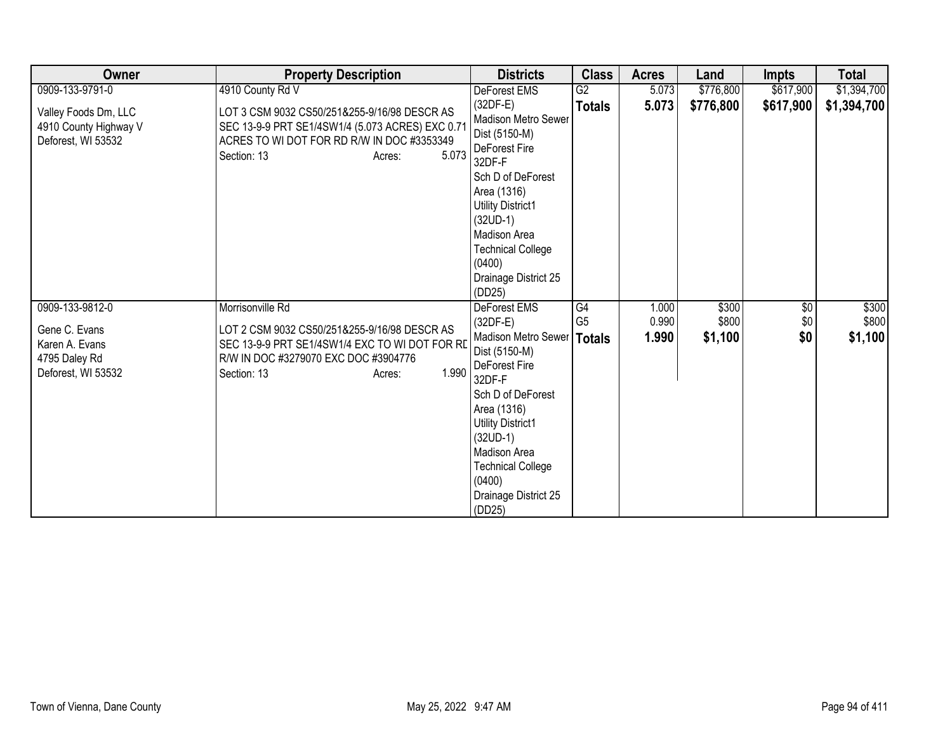| Owner                                                                  | <b>Property Description</b>                                                                                                                                                      | <b>Districts</b>                                                                                                                                                                                                                                                    | <b>Class</b>   | <b>Acres</b>   | Land             | <b>Impts</b> | <b>Total</b>     |
|------------------------------------------------------------------------|----------------------------------------------------------------------------------------------------------------------------------------------------------------------------------|---------------------------------------------------------------------------------------------------------------------------------------------------------------------------------------------------------------------------------------------------------------------|----------------|----------------|------------------|--------------|------------------|
| 0909-133-9791-0                                                        | 4910 County Rd V                                                                                                                                                                 | DeForest EMS                                                                                                                                                                                                                                                        | G2             | 5.073          | \$776,800        | \$617,900    | \$1,394,700      |
| Valley Foods Dm, LLC<br>4910 County Highway V<br>Deforest, WI 53532    | LOT 3 CSM 9032 CS50/251&255-9/16/98 DESCR AS<br>SEC 13-9-9 PRT SE1/4SW1/4 (5.073 ACRES) EXC 0.71<br>ACRES TO WI DOT FOR RD R/W IN DOC #3353349<br>5.073<br>Section: 13<br>Acres: | $(32DF-E)$<br>Madison Metro Sewer<br>Dist (5150-M)<br>DeForest Fire<br>32DF-F                                                                                                                                                                                       | <b>Totals</b>  | 5.073          | \$776,800        | \$617,900    | \$1,394,700      |
|                                                                        |                                                                                                                                                                                  | Sch D of DeForest<br>Area (1316)<br><b>Utility District1</b><br>$(32UD-1)$<br>Madison Area<br><b>Technical College</b><br>(0400)<br>Drainage District 25<br>(DD25)                                                                                                  |                |                |                  |              |                  |
| 0909-133-9812-0                                                        | Morrisonville Rd                                                                                                                                                                 | DeForest EMS                                                                                                                                                                                                                                                        | G4             | 1.000          | \$300            | $\sqrt{6}$   | \$300            |
| Gene C. Evans<br>Karen A. Evans<br>4795 Daley Rd<br>Deforest, WI 53532 | LOT 2 CSM 9032 CS50/251&255-9/16/98 DESCR AS<br>SEC 13-9-9 PRT SE1/4SW1/4 EXC TO WI DOT FOR RD<br>R/W IN DOC #3279070 EXC DOC #3904776<br>1.990<br>Section: 13<br>Acres:         | $(32DF-E)$<br>Madison Metro Sewer   Totals<br>Dist (5150-M)<br>DeForest Fire<br>32DF-F<br>Sch D of DeForest<br>Area (1316)<br><b>Utility District1</b><br>$(32UD-1)$<br><b>Madison Area</b><br><b>Technical College</b><br>(0400)<br>Drainage District 25<br>(DD25) | G <sub>5</sub> | 0.990<br>1.990 | \$800<br>\$1,100 | \$0<br>\$0   | \$800<br>\$1,100 |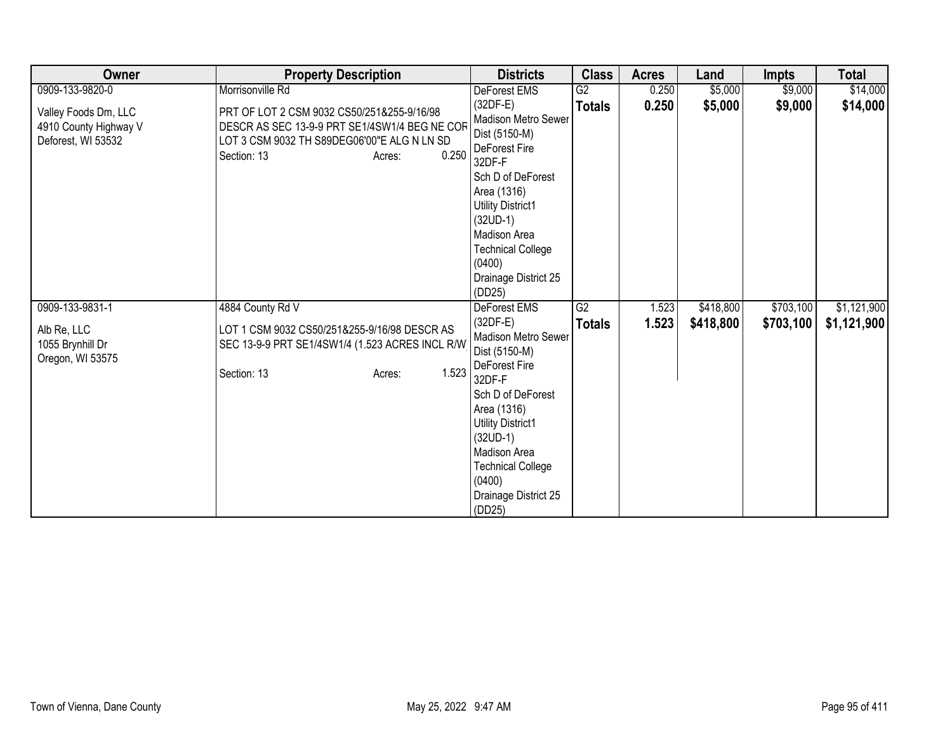| Owner                                                               | <b>Property Description</b>                                                                                                                                                  | <b>Districts</b>                                                                                                                                                                                                                                    | <b>Class</b>  | <b>Acres</b> | Land      | <b>Impts</b> | <b>Total</b> |
|---------------------------------------------------------------------|------------------------------------------------------------------------------------------------------------------------------------------------------------------------------|-----------------------------------------------------------------------------------------------------------------------------------------------------------------------------------------------------------------------------------------------------|---------------|--------------|-----------|--------------|--------------|
| 0909-133-9820-0                                                     | Morrisonville Rd                                                                                                                                                             | DeForest EMS                                                                                                                                                                                                                                        | G2            | 0.250        | \$5,000   | \$9,000      | \$14,000     |
| Valley Foods Dm, LLC<br>4910 County Highway V<br>Deforest, WI 53532 | PRT OF LOT 2 CSM 9032 CS50/251&255-9/16/98<br>DESCR AS SEC 13-9-9 PRT SE1/4SW1/4 BEG NE COF<br>LOT 3 CSM 9032 TH S89DEG06'00"E ALG N LN SD<br>0.250<br>Section: 13<br>Acres: | $(32DF-E)$<br>Madison Metro Sewer<br>Dist (5150-M)<br>DeForest Fire<br>32DF-F<br>Sch D of DeForest<br>Area (1316)<br><b>Utility District1</b><br>$(32UD-1)$<br>Madison Area<br><b>Technical College</b>                                             | <b>Totals</b> | 0.250        | \$5,000   | \$9,000      | \$14,000     |
|                                                                     |                                                                                                                                                                              | (0400)<br>Drainage District 25<br>(DD25)                                                                                                                                                                                                            |               |              |           |              |              |
| 0909-133-9831-1                                                     | 4884 County Rd V                                                                                                                                                             | DeForest EMS                                                                                                                                                                                                                                        | G2            | 1.523        | \$418,800 | \$703,100    | \$1,121,900  |
| Alb Re, LLC<br>1055 Brynhill Dr<br>Oregon, WI 53575                 | LOT 1 CSM 9032 CS50/251&255-9/16/98 DESCR AS<br>SEC 13-9-9 PRT SE1/4SW1/4 (1.523 ACRES INCL R/W)<br>1.523<br>Section: 13<br>Acres:                                           | $(32DF-E)$<br>Madison Metro Sewer<br>Dist (5150-M)<br>DeForest Fire<br>32DF-F<br>Sch D of DeForest<br>Area (1316)<br><b>Utility District1</b><br>$(32UD-1)$<br>Madison Area<br><b>Technical College</b><br>(0400)<br>Drainage District 25<br>(DD25) | <b>Totals</b> | 1.523        | \$418,800 | \$703,100    | \$1,121,900  |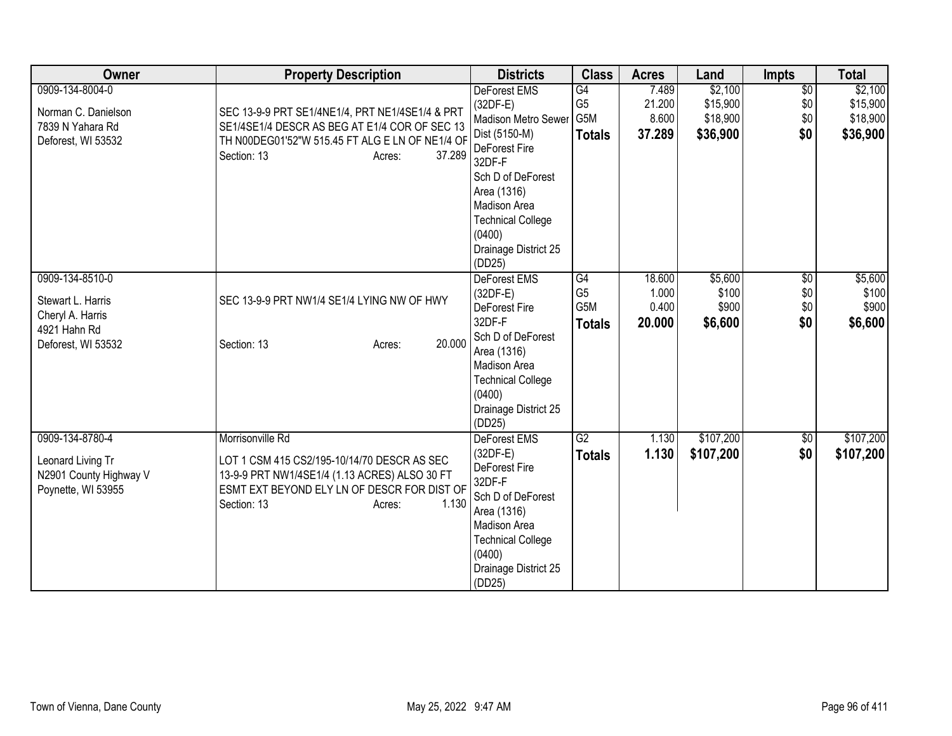| <b>Owner</b>                                                      | <b>Property Description</b>                                                                                                                                                   | <b>Districts</b>                                                                                                                                                  | <b>Class</b>                          | <b>Acres</b>                       | Land                                 | <b>Impts</b>                         | <b>Total</b>                         |
|-------------------------------------------------------------------|-------------------------------------------------------------------------------------------------------------------------------------------------------------------------------|-------------------------------------------------------------------------------------------------------------------------------------------------------------------|---------------------------------------|------------------------------------|--------------------------------------|--------------------------------------|--------------------------------------|
| 0909-134-8004-0<br>Norman C. Danielson                            | SEC 13-9-9 PRT SE1/4NE1/4, PRT NE1/4SE1/4 & PRT                                                                                                                               | DeForest EMS<br>$(32DF-E)$<br>Madison Metro Sewer                                                                                                                 | G4<br>G <sub>5</sub><br>G5M           | 7.489<br>21.200<br>8.600           | \$2,100<br>\$15,900<br>\$18,900      | $\overline{60}$<br>\$0<br>\$0        | \$2,100<br>\$15,900<br>\$18,900      |
| 7839 N Yahara Rd<br>Deforest, WI 53532                            | SE1/4SE1/4 DESCR AS BEG AT E1/4 COR OF SEC 13<br>TH N00DEG01'52"W 515.45 FT ALG E LN OF NE1/4 OF<br>37.289<br>Section: 13<br>Acres:                                           | Dist (5150-M)<br>DeForest Fire<br>32DF-F                                                                                                                          | <b>Totals</b>                         | 37.289                             | \$36,900                             | \$0                                  | \$36,900                             |
|                                                                   |                                                                                                                                                                               | Sch D of DeForest<br>Area (1316)<br>Madison Area<br><b>Technical College</b><br>(0400)                                                                            |                                       |                                    |                                      |                                      |                                      |
|                                                                   |                                                                                                                                                                               | Drainage District 25<br>(DD25)                                                                                                                                    |                                       |                                    |                                      |                                      |                                      |
| 0909-134-8510-0<br>Stewart L. Harris<br>Cheryl A. Harris          | SEC 13-9-9 PRT NW1/4 SE1/4 LYING NW OF HWY                                                                                                                                    | DeForest EMS<br>(32DF-E)<br>DeForest Fire<br>32DF-F                                                                                                               | G4<br>G <sub>5</sub><br>G5M<br>Totals | 18.600<br>1.000<br>0.400<br>20.000 | \$5,600<br>\$100<br>\$900<br>\$6,600 | $\overline{50}$<br>\$0<br>\$0<br>\$0 | \$5,600<br>\$100<br>\$900<br>\$6,600 |
| 4921 Hahn Rd<br>Deforest, WI 53532                                | 20.000<br>Section: 13<br>Acres:                                                                                                                                               | Sch D of DeForest<br>Area (1316)<br>Madison Area<br><b>Technical College</b><br>(0400)<br>Drainage District 25<br>(DD25)                                          |                                       |                                    |                                      |                                      |                                      |
| 0909-134-8780-4                                                   | Morrisonville Rd                                                                                                                                                              | <b>DeForest EMS</b>                                                                                                                                               | G2                                    | 1.130                              | \$107,200                            | \$0                                  | \$107,200                            |
| Leonard Living Tr<br>N2901 County Highway V<br>Poynette, WI 53955 | LOT 1 CSM 415 CS2/195-10/14/70 DESCR AS SEC<br>13-9-9 PRT NW1/4SE1/4 (1.13 ACRES) ALSO 30 FT<br>ESMT EXT BEYOND ELY LN OF DESCR FOR DIST OF<br>1.130<br>Section: 13<br>Acres: | $(32DF-E)$<br>DeForest Fire<br>32DF-F<br>Sch D of DeForest<br>Area (1316)<br>Madison Area<br><b>Technical College</b><br>(0400)<br>Drainage District 25<br>(DD25) | <b>Totals</b>                         | 1.130                              | \$107,200                            | \$0                                  | \$107,200                            |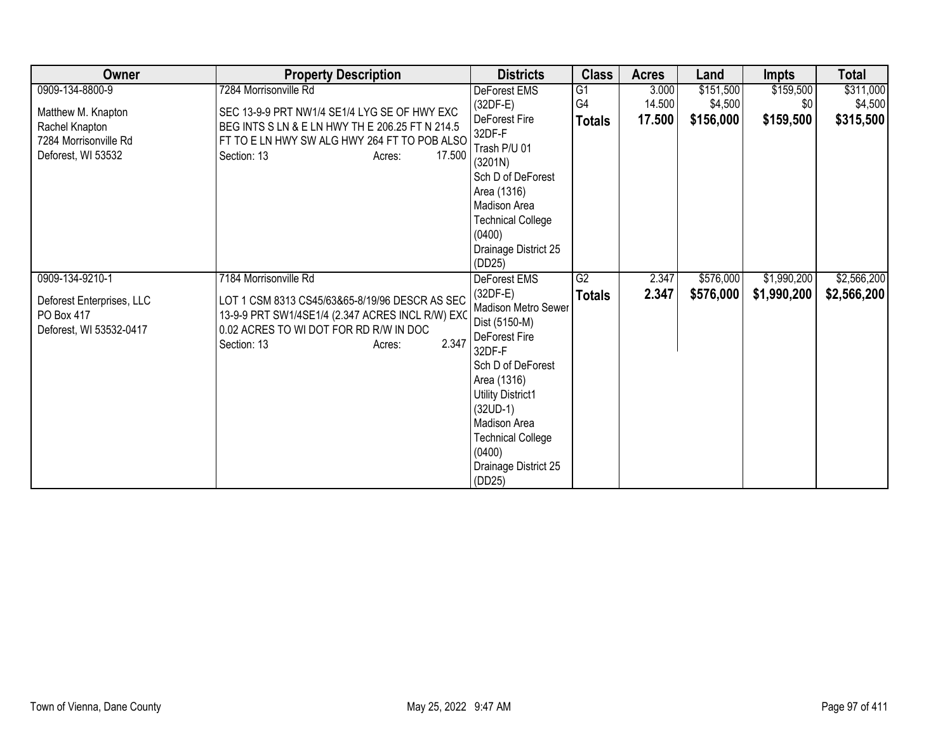| Owner                                   | <b>Property Description</b>                                                                        | <b>Districts</b>                   | <b>Class</b>   | <b>Acres</b> | Land      | <b>Impts</b> | <b>Total</b> |
|-----------------------------------------|----------------------------------------------------------------------------------------------------|------------------------------------|----------------|--------------|-----------|--------------|--------------|
| 0909-134-8800-9                         | 7284 Morrisonville Rd                                                                              | DeForest EMS                       | G1             | 3.000        | \$151,500 | \$159,500    | \$311,000    |
| Matthew M. Knapton                      | SEC 13-9-9 PRT NW1/4 SE1/4 LYG SE OF HWY EXC                                                       | $(32DF-E)$                         | G <sub>4</sub> | 14.500       | \$4,500   | \$0          | \$4,500      |
| Rachel Knapton                          | BEG INTS S LN & E LN HWY TH E 206.25 FT N 214.5                                                    | DeForest Fire                      | <b>Totals</b>  | 17.500       | \$156,000 | \$159,500    | \$315,500    |
| 7284 Morrisonville Rd                   | FT TO E LN HWY SW ALG HWY 264 FT TO POB ALSO                                                       | 32DF-F                             |                |              |           |              |              |
| Deforest, WI 53532                      | 17.500<br>Section: 13<br>Acres:                                                                    | Trash P/U 01                       |                |              |           |              |              |
|                                         |                                                                                                    | (3201N)                            |                |              |           |              |              |
|                                         |                                                                                                    | Sch D of DeForest                  |                |              |           |              |              |
|                                         |                                                                                                    | Area (1316)<br><b>Madison Area</b> |                |              |           |              |              |
|                                         |                                                                                                    | <b>Technical College</b>           |                |              |           |              |              |
|                                         |                                                                                                    | (0400)                             |                |              |           |              |              |
|                                         |                                                                                                    | Drainage District 25               |                |              |           |              |              |
|                                         |                                                                                                    | (DD25)                             |                |              |           |              |              |
| 0909-134-9210-1                         | 7184 Morrisonville Rd                                                                              | <b>DeForest EMS</b>                | G2             | 2.347        | \$576,000 | \$1,990,200  | \$2,566,200  |
|                                         |                                                                                                    | $(32DF-E)$                         | <b>Totals</b>  | 2.347        | \$576,000 | \$1,990,200  | \$2,566,200  |
| Deforest Enterprises, LLC<br>PO Box 417 | LOT 1 CSM 8313 CS45/63&65-8/19/96 DESCR AS SEC<br>13-9-9 PRT SW1/4SE1/4 (2.347 ACRES INCL R/W) EXO | Madison Metro Sewer                |                |              |           |              |              |
| Deforest, WI 53532-0417                 | 0.02 ACRES TO WI DOT FOR RD R/W IN DOC                                                             | Dist (5150-M)                      |                |              |           |              |              |
|                                         | 2.347<br>Section: 13<br>Acres:                                                                     | DeForest Fire                      |                |              |           |              |              |
|                                         |                                                                                                    | 32DF-F                             |                |              |           |              |              |
|                                         |                                                                                                    | Sch D of DeForest                  |                |              |           |              |              |
|                                         |                                                                                                    | Area (1316)                        |                |              |           |              |              |
|                                         |                                                                                                    | Utility District1                  |                |              |           |              |              |
|                                         |                                                                                                    | $(32UD-1)$<br>Madison Area         |                |              |           |              |              |
|                                         |                                                                                                    | <b>Technical College</b>           |                |              |           |              |              |
|                                         |                                                                                                    | (0400)                             |                |              |           |              |              |
|                                         |                                                                                                    | Drainage District 25               |                |              |           |              |              |
|                                         |                                                                                                    | (DD25)                             |                |              |           |              |              |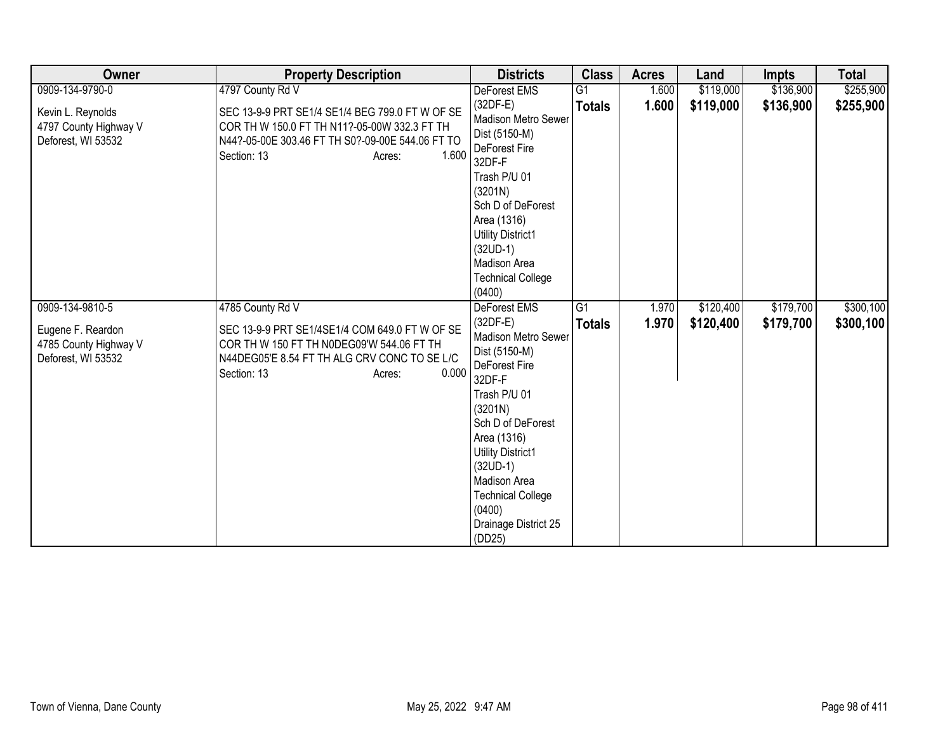| Owner                                                                               | <b>Property Description</b>                                                                                                                                                                       | <b>Districts</b>                                                                                                                                                                                                                                                                               | <b>Class</b>        | <b>Acres</b>   | Land                   | <b>Impts</b>           | <b>Total</b>           |
|-------------------------------------------------------------------------------------|---------------------------------------------------------------------------------------------------------------------------------------------------------------------------------------------------|------------------------------------------------------------------------------------------------------------------------------------------------------------------------------------------------------------------------------------------------------------------------------------------------|---------------------|----------------|------------------------|------------------------|------------------------|
| 0909-134-9790-0                                                                     | 4797 County Rd V                                                                                                                                                                                  | <b>DeForest EMS</b>                                                                                                                                                                                                                                                                            | $\overline{G1}$     | 1.600          | \$119,000              | \$136,900              | \$255,900              |
| Kevin L. Reynolds<br>4797 County Highway V<br>Deforest, WI 53532                    | SEC 13-9-9 PRT SE1/4 SE1/4 BEG 799.0 FT W OF SE<br>COR TH W 150.0 FT TH N11?-05-00W 332.3 FT TH<br>N44?-05-00E 303.46 FT TH S0?-09-00E 544.06 FT TO<br>1.600<br>Section: 13<br>Acres:             | $(32DF-E)$<br>Madison Metro Sewer<br>Dist (5150-M)<br>DeForest Fire<br>32DF-F<br>Trash P/U 01<br>(3201N)<br>Sch D of DeForest<br>Area (1316)<br>Utility District1<br>$(32UD-1)$<br>Madison Area<br><b>Technical College</b><br>(0400)                                                          | <b>Totals</b>       | 1.600          | \$119,000              | \$136,900              | \$255,900              |
| 0909-134-9810-5<br>Eugene F. Reardon<br>4785 County Highway V<br>Deforest, WI 53532 | 4785 County Rd V<br>SEC 13-9-9 PRT SE1/4SE1/4 COM 649.0 FT W OF SE<br>COR TH W 150 FT TH N0DEG09'W 544.06 FT TH<br>N44DEG05'E 8.54 FT TH ALG CRV CONC TO SE L/C<br>0.000<br>Section: 13<br>Acres: | DeForest EMS<br>$(32DF-E)$<br>Madison Metro Sewer<br>Dist (5150-M)<br>DeForest Fire<br>32DF-F<br>Trash P/U 01<br>(3201N)<br>Sch D of DeForest<br>Area (1316)<br><b>Utility District1</b><br>$(32UD-1)$<br>Madison Area<br><b>Technical College</b><br>(0400)<br>Drainage District 25<br>(DD25) | G1<br><b>Totals</b> | 1.970<br>1.970 | \$120,400<br>\$120,400 | \$179,700<br>\$179,700 | \$300,100<br>\$300,100 |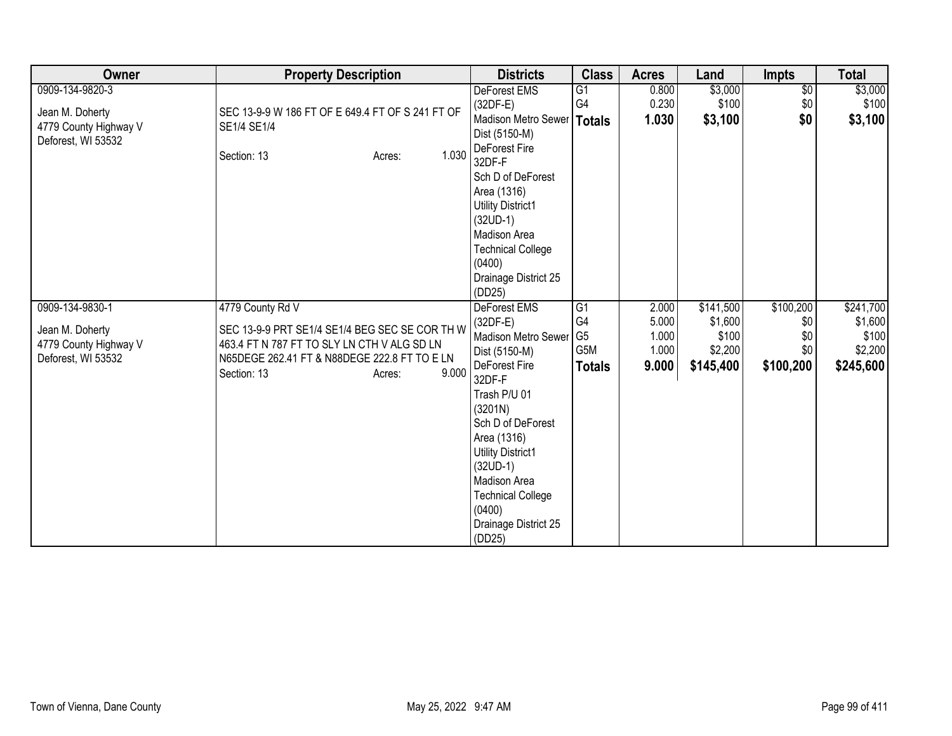| <b>Owner</b>                                                                      | <b>Property Description</b>                                                                                                                                                                         | <b>Districts</b>                                                                                                                                                                                                                                                                               | <b>Class</b>                                                    | <b>Acres</b>                              | Land                                                  | Impts                                       | <b>Total</b>                                          |
|-----------------------------------------------------------------------------------|-----------------------------------------------------------------------------------------------------------------------------------------------------------------------------------------------------|------------------------------------------------------------------------------------------------------------------------------------------------------------------------------------------------------------------------------------------------------------------------------------------------|-----------------------------------------------------------------|-------------------------------------------|-------------------------------------------------------|---------------------------------------------|-------------------------------------------------------|
| 0909-134-9820-3<br>Jean M. Doherty<br>4779 County Highway V<br>Deforest, WI 53532 | SEC 13-9-9 W 186 FT OF E 649.4 FT OF S 241 FT OF<br>SE1/4 SE1/4<br>1.030<br>Section: 13<br>Acres:                                                                                                   | DeForest EMS<br>$(32DF-E)$<br>Madison Metro Sewer   Totals<br>Dist (5150-M)<br>DeForest Fire<br>32DF-F<br>Sch D of DeForest<br>Area (1316)<br><b>Utility District1</b><br>$(32UD-1)$<br>Madison Area<br><b>Technical College</b><br>(0400)<br>Drainage District 25<br>(DD25)                   | G1<br>G4                                                        | 0.800<br>0.230<br>1.030                   | \$3,000<br>\$100<br>\$3,100                           | $\overline{50}$<br>\$0<br>\$0               | \$3,000<br>\$100<br>\$3,100                           |
| 0909-134-9830-1<br>Jean M. Doherty<br>4779 County Highway V<br>Deforest, WI 53532 | 4779 County Rd V<br>SEC 13-9-9 PRT SE1/4 SE1/4 BEG SEC SE COR TH W<br>463.4 FT N 787 FT TO SLY LN CTH V ALG SD LN<br>N65DEGE 262.41 FT & N88DEGE 222.8 FT TO E LN<br>9.000<br>Section: 13<br>Acres: | DeForest EMS<br>$(32DF-E)$<br>Madison Metro Sewer<br>Dist (5150-M)<br>DeForest Fire<br>32DF-F<br>Trash P/U 01<br>(3201N)<br>Sch D of DeForest<br>Area (1316)<br><b>Utility District1</b><br>$(32UD-1)$<br>Madison Area<br><b>Technical College</b><br>(0400)<br>Drainage District 25<br>(DD25) | $\overline{G1}$<br>G4<br>G <sub>5</sub><br>G5M<br><b>Totals</b> | 2.000<br>5.000<br>1.000<br>1.000<br>9.000 | \$141,500<br>\$1,600<br>\$100<br>\$2,200<br>\$145,400 | \$100,200<br>\$0<br>\$0<br>\$0<br>\$100,200 | \$241,700<br>\$1,600<br>\$100<br>\$2,200<br>\$245,600 |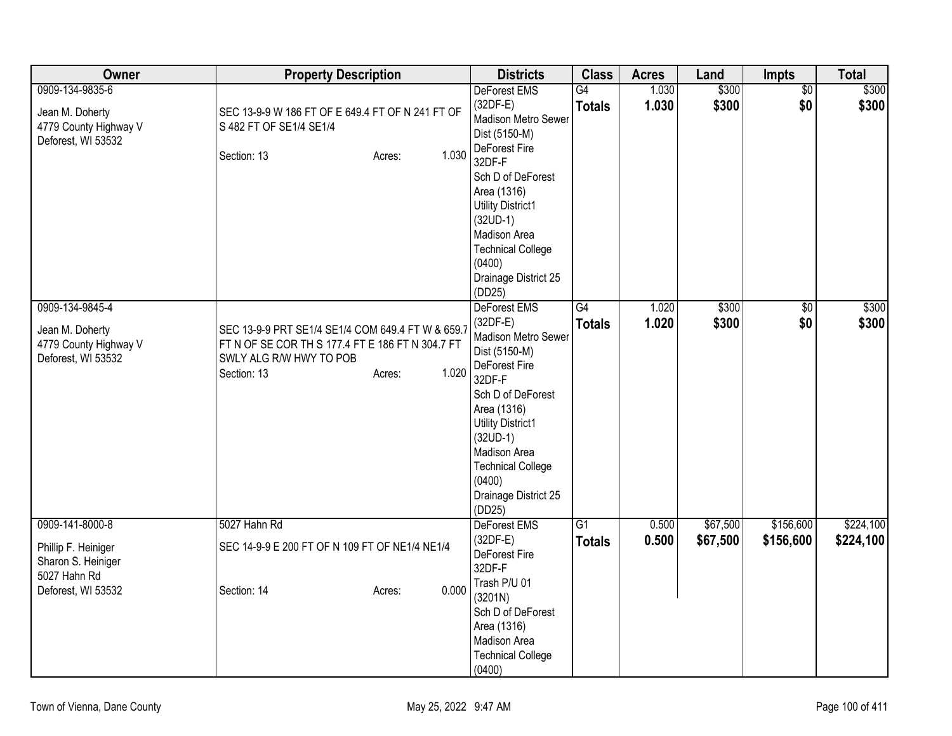| Owner                                                                                              | <b>Property Description</b>                                                                                                                     |                 | <b>Districts</b>                                                                                                                                                                                                                                                    | <b>Class</b>                     | <b>Acres</b>   | Land                 | <b>Impts</b>           | <b>Total</b>           |
|----------------------------------------------------------------------------------------------------|-------------------------------------------------------------------------------------------------------------------------------------------------|-----------------|---------------------------------------------------------------------------------------------------------------------------------------------------------------------------------------------------------------------------------------------------------------------|----------------------------------|----------------|----------------------|------------------------|------------------------|
| 0909-134-9835-6<br>Jean M. Doherty<br>4779 County Highway V<br>Deforest, WI 53532                  | SEC 13-9-9 W 186 FT OF E 649.4 FT OF N 241 FT OF<br>S 482 FT OF SE1/4 SE1/4<br>Section: 13                                                      | 1.030<br>Acres: | DeForest EMS<br>$(32DF-E)$<br>Madison Metro Sewer<br>Dist (5150-M)<br>DeForest Fire<br>32DF-F<br>Sch D of DeForest<br>Area (1316)<br><b>Utility District1</b><br>$(32UD-1)$<br>Madison Area<br><b>Technical College</b><br>(0400)<br>Drainage District 25<br>(DD25) | $\overline{G4}$<br><b>Totals</b> | 1.030<br>1.030 | \$300<br>\$300       | $\overline{50}$<br>\$0 | \$300<br>\$300         |
| 0909-134-9845-4<br>Jean M. Doherty<br>4779 County Highway V<br>Deforest, WI 53532                  | SEC 13-9-9 PRT SE1/4 SE1/4 COM 649.4 FT W & 659.7<br>FT N OF SE COR TH S 177.4 FT E 186 FT N 304.7 FT<br>SWLY ALG R/W HWY TO POB<br>Section: 13 | 1.020<br>Acres: | DeForest EMS<br>$(32DF-E)$<br>Madison Metro Sewer<br>Dist (5150-M)<br>DeForest Fire<br>32DF-F<br>Sch D of DeForest<br>Area (1316)<br><b>Utility District1</b><br>$(32UD-1)$<br>Madison Area<br><b>Technical College</b><br>(0400)<br>Drainage District 25<br>(DD25) | $\overline{G4}$<br><b>Totals</b> | 1.020<br>1.020 | \$300<br>\$300       | $\overline{60}$<br>\$0 | \$300<br>\$300         |
| 0909-141-8000-8<br>Phillip F. Heiniger<br>Sharon S. Heiniger<br>5027 Hahn Rd<br>Deforest, WI 53532 | 5027 Hahn Rd<br>SEC 14-9-9 E 200 FT OF N 109 FT OF NE1/4 NE1/4<br>Section: 14                                                                   | 0.000<br>Acres: | DeForest EMS<br>$(32DF-E)$<br>DeForest Fire<br>32DF-F<br>Trash P/U 01<br>(3201N)<br>Sch D of DeForest<br>Area (1316)<br>Madison Area<br><b>Technical College</b><br>(0400)                                                                                          | $\overline{G1}$<br><b>Totals</b> | 0.500<br>0.500 | \$67,500<br>\$67,500 | \$156,600<br>\$156,600 | \$224,100<br>\$224,100 |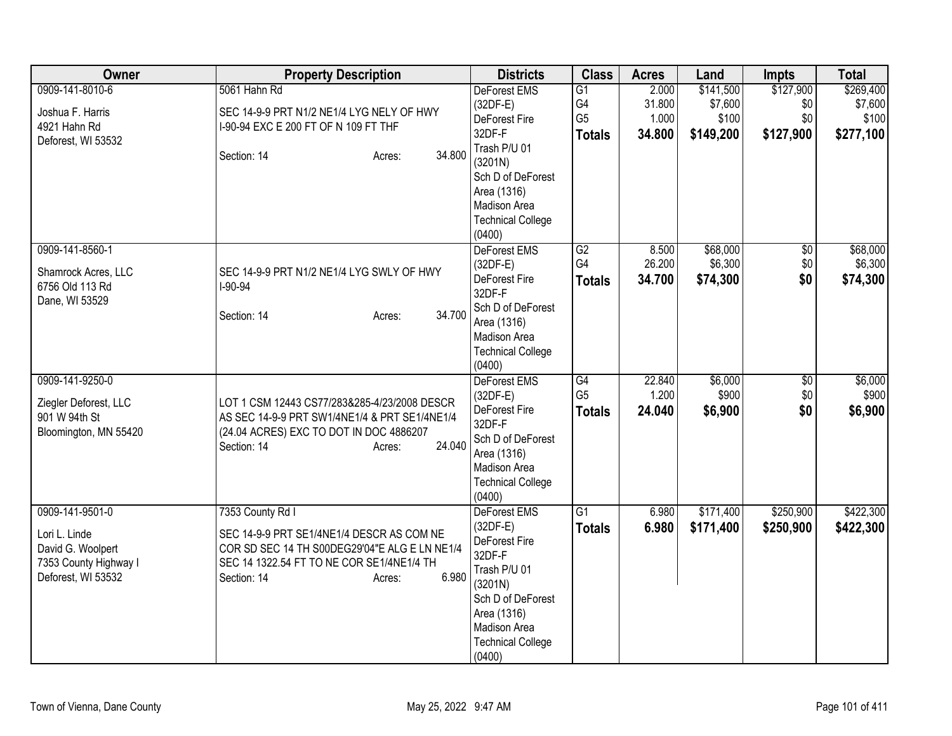| Owner                                                                                                | <b>Property Description</b>                                                                                                                                                                   | <b>Districts</b>                                                                                                                                                         | <b>Class</b>                                            | <b>Acres</b>                       | Land                                       | <b>Impts</b>                         | <b>Total</b>                               |
|------------------------------------------------------------------------------------------------------|-----------------------------------------------------------------------------------------------------------------------------------------------------------------------------------------------|--------------------------------------------------------------------------------------------------------------------------------------------------------------------------|---------------------------------------------------------|------------------------------------|--------------------------------------------|--------------------------------------|--------------------------------------------|
| 0909-141-8010-6<br>Joshua F. Harris<br>4921 Hahn Rd<br>Deforest, WI 53532                            | 5061 Hahn Rd<br>SEC 14-9-9 PRT N1/2 NE1/4 LYG NELY OF HWY<br>I-90-94 EXC E 200 FT OF N 109 FT THF<br>34.800<br>Section: 14<br>Acres:                                                          | DeForest EMS<br>$(32DF-E)$<br>DeForest Fire<br>32DF-F<br>Trash P/U 01<br>(3201N)<br>Sch D of DeForest<br>Area (1316)<br>Madison Area<br><b>Technical College</b>         | G1<br>G <sub>4</sub><br>G <sub>5</sub><br><b>Totals</b> | 2.000<br>31.800<br>1.000<br>34.800 | \$141,500<br>\$7,600<br>\$100<br>\$149,200 | \$127,900<br>\$0<br>\$0<br>\$127,900 | \$269,400<br>\$7,600<br>\$100<br>\$277,100 |
| 0909-141-8560-1<br>Shamrock Acres, LLC<br>6756 Old 113 Rd<br>Dane, WI 53529                          | SEC 14-9-9 PRT N1/2 NE1/4 LYG SWLY OF HWY<br>$I-90-94$<br>34.700<br>Section: 14<br>Acres:                                                                                                     | (0400)<br><b>DeForest EMS</b><br>$(32DF-E)$<br>DeForest Fire<br>32DF-F<br>Sch D of DeForest<br>Area (1316)<br><b>Madison Area</b><br><b>Technical College</b><br>(0400)  | G2<br>G4<br><b>Totals</b>                               | 8.500<br>26.200<br>34.700          | \$68,000<br>\$6,300<br>\$74,300            | $\sqrt{6}$<br>\$0<br>\$0             | \$68,000<br>\$6,300<br>\$74,300            |
| 0909-141-9250-0<br>Ziegler Deforest, LLC<br>901 W 94th St<br>Bloomington, MN 55420                   | LOT 1 CSM 12443 CS77/283&285-4/23/2008 DESCR<br>AS SEC 14-9-9 PRT SW1/4NE1/4 & PRT SE1/4NE1/4<br>(24.04 ACRES) EXC TO DOT IN DOC 4886207<br>24.040<br>Section: 14<br>Acres:                   | DeForest EMS<br>$(32DF-E)$<br>DeForest Fire<br>32DF-F<br>Sch D of DeForest<br>Area (1316)<br>Madison Area<br><b>Technical College</b><br>(0400)                          | G4<br>G <sub>5</sub><br><b>Totals</b>                   | 22.840<br>1.200<br>24.040          | \$6,000<br>\$900<br>\$6,900                | \$0<br>\$0<br>\$0                    | \$6,000<br>\$900<br>\$6,900                |
| 0909-141-9501-0<br>Lori L. Linde<br>David G. Woolpert<br>7353 County Highway I<br>Deforest, WI 53532 | 7353 County Rd I<br>SEC 14-9-9 PRT SE1/4NE1/4 DESCR AS COM NE<br>COR SD SEC 14 TH S00DEG29'04"E ALG E LN NE1/4<br>SEC 14 1322.54 FT TO NE COR SE1/4NE1/4 TH<br>6.980<br>Section: 14<br>Acres: | DeForest EMS<br>(32DF-E)<br>DeForest Fire<br>32DF-F<br>Trash P/U 01<br>(3201N)<br>Sch D of DeForest<br>Area (1316)<br>Madison Area<br><b>Technical College</b><br>(0400) | G1<br><b>Totals</b>                                     | 6.980<br>6.980                     | \$171,400<br>\$171,400                     | \$250,900<br>\$250,900               | \$422,300<br>\$422,300                     |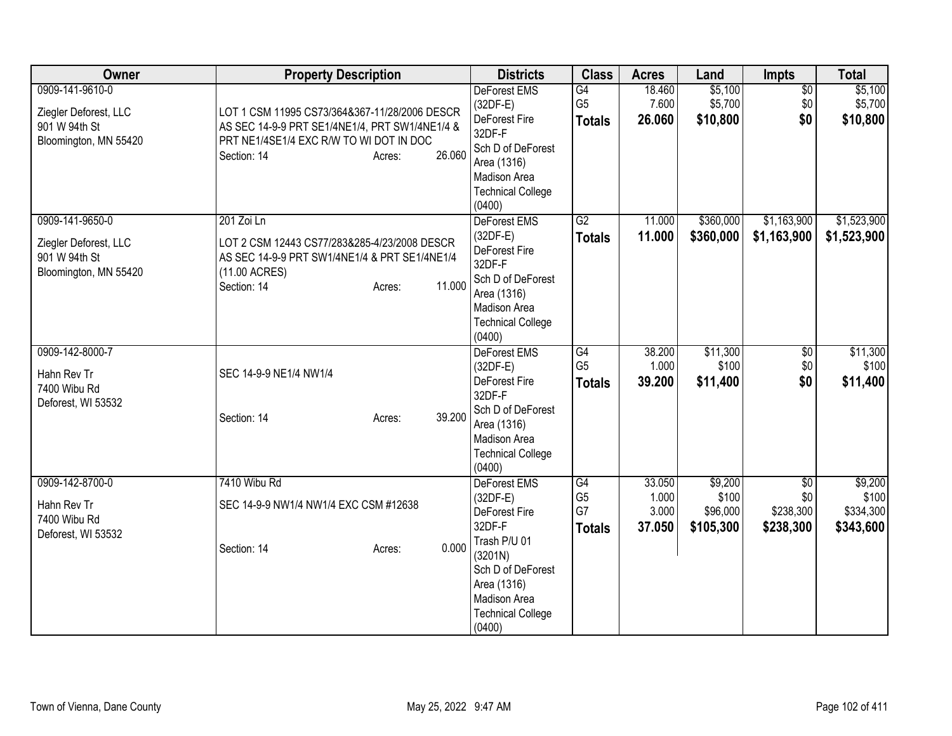| Owner                                                                              | <b>Property Description</b>                                                                                                                                                   | <b>Districts</b>                                                                                                                                                           | <b>Class</b>                                | <b>Acres</b>                       | Land                                      | Impts                                            | <b>Total</b>                               |
|------------------------------------------------------------------------------------|-------------------------------------------------------------------------------------------------------------------------------------------------------------------------------|----------------------------------------------------------------------------------------------------------------------------------------------------------------------------|---------------------------------------------|------------------------------------|-------------------------------------------|--------------------------------------------------|--------------------------------------------|
| 0909-141-9610-0<br>Ziegler Deforest, LLC<br>901 W 94th St<br>Bloomington, MN 55420 | LOT 1 CSM 11995 CS73/364&367-11/28/2006 DESCR<br>AS SEC 14-9-9 PRT SE1/4NE1/4, PRT SW1/4NE1/4 &<br>PRT NE1/4SE1/4 EXC R/W TO WI DOT IN DOC<br>26.060<br>Section: 14<br>Acres: | <b>DeForest EMS</b><br>$(32DF-E)$<br>DeForest Fire<br>32DF-F<br>Sch D of DeForest<br>Area (1316)<br>Madison Area<br><b>Technical College</b><br>(0400)                     | G4<br>G <sub>5</sub><br><b>Totals</b>       | 18.460<br>7.600<br>26.060          | \$5,100<br>\$5,700<br>\$10,800            | $\overline{50}$<br>\$0<br>\$0                    | \$5,100<br>\$5,700<br>\$10,800             |
| 0909-141-9650-0<br>Ziegler Deforest, LLC<br>901 W 94th St<br>Bloomington, MN 55420 | 201 Zoi Ln<br>LOT 2 CSM 12443 CS77/283&285-4/23/2008 DESCR<br>AS SEC 14-9-9 PRT SW1/4NE1/4 & PRT SE1/4NE1/4<br>(11.00 ACRES)<br>11.000<br>Section: 14<br>Acres:               | DeForest EMS<br>$(32DF-E)$<br>DeForest Fire<br>32DF-F<br>Sch D of DeForest<br>Area (1316)<br>Madison Area<br><b>Technical College</b><br>(0400)                            | $\overline{G2}$<br><b>Totals</b>            | 11.000<br>11.000                   | \$360,000<br>\$360,000                    | \$1,163,900<br>\$1,163,900                       | \$1,523,900<br>\$1,523,900                 |
| 0909-142-8000-7<br>Hahn Rev Tr<br>7400 Wibu Rd<br>Deforest, WI 53532               | SEC 14-9-9 NE1/4 NW1/4<br>39.200<br>Section: 14<br>Acres:                                                                                                                     | <b>DeForest EMS</b><br>$(32DF-E)$<br>DeForest Fire<br>32DF-F<br>Sch D of DeForest<br>Area (1316)<br>Madison Area<br><b>Technical College</b><br>(0400)                     | G4<br>G <sub>5</sub><br><b>Totals</b>       | 38.200<br>1.000<br>39.200          | \$11,300<br>\$100<br>\$11,400             | \$0<br>\$0<br>\$0                                | \$11,300<br>\$100<br>\$11,400              |
| 0909-142-8700-0<br>Hahn Rev Tr<br>7400 Wibu Rd<br>Deforest, WI 53532               | 7410 Wibu Rd<br>SEC 14-9-9 NW1/4 NW1/4 EXC CSM #12638<br>0.000<br>Section: 14<br>Acres:                                                                                       | DeForest EMS<br>$(32DF-E)$<br>DeForest Fire<br>32DF-F<br>Trash P/U 01<br>(3201N)<br>Sch D of DeForest<br>Area (1316)<br>Madison Area<br><b>Technical College</b><br>(0400) | G4<br>G <sub>5</sub><br>G7<br><b>Totals</b> | 33.050<br>1.000<br>3.000<br>37.050 | \$9,200<br>\$100<br>\$96,000<br>\$105,300 | $\overline{50}$<br>\$0<br>\$238,300<br>\$238,300 | \$9,200<br>\$100<br>\$334,300<br>\$343,600 |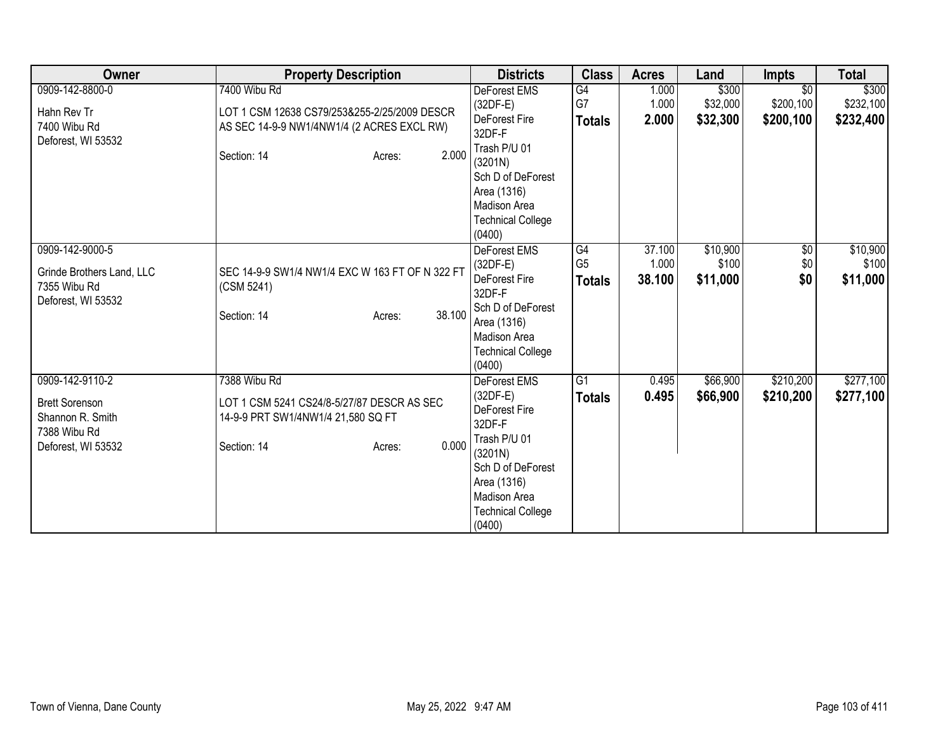| Owner                                                                                              | <b>Property Description</b>                                                                                                                  | <b>Districts</b>                                                                                                                                                                  | <b>Class</b>                          | <b>Acres</b>              | Land                          | <b>Impts</b>                              | <b>Total</b>                    |
|----------------------------------------------------------------------------------------------------|----------------------------------------------------------------------------------------------------------------------------------------------|-----------------------------------------------------------------------------------------------------------------------------------------------------------------------------------|---------------------------------------|---------------------------|-------------------------------|-------------------------------------------|---------------------------------|
| 0909-142-8800-0<br>Hahn Rev Tr<br>7400 Wibu Rd<br>Deforest, WI 53532                               | 7400 Wibu Rd<br>LOT 1 CSM 12638 CS79/253&255-2/25/2009 DESCR<br>AS SEC 14-9-9 NW1/4NW1/4 (2 ACRES EXCL RW)<br>2.000<br>Section: 14<br>Acres: | <b>DeForest EMS</b><br>$(32DF-E)$<br>DeForest Fire<br>32DF-F<br>Trash P/U 01<br>(3201N)<br>Sch D of DeForest<br>Area (1316)<br>Madison Area<br><b>Technical College</b><br>(0400) | G4<br>G7<br><b>Totals</b>             | 1.000<br>1.000<br>2.000   | \$300<br>\$32,000<br>\$32,300 | $\overline{30}$<br>\$200,100<br>\$200,100 | \$300<br>\$232,100<br>\$232,400 |
| 0909-142-9000-5<br>Grinde Brothers Land, LLC<br>7355 Wibu Rd<br>Deforest, WI 53532                 | SEC 14-9-9 SW1/4 NW1/4 EXC W 163 FT OF N 322 FT<br>(CSM 5241)<br>38.100<br>Section: 14<br>Acres:                                             | <b>DeForest EMS</b><br>$(32DF-E)$<br>DeForest Fire<br>32DF-F<br>Sch D of DeForest<br>Area (1316)<br>Madison Area<br><b>Technical College</b><br>(0400)                            | G4<br>G <sub>5</sub><br><b>Totals</b> | 37.100<br>1.000<br>38.100 | \$10,900<br>\$100<br>\$11,000 | $\sqrt{6}$<br>\$0<br>\$0                  | \$10,900<br>\$100<br>\$11,000   |
| 0909-142-9110-2<br><b>Brett Sorenson</b><br>Shannon R. Smith<br>7388 Wibu Rd<br>Deforest, WI 53532 | 7388 Wibu Rd<br>LOT 1 CSM 5241 CS24/8-5/27/87 DESCR AS SEC<br>14-9-9 PRT SW1/4NW1/4 21,580 SQ FT<br>0.000<br>Section: 14<br>Acres:           | DeForest EMS<br>$(32DF-E)$<br>DeForest Fire<br>32DF-F<br>Trash P/U 01<br>(3201N)<br>Sch D of DeForest<br>Area (1316)<br>Madison Area<br><b>Technical College</b><br>(0400)        | $\overline{G1}$<br><b>Totals</b>      | 0.495<br>0.495            | \$66,900<br>\$66,900          | \$210,200<br>\$210,200                    | \$277,100<br>\$277,100          |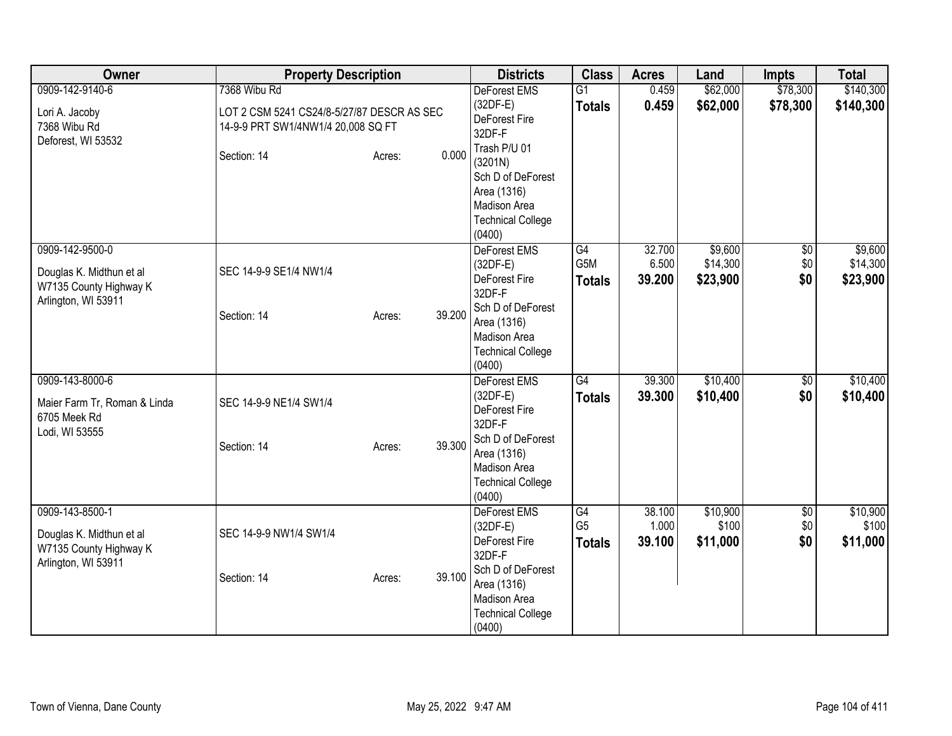| Owner                                                                                        | <b>Property Description</b>                                                                      | <b>Districts</b>                                                                                                                                                        | <b>Class</b>                          | <b>Acres</b>              | Land                            | Impts                         | <b>Total</b>                    |
|----------------------------------------------------------------------------------------------|--------------------------------------------------------------------------------------------------|-------------------------------------------------------------------------------------------------------------------------------------------------------------------------|---------------------------------------|---------------------------|---------------------------------|-------------------------------|---------------------------------|
| 0909-142-9140-6<br>Lori A. Jacoby<br>7368 Wibu Rd                                            | 7368 Wibu Rd<br>LOT 2 CSM 5241 CS24/8-5/27/87 DESCR AS SEC<br>14-9-9 PRT SW1/4NW1/4 20,008 SQ FT | DeForest EMS<br>$(32DF-E)$<br>DeForest Fire<br>32DF-F                                                                                                                   | $\overline{G1}$<br><b>Totals</b>      | 0.459<br>0.459            | \$62,000<br>\$62,000            | \$78,300<br>\$78,300          | \$140,300<br>\$140,300          |
| Deforest, WI 53532                                                                           | 0.000<br>Section: 14<br>Acres:                                                                   | Trash P/U 01<br>(3201N)<br>Sch D of DeForest<br>Area (1316)<br>Madison Area<br><b>Technical College</b><br>(0400)                                                       |                                       |                           |                                 |                               |                                 |
| 0909-142-9500-0<br>Douglas K. Midthun et al<br>W7135 County Highway K<br>Arlington, WI 53911 | SEC 14-9-9 SE1/4 NW1/4<br>39.200<br>Section: 14<br>Acres:                                        | DeForest EMS<br>$(32DF-E)$<br>DeForest Fire<br>32DF-F<br>Sch D of DeForest<br>Area (1316)<br>Madison Area<br><b>Technical College</b>                                   | G4<br>G5M<br><b>Totals</b>            | 32.700<br>6.500<br>39.200 | \$9,600<br>\$14,300<br>\$23,900 | \$0<br>\$0<br>\$0             | \$9,600<br>\$14,300<br>\$23,900 |
| 0909-143-8000-6<br>Maier Farm Tr, Roman & Linda<br>6705 Meek Rd<br>Lodi, WI 53555            | SEC 14-9-9 NE1/4 SW1/4<br>39.300<br>Section: 14<br>Acres:                                        | (0400)<br><b>DeForest EMS</b><br>$(32DF-E)$<br><b>DeForest Fire</b><br>32DF-F<br>Sch D of DeForest<br>Area (1316)<br>Madison Area<br><b>Technical College</b><br>(0400) | G4<br><b>Totals</b>                   | 39.300<br>39.300          | \$10,400<br>\$10,400            | \$0<br>\$0                    | \$10,400<br>\$10,400            |
| 0909-143-8500-1<br>Douglas K. Midthun et al<br>W7135 County Highway K<br>Arlington, WI 53911 | SEC 14-9-9 NW1/4 SW1/4<br>39.100<br>Section: 14<br>Acres:                                        | DeForest EMS<br>$(32DF-E)$<br>DeForest Fire<br>32DF-F<br>Sch D of DeForest<br>Area (1316)<br>Madison Area<br><b>Technical College</b><br>(0400)                         | G4<br>G <sub>5</sub><br><b>Totals</b> | 38.100<br>1.000<br>39.100 | \$10,900<br>\$100<br>\$11,000   | $\overline{60}$<br>\$0<br>\$0 | \$10,900<br>\$100<br>\$11,000   |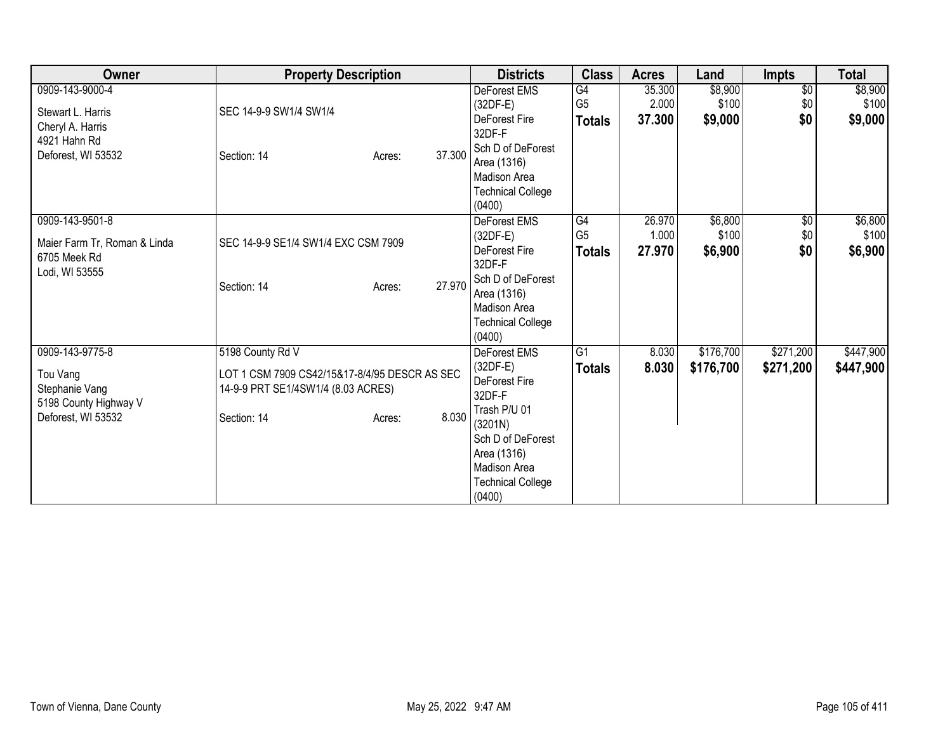| Owner                                                                                          | <b>Property Description</b>                                                                                                               | <b>Districts</b>                                                                                                                                                                  | <b>Class</b>                          | <b>Acres</b>              | Land                        | <b>Impts</b>                  | <b>Total</b>                |
|------------------------------------------------------------------------------------------------|-------------------------------------------------------------------------------------------------------------------------------------------|-----------------------------------------------------------------------------------------------------------------------------------------------------------------------------------|---------------------------------------|---------------------------|-----------------------------|-------------------------------|-----------------------------|
| 0909-143-9000-4<br>Stewart L. Harris<br>Cheryl A. Harris<br>4921 Hahn Rd<br>Deforest, WI 53532 | SEC 14-9-9 SW1/4 SW1/4<br>37.300<br>Section: 14<br>Acres:                                                                                 | DeForest EMS<br>$(32DF-E)$<br>DeForest Fire<br>32DF-F<br>Sch D of DeForest<br>Area (1316)<br>Madison Area<br><b>Technical College</b><br>(0400)                                   | G4<br>G <sub>5</sub><br><b>Totals</b> | 35.300<br>2.000<br>37.300 | \$8,900<br>\$100<br>\$9,000 | $\overline{50}$<br>\$0<br>\$0 | \$8,900<br>\$100<br>\$9,000 |
| 0909-143-9501-8<br>Maier Farm Tr, Roman & Linda<br>6705 Meek Rd<br>Lodi, WI 53555              | SEC 14-9-9 SE1/4 SW1/4 EXC CSM 7909<br>27.970<br>Section: 14<br>Acres:                                                                    | <b>DeForest EMS</b><br>$(32DF-E)$<br>DeForest Fire<br>32DF-F<br>Sch D of DeForest<br>Area (1316)<br>Madison Area<br><b>Technical College</b><br>(0400)                            | G4<br>G <sub>5</sub><br><b>Totals</b> | 26.970<br>1.000<br>27.970 | \$6,800<br>\$100<br>\$6,900 | \$0<br>\$0<br>\$0             | \$6,800<br>\$100<br>\$6,900 |
| 0909-143-9775-8<br>Tou Vang<br>Stephanie Vang<br>5198 County Highway V<br>Deforest, WI 53532   | 5198 County Rd V<br>LOT 1 CSM 7909 CS42/15&17-8/4/95 DESCR AS SEC<br>14-9-9 PRT SE1/4SW1/4 (8.03 ACRES)<br>8.030<br>Section: 14<br>Acres: | <b>DeForest EMS</b><br>$(32DF-E)$<br>DeForest Fire<br>32DF-F<br>Trash P/U 01<br>(3201N)<br>Sch D of DeForest<br>Area (1316)<br>Madison Area<br><b>Technical College</b><br>(0400) | $\overline{G1}$<br><b>Totals</b>      | 8.030<br>8.030            | \$176,700<br>\$176,700      | \$271,200<br>\$271,200        | \$447,900<br>\$447,900      |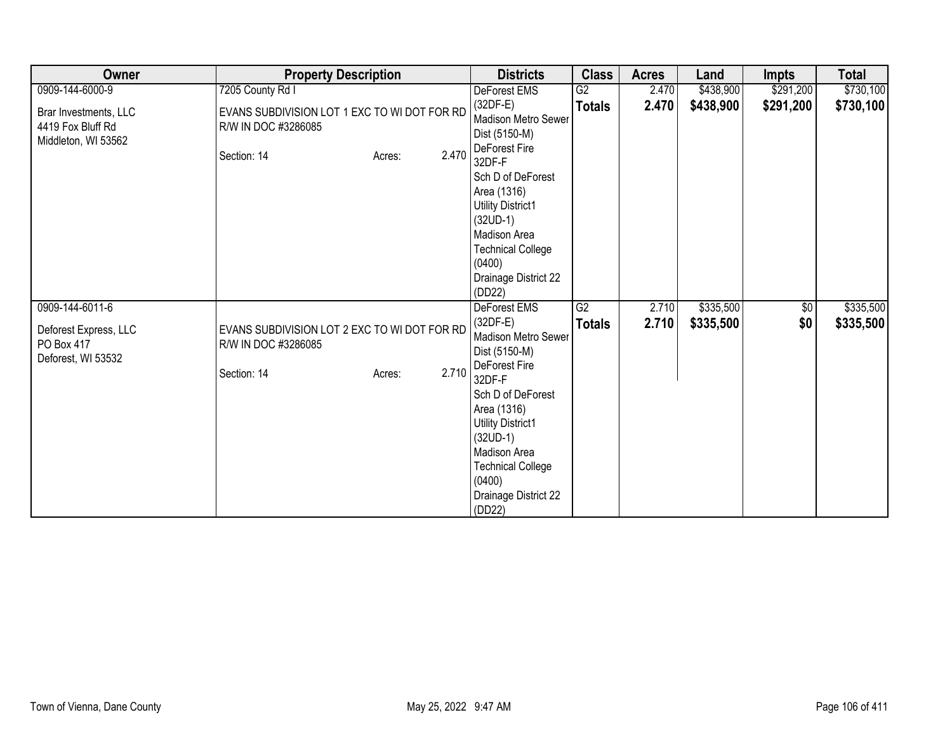| Owner                                                             | <b>Property Description</b>                                                                           | <b>Districts</b>                                                                                                                                                                                 | <b>Class</b>  | <b>Acres</b> | Land      | <b>Impts</b> | <b>Total</b> |
|-------------------------------------------------------------------|-------------------------------------------------------------------------------------------------------|--------------------------------------------------------------------------------------------------------------------------------------------------------------------------------------------------|---------------|--------------|-----------|--------------|--------------|
| 0909-144-6000-9                                                   | 7205 County Rd I                                                                                      | DeForest EMS                                                                                                                                                                                     | G2            | 2.470        | \$438,900 | \$291,200    | \$730,100    |
| Brar Investments, LLC<br>4419 Fox Bluff Rd<br>Middleton, WI 53562 | EVANS SUBDIVISION LOT 1 EXC TO WI DOT FOR RD<br>R/W IN DOC #3286085<br>2.470<br>Section: 14<br>Acres: | $(32DF-E)$<br>Madison Metro Sewer<br>Dist (5150-M)<br>DeForest Fire<br>32DF-F                                                                                                                    | <b>Totals</b> | 2.470        | \$438,900 | \$291,200    | \$730,100    |
|                                                                   |                                                                                                       | Sch D of DeForest<br>Area (1316)<br>Utility District1<br>$(32UD-1)$<br>Madison Area<br><b>Technical College</b><br>(0400)<br>Drainage District 22<br>(DD22)                                      |               |              |           |              |              |
| 0909-144-6011-6                                                   |                                                                                                       | <b>DeForest EMS</b>                                                                                                                                                                              | G2            | 2.710        | \$335,500 | $\sqrt{6}$   | \$335,500    |
| Deforest Express, LLC<br>PO Box 417<br>Deforest, WI 53532         | EVANS SUBDIVISION LOT 2 EXC TO WI DOT FOR RD<br>R/W IN DOC #3286085<br>2.710<br>Section: 14<br>Acres: | $(32DF-E)$<br>Madison Metro Sewer<br>Dist (5150-M)<br>DeForest Fire<br>32DF-F<br>Sch D of DeForest<br>Area (1316)<br>Utility District1<br>$(32UD-1)$<br>Madison Area<br><b>Technical College</b> | <b>Totals</b> | 2.710        | \$335,500 | \$0          | \$335,500    |
|                                                                   |                                                                                                       | (0400)<br>Drainage District 22<br>(DD22)                                                                                                                                                         |               |              |           |              |              |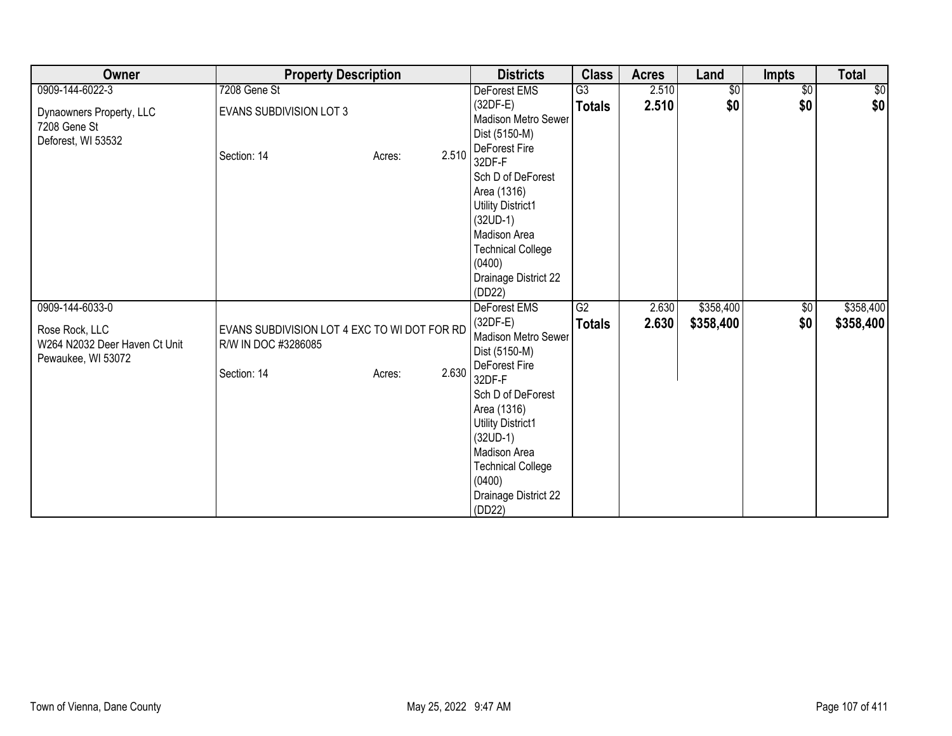| Owner                                                                 | <b>Property Description</b>                                                        |        |       | <b>Districts</b>                                                                                                                                                                                                                             | <b>Class</b>    | <b>Acres</b> | Land       | <b>Impts</b>    | <b>Total</b> |
|-----------------------------------------------------------------------|------------------------------------------------------------------------------------|--------|-------|----------------------------------------------------------------------------------------------------------------------------------------------------------------------------------------------------------------------------------------------|-----------------|--------------|------------|-----------------|--------------|
| 0909-144-6022-3                                                       | 7208 Gene St                                                                       |        |       | DeForest EMS                                                                                                                                                                                                                                 | G3              | 2.510        | $\sqrt{6}$ | $\overline{50}$ | $\sqrt{6}$   |
| Dynaowners Property, LLC<br>7208 Gene St<br>Deforest, WI 53532        | <b>EVANS SUBDIVISION LOT 3</b>                                                     |        |       | $(32DF-E)$<br><b>Madison Metro Sewer</b><br>Dist (5150-M)                                                                                                                                                                                    | <b>Totals</b>   | 2.510        | \$0        | \$0             | \$0          |
|                                                                       | Section: 14                                                                        | Acres: | 2.510 | DeForest Fire<br>32DF-F<br>Sch D of DeForest<br>Area (1316)<br><b>Utility District1</b><br>$(32UD-1)$<br>Madison Area<br><b>Technical College</b><br>(0400)<br>Drainage District 22<br>(DD22)                                                |                 |              |            |                 |              |
| 0909-144-6033-0                                                       |                                                                                    |        |       | <b>DeForest EMS</b>                                                                                                                                                                                                                          | $\overline{G2}$ | 2.630        | \$358,400  | $\sqrt{6}$      | \$358,400    |
| Rose Rock, LLC<br>W264 N2032 Deer Haven Ct Unit<br>Pewaukee, WI 53072 | EVANS SUBDIVISION LOT 4 EXC TO WI DOT FOR RD<br>R/W IN DOC #3286085<br>Section: 14 | Acres: | 2.630 | $(32DF-E)$<br>Madison Metro Sewer<br>Dist (5150-M)<br>DeForest Fire<br>32DF-F<br>Sch D of DeForest<br>Area (1316)<br>Utility District1<br>$(32UD-1)$<br>Madison Area<br><b>Technical College</b><br>(0400)<br>Drainage District 22<br>(DD22) | <b>Totals</b>   | 2.630        | \$358,400  | \$0             | \$358,400    |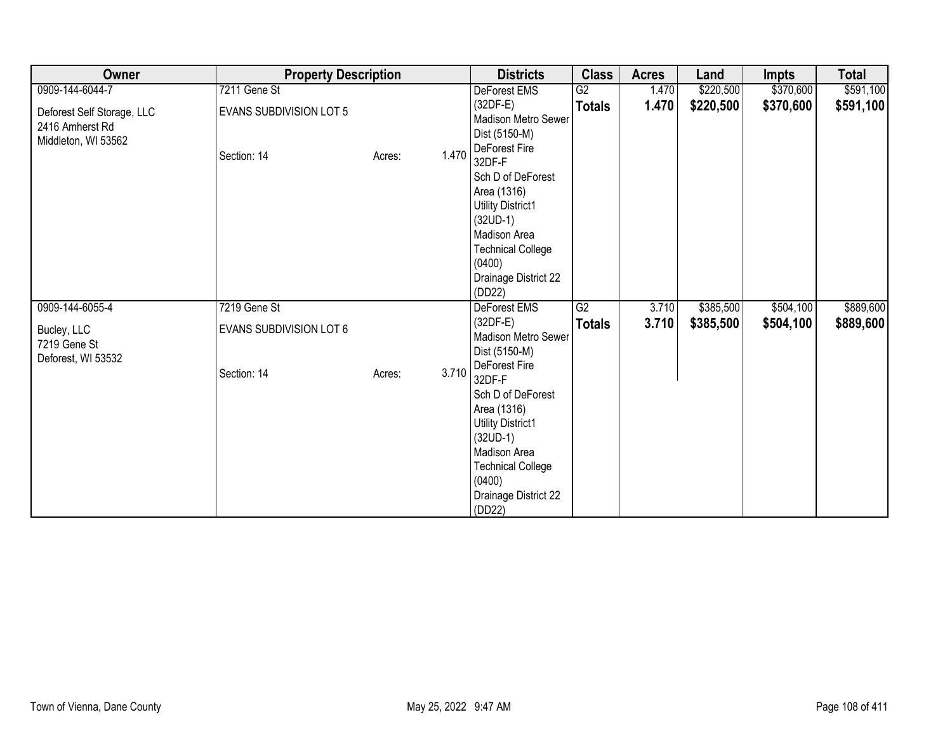| Owner                                                                | <b>Property Description</b>    |        |       | <b>Districts</b>                                                                                                                                                                       | <b>Class</b>    | <b>Acres</b> | Land      | <b>Impts</b> | <b>Total</b> |
|----------------------------------------------------------------------|--------------------------------|--------|-------|----------------------------------------------------------------------------------------------------------------------------------------------------------------------------------------|-----------------|--------------|-----------|--------------|--------------|
| 0909-144-6044-7                                                      | 7211 Gene St                   |        |       | DeForest EMS                                                                                                                                                                           | G2              | 1.470        | \$220,500 | \$370,600    | \$591,100    |
| Deforest Self Storage, LLC<br>2416 Amherst Rd<br>Middleton, WI 53562 | <b>EVANS SUBDIVISION LOT 5</b> |        |       | $(32DF-E)$<br>Madison Metro Sewer<br>Dist (5150-M)<br>DeForest Fire                                                                                                                    | <b>Totals</b>   | 1.470        | \$220,500 | \$370,600    | \$591,100    |
|                                                                      | Section: 14                    | Acres: | 1.470 | 32DF-F<br>Sch D of DeForest<br>Area (1316)<br><b>Utility District1</b><br>$(32UD-1)$<br>Madison Area<br><b>Technical College</b><br>(0400)<br>Drainage District 22<br>(DD22)           |                 |              |           |              |              |
| 0909-144-6055-4                                                      | 7219 Gene St                   |        |       | DeForest EMS                                                                                                                                                                           | $\overline{G2}$ | 3.710        | \$385,500 | \$504,100    | \$889,600    |
| Bucley, LLC<br>7219 Gene St<br>Deforest, WI 53532                    | <b>EVANS SUBDIVISION LOT 6</b> |        |       | $(32DF-E)$<br>Madison Metro Sewer<br>Dist (5150-M)                                                                                                                                     | <b>Totals</b>   | 3.710        | \$385,500 | \$504,100    | \$889,600    |
|                                                                      | Section: 14                    | Acres: | 3.710 | DeForest Fire<br>32DF-F<br>Sch D of DeForest<br>Area (1316)<br>Utility District1<br>$(32UD-1)$<br>Madison Area<br><b>Technical College</b><br>(0400)<br>Drainage District 22<br>(DD22) |                 |              |           |              |              |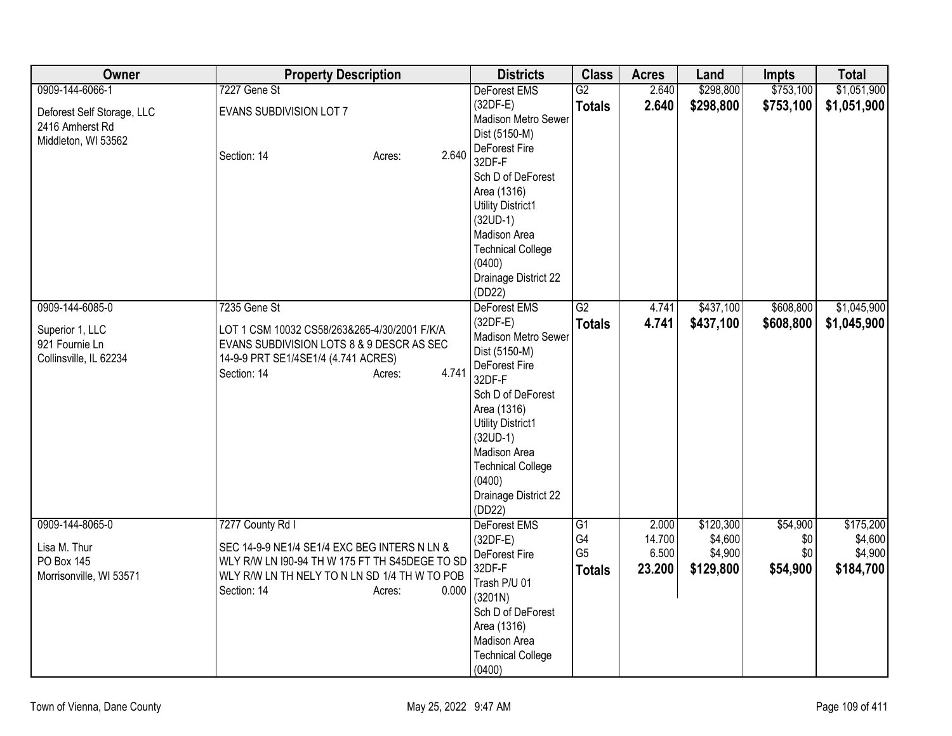| Owner                                                                          | <b>Property Description</b>                                                                                                                                                                           | <b>Districts</b>                                                                                                                                                                                                                                                    | <b>Class</b>                                            | <b>Acres</b>                       | Land                                         | <b>Impts</b>                       | <b>Total</b>                                 |
|--------------------------------------------------------------------------------|-------------------------------------------------------------------------------------------------------------------------------------------------------------------------------------------------------|---------------------------------------------------------------------------------------------------------------------------------------------------------------------------------------------------------------------------------------------------------------------|---------------------------------------------------------|------------------------------------|----------------------------------------------|------------------------------------|----------------------------------------------|
| 0909-144-6066-1                                                                | 7227 Gene St                                                                                                                                                                                          | <b>DeForest EMS</b>                                                                                                                                                                                                                                                 | G2                                                      | 2.640                              | \$298,800                                    | \$753,100                          | \$1,051,900                                  |
| Deforest Self Storage, LLC<br>2416 Amherst Rd<br>Middleton, WI 53562           | EVANS SUBDIVISION LOT 7                                                                                                                                                                               | $(32DF-E)$<br>Madison Metro Sewer<br>Dist (5150-M)                                                                                                                                                                                                                  | <b>Totals</b>                                           | 2.640                              | \$298,800                                    | \$753,100                          | \$1,051,900                                  |
|                                                                                | 2.640<br>Section: 14<br>Acres:                                                                                                                                                                        | DeForest Fire<br>32DF-F<br>Sch D of DeForest<br>Area (1316)<br><b>Utility District1</b><br>$(32UD-1)$<br>Madison Area                                                                                                                                               |                                                         |                                    |                                              |                                    |                                              |
|                                                                                |                                                                                                                                                                                                       | <b>Technical College</b><br>(0400)<br>Drainage District 22<br>(DD22)                                                                                                                                                                                                |                                                         |                                    |                                              |                                    |                                              |
| 0909-144-6085-0<br>Superior 1, LLC<br>921 Fournie Ln<br>Collinsville, IL 62234 | 7235 Gene St<br>LOT 1 CSM 10032 CS58/263&265-4/30/2001 F/K/A<br>EVANS SUBDIVISION LOTS 8 & 9 DESCR AS SEC<br>14-9-9 PRT SE1/4SE1/4 (4.741 ACRES)<br>4.741<br>Section: 14<br>Acres:                    | DeForest EMS<br>$(32DF-E)$<br>Madison Metro Sewer<br>Dist (5150-M)<br>DeForest Fire<br>32DF-F<br>Sch D of DeForest<br>Area (1316)<br><b>Utility District1</b><br>$(32UD-1)$<br>Madison Area<br><b>Technical College</b><br>(0400)<br>Drainage District 22<br>(DD22) | $\overline{G2}$<br><b>Totals</b>                        | 4.741<br>4.741                     | \$437,100<br>\$437,100                       | \$608,800<br>\$608,800             | \$1,045,900<br>\$1,045,900                   |
| 0909-144-8065-0<br>Lisa M. Thur<br>PO Box 145<br>Morrisonville, WI 53571       | 7277 County Rd I<br>SEC 14-9-9 NE1/4 SE1/4 EXC BEG INTERS N LN &<br>WLY R/W LN 190-94 TH W 175 FT TH S45DEGE TO SD<br>WLY R/W LN TH NELY TO N LN SD 1/4 TH W TO POB<br>Section: 14<br>0.000<br>Acres: | <b>DeForest EMS</b><br>$(32DF-E)$<br>DeForest Fire<br>32DF-F<br>Trash P/U 01<br>(3201N)<br>Sch D of DeForest<br>Area (1316)<br>Madison Area<br><b>Technical College</b><br>(0400)                                                                                   | G <sub>1</sub><br>G4<br>G <sub>5</sub><br><b>Totals</b> | 2.000<br>14.700<br>6.500<br>23.200 | \$120,300<br>\$4,600<br>\$4,900<br>\$129,800 | \$54,900<br>\$0<br>\$0<br>\$54,900 | \$175,200<br>\$4,600<br>\$4,900<br>\$184,700 |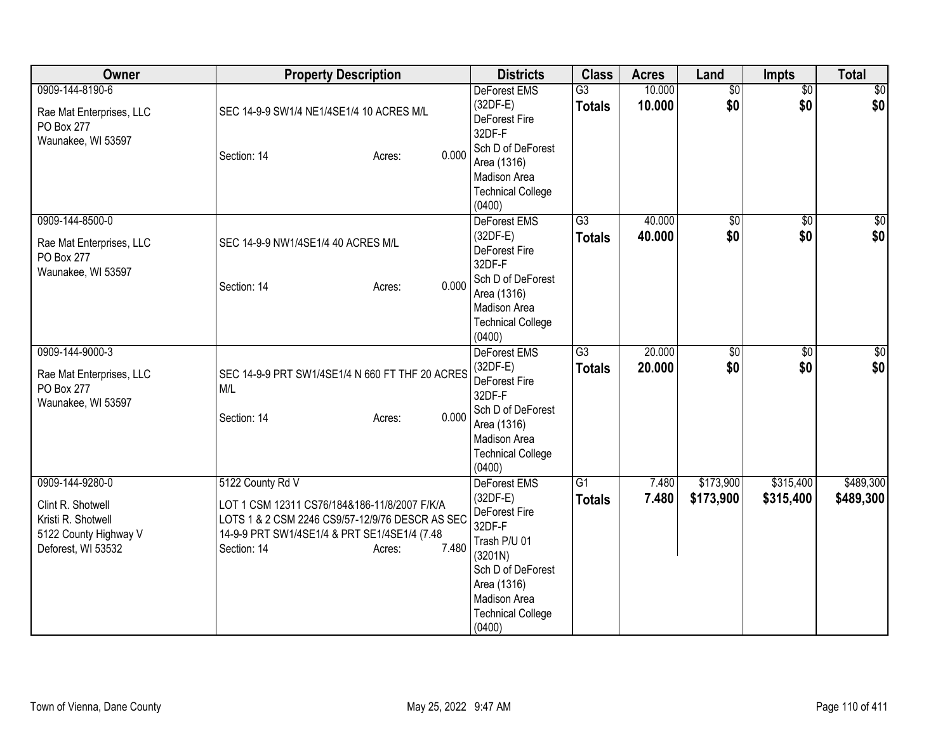| Owner                                                                                                     | <b>Property Description</b>                                                                                                                                                                           | <b>Districts</b>                                                                                                                                                                  | <b>Class</b>                     | <b>Acres</b>     | Land                   | Impts                  | <b>Total</b>           |
|-----------------------------------------------------------------------------------------------------------|-------------------------------------------------------------------------------------------------------------------------------------------------------------------------------------------------------|-----------------------------------------------------------------------------------------------------------------------------------------------------------------------------------|----------------------------------|------------------|------------------------|------------------------|------------------------|
| 0909-144-8190-6<br>Rae Mat Enterprises, LLC<br>PO Box 277<br>Waunakee, WI 53597                           | SEC 14-9-9 SW1/4 NE1/4SE1/4 10 ACRES M/L<br>0.000<br>Section: 14<br>Acres:                                                                                                                            | DeForest EMS<br>$(32DF-E)$<br>DeForest Fire<br>32DF-F<br>Sch D of DeForest<br>Area (1316)<br>Madison Area<br><b>Technical College</b><br>(0400)                                   | G3<br><b>Totals</b>              | 10.000<br>10.000 | $\overline{60}$<br>\$0 | $\overline{50}$<br>\$0 | \$0<br>\$0             |
| 0909-144-8500-0<br>Rae Mat Enterprises, LLC<br>PO Box 277<br>Waunakee, WI 53597                           | SEC 14-9-9 NW1/4SE1/4 40 ACRES M/L<br>0.000<br>Section: 14<br>Acres:                                                                                                                                  | DeForest EMS<br>$(32DF-E)$<br>DeForest Fire<br>32DF-F<br>Sch D of DeForest<br>Area (1316)<br><b>Madison Area</b><br><b>Technical College</b><br>(0400)                            | $\overline{G3}$<br><b>Totals</b> | 40.000<br>40.000 | $\overline{60}$<br>\$0 | $\overline{50}$<br>\$0 | \$0<br>\$0             |
| 0909-144-9000-3<br>Rae Mat Enterprises, LLC<br>PO Box 277<br>Waunakee, WI 53597                           | SEC 14-9-9 PRT SW1/4SE1/4 N 660 FT THF 20 ACRES<br>M/L<br>0.000<br>Section: 14<br>Acres:                                                                                                              | DeForest EMS<br>$(32DF-E)$<br>DeForest Fire<br>32DF-F<br>Sch D of DeForest<br>Area (1316)<br>Madison Area<br><b>Technical College</b><br>(0400)                                   | $\overline{G3}$<br><b>Totals</b> | 20.000<br>20.000 | \$0<br>\$0             | \$0<br>\$0             | \$0<br>\$0             |
| 0909-144-9280-0<br>Clint R. Shotwell<br>Kristi R. Shotwell<br>5122 County Highway V<br>Deforest, WI 53532 | 5122 County Rd V<br>LOT 1 CSM 12311 CS76/184&186-11/8/2007 F/K/A<br>LOTS 1 & 2 CSM 2246 CS9/57-12/9/76 DESCR AS SEC<br>14-9-9 PRT SW1/4SE1/4 & PRT SE1/4SE1/4 (7.48<br>7.480<br>Section: 14<br>Acres: | <b>DeForest EMS</b><br>$(32DF-E)$<br>DeForest Fire<br>32DF-F<br>Trash P/U 01<br>(3201N)<br>Sch D of DeForest<br>Area (1316)<br>Madison Area<br><b>Technical College</b><br>(0400) | G1<br><b>Totals</b>              | 7.480<br>7.480   | \$173,900<br>\$173,900 | \$315,400<br>\$315,400 | \$489,300<br>\$489,300 |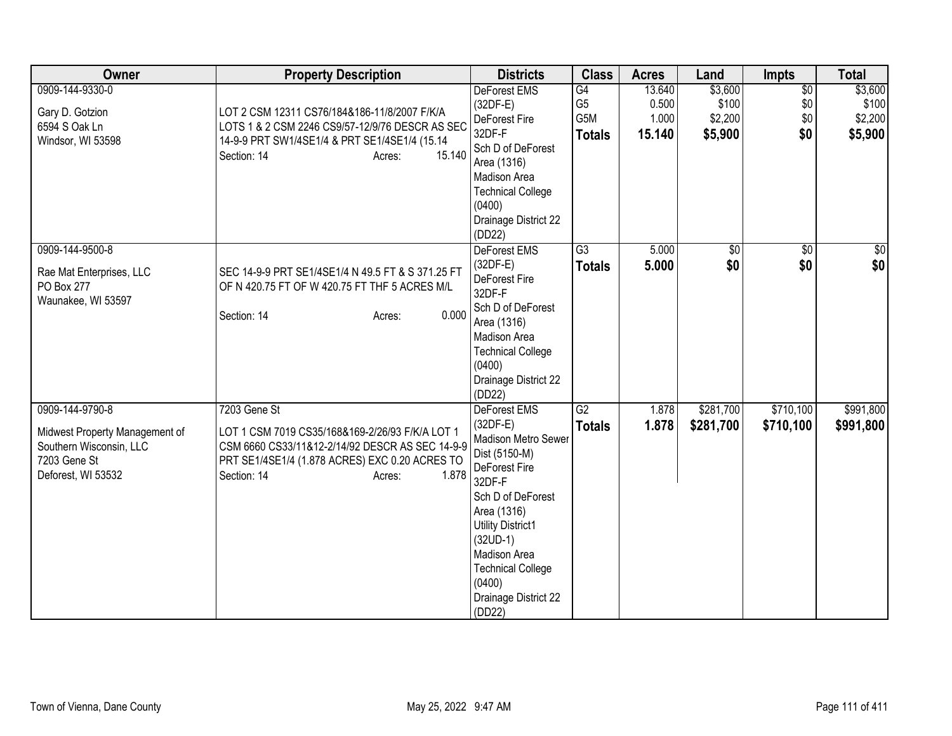| Owner                                                                                                              | <b>Property Description</b>                                                                                                                                                                            | <b>Districts</b>                                                                                                                                                                                                                                                           | <b>Class</b>                                 | <b>Acres</b>                       | Land                                   | <b>Impts</b>                         | <b>Total</b>                           |
|--------------------------------------------------------------------------------------------------------------------|--------------------------------------------------------------------------------------------------------------------------------------------------------------------------------------------------------|----------------------------------------------------------------------------------------------------------------------------------------------------------------------------------------------------------------------------------------------------------------------------|----------------------------------------------|------------------------------------|----------------------------------------|--------------------------------------|----------------------------------------|
| 0909-144-9330-0<br>Gary D. Gotzion<br>6594 S Oak Ln<br>Windsor, WI 53598                                           | LOT 2 CSM 12311 CS76/184&186-11/8/2007 F/K/A<br>LOTS 1 & 2 CSM 2246 CS9/57-12/9/76 DESCR AS SEC<br>14-9-9 PRT SW1/4SE1/4 & PRT SE1/4SE1/4 (15.14<br>15.140<br>Section: 14<br>Acres:                    | <b>DeForest EMS</b><br>$(32DF-E)$<br>DeForest Fire<br>32DF-F<br>Sch D of DeForest<br>Area (1316)<br>Madison Area<br><b>Technical College</b><br>(0400)<br>Drainage District 22<br>(DD22)                                                                                   | G4<br>G <sub>5</sub><br>G5M<br><b>Totals</b> | 13.640<br>0.500<br>1.000<br>15.140 | \$3,600<br>\$100<br>\$2,200<br>\$5,900 | $\overline{50}$<br>\$0<br>\$0<br>\$0 | \$3,600<br>\$100<br>\$2,200<br>\$5,900 |
| 0909-144-9500-8<br>Rae Mat Enterprises, LLC<br>PO Box 277<br>Waunakee, WI 53597                                    | SEC 14-9-9 PRT SE1/4SE1/4 N 49.5 FT & S 371.25 FT<br>OF N 420.75 FT OF W 420.75 FT THF 5 ACRES M/L<br>0.000<br>Section: 14<br>Acres:                                                                   | DeForest EMS<br>$(32DF-E)$<br>DeForest Fire<br>32DF-F<br>Sch D of DeForest<br>Area (1316)<br>Madison Area<br><b>Technical College</b><br>(0400)<br>Drainage District 22<br>(DD22)                                                                                          | $\overline{G3}$<br><b>Totals</b>             | 5.000<br>5.000                     | $\sqrt{50}$<br>\$0                     | $\overline{50}$<br>\$0               | $\frac{6}{3}$<br>\$0                   |
| 0909-144-9790-8<br>Midwest Property Management of<br>Southern Wisconsin, LLC<br>7203 Gene St<br>Deforest, WI 53532 | 7203 Gene St<br>LOT 1 CSM 7019 CS35/168&169-2/26/93 F/K/A LOT 1<br>CSM 6660 CS33/11&12-2/14/92 DESCR AS SEC 14-9-9<br>PRT SE1/4SE1/4 (1.878 ACRES) EXC 0.20 ACRES TO<br>1.878<br>Section: 14<br>Acres: | <b>DeForest EMS</b><br>$(32DF-E)$<br>Madison Metro Sewer<br>Dist (5150-M)<br>DeForest Fire<br>32DF-F<br>Sch D of DeForest<br>Area (1316)<br><b>Utility District1</b><br>$(32UD-1)$<br>Madison Area<br><b>Technical College</b><br>(0400)<br>Drainage District 22<br>(DD22) | $\overline{G2}$<br><b>Totals</b>             | 1.878<br>1.878                     | \$281,700<br>\$281,700                 | \$710,100<br>\$710,100               | \$991,800<br>\$991,800                 |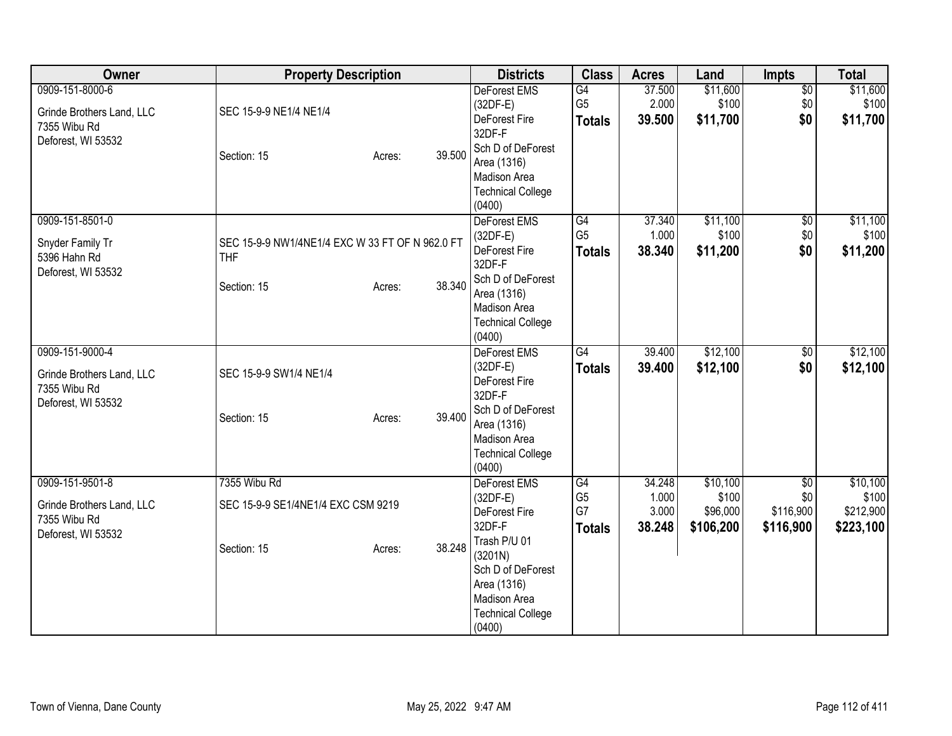| Owner                                                           | <b>Property Description</b>                                   |                  | <b>Districts</b>                                                             | <b>Class</b>                          | <b>Acres</b>             | Land                           | Impts                         | <b>Total</b>                    |
|-----------------------------------------------------------------|---------------------------------------------------------------|------------------|------------------------------------------------------------------------------|---------------------------------------|--------------------------|--------------------------------|-------------------------------|---------------------------------|
| 0909-151-8000-6<br>Grinde Brothers Land, LLC                    | SEC 15-9-9 NE1/4 NE1/4                                        |                  | <b>DeForest EMS</b><br>$(32DF-E)$                                            | G4<br>G <sub>5</sub>                  | 37.500<br>2.000          | \$11,600<br>\$100              | $\overline{50}$<br>\$0        | \$11,600<br>\$100               |
| 7355 Wibu Rd<br>Deforest, WI 53532                              |                                                               |                  | DeForest Fire<br>32DF-F                                                      | <b>Totals</b>                         | 39.500                   | \$11,700                       | \$0                           | \$11,700                        |
|                                                                 | Section: 15                                                   | 39.500<br>Acres: | Sch D of DeForest<br>Area (1316)<br>Madison Area<br><b>Technical College</b> |                                       |                          |                                |                               |                                 |
|                                                                 |                                                               |                  | (0400)                                                                       |                                       |                          |                                |                               |                                 |
| 0909-151-8501-0                                                 |                                                               |                  | DeForest EMS                                                                 | G4                                    | 37.340                   | \$11,100                       | $\overline{50}$               | \$11,100                        |
| Snyder Family Tr<br>5396 Hahn Rd                                | SEC 15-9-9 NW1/4NE1/4 EXC W 33 FT OF N 962.0 FT<br><b>THF</b> |                  | $(32DF-E)$<br>DeForest Fire<br>32DF-F                                        | G <sub>5</sub><br><b>Totals</b>       | 1.000<br>38.340          | \$100<br>\$11,200              | $$0$$<br>\$0                  | \$100<br>\$11,200               |
| Deforest, WI 53532                                              | Section: 15                                                   | 38.340<br>Acres: | Sch D of DeForest<br>Area (1316)<br>Madison Area                             |                                       |                          |                                |                               |                                 |
|                                                                 |                                                               |                  | <b>Technical College</b><br>(0400)                                           |                                       |                          |                                |                               |                                 |
| 0909-151-9000-4                                                 |                                                               |                  | DeForest EMS                                                                 | G4                                    | 39.400                   | \$12,100                       | $\sqrt{$0}$                   | \$12,100                        |
| Grinde Brothers Land, LLC<br>7355 Wibu Rd<br>Deforest, WI 53532 | SEC 15-9-9 SW1/4 NE1/4                                        |                  | $(32DF-E)$<br>DeForest Fire<br>32DF-F                                        | <b>Totals</b>                         | 39.400                   | \$12,100                       | \$0                           | \$12,100                        |
|                                                                 | Section: 15                                                   | 39.400<br>Acres: | Sch D of DeForest<br>Area (1316)<br>Madison Area                             |                                       |                          |                                |                               |                                 |
|                                                                 |                                                               |                  | <b>Technical College</b><br>(0400)                                           |                                       |                          |                                |                               |                                 |
| 0909-151-9501-8                                                 | 7355 Wibu Rd                                                  |                  | DeForest EMS                                                                 | G4                                    | 34.248                   | \$10,100                       | $\overline{50}$               | \$10,100                        |
| Grinde Brothers Land, LLC<br>7355 Wibu Rd                       | SEC 15-9-9 SE1/4NE1/4 EXC CSM 9219                            |                  | $(32DF-E)$<br>DeForest Fire<br>32DF-F                                        | G <sub>5</sub><br>G7<br><b>Totals</b> | 1.000<br>3.000<br>38.248 | \$100<br>\$96,000<br>\$106,200 | \$0<br>\$116,900<br>\$116,900 | \$100<br>\$212,900<br>\$223,100 |
| Deforest, WI 53532                                              | Section: 15                                                   | 38.248<br>Acres: | Trash P/U 01<br>(3201N)<br>Sch D of DeForest                                 |                                       |                          |                                |                               |                                 |
|                                                                 |                                                               |                  | Area (1316)<br>Madison Area                                                  |                                       |                          |                                |                               |                                 |
|                                                                 |                                                               |                  | <b>Technical College</b><br>(0400)                                           |                                       |                          |                                |                               |                                 |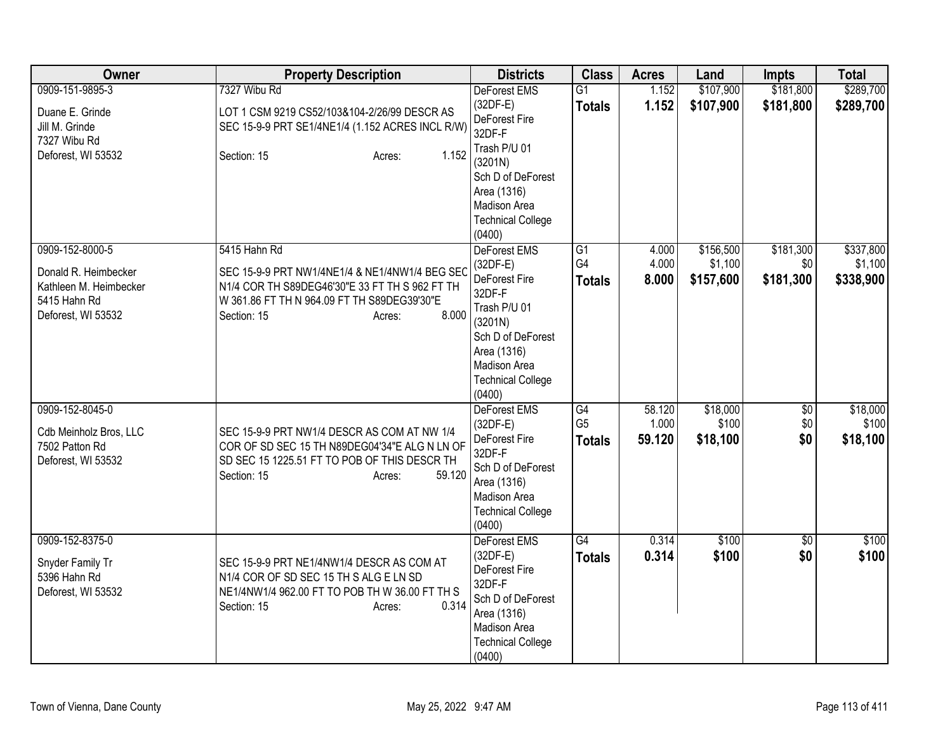| Owner                                                                                                   | <b>Property Description</b>                                                                                                                                                                       | <b>Districts</b>                                                                                                                                                                            | <b>Class</b>                          | <b>Acres</b>              | Land                              | <b>Impts</b>                  | <b>Total</b>                      |
|---------------------------------------------------------------------------------------------------------|---------------------------------------------------------------------------------------------------------------------------------------------------------------------------------------------------|---------------------------------------------------------------------------------------------------------------------------------------------------------------------------------------------|---------------------------------------|---------------------------|-----------------------------------|-------------------------------|-----------------------------------|
| 0909-151-9895-3                                                                                         | 7327 Wibu Rd                                                                                                                                                                                      | DeForest EMS                                                                                                                                                                                | $\overline{G1}$                       | 1.152                     | \$107,900                         | \$181,800                     | \$289,700                         |
| Duane E. Grinde<br>Jill M. Grinde                                                                       | LOT 1 CSM 9219 CS52/103&104-2/26/99 DESCR AS<br>SEC 15-9-9 PRT SE1/4NE1/4 (1.152 ACRES INCL R/W)                                                                                                  | $(32DF-E)$<br>DeForest Fire<br>32DF-F                                                                                                                                                       | <b>Totals</b>                         | 1.152                     | \$107,900                         | \$181,800                     | \$289,700                         |
| 7327 Wibu Rd<br>Deforest, WI 53532                                                                      | 1.152<br>Section: 15<br>Acres:                                                                                                                                                                    | Trash P/U 01<br>(3201N)<br>Sch D of DeForest<br>Area (1316)<br><b>Madison Area</b><br><b>Technical College</b>                                                                              |                                       |                           |                                   |                               |                                   |
| 0909-152-8000-5<br>Donald R. Heimbecker<br>Kathleen M. Heimbecker<br>5415 Hahn Rd<br>Deforest, WI 53532 | 5415 Hahn Rd<br>SEC 15-9-9 PRT NW1/4NE1/4 & NE1/4NW1/4 BEG SEC<br>N1/4 COR TH S89DEG46'30"E 33 FT TH S 962 FT TH<br>W 361.86 FT TH N 964.09 FT TH S89DEG39'30"E<br>8.000<br>Section: 15<br>Acres: | (0400)<br>DeForest EMS<br>$(32DF-E)$<br>DeForest Fire<br>32DF-F<br>Trash P/U 01<br>(3201N)<br>Sch D of DeForest<br>Area (1316)<br><b>Madison Area</b><br><b>Technical College</b><br>(0400) | G1<br>G4<br><b>Totals</b>             | 4.000<br>4.000<br>8.000   | \$156,500<br>\$1,100<br>\$157,600 | \$181,300<br>\$0<br>\$181,300 | \$337,800<br>\$1,100<br>\$338,900 |
| 0909-152-8045-0<br>Cdb Meinholz Bros, LLC<br>7502 Patton Rd<br>Deforest, WI 53532                       | SEC 15-9-9 PRT NW1/4 DESCR AS COM AT NW 1/4<br>COR OF SD SEC 15 TH N89DEG04'34"E ALG N LN OF<br>SD SEC 15 1225.51 FT TO POB OF THIS DESCR TH<br>59.120<br>Section: 15<br>Acres:                   | <b>DeForest EMS</b><br>$(32DF-E)$<br>DeForest Fire<br>32DF-F<br>Sch D of DeForest<br>Area (1316)<br>Madison Area<br><b>Technical College</b><br>(0400)                                      | G4<br>G <sub>5</sub><br><b>Totals</b> | 58.120<br>1.000<br>59.120 | \$18,000<br>\$100<br>\$18,100     | $\sqrt{$0}$<br>\$0<br>\$0     | \$18,000<br>\$100<br>\$18,100     |
| 0909-152-8375-0<br>Snyder Family Tr<br>5396 Hahn Rd<br>Deforest, WI 53532                               | SEC 15-9-9 PRT NE1/4NW1/4 DESCR AS COM AT<br>N1/4 COR OF SD SEC 15 TH S ALG E LN SD<br>NE1/4NW1/4 962.00 FT TO POB TH W 36.00 FT TH S<br>0.314<br>Section: 15<br>Acres:                           | <b>DeForest EMS</b><br>$(32DF-E)$<br>DeForest Fire<br>32DF-F<br>Sch D of DeForest<br>Area (1316)<br>Madison Area<br><b>Technical College</b><br>(0400)                                      | G4<br><b>Totals</b>                   | 0.314<br>0.314            | \$100<br>\$100                    | $\overline{50}$<br>\$0        | \$100<br>\$100                    |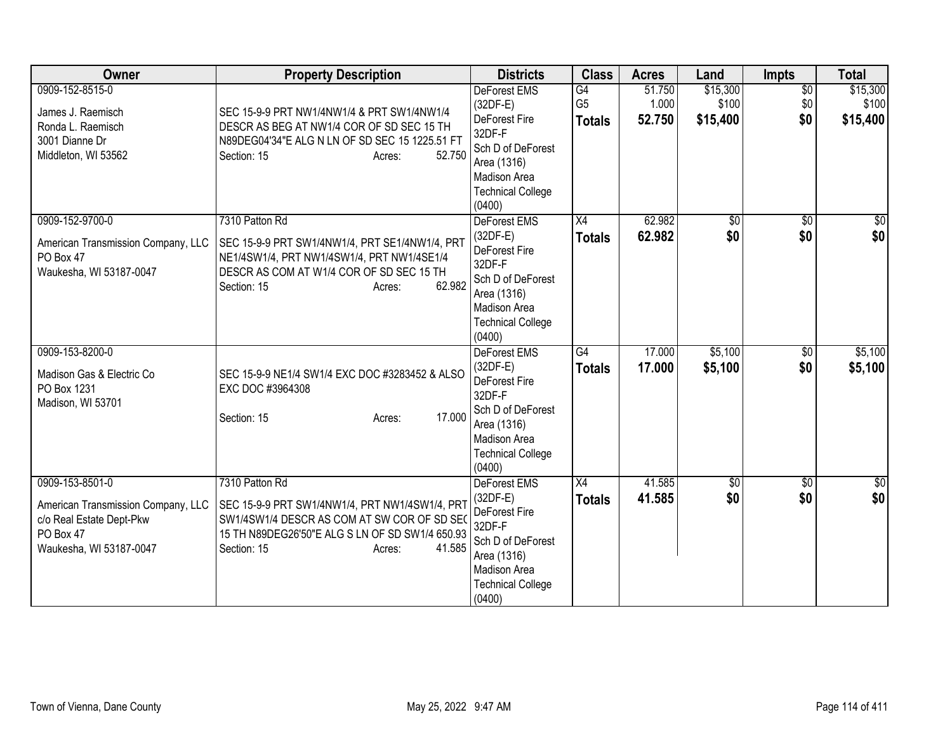| Owner                                                                                                                     | <b>Property Description</b>                                                                                                                                                                           | <b>Districts</b>                                                                                                                                              | <b>Class</b>                          | <b>Acres</b>              | Land                          | <b>Impts</b>                  | <b>Total</b>                  |
|---------------------------------------------------------------------------------------------------------------------------|-------------------------------------------------------------------------------------------------------------------------------------------------------------------------------------------------------|---------------------------------------------------------------------------------------------------------------------------------------------------------------|---------------------------------------|---------------------------|-------------------------------|-------------------------------|-------------------------------|
| 0909-152-8515-0<br>James J. Raemisch<br>Ronda L. Raemisch<br>3001 Dianne Dr<br>Middleton, WI 53562                        | SEC 15-9-9 PRT NW1/4NW1/4 & PRT SW1/4NW1/4<br>DESCR AS BEG AT NW1/4 COR OF SD SEC 15 TH<br>N89DEG04'34"E ALG N LN OF SD SEC 15 1225.51 FT<br>Section: 15<br>52.750<br>Acres:                          | <b>DeForest EMS</b><br>(32DF-E)<br>DeForest Fire<br>32DF-F<br>Sch D of DeForest<br>Area (1316)<br>Madison Area<br><b>Technical College</b><br>(0400)          | G4<br>G <sub>5</sub><br><b>Totals</b> | 51.750<br>1.000<br>52.750 | \$15,300<br>\$100<br>\$15,400 | $\overline{30}$<br>\$0<br>\$0 | \$15,300<br>\$100<br>\$15,400 |
| 0909-152-9700-0<br>American Transmission Company, LLC<br>PO Box 47<br>Waukesha, WI 53187-0047                             | 7310 Patton Rd<br>SEC 15-9-9 PRT SW1/4NW1/4, PRT SE1/4NW1/4, PRT<br>NE1/4SW1/4, PRT NW1/4SW1/4, PRT NW1/4SE1/4<br>DESCR AS COM AT W1/4 COR OF SD SEC 15 TH<br>62.982<br>Section: 15<br>Acres:         | DeForest EMS<br>$(32DF-E)$<br>DeForest Fire<br>32DF-F<br>Sch D of DeForest<br>Area (1316)<br>Madison Area<br><b>Technical College</b><br>(0400)               | $\overline{X4}$<br><b>Totals</b>      | 62.982<br>62.982          | $\overline{60}$<br>\$0        | $\overline{50}$<br>\$0        | $\overline{50}$<br>\$0        |
| 0909-153-8200-0<br>Madison Gas & Electric Co<br>PO Box 1231<br>Madison, WI 53701                                          | SEC 15-9-9 NE1/4 SW1/4 EXC DOC #3283452 & ALSO<br>EXC DOC #3964308<br>17.000<br>Section: 15<br>Acres:                                                                                                 | <b>DeForest EMS</b><br>$(32DF-E)$<br>DeForest Fire<br>32DF-F<br>Sch D of DeForest<br>Area (1316)<br><b>Madison Area</b><br><b>Technical College</b><br>(0400) | G4<br><b>Totals</b>                   | 17.000<br>17.000          | \$5,100<br>\$5,100            | \$0<br>\$0                    | \$5,100<br>\$5,100            |
| 0909-153-8501-0<br>American Transmission Company, LLC<br>c/o Real Estate Dept-Pkw<br>PO Box 47<br>Waukesha, WI 53187-0047 | 7310 Patton Rd<br>SEC 15-9-9 PRT SW1/4NW1/4, PRT NW1/4SW1/4, PRT<br>SW1/4SW1/4 DESCR AS COM AT SW COR OF SD SEO<br>15 TH N89DEG26'50"E ALG S LN OF SD SW1/4 650.93<br>41.585<br>Section: 15<br>Acres: | DeForest EMS<br>$(32DF-E)$<br>DeForest Fire<br>32DF-F<br>Sch D of DeForest<br>Area (1316)<br>Madison Area<br><b>Technical College</b><br>(0400)               | X4<br><b>Totals</b>                   | 41.585<br>41.585          | $\sqrt{6}$<br>\$0             | $\overline{50}$<br>\$0        | \$0<br>\$0                    |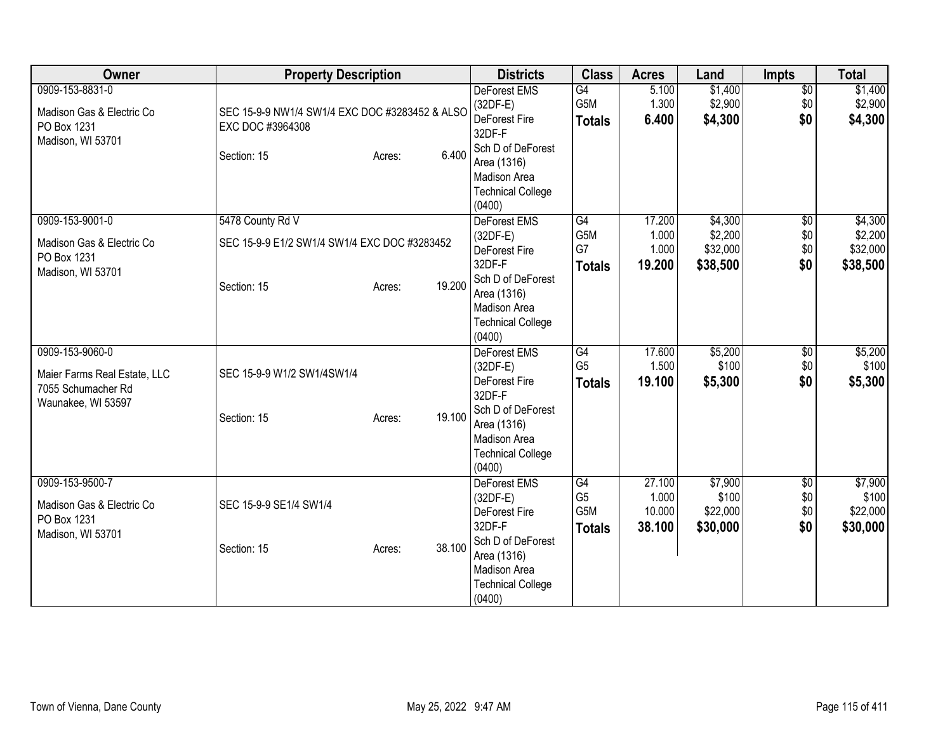| Owner                                                                                       | <b>Property Description</b>                                                       |                  | <b>Districts</b>                                                                                                                                                     | <b>Class</b>                                 | <b>Acres</b>                        | Land                                       | <b>Impts</b>                         | <b>Total</b>                               |
|---------------------------------------------------------------------------------------------|-----------------------------------------------------------------------------------|------------------|----------------------------------------------------------------------------------------------------------------------------------------------------------------------|----------------------------------------------|-------------------------------------|--------------------------------------------|--------------------------------------|--------------------------------------------|
| 0909-153-8831-0<br>Madison Gas & Electric Co<br>PO Box 1231<br>Madison, WI 53701            | SEC 15-9-9 NW1/4 SW1/4 EXC DOC #3283452 & ALSO<br>EXC DOC #3964308<br>Section: 15 | 6.400<br>Acres:  | <b>DeForest EMS</b><br>$(32DF-E)$<br>DeForest Fire<br>32DF-F<br>Sch D of DeForest<br>Area (1316)<br>Madison Area<br><b>Technical College</b><br>(0400)               | G4<br>G5M<br><b>Totals</b>                   | 5.100<br>1.300<br>6.400             | \$1,400<br>\$2,900<br>\$4,300              | $\overline{50}$<br>\$0<br>\$0        | \$1,400<br>\$2,900<br>\$4,300              |
| 0909-153-9001-0<br>Madison Gas & Electric Co<br>PO Box 1231<br>Madison, WI 53701            | 5478 County Rd V<br>SEC 15-9-9 E1/2 SW1/4 SW1/4 EXC DOC #3283452<br>Section: 15   | 19.200<br>Acres: | DeForest EMS<br>$(32DF-E)$<br>DeForest Fire<br>32DF-F<br>Sch D of DeForest<br>Area (1316)<br>Madison Area<br><b>Technical College</b><br>(0400)                      | G4<br>G5M<br>G7<br><b>Totals</b>             | 17.200<br>1.000<br>1.000<br>19.200  | \$4,300<br>\$2,200<br>\$32,000<br>\$38,500 | $\overline{50}$<br>\$0<br>\$0<br>\$0 | \$4,300<br>\$2,200<br>\$32,000<br>\$38,500 |
| 0909-153-9060-0<br>Maier Farms Real Estate, LLC<br>7055 Schumacher Rd<br>Waunakee, WI 53597 | SEC 15-9-9 W1/2 SW1/4SW1/4<br>Section: 15                                         | 19.100<br>Acres: | <b>DeForest EMS</b><br>$(32DF-E)$<br><b>DeForest Fire</b><br>32DF-F<br>Sch D of DeForest<br>Area (1316)<br><b>Madison Area</b><br><b>Technical College</b><br>(0400) | G4<br>G <sub>5</sub><br><b>Totals</b>        | 17.600<br>1.500<br>19.100           | \$5,200<br>\$100<br>\$5,300                | \$0<br>\$0<br>\$0                    | \$5,200<br>\$100<br>\$5,300                |
| 0909-153-9500-7<br>Madison Gas & Electric Co<br>PO Box 1231<br>Madison, WI 53701            | SEC 15-9-9 SE1/4 SW1/4<br>Section: 15                                             | 38.100<br>Acres: | DeForest EMS<br>$(32DF-E)$<br><b>DeForest Fire</b><br>32DF-F<br>Sch D of DeForest<br>Area (1316)<br>Madison Area<br><b>Technical College</b><br>(0400)               | G4<br>G <sub>5</sub><br>G5M<br><b>Totals</b> | 27.100<br>1.000<br>10.000<br>38.100 | \$7,900<br>\$100<br>\$22,000<br>\$30,000   | $\overline{50}$<br>\$0<br>\$0<br>\$0 | \$7,900<br>\$100<br>\$22,000<br>\$30,000   |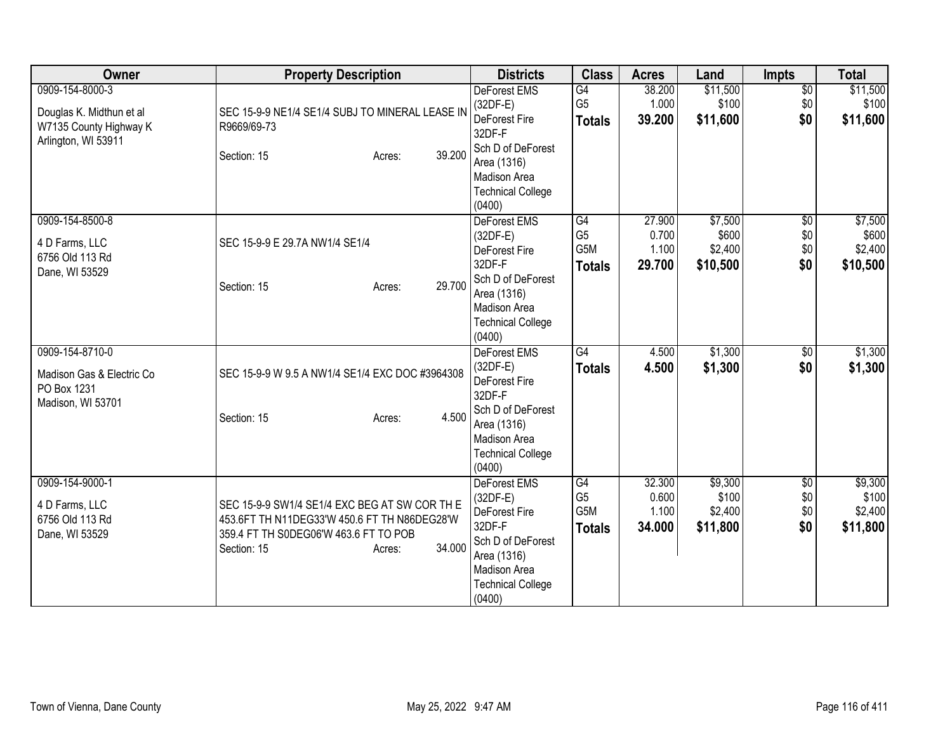| Owner                                                                                        | <b>Property Description</b>                                                                                                                                               | <b>Districts</b>                                                                                                                                          | <b>Class</b>                                 | <b>Acres</b>                       | Land                                    | <b>Impts</b>                         | <b>Total</b>                            |
|----------------------------------------------------------------------------------------------|---------------------------------------------------------------------------------------------------------------------------------------------------------------------------|-----------------------------------------------------------------------------------------------------------------------------------------------------------|----------------------------------------------|------------------------------------|-----------------------------------------|--------------------------------------|-----------------------------------------|
| 0909-154-8000-3<br>Douglas K. Midthun et al<br>W7135 County Highway K<br>Arlington, WI 53911 | SEC 15-9-9 NE1/4 SE1/4 SUBJ TO MINERAL LEASE IN<br>R9669/69-73<br>39.200<br>Section: 15<br>Acres:                                                                         | <b>DeForest EMS</b><br>$(32DF-E)$<br>DeForest Fire<br>32DF-F<br>Sch D of DeForest<br>Area (1316)<br><b>Madison Area</b><br><b>Technical College</b>       | G4<br>G <sub>5</sub><br><b>Totals</b>        | 38.200<br>1.000<br>39.200          | \$11,500<br>\$100<br>\$11,600           | $\overline{50}$<br>\$0<br>\$0        | \$11,500<br>\$100<br>\$11,600           |
| 0909-154-8500-8<br>4 D Farms, LLC<br>6756 Old 113 Rd<br>Dane, WI 53529                       | SEC 15-9-9 E 29.7A NW1/4 SE1/4<br>29.700<br>Section: 15<br>Acres:                                                                                                         | (0400)<br>DeForest EMS<br>$(32DF-E)$<br>DeForest Fire<br>32DF-F<br>Sch D of DeForest<br>Area (1316)<br>Madison Area<br><b>Technical College</b><br>(0400) | G4<br>G <sub>5</sub><br>G5M<br><b>Totals</b> | 27.900<br>0.700<br>1.100<br>29.700 | \$7,500<br>\$600<br>\$2,400<br>\$10,500 | $\overline{50}$<br>\$0<br>\$0<br>\$0 | \$7,500<br>\$600<br>\$2,400<br>\$10,500 |
| 0909-154-8710-0<br>Madison Gas & Electric Co<br>PO Box 1231<br>Madison, WI 53701             | SEC 15-9-9 W 9.5 A NW1/4 SE1/4 EXC DOC #3964308<br>4.500<br>Section: 15<br>Acres:                                                                                         | DeForest EMS<br>$(32DF-E)$<br>DeForest Fire<br>32DF-F<br>Sch D of DeForest<br>Area (1316)<br>Madison Area<br><b>Technical College</b><br>(0400)           | G4<br><b>Totals</b>                          | 4.500<br>4.500                     | \$1,300<br>\$1,300                      | $\overline{50}$<br>\$0               | \$1,300<br>\$1,300                      |
| 0909-154-9000-1<br>4 D Farms, LLC<br>6756 Old 113 Rd<br>Dane, WI 53529                       | SEC 15-9-9 SW1/4 SE1/4 EXC BEG AT SW COR TH E<br>453.6FT TH N11DEG33'W 450.6 FT TH N86DEG28'W<br>359.4 FT TH S0DEG06'W 463.6 FT TO POB<br>34.000<br>Section: 15<br>Acres: | DeForest EMS<br>$(32DF-E)$<br>DeForest Fire<br>32DF-F<br>Sch D of DeForest<br>Area (1316)<br>Madison Area<br><b>Technical College</b><br>(0400)           | G4<br>G <sub>5</sub><br>G5M<br><b>Totals</b> | 32.300<br>0.600<br>1.100<br>34.000 | \$9,300<br>\$100<br>\$2,400<br>\$11,800 | $\overline{60}$<br>\$0<br>\$0<br>\$0 | \$9,300<br>\$100<br>\$2,400<br>\$11,800 |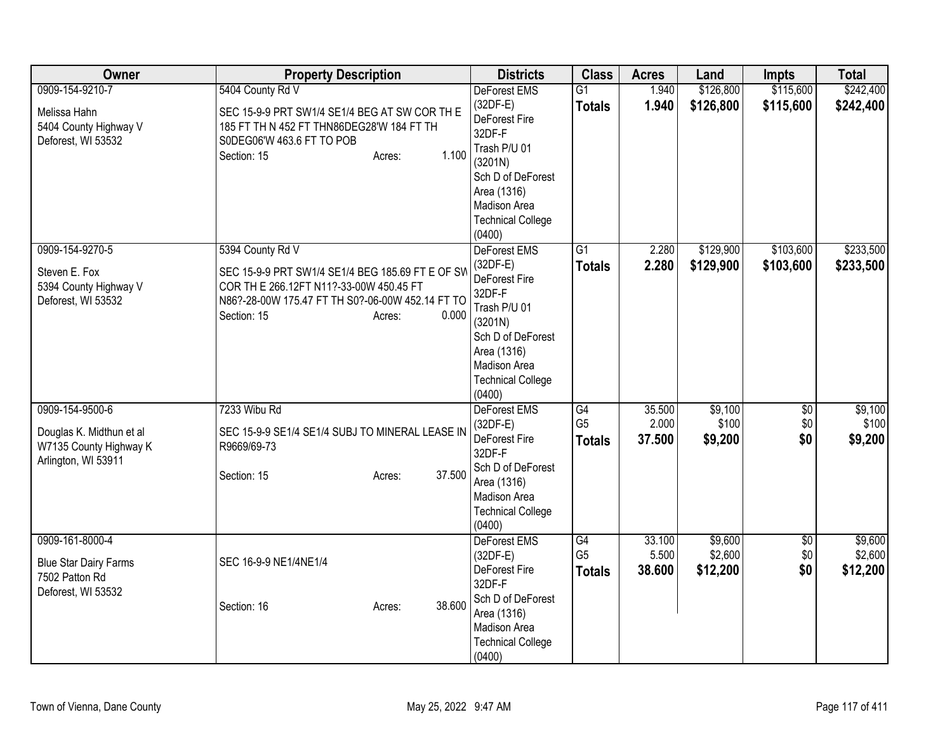| Owner                                                                                        | <b>Property Description</b>                                                                                                                                                                           | <b>Districts</b>                                                                                                                                                           | <b>Class</b>                                       | <b>Acres</b>              | Land                           | <b>Impts</b>                  | <b>Total</b>                   |
|----------------------------------------------------------------------------------------------|-------------------------------------------------------------------------------------------------------------------------------------------------------------------------------------------------------|----------------------------------------------------------------------------------------------------------------------------------------------------------------------------|----------------------------------------------------|---------------------------|--------------------------------|-------------------------------|--------------------------------|
| 0909-154-9210-7<br>Melissa Hahn<br>5404 County Highway V<br>Deforest, WI 53532               | 5404 County Rd V<br>SEC 15-9-9 PRT SW1/4 SE1/4 BEG AT SW COR TH E<br>185 FT TH N 452 FT THN86DEG28'W 184 FT TH<br>S0DEG06'W 463.6 FT TO POB<br>1.100<br>Section: 15<br>Acres:                         | DeForest EMS<br>$(32DF-E)$<br>DeForest Fire<br>32DF-F<br>Trash P/U 01<br>(3201N)<br>Sch D of DeForest<br>Area (1316)<br>Madison Area<br><b>Technical College</b><br>(0400) | $\overline{G1}$<br><b>Totals</b>                   | 1.940<br>1.940            | \$126,800<br>\$126,800         | \$115,600<br>\$115,600        | \$242,400<br>\$242,400         |
| 0909-154-9270-5<br>Steven E. Fox<br>5394 County Highway V<br>Deforest, WI 53532              | 5394 County Rd V<br>SEC 15-9-9 PRT SW1/4 SE1/4 BEG 185.69 FT E OF SW<br>COR TH E 266.12FT N11?-33-00W 450.45 FT<br>N86?-28-00W 175.47 FT TH S0?-06-00W 452.14 FT TO<br>0.000<br>Section: 15<br>Acres: | DeForest EMS<br>$(32DF-E)$<br>DeForest Fire<br>32DF-F<br>Trash P/U 01<br>(3201N)<br>Sch D of DeForest<br>Area (1316)<br>Madison Area<br><b>Technical College</b><br>(0400) | $\overline{G1}$<br><b>Totals</b>                   | 2.280<br>2.280            | \$129,900<br>\$129,900         | \$103,600<br>\$103,600        | \$233,500<br>\$233,500         |
| 0909-154-9500-6<br>Douglas K. Midthun et al<br>W7135 County Highway K<br>Arlington, WI 53911 | 7233 Wibu Rd<br>SEC 15-9-9 SE1/4 SE1/4 SUBJ TO MINERAL LEASE IN<br>R9669/69-73<br>37.500<br>Section: 15<br>Acres:                                                                                     | DeForest EMS<br>(32DF-E)<br>DeForest Fire<br>32DF-F<br>Sch D of DeForest<br>Area (1316)<br>Madison Area<br><b>Technical College</b><br>(0400)                              | G4<br>G <sub>5</sub><br><b>Totals</b>              | 35.500<br>2.000<br>37.500 | \$9,100<br>\$100<br>\$9,200    | $\overline{50}$<br>\$0<br>\$0 | \$9,100<br>\$100<br>\$9,200    |
| 0909-161-8000-4<br><b>Blue Star Dairy Farms</b><br>7502 Patton Rd<br>Deforest, WI 53532      | SEC 16-9-9 NE1/4NE1/4<br>38.600<br>Section: 16<br>Acres:                                                                                                                                              | <b>DeForest EMS</b><br>$(32DF-E)$<br>DeForest Fire<br>32DF-F<br>Sch D of DeForest<br>Area (1316)<br>Madison Area<br><b>Technical College</b><br>(0400)                     | $\overline{G4}$<br>G <sub>5</sub><br><b>Totals</b> | 33.100<br>5.500<br>38.600 | \$9,600<br>\$2,600<br>\$12,200 | $\overline{50}$<br>\$0<br>\$0 | \$9,600<br>\$2,600<br>\$12,200 |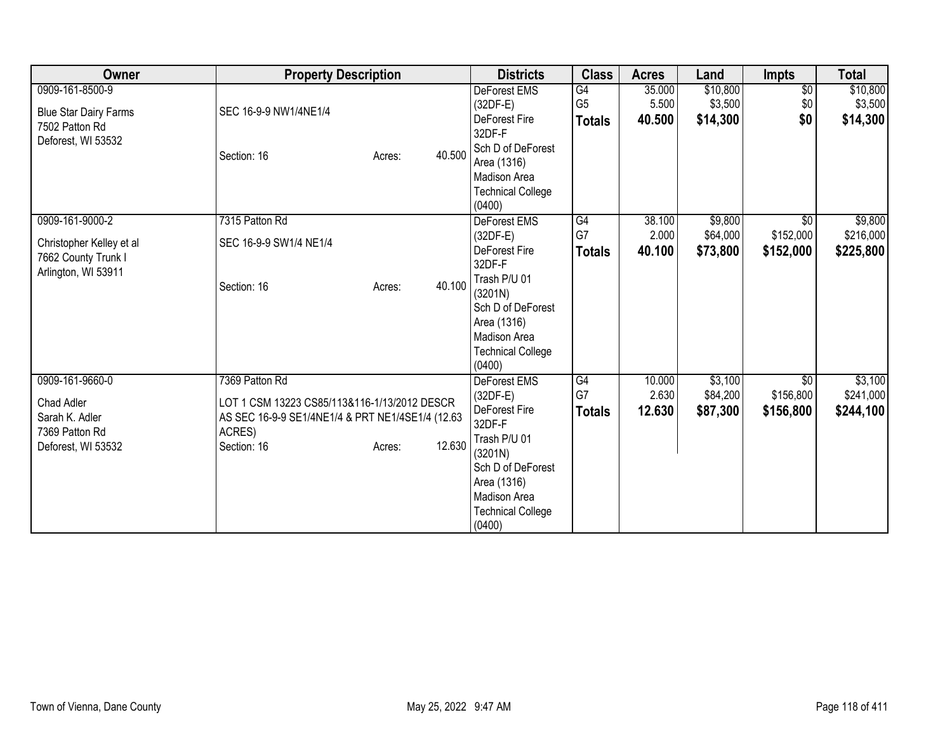| Owner                                                                                     | <b>Property Description</b>                                                                                                                 |        |        | <b>Districts</b>                                                                                                                                                                         | <b>Class</b>                          | <b>Acres</b>              | Land                            | <b>Impts</b>                              | <b>Total</b>                      |
|-------------------------------------------------------------------------------------------|---------------------------------------------------------------------------------------------------------------------------------------------|--------|--------|------------------------------------------------------------------------------------------------------------------------------------------------------------------------------------------|---------------------------------------|---------------------------|---------------------------------|-------------------------------------------|-----------------------------------|
| 0909-161-8500-9<br><b>Blue Star Dairy Farms</b><br>7502 Patton Rd<br>Deforest, WI 53532   | SEC 16-9-9 NW1/4NE1/4<br>Section: 16                                                                                                        | Acres: | 40.500 | <b>DeForest EMS</b><br>$(32DF-E)$<br>DeForest Fire<br>32DF-F<br>Sch D of DeForest<br>Area (1316)<br>Madison Area<br><b>Technical College</b><br>(0400)                                   | G4<br>G <sub>5</sub><br><b>Totals</b> | 35.000<br>5.500<br>40.500 | \$10,800<br>\$3,500<br>\$14,300 | $\overline{50}$<br>\$0<br>\$0             | \$10,800<br>\$3,500<br>\$14,300   |
| 0909-161-9000-2<br>Christopher Kelley et al<br>7662 County Trunk I<br>Arlington, WI 53911 | 7315 Patton Rd<br>SEC 16-9-9 SW1/4 NE1/4<br>Section: 16                                                                                     | Acres: | 40.100 | DeForest EMS<br>$(32DF-E)$<br><b>DeForest Fire</b><br>32DF-F<br>Trash P/U 01<br>(3201N)<br>Sch D of DeForest<br>Area (1316)<br><b>Madison Area</b><br><b>Technical College</b><br>(0400) | G4<br>G7<br><b>Totals</b>             | 38.100<br>2.000<br>40.100 | \$9,800<br>\$64,000<br>\$73,800 | $\overline{50}$<br>\$152,000<br>\$152,000 | \$9,800<br>\$216,000<br>\$225,800 |
| 0909-161-9660-0<br>Chad Adler<br>Sarah K. Adler<br>7369 Patton Rd<br>Deforest, WI 53532   | 7369 Patton Rd<br>LOT 1 CSM 13223 CS85/113&116-1/13/2012 DESCR<br>AS SEC 16-9-9 SE1/4NE1/4 & PRT NE1/4SE1/4 (12.63<br>ACRES)<br>Section: 16 | Acres: | 12.630 | <b>DeForest EMS</b><br>$(32DF-E)$<br><b>DeForest Fire</b><br>32DF-F<br>Trash P/U 01<br>(3201N)<br>Sch D of DeForest<br>Area (1316)<br>Madison Area<br><b>Technical College</b><br>(0400) | G4<br>G7<br><b>Totals</b>             | 10.000<br>2.630<br>12.630 | \$3,100<br>\$84,200<br>\$87,300 | \$0<br>\$156,800<br>\$156,800             | \$3,100<br>\$241,000<br>\$244,100 |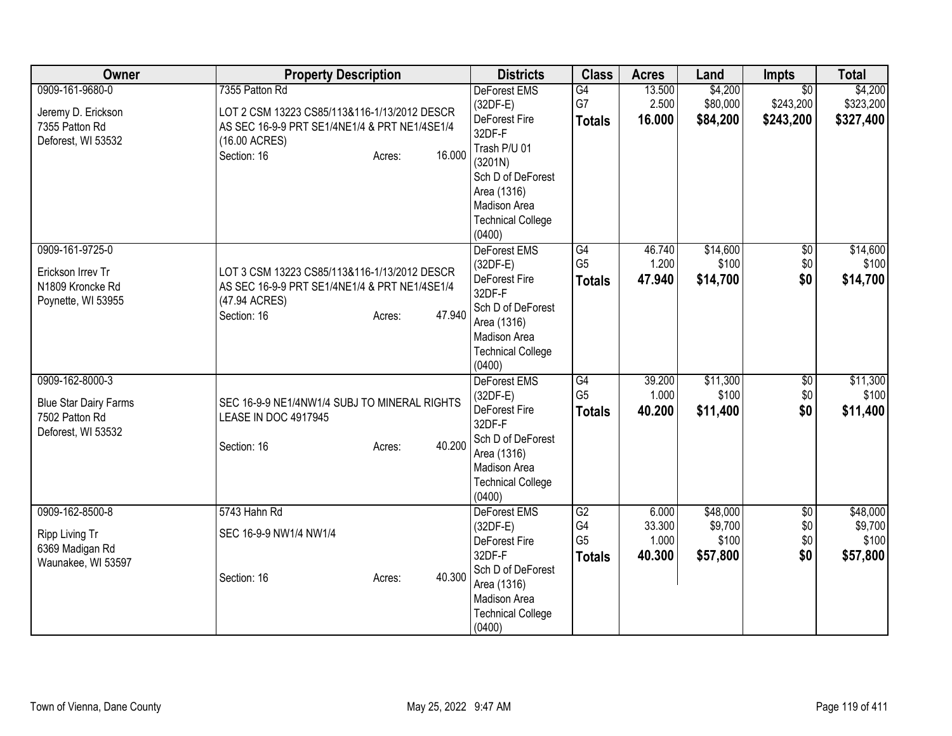| Owner                                                                                   | <b>Property Description</b>                                                                                                                                         | <b>Districts</b>                                                                                                                                                                         | <b>Class</b>                                             | <b>Acres</b>                       | Land                                     | Impts                                     | <b>Total</b>                             |
|-----------------------------------------------------------------------------------------|---------------------------------------------------------------------------------------------------------------------------------------------------------------------|------------------------------------------------------------------------------------------------------------------------------------------------------------------------------------------|----------------------------------------------------------|------------------------------------|------------------------------------------|-------------------------------------------|------------------------------------------|
| 0909-161-9680-0<br>Jeremy D. Erickson<br>7355 Patton Rd<br>Deforest, WI 53532           | 7355 Patton Rd<br>LOT 2 CSM 13223 CS85/113&116-1/13/2012 DESCR<br>AS SEC 16-9-9 PRT SE1/4NE1/4 & PRT NE1/4SE1/4<br>(16.00 ACRES)<br>16.000<br>Section: 16<br>Acres: | <b>DeForest EMS</b><br>$(32DF-E)$<br>DeForest Fire<br>32DF-F<br>Trash P/U 01<br>(3201N)<br>Sch D of DeForest<br>Area (1316)<br><b>Madison Area</b><br><b>Technical College</b><br>(0400) | G4<br>G7<br><b>Totals</b>                                | 13.500<br>2.500<br>16.000          | \$4,200<br>\$80,000<br>\$84,200          | $\overline{50}$<br>\$243,200<br>\$243,200 | \$4,200<br>\$323,200<br>\$327,400        |
| 0909-161-9725-0<br>Erickson Irrev Tr<br>N1809 Kroncke Rd<br>Poynette, WI 53955          | LOT 3 CSM 13223 CS85/113&116-1/13/2012 DESCR<br>AS SEC 16-9-9 PRT SE1/4NE1/4 & PRT NE1/4SE1/4<br>(47.94 ACRES)<br>47.940<br>Section: 16<br>Acres:                   | DeForest EMS<br>$(32DF-E)$<br>DeForest Fire<br>32DF-F<br>Sch D of DeForest<br>Area (1316)<br>Madison Area<br><b>Technical College</b><br>(0400)                                          | $\overline{G4}$<br>G <sub>5</sub><br><b>Totals</b>       | 46.740<br>1.200<br>47.940          | \$14,600<br>\$100<br>\$14,700            | $\overline{60}$<br>\$0<br>\$0             | \$14,600<br>\$100<br>\$14,700            |
| 0909-162-8000-3<br><b>Blue Star Dairy Farms</b><br>7502 Patton Rd<br>Deforest, WI 53532 | SEC 16-9-9 NE1/4NW1/4 SUBJ TO MINERAL RIGHTS<br>LEASE IN DOC 4917945<br>40.200<br>Section: 16<br>Acres:                                                             | DeForest EMS<br>(32DF-E)<br>DeForest Fire<br>32DF-F<br>Sch D of DeForest<br>Area (1316)<br>Madison Area<br><b>Technical College</b><br>(0400)                                            | G4<br>G <sub>5</sub><br><b>Totals</b>                    | 39.200<br>1.000<br>40.200          | \$11,300<br>\$100<br>\$11,400            | \$0<br>\$0<br>\$0                         | \$11,300<br>\$100<br>\$11,400            |
| 0909-162-8500-8<br>Ripp Living Tr<br>6369 Madigan Rd<br>Waunakee, WI 53597              | 5743 Hahn Rd<br>SEC 16-9-9 NW1/4 NW1/4<br>40.300<br>Section: 16<br>Acres:                                                                                           | DeForest EMS<br>$(32DF-E)$<br>DeForest Fire<br>32DF-F<br>Sch D of DeForest<br>Area (1316)<br>Madison Area<br><b>Technical College</b><br>(0400)                                          | $\overline{G2}$<br>G4<br>G <sub>5</sub><br><b>Totals</b> | 6.000<br>33.300<br>1.000<br>40.300 | \$48,000<br>\$9,700<br>\$100<br>\$57,800 | $\overline{60}$<br>\$0<br>\$0<br>\$0      | \$48,000<br>\$9,700<br>\$100<br>\$57,800 |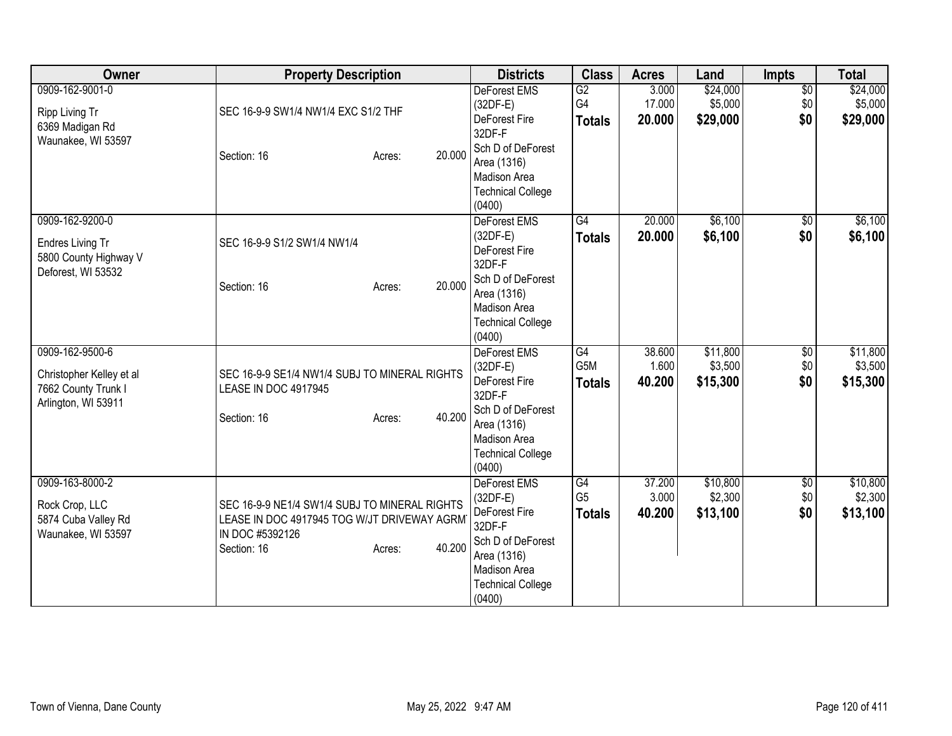| Owner                                                                                     | <b>Property Description</b>                                                                                                                        | <b>Districts</b>                                                                                                                                              | <b>Class</b>                            | <b>Acres</b>              | Land                            | <b>Impts</b>                  | <b>Total</b>                    |
|-------------------------------------------------------------------------------------------|----------------------------------------------------------------------------------------------------------------------------------------------------|---------------------------------------------------------------------------------------------------------------------------------------------------------------|-----------------------------------------|---------------------------|---------------------------------|-------------------------------|---------------------------------|
| 0909-162-9001-0<br>Ripp Living Tr<br>6369 Madigan Rd<br>Waunakee, WI 53597                | SEC 16-9-9 SW1/4 NW1/4 EXC S1/2 THF<br>20.000<br>Section: 16<br>Acres:                                                                             | <b>DeForest EMS</b><br>$(32DF-E)$<br>DeForest Fire<br>32DF-F<br>Sch D of DeForest<br>Area (1316)<br>Madison Area<br><b>Technical College</b><br>(0400)        | $\overline{G2}$<br>G4<br><b>Totals</b>  | 3.000<br>17.000<br>20,000 | \$24,000<br>\$5,000<br>\$29,000 | $\overline{50}$<br>\$0<br>\$0 | \$24,000<br>\$5,000<br>\$29,000 |
| 0909-162-9200-0<br>Endres Living Tr<br>5800 County Highway V<br>Deforest, WI 53532        | SEC 16-9-9 S1/2 SW1/4 NW1/4<br>20.000<br>Section: 16<br>Acres:                                                                                     | DeForest EMS<br>$(32DF-E)$<br>DeForest Fire<br>32DF-F<br>Sch D of DeForest<br>Area (1316)<br><b>Madison Area</b><br><b>Technical College</b><br>(0400)        | G4<br><b>Totals</b>                     | 20.000<br>20.000          | \$6,100<br>\$6,100              | $\sqrt{6}$<br>\$0             | \$6,100<br>\$6,100              |
| 0909-162-9500-6<br>Christopher Kelley et al<br>7662 County Trunk I<br>Arlington, WI 53911 | SEC 16-9-9 SE1/4 NW1/4 SUBJ TO MINERAL RIGHTS<br>LEASE IN DOC 4917945<br>40.200<br>Section: 16<br>Acres:                                           | <b>DeForest EMS</b><br>$(32DF-E)$<br>DeForest Fire<br>32DF-F<br>Sch D of DeForest<br>Area (1316)<br><b>Madison Area</b><br><b>Technical College</b><br>(0400) | G4<br>G <sub>5</sub> M<br><b>Totals</b> | 38.600<br>1.600<br>40.200 | \$11,800<br>\$3,500<br>\$15,300 | \$0<br>\$0<br>\$0             | \$11,800<br>\$3,500<br>\$15,300 |
| 0909-163-8000-2<br>Rock Crop, LLC<br>5874 Cuba Valley Rd<br>Waunakee, WI 53597            | SEC 16-9-9 NE1/4 SW1/4 SUBJ TO MINERAL RIGHTS<br>LEASE IN DOC 4917945 TOG W/JT DRIVEWAY AGRM<br>IN DOC #5392126<br>40.200<br>Section: 16<br>Acres: | DeForest EMS<br>$(32DF-E)$<br>DeForest Fire<br>32DF-F<br>Sch D of DeForest<br>Area (1316)<br>Madison Area<br><b>Technical College</b><br>(0400)               | G4<br>G <sub>5</sub><br><b>Totals</b>   | 37.200<br>3.000<br>40.200 | \$10,800<br>\$2,300<br>\$13,100 | \$0<br>\$0<br>\$0             | \$10,800<br>\$2,300<br>\$13,100 |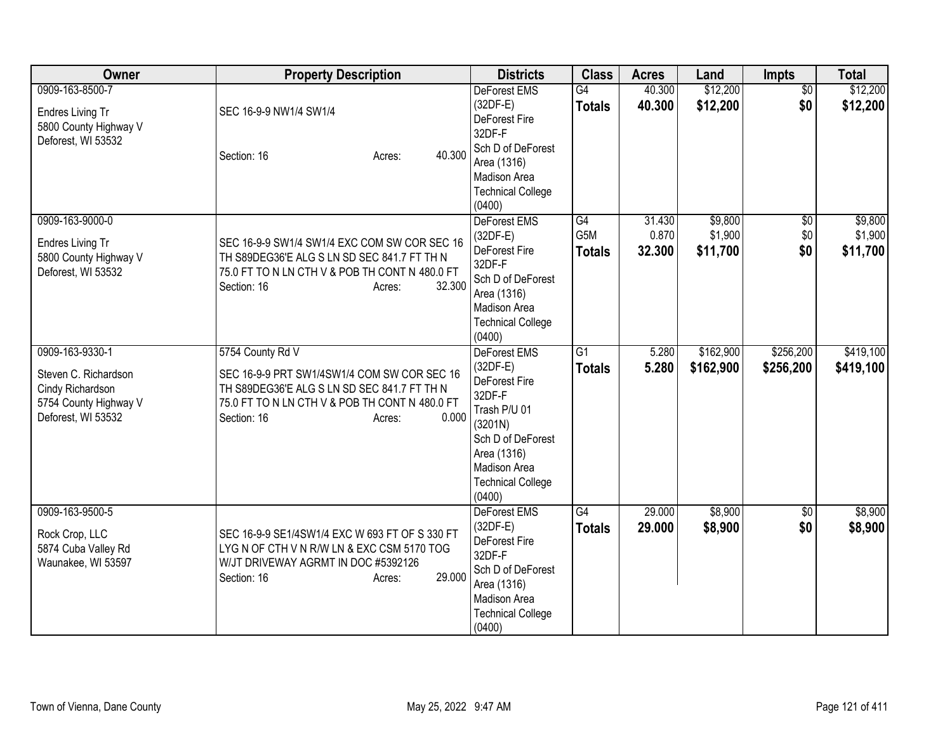| Owner                                                                                                      | <b>Property Description</b>                                                                                                                                                                        | <b>Districts</b>                                                                                                                                                                  | <b>Class</b>                     | <b>Acres</b>              | Land                           | Impts                    | <b>Total</b>                   |
|------------------------------------------------------------------------------------------------------------|----------------------------------------------------------------------------------------------------------------------------------------------------------------------------------------------------|-----------------------------------------------------------------------------------------------------------------------------------------------------------------------------------|----------------------------------|---------------------------|--------------------------------|--------------------------|--------------------------------|
| 0909-163-8500-7<br>Endres Living Tr<br>5800 County Highway V<br>Deforest, WI 53532                         | SEC 16-9-9 NW1/4 SW1/4<br>40.300<br>Section: 16<br>Acres:                                                                                                                                          | <b>DeForest EMS</b><br>$(32DF-E)$<br>DeForest Fire<br>32DF-F<br>Sch D of DeForest<br>Area (1316)<br>Madison Area<br><b>Technical College</b><br>(0400)                            | G4<br><b>Totals</b>              | 40.300<br>40.300          | \$12,200<br>\$12,200           | $\overline{50}$<br>\$0   | \$12,200<br>\$12,200           |
| 0909-163-9000-0<br>Endres Living Tr<br>5800 County Highway V<br>Deforest, WI 53532                         | SEC 16-9-9 SW1/4 SW1/4 EXC COM SW COR SEC 16<br>TH S89DEG36'E ALG S LN SD SEC 841.7 FT TH N<br>75.0 FT TO N LN CTH V & POB TH CONT N 480.0 FT<br>32.300<br>Section: 16<br>Acres:                   | DeForest EMS<br>$(32DF-E)$<br>DeForest Fire<br>32DF-F<br>Sch D of DeForest<br>Area (1316)<br>Madison Area<br><b>Technical College</b><br>(0400)                                   | G4<br>G5M<br><b>Totals</b>       | 31.430<br>0.870<br>32.300 | \$9,800<br>\$1,900<br>\$11,700 | $\sqrt{6}$<br>\$0<br>\$0 | \$9,800<br>\$1,900<br>\$11,700 |
| 0909-163-9330-1<br>Steven C. Richardson<br>Cindy Richardson<br>5754 County Highway V<br>Deforest, WI 53532 | 5754 County Rd V<br>SEC 16-9-9 PRT SW1/4SW1/4 COM SW COR SEC 16<br>TH S89DEG36'E ALG S LN SD SEC 841.7 FT TH N<br>75.0 FT TO N LN CTH V & POB TH CONT N 480.0 FT<br>0.000<br>Section: 16<br>Acres: | <b>DeForest EMS</b><br>$(32DF-E)$<br>DeForest Fire<br>32DF-F<br>Trash P/U 01<br>(3201N)<br>Sch D of DeForest<br>Area (1316)<br>Madison Area<br><b>Technical College</b><br>(0400) | $\overline{G1}$<br><b>Totals</b> | 5.280<br>5.280            | \$162,900<br>\$162,900         | \$256,200<br>\$256,200   | \$419,100<br>\$419,100         |
| 0909-163-9500-5<br>Rock Crop, LLC<br>5874 Cuba Valley Rd<br>Waunakee, WI 53597                             | SEC 16-9-9 SE1/4SW1/4 EXC W 693 FT OF S 330 FT<br>LYG N OF CTH V N R/W LN & EXC CSM 5170 TOG<br>W/JT DRIVEWAY AGRMT IN DOC #5392126<br>29.000<br>Section: 16<br>Acres:                             | DeForest EMS<br>$(32DF-E)$<br>DeForest Fire<br>32DF-F<br>Sch D of DeForest<br>Area (1316)<br>Madison Area<br><b>Technical College</b><br>(0400)                                   | G4<br><b>Totals</b>              | 29.000<br>29,000          | \$8,900<br>\$8,900             | $\overline{50}$<br>\$0   | \$8,900<br>\$8,900             |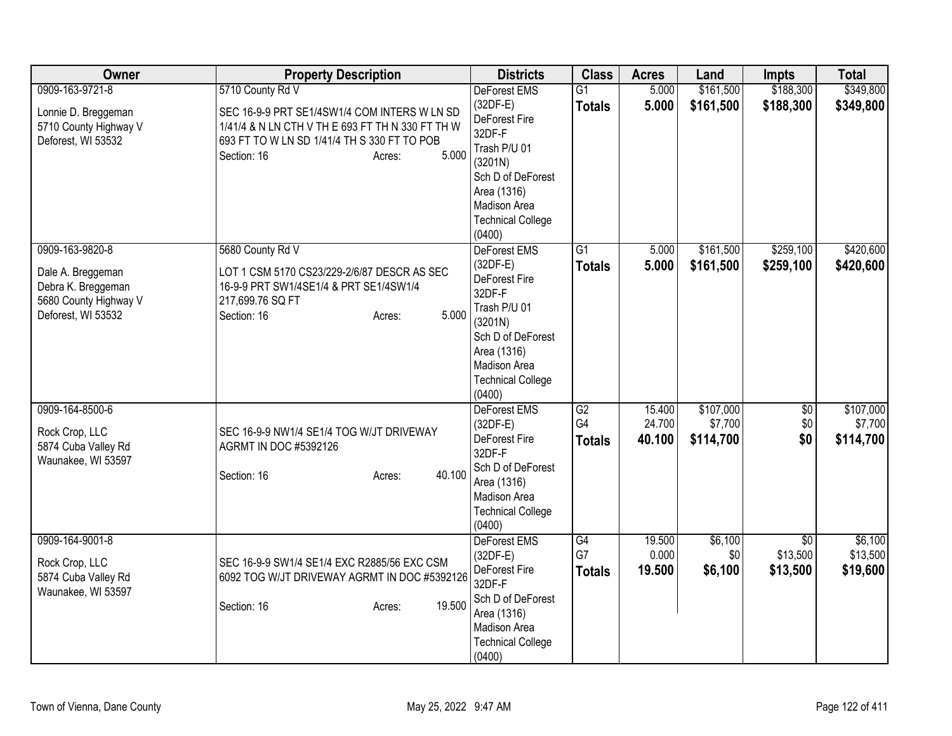| Owner                                                                                                     | <b>Property Description</b>                                                                                                                                                       | <b>Districts</b>                                                                                                                                                           | <b>Class</b>                     | <b>Acres</b>               | Land                              | <b>Impts</b>                            | <b>Total</b>                      |
|-----------------------------------------------------------------------------------------------------------|-----------------------------------------------------------------------------------------------------------------------------------------------------------------------------------|----------------------------------------------------------------------------------------------------------------------------------------------------------------------------|----------------------------------|----------------------------|-----------------------------------|-----------------------------------------|-----------------------------------|
| 0909-163-9721-8                                                                                           | 5710 County Rd V                                                                                                                                                                  | DeForest EMS                                                                                                                                                               | $\overline{G1}$                  | 5.000                      | \$161,500                         | \$188,300                               | \$349,800                         |
| Lonnie D. Breggeman<br>5710 County Highway V<br>Deforest, WI 53532                                        | SEC 16-9-9 PRT SE1/4SW1/4 COM INTERS W LN SD<br>1/41/4 & N LN CTH V TH E 693 FT TH N 330 FT TH W<br>693 FT TO W LN SD 1/41/4 TH S 330 FT TO POB<br>5.000<br>Section: 16<br>Acres: | $(32DF-E)$<br>DeForest Fire<br>32DF-F<br>Trash P/U 01<br>(3201N)<br>Sch D of DeForest<br>Area (1316)<br>Madison Area<br><b>Technical College</b><br>(0400)                 | <b>Totals</b>                    | 5.000                      | \$161,500                         | \$188,300                               | \$349,800                         |
| 0909-163-9820-8<br>Dale A. Breggeman<br>Debra K. Breggeman<br>5680 County Highway V<br>Deforest, WI 53532 | 5680 County Rd V<br>LOT 1 CSM 5170 CS23/229-2/6/87 DESCR AS SEC<br>16-9-9 PRT SW1/4SE1/4 & PRT SE1/4SW1/4<br>217,699.76 SQ FT<br>5.000<br>Section: 16<br>Acres:                   | DeForest EMS<br>$(32DF-E)$<br>DeForest Fire<br>32DF-F<br>Trash P/U 01<br>(3201N)<br>Sch D of DeForest<br>Area (1316)<br>Madison Area<br><b>Technical College</b><br>(0400) | $\overline{G1}$<br><b>Totals</b> | 5.000<br>5.000             | \$161,500<br>\$161,500            | \$259,100<br>\$259,100                  | \$420,600<br>\$420,600            |
| 0909-164-8500-6<br>Rock Crop, LLC<br>5874 Cuba Valley Rd<br>Waunakee, WI 53597                            | SEC 16-9-9 NW1/4 SE1/4 TOG W/JT DRIVEWAY<br><b>AGRMT IN DOC #5392126</b><br>40.100<br>Section: 16<br>Acres:                                                                       | <b>DeForest EMS</b><br>$(32DF-E)$<br>DeForest Fire<br>32DF-F<br>Sch D of DeForest<br>Area (1316)<br>Madison Area<br><b>Technical College</b><br>(0400)                     | G2<br>G4<br><b>Totals</b>        | 15.400<br>24.700<br>40.100 | \$107,000<br>\$7,700<br>\$114,700 | \$0<br>\$0<br>\$0                       | \$107,000<br>\$7,700<br>\$114,700 |
| 0909-164-9001-8<br>Rock Crop, LLC<br>5874 Cuba Valley Rd<br>Waunakee, WI 53597                            | SEC 16-9-9 SW1/4 SE1/4 EXC R2885/56 EXC CSM<br>6092 TOG W/JT DRIVEWAY AGRMT IN DOC #5392126<br>19.500<br>Section: 16<br>Acres:                                                    | <b>DeForest EMS</b><br>$(32DF-E)$<br>DeForest Fire<br>32DF-F<br>Sch D of DeForest<br>Area (1316)<br>Madison Area<br><b>Technical College</b><br>(0400)                     | G4<br>G7<br><b>Totals</b>        | 19.500<br>0.000<br>19.500  | \$6,100<br>\$0<br>\$6,100         | $\overline{50}$<br>\$13,500<br>\$13,500 | \$6,100<br>\$13,500<br>\$19,600   |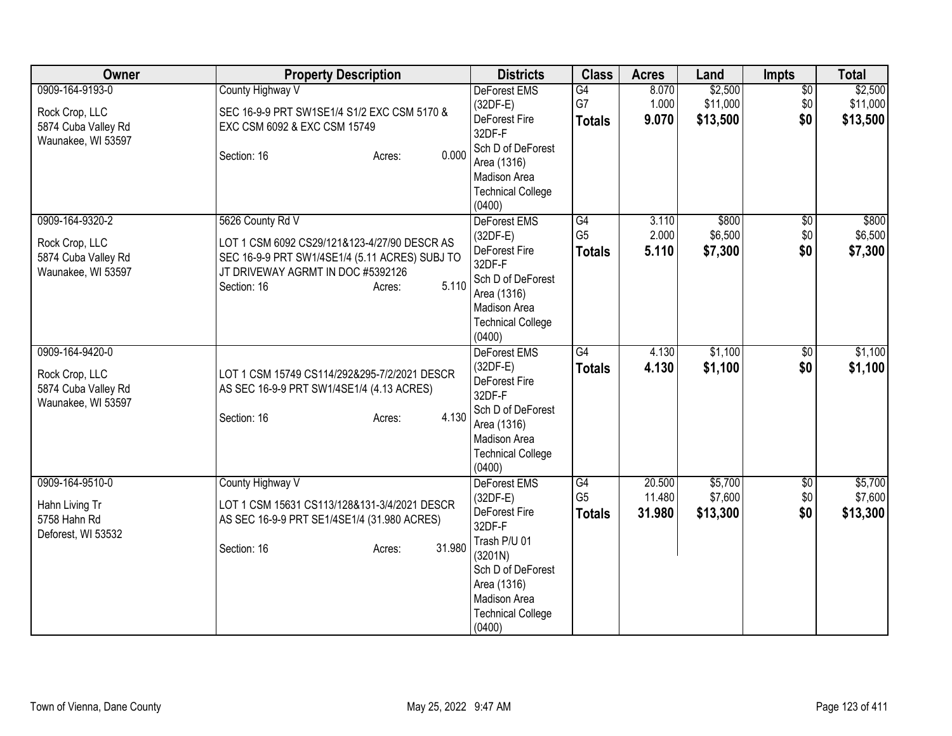| Owner                                                       | <b>Property Description</b>                                                                                                         | <b>Districts</b>                                                                                                         | <b>Class</b>                    | <b>Acres</b>     | Land                | Impts                  | <b>Total</b>        |
|-------------------------------------------------------------|-------------------------------------------------------------------------------------------------------------------------------------|--------------------------------------------------------------------------------------------------------------------------|---------------------------------|------------------|---------------------|------------------------|---------------------|
| 0909-164-9193-0                                             | County Highway V                                                                                                                    | <b>DeForest EMS</b><br>$(32DF-E)$                                                                                        | G4<br>G7                        | 8.070<br>1.000   | \$2,500<br>\$11,000 | $\overline{50}$<br>\$0 | \$2,500<br>\$11,000 |
| Rock Crop, LLC<br>5874 Cuba Valley Rd<br>Waunakee, WI 53597 | SEC 16-9-9 PRT SW1SE1/4 S1/2 EXC CSM 5170 &<br>EXC CSM 6092 & EXC CSM 15749                                                         | DeForest Fire<br>32DF-F                                                                                                  | <b>Totals</b>                   | 9.070            | \$13,500            | \$0                    | \$13,500            |
|                                                             | 0.000<br>Section: 16<br>Acres:                                                                                                      | Sch D of DeForest<br>Area (1316)<br>Madison Area<br><b>Technical College</b><br>(0400)                                   |                                 |                  |                     |                        |                     |
| 0909-164-9320-2                                             | 5626 County Rd V                                                                                                                    | DeForest EMS                                                                                                             | G4                              | 3.110            | \$800               | $\overline{50}$        | \$800               |
| Rock Crop, LLC<br>5874 Cuba Valley Rd<br>Waunakee, WI 53597 | LOT 1 CSM 6092 CS29/121&123-4/27/90 DESCR AS<br>SEC 16-9-9 PRT SW1/4SE1/4 (5.11 ACRES) SUBJ TO<br>JT DRIVEWAY AGRMT IN DOC #5392126 | $(32DF-E)$<br>DeForest Fire<br>32DF-F<br>Sch D of DeForest                                                               | G <sub>5</sub><br>Totals        | 2.000<br>5.110   | \$6,500<br>\$7,300  | \$0<br>\$0             | \$6,500<br>\$7,300  |
|                                                             | 5.110<br>Section: 16<br>Acres:                                                                                                      | Area (1316)<br>Madison Area<br><b>Technical College</b><br>(0400)                                                        |                                 |                  |                     |                        |                     |
| 0909-164-9420-0                                             |                                                                                                                                     | <b>DeForest EMS</b><br>$(32DF-E)$                                                                                        | G4<br><b>Totals</b>             | 4.130<br>4.130   | \$1,100<br>\$1,100  | \$0<br>\$0             | \$1,100<br>\$1,100  |
| Rock Crop, LLC<br>5874 Cuba Valley Rd<br>Waunakee, WI 53597 | LOT 1 CSM 15749 CS114/292&295-7/2/2021 DESCR<br>AS SEC 16-9-9 PRT SW1/4SE1/4 (4.13 ACRES)                                           | DeForest Fire<br>32DF-F                                                                                                  |                                 |                  |                     |                        |                     |
|                                                             | 4.130<br>Section: 16<br>Acres:                                                                                                      | Sch D of DeForest<br>Area (1316)<br>Madison Area<br><b>Technical College</b><br>(0400)                                   |                                 |                  |                     |                        |                     |
| 0909-164-9510-0                                             | County Highway V                                                                                                                    | DeForest EMS                                                                                                             | G4                              | 20.500           | \$5,700             | $\overline{50}$        | \$5,700             |
| Hahn Living Tr<br>5758 Hahn Rd<br>Deforest, WI 53532        | LOT 1 CSM 15631 CS113/128&131-3/4/2021 DESCR<br>AS SEC 16-9-9 PRT SE1/4SE1/4 (31.980 ACRES)                                         | $(32DF-E)$<br>DeForest Fire<br>32DF-F                                                                                    | G <sub>5</sub><br><b>Totals</b> | 11.480<br>31.980 | \$7,600<br>\$13,300 | \$0<br>\$0             | \$7,600<br>\$13,300 |
|                                                             | 31.980<br>Section: 16<br>Acres:                                                                                                     | Trash P/U 01<br>(3201N)<br>Sch D of DeForest<br>Area (1316)<br><b>Madison Area</b><br><b>Technical College</b><br>(0400) |                                 |                  |                     |                        |                     |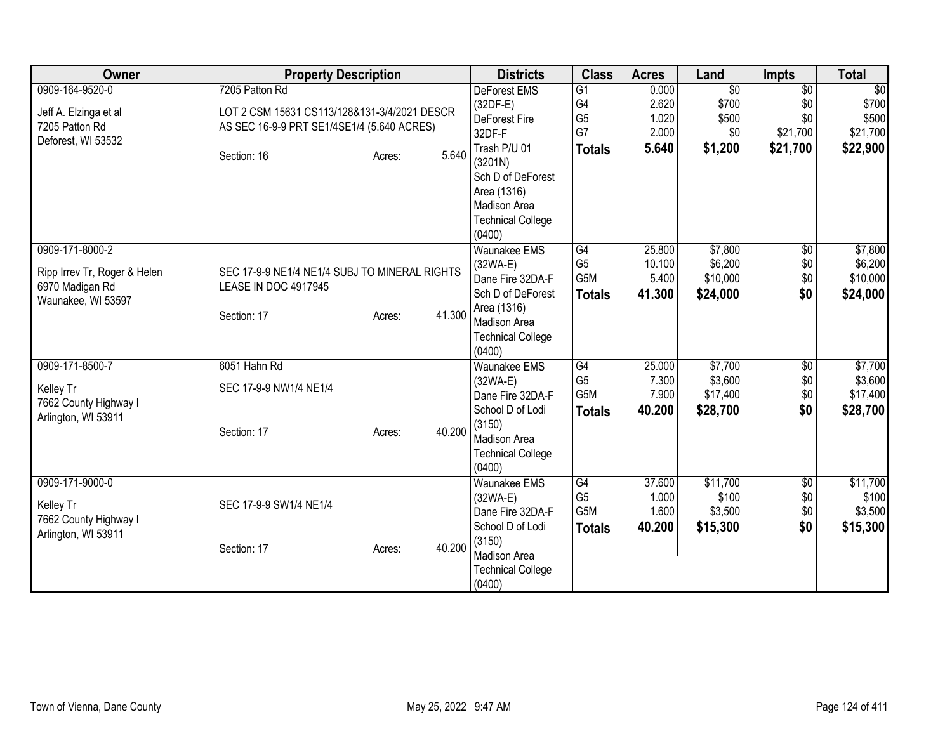| Owner                        | <b>Property Description</b>                   |                  | <b>Districts</b>                         | <b>Class</b>          | <b>Acres</b>     | Land                     | <b>Impts</b>           | <b>Total</b>       |
|------------------------------|-----------------------------------------------|------------------|------------------------------------------|-----------------------|------------------|--------------------------|------------------------|--------------------|
| 0909-164-9520-0              | 7205 Patton Rd                                |                  | <b>DeForest EMS</b><br>$(32DF-E)$        | $\overline{G1}$<br>G4 | 0.000<br>2.620   | $\overline{50}$<br>\$700 | $\overline{50}$<br>\$0 | \$0<br>\$700       |
| Jeff A. Elzinga et al        | LOT 2 CSM 15631 CS113/128&131-3/4/2021 DESCR  |                  | DeForest Fire                            | G <sub>5</sub>        | 1.020            | \$500                    | \$0                    | \$500              |
| 7205 Patton Rd               | AS SEC 16-9-9 PRT SE1/4SE1/4 (5.640 ACRES)    |                  | 32DF-F                                   | G7                    | 2.000            | \$0                      | \$21,700               | \$21,700           |
| Deforest, WI 53532           |                                               |                  | Trash P/U 01                             | <b>Totals</b>         | 5.640            | \$1,200                  | \$21,700               | \$22,900           |
|                              | Section: 16                                   | 5.640<br>Acres:  | (3201N)                                  |                       |                  |                          |                        |                    |
|                              |                                               |                  | Sch D of DeForest                        |                       |                  |                          |                        |                    |
|                              |                                               |                  | Area (1316)                              |                       |                  |                          |                        |                    |
|                              |                                               |                  | <b>Madison Area</b>                      |                       |                  |                          |                        |                    |
|                              |                                               |                  | <b>Technical College</b>                 |                       |                  |                          |                        |                    |
|                              |                                               |                  | (0400)                                   |                       |                  |                          |                        |                    |
| 0909-171-8000-2              |                                               |                  | <b>Waunakee EMS</b>                      | G4<br>G <sub>5</sub>  | 25.800<br>10.100 | \$7,800                  | $\sqrt{$0}$            | \$7,800<br>\$6,200 |
| Ripp Irrev Tr, Roger & Helen | SEC 17-9-9 NE1/4 NE1/4 SUBJ TO MINERAL RIGHTS |                  | $(32WA-E)$<br>Dane Fire 32DA-F           | G5M                   | 5.400            | \$6,200<br>\$10,000      | \$0<br>\$0             | \$10,000           |
| 6970 Madigan Rd              | LEASE IN DOC 4917945                          |                  | Sch D of DeForest                        | <b>Totals</b>         | 41.300           | \$24,000                 | \$0                    | \$24,000           |
| Waunakee, WI 53597           |                                               |                  | Area (1316)                              |                       |                  |                          |                        |                    |
|                              | Section: 17                                   | 41.300<br>Acres: | Madison Area                             |                       |                  |                          |                        |                    |
|                              |                                               |                  | <b>Technical College</b>                 |                       |                  |                          |                        |                    |
|                              |                                               |                  | (0400)                                   |                       |                  |                          |                        |                    |
| 0909-171-8500-7              | 6051 Hahn Rd                                  |                  | <b>Waunakee EMS</b>                      | G4                    | 25.000           | \$7,700                  | $\overline{50}$        | \$7,700            |
| Kelley Tr                    | SEC 17-9-9 NW1/4 NE1/4                        |                  | (32WA-E)                                 | G <sub>5</sub>        | 7.300            | \$3,600                  | \$0                    | \$3,600            |
| 7662 County Highway I        |                                               |                  | Dane Fire 32DA-F                         | G5M                   | 7.900            | \$17,400                 | \$0                    | \$17,400           |
| Arlington, WI 53911          |                                               |                  | School D of Lodi                         | <b>Totals</b>         | 40.200           | \$28,700                 | \$0                    | \$28,700           |
|                              | Section: 17                                   | 40.200<br>Acres: | (3150)                                   |                       |                  |                          |                        |                    |
|                              |                                               |                  | Madison Area<br><b>Technical College</b> |                       |                  |                          |                        |                    |
|                              |                                               |                  | (0400)                                   |                       |                  |                          |                        |                    |
| 0909-171-9000-0              |                                               |                  | <b>Waunakee EMS</b>                      | G4                    | 37.600           | \$11,700                 | $\overline{50}$        | \$11,700           |
|                              |                                               |                  | (32WA-E)                                 | G <sub>5</sub>        | 1.000            | \$100                    | \$0                    | \$100              |
| Kelley Tr                    | SEC 17-9-9 SW1/4 NE1/4                        |                  | Dane Fire 32DA-F                         | G <sub>5</sub> M      | 1.600            | \$3,500                  | \$0                    | \$3,500            |
| 7662 County Highway I        |                                               |                  | School D of Lodi                         | <b>Totals</b>         | 40.200           | \$15,300                 | \$0                    | \$15,300           |
| Arlington, WI 53911          | Section: 17                                   | 40.200<br>Acres: | (3150)                                   |                       |                  |                          |                        |                    |
|                              |                                               |                  | Madison Area                             |                       |                  |                          |                        |                    |
|                              |                                               |                  | <b>Technical College</b>                 |                       |                  |                          |                        |                    |
|                              |                                               |                  | (0400)                                   |                       |                  |                          |                        |                    |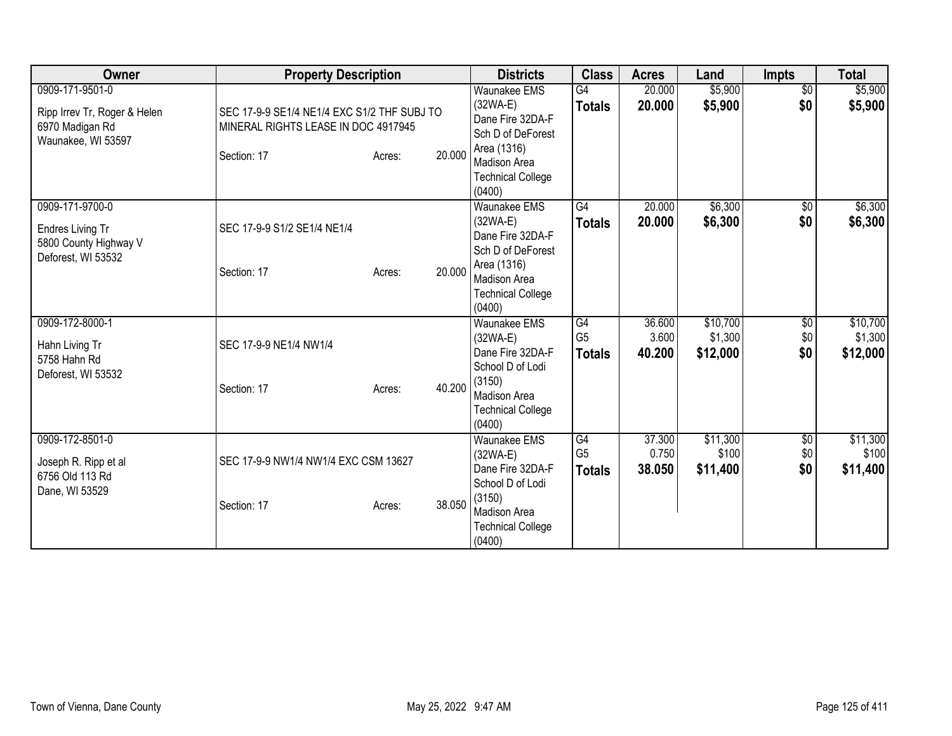| Owner                                                                                    | <b>Property Description</b>                                                                       |        |        | <b>Districts</b>                                                                                                                                       | <b>Class</b>                          | <b>Acres</b>              | Land                            | Impts                  | <b>Total</b>                    |
|------------------------------------------------------------------------------------------|---------------------------------------------------------------------------------------------------|--------|--------|--------------------------------------------------------------------------------------------------------------------------------------------------------|---------------------------------------|---------------------------|---------------------------------|------------------------|---------------------------------|
| 0909-171-9501-0<br>Ripp Irrev Tr, Roger & Helen<br>6970 Madigan Rd<br>Waunakee, WI 53597 | SEC 17-9-9 SE1/4 NE1/4 EXC S1/2 THF SUBJ TO<br>MINERAL RIGHTS LEASE IN DOC 4917945<br>Section: 17 | Acres: | 20.000 | <b>Waunakee EMS</b><br>$(32WA-E)$<br>Dane Fire 32DA-F<br>Sch D of DeForest<br>Area (1316)<br><b>Madison Area</b><br><b>Technical College</b><br>(0400) | G4<br><b>Totals</b>                   | 20.000<br>20.000          | \$5,900<br>\$5,900              | $\overline{50}$<br>\$0 | \$5,900<br>\$5,900              |
| 0909-171-9700-0<br>Endres Living Tr<br>5800 County Highway V<br>Deforest, WI 53532       | SEC 17-9-9 S1/2 SE1/4 NE1/4<br>Section: 17                                                        | Acres: | 20.000 | <b>Waunakee EMS</b><br>$(32WA-E)$<br>Dane Fire 32DA-F<br>Sch D of DeForest<br>Area (1316)<br><b>Madison Area</b><br><b>Technical College</b><br>(0400) | G4<br><b>Totals</b>                   | 20.000<br>20.000          | \$6,300<br>\$6,300              | $\overline{50}$<br>\$0 | \$6,300<br>\$6,300              |
| 0909-172-8000-1<br>Hahn Living Tr<br>5758 Hahn Rd<br>Deforest, WI 53532                  | SEC 17-9-9 NE1/4 NW1/4<br>Section: 17                                                             | Acres: | 40.200 | <b>Waunakee EMS</b><br>(32WA-E)<br>Dane Fire 32DA-F<br>School D of Lodi<br>(3150)<br>Madison Area<br><b>Technical College</b><br>(0400)                | G4<br>G <sub>5</sub><br><b>Totals</b> | 36.600<br>3.600<br>40.200 | \$10,700<br>\$1,300<br>\$12,000 | \$0<br>\$0<br>\$0      | \$10,700<br>\$1,300<br>\$12,000 |
| 0909-172-8501-0<br>Joseph R. Ripp et al<br>6756 Old 113 Rd<br>Dane, WI 53529             | SEC 17-9-9 NW1/4 NW1/4 EXC CSM 13627<br>Section: 17                                               | Acres: | 38.050 | <b>Waunakee EMS</b><br>(32WA-E)<br>Dane Fire 32DA-F<br>School D of Lodi<br>(3150)<br>Madison Area<br><b>Technical College</b><br>(0400)                | G4<br>G <sub>5</sub><br><b>Totals</b> | 37.300<br>0.750<br>38.050 | \$11,300<br>\$100<br>\$11,400   | \$0<br>\$0<br>\$0      | \$11,300<br>\$100<br>\$11,400   |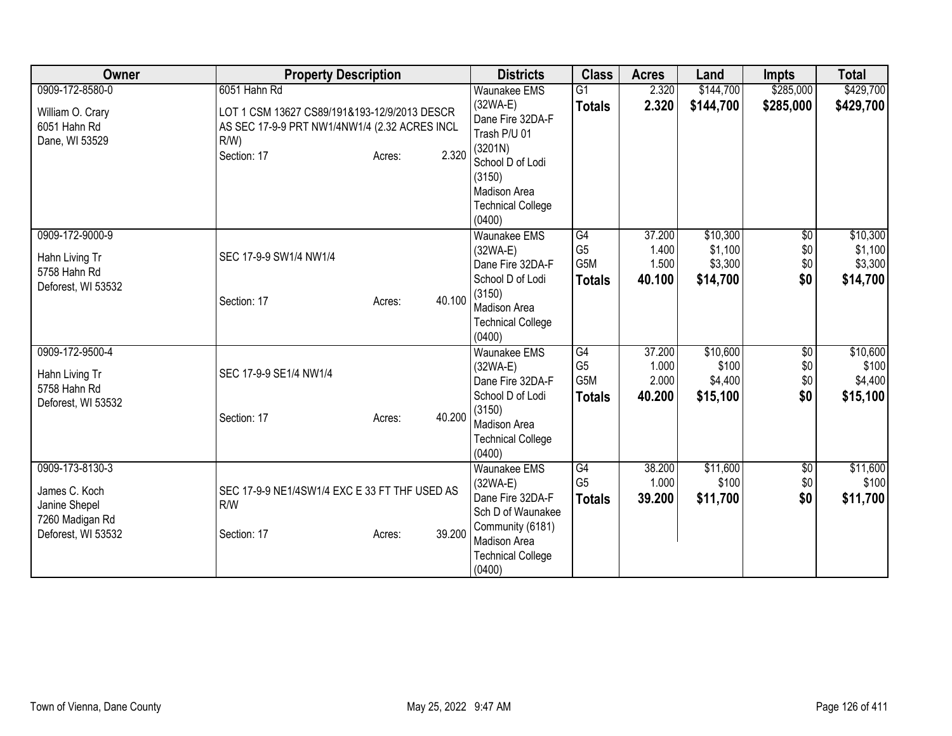| Owner                                                                                      | <b>Property Description</b>                                                                                                                                | <b>Districts</b>                                                                                                                                                     | <b>Class</b>                                 | <b>Acres</b>                       | Land                                       | <b>Impts</b>                    | <b>Total</b>                               |
|--------------------------------------------------------------------------------------------|------------------------------------------------------------------------------------------------------------------------------------------------------------|----------------------------------------------------------------------------------------------------------------------------------------------------------------------|----------------------------------------------|------------------------------------|--------------------------------------------|---------------------------------|--------------------------------------------|
| 0909-172-8580-0<br>William O. Crary<br>6051 Hahn Rd<br>Dane, WI 53529                      | 6051 Hahn Rd<br>LOT 1 CSM 13627 CS89/191&193-12/9/2013 DESCR<br>AS SEC 17-9-9 PRT NW1/4NW1/4 (2.32 ACRES INCL<br>$R/W$ )<br>2.320<br>Section: 17<br>Acres: | <b>Waunakee EMS</b><br>$(32WA-E)$<br>Dane Fire 32DA-F<br>Trash P/U 01<br>(3201N)<br>School D of Lodi<br>(3150)<br>Madison Area<br><b>Technical College</b><br>(0400) | G1<br><b>Totals</b>                          | 2.320<br>2.320                     | \$144,700<br>\$144,700                     | \$285,000<br>\$285,000          | \$429,700<br>\$429,700                     |
| 0909-172-9000-9<br>Hahn Living Tr<br>5758 Hahn Rd<br>Deforest, WI 53532                    | SEC 17-9-9 SW1/4 NW1/4<br>40.100<br>Section: 17<br>Acres:                                                                                                  | <b>Waunakee EMS</b><br>$(32WA-E)$<br>Dane Fire 32DA-F<br>School D of Lodi<br>(3150)<br>Madison Area<br><b>Technical College</b><br>(0400)                            | G4<br>G <sub>5</sub><br>G5M<br><b>Totals</b> | 37.200<br>1.400<br>1.500<br>40.100 | \$10,300<br>\$1,100<br>\$3,300<br>\$14,700 | $\sqrt{6}$<br>\$0<br>\$0<br>\$0 | \$10,300<br>\$1,100<br>\$3,300<br>\$14,700 |
| 0909-172-9500-4<br>Hahn Living Tr<br>5758 Hahn Rd<br>Deforest, WI 53532                    | SEC 17-9-9 SE1/4 NW1/4<br>40.200<br>Section: 17<br>Acres:                                                                                                  | Waunakee EMS<br>$(32WA-E)$<br>Dane Fire 32DA-F<br>School D of Lodi<br>(3150)<br>Madison Area<br><b>Technical College</b><br>(0400)                                   | G4<br>G <sub>5</sub><br>G5M<br>Totals        | 37.200<br>1.000<br>2.000<br>40.200 | \$10,600<br>\$100<br>\$4,400<br>\$15,100   | \$0<br>\$0<br>\$0<br>\$0        | \$10,600<br>\$100<br>\$4,400<br>\$15,100   |
| 0909-173-8130-3<br>James C. Koch<br>Janine Shepel<br>7260 Madigan Rd<br>Deforest, WI 53532 | SEC 17-9-9 NE1/4SW1/4 EXC E 33 FT THF USED AS<br>R/W<br>39.200<br>Section: 17<br>Acres:                                                                    | <b>Waunakee EMS</b><br>$(32WA-E)$<br>Dane Fire 32DA-F<br>Sch D of Waunakee<br>Community (6181)<br>Madison Area<br><b>Technical College</b><br>(0400)                 | G4<br>G <sub>5</sub><br><b>Totals</b>        | 38.200<br>1.000<br>39.200          | \$11,600<br>\$100<br>\$11,700              | $\overline{50}$<br>\$0<br>\$0   | \$11,600<br>\$100<br>\$11,700              |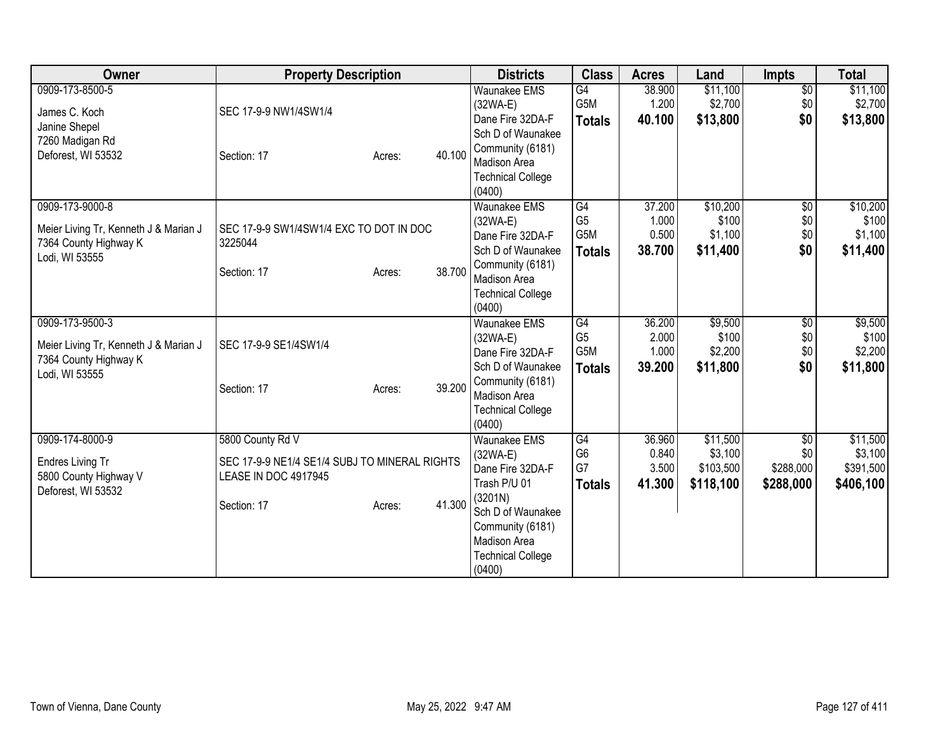| Owner                                                                                               | <b>Property Description</b>                                                               |        |        | <b>Districts</b>                                                                                              | <b>Class</b>                                 | <b>Acres</b>                       | Land                                          | <b>Impts</b>                                     | <b>Total</b>                                  |
|-----------------------------------------------------------------------------------------------------|-------------------------------------------------------------------------------------------|--------|--------|---------------------------------------------------------------------------------------------------------------|----------------------------------------------|------------------------------------|-----------------------------------------------|--------------------------------------------------|-----------------------------------------------|
| 0909-173-8500-5<br>James C. Koch<br>Janine Shepel                                                   | SEC 17-9-9 NW1/4SW1/4                                                                     |        |        | <b>Waunakee EMS</b><br>$(32WA-E)$<br>Dane Fire 32DA-F                                                         | G4<br>G5M<br><b>Totals</b>                   | 38.900<br>1.200<br>40.100          | \$11,100<br>\$2,700<br>\$13,800               | $\overline{60}$<br>\$0<br>\$0                    | \$11,100<br>\$2,700<br>\$13,800               |
| 7260 Madigan Rd<br>Deforest, WI 53532                                                               | Section: 17                                                                               | Acres: | 40.100 | Sch D of Waunakee<br>Community (6181)<br>Madison Area<br><b>Technical College</b><br>(0400)                   |                                              |                                    |                                               |                                                  |                                               |
| 0909-173-9000-8<br>Meier Living Tr, Kenneth J & Marian J<br>7364 County Highway K<br>Lodi, WI 53555 | SEC 17-9-9 SW1/4SW1/4 EXC TO DOT IN DOC<br>3225044                                        |        |        | <b>Waunakee EMS</b><br>$(32WA-E)$<br>Dane Fire 32DA-F<br>Sch D of Waunakee<br>Community (6181)                | G4<br>G <sub>5</sub><br>G5M<br><b>Totals</b> | 37.200<br>1.000<br>0.500<br>38.700 | \$10,200<br>\$100<br>\$1,100<br>\$11,400      | $\overline{60}$<br>\$0<br>\$0<br>\$0             | \$10,200<br>\$100<br>\$1,100<br>\$11,400      |
|                                                                                                     | Section: 17                                                                               | Acres: | 38.700 | <b>Madison Area</b><br><b>Technical College</b><br>(0400)                                                     |                                              |                                    |                                               |                                                  |                                               |
| 0909-173-9500-3<br>Meier Living Tr, Kenneth J & Marian J<br>7364 County Highway K                   | SEC 17-9-9 SE1/4SW1/4                                                                     |        |        | <b>Waunakee EMS</b><br>$(32WA-E)$<br>Dane Fire 32DA-F<br>Sch D of Waunakee                                    | G4<br>G <sub>5</sub><br>G5M<br><b>Totals</b> | 36.200<br>2.000<br>1.000<br>39.200 | \$9,500<br>\$100<br>\$2,200<br>\$11,800       | \$0<br>\$0<br>\$0<br>\$0                         | \$9,500<br>\$100<br>\$2,200<br>\$11,800       |
| Lodi, WI 53555                                                                                      | Section: 17                                                                               | Acres: | 39.200 | Community (6181)<br><b>Madison Area</b><br><b>Technical College</b><br>(0400)                                 |                                              |                                    |                                               |                                                  |                                               |
| 0909-174-8000-9<br>Endres Living Tr<br>5800 County Highway V<br>Deforest, WI 53532                  | 5800 County Rd V<br>SEC 17-9-9 NE1/4 SE1/4 SUBJ TO MINERAL RIGHTS<br>LEASE IN DOC 4917945 |        |        | <b>Waunakee EMS</b><br>$(32WA-E)$<br>Dane Fire 32DA-F<br>Trash P/U 01                                         | G4<br>G <sub>6</sub><br>G7<br><b>Totals</b>  | 36.960<br>0.840<br>3.500<br>41.300 | \$11,500<br>\$3,100<br>\$103,500<br>\$118,100 | $\overline{50}$<br>\$0<br>\$288,000<br>\$288,000 | \$11,500<br>\$3,100<br>\$391,500<br>\$406,100 |
|                                                                                                     | Section: 17                                                                               | Acres: | 41.300 | (3201N)<br>Sch D of Waunakee<br>Community (6181)<br><b>Madison Area</b><br><b>Technical College</b><br>(0400) |                                              |                                    |                                               |                                                  |                                               |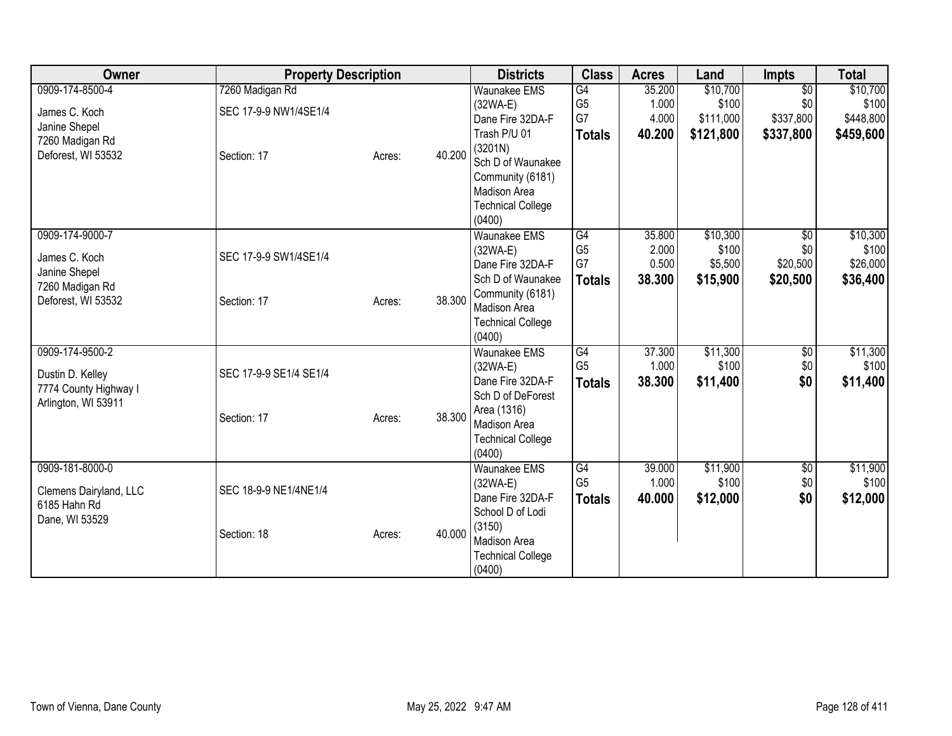| Owner                                                        | <b>Property Description</b>              |        |        | <b>Districts</b>                                                                                   | <b>Class</b>                            | <b>Acres</b>              | Land                           | <b>Impts</b>                        | <b>Total</b>                   |
|--------------------------------------------------------------|------------------------------------------|--------|--------|----------------------------------------------------------------------------------------------------|-----------------------------------------|---------------------------|--------------------------------|-------------------------------------|--------------------------------|
| 0909-174-8500-4<br>James C. Koch                             | 7260 Madigan Rd<br>SEC 17-9-9 NW1/4SE1/4 |        |        | Waunakee EMS<br>$(32WA-E)$<br>Dane Fire 32DA-F                                                     | $\overline{G4}$<br>G <sub>5</sub><br>G7 | 35.200<br>1.000<br>4.000  | \$10,700<br>\$100<br>\$111,000 | $\overline{50}$<br>\$0<br>\$337,800 | \$10,700<br>\$100<br>\$448,800 |
| Janine Shepel<br>7260 Madigan Rd<br>Deforest, WI 53532       |                                          |        | 40.200 | Trash P/U 01<br>(3201N)                                                                            | <b>Totals</b>                           | 40.200                    | \$121,800                      | \$337,800                           | \$459,600                      |
|                                                              | Section: 17                              | Acres: |        | Sch D of Waunakee<br>Community (6181)<br><b>Madison Area</b><br><b>Technical College</b><br>(0400) |                                         |                           |                                |                                     |                                |
| 0909-174-9000-7<br>James C. Koch<br>Janine Shepel            | SEC 17-9-9 SW1/4SE1/4                    |        |        | <b>Waunakee EMS</b><br>(32WA-E)<br>Dane Fire 32DA-F                                                | G4<br>G <sub>5</sub><br>G7              | 35.800<br>2.000<br>0.500  | \$10,300<br>\$100<br>\$5,500   | $\overline{60}$<br>\$0<br>\$20,500  | \$10,300<br>\$100<br>\$26,000  |
| 7260 Madigan Rd<br>Deforest, WI 53532                        | Section: 17                              | Acres: | 38.300 | Sch D of Waunakee<br>Community (6181)<br>Madison Area<br><b>Technical College</b><br>(0400)        | <b>Totals</b>                           | 38.300                    | \$15,900                       | \$20,500                            | \$36,400                       |
| 0909-174-9500-2<br>Dustin D. Kelley<br>7774 County Highway I | SEC 17-9-9 SE1/4 SE1/4                   |        |        | <b>Waunakee EMS</b><br>$(32WA-E)$<br>Dane Fire 32DA-F<br>Sch D of DeForest                         | G4<br>G <sub>5</sub><br><b>Totals</b>   | 37.300<br>1.000<br>38.300 | \$11,300<br>\$100<br>\$11,400  | \$0<br>\$0<br>\$0                   | \$11,300<br>\$100<br>\$11,400  |
| Arlington, WI 53911                                          | Section: 17                              | Acres: | 38.300 | Area (1316)<br><b>Madison Area</b><br><b>Technical College</b><br>(0400)                           |                                         |                           |                                |                                     |                                |
| 0909-181-8000-0                                              |                                          |        |        | <b>Waunakee EMS</b><br>$(32WA-E)$                                                                  | G4<br>G <sub>5</sub>                    | 39.000<br>1.000           | \$11,900<br>\$100              | $\overline{50}$<br>\$0              | \$11,900<br>\$100              |
| Clemens Dairyland, LLC<br>6185 Hahn Rd<br>Dane, WI 53529     | SEC 18-9-9 NE1/4NE1/4                    |        |        | Dane Fire 32DA-F<br>School D of Lodi                                                               | <b>Totals</b>                           | 40.000                    | \$12,000                       | \$0                                 | \$12,000                       |
|                                                              | Section: 18                              | Acres: | 40.000 | (3150)<br>Madison Area<br><b>Technical College</b><br>(0400)                                       |                                         |                           |                                |                                     |                                |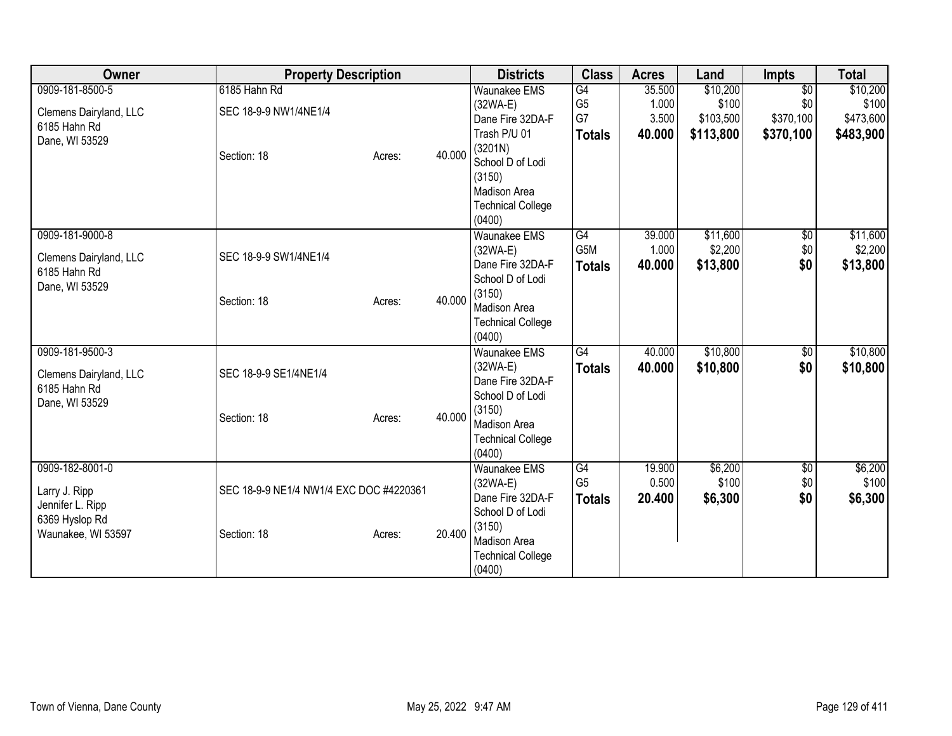| Owner                                     | <b>Property Description</b>             |                  | <b>Districts</b>                         | <b>Class</b>                      | <b>Acres</b>    | Land              | <b>Impts</b>           | <b>Total</b>      |
|-------------------------------------------|-----------------------------------------|------------------|------------------------------------------|-----------------------------------|-----------------|-------------------|------------------------|-------------------|
| 0909-181-8500-5<br>Clemens Dairyland, LLC | 6185 Hahn Rd<br>SEC 18-9-9 NW1/4NE1/4   |                  | <b>Waunakee EMS</b><br>(32WA-E)          | $\overline{G4}$<br>G <sub>5</sub> | 35.500<br>1.000 | \$10,200<br>\$100 | $\overline{50}$<br>\$0 | \$10,200<br>\$100 |
| 6185 Hahn Rd                              |                                         |                  | Dane Fire 32DA-F                         | G7                                | 3.500           | \$103,500         | \$370,100              | \$473,600         |
| Dane, WI 53529                            |                                         |                  | Trash P/U 01                             | <b>Totals</b>                     | 40.000          | \$113,800         | \$370,100              | \$483,900         |
|                                           | Section: 18                             | 40.000<br>Acres: | (3201N)<br>School D of Lodi              |                                   |                 |                   |                        |                   |
|                                           |                                         |                  | (3150)                                   |                                   |                 |                   |                        |                   |
|                                           |                                         |                  | <b>Madison Area</b>                      |                                   |                 |                   |                        |                   |
|                                           |                                         |                  | <b>Technical College</b>                 |                                   |                 |                   |                        |                   |
|                                           |                                         |                  | (0400)                                   |                                   |                 |                   |                        |                   |
| 0909-181-9000-8                           |                                         |                  | <b>Waunakee EMS</b>                      | $\overline{G4}$                   | 39.000          | \$11,600          | $\overline{50}$        | \$11,600          |
| Clemens Dairyland, LLC                    | SEC 18-9-9 SW1/4NE1/4                   |                  | (32WA-E)                                 | G <sub>5</sub> M                  | 1.000           | \$2,200           | \$0                    | \$2,200           |
| 6185 Hahn Rd                              |                                         |                  | Dane Fire 32DA-F                         | <b>Totals</b>                     | 40.000          | \$13,800          | \$0                    | \$13,800          |
| Dane, WI 53529                            |                                         |                  | School D of Lodi                         |                                   |                 |                   |                        |                   |
|                                           | Section: 18                             | 40.000<br>Acres: | (3150)<br><b>Madison Area</b>            |                                   |                 |                   |                        |                   |
|                                           |                                         |                  | <b>Technical College</b>                 |                                   |                 |                   |                        |                   |
|                                           |                                         |                  | (0400)                                   |                                   |                 |                   |                        |                   |
| 0909-181-9500-3                           |                                         |                  | <b>Waunakee EMS</b>                      | $\overline{G4}$                   | 40.000          | \$10,800          | \$0                    | \$10,800          |
| Clemens Dairyland, LLC                    | SEC 18-9-9 SE1/4NE1/4                   |                  | (32WA-E)                                 | <b>Totals</b>                     | 40.000          | \$10,800          | \$0                    | \$10,800          |
| 6185 Hahn Rd                              |                                         |                  | Dane Fire 32DA-F                         |                                   |                 |                   |                        |                   |
| Dane, WI 53529                            |                                         |                  | School D of Lodi                         |                                   |                 |                   |                        |                   |
|                                           | Section: 18                             | 40.000<br>Acres: | (3150)                                   |                                   |                 |                   |                        |                   |
|                                           |                                         |                  | Madison Area<br><b>Technical College</b> |                                   |                 |                   |                        |                   |
|                                           |                                         |                  | (0400)                                   |                                   |                 |                   |                        |                   |
| 0909-182-8001-0                           |                                         |                  | <b>Waunakee EMS</b>                      | G4                                | 19.900          | \$6,200           | $\overline{50}$        | \$6,200           |
| Larry J. Ripp                             | SEC 18-9-9 NE1/4 NW1/4 EXC DOC #4220361 |                  | $(32WA-E)$                               | G <sub>5</sub>                    | 0.500           | \$100             | \$0                    | \$100             |
| Jennifer L. Ripp                          |                                         |                  | Dane Fire 32DA-F                         | <b>Totals</b>                     | 20.400          | \$6,300           | \$0                    | \$6,300           |
| 6369 Hyslop Rd                            |                                         |                  | School D of Lodi                         |                                   |                 |                   |                        |                   |
| Waunakee, WI 53597                        | Section: 18                             | 20.400<br>Acres: | (3150)                                   |                                   |                 |                   |                        |                   |
|                                           |                                         |                  | Madison Area                             |                                   |                 |                   |                        |                   |
|                                           |                                         |                  | <b>Technical College</b><br>(0400)       |                                   |                 |                   |                        |                   |
|                                           |                                         |                  |                                          |                                   |                 |                   |                        |                   |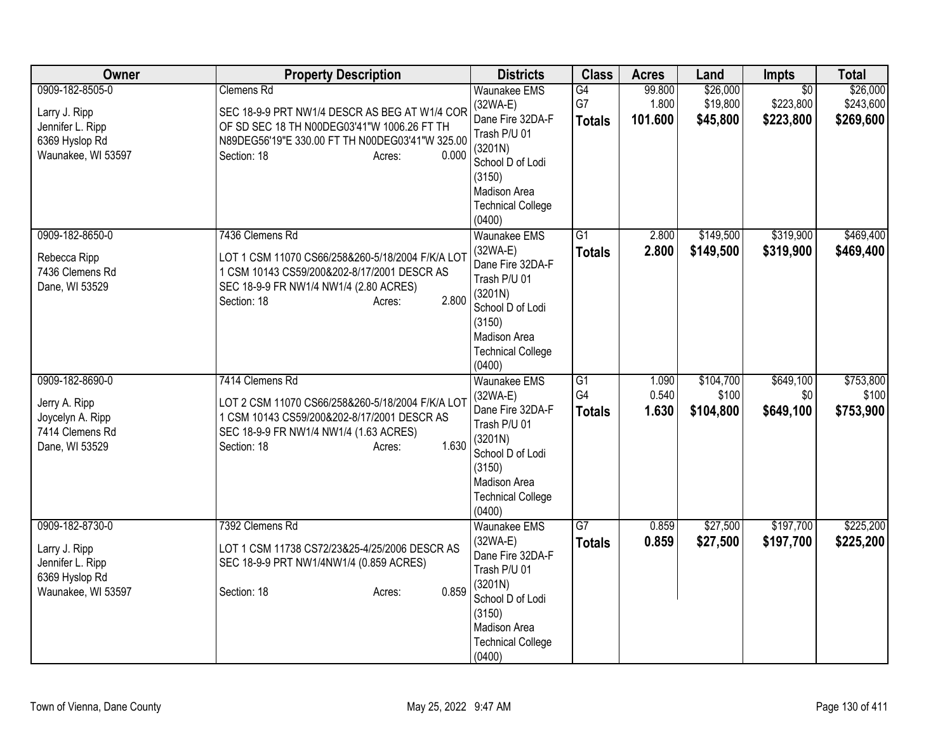| Owner                                                                                        | <b>Property Description</b>                                                                                                                                                                            | <b>Districts</b>                                                                                                                                                     | <b>Class</b>                          | <b>Acres</b>               | Land                             | <b>Impts</b>                              | <b>Total</b>                       |
|----------------------------------------------------------------------------------------------|--------------------------------------------------------------------------------------------------------------------------------------------------------------------------------------------------------|----------------------------------------------------------------------------------------------------------------------------------------------------------------------|---------------------------------------|----------------------------|----------------------------------|-------------------------------------------|------------------------------------|
| 0909-182-8505-0<br>Larry J. Ripp<br>Jennifer L. Ripp<br>6369 Hyslop Rd<br>Waunakee, WI 53597 | <b>Clemens Rd</b><br>SEC 18-9-9 PRT NW1/4 DESCR AS BEG AT W1/4 COR<br>OF SD SEC 18 TH N00DEG03'41"W 1006.26 FT TH<br>N89DEG56'19"E 330.00 FT TH N00DEG03'41"W 325.00<br>0.000<br>Section: 18<br>Acres: | <b>Waunakee EMS</b><br>$(32WA-E)$<br>Dane Fire 32DA-F<br>Trash P/U 01<br>(3201N)<br>School D of Lodi<br>(3150)<br>Madison Area<br><b>Technical College</b><br>(0400) | G4<br>G7<br><b>Totals</b>             | 99.800<br>1.800<br>101.600 | \$26,000<br>\$19,800<br>\$45,800 | $\overline{50}$<br>\$223,800<br>\$223,800 | \$26,000<br>\$243,600<br>\$269,600 |
| 0909-182-8650-0<br>Rebecca Ripp<br>7436 Clemens Rd<br>Dane, WI 53529                         | 7436 Clemens Rd<br>LOT 1 CSM 11070 CS66/258&260-5/18/2004 F/K/A LOT<br>1 CSM 10143 CS59/200&202-8/17/2001 DESCR AS<br>SEC 18-9-9 FR NW1/4 NW1/4 (2.80 ACRES)<br>2.800<br>Section: 18<br>Acres:         | <b>Waunakee EMS</b><br>$(32WA-E)$<br>Dane Fire 32DA-F<br>Trash P/U 01<br>(3201N)<br>School D of Lodi<br>(3150)<br>Madison Area<br><b>Technical College</b><br>(0400) | G1<br><b>Totals</b>                   | 2.800<br>2.800             | \$149,500<br>\$149,500           | \$319,900<br>\$319,900                    | \$469,400<br>\$469,400             |
| 0909-182-8690-0<br>Jerry A. Ripp<br>Joycelyn A. Ripp<br>7414 Clemens Rd<br>Dane, WI 53529    | 7414 Clemens Rd<br>LOT 2 CSM 11070 CS66/258&260-5/18/2004 F/K/A LOT<br>1 CSM 10143 CS59/200&202-8/17/2001 DESCR AS<br>SEC 18-9-9 FR NW1/4 NW1/4 (1.63 ACRES)<br>1.630<br>Section: 18<br>Acres:         | Waunakee EMS<br>(32WA-E)<br>Dane Fire 32DA-F<br>Trash P/U 01<br>(3201N)<br>School D of Lodi<br>(3150)<br>Madison Area<br><b>Technical College</b><br>(0400)          | G1<br>G <sub>4</sub><br><b>Totals</b> | 1.090<br>0.540<br>1.630    | \$104,700<br>\$100<br>\$104,800  | \$649,100<br>\$0<br>\$649,100             | \$753,800<br>\$100<br>\$753,900    |
| 0909-182-8730-0<br>Larry J. Ripp<br>Jennifer L. Ripp<br>6369 Hyslop Rd<br>Waunakee, WI 53597 | 7392 Clemens Rd<br>LOT 1 CSM 11738 CS72/23&25-4/25/2006 DESCR AS<br>SEC 18-9-9 PRT NW1/4NW1/4 (0.859 ACRES)<br>0.859<br>Section: 18<br>Acres:                                                          | Waunakee EMS<br>$(32WA-E)$<br>Dane Fire 32DA-F<br>Trash P/U 01<br>(3201N)<br>School D of Lodi<br>(3150)<br>Madison Area<br><b>Technical College</b><br>(0400)        | G7<br><b>Totals</b>                   | 0.859<br>0.859             | \$27,500<br>\$27,500             | \$197,700<br>\$197,700                    | \$225,200<br>\$225,200             |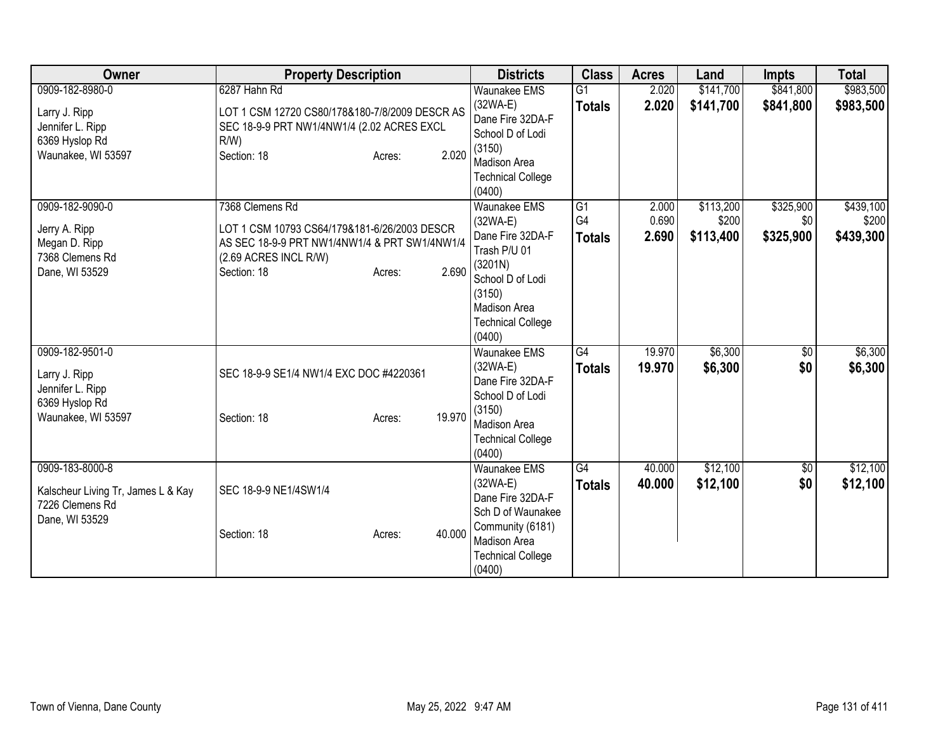| Owner                                                                                        | <b>Property Description</b>                                                                                                                                                 | <b>Districts</b>                                                                                                                                                     | <b>Class</b>              | <b>Acres</b>            | Land                            | <b>Impts</b>                  | <b>Total</b>                    |
|----------------------------------------------------------------------------------------------|-----------------------------------------------------------------------------------------------------------------------------------------------------------------------------|----------------------------------------------------------------------------------------------------------------------------------------------------------------------|---------------------------|-------------------------|---------------------------------|-------------------------------|---------------------------------|
| 0909-182-8980-0<br>Larry J. Ripp<br>Jennifer L. Ripp<br>6369 Hyslop Rd<br>Waunakee, WI 53597 | 6287 Hahn Rd<br>LOT 1 CSM 12720 CS80/178&180-7/8/2009 DESCR AS<br>SEC 18-9-9 PRT NW1/4NW1/4 (2.02 ACRES EXCL<br>$R/W$ )<br>2.020<br>Section: 18<br>Acres:                   | <b>Waunakee EMS</b><br>$(32WA-E)$<br>Dane Fire 32DA-F<br>School D of Lodi<br>(3150)<br><b>Madison Area</b><br><b>Technical College</b><br>(0400)                     | G1<br><b>Totals</b>       | 2.020<br>2.020          | \$141,700<br>\$141,700          | \$841,800<br>\$841,800        | \$983,500<br>\$983,500          |
| 0909-182-9090-0<br>Jerry A. Ripp<br>Megan D. Ripp<br>7368 Clemens Rd<br>Dane, WI 53529       | 7368 Clemens Rd<br>LOT 1 CSM 10793 CS64/179&181-6/26/2003 DESCR<br>AS SEC 18-9-9 PRT NW1/4NW1/4 & PRT SW1/4NW1/4<br>(2.69 ACRES INCL R/W)<br>2.690<br>Section: 18<br>Acres: | Waunakee EMS<br>$(32WA-E)$<br>Dane Fire 32DA-F<br>Trash P/U 01<br>(3201N)<br>School D of Lodi<br>(3150)<br><b>Madison Area</b><br><b>Technical College</b><br>(0400) | G1<br>G4<br><b>Totals</b> | 2.000<br>0.690<br>2.690 | \$113,200<br>\$200<br>\$113,400 | \$325,900<br>\$0<br>\$325,900 | \$439,100<br>\$200<br>\$439,300 |
| 0909-182-9501-0<br>Larry J. Ripp<br>Jennifer L. Ripp<br>6369 Hyslop Rd<br>Waunakee, WI 53597 | SEC 18-9-9 SE1/4 NW1/4 EXC DOC #4220361<br>19.970<br>Section: 18<br>Acres:                                                                                                  | <b>Waunakee EMS</b><br>$(32WA-E)$<br>Dane Fire 32DA-F<br>School D of Lodi<br>(3150)<br><b>Madison Area</b><br><b>Technical College</b><br>(0400)                     | G4<br><b>Totals</b>       | 19.970<br>19.970        | \$6,300<br>\$6,300              | \$0<br>\$0                    | \$6,300<br>\$6,300              |
| 0909-183-8000-8<br>Kalscheur Living Tr, James L & Kay<br>7226 Clemens Rd<br>Dane, WI 53529   | SEC 18-9-9 NE1/4SW1/4<br>40.000<br>Section: 18<br>Acres:                                                                                                                    | <b>Waunakee EMS</b><br>$(32WA-E)$<br>Dane Fire 32DA-F<br>Sch D of Waunakee<br>Community (6181)<br>Madison Area<br><b>Technical College</b><br>(0400)                 | G4<br><b>Totals</b>       | 40.000<br>40.000        | \$12,100<br>\$12,100            | $\overline{50}$<br>\$0        | \$12,100<br>\$12,100            |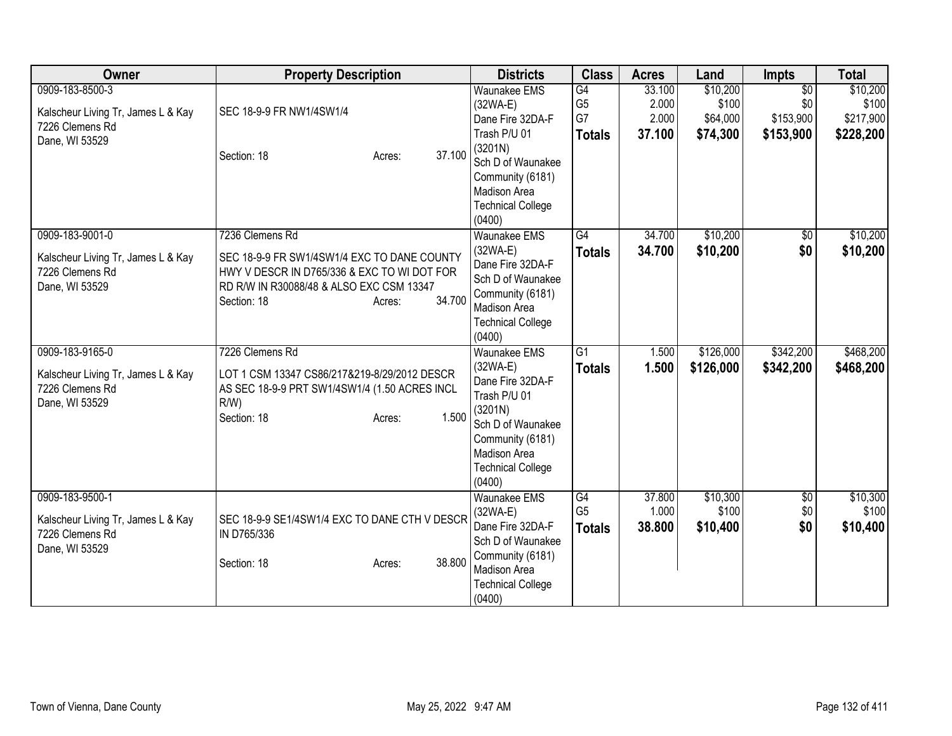| Owner                                                                                      | <b>Property Description</b>                                                                                                                                                                  | <b>Districts</b>                                                                                                                                                                       | <b>Class</b>                                | <b>Acres</b>                       | Land                                      | <b>Impts</b>                                     | <b>Total</b>                                |
|--------------------------------------------------------------------------------------------|----------------------------------------------------------------------------------------------------------------------------------------------------------------------------------------------|----------------------------------------------------------------------------------------------------------------------------------------------------------------------------------------|---------------------------------------------|------------------------------------|-------------------------------------------|--------------------------------------------------|---------------------------------------------|
| 0909-183-8500-3<br>Kalscheur Living Tr, James L & Kay<br>7226 Clemens Rd<br>Dane, WI 53529 | SEC 18-9-9 FR NW1/4SW1/4<br>37.100<br>Section: 18<br>Acres:                                                                                                                                  | <b>Waunakee EMS</b><br>$(32WA-E)$<br>Dane Fire 32DA-F<br>Trash P/U 01<br>(3201N)<br>Sch D of Waunakee<br>Community (6181)<br>Madison Area<br><b>Technical College</b>                  | G4<br>G <sub>5</sub><br>G7<br><b>Totals</b> | 33.100<br>2.000<br>2.000<br>37.100 | \$10,200<br>\$100<br>\$64,000<br>\$74,300 | $\overline{50}$<br>\$0<br>\$153,900<br>\$153,900 | \$10,200<br>\$100<br>\$217,900<br>\$228,200 |
| 0909-183-9001-0<br>Kalscheur Living Tr, James L & Kay<br>7226 Clemens Rd<br>Dane, WI 53529 | 7236 Clemens Rd<br>SEC 18-9-9 FR SW1/4SW1/4 EXC TO DANE COUNTY<br>HWY V DESCR IN D765/336 & EXC TO WI DOT FOR<br>RD R/W IN R30088/48 & ALSO EXC CSM 13347<br>34.700<br>Section: 18<br>Acres: | (0400)<br><b>Waunakee EMS</b><br>$(32WA-E)$<br>Dane Fire 32DA-F<br>Sch D of Waunakee<br>Community (6181)<br>Madison Area<br><b>Technical College</b><br>(0400)                         | $\overline{G4}$<br><b>Totals</b>            | 34.700<br>34.700                   | \$10,200<br>\$10,200                      | \$0<br>\$0                                       | \$10,200<br>\$10,200                        |
| 0909-183-9165-0<br>Kalscheur Living Tr, James L & Kay<br>7226 Clemens Rd<br>Dane, WI 53529 | 7226 Clemens Rd<br>LOT 1 CSM 13347 CS86/217&219-8/29/2012 DESCR<br>AS SEC 18-9-9 PRT SW1/4SW1/4 (1.50 ACRES INCL<br>$R/W$ )<br>1.500<br>Section: 18<br>Acres:                                | <b>Waunakee EMS</b><br>$(32WA-E)$<br>Dane Fire 32DA-F<br>Trash P/U 01<br>(3201N)<br>Sch D of Waunakee<br>Community (6181)<br><b>Madison Area</b><br><b>Technical College</b><br>(0400) | $\overline{G1}$<br><b>Totals</b>            | 1.500<br>1.500                     | \$126,000<br>\$126,000                    | \$342,200<br>\$342,200                           | \$468,200<br>\$468,200                      |
| 0909-183-9500-1<br>Kalscheur Living Tr, James L & Kay<br>7226 Clemens Rd<br>Dane, WI 53529 | SEC 18-9-9 SE1/4SW1/4 EXC TO DANE CTH V DESCR<br>IN D765/336<br>38.800<br>Section: 18<br>Acres:                                                                                              | <b>Waunakee EMS</b><br>$(32WA-E)$<br>Dane Fire 32DA-F<br>Sch D of Waunakee<br>Community (6181)<br>Madison Area<br><b>Technical College</b><br>(0400)                                   | G4<br>G <sub>5</sub><br><b>Totals</b>       | 37.800<br>1.000<br>38.800          | \$10,300<br>\$100<br>\$10,400             | $\overline{60}$<br>\$0<br>\$0                    | \$10,300<br>\$100<br>\$10,400               |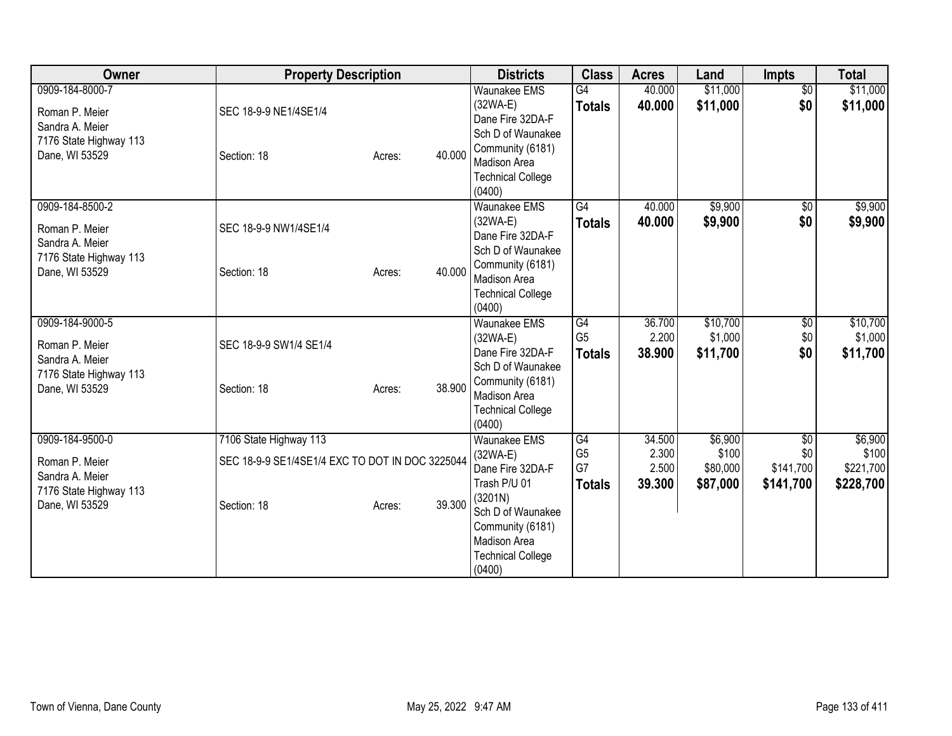| Owner                                                       | <b>Property Description</b>                                               |        |        | <b>Districts</b>                                                                                                              | <b>Class</b>               | <b>Acres</b>             | Land                         | <b>Impts</b>                        | <b>Total</b>                  |
|-------------------------------------------------------------|---------------------------------------------------------------------------|--------|--------|-------------------------------------------------------------------------------------------------------------------------------|----------------------------|--------------------------|------------------------------|-------------------------------------|-------------------------------|
| 0909-184-8000-7<br>Roman P. Meier<br>Sandra A. Meier        | SEC 18-9-9 NE1/4SE1/4                                                     |        |        | <b>Waunakee EMS</b><br>$(32WA-E)$<br>Dane Fire 32DA-F<br>Sch D of Waunakee                                                    | G4<br><b>Totals</b>        | 40.000<br>40.000         | \$11,000<br>\$11,000         | $\overline{60}$<br>\$0              | \$11,000<br>\$11,000          |
| 7176 State Highway 113<br>Dane, WI 53529                    | Section: 18                                                               | Acres: | 40.000 | Community (6181)<br><b>Madison Area</b><br><b>Technical College</b><br>(0400)                                                 |                            |                          |                              |                                     |                               |
| 0909-184-8500-2<br>Roman P. Meier                           | SEC 18-9-9 NW1/4SE1/4                                                     |        |        | <b>Waunakee EMS</b><br>$(32WA-E)$                                                                                             | G4<br><b>Totals</b>        | 40.000<br>40.000         | \$9,900<br>\$9,900           | $\sqrt{$0}$<br>\$0                  | \$9,900<br>\$9,900            |
| Sandra A. Meier<br>7176 State Highway 113<br>Dane, WI 53529 | Section: 18                                                               | Acres: | 40.000 | Dane Fire 32DA-F<br>Sch D of Waunakee<br>Community (6181)<br>Madison Area<br><b>Technical College</b><br>(0400)               |                            |                          |                              |                                     |                               |
| 0909-184-9000-5<br>Roman P. Meier                           | SEC 18-9-9 SW1/4 SE1/4                                                    |        |        | <b>Waunakee EMS</b><br>$(32WA-E)$                                                                                             | G4<br>G <sub>5</sub>       | 36.700<br>2.200          | \$10,700<br>\$1,000          | \$0<br>\$0                          | \$10,700<br>\$1,000           |
| Sandra A. Meier<br>7176 State Highway 113<br>Dane, WI 53529 | Section: 18                                                               | Acres: | 38.900 | Dane Fire 32DA-F<br>Sch D of Waunakee<br>Community (6181)<br><b>Madison Area</b><br><b>Technical College</b><br>(0400)        | <b>Totals</b>              | 38.900                   | \$11,700                     | \$0                                 | \$11,700                      |
| 0909-184-9500-0<br>Roman P. Meier                           | 7106 State Highway 113<br>SEC 18-9-9 SE1/4SE1/4 EXC TO DOT IN DOC 3225044 |        |        | <b>Waunakee EMS</b><br>$(32WA-E)$<br>Dane Fire 32DA-F                                                                         | G4<br>G <sub>5</sub><br>G7 | 34.500<br>2.300<br>2.500 | \$6,900<br>\$100<br>\$80,000 | $\overline{50}$<br>\$0<br>\$141,700 | \$6,900<br>\$100<br>\$221,700 |
| Sandra A. Meier<br>7176 State Highway 113<br>Dane, WI 53529 | Section: 18                                                               | Acres: | 39.300 | Trash P/U 01<br>(3201N)<br>Sch D of Waunakee<br>Community (6181)<br><b>Madison Area</b><br><b>Technical College</b><br>(0400) | <b>Totals</b>              | 39.300                   | \$87,000                     | \$141,700                           | \$228,700                     |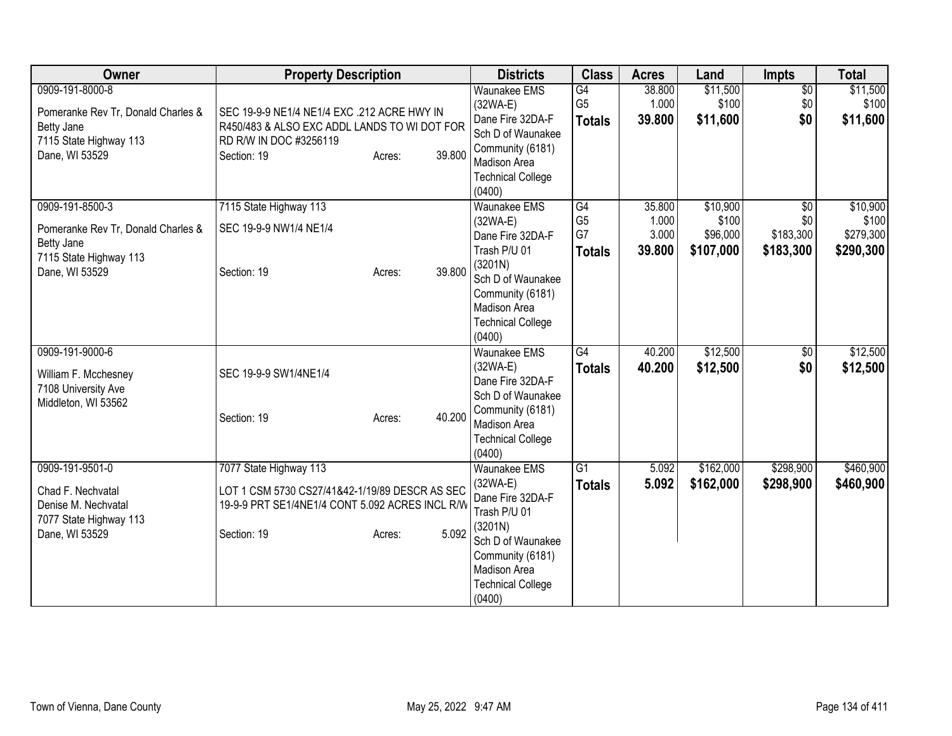| Owner                                                                                                                  | <b>Property Description</b>                                                                                                                                   | <b>Districts</b>                                                                                                                                                                | <b>Class</b>                                | <b>Acres</b>                       | Land                                       | <b>Impts</b>                                     | <b>Total</b>                                |
|------------------------------------------------------------------------------------------------------------------------|---------------------------------------------------------------------------------------------------------------------------------------------------------------|---------------------------------------------------------------------------------------------------------------------------------------------------------------------------------|---------------------------------------------|------------------------------------|--------------------------------------------|--------------------------------------------------|---------------------------------------------|
| 0909-191-8000-8<br>Pomeranke Rev Tr, Donald Charles &<br><b>Betty Jane</b><br>7115 State Highway 113<br>Dane, WI 53529 | SEC 19-9-9 NE1/4 NE1/4 EXC .212 ACRE HWY IN<br>R450/483 & ALSO EXC ADDL LANDS TO WI DOT FOR<br>RD R/W IN DOC #3256119<br>39.800<br>Section: 19<br>Acres:      | <b>Waunakee EMS</b><br>$(32WA-E)$<br>Dane Fire 32DA-F<br>Sch D of Waunakee<br>Community (6181)<br>Madison Area<br><b>Technical College</b><br>(0400)                            | G4<br>G <sub>5</sub><br><b>Totals</b>       | 38.800<br>1.000<br>39.800          | \$11,500<br>\$100<br>\$11,600              | $\overline{30}$<br>\$0<br>\$0                    | \$11,500<br>\$100<br>\$11,600               |
| 0909-191-8500-3<br>Pomeranke Rev Tr, Donald Charles &<br><b>Betty Jane</b><br>7115 State Highway 113<br>Dane, WI 53529 | 7115 State Highway 113<br>SEC 19-9-9 NW1/4 NE1/4<br>39,800<br>Section: 19<br>Acres:                                                                           | <b>Waunakee EMS</b><br>$(32WA-E)$<br>Dane Fire 32DA-F<br>Trash P/U 01<br>(3201N)<br>Sch D of Waunakee<br>Community (6181)<br>Madison Area<br><b>Technical College</b><br>(0400) | G4<br>G <sub>5</sub><br>G7<br><b>Totals</b> | 35.800<br>1.000<br>3.000<br>39.800 | \$10,900<br>\$100<br>\$96,000<br>\$107,000 | $\overline{50}$<br>\$0<br>\$183,300<br>\$183,300 | \$10,900<br>\$100<br>\$279,300<br>\$290,300 |
| 0909-191-9000-6<br>William F. Mcchesney<br>7108 University Ave<br>Middleton, WI 53562                                  | SEC 19-9-9 SW1/4NE1/4<br>40.200<br>Section: 19<br>Acres:                                                                                                      | <b>Waunakee EMS</b><br>$(32WA-E)$<br>Dane Fire 32DA-F<br>Sch D of Waunakee<br>Community (6181)<br><b>Madison Area</b><br><b>Technical College</b><br>(0400)                     | G4<br><b>Totals</b>                         | 40.200<br>40.200                   | \$12,500<br>\$12,500                       | \$0<br>\$0                                       | \$12,500<br>\$12,500                        |
| 0909-191-9501-0<br>Chad F. Nechvatal<br>Denise M. Nechvatal<br>7077 State Highway 113<br>Dane, WI 53529                | 7077 State Highway 113<br>LOT 1 CSM 5730 CS27/41&42-1/19/89 DESCR AS SEC<br>19-9-9 PRT SE1/4NE1/4 CONT 5.092 ACRES INCL R/W<br>5.092<br>Section: 19<br>Acres: | <b>Waunakee EMS</b><br>$(32WA-E)$<br>Dane Fire 32DA-F<br>Trash P/U 01<br>(3201N)<br>Sch D of Waunakee<br>Community (6181)<br>Madison Area<br><b>Technical College</b><br>(0400) | $\overline{G1}$<br><b>Totals</b>            | 5.092<br>5.092                     | \$162,000<br>\$162,000                     | \$298,900<br>\$298,900                           | \$460,900<br>\$460,900                      |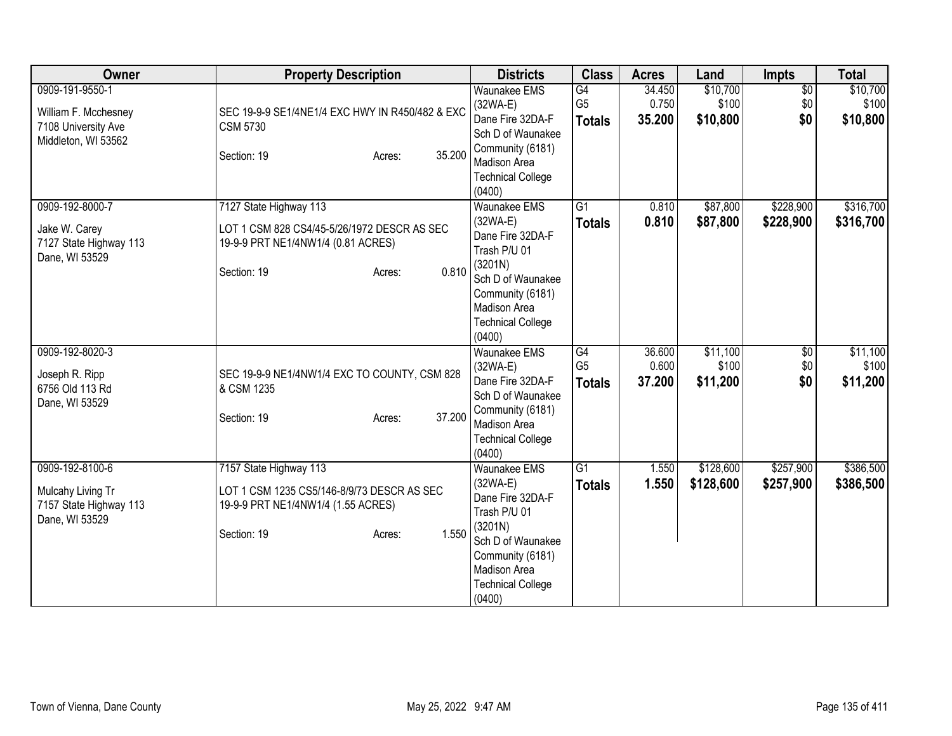| Owner                                                                                 | <b>Property Description</b>                                                                                                                   | <b>Districts</b>                                                                                                                                                                       | <b>Class</b>                          | <b>Acres</b>              | Land                          | Impts                         | <b>Total</b>                  |
|---------------------------------------------------------------------------------------|-----------------------------------------------------------------------------------------------------------------------------------------------|----------------------------------------------------------------------------------------------------------------------------------------------------------------------------------------|---------------------------------------|---------------------------|-------------------------------|-------------------------------|-------------------------------|
| 0909-191-9550-1<br>William F. Mcchesney<br>7108 University Ave<br>Middleton, WI 53562 | SEC 19-9-9 SE1/4NE1/4 EXC HWY IN R450/482 & EXC<br><b>CSM 5730</b><br>35.200<br>Section: 19<br>Acres:                                         | <b>Waunakee EMS</b><br>$(32WA-E)$<br>Dane Fire 32DA-F<br>Sch D of Waunakee<br>Community (6181)<br>Madison Area<br><b>Technical College</b><br>(0400)                                   | G4<br>G <sub>5</sub><br><b>Totals</b> | 34.450<br>0.750<br>35.200 | \$10,700<br>\$100<br>\$10,800 | $\overline{50}$<br>\$0<br>\$0 | \$10,700<br>\$100<br>\$10,800 |
| 0909-192-8000-7<br>Jake W. Carey<br>7127 State Highway 113<br>Dane, WI 53529          | 7127 State Highway 113<br>LOT 1 CSM 828 CS4/45-5/26/1972 DESCR AS SEC<br>19-9-9 PRT NE1/4NW1/4 (0.81 ACRES)<br>0.810<br>Section: 19<br>Acres: | <b>Waunakee EMS</b><br>$(32WA-E)$<br>Dane Fire 32DA-F<br>Trash P/U 01<br>(3201N)<br>Sch D of Waunakee<br>Community (6181)<br><b>Madison Area</b><br><b>Technical College</b><br>(0400) | $\overline{G1}$<br><b>Totals</b>      | 0.810<br>0.810            | \$87,800<br>\$87,800          | \$228,900<br>\$228,900        | \$316,700<br>\$316,700        |
| 0909-192-8020-3<br>Joseph R. Ripp<br>6756 Old 113 Rd<br>Dane, WI 53529                | SEC 19-9-9 NE1/4NW1/4 EXC TO COUNTY, CSM 828<br>& CSM 1235<br>37.200<br>Section: 19<br>Acres:                                                 | <b>Waunakee EMS</b><br>$(32WA-E)$<br>Dane Fire 32DA-F<br>Sch D of Waunakee<br>Community (6181)<br><b>Madison Area</b><br><b>Technical College</b><br>(0400)                            | G4<br>G <sub>5</sub><br><b>Totals</b> | 36.600<br>0.600<br>37.200 | \$11,100<br>\$100<br>\$11,200 | \$0<br>\$0<br>\$0             | \$11,100<br>\$100<br>\$11,200 |
| 0909-192-8100-6<br>Mulcahy Living Tr<br>7157 State Highway 113<br>Dane, WI 53529      | 7157 State Highway 113<br>LOT 1 CSM 1235 CS5/146-8/9/73 DESCR AS SEC<br>19-9-9 PRT NE1/4NW1/4 (1.55 ACRES)<br>1.550<br>Section: 19<br>Acres:  | <b>Waunakee EMS</b><br>(32WA-E)<br>Dane Fire 32DA-F<br>Trash P/U 01<br>(3201N)<br>Sch D of Waunakee<br>Community (6181)<br>Madison Area<br><b>Technical College</b><br>(0400)          | G <sub>1</sub><br><b>Totals</b>       | 1.550<br>1.550            | \$128,600<br>\$128,600        | \$257,900<br>\$257,900        | \$386,500<br>\$386,500        |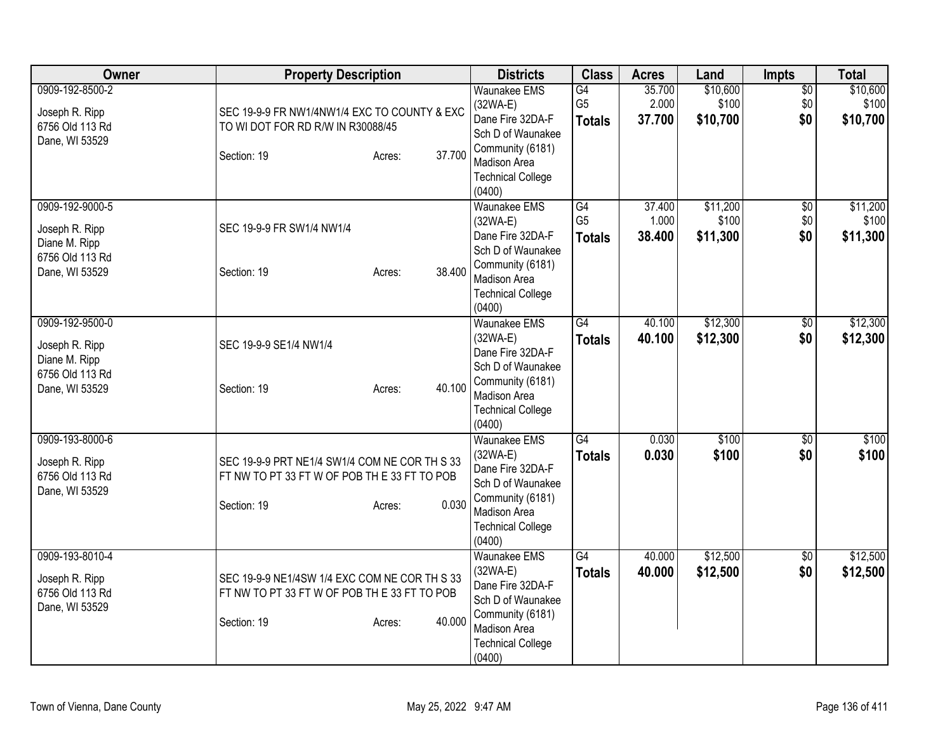| Owner                                                                                   | <b>Property Description</b>                                                                                                      | <b>Districts</b>                                                                                                                                            | <b>Class</b>                          | <b>Acres</b>              | Land                          | Impts                         | <b>Total</b>                  |
|-----------------------------------------------------------------------------------------|----------------------------------------------------------------------------------------------------------------------------------|-------------------------------------------------------------------------------------------------------------------------------------------------------------|---------------------------------------|---------------------------|-------------------------------|-------------------------------|-------------------------------|
| 0909-192-8500-2<br>Joseph R. Ripp<br>6756 Old 113 Rd<br>Dane, WI 53529                  | SEC 19-9-9 FR NW1/4NW1/4 EXC TO COUNTY & EXC<br>TO WI DOT FOR RD R/W IN R30088/45<br>37.700<br>Section: 19<br>Acres:             | <b>Waunakee EMS</b><br>$(32WA-E)$<br>Dane Fire 32DA-F<br>Sch D of Waunakee<br>Community (6181)<br><b>Madison Area</b><br><b>Technical College</b><br>(0400) | G4<br>G <sub>5</sub><br><b>Totals</b> | 35.700<br>2.000<br>37.700 | \$10,600<br>\$100<br>\$10,700 | $\overline{50}$<br>\$0<br>\$0 | \$10,600<br>\$100<br>\$10,700 |
| 0909-192-9000-5<br>Joseph R. Ripp<br>Diane M. Ripp<br>6756 Old 113 Rd<br>Dane, WI 53529 | SEC 19-9-9 FR SW1/4 NW1/4<br>38.400<br>Section: 19<br>Acres:                                                                     | <b>Waunakee EMS</b><br>$(32WA-E)$<br>Dane Fire 32DA-F<br>Sch D of Waunakee<br>Community (6181)<br>Madison Area<br><b>Technical College</b><br>(0400)        | G4<br>G <sub>5</sub><br><b>Totals</b> | 37.400<br>1.000<br>38.400 | \$11,200<br>\$100<br>\$11,300 | $\overline{50}$<br>\$0<br>\$0 | \$11,200<br>\$100<br>\$11,300 |
| 0909-192-9500-0<br>Joseph R. Ripp<br>Diane M. Ripp<br>6756 Old 113 Rd<br>Dane, WI 53529 | SEC 19-9-9 SE1/4 NW1/4<br>40.100<br>Section: 19<br>Acres:                                                                        | <b>Waunakee EMS</b><br>$(32WA-E)$<br>Dane Fire 32DA-F<br>Sch D of Waunakee<br>Community (6181)<br>Madison Area<br><b>Technical College</b><br>(0400)        | $\overline{G4}$<br><b>Totals</b>      | 40.100<br>40.100          | \$12,300<br>\$12,300          | \$0<br>\$0                    | \$12,300<br>\$12,300          |
| 0909-193-8000-6<br>Joseph R. Ripp<br>6756 Old 113 Rd<br>Dane, WI 53529                  | SEC 19-9-9 PRT NE1/4 SW1/4 COM NE COR TH S 33<br>FT NW TO PT 33 FT W OF POB TH E 33 FT TO POB<br>0.030<br>Section: 19<br>Acres:  | <b>Waunakee EMS</b><br>$(32WA-E)$<br>Dane Fire 32DA-F<br>Sch D of Waunakee<br>Community (6181)<br>Madison Area<br><b>Technical College</b><br>(0400)        | G4<br><b>Totals</b>                   | 0.030<br>0.030            | \$100<br>\$100                | $\overline{50}$<br>\$0        | \$100<br>\$100                |
| 0909-193-8010-4<br>Joseph R. Ripp<br>6756 Old 113 Rd<br>Dane, WI 53529                  | SEC 19-9-9 NE1/4SW 1/4 EXC COM NE COR TH S 33<br>FT NW TO PT 33 FT W OF POB TH E 33 FT TO POB<br>40.000<br>Section: 19<br>Acres: | Waunakee EMS<br>$(32WA-E)$<br>Dane Fire 32DA-F<br>Sch D of Waunakee<br>Community (6181)<br>Madison Area<br><b>Technical College</b><br>(0400)               | G4<br><b>Totals</b>                   | 40.000<br>40.000          | \$12,500<br>\$12,500          | $\sqrt{6}$<br>\$0             | \$12,500<br>\$12,500          |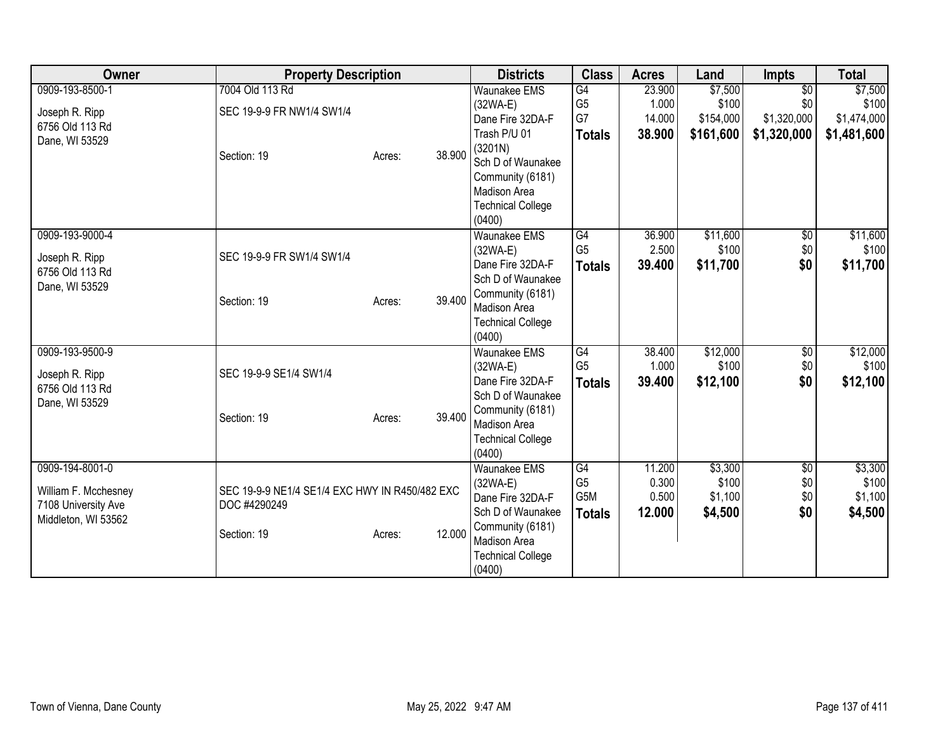| Owner                                                                                 | <b>Property Description</b>                                    |        | <b>Districts</b>                                                                                                              | <b>Class</b>                                              | <b>Acres</b>                       | Land                                   | <b>Impts</b>                          | <b>Total</b>                           |
|---------------------------------------------------------------------------------------|----------------------------------------------------------------|--------|-------------------------------------------------------------------------------------------------------------------------------|-----------------------------------------------------------|------------------------------------|----------------------------------------|---------------------------------------|----------------------------------------|
| 0909-193-8500-1<br>Joseph R. Ripp<br>6756 Old 113 Rd                                  | 7004 Old 113 Rd<br>SEC 19-9-9 FR NW1/4 SW1/4                   |        | <b>Waunakee EMS</b><br>(32WA-E)<br>Dane Fire 32DA-F                                                                           | $\overline{G4}$<br>G <sub>5</sub><br>G7                   | 23.900<br>1.000<br>14.000          | \$7,500<br>\$100<br>\$154,000          | $\overline{50}$<br>\$0<br>\$1,320,000 | \$7,500<br>\$100<br>\$1,474,000        |
| Dane, WI 53529                                                                        | Section: 19<br>Acres:                                          | 38.900 | Trash P/U 01<br>(3201N)<br>Sch D of Waunakee<br>Community (6181)<br><b>Madison Area</b><br><b>Technical College</b><br>(0400) | <b>Totals</b>                                             | 38.900                             | \$161,600                              | \$1,320,000                           | \$1,481,600                            |
| 0909-193-9000-4<br>Joseph R. Ripp<br>6756 Old 113 Rd                                  | SEC 19-9-9 FR SW1/4 SW1/4                                      |        | <b>Waunakee EMS</b><br>$(32WA-E)$<br>Dane Fire 32DA-F<br>Sch D of Waunakee                                                    | G4<br>G <sub>5</sub><br><b>Totals</b>                     | 36.900<br>2.500<br>39.400          | \$11,600<br>\$100<br>\$11,700          | $\overline{50}$<br>\$0<br>\$0         | \$11,600<br>\$100<br>\$11,700          |
| Dane, WI 53529                                                                        | Section: 19<br>Acres:                                          | 39.400 | Community (6181)<br><b>Madison Area</b><br><b>Technical College</b><br>(0400)                                                 |                                                           |                                    |                                        |                                       |                                        |
| 0909-193-9500-9<br>Joseph R. Ripp<br>6756 Old 113 Rd<br>Dane, WI 53529                | SEC 19-9-9 SE1/4 SW1/4                                         |        | Waunakee EMS<br>$(32WA-E)$<br>Dane Fire 32DA-F<br>Sch D of Waunakee                                                           | $\overline{G4}$<br>G <sub>5</sub><br><b>Totals</b>        | 38.400<br>1.000<br>39.400          | \$12,000<br>\$100<br>\$12,100          | $\overline{60}$<br>\$0<br>\$0         | \$12,000<br>\$100<br>\$12,100          |
|                                                                                       | Section: 19<br>Acres:                                          | 39.400 | Community (6181)<br>Madison Area<br><b>Technical College</b><br>(0400)                                                        |                                                           |                                    |                                        |                                       |                                        |
| 0909-194-8001-0<br>William F. Mcchesney<br>7108 University Ave<br>Middleton, WI 53562 | SEC 19-9-9 NE1/4 SE1/4 EXC HWY IN R450/482 EXC<br>DOC #4290249 |        | <b>Waunakee EMS</b><br>$(32WA-E)$<br>Dane Fire 32DA-F<br>Sch D of Waunakee                                                    | G4<br>G <sub>5</sub><br>G <sub>5</sub> M<br><b>Totals</b> | 11.200<br>0.300<br>0.500<br>12.000 | \$3,300<br>\$100<br>\$1,100<br>\$4,500 | $\overline{50}$<br>\$0<br>\$0<br>\$0  | \$3,300<br>\$100<br>\$1,100<br>\$4,500 |
|                                                                                       | Section: 19<br>Acres:                                          | 12.000 | Community (6181)<br>Madison Area<br><b>Technical College</b><br>(0400)                                                        |                                                           |                                    |                                        |                                       |                                        |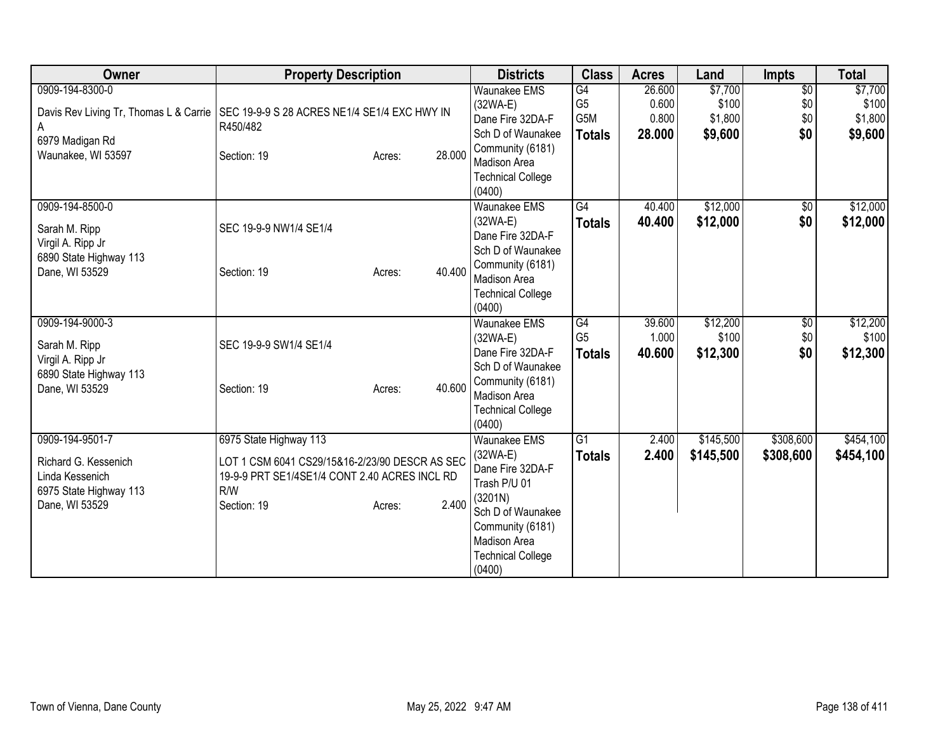| Owner                                  | <b>Property Description</b>                    |        |        | <b>Districts</b>                   | <b>Class</b>    | <b>Acres</b> | Land      | <b>Impts</b>    | <b>Total</b> |
|----------------------------------------|------------------------------------------------|--------|--------|------------------------------------|-----------------|--------------|-----------|-----------------|--------------|
| 0909-194-8300-0                        |                                                |        |        | <b>Waunakee EMS</b>                | G4              | 26.600       | \$7,700   | $\overline{60}$ | \$7,700      |
| Davis Rev Living Tr, Thomas L & Carrie | SEC 19-9-9 S 28 ACRES NE1/4 SE1/4 EXC HWY IN   |        |        | $(32WA-E)$                         | G <sub>5</sub>  | 0.600        | \$100     | \$0             | \$100        |
| A                                      | R450/482                                       |        |        | Dane Fire 32DA-F                   | G5M             | 0.800        | \$1,800   | \$0             | \$1,800      |
| 6979 Madigan Rd                        |                                                |        |        | Sch D of Waunakee                  | <b>Totals</b>   | 28.000       | \$9,600   | \$0             | \$9,600      |
| Waunakee, WI 53597                     | Section: 19                                    | Acres: | 28.000 | Community (6181)                   |                 |              |           |                 |              |
|                                        |                                                |        |        | Madison Area                       |                 |              |           |                 |              |
|                                        |                                                |        |        | <b>Technical College</b><br>(0400) |                 |              |           |                 |              |
| 0909-194-8500-0                        |                                                |        |        | <b>Waunakee EMS</b>                | G4              | 40.400       | \$12,000  | $\sqrt{6}$      | \$12,000     |
|                                        |                                                |        |        | (32WA-E)                           | <b>Totals</b>   | 40.400       | \$12,000  | \$0             | \$12,000     |
| Sarah M. Ripp                          | SEC 19-9-9 NW1/4 SE1/4                         |        |        | Dane Fire 32DA-F                   |                 |              |           |                 |              |
| Virgil A. Ripp Jr                      |                                                |        |        | Sch D of Waunakee                  |                 |              |           |                 |              |
| 6890 State Highway 113                 |                                                |        |        | Community (6181)                   |                 |              |           |                 |              |
| Dane, WI 53529                         | Section: 19                                    | Acres: | 40.400 | <b>Madison Area</b>                |                 |              |           |                 |              |
|                                        |                                                |        |        | <b>Technical College</b>           |                 |              |           |                 |              |
|                                        |                                                |        |        | (0400)                             |                 |              |           |                 |              |
| 0909-194-9000-3                        |                                                |        |        | <b>Waunakee EMS</b>                | G4              | 39.600       | \$12,200  | $\overline{60}$ | \$12,200     |
| Sarah M. Ripp                          | SEC 19-9-9 SW1/4 SE1/4                         |        |        | (32WA-E)                           | G <sub>5</sub>  | 1.000        | \$100     | \$0             | \$100        |
| Virgil A. Ripp Jr                      |                                                |        |        | Dane Fire 32DA-F                   | <b>Totals</b>   | 40.600       | \$12,300  | \$0             | \$12,300     |
| 6890 State Highway 113                 |                                                |        |        | Sch D of Waunakee                  |                 |              |           |                 |              |
| Dane, WI 53529                         | Section: 19                                    | Acres: | 40.600 | Community (6181)                   |                 |              |           |                 |              |
|                                        |                                                |        |        | <b>Madison Area</b>                |                 |              |           |                 |              |
|                                        |                                                |        |        | <b>Technical College</b>           |                 |              |           |                 |              |
|                                        |                                                |        |        | (0400)                             | $\overline{G1}$ | 2.400        | \$145,500 | \$308,600       | \$454,100    |
| 0909-194-9501-7                        | 6975 State Highway 113                         |        |        | <b>Waunakee EMS</b><br>(32WA-E)    |                 |              |           |                 |              |
| Richard G. Kessenich                   | LOT 1 CSM 6041 CS29/15&16-2/23/90 DESCR AS SEC |        |        | Dane Fire 32DA-F                   | <b>Totals</b>   | 2.400        | \$145,500 | \$308,600       | \$454,100    |
| Linda Kessenich                        | 19-9-9 PRT SE1/4SE1/4 CONT 2.40 ACRES INCL RD  |        |        | Trash P/U 01                       |                 |              |           |                 |              |
| 6975 State Highway 113                 | R/W                                            |        |        | (3201N)                            |                 |              |           |                 |              |
| Dane, WI 53529                         | Section: 19                                    | Acres: | 2.400  | Sch D of Waunakee                  |                 |              |           |                 |              |
|                                        |                                                |        |        | Community (6181)                   |                 |              |           |                 |              |
|                                        |                                                |        |        | <b>Madison Area</b>                |                 |              |           |                 |              |
|                                        |                                                |        |        | <b>Technical College</b>           |                 |              |           |                 |              |
|                                        |                                                |        |        | (0400)                             |                 |              |           |                 |              |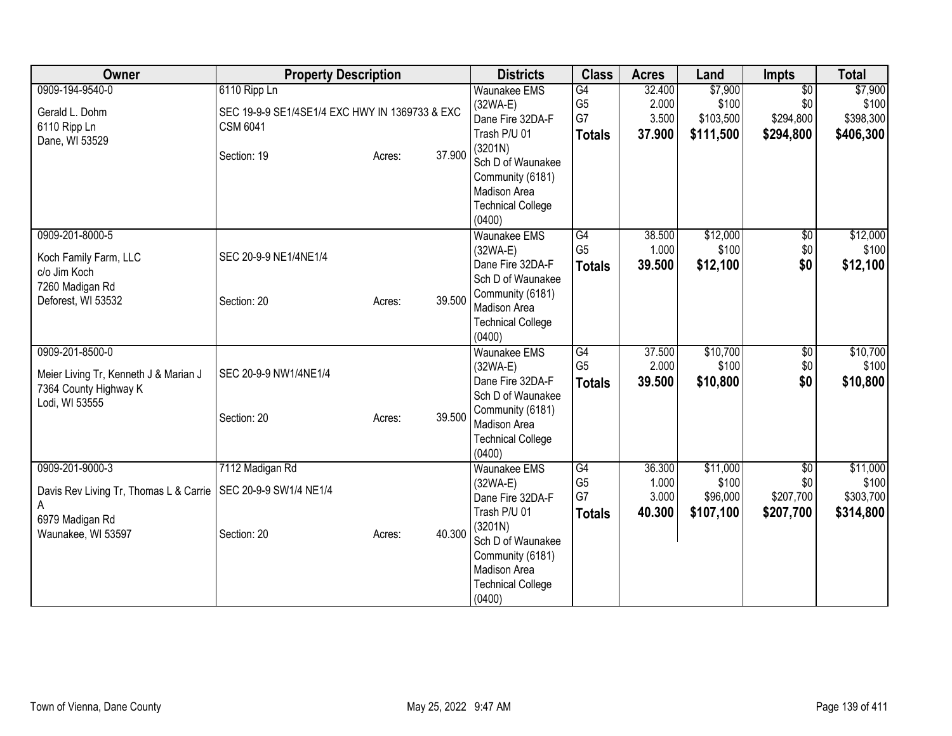| Owner                                  | <b>Property Description</b>                    |        |        | <b>Districts</b>                      | <b>Class</b>    | <b>Acres</b> | Land      | <b>Impts</b>    | <b>Total</b> |
|----------------------------------------|------------------------------------------------|--------|--------|---------------------------------------|-----------------|--------------|-----------|-----------------|--------------|
| 0909-194-9540-0                        | 6110 Ripp Ln                                   |        |        | <b>Waunakee EMS</b>                   | G4              | 32.400       | \$7,900   | $\overline{50}$ | \$7,900      |
| Gerald L. Dohm                         | SEC 19-9-9 SE1/4SE1/4 EXC HWY IN 1369733 & EXC |        |        | (32WA-E)                              | G <sub>5</sub>  | 2.000        | \$100     | \$0             | \$100        |
| 6110 Ripp Ln                           | <b>CSM 6041</b>                                |        |        | Dane Fire 32DA-F                      | G7              | 3.500        | \$103,500 | \$294,800       | \$398,300    |
| Dane, WI 53529                         |                                                |        |        | Trash P/U 01                          | <b>Totals</b>   | 37.900       | \$111,500 | \$294,800       | \$406,300    |
|                                        | Section: 19                                    | Acres: | 37.900 | (3201N)<br>Sch D of Waunakee          |                 |              |           |                 |              |
|                                        |                                                |        |        | Community (6181)                      |                 |              |           |                 |              |
|                                        |                                                |        |        | <b>Madison Area</b>                   |                 |              |           |                 |              |
|                                        |                                                |        |        | <b>Technical College</b>              |                 |              |           |                 |              |
|                                        |                                                |        |        | (0400)                                |                 |              |           |                 |              |
| 0909-201-8000-5                        |                                                |        |        | <b>Waunakee EMS</b>                   | G4              | 38.500       | \$12,000  | $\sqrt{6}$      | \$12,000     |
| Koch Family Farm, LLC                  | SEC 20-9-9 NE1/4NE1/4                          |        |        | (32WA-E)                              | G <sub>5</sub>  | 1.000        | \$100     | \$0             | \$100        |
| c/o Jim Koch                           |                                                |        |        | Dane Fire 32DA-F                      | <b>Totals</b>   | 39.500       | \$12,100  | \$0             | \$12,100     |
| 7260 Madigan Rd                        |                                                |        |        | Sch D of Waunakee                     |                 |              |           |                 |              |
| Deforest, WI 53532                     | Section: 20                                    | Acres: | 39.500 | Community (6181)<br>Madison Area      |                 |              |           |                 |              |
|                                        |                                                |        |        | <b>Technical College</b>              |                 |              |           |                 |              |
|                                        |                                                |        |        | (0400)                                |                 |              |           |                 |              |
| 0909-201-8500-0                        |                                                |        |        | Waunakee EMS                          | G4              | 37.500       | \$10,700  | \$0             | \$10,700     |
| Meier Living Tr, Kenneth J & Marian J  | SEC 20-9-9 NW1/4NE1/4                          |        |        | (32WA-E)                              | G <sub>5</sub>  | 2.000        | \$100     | \$0             | \$100        |
| 7364 County Highway K                  |                                                |        |        | Dane Fire 32DA-F                      | <b>Totals</b>   | 39.500       | \$10,800  | \$0             | \$10,800     |
| Lodi, WI 53555                         |                                                |        |        | Sch D of Waunakee                     |                 |              |           |                 |              |
|                                        | Section: 20                                    | Acres: | 39.500 | Community (6181)<br>Madison Area      |                 |              |           |                 |              |
|                                        |                                                |        |        | <b>Technical College</b>              |                 |              |           |                 |              |
|                                        |                                                |        |        | (0400)                                |                 |              |           |                 |              |
| 0909-201-9000-3                        | 7112 Madigan Rd                                |        |        | <b>Waunakee EMS</b>                   | $\overline{G4}$ | 36.300       | \$11,000  | $\overline{50}$ | \$11,000     |
| Davis Rev Living Tr, Thomas L & Carrie | SEC 20-9-9 SW1/4 NE1/4                         |        |        | (32WA-E)                              | G <sub>5</sub>  | 1.000        | \$100     | \$0             | \$100        |
| A                                      |                                                |        |        | Dane Fire 32DA-F                      | G7              | 3.000        | \$96,000  | \$207,700       | \$303,700    |
| 6979 Madigan Rd                        |                                                |        |        | Trash P/U 01                          | <b>Totals</b>   | 40.300       | \$107,100 | \$207,700       | \$314,800    |
| Waunakee, WI 53597                     | Section: 20                                    | Acres: | 40.300 | (3201N)                               |                 |              |           |                 |              |
|                                        |                                                |        |        | Sch D of Waunakee<br>Community (6181) |                 |              |           |                 |              |
|                                        |                                                |        |        | Madison Area                          |                 |              |           |                 |              |
|                                        |                                                |        |        | <b>Technical College</b>              |                 |              |           |                 |              |
|                                        |                                                |        |        | (0400)                                |                 |              |           |                 |              |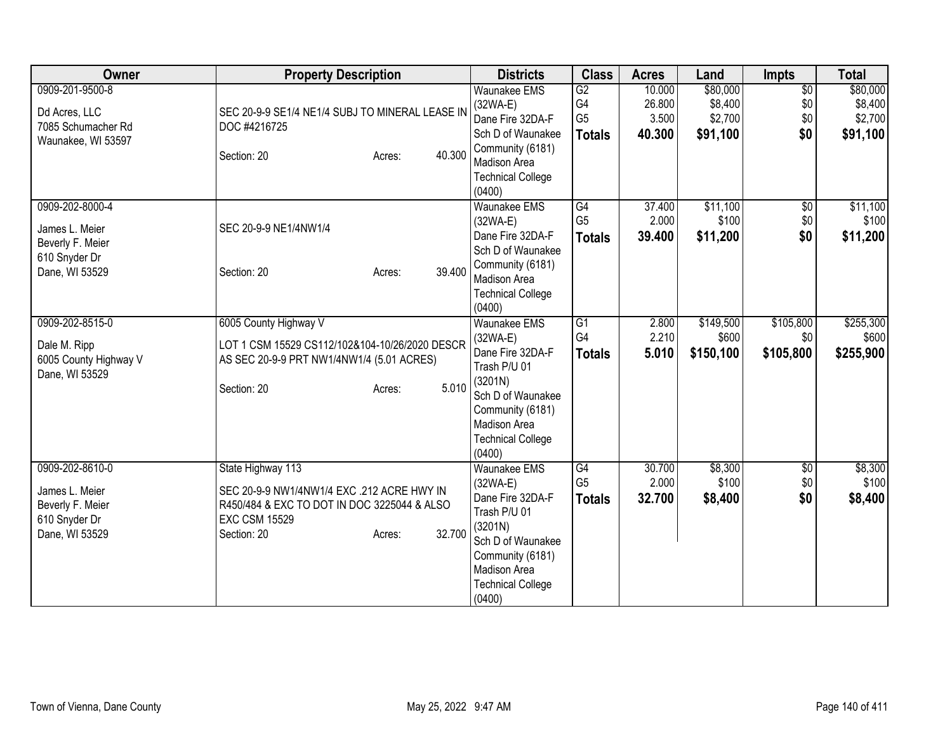| Owner                                                                                    | <b>Property Description</b>                                                                                                                                               | <b>Districts</b>                                                                                                                                                                | <b>Class</b>                            | <b>Acres</b>              | Land                            | <b>Impts</b>                  | <b>Total</b>                    |
|------------------------------------------------------------------------------------------|---------------------------------------------------------------------------------------------------------------------------------------------------------------------------|---------------------------------------------------------------------------------------------------------------------------------------------------------------------------------|-----------------------------------------|---------------------------|---------------------------------|-------------------------------|---------------------------------|
| 0909-201-9500-8<br>Dd Acres, LLC                                                         | SEC 20-9-9 SE1/4 NE1/4 SUBJ TO MINERAL LEASE IN                                                                                                                           | <b>Waunakee EMS</b><br>(32WA-E)<br>Dane Fire 32DA-F                                                                                                                             | $\overline{G2}$<br>G4<br>G <sub>5</sub> | 10.000<br>26.800<br>3.500 | \$80,000<br>\$8,400<br>\$2,700  | $\overline{50}$<br>\$0<br>\$0 | \$80,000<br>\$8,400<br>\$2,700  |
| 7085 Schumacher Rd<br>Waunakee, WI 53597                                                 | DOC #4216725<br>40.300<br>Section: 20<br>Acres:                                                                                                                           | Sch D of Waunakee<br>Community (6181)<br>Madison Area<br><b>Technical College</b><br>(0400)                                                                                     | <b>Totals</b>                           | 40.300                    | \$91,100                        | \$0                           | \$91,100                        |
| 0909-202-8000-4<br>James L. Meier<br>Beverly F. Meier<br>610 Snyder Dr<br>Dane, WI 53529 | SEC 20-9-9 NE1/4NW1/4<br>39.400<br>Section: 20<br>Acres:                                                                                                                  | <b>Waunakee EMS</b><br>$(32WA-E)$<br>Dane Fire 32DA-F<br>Sch D of Waunakee<br>Community (6181)<br><b>Madison Area</b><br><b>Technical College</b><br>(0400)                     | G4<br>G <sub>5</sub><br><b>Totals</b>   | 37.400<br>2.000<br>39.400 | \$11,100<br>\$100<br>\$11,200   | $\sqrt{$0}$<br>\$0<br>\$0     | \$11,100<br>\$100<br>\$11,200   |
| 0909-202-8515-0<br>Dale M. Ripp<br>6005 County Highway V<br>Dane, WI 53529               | 6005 County Highway V<br>LOT 1 CSM 15529 CS112/102&104-10/26/2020 DESCR<br>AS SEC 20-9-9 PRT NW1/4NW1/4 (5.01 ACRES)<br>5.010<br>Section: 20<br>Acres:                    | <b>Waunakee EMS</b><br>$(32WA-E)$<br>Dane Fire 32DA-F<br>Trash P/U 01<br>(3201N)<br>Sch D of Waunakee<br>Community (6181)<br>Madison Area<br><b>Technical College</b><br>(0400) | G1<br>G4<br><b>Totals</b>               | 2.800<br>2.210<br>5.010   | \$149,500<br>\$600<br>\$150,100 | \$105,800<br>\$0<br>\$105,800 | \$255,300<br>\$600<br>\$255,900 |
| 0909-202-8610-0<br>James L. Meier<br>Beverly F. Meier<br>610 Snyder Dr<br>Dane, WI 53529 | State Highway 113<br>SEC 20-9-9 NW1/4NW1/4 EXC .212 ACRE HWY IN<br>R450/484 & EXC TO DOT IN DOC 3225044 & ALSO<br><b>EXC CSM 15529</b><br>32.700<br>Section: 20<br>Acres: | <b>Waunakee EMS</b><br>$(32WA-E)$<br>Dane Fire 32DA-F<br>Trash P/U 01<br>(3201N)<br>Sch D of Waunakee<br>Community (6181)<br>Madison Area<br><b>Technical College</b><br>(0400) | G4<br>G <sub>5</sub><br><b>Totals</b>   | 30.700<br>2.000<br>32.700 | \$8,300<br>\$100<br>\$8,400     | $\overline{50}$<br>\$0<br>\$0 | \$8,300<br>\$100<br>\$8,400     |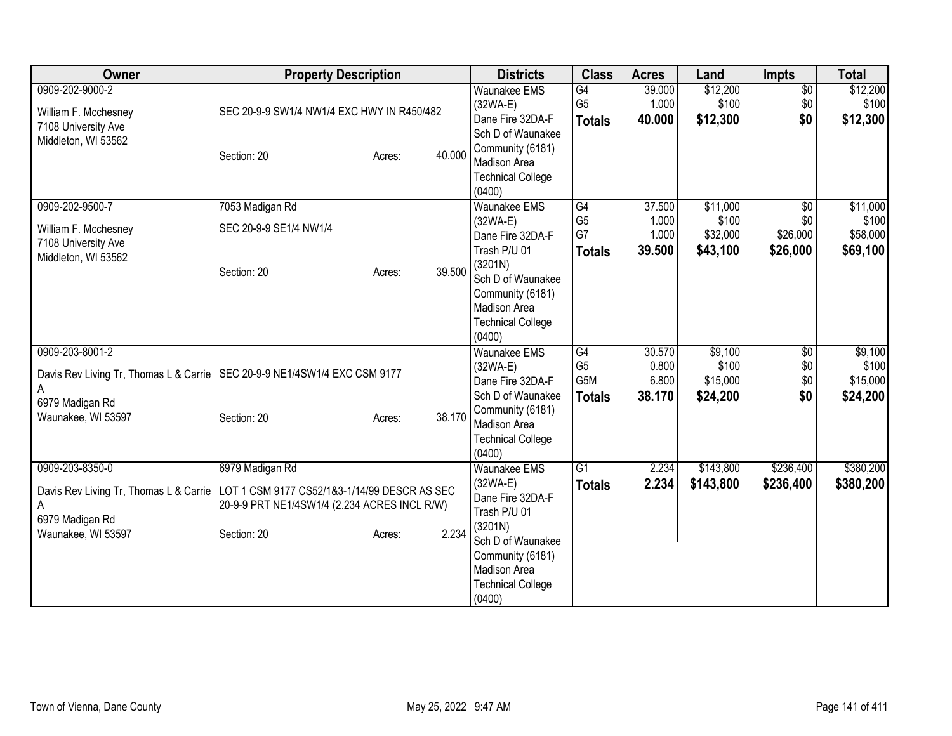| Owner                                                                                                   | <b>Property Description</b>                                                                                                                       | <b>Districts</b>                                                                                                                                                                                 | <b>Class</b>                                 | <b>Acres</b>                       | Land                                      | <b>Impts</b>                                   | <b>Total</b>                              |
|---------------------------------------------------------------------------------------------------------|---------------------------------------------------------------------------------------------------------------------------------------------------|--------------------------------------------------------------------------------------------------------------------------------------------------------------------------------------------------|----------------------------------------------|------------------------------------|-------------------------------------------|------------------------------------------------|-------------------------------------------|
| 0909-202-9000-2<br>William F. Mcchesney<br>7108 University Ave<br>Middleton, WI 53562                   | SEC 20-9-9 SW1/4 NW1/4 EXC HWY IN R450/482<br>40.000<br>Section: 20<br>Acres:                                                                     | <b>Waunakee EMS</b><br>$(32WA-E)$<br>Dane Fire 32DA-F<br>Sch D of Waunakee<br>Community (6181)<br>Madison Area<br><b>Technical College</b>                                                       | G4<br>G <sub>5</sub><br><b>Totals</b>        | 39.000<br>1.000<br>40.000          | \$12,200<br>\$100<br>\$12,300             | $\overline{50}$<br>\$0<br>\$0                  | \$12,200<br>\$100<br>\$12,300             |
| 0909-202-9500-7<br>William F. Mcchesney<br>7108 University Ave<br>Middleton, WI 53562                   | 7053 Madigan Rd<br>SEC 20-9-9 SE1/4 NW1/4<br>39.500<br>Section: 20<br>Acres:                                                                      | (0400)<br><b>Waunakee EMS</b><br>$(32WA-E)$<br>Dane Fire 32DA-F<br>Trash P/U 01<br>(3201N)<br>Sch D of Waunakee<br>Community (6181)<br><b>Madison Area</b><br><b>Technical College</b><br>(0400) | G4<br>G <sub>5</sub><br>G7<br><b>Totals</b>  | 37.500<br>1.000<br>1.000<br>39.500 | \$11,000<br>\$100<br>\$32,000<br>\$43,100 | $\overline{50}$<br>\$0<br>\$26,000<br>\$26,000 | \$11,000<br>\$100<br>\$58,000<br>\$69,100 |
| 0909-203-8001-2<br>Davis Rev Living Tr, Thomas L & Carrie<br>А<br>6979 Madigan Rd<br>Waunakee, WI 53597 | SEC 20-9-9 NE1/4SW1/4 EXC CSM 9177<br>38.170<br>Section: 20<br>Acres:                                                                             | <b>Waunakee EMS</b><br>$(32WA-E)$<br>Dane Fire 32DA-F<br>Sch D of Waunakee<br>Community (6181)<br>Madison Area<br><b>Technical College</b><br>(0400)                                             | G4<br>G <sub>5</sub><br>G5M<br><b>Totals</b> | 30.570<br>0.800<br>6.800<br>38.170 | \$9,100<br>\$100<br>\$15,000<br>\$24,200  | \$0<br>\$0<br>\$0<br>\$0                       | \$9,100<br>\$100<br>\$15,000<br>\$24,200  |
| 0909-203-8350-0<br>Davis Rev Living Tr, Thomas L & Carrie<br>А<br>6979 Madigan Rd<br>Waunakee, WI 53597 | 6979 Madigan Rd<br>LOT 1 CSM 9177 CS52/1&3-1/14/99 DESCR AS SEC<br>20-9-9 PRT NE1/4SW1/4 (2.234 ACRES INCL R/W)<br>2.234<br>Section: 20<br>Acres: | <b>Waunakee EMS</b><br>$(32WA-E)$<br>Dane Fire 32DA-F<br>Trash P/U 01<br>(3201N)<br>Sch D of Waunakee<br>Community (6181)<br>Madison Area<br><b>Technical College</b><br>(0400)                  | $\overline{G1}$<br><b>Totals</b>             | 2.234<br>2.234                     | \$143,800<br>\$143,800                    | \$236,400<br>\$236,400                         | \$380,200<br>\$380,200                    |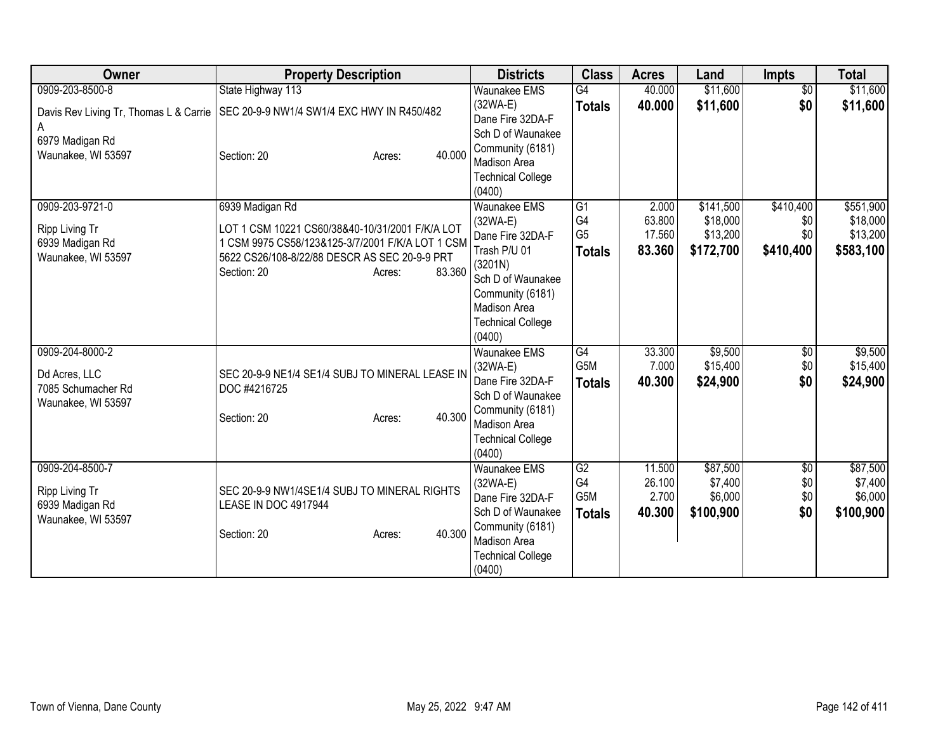| Owner                                  | <b>Property Description</b>                                     | <b>Districts</b>                         | <b>Class</b>         | <b>Acres</b>     | Land                 | <b>Impts</b>    | <b>Total</b>         |
|----------------------------------------|-----------------------------------------------------------------|------------------------------------------|----------------------|------------------|----------------------|-----------------|----------------------|
| 0909-203-8500-8                        | State Highway 113                                               | <b>Waunakee EMS</b>                      | $\overline{G4}$      | 40.000           | \$11,600             | $\overline{50}$ | \$11,600             |
| Davis Rev Living Tr, Thomas L & Carrie | SEC 20-9-9 NW1/4 SW1/4 EXC HWY IN R450/482                      | (32WA-E)                                 | <b>Totals</b>        | 40.000           | \$11,600             | \$0             | \$11,600             |
|                                        |                                                                 | Dane Fire 32DA-F<br>Sch D of Waunakee    |                      |                  |                      |                 |                      |
| 6979 Madigan Rd                        |                                                                 | Community (6181)                         |                      |                  |                      |                 |                      |
| Waunakee, WI 53597                     | 40.000<br>Section: 20<br>Acres:                                 | <b>Madison Area</b>                      |                      |                  |                      |                 |                      |
|                                        |                                                                 | <b>Technical College</b>                 |                      |                  |                      |                 |                      |
|                                        |                                                                 | (0400)                                   |                      |                  |                      |                 |                      |
| 0909-203-9721-0                        | 6939 Madigan Rd                                                 | <b>Waunakee EMS</b>                      | $\overline{G1}$      | 2.000            | \$141,500            | \$410,400       | \$551,900            |
| Ripp Living Tr                         | LOT 1 CSM 10221 CS60/38&40-10/31/2001 F/K/A LOT                 | $(32WA-E)$                               | G4<br>G <sub>5</sub> | 63.800<br>17.560 | \$18,000<br>\$13,200 | \$0<br>\$0      | \$18,000<br>\$13,200 |
| 6939 Madigan Rd                        | 1 CSM 9975 CS58/123&125-3/7/2001 F/K/A LOT 1 CSM                | Dane Fire 32DA-F<br>Trash P/U 01         | <b>Totals</b>        | 83.360           | \$172,700            | \$410,400       | \$583,100            |
| Waunakee, WI 53597                     | 5622 CS26/108-8/22/88 DESCR AS SEC 20-9-9 PRT                   | (3201N)                                  |                      |                  |                      |                 |                      |
|                                        | 83.360<br>Section: 20<br>Acres:                                 | Sch D of Waunakee                        |                      |                  |                      |                 |                      |
|                                        |                                                                 | Community (6181)                         |                      |                  |                      |                 |                      |
|                                        |                                                                 | <b>Madison Area</b>                      |                      |                  |                      |                 |                      |
|                                        |                                                                 | <b>Technical College</b><br>(0400)       |                      |                  |                      |                 |                      |
| 0909-204-8000-2                        |                                                                 | <b>Waunakee EMS</b>                      | G4                   | 33.300           | \$9,500              | \$0             | \$9,500              |
|                                        |                                                                 | $(32WA-E)$                               | G <sub>5</sub> M     | 7.000            | \$15,400             | \$0             | \$15,400             |
| Dd Acres, LLC<br>7085 Schumacher Rd    | SEC 20-9-9 NE1/4 SE1/4 SUBJ TO MINERAL LEASE IN<br>DOC #4216725 | Dane Fire 32DA-F                         | <b>Totals</b>        | 40.300           | \$24,900             | \$0             | \$24,900             |
| Waunakee, WI 53597                     |                                                                 | Sch D of Waunakee                        |                      |                  |                      |                 |                      |
|                                        | 40.300<br>Section: 20<br>Acres:                                 | Community (6181)                         |                      |                  |                      |                 |                      |
|                                        |                                                                 | Madison Area<br><b>Technical College</b> |                      |                  |                      |                 |                      |
|                                        |                                                                 | (0400)                                   |                      |                  |                      |                 |                      |
| 0909-204-8500-7                        |                                                                 | <b>Waunakee EMS</b>                      | $\overline{G2}$      | 11.500           | \$87,500             | $\overline{50}$ | \$87,500             |
| Ripp Living Tr                         | SEC 20-9-9 NW1/4SE1/4 SUBJ TO MINERAL RIGHTS                    | (32WA-E)                                 | G4                   | 26.100           | \$7,400              | \$0             | \$7,400              |
| 6939 Madigan Rd                        | LEASE IN DOC 4917944                                            | Dane Fire 32DA-F                         | G <sub>5</sub> M     | 2.700            | \$6,000              | \$0             | \$6,000              |
| Waunakee, WI 53597                     |                                                                 | Sch D of Waunakee                        | <b>Totals</b>        | 40.300           | \$100,900            | \$0             | \$100,900            |
|                                        | 40.300<br>Section: 20<br>Acres:                                 | Community (6181)<br>Madison Area         |                      |                  |                      |                 |                      |
|                                        |                                                                 | <b>Technical College</b>                 |                      |                  |                      |                 |                      |
|                                        |                                                                 | (0400)                                   |                      |                  |                      |                 |                      |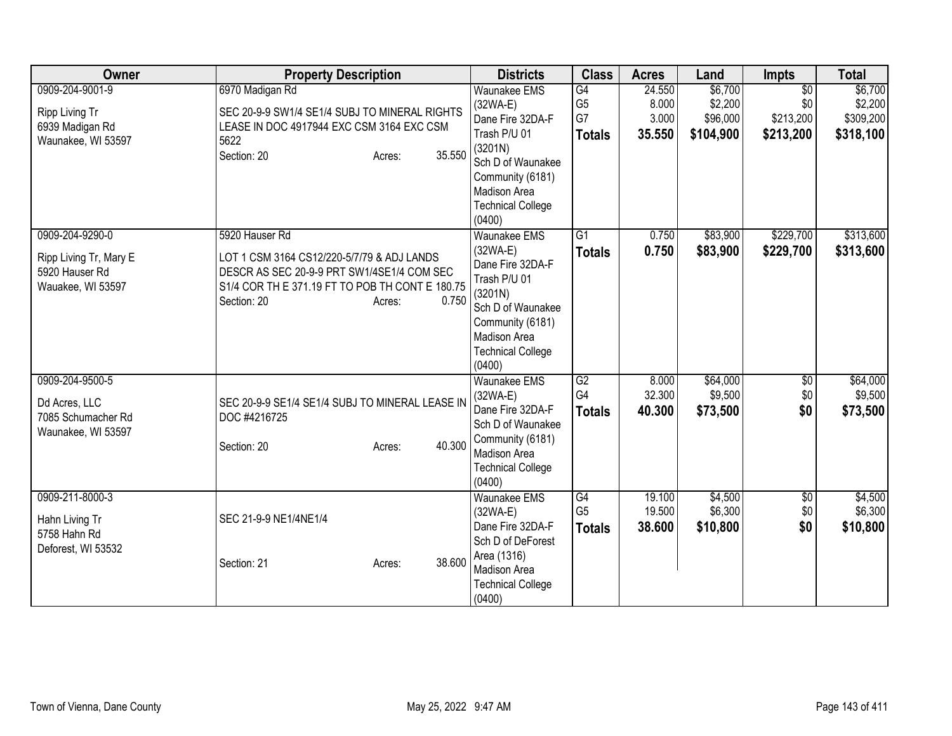| 0909-204-9001-9<br>6970 Madigan Rd<br>$\overline{G4}$<br>\$6,700<br>$\overline{50}$<br><b>Waunakee EMS</b><br>24.550<br>G <sub>5</sub><br>\$2,200<br>8.000<br>\$0<br>$(32WA-E)$<br>SEC 20-9-9 SW1/4 SE1/4 SUBJ TO MINERAL RIGHTS<br>Ripp Living Tr<br>G7<br>3.000<br>\$96,000<br>\$213,200<br>Dane Fire 32DA-F<br>6939 Madigan Rd<br>LEASE IN DOC 4917944 EXC CSM 3164 EXC CSM<br>Trash P/U 01<br>35.550<br>\$104,900<br>\$213,200<br><b>Totals</b><br>Waunakee, WI 53597<br>5622<br>(3201N)<br>35.550<br>Section: 20<br>Acres:<br>Sch D of Waunakee<br>Community (6181)<br>Madison Area<br><b>Technical College</b><br>(0400)<br>\$83,900<br>\$229,700<br>0909-204-9290-0<br>5920 Hauser Rd<br><b>Waunakee EMS</b><br>$\overline{G1}$<br>0.750<br>\$83,900<br>\$229,700<br>0.750<br>$(32WA-E)$<br><b>Totals</b><br>LOT 1 CSM 3164 CS12/220-5/7/79 & ADJ LANDS<br>Ripp Living Tr, Mary E | Owner | <b>Property Description</b> | <b>Districts</b> | <b>Class</b> | <b>Acres</b> | Land | <b>Impts</b> | <b>Total</b>        |
|------------------------------------------------------------------------------------------------------------------------------------------------------------------------------------------------------------------------------------------------------------------------------------------------------------------------------------------------------------------------------------------------------------------------------------------------------------------------------------------------------------------------------------------------------------------------------------------------------------------------------------------------------------------------------------------------------------------------------------------------------------------------------------------------------------------------------------------------------------------------------------------|-------|-----------------------------|------------------|--------------|--------------|------|--------------|---------------------|
|                                                                                                                                                                                                                                                                                                                                                                                                                                                                                                                                                                                                                                                                                                                                                                                                                                                                                          |       |                             |                  |              |              |      |              | \$6,700<br>\$2,200  |
|                                                                                                                                                                                                                                                                                                                                                                                                                                                                                                                                                                                                                                                                                                                                                                                                                                                                                          |       |                             |                  |              |              |      |              | \$309,200           |
|                                                                                                                                                                                                                                                                                                                                                                                                                                                                                                                                                                                                                                                                                                                                                                                                                                                                                          |       |                             |                  |              |              |      |              | \$318,100           |
|                                                                                                                                                                                                                                                                                                                                                                                                                                                                                                                                                                                                                                                                                                                                                                                                                                                                                          |       |                             |                  |              |              |      |              |                     |
|                                                                                                                                                                                                                                                                                                                                                                                                                                                                                                                                                                                                                                                                                                                                                                                                                                                                                          |       |                             |                  |              |              |      |              |                     |
|                                                                                                                                                                                                                                                                                                                                                                                                                                                                                                                                                                                                                                                                                                                                                                                                                                                                                          |       |                             |                  |              |              |      |              |                     |
|                                                                                                                                                                                                                                                                                                                                                                                                                                                                                                                                                                                                                                                                                                                                                                                                                                                                                          |       |                             |                  |              |              |      |              |                     |
|                                                                                                                                                                                                                                                                                                                                                                                                                                                                                                                                                                                                                                                                                                                                                                                                                                                                                          |       |                             |                  |              |              |      |              |                     |
|                                                                                                                                                                                                                                                                                                                                                                                                                                                                                                                                                                                                                                                                                                                                                                                                                                                                                          |       |                             |                  |              |              |      |              | \$313,600           |
|                                                                                                                                                                                                                                                                                                                                                                                                                                                                                                                                                                                                                                                                                                                                                                                                                                                                                          |       |                             |                  |              |              |      |              | \$313,600           |
|                                                                                                                                                                                                                                                                                                                                                                                                                                                                                                                                                                                                                                                                                                                                                                                                                                                                                          |       |                             | Dane Fire 32DA-F |              |              |      |              |                     |
| 5920 Hauser Rd<br>DESCR AS SEC 20-9-9 PRT SW1/4SE1/4 COM SEC<br>Trash P/U 01                                                                                                                                                                                                                                                                                                                                                                                                                                                                                                                                                                                                                                                                                                                                                                                                             |       |                             |                  |              |              |      |              |                     |
| S1/4 COR TH E 371.19 FT TO POB TH CONT E 180.75<br>Wauakee, WI 53597<br>(3201N)                                                                                                                                                                                                                                                                                                                                                                                                                                                                                                                                                                                                                                                                                                                                                                                                          |       |                             |                  |              |              |      |              |                     |
| 0.750<br>Section: 20<br>Acres:<br>Sch D of Waunakee                                                                                                                                                                                                                                                                                                                                                                                                                                                                                                                                                                                                                                                                                                                                                                                                                                      |       |                             |                  |              |              |      |              |                     |
| Community (6181)                                                                                                                                                                                                                                                                                                                                                                                                                                                                                                                                                                                                                                                                                                                                                                                                                                                                         |       |                             |                  |              |              |      |              |                     |
| Madison Area                                                                                                                                                                                                                                                                                                                                                                                                                                                                                                                                                                                                                                                                                                                                                                                                                                                                             |       |                             |                  |              |              |      |              |                     |
| <b>Technical College</b>                                                                                                                                                                                                                                                                                                                                                                                                                                                                                                                                                                                                                                                                                                                                                                                                                                                                 |       |                             |                  |              |              |      |              |                     |
| (0400)<br>0909-204-9500-5<br><b>Waunakee EMS</b><br>G2<br>8.000<br>\$64,000                                                                                                                                                                                                                                                                                                                                                                                                                                                                                                                                                                                                                                                                                                                                                                                                              |       |                             |                  |              |              |      |              |                     |
| $\overline{50}$<br>G4<br>32.300<br>\$9,500<br>\$0<br>$(32WA-E)$                                                                                                                                                                                                                                                                                                                                                                                                                                                                                                                                                                                                                                                                                                                                                                                                                          |       |                             |                  |              |              |      |              | \$64,000<br>\$9,500 |
| SEC 20-9-9 SE1/4 SE1/4 SUBJ TO MINERAL LEASE IN<br>Dd Acres, LLC<br>Dane Fire 32DA-F<br>40.300<br>\$73,500<br>\$0<br><b>Totals</b>                                                                                                                                                                                                                                                                                                                                                                                                                                                                                                                                                                                                                                                                                                                                                       |       |                             |                  |              |              |      |              | \$73,500            |
| 7085 Schumacher Rd<br>DOC #4216725<br>Sch D of Waunakee                                                                                                                                                                                                                                                                                                                                                                                                                                                                                                                                                                                                                                                                                                                                                                                                                                  |       |                             |                  |              |              |      |              |                     |
| Waunakee, WI 53597<br>Community (6181)                                                                                                                                                                                                                                                                                                                                                                                                                                                                                                                                                                                                                                                                                                                                                                                                                                                   |       |                             |                  |              |              |      |              |                     |
| 40.300<br>Section: 20<br>Acres:<br>Madison Area                                                                                                                                                                                                                                                                                                                                                                                                                                                                                                                                                                                                                                                                                                                                                                                                                                          |       |                             |                  |              |              |      |              |                     |
| <b>Technical College</b>                                                                                                                                                                                                                                                                                                                                                                                                                                                                                                                                                                                                                                                                                                                                                                                                                                                                 |       |                             |                  |              |              |      |              |                     |
| (0400)                                                                                                                                                                                                                                                                                                                                                                                                                                                                                                                                                                                                                                                                                                                                                                                                                                                                                   |       |                             |                  |              |              |      |              |                     |
| \$4,500<br>0909-211-8000-3<br>$\overline{G4}$<br>19.100<br><b>Waunakee EMS</b><br>$\overline{50}$                                                                                                                                                                                                                                                                                                                                                                                                                                                                                                                                                                                                                                                                                                                                                                                        |       |                             |                  |              |              |      |              | \$4,500             |
| \$6,300<br>G <sub>5</sub><br>19.500<br>\$0<br>$(32WA-E)$<br>SEC 21-9-9 NE1/4NE1/4<br>Hahn Living Tr                                                                                                                                                                                                                                                                                                                                                                                                                                                                                                                                                                                                                                                                                                                                                                                      |       |                             |                  |              |              |      |              | \$6,300             |
| Dane Fire 32DA-F<br>38.600<br>\$10,800<br>\$0<br><b>Totals</b><br>5758 Hahn Rd                                                                                                                                                                                                                                                                                                                                                                                                                                                                                                                                                                                                                                                                                                                                                                                                           |       |                             |                  |              |              |      |              | \$10,800            |
| Sch D of DeForest<br>Deforest, WI 53532                                                                                                                                                                                                                                                                                                                                                                                                                                                                                                                                                                                                                                                                                                                                                                                                                                                  |       |                             |                  |              |              |      |              |                     |
| Area (1316)<br>38.600<br>Section: 21<br>Acres:<br>Madison Area                                                                                                                                                                                                                                                                                                                                                                                                                                                                                                                                                                                                                                                                                                                                                                                                                           |       |                             |                  |              |              |      |              |                     |
| <b>Technical College</b>                                                                                                                                                                                                                                                                                                                                                                                                                                                                                                                                                                                                                                                                                                                                                                                                                                                                 |       |                             |                  |              |              |      |              |                     |
| (0400)                                                                                                                                                                                                                                                                                                                                                                                                                                                                                                                                                                                                                                                                                                                                                                                                                                                                                   |       |                             |                  |              |              |      |              |                     |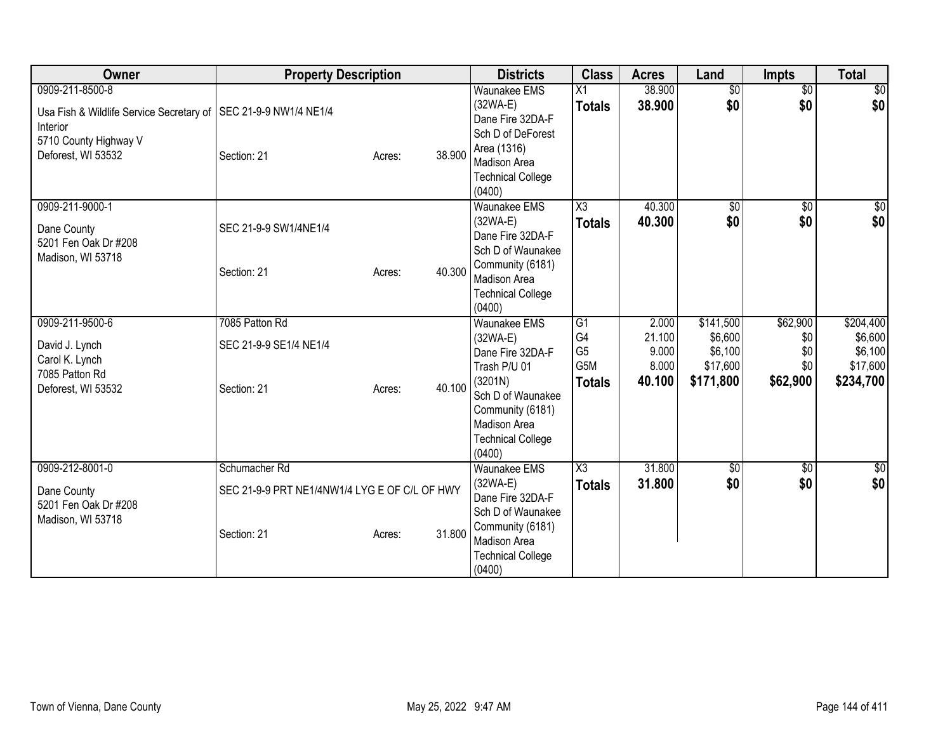| Owner                                                                                                                                           | <b>Property Description</b>                                                   |        |        | <b>Districts</b>                                                                                                                                                                | <b>Class</b>                                                    | <b>Acres</b>                                | Land                                                     | Impts                                     | <b>Total</b>                                             |
|-------------------------------------------------------------------------------------------------------------------------------------------------|-------------------------------------------------------------------------------|--------|--------|---------------------------------------------------------------------------------------------------------------------------------------------------------------------------------|-----------------------------------------------------------------|---------------------------------------------|----------------------------------------------------------|-------------------------------------------|----------------------------------------------------------|
| 0909-211-8500-8<br>Usa Fish & Wildlife Service Secretary of   SEC 21-9-9 NW1/4 NE1/4<br>Interior<br>5710 County Highway V<br>Deforest, WI 53532 | Section: 21                                                                   | Acres: | 38.900 | <b>Waunakee EMS</b><br>$(32WA-E)$<br>Dane Fire 32DA-F<br>Sch D of DeForest<br>Area (1316)<br><b>Madison Area</b><br><b>Technical College</b><br>(0400)                          | $\overline{X1}$<br><b>Totals</b>                                | 38.900<br>38.900                            | $\overline{50}$<br>\$0                                   | $\overline{50}$<br>\$0                    | $\overline{50}$<br>\$0                                   |
| 0909-211-9000-1<br>Dane County<br>5201 Fen Oak Dr #208<br>Madison, WI 53718                                                                     | SEC 21-9-9 SW1/4NE1/4<br>Section: 21                                          | Acres: | 40.300 | Waunakee EMS<br>$(32WA-E)$<br>Dane Fire 32DA-F<br>Sch D of Waunakee<br>Community (6181)<br>Madison Area<br><b>Technical College</b><br>(0400)                                   | $\overline{\text{X3}}$<br><b>Totals</b>                         | 40.300<br>40.300                            | $\sqrt{$0}$<br>\$0                                       | $\overline{50}$<br>\$0                    | $\frac{1}{6}$<br>\$0                                     |
| 0909-211-9500-6<br>David J. Lynch<br>Carol K. Lynch<br>7085 Patton Rd<br>Deforest, WI 53532                                                     | 7085 Patton Rd<br>SEC 21-9-9 SE1/4 NE1/4<br>Section: 21                       | Acres: | 40.100 | Waunakee EMS<br>$(32WA-E)$<br>Dane Fire 32DA-F<br>Trash P/U 01<br>(3201N)<br>Sch D of Waunakee<br>Community (6181)<br><b>Madison Area</b><br><b>Technical College</b><br>(0400) | $\overline{G1}$<br>G4<br>G <sub>5</sub><br>G5M<br><b>Totals</b> | 2.000<br>21.100<br>9.000<br>8.000<br>40.100 | \$141,500<br>\$6,600<br>\$6,100<br>\$17,600<br>\$171,800 | \$62,900<br>\$0<br>\$0<br>\$0<br>\$62,900 | \$204,400<br>\$6,600<br>\$6,100<br>\$17,600<br>\$234,700 |
| 0909-212-8001-0<br>Dane County<br>5201 Fen Oak Dr #208<br>Madison, WI 53718                                                                     | Schumacher Rd<br>SEC 21-9-9 PRT NE1/4NW1/4 LYG E OF C/L OF HWY<br>Section: 21 | Acres: | 31.800 | Waunakee EMS<br>$(32WA-E)$<br>Dane Fire 32DA-F<br>Sch D of Waunakee<br>Community (6181)<br><b>Madison Area</b><br><b>Technical College</b><br>(0400)                            | X3<br><b>Totals</b>                                             | 31.800<br>31.800                            | $\sqrt{$0}$<br>\$0                                       | $\overline{50}$<br>\$0                    | \$0<br>\$0                                               |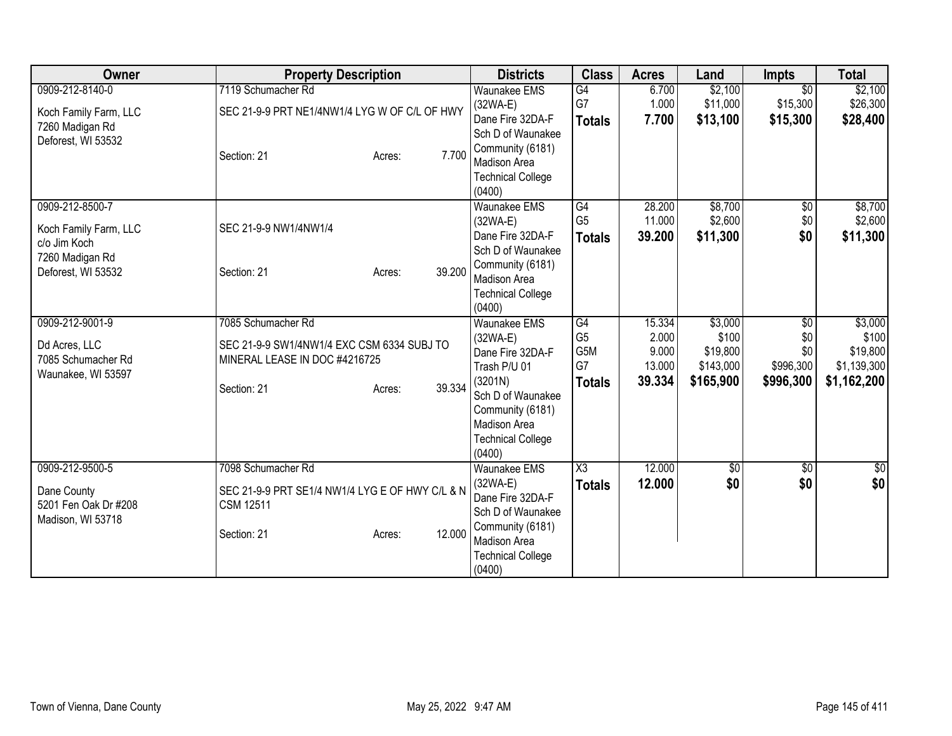| Owner                                                                                             | <b>Property Description</b>                                                               |                  | <b>Districts</b>                                                                                                                                            | <b>Class</b>                          | <b>Acres</b>               | Land                            | <b>Impts</b>                            | <b>Total</b>                     |
|---------------------------------------------------------------------------------------------------|-------------------------------------------------------------------------------------------|------------------|-------------------------------------------------------------------------------------------------------------------------------------------------------------|---------------------------------------|----------------------------|---------------------------------|-----------------------------------------|----------------------------------|
| 0909-212-8140-0<br>Koch Family Farm, LLC                                                          | 7119 Schumacher Rd<br>SEC 21-9-9 PRT NE1/4NW1/4 LYG W OF C/L OF HWY                       |                  | <b>Waunakee EMS</b><br>$(32WA-E)$<br>Dane Fire 32DA-F                                                                                                       | G4<br>G7<br><b>Totals</b>             | 6.700<br>1.000<br>7.700    | \$2,100<br>\$11,000<br>\$13,100 | $\overline{30}$<br>\$15,300<br>\$15,300 | \$2,100<br>\$26,300<br>\$28,400  |
| 7260 Madigan Rd<br>Deforest, WI 53532                                                             | Section: 21                                                                               | 7.700<br>Acres:  | Sch D of Waunakee<br>Community (6181)<br><b>Madison Area</b><br><b>Technical College</b><br>(0400)                                                          |                                       |                            |                                 |                                         |                                  |
| 0909-212-8500-7<br>Koch Family Farm, LLC<br>c/o Jim Koch<br>7260 Madigan Rd<br>Deforest, WI 53532 | SEC 21-9-9 NW1/4NW1/4<br>Section: 21                                                      | 39.200<br>Acres: | <b>Waunakee EMS</b><br>$(32WA-E)$<br>Dane Fire 32DA-F<br>Sch D of Waunakee<br>Community (6181)<br><b>Madison Area</b><br><b>Technical College</b><br>(0400) | G4<br>G <sub>5</sub><br><b>Totals</b> | 28.200<br>11.000<br>39.200 | \$8,700<br>\$2,600<br>\$11,300  | $\overline{60}$<br>\$0<br>\$0           | \$8,700<br>\$2,600<br>\$11,300   |
| 0909-212-9001-9                                                                                   | 7085 Schumacher Rd                                                                        |                  | <b>Waunakee EMS</b>                                                                                                                                         | G4                                    | 15.334                     | \$3,000                         | \$0                                     | \$3,000                          |
| Dd Acres, LLC<br>7085 Schumacher Rd<br>Waunakee, WI 53597                                         | SEC 21-9-9 SW1/4NW1/4 EXC CSM 6334 SUBJ TO<br>MINERAL LEASE IN DOC #4216725               |                  | $(32WA-E)$<br>Dane Fire 32DA-F<br>Trash P/U 01                                                                                                              | G <sub>5</sub><br>G5M<br>G7           | 2.000<br>9.000<br>13.000   | \$100<br>\$19,800<br>\$143,000  | \$0<br>\$0<br>\$996,300                 | \$100<br>\$19,800<br>\$1,139,300 |
|                                                                                                   | Section: 21                                                                               | 39.334<br>Acres: | (3201N)<br>Sch D of Waunakee<br>Community (6181)<br><b>Madison Area</b><br><b>Technical College</b><br>(0400)                                               | <b>Totals</b>                         | 39.334                     | \$165,900                       | \$996,300                               | \$1,162,200                      |
| 0909-212-9500-5<br>Dane County<br>5201 Fen Oak Dr #208<br>Madison, WI 53718                       | 7098 Schumacher Rd<br>SEC 21-9-9 PRT SE1/4 NW1/4 LYG E OF HWY C/L & N<br><b>CSM 12511</b> |                  | <b>Waunakee EMS</b><br>$(32WA-E)$<br>Dane Fire 32DA-F<br>Sch D of Waunakee                                                                                  | X3<br><b>Totals</b>                   | 12.000<br>12.000           | $\sqrt{$0}$<br>\$0              | $\overline{50}$<br>\$0                  | $\sqrt{30}$<br>\$0               |
|                                                                                                   | Section: 21                                                                               | 12.000<br>Acres: | Community (6181)<br>Madison Area<br><b>Technical College</b><br>(0400)                                                                                      |                                       |                            |                                 |                                         |                                  |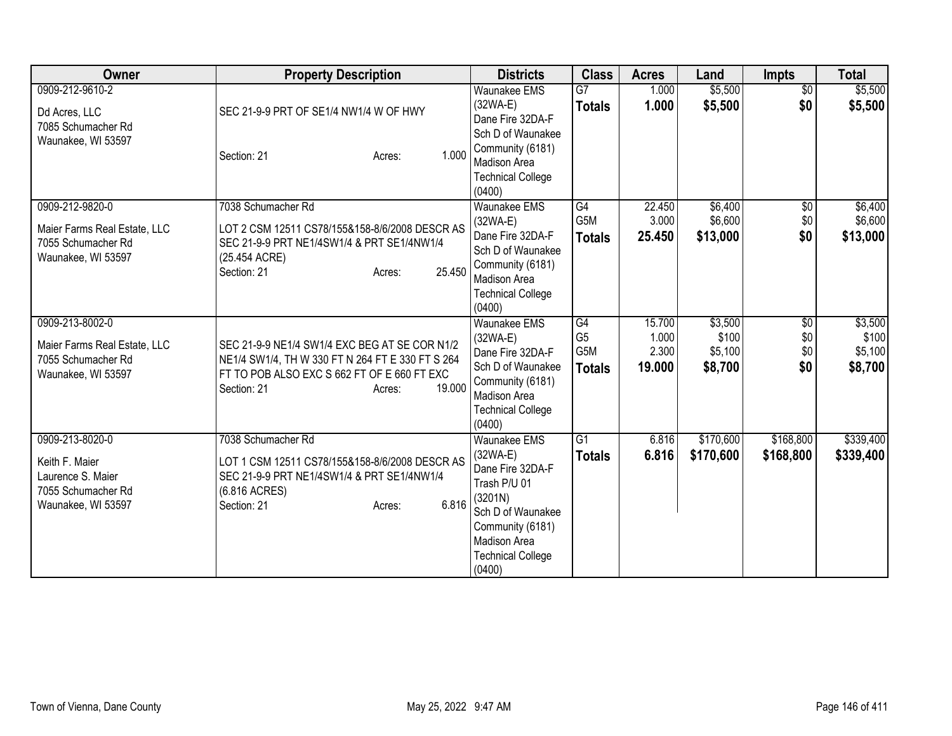| Owner                                                                                              | <b>Property Description</b>                                                                                                                                                         | <b>Districts</b>                                                                                                                                                                       | <b>Class</b>                                 | <b>Acres</b>                       | Land                                   | <b>Impts</b>                         | <b>Total</b>                           |
|----------------------------------------------------------------------------------------------------|-------------------------------------------------------------------------------------------------------------------------------------------------------------------------------------|----------------------------------------------------------------------------------------------------------------------------------------------------------------------------------------|----------------------------------------------|------------------------------------|----------------------------------------|--------------------------------------|----------------------------------------|
| 0909-212-9610-2<br>Dd Acres, LLC<br>7085 Schumacher Rd<br>Waunakee, WI 53597                       | SEC 21-9-9 PRT OF SE1/4 NW1/4 W OF HWY<br>1.000<br>Section: 21<br>Acres:                                                                                                            | <b>Waunakee EMS</b><br>(32WA-E)<br>Dane Fire 32DA-F<br>Sch D of Waunakee<br>Community (6181)<br><b>Madison Area</b><br><b>Technical College</b><br>(0400)                              | $\overline{G7}$<br><b>Totals</b>             | 1.000<br>1.000                     | \$5,500<br>\$5,500                     | $\overline{50}$<br>\$0               | \$5,500<br>\$5,500                     |
| 0909-212-9820-0<br>Maier Farms Real Estate, LLC<br>7055 Schumacher Rd<br>Waunakee, WI 53597        | 7038 Schumacher Rd<br>LOT 2 CSM 12511 CS78/155&158-8/6/2008 DESCR AS<br>SEC 21-9-9 PRT NE1/4SW1/4 & PRT SE1/4NW1/4<br>(25.454 ACRE)<br>25.450<br>Section: 21<br>Acres:              | <b>Waunakee EMS</b><br>$(32WA-E)$<br>Dane Fire 32DA-F<br>Sch D of Waunakee<br>Community (6181)<br>Madison Area<br><b>Technical College</b><br>(0400)                                   | G4<br>G5M<br><b>Totals</b>                   | 22.450<br>3.000<br>25.450          | \$6,400<br>\$6,600<br>\$13,000         | $\sqrt{6}$<br>\$0<br>\$0             | \$6,400<br>\$6,600<br>\$13,000         |
| 0909-213-8002-0<br>Maier Farms Real Estate, LLC<br>7055 Schumacher Rd<br>Waunakee, WI 53597        | SEC 21-9-9 NE1/4 SW1/4 EXC BEG AT SE COR N1/2<br>NE1/4 SW1/4, TH W 330 FT N 264 FT E 330 FT S 264<br>FT TO POB ALSO EXC S 662 FT OF E 660 FT EXC<br>19,000<br>Section: 21<br>Acres: | <b>Waunakee EMS</b><br>$(32WA-E)$<br>Dane Fire 32DA-F<br>Sch D of Waunakee<br>Community (6181)<br>Madison Area<br><b>Technical College</b><br>(0400)                                   | G4<br>G <sub>5</sub><br>G5M<br><b>Totals</b> | 15.700<br>1.000<br>2.300<br>19.000 | \$3,500<br>\$100<br>\$5,100<br>\$8,700 | $\overline{50}$<br>\$0<br>\$0<br>\$0 | \$3,500<br>\$100<br>\$5,100<br>\$8,700 |
| 0909-213-8020-0<br>Keith F. Maier<br>Laurence S. Maier<br>7055 Schumacher Rd<br>Waunakee, WI 53597 | 7038 Schumacher Rd<br>LOT 1 CSM 12511 CS78/155&158-8/6/2008 DESCR AS<br>SEC 21-9-9 PRT NE1/4SW1/4 & PRT SE1/4NW1/4<br>(6.816 ACRES)<br>6.816<br>Section: 21<br>Acres:               | <b>Waunakee EMS</b><br>$(32WA-E)$<br>Dane Fire 32DA-F<br>Trash P/U 01<br>(3201N)<br>Sch D of Waunakee<br>Community (6181)<br><b>Madison Area</b><br><b>Technical College</b><br>(0400) | G1<br><b>Totals</b>                          | 6.816<br>6.816                     | \$170,600<br>\$170,600                 | \$168,800<br>\$168,800               | \$339,400<br>\$339,400                 |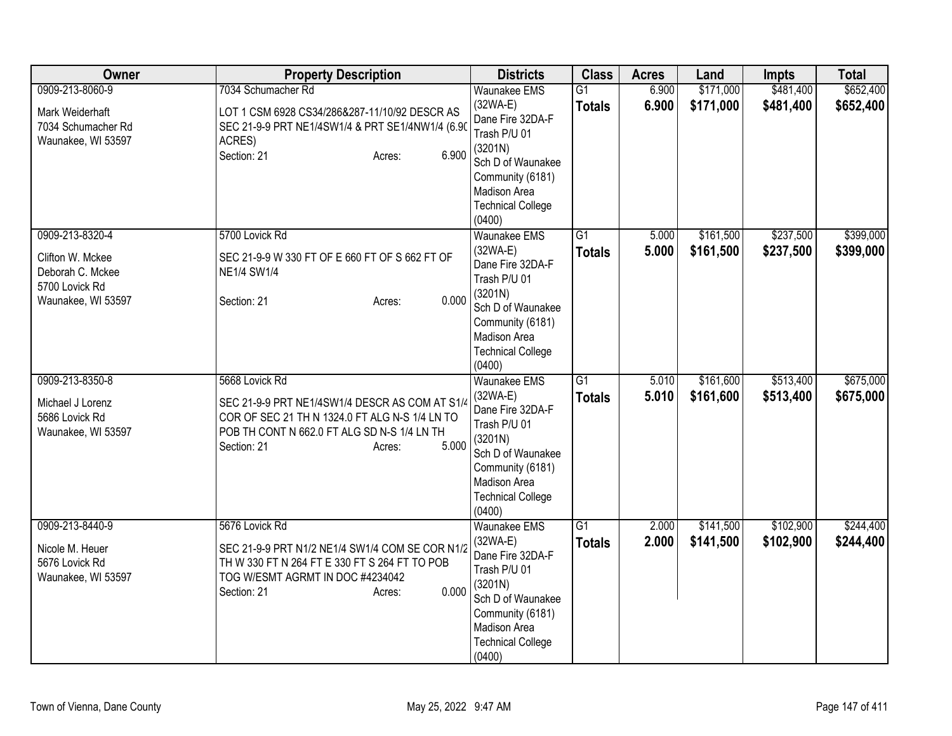| Owner                                                                                           | <b>Property Description</b>                                                                                                                                                                         | <b>Districts</b>                                                                                                                                                                | <b>Class</b>                     | <b>Acres</b>   | Land                   | <b>Impts</b>           | <b>Total</b>           |
|-------------------------------------------------------------------------------------------------|-----------------------------------------------------------------------------------------------------------------------------------------------------------------------------------------------------|---------------------------------------------------------------------------------------------------------------------------------------------------------------------------------|----------------------------------|----------------|------------------------|------------------------|------------------------|
| 0909-213-8060-9<br>Mark Weiderhaft<br>7034 Schumacher Rd<br>Waunakee, WI 53597                  | 7034 Schumacher Rd<br>LOT 1 CSM 6928 CS34/286&287-11/10/92 DESCR AS<br>SEC 21-9-9 PRT NE1/4SW1/4 & PRT SE1/4NW1/4 (6.90<br>ACRES)<br>6.900<br>Section: 21<br>Acres:                                 | <b>Waunakee EMS</b><br>$(32WA-E)$<br>Dane Fire 32DA-F<br>Trash P/U 01<br>(3201N)<br>Sch D of Waunakee<br>Community (6181)<br>Madison Area<br><b>Technical College</b><br>(0400) | $\overline{G1}$<br><b>Totals</b> | 6.900<br>6.900 | \$171,000<br>\$171,000 | \$481,400<br>\$481,400 | \$652,400<br>\$652,400 |
| 0909-213-8320-4<br>Clifton W. Mckee<br>Deborah C. Mckee<br>5700 Lovick Rd<br>Waunakee, WI 53597 | 5700 Lovick Rd<br>SEC 21-9-9 W 330 FT OF E 660 FT OF S 662 FT OF<br><b>NE1/4 SW1/4</b><br>0.000<br>Section: 21<br>Acres:                                                                            | <b>Waunakee EMS</b><br>$(32WA-E)$<br>Dane Fire 32DA-F<br>Trash P/U 01<br>(3201N)<br>Sch D of Waunakee<br>Community (6181)<br>Madison Area<br><b>Technical College</b><br>(0400) | $\overline{G1}$<br><b>Totals</b> | 5.000<br>5.000 | \$161,500<br>\$161,500 | \$237,500<br>\$237,500 | \$399,000<br>\$399,000 |
| 0909-213-8350-8<br>Michael J Lorenz<br>5686 Lovick Rd<br>Waunakee, WI 53597                     | 5668 Lovick Rd<br>SEC 21-9-9 PRT NE1/4SW1/4 DESCR AS COM AT S1/4<br>COR OF SEC 21 TH N 1324.0 FT ALG N-S 1/4 LN TO<br>POB TH CONT N 662.0 FT ALG SD N-S 1/4 LN TH<br>5.000<br>Section: 21<br>Acres: | <b>Waunakee EMS</b><br>$(32WA-E)$<br>Dane Fire 32DA-F<br>Trash P/U 01<br>(3201N)<br>Sch D of Waunakee<br>Community (6181)<br>Madison Area<br><b>Technical College</b><br>(0400) | $\overline{G1}$<br><b>Totals</b> | 5.010<br>5.010 | \$161,600<br>\$161,600 | \$513,400<br>\$513,400 | \$675,000<br>\$675,000 |
| 0909-213-8440-9<br>Nicole M. Heuer<br>5676 Lovick Rd<br>Waunakee, WI 53597                      | 5676 Lovick Rd<br>SEC 21-9-9 PRT N1/2 NE1/4 SW1/4 COM SE COR N1/2<br>TH W 330 FT N 264 FT E 330 FT S 264 FT TO POB<br>TOG W/ESMT AGRMT IN DOC #4234042<br>0.000<br>Section: 21<br>Acres:            | <b>Waunakee EMS</b><br>$(32WA-E)$<br>Dane Fire 32DA-F<br>Trash P/U 01<br>(3201N)<br>Sch D of Waunakee<br>Community (6181)<br>Madison Area<br><b>Technical College</b><br>(0400) | $\overline{G1}$<br><b>Totals</b> | 2.000<br>2.000 | \$141,500<br>\$141,500 | \$102,900<br>\$102,900 | \$244,400<br>\$244,400 |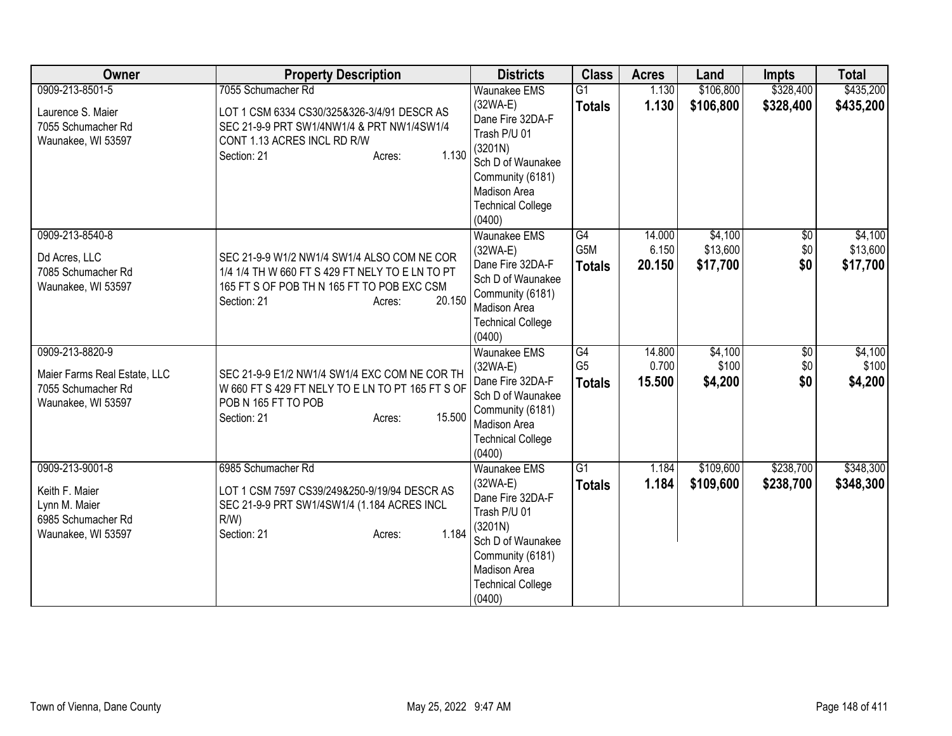| Owner                                                                                          | <b>Property Description</b>                                                                                                                                                     | <b>Districts</b>                                                                                                                                                         | <b>Class</b>                          | <b>Acres</b>              | Land                            | <b>Impts</b>              | <b>Total</b>                    |
|------------------------------------------------------------------------------------------------|---------------------------------------------------------------------------------------------------------------------------------------------------------------------------------|--------------------------------------------------------------------------------------------------------------------------------------------------------------------------|---------------------------------------|---------------------------|---------------------------------|---------------------------|---------------------------------|
| 0909-213-8501-5                                                                                | 7055 Schumacher Rd                                                                                                                                                              | <b>Waunakee EMS</b>                                                                                                                                                      | $\overline{G1}$                       | 1.130                     | \$106,800                       | \$328,400                 | \$435,200                       |
| Laurence S. Maier<br>7055 Schumacher Rd<br>Waunakee, WI 53597                                  | LOT 1 CSM 6334 CS30/325&326-3/4/91 DESCR AS<br>SEC 21-9-9 PRT SW1/4NW1/4 & PRT NW1/4SW1/4<br>CONT 1.13 ACRES INCL RD R/W<br>1.130<br>Section: 21<br>Acres:                      | $(32WA-E)$<br>Dane Fire 32DA-F<br>Trash P/U 01<br>(3201N)<br>Sch D of Waunakee<br>Community (6181)<br>Madison Area<br><b>Technical College</b><br>(0400)                 | <b>Totals</b>                         | 1.130                     | \$106,800                       | \$328,400                 | \$435,200                       |
| 0909-213-8540-8<br>Dd Acres, LLC<br>7085 Schumacher Rd<br>Waunakee, WI 53597                   | SEC 21-9-9 W1/2 NW1/4 SW1/4 ALSO COM NE COR<br>1/4 1/4 TH W 660 FT S 429 FT NELY TO E LN TO PT<br>165 FT S OF POB TH N 165 FT TO POB EXC CSM<br>Section: 21<br>20.150<br>Acres: | Waunakee EMS<br>$(32WA-E)$<br>Dane Fire 32DA-F<br>Sch D of Waunakee<br>Community (6181)<br>Madison Area<br><b>Technical College</b><br>(0400)                            | G4<br>G5M<br><b>Totals</b>            | 14.000<br>6.150<br>20.150 | \$4,100<br>\$13,600<br>\$17,700 | $\sqrt{$0}$<br>\$0<br>\$0 | \$4,100<br>\$13,600<br>\$17,700 |
| 0909-213-8820-9<br>Maier Farms Real Estate, LLC<br>7055 Schumacher Rd<br>Waunakee, WI 53597    | SEC 21-9-9 E1/2 NW1/4 SW1/4 EXC COM NE COR TH<br>W 660 FT S 429 FT NELY TO E LN TO PT 165 FT S OF<br>POB N 165 FT TO POB<br>15.500<br>Section: 21<br>Acres:                     | <b>Waunakee EMS</b><br>$(32WA-E)$<br>Dane Fire 32DA-F<br>Sch D of Waunakee<br>Community (6181)<br>Madison Area<br><b>Technical College</b><br>(0400)                     | G4<br>G <sub>5</sub><br><b>Totals</b> | 14.800<br>0.700<br>15.500 | \$4,100<br>\$100<br>\$4,200     | \$0<br>\$0<br>\$0         | \$4,100<br>\$100<br>\$4,200     |
| 0909-213-9001-8<br>Keith F. Maier<br>Lynn M. Maier<br>6985 Schumacher Rd<br>Waunakee, WI 53597 | 6985 Schumacher Rd<br>LOT 1 CSM 7597 CS39/249&250-9/19/94 DESCR AS<br>SEC 21-9-9 PRT SW1/4SW1/4 (1.184 ACRES INCL<br>$R/W$ )<br>1.184<br>Section: 21<br>Acres:                  | Waunakee EMS<br>$(32WA-E)$<br>Dane Fire 32DA-F<br>Trash P/U 01<br>(3201N)<br>Sch D of Waunakee<br>Community (6181)<br>Madison Area<br><b>Technical College</b><br>(0400) | $\overline{G1}$<br><b>Totals</b>      | 1.184<br>1.184            | \$109,600<br>\$109,600          | \$238,700<br>\$238,700    | \$348,300<br>\$348,300          |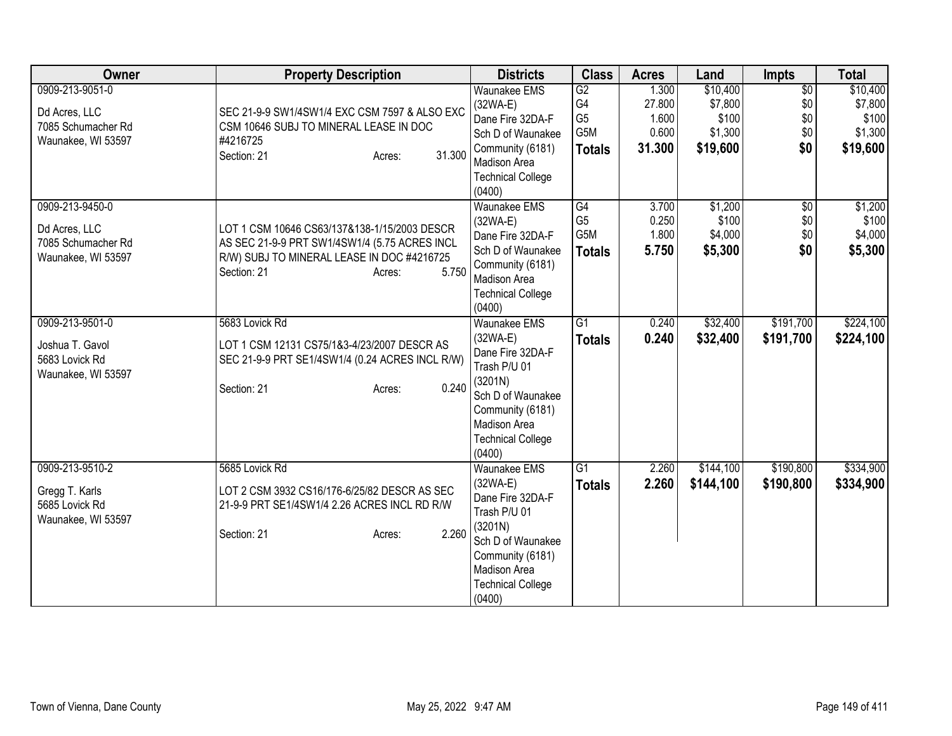| Owner                                    | <b>Property Description</b>                        | <b>Districts</b>                   | <b>Class</b>         | <b>Acres</b>    | Land                | <b>Impts</b>           | <b>Total</b>        |
|------------------------------------------|----------------------------------------------------|------------------------------------|----------------------|-----------------|---------------------|------------------------|---------------------|
| 0909-213-9051-0                          |                                                    | <b>Waunakee EMS</b><br>(32WA-E)    | G2<br>G <sub>4</sub> | 1.300<br>27.800 | \$10,400<br>\$7,800 | $\overline{50}$<br>\$0 | \$10,400<br>\$7,800 |
| Dd Acres, LLC                            | SEC 21-9-9 SW1/4SW1/4 EXC CSM 7597 & ALSO EXC      | Dane Fire 32DA-F                   | G <sub>5</sub>       | 1.600           | \$100               | \$0                    | \$100               |
| 7085 Schumacher Rd<br>Waunakee, WI 53597 | CSM 10646 SUBJ TO MINERAL LEASE IN DOC<br>#4216725 | Sch D of Waunakee                  | G5M                  | 0.600           | \$1,300             | \$0                    | \$1,300             |
|                                          | 31.300<br>Section: 21<br>Acres:                    | Community (6181)                   | <b>Totals</b>        | 31.300          | \$19,600            | \$0                    | \$19,600            |
|                                          |                                                    | Madison Area                       |                      |                 |                     |                        |                     |
|                                          |                                                    | <b>Technical College</b><br>(0400) |                      |                 |                     |                        |                     |
| 0909-213-9450-0                          |                                                    | <b>Waunakee EMS</b>                | G4                   | 3.700           | \$1,200             | $\sqrt{$0}$            | \$1,200             |
| Dd Acres, LLC                            | LOT 1 CSM 10646 CS63/137&138-1/15/2003 DESCR       | $(32WA-E)$                         | G <sub>5</sub>       | 0.250           | \$100               | \$0                    | \$100               |
| 7085 Schumacher Rd                       | AS SEC 21-9-9 PRT SW1/4SW1/4 (5.75 ACRES INCL      | Dane Fire 32DA-F                   | G5M                  | 1.800           | \$4,000             | \$0                    | \$4,000             |
| Waunakee, WI 53597                       | R/W) SUBJ TO MINERAL LEASE IN DOC #4216725         | Sch D of Waunakee                  | <b>Totals</b>        | 5.750           | \$5,300             | \$0                    | \$5,300             |
|                                          | Section: 21<br>5.750<br>Acres:                     | Community (6181)<br>Madison Area   |                      |                 |                     |                        |                     |
|                                          |                                                    | <b>Technical College</b>           |                      |                 |                     |                        |                     |
|                                          |                                                    | (0400)                             |                      |                 |                     |                        |                     |
| 0909-213-9501-0                          | 5683 Lovick Rd                                     | Waunakee EMS                       | G1                   | 0.240           | \$32,400            | \$191,700              | \$224,100           |
|                                          |                                                    | $(32WA-E)$                         | <b>Totals</b>        | 0.240           | \$32,400            | \$191,700              | \$224,100           |
| Joshua T. Gavol                          | LOT 1 CSM 12131 CS75/1&3-4/23/2007 DESCR AS        | Dane Fire 32DA-F                   |                      |                 |                     |                        |                     |
| 5683 Lovick Rd<br>Waunakee, WI 53597     | SEC 21-9-9 PRT SE1/4SW1/4 (0.24 ACRES INCL R/W)    | Trash P/U 01                       |                      |                 |                     |                        |                     |
|                                          | 0.240<br>Section: 21<br>Acres:                     | (3201N)                            |                      |                 |                     |                        |                     |
|                                          |                                                    | Sch D of Waunakee                  |                      |                 |                     |                        |                     |
|                                          |                                                    | Community (6181)                   |                      |                 |                     |                        |                     |
|                                          |                                                    | Madison Area                       |                      |                 |                     |                        |                     |
|                                          |                                                    | <b>Technical College</b><br>(0400) |                      |                 |                     |                        |                     |
| 0909-213-9510-2                          | 5685 Lovick Rd                                     | Waunakee EMS                       | G1                   | 2.260           | \$144,100           | \$190,800              | \$334,900           |
|                                          |                                                    | $(32WA-E)$                         | <b>Totals</b>        | 2.260           | \$144,100           | \$190,800              | \$334,900           |
| Gregg T. Karls                           | LOT 2 CSM 3932 CS16/176-6/25/82 DESCR AS SEC       | Dane Fire 32DA-F                   |                      |                 |                     |                        |                     |
| 5685 Lovick Rd                           | 21-9-9 PRT SE1/4SW1/4 2.26 ACRES INCL RD R/W       | Trash P/U 01                       |                      |                 |                     |                        |                     |
| Waunakee, WI 53597                       |                                                    | (3201N)                            |                      |                 |                     |                        |                     |
|                                          | 2.260<br>Section: 21<br>Acres:                     | Sch D of Waunakee                  |                      |                 |                     |                        |                     |
|                                          |                                                    | Community (6181)                   |                      |                 |                     |                        |                     |
|                                          |                                                    | Madison Area                       |                      |                 |                     |                        |                     |
|                                          |                                                    | <b>Technical College</b>           |                      |                 |                     |                        |                     |
|                                          |                                                    | (0400)                             |                      |                 |                     |                        |                     |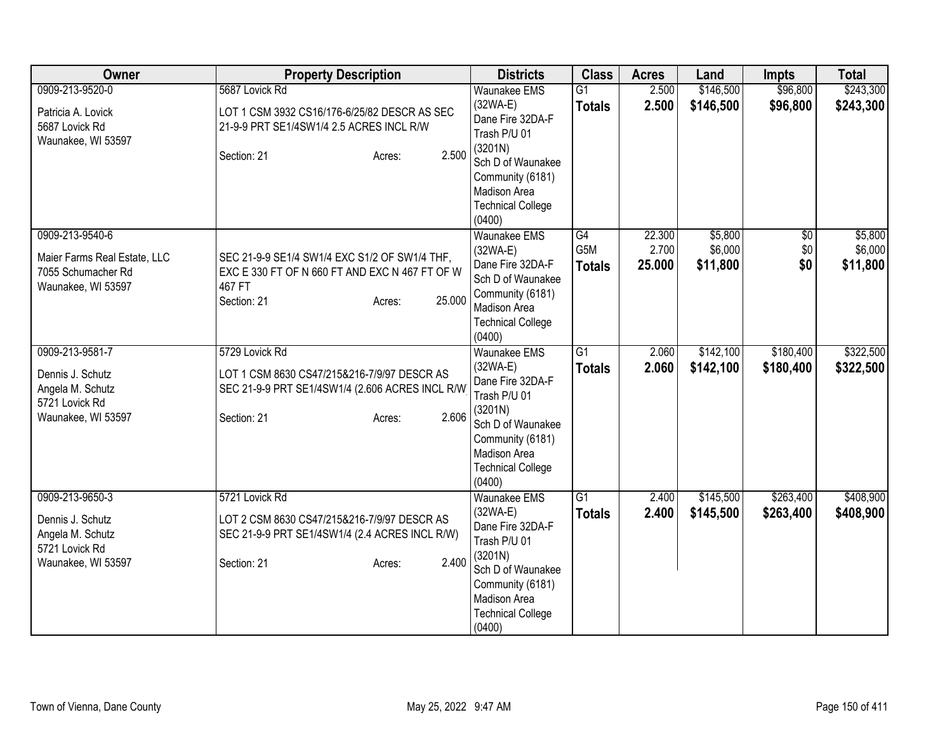| Owner                                                                                           | <b>Property Description</b>                                                                                                                        | <b>Districts</b>                                                                                                                                                                | <b>Class</b>                     | <b>Acres</b>              | Land                           | <b>Impts</b>                  | <b>Total</b>                   |
|-------------------------------------------------------------------------------------------------|----------------------------------------------------------------------------------------------------------------------------------------------------|---------------------------------------------------------------------------------------------------------------------------------------------------------------------------------|----------------------------------|---------------------------|--------------------------------|-------------------------------|--------------------------------|
| 0909-213-9520-0<br>Patricia A. Lovick<br>5687 Lovick Rd<br>Waunakee, WI 53597                   | 5687 Lovick Rd<br>LOT 1 CSM 3932 CS16/176-6/25/82 DESCR AS SEC<br>21-9-9 PRT SE1/4SW1/4 2.5 ACRES INCL R/W<br>2.500<br>Section: 21<br>Acres:       | <b>Waunakee EMS</b><br>$(32WA-E)$<br>Dane Fire 32DA-F<br>Trash P/U 01<br>(3201N)<br>Sch D of Waunakee<br>Community (6181)<br>Madison Area<br><b>Technical College</b><br>(0400) | $\overline{G1}$<br><b>Totals</b> | 2.500<br>2.500            | \$146,500<br>\$146,500         | \$96,800<br>\$96,800          | \$243,300<br>\$243,300         |
| 0909-213-9540-6<br>Maier Farms Real Estate, LLC<br>7055 Schumacher Rd<br>Waunakee, WI 53597     | SEC 21-9-9 SE1/4 SW1/4 EXC S1/2 OF SW1/4 THF,<br>EXC E 330 FT OF N 660 FT AND EXC N 467 FT OF W<br>467 FT<br>25.000<br>Section: 21<br>Acres:       | <b>Waunakee EMS</b><br>$(32WA-E)$<br>Dane Fire 32DA-F<br>Sch D of Waunakee<br>Community (6181)<br>Madison Area<br><b>Technical College</b><br>(0400)                            | G4<br>G5M<br><b>Totals</b>       | 22.300<br>2.700<br>25.000 | \$5,800<br>\$6,000<br>\$11,800 | $\overline{60}$<br>\$0<br>\$0 | \$5,800<br>\$6,000<br>\$11,800 |
| 0909-213-9581-7<br>Dennis J. Schutz<br>Angela M. Schutz<br>5721 Lovick Rd<br>Waunakee, WI 53597 | 5729 Lovick Rd<br>LOT 1 CSM 8630 CS47/215&216-7/9/97 DESCR AS<br>SEC 21-9-9 PRT SE1/4SW1/4 (2.606 ACRES INCL R/W<br>2.606<br>Section: 21<br>Acres: | Waunakee EMS<br>$(32WA-E)$<br>Dane Fire 32DA-F<br>Trash P/U 01<br>(3201N)<br>Sch D of Waunakee<br>Community (6181)<br>Madison Area<br><b>Technical College</b><br>(0400)        | $\overline{G1}$<br><b>Totals</b> | 2.060<br>2.060            | \$142,100<br>\$142,100         | \$180,400<br>\$180,400        | \$322,500<br>\$322,500         |
| 0909-213-9650-3<br>Dennis J. Schutz<br>Angela M. Schutz<br>5721 Lovick Rd<br>Waunakee, WI 53597 | 5721 Lovick Rd<br>LOT 2 CSM 8630 CS47/215&216-7/9/97 DESCR AS<br>SEC 21-9-9 PRT SE1/4SW1/4 (2.4 ACRES INCL R/W)<br>2.400<br>Section: 21<br>Acres:  | Waunakee EMS<br>$(32WA-E)$<br>Dane Fire 32DA-F<br>Trash P/U 01<br>(3201N)<br>Sch D of Waunakee<br>Community (6181)<br>Madison Area<br><b>Technical College</b><br>(0400)        | $\overline{G1}$<br><b>Totals</b> | 2.400<br>2.400            | \$145,500<br>\$145,500         | \$263,400<br>\$263,400        | \$408,900<br>\$408,900         |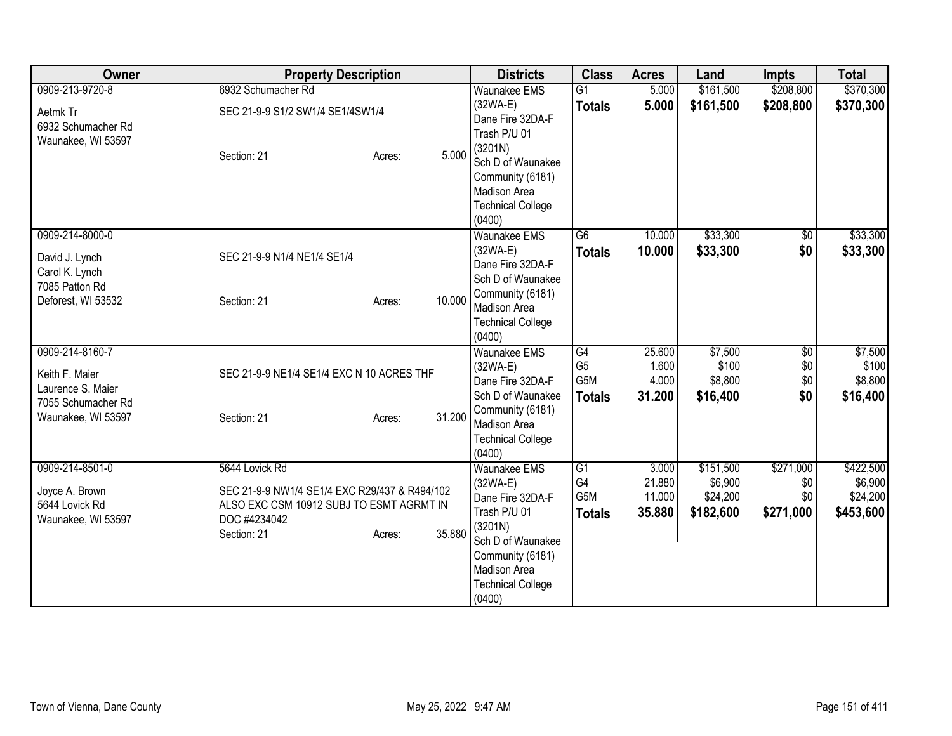| Owner                                                                                       | <b>Property Description</b>                                                                                                                |                  | <b>Districts</b>                                                                                                                                                         | <b>Class</b>                                               | <b>Acres</b>                        | Land                                          | <b>Impts</b>                         | <b>Total</b>                                  |
|---------------------------------------------------------------------------------------------|--------------------------------------------------------------------------------------------------------------------------------------------|------------------|--------------------------------------------------------------------------------------------------------------------------------------------------------------------------|------------------------------------------------------------|-------------------------------------|-----------------------------------------------|--------------------------------------|-----------------------------------------------|
| 0909-213-9720-8                                                                             | 6932 Schumacher Rd                                                                                                                         |                  | <b>Waunakee EMS</b>                                                                                                                                                      | $\overline{G1}$                                            | 5.000                               | \$161,500                                     | \$208,800                            | \$370,300                                     |
| Aetmk Tr<br>6932 Schumacher Rd                                                              | SEC 21-9-9 S1/2 SW1/4 SE1/4SW1/4                                                                                                           |                  | $(32WA-E)$<br>Dane Fire 32DA-F<br>Trash P/U 01                                                                                                                           | <b>Totals</b>                                              | 5.000                               | \$161,500                                     | \$208,800                            | \$370,300                                     |
| Waunakee, WI 53597                                                                          | Section: 21                                                                                                                                | 5.000<br>Acres:  | (3201N)<br>Sch D of Waunakee<br>Community (6181)<br>Madison Area<br><b>Technical College</b><br>(0400)                                                                   |                                                            |                                     |                                               |                                      |                                               |
| 0909-214-8000-0<br>David J. Lynch<br>Carol K. Lynch<br>7085 Patton Rd<br>Deforest, WI 53532 | SEC 21-9-9 N1/4 NE1/4 SE1/4<br>Section: 21                                                                                                 | 10.000<br>Acres: | <b>Waunakee EMS</b><br>$(32WA-E)$<br>Dane Fire 32DA-F<br>Sch D of Waunakee<br>Community (6181)<br>Madison Area                                                           | $\overline{G6}$<br><b>Totals</b>                           | 10.000<br>10.000                    | \$33,300<br>\$33,300                          | $\sqrt{6}$<br>\$0                    | \$33,300<br>\$33,300                          |
| 0909-214-8160-7<br>Keith F. Maier<br>Laurence S. Maier                                      | SEC 21-9-9 NE1/4 SE1/4 EXC N 10 ACRES THF                                                                                                  |                  | <b>Technical College</b><br>(0400)<br><b>Waunakee EMS</b><br>$(32WA-E)$<br>Dane Fire 32DA-F                                                                              | G4<br>G <sub>5</sub><br>G5M                                | 25.600<br>1.600<br>4.000            | \$7,500<br>\$100<br>\$8,800                   | \$0<br>\$0<br>\$0                    | \$7,500<br>\$100<br>\$8,800                   |
| 7055 Schumacher Rd<br>Waunakee, WI 53597                                                    | Section: 21                                                                                                                                | 31.200<br>Acres: | Sch D of Waunakee<br>Community (6181)<br>Madison Area<br><b>Technical College</b><br>(0400)                                                                              | <b>Totals</b>                                              | 31.200                              | \$16,400                                      | \$0                                  | \$16,400                                      |
| 0909-214-8501-0<br>Joyce A. Brown<br>5644 Lovick Rd<br>Waunakee, WI 53597                   | 5644 Lovick Rd<br>SEC 21-9-9 NW1/4 SE1/4 EXC R29/437 & R494/102<br>ALSO EXC CSM 10912 SUBJ TO ESMT AGRMT IN<br>DOC #4234042<br>Section: 21 | 35.880<br>Acres: | Waunakee EMS<br>$(32WA-E)$<br>Dane Fire 32DA-F<br>Trash P/U 01<br>(3201N)<br>Sch D of Waunakee<br>Community (6181)<br>Madison Area<br><b>Technical College</b><br>(0400) | $\overline{G1}$<br>G4<br>G <sub>5</sub> M<br><b>Totals</b> | 3.000<br>21.880<br>11.000<br>35.880 | \$151,500<br>\$6,900<br>\$24,200<br>\$182,600 | \$271,000<br>\$0<br>\$0<br>\$271,000 | \$422,500<br>\$6,900<br>\$24,200<br>\$453,600 |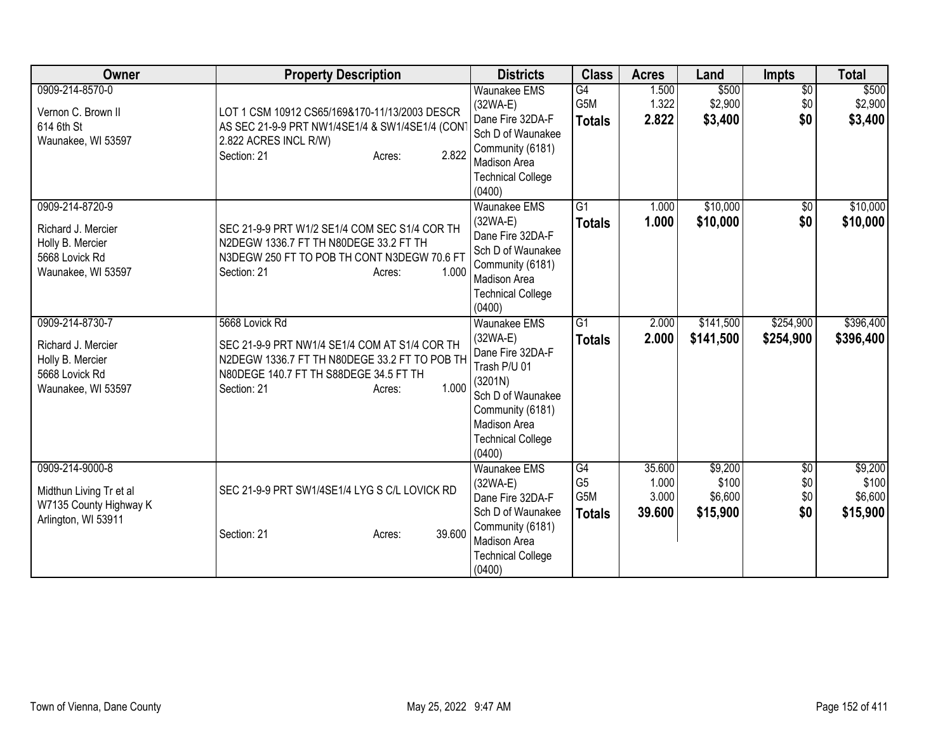| Owner                                                                                             | <b>Property Description</b>                                                                                                                                                                  | <b>Districts</b>                                                                                                                                                       | <b>Class</b>                                 | <b>Acres</b>                       | Land                                    | <b>Impts</b>                         | <b>Total</b>                            |
|---------------------------------------------------------------------------------------------------|----------------------------------------------------------------------------------------------------------------------------------------------------------------------------------------------|------------------------------------------------------------------------------------------------------------------------------------------------------------------------|----------------------------------------------|------------------------------------|-----------------------------------------|--------------------------------------|-----------------------------------------|
| 0909-214-8570-0<br>Vernon C. Brown II<br>614 6th St<br>Waunakee, WI 53597                         | LOT 1 CSM 10912 CS65/169&170-11/13/2003 DESCR<br>AS SEC 21-9-9 PRT NW1/4SE1/4 & SW1/4SE1/4 (CON<br>2.822 ACRES INCL R/W)<br>2.822<br>Section: 21<br>Acres:                                   | Waunakee EMS<br>$(32WA-E)$<br>Dane Fire 32DA-F<br>Sch D of Waunakee<br>Community (6181)<br><b>Madison Area</b><br><b>Technical College</b><br>(0400)                   | G4<br>G5M<br><b>Totals</b>                   | 1.500<br>1.322<br>2.822            | \$500<br>\$2,900<br>\$3,400             | $\overline{60}$<br>\$0<br>\$0        | \$500<br>\$2,900<br>\$3,400             |
| 0909-214-8720-9<br>Richard J. Mercier<br>Holly B. Mercier<br>5668 Lovick Rd<br>Waunakee, WI 53597 | SEC 21-9-9 PRT W1/2 SE1/4 COM SEC S1/4 COR TH<br>N2DEGW 1336.7 FT TH N80DEGE 33.2 FT TH<br>N3DEGW 250 FT TO POB TH CONT N3DEGW 70.6 FT<br>1.000<br>Section: 21<br>Acres:                     | <b>Waunakee EMS</b><br>$(32WA-E)$<br>Dane Fire 32DA-F<br>Sch D of Waunakee<br>Community (6181)<br>Madison Area<br><b>Technical College</b><br>(0400)                   | $\overline{G1}$<br><b>Totals</b>             | 1.000<br>1.000                     | \$10,000<br>\$10,000                    | $\sqrt{6}$<br>\$0                    | \$10,000<br>\$10,000                    |
| 0909-214-8730-7<br>Richard J. Mercier<br>Holly B. Mercier<br>5668 Lovick Rd<br>Waunakee, WI 53597 | 5668 Lovick Rd<br>SEC 21-9-9 PRT NW1/4 SE1/4 COM AT S1/4 COR TH<br>N2DEGW 1336.7 FT TH N80DEGE 33.2 FT TO POB TH<br>N80DEGE 140.7 FT TH S88DEGE 34.5 FT TH<br>1.000<br>Section: 21<br>Acres: | Waunakee EMS<br>(32WA-E)<br>Dane Fire 32DA-F<br>Trash P/U 01<br>(3201N)<br>Sch D of Waunakee<br>Community (6181)<br>Madison Area<br><b>Technical College</b><br>(0400) | G1<br><b>Totals</b>                          | 2.000<br>2.000                     | \$141,500<br>\$141,500                  | \$254,900<br>\$254,900               | \$396,400<br>\$396,400                  |
| 0909-214-9000-8<br>Midthun Living Tr et al<br>W7135 County Highway K<br>Arlington, WI 53911       | SEC 21-9-9 PRT SW1/4SE1/4 LYG S C/L LOVICK RD<br>39.600<br>Section: 21<br>Acres:                                                                                                             | <b>Waunakee EMS</b><br>$(32WA-E)$<br>Dane Fire 32DA-F<br>Sch D of Waunakee<br>Community (6181)<br>Madison Area<br><b>Technical College</b><br>(0400)                   | G4<br>G <sub>5</sub><br>G5M<br><b>Totals</b> | 35.600<br>1.000<br>3.000<br>39.600 | \$9,200<br>\$100<br>\$6,600<br>\$15,900 | $\overline{50}$<br>\$0<br>\$0<br>\$0 | \$9,200<br>\$100<br>\$6,600<br>\$15,900 |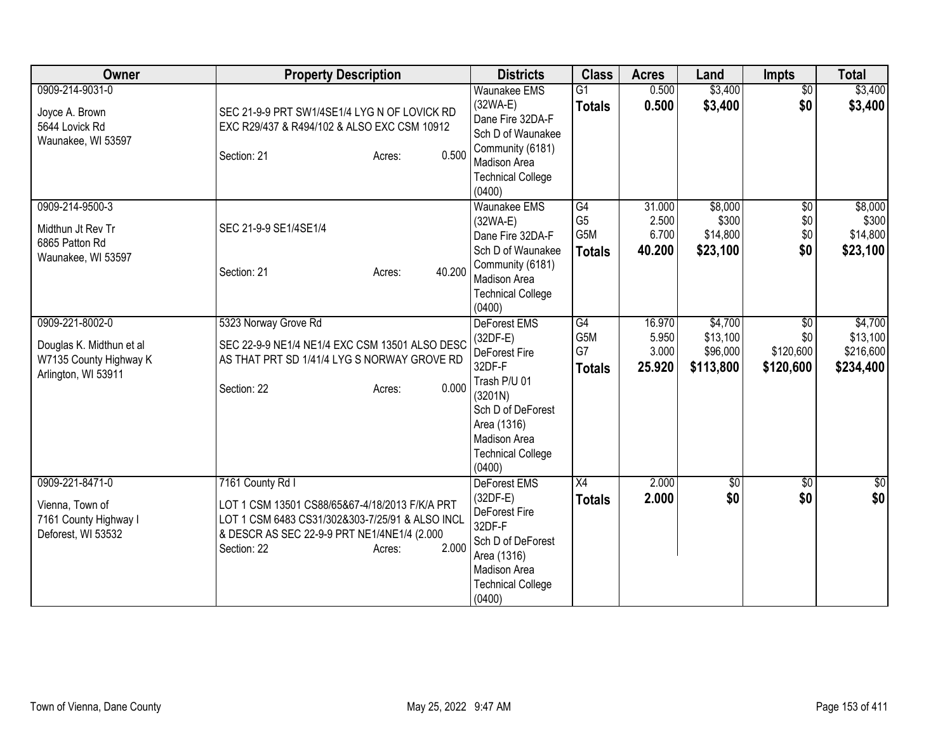| Owner                                                                                        | <b>Property Description</b>                                                                                                                                                                            | <b>Districts</b>                                                                                                                                                                         | <b>Class</b>                                 | <b>Acres</b>                       | Land                                         | <b>Impts</b>                                     | <b>Total</b>                                  |
|----------------------------------------------------------------------------------------------|--------------------------------------------------------------------------------------------------------------------------------------------------------------------------------------------------------|------------------------------------------------------------------------------------------------------------------------------------------------------------------------------------------|----------------------------------------------|------------------------------------|----------------------------------------------|--------------------------------------------------|-----------------------------------------------|
| 0909-214-9031-0<br>Joyce A. Brown<br>5644 Lovick Rd<br>Waunakee, WI 53597                    | SEC 21-9-9 PRT SW1/4SE1/4 LYG N OF LOVICK RD<br>EXC R29/437 & R494/102 & ALSO EXC CSM 10912<br>0.500<br>Section: 21<br>Acres:                                                                          | <b>Waunakee EMS</b><br>$(32WA-E)$<br>Dane Fire 32DA-F<br>Sch D of Waunakee<br>Community (6181)<br>Madison Area<br><b>Technical College</b><br>(0400)                                     | $\overline{G1}$<br><b>Totals</b>             | 0.500<br>0.500                     | \$3,400<br>\$3,400                           | $\overline{50}$<br>\$0                           | \$3,400<br>\$3,400                            |
| 0909-214-9500-3<br>Midthun Jt Rev Tr<br>6865 Patton Rd<br>Waunakee, WI 53597                 | SEC 21-9-9 SE1/4SE1/4<br>40.200<br>Section: 21<br>Acres:                                                                                                                                               | Waunakee EMS<br>$(32WA-E)$<br>Dane Fire 32DA-F<br>Sch D of Waunakee<br>Community (6181)<br>Madison Area<br><b>Technical College</b><br>(0400)                                            | G4<br>G <sub>5</sub><br>G5M<br><b>Totals</b> | 31.000<br>2.500<br>6.700<br>40.200 | \$8,000<br>\$300<br>\$14,800<br>\$23,100     | $\sqrt{$0}$<br>\$0<br>\$0<br>\$0                 | \$8,000<br>\$300<br>\$14,800<br>\$23,100      |
| 0909-221-8002-0<br>Douglas K. Midthun et al<br>W7135 County Highway K<br>Arlington, WI 53911 | 5323 Norway Grove Rd<br>SEC 22-9-9 NE1/4 NE1/4 EXC CSM 13501 ALSO DESC<br>AS THAT PRT SD 1/41/4 LYG S NORWAY GROVE RD<br>0.000<br>Section: 22<br>Acres:                                                | <b>DeForest EMS</b><br>$(32DF-E)$<br>DeForest Fire<br>32DF-F<br>Trash P/U 01<br>(3201N)<br>Sch D of DeForest<br>Area (1316)<br><b>Madison Area</b><br><b>Technical College</b><br>(0400) | G4<br>G5M<br>G7<br><b>Totals</b>             | 16.970<br>5.950<br>3.000<br>25.920 | \$4,700<br>\$13,100<br>\$96,000<br>\$113,800 | $\overline{50}$<br>\$0<br>\$120,600<br>\$120,600 | \$4,700<br>\$13,100<br>\$216,600<br>\$234,400 |
| 0909-221-8471-0<br>Vienna, Town of<br>7161 County Highway I<br>Deforest, WI 53532            | 7161 County Rd I<br>LOT 1 CSM 13501 CS88/65&67-4/18/2013 F/K/A PRT<br>LOT 1 CSM 6483 CS31/302&303-7/25/91 & ALSO INCL<br>& DESCR AS SEC 22-9-9 PRT NE1/4NE1/4 (2.000<br>2.000<br>Section: 22<br>Acres: | DeForest EMS<br>$(32DF-E)$<br>DeForest Fire<br>32DF-F<br>Sch D of DeForest<br>Area (1316)<br>Madison Area<br><b>Technical College</b><br>(0400)                                          | X4<br><b>Totals</b>                          | 2.000<br>2.000                     | \$0<br>\$0                                   | $\overline{50}$<br>\$0                           | \$0<br>\$0                                    |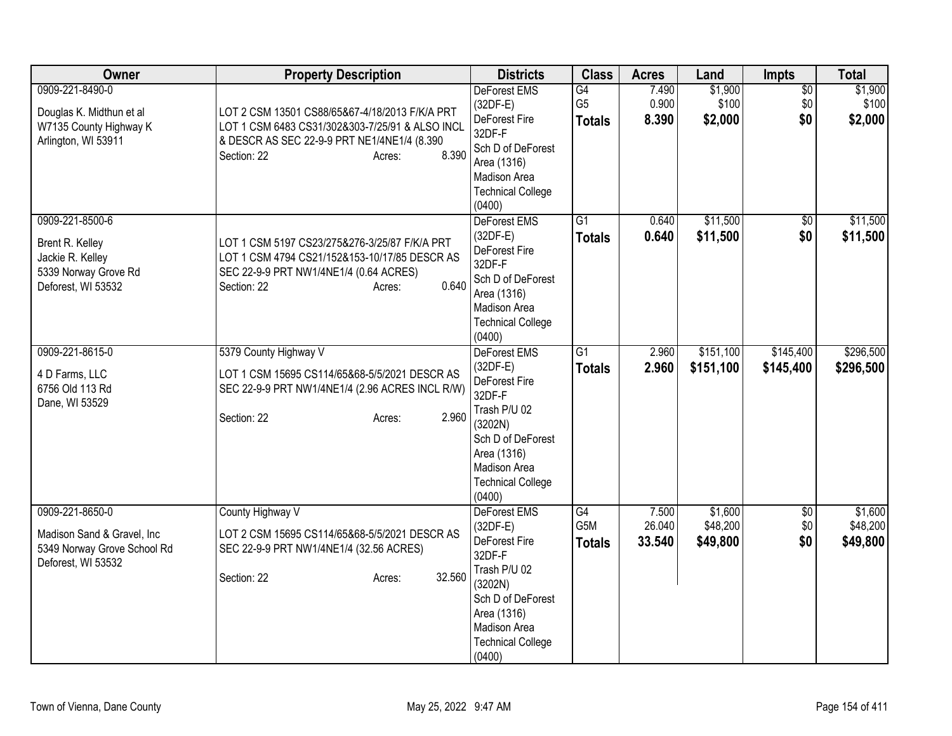| Owner                                                                                                | <b>Property Description</b>                                                                                                                                                         | <b>Districts</b>                                                                                                                                                           | <b>Class</b>                            | <b>Acres</b>              | Land                            | <b>Impts</b>                  | <b>Total</b>                    |
|------------------------------------------------------------------------------------------------------|-------------------------------------------------------------------------------------------------------------------------------------------------------------------------------------|----------------------------------------------------------------------------------------------------------------------------------------------------------------------------|-----------------------------------------|---------------------------|---------------------------------|-------------------------------|---------------------------------|
| 0909-221-8490-0<br>Douglas K. Midthun et al<br>W7135 County Highway K<br>Arlington, WI 53911         | LOT 2 CSM 13501 CS88/65&67-4/18/2013 F/K/A PRT<br>LOT 1 CSM 6483 CS31/302&303-7/25/91 & ALSO INCL<br>& DESCR AS SEC 22-9-9 PRT NE1/4NE1/4 (8.390)<br>8.390<br>Section: 22<br>Acres: | DeForest EMS<br>$(32DF-E)$<br>DeForest Fire<br>32DF-F<br>Sch D of DeForest<br>Area (1316)<br>Madison Area<br><b>Technical College</b><br>(0400)                            | G4<br>G <sub>5</sub><br><b>Totals</b>   | 7.490<br>0.900<br>8.390   | \$1,900<br>\$100<br>\$2,000     | $\overline{50}$<br>\$0<br>\$0 | \$1,900<br>\$100<br>\$2,000     |
| 0909-221-8500-6<br>Brent R. Kelley<br>Jackie R. Kelley<br>5339 Norway Grove Rd<br>Deforest, WI 53532 | LOT 1 CSM 5197 CS23/275&276-3/25/87 F/K/A PRT<br>LOT 1 CSM 4794 CS21/152&153-10/17/85 DESCR AS<br>SEC 22-9-9 PRT NW1/4NE1/4 (0.64 ACRES)<br>0.640<br>Section: 22<br>Acres:          | DeForest EMS<br>$(32DF-E)$<br>DeForest Fire<br>32DF-F<br>Sch D of DeForest<br>Area (1316)<br>Madison Area<br><b>Technical College</b><br>(0400)                            | $\overline{G1}$<br><b>Totals</b>        | 0.640<br>0.640            | \$11,500<br>\$11,500            | $\overline{50}$<br>\$0        | \$11,500<br>\$11,500            |
| 0909-221-8615-0<br>4 D Farms, LLC<br>6756 Old 113 Rd<br>Dane, WI 53529                               | 5379 County Highway V<br>LOT 1 CSM 15695 CS114/65&68-5/5/2021 DESCR AS<br>SEC 22-9-9 PRT NW1/4NE1/4 (2.96 ACRES INCL R/W)<br>2.960<br>Section: 22<br>Acres:                         | DeForest EMS<br>$(32DF-E)$<br>DeForest Fire<br>32DF-F<br>Trash P/U 02<br>(3202N)<br>Sch D of DeForest<br>Area (1316)<br>Madison Area<br><b>Technical College</b><br>(0400) | G1<br><b>Totals</b>                     | 2.960<br>2.960            | \$151,100<br>\$151,100          | \$145,400<br>\$145,400        | \$296,500<br>\$296,500          |
| 0909-221-8650-0<br>Madison Sand & Gravel, Inc.<br>5349 Norway Grove School Rd<br>Deforest, WI 53532  | County Highway V<br>LOT 2 CSM 15695 CS114/65&68-5/5/2021 DESCR AS<br>SEC 22-9-9 PRT NW1/4NE1/4 (32.56 ACRES)<br>32.560<br>Section: 22<br>Acres:                                     | DeForest EMS<br>$(32DF-E)$<br>DeForest Fire<br>32DF-F<br>Trash P/U 02<br>(3202N)<br>Sch D of DeForest<br>Area (1316)<br>Madison Area<br><b>Technical College</b><br>(0400) | G4<br>G <sub>5</sub> M<br><b>Totals</b> | 7.500<br>26.040<br>33.540 | \$1,600<br>\$48,200<br>\$49,800 | $\overline{60}$<br>\$0<br>\$0 | \$1,600<br>\$48,200<br>\$49,800 |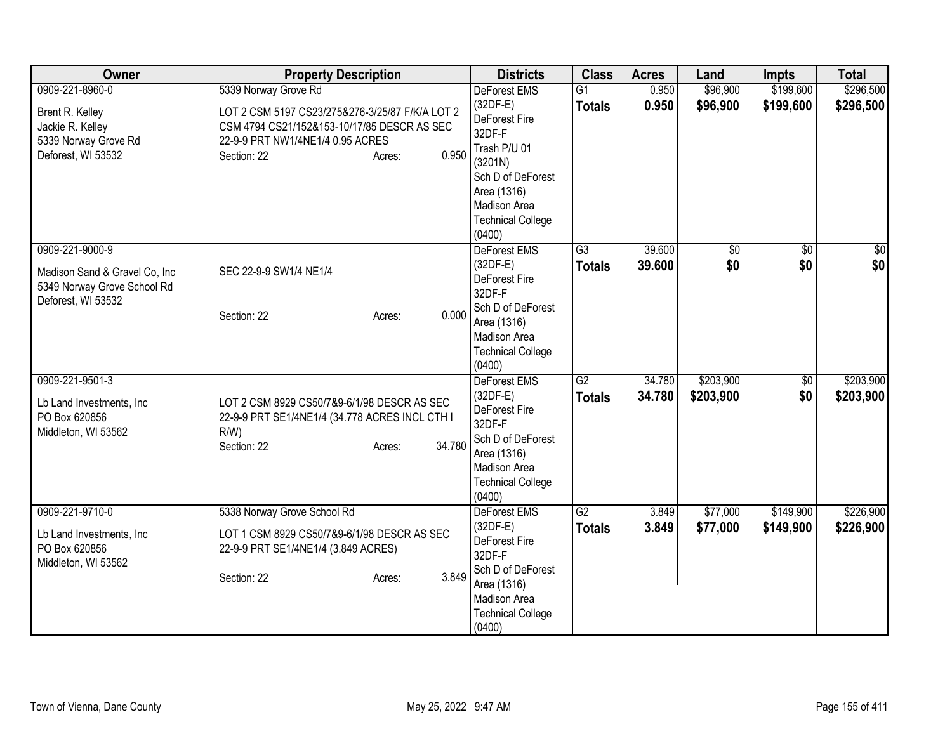| Owner                                                                                                  | <b>Property Description</b>                                                                                                                                                                  | <b>Districts</b>                                                                                                                                                           | <b>Class</b>                     | <b>Acres</b>     | Land                   | <b>Impts</b>           | <b>Total</b>           |
|--------------------------------------------------------------------------------------------------------|----------------------------------------------------------------------------------------------------------------------------------------------------------------------------------------------|----------------------------------------------------------------------------------------------------------------------------------------------------------------------------|----------------------------------|------------------|------------------------|------------------------|------------------------|
| 0909-221-8960-0<br>Brent R. Kelley<br>Jackie R. Kelley<br>5339 Norway Grove Rd<br>Deforest, WI 53532   | 5339 Norway Grove Rd<br>LOT 2 CSM 5197 CS23/275&276-3/25/87 F/K/A LOT 2<br>CSM 4794 CS21/152&153-10/17/85 DESCR AS SEC<br>22-9-9 PRT NW1/4NE1/4 0.95 ACRES<br>0.950<br>Section: 22<br>Acres: | DeForest EMS<br>$(32DF-E)$<br>DeForest Fire<br>32DF-F<br>Trash P/U 01<br>(3201N)<br>Sch D of DeForest<br>Area (1316)<br>Madison Area<br><b>Technical College</b><br>(0400) | $\overline{G1}$<br><b>Totals</b> | 0.950<br>0.950   | \$96,900<br>\$96,900   | \$199,600<br>\$199,600 | \$296,500<br>\$296,500 |
| 0909-221-9000-9<br>Madison Sand & Gravel Co, Inc.<br>5349 Norway Grove School Rd<br>Deforest, WI 53532 | SEC 22-9-9 SW1/4 NE1/4<br>0.000<br>Section: 22<br>Acres:                                                                                                                                     | DeForest EMS<br>(32DF-E)<br>DeForest Fire<br>32DF-F<br>Sch D of DeForest<br>Area (1316)<br>Madison Area<br><b>Technical College</b><br>(0400)                              | $\overline{G3}$<br><b>Totals</b> | 39.600<br>39.600 | $\sqrt{50}$<br>\$0     | $\sqrt{6}$<br>\$0      | \$0<br>\$0             |
| 0909-221-9501-3<br>Lb Land Investments, Inc.<br>PO Box 620856<br>Middleton, WI 53562                   | LOT 2 CSM 8929 CS50/7&9-6/1/98 DESCR AS SEC<br>22-9-9 PRT SE1/4NE1/4 (34.778 ACRES INCL CTH I<br>$R/W$ )<br>34.780<br>Section: 22<br>Acres:                                                  | <b>DeForest EMS</b><br>$(32DF-E)$<br>DeForest Fire<br>32DF-F<br>Sch D of DeForest<br>Area (1316)<br>Madison Area<br><b>Technical College</b><br>(0400)                     | $\overline{G2}$<br><b>Totals</b> | 34.780<br>34.780 | \$203,900<br>\$203,900 | \$0<br>\$0             | \$203,900<br>\$203,900 |
| 0909-221-9710-0<br>Lb Land Investments, Inc.<br>PO Box 620856<br>Middleton, WI 53562                   | 5338 Norway Grove School Rd<br>LOT 1 CSM 8929 CS50/7&9-6/1/98 DESCR AS SEC<br>22-9-9 PRT SE1/4NE1/4 (3.849 ACRES)<br>3.849<br>Section: 22<br>Acres:                                          | DeForest EMS<br>$(32DF-E)$<br>DeForest Fire<br>32DF-F<br>Sch D of DeForest<br>Area (1316)<br>Madison Area<br><b>Technical College</b><br>(0400)                            | $\overline{G2}$<br><b>Totals</b> | 3.849<br>3.849   | \$77,000<br>\$77,000   | \$149,900<br>\$149,900 | \$226,900<br>\$226,900 |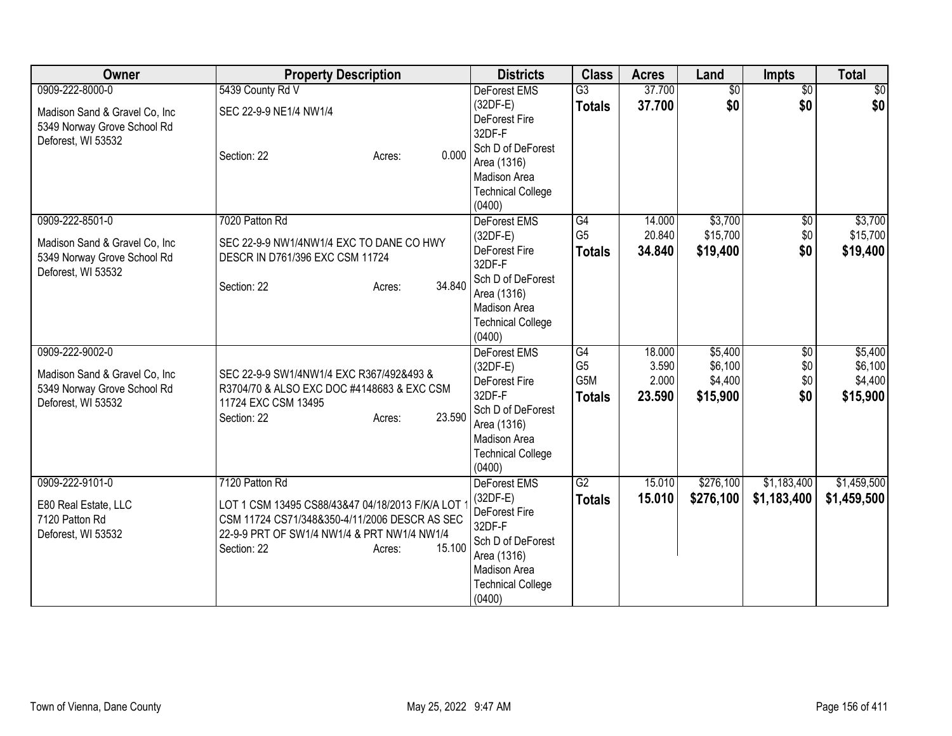| Owner                                                                                                  | <b>Property Description</b>                                                                                                                                                                          | <b>Districts</b>                                                                                                                                              | <b>Class</b>                                 | <b>Acres</b>                       | Land                                      | <b>Impts</b>                  | <b>Total</b>                              |
|--------------------------------------------------------------------------------------------------------|------------------------------------------------------------------------------------------------------------------------------------------------------------------------------------------------------|---------------------------------------------------------------------------------------------------------------------------------------------------------------|----------------------------------------------|------------------------------------|-------------------------------------------|-------------------------------|-------------------------------------------|
| 0909-222-8000-0<br>Madison Sand & Gravel Co, Inc.<br>5349 Norway Grove School Rd<br>Deforest, WI 53532 | 5439 County Rd V<br>SEC 22-9-9 NE1/4 NW1/4<br>0.000<br>Section: 22<br>Acres:                                                                                                                         | <b>DeForest EMS</b><br>$(32DF-E)$<br>DeForest Fire<br>32DF-F<br>Sch D of DeForest<br>Area (1316)<br><b>Madison Area</b><br><b>Technical College</b><br>(0400) | $\overline{G3}$<br><b>Totals</b>             | 37.700<br>37.700                   | $\overline{50}$<br>\$0                    | $\overline{50}$<br>\$0        | $\frac{1}{2}$<br>\$0                      |
| 0909-222-8501-0<br>Madison Sand & Gravel Co, Inc.<br>5349 Norway Grove School Rd<br>Deforest, WI 53532 | 7020 Patton Rd<br>SEC 22-9-9 NW1/4NW1/4 EXC TO DANE CO HWY<br>DESCR IN D761/396 EXC CSM 11724<br>34.840<br>Section: 22<br>Acres:                                                                     | DeForest EMS<br>$(32DF-E)$<br>DeForest Fire<br>32DF-F<br>Sch D of DeForest<br>Area (1316)<br><b>Madison Area</b><br><b>Technical College</b><br>(0400)        | G4<br>G <sub>5</sub><br><b>Totals</b>        | 14.000<br>20.840<br>34.840         | \$3,700<br>\$15,700<br>\$19,400           | $\overline{50}$<br>\$0<br>\$0 | \$3,700<br>\$15,700<br>\$19,400           |
| 0909-222-9002-0<br>Madison Sand & Gravel Co, Inc.<br>5349 Norway Grove School Rd<br>Deforest, WI 53532 | SEC 22-9-9 SW1/4NW1/4 EXC R367/492&493 &<br>R3704/70 & ALSO EXC DOC #4148683 & EXC CSM<br>11724 EXC CSM 13495<br>23.590<br>Section: 22<br>Acres:                                                     | <b>DeForest EMS</b><br>$(32DF-E)$<br>DeForest Fire<br>32DF-F<br>Sch D of DeForest<br>Area (1316)<br><b>Madison Area</b><br><b>Technical College</b><br>(0400) | G4<br>G <sub>5</sub><br>G5M<br><b>Totals</b> | 18.000<br>3.590<br>2.000<br>23.590 | \$5,400<br>\$6,100<br>\$4,400<br>\$15,900 | \$0<br>\$0<br>\$0<br>\$0      | \$5,400<br>\$6,100<br>\$4,400<br>\$15,900 |
| 0909-222-9101-0<br>E80 Real Estate, LLC<br>7120 Patton Rd<br>Deforest, WI 53532                        | 7120 Patton Rd<br>LOT 1 CSM 13495 CS88/43&47 04/18/2013 F/K/A LOT<br>CSM 11724 CS71/348&350-4/11/2006 DESCR AS SEC<br>22-9-9 PRT OF SW1/4 NW1/4 & PRT NW1/4 NW1/4<br>15.100<br>Section: 22<br>Acres: | <b>DeForest EMS</b><br>$(32DF-E)$<br>DeForest Fire<br>32DF-F<br>Sch D of DeForest<br>Area (1316)<br>Madison Area<br><b>Technical College</b><br>(0400)        | $\overline{G2}$<br><b>Totals</b>             | 15.010<br>15.010                   | \$276,100<br>\$276,100                    | \$1,183,400<br>\$1,183,400    | \$1,459,500<br>\$1,459,500                |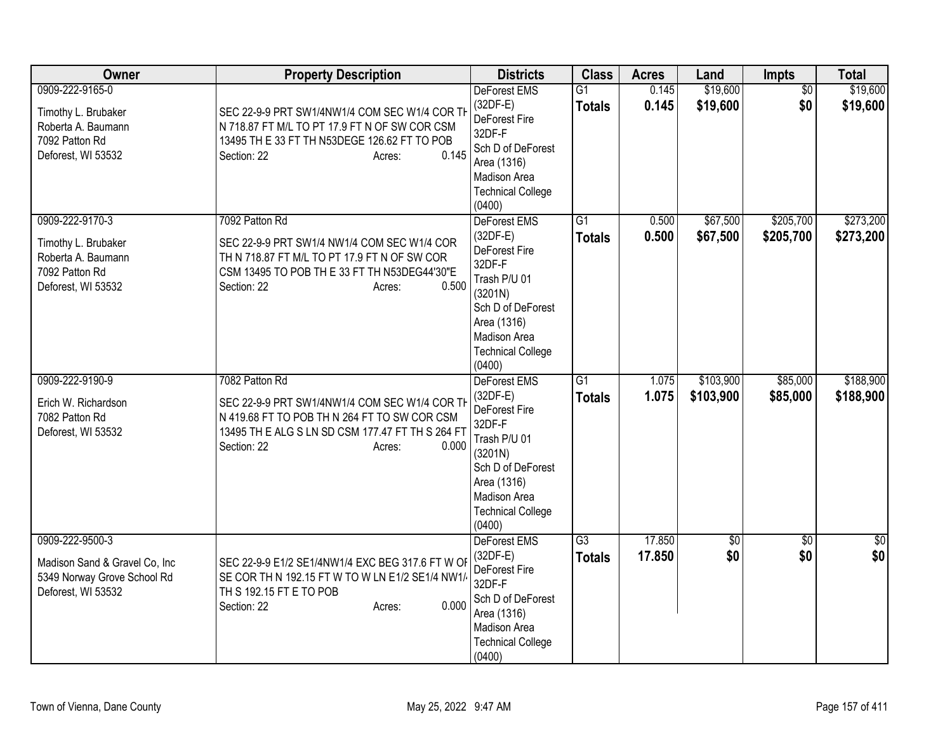| Owner                                                                                                 | <b>Property Description</b>                                                                                                                                                                           | <b>Districts</b>                                                                                                                                                           | <b>Class</b>                     | <b>Acres</b>     | Land                   | <b>Impts</b>           | <b>Total</b>           |
|-------------------------------------------------------------------------------------------------------|-------------------------------------------------------------------------------------------------------------------------------------------------------------------------------------------------------|----------------------------------------------------------------------------------------------------------------------------------------------------------------------------|----------------------------------|------------------|------------------------|------------------------|------------------------|
| 0909-222-9165-0<br>Timothy L. Brubaker<br>Roberta A. Baumann<br>7092 Patton Rd<br>Deforest, WI 53532  | SEC 22-9-9 PRT SW1/4NW1/4 COM SEC W1/4 COR TH<br>N 718.87 FT M/L TO PT 17.9 FT N OF SW COR CSM<br>13495 TH E 33 FT TH N53DEGE 126.62 FT TO POB<br>0.145<br>Section: 22<br>Acres:                      | DeForest EMS<br>$(32DF-E)$<br>DeForest Fire<br>32DF-F<br>Sch D of DeForest<br>Area (1316)<br>Madison Area<br><b>Technical College</b><br>(0400)                            | $\overline{G1}$<br><b>Totals</b> | 0.145<br>0.145   | \$19,600<br>\$19,600   | $\overline{50}$<br>\$0 | \$19,600<br>\$19,600   |
| 0909-222-9170-3<br>Timothy L. Brubaker<br>Roberta A. Baumann<br>7092 Patton Rd<br>Deforest, WI 53532  | 7092 Patton Rd<br>SEC 22-9-9 PRT SW1/4 NW1/4 COM SEC W1/4 COR<br>TH N 718.87 FT M/L TO PT 17.9 FT N OF SW COR<br>CSM 13495 TO POB TH E 33 FT TH N53DEG44'30"E<br>0.500<br>Section: 22<br>Acres:       | DeForest EMS<br>$(32DF-E)$<br>DeForest Fire<br>32DF-F<br>Trash P/U 01<br>(3201N)<br>Sch D of DeForest<br>Area (1316)<br>Madison Area<br><b>Technical College</b><br>(0400) | $\overline{G1}$<br><b>Totals</b> | 0.500<br>0.500   | \$67,500<br>\$67,500   | \$205,700<br>\$205,700 | \$273,200<br>\$273,200 |
| 0909-222-9190-9<br>Erich W. Richardson<br>7082 Patton Rd<br>Deforest, WI 53532                        | 7082 Patton Rd<br>SEC 22-9-9 PRT SW1/4NW1/4 COM SEC W1/4 COR TH<br>N 419.68 FT TO POB TH N 264 FT TO SW COR CSM<br>13495 TH E ALG S LN SD CSM 177.47 FT TH S 264 FT<br>0.000<br>Section: 22<br>Acres: | DeForest EMS<br>$(32DF-E)$<br>DeForest Fire<br>32DF-F<br>Trash P/U 01<br>(3201N)<br>Sch D of DeForest<br>Area (1316)<br>Madison Area<br><b>Technical College</b><br>(0400) | $\overline{G1}$<br><b>Totals</b> | 1.075<br>1.075   | \$103,900<br>\$103,900 | \$85,000<br>\$85,000   | \$188,900<br>\$188,900 |
| 0909-222-9500-3<br>Madison Sand & Gravel Co, Inc<br>5349 Norway Grove School Rd<br>Deforest, WI 53532 | SEC 22-9-9 E1/2 SE1/4NW1/4 EXC BEG 317.6 FT W OF<br>SE COR TH N 192.15 FT W TO W LN E1/2 SE1/4 NW1/<br>TH S 192.15 FT E TO POB<br>0.000<br>Section: 22<br>Acres:                                      | <b>DeForest EMS</b><br>$(32DF-E)$<br>DeForest Fire<br>32DF-F<br>Sch D of DeForest<br>Area (1316)<br>Madison Area<br><b>Technical College</b><br>(0400)                     | $\overline{G3}$<br><b>Totals</b> | 17.850<br>17.850 | \$0<br>\$0             | $\overline{50}$<br>\$0 | \$0<br>\$0             |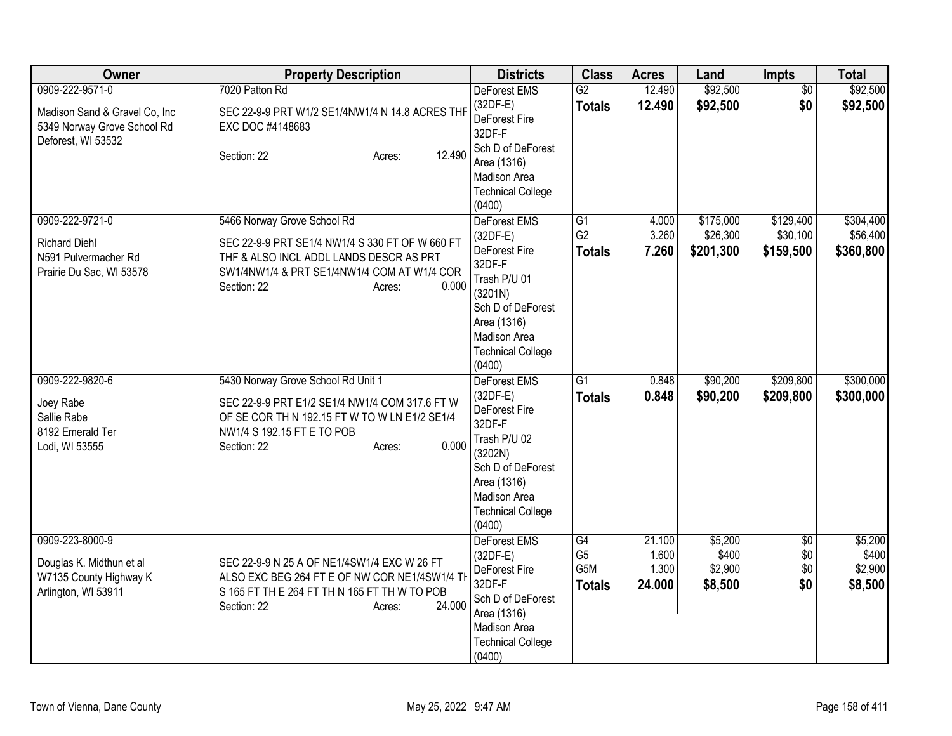| Owner                                                                                                 | <b>Property Description</b>                                                                                                                                                                                | <b>Districts</b>                                                                                                                                                                  | <b>Class</b>                                       | <b>Acres</b>                       | Land                                   | <b>Impts</b>                         | <b>Total</b>                           |
|-------------------------------------------------------------------------------------------------------|------------------------------------------------------------------------------------------------------------------------------------------------------------------------------------------------------------|-----------------------------------------------------------------------------------------------------------------------------------------------------------------------------------|----------------------------------------------------|------------------------------------|----------------------------------------|--------------------------------------|----------------------------------------|
| 0909-222-9571-0<br>Madison Sand & Gravel Co, Inc<br>5349 Norway Grove School Rd<br>Deforest, WI 53532 | 7020 Patton Rd<br>SEC 22-9-9 PRT W1/2 SE1/4NW1/4 N 14.8 ACRES THF<br>EXC DOC #4148683<br>12.490<br>Section: 22<br>Acres:                                                                                   | DeForest EMS<br>$(32DF-E)$<br>DeForest Fire<br>32DF-F<br>Sch D of DeForest<br>Area (1316)<br>Madison Area<br><b>Technical College</b><br>(0400)                                   | $\overline{G2}$<br><b>Totals</b>                   | 12.490<br>12.490                   | \$92,500<br>\$92,500                   | \$0<br>\$0                           | \$92,500<br>\$92,500                   |
| 0909-222-9721-0<br><b>Richard Diehl</b><br>N591 Pulvermacher Rd<br>Prairie Du Sac, WI 53578           | 5466 Norway Grove School Rd<br>SEC 22-9-9 PRT SE1/4 NW1/4 S 330 FT OF W 660 FT<br>THF & ALSO INCL ADDL LANDS DESCR AS PRT<br>SW1/4NW1/4 & PRT SE1/4NW1/4 COM AT W1/4 COR<br>0.000<br>Section: 22<br>Acres: | DeForest EMS<br>(32DF-E)<br>DeForest Fire<br>32DF-F<br>Trash P/U 01<br>(3201N)<br>Sch D of DeForest<br>Area (1316)<br>Madison Area<br><b>Technical College</b><br>(0400)          | $\overline{G1}$<br>G <sub>2</sub><br><b>Totals</b> | 4.000<br>3.260<br>7.260            | \$175,000<br>\$26,300<br>\$201,300     | \$129,400<br>\$30,100<br>\$159,500   | \$304,400<br>\$56,400<br>\$360,800     |
| 0909-222-9820-6<br>Joey Rabe<br>Sallie Rabe<br>8192 Emerald Ter<br>Lodi, WI 53555                     | 5430 Norway Grove School Rd Unit 1<br>SEC 22-9-9 PRT E1/2 SE1/4 NW1/4 COM 317.6 FT W<br>OF SE COR TH N 192.15 FT W TO W LN E1/2 SE1/4<br>NW1/4 S 192.15 FT E TO POB<br>0.000<br>Section: 22<br>Acres:      | <b>DeForest EMS</b><br>$(32DF-E)$<br>DeForest Fire<br>32DF-F<br>Trash P/U 02<br>(3202N)<br>Sch D of DeForest<br>Area (1316)<br>Madison Area<br><b>Technical College</b><br>(0400) | G1<br><b>Totals</b>                                | 0.848<br>0.848                     | \$90,200<br>\$90,200                   | \$209,800<br>\$209,800               | \$300,000<br>\$300,000                 |
| 0909-223-8000-9<br>Douglas K. Midthun et al<br>W7135 County Highway K<br>Arlington, WI 53911          | SEC 22-9-9 N 25 A OF NE1/4SW1/4 EXC W 26 FT<br>ALSO EXC BEG 264 FT E OF NW COR NE1/4SW1/4 TH<br>S 165 FT TH E 264 FT TH N 165 FT TH W TO POB<br>24.000<br>Section: 22<br>Acres:                            | DeForest EMS<br>$(32DF-E)$<br>DeForest Fire<br>32DF-F<br>Sch D of DeForest<br>Area (1316)<br>Madison Area<br><b>Technical College</b><br>(0400)                                   | G4<br>G <sub>5</sub><br>G5M<br><b>Totals</b>       | 21.100<br>1.600<br>1.300<br>24.000 | \$5,200<br>\$400<br>\$2,900<br>\$8,500 | $\overline{50}$<br>\$0<br>\$0<br>\$0 | \$5,200<br>\$400<br>\$2,900<br>\$8,500 |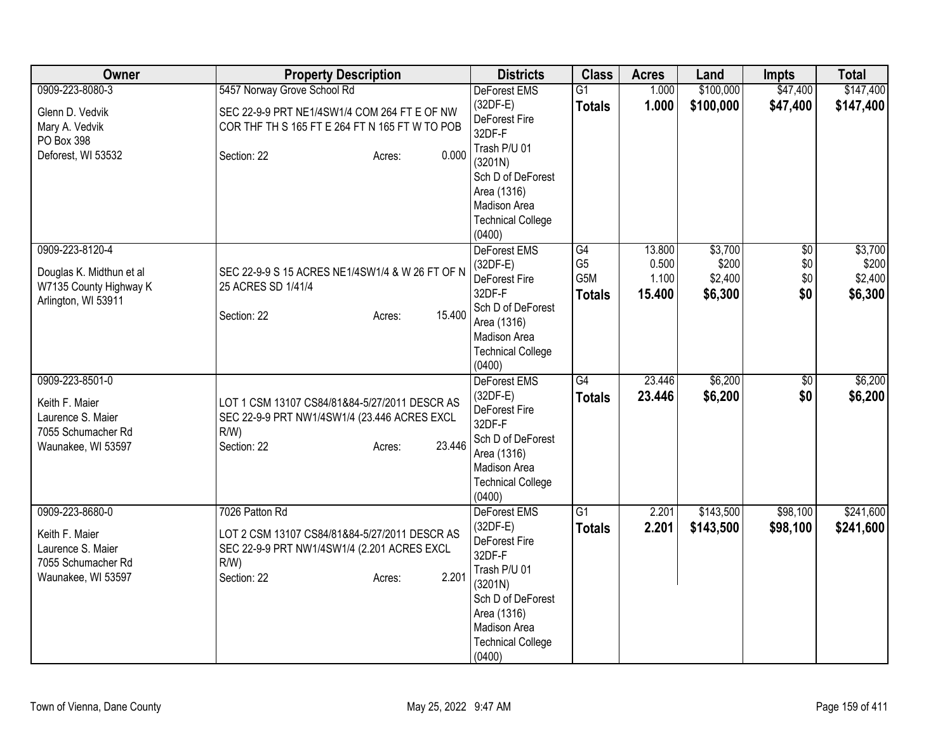| Owner                                                                                              | <b>Property Description</b>                                                                                                                                 | <b>Districts</b>                                                                                                                                                           | <b>Class</b>                                 | <b>Acres</b>                       | Land                                   | <b>Impts</b>                    | <b>Total</b>                           |
|----------------------------------------------------------------------------------------------------|-------------------------------------------------------------------------------------------------------------------------------------------------------------|----------------------------------------------------------------------------------------------------------------------------------------------------------------------------|----------------------------------------------|------------------------------------|----------------------------------------|---------------------------------|----------------------------------------|
| 0909-223-8080-3                                                                                    | 5457 Norway Grove School Rd                                                                                                                                 | <b>DeForest EMS</b>                                                                                                                                                        | $\overline{G1}$                              | 1.000                              | \$100,000                              | \$47,400                        | \$147,400                              |
| Glenn D. Vedvik<br>Mary A. Vedvik                                                                  | SEC 22-9-9 PRT NE1/4SW1/4 COM 264 FT E OF NW<br>COR THF TH S 165 FT E 264 FT N 165 FT W TO POB                                                              | $(32DF-E)$<br>DeForest Fire<br>32DF-F                                                                                                                                      | <b>Totals</b>                                | 1.000                              | \$100,000                              | \$47,400                        | \$147,400                              |
| PO Box 398<br>Deforest, WI 53532                                                                   | 0.000<br>Section: 22<br>Acres:                                                                                                                              | Trash P/U 01<br>(3201N)<br>Sch D of DeForest<br>Area (1316)<br>Madison Area<br><b>Technical College</b>                                                                    |                                              |                                    |                                        |                                 |                                        |
| 0909-223-8120-4<br>Douglas K. Midthun et al<br>W7135 County Highway K<br>Arlington, WI 53911       | SEC 22-9-9 S 15 ACRES NE1/4SW1/4 & W 26 FT OF N<br>25 ACRES SD 1/41/4<br>15.400<br>Section: 22<br>Acres:                                                    | (0400)<br>DeForest EMS<br>$(32DF-E)$<br>DeForest Fire<br>32DF-F<br>Sch D of DeForest<br>Area (1316)<br>Madison Area<br><b>Technical College</b><br>(0400)                  | G4<br>G <sub>5</sub><br>G5M<br><b>Totals</b> | 13.800<br>0.500<br>1.100<br>15.400 | \$3,700<br>\$200<br>\$2,400<br>\$6,300 | $\sqrt{6}$<br>\$0<br>\$0<br>\$0 | \$3,700<br>\$200<br>\$2,400<br>\$6,300 |
| 0909-223-8501-0<br>Keith F. Maier<br>Laurence S. Maier<br>7055 Schumacher Rd<br>Waunakee, WI 53597 | LOT 1 CSM 13107 CS84/81&84-5/27/2011 DESCR AS<br>SEC 22-9-9 PRT NW1/4SW1/4 (23.446 ACRES EXCL<br>$R/W$ )<br>23.446<br>Section: 22<br>Acres:                 | <b>DeForest EMS</b><br>$(32DF-E)$<br>DeForest Fire<br>32DF-F<br>Sch D of DeForest<br>Area (1316)<br><b>Madison Area</b><br><b>Technical College</b><br>(0400)              | $\overline{G4}$<br><b>Totals</b>             | 23.446<br>23.446                   | \$6,200<br>\$6,200                     | $\overline{50}$<br>\$0          | \$6,200<br>\$6,200                     |
| 0909-223-8680-0<br>Keith F. Maier<br>Laurence S. Maier<br>7055 Schumacher Rd<br>Waunakee, WI 53597 | 7026 Patton Rd<br>LOT 2 CSM 13107 CS84/81&84-5/27/2011 DESCR AS<br>SEC 22-9-9 PRT NW1/4SW1/4 (2.201 ACRES EXCL<br>$R/W$ )<br>2.201<br>Section: 22<br>Acres: | DeForest EMS<br>$(32DF-E)$<br>DeForest Fire<br>32DF-F<br>Trash P/U 01<br>(3201N)<br>Sch D of DeForest<br>Area (1316)<br>Madison Area<br><b>Technical College</b><br>(0400) | $\overline{G1}$<br><b>Totals</b>             | 2.201<br>2.201                     | \$143,500<br>\$143,500                 | \$98,100<br>\$98,100            | \$241,600<br>\$241,600                 |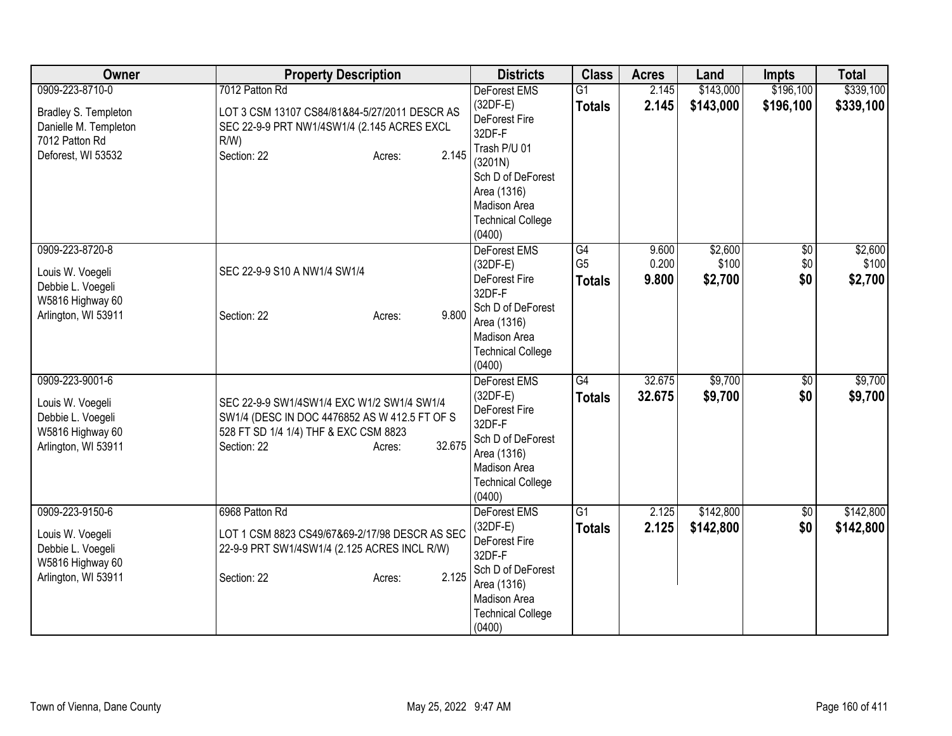| Owner                                                                                                    | <b>Property Description</b>                                                                                                                                             | <b>Districts</b>                                                                                                                                                                | <b>Class</b>                          | <b>Acres</b>            | Land                        | <b>Impts</b>             | <b>Total</b>                |
|----------------------------------------------------------------------------------------------------------|-------------------------------------------------------------------------------------------------------------------------------------------------------------------------|---------------------------------------------------------------------------------------------------------------------------------------------------------------------------------|---------------------------------------|-------------------------|-----------------------------|--------------------------|-----------------------------|
| 0909-223-8710-0<br>Bradley S. Templeton<br>Danielle M. Templeton<br>7012 Patton Rd<br>Deforest, WI 53532 | 7012 Patton Rd<br>LOT 3 CSM 13107 CS84/81&84-5/27/2011 DESCR AS<br>SEC 22-9-9 PRT NW1/4SW1/4 (2.145 ACRES EXCL<br>$R/W$ )<br>2.145<br>Section: 22<br>Acres:             | <b>DeForest EMS</b><br>(32DF-E)<br>DeForest Fire<br>32DF-F<br>Trash P/U 01<br>(3201N)<br>Sch D of DeForest<br>Area (1316)<br>Madison Area<br><b>Technical College</b><br>(0400) | $\overline{G1}$<br><b>Totals</b>      | 2.145<br>2.145          | \$143,000<br>\$143,000      | \$196,100<br>\$196,100   | \$339,100<br>\$339,100      |
| 0909-223-8720-8<br>Louis W. Voegeli<br>Debbie L. Voegeli<br>W5816 Highway 60<br>Arlington, WI 53911      | SEC 22-9-9 S10 A NW1/4 SW1/4<br>9.800<br>Section: 22<br>Acres:                                                                                                          | DeForest EMS<br>$(32DF-E)$<br>DeForest Fire<br>32DF-F<br>Sch D of DeForest<br>Area (1316)<br>Madison Area<br><b>Technical College</b><br>(0400)                                 | G4<br>G <sub>5</sub><br><b>Totals</b> | 9.600<br>0.200<br>9.800 | \$2,600<br>\$100<br>\$2,700 | $\sqrt{6}$<br>\$0<br>\$0 | \$2,600<br>\$100<br>\$2,700 |
| 0909-223-9001-6<br>Louis W. Voegeli<br>Debbie L. Voegeli<br>W5816 Highway 60<br>Arlington, WI 53911      | SEC 22-9-9 SW1/4SW1/4 EXC W1/2 SW1/4 SW1/4<br>SW1/4 (DESC IN DOC 4476852 AS W 412.5 FT OF S<br>528 FT SD 1/4 1/4) THF & EXC CSM 8823<br>32.675<br>Section: 22<br>Acres: | DeForest EMS<br>$(32DF-E)$<br>DeForest Fire<br>32DF-F<br>Sch D of DeForest<br>Area (1316)<br>Madison Area<br><b>Technical College</b><br>(0400)                                 | $\overline{G4}$<br><b>Totals</b>      | 32.675<br>32.675        | \$9,700<br>\$9,700          | \$0<br>\$0               | \$9,700<br>\$9,700          |
| 0909-223-9150-6<br>Louis W. Voegeli<br>Debbie L. Voegeli<br>W5816 Highway 60<br>Arlington, WI 53911      | 6968 Patton Rd<br>LOT 1 CSM 8823 CS49/67&69-2/17/98 DESCR AS SEC<br>22-9-9 PRT SW1/4SW1/4 (2.125 ACRES INCL R/W)<br>2.125<br>Section: 22<br>Acres:                      | <b>DeForest EMS</b><br>$(32DF-E)$<br>DeForest Fire<br>32DF-F<br>Sch D of DeForest<br>Area (1316)<br>Madison Area<br><b>Technical College</b><br>(0400)                          | G1<br><b>Totals</b>                   | 2.125<br>2.125          | \$142,800<br>\$142,800      | $\overline{60}$<br>\$0   | \$142,800<br>\$142,800      |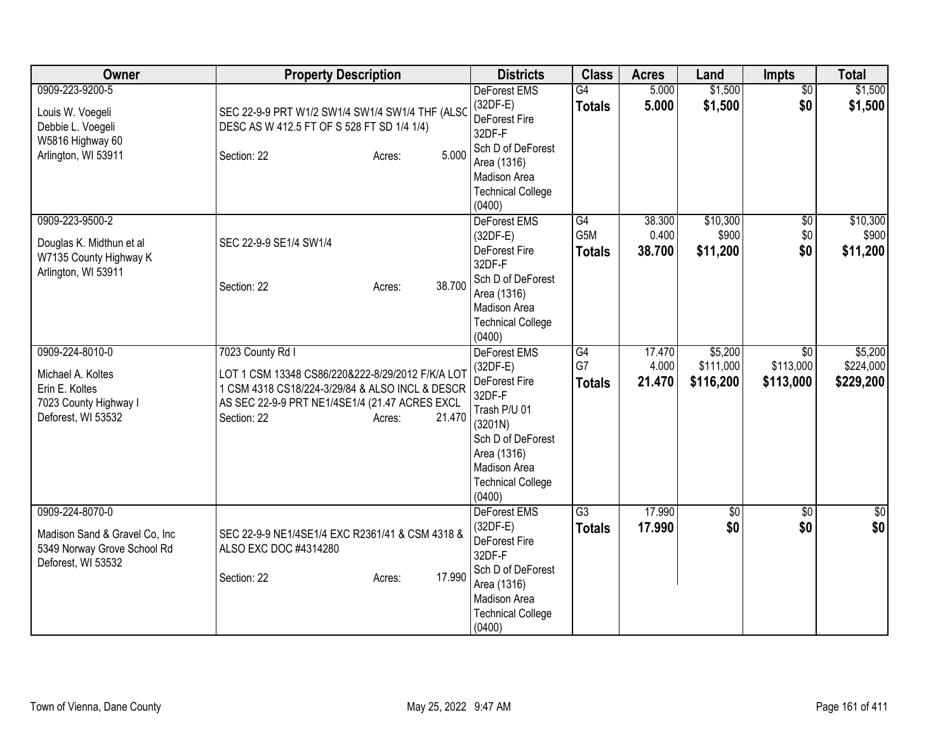| Owner                                                                                                  | <b>Property Description</b>                                                                                                                                                                                  | <b>Districts</b>                                                                                                                                                                  | <b>Class</b>               | <b>Acres</b>              | Land                              | Impts                                     | <b>Total</b>                      |
|--------------------------------------------------------------------------------------------------------|--------------------------------------------------------------------------------------------------------------------------------------------------------------------------------------------------------------|-----------------------------------------------------------------------------------------------------------------------------------------------------------------------------------|----------------------------|---------------------------|-----------------------------------|-------------------------------------------|-----------------------------------|
| 0909-223-9200-5<br>Louis W. Voegeli<br>Debbie L. Voegeli<br>W5816 Highway 60<br>Arlington, WI 53911    | SEC 22-9-9 PRT W1/2 SW1/4 SW1/4 SW1/4 THF (ALSC<br>DESC AS W 412.5 FT OF S 528 FT SD 1/4 1/4)<br>5.000<br>Section: 22<br>Acres:                                                                              | <b>DeForest EMS</b><br>$(32DF-E)$<br>DeForest Fire<br>32DF-F<br>Sch D of DeForest<br>Area (1316)<br>Madison Area<br><b>Technical College</b><br>(0400)                            | G4<br><b>Totals</b>        | 5.000<br>5.000            | \$1,500<br>\$1,500                | $\overline{50}$<br>\$0                    | \$1,500<br>\$1,500                |
| 0909-223-9500-2<br>Douglas K. Midthun et al<br>W7135 County Highway K<br>Arlington, WI 53911           | SEC 22-9-9 SE1/4 SW1/4<br>38.700<br>Section: 22<br>Acres:                                                                                                                                                    | DeForest EMS<br>$(32DF-E)$<br>DeForest Fire<br>32DF-F<br>Sch D of DeForest<br>Area (1316)<br>Madison Area<br><b>Technical College</b><br>(0400)                                   | G4<br>G5M<br><b>Totals</b> | 38.300<br>0.400<br>38.700 | \$10,300<br>\$900<br>\$11,200     | $\sqrt{6}$<br>\$0<br>\$0                  | \$10,300<br>\$900<br>\$11,200     |
| 0909-224-8010-0<br>Michael A. Koltes<br>Erin E. Koltes<br>7023 County Highway I<br>Deforest, WI 53532  | 7023 County Rd I<br>LOT 1 CSM 13348 CS86/220&222-8/29/2012 F/K/A LOT<br>1 CSM 4318 CS18/224-3/29/84 & ALSO INCL & DESCR<br>AS SEC 22-9-9 PRT NE1/4SE1/4 (21.47 ACRES EXCL<br>21.470<br>Section: 22<br>Acres: | <b>DeForest EMS</b><br>$(32DF-E)$<br>DeForest Fire<br>32DF-F<br>Trash P/U 01<br>(3201N)<br>Sch D of DeForest<br>Area (1316)<br>Madison Area<br><b>Technical College</b><br>(0400) | G4<br>G7<br><b>Totals</b>  | 17.470<br>4.000<br>21.470 | \$5,200<br>\$111,000<br>\$116,200 | $\overline{50}$<br>\$113,000<br>\$113,000 | \$5,200<br>\$224,000<br>\$229,200 |
| 0909-224-8070-0<br>Madison Sand & Gravel Co, Inc.<br>5349 Norway Grove School Rd<br>Deforest, WI 53532 | SEC 22-9-9 NE1/4SE1/4 EXC R2361/41 & CSM 4318 &<br>ALSO EXC DOC #4314280<br>17.990<br>Section: 22<br>Acres:                                                                                                  | DeForest EMS<br>$(32DF-E)$<br>DeForest Fire<br>32DF-F<br>Sch D of DeForest<br>Area (1316)<br>Madison Area<br><b>Technical College</b><br>(0400)                                   | G3<br><b>Totals</b>        | 17.990<br>17,990          | \$0 <br>\$0                       | $\overline{50}$<br>\$0                    | \$0<br>\$0                        |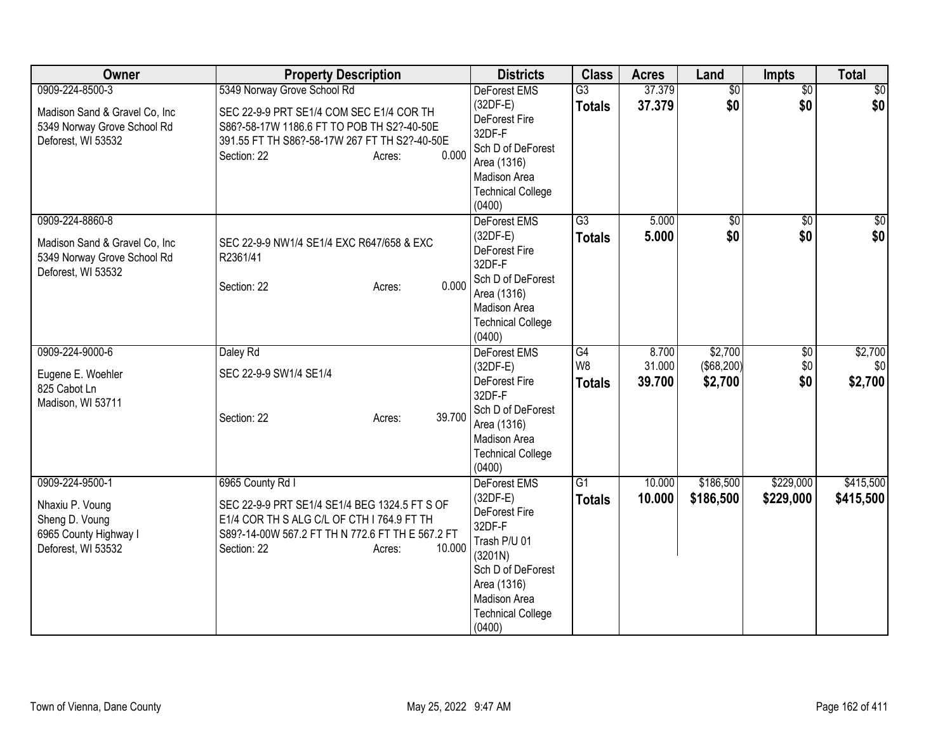| Owner                                                                                                  | <b>Property Description</b>                                                                                                                                                                              | <b>Districts</b>                                                                                                                                                                  | <b>Class</b>                          | <b>Acres</b>              | Land                                    | Impts                  | <b>Total</b>              |
|--------------------------------------------------------------------------------------------------------|----------------------------------------------------------------------------------------------------------------------------------------------------------------------------------------------------------|-----------------------------------------------------------------------------------------------------------------------------------------------------------------------------------|---------------------------------------|---------------------------|-----------------------------------------|------------------------|---------------------------|
| 0909-224-8500-3<br>Madison Sand & Gravel Co, Inc.<br>5349 Norway Grove School Rd<br>Deforest, WI 53532 | 5349 Norway Grove School Rd<br>SEC 22-9-9 PRT SE1/4 COM SEC E1/4 COR TH<br>S86?-58-17W 1186.6 FT TO POB TH S2?-40-50E<br>391.55 FT TH S86?-58-17W 267 FT TH S2?-40-50E<br>0.000<br>Section: 22<br>Acres: | <b>DeForest EMS</b><br>$(32DF-E)$<br>DeForest Fire<br>32DF-F<br>Sch D of DeForest<br>Area (1316)<br>Madison Area<br><b>Technical College</b>                                      | $\overline{G3}$<br><b>Totals</b>      | 37.379<br>37.379          | $\overline{60}$<br>\$0                  | $\overline{50}$<br>\$0 | \$0<br>\$0                |
| 0909-224-8860-8<br>Madison Sand & Gravel Co, Inc.<br>5349 Norway Grove School Rd<br>Deforest, WI 53532 | SEC 22-9-9 NW1/4 SE1/4 EXC R647/658 & EXC<br>R2361/41<br>0.000<br>Section: 22<br>Acres:                                                                                                                  | (0400)<br>DeForest EMS<br>$(32DF-E)$<br>DeForest Fire<br>32DF-F<br>Sch D of DeForest<br>Area (1316)<br>Madison Area<br><b>Technical College</b><br>(0400)                         | $\overline{G3}$<br><b>Totals</b>      | 5.000<br>5.000            | $\sqrt{50}$<br>\$0                      | $\overline{50}$<br>\$0 | $\frac{6}{3}$<br>\$0      |
| 0909-224-9000-6<br>Eugene E. Woehler<br>825 Cabot Ln<br>Madison, WI 53711                              | Daley Rd<br>SEC 22-9-9 SW1/4 SE1/4<br>39.700<br>Section: 22<br>Acres:                                                                                                                                    | <b>DeForest EMS</b><br>$(32DF-E)$<br><b>DeForest Fire</b><br>32DF-F<br>Sch D of DeForest<br>Area (1316)<br>Madison Area<br><b>Technical College</b><br>(0400)                     | G4<br>W <sub>8</sub><br><b>Totals</b> | 8.700<br>31.000<br>39.700 | \$2,700<br>$($ \$68,200) $ $<br>\$2,700 | \$0<br>\$0<br>\$0      | \$2,700<br>\$0<br>\$2,700 |
| 0909-224-9500-1<br>Nhaxiu P. Voung<br>Sheng D. Voung<br>6965 County Highway I<br>Deforest, WI 53532    | 6965 County Rd I<br>SEC 22-9-9 PRT SE1/4 SE1/4 BEG 1324.5 FT S OF<br>E1/4 COR TH S ALG C/L OF CTH I 764.9 FT TH<br>S89?-14-00W 567.2 FT TH N 772.6 FT TH E 567.2 FT<br>10.000<br>Section: 22<br>Acres:   | <b>DeForest EMS</b><br>$(32DF-E)$<br>DeForest Fire<br>32DF-F<br>Trash P/U 01<br>(3201N)<br>Sch D of DeForest<br>Area (1316)<br>Madison Area<br><b>Technical College</b><br>(0400) | G1<br><b>Totals</b>                   | 10.000<br>10.000          | \$186,500<br>\$186,500                  | \$229,000<br>\$229,000 | \$415,500<br>\$415,500    |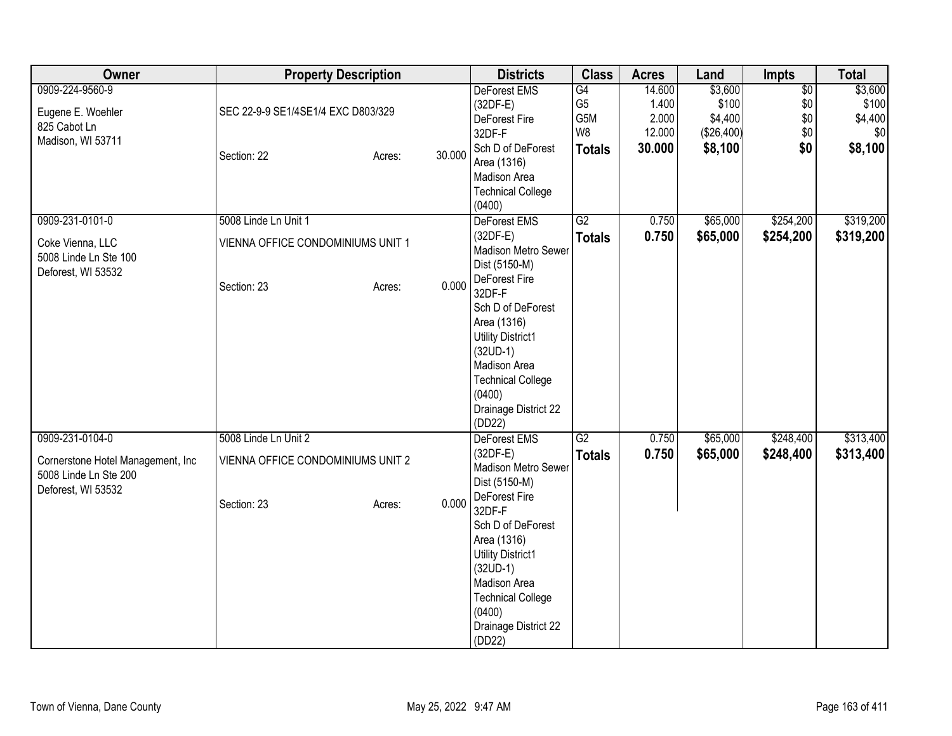| Owner                             | <b>Property Description</b>        |        | <b>Districts</b>            | <b>Class</b>   | <b>Acres</b> | Land       | <b>Impts</b>    | <b>Total</b> |
|-----------------------------------|------------------------------------|--------|-----------------------------|----------------|--------------|------------|-----------------|--------------|
| 0909-224-9560-9                   |                                    |        | DeForest EMS                | G4             | 14.600       | \$3,600    | $\overline{50}$ | \$3,600      |
| Eugene E. Woehler                 | SEC 22-9-9 SE1/4SE1/4 EXC D803/329 |        | $(32DF-E)$                  | G <sub>5</sub> | 1.400        | \$100      | \$0             | \$100        |
| 825 Cabot Ln                      |                                    |        | DeForest Fire               | G5M            | 2.000        | \$4,400    | \$0             | \$4,400      |
| Madison, WI 53711                 |                                    |        | 32DF-F                      | W8             | 12.000       | (\$26,400) | \$0             | \$0          |
|                                   | Section: 22<br>Acres:              | 30.000 | Sch D of DeForest           | <b>Totals</b>  | 30.000       | \$8,100    | \$0             | \$8,100      |
|                                   |                                    |        | Area (1316)<br>Madison Area |                |              |            |                 |              |
|                                   |                                    |        | <b>Technical College</b>    |                |              |            |                 |              |
|                                   |                                    |        | (0400)                      |                |              |            |                 |              |
| 0909-231-0101-0                   | 5008 Linde Ln Unit 1               |        | DeForest EMS                | G2             | 0.750        | \$65,000   | \$254,200       | \$319,200    |
|                                   |                                    |        | $(32DF-E)$                  | <b>Totals</b>  | 0.750        | \$65,000   | \$254,200       | \$319,200    |
| Coke Vienna, LLC                  | VIENNA OFFICE CONDOMINIUMS UNIT 1  |        | Madison Metro Sewer         |                |              |            |                 |              |
| 5008 Linde Ln Ste 100             |                                    |        | Dist (5150-M)               |                |              |            |                 |              |
| Deforest, WI 53532                |                                    |        | DeForest Fire               |                |              |            |                 |              |
|                                   | Section: 23<br>Acres:              | 0.000  | 32DF-F                      |                |              |            |                 |              |
|                                   |                                    |        | Sch D of DeForest           |                |              |            |                 |              |
|                                   |                                    |        | Area (1316)                 |                |              |            |                 |              |
|                                   |                                    |        | <b>Utility District1</b>    |                |              |            |                 |              |
|                                   |                                    |        | $(32UD-1)$                  |                |              |            |                 |              |
|                                   |                                    |        | Madison Area                |                |              |            |                 |              |
|                                   |                                    |        | <b>Technical College</b>    |                |              |            |                 |              |
|                                   |                                    |        | (0400)                      |                |              |            |                 |              |
|                                   |                                    |        | Drainage District 22        |                |              |            |                 |              |
| 0909-231-0104-0                   | 5008 Linde Ln Unit 2               |        | (DD22)<br>DeForest EMS      | G2             | 0.750        | \$65,000   | \$248,400       | \$313,400    |
|                                   |                                    |        | $(32DF-E)$                  |                | 0.750        | \$65,000   | \$248,400       | \$313,400    |
| Cornerstone Hotel Management, Inc | VIENNA OFFICE CONDOMINIUMS UNIT 2  |        | <b>Madison Metro Sewer</b>  | <b>Totals</b>  |              |            |                 |              |
| 5008 Linde Ln Ste 200             |                                    |        | Dist (5150-M)               |                |              |            |                 |              |
| Deforest, WI 53532                |                                    |        | DeForest Fire               |                |              |            |                 |              |
|                                   | Section: 23<br>Acres:              | 0.000  | 32DF-F                      |                |              |            |                 |              |
|                                   |                                    |        | Sch D of DeForest           |                |              |            |                 |              |
|                                   |                                    |        | Area (1316)                 |                |              |            |                 |              |
|                                   |                                    |        | <b>Utility District1</b>    |                |              |            |                 |              |
|                                   |                                    |        | $(32UD-1)$                  |                |              |            |                 |              |
|                                   |                                    |        | Madison Area                |                |              |            |                 |              |
|                                   |                                    |        | <b>Technical College</b>    |                |              |            |                 |              |
|                                   |                                    |        | (0400)                      |                |              |            |                 |              |
|                                   |                                    |        | Drainage District 22        |                |              |            |                 |              |
|                                   |                                    |        | (DD22)                      |                |              |            |                 |              |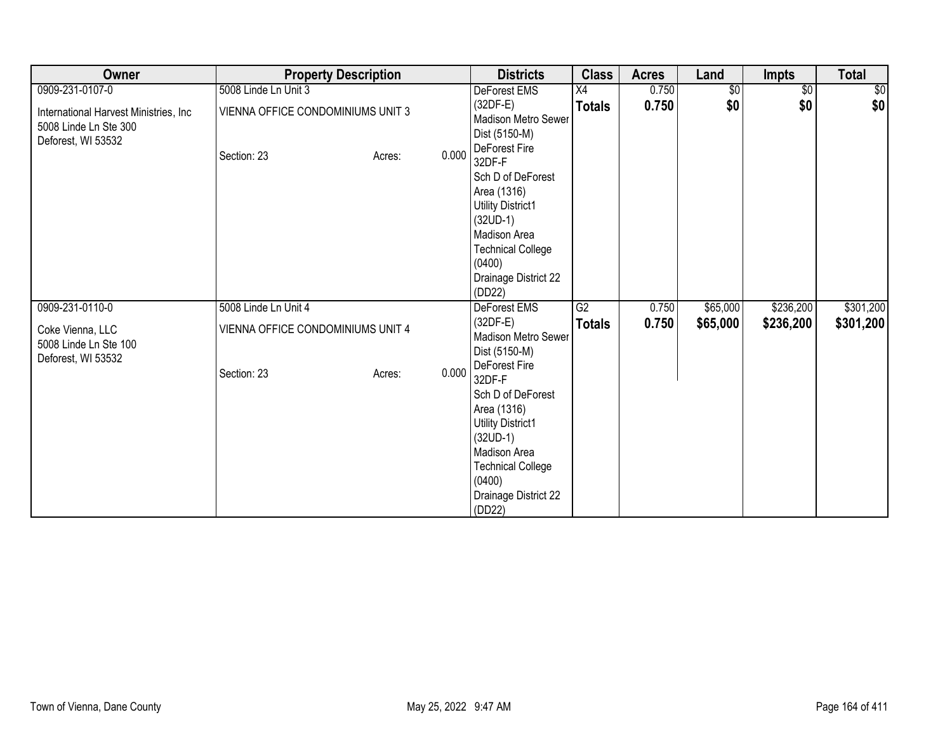| Owner                                                                                 | <b>Property Description</b>       |                 | <b>Districts</b>                                                                                                                                                                       | <b>Class</b>    | <b>Acres</b> | Land       | <b>Impts</b>    | <b>Total</b> |
|---------------------------------------------------------------------------------------|-----------------------------------|-----------------|----------------------------------------------------------------------------------------------------------------------------------------------------------------------------------------|-----------------|--------------|------------|-----------------|--------------|
| 0909-231-0107-0                                                                       | 5008 Linde Ln Unit 3              |                 | DeForest EMS                                                                                                                                                                           | X4              | 0.750        | $\sqrt{6}$ | $\overline{50}$ | $\sqrt{6}$   |
| International Harvest Ministries, Inc.<br>5008 Linde Ln Ste 300<br>Deforest, WI 53532 | VIENNA OFFICE CONDOMINIUMS UNIT 3 |                 | $(32DF-E)$<br>Madison Metro Sewer<br>Dist (5150-M)<br>DeForest Fire                                                                                                                    | <b>Totals</b>   | 0.750        | \$0        | \$0             | \$0          |
|                                                                                       | Section: 23                       | 0.000<br>Acres: | 32DF-F<br>Sch D of DeForest<br>Area (1316)<br><b>Utility District1</b><br>$(32UD-1)$<br>Madison Area<br><b>Technical College</b><br>(0400)<br>Drainage District 22<br>(DD22)           |                 |              |            |                 |              |
| 0909-231-0110-0                                                                       | 5008 Linde Ln Unit 4              |                 | DeForest EMS                                                                                                                                                                           | $\overline{G2}$ | 0.750        | \$65,000   | \$236,200       | \$301,200    |
| Coke Vienna, LLC<br>5008 Linde Ln Ste 100<br>Deforest, WI 53532                       | VIENNA OFFICE CONDOMINIUMS UNIT 4 |                 | $(32DF-E)$<br>Madison Metro Sewer<br>Dist (5150-M)                                                                                                                                     | <b>Totals</b>   | 0.750        | \$65,000   | \$236,200       | \$301,200    |
|                                                                                       | Section: 23                       | 0.000<br>Acres: | DeForest Fire<br>32DF-F<br>Sch D of DeForest<br>Area (1316)<br>Utility District1<br>$(32UD-1)$<br>Madison Area<br><b>Technical College</b><br>(0400)<br>Drainage District 22<br>(DD22) |                 |              |            |                 |              |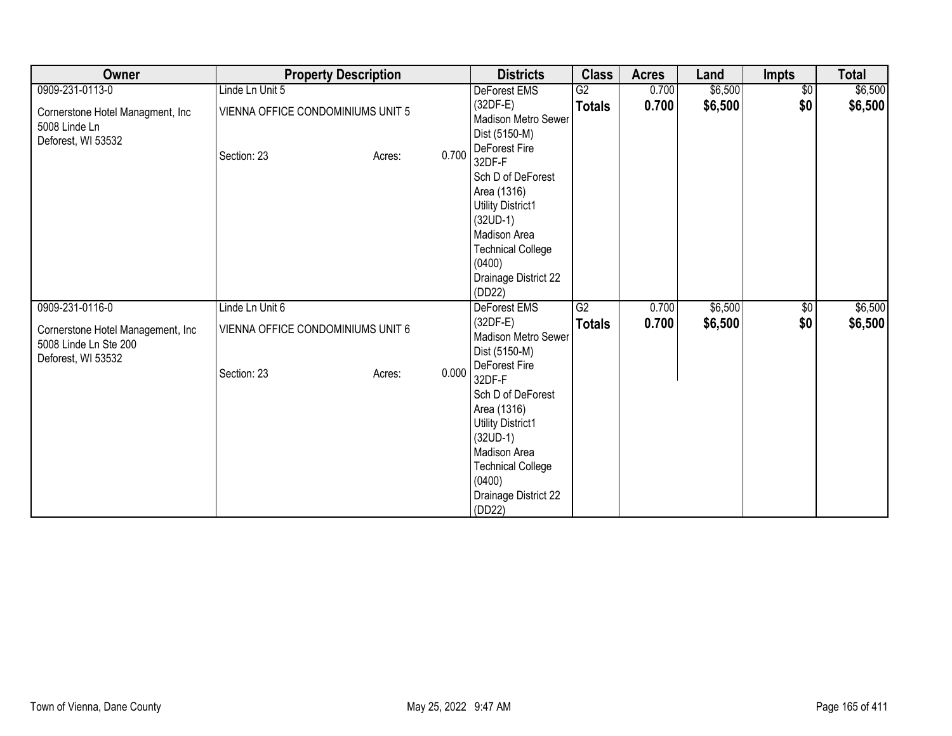| Owner                                                                            | <b>Property Description</b>       |                 | <b>Districts</b>                                                                                                                                                                       | <b>Class</b>    | <b>Acres</b> | Land    | <b>Impts</b>    | <b>Total</b> |
|----------------------------------------------------------------------------------|-----------------------------------|-----------------|----------------------------------------------------------------------------------------------------------------------------------------------------------------------------------------|-----------------|--------------|---------|-----------------|--------------|
| 0909-231-0113-0                                                                  | Linde Ln Unit 5                   |                 | DeForest EMS                                                                                                                                                                           | G2              | 0.700        | \$6,500 | $\overline{50}$ | \$6,500      |
| Cornerstone Hotel Managment, Inc.<br>5008 Linde Ln<br>Deforest, WI 53532         | VIENNA OFFICE CONDOMINIUMS UNIT 5 |                 | $(32DF-E)$<br>Madison Metro Sewer<br>Dist (5150-M)<br>DeForest Fire                                                                                                                    | <b>Totals</b>   | 0.700        | \$6,500 | \$0             | \$6,500      |
|                                                                                  | Section: 23                       | 0.700<br>Acres: | 32DF-F<br>Sch D of DeForest<br>Area (1316)<br><b>Utility District1</b><br>$(32UD-1)$<br>Madison Area<br><b>Technical College</b><br>(0400)<br>Drainage District 22<br>(DD22)           |                 |              |         |                 |              |
| 0909-231-0116-0                                                                  | Linde Ln Unit 6                   |                 | DeForest EMS                                                                                                                                                                           | $\overline{G2}$ | 0.700        | \$6,500 | $\sqrt{6}$      | \$6,500      |
| Cornerstone Hotel Management, Inc<br>5008 Linde Ln Ste 200<br>Deforest, WI 53532 | VIENNA OFFICE CONDOMINIUMS UNIT 6 |                 | $(32DF-E)$<br>Madison Metro Sewer<br>Dist (5150-M)                                                                                                                                     | <b>Totals</b>   | 0.700        | \$6,500 | \$0             | \$6,500      |
|                                                                                  | Section: 23                       | 0.000<br>Acres: | DeForest Fire<br>32DF-F<br>Sch D of DeForest<br>Area (1316)<br>Utility District1<br>$(32UD-1)$<br>Madison Area<br><b>Technical College</b><br>(0400)<br>Drainage District 22<br>(DD22) |                 |              |         |                 |              |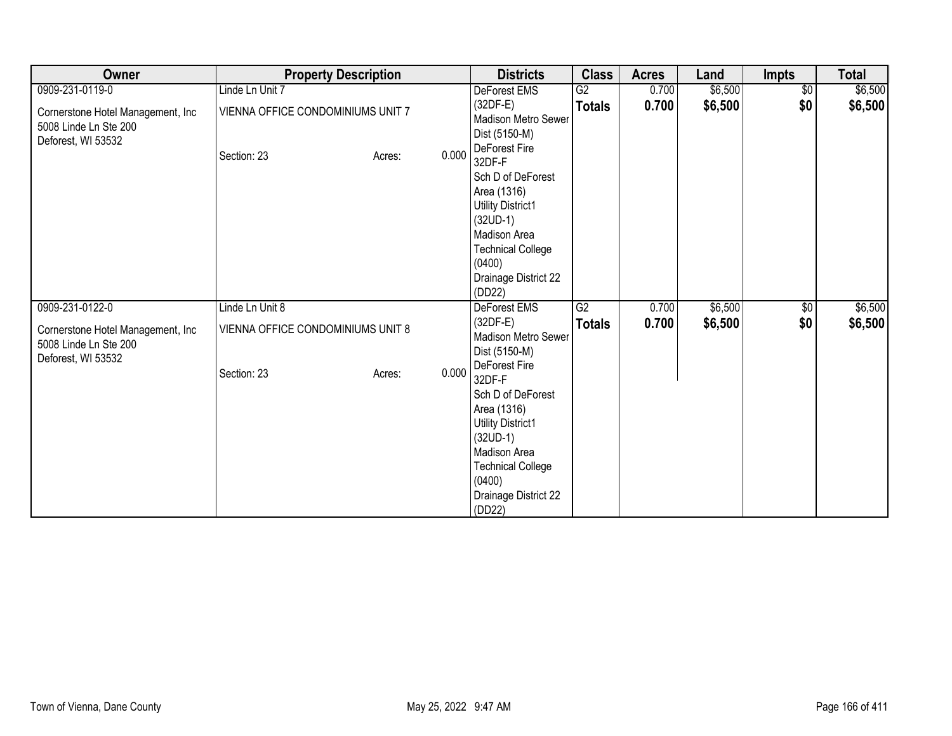| Owner                                                                            |                                                  | <b>Property Description</b> |       | <b>Districts</b>                                                                                                                                                                       | <b>Class</b>    | <b>Acres</b> | Land    | <b>Impts</b>    | <b>Total</b> |
|----------------------------------------------------------------------------------|--------------------------------------------------|-----------------------------|-------|----------------------------------------------------------------------------------------------------------------------------------------------------------------------------------------|-----------------|--------------|---------|-----------------|--------------|
| 0909-231-0119-0                                                                  | Linde Ln Unit 7                                  |                             |       | DeForest EMS                                                                                                                                                                           | G2              | 0.700        | \$6,500 | $\overline{50}$ | \$6,500      |
| Cornerstone Hotel Management, Inc<br>5008 Linde Ln Ste 200<br>Deforest, WI 53532 | VIENNA OFFICE CONDOMINIUMS UNIT 7<br>Section: 23 | Acres:                      | 0.000 | $(32DF-E)$<br>Madison Metro Sewer<br>Dist (5150-M)<br>DeForest Fire                                                                                                                    | <b>Totals</b>   | 0.700        | \$6,500 | \$0             | \$6,500      |
|                                                                                  |                                                  |                             |       | 32DF-F<br>Sch D of DeForest<br>Area (1316)<br><b>Utility District1</b><br>$(32UD-1)$<br>Madison Area<br><b>Technical College</b><br>(0400)<br>Drainage District 22<br>(DD22)           |                 |              |         |                 |              |
| 0909-231-0122-0                                                                  | Linde Ln Unit 8                                  |                             |       | DeForest EMS                                                                                                                                                                           | $\overline{G2}$ | 0.700        | \$6,500 | $\sqrt{6}$      | \$6,500      |
| Cornerstone Hotel Management, Inc<br>5008 Linde Ln Ste 200<br>Deforest, WI 53532 | VIENNA OFFICE CONDOMINIUMS UNIT 8                |                             |       | $(32DF-E)$<br>Madison Metro Sewer<br>Dist (5150-M)                                                                                                                                     | <b>Totals</b>   | 0.700        | \$6,500 | \$0             | \$6,500      |
|                                                                                  | Section: 23                                      | Acres:                      | 0.000 | DeForest Fire<br>32DF-F<br>Sch D of DeForest<br>Area (1316)<br>Utility District1<br>$(32UD-1)$<br>Madison Area<br><b>Technical College</b><br>(0400)<br>Drainage District 22<br>(DD22) |                 |              |         |                 |              |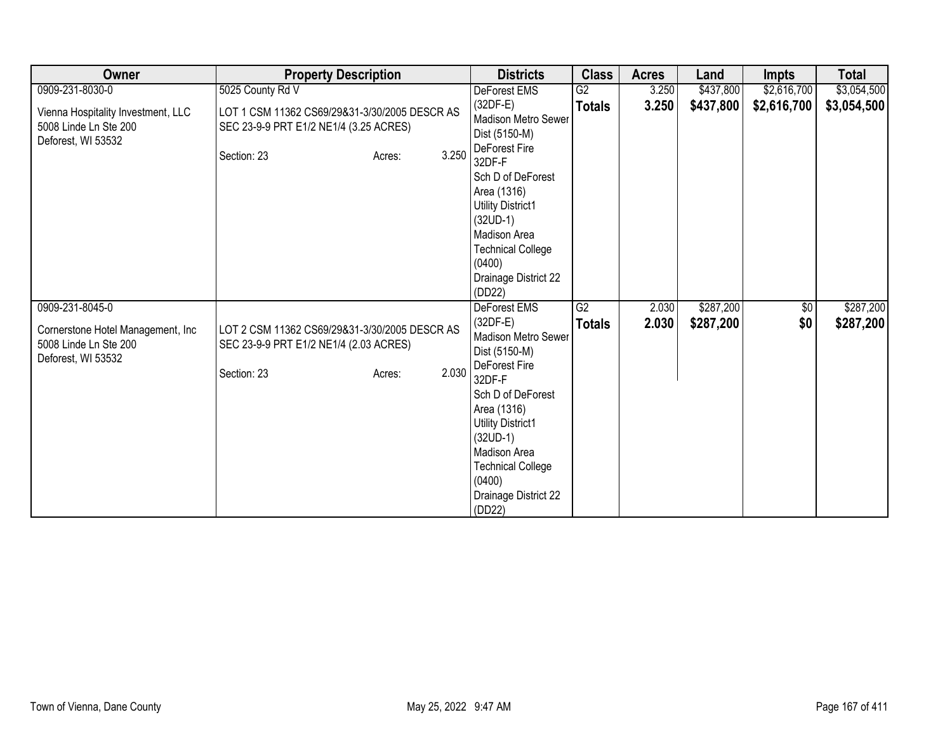| Owner                                                                             | <b>Property Description</b>                                                                                               | <b>Districts</b>                                                                                                                                                             | <b>Class</b>    | <b>Acres</b> | Land      | <b>Impts</b> | <b>Total</b> |
|-----------------------------------------------------------------------------------|---------------------------------------------------------------------------------------------------------------------------|------------------------------------------------------------------------------------------------------------------------------------------------------------------------------|-----------------|--------------|-----------|--------------|--------------|
| 0909-231-8030-0                                                                   | 5025 County Rd V                                                                                                          | DeForest EMS                                                                                                                                                                 | $\overline{G2}$ | 3.250        | \$437,800 | \$2,616,700  | \$3,054,500  |
| Vienna Hospitality Investment, LLC<br>5008 Linde Ln Ste 200<br>Deforest, WI 53532 | LOT 1 CSM 11362 CS69/29&31-3/30/2005 DESCR AS<br>SEC 23-9-9 PRT E1/2 NE1/4 (3.25 ACRES)<br>3.250<br>Section: 23<br>Acres: | $(32DF-E)$<br><b>Madison Metro Sewer</b><br>Dist (5150-M)<br>DeForest Fire                                                                                                   | <b>Totals</b>   | 3.250        | \$437,800 | \$2,616,700  | \$3,054,500  |
|                                                                                   |                                                                                                                           | 32DF-F<br>Sch D of DeForest<br>Area (1316)<br><b>Utility District1</b><br>$(32UD-1)$<br>Madison Area<br><b>Technical College</b><br>(0400)<br>Drainage District 22<br>(DD22) |                 |              |           |              |              |
| 0909-231-8045-0                                                                   |                                                                                                                           | DeForest EMS                                                                                                                                                                 | G2              | 2.030        | \$287,200 | $\sqrt{6}$   | \$287,200    |
| Cornerstone Hotel Management, Inc<br>5008 Linde Ln Ste 200<br>Deforest, WI 53532  | LOT 2 CSM 11362 CS69/29&31-3/30/2005 DESCR AS<br>SEC 23-9-9 PRT E1/2 NE1/4 (2.03 ACRES)                                   | $(32DF-E)$<br><b>Madison Metro Sewer</b><br>Dist (5150-M)                                                                                                                    | <b>Totals</b>   | 2.030        | \$287,200 | \$0          | \$287,200    |
|                                                                                   | 2.030<br>Section: 23<br>Acres:                                                                                            | DeForest Fire<br>32DF-F                                                                                                                                                      |                 |              |           |              |              |
|                                                                                   |                                                                                                                           | Sch D of DeForest<br>Area (1316)<br><b>Utility District1</b><br>$(32UD-1)$                                                                                                   |                 |              |           |              |              |
|                                                                                   |                                                                                                                           | Madison Area                                                                                                                                                                 |                 |              |           |              |              |
|                                                                                   |                                                                                                                           | <b>Technical College</b><br>(0400)                                                                                                                                           |                 |              |           |              |              |
|                                                                                   |                                                                                                                           | Drainage District 22<br>(DD22)                                                                                                                                               |                 |              |           |              |              |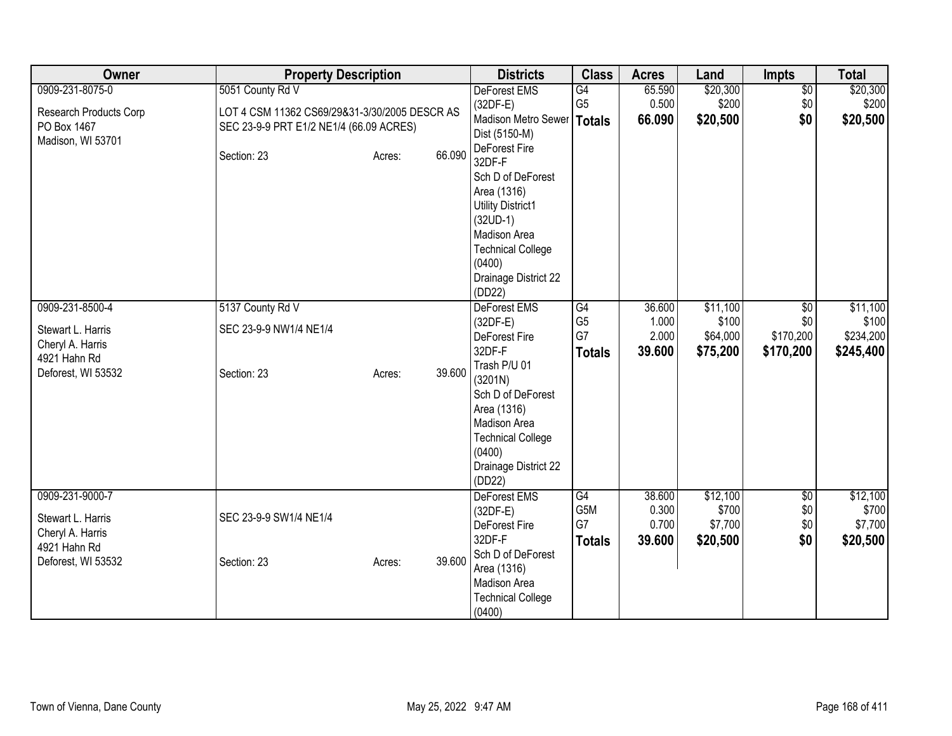| Owner                                                                    | <b>Property Description</b>                                                              |        |        | <b>Districts</b>                                                                                                                                    | <b>Class</b>                                  | <b>Acres</b>                       | Land                                     | <b>Impts</b>                         | <b>Total</b>                             |
|--------------------------------------------------------------------------|------------------------------------------------------------------------------------------|--------|--------|-----------------------------------------------------------------------------------------------------------------------------------------------------|-----------------------------------------------|------------------------------------|------------------------------------------|--------------------------------------|------------------------------------------|
| 0909-231-8075-0                                                          | 5051 County Rd V                                                                         |        |        | DeForest EMS                                                                                                                                        | G4                                            | 65.590                             | \$20,300                                 | $\overline{50}$                      | \$20,300                                 |
| Research Products Corp<br>PO Box 1467                                    | LOT 4 CSM 11362 CS69/29&31-3/30/2005 DESCR AS<br>SEC 23-9-9 PRT E1/2 NE1/4 (66.09 ACRES) |        |        | $(32DF-E)$<br>Madison Metro Sewer   Totals<br>Dist (5150-M)                                                                                         | G <sub>5</sub>                                | 0.500<br>66.090                    | \$200<br>\$20,500                        | \$0<br>\$0                           | \$200<br>\$20,500                        |
| Madison, WI 53701                                                        | Section: 23                                                                              | Acres: | 66.090 | DeForest Fire<br>32DF-F<br>Sch D of DeForest<br>Area (1316)<br><b>Utility District1</b><br>$(32UD-1)$<br>Madison Area<br><b>Technical College</b>   |                                               |                                    |                                          |                                      |                                          |
|                                                                          |                                                                                          |        |        | (0400)<br>Drainage District 22<br>(DD22)                                                                                                            |                                               |                                    |                                          |                                      |                                          |
| 0909-231-8500-4                                                          | 5137 County Rd V                                                                         |        |        | DeForest EMS                                                                                                                                        | $\overline{G4}$                               | 36.600                             | \$11,100                                 | $\overline{50}$                      | \$11,100                                 |
| Stewart L. Harris<br>Cheryl A. Harris<br>4921 Hahn Rd                    | SEC 23-9-9 NW1/4 NE1/4                                                                   |        |        | $(32DF-E)$<br>DeForest Fire<br>32DF-F                                                                                                               | G <sub>5</sub><br>G7<br><b>Totals</b>         | 1.000<br>2.000<br>39.600           | \$100<br>\$64,000<br>\$75,200            | \$0<br>\$170,200<br>\$170,200        | \$100<br>\$234,200<br>\$245,400          |
| Deforest, WI 53532                                                       | Section: 23                                                                              | Acres: | 39.600 | Trash P/U 01<br>(3201N)<br>Sch D of DeForest<br>Area (1316)<br>Madison Area<br><b>Technical College</b><br>(0400)<br>Drainage District 22<br>(DD22) |                                               |                                    |                                          |                                      |                                          |
| 0909-231-9000-7<br>Stewart L. Harris<br>Cheryl A. Harris<br>4921 Hahn Rd | SEC 23-9-9 SW1/4 NE1/4                                                                   |        |        | <b>DeForest EMS</b><br>$(32DF-E)$<br>DeForest Fire<br>32DF-F<br>Sch D of DeForest                                                                   | G4<br>G <sub>5</sub> M<br>G7<br><b>Totals</b> | 38.600<br>0.300<br>0.700<br>39.600 | \$12,100<br>\$700<br>\$7,700<br>\$20,500 | $\overline{50}$<br>\$0<br>\$0<br>\$0 | \$12,100<br>\$700<br>\$7,700<br>\$20,500 |
| Deforest, WI 53532                                                       | Section: 23                                                                              | Acres: | 39.600 | Area (1316)<br>Madison Area<br><b>Technical College</b><br>(0400)                                                                                   |                                               |                                    |                                          |                                      |                                          |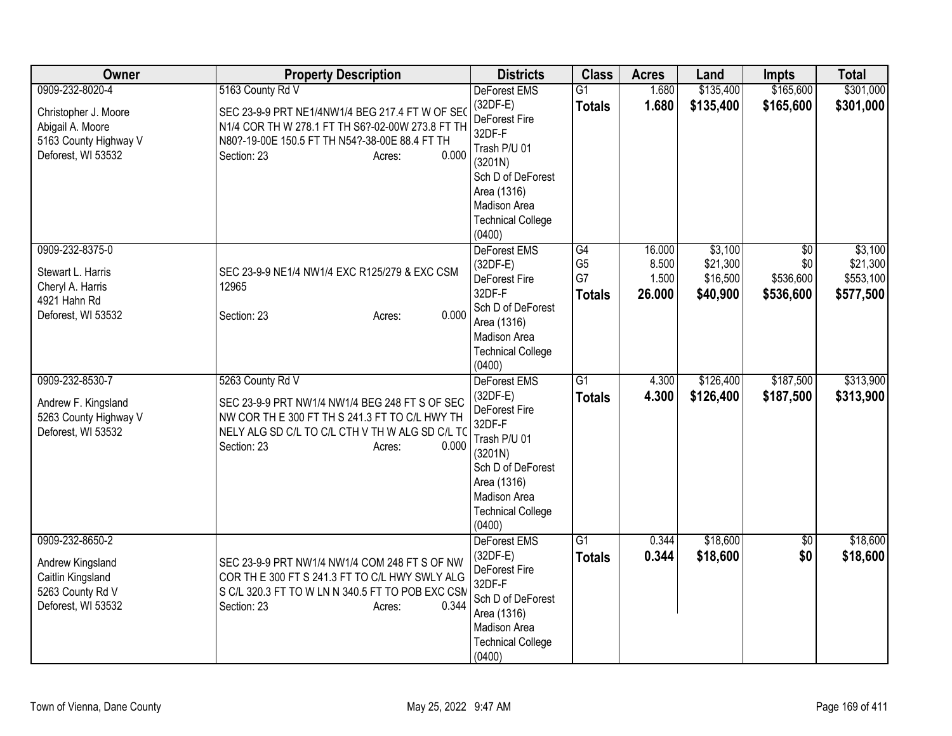| Owner                                                                                              | <b>Property Description</b>                                                                                                                                                                               | <b>Districts</b>                                                                                                                                                                  | <b>Class</b>                                | <b>Acres</b>                       | Land                                        | <b>Impts</b>                                     | <b>Total</b>                                  |
|----------------------------------------------------------------------------------------------------|-----------------------------------------------------------------------------------------------------------------------------------------------------------------------------------------------------------|-----------------------------------------------------------------------------------------------------------------------------------------------------------------------------------|---------------------------------------------|------------------------------------|---------------------------------------------|--------------------------------------------------|-----------------------------------------------|
| 0909-232-8020-4                                                                                    | 5163 County Rd V                                                                                                                                                                                          | DeForest EMS                                                                                                                                                                      | $\overline{G1}$                             | 1.680                              | \$135,400                                   | \$165,600                                        | \$301,000                                     |
| Christopher J. Moore<br>Abigail A. Moore<br>5163 County Highway V<br>Deforest, WI 53532            | SEC 23-9-9 PRT NE1/4NW1/4 BEG 217.4 FT W OF SEO<br>N1/4 COR TH W 278.1 FT TH S6?-02-00W 273.8 FT TH<br>N80?-19-00E 150.5 FT TH N54?-38-00E 88.4 FT TH<br>0.000<br>Section: 23<br>Acres:                   | $(32DF-E)$<br>DeForest Fire<br>32DF-F<br>Trash P/U 01<br>(3201N)<br>Sch D of DeForest<br>Area (1316)<br><b>Madison Area</b><br><b>Technical College</b>                           | <b>Totals</b>                               | 1.680                              | \$135,400                                   | \$165,600                                        | \$301,000                                     |
| 0909-232-8375-0<br>Stewart L. Harris<br>Cheryl A. Harris<br>4921 Hahn Rd<br>Deforest, WI 53532     | SEC 23-9-9 NE1/4 NW1/4 EXC R125/279 & EXC CSM<br>12965<br>0.000<br>Section: 23<br>Acres:                                                                                                                  | (0400)<br>DeForest EMS<br>$(32DF-E)$<br>DeForest Fire<br>32DF-F<br>Sch D of DeForest<br>Area (1316)<br>Madison Area<br><b>Technical College</b><br>(0400)                         | G4<br>G <sub>5</sub><br>G7<br><b>Totals</b> | 16.000<br>8.500<br>1.500<br>26.000 | \$3,100<br>\$21,300<br>\$16,500<br>\$40,900 | $\overline{50}$<br>\$0<br>\$536,600<br>\$536,600 | \$3,100<br>\$21,300<br>\$553,100<br>\$577,500 |
| 0909-232-8530-7<br>Andrew F. Kingsland<br>5263 County Highway V<br>Deforest, WI 53532              | 5263 County Rd V<br>SEC 23-9-9 PRT NW1/4 NW1/4 BEG 248 FT S OF SEC<br>NW COR TH E 300 FT TH S 241.3 FT TO C/L HWY TH<br>NELY ALG SD C/L TO C/L CTH V TH W ALG SD C/L TO<br>0.000<br>Section: 23<br>Acres: | DeForest EMS<br>$(32DF-E)$<br><b>DeForest Fire</b><br>32DF-F<br>Trash P/U 01<br>(3201N)<br>Sch D of DeForest<br>Area (1316)<br>Madison Area<br><b>Technical College</b><br>(0400) | $\overline{G1}$<br><b>Totals</b>            | 4.300<br>4.300                     | \$126,400<br>\$126,400                      | \$187,500<br>\$187,500                           | \$313,900<br>\$313,900                        |
| 0909-232-8650-2<br>Andrew Kingsland<br>Caitlin Kingsland<br>5263 County Rd V<br>Deforest, WI 53532 | SEC 23-9-9 PRT NW1/4 NW1/4 COM 248 FT S OF NW<br>COR THE 300 FT S 241.3 FT TO C/L HWY SWLY ALG<br>S C/L 320.3 FT TO W LN N 340.5 FT TO POB EXC CSM<br>0.344<br>Section: 23<br>Acres:                      | <b>DeForest EMS</b><br>(32DF-E)<br>DeForest Fire<br>32DF-F<br>Sch D of DeForest<br>Area (1316)<br>Madison Area<br><b>Technical College</b><br>(0400)                              | $\overline{G1}$<br><b>Totals</b>            | 0.344<br>0.344                     | \$18,600<br>\$18,600                        | \$0<br>\$0                                       | \$18,600<br>\$18,600                          |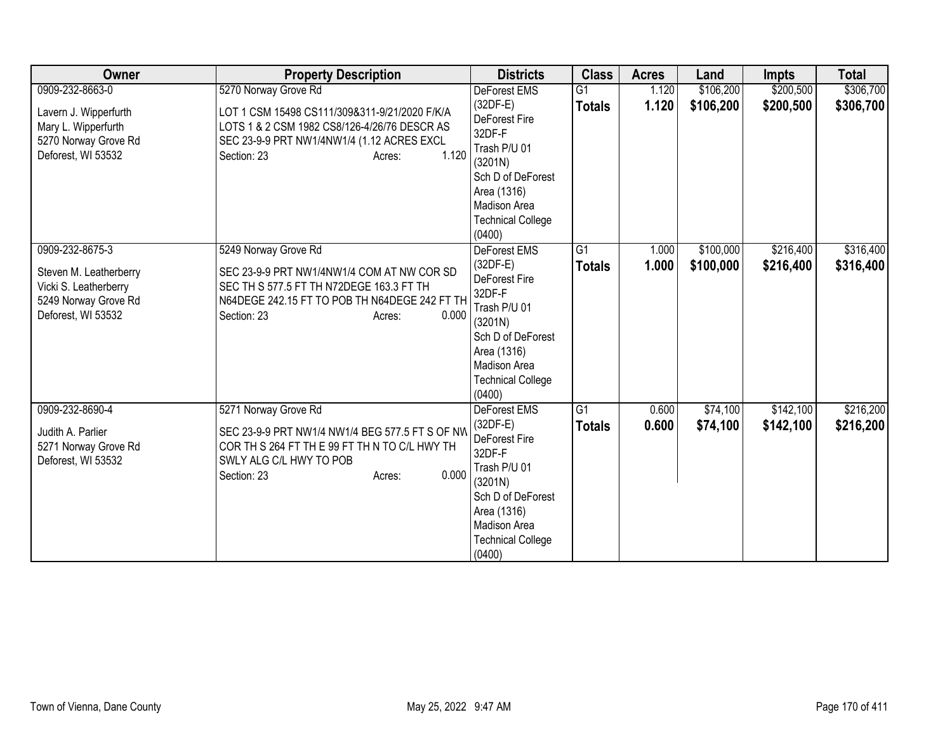| Owner                                                                                                            | <b>Property Description</b>                                                                                                                                                                           | <b>Districts</b>                                                                                                                                                                  | <b>Class</b>                     | <b>Acres</b>   | Land                   | Impts                  | <b>Total</b>           |
|------------------------------------------------------------------------------------------------------------------|-------------------------------------------------------------------------------------------------------------------------------------------------------------------------------------------------------|-----------------------------------------------------------------------------------------------------------------------------------------------------------------------------------|----------------------------------|----------------|------------------------|------------------------|------------------------|
| 0909-232-8663-0<br>Lavern J. Wipperfurth<br>Mary L. Wipperfurth<br>5270 Norway Grove Rd<br>Deforest, WI 53532    | 5270 Norway Grove Rd<br>LOT 1 CSM 15498 CS111/309&311-9/21/2020 F/K/A<br>LOTS 1 & 2 CSM 1982 CS8/126-4/26/76 DESCR AS<br>SEC 23-9-9 PRT NW1/4NW1/4 (1.12 ACRES EXCL<br>1.120<br>Section: 23<br>Acres: | DeForest EMS<br>$(32DF-E)$<br>DeForest Fire<br>32DF-F<br>Trash P/U 01<br>(3201N)<br>Sch D of DeForest<br>Area (1316)<br>Madison Area<br><b>Technical College</b><br>(0400)        | $\overline{G1}$<br><b>Totals</b> | 1.120<br>1.120 | \$106,200<br>\$106,200 | \$200,500<br>\$200,500 | \$306,700<br>\$306,700 |
| 0909-232-8675-3<br>Steven M. Leatherberry<br>Vicki S. Leatherberry<br>5249 Norway Grove Rd<br>Deforest, WI 53532 | 5249 Norway Grove Rd<br>SEC 23-9-9 PRT NW1/4NW1/4 COM AT NW COR SD<br>SEC TH S 577.5 FT TH N72DEGE 163.3 FT TH<br>N64DEGE 242.15 FT TO POB TH N64DEGE 242 FT TH<br>0.000<br>Section: 23<br>Acres:     | DeForest EMS<br>$(32DF-E)$<br>DeForest Fire<br>32DF-F<br>Trash P/U 01<br>(3201N)<br>Sch D of DeForest<br>Area (1316)<br><b>Madison Area</b><br><b>Technical College</b><br>(0400) | G1<br><b>Totals</b>              | 1.000<br>1.000 | \$100,000<br>\$100,000 | \$216,400<br>\$216,400 | \$316,400<br>\$316,400 |
| 0909-232-8690-4<br>Judith A. Parlier<br>5271 Norway Grove Rd<br>Deforest, WI 53532                               | 5271 Norway Grove Rd<br>SEC 23-9-9 PRT NW1/4 NW1/4 BEG 577.5 FT S OF NW<br>COR TH S 264 FT TH E 99 FT TH N TO C/L HWY TH<br>SWLY ALG C/L HWY TO POB<br>0.000<br>Section: 23<br>Acres:                 | DeForest EMS<br>(32DF-E)<br>DeForest Fire<br>32DF-F<br>Trash P/U 01<br>(3201N)<br>Sch D of DeForest<br>Area (1316)<br>Madison Area<br><b>Technical College</b><br>(0400)          | $\overline{G1}$<br><b>Totals</b> | 0.600<br>0.600 | \$74,100<br>\$74,100   | \$142,100<br>\$142,100 | \$216,200<br>\$216,200 |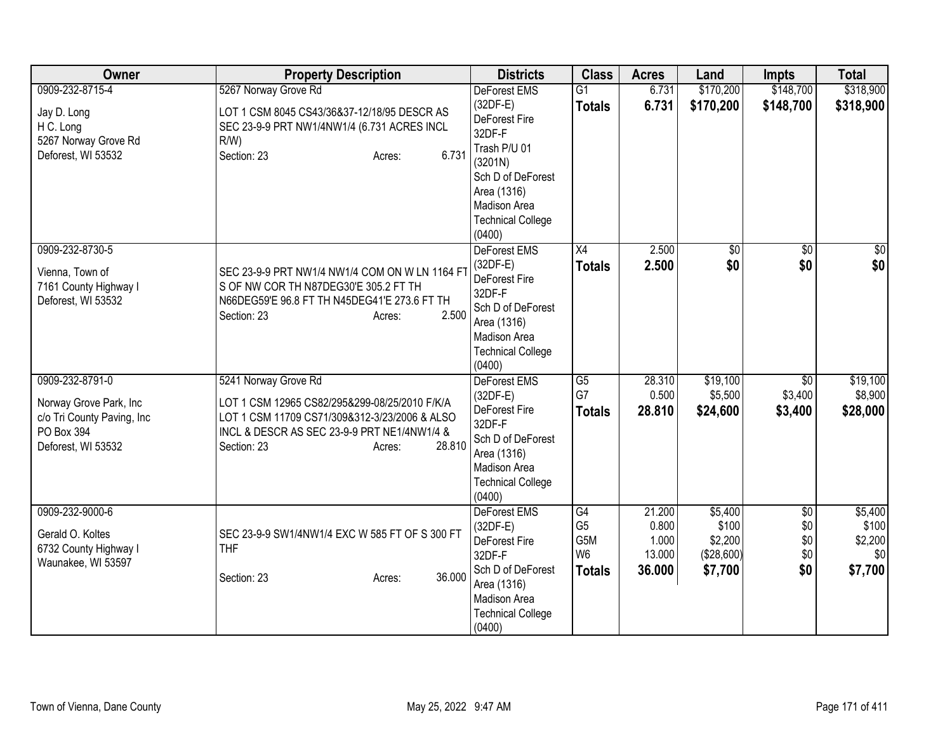| Owner                                                                                                       | <b>Property Description</b>                                                                                                                                                                              | <b>Districts</b>                                                                                                                                                                  | <b>Class</b>                                                   | <b>Acres</b>                                 | Land                                                 | <b>Impts</b>                                | <b>Total</b>                                  |
|-------------------------------------------------------------------------------------------------------------|----------------------------------------------------------------------------------------------------------------------------------------------------------------------------------------------------------|-----------------------------------------------------------------------------------------------------------------------------------------------------------------------------------|----------------------------------------------------------------|----------------------------------------------|------------------------------------------------------|---------------------------------------------|-----------------------------------------------|
| 0909-232-8715-4<br>Jay D. Long<br>H C. Long<br>5267 Norway Grove Rd<br>Deforest, WI 53532                   | 5267 Norway Grove Rd<br>LOT 1 CSM 8045 CS43/36&37-12/18/95 DESCR AS<br>SEC 23-9-9 PRT NW1/4NW1/4 (6.731 ACRES INCL<br>$R/W$ )<br>6.731<br>Section: 23<br>Acres:                                          | DeForest EMS<br>$(32DF-E)$<br>DeForest Fire<br>32DF-F<br>Trash P/U 01<br>(3201N)<br>Sch D of DeForest<br>Area (1316)<br><b>Madison Area</b><br><b>Technical College</b><br>(0400) | $\overline{G1}$<br><b>Totals</b>                               | 6.731<br>6.731                               | \$170,200<br>\$170,200                               | \$148,700<br>\$148,700                      | \$318,900<br>\$318,900                        |
| 0909-232-8730-5<br>Vienna, Town of<br>7161 County Highway I<br>Deforest, WI 53532                           | SEC 23-9-9 PRT NW1/4 NW1/4 COM ON W LN 1164 F1<br>S OF NW COR TH N87DEG30'E 305.2 FT TH<br>N66DEG59'E 96.8 FT TH N45DEG41'E 273.6 FT TH<br>2.500<br>Section: 23<br>Acres:                                | DeForest EMS<br>$(32DF-E)$<br>DeForest Fire<br>32DF-F<br>Sch D of DeForest<br>Area (1316)<br><b>Madison Area</b><br><b>Technical College</b><br>(0400)                            | X4<br><b>Totals</b>                                            | 2.500<br>2.500                               | $\sqrt{6}$<br>\$0                                    | $\sqrt{6}$<br>\$0                           | \$0<br>\$0                                    |
| 0909-232-8791-0<br>Norway Grove Park, Inc<br>c/o Tri County Paving, Inc<br>PO Box 394<br>Deforest, WI 53532 | 5241 Norway Grove Rd<br>LOT 1 CSM 12965 CS82/295&299-08/25/2010 F/K/A<br>LOT 1 CSM 11709 CS71/309&312-3/23/2006 & ALSO<br>INCL & DESCR AS SEC 23-9-9 PRT NE1/4NW1/4 &<br>28.810<br>Section: 23<br>Acres: | <b>DeForest EMS</b><br>$(32DF-E)$<br><b>DeForest Fire</b><br>32DF-F<br>Sch D of DeForest<br>Area (1316)<br>Madison Area<br><b>Technical College</b><br>(0400)                     | G5<br>G7<br><b>Totals</b>                                      | 28.310<br>0.500<br>28.810                    | \$19,100<br>\$5,500<br>\$24,600                      | \$0<br>\$3,400<br>\$3,400                   | \$19,100<br>\$8,900<br>\$28,000               |
| 0909-232-9000-6<br>Gerald O. Koltes<br>6732 County Highway I<br>Waunakee, WI 53597                          | SEC 23-9-9 SW1/4NW1/4 EXC W 585 FT OF S 300 FT<br><b>THF</b><br>36.000<br>Section: 23<br>Acres:                                                                                                          | DeForest EMS<br>$(32DF-E)$<br>DeForest Fire<br>32DF-F<br>Sch D of DeForest<br>Area (1316)<br>Madison Area<br><b>Technical College</b><br>(0400)                                   | G4<br>G <sub>5</sub><br>G5M<br>W <sub>6</sub><br><b>Totals</b> | 21.200<br>0.800<br>1.000<br>13.000<br>36.000 | \$5,400<br>\$100<br>\$2,200<br>(\$28,600)<br>\$7,700 | $\overline{50}$<br>\$0<br>\$0<br>\$0<br>\$0 | \$5,400<br>\$100<br>\$2,200<br>\$0<br>\$7,700 |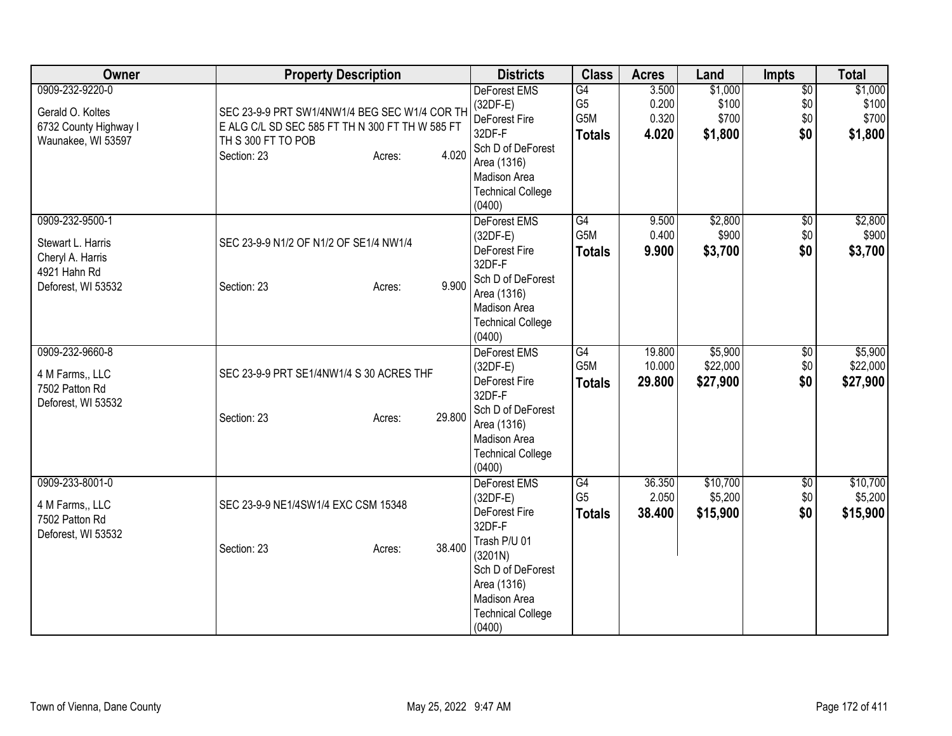| Owner                                                                                          | <b>Property Description</b>                                                                                                                              | <b>Districts</b>                                                                                                                                                           | <b>Class</b>                                         | <b>Acres</b>                     | Land                                 | <b>Impts</b>                         | <b>Total</b>                         |
|------------------------------------------------------------------------------------------------|----------------------------------------------------------------------------------------------------------------------------------------------------------|----------------------------------------------------------------------------------------------------------------------------------------------------------------------------|------------------------------------------------------|----------------------------------|--------------------------------------|--------------------------------------|--------------------------------------|
| 0909-232-9220-0<br>Gerald O. Koltes<br>6732 County Highway I<br>Waunakee, WI 53597             | SEC 23-9-9 PRT SW1/4NW1/4 BEG SEC W1/4 COR TH<br>E ALG C/L SD SEC 585 FT TH N 300 FT TH W 585 FT<br>TH S 300 FT TO POB<br>4.020<br>Section: 23<br>Acres: | <b>DeForest EMS</b><br>$(32DF-E)$<br>DeForest Fire<br>32DF-F<br>Sch D of DeForest<br>Area (1316)<br>Madison Area<br><b>Technical College</b><br>(0400)                     | G4<br>G <sub>5</sub><br>G5M<br><b>Totals</b>         | 3.500<br>0.200<br>0.320<br>4.020 | \$1,000<br>\$100<br>\$700<br>\$1,800 | $\overline{50}$<br>\$0<br>\$0<br>\$0 | \$1,000<br>\$100<br>\$700<br>\$1,800 |
| 0909-232-9500-1<br>Stewart L. Harris<br>Cheryl A. Harris<br>4921 Hahn Rd<br>Deforest, WI 53532 | SEC 23-9-9 N1/2 OF N1/2 OF SE1/4 NW1/4<br>9.900<br>Section: 23<br>Acres:                                                                                 | DeForest EMS<br>$(32DF-E)$<br>DeForest Fire<br>32DF-F<br>Sch D of DeForest<br>Area (1316)<br>Madison Area<br><b>Technical College</b><br>(0400)                            | G4<br>G5M<br><b>Totals</b>                           | 9.500<br>0.400<br>9.900          | \$2,800<br>\$900<br>\$3,700          | $\overline{50}$<br>\$0<br>\$0        | \$2,800<br>\$900<br>\$3,700          |
| 0909-232-9660-8<br>4 M Farms,, LLC<br>7502 Patton Rd<br>Deforest, WI 53532                     | SEC 23-9-9 PRT SE1/4NW1/4 S 30 ACRES THF<br>29.800<br>Section: 23<br>Acres:                                                                              | <b>DeForest EMS</b><br>$(32DF-E)$<br>DeForest Fire<br>32DF-F<br>Sch D of DeForest<br>Area (1316)<br>Madison Area<br><b>Technical College</b><br>(0400)                     | $\overline{G4}$<br>G <sub>5</sub> M<br><b>Totals</b> | 19.800<br>10.000<br>29.800       | \$5,900<br>\$22,000<br>\$27,900      | \$0<br>\$0<br>\$0                    | \$5,900<br>\$22,000<br>\$27,900      |
| 0909-233-8001-0<br>4 M Farms,, LLC<br>7502 Patton Rd<br>Deforest, WI 53532                     | SEC 23-9-9 NE1/4SW1/4 EXC CSM 15348<br>38.400<br>Section: 23<br>Acres:                                                                                   | DeForest EMS<br>$(32DF-E)$<br>DeForest Fire<br>32DF-F<br>Trash P/U 01<br>(3201N)<br>Sch D of DeForest<br>Area (1316)<br>Madison Area<br><b>Technical College</b><br>(0400) | G4<br>G <sub>5</sub><br><b>Totals</b>                | 36.350<br>2.050<br>38.400        | \$10,700<br>\$5,200<br>\$15,900      | \$0<br>\$0<br>\$0                    | \$10,700<br>\$5,200<br>\$15,900      |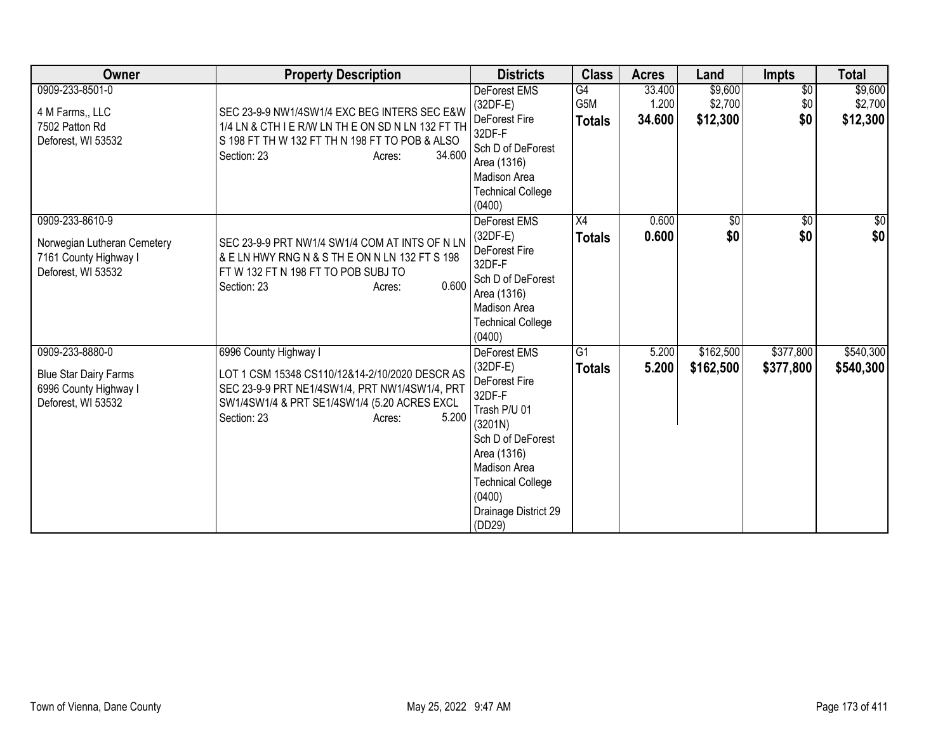| Owner                                                                                          | <b>Property Description</b>                                                                                                                                                                                 | <b>Districts</b>                                                                                                                                                                                                    | <b>Class</b>               | <b>Acres</b>              | Land                           | <b>Impts</b>                  | <b>Total</b>                   |
|------------------------------------------------------------------------------------------------|-------------------------------------------------------------------------------------------------------------------------------------------------------------------------------------------------------------|---------------------------------------------------------------------------------------------------------------------------------------------------------------------------------------------------------------------|----------------------------|---------------------------|--------------------------------|-------------------------------|--------------------------------|
| 0909-233-8501-0<br>4 M Farms,, LLC<br>7502 Patton Rd<br>Deforest, WI 53532                     | SEC 23-9-9 NW1/4SW1/4 EXC BEG INTERS SEC E&W<br>1/4 LN & CTH I E R/W LN TH E ON SD N LN 132 FT TH<br>S 198 FT TH W 132 FT TH N 198 FT TO POB & ALSO<br>34.600<br>Section: 23<br>Acres:                      | DeForest EMS<br>$(32DF-E)$<br><b>DeForest Fire</b><br>32DF-F<br>Sch D of DeForest<br>Area (1316)<br>Madison Area<br><b>Technical College</b><br>(0400)                                                              | G4<br>G5M<br><b>Totals</b> | 33.400<br>1.200<br>34.600 | \$9,600<br>\$2,700<br>\$12,300 | $\overline{50}$<br>\$0<br>\$0 | \$9,600<br>\$2,700<br>\$12,300 |
| 0909-233-8610-9<br>Norwegian Lutheran Cemetery<br>7161 County Highway I<br>Deforest, WI 53532  | SEC 23-9-9 PRT NW1/4 SW1/4 COM AT INTS OF N LN<br>& E LN HWY RNG N & S TH E ON N LN 132 FT S 198<br>FT W 132 FT N 198 FT TO POB SUBJ TO<br>0.600<br>Section: 23<br>Acres:                                   | <b>DeForest EMS</b><br>$(32DF-E)$<br>DeForest Fire<br>32DF-F<br>Sch D of DeForest<br>Area (1316)<br>Madison Area<br><b>Technical College</b><br>(0400)                                                              | X4<br><b>Totals</b>        | 0.600<br>0.600            | $\sqrt{$0}$<br>\$0             | $\overline{50}$<br>\$0        | $\frac{6}{3}$<br>\$0           |
| 0909-233-8880-0<br><b>Blue Star Dairy Farms</b><br>6996 County Highway I<br>Deforest, WI 53532 | 6996 County Highway I<br>LOT 1 CSM 15348 CS110/12&14-2/10/2020 DESCR AS<br>SEC 23-9-9 PRT NE1/4SW1/4, PRT NW1/4SW1/4, PRT<br>SW1/4SW1/4 & PRT SE1/4SW1/4 (5.20 ACRES EXCL<br>5.200<br>Section: 23<br>Acres: | DeForest EMS<br>$(32DF-E)$<br>DeForest Fire<br>32DF-F<br>Trash P/U 01<br>(3201N)<br>Sch D of DeForest<br>Area (1316)<br><b>Madison Area</b><br><b>Technical College</b><br>(0400)<br>Drainage District 29<br>(DD29) | G1<br><b>Totals</b>        | 5.200<br>5.200            | \$162,500<br>\$162,500         | \$377,800<br>\$377,800        | \$540,300<br>\$540,300         |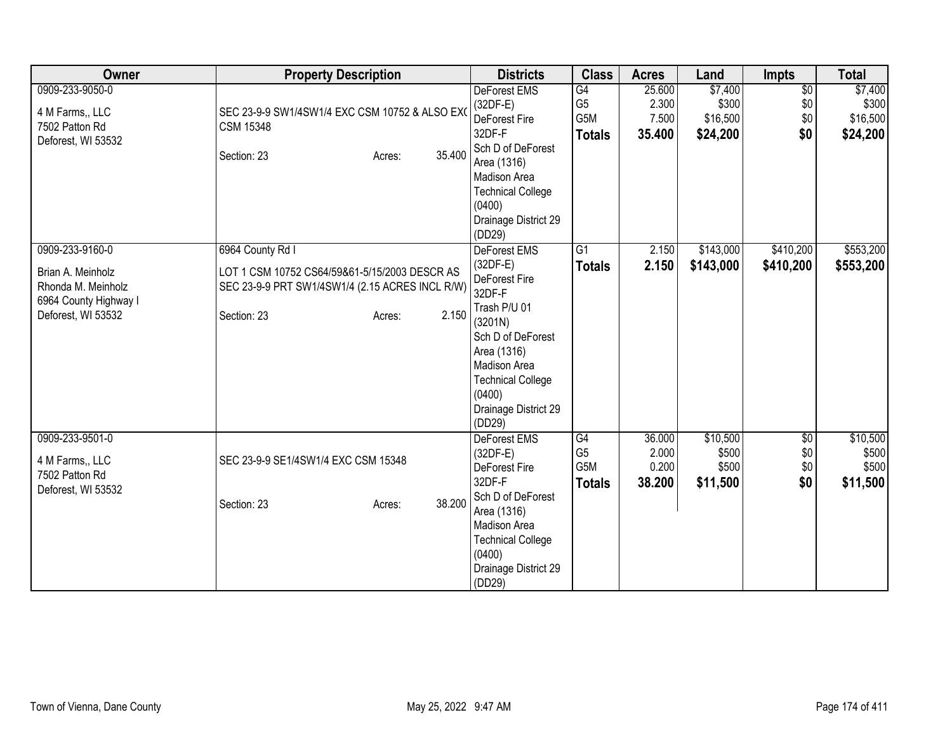| Owner                                                                                                     | <b>Property Description</b>                                                                                                                            | <b>Districts</b>                                                                                                                                                                                             | <b>Class</b>                                 | <b>Acres</b>                       | Land                                     | Impts                                | <b>Total</b>                             |
|-----------------------------------------------------------------------------------------------------------|--------------------------------------------------------------------------------------------------------------------------------------------------------|--------------------------------------------------------------------------------------------------------------------------------------------------------------------------------------------------------------|----------------------------------------------|------------------------------------|------------------------------------------|--------------------------------------|------------------------------------------|
| 0909-233-9050-0<br>4 M Farms,, LLC<br>7502 Patton Rd<br>Deforest, WI 53532                                | SEC 23-9-9 SW1/4SW1/4 EXC CSM 10752 & ALSO EX<br><b>CSM 15348</b><br>35.400<br>Section: 23<br>Acres:                                                   | <b>DeForest EMS</b><br>$(32DF-E)$<br>DeForest Fire<br>32DF-F<br>Sch D of DeForest<br>Area (1316)<br>Madison Area<br><b>Technical College</b><br>(0400)<br>Drainage District 29<br>(DD29)                     | G4<br>G <sub>5</sub><br>G5M<br><b>Totals</b> | 25.600<br>2.300<br>7.500<br>35.400 | \$7,400<br>\$300<br>\$16,500<br>\$24,200 | $\overline{60}$<br>\$0<br>\$0<br>\$0 | \$7,400<br>\$300<br>\$16,500<br>\$24,200 |
| 0909-233-9160-0<br>Brian A. Meinholz<br>Rhonda M. Meinholz<br>6964 County Highway I<br>Deforest, WI 53532 | 6964 County Rd I<br>LOT 1 CSM 10752 CS64/59&61-5/15/2003 DESCR AS<br>SEC 23-9-9 PRT SW1/4SW1/4 (2.15 ACRES INCL R/W)<br>2.150<br>Section: 23<br>Acres: | DeForest EMS<br>$(32DF-E)$<br>DeForest Fire<br>32DF-F<br>Trash P/U 01<br>(3201N)<br>Sch D of DeForest<br>Area (1316)<br>Madison Area<br><b>Technical College</b><br>(0400)<br>Drainage District 29<br>(DD29) | $\overline{G1}$<br><b>Totals</b>             | 2.150<br>2.150                     | \$143,000<br>\$143,000                   | \$410,200<br>\$410,200               | \$553,200<br>\$553,200                   |
| 0909-233-9501-0<br>4 M Farms., LLC<br>7502 Patton Rd<br>Deforest, WI 53532                                | SEC 23-9-9 SE1/4SW1/4 EXC CSM 15348<br>38.200<br>Section: 23<br>Acres:                                                                                 | <b>DeForest EMS</b><br>$(32DF-E)$<br>DeForest Fire<br>32DF-F<br>Sch D of DeForest<br>Area (1316)<br><b>Madison Area</b><br><b>Technical College</b><br>(0400)<br>Drainage District 29<br>(DD29)              | G4<br>G <sub>5</sub><br>G5M<br><b>Totals</b> | 36.000<br>2.000<br>0.200<br>38.200 | \$10,500<br>\$500<br>\$500<br>\$11,500   | \$0<br>\$0<br>\$0<br>\$0             | \$10,500<br>\$500<br>\$500<br>\$11,500   |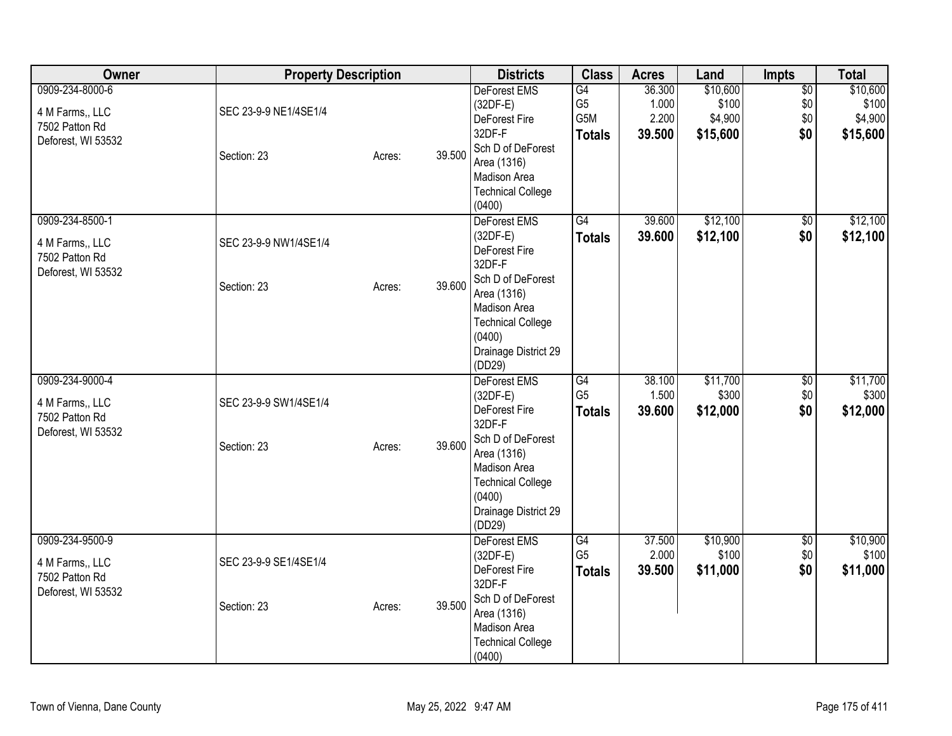| Owner                                                                      | <b>Property Description</b>          |        |        | <b>Districts</b>                                                                                                                                                                         | <b>Class</b>                                 | <b>Acres</b>                       | Land                                     | Impts                                | <b>Total</b>                             |
|----------------------------------------------------------------------------|--------------------------------------|--------|--------|------------------------------------------------------------------------------------------------------------------------------------------------------------------------------------------|----------------------------------------------|------------------------------------|------------------------------------------|--------------------------------------|------------------------------------------|
| 0909-234-8000-6<br>4 M Farms,, LLC<br>7502 Patton Rd<br>Deforest, WI 53532 | SEC 23-9-9 NE1/4SE1/4<br>Section: 23 | Acres: | 39.500 | DeForest EMS<br>$(32DF-E)$<br>DeForest Fire<br>32DF-F<br>Sch D of DeForest<br>Area (1316)<br><b>Madison Area</b><br><b>Technical College</b><br>(0400)                                   | G4<br>G <sub>5</sub><br>G5M<br><b>Totals</b> | 36.300<br>1.000<br>2.200<br>39.500 | \$10,600<br>\$100<br>\$4,900<br>\$15,600 | $\overline{50}$<br>\$0<br>\$0<br>\$0 | \$10,600<br>\$100<br>\$4,900<br>\$15,600 |
| 0909-234-8500-1<br>4 M Farms,, LLC<br>7502 Patton Rd<br>Deforest, WI 53532 | SEC 23-9-9 NW1/4SE1/4<br>Section: 23 | Acres: | 39.600 | DeForest EMS<br>$(32DF-E)$<br>DeForest Fire<br>32DF-F<br>Sch D of DeForest<br>Area (1316)<br>Madison Area<br><b>Technical College</b><br>(0400)<br>Drainage District 29<br>(DD29)        | $\overline{G4}$<br><b>Totals</b>             | 39.600<br>39.600                   | \$12,100<br>\$12,100                     | $\overline{50}$<br>\$0               | \$12,100<br>\$12,100                     |
| 0909-234-9000-4<br>4 M Farms,, LLC<br>7502 Patton Rd<br>Deforest, WI 53532 | SEC 23-9-9 SW1/4SE1/4<br>Section: 23 | Acres: | 39.600 | <b>DeForest EMS</b><br>$(32DF-E)$<br>DeForest Fire<br>32DF-F<br>Sch D of DeForest<br>Area (1316)<br>Madison Area<br><b>Technical College</b><br>(0400)<br>Drainage District 29<br>(DD29) | G4<br>G <sub>5</sub><br><b>Totals</b>        | 38.100<br>1.500<br>39.600          | \$11,700<br>\$300<br>\$12,000            | \$0<br>\$0<br>\$0                    | \$11,700<br>\$300<br>\$12,000            |
| 0909-234-9500-9<br>4 M Farms,, LLC<br>7502 Patton Rd<br>Deforest, WI 53532 | SEC 23-9-9 SE1/4SE1/4<br>Section: 23 | Acres: | 39.500 | <b>DeForest EMS</b><br>$(32DF-E)$<br>DeForest Fire<br>32DF-F<br>Sch D of DeForest<br>Area (1316)<br>Madison Area<br><b>Technical College</b><br>(0400)                                   | G4<br>G <sub>5</sub><br><b>Totals</b>        | 37.500<br>2.000<br>39.500          | \$10,900<br>\$100<br>\$11,000            | \$0<br>\$0<br>\$0                    | \$10,900<br>\$100<br>\$11,000            |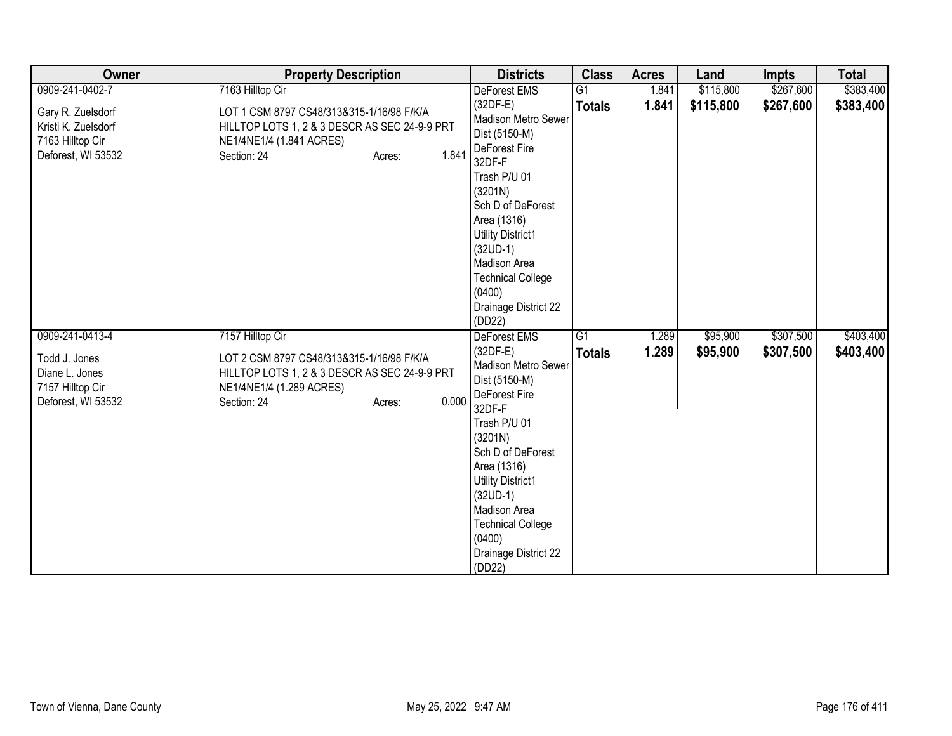| Owner                                                                                        | <b>Property Description</b>                                                                                                                                                  | <b>Districts</b>                                                                                                                                                                                                                                                                                      | <b>Class</b>        | <b>Acres</b>   | Land                 | <b>Impts</b>           | <b>Total</b>           |
|----------------------------------------------------------------------------------------------|------------------------------------------------------------------------------------------------------------------------------------------------------------------------------|-------------------------------------------------------------------------------------------------------------------------------------------------------------------------------------------------------------------------------------------------------------------------------------------------------|---------------------|----------------|----------------------|------------------------|------------------------|
| 0909-241-0402-7                                                                              | 7163 Hilltop Cir                                                                                                                                                             | DeForest EMS                                                                                                                                                                                                                                                                                          | G1                  | 1.841          | \$115,800            | \$267,600              | \$383,400              |
| Gary R. Zuelsdorf<br>Kristi K. Zuelsdorf<br>7163 Hilltop Cir<br>Deforest, WI 53532           | LOT 1 CSM 8797 CS48/313&315-1/16/98 F/K/A<br>HILLTOP LOTS 1, 2 & 3 DESCR AS SEC 24-9-9 PRT<br>NE1/4NE1/4 (1.841 ACRES)<br>1.841<br>Section: 24<br>Acres:                     | $(32DF-E)$<br>Madison Metro Sewer<br>Dist (5150-M)<br>DeForest Fire<br>32DF-F<br>Trash P/U 01<br>(3201N)<br>Sch D of DeForest<br>Area (1316)<br><b>Utility District1</b><br>$(32UD-1)$<br>Madison Area<br><b>Technical College</b><br>(0400)<br>Drainage District 22<br>(DD22)                        | <b>Totals</b>       | 1.841          | \$115,800            | \$267,600              | \$383,400              |
| 0909-241-0413-4<br>Todd J. Jones<br>Diane L. Jones<br>7157 Hilltop Cir<br>Deforest, WI 53532 | 7157 Hilltop Cir<br>LOT 2 CSM 8797 CS48/313&315-1/16/98 F/K/A<br>HILLTOP LOTS 1, 2 & 3 DESCR AS SEC 24-9-9 PRT<br>NE1/4NE1/4 (1.289 ACRES)<br>0.000<br>Section: 24<br>Acres: | DeForest EMS<br>$(32DF-E)$<br><b>Madison Metro Sewer</b><br>Dist (5150-M)<br>DeForest Fire<br>32DF-F<br>Trash P/U 01<br>(3201N)<br>Sch D of DeForest<br>Area (1316)<br><b>Utility District1</b><br>$(32UD-1)$<br>Madison Area<br><b>Technical College</b><br>(0400)<br>Drainage District 22<br>(DD22) | G1<br><b>Totals</b> | 1.289<br>1.289 | \$95,900<br>\$95,900 | \$307,500<br>\$307,500 | \$403,400<br>\$403,400 |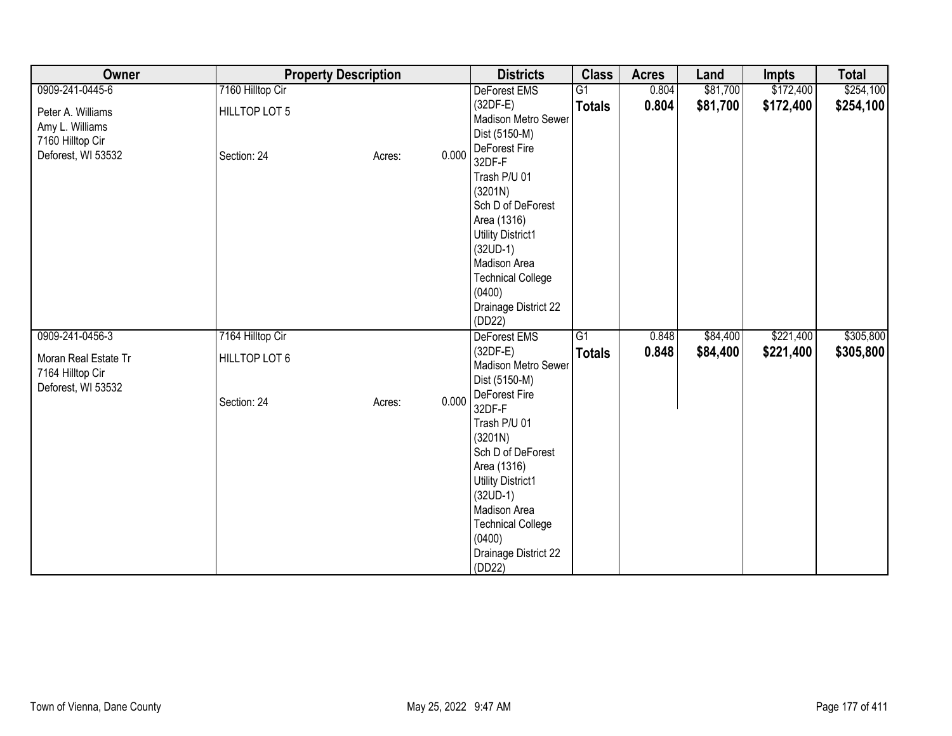| Owner                                                          | <b>Property Description</b> |                 | <b>Districts</b>                                                                                                                                                                                                         | <b>Class</b>    | <b>Acres</b> | Land     | <b>Impts</b> | <b>Total</b> |
|----------------------------------------------------------------|-----------------------------|-----------------|--------------------------------------------------------------------------------------------------------------------------------------------------------------------------------------------------------------------------|-----------------|--------------|----------|--------------|--------------|
| 0909-241-0445-6                                                | 7160 Hilltop Cir            |                 | DeForest EMS                                                                                                                                                                                                             | G1              | 0.804        | \$81,700 | \$172,400    | \$254,100    |
| Peter A. Williams<br>Amy L. Williams<br>7160 Hilltop Cir       | HILLTOP LOT 5               |                 | $(32DF-E)$<br>Madison Metro Sewer<br>Dist (5150-M)<br>DeForest Fire                                                                                                                                                      | <b>Totals</b>   | 0.804        | \$81,700 | \$172,400    | \$254,100    |
| Deforest, WI 53532                                             | Section: 24                 | 0.000<br>Acres: | 32DF-F<br>Trash P/U 01<br>(3201N)<br>Sch D of DeForest<br>Area (1316)<br><b>Utility District1</b><br>$(32UD-1)$<br>Madison Area<br><b>Technical College</b>                                                              |                 |              |          |              |              |
|                                                                |                             |                 | (0400)<br>Drainage District 22<br>(DD22)                                                                                                                                                                                 |                 |              |          |              |              |
| 0909-241-0456-3                                                | 7164 Hilltop Cir            |                 | DeForest EMS                                                                                                                                                                                                             | $\overline{G1}$ | 0.848        | \$84,400 | \$221,400    | \$305,800    |
| Moran Real Estate Tr<br>7164 Hilltop Cir<br>Deforest, WI 53532 | HILLTOP LOT 6               |                 | $(32DF-E)$<br>Madison Metro Sewer<br>Dist (5150-M)                                                                                                                                                                       | <b>Totals</b>   | 0.848        | \$84,400 | \$221,400    | \$305,800    |
|                                                                | Section: 24                 | 0.000<br>Acres: | DeForest Fire<br>32DF-F<br>Trash P/U 01<br>(3201N)<br>Sch D of DeForest<br>Area (1316)<br><b>Utility District1</b><br>$(32UD-1)$<br>Madison Area<br><b>Technical College</b><br>(0400)<br>Drainage District 22<br>(DD22) |                 |              |          |              |              |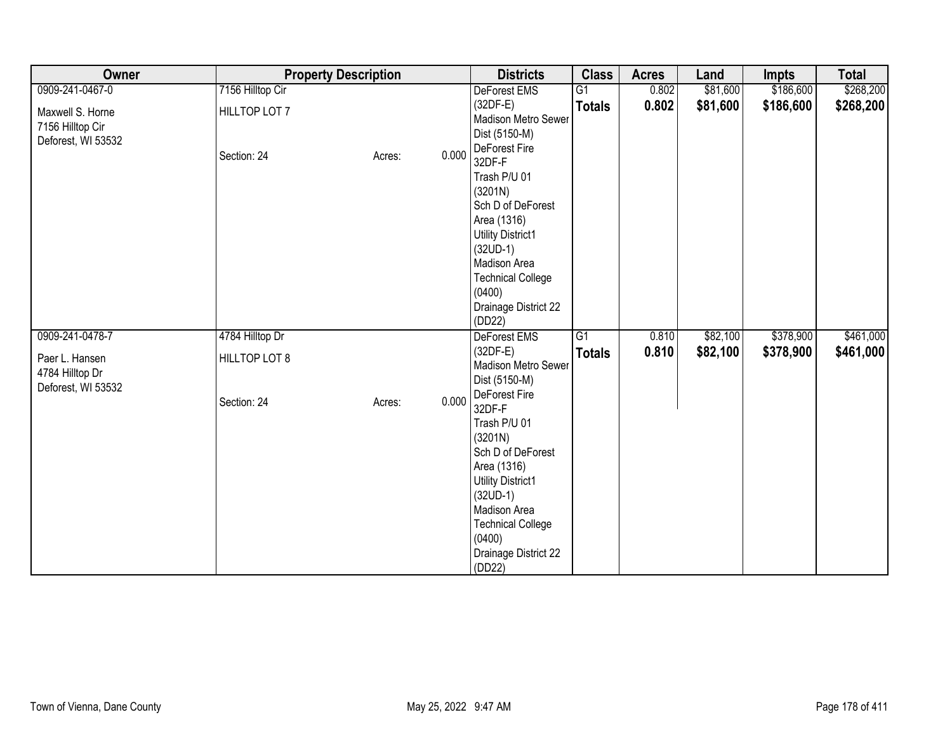| Owner                                                      | <b>Property Description</b>  |                 | <b>Districts</b>                                                                                                                                                                                                                                                       | <b>Class</b>  | <b>Acres</b> | Land     | <b>Impts</b> | <b>Total</b> |
|------------------------------------------------------------|------------------------------|-----------------|------------------------------------------------------------------------------------------------------------------------------------------------------------------------------------------------------------------------------------------------------------------------|---------------|--------------|----------|--------------|--------------|
| 0909-241-0467-0                                            | 7156 Hilltop Cir             |                 | DeForest EMS                                                                                                                                                                                                                                                           | G1            | 0.802        | \$81,600 | \$186,600    | \$268,200    |
| Maxwell S. Horne<br>7156 Hilltop Cir<br>Deforest, WI 53532 | HILLTOP LOT 7                |                 | $(32DF-E)$<br>Madison Metro Sewer<br>Dist (5150-M)                                                                                                                                                                                                                     | <b>Totals</b> | 0.802        | \$81,600 | \$186,600    | \$268,200    |
|                                                            | Section: 24                  | 0.000<br>Acres: | DeForest Fire<br>32DF-F                                                                                                                                                                                                                                                |               |              |          |              |              |
|                                                            |                              |                 | Trash P/U 01<br>(3201N)                                                                                                                                                                                                                                                |               |              |          |              |              |
|                                                            |                              |                 | Sch D of DeForest                                                                                                                                                                                                                                                      |               |              |          |              |              |
|                                                            |                              |                 | Area (1316)                                                                                                                                                                                                                                                            |               |              |          |              |              |
|                                                            |                              |                 | <b>Utility District1</b>                                                                                                                                                                                                                                               |               |              |          |              |              |
|                                                            |                              |                 | Madison Area                                                                                                                                                                                                                                                           |               |              |          |              |              |
|                                                            |                              |                 | <b>Technical College</b>                                                                                                                                                                                                                                               |               |              |          |              |              |
|                                                            |                              |                 |                                                                                                                                                                                                                                                                        |               |              |          |              |              |
|                                                            |                              |                 |                                                                                                                                                                                                                                                                        |               |              |          |              |              |
| 0909-241-0478-7                                            | 4784 Hilltop Dr              |                 | <b>DeForest EMS</b>                                                                                                                                                                                                                                                    | G1            | 0.810        | \$82,100 | \$378,900    | \$461,000    |
|                                                            |                              |                 | $(32DF-E)$                                                                                                                                                                                                                                                             | <b>Totals</b> | 0.810        | \$82,100 | \$378,900    | \$461,000    |
| 4784 Hilltop Dr                                            |                              |                 |                                                                                                                                                                                                                                                                        |               |              |          |              |              |
|                                                            |                              |                 | DeForest Fire                                                                                                                                                                                                                                                          |               |              |          |              |              |
|                                                            |                              |                 | 32DF-F                                                                                                                                                                                                                                                                 |               |              |          |              |              |
|                                                            |                              |                 |                                                                                                                                                                                                                                                                        |               |              |          |              |              |
|                                                            |                              |                 |                                                                                                                                                                                                                                                                        |               |              |          |              |              |
|                                                            |                              |                 | Area (1316)                                                                                                                                                                                                                                                            |               |              |          |              |              |
|                                                            |                              |                 |                                                                                                                                                                                                                                                                        |               |              |          |              |              |
|                                                            |                              |                 |                                                                                                                                                                                                                                                                        |               |              |          |              |              |
|                                                            |                              |                 |                                                                                                                                                                                                                                                                        |               |              |          |              |              |
|                                                            |                              |                 | (0400)                                                                                                                                                                                                                                                                 |               |              |          |              |              |
|                                                            |                              |                 |                                                                                                                                                                                                                                                                        |               |              |          |              |              |
| Paer L. Hansen<br>Deforest, WI 53532                       | HILLTOP LOT 8<br>Section: 24 | 0.000<br>Acres: | $(32UD-1)$<br>(0400)<br>Drainage District 22<br>(DD22)<br>Madison Metro Sewer<br>Dist (5150-M)<br>Trash P/U 01<br>(3201N)<br>Sch D of DeForest<br><b>Utility District1</b><br>$(32UD-1)$<br>Madison Area<br><b>Technical College</b><br>Drainage District 22<br>(DD22) |               |              |          |              |              |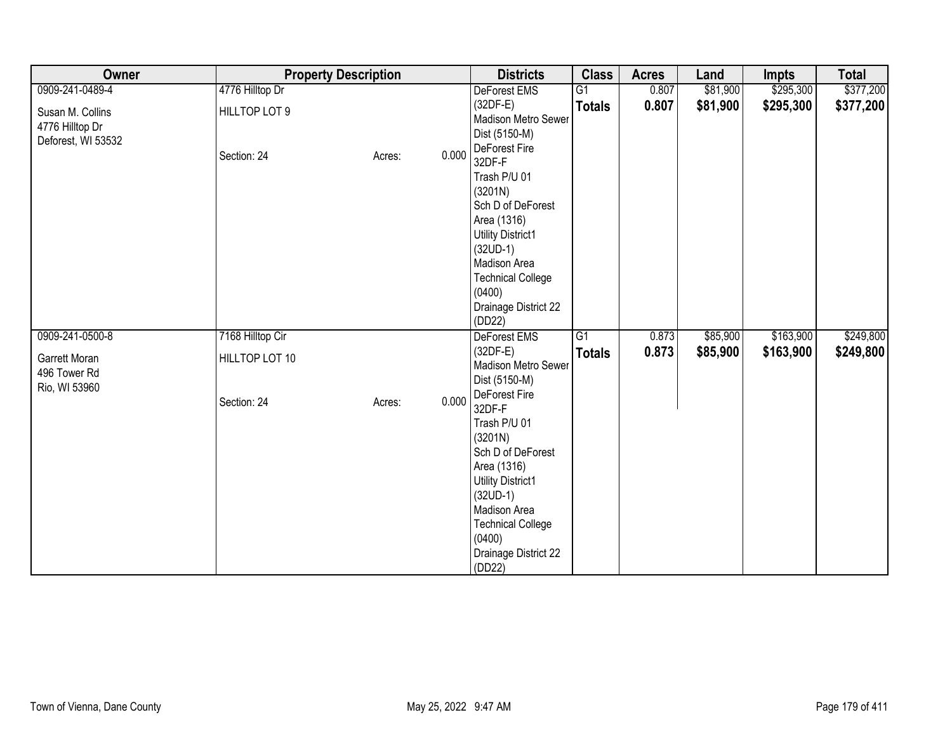| Owner                                                     | <b>Property Description</b> |        |       | <b>Districts</b>                                   | <b>Class</b>  | <b>Acres</b> | Land     | <b>Impts</b> | <b>Total</b> |
|-----------------------------------------------------------|-----------------------------|--------|-------|----------------------------------------------------|---------------|--------------|----------|--------------|--------------|
| 0909-241-0489-4                                           | 4776 Hilltop Dr             |        |       | DeForest EMS                                       | G1            | 0.807        | \$81,900 | \$295,300    | \$377,200    |
| Susan M. Collins<br>4776 Hilltop Dr<br>Deforest, WI 53532 | HILLTOP LOT 9               |        |       | $(32DF-E)$<br>Madison Metro Sewer<br>Dist (5150-M) | <b>Totals</b> | 0.807        | \$81,900 | \$295,300    | \$377,200    |
|                                                           | Section: 24                 | Acres: | 0.000 | DeForest Fire<br>32DF-F                            |               |              |          |              |              |
|                                                           |                             |        |       | Trash P/U 01<br>(3201N)                            |               |              |          |              |              |
|                                                           |                             |        |       | Sch D of DeForest                                  |               |              |          |              |              |
|                                                           |                             |        |       | Area (1316)                                        |               |              |          |              |              |
|                                                           |                             |        |       | <b>Utility District1</b><br>$(32UD-1)$             |               |              |          |              |              |
|                                                           |                             |        |       | Madison Area                                       |               |              |          |              |              |
|                                                           |                             |        |       | <b>Technical College</b>                           |               |              |          |              |              |
|                                                           |                             |        |       | (0400)                                             |               |              |          |              |              |
|                                                           |                             |        |       | Drainage District 22<br>(DD22)                     |               |              |          |              |              |
| 0909-241-0500-8                                           | 7168 Hilltop Cir            |        |       | <b>DeForest EMS</b>                                | G1            | 0.873        | \$85,900 | \$163,900    | \$249,800    |
|                                                           |                             |        |       | $(32DF-E)$                                         | <b>Totals</b> | 0.873        | \$85,900 | \$163,900    | \$249,800    |
| Garrett Moran<br>496 Tower Rd                             | HILLTOP LOT 10              |        |       | Madison Metro Sewer                                |               |              |          |              |              |
| Rio, WI 53960                                             |                             |        |       | Dist (5150-M)                                      |               |              |          |              |              |
|                                                           | Section: 24                 | Acres: | 0.000 | DeForest Fire<br>32DF-F                            |               |              |          |              |              |
|                                                           |                             |        |       | Trash P/U 01                                       |               |              |          |              |              |
|                                                           |                             |        |       | (3201N)                                            |               |              |          |              |              |
|                                                           |                             |        |       | Sch D of DeForest                                  |               |              |          |              |              |
|                                                           |                             |        |       | Area (1316)<br><b>Utility District1</b>            |               |              |          |              |              |
|                                                           |                             |        |       | $(32UD-1)$                                         |               |              |          |              |              |
|                                                           |                             |        |       | Madison Area                                       |               |              |          |              |              |
|                                                           |                             |        |       | <b>Technical College</b>                           |               |              |          |              |              |
|                                                           |                             |        |       | (0400)                                             |               |              |          |              |              |
|                                                           |                             |        |       | Drainage District 22<br>(DD22)                     |               |              |          |              |              |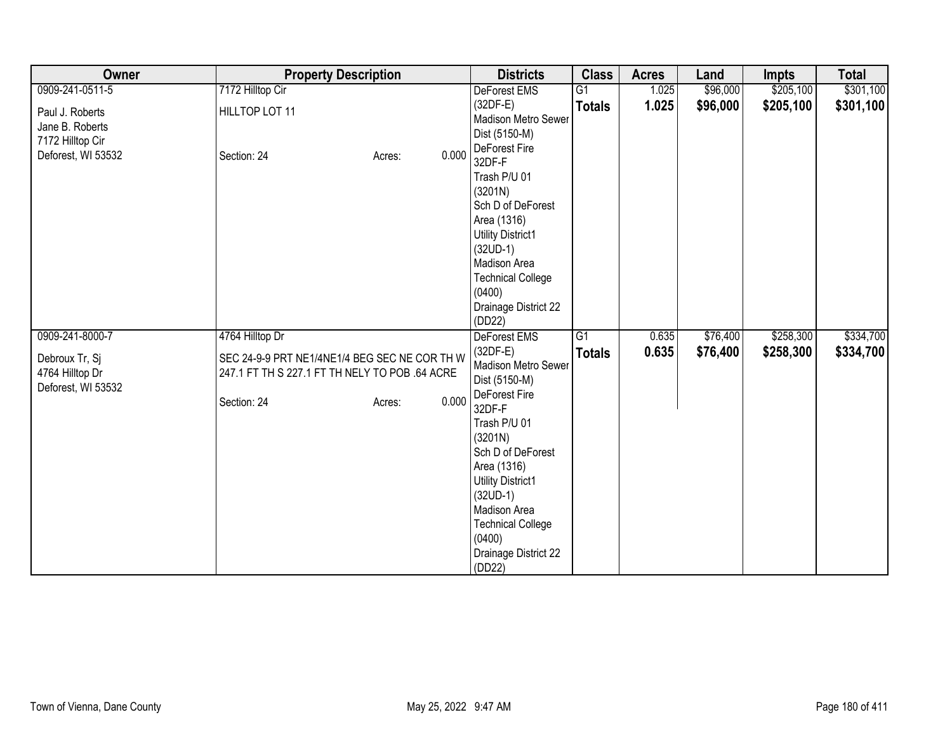| Owner                                                   | <b>Property Description</b>                                                                                                       | <b>Districts</b>                                                                                                                                                                                                                                                               | <b>Class</b>    | <b>Acres</b> | Land     | <b>Impts</b> | <b>Total</b> |
|---------------------------------------------------------|-----------------------------------------------------------------------------------------------------------------------------------|--------------------------------------------------------------------------------------------------------------------------------------------------------------------------------------------------------------------------------------------------------------------------------|-----------------|--------------|----------|--------------|--------------|
| 0909-241-0511-5                                         | 7172 Hilltop Cir                                                                                                                  | DeForest EMS                                                                                                                                                                                                                                                                   | $\overline{G1}$ | 1.025        | \$96,000 | \$205,100    | \$301,100    |
| Paul J. Roberts<br>Jane B. Roberts<br>7172 Hilltop Cir  | HILLTOP LOT 11                                                                                                                    | $(32DF-E)$<br>Madison Metro Sewer<br>Dist (5150-M)<br>DeForest Fire                                                                                                                                                                                                            | <b>Totals</b>   | 1.025        | \$96,000 | \$205,100    | \$301,100    |
| Deforest, WI 53532                                      | 0.000<br>Section: 24<br>Acres:                                                                                                    | 32DF-F<br>Trash P/U 01<br>(3201N)<br>Sch D of DeForest<br>Area (1316)<br><b>Utility District1</b><br>$(32UD-1)$<br>Madison Area<br><b>Technical College</b><br>(0400)<br>Drainage District 22<br>(DD22)                                                                        |                 |              |          |              |              |
| 0909-241-8000-7                                         | 4764 Hilltop Dr                                                                                                                   | DeForest EMS                                                                                                                                                                                                                                                                   | G <sub>1</sub>  | 0.635        | \$76,400 | \$258,300    | \$334,700    |
| Debroux Tr, Sj<br>4764 Hilltop Dr<br>Deforest, WI 53532 | SEC 24-9-9 PRT NE1/4NE1/4 BEG SEC NE COR TH W<br>247.1 FT TH S 227.1 FT TH NELY TO POB .64 ACRE<br>0.000<br>Section: 24<br>Acres: | $(32DF-E)$<br>Madison Metro Sewer<br>Dist (5150-M)<br>DeForest Fire<br>32DF-F<br>Trash P/U 01<br>(3201N)<br>Sch D of DeForest<br>Area (1316)<br><b>Utility District1</b><br>$(32UD-1)$<br>Madison Area<br><b>Technical College</b><br>(0400)<br>Drainage District 22<br>(DD22) | <b>Totals</b>   | 0.635        | \$76,400 | \$258,300    | \$334,700    |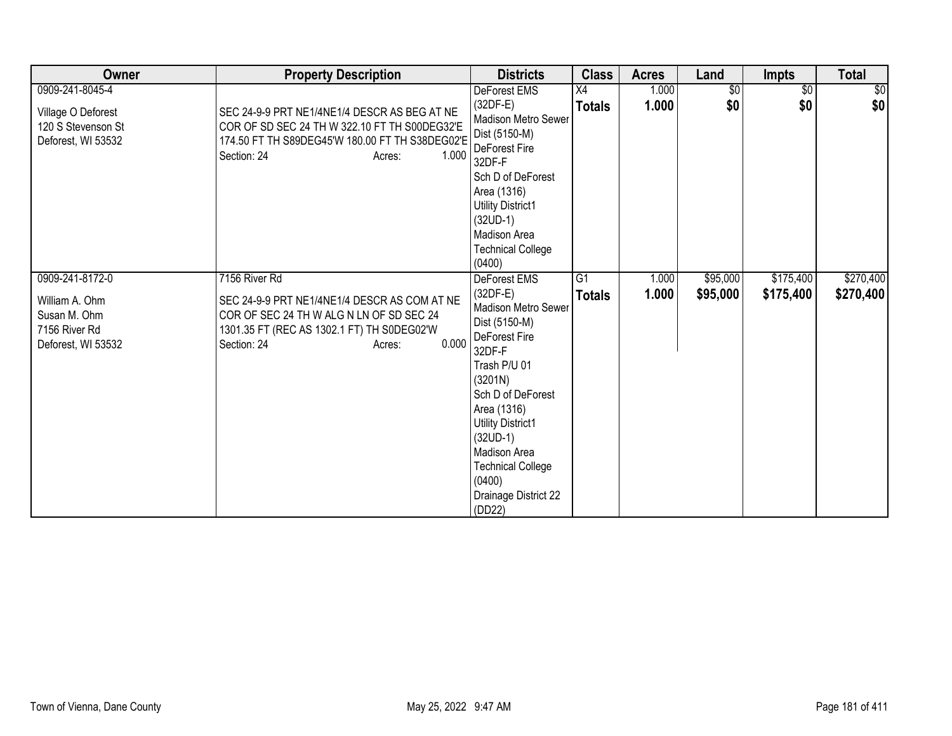| Owner                                                                                    | <b>Property Description</b>                                                                                                                                                               | <b>Districts</b>                                                                                                                                                                                                                                                                               | <b>Class</b>                     | <b>Acres</b>   | Land                 | <b>Impts</b>           | <b>Total</b>           |
|------------------------------------------------------------------------------------------|-------------------------------------------------------------------------------------------------------------------------------------------------------------------------------------------|------------------------------------------------------------------------------------------------------------------------------------------------------------------------------------------------------------------------------------------------------------------------------------------------|----------------------------------|----------------|----------------------|------------------------|------------------------|
| 0909-241-8045-4<br>Village O Deforest<br>120 S Stevenson St<br>Deforest, WI 53532        | SEC 24-9-9 PRT NE1/4NE1/4 DESCR AS BEG AT NE<br>COR OF SD SEC 24 TH W 322.10 FT TH S00DEG32'E<br>174.50 FT TH S89DEG45'W 180.00 FT TH S38DEG02'E<br>1.000<br>Section: 24<br>Acres:        | DeForest EMS<br>$(32DF-E)$<br>Madison Metro Sewer<br>Dist (5150-M)<br><b>DeForest Fire</b><br>32DF-F<br>Sch D of DeForest<br>Area (1316)<br><b>Utility District1</b><br>$(32UD-1)$<br>Madison Area<br><b>Technical College</b><br>(0400)                                                       | X4<br><b>Totals</b>              | 1.000<br>1.000 | $\sqrt{$0}$<br>\$0   | $\overline{50}$<br>\$0 | 30 <br>\$0             |
| 0909-241-8172-0<br>William A. Ohm<br>Susan M. Ohm<br>7156 River Rd<br>Deforest, WI 53532 | 7156 River Rd<br>SEC 24-9-9 PRT NE1/4NE1/4 DESCR AS COM AT NE<br>COR OF SEC 24 TH W ALG N LN OF SD SEC 24<br>1301.35 FT (REC AS 1302.1 FT) TH S0DEG02'W<br>0.000<br>Section: 24<br>Acres: | DeForest EMS<br>$(32DF-E)$<br>Madison Metro Sewer<br>Dist (5150-M)<br>DeForest Fire<br>32DF-F<br>Trash P/U 01<br>(3201N)<br>Sch D of DeForest<br>Area (1316)<br>Utility District1<br>$(32UD-1)$<br><b>Madison Area</b><br><b>Technical College</b><br>(0400)<br>Drainage District 22<br>(DD22) | $\overline{G1}$<br><b>Totals</b> | 1.000<br>1.000 | \$95,000<br>\$95,000 | \$175,400<br>\$175,400 | \$270,400<br>\$270,400 |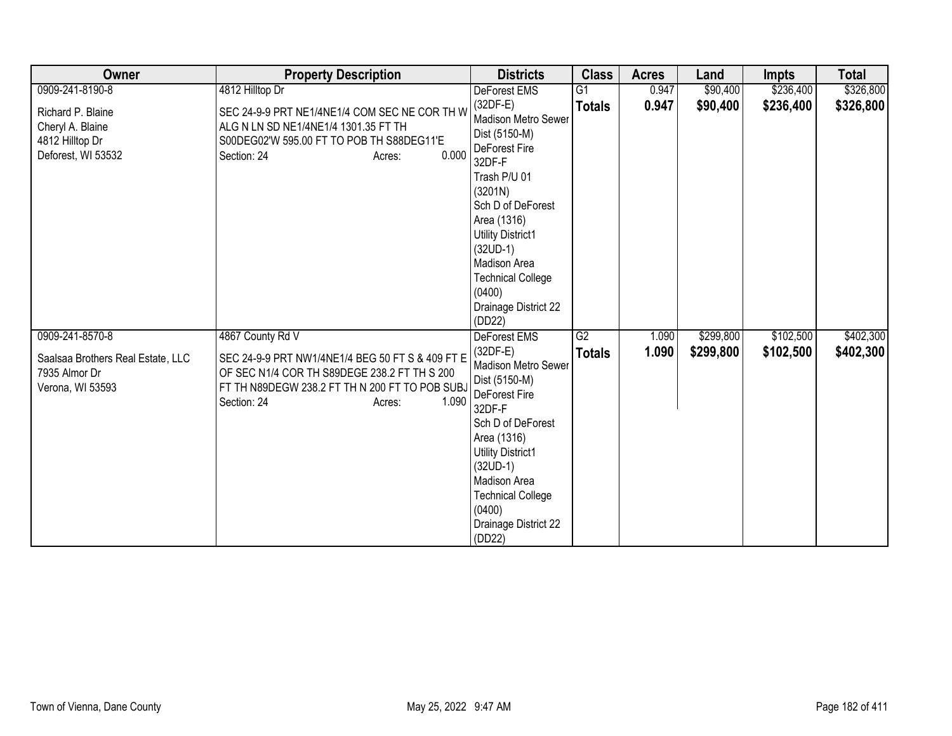| Owner                                                                                     | <b>Property Description</b>                                                                                                                                                                              | <b>Districts</b>                                                                                                                                                                                                                                                               | <b>Class</b>        | <b>Acres</b>   | Land                   | <b>Impts</b>           | <b>Total</b>           |
|-------------------------------------------------------------------------------------------|----------------------------------------------------------------------------------------------------------------------------------------------------------------------------------------------------------|--------------------------------------------------------------------------------------------------------------------------------------------------------------------------------------------------------------------------------------------------------------------------------|---------------------|----------------|------------------------|------------------------|------------------------|
| 0909-241-8190-8                                                                           | 4812 Hilltop Dr                                                                                                                                                                                          | DeForest EMS                                                                                                                                                                                                                                                                   | $\overline{G1}$     | 0.947          | \$90,400               | \$236,400              | \$326,800              |
| Richard P. Blaine<br>Cheryl A. Blaine<br>4812 Hilltop Dr<br>Deforest, WI 53532            | SEC 24-9-9 PRT NE1/4NE1/4 COM SEC NE COR TH W<br>ALG N LN SD NE1/4NE1/4 1301.35 FT TH<br>S00DEG02'W 595.00 FT TO POB TH S88DEG11'E<br>0.000<br>Section: 24<br>Acres:                                     | $(32DF-E)$<br>Madison Metro Sewer<br>Dist (5150-M)<br>DeForest Fire<br>32DF-F<br>Trash P/U 01<br>(3201N)<br>Sch D of DeForest<br>Area (1316)<br><b>Utility District1</b><br>$(32UD-1)$<br>Madison Area<br><b>Technical College</b><br>(0400)<br>Drainage District 22<br>(DD22) | <b>Totals</b>       | 0.947          | \$90,400               | \$236,400              | \$326,800              |
| 0909-241-8570-8<br>Saalsaa Brothers Real Estate, LLC<br>7935 Almor Dr<br>Verona, WI 53593 | 4867 County Rd V<br>SEC 24-9-9 PRT NW1/4NE1/4 BEG 50 FT S & 409 FT E<br>OF SEC N1/4 COR TH S89DEGE 238.2 FT TH S 200<br>FT TH N89DEGW 238.2 FT TH N 200 FT TO POB SUBJ<br>1.090<br>Section: 24<br>Acres: | <b>DeForest EMS</b><br>$(32DF-E)$<br>Madison Metro Sewer<br>Dist (5150-M)<br>DeForest Fire<br>32DF-F<br>Sch D of DeForest<br>Area (1316)<br><b>Utility District1</b><br>$(32UD-1)$<br>Madison Area<br><b>Technical College</b><br>(0400)<br>Drainage District 22<br>(DD22)     | G2<br><b>Totals</b> | 1.090<br>1.090 | \$299,800<br>\$299,800 | \$102,500<br>\$102,500 | \$402,300<br>\$402,300 |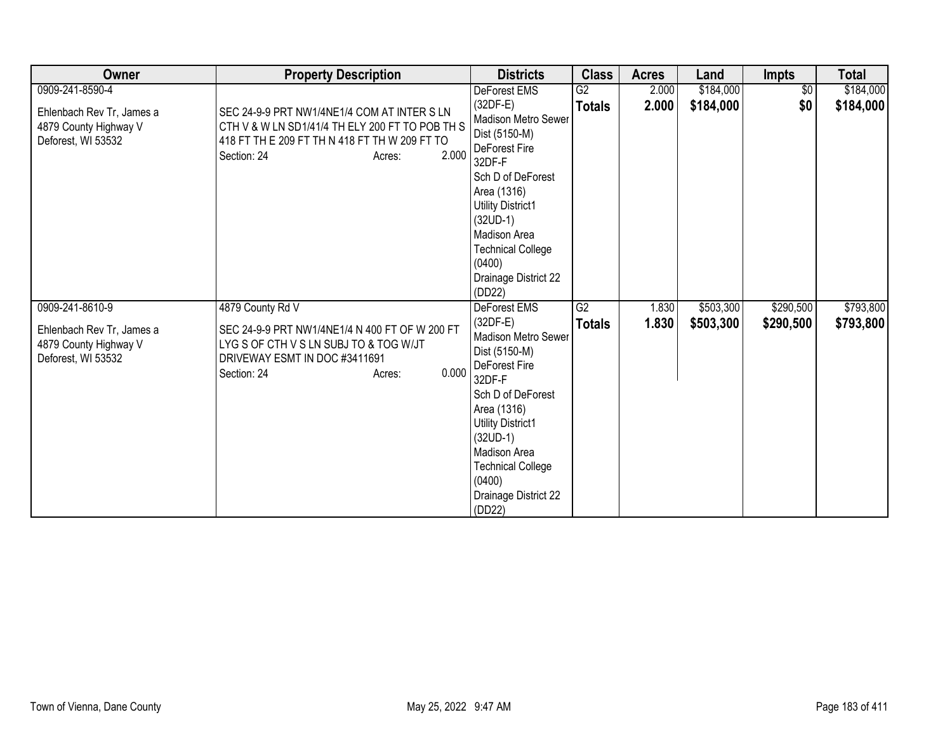| Owner                                                                                       | <b>Property Description</b>                                                                                                                                                       | <b>Districts</b>                                                                                                                                                                                                                                    | <b>Class</b>        | <b>Acres</b>   | Land                   | <b>Impts</b>           | <b>Total</b>           |
|---------------------------------------------------------------------------------------------|-----------------------------------------------------------------------------------------------------------------------------------------------------------------------------------|-----------------------------------------------------------------------------------------------------------------------------------------------------------------------------------------------------------------------------------------------------|---------------------|----------------|------------------------|------------------------|------------------------|
| 0909-241-8590-4                                                                             |                                                                                                                                                                                   | DeForest EMS                                                                                                                                                                                                                                        | G2                  | 2.000          | \$184,000              | \$0                    | \$184,000              |
| Ehlenbach Rev Tr, James a<br>4879 County Highway V<br>Deforest, WI 53532                    | SEC 24-9-9 PRT NW1/4NE1/4 COM AT INTER S LN<br>CTH V & W LN SD1/41/4 TH ELY 200 FT TO POB TH S<br>418 FT TH E 209 FT TH N 418 FT TH W 209 FT TO<br>2.000<br>Section: 24<br>Acres: | $(32DF-E)$<br>Madison Metro Sewer<br>Dist (5150-M)<br>DeForest Fire<br>32DF-F<br>Sch D of DeForest<br>Area (1316)<br><b>Utility District1</b><br>$(32UD-1)$<br>Madison Area<br><b>Technical College</b><br>(0400)<br>Drainage District 22<br>(DD22) | <b>Totals</b>       | 2.000          | \$184,000              | \$0                    | \$184,000              |
| 0909-241-8610-9<br>Ehlenbach Rev Tr, James a<br>4879 County Highway V<br>Deforest, WI 53532 | 4879 County Rd V<br>SEC 24-9-9 PRT NW1/4NE1/4 N 400 FT OF W 200 FT<br>LYG S OF CTH V S LN SUBJ TO & TOG W/JT<br>DRIVEWAY ESMT IN DOC #3411691<br>0.000<br>Section: 24<br>Acres:   | <b>DeForest EMS</b><br>$(32DF-E)$<br><b>Madison Metro Sewer</b><br>Dist (5150-M)<br>DeForest Fire<br>32DF-F<br>Sch D of DeForest<br>Area (1316)<br><b>Utility District1</b><br>$(32UD-1)$<br>Madison Area<br><b>Technical College</b><br>(0400)     | G2<br><b>Totals</b> | 1.830<br>1.830 | \$503,300<br>\$503,300 | \$290,500<br>\$290,500 | \$793,800<br>\$793,800 |
|                                                                                             |                                                                                                                                                                                   | Drainage District 22<br>(DD22)                                                                                                                                                                                                                      |                     |                |                        |                        |                        |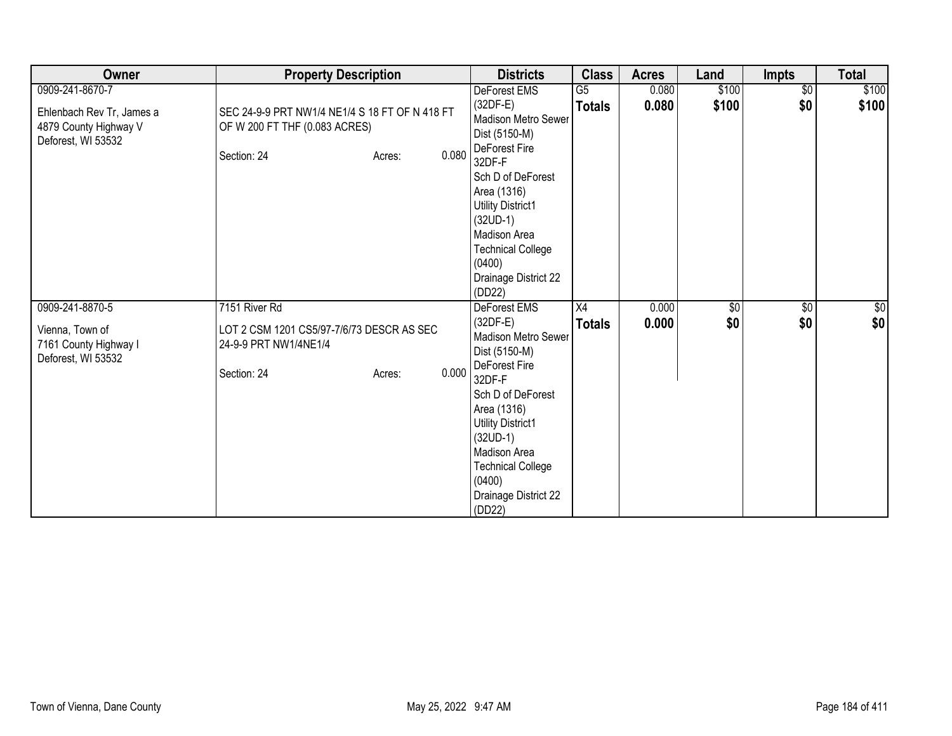| Owner                                                                    | <b>Property Description</b>                                                     |                 | <b>Districts</b>                                                                                                                                                      | <b>Class</b>        | <b>Acres</b>   | Land              | <b>Impts</b>           | <b>Total</b> |
|--------------------------------------------------------------------------|---------------------------------------------------------------------------------|-----------------|-----------------------------------------------------------------------------------------------------------------------------------------------------------------------|---------------------|----------------|-------------------|------------------------|--------------|
| 0909-241-8670-7                                                          |                                                                                 |                 | DeForest EMS                                                                                                                                                          | $\overline{G5}$     | 0.080          | \$100             | $\overline{50}$        | \$100        |
| Ehlenbach Rev Tr, James a<br>4879 County Highway V<br>Deforest, WI 53532 | SEC 24-9-9 PRT NW1/4 NE1/4 S 18 FT OF N 418 FT<br>OF W 200 FT THF (0.083 ACRES) |                 | $(32DF-E)$<br>Madison Metro Sewer<br>Dist (5150-M)<br>DeForest Fire                                                                                                   | <b>Totals</b>       | 0.080          | \$100             | \$0                    | \$100        |
|                                                                          | Section: 24                                                                     | 0.080<br>Acres: | 32DF-F<br>Sch D of DeForest<br>Area (1316)<br>Utility District1<br>$(32UD-1)$<br>Madison Area<br><b>Technical College</b><br>(0400)<br>Drainage District 22<br>(DD22) |                     |                |                   |                        |              |
| 0909-241-8870-5                                                          | 7151 River Rd                                                                   |                 | <b>DeForest EMS</b><br>$(32DF-E)$                                                                                                                                     | X4<br><b>Totals</b> | 0.000<br>0.000 | $\sqrt{6}$<br>\$0 | $\overline{60}$<br>\$0 | \$0<br>\$0   |
| Vienna, Town of<br>7161 County Highway I<br>Deforest, WI 53532           | LOT 2 CSM 1201 CS5/97-7/6/73 DESCR AS SEC<br>24-9-9 PRT NW1/4NE1/4              |                 | <b>Madison Metro Sewer</b><br>Dist (5150-M)                                                                                                                           |                     |                |                   |                        |              |
|                                                                          | Section: 24                                                                     | 0.000<br>Acres: | DeForest Fire<br>32DF-F<br>Sch D of DeForest<br>Area (1316)<br>Utility District1<br>$(32UD-1)$<br>Madison Area                                                        |                     |                |                   |                        |              |
|                                                                          |                                                                                 |                 | <b>Technical College</b><br>(0400)<br>Drainage District 22<br>(DD22)                                                                                                  |                     |                |                   |                        |              |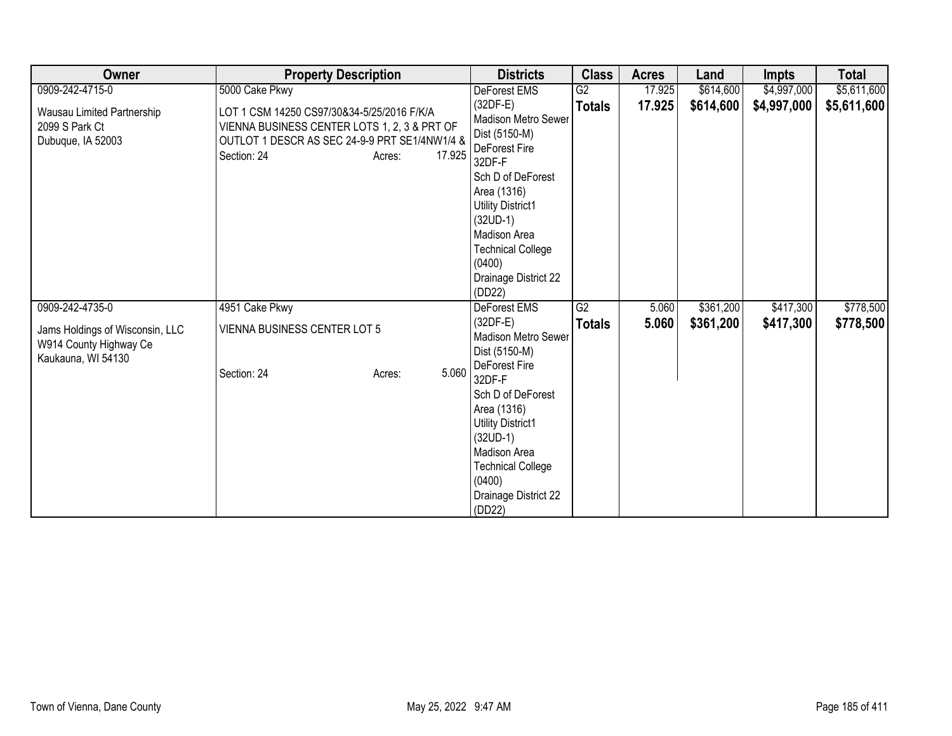| Owner                                                                           | <b>Property Description</b>                                                                                                                                                    | <b>Districts</b>                                                                                                                                                                              | <b>Class</b>  | <b>Acres</b> | Land      | <b>Impts</b> | <b>Total</b> |
|---------------------------------------------------------------------------------|--------------------------------------------------------------------------------------------------------------------------------------------------------------------------------|-----------------------------------------------------------------------------------------------------------------------------------------------------------------------------------------------|---------------|--------------|-----------|--------------|--------------|
| 0909-242-4715-0                                                                 | 5000 Cake Pkwy                                                                                                                                                                 | DeForest EMS                                                                                                                                                                                  | G2            | 17.925       | \$614,600 | \$4,997,000  | \$5,611,600  |
| Wausau Limited Partnership<br>2099 S Park Ct<br>Dubuque, IA 52003               | LOT 1 CSM 14250 CS97/30&34-5/25/2016 F/K/A<br>VIENNA BUSINESS CENTER LOTS 1, 2, 3 & PRT OF<br>OUTLOT 1 DESCR AS SEC 24-9-9 PRT SE1/4NW1/4 &<br>17.925<br>Section: 24<br>Acres: | $(32DF-E)$<br>Madison Metro Sewer<br>Dist (5150-M)<br>DeForest Fire<br>32DF-F                                                                                                                 | <b>Totals</b> | 17.925       | \$614,600 | \$4,997,000  | \$5,611,600  |
|                                                                                 |                                                                                                                                                                                | Sch D of DeForest<br>Area (1316)<br><b>Utility District1</b><br>$(32UD-1)$<br>Madison Area<br><b>Technical College</b><br>(0400)<br>Drainage District 22<br>(DD22)                            |               |              |           |              |              |
| 0909-242-4735-0                                                                 | 4951 Cake Pkwy                                                                                                                                                                 | <b>DeForest EMS</b>                                                                                                                                                                           | G2            | 5.060        | \$361,200 | \$417,300    | \$778,500    |
| Jams Holdings of Wisconsin, LLC<br>W914 County Highway Ce<br>Kaukauna, WI 54130 | <b>VIENNA BUSINESS CENTER LOT 5</b>                                                                                                                                            | $(32DF-E)$<br>Madison Metro Sewer<br>Dist (5150-M)                                                                                                                                            | <b>Totals</b> | 5.060        | \$361,200 | \$417,300    | \$778,500    |
|                                                                                 | 5.060<br>Section: 24<br>Acres:                                                                                                                                                 | DeForest Fire<br>32DF-F<br>Sch D of DeForest<br>Area (1316)<br><b>Utility District1</b><br>$(32UD-1)$<br>Madison Area<br><b>Technical College</b><br>(0400)<br>Drainage District 22<br>(DD22) |               |              |           |              |              |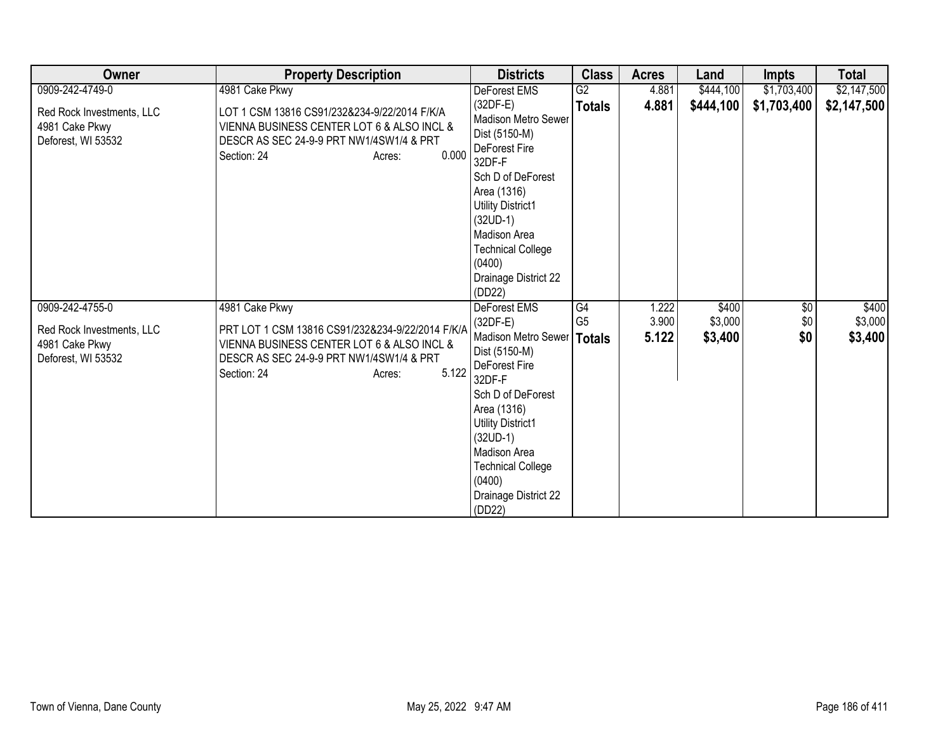| Owner                                                             | <b>Property Description</b>                                                                                                                                                  | <b>Districts</b>                                                                                                                                                                                                                                             | <b>Class</b>   | <b>Acres</b>   | Land               | Impts           | <b>Total</b>       |
|-------------------------------------------------------------------|------------------------------------------------------------------------------------------------------------------------------------------------------------------------------|--------------------------------------------------------------------------------------------------------------------------------------------------------------------------------------------------------------------------------------------------------------|----------------|----------------|--------------------|-----------------|--------------------|
| 0909-242-4749-0                                                   | 4981 Cake Pkwy                                                                                                                                                               | DeForest EMS                                                                                                                                                                                                                                                 | G2             | 4.881          | \$444,100          | \$1,703,400     | \$2,147,500        |
| Red Rock Investments, LLC<br>4981 Cake Pkwy<br>Deforest, WI 53532 | LOT 1 CSM 13816 CS91/232&234-9/22/2014 F/K/A<br>VIENNA BUSINESS CENTER LOT 6 & ALSO INCL &<br>DESCR AS SEC 24-9-9 PRT NW1/4SW1/4 & PRT<br>0.000<br>Section: 24<br>Acres:     | $(32DF-E)$<br>Madison Metro Sewer<br>Dist (5150-M)<br>DeForest Fire<br>32DF-F<br>Sch D of DeForest<br>Area (1316)<br>Utility District1<br>$(32UD-1)$<br>Madison Area<br><b>Technical College</b><br>(0400)<br>Drainage District 22<br>(DD22)                 | <b>Totals</b>  | 4.881          | \$444,100          | \$1,703,400     | \$2,147,500        |
| 0909-242-4755-0                                                   | 4981 Cake Pkwy                                                                                                                                                               | <b>DeForest EMS</b>                                                                                                                                                                                                                                          | G4             | 1.222          | \$400              | $\overline{60}$ | \$400              |
| Red Rock Investments, LLC<br>4981 Cake Pkwy<br>Deforest, WI 53532 | PRT LOT 1 CSM 13816 CS91/232&234-9/22/2014 F/K/A<br>VIENNA BUSINESS CENTER LOT 6 & ALSO INCL &<br>DESCR AS SEC 24-9-9 PRT NW1/4SW1/4 & PRT<br>5.122<br>Section: 24<br>Acres: | $(32DF-E)$<br>Madison Metro Sewer   Totals<br>Dist (5150-M)<br>DeForest Fire<br>32DF-F<br>Sch D of DeForest<br>Area (1316)<br><b>Utility District1</b><br>$(32UD-1)$<br>Madison Area<br><b>Technical College</b><br>(0400)<br>Drainage District 22<br>(DD22) | G <sub>5</sub> | 3.900<br>5.122 | \$3,000<br>\$3,400 | \$0<br>\$0      | \$3,000<br>\$3,400 |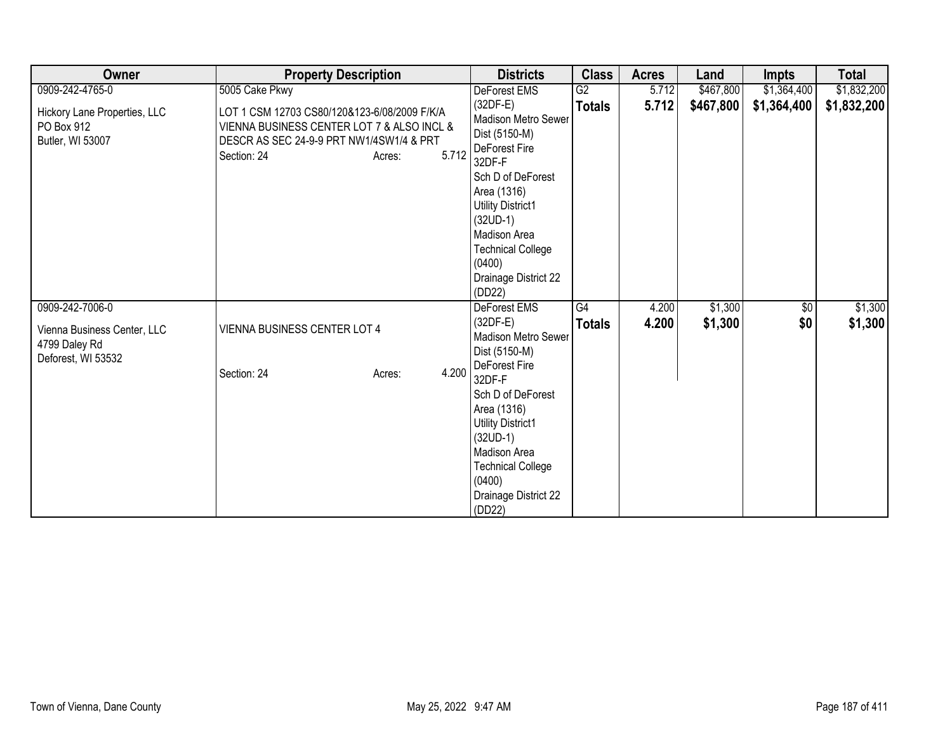| Owner                                                              | <b>Property Description</b>                                                                                                                                              | <b>Districts</b>                                                                                                                                                                       | <b>Class</b>  | <b>Acres</b> | Land      | <b>Impts</b> | <b>Total</b> |
|--------------------------------------------------------------------|--------------------------------------------------------------------------------------------------------------------------------------------------------------------------|----------------------------------------------------------------------------------------------------------------------------------------------------------------------------------------|---------------|--------------|-----------|--------------|--------------|
| 0909-242-4765-0                                                    | 5005 Cake Pkwy                                                                                                                                                           | DeForest EMS                                                                                                                                                                           | G2            | 5.712        | \$467,800 | \$1,364,400  | \$1,832,200  |
| Hickory Lane Properties, LLC<br>PO Box 912<br>Butler, WI 53007     | LOT 1 CSM 12703 CS80/120&123-6/08/2009 F/K/A<br>VIENNA BUSINESS CENTER LOT 7 & ALSO INCL &<br>DESCR AS SEC 24-9-9 PRT NW1/4SW1/4 & PRT<br>5.712<br>Section: 24<br>Acres: | $(32DF-E)$<br>Madison Metro Sewer<br>Dist (5150-M)<br>DeForest Fire<br>32DF-F                                                                                                          | <b>Totals</b> | 5.712        | \$467,800 | \$1,364,400  | \$1,832,200  |
|                                                                    |                                                                                                                                                                          | Sch D of DeForest<br>Area (1316)<br><b>Utility District1</b><br>$(32UD-1)$<br>Madison Area<br><b>Technical College</b><br>(0400)<br>Drainage District 22<br>(DD22)                     |               |              |           |              |              |
| 0909-242-7006-0                                                    |                                                                                                                                                                          | DeForest EMS                                                                                                                                                                           | G4            | 4.200        | \$1,300   | $\sqrt{6}$   | \$1,300      |
| Vienna Business Center, LLC<br>4799 Daley Rd<br>Deforest, WI 53532 | VIENNA BUSINESS CENTER LOT 4                                                                                                                                             | $(32DF-E)$<br>Madison Metro Sewer<br>Dist (5150-M)                                                                                                                                     | <b>Totals</b> | 4.200        | \$1,300   | \$0          | \$1,300      |
|                                                                    | 4.200<br>Section: 24<br>Acres:                                                                                                                                           | DeForest Fire<br>32DF-F<br>Sch D of DeForest<br>Area (1316)<br>Utility District1<br>$(32UD-1)$<br>Madison Area<br><b>Technical College</b><br>(0400)<br>Drainage District 22<br>(DD22) |               |              |           |              |              |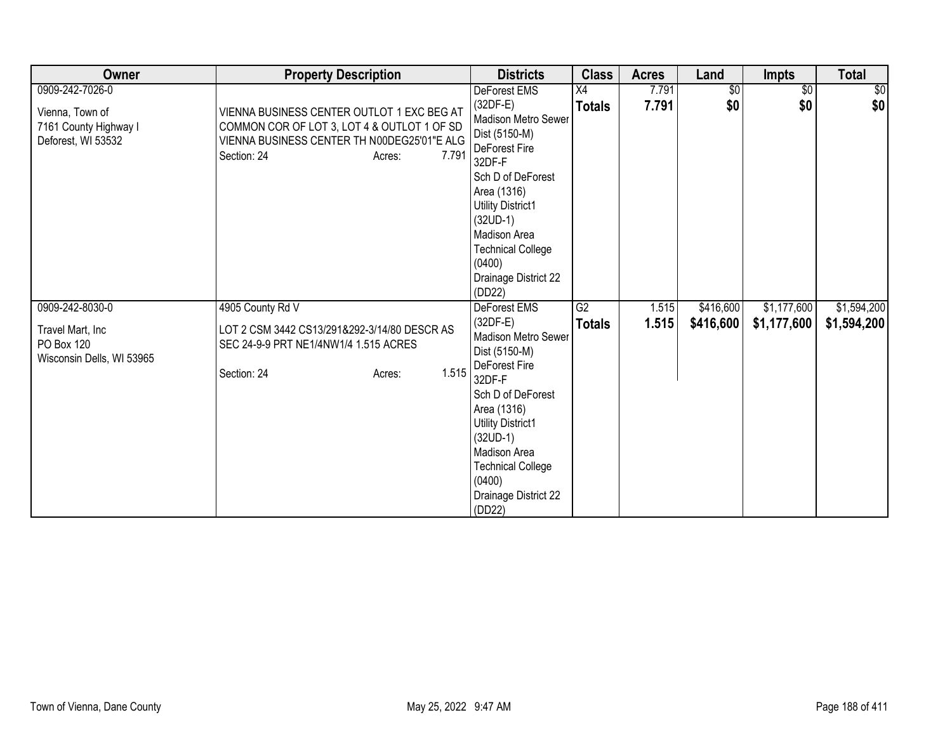| Owner                                                                             | <b>Property Description</b>                                                                                                                                                | <b>Districts</b>                                                                                                                                                                                                                                                           | <b>Class</b>        | <b>Acres</b>   | Land                   | <b>Impts</b>               | <b>Total</b>               |
|-----------------------------------------------------------------------------------|----------------------------------------------------------------------------------------------------------------------------------------------------------------------------|----------------------------------------------------------------------------------------------------------------------------------------------------------------------------------------------------------------------------------------------------------------------------|---------------------|----------------|------------------------|----------------------------|----------------------------|
| 0909-242-7026-0<br>Vienna, Town of<br>7161 County Highway I<br>Deforest, WI 53532 | VIENNA BUSINESS CENTER OUTLOT 1 EXC BEG AT<br>COMMON COR OF LOT 3, LOT 4 & OUTLOT 1 OF SD<br>VIENNA BUSINESS CENTER TH N00DEG25'01"E ALG<br>7.791<br>Section: 24<br>Acres: | DeForest EMS<br>(32DF-E)<br>Madison Metro Sewer<br>Dist (5150-M)<br><b>DeForest Fire</b><br>32DF-F<br>Sch D of DeForest<br>Area (1316)<br><b>Utility District1</b><br>$(32UD-1)$<br>Madison Area<br><b>Technical College</b><br>(0400)<br>Drainage District 22<br>(DD22)   | X4<br><b>Totals</b> | 7.791<br>7.791 | $\sqrt[6]{30}$<br>\$0  | $\overline{50}$<br>\$0     | \$0<br>\$0                 |
| 0909-242-8030-0<br>Travel Mart, Inc<br>PO Box 120<br>Wisconsin Dells, WI 53965    | 4905 County Rd V<br>LOT 2 CSM 3442 CS13/291&292-3/14/80 DESCR AS<br>SEC 24-9-9 PRT NE1/4NW1/4 1.515 ACRES<br>1.515<br>Section: 24<br>Acres:                                | DeForest EMS<br>$(32DF-E)$<br><b>Madison Metro Sewer</b><br>Dist (5150-M)<br>DeForest Fire<br>32DF-F<br>Sch D of DeForest<br>Area (1316)<br><b>Utility District1</b><br>$(32UD-1)$<br>Madison Area<br><b>Technical College</b><br>(0400)<br>Drainage District 22<br>(DD22) | G2<br><b>Totals</b> | 1.515<br>1.515 | \$416,600<br>\$416,600 | \$1,177,600<br>\$1,177,600 | \$1,594,200<br>\$1,594,200 |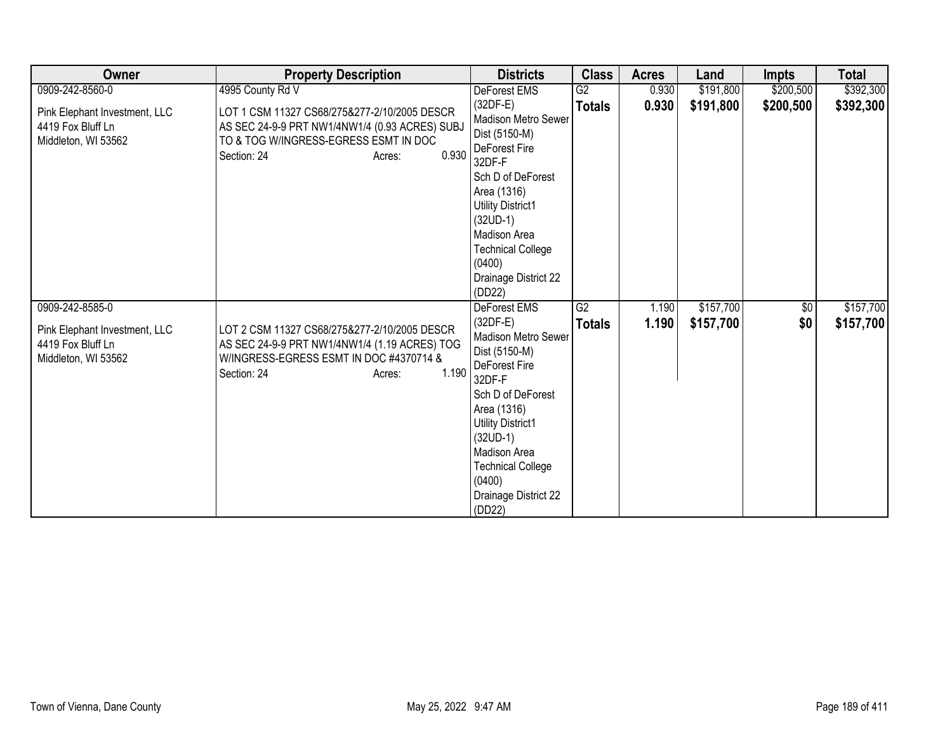| Owner                                                                     | <b>Property Description</b>                                                                                                                                                | <b>Districts</b>                                                                                                                                                                                                                                           | <b>Class</b>    | <b>Acres</b> | Land      | <b>Impts</b> | <b>Total</b> |
|---------------------------------------------------------------------------|----------------------------------------------------------------------------------------------------------------------------------------------------------------------------|------------------------------------------------------------------------------------------------------------------------------------------------------------------------------------------------------------------------------------------------------------|-----------------|--------------|-----------|--------------|--------------|
| 0909-242-8560-0                                                           | 4995 County Rd V                                                                                                                                                           | DeForest EMS                                                                                                                                                                                                                                               | $\overline{G2}$ | 0.930        | \$191,800 | \$200,500    | \$392,300    |
| Pink Elephant Investment, LLC<br>4419 Fox Bluff Ln<br>Middleton, WI 53562 | LOT 1 CSM 11327 CS68/275&277-2/10/2005 DESCR<br>AS SEC 24-9-9 PRT NW1/4NW1/4 (0.93 ACRES) SUBJ<br>TO & TOG W/INGRESS-EGRESS ESMT IN DOC<br>0.930<br>Section: 24<br>Acres:  | (32DF-E)<br>Madison Metro Sewer<br>Dist (5150-M)<br>DeForest Fire<br>32DF-F                                                                                                                                                                                | <b>Totals</b>   | 0.930        | \$191,800 | \$200,500    | \$392,300    |
|                                                                           |                                                                                                                                                                            | Sch D of DeForest<br>Area (1316)<br><b>Utility District1</b><br>$(32UD-1)$<br>Madison Area<br><b>Technical College</b><br>(0400)<br>Drainage District 22<br>(DD22)                                                                                         |                 |              |           |              |              |
| 0909-242-8585-0                                                           |                                                                                                                                                                            | DeForest EMS                                                                                                                                                                                                                                               | G2              | 1.190        | \$157,700 | $\sqrt{$0}$  | \$157,700    |
| Pink Elephant Investment, LLC<br>4419 Fox Bluff Ln<br>Middleton, WI 53562 | LOT 2 CSM 11327 CS68/275&277-2/10/2005 DESCR<br>AS SEC 24-9-9 PRT NW1/4NW1/4 (1.19 ACRES) TOG<br>W/INGRESS-EGRESS ESMT IN DOC #4370714 &<br>1.190<br>Section: 24<br>Acres: | $(32DF-E)$<br>Madison Metro Sewer<br>Dist (5150-M)<br>DeForest Fire<br>32DF-F<br>Sch D of DeForest<br>Area (1316)<br><b>Utility District1</b><br>$(32UD-1)$<br><b>Madison Area</b><br><b>Technical College</b><br>(0400)<br>Drainage District 22<br>(DD22) | <b>Totals</b>   | 1.190        | \$157,700 | \$0          | \$157,700    |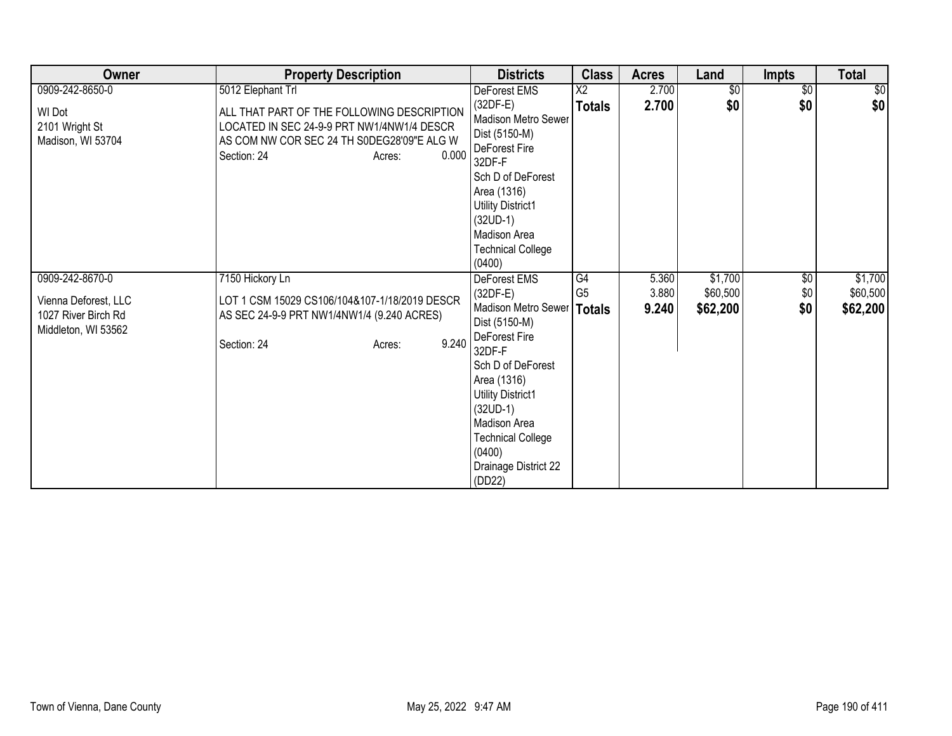| Owner                                                                   | <b>Property Description</b>                                                                                                                                 | <b>Districts</b>                                                                                                                                            | <b>Class</b>                     | <b>Acres</b>   | Land                | <b>Impts</b>           | <b>Total</b>        |
|-------------------------------------------------------------------------|-------------------------------------------------------------------------------------------------------------------------------------------------------------|-------------------------------------------------------------------------------------------------------------------------------------------------------------|----------------------------------|----------------|---------------------|------------------------|---------------------|
| 0909-242-8650-0<br><b>WI Dot</b><br>2101 Wright St<br>Madison, WI 53704 | 5012 Elephant Trl<br>ALL THAT PART OF THE FOLLOWING DESCRIPTION<br>LOCATED IN SEC 24-9-9 PRT NW1/4NW1/4 DESCR<br>AS COM NW COR SEC 24 TH S0DEG28'09"E ALG W | DeForest EMS<br>$(32DF-E)$<br>Madison Metro Sewer<br>Dist (5150-M)                                                                                          | $\overline{X2}$<br><b>Totals</b> | 2.700<br>2.700 | $\sqrt{$0}$<br>\$0  | $\overline{50}$<br>\$0 | \$0<br>\$0          |
|                                                                         | 0.000<br>Section: 24<br>Acres:                                                                                                                              | DeForest Fire<br>32DF-F<br>Sch D of DeForest<br>Area (1316)<br>Utility District1<br>$(32UD-1)$<br><b>Madison Area</b><br><b>Technical College</b><br>(0400) |                                  |                |                     |                        |                     |
| 0909-242-8670-0                                                         | 7150 Hickory Ln                                                                                                                                             | <b>DeForest EMS</b><br>$(32DF-E)$                                                                                                                           | G4<br>G <sub>5</sub>             | 5.360<br>3.880 | \$1,700<br>\$60,500 | $\sqrt{6}$<br>\$0      | \$1,700<br>\$60,500 |
| Vienna Deforest, LLC<br>1027 River Birch Rd<br>Middleton, WI 53562      | LOT 1 CSM 15029 CS106/104&107-1/18/2019 DESCR<br>AS SEC 24-9-9 PRT NW1/4NW1/4 (9.240 ACRES)                                                                 | Madison Metro Sewer   Totals<br>Dist (5150-M)                                                                                                               |                                  | 9.240          | \$62,200            | \$0                    | \$62,200            |
|                                                                         | 9.240<br>Section: 24<br>Acres:                                                                                                                              | DeForest Fire<br>32DF-F                                                                                                                                     |                                  |                |                     |                        |                     |
|                                                                         |                                                                                                                                                             | Sch D of DeForest<br>Area (1316)                                                                                                                            |                                  |                |                     |                        |                     |
|                                                                         |                                                                                                                                                             | Utility District1                                                                                                                                           |                                  |                |                     |                        |                     |
|                                                                         |                                                                                                                                                             | $(32UD-1)$<br><b>Madison Area</b>                                                                                                                           |                                  |                |                     |                        |                     |
|                                                                         |                                                                                                                                                             | <b>Technical College</b><br>(0400)                                                                                                                          |                                  |                |                     |                        |                     |
|                                                                         |                                                                                                                                                             | Drainage District 22<br>(DD22)                                                                                                                              |                                  |                |                     |                        |                     |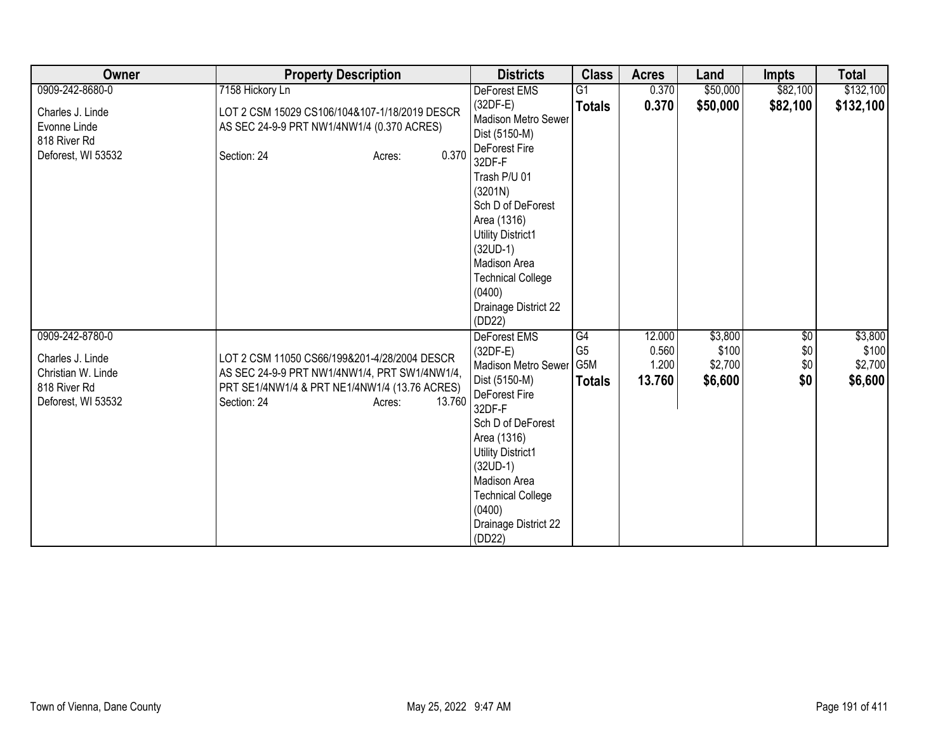| Owner                                                                                           | <b>Property Description</b>                                                                                                                                                       | <b>Districts</b>                                                                                                                                                                                                                                                           | <b>Class</b>                                 | <b>Acres</b>                       | Land                                   | <b>Impts</b>             | <b>Total</b>                           |
|-------------------------------------------------------------------------------------------------|-----------------------------------------------------------------------------------------------------------------------------------------------------------------------------------|----------------------------------------------------------------------------------------------------------------------------------------------------------------------------------------------------------------------------------------------------------------------------|----------------------------------------------|------------------------------------|----------------------------------------|--------------------------|----------------------------------------|
| 0909-242-8680-0                                                                                 | 7158 Hickory Ln                                                                                                                                                                   | DeForest EMS                                                                                                                                                                                                                                                               | G <sub>1</sub>                               | 0.370                              | \$50,000                               | \$82,100                 | \$132,100                              |
| Charles J. Linde<br>Evonne Linde<br>818 River Rd<br>Deforest, WI 53532                          | LOT 2 CSM 15029 CS106/104&107-1/18/2019 DESCR<br>AS SEC 24-9-9 PRT NW1/4NW1/4 (0.370 ACRES)<br>0.370<br>Section: 24<br>Acres:                                                     | $(32DF-E)$<br>Madison Metro Sewer<br>Dist (5150-M)<br>DeForest Fire<br>32DF-F<br>Trash P/U 01<br>(3201N)<br>Sch D of DeForest                                                                                                                                              | <b>Totals</b>                                | 0.370                              | \$50,000                               | \$82,100                 | \$132,100                              |
|                                                                                                 |                                                                                                                                                                                   | Area (1316)<br><b>Utility District1</b><br>$(32UD-1)$<br>Madison Area<br><b>Technical College</b><br>(0400)<br>Drainage District 22<br>(DD22)                                                                                                                              |                                              |                                    |                                        |                          |                                        |
| 0909-242-8780-0<br>Charles J. Linde<br>Christian W. Linde<br>818 River Rd<br>Deforest, WI 53532 | LOT 2 CSM 11050 CS66/199&201-4/28/2004 DESCR<br>AS SEC 24-9-9 PRT NW1/4NW1/4, PRT SW1/4NW1/4,<br>PRT SE1/4NW1/4 & PRT NE1/4NW1/4 (13.76 ACRES)<br>Section: 24<br>13.760<br>Acres: | <b>DeForest EMS</b><br>$(32DF-E)$<br>Madison Metro Sewer<br>Dist (5150-M)<br>DeForest Fire<br>32DF-F<br>Sch D of DeForest<br>Area (1316)<br><b>Utility District1</b><br>$(32UD-1)$<br>Madison Area<br><b>Technical College</b><br>(0400)<br>Drainage District 22<br>(DD22) | G4<br>G <sub>5</sub><br>G5M<br><b>Totals</b> | 12.000<br>0.560<br>1.200<br>13.760 | \$3,800<br>\$100<br>\$2,700<br>\$6,600 | \$0<br>\$0<br>\$0<br>\$0 | \$3,800<br>\$100<br>\$2,700<br>\$6,600 |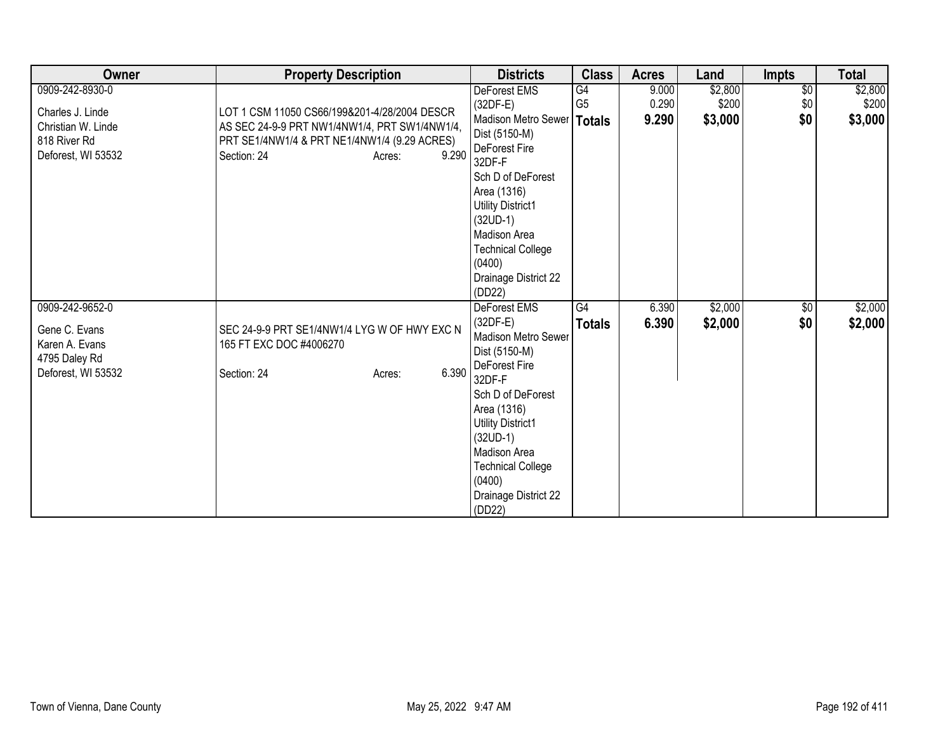| Owner                           | <b>Property Description</b>                   | <b>Districts</b>                       | <b>Class</b>    | <b>Acres</b> | Land    | <b>Impts</b>    | <b>Total</b> |
|---------------------------------|-----------------------------------------------|----------------------------------------|-----------------|--------------|---------|-----------------|--------------|
| 0909-242-8930-0                 |                                               | DeForest EMS                           | $\overline{G4}$ | 9.000        | \$2,800 | $\overline{50}$ | \$2,800      |
| Charles J. Linde                | LOT 1 CSM 11050 CS66/199&201-4/28/2004 DESCR  | $(32DF-E)$                             | G <sub>5</sub>  | 0.290        | \$200   | \$0             | \$200        |
| Christian W. Linde              | AS SEC 24-9-9 PRT NW1/4NW1/4, PRT SW1/4NW1/4, | Madison Metro Sewer   Totals           |                 | 9.290        | \$3,000 | \$0             | \$3,000      |
| 818 River Rd                    | PRT SE1/4NW1/4 & PRT NE1/4NW1/4 (9.29 ACRES)  | Dist (5150-M)                          |                 |              |         |                 |              |
| Deforest, WI 53532              | 9.290<br>Section: 24<br>Acres:                | DeForest Fire<br>32DF-F                |                 |              |         |                 |              |
|                                 |                                               | Sch D of DeForest                      |                 |              |         |                 |              |
|                                 |                                               | Area (1316)                            |                 |              |         |                 |              |
|                                 |                                               | <b>Utility District1</b>               |                 |              |         |                 |              |
|                                 |                                               | $(32UD-1)$                             |                 |              |         |                 |              |
|                                 |                                               | Madison Area                           |                 |              |         |                 |              |
|                                 |                                               | <b>Technical College</b>               |                 |              |         |                 |              |
|                                 |                                               | (0400)<br>Drainage District 22         |                 |              |         |                 |              |
|                                 |                                               | (DD22)                                 |                 |              |         |                 |              |
| 0909-242-9652-0                 |                                               | DeForest EMS                           | G4              | 6.390        | \$2,000 | $\sqrt{$0}$     | \$2,000      |
|                                 |                                               | $(32DF-E)$                             | <b>Totals</b>   | 6.390        | \$2,000 | \$0             | \$2,000      |
| Gene C. Evans                   | SEC 24-9-9 PRT SE1/4NW1/4 LYG W OF HWY EXC N  | <b>Madison Metro Sewer</b>             |                 |              |         |                 |              |
| Karen A. Evans<br>4795 Daley Rd | 165 FT EXC DOC #4006270                       | Dist (5150-M)                          |                 |              |         |                 |              |
| Deforest, WI 53532              | 6.390<br>Section: 24<br>Acres:                | DeForest Fire                          |                 |              |         |                 |              |
|                                 |                                               | 32DF-F                                 |                 |              |         |                 |              |
|                                 |                                               | Sch D of DeForest                      |                 |              |         |                 |              |
|                                 |                                               | Area (1316)                            |                 |              |         |                 |              |
|                                 |                                               | <b>Utility District1</b><br>$(32UD-1)$ |                 |              |         |                 |              |
|                                 |                                               | Madison Area                           |                 |              |         |                 |              |
|                                 |                                               | <b>Technical College</b>               |                 |              |         |                 |              |
|                                 |                                               | (0400)                                 |                 |              |         |                 |              |
|                                 |                                               | Drainage District 22                   |                 |              |         |                 |              |
|                                 |                                               | (DD22)                                 |                 |              |         |                 |              |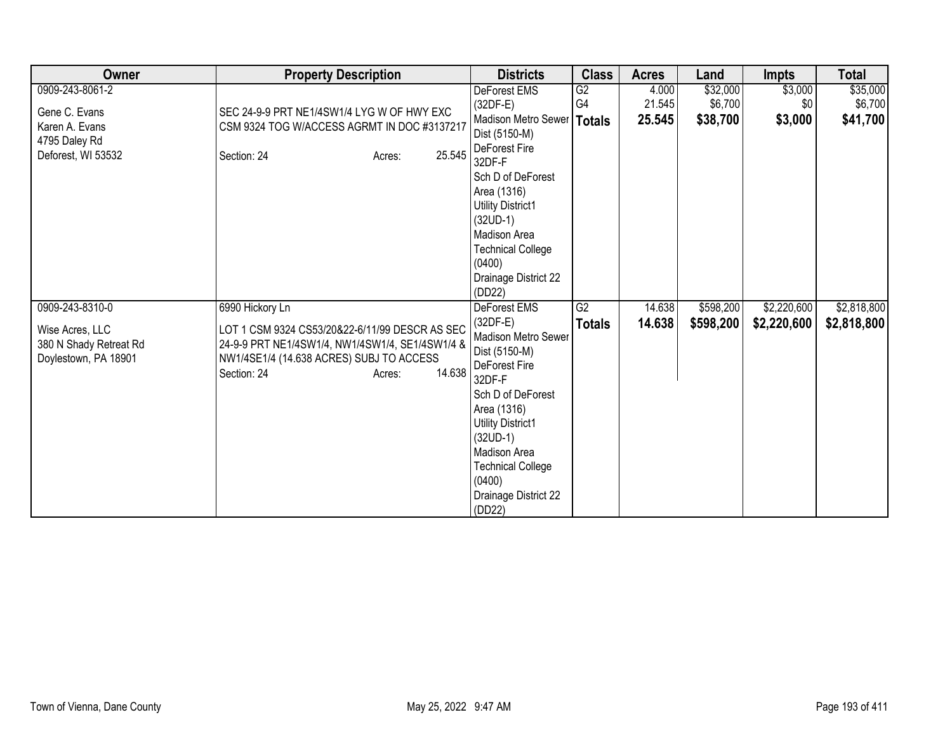| Owner                                          | <b>Property Description</b>                                                                       | <b>Districts</b>                   | <b>Class</b>  | <b>Acres</b> | Land      | <b>Impts</b> | <b>Total</b> |
|------------------------------------------------|---------------------------------------------------------------------------------------------------|------------------------------------|---------------|--------------|-----------|--------------|--------------|
| 0909-243-8061-2                                |                                                                                                   | DeForest EMS                       | G2            | 4.000        | \$32,000  | \$3,000      | \$35,000     |
| Gene C. Evans                                  | SEC 24-9-9 PRT NE1/4SW1/4 LYG W OF HWY EXC                                                        | $(32DF-E)$                         | G4            | 21.545       | \$6,700   | \$0          | \$6,700      |
| Karen A. Evans                                 | CSM 9324 TOG W/ACCESS AGRMT IN DOC #3137217                                                       | Madison Metro Sewer                | <b>Totals</b> | 25.545       | \$38,700  | \$3,000      | \$41,700     |
| 4795 Daley Rd                                  |                                                                                                   | Dist (5150-M)                      |               |              |           |              |              |
| Deforest, WI 53532                             | 25.545<br>Section: 24<br>Acres:                                                                   | DeForest Fire<br>32DF-F            |               |              |           |              |              |
|                                                |                                                                                                   | Sch D of DeForest                  |               |              |           |              |              |
|                                                |                                                                                                   | Area (1316)                        |               |              |           |              |              |
|                                                |                                                                                                   | Utility District1                  |               |              |           |              |              |
|                                                |                                                                                                   | $(32UD-1)$                         |               |              |           |              |              |
|                                                |                                                                                                   | Madison Area                       |               |              |           |              |              |
|                                                |                                                                                                   | <b>Technical College</b><br>(0400) |               |              |           |              |              |
|                                                |                                                                                                   | Drainage District 22               |               |              |           |              |              |
|                                                |                                                                                                   | (DD22)                             |               |              |           |              |              |
| 0909-243-8310-0                                | 6990 Hickory Ln                                                                                   | <b>DeForest EMS</b>                | G2            | 14.638       | \$598,200 | \$2,220,600  | \$2,818,800  |
|                                                |                                                                                                   | $(32DF-E)$                         | <b>Totals</b> | 14.638       | \$598,200 | \$2,220,600  | \$2,818,800  |
| Wise Acres, LLC                                | LOT 1 CSM 9324 CS53/20&22-6/11/99 DESCR AS SEC<br>24-9-9 PRT NE1/4SW1/4, NW1/4SW1/4, SE1/4SW1/4 & | Madison Metro Sewer                |               |              |           |              |              |
| 380 N Shady Retreat Rd<br>Doylestown, PA 18901 | NW1/4SE1/4 (14.638 ACRES) SUBJ TO ACCESS                                                          | Dist (5150-M)                      |               |              |           |              |              |
|                                                | 14.638<br>Section: 24<br>Acres:                                                                   | DeForest Fire<br>32DF-F            |               |              |           |              |              |
|                                                |                                                                                                   | Sch D of DeForest                  |               |              |           |              |              |
|                                                |                                                                                                   | Area (1316)                        |               |              |           |              |              |
|                                                |                                                                                                   | <b>Utility District1</b>           |               |              |           |              |              |
|                                                |                                                                                                   | $(32UD-1)$                         |               |              |           |              |              |
|                                                |                                                                                                   | Madison Area                       |               |              |           |              |              |
|                                                |                                                                                                   | <b>Technical College</b>           |               |              |           |              |              |
|                                                |                                                                                                   | (0400)                             |               |              |           |              |              |
|                                                |                                                                                                   | Drainage District 22               |               |              |           |              |              |
|                                                |                                                                                                   | (DD22)                             |               |              |           |              |              |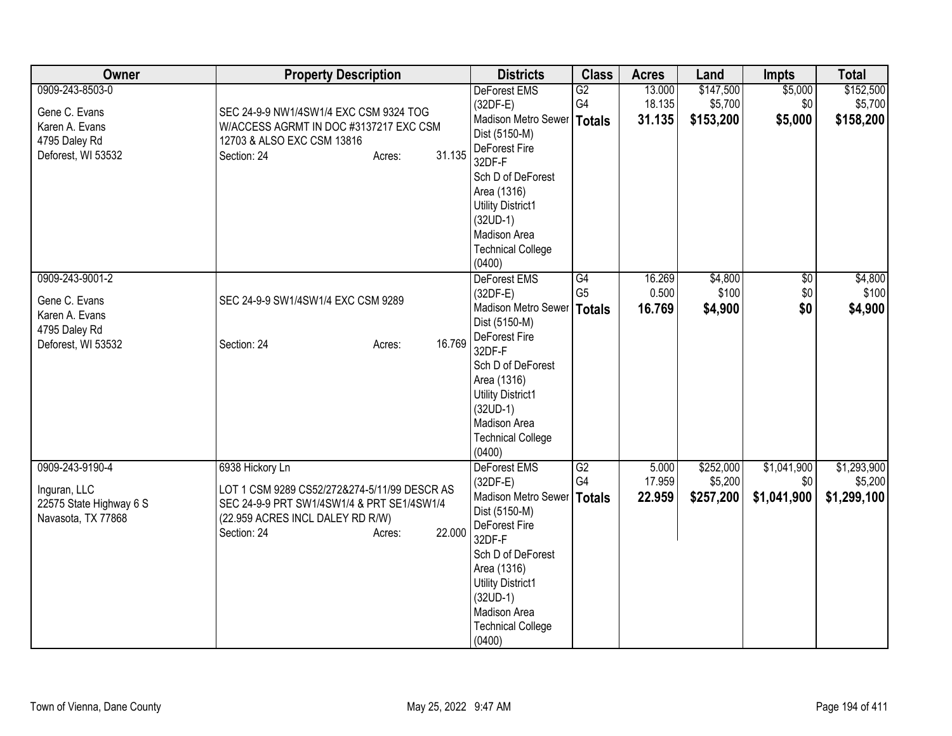| Owner                   | <b>Property Description</b>                  | <b>Districts</b>                              | <b>Class</b>         | <b>Acres</b>     | Land                 | <b>Impts</b>    | <b>Total</b>         |
|-------------------------|----------------------------------------------|-----------------------------------------------|----------------------|------------------|----------------------|-----------------|----------------------|
| 0909-243-8503-0         |                                              | <b>DeForest EMS</b><br>$(32DF-E)$             | G2<br>G4             | 13.000<br>18.135 | \$147,500<br>\$5,700 | \$5,000<br>\$0  | \$152,500<br>\$5,700 |
| Gene C. Evans           | SEC 24-9-9 NW1/4SW1/4 EXC CSM 9324 TOG       | Madison Metro Sewer   Totals                  |                      | 31.135           | \$153,200            | \$5,000         | \$158,200            |
| Karen A. Evans          | W/ACCESS AGRMT IN DOC #3137217 EXC CSM       | Dist (5150-M)                                 |                      |                  |                      |                 |                      |
| 4795 Daley Rd           | 12703 & ALSO EXC CSM 13816                   | DeForest Fire                                 |                      |                  |                      |                 |                      |
| Deforest, WI 53532      | 31.135<br>Section: 24<br>Acres:              | 32DF-F                                        |                      |                  |                      |                 |                      |
|                         |                                              | Sch D of DeForest                             |                      |                  |                      |                 |                      |
|                         |                                              | Area (1316)                                   |                      |                  |                      |                 |                      |
|                         |                                              | <b>Utility District1</b>                      |                      |                  |                      |                 |                      |
|                         |                                              | $(32UD-1)$                                    |                      |                  |                      |                 |                      |
|                         |                                              | Madison Area                                  |                      |                  |                      |                 |                      |
|                         |                                              | <b>Technical College</b>                      |                      |                  |                      |                 |                      |
|                         |                                              | (0400)                                        |                      |                  |                      |                 |                      |
| 0909-243-9001-2         |                                              | DeForest EMS                                  | G4<br>G <sub>5</sub> | 16.269<br>0.500  | \$4,800              | $\overline{50}$ | \$4,800              |
| Gene C. Evans           | SEC 24-9-9 SW1/4SW1/4 EXC CSM 9289           | $(32DF-E)$                                    |                      |                  | \$100                | \$0             | \$100                |
| Karen A. Evans          |                                              | Madison Metro Sewer   Totals<br>Dist (5150-M) |                      | 16.769           | \$4,900              | \$0             | \$4,900              |
| 4795 Daley Rd           |                                              | DeForest Fire                                 |                      |                  |                      |                 |                      |
| Deforest, WI 53532      | 16.769<br>Section: 24<br>Acres:              | 32DF-F                                        |                      |                  |                      |                 |                      |
|                         |                                              | Sch D of DeForest                             |                      |                  |                      |                 |                      |
|                         |                                              | Area (1316)                                   |                      |                  |                      |                 |                      |
|                         |                                              | <b>Utility District1</b>                      |                      |                  |                      |                 |                      |
|                         |                                              | $(32UD-1)$                                    |                      |                  |                      |                 |                      |
|                         |                                              | Madison Area                                  |                      |                  |                      |                 |                      |
|                         |                                              | <b>Technical College</b>                      |                      |                  |                      |                 |                      |
|                         |                                              | (0400)                                        |                      |                  |                      |                 |                      |
| 0909-243-9190-4         | 6938 Hickory Ln                              | DeForest EMS                                  | G2                   | 5.000            | \$252,000            | \$1,041,900     | \$1,293,900          |
| Inguran, LLC            | LOT 1 CSM 9289 CS52/272&274-5/11/99 DESCR AS | $(32DF-E)$                                    | G4                   | 17.959           | \$5,200              | \$0             | \$5,200              |
| 22575 State Highway 6 S | SEC 24-9-9 PRT SW1/4SW1/4 & PRT SE1/4SW1/4   | Madison Metro Sewer   Totals                  |                      | 22.959           | \$257,200            | \$1,041,900     | \$1,299,100          |
| Navasota, TX 77868      | (22.959 ACRES INCL DALEY RD R/W)             | Dist (5150-M)                                 |                      |                  |                      |                 |                      |
|                         | 22.000<br>Section: 24<br>Acres:              | DeForest Fire                                 |                      |                  |                      |                 |                      |
|                         |                                              | 32DF-F                                        |                      |                  |                      |                 |                      |
|                         |                                              | Sch D of DeForest<br>Area (1316)              |                      |                  |                      |                 |                      |
|                         |                                              | <b>Utility District1</b>                      |                      |                  |                      |                 |                      |
|                         |                                              | $(32UD-1)$                                    |                      |                  |                      |                 |                      |
|                         |                                              | Madison Area                                  |                      |                  |                      |                 |                      |
|                         |                                              | <b>Technical College</b>                      |                      |                  |                      |                 |                      |
|                         |                                              | (0400)                                        |                      |                  |                      |                 |                      |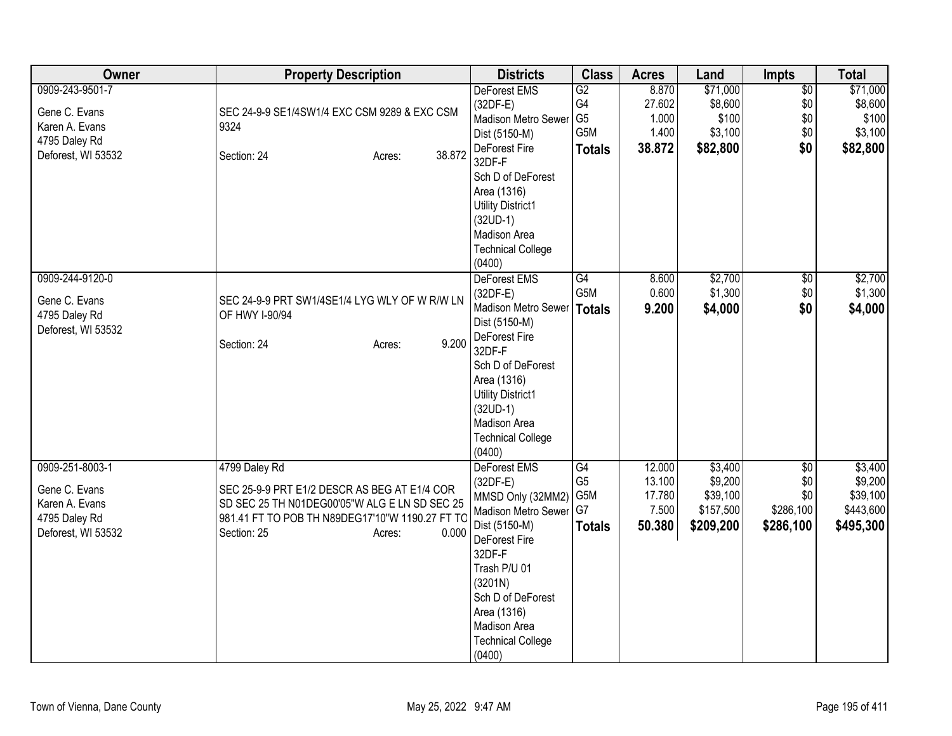| Owner                                                                                     | <b>Property Description</b>                                                                                                                                                                         | <b>Districts</b>                                                                                                                                                                                                                           | <b>Class</b>                                       | <b>Acres</b>                                  | Land                                                     | Impts                                       | <b>Total</b>                                             |
|-------------------------------------------------------------------------------------------|-----------------------------------------------------------------------------------------------------------------------------------------------------------------------------------------------------|--------------------------------------------------------------------------------------------------------------------------------------------------------------------------------------------------------------------------------------------|----------------------------------------------------|-----------------------------------------------|----------------------------------------------------------|---------------------------------------------|----------------------------------------------------------|
| 0909-243-9501-7<br>Gene C. Evans<br>Karen A. Evans<br>4795 Daley Rd<br>Deforest, WI 53532 | SEC 24-9-9 SE1/4SW1/4 EXC CSM 9289 & EXC CSM<br>9324<br>38.872<br>Section: 24<br>Acres:                                                                                                             | DeForest EMS<br>$(32DF-E)$<br>Madison Metro Sewer<br>Dist (5150-M)<br>DeForest Fire<br>32DF-F<br>Sch D of DeForest<br>Area (1316)<br><b>Utility District1</b><br>$(32UD-1)$<br>Madison Area<br><b>Technical College</b><br>(0400)          | G2<br>G4<br>G <sub>5</sub><br>G5M<br><b>Totals</b> | 8.870<br>27.602<br>1.000<br>1.400<br>38.872   | \$71,000<br>\$8,600<br>\$100<br>\$3,100<br>\$82,800      | $\overline{50}$<br>\$0<br>\$0<br>\$0<br>\$0 | \$71,000<br>\$8,600<br>\$100<br>\$3,100<br>\$82,800      |
| 0909-244-9120-0<br>Gene C. Evans<br>4795 Daley Rd<br>Deforest, WI 53532                   | SEC 24-9-9 PRT SW1/4SE1/4 LYG WLY OF W R/W LN<br>OF HWY I-90/94<br>9.200<br>Section: 24<br>Acres:                                                                                                   | DeForest EMS<br>$(32DF-E)$<br>Madison Metro Sewer<br>Dist (5150-M)<br>DeForest Fire<br>32DF-F<br>Sch D of DeForest<br>Area (1316)<br><b>Utility District1</b><br>$(32UD-1)$<br>Madison Area<br><b>Technical College</b><br>(0400)          | G4<br>G5M<br>Totals                                | 8.600<br>0.600<br>9.200                       | \$2,700<br>\$1,300<br>\$4,000                            | $\overline{50}$<br>\$0<br>\$0               | \$2,700<br>\$1,300<br>\$4,000                            |
| 0909-251-8003-1<br>Gene C. Evans<br>Karen A. Evans<br>4795 Daley Rd<br>Deforest, WI 53532 | 4799 Daley Rd<br>SEC 25-9-9 PRT E1/2 DESCR AS BEG AT E1/4 COR<br>SD SEC 25 TH N01DEG00'05"W ALG E LN SD SEC 25<br>981.41 FT TO POB TH N89DEG17'10"W 1190.27 FT TC<br>0.000<br>Section: 25<br>Acres: | DeForest EMS<br>$(32DF-E)$<br>MMSD Only (32MM2)<br>Madison Metro Sewer G7<br>Dist (5150-M)<br>DeForest Fire<br>32DF-F<br>Trash P/U 01<br>(3201N)<br>Sch D of DeForest<br>Area (1316)<br>Madison Area<br><b>Technical College</b><br>(0400) | G4<br>G <sub>5</sub><br>G5M<br><b>Totals</b>       | 12.000<br>13.100<br>17.780<br>7.500<br>50.380 | \$3,400<br>\$9,200<br>\$39,100<br>\$157,500<br>\$209,200 | \$0<br>\$0<br>\$0<br>\$286,100<br>\$286,100 | \$3,400<br>\$9,200<br>\$39,100<br>\$443,600<br>\$495,300 |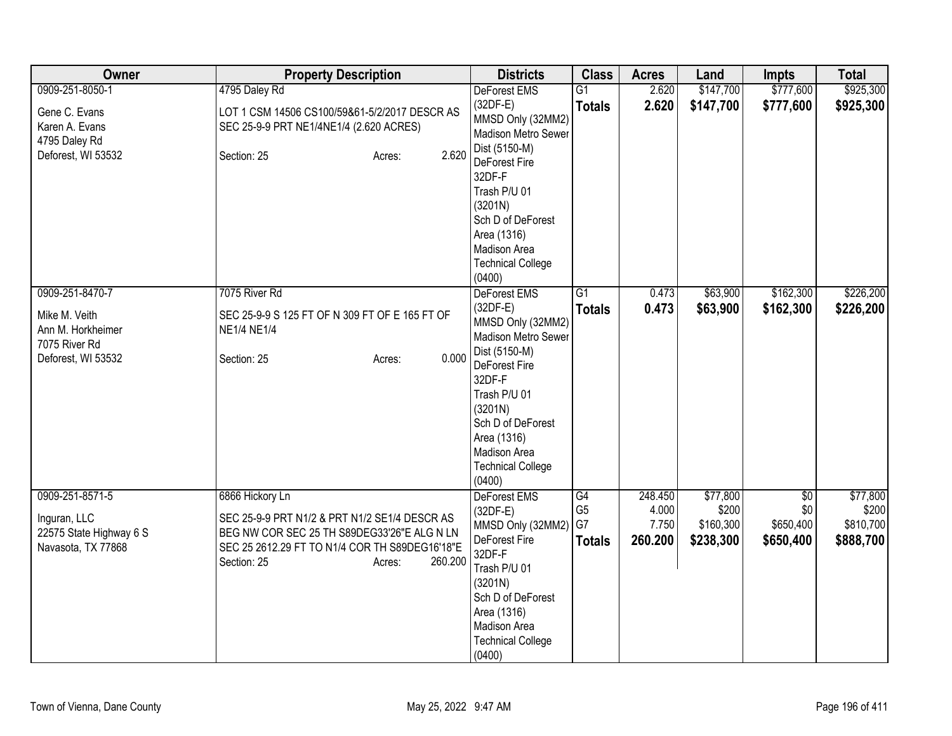| Owner                                         | <b>Property Description</b>                                                                  | <b>Districts</b>                                       | <b>Class</b>                     | <b>Acres</b>     | Land                   | <b>Impts</b>           | <b>Total</b>           |
|-----------------------------------------------|----------------------------------------------------------------------------------------------|--------------------------------------------------------|----------------------------------|------------------|------------------------|------------------------|------------------------|
| 0909-251-8050-1<br>Gene C. Evans              | 4795 Daley Rd<br>LOT 1 CSM 14506 CS100/59&61-5/2/2017 DESCR AS                               | <b>DeForest EMS</b><br>$(32DF-E)$<br>MMSD Only (32MM2) | $\overline{G1}$<br><b>Totals</b> | 2.620<br>2.620   | \$147,700<br>\$147,700 | \$777,600<br>\$777,600 | \$925,300<br>\$925,300 |
| Karen A. Evans<br>4795 Daley Rd               | SEC 25-9-9 PRT NE1/4NE1/4 (2.620 ACRES)                                                      | Madison Metro Sewer<br>Dist (5150-M)                   |                                  |                  |                        |                        |                        |
| Deforest, WI 53532                            | 2.620<br>Section: 25<br>Acres:                                                               | <b>DeForest Fire</b><br>32DF-F                         |                                  |                  |                        |                        |                        |
|                                               |                                                                                              | Trash P/U 01<br>(3201N)                                |                                  |                  |                        |                        |                        |
|                                               |                                                                                              | Sch D of DeForest<br>Area (1316)                       |                                  |                  |                        |                        |                        |
|                                               |                                                                                              | Madison Area<br><b>Technical College</b>               |                                  |                  |                        |                        |                        |
| 0909-251-8470-7                               | 7075 River Rd                                                                                | (0400)<br>DeForest EMS                                 | $\overline{G1}$                  | 0.473            | \$63,900               | \$162,300              | \$226,200              |
| Mike M. Veith<br>Ann M. Horkheimer            | SEC 25-9-9 S 125 FT OF N 309 FT OF E 165 FT OF<br><b>NE1/4 NE1/4</b>                         | $(32DF-E)$<br>MMSD Only (32MM2)<br>Madison Metro Sewer | <b>Totals</b>                    | 0.473            | \$63,900               | \$162,300              | \$226,200              |
| 7075 River Rd<br>Deforest, WI 53532           | 0.000<br>Section: 25<br>Acres:                                                               | Dist (5150-M)<br><b>DeForest Fire</b>                  |                                  |                  |                        |                        |                        |
|                                               |                                                                                              | 32DF-F<br>Trash P/U 01                                 |                                  |                  |                        |                        |                        |
|                                               |                                                                                              | (3201N)<br>Sch D of DeForest                           |                                  |                  |                        |                        |                        |
|                                               |                                                                                              | Area (1316)<br>Madison Area                            |                                  |                  |                        |                        |                        |
|                                               |                                                                                              | <b>Technical College</b><br>(0400)                     |                                  |                  |                        |                        |                        |
| 0909-251-8571-5                               | 6866 Hickory Ln                                                                              | <b>DeForest EMS</b><br>$(32DF-E)$                      | G4<br>G <sub>5</sub>             | 248.450<br>4.000 | \$77,800<br>\$200      | \$0<br>\$0             | \$77,800<br>\$200      |
| Inguran, LLC                                  | SEC 25-9-9 PRT N1/2 & PRT N1/2 SE1/4 DESCR AS<br>BEG NW COR SEC 25 TH S89DEG33'26"E ALG N LN | MMSD Only (32MM2)                                      | G7                               | 7.750            | \$160,300              | \$650,400              | \$810,700              |
| 22575 State Highway 6 S<br>Navasota, TX 77868 | SEC 25 2612.29 FT TO N1/4 COR TH S89DEG16'18"E                                               | DeForest Fire                                          | <b>Totals</b>                    | 260.200          | \$238,300              | \$650,400              | \$888,700              |
|                                               | 260.200<br>Section: 25<br>Acres:                                                             | 32DF-F<br>Trash P/U 01                                 |                                  |                  |                        |                        |                        |
|                                               |                                                                                              | (3201N)                                                |                                  |                  |                        |                        |                        |
|                                               |                                                                                              | Sch D of DeForest<br>Area (1316)                       |                                  |                  |                        |                        |                        |
|                                               |                                                                                              | Madison Area                                           |                                  |                  |                        |                        |                        |
|                                               |                                                                                              | <b>Technical College</b><br>(0400)                     |                                  |                  |                        |                        |                        |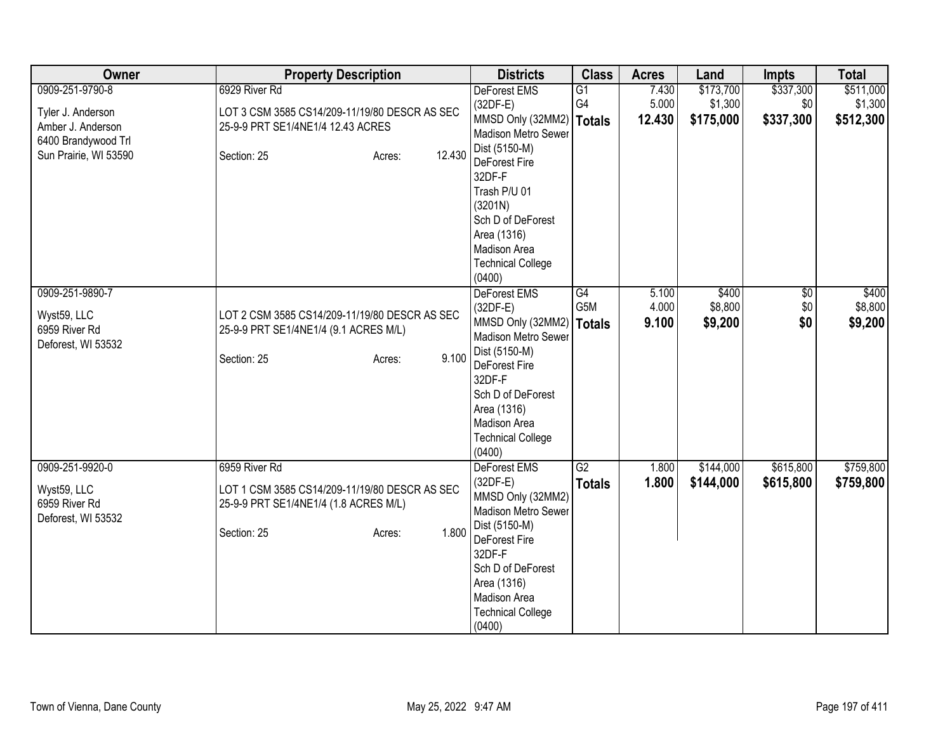| Owner                                                                 | <b>Property Description</b>                                                            | <b>Districts</b>                                                                                                                   | <b>Class</b>        | <b>Acres</b>            | Land                        | <b>Impts</b>                  | <b>Total</b>                |
|-----------------------------------------------------------------------|----------------------------------------------------------------------------------------|------------------------------------------------------------------------------------------------------------------------------------|---------------------|-------------------------|-----------------------------|-------------------------------|-----------------------------|
| 0909-251-9790-8                                                       | 6929 River Rd                                                                          | <b>DeForest EMS</b>                                                                                                                | $\overline{G1}$     | 7.430                   | \$173,700                   | \$337,300                     | \$511,000                   |
| Tyler J. Anderson<br>Amber J. Anderson<br>6400 Brandywood Trl         | LOT 3 CSM 3585 CS14/209-11/19/80 DESCR AS SEC<br>25-9-9 PRT SE1/4NE1/4 12.43 ACRES     | $(32DF-E)$<br>MMSD Only (32MM2)<br>Madison Metro Sewer                                                                             | G4<br><b>Totals</b> | 5.000<br>12.430         | \$1,300<br>\$175,000        | \$0<br>\$337,300              | \$1,300<br>\$512,300        |
| Sun Prairie, WI 53590                                                 | 12.430<br>Section: 25<br>Acres:                                                        | Dist (5150-M)<br>DeForest Fire<br>32DF-F<br>Trash P/U 01<br>(3201N)<br>Sch D of DeForest<br>Area (1316)                            |                     |                         |                             |                               |                             |
|                                                                       |                                                                                        | Madison Area<br><b>Technical College</b><br>(0400)                                                                                 |                     |                         |                             |                               |                             |
| 0909-251-9890-7<br>Wyst59, LLC<br>6959 River Rd<br>Deforest, WI 53532 | LOT 2 CSM 3585 CS14/209-11/19/80 DESCR AS SEC<br>25-9-9 PRT SE1/4NE1/4 (9.1 ACRES M/L) | DeForest EMS<br>$(32DF-E)$<br>MMSD Only (32MM2)<br>Madison Metro Sewer                                                             | G4<br>G5M<br>Totals | 5.100<br>4.000<br>9.100 | \$400<br>\$8,800<br>\$9,200 | $\overline{50}$<br>\$0<br>\$0 | \$400<br>\$8,800<br>\$9,200 |
|                                                                       | 9.100<br>Section: 25<br>Acres:                                                         | Dist (5150-M)<br>DeForest Fire<br>32DF-F<br>Sch D of DeForest<br>Area (1316)<br>Madison Area<br><b>Technical College</b><br>(0400) |                     |                         |                             |                               |                             |
| 0909-251-9920-0                                                       | 6959 River Rd                                                                          | DeForest EMS                                                                                                                       | G2                  | 1.800                   | \$144,000                   | \$615,800                     | \$759,800                   |
| Wyst59, LLC<br>6959 River Rd<br>Deforest, WI 53532                    | LOT 1 CSM 3585 CS14/209-11/19/80 DESCR AS SEC<br>25-9-9 PRT SE1/4NE1/4 (1.8 ACRES M/L) | $(32DF-E)$<br>MMSD Only (32MM2)<br>Madison Metro Sewer                                                                             | <b>Totals</b>       | 1.800                   | \$144,000                   | \$615,800                     | \$759,800                   |
|                                                                       | 1.800<br>Section: 25<br>Acres:                                                         | Dist (5150-M)<br>DeForest Fire<br>32DF-F<br>Sch D of DeForest<br>Area (1316)<br>Madison Area<br><b>Technical College</b><br>(0400) |                     |                         |                             |                               |                             |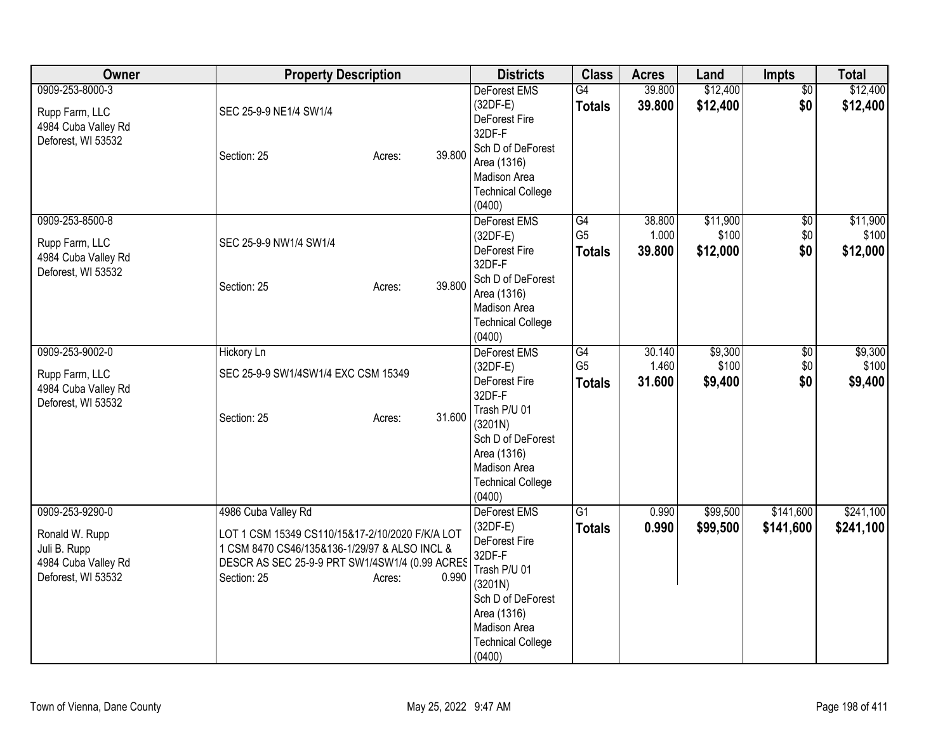| <b>Owner</b>                                                                                   | <b>Property Description</b>                                                                                                                                                                        | <b>Districts</b>                                                                                                                                                                    | <b>Class</b>                          | <b>Acres</b>              | Land                          | Impts                           | <b>Total</b>                  |
|------------------------------------------------------------------------------------------------|----------------------------------------------------------------------------------------------------------------------------------------------------------------------------------------------------|-------------------------------------------------------------------------------------------------------------------------------------------------------------------------------------|---------------------------------------|---------------------------|-------------------------------|---------------------------------|-------------------------------|
| 0909-253-8000-3<br>Rupp Farm, LLC<br>4984 Cuba Valley Rd<br>Deforest, WI 53532                 | SEC 25-9-9 NE1/4 SW1/4<br>39.800<br>Section: 25<br>Acres:                                                                                                                                          | DeForest EMS<br>$(32DF-E)$<br>DeForest Fire<br>32DF-F<br>Sch D of DeForest<br>Area (1316)<br>Madison Area<br><b>Technical College</b><br>(0400)                                     | G4<br><b>Totals</b>                   | 39.800<br>39.800          | \$12,400<br>\$12,400          | $\overline{50}$<br>\$0          | \$12,400<br>\$12,400          |
| 0909-253-8500-8<br>Rupp Farm, LLC<br>4984 Cuba Valley Rd<br>Deforest, WI 53532                 | SEC 25-9-9 NW1/4 SW1/4<br>39.800<br>Section: 25<br>Acres:                                                                                                                                          | DeForest EMS<br>$(32DF-E)$<br>DeForest Fire<br>32DF-F<br>Sch D of DeForest<br>Area (1316)<br>Madison Area<br><b>Technical College</b><br>(0400)                                     | G4<br>G <sub>5</sub><br><b>Totals</b> | 38.800<br>1.000<br>39.800 | \$11,900<br>\$100<br>\$12,000 | $\overline{50}$<br>\$0\$<br>\$0 | \$11,900<br>\$100<br>\$12,000 |
| 0909-253-9002-0<br>Rupp Farm, LLC<br>4984 Cuba Valley Rd<br>Deforest, WI 53532                 | Hickory Ln<br>SEC 25-9-9 SW1/4SW1/4 EXC CSM 15349<br>31.600<br>Section: 25<br>Acres:                                                                                                               | DeForest EMS<br>$(32DF-E)$<br>DeForest Fire<br>32DF-F<br>Trash P/U 01<br>(3201N)<br>Sch D of DeForest<br>Area (1316)<br>Madison Area<br><b>Technical College</b><br>(0400)          | G4<br>G <sub>5</sub><br><b>Totals</b> | 30.140<br>1.460<br>31.600 | \$9,300<br>\$100<br>\$9,400   | \$0<br>\$0<br>\$0               | \$9,300<br>\$100<br>\$9,400   |
| 0909-253-9290-0<br>Ronald W. Rupp<br>Juli B. Rupp<br>4984 Cuba Valley Rd<br>Deforest, WI 53532 | 4986 Cuba Valley Rd<br>LOT 1 CSM 15349 CS110/15&17-2/10/2020 F/K/A LOT<br>1 CSM 8470 CS46/135&136-1/29/97 & ALSO INCL &<br>DESCR AS SEC 25-9-9 PRT SW1/4SW1/4 (0.99 ACRES<br>Section: 25<br>Acres: | DeForest EMS<br>$(32DF-E)$<br>DeForest Fire<br>32DF-F<br>Trash P/U 01<br>0.990<br>(3201N)<br>Sch D of DeForest<br>Area (1316)<br>Madison Area<br><b>Technical College</b><br>(0400) | G1<br><b>Totals</b>                   | 0.990<br>0.990            | \$99,500<br>\$99,500          | \$141,600<br>\$141,600          | \$241,100<br>\$241,100        |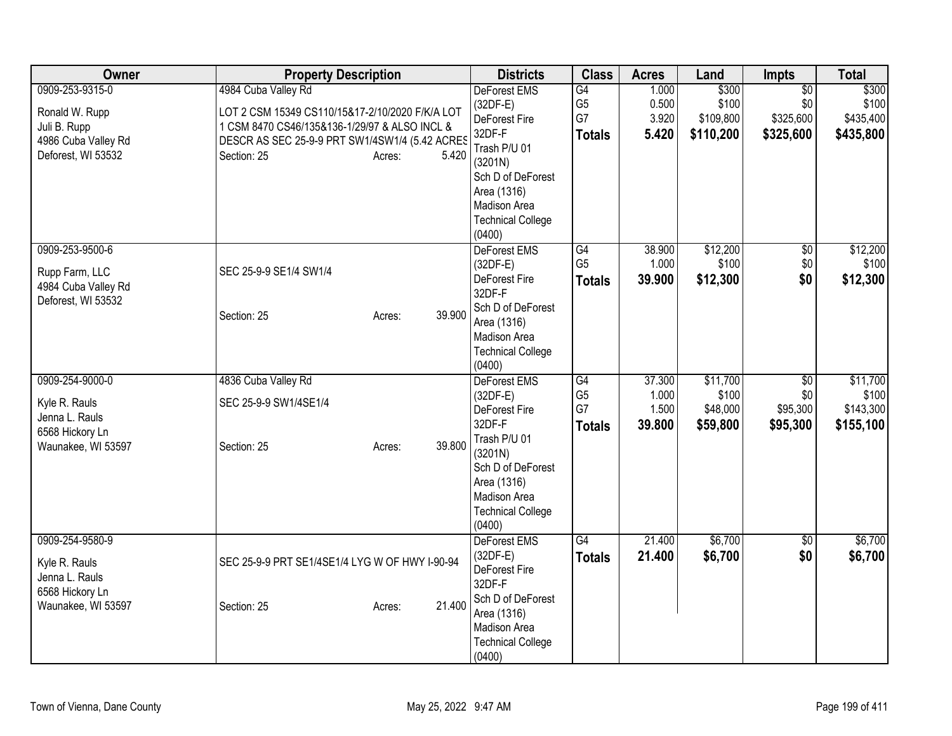| Owner                                                                                          | <b>Property Description</b>                                                                                                                                                                                 | <b>Districts</b>                                                                                                                                                                         | <b>Class</b>                                | <b>Acres</b>                       | Land                                      | <b>Impts</b>                                     | <b>Total</b>                                |
|------------------------------------------------------------------------------------------------|-------------------------------------------------------------------------------------------------------------------------------------------------------------------------------------------------------------|------------------------------------------------------------------------------------------------------------------------------------------------------------------------------------------|---------------------------------------------|------------------------------------|-------------------------------------------|--------------------------------------------------|---------------------------------------------|
| 0909-253-9315-0<br>Ronald W. Rupp<br>Juli B. Rupp<br>4986 Cuba Valley Rd<br>Deforest, WI 53532 | 4984 Cuba Valley Rd<br>LOT 2 CSM 15349 CS110/15&17-2/10/2020 F/K/A LOT<br>1 CSM 8470 CS46/135&136-1/29/97 & ALSO INCL &<br>DESCR AS SEC 25-9-9 PRT SW1/4SW1/4 (5.42 ACRES<br>Section: 25<br>5.420<br>Acres: | <b>DeForest EMS</b><br>$(32DF-E)$<br>DeForest Fire<br>32DF-F<br>Trash P/U 01<br>(3201N)<br>Sch D of DeForest<br>Area (1316)<br><b>Madison Area</b><br><b>Technical College</b>           | G4<br>G <sub>5</sub><br>G7<br><b>Totals</b> | 1.000<br>0.500<br>3.920<br>5.420   | \$300<br>\$100<br>\$109,800<br>\$110,200  | $\overline{50}$<br>\$0<br>\$325,600<br>\$325,600 | \$300<br>\$100<br>\$435,400<br>\$435,800    |
| 0909-253-9500-6<br>Rupp Farm, LLC<br>4984 Cuba Valley Rd<br>Deforest, WI 53532                 | SEC 25-9-9 SE1/4 SW1/4<br>39.900<br>Section: 25<br>Acres:                                                                                                                                                   | (0400)<br>DeForest EMS<br>$(32DF-E)$<br>DeForest Fire<br>32DF-F<br>Sch D of DeForest<br>Area (1316)<br>Madison Area<br><b>Technical College</b><br>(0400)                                | G4<br>G <sub>5</sub><br><b>Totals</b>       | 38.900<br>1.000<br>39.900          | \$12,200<br>\$100<br>\$12,300             | $\sqrt{6}$<br>$\$0$<br>\$0                       | \$12,200<br>\$100<br>\$12,300               |
| 0909-254-9000-0<br>Kyle R. Rauls<br>Jenna L. Rauls<br>6568 Hickory Ln<br>Waunakee, WI 53597    | 4836 Cuba Valley Rd<br>SEC 25-9-9 SW1/4SE1/4<br>39.800<br>Section: 25<br>Acres:                                                                                                                             | <b>DeForest EMS</b><br>$(32DF-E)$<br>DeForest Fire<br>32DF-F<br>Trash P/U 01<br>(3201N)<br>Sch D of DeForest<br>Area (1316)<br><b>Madison Area</b><br><b>Technical College</b><br>(0400) | G4<br>G <sub>5</sub><br>G7<br><b>Totals</b> | 37.300<br>1.000<br>1.500<br>39.800 | \$11,700<br>\$100<br>\$48,000<br>\$59,800 | \$0<br>\$0<br>\$95,300<br>\$95,300               | \$11,700<br>\$100<br>\$143,300<br>\$155,100 |
| 0909-254-9580-9<br>Kyle R. Rauls<br>Jenna L. Rauls<br>6568 Hickory Ln<br>Waunakee, WI 53597    | SEC 25-9-9 PRT SE1/4SE1/4 LYG W OF HWY I-90-94<br>21.400<br>Section: 25<br>Acres:                                                                                                                           | DeForest EMS<br>$(32DF-E)$<br>DeForest Fire<br>32DF-F<br>Sch D of DeForest<br>Area (1316)<br>Madison Area<br><b>Technical College</b><br>(0400)                                          | G4<br><b>Totals</b>                         | 21.400<br>21.400                   | \$6,700<br>\$6,700                        | $\sqrt{6}$<br>\$0                                | \$6,700<br>\$6,700                          |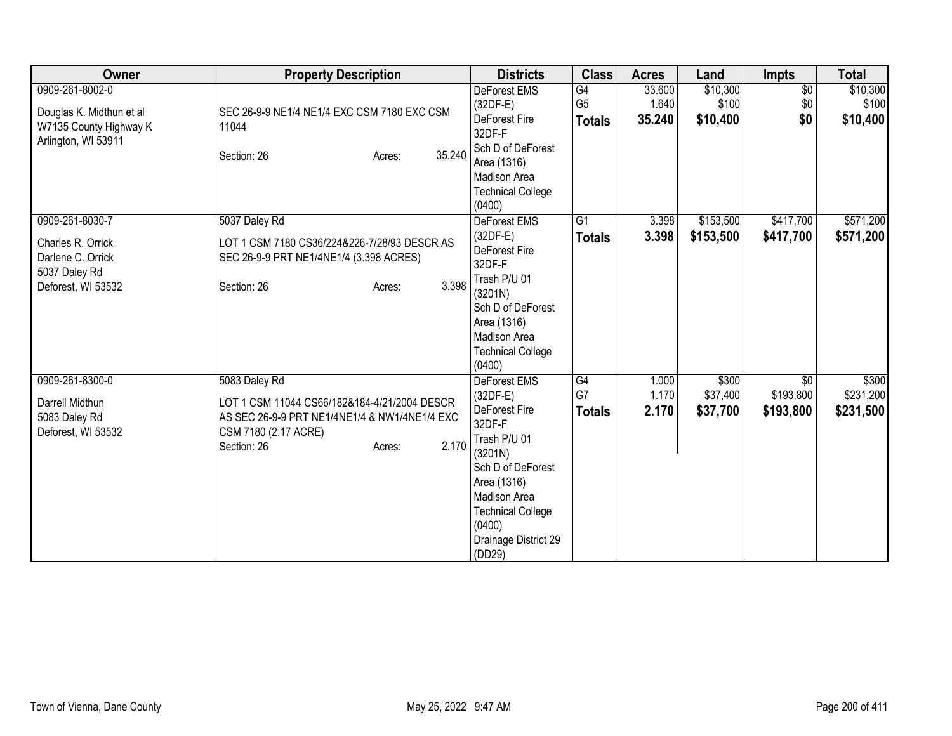| Owner                    | <b>Property Description</b>                   | <b>Districts</b>                 | <b>Class</b>    | <b>Acres</b> | Land      | <b>Impts</b>    | <b>Total</b> |
|--------------------------|-----------------------------------------------|----------------------------------|-----------------|--------------|-----------|-----------------|--------------|
| 0909-261-8002-0          |                                               | <b>DeForest EMS</b>              | G4              | 33.600       | \$10,300  | $\overline{50}$ | \$10,300     |
| Douglas K. Midthun et al | SEC 26-9-9 NE1/4 NE1/4 EXC CSM 7180 EXC CSM   | $(32DF-E)$                       | G <sub>5</sub>  | 1.640        | \$100     | \$0             | \$100        |
| W7135 County Highway K   | 11044                                         | DeForest Fire                    | <b>Totals</b>   | 35.240       | \$10,400  | \$0             | \$10,400     |
| Arlington, WI 53911      |                                               | 32DF-F                           |                 |              |           |                 |              |
|                          | 35.240<br>Section: 26<br>Acres:               | Sch D of DeForest<br>Area (1316) |                 |              |           |                 |              |
|                          |                                               | Madison Area                     |                 |              |           |                 |              |
|                          |                                               | <b>Technical College</b>         |                 |              |           |                 |              |
|                          |                                               | (0400)                           |                 |              |           |                 |              |
| 0909-261-8030-7          | 5037 Daley Rd                                 | DeForest EMS                     | $\overline{G1}$ | 3.398        | \$153,500 | \$417,700       | \$571,200    |
| Charles R. Orrick        | LOT 1 CSM 7180 CS36/224&226-7/28/93 DESCR AS  | $(32DF-E)$                       | <b>Totals</b>   | 3.398        | \$153,500 | \$417,700       | \$571,200    |
| Darlene C. Orrick        | SEC 26-9-9 PRT NE1/4NE1/4 (3.398 ACRES)       | DeForest Fire                    |                 |              |           |                 |              |
| 5037 Daley Rd            |                                               | 32DF-F                           |                 |              |           |                 |              |
| Deforest, WI 53532       | 3.398<br>Section: 26<br>Acres:                | Trash P/U 01                     |                 |              |           |                 |              |
|                          |                                               | (3201N)                          |                 |              |           |                 |              |
|                          |                                               | Sch D of DeForest                |                 |              |           |                 |              |
|                          |                                               | Area (1316)<br>Madison Area      |                 |              |           |                 |              |
|                          |                                               | <b>Technical College</b>         |                 |              |           |                 |              |
|                          |                                               | (0400)                           |                 |              |           |                 |              |
| 0909-261-8300-0          | 5083 Daley Rd                                 | <b>DeForest EMS</b>              | G4              | 1.000        | \$300     | \$0             | \$300        |
| Darrell Midthun          | LOT 1 CSM 11044 CS66/182&184-4/21/2004 DESCR  | (32DF-E)                         | G7              | 1.170        | \$37,400  | \$193,800       | \$231,200    |
| 5083 Daley Rd            | AS SEC 26-9-9 PRT NE1/4NE1/4 & NW1/4NE1/4 EXC | DeForest Fire                    | <b>Totals</b>   | 2.170        | \$37,700  | \$193,800       | \$231,500    |
| Deforest, WI 53532       | CSM 7180 (2.17 ACRE)                          | 32DF-F                           |                 |              |           |                 |              |
|                          | 2.170<br>Section: 26<br>Acres:                | Trash P/U 01                     |                 |              |           |                 |              |
|                          |                                               | (3201N)                          |                 |              |           |                 |              |
|                          |                                               | Sch D of DeForest<br>Area (1316) |                 |              |           |                 |              |
|                          |                                               | Madison Area                     |                 |              |           |                 |              |
|                          |                                               | <b>Technical College</b>         |                 |              |           |                 |              |
|                          |                                               | (0400)                           |                 |              |           |                 |              |
|                          |                                               | Drainage District 29             |                 |              |           |                 |              |
|                          |                                               | (DD29)                           |                 |              |           |                 |              |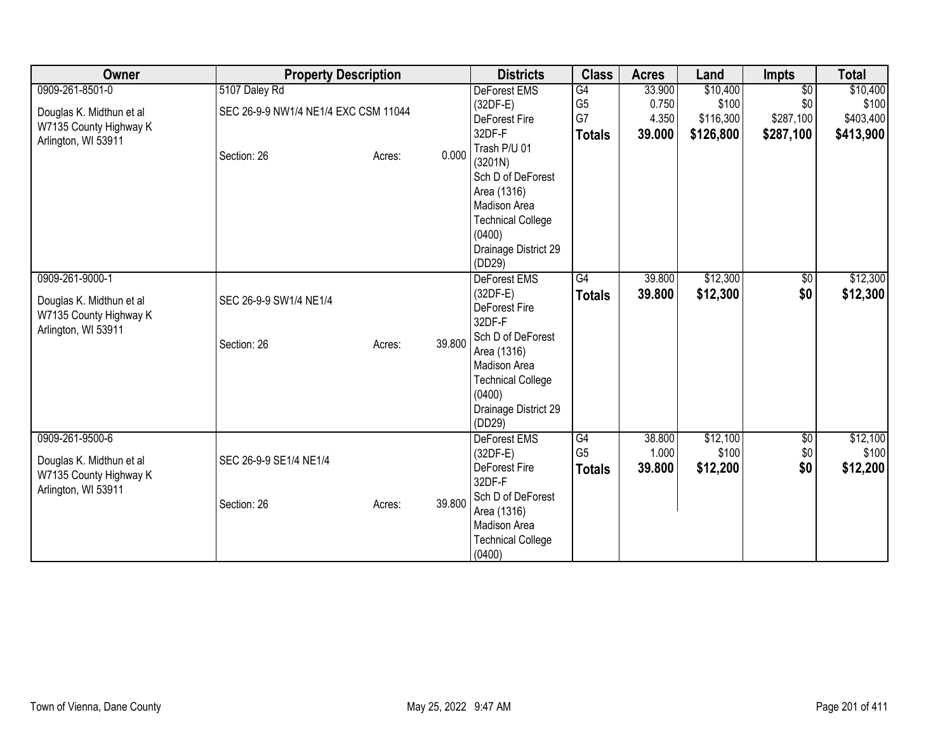| Owner                                                                                        | <b>Property Description</b>                                          |                  | <b>Districts</b>                                                                                                                                                                                                    | <b>Class</b>                                | <b>Acres</b>                       | Land                                        | <b>Impts</b>                                     | <b>Total</b>                                |
|----------------------------------------------------------------------------------------------|----------------------------------------------------------------------|------------------|---------------------------------------------------------------------------------------------------------------------------------------------------------------------------------------------------------------------|---------------------------------------------|------------------------------------|---------------------------------------------|--------------------------------------------------|---------------------------------------------|
| 0909-261-8501-0<br>Douglas K. Midthun et al<br>W7135 County Highway K<br>Arlington, WI 53911 | 5107 Daley Rd<br>SEC 26-9-9 NW1/4 NE1/4 EXC CSM 11044<br>Section: 26 | 0.000<br>Acres:  | <b>DeForest EMS</b><br>(32DF-E)<br>DeForest Fire<br>32DF-F<br>Trash P/U 01<br>(3201N)<br>Sch D of DeForest<br>Area (1316)<br>Madison Area<br><b>Technical College</b><br>(0400)                                     | G4<br>G <sub>5</sub><br>G7<br><b>Totals</b> | 33.900<br>0.750<br>4.350<br>39.000 | \$10,400<br>\$100<br>\$116,300<br>\$126,800 | $\overline{50}$<br>\$0<br>\$287,100<br>\$287,100 | \$10,400<br>\$100<br>\$403,400<br>\$413,900 |
| 0909-261-9000-1<br>Douglas K. Midthun et al<br>W7135 County Highway K<br>Arlington, WI 53911 | SEC 26-9-9 SW1/4 NE1/4<br>Section: 26                                | 39.800<br>Acres: | Drainage District 29<br>(DD29)<br>DeForest EMS<br>$(32DF-E)$<br>DeForest Fire<br>32DF-F<br>Sch D of DeForest<br>Area (1316)<br>Madison Area<br><b>Technical College</b><br>(0400)<br>Drainage District 29<br>(DD29) | G4<br><b>Totals</b>                         | 39.800<br>39.800                   | \$12,300<br>\$12,300                        | $\sqrt{6}$<br>\$0                                | \$12,300<br>\$12,300                        |
| 0909-261-9500-6<br>Douglas K. Midthun et al<br>W7135 County Highway K<br>Arlington, WI 53911 | SEC 26-9-9 SE1/4 NE1/4<br>Section: 26                                | 39.800<br>Acres: | <b>DeForest EMS</b><br>(32DF-E)<br>DeForest Fire<br>32DF-F<br>Sch D of DeForest<br>Area (1316)<br>Madison Area<br><b>Technical College</b><br>(0400)                                                                | G4<br>G <sub>5</sub><br><b>Totals</b>       | 38.800<br>1.000<br>39.800          | \$12,100<br>\$100<br>\$12,200               | \$0<br>\$0<br>\$0                                | \$12,100<br>\$100<br>\$12,200               |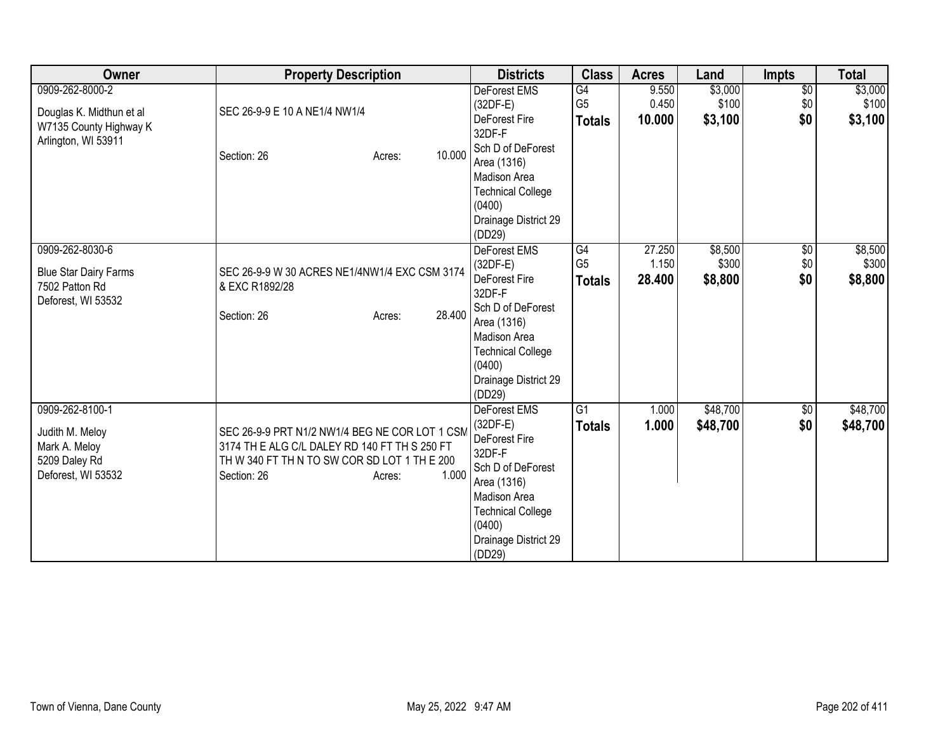| Owner                                                                                        | <b>Property Description</b>                                                                                                                                                       | <b>Districts</b>                                                                                                                                                                  | <b>Class</b>                          | <b>Acres</b>             | Land                        | <b>Impts</b>             | <b>Total</b>                |
|----------------------------------------------------------------------------------------------|-----------------------------------------------------------------------------------------------------------------------------------------------------------------------------------|-----------------------------------------------------------------------------------------------------------------------------------------------------------------------------------|---------------------------------------|--------------------------|-----------------------------|--------------------------|-----------------------------|
| 0909-262-8000-2<br>Douglas K. Midthun et al<br>W7135 County Highway K<br>Arlington, WI 53911 | SEC 26-9-9 E 10 A NE1/4 NW1/4<br>10.000<br>Section: 26<br>Acres:                                                                                                                  | <b>DeForest EMS</b><br>$(32DF-E)$<br>DeForest Fire<br>32DF-F<br>Sch D of DeForest<br>Area (1316)<br>Madison Area<br><b>Technical College</b>                                      | G4<br>G <sub>5</sub><br><b>Totals</b> | 9.550<br>0.450<br>10.000 | \$3,000<br>\$100<br>\$3,100 | $\sqrt{6}$<br>\$0<br>\$0 | \$3,000<br>\$100<br>\$3,100 |
| 0909-262-8030-6                                                                              |                                                                                                                                                                                   | (0400)<br>Drainage District 29<br>(DD29)<br><b>DeForest EMS</b>                                                                                                                   | G4                                    | 27.250                   | \$8,500                     | $\sqrt{6}$               | \$8,500                     |
| <b>Blue Star Dairy Farms</b><br>7502 Patton Rd<br>Deforest, WI 53532                         | SEC 26-9-9 W 30 ACRES NE1/4NW1/4 EXC CSM 3174<br>& EXC R1892/28<br>28.400<br>Section: 26<br>Acres:                                                                                | $(32DF-E)$<br>DeForest Fire<br>32DF-F<br>Sch D of DeForest<br>Area (1316)<br>Madison Area<br><b>Technical College</b><br>(0400)<br>Drainage District 29<br>(DD29)                 | G <sub>5</sub><br><b>Totals</b>       | 1.150<br>28.400          | \$300<br>\$8,800            | \$0<br>\$0               | \$300<br>\$8,800            |
| 0909-262-8100-1<br>Judith M. Meloy<br>Mark A. Meloy<br>5209 Daley Rd<br>Deforest, WI 53532   | SEC 26-9-9 PRT N1/2 NW1/4 BEG NE COR LOT 1 CSM<br>3174 TH E ALG C/L DALEY RD 140 FT TH S 250 FT<br>TH W 340 FT TH N TO SW COR SD LOT 1 TH E 200<br>1.000<br>Section: 26<br>Acres: | DeForest EMS<br>$(32DF-E)$<br>DeForest Fire<br>32DF-F<br>Sch D of DeForest<br>Area (1316)<br>Madison Area<br><b>Technical College</b><br>(0400)<br>Drainage District 29<br>(DD29) | G <sub>1</sub><br><b>Totals</b>       | 1.000<br>1.000           | \$48,700<br>\$48,700        | \$0<br>\$0               | \$48,700<br>\$48,700        |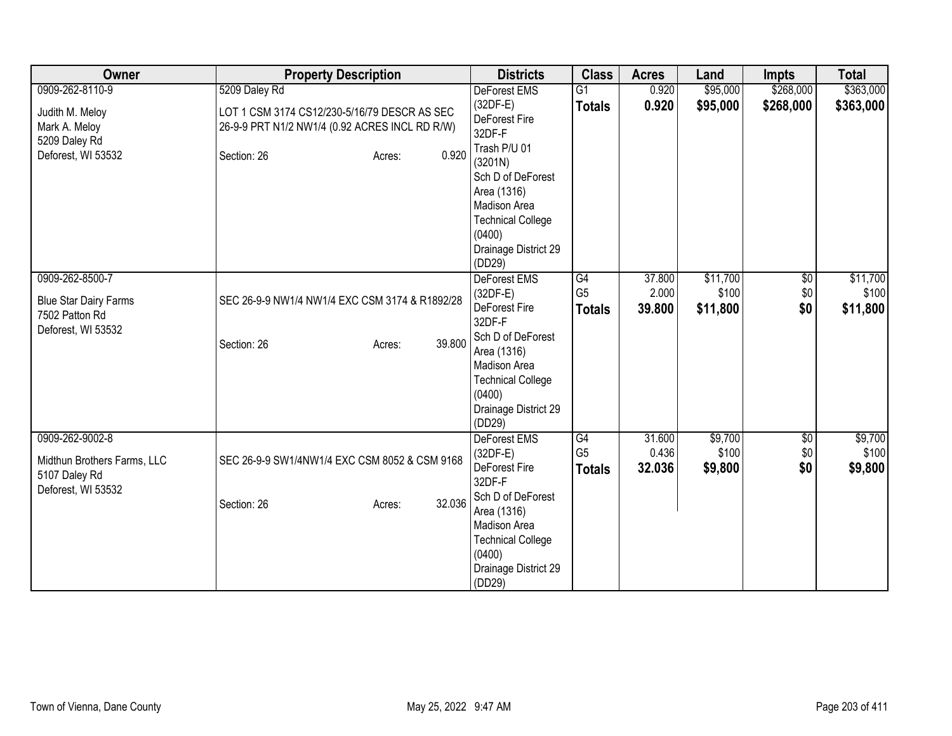| Owner                        | <b>Property Description</b>                    | <b>Districts</b>            | <b>Class</b>         | <b>Acres</b>    | Land             | <b>Impts</b> | <b>Total</b>     |
|------------------------------|------------------------------------------------|-----------------------------|----------------------|-----------------|------------------|--------------|------------------|
| 0909-262-8110-9              | 5209 Daley Rd                                  | DeForest EMS                | $\overline{G1}$      | 0.920           | \$95,000         | \$268,000    | \$363,000        |
| Judith M. Meloy              | LOT 1 CSM 3174 CS12/230-5/16/79 DESCR AS SEC   | $(32DF-E)$                  | <b>Totals</b>        | 0.920           | \$95,000         | \$268,000    | \$363,000        |
| Mark A. Meloy                | 26-9-9 PRT N1/2 NW1/4 (0.92 ACRES INCL RD R/W) | DeForest Fire               |                      |                 |                  |              |                  |
| 5209 Daley Rd                |                                                | 32DF-F                      |                      |                 |                  |              |                  |
| Deforest, WI 53532           | 0.920<br>Section: 26<br>Acres:                 | Trash P/U 01                |                      |                 |                  |              |                  |
|                              |                                                | (3201N)                     |                      |                 |                  |              |                  |
|                              |                                                | Sch D of DeForest           |                      |                 |                  |              |                  |
|                              |                                                | Area (1316)<br>Madison Area |                      |                 |                  |              |                  |
|                              |                                                | <b>Technical College</b>    |                      |                 |                  |              |                  |
|                              |                                                | (0400)                      |                      |                 |                  |              |                  |
|                              |                                                | Drainage District 29        |                      |                 |                  |              |                  |
|                              |                                                | (DD29)                      |                      |                 |                  |              |                  |
| 0909-262-8500-7              |                                                | <b>DeForest EMS</b>         | G4                   | 37.800          | \$11,700         | $\sqrt{6}$   | \$11,700         |
|                              |                                                | (32DF-E)                    | G <sub>5</sub>       | 2.000           | \$100            | \$0          | \$100            |
| <b>Blue Star Dairy Farms</b> | SEC 26-9-9 NW1/4 NW1/4 EXC CSM 3174 & R1892/28 | DeForest Fire               | <b>Totals</b>        | 39.800          | \$11,800         | \$0          | \$11,800         |
| 7502 Patton Rd               |                                                | 32DF-F                      |                      |                 |                  |              |                  |
| Deforest, WI 53532           | 39.800<br>Section: 26<br>Acres:                | Sch D of DeForest           |                      |                 |                  |              |                  |
|                              |                                                | Area (1316)                 |                      |                 |                  |              |                  |
|                              |                                                | Madison Area                |                      |                 |                  |              |                  |
|                              |                                                | <b>Technical College</b>    |                      |                 |                  |              |                  |
|                              |                                                | (0400)                      |                      |                 |                  |              |                  |
|                              |                                                | Drainage District 29        |                      |                 |                  |              |                  |
|                              |                                                | (DD29)                      |                      |                 |                  |              |                  |
| 0909-262-9002-8              |                                                | <b>DeForest EMS</b>         | G4<br>G <sub>5</sub> | 31.600<br>0.436 | \$9,700<br>\$100 | \$0<br>\$0   | \$9,700<br>\$100 |
| Midthun Brothers Farms, LLC  | SEC 26-9-9 SW1/4NW1/4 EXC CSM 8052 & CSM 9168  | $(32DF-E)$<br>DeForest Fire |                      | 32.036          |                  | \$0          |                  |
| 5107 Daley Rd                |                                                | 32DF-F                      | <b>Totals</b>        |                 | \$9,800          |              | \$9,800          |
| Deforest, WI 53532           |                                                | Sch D of DeForest           |                      |                 |                  |              |                  |
|                              | 32.036<br>Section: 26<br>Acres:                | Area (1316)                 |                      |                 |                  |              |                  |
|                              |                                                | Madison Area                |                      |                 |                  |              |                  |
|                              |                                                | <b>Technical College</b>    |                      |                 |                  |              |                  |
|                              |                                                | (0400)                      |                      |                 |                  |              |                  |
|                              |                                                | Drainage District 29        |                      |                 |                  |              |                  |
|                              |                                                | (DD29)                      |                      |                 |                  |              |                  |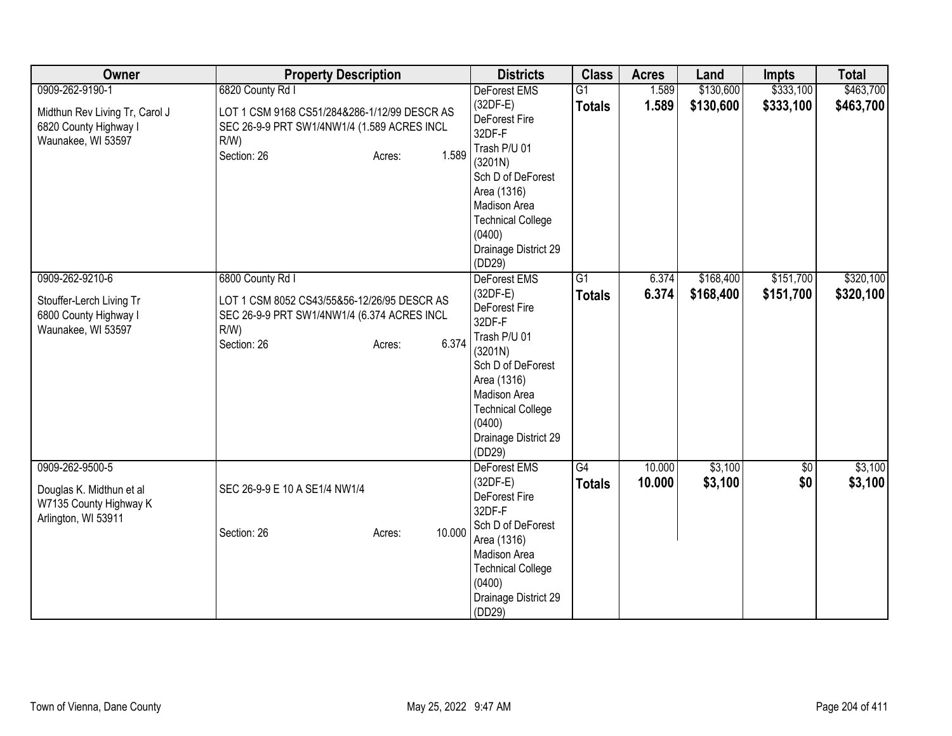| Owner                                                                                            | <b>Property Description</b>                                                                                                                                  | <b>Districts</b>                                                                                                                                                                                             | <b>Class</b>                     | <b>Acres</b>     | Land                   | <b>Impts</b>           | <b>Total</b>           |
|--------------------------------------------------------------------------------------------------|--------------------------------------------------------------------------------------------------------------------------------------------------------------|--------------------------------------------------------------------------------------------------------------------------------------------------------------------------------------------------------------|----------------------------------|------------------|------------------------|------------------------|------------------------|
| 0909-262-9190-1<br>Midthun Rev Living Tr, Carol J<br>6820 County Highway I<br>Waunakee, WI 53597 | 6820 County Rd I<br>LOT 1 CSM 9168 CS51/284&286-1/12/99 DESCR AS<br>SEC 26-9-9 PRT SW1/4NW1/4 (1.589 ACRES INCL<br>$R/W$ )<br>1.589<br>Section: 26<br>Acres: | DeForest EMS<br>$(32DF-E)$<br>DeForest Fire<br>32DF-F<br>Trash P/U 01<br>(3201N)<br>Sch D of DeForest<br>Area (1316)<br>Madison Area<br><b>Technical College</b><br>(0400)<br>Drainage District 29<br>(DD29) | G1<br><b>Totals</b>              | 1.589<br>1.589   | \$130,600<br>\$130,600 | \$333,100<br>\$333,100 | \$463,700<br>\$463,700 |
| 0909-262-9210-6<br>Stouffer-Lerch Living Tr<br>6800 County Highway I<br>Waunakee, WI 53597       | 6800 County Rd I<br>LOT 1 CSM 8052 CS43/55&56-12/26/95 DESCR AS<br>SEC 26-9-9 PRT SW1/4NW1/4 (6.374 ACRES INCL<br>$R/W$ )<br>6.374<br>Section: 26<br>Acres:  | DeForest EMS<br>$(32DF-E)$<br>DeForest Fire<br>32DF-F<br>Trash P/U 01<br>(3201N)<br>Sch D of DeForest<br>Area (1316)<br>Madison Area<br><b>Technical College</b><br>(0400)<br>Drainage District 29<br>(DD29) | $\overline{G1}$<br><b>Totals</b> | 6.374<br>6.374   | \$168,400<br>\$168,400 | \$151,700<br>\$151,700 | \$320,100<br>\$320,100 |
| 0909-262-9500-5<br>Douglas K. Midthun et al<br>W7135 County Highway K<br>Arlington, WI 53911     | SEC 26-9-9 E 10 A SE1/4 NW1/4<br>10.000<br>Section: 26<br>Acres:                                                                                             | <b>DeForest EMS</b><br>$(32DF-E)$<br>DeForest Fire<br>32DF-F<br>Sch D of DeForest<br>Area (1316)<br>Madison Area<br><b>Technical College</b><br>(0400)<br>Drainage District 29<br>(DD29)                     | $\overline{G4}$<br><b>Totals</b> | 10.000<br>10.000 | \$3,100<br>\$3,100     | \$0<br>\$0             | \$3,100<br>\$3,100     |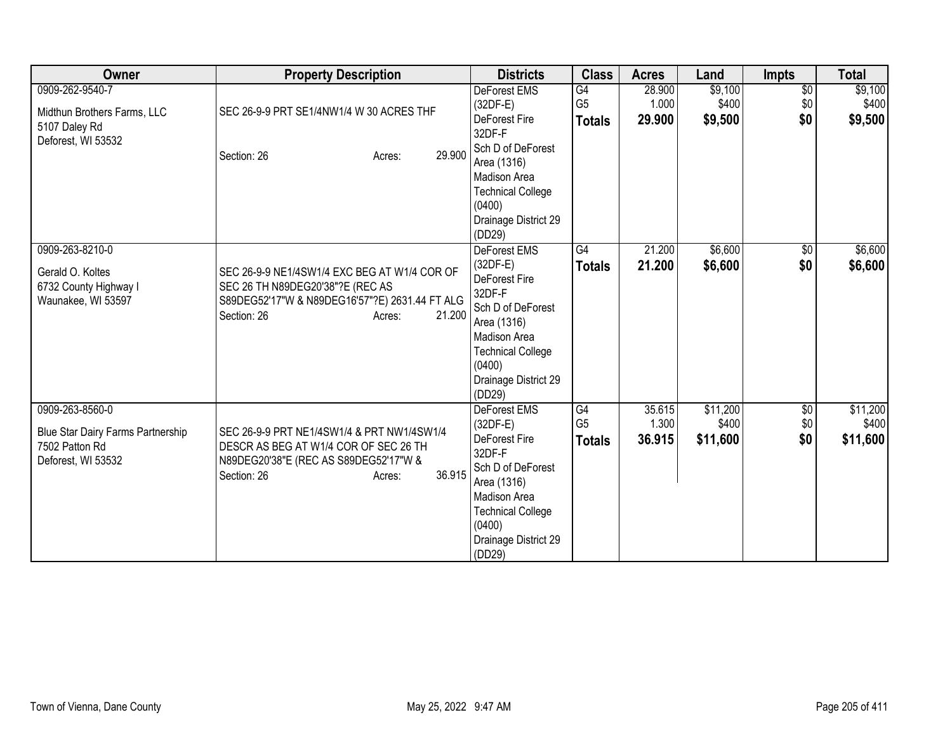| Owner                                                                                        | <b>Property Description</b>                                                                                                                                           | <b>Districts</b>                                                                                                                                                                         | <b>Class</b>                          | <b>Acres</b>              | Land                          | <b>Impts</b>             | <b>Total</b>                  |
|----------------------------------------------------------------------------------------------|-----------------------------------------------------------------------------------------------------------------------------------------------------------------------|------------------------------------------------------------------------------------------------------------------------------------------------------------------------------------------|---------------------------------------|---------------------------|-------------------------------|--------------------------|-------------------------------|
| 0909-262-9540-7<br>Midthun Brothers Farms, LLC<br>5107 Daley Rd<br>Deforest, WI 53532        | SEC 26-9-9 PRT SE1/4NW1/4 W 30 ACRES THF<br>29.900<br>Section: 26<br>Acres:                                                                                           | <b>DeForest EMS</b><br>$(32DF-E)$<br>DeForest Fire<br>32DF-F<br>Sch D of DeForest<br>Area (1316)<br>Madison Area<br><b>Technical College</b><br>(0400)<br>Drainage District 29<br>(DD29) | G4<br>G <sub>5</sub><br><b>Totals</b> | 28.900<br>1.000<br>29.900 | \$9,100<br>\$400<br>\$9,500   | $\sqrt{6}$<br>\$0<br>\$0 | \$9,100<br>\$400<br>\$9,500   |
| 0909-263-8210-0<br>Gerald O. Koltes<br>6732 County Highway I<br>Waunakee, WI 53597           | SEC 26-9-9 NE1/4SW1/4 EXC BEG AT W1/4 COR OF<br>SEC 26 TH N89DEG20'38"?E (REC AS<br>S89DEG52'17"W & N89DEG16'57"?E) 2631.44 FT ALG<br>Section: 26<br>21.200<br>Acres: | <b>DeForest EMS</b><br>$(32DF-E)$<br>DeForest Fire<br>32DF-F<br>Sch D of DeForest<br>Area (1316)<br>Madison Area<br><b>Technical College</b><br>(0400)<br>Drainage District 29<br>(DD29) | G4<br><b>Totals</b>                   | 21.200<br>21.200          | \$6,600<br>\$6,600            | $\sqrt{6}$<br>\$0        | \$6,600<br>\$6,600            |
| 0909-263-8560-0<br>Blue Star Dairy Farms Partnership<br>7502 Patton Rd<br>Deforest, WI 53532 | SEC 26-9-9 PRT NE1/4SW1/4 & PRT NW1/4SW1/4<br>DESCR AS BEG AT W1/4 COR OF SEC 26 TH<br>N89DEG20'38"E (REC AS S89DEG52'17"W &<br>36.915<br>Section: 26<br>Acres:       | DeForest EMS<br>$(32DF-E)$<br>DeForest Fire<br>32DF-F<br>Sch D of DeForest<br>Area (1316)<br>Madison Area<br><b>Technical College</b><br>(0400)<br>Drainage District 29<br>(DD29)        | G4<br>G <sub>5</sub><br><b>Totals</b> | 35.615<br>1.300<br>36.915 | \$11,200<br>\$400<br>\$11,600 | \$0<br>\$0<br>\$0        | \$11,200<br>\$400<br>\$11,600 |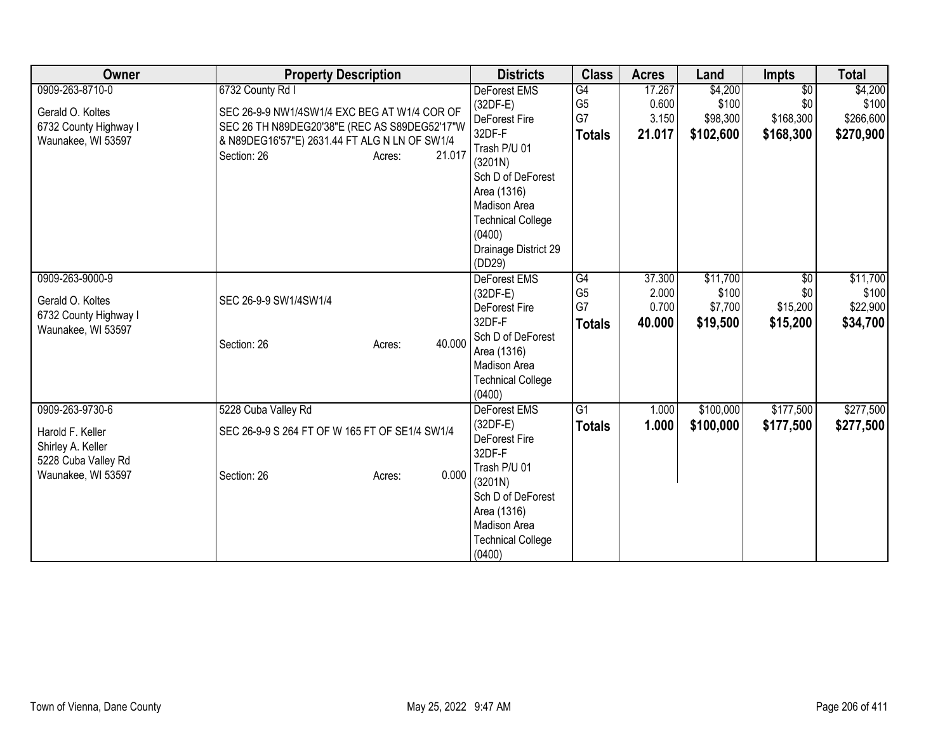| Owner                 | <b>Property Description</b>                    | <b>Districts</b>            | <b>Class</b>                      | <b>Acres</b>    | Land              | Impts                  | <b>Total</b>      |
|-----------------------|------------------------------------------------|-----------------------------|-----------------------------------|-----------------|-------------------|------------------------|-------------------|
| 0909-263-8710-0       | 6732 County Rd I                               | DeForest EMS                | $\overline{G4}$                   | 17.267          | \$4,200           | $\overline{50}$        | \$4,200           |
| Gerald O. Koltes      | SEC 26-9-9 NW1/4SW1/4 EXC BEG AT W1/4 COR OF   | $(32DF-E)$                  | G <sub>5</sub>                    | 0.600           | \$100             | \$0                    | \$100             |
| 6732 County Highway I | SEC 26 TH N89DEG20'38"E (REC AS S89DEG52'17"W  | DeForest Fire               | G7                                | 3.150           | \$98,300          | \$168,300              | \$266,600         |
| Waunakee, WI 53597    | & N89DEG16'57"E) 2631.44 FT ALG N LN OF SW1/4  | 32DF-F                      | <b>Totals</b>                     | 21.017          | \$102,600         | \$168,300              | \$270,900         |
|                       | Section: 26<br>21.017<br>Acres:                | Trash P/U 01                |                                   |                 |                   |                        |                   |
|                       |                                                | (3201N)                     |                                   |                 |                   |                        |                   |
|                       |                                                | Sch D of DeForest           |                                   |                 |                   |                        |                   |
|                       |                                                | Area (1316)                 |                                   |                 |                   |                        |                   |
|                       |                                                | Madison Area                |                                   |                 |                   |                        |                   |
|                       |                                                | <b>Technical College</b>    |                                   |                 |                   |                        |                   |
|                       |                                                | (0400)                      |                                   |                 |                   |                        |                   |
|                       |                                                | Drainage District 29        |                                   |                 |                   |                        |                   |
|                       |                                                | (DD29)                      |                                   |                 |                   |                        |                   |
| 0909-263-9000-9       |                                                | <b>DeForest EMS</b>         | $\overline{G4}$<br>G <sub>5</sub> | 37.300<br>2.000 | \$11,700<br>\$100 | $\overline{50}$<br>\$0 | \$11,700<br>\$100 |
| Gerald O. Koltes      | SEC 26-9-9 SW1/4SW1/4                          | $(32DF-E)$<br>DeForest Fire | G7                                | 0.700           | \$7,700           | \$15,200               | \$22,900          |
| 6732 County Highway I |                                                | 32DF-F                      | <b>Totals</b>                     | 40.000          | \$19,500          | \$15,200               | \$34,700          |
| Waunakee, WI 53597    |                                                | Sch D of DeForest           |                                   |                 |                   |                        |                   |
|                       | 40.000<br>Section: 26<br>Acres:                | Area (1316)                 |                                   |                 |                   |                        |                   |
|                       |                                                | Madison Area                |                                   |                 |                   |                        |                   |
|                       |                                                | <b>Technical College</b>    |                                   |                 |                   |                        |                   |
|                       |                                                | (0400)                      |                                   |                 |                   |                        |                   |
| 0909-263-9730-6       | 5228 Cuba Valley Rd                            | <b>DeForest EMS</b>         | G1                                | 1.000           | \$100,000         | \$177,500              | \$277,500         |
|                       |                                                | $(32DF-E)$                  | <b>Totals</b>                     | 1.000           | \$100,000         | \$177,500              | \$277,500         |
| Harold F. Keller      | SEC 26-9-9 S 264 FT OF W 165 FT OF SE1/4 SW1/4 | DeForest Fire               |                                   |                 |                   |                        |                   |
| Shirley A. Keller     |                                                | 32DF-F                      |                                   |                 |                   |                        |                   |
| 5228 Cuba Valley Rd   | 0.000                                          | Trash P/U 01                |                                   |                 |                   |                        |                   |
| Waunakee, WI 53597    | Section: 26<br>Acres:                          | (3201N)                     |                                   |                 |                   |                        |                   |
|                       |                                                | Sch D of DeForest           |                                   |                 |                   |                        |                   |
|                       |                                                | Area (1316)                 |                                   |                 |                   |                        |                   |
|                       |                                                | Madison Area                |                                   |                 |                   |                        |                   |
|                       |                                                | <b>Technical College</b>    |                                   |                 |                   |                        |                   |
|                       |                                                | (0400)                      |                                   |                 |                   |                        |                   |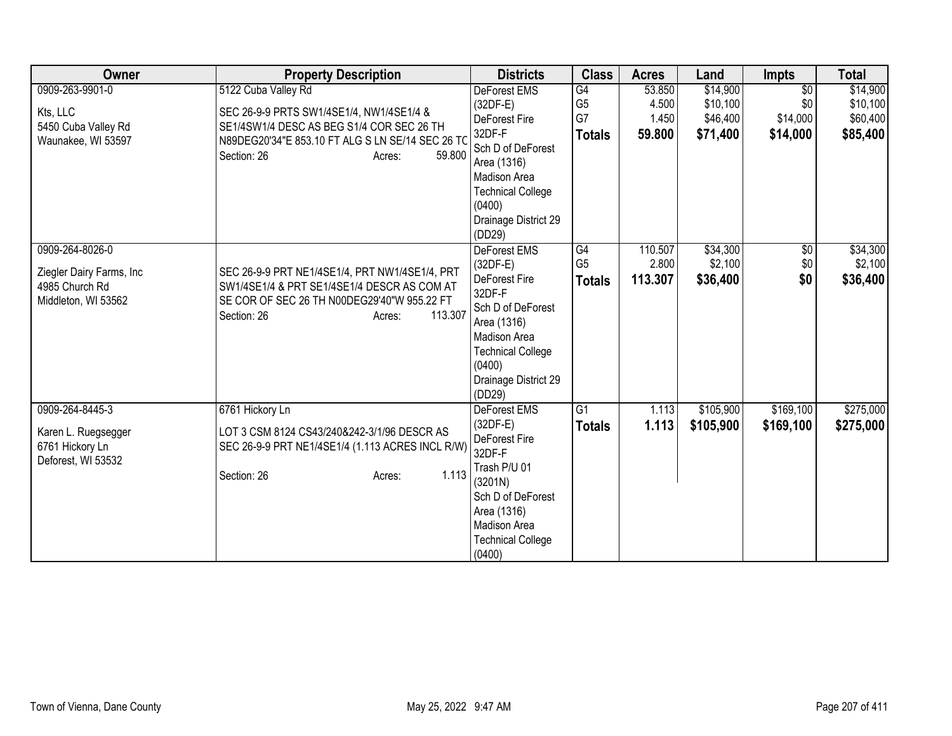| Owner                    | <b>Property Description</b>                                                     | <b>Districts</b>                   | <b>Class</b>   | <b>Acres</b> | Land      | <b>Impts</b>    | <b>Total</b> |
|--------------------------|---------------------------------------------------------------------------------|------------------------------------|----------------|--------------|-----------|-----------------|--------------|
| 0909-263-9901-0          | 5122 Cuba Valley Rd                                                             | <b>DeForest EMS</b>                | G4             | 53.850       | \$14,900  | $\overline{50}$ | \$14,900     |
| Kts, LLC                 | SEC 26-9-9 PRTS SW1/4SE1/4, NW1/4SE1/4 &                                        | (32DF-E)                           | G <sub>5</sub> | 4.500        | \$10,100  | \$0             | \$10,100     |
| 5450 Cuba Valley Rd      | SE1/4SW1/4 DESC AS BEG S1/4 COR SEC 26 TH                                       | DeForest Fire                      | G7             | 1.450        | \$46,400  | \$14,000        | \$60,400     |
| Waunakee, WI 53597       | N89DEG20'34"E 853.10 FT ALG S LN SE/14 SEC 26 TO                                | 32DF-F                             | <b>Totals</b>  | 59.800       | \$71,400  | \$14,000        | \$85,400     |
|                          | 59.800<br>Section: 26<br>Acres:                                                 | Sch D of DeForest                  |                |              |           |                 |              |
|                          |                                                                                 | Area (1316)                        |                |              |           |                 |              |
|                          |                                                                                 | Madison Area                       |                |              |           |                 |              |
|                          |                                                                                 | <b>Technical College</b><br>(0400) |                |              |           |                 |              |
|                          |                                                                                 | Drainage District 29               |                |              |           |                 |              |
|                          |                                                                                 | (DD29)                             |                |              |           |                 |              |
| 0909-264-8026-0          |                                                                                 | DeForest EMS                       | G4             | 110.507      | \$34,300  | $\sqrt{6}$      | \$34,300     |
|                          |                                                                                 | $(32DF-E)$                         | G <sub>5</sub> | 2.800        | \$2,100   | \$0             | \$2,100      |
| Ziegler Dairy Farms, Inc | SEC 26-9-9 PRT NE1/4SE1/4, PRT NW1/4SE1/4, PRT                                  | DeForest Fire                      | <b>Totals</b>  | 113.307      | \$36,400  | \$0             | \$36,400     |
| 4985 Church Rd           | SW1/4SE1/4 & PRT SE1/4SE1/4 DESCR AS COM AT                                     | 32DF-F                             |                |              |           |                 |              |
| Middleton, WI 53562      | SE COR OF SEC 26 TH N00DEG29'40"W 955.22 FT<br>113.307<br>Section: 26<br>Acres: | Sch D of DeForest                  |                |              |           |                 |              |
|                          |                                                                                 | Area (1316)                        |                |              |           |                 |              |
|                          |                                                                                 | Madison Area                       |                |              |           |                 |              |
|                          |                                                                                 | <b>Technical College</b>           |                |              |           |                 |              |
|                          |                                                                                 | (0400)                             |                |              |           |                 |              |
|                          |                                                                                 | Drainage District 29               |                |              |           |                 |              |
| 0909-264-8445-3          | 6761 Hickory Ln                                                                 | (DD29)<br>DeForest EMS             | G <sub>1</sub> | 1.113        | \$105,900 | \$169,100       | \$275,000    |
|                          |                                                                                 | $(32DF-E)$                         |                |              |           |                 |              |
| Karen L. Ruegsegger      | LOT 3 CSM 8124 CS43/240&242-3/1/96 DESCR AS                                     | DeForest Fire                      | <b>Totals</b>  | 1.113        | \$105,900 | \$169,100       | \$275,000    |
| 6761 Hickory Ln          | SEC 26-9-9 PRT NE1/4SE1/4 (1.113 ACRES INCL R/W)                                | 32DF-F                             |                |              |           |                 |              |
| Deforest, WI 53532       |                                                                                 | Trash P/U 01                       |                |              |           |                 |              |
|                          | 1.113<br>Section: 26<br>Acres:                                                  | (3201N)                            |                |              |           |                 |              |
|                          |                                                                                 | Sch D of DeForest                  |                |              |           |                 |              |
|                          |                                                                                 | Area (1316)                        |                |              |           |                 |              |
|                          |                                                                                 | Madison Area                       |                |              |           |                 |              |
|                          |                                                                                 | <b>Technical College</b>           |                |              |           |                 |              |
|                          |                                                                                 | (0400)                             |                |              |           |                 |              |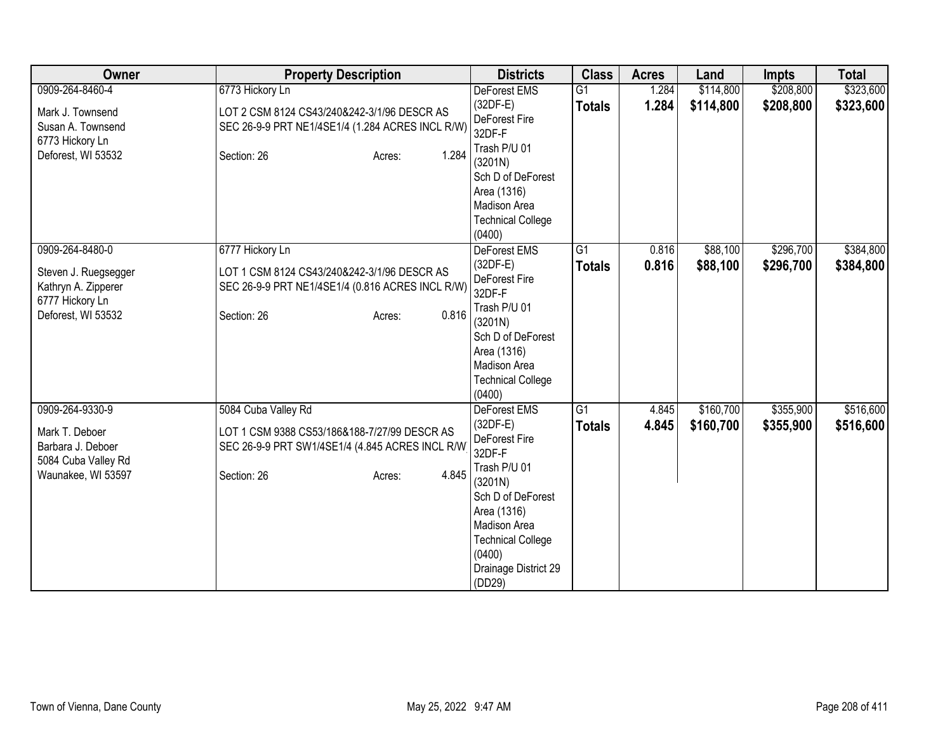| Owner                | <b>Property Description</b>                      | <b>Districts</b>                   | <b>Class</b>    | <b>Acres</b> | Land      | <b>Impts</b> | <b>Total</b> |
|----------------------|--------------------------------------------------|------------------------------------|-----------------|--------------|-----------|--------------|--------------|
| 0909-264-8460-4      | 6773 Hickory Ln                                  | <b>DeForest EMS</b>                | $\overline{G1}$ | 1.284        | \$114,800 | \$208,800    | \$323,600    |
| Mark J. Townsend     | LOT 2 CSM 8124 CS43/240&242-3/1/96 DESCR AS      | $(32DF-E)$                         | <b>Totals</b>   | 1.284        | \$114,800 | \$208,800    | \$323,600    |
| Susan A. Townsend    | SEC 26-9-9 PRT NE1/4SE1/4 (1.284 ACRES INCL R/W) | DeForest Fire                      |                 |              |           |              |              |
| 6773 Hickory Ln      |                                                  | 32DF-F                             |                 |              |           |              |              |
| Deforest, WI 53532   | 1.284<br>Section: 26<br>Acres:                   | Trash P/U 01                       |                 |              |           |              |              |
|                      |                                                  | (3201N)                            |                 |              |           |              |              |
|                      |                                                  | Sch D of DeForest                  |                 |              |           |              |              |
|                      |                                                  | Area (1316)                        |                 |              |           |              |              |
|                      |                                                  | <b>Madison Area</b>                |                 |              |           |              |              |
|                      |                                                  | <b>Technical College</b><br>(0400) |                 |              |           |              |              |
| 0909-264-8480-0      | 6777 Hickory Ln                                  | DeForest EMS                       | $\overline{G1}$ | 0.816        | \$88,100  | \$296,700    | \$384,800    |
|                      |                                                  | $(32DF-E)$                         |                 | 0.816        | \$88,100  | \$296,700    | \$384,800    |
| Steven J. Ruegsegger | LOT 1 CSM 8124 CS43/240&242-3/1/96 DESCR AS      | DeForest Fire                      | <b>Totals</b>   |              |           |              |              |
| Kathryn A. Zipperer  | SEC 26-9-9 PRT NE1/4SE1/4 (0.816 ACRES INCL R/W) | 32DF-F                             |                 |              |           |              |              |
| 6777 Hickory Ln      |                                                  | Trash P/U 01                       |                 |              |           |              |              |
| Deforest, WI 53532   | 0.816<br>Section: 26<br>Acres:                   | (3201N)                            |                 |              |           |              |              |
|                      |                                                  | Sch D of DeForest                  |                 |              |           |              |              |
|                      |                                                  | Area (1316)                        |                 |              |           |              |              |
|                      |                                                  | Madison Area                       |                 |              |           |              |              |
|                      |                                                  | <b>Technical College</b>           |                 |              |           |              |              |
|                      |                                                  | (0400)                             |                 |              |           |              |              |
| 0909-264-9330-9      | 5084 Cuba Valley Rd                              | <b>DeForest EMS</b>                | $\overline{G1}$ | 4.845        | \$160,700 | \$355,900    | \$516,600    |
| Mark T. Deboer       | LOT 1 CSM 9388 CS53/186&188-7/27/99 DESCR AS     | $(32DF-E)$                         | <b>Totals</b>   | 4.845        | \$160,700 | \$355,900    | \$516,600    |
| Barbara J. Deboer    | SEC 26-9-9 PRT SW1/4SE1/4 (4.845 ACRES INCL R/W) | DeForest Fire                      |                 |              |           |              |              |
| 5084 Cuba Valley Rd  |                                                  | 32DF-F                             |                 |              |           |              |              |
| Waunakee, WI 53597   | 4.845<br>Section: 26<br>Acres:                   | Trash P/U 01                       |                 |              |           |              |              |
|                      |                                                  | (3201N)                            |                 |              |           |              |              |
|                      |                                                  | Sch D of DeForest                  |                 |              |           |              |              |
|                      |                                                  | Area (1316)                        |                 |              |           |              |              |
|                      |                                                  | Madison Area                       |                 |              |           |              |              |
|                      |                                                  | <b>Technical College</b>           |                 |              |           |              |              |
|                      |                                                  | (0400)<br>Drainage District 29     |                 |              |           |              |              |
|                      |                                                  | (DD29)                             |                 |              |           |              |              |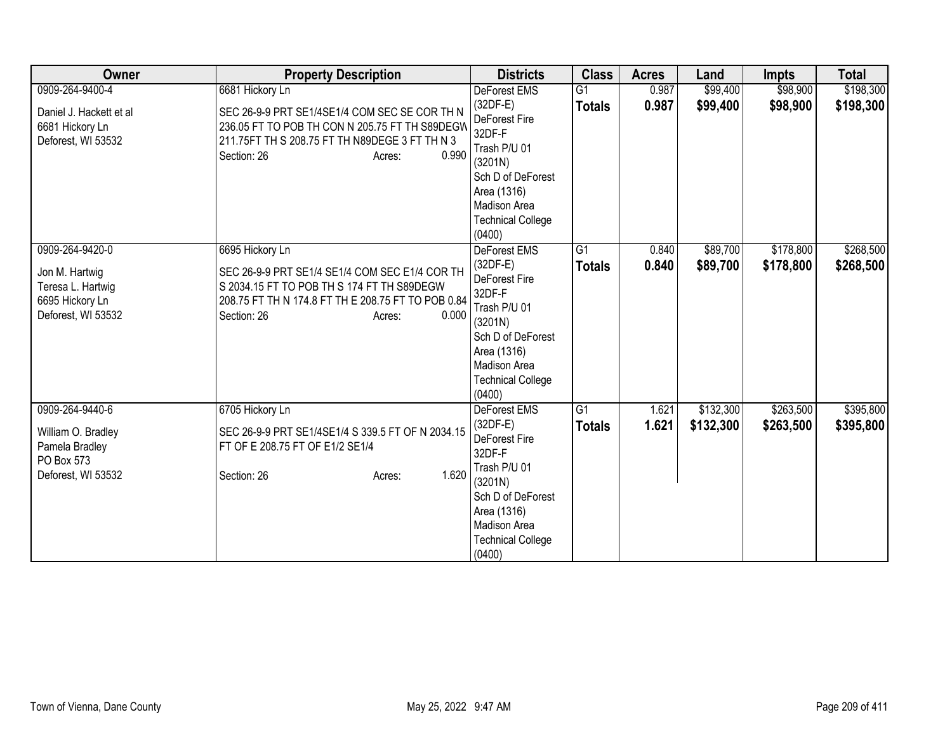| Owner                                                                                           | <b>Property Description</b>                                                                                                                                                                             | <b>Districts</b>                                                                                                                                                         | <b>Class</b>                     | <b>Acres</b>   | Land                   | <b>Impts</b>           | <b>Total</b>           |
|-------------------------------------------------------------------------------------------------|---------------------------------------------------------------------------------------------------------------------------------------------------------------------------------------------------------|--------------------------------------------------------------------------------------------------------------------------------------------------------------------------|----------------------------------|----------------|------------------------|------------------------|------------------------|
| 0909-264-9400-4<br>Daniel J. Hackett et al<br>6681 Hickory Ln<br>Deforest, WI 53532             | 6681 Hickory Ln<br>SEC 26-9-9 PRT SE1/4SE1/4 COM SEC SE COR TH N<br>236.05 FT TO POB TH CON N 205.75 FT TH S89DEGW<br>211.75FT TH S 208.75 FT TH N89DEGE 3 FT TH N 3<br>0.990<br>Section: 26<br>Acres:  | DeForest EMS<br>(32DF-E)<br>DeForest Fire<br>32DF-F<br>Trash P/U 01<br>(3201N)<br>Sch D of DeForest<br>Area (1316)<br>Madison Area<br><b>Technical College</b><br>(0400) | $\overline{G1}$<br><b>Totals</b> | 0.987<br>0.987 | \$99,400<br>\$99,400   | \$98,900<br>\$98,900   | \$198,300<br>\$198,300 |
| 0909-264-9420-0<br>Jon M. Hartwig<br>Teresa L. Hartwig<br>6695 Hickory Ln<br>Deforest, WI 53532 | 6695 Hickory Ln<br>SEC 26-9-9 PRT SE1/4 SE1/4 COM SEC E1/4 COR TH<br>S 2034.15 FT TO POB TH S 174 FT TH S89DEGW<br>208.75 FT TH N 174.8 FT TH E 208.75 FT TO POB 0.84<br>0.000<br>Section: 26<br>Acres: | DeForest EMS<br>(32DF-E)<br>DeForest Fire<br>32DF-F<br>Trash P/U 01<br>(3201N)<br>Sch D of DeForest<br>Area (1316)<br>Madison Area<br><b>Technical College</b><br>(0400) | G1<br><b>Totals</b>              | 0.840<br>0.840 | \$89,700<br>\$89,700   | \$178,800<br>\$178,800 | \$268,500<br>\$268,500 |
| 0909-264-9440-6<br>William O. Bradley<br>Pamela Bradley<br>PO Box 573<br>Deforest, WI 53532     | 6705 Hickory Ln<br>SEC 26-9-9 PRT SE1/4SE1/4 S 339.5 FT OF N 2034.15<br>FT OF E 208.75 FT OF E1/2 SE1/4<br>1.620<br>Section: 26<br>Acres:                                                               | DeForest EMS<br>(32DF-E)<br>DeForest Fire<br>32DF-F<br>Trash P/U 01<br>(3201N)<br>Sch D of DeForest<br>Area (1316)<br>Madison Area<br><b>Technical College</b><br>(0400) | $\overline{G1}$<br><b>Totals</b> | 1.621<br>1.621 | \$132,300<br>\$132,300 | \$263,500<br>\$263,500 | \$395,800<br>\$395,800 |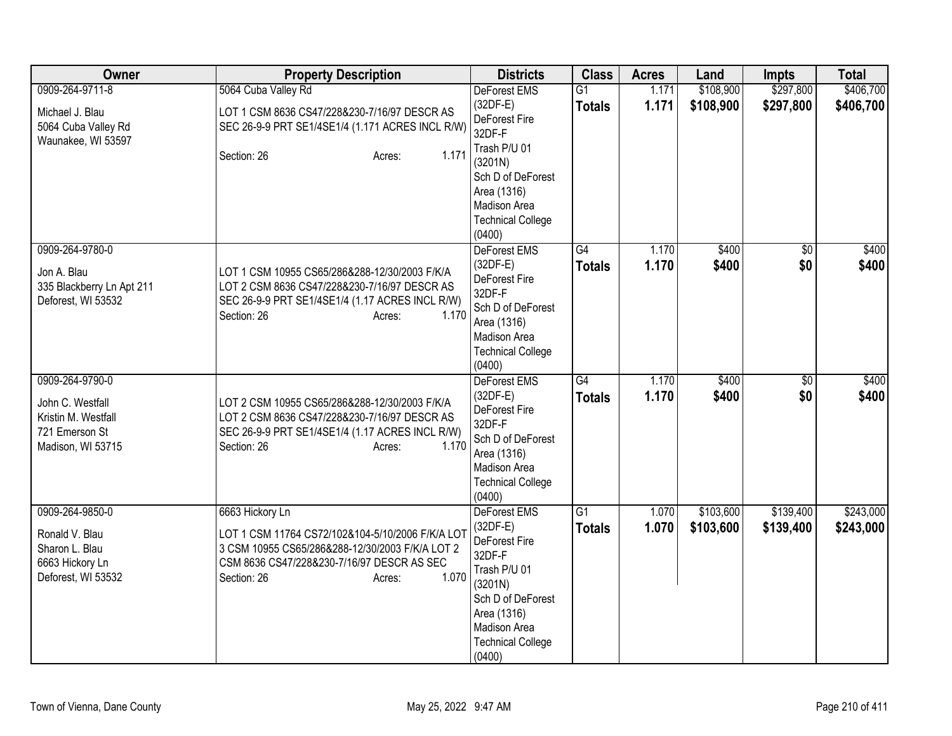| Owner                                                                                             | <b>Property Description</b>                                                                                                                                                                            | <b>Districts</b>                                                                                 | <b>Class</b>                     | <b>Acres</b>   | Land                   | <b>Impts</b>           | <b>Total</b>           |
|---------------------------------------------------------------------------------------------------|--------------------------------------------------------------------------------------------------------------------------------------------------------------------------------------------------------|--------------------------------------------------------------------------------------------------|----------------------------------|----------------|------------------------|------------------------|------------------------|
| 0909-264-9711-8                                                                                   | 5064 Cuba Valley Rd                                                                                                                                                                                    | DeForest EMS                                                                                     | $\overline{G1}$                  | 1.171          | \$108,900              | \$297,800              | \$406,700              |
| Michael J. Blau<br>5064 Cuba Valley Rd                                                            | LOT 1 CSM 8636 CS47/228&230-7/16/97 DESCR AS<br>SEC 26-9-9 PRT SE1/4SE1/4 (1.171 ACRES INCL R/W)                                                                                                       | $(32DF-E)$<br>DeForest Fire<br>32DF-F                                                            | <b>Totals</b>                    | 1.171          | \$108,900              | \$297,800              | \$406,700              |
| Waunakee, WI 53597                                                                                | 1.171<br>Section: 26<br>Acres:                                                                                                                                                                         | Trash P/U 01<br>(3201N)<br>Sch D of DeForest                                                     |                                  |                |                        |                        |                        |
|                                                                                                   |                                                                                                                                                                                                        | Area (1316)<br>Madison Area                                                                      |                                  |                |                        |                        |                        |
|                                                                                                   |                                                                                                                                                                                                        | <b>Technical College</b><br>(0400)                                                               |                                  |                |                        |                        |                        |
| 0909-264-9780-0<br>Jon A. Blau<br>335 Blackberry Ln Apt 211<br>Deforest, WI 53532                 | LOT 1 CSM 10955 CS65/286&288-12/30/2003 F/K/A<br>LOT 2 CSM 8636 CS47/228&230-7/16/97 DESCR AS<br>SEC 26-9-9 PRT SE1/4SE1/4 (1.17 ACRES INCL R/W)<br>Section: 26<br>1.170<br>Acres:                     | DeForest EMS<br>$(32DF-E)$<br>DeForest Fire<br>32DF-F<br>Sch D of DeForest<br>Area (1316)        | G4<br><b>Totals</b>              | 1.170<br>1.170 | \$400<br>\$400         | $\overline{60}$<br>\$0 | \$400<br>\$400         |
|                                                                                                   |                                                                                                                                                                                                        | Madison Area<br><b>Technical College</b><br>(0400)                                               |                                  |                |                        |                        |                        |
| 0909-264-9790-0<br>John C. Westfall<br>Kristin M. Westfall<br>721 Emerson St<br>Madison, WI 53715 | LOT 2 CSM 10955 CS65/286&288-12/30/2003 F/K/A<br>LOT 2 CSM 8636 CS47/228&230-7/16/97 DESCR AS<br>SEC 26-9-9 PRT SE1/4SE1/4 (1.17 ACRES INCL R/W)<br>1.170<br>Section: 26<br>Acres:                     | <b>DeForest EMS</b><br>$(32DF-E)$<br>DeForest Fire<br>32DF-F<br>Sch D of DeForest<br>Area (1316) | $\overline{G4}$<br><b>Totals</b> | 1.170<br>1.170 | \$400<br>\$400         | \$0<br>\$0             | \$400<br>\$400         |
|                                                                                                   |                                                                                                                                                                                                        | Madison Area<br><b>Technical College</b><br>(0400)                                               |                                  |                |                        |                        |                        |
| 0909-264-9850-0<br>Ronald V. Blau<br>Sharon L. Blau<br>6663 Hickory Ln<br>Deforest, WI 53532      | 6663 Hickory Ln<br>LOT 1 CSM 11764 CS72/102&104-5/10/2006 F/K/A LOT<br>3 CSM 10955 CS65/286&288-12/30/2003 F/K/A LOT 2<br>CSM 8636 CS47/228&230-7/16/97 DESCR AS SEC<br>1.070<br>Section: 26<br>Acres: | DeForest EMS<br>$(32DF-E)$<br>DeForest Fire<br>32DF-F<br>Trash P/U 01<br>(3201N)                 | G1<br><b>Totals</b>              | 1.070<br>1.070 | \$103,600<br>\$103,600 | \$139,400<br>\$139,400 | \$243,000<br>\$243,000 |
|                                                                                                   |                                                                                                                                                                                                        | Sch D of DeForest<br>Area (1316)<br>Madison Area<br><b>Technical College</b><br>(0400)           |                                  |                |                        |                        |                        |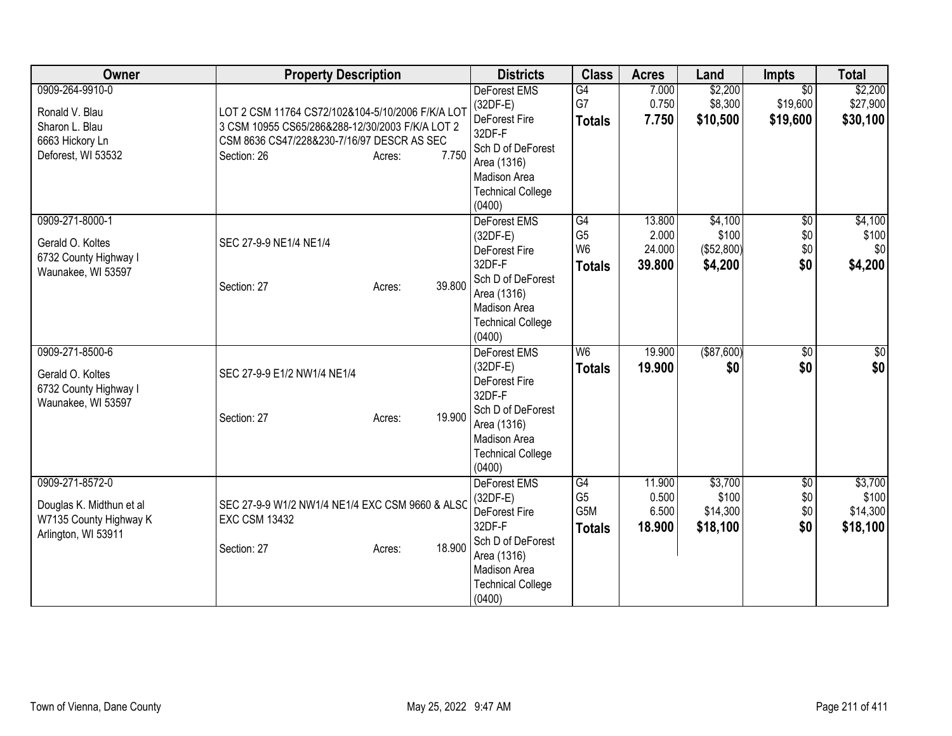| Owner                                                                                        | <b>Property Description</b>                                                                                                                                                         | <b>Districts</b>                                                                                                                                       | <b>Class</b>                                            | <b>Acres</b>                        | Land                                      | <b>Impts</b>                            | <b>Total</b>                             |
|----------------------------------------------------------------------------------------------|-------------------------------------------------------------------------------------------------------------------------------------------------------------------------------------|--------------------------------------------------------------------------------------------------------------------------------------------------------|---------------------------------------------------------|-------------------------------------|-------------------------------------------|-----------------------------------------|------------------------------------------|
| 0909-264-9910-0<br>Ronald V. Blau<br>Sharon L. Blau<br>6663 Hickory Ln<br>Deforest, WI 53532 | LOT 2 CSM 11764 CS72/102&104-5/10/2006 F/K/A LOT<br>3 CSM 10955 CS65/286&288-12/30/2003 F/K/A LOT 2<br>CSM 8636 CS47/228&230-7/16/97 DESCR AS SEC<br>7.750<br>Section: 26<br>Acres: | <b>DeForest EMS</b><br>(32DF-E)<br>DeForest Fire<br>32DF-F<br>Sch D of DeForest<br>Area (1316)<br>Madison Area<br><b>Technical College</b><br>(0400)   | G4<br>G7<br><b>Totals</b>                               | 7.000<br>0.750<br>7.750             | \$2,200<br>\$8,300<br>\$10,500            | $\overline{30}$<br>\$19,600<br>\$19,600 | \$2,200<br>\$27,900<br>\$30,100          |
| 0909-271-8000-1<br>Gerald O. Koltes<br>6732 County Highway I<br>Waunakee, WI 53597           | SEC 27-9-9 NE1/4 NE1/4<br>39.800<br>Section: 27<br>Acres:                                                                                                                           | DeForest EMS<br>$(32DF-E)$<br>DeForest Fire<br>32DF-F<br>Sch D of DeForest<br>Area (1316)<br><b>Madison Area</b><br><b>Technical College</b><br>(0400) | G4<br>G <sub>5</sub><br>W <sub>6</sub><br><b>Totals</b> | 13.800<br>2.000<br>24.000<br>39.800 | \$4,100<br>\$100<br>(\$52,800)<br>\$4,200 | $\overline{50}$<br>\$0<br>\$0<br>\$0    | \$4,100<br>\$100<br>\$0<br>\$4,200       |
| 0909-271-8500-6<br>Gerald O. Koltes<br>6732 County Highway I<br>Waunakee, WI 53597           | SEC 27-9-9 E1/2 NW1/4 NE1/4<br>19.900<br>Section: 27<br>Acres:                                                                                                                      | DeForest EMS<br>(32DF-E)<br>DeForest Fire<br>32DF-F<br>Sch D of DeForest<br>Area (1316)<br><b>Madison Area</b><br><b>Technical College</b><br>(0400)   | W <sub>6</sub><br><b>Totals</b>                         | 19.900<br>19.900                    | ( \$87,600)<br>\$0                        | $\overline{50}$<br>\$0                  | \$0<br>\$0                               |
| 0909-271-8572-0<br>Douglas K. Midthun et al<br>W7135 County Highway K<br>Arlington, WI 53911 | SEC 27-9-9 W1/2 NW1/4 NE1/4 EXC CSM 9660 & ALSO<br><b>EXC CSM 13432</b><br>18.900<br>Section: 27<br>Acres:                                                                          | DeForest EMS<br>$(32DF-E)$<br>DeForest Fire<br>32DF-F<br>Sch D of DeForest<br>Area (1316)<br>Madison Area<br><b>Technical College</b><br>(0400)        | G4<br>G <sub>5</sub><br>G5M<br><b>Totals</b>            | 11.900<br>0.500<br>6.500<br>18.900  | \$3,700<br>\$100<br>\$14,300<br>\$18,100  | $\overline{50}$<br>\$0<br>\$0<br>\$0    | \$3,700<br>\$100<br>\$14,300<br>\$18,100 |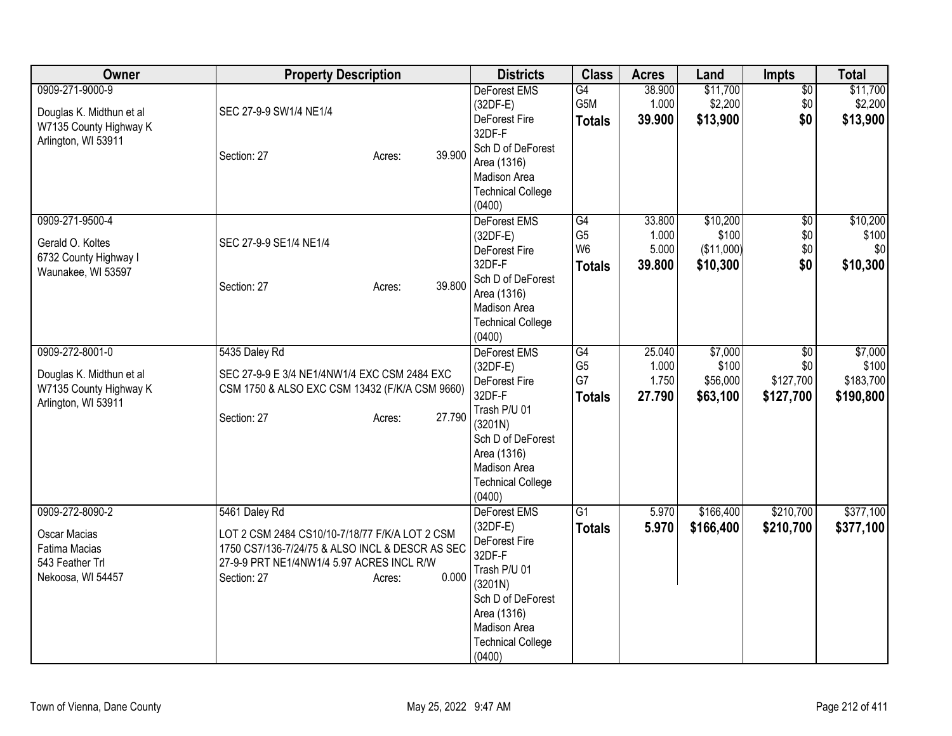| Owner                                                                                           | <b>Property Description</b>                                                                                                                                                                       | <b>Districts</b>                                                                                                                                                           | <b>Class</b>                                                         | <b>Acres</b>                       | Land                                        | Impts                                            | <b>Total</b>                               |
|-------------------------------------------------------------------------------------------------|---------------------------------------------------------------------------------------------------------------------------------------------------------------------------------------------------|----------------------------------------------------------------------------------------------------------------------------------------------------------------------------|----------------------------------------------------------------------|------------------------------------|---------------------------------------------|--------------------------------------------------|--------------------------------------------|
| 0909-271-9000-9<br>Douglas K. Midthun et al<br>W7135 County Highway K<br>Arlington, WI 53911    | SEC 27-9-9 SW1/4 NE1/4<br>39.900<br>Section: 27<br>Acres:                                                                                                                                         | <b>DeForest EMS</b><br>$(32DF-E)$<br>DeForest Fire<br>32DF-F<br>Sch D of DeForest<br>Area (1316)<br>Madison Area<br><b>Technical College</b><br>(0400)                     | G4<br>G5M<br><b>Totals</b>                                           | 38.900<br>1.000<br>39.900          | \$11,700<br>\$2,200<br>\$13,900             | $\overline{50}$<br>\$0<br>\$0                    | \$11,700<br>\$2,200<br>\$13,900            |
| 0909-271-9500-4<br>Gerald O. Koltes<br>6732 County Highway I<br>Waunakee, WI 53597              | SEC 27-9-9 SE1/4 NE1/4<br>39.800<br>Section: 27<br>Acres:                                                                                                                                         | DeForest EMS<br>$(32DF-E)$<br>DeForest Fire<br>32DF-F<br>Sch D of DeForest<br>Area (1316)<br>Madison Area<br><b>Technical College</b><br>(0400)                            | $\overline{G4}$<br>G <sub>5</sub><br>W <sub>6</sub><br><b>Totals</b> | 33.800<br>1.000<br>5.000<br>39.800 | \$10,200<br>\$100<br>(\$11,000)<br>\$10,300 | $\overline{50}$<br>\$0<br>\$0\$<br>\$0           | \$10,200<br>\$100<br>\$0<br>\$10,300       |
| 0909-272-8001-0<br>Douglas K. Midthun et al<br>W7135 County Highway K<br>Arlington, WI 53911    | 5435 Daley Rd<br>SEC 27-9-9 E 3/4 NE1/4NW1/4 EXC CSM 2484 EXC<br>CSM 1750 & ALSO EXC CSM 13432 (F/K/A CSM 9660)<br>27.790<br>Section: 27<br>Acres:                                                | DeForest EMS<br>$(32DF-E)$<br>DeForest Fire<br>32DF-F<br>Trash P/U 01<br>(3201N)<br>Sch D of DeForest<br>Area (1316)<br>Madison Area<br><b>Technical College</b><br>(0400) | $\overline{G4}$<br>G <sub>5</sub><br>G7<br><b>Totals</b>             | 25.040<br>1.000<br>1.750<br>27.790 | \$7,000<br>\$100<br>\$56,000<br>\$63,100    | $\overline{50}$<br>\$0<br>\$127,700<br>\$127,700 | \$7,000<br>\$100<br>\$183,700<br>\$190,800 |
| 0909-272-8090-2<br><b>Oscar Macias</b><br>Fatima Macias<br>543 Feather Trl<br>Nekoosa, WI 54457 | 5461 Daley Rd<br>LOT 2 CSM 2484 CS10/10-7/18/77 F/K/A LOT 2 CSM<br>1750 CS7/136-7/24/75 & ALSO INCL & DESCR AS SEC<br>27-9-9 PRT NE1/4NW1/4 5.97 ACRES INCL R/W<br>0.000<br>Section: 27<br>Acres: | DeForest EMS<br>$(32DF-E)$<br>DeForest Fire<br>32DF-F<br>Trash P/U 01<br>(3201N)<br>Sch D of DeForest<br>Area (1316)<br>Madison Area<br><b>Technical College</b><br>(0400) | G1<br><b>Totals</b>                                                  | 5.970<br>5.970                     | \$166,400<br>\$166,400                      | \$210,700<br>\$210,700                           | \$377,100<br>\$377,100                     |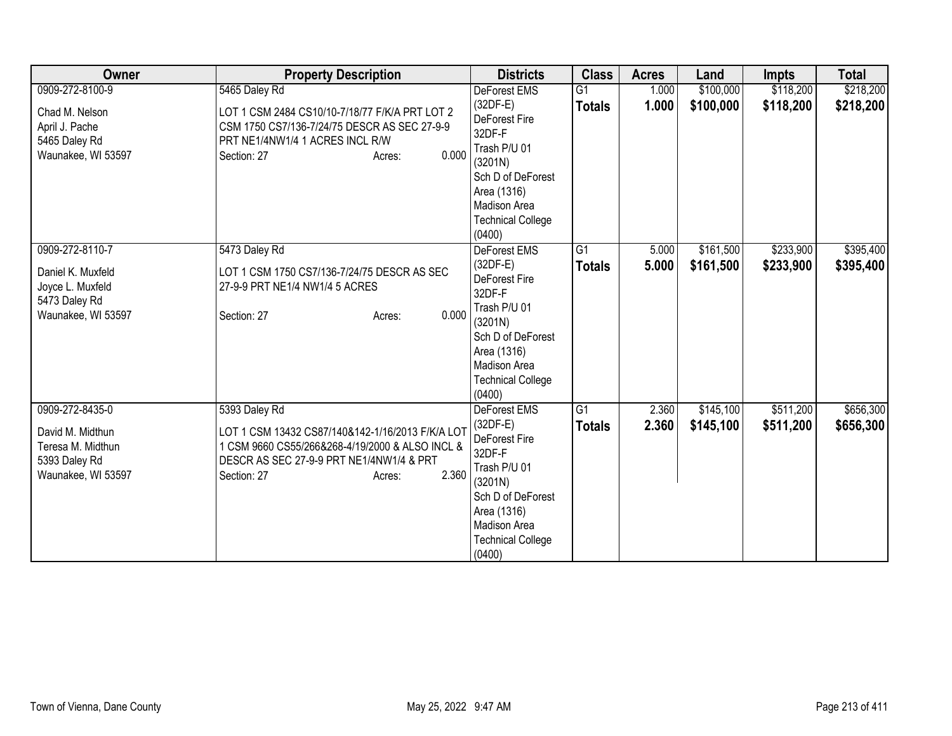| Owner                                                                                           | <b>Property Description</b>                                                                                                                                                                        | <b>Districts</b>                                                                                                                                                                  | <b>Class</b>                     | <b>Acres</b>   | Land                   | <b>Impts</b>           | <b>Total</b>           |
|-------------------------------------------------------------------------------------------------|----------------------------------------------------------------------------------------------------------------------------------------------------------------------------------------------------|-----------------------------------------------------------------------------------------------------------------------------------------------------------------------------------|----------------------------------|----------------|------------------------|------------------------|------------------------|
| 0909-272-8100-9<br>Chad M. Nelson<br>April J. Pache<br>5465 Daley Rd<br>Waunakee, WI 53597      | 5465 Daley Rd<br>LOT 1 CSM 2484 CS10/10-7/18/77 F/K/A PRT LOT 2<br>CSM 1750 CS7/136-7/24/75 DESCR AS SEC 27-9-9<br>PRT NE1/4NW1/4 1 ACRES INCL R/W<br>0.000<br>Section: 27<br>Acres:               | <b>DeForest EMS</b><br>$(32DF-E)$<br>DeForest Fire<br>32DF-F<br>Trash P/U 01<br>(3201N)<br>Sch D of DeForest<br>Area (1316)<br>Madison Area<br><b>Technical College</b><br>(0400) | $\overline{G1}$<br><b>Totals</b> | 1.000<br>1.000 | \$100,000<br>\$100,000 | \$118,200<br>\$118,200 | \$218,200<br>\$218,200 |
| 0909-272-8110-7<br>Daniel K. Muxfeld<br>Joyce L. Muxfeld<br>5473 Daley Rd<br>Waunakee, WI 53597 | 5473 Daley Rd<br>LOT 1 CSM 1750 CS7/136-7/24/75 DESCR AS SEC<br>27-9-9 PRT NE1/4 NW1/4 5 ACRES<br>0.000<br>Section: 27<br>Acres:                                                                   | DeForest EMS<br>$(32DF-E)$<br><b>DeForest Fire</b><br>32DF-F<br>Trash P/U 01<br>(3201N)<br>Sch D of DeForest<br>Area (1316)<br>Madison Area<br><b>Technical College</b><br>(0400) | G1<br><b>Totals</b>              | 5.000<br>5.000 | \$161,500<br>\$161,500 | \$233,900<br>\$233,900 | \$395,400<br>\$395,400 |
| 0909-272-8435-0<br>David M. Midthun<br>Teresa M. Midthun<br>5393 Daley Rd<br>Waunakee, WI 53597 | 5393 Daley Rd<br>LOT 1 CSM 13432 CS87/140&142-1/16/2013 F/K/A LOT<br>1 CSM 9660 CS55/266&268-4/19/2000 & ALSO INCL &<br>DESCR AS SEC 27-9-9 PRT NE1/4NW1/4 & PRT<br>2.360<br>Section: 27<br>Acres: | DeForest EMS<br>$(32DF-E)$<br>DeForest Fire<br>32DF-F<br>Trash P/U 01<br>(3201N)<br>Sch D of DeForest<br>Area (1316)<br>Madison Area<br><b>Technical College</b><br>(0400)        | $\overline{G1}$<br><b>Totals</b> | 2.360<br>2.360 | \$145,100<br>\$145,100 | \$511,200<br>\$511,200 | \$656,300<br>\$656,300 |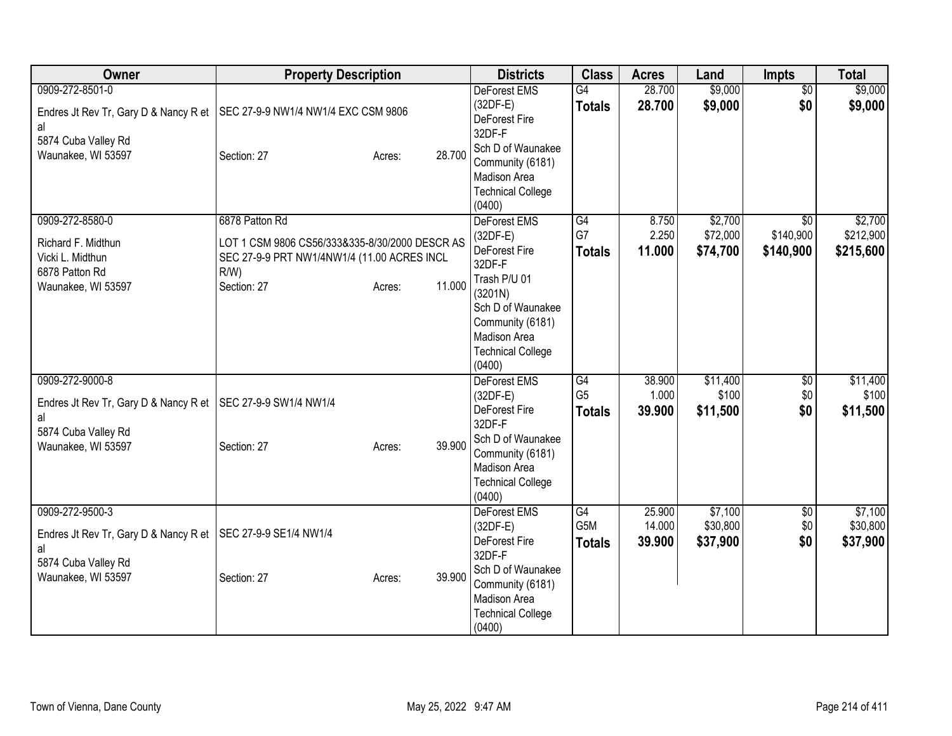| Owner                                                                                                       | <b>Property Description</b>                                                                                                                                   | <b>Districts</b>                                                                                                                                                                                | <b>Class</b>                          | <b>Acres</b>               | Land                            | <b>Impts</b>                              | <b>Total</b>                      |
|-------------------------------------------------------------------------------------------------------------|---------------------------------------------------------------------------------------------------------------------------------------------------------------|-------------------------------------------------------------------------------------------------------------------------------------------------------------------------------------------------|---------------------------------------|----------------------------|---------------------------------|-------------------------------------------|-----------------------------------|
| 0909-272-8501-0<br>al                                                                                       | Endres Jt Rev Tr, Gary D & Nancy R et   SEC 27-9-9 NW1/4 NW1/4 EXC CSM 9806                                                                                   | <b>DeForest EMS</b><br>$(32DF-E)$<br>DeForest Fire<br>32DF-F                                                                                                                                    | G4<br><b>Totals</b>                   | 28.700<br>28.700           | \$9,000<br>\$9,000              | $\overline{50}$<br>\$0                    | \$9,000<br>\$9,000                |
| 5874 Cuba Valley Rd<br>Waunakee, WI 53597                                                                   | 28.700<br>Section: 27<br>Acres:                                                                                                                               | Sch D of Waunakee<br>Community (6181)<br>Madison Area<br><b>Technical College</b><br>(0400)                                                                                                     |                                       |                            |                                 |                                           |                                   |
| 0909-272-8580-0<br>Richard F. Midthun<br>Vicki L. Midthun<br>6878 Patton Rd<br>Waunakee, WI 53597           | 6878 Patton Rd<br>LOT 1 CSM 9806 CS56/333&335-8/30/2000 DESCR AS<br>SEC 27-9-9 PRT NW1/4NW1/4 (11.00 ACRES INCL<br>$R/W$ )<br>11.000<br>Section: 27<br>Acres: | DeForest EMS<br>$(32DF-E)$<br>DeForest Fire<br>32DF-F<br>Trash P/U 01<br>(3201N)<br>Sch D of Waunakee<br>Community (6181)<br>Madison Area                                                       | G4<br>G7<br><b>Totals</b>             | 8.750<br>2.250<br>11.000   | \$2,700<br>\$72,000<br>\$74,700 | $\overline{30}$<br>\$140,900<br>\$140,900 | \$2,700<br>\$212,900<br>\$215,600 |
| 0909-272-9000-8<br>Endres Jt Rev Tr, Gary D & Nancy R et<br>al<br>5874 Cuba Valley Rd<br>Waunakee, WI 53597 | SEC 27-9-9 SW1/4 NW1/4<br>39.900<br>Section: 27<br>Acres:                                                                                                     | <b>Technical College</b><br>(0400)<br><b>DeForest EMS</b><br>(32DF-E)<br>DeForest Fire<br>32DF-F<br>Sch D of Waunakee<br>Community (6181)<br>Madison Area<br><b>Technical College</b><br>(0400) | G4<br>G <sub>5</sub><br><b>Totals</b> | 38.900<br>1.000<br>39.900  | \$11,400<br>\$100<br>\$11,500   | \$0<br>\$0<br>\$0                         | \$11,400<br>\$100<br>\$11,500     |
| 0909-272-9500-3<br>Endres Jt Rev Tr, Gary D & Nancy R et<br>al<br>5874 Cuba Valley Rd<br>Waunakee, WI 53597 | SEC 27-9-9 SE1/4 NW1/4<br>39.900<br>Section: 27<br>Acres:                                                                                                     | DeForest EMS<br>$(32DF-E)$<br>DeForest Fire<br>32DF-F<br>Sch D of Waunakee<br>Community (6181)<br>Madison Area<br><b>Technical College</b><br>(0400)                                            | G4<br>G5M<br><b>Totals</b>            | 25.900<br>14.000<br>39.900 | \$7,100<br>\$30,800<br>\$37,900 | $\overline{50}$<br>\$0<br>\$0             | \$7,100<br>\$30,800<br>\$37,900   |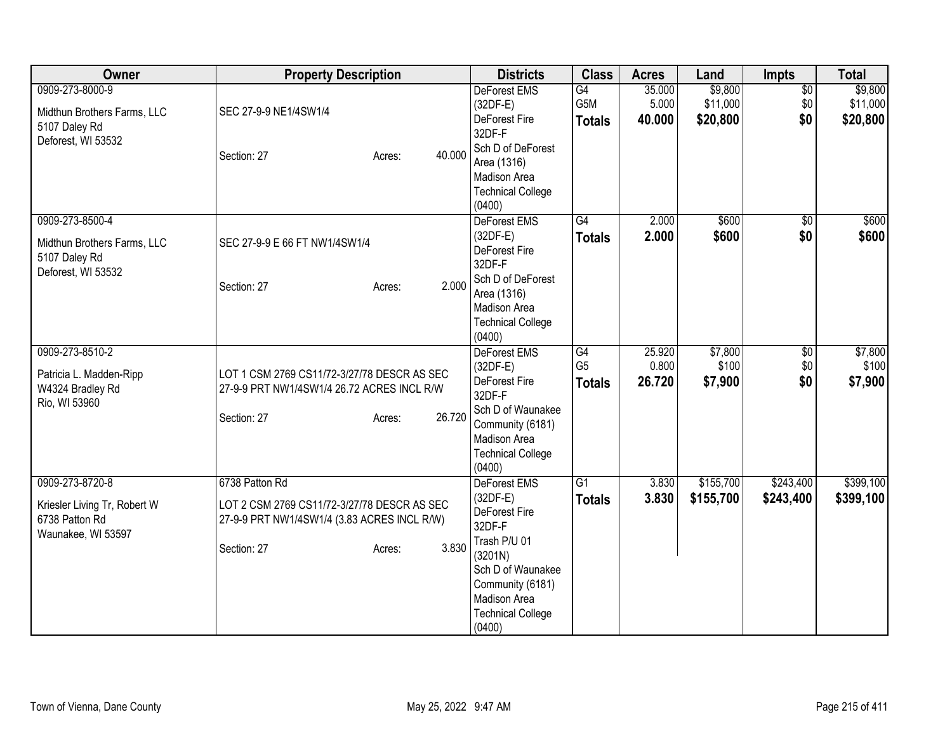| Owner                                                                                 | <b>Property Description</b>                                                                |        | <b>Districts</b>                                                                                                       | <b>Class</b>                     | <b>Acres</b>              | Land                            | Impts                         | <b>Total</b>                    |
|---------------------------------------------------------------------------------------|--------------------------------------------------------------------------------------------|--------|------------------------------------------------------------------------------------------------------------------------|----------------------------------|---------------------------|---------------------------------|-------------------------------|---------------------------------|
| 0909-273-8000-9<br>Midthun Brothers Farms, LLC                                        | SEC 27-9-9 NE1/4SW1/4                                                                      |        | <b>DeForest EMS</b><br>$(32DF-E)$<br>DeForest Fire                                                                     | G4<br>G5M<br><b>Totals</b>       | 35.000<br>5.000<br>40.000 | \$9,800<br>\$11,000<br>\$20,800 | $\overline{50}$<br>\$0<br>\$0 | \$9,800<br>\$11,000<br>\$20,800 |
| 5107 Daley Rd<br>Deforest, WI 53532                                                   | Section: 27<br>Acres:                                                                      | 40.000 | 32DF-F<br>Sch D of DeForest<br>Area (1316)<br>Madison Area<br><b>Technical College</b><br>(0400)                       |                                  |                           |                                 |                               |                                 |
| 0909-273-8500-4<br>Midthun Brothers Farms, LLC<br>5107 Daley Rd<br>Deforest, WI 53532 | SEC 27-9-9 E 66 FT NW1/4SW1/4                                                              |        | DeForest EMS<br>$(32DF-E)$<br>DeForest Fire<br>32DF-F                                                                  | $\overline{G4}$<br><b>Totals</b> | 2.000<br>2.000            | \$600<br>\$600                  | $\overline{50}$<br>\$0        | \$600<br>\$600                  |
|                                                                                       | Section: 27<br>Acres:                                                                      | 2.000  | Sch D of DeForest<br>Area (1316)<br>Madison Area<br><b>Technical College</b><br>(0400)                                 |                                  |                           |                                 |                               |                                 |
| 0909-273-8510-2                                                                       |                                                                                            |        | <b>DeForest EMS</b>                                                                                                    | G4                               | 25.920                    | \$7,800                         | \$0                           | \$7,800                         |
| Patricia L. Madden-Ripp<br>W4324 Bradley Rd<br>Rio, WI 53960                          | LOT 1 CSM 2769 CS11/72-3/27/78 DESCR AS SEC<br>27-9-9 PRT NW1/4SW1/4 26.72 ACRES INCL R/W  |        | $(32DF-E)$<br><b>DeForest Fire</b><br>32DF-F                                                                           | G <sub>5</sub><br><b>Totals</b>  | 0.800<br>26.720           | \$100<br>\$7,900                | \$0<br>\$0                    | \$100<br>\$7,900                |
|                                                                                       | Section: 27<br>Acres:                                                                      | 26.720 | Sch D of Waunakee<br>Community (6181)<br>Madison Area<br><b>Technical College</b><br>(0400)                            |                                  |                           |                                 |                               |                                 |
| 0909-273-8720-8                                                                       | 6738 Patton Rd                                                                             |        | DeForest EMS                                                                                                           | G1                               | 3.830                     | \$155,700                       | \$243,400                     | \$399,100                       |
| Kriesler Living Tr, Robert W<br>6738 Patton Rd<br>Waunakee, WI 53597                  | LOT 2 CSM 2769 CS11/72-3/27/78 DESCR AS SEC<br>27-9-9 PRT NW1/4SW1/4 (3.83 ACRES INCL R/W) |        | $(32DF-E)$<br>DeForest Fire<br>32DF-F                                                                                  | <b>Totals</b>                    | 3.830                     | \$155,700                       | \$243,400                     | \$399,100                       |
|                                                                                       | Section: 27<br>Acres:                                                                      | 3.830  | Trash P/U 01<br>(3201N)<br>Sch D of Waunakee<br>Community (6181)<br>Madison Area<br><b>Technical College</b><br>(0400) |                                  |                           |                                 |                               |                                 |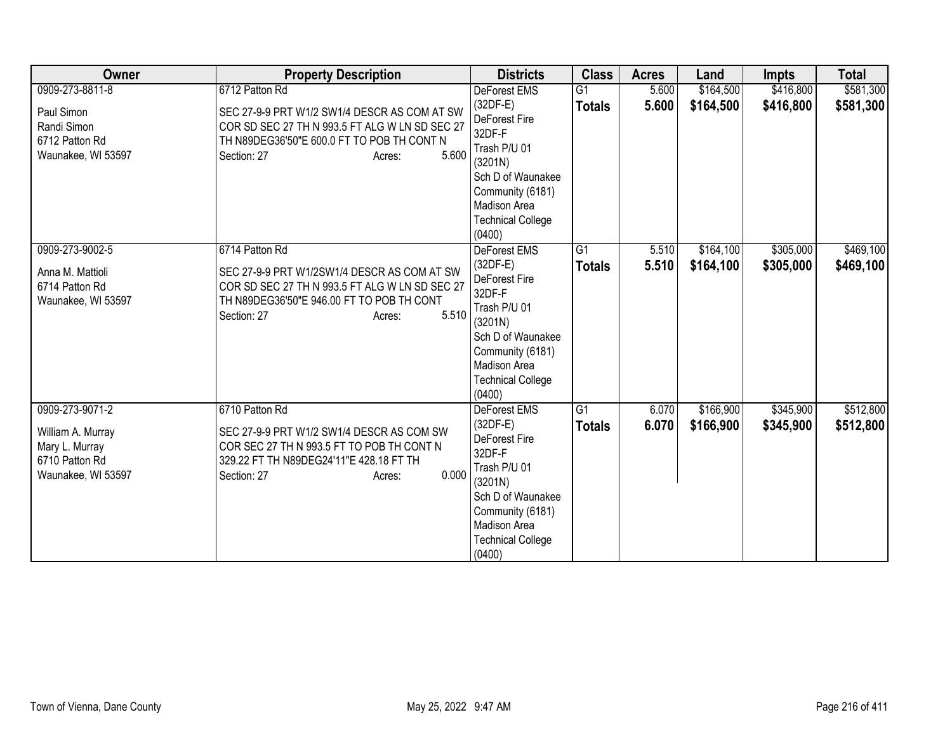| Owner                                                                                          | <b>Property Description</b>                                                                                                                                                                      | <b>Districts</b>                                                                                                                                                                       | <b>Class</b>                    | <b>Acres</b>   | Land                   | <b>Impts</b>           | <b>Total</b>           |
|------------------------------------------------------------------------------------------------|--------------------------------------------------------------------------------------------------------------------------------------------------------------------------------------------------|----------------------------------------------------------------------------------------------------------------------------------------------------------------------------------------|---------------------------------|----------------|------------------------|------------------------|------------------------|
| 0909-273-8811-8<br>Paul Simon<br>Randi Simon<br>6712 Patton Rd<br>Waunakee, WI 53597           | 6712 Patton Rd<br>SEC 27-9-9 PRT W1/2 SW1/4 DESCR AS COM AT SW<br>COR SD SEC 27 TH N 993.5 FT ALG W LN SD SEC 27<br>TH N89DEG36'50"E 600.0 FT TO POB TH CONT N<br>5.600<br>Section: 27<br>Acres: | <b>DeForest EMS</b><br>$(32DF-E)$<br>DeForest Fire<br>32DF-F<br>Trash P/U 01<br>(3201N)<br>Sch D of Waunakee<br>Community (6181)<br>Madison Area<br><b>Technical College</b><br>(0400) | G1<br><b>Totals</b>             | 5.600<br>5.600 | \$164,500<br>\$164,500 | \$416,800<br>\$416,800 | \$581,300<br>\$581,300 |
| 0909-273-9002-5<br>Anna M. Mattioli<br>6714 Patton Rd<br>Waunakee, WI 53597                    | 6714 Patton Rd<br>SEC 27-9-9 PRT W1/2SW1/4 DESCR AS COM AT SW<br>COR SD SEC 27 TH N 993.5 FT ALG W LN SD SEC 27<br>TH N89DEG36'50"E 946.00 FT TO POB TH CONT<br>5.510<br>Section: 27<br>Acres:   | DeForest EMS<br>(32DF-E)<br>DeForest Fire<br>32DF-F<br>Trash P/U 01<br>(3201N)<br>Sch D of Waunakee<br>Community (6181)<br><b>Madison Area</b><br><b>Technical College</b><br>(0400)   | G <sub>1</sub><br><b>Totals</b> | 5.510<br>5.510 | \$164,100<br>\$164,100 | \$305,000<br>\$305,000 | \$469,100<br>\$469,100 |
| 0909-273-9071-2<br>William A. Murray<br>Mary L. Murray<br>6710 Patton Rd<br>Waunakee, WI 53597 | 6710 Patton Rd<br>SEC 27-9-9 PRT W1/2 SW1/4 DESCR AS COM SW<br>COR SEC 27 TH N 993.5 FT TO POB TH CONT N<br>329.22 FT TH N89DEG24'11"E 428.18 FT TH<br>0.000<br>Section: 27<br>Acres:            | DeForest EMS<br>$(32DF-E)$<br>DeForest Fire<br>32DF-F<br>Trash P/U 01<br>(3201N)<br>Sch D of Waunakee<br>Community (6181)<br>Madison Area<br><b>Technical College</b><br>(0400)        | G1<br><b>Totals</b>             | 6.070<br>6.070 | \$166,900<br>\$166,900 | \$345,900<br>\$345,900 | \$512,800<br>\$512,800 |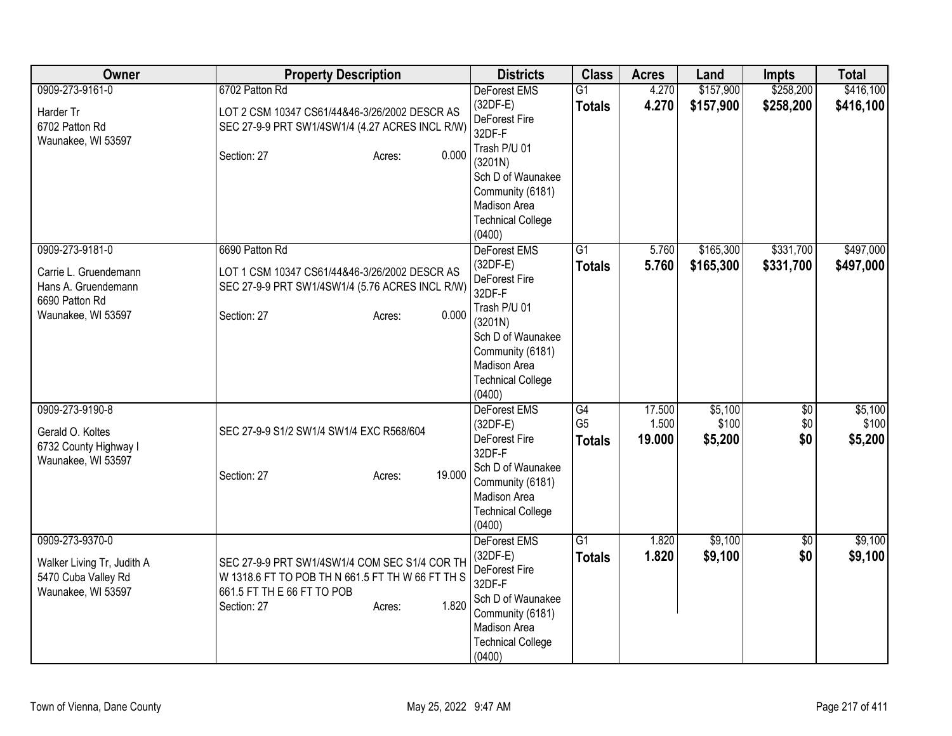| Owner                                                                                                   | <b>Property Description</b>                                                                                                                                       | <b>Districts</b>                                                                                                                                                                | <b>Class</b>                          | <b>Acres</b>              | Land                        | <b>Impts</b>              | <b>Total</b>                |
|---------------------------------------------------------------------------------------------------------|-------------------------------------------------------------------------------------------------------------------------------------------------------------------|---------------------------------------------------------------------------------------------------------------------------------------------------------------------------------|---------------------------------------|---------------------------|-----------------------------|---------------------------|-----------------------------|
| 0909-273-9161-0<br>Harder Tr<br>6702 Patton Rd<br>Waunakee, WI 53597                                    | 6702 Patton Rd<br>LOT 2 CSM 10347 CS61/44&46-3/26/2002 DESCR AS<br>SEC 27-9-9 PRT SW1/4SW1/4 (4.27 ACRES INCL R/W)                                                | DeForest EMS<br>$(32DF-E)$<br>DeForest Fire<br>32DF-F<br>Trash P/U 01                                                                                                           | $\overline{G1}$<br><b>Totals</b>      | 4.270<br>4.270            | \$157,900<br>\$157,900      | \$258,200<br>\$258,200    | \$416,100<br>\$416,100      |
|                                                                                                         | 0.000<br>Section: 27<br>Acres:                                                                                                                                    | (3201N)<br>Sch D of Waunakee<br>Community (6181)<br>Madison Area<br><b>Technical College</b><br>(0400)                                                                          |                                       |                           |                             |                           |                             |
| 0909-273-9181-0<br>Carrie L. Gruendemann<br>Hans A. Gruendemann<br>6690 Patton Rd<br>Waunakee, WI 53597 | 6690 Patton Rd<br>LOT 1 CSM 10347 CS61/44&46-3/26/2002 DESCR AS<br>SEC 27-9-9 PRT SW1/4SW1/4 (5.76 ACRES INCL R/W)<br>0.000<br>Section: 27<br>Acres:              | DeForest EMS<br>$(32DF-E)$<br>DeForest Fire<br>32DF-F<br>Trash P/U 01<br>(3201N)<br>Sch D of Waunakee<br>Community (6181)<br>Madison Area<br><b>Technical College</b><br>(0400) | $\overline{G1}$<br><b>Totals</b>      | 5.760<br>5.760            | \$165,300<br>\$165,300      | \$331,700<br>\$331,700    | \$497,000<br>\$497,000      |
| 0909-273-9190-8<br>Gerald O. Koltes<br>6732 County Highway I<br>Waunakee, WI 53597                      | SEC 27-9-9 S1/2 SW1/4 SW1/4 EXC R568/604<br>19.000<br>Section: 27<br>Acres:                                                                                       | <b>DeForest EMS</b><br>$(32DF-E)$<br>DeForest Fire<br>32DF-F<br>Sch D of Waunakee<br>Community (6181)<br>Madison Area<br><b>Technical College</b><br>(0400)                     | G4<br>G <sub>5</sub><br><b>Totals</b> | 17.500<br>1.500<br>19.000 | \$5,100<br>\$100<br>\$5,200 | $\sqrt{$0}$<br>\$0<br>\$0 | \$5,100<br>\$100<br>\$5,200 |
| 0909-273-9370-0<br>Walker Living Tr, Judith A<br>5470 Cuba Valley Rd<br>Waunakee, WI 53597              | SEC 27-9-9 PRT SW1/4SW1/4 COM SEC S1/4 COR TH<br>W 1318.6 FT TO POB TH N 661.5 FT TH W 66 FT TH S<br>661.5 FT TH E 66 FT TO POB<br>1.820<br>Section: 27<br>Acres: | DeForest EMS<br>(32DF-E)<br>DeForest Fire<br>32DF-F<br>Sch D of Waunakee<br>Community (6181)<br>Madison Area<br><b>Technical College</b><br>(0400)                              | $\overline{G1}$<br><b>Totals</b>      | 1.820<br>1.820            | \$9,100<br>\$9,100          | $\overline{50}$<br>\$0    | \$9,100<br>\$9,100          |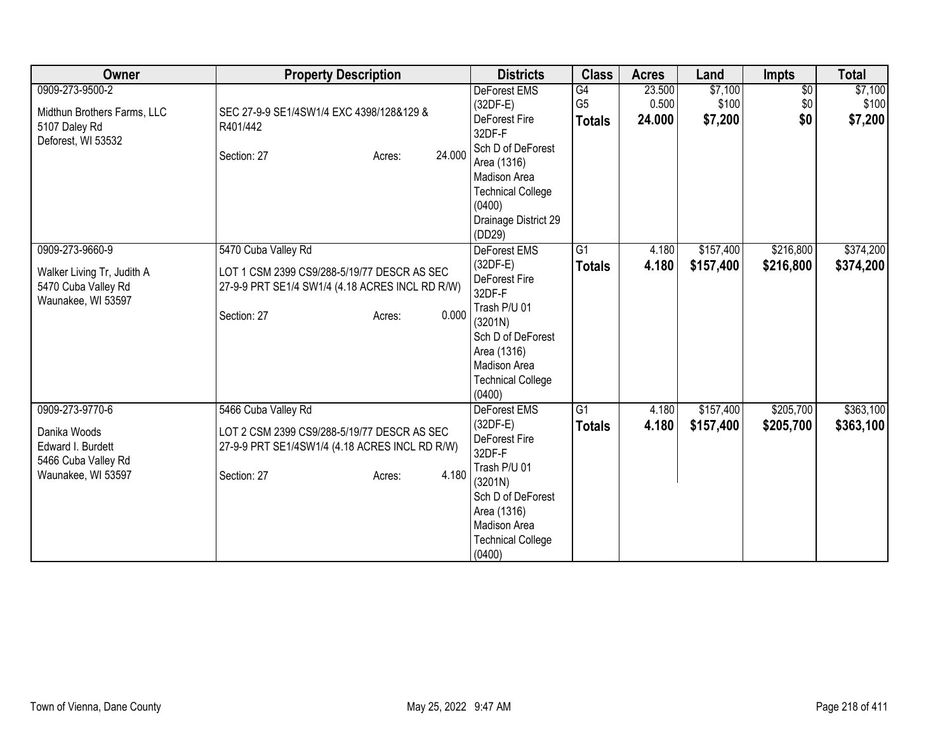| Owner                                                                                             | <b>Property Description</b>                                                                                                                             | <b>Districts</b>                                                                                                                                                                       | <b>Class</b>                          | <b>Acres</b>              | Land                        | <b>Impts</b>                  | <b>Total</b>                |
|---------------------------------------------------------------------------------------------------|---------------------------------------------------------------------------------------------------------------------------------------------------------|----------------------------------------------------------------------------------------------------------------------------------------------------------------------------------------|---------------------------------------|---------------------------|-----------------------------|-------------------------------|-----------------------------|
| 0909-273-9500-2<br>Midthun Brothers Farms, LLC<br>5107 Daley Rd<br>Deforest, WI 53532             | SEC 27-9-9 SE1/4SW1/4 EXC 4398/128&129 &<br>R401/442<br>24.000<br>Section: 27<br>Acres:                                                                 | DeForest EMS<br>(32DF-E)<br><b>DeForest Fire</b><br>32DF-F<br>Sch D of DeForest<br>Area (1316)<br>Madison Area<br><b>Technical College</b><br>(0400)<br>Drainage District 29<br>(DD29) | G4<br>G <sub>5</sub><br><b>Totals</b> | 23.500<br>0.500<br>24.000 | \$7,100<br>\$100<br>\$7,200 | $\overline{$0}$<br>\$0<br>\$0 | \$7,100<br>\$100<br>\$7,200 |
| 0909-273-9660-9<br>Walker Living Tr, Judith A<br>5470 Cuba Valley Rd<br>Waunakee, WI 53597        | 5470 Cuba Valley Rd<br>LOT 1 CSM 2399 CS9/288-5/19/77 DESCR AS SEC<br>27-9-9 PRT SE1/4 SW1/4 (4.18 ACRES INCL RD R/W)<br>0.000<br>Section: 27<br>Acres: | <b>DeForest EMS</b><br>$(32DF-E)$<br>DeForest Fire<br>32DF-F<br>Trash P/U 01<br>(3201N)<br>Sch D of DeForest<br>Area (1316)<br>Madison Area<br><b>Technical College</b><br>(0400)      | $\overline{G1}$<br><b>Totals</b>      | 4.180<br>4.180            | \$157,400<br>\$157,400      | \$216,800<br>\$216,800        | \$374,200<br>\$374,200      |
| 0909-273-9770-6<br>Danika Woods<br>Edward I. Burdett<br>5466 Cuba Valley Rd<br>Waunakee, WI 53597 | 5466 Cuba Valley Rd<br>LOT 2 CSM 2399 CS9/288-5/19/77 DESCR AS SEC<br>27-9-9 PRT SE1/4SW1/4 (4.18 ACRES INCL RD R/W)<br>4.180<br>Section: 27<br>Acres:  | <b>DeForest EMS</b><br>$(32DF-E)$<br>DeForest Fire<br>32DF-F<br>Trash P/U 01<br>(3201N)<br>Sch D of DeForest<br>Area (1316)<br>Madison Area<br><b>Technical College</b><br>(0400)      | G1<br><b>Totals</b>                   | 4.180<br>4.180            | \$157,400<br>\$157,400      | \$205,700<br>\$205,700        | \$363,100<br>\$363,100      |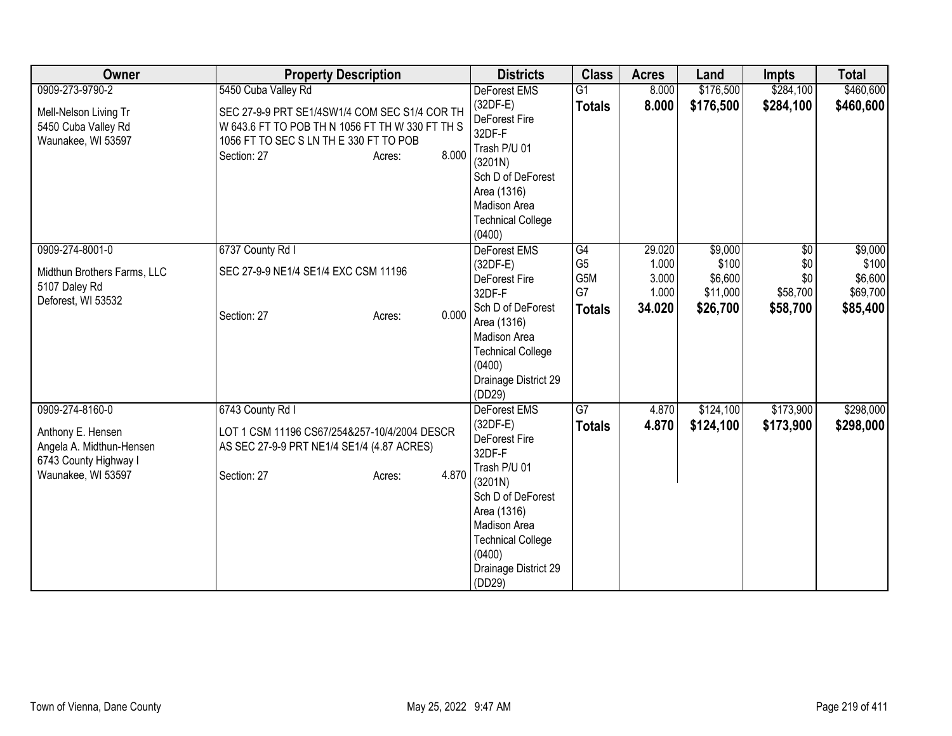| Owner                       | <b>Property Description</b>                     |                 | <b>Districts</b>                         | <b>Class</b>    | <b>Acres</b> | Land      | <b>Impts</b> | <b>Total</b> |
|-----------------------------|-------------------------------------------------|-----------------|------------------------------------------|-----------------|--------------|-----------|--------------|--------------|
| 0909-273-9790-2             | 5450 Cuba Valley Rd                             |                 | DeForest EMS                             | $\overline{G1}$ | 8.000        | \$176,500 | \$284,100    | \$460,600    |
| Mell-Nelson Living Tr       | SEC 27-9-9 PRT SE1/4SW1/4 COM SEC S1/4 COR TH   |                 | $(32DF-E)$                               | <b>Totals</b>   | 8.000        | \$176,500 | \$284,100    | \$460,600    |
| 5450 Cuba Valley Rd         | W 643.6 FT TO POB TH N 1056 FT TH W 330 FT TH S |                 | DeForest Fire                            |                 |              |           |              |              |
| Waunakee, WI 53597          | 1056 FT TO SEC S LN TH E 330 FT TO POB          |                 | 32DF-F                                   |                 |              |           |              |              |
|                             | Section: 27                                     | 8.000<br>Acres: | Trash P/U 01                             |                 |              |           |              |              |
|                             |                                                 |                 | (3201N)                                  |                 |              |           |              |              |
|                             |                                                 |                 | Sch D of DeForest                        |                 |              |           |              |              |
|                             |                                                 |                 | Area (1316)                              |                 |              |           |              |              |
|                             |                                                 |                 | Madison Area<br><b>Technical College</b> |                 |              |           |              |              |
|                             |                                                 |                 | (0400)                                   |                 |              |           |              |              |
| 0909-274-8001-0             | 6737 County Rd I                                |                 | DeForest EMS                             | G4              | 29.020       | \$9,000   | \$0          | \$9,000      |
|                             |                                                 |                 | (32DF-E)                                 | G <sub>5</sub>  | 1.000        | \$100     | \$0          | \$100        |
| Midthun Brothers Farms, LLC | SEC 27-9-9 NE1/4 SE1/4 EXC CSM 11196            |                 | DeForest Fire                            | G5M             | 3.000        | \$6,600   | \$0          | \$6,600      |
| 5107 Daley Rd               |                                                 |                 | 32DF-F                                   | G7              | 1.000        | \$11,000  | \$58,700     | \$69,700     |
| Deforest, WI 53532          |                                                 |                 | Sch D of DeForest                        | <b>Totals</b>   | 34.020       | \$26,700  | \$58,700     | \$85,400     |
|                             | Section: 27                                     | 0.000<br>Acres: | Area (1316)                              |                 |              |           |              |              |
|                             |                                                 |                 | Madison Area                             |                 |              |           |              |              |
|                             |                                                 |                 | <b>Technical College</b>                 |                 |              |           |              |              |
|                             |                                                 |                 | (0400)                                   |                 |              |           |              |              |
|                             |                                                 |                 | Drainage District 29                     |                 |              |           |              |              |
|                             |                                                 |                 | (DD29)                                   |                 |              |           |              |              |
| 0909-274-8160-0             | 6743 County Rd I                                |                 | <b>DeForest EMS</b>                      | $\overline{G7}$ | 4.870        | \$124,100 | \$173,900    | \$298,000    |
| Anthony E. Hensen           | LOT 1 CSM 11196 CS67/254&257-10/4/2004 DESCR    |                 | $(32DF-E)$                               | <b>Totals</b>   | 4.870        | \$124,100 | \$173,900    | \$298,000    |
| Angela A. Midthun-Hensen    | AS SEC 27-9-9 PRT NE1/4 SE1/4 (4.87 ACRES)      |                 | DeForest Fire                            |                 |              |           |              |              |
| 6743 County Highway I       |                                                 |                 | 32DF-F                                   |                 |              |           |              |              |
| Waunakee, WI 53597          | Section: 27                                     | 4.870<br>Acres: | Trash P/U 01                             |                 |              |           |              |              |
|                             |                                                 |                 | (3201N)                                  |                 |              |           |              |              |
|                             |                                                 |                 | Sch D of DeForest                        |                 |              |           |              |              |
|                             |                                                 |                 | Area (1316)<br>Madison Area              |                 |              |           |              |              |
|                             |                                                 |                 |                                          |                 |              |           |              |              |
|                             |                                                 |                 | <b>Technical College</b><br>(0400)       |                 |              |           |              |              |
|                             |                                                 |                 | Drainage District 29                     |                 |              |           |              |              |
|                             |                                                 |                 | (DD29)                                   |                 |              |           |              |              |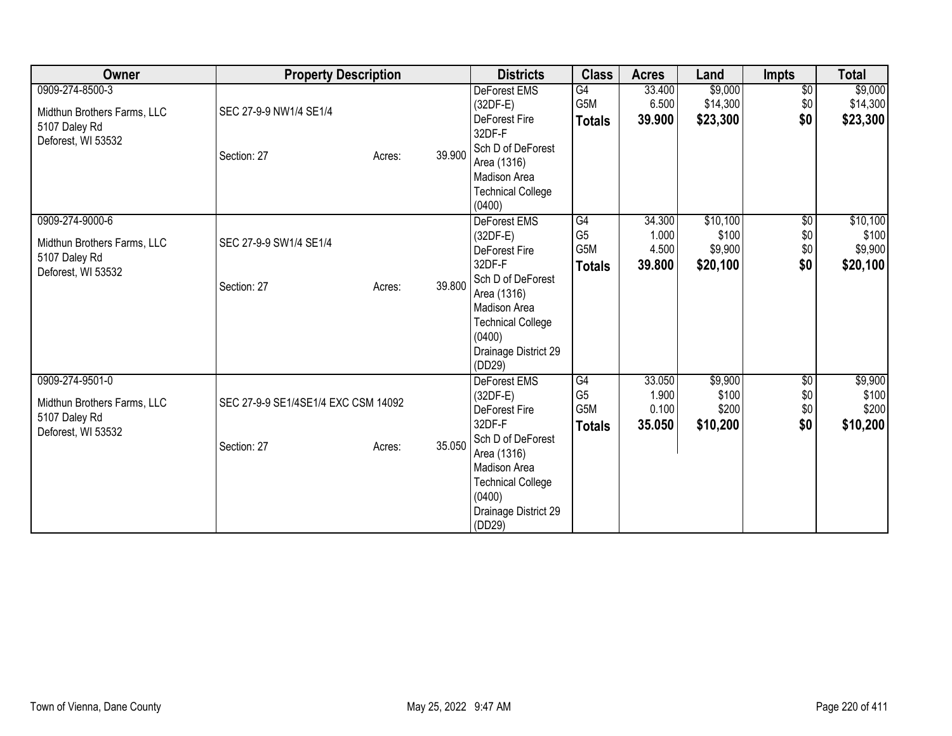| Owner                                                                                 | <b>Property Description</b>                                  |        | <b>Districts</b>                                                                                                                                                                                | <b>Class</b>                                 | <b>Acres</b>                       | Land                                     | <b>Impts</b>                         | <b>Total</b>                             |
|---------------------------------------------------------------------------------------|--------------------------------------------------------------|--------|-------------------------------------------------------------------------------------------------------------------------------------------------------------------------------------------------|----------------------------------------------|------------------------------------|------------------------------------------|--------------------------------------|------------------------------------------|
| 0909-274-8500-3<br>Midthun Brothers Farms, LLC<br>5107 Daley Rd<br>Deforest, WI 53532 | SEC 27-9-9 NW1/4 SE1/4<br>Section: 27<br>Acres:              | 39.900 | <b>DeForest EMS</b><br>$(32DF-E)$<br>DeForest Fire<br>32DF-F<br>Sch D of DeForest<br>Area (1316)<br>Madison Area<br><b>Technical College</b><br>(0400)                                          | G4<br>G5M<br><b>Totals</b>                   | 33.400<br>6.500<br>39.900          | \$9,000<br>\$14,300<br>\$23,300          | $\overline{50}$<br>\$0<br>\$0        | \$9,000<br>\$14,300<br>\$23,300          |
| 0909-274-9000-6<br>Midthun Brothers Farms, LLC<br>5107 Daley Rd<br>Deforest, WI 53532 | SEC 27-9-9 SW1/4 SE1/4<br>Section: 27<br>Acres:              | 39.800 | DeForest EMS<br>$(32DF-E)$<br>DeForest Fire<br>32DF-F<br>Sch D of DeForest<br>Area (1316)<br>Madison Area<br><b>Technical College</b><br>(0400)<br>Drainage District 29<br>(DD29)               | G4<br>G <sub>5</sub><br>G5M<br><b>Totals</b> | 34.300<br>1.000<br>4.500<br>39.800 | \$10,100<br>\$100<br>\$9,900<br>\$20,100 | $\overline{50}$<br>\$0<br>\$0<br>\$0 | \$10,100<br>\$100<br>\$9,900<br>\$20,100 |
| 0909-274-9501-0<br>Midthun Brothers Farms, LLC<br>5107 Daley Rd<br>Deforest, WI 53532 | SEC 27-9-9 SE1/4SE1/4 EXC CSM 14092<br>Section: 27<br>Acres: | 35.050 | <b>DeForest EMS</b><br>$(32DF-E)$<br>DeForest Fire<br>32DF-F<br>Sch D of DeForest<br>Area (1316)<br><b>Madison Area</b><br><b>Technical College</b><br>(0400)<br>Drainage District 29<br>(DD29) | G4<br>G <sub>5</sub><br>G5M<br><b>Totals</b> | 33.050<br>1.900<br>0.100<br>35.050 | \$9,900<br>\$100<br>\$200<br>\$10,200    | \$0<br>\$0<br>\$0<br>\$0             | \$9,900<br>\$100<br>\$200<br>\$10,200    |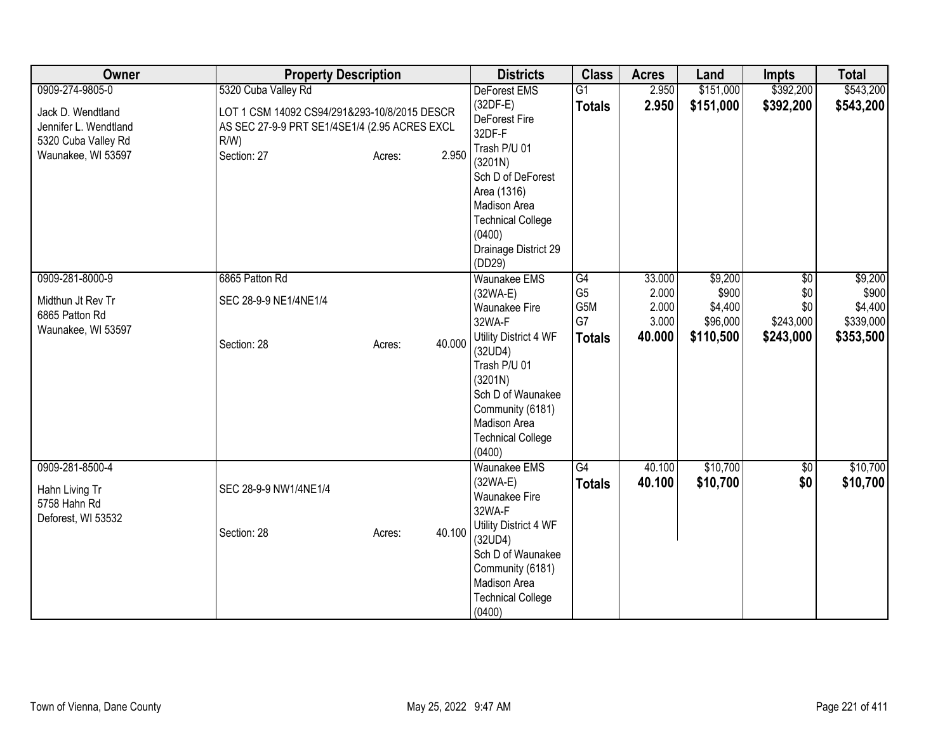| Owner                                                                        | <b>Property Description</b>                                                                              | <b>Districts</b>                                                                                                                                           | <b>Class</b>                      | <b>Acres</b>                      | Land                                    | <b>Impts</b>                          | <b>Total</b>                             |
|------------------------------------------------------------------------------|----------------------------------------------------------------------------------------------------------|------------------------------------------------------------------------------------------------------------------------------------------------------------|-----------------------------------|-----------------------------------|-----------------------------------------|---------------------------------------|------------------------------------------|
| 0909-274-9805-0                                                              | 5320 Cuba Valley Rd                                                                                      | <b>DeForest EMS</b>                                                                                                                                        | $\overline{G1}$                   | 2.950                             | \$151,000                               | \$392,200                             | \$543,200                                |
| Jack D. Wendtland<br>Jennifer L. Wendtland<br>5320 Cuba Valley Rd            | LOT 1 CSM 14092 CS94/291&293-10/8/2015 DESCR<br>AS SEC 27-9-9 PRT SE1/4SE1/4 (2.95 ACRES EXCL<br>$R/W$ ) | $(32DF-E)$<br>DeForest Fire<br>32DF-F                                                                                                                      | <b>Totals</b>                     | 2.950                             | \$151,000                               | \$392,200                             | \$543,200                                |
| Waunakee, WI 53597                                                           | 2.950<br>Section: 27<br>Acres:                                                                           | Trash P/U 01<br>(3201N)<br>Sch D of DeForest<br>Area (1316)<br>Madison Area                                                                                |                                   |                                   |                                         |                                       |                                          |
|                                                                              |                                                                                                          | <b>Technical College</b><br>(0400)<br>Drainage District 29<br>(DD29)                                                                                       |                                   |                                   |                                         |                                       |                                          |
| 0909-281-8000-9<br>Midthun Jt Rev Tr<br>6865 Patton Rd<br>Waunakee, WI 53597 | 6865 Patton Rd<br>SEC 28-9-9 NE1/4NE1/4                                                                  | <b>Waunakee EMS</b><br>$(32WA-E)$<br>Waunakee Fire<br>32WA-F                                                                                               | G4<br>G <sub>5</sub><br>G5M<br>G7 | 33.000<br>2.000<br>2.000<br>3.000 | \$9,200<br>\$900<br>\$4,400<br>\$96,000 | $\sqrt{6}$<br>\$0<br>\$0<br>\$243,000 | \$9,200<br>\$900<br>\$4,400<br>\$339,000 |
|                                                                              | 40.000<br>Section: 28<br>Acres:                                                                          | Utility District 4 WF<br>(32UD4)<br>Trash P/U 01<br>(3201N)<br>Sch D of Waunakee<br>Community (6181)<br>Madison Area<br><b>Technical College</b><br>(0400) | <b>Totals</b>                     | 40.000                            | \$110,500                               | \$243,000                             | \$353,500                                |
| 0909-281-8500-4<br>Hahn Living Tr<br>5758 Hahn Rd<br>Deforest, WI 53532      | SEC 28-9-9 NW1/4NE1/4                                                                                    | <b>Waunakee EMS</b><br>$(32WA-E)$<br>Waunakee Fire<br>32WA-F                                                                                               | G4<br><b>Totals</b>               | 40.100<br>40.100                  | \$10,700<br>\$10,700                    | \$0<br>\$0                            | \$10,700<br>\$10,700                     |
|                                                                              | 40.100<br>Section: 28<br>Acres:                                                                          | Utility District 4 WF<br>(32UD4)<br>Sch D of Waunakee<br>Community (6181)<br>Madison Area<br><b>Technical College</b><br>(0400)                            |                                   |                                   |                                         |                                       |                                          |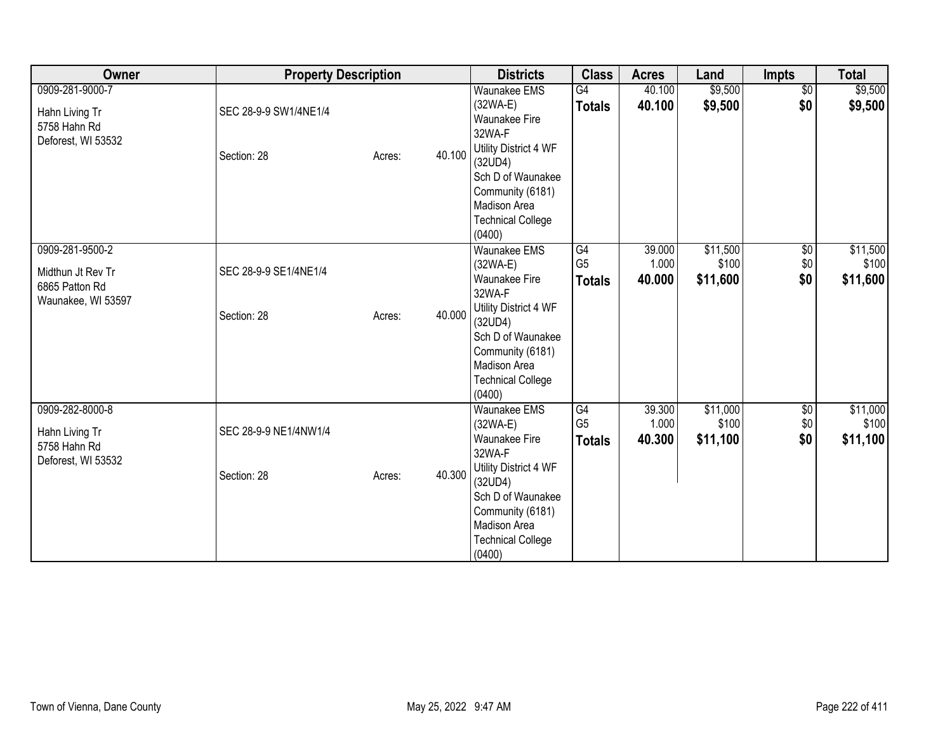| Owner                                                                        | <b>Property Description</b>          |        |        | <b>Districts</b>                                                                                                                                                                                     | <b>Class</b>                          | <b>Acres</b>              | Land                          | Impts                         | <b>Total</b>                  |
|------------------------------------------------------------------------------|--------------------------------------|--------|--------|------------------------------------------------------------------------------------------------------------------------------------------------------------------------------------------------------|---------------------------------------|---------------------------|-------------------------------|-------------------------------|-------------------------------|
| 0909-281-9000-7<br>Hahn Living Tr<br>5758 Hahn Rd<br>Deforest, WI 53532      | SEC 28-9-9 SW1/4NE1/4<br>Section: 28 | Acres: | 40.100 | <b>Waunakee EMS</b><br>(32WA-E)<br><b>Waunakee Fire</b><br>32WA-F<br>Utility District 4 WF<br>(32UD4)<br>Sch D of Waunakee<br>Community (6181)<br>Madison Area<br><b>Technical College</b><br>(0400) | G4<br><b>Totals</b>                   | 40.100<br>40.100          | \$9,500<br>\$9,500            | $\overline{60}$<br>\$0        | \$9,500<br>\$9,500            |
| 0909-281-9500-2<br>Midthun Jt Rev Tr<br>6865 Patton Rd<br>Waunakee, WI 53597 | SEC 28-9-9 SE1/4NE1/4<br>Section: 28 | Acres: | 40.000 | Waunakee EMS<br>(32WA-E)<br><b>Waunakee Fire</b><br>32WA-F<br>Utility District 4 WF<br>(32UD4)<br>Sch D of Waunakee<br>Community (6181)<br><b>Madison Area</b><br><b>Technical College</b><br>(0400) | G4<br>G <sub>5</sub><br><b>Totals</b> | 39.000<br>1.000<br>40.000 | \$11,500<br>\$100<br>\$11,600 | $\overline{60}$<br>\$0<br>\$0 | \$11,500<br>\$100<br>\$11,600 |
| 0909-282-8000-8<br>Hahn Living Tr<br>5758 Hahn Rd<br>Deforest, WI 53532      | SEC 28-9-9 NE1/4NW1/4<br>Section: 28 | Acres: | 40.300 | Waunakee EMS<br>(32WA-E)<br><b>Waunakee Fire</b><br>32WA-F<br>Utility District 4 WF<br>(32UD4)<br>Sch D of Waunakee<br>Community (6181)<br>Madison Area<br><b>Technical College</b><br>(0400)        | G4<br>G <sub>5</sub><br><b>Totals</b> | 39.300<br>1.000<br>40.300 | \$11,000<br>\$100<br>\$11,100 | \$0<br>\$0<br>\$0             | \$11,000<br>\$100<br>\$11,100 |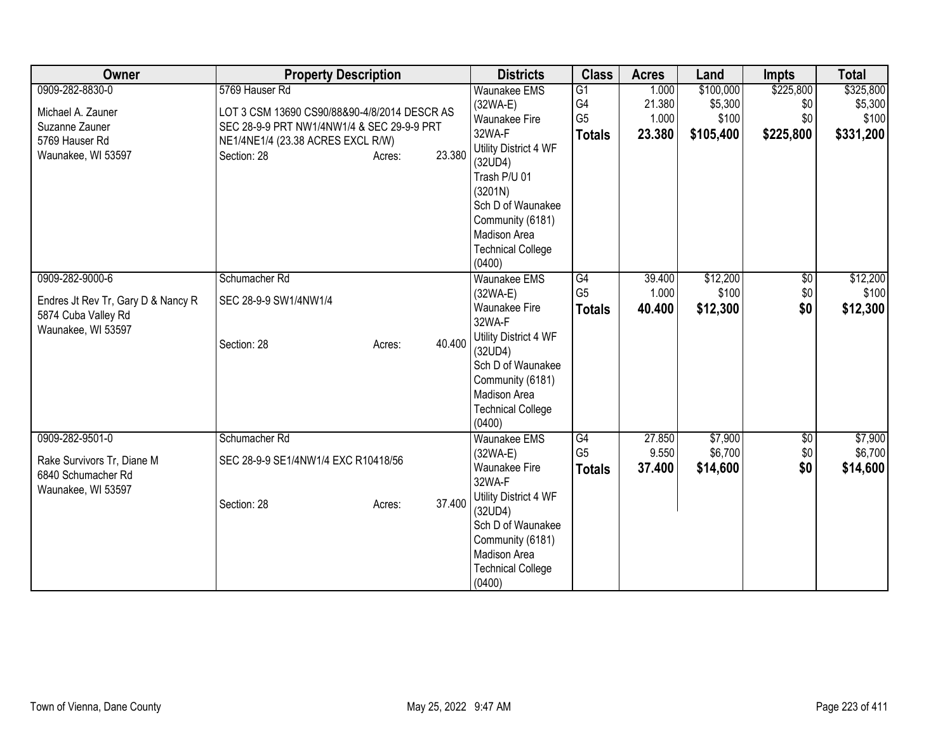| Owner                              | <b>Property Description</b>                  |        | <b>Districts</b>                 | <b>Class</b>   | <b>Acres</b> | Land      | <b>Impts</b>    | <b>Total</b> |
|------------------------------------|----------------------------------------------|--------|----------------------------------|----------------|--------------|-----------|-----------------|--------------|
| 0909-282-8830-0                    | 5769 Hauser Rd                               |        | <b>Waunakee EMS</b>              | G1             | 1.000        | \$100,000 | \$225,800       | \$325,800    |
| Michael A. Zauner                  | LOT 3 CSM 13690 CS90/88&90-4/8/2014 DESCR AS |        | $(32WA-E)$                       | G <sub>4</sub> | 21.380       | \$5,300   | \$0             | \$5,300      |
| Suzanne Zauner                     | SEC 28-9-9 PRT NW1/4NW1/4 & SEC 29-9-9 PRT   |        | <b>Waunakee Fire</b>             | G <sub>5</sub> | 1.000        | \$100     | \$0             | \$100        |
| 5769 Hauser Rd                     | NE1/4NE1/4 (23.38 ACRES EXCL R/W)            |        | 32WA-F                           | <b>Totals</b>  | 23.380       | \$105,400 | \$225,800       | \$331,200    |
| Waunakee, WI 53597                 | Section: 28<br>Acres:                        | 23.380 | Utility District 4 WF            |                |              |           |                 |              |
|                                    |                                              |        | (32UD4)<br>Trash P/U 01          |                |              |           |                 |              |
|                                    |                                              |        | (3201N)                          |                |              |           |                 |              |
|                                    |                                              |        | Sch D of Waunakee                |                |              |           |                 |              |
|                                    |                                              |        | Community (6181)                 |                |              |           |                 |              |
|                                    |                                              |        | <b>Madison Area</b>              |                |              |           |                 |              |
|                                    |                                              |        | <b>Technical College</b>         |                |              |           |                 |              |
|                                    |                                              |        | (0400)                           |                |              |           |                 |              |
| 0909-282-9000-6                    | Schumacher Rd                                |        | <b>Waunakee EMS</b>              | G4             | 39.400       | \$12,200  | $\overline{50}$ | \$12,200     |
| Endres Jt Rev Tr, Gary D & Nancy R | SEC 28-9-9 SW1/4NW1/4                        |        | $(32WA-E)$                       | G <sub>5</sub> | 1.000        | \$100     | \$0             | \$100        |
| 5874 Cuba Valley Rd                |                                              |        | <b>Waunakee Fire</b>             | <b>Totals</b>  | 40.400       | \$12,300  | \$0             | \$12,300     |
| Waunakee, WI 53597                 |                                              |        | 32WA-F                           |                |              |           |                 |              |
|                                    | Section: 28<br>Acres:                        | 40.400 | Utility District 4 WF            |                |              |           |                 |              |
|                                    |                                              |        | (32UD4)                          |                |              |           |                 |              |
|                                    |                                              |        | Sch D of Waunakee                |                |              |           |                 |              |
|                                    |                                              |        | Community (6181)<br>Madison Area |                |              |           |                 |              |
|                                    |                                              |        | <b>Technical College</b>         |                |              |           |                 |              |
|                                    |                                              |        | (0400)                           |                |              |           |                 |              |
| 0909-282-9501-0                    | Schumacher Rd                                |        | <b>Waunakee EMS</b>              | G4             | 27.850       | \$7,900   | \$0             | \$7,900      |
|                                    |                                              |        | $(32WA-E)$                       | G <sub>5</sub> | 9.550        | \$6,700   | \$0             | \$6,700      |
| Rake Survivors Tr, Diane M         | SEC 28-9-9 SE1/4NW1/4 EXC R10418/56          |        | <b>Waunakee Fire</b>             | <b>Totals</b>  | 37.400       | \$14,600  | \$0             | \$14,600     |
| 6840 Schumacher Rd                 |                                              |        | 32WA-F                           |                |              |           |                 |              |
| Waunakee, WI 53597                 | Section: 28<br>Acres:                        | 37.400 | Utility District 4 WF            |                |              |           |                 |              |
|                                    |                                              |        | (32UD4)                          |                |              |           |                 |              |
|                                    |                                              |        | Sch D of Waunakee                |                |              |           |                 |              |
|                                    |                                              |        | Community (6181)                 |                |              |           |                 |              |
|                                    |                                              |        | Madison Area                     |                |              |           |                 |              |
|                                    |                                              |        | <b>Technical College</b>         |                |              |           |                 |              |
|                                    |                                              |        | (0400)                           |                |              |           |                 |              |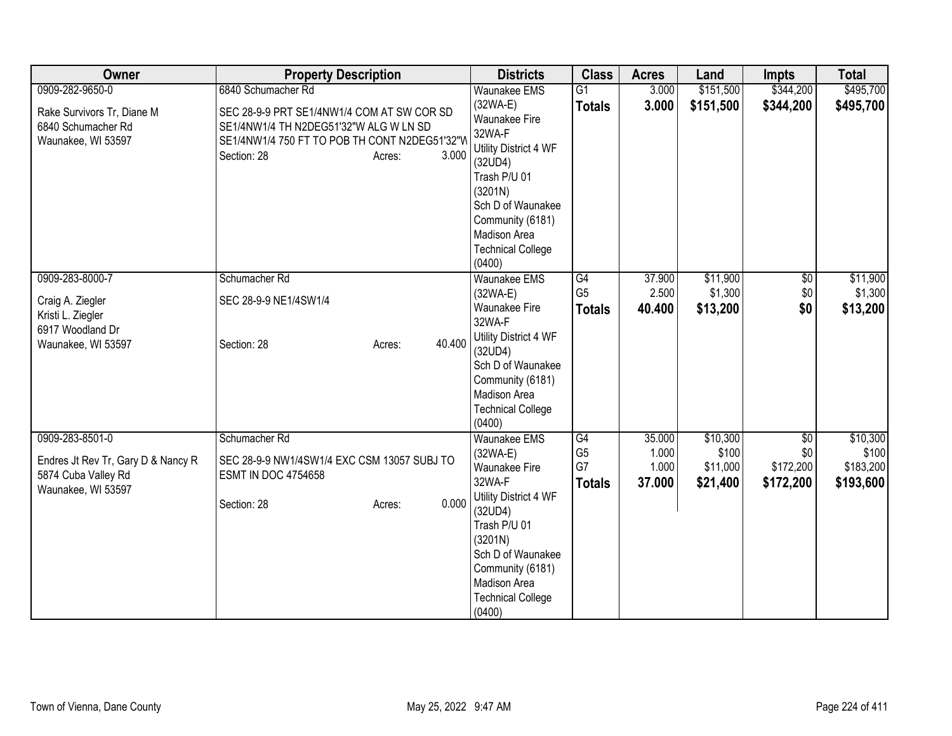| Owner                                                                           | <b>Property Description</b>                                                                                                                                             | <b>Districts</b>                                                                                                                                                                                 | <b>Class</b>                          | <b>Acres</b>             | Land                          | <b>Impts</b>                  | <b>Total</b>                    |
|---------------------------------------------------------------------------------|-------------------------------------------------------------------------------------------------------------------------------------------------------------------------|--------------------------------------------------------------------------------------------------------------------------------------------------------------------------------------------------|---------------------------------------|--------------------------|-------------------------------|-------------------------------|---------------------------------|
| 0909-282-9650-0                                                                 | 6840 Schumacher Rd                                                                                                                                                      | <b>Waunakee EMS</b>                                                                                                                                                                              | $\overline{G1}$                       | 3.000                    | \$151,500                     | \$344,200                     | \$495,700                       |
| Rake Survivors Tr, Diane M<br>6840 Schumacher Rd<br>Waunakee, WI 53597          | SEC 28-9-9 PRT SE1/4NW1/4 COM AT SW COR SD<br>SE1/4NW1/4 TH N2DEG51'32"W ALG W LN SD<br>SE1/4NW1/4 750 FT TO POB TH CONT N2DEG51'32"W<br>3.000<br>Section: 28<br>Acres: | $(32WA-E)$<br><b>Waunakee Fire</b><br>32WA-F<br>Utility District 4 WF<br>(32UD4)<br>Trash P/U 01<br>(3201N)<br>Sch D of Waunakee<br>Community (6181)<br>Madison Area<br><b>Technical College</b> | <b>Totals</b>                         | 3.000                    | \$151,500                     | \$344,200                     | \$495,700                       |
| 0909-283-8000-7                                                                 | Schumacher Rd                                                                                                                                                           | (0400)<br><b>Waunakee EMS</b>                                                                                                                                                                    | G4                                    | 37.900                   | \$11,900                      | $\overline{60}$               | \$11,900                        |
|                                                                                 |                                                                                                                                                                         | $(32WA-E)$                                                                                                                                                                                       | G <sub>5</sub>                        | 2.500                    | \$1,300                       | \$0                           | \$1,300                         |
| Craig A. Ziegler<br>Kristi L. Ziegler                                           | SEC 28-9-9 NE1/4SW1/4                                                                                                                                                   | Waunakee Fire                                                                                                                                                                                    | <b>Totals</b>                         | 40.400                   | \$13,200                      | \$0                           | \$13,200                        |
| 6917 Woodland Dr                                                                |                                                                                                                                                                         | 32WA-F                                                                                                                                                                                           |                                       |                          |                               |                               |                                 |
| Waunakee, WI 53597                                                              | 40.400<br>Section: 28<br>Acres:                                                                                                                                         | Utility District 4 WF<br>(32UD4)<br>Sch D of Waunakee<br>Community (6181)<br>Madison Area<br><b>Technical College</b><br>(0400)                                                                  |                                       |                          |                               |                               |                                 |
| 0909-283-8501-0                                                                 | Schumacher Rd                                                                                                                                                           | <b>Waunakee EMS</b>                                                                                                                                                                              | G4                                    | 35.000                   | \$10,300                      | $\overline{50}$               | \$10,300                        |
| Endres Jt Rev Tr, Gary D & Nancy R<br>5874 Cuba Valley Rd<br>Waunakee, WI 53597 | SEC 28-9-9 NW1/4SW1/4 EXC CSM 13057 SUBJ TO<br><b>ESMT IN DOC 4754658</b><br>0.000<br>Section: 28<br>Acres:                                                             | $(32WA-E)$<br>Waunakee Fire<br>32WA-F<br>Utility District 4 WF<br>(32UD4)<br>Trash P/U 01<br>(3201N)<br>Sch D of Waunakee<br>Community (6181)                                                    | G <sub>5</sub><br>G7<br><b>Totals</b> | 1.000<br>1.000<br>37.000 | \$100<br>\$11,000<br>\$21,400 | \$0<br>\$172,200<br>\$172,200 | \$100<br>\$183,200<br>\$193,600 |
|                                                                                 |                                                                                                                                                                         | Madison Area<br><b>Technical College</b><br>(0400)                                                                                                                                               |                                       |                          |                               |                               |                                 |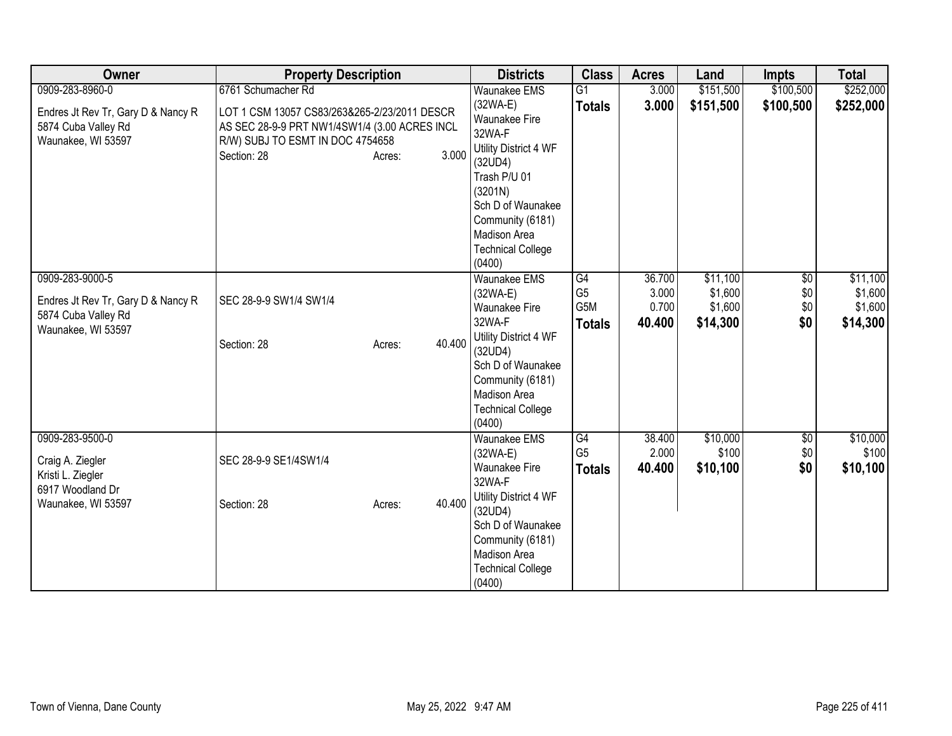| Owner                              | <b>Property Description</b>                   |        | <b>Districts</b>                        | <b>Class</b>    | <b>Acres</b> | Land      | <b>Impts</b>    | <b>Total</b> |
|------------------------------------|-----------------------------------------------|--------|-----------------------------------------|-----------------|--------------|-----------|-----------------|--------------|
| 0909-283-8960-0                    | 6761 Schumacher Rd                            |        | <b>Waunakee EMS</b>                     | $\overline{G1}$ | 3.000        | \$151,500 | \$100,500       | \$252,000    |
| Endres Jt Rev Tr, Gary D & Nancy R | LOT 1 CSM 13057 CS83/263&265-2/23/2011 DESCR  |        | $(32WA-E)$                              | <b>Totals</b>   | 3.000        | \$151,500 | \$100,500       | \$252,000    |
| 5874 Cuba Valley Rd                | AS SEC 28-9-9 PRT NW1/4SW1/4 (3.00 ACRES INCL |        | <b>Waunakee Fire</b>                    |                 |              |           |                 |              |
| Waunakee, WI 53597                 | R/W) SUBJ TO ESMT IN DOC 4754658              |        | 32WA-F                                  |                 |              |           |                 |              |
|                                    | Section: 28<br>Acres:                         | 3.000  | Utility District 4 WF                   |                 |              |           |                 |              |
|                                    |                                               |        | (32UD4)                                 |                 |              |           |                 |              |
|                                    |                                               |        | Trash P/U 01                            |                 |              |           |                 |              |
|                                    |                                               |        | (3201N)                                 |                 |              |           |                 |              |
|                                    |                                               |        | Sch D of Waunakee                       |                 |              |           |                 |              |
|                                    |                                               |        | Community (6181)<br><b>Madison Area</b> |                 |              |           |                 |              |
|                                    |                                               |        | <b>Technical College</b>                |                 |              |           |                 |              |
|                                    |                                               |        | (0400)                                  |                 |              |           |                 |              |
| 0909-283-9000-5                    |                                               |        | <b>Waunakee EMS</b>                     | G4              | 36.700       | \$11,100  | $\overline{50}$ | \$11,100     |
|                                    |                                               |        | (32WA-E)                                | G <sub>5</sub>  | 3.000        | \$1,600   | \$0             | \$1,600      |
| Endres Jt Rev Tr, Gary D & Nancy R | SEC 28-9-9 SW1/4 SW1/4                        |        | <b>Waunakee Fire</b>                    | G5M             | 0.700        | \$1,600   | \$0             | \$1,600      |
| 5874 Cuba Valley Rd                |                                               |        | 32WA-F                                  | <b>Totals</b>   | 40.400       | \$14,300  | \$0             | \$14,300     |
| Waunakee, WI 53597                 |                                               |        | Utility District 4 WF                   |                 |              |           |                 |              |
|                                    | Section: 28<br>Acres:                         | 40.400 | (32UD4)                                 |                 |              |           |                 |              |
|                                    |                                               |        | Sch D of Waunakee                       |                 |              |           |                 |              |
|                                    |                                               |        | Community (6181)                        |                 |              |           |                 |              |
|                                    |                                               |        | Madison Area                            |                 |              |           |                 |              |
|                                    |                                               |        | <b>Technical College</b>                |                 |              |           |                 |              |
|                                    |                                               |        | (0400)                                  |                 |              |           |                 |              |
| 0909-283-9500-0                    |                                               |        | <b>Waunakee EMS</b>                     | G4              | 38.400       | \$10,000  | \$0             | \$10,000     |
| Craig A. Ziegler                   | SEC 28-9-9 SE1/4SW1/4                         |        | $(32WA-E)$                              | G <sub>5</sub>  | 2.000        | \$100     | \$0             | \$100        |
| Kristi L. Ziegler                  |                                               |        | <b>Waunakee Fire</b>                    | <b>Totals</b>   | 40.400       | \$10,100  | \$0             | \$10,100     |
| 6917 Woodland Dr                   |                                               |        | 32WA-F<br>Utility District 4 WF         |                 |              |           |                 |              |
| Waunakee, WI 53597                 | Section: 28<br>Acres:                         | 40.400 | (32UD4)                                 |                 |              |           |                 |              |
|                                    |                                               |        | Sch D of Waunakee                       |                 |              |           |                 |              |
|                                    |                                               |        | Community (6181)                        |                 |              |           |                 |              |
|                                    |                                               |        | Madison Area                            |                 |              |           |                 |              |
|                                    |                                               |        | <b>Technical College</b>                |                 |              |           |                 |              |
|                                    |                                               |        | (0400)                                  |                 |              |           |                 |              |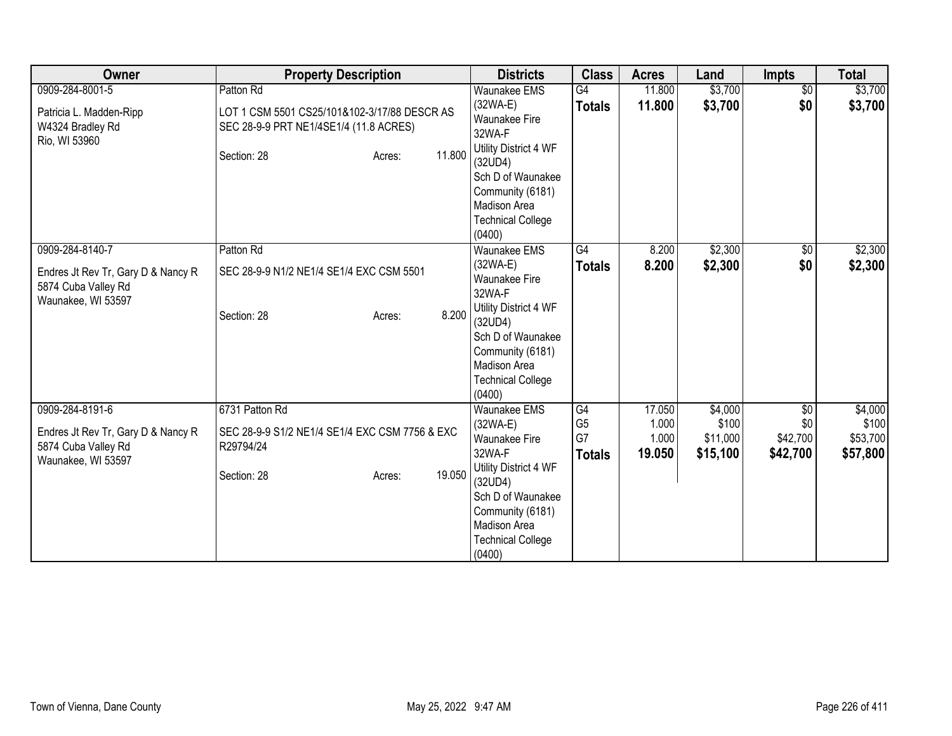| Owner                                                                                              | <b>Property Description</b>                                                                                                            | <b>Districts</b>                                                                                                                                                                                              | <b>Class</b>                                | <b>Acres</b>                       | Land                                     | <b>Impts</b>                       | <b>Total</b>                             |
|----------------------------------------------------------------------------------------------------|----------------------------------------------------------------------------------------------------------------------------------------|---------------------------------------------------------------------------------------------------------------------------------------------------------------------------------------------------------------|---------------------------------------------|------------------------------------|------------------------------------------|------------------------------------|------------------------------------------|
| 0909-284-8001-5<br>Patricia L. Madden-Ripp<br>W4324 Bradley Rd<br>Rio, WI 53960                    | Patton Rd<br>LOT 1 CSM 5501 CS25/101&102-3/17/88 DESCR AS<br>SEC 28-9-9 PRT NE1/4SE1/4 (11.8 ACRES)<br>11.800<br>Section: 28<br>Acres: | <b>Waunakee EMS</b><br>$(32WA-E)$<br><b>Waunakee Fire</b><br>32WA-F<br>Utility District 4 WF<br>(32UD4)<br>Sch D of Waunakee<br>Community (6181)<br><b>Madison Area</b><br><b>Technical College</b><br>(0400) | G4<br><b>Totals</b>                         | 11.800<br>11.800                   | \$3,700<br>\$3,700                       | $\sqrt{$0}$<br>\$0                 | \$3,700<br>\$3,700                       |
| 0909-284-8140-7<br>Endres Jt Rev Tr, Gary D & Nancy R<br>5874 Cuba Valley Rd<br>Waunakee, WI 53597 | Patton Rd<br>SEC 28-9-9 N1/2 NE1/4 SE1/4 EXC CSM 5501<br>8.200<br>Section: 28<br>Acres:                                                | Waunakee EMS<br>(32WA-E)<br>Waunakee Fire<br>32WA-F<br>Utility District 4 WF<br>(32UD4)<br>Sch D of Waunakee<br>Community (6181)<br><b>Madison Area</b><br><b>Technical College</b><br>(0400)                 | G4<br><b>Totals</b>                         | 8.200<br>8.200                     | \$2,300<br>\$2,300                       | $\sqrt{6}$<br>\$0                  | \$2,300<br>\$2,300                       |
| 0909-284-8191-6<br>Endres Jt Rev Tr, Gary D & Nancy R<br>5874 Cuba Valley Rd<br>Waunakee, WI 53597 | 6731 Patton Rd<br>SEC 28-9-9 S1/2 NE1/4 SE1/4 EXC CSM 7756 & EXC<br>R29794/24<br>19.050<br>Section: 28<br>Acres:                       | Waunakee EMS<br>$(32WA-E)$<br>Waunakee Fire<br>32WA-F<br>Utility District 4 WF<br>(32UD4)<br>Sch D of Waunakee<br>Community (6181)<br>Madison Area<br><b>Technical College</b><br>(0400)                      | G4<br>G <sub>5</sub><br>G7<br><b>Totals</b> | 17.050<br>1.000<br>1.000<br>19.050 | \$4,000<br>\$100<br>\$11,000<br>\$15,100 | \$0<br>\$0<br>\$42,700<br>\$42,700 | \$4,000<br>\$100<br>\$53,700<br>\$57,800 |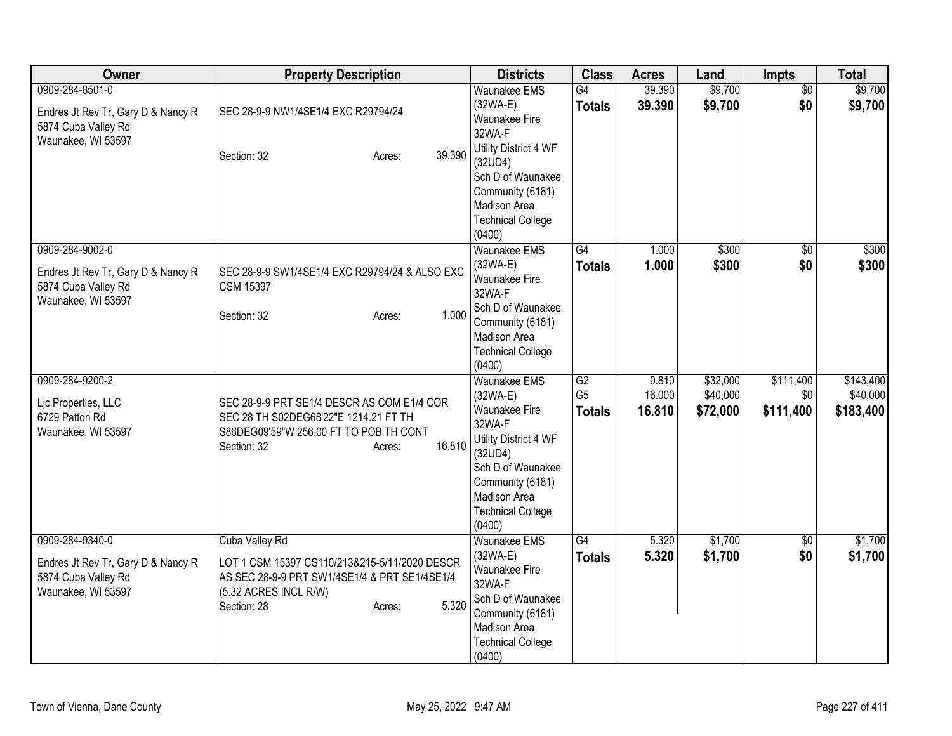| Owner                                                                                              | <b>Property Description</b>                                                                                                                                                 | <b>Districts</b>                                                                                                                                                                                | <b>Class</b>                          | <b>Acres</b>              | Land                             | <b>Impts</b>                  | <b>Total</b>                       |
|----------------------------------------------------------------------------------------------------|-----------------------------------------------------------------------------------------------------------------------------------------------------------------------------|-------------------------------------------------------------------------------------------------------------------------------------------------------------------------------------------------|---------------------------------------|---------------------------|----------------------------------|-------------------------------|------------------------------------|
| 0909-284-8501-0<br>Endres Jt Rev Tr, Gary D & Nancy R<br>5874 Cuba Valley Rd<br>Waunakee, WI 53597 | SEC 28-9-9 NW1/4SE1/4 EXC R29794/24<br>39.390<br>Section: 32<br>Acres:                                                                                                      | <b>Waunakee EMS</b><br>$(32WA-E)$<br>Waunakee Fire<br>32WA-F<br>Utility District 4 WF<br>(32UD4)<br>Sch D of Waunakee<br>Community (6181)<br>Madison Area<br><b>Technical College</b><br>(0400) | G4<br><b>Totals</b>                   | 39.390<br>39.390          | \$9,700<br>\$9,700               | $\overline{50}$<br>\$0        | \$9,700<br>\$9,700                 |
| 0909-284-9002-0<br>Endres Jt Rev Tr, Gary D & Nancy R<br>5874 Cuba Valley Rd<br>Waunakee, WI 53597 | SEC 28-9-9 SW1/4SE1/4 EXC R29794/24 & ALSO EXC<br><b>CSM 15397</b><br>1.000<br>Section: 32<br>Acres:                                                                        | <b>Waunakee EMS</b><br>$(32WA-E)$<br>Waunakee Fire<br>32WA-F<br>Sch D of Waunakee<br>Community (6181)<br>Madison Area<br><b>Technical College</b><br>(0400)                                     | G4<br><b>Totals</b>                   | 1.000<br>1.000            | \$300<br>\$300                   | \$0<br>\$0                    | \$300<br>\$300                     |
| 0909-284-9200-2<br>Lic Properties, LLC<br>6729 Patton Rd<br>Waunakee, WI 53597                     | SEC 28-9-9 PRT SE1/4 DESCR AS COM E1/4 COR<br>SEC 28 TH S02DEG68'22"E 1214.21 FT TH<br>S86DEG09'59"W 256.00 FT TO POB TH CONT<br>16.810<br>Section: 32<br>Acres:            | Waunakee EMS<br>$(32WA-E)$<br>Waunakee Fire<br>32WA-F<br>Utility District 4 WF<br>(32UD4)<br>Sch D of Waunakee<br>Community (6181)<br>Madison Area<br><b>Technical College</b><br>(0400)        | G2<br>G <sub>5</sub><br><b>Totals</b> | 0.810<br>16.000<br>16.810 | \$32,000<br>\$40,000<br>\$72,000 | \$111,400<br>\$0<br>\$111,400 | \$143,400<br>\$40,000<br>\$183,400 |
| 0909-284-9340-0<br>Endres Jt Rev Tr, Gary D & Nancy R<br>5874 Cuba Valley Rd<br>Waunakee, WI 53597 | Cuba Valley Rd<br>LOT 1 CSM 15397 CS110/213&215-5/11/2020 DESCR<br>AS SEC 28-9-9 PRT SW1/4SE1/4 & PRT SE1/4SE1/4<br>(5.32 ACRES INCL R/W)<br>5.320<br>Section: 28<br>Acres: | <b>Waunakee EMS</b><br>$(32WA-E)$<br>Waunakee Fire<br>32WA-F<br>Sch D of Waunakee<br>Community (6181)<br>Madison Area<br><b>Technical College</b><br>(0400)                                     | $\overline{G4}$<br><b>Totals</b>      | 5.320<br>5.320            | \$1,700<br>\$1,700               | $\overline{30}$<br>\$0        | \$1,700<br>\$1,700                 |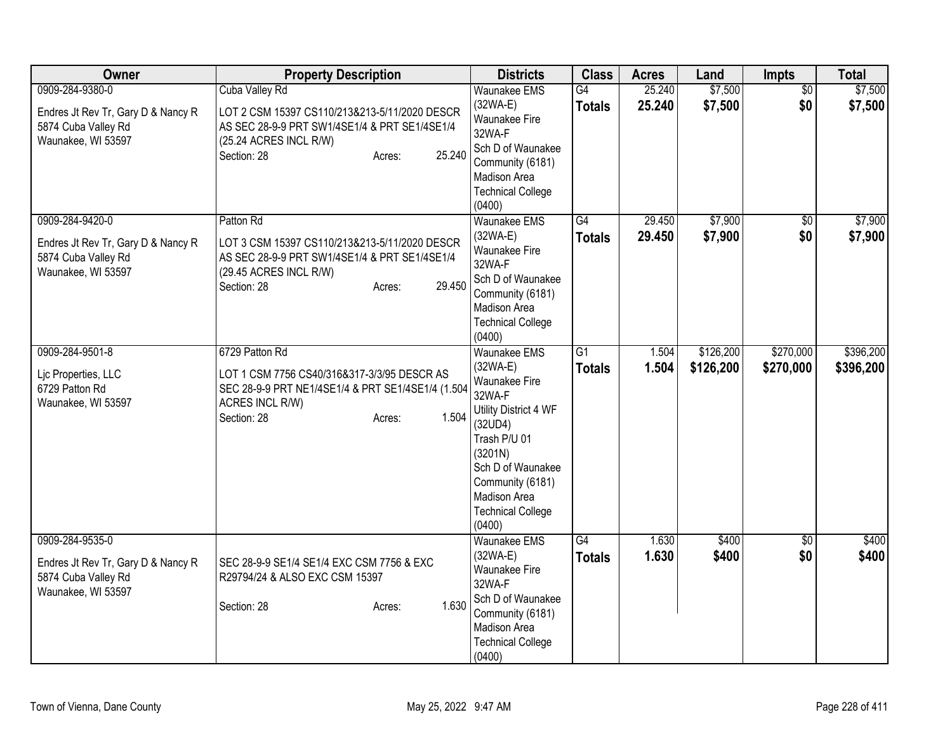| Owner                                                                                              | <b>Property Description</b>                                                                                                                                                   | <b>Districts</b>                                                                                                                                                                                                           | <b>Class</b>                     | <b>Acres</b>     | Land                   | <b>Impts</b>           | <b>Total</b>           |
|----------------------------------------------------------------------------------------------------|-------------------------------------------------------------------------------------------------------------------------------------------------------------------------------|----------------------------------------------------------------------------------------------------------------------------------------------------------------------------------------------------------------------------|----------------------------------|------------------|------------------------|------------------------|------------------------|
| 0909-284-9380-0<br>Endres Jt Rev Tr, Gary D & Nancy R<br>5874 Cuba Valley Rd<br>Waunakee, WI 53597 | Cuba Valley Rd<br>LOT 2 CSM 15397 CS110/213&213-5/11/2020 DESCR<br>AS SEC 28-9-9 PRT SW1/4SE1/4 & PRT SE1/4SE1/4<br>(25.24 ACRES INCL R/W)<br>25.240<br>Section: 28<br>Acres: | <b>Waunakee EMS</b><br>$(32WA-E)$<br>Waunakee Fire<br>32WA-F<br>Sch D of Waunakee<br>Community (6181)<br>Madison Area<br><b>Technical College</b><br>(0400)                                                                | G4<br><b>Totals</b>              | 25.240<br>25.240 | \$7,500<br>\$7,500     | $\overline{50}$<br>\$0 | \$7,500<br>\$7,500     |
| 0909-284-9420-0<br>Endres Jt Rev Tr, Gary D & Nancy R<br>5874 Cuba Valley Rd<br>Waunakee, WI 53597 | Patton Rd<br>LOT 3 CSM 15397 CS110/213&213-5/11/2020 DESCR<br>AS SEC 28-9-9 PRT SW1/4SE1/4 & PRT SE1/4SE1/4<br>(29.45 ACRES INCL R/W)<br>29.450<br>Section: 28<br>Acres:      | <b>Waunakee EMS</b><br>$(32WA-E)$<br>Waunakee Fire<br>32WA-F<br>Sch D of Waunakee<br>Community (6181)<br>Madison Area<br><b>Technical College</b><br>(0400)                                                                | G4<br><b>Totals</b>              | 29.450<br>29.450 | \$7,900<br>\$7,900     | $\overline{50}$<br>\$0 | \$7,900<br>\$7,900     |
| 0909-284-9501-8<br>Lic Properties, LLC<br>6729 Patton Rd<br>Waunakee, WI 53597                     | 6729 Patton Rd<br>LOT 1 CSM 7756 CS40/316&317-3/3/95 DESCR AS<br>SEC 28-9-9 PRT NE1/4SE1/4 & PRT SE1/4SE1/4 (1.504<br>ACRES INCL R/W)<br>1.504<br>Section: 28<br>Acres:       | <b>Waunakee EMS</b><br>$(32WA-E)$<br>Waunakee Fire<br>32WA-F<br>Utility District 4 WF<br>(32UD4)<br>Trash P/U 01<br>(3201N)<br>Sch D of Waunakee<br>Community (6181)<br>Madison Area<br><b>Technical College</b><br>(0400) | $\overline{G1}$<br><b>Totals</b> | 1.504<br>1.504   | \$126,200<br>\$126,200 | \$270,000<br>\$270,000 | \$396,200<br>\$396,200 |
| 0909-284-9535-0<br>Endres Jt Rev Tr, Gary D & Nancy R<br>5874 Cuba Valley Rd<br>Waunakee, WI 53597 | SEC 28-9-9 SE1/4 SE1/4 EXC CSM 7756 & EXC<br>R29794/24 & ALSO EXC CSM 15397<br>1.630<br>Section: 28<br>Acres:                                                                 | <b>Waunakee EMS</b><br>$(32WA-E)$<br>Waunakee Fire<br>32WA-F<br>Sch D of Waunakee<br>Community (6181)<br>Madison Area<br><b>Technical College</b><br>(0400)                                                                | G4<br><b>Totals</b>              | 1.630<br>1.630   | \$400<br>\$400         | $\overline{30}$<br>\$0 | \$400<br>\$400         |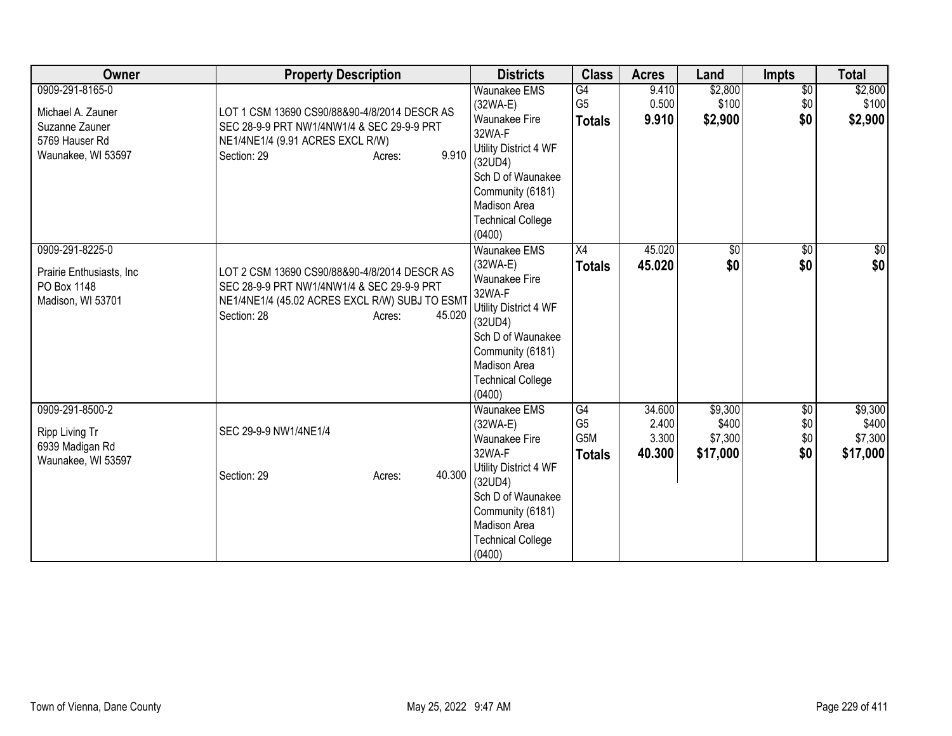| Owner                                                                                          | <b>Property Description</b>                                                                                                                                                     | <b>Districts</b>                                                                                                                                                                                       | <b>Class</b>                                 | <b>Acres</b>                       | Land                                    | <b>Impts</b>                  | <b>Total</b>                            |
|------------------------------------------------------------------------------------------------|---------------------------------------------------------------------------------------------------------------------------------------------------------------------------------|--------------------------------------------------------------------------------------------------------------------------------------------------------------------------------------------------------|----------------------------------------------|------------------------------------|-----------------------------------------|-------------------------------|-----------------------------------------|
| 0909-291-8165-0<br>Michael A. Zauner<br>Suzanne Zauner<br>5769 Hauser Rd<br>Waunakee, WI 53597 | LOT 1 CSM 13690 CS90/88&90-4/8/2014 DESCR AS<br>SEC 28-9-9 PRT NW1/4NW1/4 & SEC 29-9-9 PRT<br>NE1/4NE1/4 (9.91 ACRES EXCL R/W)<br>9.910<br>Section: 29<br>Acres:                | <b>Waunakee EMS</b><br>$(32WA-E)$<br>Waunakee Fire<br>32WA-F<br>Utility District 4 WF<br>(32UD4)<br>Sch D of Waunakee<br>Community (6181)<br><b>Madison Area</b><br><b>Technical College</b><br>(0400) | G4<br>G <sub>5</sub><br><b>Totals</b>        | 9.410<br>0.500<br>9.910            | \$2,800<br>\$100<br>\$2,900             | $\overline{60}$<br>\$0<br>\$0 | \$2,800<br>\$100<br>\$2,900             |
| 0909-291-8225-0<br>Prairie Enthusiasts, Inc.<br>PO Box 1148<br>Madison, WI 53701               | LOT 2 CSM 13690 CS90/88&90-4/8/2014 DESCR AS<br>SEC 28-9-9 PRT NW1/4NW1/4 & SEC 29-9-9 PRT<br>NE1/4NE1/4 (45.02 ACRES EXCL R/W) SUBJ TO ESMT<br>Section: 28<br>45.020<br>Acres: | <b>Waunakee EMS</b><br>$(32WA-E)$<br><b>Waunakee Fire</b><br>32WA-F<br>Utility District 4 WF<br>(32UD4)<br>Sch D of Waunakee<br>Community (6181)<br>Madison Area<br><b>Technical College</b><br>(0400) | X4<br><b>Totals</b>                          | 45.020<br>45.020                   | $\overline{50}$<br>\$0                  | $\overline{50}$<br>\$0        | $\overline{30}$<br>\$0                  |
| 0909-291-8500-2<br>Ripp Living Tr<br>6939 Madigan Rd<br>Waunakee, WI 53597                     | SEC 29-9-9 NW1/4NE1/4<br>40.300<br>Section: 29<br>Acres:                                                                                                                        | <b>Waunakee EMS</b><br>(32WA-E)<br><b>Waunakee Fire</b><br>32WA-F<br>Utility District 4 WF<br>(32UD4)<br>Sch D of Waunakee<br>Community (6181)<br>Madison Area<br><b>Technical College</b><br>(0400)   | G4<br>G <sub>5</sub><br>G5M<br><b>Totals</b> | 34.600<br>2.400<br>3.300<br>40.300 | \$9,300<br>\$400<br>\$7,300<br>\$17,000 | \$0<br>\$0<br>\$0<br>\$0      | \$9,300<br>\$400<br>\$7,300<br>\$17,000 |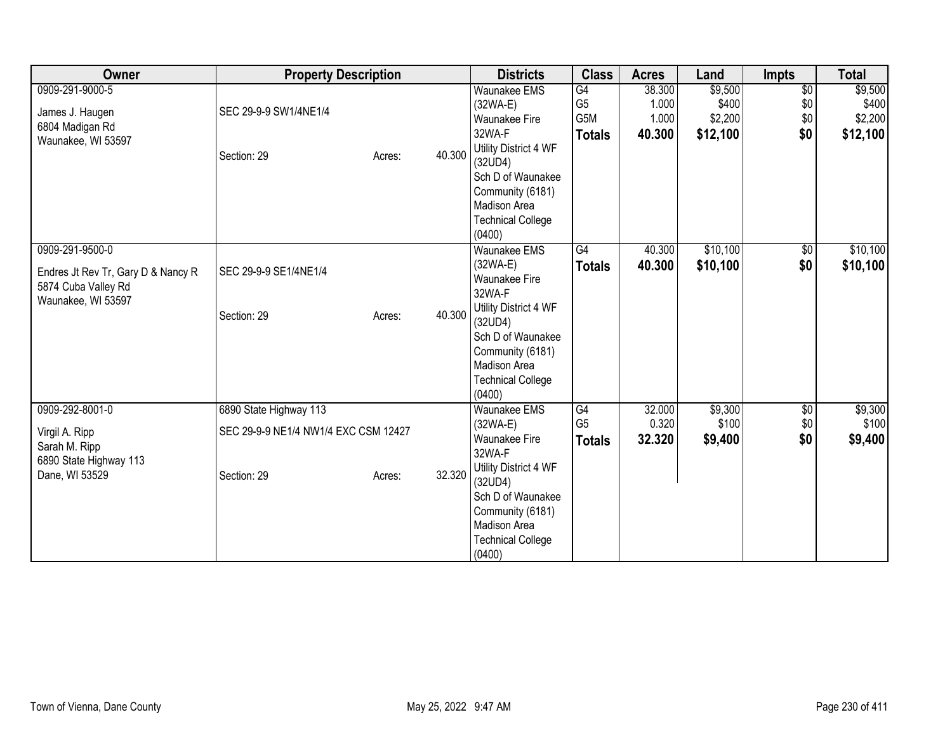| Owner                                                                                              | <b>Property Description</b>                                                   |                  | <b>Districts</b>                                                                                                                                                                                     | <b>Class</b>                                       | <b>Acres</b>                       | Land                                    | Impts                                | <b>Total</b>                            |
|----------------------------------------------------------------------------------------------------|-------------------------------------------------------------------------------|------------------|------------------------------------------------------------------------------------------------------------------------------------------------------------------------------------------------------|----------------------------------------------------|------------------------------------|-----------------------------------------|--------------------------------------|-----------------------------------------|
| 0909-291-9000-5<br>James J. Haugen<br>6804 Madigan Rd<br>Waunakee, WI 53597                        | SEC 29-9-9 SW1/4NE1/4<br>Section: 29                                          | 40.300<br>Acres: | <b>Waunakee EMS</b><br>(32WA-E)<br>Waunakee Fire<br>32WA-F<br>Utility District 4 WF<br>(32UD4)<br>Sch D of Waunakee<br>Community (6181)<br>Madison Area<br><b>Technical College</b><br>(0400)        | G4<br>G <sub>5</sub><br>G5M<br><b>Totals</b>       | 38.300<br>1.000<br>1.000<br>40.300 | \$9,500<br>\$400<br>\$2,200<br>\$12,100 | $\overline{50}$<br>\$0<br>\$0<br>\$0 | \$9,500<br>\$400<br>\$2,200<br>\$12,100 |
| 0909-291-9500-0<br>Endres Jt Rev Tr, Gary D & Nancy R<br>5874 Cuba Valley Rd<br>Waunakee, WI 53597 | SEC 29-9-9 SE1/4NE1/4<br>Section: 29                                          | 40.300<br>Acres: | Waunakee EMS<br>(32WA-E)<br>Waunakee Fire<br>32WA-F<br>Utility District 4 WF<br>(32UD4)<br>Sch D of Waunakee<br>Community (6181)<br><b>Madison Area</b><br><b>Technical College</b><br>(0400)        | G4<br><b>Totals</b>                                | 40.300<br>40.300                   | \$10,100<br>\$10,100                    | $\sqrt{6}$<br>\$0                    | \$10,100<br>\$10,100                    |
| 0909-292-8001-0<br>Virgil A. Ripp<br>Sarah M. Ripp<br>6890 State Highway 113<br>Dane, WI 53529     | 6890 State Highway 113<br>SEC 29-9-9 NE1/4 NW1/4 EXC CSM 12427<br>Section: 29 | 32.320<br>Acres: | Waunakee EMS<br>(32WA-E)<br><b>Waunakee Fire</b><br>32WA-F<br>Utility District 4 WF<br>(32UD4)<br>Sch D of Waunakee<br>Community (6181)<br><b>Madison Area</b><br><b>Technical College</b><br>(0400) | $\overline{G4}$<br>G <sub>5</sub><br><b>Totals</b> | 32.000<br>0.320<br>32.320          | \$9,300<br>\$100<br>\$9,400             | \$0<br>\$0<br>\$0                    | \$9,300<br>\$100<br>\$9,400             |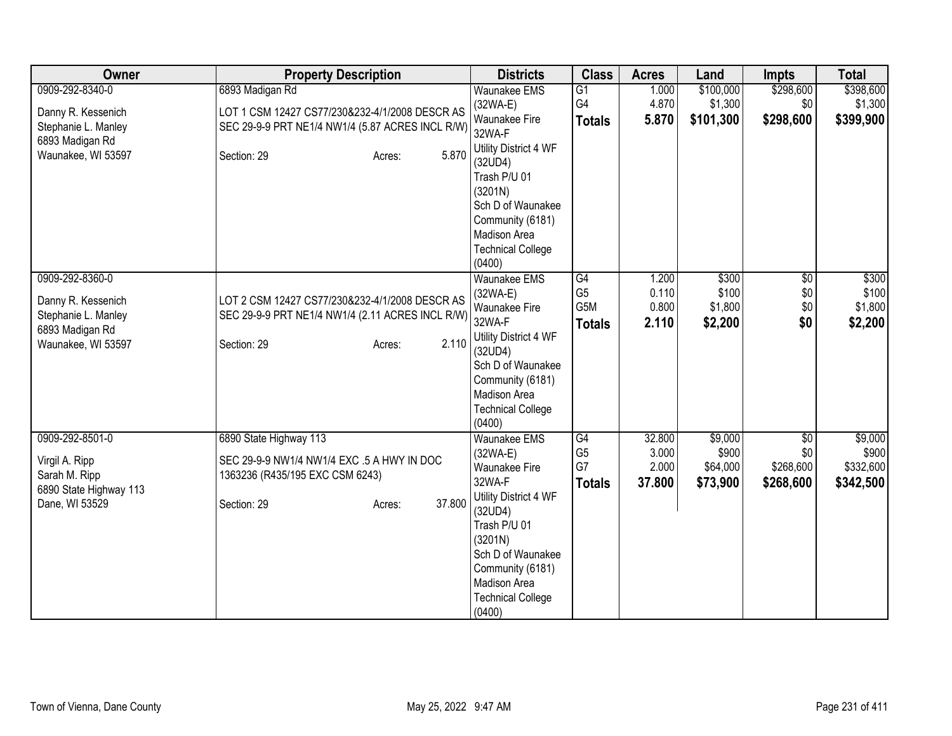| Owner                                                                                                 | <b>Property Description</b>                                                                                                          | <b>Districts</b>                                                                                                                                           | <b>Class</b>                                 | <b>Acres</b>                       | Land                                     | <b>Impts</b>                                     | <b>Total</b>                               |
|-------------------------------------------------------------------------------------------------------|--------------------------------------------------------------------------------------------------------------------------------------|------------------------------------------------------------------------------------------------------------------------------------------------------------|----------------------------------------------|------------------------------------|------------------------------------------|--------------------------------------------------|--------------------------------------------|
| 0909-292-8340-0                                                                                       | 6893 Madigan Rd                                                                                                                      | <b>Waunakee EMS</b>                                                                                                                                        | $\overline{G1}$                              | 1.000                              | \$100,000                                | \$298,600                                        | \$398,600                                  |
| Danny R. Kessenich<br>Stephanie L. Manley                                                             | LOT 1 CSM 12427 CS77/230&232-4/1/2008 DESCR AS<br>SEC 29-9-9 PRT NE1/4 NW1/4 (5.87 ACRES INCL R/W)                                   | $(32WA-E)$<br>Waunakee Fire<br>32WA-F                                                                                                                      | G4<br><b>Totals</b>                          | 4.870<br>5.870                     | \$1,300<br>\$101,300                     | \$0<br>\$298,600                                 | \$1,300<br>\$399,900                       |
| 6893 Madigan Rd<br>Waunakee, WI 53597                                                                 | 5.870<br>Section: 29<br>Acres:                                                                                                       | Utility District 4 WF<br>(32UD4)<br>Trash P/U 01<br>(3201N)                                                                                                |                                              |                                    |                                          |                                                  |                                            |
|                                                                                                       |                                                                                                                                      | Sch D of Waunakee<br>Community (6181)<br>Madison Area<br><b>Technical College</b><br>(0400)                                                                |                                              |                                    |                                          |                                                  |                                            |
| 0909-292-8360-0<br>Danny R. Kessenich<br>Stephanie L. Manley<br>6893 Madigan Rd<br>Waunakee, WI 53597 | LOT 2 CSM 12427 CS77/230&232-4/1/2008 DESCR AS<br>SEC 29-9-9 PRT NE1/4 NW1/4 (2.11 ACRES INCL R/W)<br>2.110<br>Section: 29<br>Acres: | <b>Waunakee EMS</b><br>$(32WA-E)$<br>Waunakee Fire<br>32WA-F<br>Utility District 4 WF<br>(32UD4)<br>Sch D of Waunakee                                      | G4<br>G <sub>5</sub><br>G5M<br><b>Totals</b> | 1.200<br>0.110<br>0.800<br>2.110   | \$300<br>\$100<br>\$1,800<br>\$2,200     | $\overline{60}$<br>\$0<br>\$0<br>\$0             | \$300<br>\$100<br>\$1,800<br>\$2,200       |
|                                                                                                       |                                                                                                                                      | Community (6181)<br>Madison Area<br><b>Technical College</b><br>(0400)                                                                                     |                                              |                                    |                                          |                                                  |                                            |
| 0909-292-8501-0<br>Virgil A. Ripp<br>Sarah M. Ripp<br>6890 State Highway 113                          | 6890 State Highway 113<br>SEC 29-9-9 NW1/4 NW1/4 EXC .5 A HWY IN DOC<br>1363236 (R435/195 EXC CSM 6243)                              | <b>Waunakee EMS</b><br>$(32WA-E)$<br>Waunakee Fire<br>32WA-F                                                                                               | G4<br>G <sub>5</sub><br>G7<br><b>Totals</b>  | 32.800<br>3.000<br>2.000<br>37.800 | \$9,000<br>\$900<br>\$64,000<br>\$73,900 | $\overline{50}$<br>\$0<br>\$268,600<br>\$268,600 | \$9,000<br>\$900<br>\$332,600<br>\$342,500 |
| Dane, WI 53529                                                                                        | 37.800<br>Section: 29<br>Acres:                                                                                                      | Utility District 4 WF<br>(32UD4)<br>Trash P/U 01<br>(3201N)<br>Sch D of Waunakee<br>Community (6181)<br>Madison Area<br><b>Technical College</b><br>(0400) |                                              |                                    |                                          |                                                  |                                            |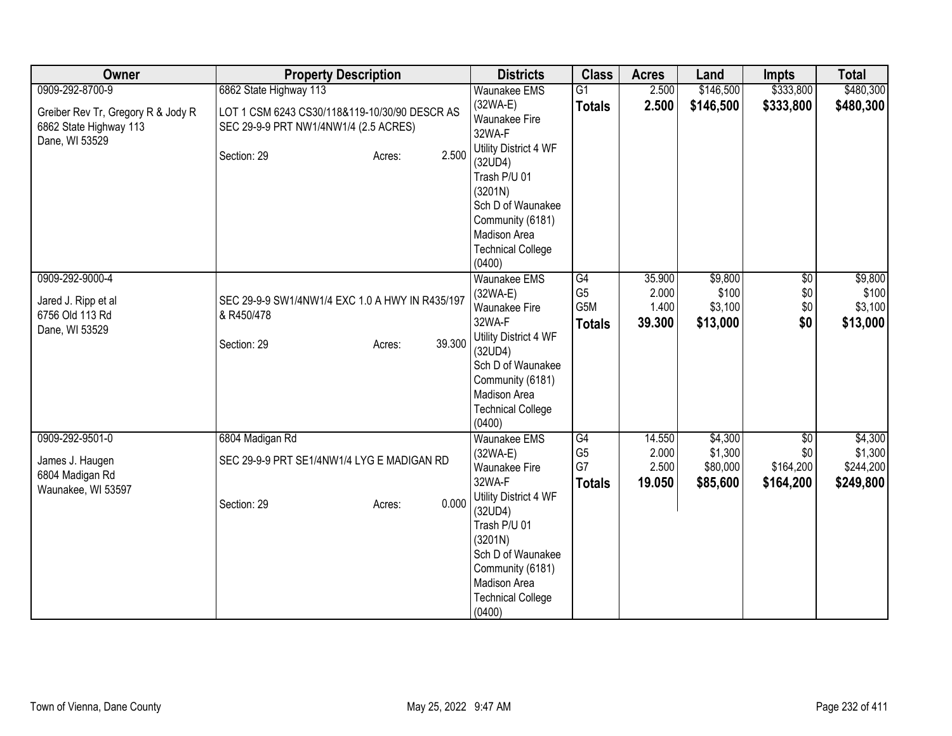| Owner                                                                          | <b>Property Description</b>                                                            | <b>Districts</b>                                                                                                                                                     | <b>Class</b>                                 | <b>Acres</b>                       | Land                                     | <b>Impts</b>                         | <b>Total</b>                            |
|--------------------------------------------------------------------------------|----------------------------------------------------------------------------------------|----------------------------------------------------------------------------------------------------------------------------------------------------------------------|----------------------------------------------|------------------------------------|------------------------------------------|--------------------------------------|-----------------------------------------|
| 0909-292-8700-9                                                                | 6862 State Highway 113                                                                 | <b>Waunakee EMS</b>                                                                                                                                                  | $\overline{G1}$                              | 2.500                              | \$146,500                                | \$333,800                            | \$480,300                               |
| Greiber Rev Tr, Gregory R & Jody R<br>6862 State Highway 113<br>Dane, WI 53529 | LOT 1 CSM 6243 CS30/118&119-10/30/90 DESCR AS<br>SEC 29-9-9 PRT NW1/4NW1/4 (2.5 ACRES) | (32WA-E)<br>Waunakee Fire<br>32WA-F                                                                                                                                  | <b>Totals</b>                                | 2.500                              | \$146,500                                | \$333,800                            | \$480,300                               |
|                                                                                | 2.500<br>Section: 29<br>Acres:                                                         | Utility District 4 WF<br>(32UD4)<br>Trash P/U 01<br>(3201N)<br>Sch D of Waunakee                                                                                     |                                              |                                    |                                          |                                      |                                         |
|                                                                                |                                                                                        | Community (6181)<br>Madison Area<br><b>Technical College</b><br>(0400)                                                                                               |                                              |                                    |                                          |                                      |                                         |
| 0909-292-9000-4<br>Jared J. Ripp et al<br>6756 Old 113 Rd<br>Dane, WI 53529    | SEC 29-9-9 SW1/4NW1/4 EXC 1.0 A HWY IN R435/197<br>& R450/478                          | <b>Waunakee EMS</b><br>$(32WA-E)$<br><b>Waunakee Fire</b><br>32WA-F                                                                                                  | G4<br>G <sub>5</sub><br>G5M<br><b>Totals</b> | 35.900<br>2.000<br>1.400<br>39.300 | \$9,800<br>\$100 <br>\$3,100<br>\$13,000 | $\overline{60}$<br>\$0<br>\$0<br>\$0 | \$9,800<br>\$100<br>\$3,100<br>\$13,000 |
|                                                                                | 39.300<br>Section: 29<br>Acres:                                                        | Utility District 4 WF<br>(32UD4)<br>Sch D of Waunakee<br>Community (6181)<br>Madison Area<br><b>Technical College</b><br>(0400)                                      |                                              |                                    |                                          |                                      |                                         |
| 0909-292-9501-0<br>James J. Haugen<br>6804 Madigan Rd                          | 6804 Madigan Rd<br>SEC 29-9-9 PRT SE1/4NW1/4 LYG E MADIGAN RD                          | <b>Waunakee EMS</b><br>$(32WA-E)$<br><b>Waunakee Fire</b>                                                                                                            | G4<br>G <sub>5</sub><br>G7                   | 14.550<br>2.000<br>2.500           | \$4,300<br>\$1,300<br>\$80,000           | \$0<br>\$0<br>\$164,200              | \$4,300<br>\$1,300<br>\$244,200         |
| Waunakee, WI 53597                                                             | 0.000<br>Section: 29<br>Acres:                                                         | 32WA-F<br>Utility District 4 WF<br>(32UD4)<br>Trash P/U 01<br>(3201N)<br>Sch D of Waunakee<br>Community (6181)<br>Madison Area<br><b>Technical College</b><br>(0400) | <b>Totals</b>                                | 19.050                             | \$85,600                                 | \$164,200                            | \$249,800                               |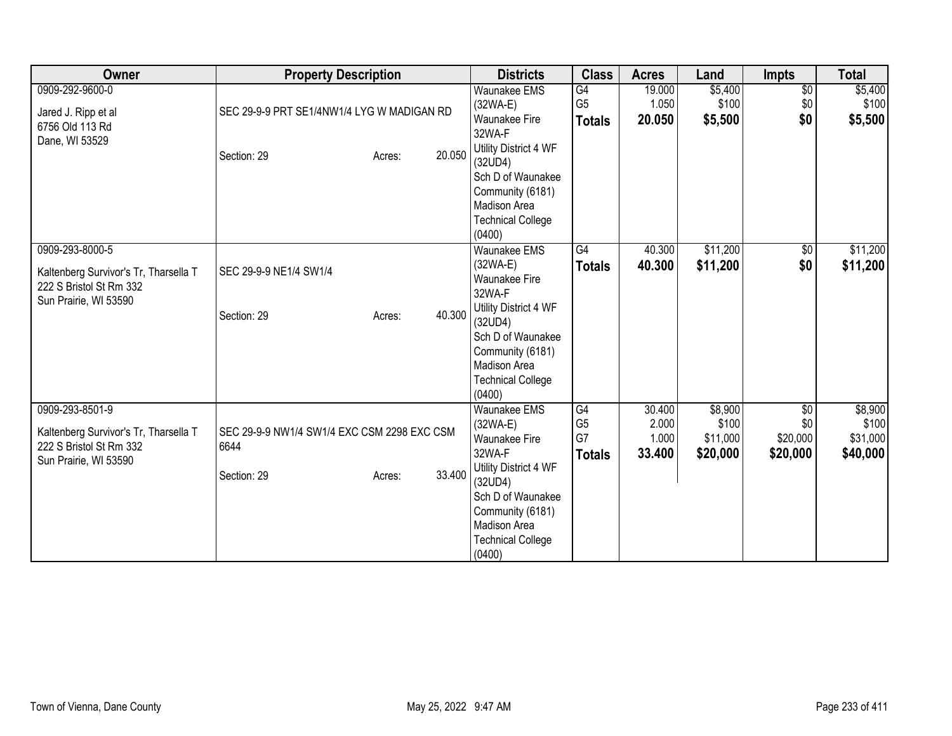| Owner                                 | <b>Property Description</b>                 |        |        | <b>Districts</b>                                             | <b>Class</b>                    | <b>Acres</b>    | Land              | <b>Impts</b>    | <b>Total</b>      |
|---------------------------------------|---------------------------------------------|--------|--------|--------------------------------------------------------------|---------------------------------|-----------------|-------------------|-----------------|-------------------|
| 0909-292-9600-0                       |                                             |        |        | <b>Waunakee EMS</b>                                          | G4                              | 19.000          | \$5,400           | $\sqrt{6}$      | \$5,400           |
| Jared J. Ripp et al                   | SEC 29-9-9 PRT SE1/4NW1/4 LYG W MADIGAN RD  |        |        | (32WA-E)<br>Waunakee Fire                                    | G <sub>5</sub><br><b>Totals</b> | 1.050<br>20.050 | \$100<br>\$5,500  | \$0<br>\$0      | \$100<br>\$5,500  |
| 6756 Old 113 Rd                       |                                             |        |        | 32WA-F                                                       |                                 |                 |                   |                 |                   |
| Dane, WI 53529                        | Section: 29                                 | Acres: | 20.050 | Utility District 4 WF<br>(32UD4)<br>Sch D of Waunakee        |                                 |                 |                   |                 |                   |
|                                       |                                             |        |        | Community (6181)<br>Madison Area<br><b>Technical College</b> |                                 |                 |                   |                 |                   |
|                                       |                                             |        |        | (0400)                                                       |                                 |                 |                   |                 |                   |
| 0909-293-8000-5                       |                                             |        |        | <b>Waunakee EMS</b>                                          | G4                              | 40.300          | \$11,200          | $\sqrt{6}$      | \$11,200          |
| Kaltenberg Survivor's Tr, Tharsella T | SEC 29-9-9 NE1/4 SW1/4                      |        |        | $(32WA-E)$<br><b>Waunakee Fire</b>                           | <b>Totals</b>                   | 40.300          | \$11,200          | \$0             | \$11,200          |
| 222 S Bristol St Rm 332               |                                             |        |        | 32WA-F                                                       |                                 |                 |                   |                 |                   |
| Sun Prairie, WI 53590                 | Section: 29                                 | Acres: | 40.300 | Utility District 4 WF<br>(32UD4)                             |                                 |                 |                   |                 |                   |
|                                       |                                             |        |        | Sch D of Waunakee                                            |                                 |                 |                   |                 |                   |
|                                       |                                             |        |        | Community (6181)<br><b>Madison Area</b>                      |                                 |                 |                   |                 |                   |
|                                       |                                             |        |        | <b>Technical College</b>                                     |                                 |                 |                   |                 |                   |
|                                       |                                             |        |        | (0400)                                                       |                                 |                 |                   |                 |                   |
| 0909-293-8501-9                       |                                             |        |        | <b>Waunakee EMS</b>                                          | G4                              | 30.400          | \$8,900           | \$0             | \$8,900           |
| Kaltenberg Survivor's Tr, Tharsella T | SEC 29-9-9 NW1/4 SW1/4 EXC CSM 2298 EXC CSM |        |        | $(32WA-E)$<br><b>Waunakee Fire</b>                           | G <sub>5</sub><br>G7            | 2.000<br>1.000  | \$100<br>\$11,000 | \$0<br>\$20,000 | \$100<br>\$31,000 |
| 222 S Bristol St Rm 332               | 6644                                        |        |        | 32WA-F                                                       | <b>Totals</b>                   | 33.400          | \$20,000          | \$20,000        | \$40,000          |
| Sun Prairie, WI 53590                 |                                             |        | 33.400 | Utility District 4 WF                                        |                                 |                 |                   |                 |                   |
|                                       | Section: 29                                 | Acres: |        | (32UD4)                                                      |                                 |                 |                   |                 |                   |
|                                       |                                             |        |        | Sch D of Waunakee                                            |                                 |                 |                   |                 |                   |
|                                       |                                             |        |        | Community (6181)<br><b>Madison Area</b>                      |                                 |                 |                   |                 |                   |
|                                       |                                             |        |        | <b>Technical College</b>                                     |                                 |                 |                   |                 |                   |
|                                       |                                             |        |        | (0400)                                                       |                                 |                 |                   |                 |                   |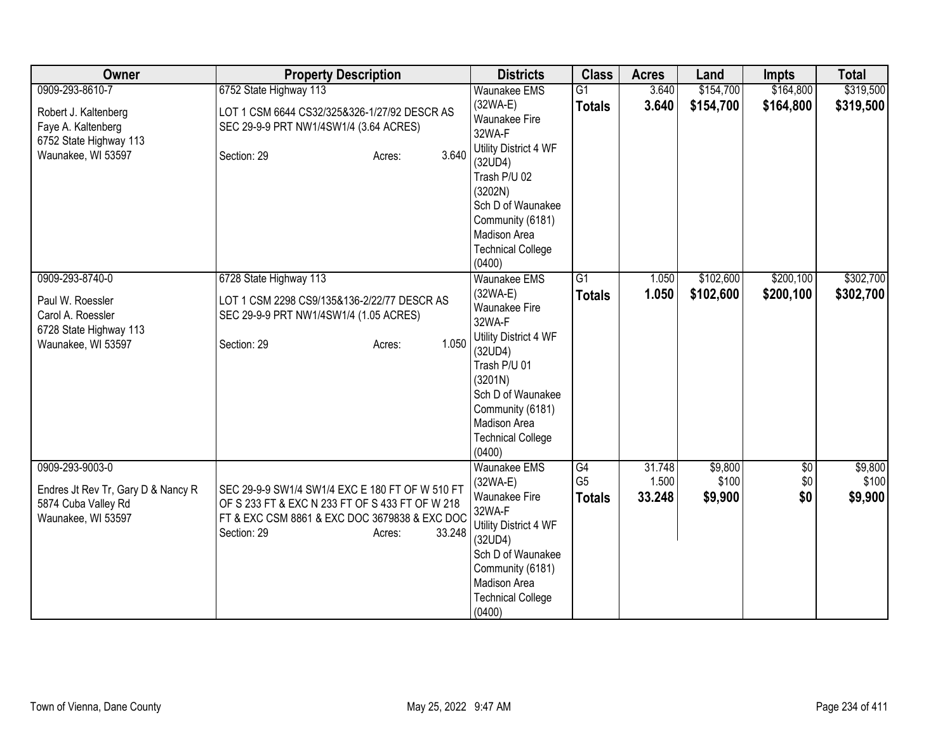| <b>Owner</b>                                                                                             | <b>Property Description</b>                                                                                                                                                            | <b>Districts</b>                                                                                                                                                                                          | <b>Class</b>                          | <b>Acres</b>              | Land                        | <b>Impts</b>           | <b>Total</b>                |
|----------------------------------------------------------------------------------------------------------|----------------------------------------------------------------------------------------------------------------------------------------------------------------------------------------|-----------------------------------------------------------------------------------------------------------------------------------------------------------------------------------------------------------|---------------------------------------|---------------------------|-----------------------------|------------------------|-----------------------------|
| 0909-293-8610-7                                                                                          | 6752 State Highway 113                                                                                                                                                                 | <b>Waunakee EMS</b>                                                                                                                                                                                       | G1                                    | 3.640                     | \$154,700                   | \$164,800              | \$319,500                   |
| Robert J. Kaltenberg<br>Faye A. Kaltenberg                                                               | LOT 1 CSM 6644 CS32/325&326-1/27/92 DESCR AS<br>SEC 29-9-9 PRT NW1/4SW1/4 (3.64 ACRES)                                                                                                 | $(32WA-E)$<br><b>Waunakee Fire</b><br>32WA-F                                                                                                                                                              | <b>Totals</b>                         | 3.640                     | \$154,700                   | \$164,800              | \$319,500                   |
| 6752 State Highway 113<br>Waunakee, WI 53597                                                             | 3.640<br>Section: 29<br>Acres:                                                                                                                                                         | Utility District 4 WF<br>(32UD4)<br>Trash P/U 02<br>(3202N)                                                                                                                                               |                                       |                           |                             |                        |                             |
|                                                                                                          |                                                                                                                                                                                        | Sch D of Waunakee<br>Community (6181)<br>Madison Area<br><b>Technical College</b><br>(0400)                                                                                                               |                                       |                           |                             |                        |                             |
| 0909-293-8740-0<br>Paul W. Roessler<br>Carol A. Roessler<br>6728 State Highway 113<br>Waunakee, WI 53597 | 6728 State Highway 113<br>LOT 1 CSM 2298 CS9/135&136-2/22/77 DESCR AS<br>SEC 29-9-9 PRT NW1/4SW1/4 (1.05 ACRES)<br>1.050<br>Section: 29<br>Acres:                                      | Waunakee EMS<br>$(32WA-E)$<br>Waunakee Fire<br>32WA-F<br>Utility District 4 WF<br>(32UD4)<br>Trash P/U 01<br>(3201N)<br>Sch D of Waunakee<br>Community (6181)<br>Madison Area<br><b>Technical College</b> | $\overline{G1}$<br><b>Totals</b>      | 1.050<br>1.050            | \$102,600<br>\$102,600      | \$200,100<br>\$200,100 | \$302,700<br>\$302,700      |
|                                                                                                          |                                                                                                                                                                                        | (0400)                                                                                                                                                                                                    |                                       |                           |                             |                        |                             |
| 0909-293-9003-0<br>Endres Jt Rev Tr, Gary D & Nancy R<br>5874 Cuba Valley Rd<br>Waunakee, WI 53597       | SEC 29-9-9 SW1/4 SW1/4 EXC E 180 FT OF W 510 FT<br>OF S 233 FT & EXC N 233 FT OF S 433 FT OF W 218<br>FT & EXC CSM 8861 & EXC DOC 3679838 & EXC DOC<br>33.248<br>Section: 29<br>Acres: | <b>Waunakee EMS</b><br>(32WA-E)<br>Waunakee Fire<br>32WA-F<br>Utility District 4 WF<br>(32UD4)<br>Sch D of Waunakee<br>Community (6181)<br>Madison Area                                                   | G4<br>G <sub>5</sub><br><b>Totals</b> | 31.748<br>1.500<br>33.248 | \$9,800<br>\$100<br>\$9,900 | \$0<br>\$0<br>\$0      | \$9,800<br>\$100<br>\$9,900 |
|                                                                                                          |                                                                                                                                                                                        | <b>Technical College</b><br>(0400)                                                                                                                                                                        |                                       |                           |                             |                        |                             |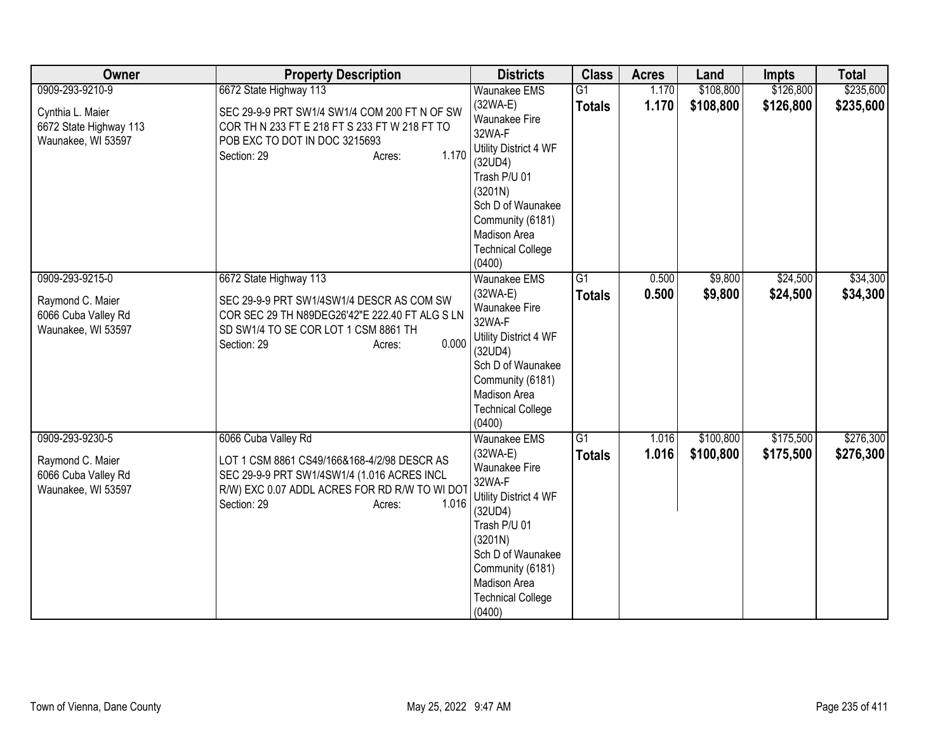| Owner                                                                               | <b>Property Description</b>                                                                                                                                                                          | <b>Districts</b>                                                                                                                                                                                                                  | <b>Class</b>        | <b>Acres</b>   | Land                   | <b>Impts</b>           | <b>Total</b>           |
|-------------------------------------------------------------------------------------|------------------------------------------------------------------------------------------------------------------------------------------------------------------------------------------------------|-----------------------------------------------------------------------------------------------------------------------------------------------------------------------------------------------------------------------------------|---------------------|----------------|------------------------|------------------------|------------------------|
| 0909-293-9210-9<br>Cynthia L. Maier<br>6672 State Highway 113<br>Waunakee, WI 53597 | 6672 State Highway 113<br>SEC 29-9-9 PRT SW1/4 SW1/4 COM 200 FT N OF SW<br>COR TH N 233 FT E 218 FT S 233 FT W 218 FT TO<br>POB EXC TO DOT IN DOC 3215693<br>1.170<br>Section: 29<br>Acres:          | <b>Waunakee EMS</b><br>$(32WA-E)$<br>Waunakee Fire<br>32WA-F<br>Utility District 4 WF<br>(32UD4)<br>Trash P/U 01<br>(3201N)<br>Sch D of Waunakee<br>Community (6181)<br>Madison Area<br><b>Technical College</b><br>(0400)        | G1<br><b>Totals</b> | 1.170<br>1.170 | \$108,800<br>\$108,800 | \$126,800<br>\$126,800 | \$235,600<br>\$235,600 |
| 0909-293-9215-0<br>Raymond C. Maier<br>6066 Cuba Valley Rd<br>Waunakee, WI 53597    | 6672 State Highway 113<br>SEC 29-9-9 PRT SW1/4SW1/4 DESCR AS COM SW<br>COR SEC 29 TH N89DEG26'42"E 222.40 FT ALG S LN<br>SD SW1/4 TO SE COR LOT 1 CSM 8861 TH<br>0.000<br>Section: 29<br>Acres:      | <b>Waunakee EMS</b><br>$(32WA-E)$<br>Waunakee Fire<br>32WA-F<br>Utility District 4 WF<br>(32UD4)<br>Sch D of Waunakee<br>Community (6181)<br>Madison Area<br><b>Technical College</b><br>(0400)                                   | G1<br><b>Totals</b> | 0.500<br>0.500 | \$9,800<br>\$9,800     | \$24,500<br>\$24,500   | \$34,300<br>\$34,300   |
| 0909-293-9230-5<br>Raymond C. Maier<br>6066 Cuba Valley Rd<br>Waunakee, WI 53597    | 6066 Cuba Valley Rd<br>LOT 1 CSM 8861 CS49/166&168-4/2/98 DESCR AS<br>SEC 29-9-9 PRT SW1/4SW1/4 (1.016 ACRES INCL<br>R/W) EXC 0.07 ADDL ACRES FOR RD R/W TO WI DOT<br>1.016<br>Section: 29<br>Acres: | <b>Waunakee EMS</b><br>$(32WA-E)$<br><b>Waunakee Fire</b><br>32WA-F<br>Utility District 4 WF<br>(32UD4)<br>Trash P/U 01<br>(3201N)<br>Sch D of Waunakee<br>Community (6181)<br>Madison Area<br><b>Technical College</b><br>(0400) | G1<br><b>Totals</b> | 1.016<br>1.016 | \$100,800<br>\$100,800 | \$175,500<br>\$175,500 | \$276,300<br>\$276,300 |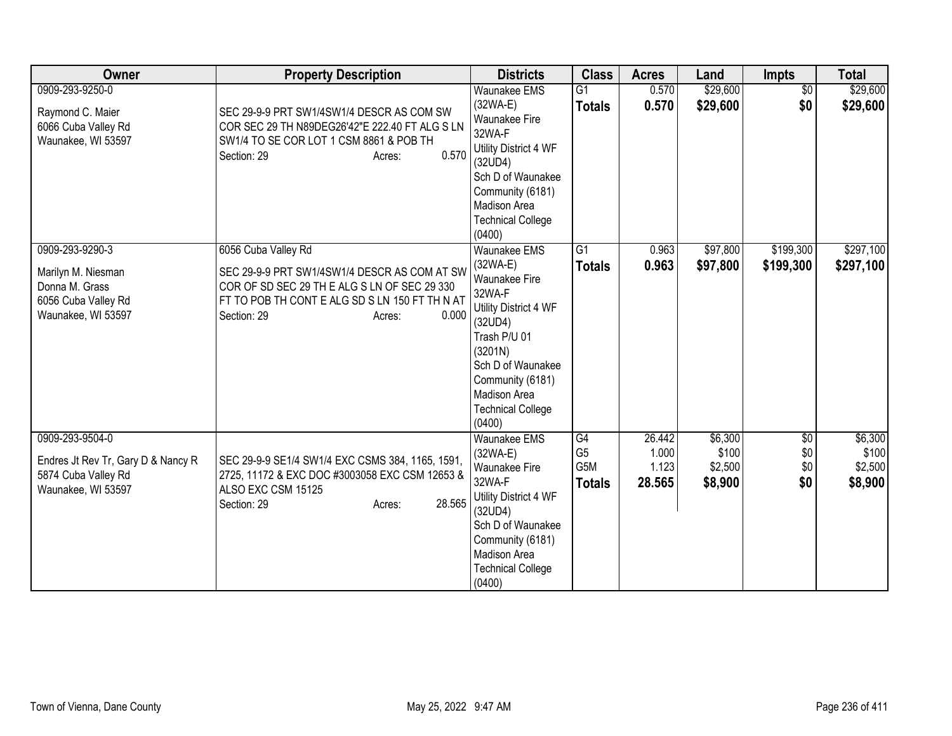| Owner                                                                                                | <b>Property Description</b>                                                                                                                                                                             | <b>Districts</b>                                                                                                                                                                                                    | <b>Class</b>                                 | <b>Acres</b>                       | Land                                   | <b>Impts</b>             | <b>Total</b>                           |
|------------------------------------------------------------------------------------------------------|---------------------------------------------------------------------------------------------------------------------------------------------------------------------------------------------------------|---------------------------------------------------------------------------------------------------------------------------------------------------------------------------------------------------------------------|----------------------------------------------|------------------------------------|----------------------------------------|--------------------------|----------------------------------------|
| 0909-293-9250-0<br>Raymond C. Maier<br>6066 Cuba Valley Rd<br>Waunakee, WI 53597                     | SEC 29-9-9 PRT SW1/4SW1/4 DESCR AS COM SW<br>COR SEC 29 TH N89DEG26'42"E 222.40 FT ALG S LN<br>SW1/4 TO SE COR LOT 1 CSM 8861 & POB TH<br>0.570<br>Section: 29<br>Acres:                                | <b>Waunakee EMS</b><br>$(32WA-E)$<br>Waunakee Fire<br>32WA-F<br>Utility District 4 WF<br>(32UD4)<br>Sch D of Waunakee<br>Community (6181)<br>Madison Area<br><b>Technical College</b><br>(0400)                     | $\overline{G1}$<br><b>Totals</b>             | 0.570<br>0.570                     | \$29,600<br>\$29,600                   | $\overline{60}$<br>\$0   | \$29,600<br>\$29,600                   |
| 0909-293-9290-3<br>Marilyn M. Niesman<br>Donna M. Grass<br>6056 Cuba Valley Rd<br>Waunakee, WI 53597 | 6056 Cuba Valley Rd<br>SEC 29-9-9 PRT SW1/4SW1/4 DESCR AS COM AT SW<br>COR OF SD SEC 29 TH E ALG S LN OF SEC 29 330<br>FT TO POB TH CONT E ALG SD S LN 150 FT TH N AT<br>0.000<br>Section: 29<br>Acres: | Waunakee EMS<br>$(32WA-E)$<br>Waunakee Fire<br>32WA-F<br>Utility District 4 WF<br>(32UD4)<br>Trash P/U 01<br>(3201N)<br>Sch D of Waunakee<br>Community (6181)<br>Madison Area<br><b>Technical College</b><br>(0400) | $\overline{G1}$<br><b>Totals</b>             | 0.963<br>0.963                     | \$97,800<br>\$97,800                   | \$199,300<br>\$199,300   | \$297,100<br>\$297,100                 |
| 0909-293-9504-0<br>Endres Jt Rev Tr, Gary D & Nancy R<br>5874 Cuba Valley Rd<br>Waunakee, WI 53597   | SEC 29-9-9 SE1/4 SW1/4 EXC CSMS 384, 1165, 1591,<br>2725, 11172 & EXC DOC #3003058 EXC CSM 12653 &<br>ALSO EXC CSM 15125<br>28.565<br>Section: 29<br>Acres:                                             | <b>Waunakee EMS</b><br>$(32WA-E)$<br>Waunakee Fire<br>32WA-F<br>Utility District 4 WF<br>(32UD4)<br>Sch D of Waunakee<br>Community (6181)<br>Madison Area<br><b>Technical College</b><br>(0400)                     | G4<br>G <sub>5</sub><br>G5M<br><b>Totals</b> | 26.442<br>1.000<br>1.123<br>28.565 | \$6,300<br>\$100<br>\$2,500<br>\$8,900 | \$0<br>\$0<br>\$0<br>\$0 | \$6,300<br>\$100<br>\$2,500<br>\$8,900 |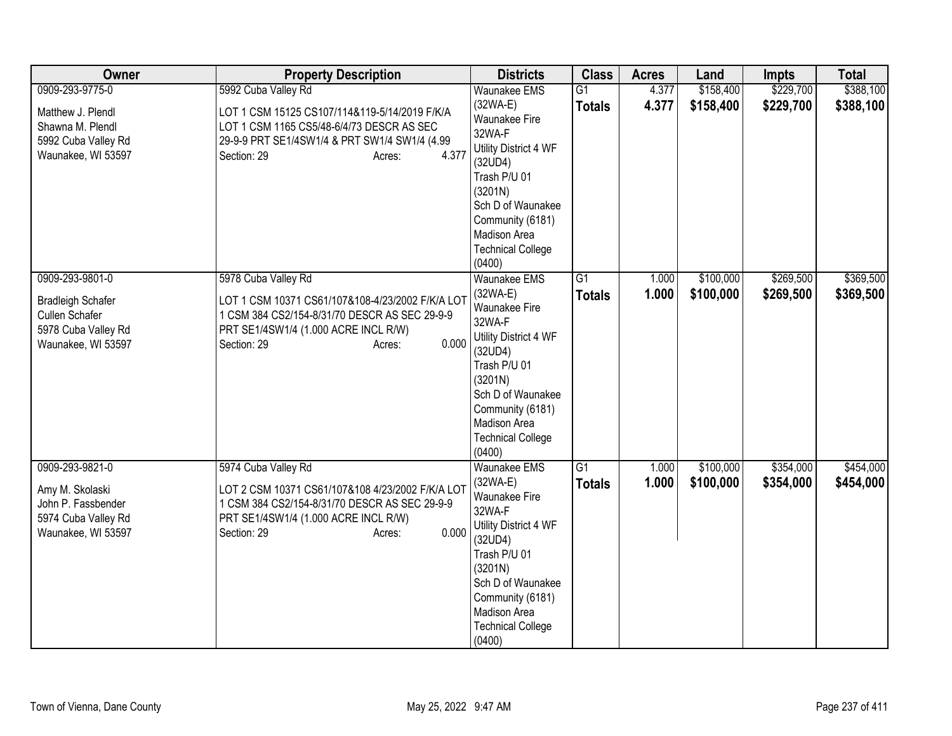| Owner                                                                                                      | <b>Property Description</b>                                                                                                                                                                        | <b>Districts</b>                                                                                                                                                                                                           | <b>Class</b>                     | <b>Acres</b>   | Land                   | <b>Impts</b>           | <b>Total</b>           |
|------------------------------------------------------------------------------------------------------------|----------------------------------------------------------------------------------------------------------------------------------------------------------------------------------------------------|----------------------------------------------------------------------------------------------------------------------------------------------------------------------------------------------------------------------------|----------------------------------|----------------|------------------------|------------------------|------------------------|
| 0909-293-9775-0                                                                                            | 5992 Cuba Valley Rd                                                                                                                                                                                | <b>Waunakee EMS</b>                                                                                                                                                                                                        | $\overline{G1}$                  | 4.377          | \$158,400              | \$229,700              | \$388,100              |
| Matthew J. Plendl<br>Shawna M. Plendl<br>5992 Cuba Valley Rd<br>Waunakee, WI 53597                         | LOT 1 CSM 15125 CS107/114&119-5/14/2019 F/K/A<br>LOT 1 CSM 1165 CS5/48-6/4/73 DESCR AS SEC<br>29-9-9 PRT SE1/4SW1/4 & PRT SW1/4 SW1/4 (4.99<br>4.377<br>Section: 29<br>Acres:                      | $(32WA-E)$<br>Waunakee Fire<br>32WA-F<br>Utility District 4 WF<br>(32UD4)<br>Trash P/U 01<br>(3201N)<br>Sch D of Waunakee<br>Community (6181)<br>Madison Area<br><b>Technical College</b><br>(0400)                        | <b>Totals</b>                    | 4.377          | \$158,400              | \$229,700              | \$388,100              |
| 0909-293-9801-0<br><b>Bradleigh Schafer</b><br>Cullen Schafer<br>5978 Cuba Valley Rd<br>Waunakee, WI 53597 | 5978 Cuba Valley Rd<br>LOT 1 CSM 10371 CS61/107&108-4/23/2002 F/K/A LOT<br>1 CSM 384 CS2/154-8/31/70 DESCR AS SEC 29-9-9<br>PRT SE1/4SW1/4 (1.000 ACRE INCL R/W)<br>0.000<br>Section: 29<br>Acres: | <b>Waunakee EMS</b><br>$(32WA-E)$<br>Waunakee Fire<br>32WA-F<br>Utility District 4 WF<br>(32UD4)<br>Trash P/U 01<br>(3201N)<br>Sch D of Waunakee<br>Community (6181)<br>Madison Area<br><b>Technical College</b><br>(0400) | $\overline{G1}$<br><b>Totals</b> | 1.000<br>1.000 | \$100,000<br>\$100,000 | \$269,500<br>\$269,500 | \$369,500<br>\$369,500 |
| 0909-293-9821-0<br>Amy M. Skolaski<br>John P. Fassbender<br>5974 Cuba Valley Rd<br>Waunakee, WI 53597      | 5974 Cuba Valley Rd<br>LOT 2 CSM 10371 CS61/107&108 4/23/2002 F/K/A LOT<br>1 CSM 384 CS2/154-8/31/70 DESCR AS SEC 29-9-9<br>PRT SE1/4SW1/4 (1.000 ACRE INCL R/W)<br>0.000<br>Section: 29<br>Acres: | Waunakee EMS<br>(32WA-E)<br>Waunakee Fire<br>32WA-F<br>Utility District 4 WF<br>(32UD4)<br>Trash P/U 01<br>(3201N)<br>Sch D of Waunakee<br>Community (6181)<br>Madison Area<br><b>Technical College</b><br>(0400)          | $\overline{G1}$<br><b>Totals</b> | 1.000<br>1.000 | \$100,000<br>\$100,000 | \$354,000<br>\$354,000 | \$454,000<br>\$454,000 |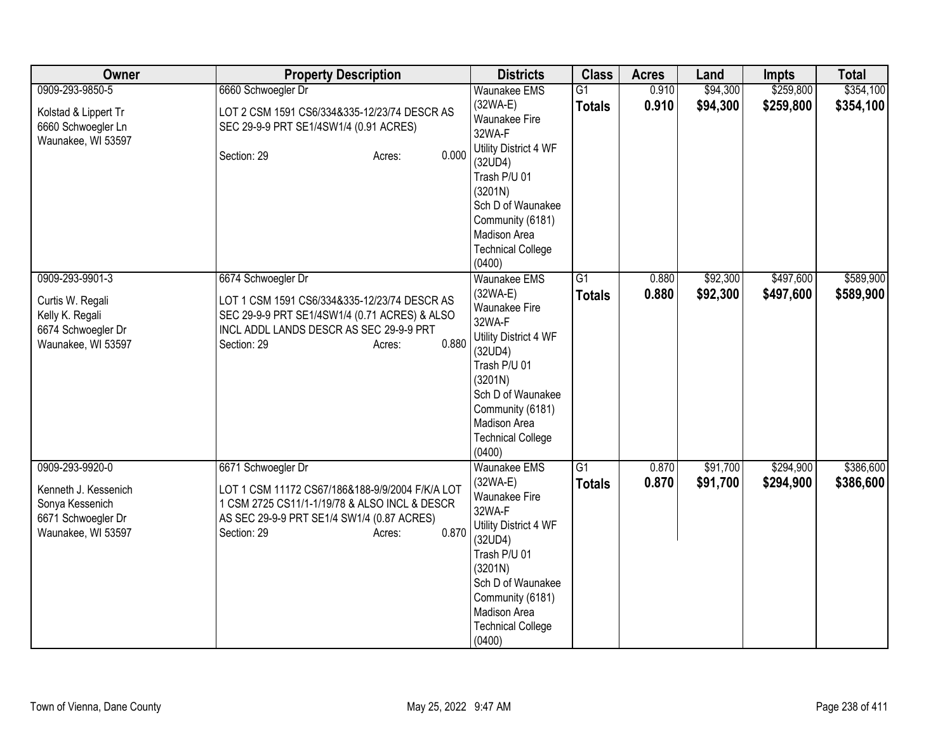| Owner                                                                                                  | <b>Property Description</b>                                                                                                                                                                            | <b>Districts</b>                                                                                                                                                                                                                | <b>Class</b>                     | <b>Acres</b>   | Land                 | <b>Impts</b>           | <b>Total</b>           |
|--------------------------------------------------------------------------------------------------------|--------------------------------------------------------------------------------------------------------------------------------------------------------------------------------------------------------|---------------------------------------------------------------------------------------------------------------------------------------------------------------------------------------------------------------------------------|----------------------------------|----------------|----------------------|------------------------|------------------------|
| 0909-293-9850-5                                                                                        | 6660 Schwoegler Dr                                                                                                                                                                                     | <b>Waunakee EMS</b>                                                                                                                                                                                                             | $\overline{G1}$                  | 0.910          | \$94,300             | \$259,800              | \$354,100              |
| Kolstad & Lippert Tr<br>6660 Schwoegler Ln<br>Waunakee, WI 53597                                       | LOT 2 CSM 1591 CS6/334&335-12/23/74 DESCR AS<br>SEC 29-9-9 PRT SE1/4SW1/4 (0.91 ACRES)<br>0.000<br>Section: 29<br>Acres:                                                                               | $(32WA-E)$<br>Waunakee Fire<br>32WA-F<br>Utility District 4 WF<br>(32UD4)<br>Trash P/U 01<br>(3201N)<br>Sch D of Waunakee                                                                                                       | <b>Totals</b>                    | 0.910          | \$94,300             | \$259,800              | \$354,100              |
|                                                                                                        |                                                                                                                                                                                                        | Community (6181)<br>Madison Area<br><b>Technical College</b><br>(0400)                                                                                                                                                          |                                  |                |                      |                        |                        |
| 0909-293-9901-3<br>Curtis W. Regali<br>Kelly K. Regali<br>6674 Schwoegler Dr<br>Waunakee, WI 53597     | 6674 Schwoegler Dr<br>LOT 1 CSM 1591 CS6/334&335-12/23/74 DESCR AS<br>SEC 29-9-9 PRT SE1/4SW1/4 (0.71 ACRES) & ALSO<br>INCL ADDL LANDS DESCR AS SEC 29-9-9 PRT<br>0.880<br>Section: 29<br>Acres:       | <b>Waunakee EMS</b><br>$(32WA-E)$<br>Waunakee Fire<br>32WA-F<br>Utility District 4 WF<br>(32UD4)<br>Trash P/U 01<br>(3201N)<br>Sch D of Waunakee<br>Community (6181)<br>Madison Area<br><b>Technical College</b><br>(0400)      | $\overline{G1}$<br><b>Totals</b> | 0.880<br>0.880 | \$92,300<br>\$92,300 | \$497,600<br>\$497,600 | \$589,900<br>\$589,900 |
| 0909-293-9920-0<br>Kenneth J. Kessenich<br>Sonya Kessenich<br>6671 Schwoegler Dr<br>Waunakee, WI 53597 | 6671 Schwoegler Dr<br>LOT 1 CSM 11172 CS67/186&188-9/9/2004 F/K/A LOT<br>1 CSM 2725 CS11/1-1/19/78 & ALSO INCL & DESCR<br>AS SEC 29-9-9 PRT SE1/4 SW1/4 (0.87 ACRES)<br>0.870<br>Section: 29<br>Acres: | <b>Waunakee EMS</b><br>(32WA-E)<br><b>Waunakee Fire</b><br>32WA-F<br>Utility District 4 WF<br>(32UD4)<br>Trash P/U 01<br>(3201N)<br>Sch D of Waunakee<br>Community (6181)<br>Madison Area<br><b>Technical College</b><br>(0400) | G1<br><b>Totals</b>              | 0.870<br>0.870 | \$91,700<br>\$91,700 | \$294,900<br>\$294,900 | \$386,600<br>\$386,600 |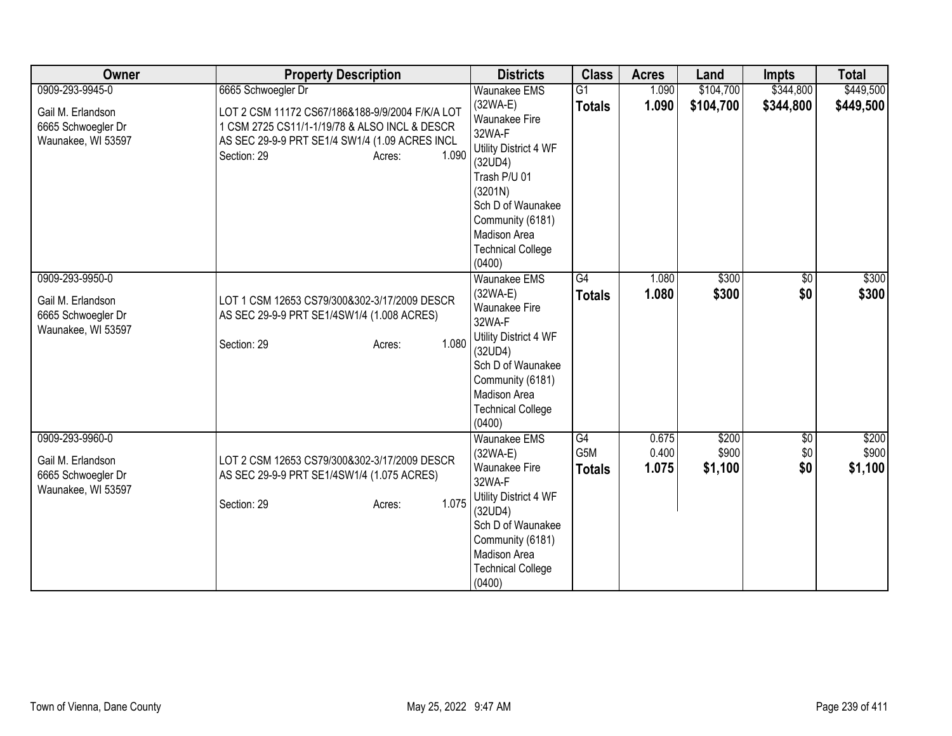| Owner              | <b>Property Description</b>                     | <b>Districts</b>                 | <b>Class</b>    | <b>Acres</b> | Land      | <b>Impts</b>    | <b>Total</b> |
|--------------------|-------------------------------------------------|----------------------------------|-----------------|--------------|-----------|-----------------|--------------|
| 0909-293-9945-0    | 6665 Schwoegler Dr                              | <b>Waunakee EMS</b>              | $\overline{G1}$ | 1.090        | \$104,700 | \$344,800       | \$449,500    |
| Gail M. Erlandson  | LOT 2 CSM 11172 CS67/186&188-9/9/2004 F/K/A LOT | $(32WA-E)$                       | <b>Totals</b>   | 1.090        | \$104,700 | \$344,800       | \$449,500    |
| 6665 Schwoegler Dr | 1 CSM 2725 CS11/1-1/19/78 & ALSO INCL & DESCR   | <b>Waunakee Fire</b>             |                 |              |           |                 |              |
| Waunakee, WI 53597 | AS SEC 29-9-9 PRT SE1/4 SW1/4 (1.09 ACRES INCL  | 32WA-F                           |                 |              |           |                 |              |
|                    | 1.090<br>Section: 29<br>Acres:                  | Utility District 4 WF            |                 |              |           |                 |              |
|                    |                                                 | (32UD4)<br>Trash P/U 01          |                 |              |           |                 |              |
|                    |                                                 | (3201N)                          |                 |              |           |                 |              |
|                    |                                                 | Sch D of Waunakee                |                 |              |           |                 |              |
|                    |                                                 | Community (6181)                 |                 |              |           |                 |              |
|                    |                                                 | <b>Madison Area</b>              |                 |              |           |                 |              |
|                    |                                                 | <b>Technical College</b>         |                 |              |           |                 |              |
|                    |                                                 | (0400)                           |                 |              |           |                 |              |
| 0909-293-9950-0    |                                                 | <b>Waunakee EMS</b>              | $\overline{G4}$ | 1.080        | \$300     | $\overline{50}$ | \$300        |
| Gail M. Erlandson  | LOT 1 CSM 12653 CS79/300&302-3/17/2009 DESCR    | $(32WA-E)$                       | <b>Totals</b>   | 1.080        | \$300     | \$0             | \$300        |
| 6665 Schwoegler Dr | AS SEC 29-9-9 PRT SE1/4SW1/4 (1.008 ACRES)      | <b>Waunakee Fire</b>             |                 |              |           |                 |              |
| Waunakee, WI 53597 |                                                 | 32WA-F                           |                 |              |           |                 |              |
|                    | 1.080<br>Section: 29<br>Acres:                  | Utility District 4 WF            |                 |              |           |                 |              |
|                    |                                                 | (32UD4)<br>Sch D of Waunakee     |                 |              |           |                 |              |
|                    |                                                 | Community (6181)                 |                 |              |           |                 |              |
|                    |                                                 | Madison Area                     |                 |              |           |                 |              |
|                    |                                                 | <b>Technical College</b>         |                 |              |           |                 |              |
|                    |                                                 | (0400)                           |                 |              |           |                 |              |
| 0909-293-9960-0    |                                                 | <b>Waunakee EMS</b>              | G4              | 0.675        | \$200     | \$0             | \$200        |
| Gail M. Erlandson  | LOT 2 CSM 12653 CS79/300&302-3/17/2009 DESCR    | $(32WA-E)$                       | G5M             | 0.400        | \$900     | \$0             | \$900        |
| 6665 Schwoegler Dr | AS SEC 29-9-9 PRT SE1/4SW1/4 (1.075 ACRES)      | <b>Waunakee Fire</b>             | <b>Totals</b>   | 1.075        | \$1,100   | \$0             | \$1,100      |
| Waunakee, WI 53597 |                                                 | 32WA-F                           |                 |              |           |                 |              |
|                    | 1.075<br>Section: 29<br>Acres:                  | Utility District 4 WF            |                 |              |           |                 |              |
|                    |                                                 | (32UD4)                          |                 |              |           |                 |              |
|                    |                                                 | Sch D of Waunakee                |                 |              |           |                 |              |
|                    |                                                 | Community (6181)<br>Madison Area |                 |              |           |                 |              |
|                    |                                                 | <b>Technical College</b>         |                 |              |           |                 |              |
|                    |                                                 | (0400)                           |                 |              |           |                 |              |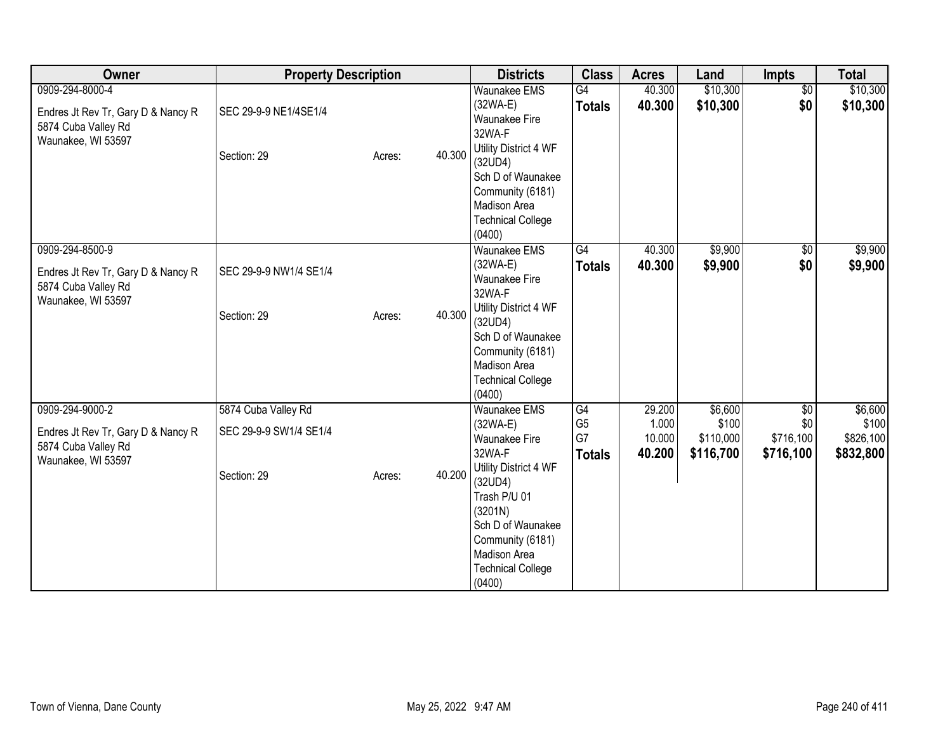| Owner                                                                                              | <b>Property Description</b>                   |        |        | <b>Districts</b>                                                                                                                                 | <b>Class</b>                                | <b>Acres</b>                        | Land                                       | <b>Impts</b>                         | <b>Total</b>                               |
|----------------------------------------------------------------------------------------------------|-----------------------------------------------|--------|--------|--------------------------------------------------------------------------------------------------------------------------------------------------|---------------------------------------------|-------------------------------------|--------------------------------------------|--------------------------------------|--------------------------------------------|
| 0909-294-8000-4<br>Endres Jt Rev Tr, Gary D & Nancy R<br>5874 Cuba Valley Rd<br>Waunakee, WI 53597 | SEC 29-9-9 NE1/4SE1/4<br>Section: 29          | Acres: | 40.300 | <b>Waunakee EMS</b><br>$(32WA-E)$<br><b>Waunakee Fire</b><br>32WA-F<br>Utility District 4 WF<br>(32UD4)<br>Sch D of Waunakee<br>Community (6181) | $\overline{G4}$<br><b>Totals</b>            | 40.300<br>40.300                    | \$10,300<br>\$10,300                       | $\sqrt{6}$<br>\$0                    | \$10,300<br>\$10,300                       |
|                                                                                                    |                                               |        |        | Madison Area<br><b>Technical College</b><br>(0400)                                                                                               |                                             |                                     |                                            |                                      |                                            |
| 0909-294-8500-9<br>Endres Jt Rev Tr, Gary D & Nancy R<br>5874 Cuba Valley Rd<br>Waunakee, WI 53597 | SEC 29-9-9 NW1/4 SE1/4<br>Section: 29         | Acres: | 40.300 | <b>Waunakee EMS</b><br>$(32WA-E)$<br>Waunakee Fire<br>32WA-F<br>Utility District 4 WF<br>(32UD4)<br>Sch D of Waunakee                            | G4<br><b>Totals</b>                         | 40.300<br>40.300                    | \$9,900<br>\$9,900                         | $\sqrt{$0}$<br>\$0                   | \$9,900<br>\$9,900                         |
|                                                                                                    |                                               |        |        | Community (6181)<br>Madison Area<br><b>Technical College</b><br>(0400)                                                                           |                                             |                                     |                                            |                                      |                                            |
| 0909-294-9000-2<br>Endres Jt Rev Tr, Gary D & Nancy R<br>5874 Cuba Valley Rd<br>Waunakee, WI 53597 | 5874 Cuba Valley Rd<br>SEC 29-9-9 SW1/4 SE1/4 |        | 40.200 | <b>Waunakee EMS</b><br>(32WA-E)<br>Waunakee Fire<br>32WA-F<br>Utility District 4 WF                                                              | G4<br>G <sub>5</sub><br>G7<br><b>Totals</b> | 29.200<br>1.000<br>10.000<br>40.200 | \$6,600<br>\$100<br>\$110,000<br>\$116,700 | \$0<br>\$0<br>\$716,100<br>\$716,100 | \$6,600<br>\$100<br>\$826,100<br>\$832,800 |
|                                                                                                    | Section: 29                                   | Acres: |        | (32UD4)<br>Trash P/U 01<br>(3201N)<br>Sch D of Waunakee<br>Community (6181)<br>Madison Area<br><b>Technical College</b><br>(0400)                |                                             |                                     |                                            |                                      |                                            |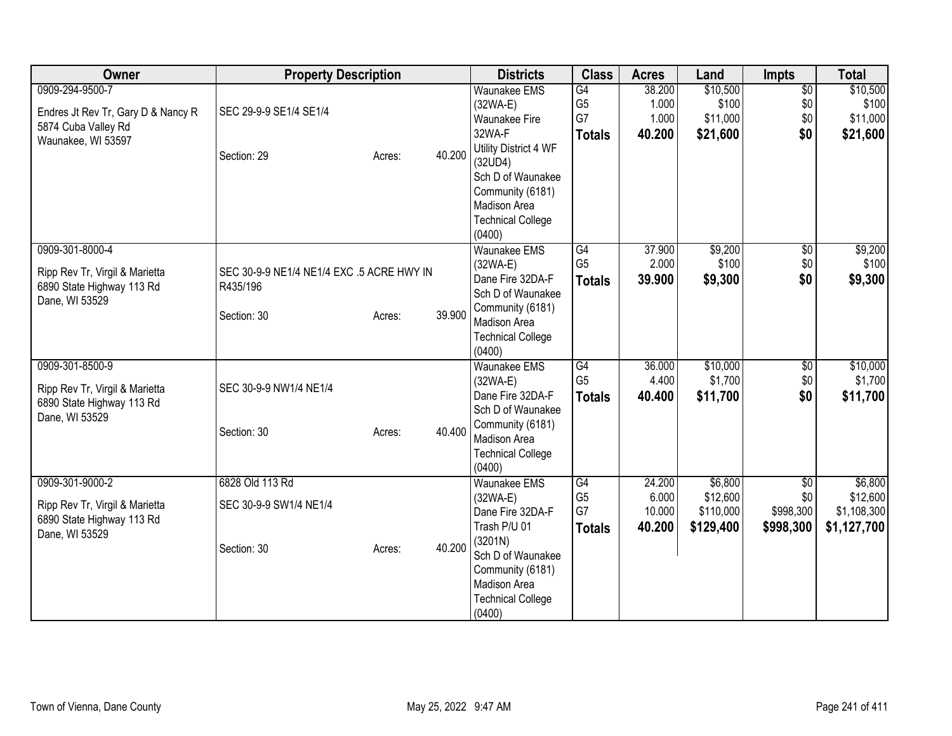| Owner                              | <b>Property Description</b>               |        |        | <b>Districts</b>                   | <b>Class</b>         | <b>Acres</b>   | Land              | Impts           | <b>Total</b>      |
|------------------------------------|-------------------------------------------|--------|--------|------------------------------------|----------------------|----------------|-------------------|-----------------|-------------------|
| 0909-294-9500-7                    |                                           |        |        | <b>Waunakee EMS</b>                | G4<br>G <sub>5</sub> | 38.200         | \$10,500<br>\$100 | $\overline{50}$ | \$10,500<br>\$100 |
| Endres Jt Rev Tr, Gary D & Nancy R | SEC 29-9-9 SE1/4 SE1/4                    |        |        | $(32WA-E)$<br><b>Waunakee Fire</b> | G7                   | 1.000<br>1.000 | \$11,000          | \$0<br>\$0      | \$11,000          |
| 5874 Cuba Valley Rd                |                                           |        |        | 32WA-F                             | <b>Totals</b>        | 40.200         | \$21,600          | \$0             | \$21,600          |
| Waunakee, WI 53597                 |                                           |        |        | Utility District 4 WF              |                      |                |                   |                 |                   |
|                                    | Section: 29                               | Acres: | 40.200 | (32UD4)                            |                      |                |                   |                 |                   |
|                                    |                                           |        |        | Sch D of Waunakee                  |                      |                |                   |                 |                   |
|                                    |                                           |        |        | Community (6181)                   |                      |                |                   |                 |                   |
|                                    |                                           |        |        | Madison Area                       |                      |                |                   |                 |                   |
|                                    |                                           |        |        | <b>Technical College</b>           |                      |                |                   |                 |                   |
|                                    |                                           |        |        | (0400)                             |                      |                |                   |                 |                   |
| 0909-301-8000-4                    |                                           |        |        | <b>Waunakee EMS</b>                | G4                   | 37.900         | \$9,200           | $\sqrt{6}$      | \$9,200           |
| Ripp Rev Tr, Virgil & Marietta     | SEC 30-9-9 NE1/4 NE1/4 EXC .5 ACRE HWY IN |        |        | $(32WA-E)$                         | G <sub>5</sub>       | 2.000          | \$100             | \$0             | \$100             |
| 6890 State Highway 113 Rd          | R435/196                                  |        |        | Dane Fire 32DA-F                   | <b>Totals</b>        | 39.900         | \$9,300           | \$0             | \$9,300           |
| Dane, WI 53529                     |                                           |        |        | Sch D of Waunakee                  |                      |                |                   |                 |                   |
|                                    | Section: 30                               | Acres: | 39.900 | Community (6181)<br>Madison Area   |                      |                |                   |                 |                   |
|                                    |                                           |        |        | <b>Technical College</b>           |                      |                |                   |                 |                   |
|                                    |                                           |        |        | (0400)                             |                      |                |                   |                 |                   |
| 0909-301-8500-9                    |                                           |        |        | <b>Waunakee EMS</b>                | G4                   | 36.000         | \$10,000          | $\overline{50}$ | \$10,000          |
| Ripp Rev Tr, Virgil & Marietta     | SEC 30-9-9 NW1/4 NE1/4                    |        |        | $(32WA-E)$                         | G <sub>5</sub>       | 4.400          | \$1,700           | \$0             | \$1,700           |
| 6890 State Highway 113 Rd          |                                           |        |        | Dane Fire 32DA-F                   | <b>Totals</b>        | 40.400         | \$11,700          | \$0             | \$11,700          |
| Dane, WI 53529                     |                                           |        |        | Sch D of Waunakee                  |                      |                |                   |                 |                   |
|                                    | Section: 30                               | Acres: | 40.400 | Community (6181)                   |                      |                |                   |                 |                   |
|                                    |                                           |        |        | Madison Area                       |                      |                |                   |                 |                   |
|                                    |                                           |        |        | <b>Technical College</b><br>(0400) |                      |                |                   |                 |                   |
| 0909-301-9000-2                    | 6828 Old 113 Rd                           |        |        | <b>Waunakee EMS</b>                | G4                   | 24.200         | \$6,800           | $\overline{50}$ | \$6,800           |
|                                    |                                           |        |        | (32WA-E)                           | G <sub>5</sub>       | 6.000          | \$12,600          | \$0             | \$12,600          |
| Ripp Rev Tr, Virgil & Marietta     | SEC 30-9-9 SW1/4 NE1/4                    |        |        | Dane Fire 32DA-F                   | G7                   | 10.000         | \$110,000         | \$998,300       | \$1,108,300       |
| 6890 State Highway 113 Rd          |                                           |        |        | Trash P/U 01                       | <b>Totals</b>        | 40.200         | \$129,400         | \$998,300       | \$1,127,700       |
| Dane, WI 53529                     |                                           |        | 40.200 | (3201N)                            |                      |                |                   |                 |                   |
|                                    | Section: 30                               | Acres: |        | Sch D of Waunakee                  |                      |                |                   |                 |                   |
|                                    |                                           |        |        | Community (6181)                   |                      |                |                   |                 |                   |
|                                    |                                           |        |        | Madison Area                       |                      |                |                   |                 |                   |
|                                    |                                           |        |        | <b>Technical College</b>           |                      |                |                   |                 |                   |
|                                    |                                           |        |        | (0400)                             |                      |                |                   |                 |                   |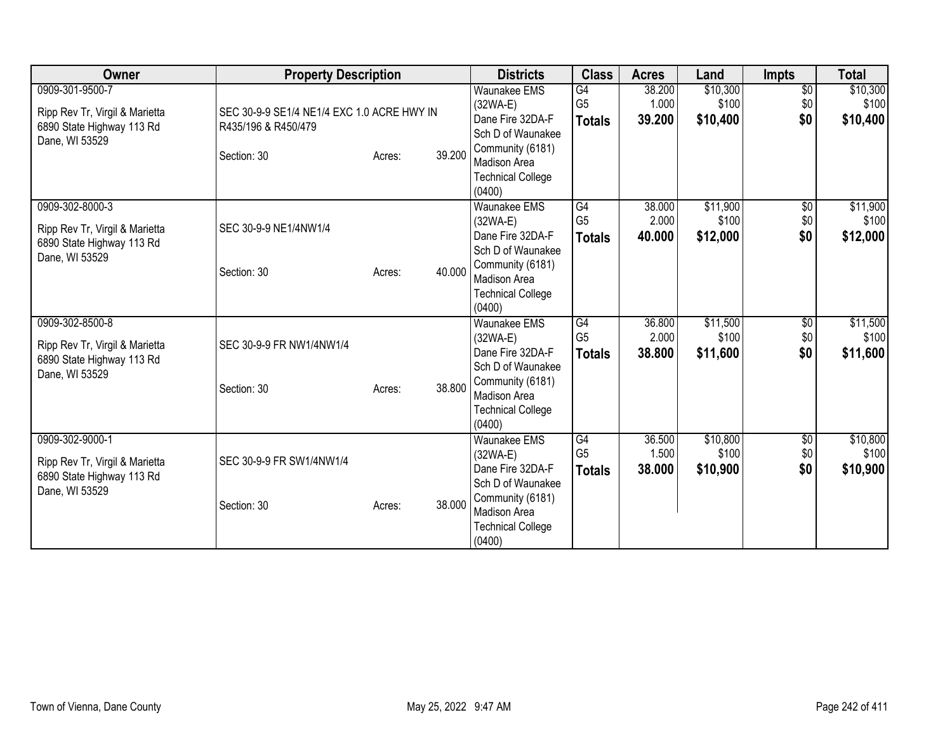| Owner                          | <b>Property Description</b>                |                  | <b>Districts</b>                   | <b>Class</b>   | <b>Acres</b> | Land     | Impts           | <b>Total</b> |
|--------------------------------|--------------------------------------------|------------------|------------------------------------|----------------|--------------|----------|-----------------|--------------|
| 0909-301-9500-7                |                                            |                  | <b>Waunakee EMS</b>                | G4             | 38.200       | \$10,300 | $\overline{60}$ | \$10,300     |
| Ripp Rev Tr, Virgil & Marietta | SEC 30-9-9 SE1/4 NE1/4 EXC 1.0 ACRE HWY IN |                  | $(32WA-E)$                         | G <sub>5</sub> | 1.000        | \$100    | \$0             | \$100        |
| 6890 State Highway 113 Rd      | R435/196 & R450/479                        |                  | Dane Fire 32DA-F                   | <b>Totals</b>  | 39.200       | \$10,400 | \$0             | \$10,400     |
| Dane, WI 53529                 |                                            |                  | Sch D of Waunakee                  |                |              |          |                 |              |
|                                | Section: 30                                | 39.200<br>Acres: | Community (6181)                   |                |              |          |                 |              |
|                                |                                            |                  | <b>Madison Area</b>                |                |              |          |                 |              |
|                                |                                            |                  | <b>Technical College</b>           |                |              |          |                 |              |
|                                |                                            |                  | (0400)                             |                |              |          |                 |              |
| 0909-302-8000-3                |                                            |                  | <b>Waunakee EMS</b>                | G4             | 38.000       | \$11,900 | $\sqrt{6}$      | \$11,900     |
| Ripp Rev Tr, Virgil & Marietta | SEC 30-9-9 NE1/4NW1/4                      |                  | $(32WA-E)$                         | G <sub>5</sub> | 2.000        | \$100    | \$0             | \$100        |
| 6890 State Highway 113 Rd      |                                            |                  | Dane Fire 32DA-F                   | <b>Totals</b>  | 40.000       | \$12,000 | \$0             | \$12,000     |
| Dane, WI 53529                 |                                            |                  | Sch D of Waunakee                  |                |              |          |                 |              |
|                                | Section: 30                                | 40.000<br>Acres: | Community (6181)                   |                |              |          |                 |              |
|                                |                                            |                  | <b>Madison Area</b>                |                |              |          |                 |              |
|                                |                                            |                  | <b>Technical College</b><br>(0400) |                |              |          |                 |              |
| 0909-302-8500-8                |                                            |                  | <b>Waunakee EMS</b>                | G4             | 36.800       | \$11,500 | \$0             | \$11,500     |
|                                |                                            |                  | $(32WA-E)$                         | G <sub>5</sub> | 2.000        | \$100    | \$0             | \$100        |
| Ripp Rev Tr, Virgil & Marietta | SEC 30-9-9 FR NW1/4NW1/4                   |                  | Dane Fire 32DA-F                   | <b>Totals</b>  | 38.800       | \$11,600 | \$0             | \$11,600     |
| 6890 State Highway 113 Rd      |                                            |                  | Sch D of Waunakee                  |                |              |          |                 |              |
| Dane, WI 53529                 |                                            |                  | Community (6181)                   |                |              |          |                 |              |
|                                | Section: 30                                | 38,800<br>Acres: | Madison Area                       |                |              |          |                 |              |
|                                |                                            |                  | <b>Technical College</b>           |                |              |          |                 |              |
|                                |                                            |                  | (0400)                             |                |              |          |                 |              |
| 0909-302-9000-1                |                                            |                  | <b>Waunakee EMS</b>                | G4             | 36.500       | \$10,800 | \$0             | \$10,800     |
|                                |                                            |                  | $(32WA-E)$                         | G <sub>5</sub> | 1.500        | \$100    | \$0             | \$100        |
| Ripp Rev Tr, Virgil & Marietta | SEC 30-9-9 FR SW1/4NW1/4                   |                  | Dane Fire 32DA-F                   | <b>Totals</b>  | 38.000       | \$10,900 | \$0             | \$10,900     |
| 6890 State Highway 113 Rd      |                                            |                  | Sch D of Waunakee                  |                |              |          |                 |              |
| Dane, WI 53529                 |                                            |                  | Community (6181)                   |                |              |          |                 |              |
|                                | Section: 30                                | 38.000<br>Acres: | Madison Area                       |                |              |          |                 |              |
|                                |                                            |                  | <b>Technical College</b>           |                |              |          |                 |              |
|                                |                                            |                  | (0400)                             |                |              |          |                 |              |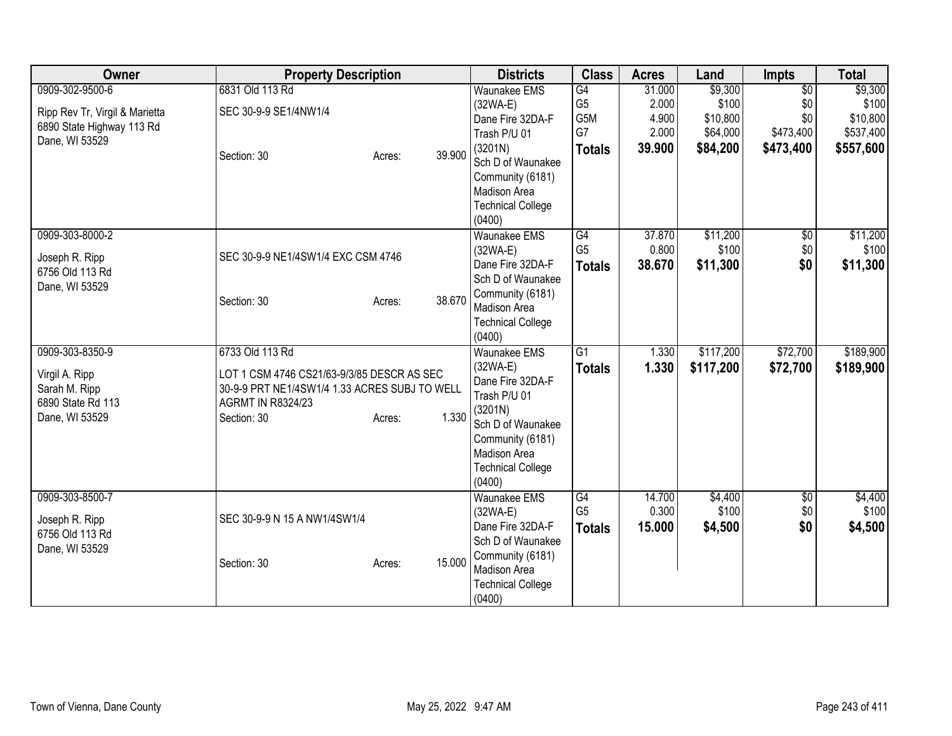| Owner                                                       | <b>Property Description</b>                   |                  | <b>Districts</b>                         | <b>Class</b>    | <b>Acres</b> | Land      | <b>Impts</b>    | <b>Total</b> |
|-------------------------------------------------------------|-----------------------------------------------|------------------|------------------------------------------|-----------------|--------------|-----------|-----------------|--------------|
| 0909-302-9500-6                                             | 6831 Old 113 Rd                               |                  | <b>Waunakee EMS</b>                      | $\overline{G4}$ | 31.000       | \$9,300   | $\overline{50}$ | \$9,300      |
|                                                             | SEC 30-9-9 SE1/4NW1/4                         |                  | $(32WA-E)$                               | G <sub>5</sub>  | 2.000        | \$100     | \$0             | \$100        |
| Ripp Rev Tr, Virgil & Marietta<br>6890 State Highway 113 Rd |                                               |                  | Dane Fire 32DA-F                         | G5M             | 4.900        | \$10,800  | \$0             | \$10,800     |
| Dane, WI 53529                                              |                                               |                  | Trash P/U 01                             | G7              | 2.000        | \$64,000  | \$473,400       | \$537,400    |
|                                                             | Section: 30                                   | 39.900<br>Acres: | (3201N)                                  | <b>Totals</b>   | 39.900       | \$84,200  | \$473,400       | \$557,600    |
|                                                             |                                               |                  | Sch D of Waunakee                        |                 |              |           |                 |              |
|                                                             |                                               |                  | Community (6181)                         |                 |              |           |                 |              |
|                                                             |                                               |                  | <b>Madison Area</b>                      |                 |              |           |                 |              |
|                                                             |                                               |                  | <b>Technical College</b>                 |                 |              |           |                 |              |
|                                                             |                                               |                  | (0400)                                   |                 |              |           |                 |              |
| 0909-303-8000-2                                             |                                               |                  | <b>Waunakee EMS</b>                      | G4              | 37.870       | \$11,200  | $\overline{50}$ | \$11,200     |
| Joseph R. Ripp                                              | SEC 30-9-9 NE1/4SW1/4 EXC CSM 4746            |                  | $(32WA-E)$                               | G <sub>5</sub>  | 0.800        | \$100     | \$0             | \$100        |
| 6756 Old 113 Rd                                             |                                               |                  | Dane Fire 32DA-F                         | <b>Totals</b>   | 38.670       | \$11,300  | \$0             | \$11,300     |
| Dane, WI 53529                                              |                                               |                  | Sch D of Waunakee                        |                 |              |           |                 |              |
|                                                             | Section: 30                                   | 38.670<br>Acres: | Community (6181)                         |                 |              |           |                 |              |
|                                                             |                                               |                  | Madison Area<br><b>Technical College</b> |                 |              |           |                 |              |
|                                                             |                                               |                  | (0400)                                   |                 |              |           |                 |              |
| 0909-303-8350-9                                             | 6733 Old 113 Rd                               |                  | <b>Waunakee EMS</b>                      | G1              | 1.330        | \$117,200 | \$72,700        | \$189,900    |
|                                                             |                                               |                  | $(32WA-E)$                               | <b>Totals</b>   | 1.330        | \$117,200 | \$72,700        | \$189,900    |
| Virgil A. Ripp                                              | LOT 1 CSM 4746 CS21/63-9/3/85 DESCR AS SEC    |                  | Dane Fire 32DA-F                         |                 |              |           |                 |              |
| Sarah M. Ripp                                               | 30-9-9 PRT NE1/4SW1/4 1.33 ACRES SUBJ TO WELL |                  | Trash P/U 01                             |                 |              |           |                 |              |
| 6890 State Rd 113                                           | <b>AGRMT IN R8324/23</b>                      |                  | (3201N)                                  |                 |              |           |                 |              |
| Dane, WI 53529                                              | Section: 30                                   | 1.330<br>Acres:  | Sch D of Waunakee                        |                 |              |           |                 |              |
|                                                             |                                               |                  | Community (6181)                         |                 |              |           |                 |              |
|                                                             |                                               |                  | <b>Madison Area</b>                      |                 |              |           |                 |              |
|                                                             |                                               |                  | <b>Technical College</b>                 |                 |              |           |                 |              |
|                                                             |                                               |                  | (0400)                                   |                 |              |           |                 |              |
| 0909-303-8500-7                                             |                                               |                  | <b>Waunakee EMS</b>                      | G4              | 14.700       | \$4,400   | $\overline{50}$ | \$4,400      |
| Joseph R. Ripp                                              | SEC 30-9-9 N 15 A NW1/4SW1/4                  |                  | (32WA-E)                                 | G <sub>5</sub>  | 0.300        | \$100     | \$0             | \$100        |
| 6756 Old 113 Rd                                             |                                               |                  | Dane Fire 32DA-F                         | <b>Totals</b>   | 15.000       | \$4,500   | \$0             | \$4,500      |
| Dane, WI 53529                                              |                                               |                  | Sch D of Waunakee                        |                 |              |           |                 |              |
|                                                             | Section: 30                                   | 15.000<br>Acres: | Community (6181)                         |                 |              |           |                 |              |
|                                                             |                                               |                  | <b>Madison Area</b>                      |                 |              |           |                 |              |
|                                                             |                                               |                  | <b>Technical College</b>                 |                 |              |           |                 |              |
|                                                             |                                               |                  | (0400)                                   |                 |              |           |                 |              |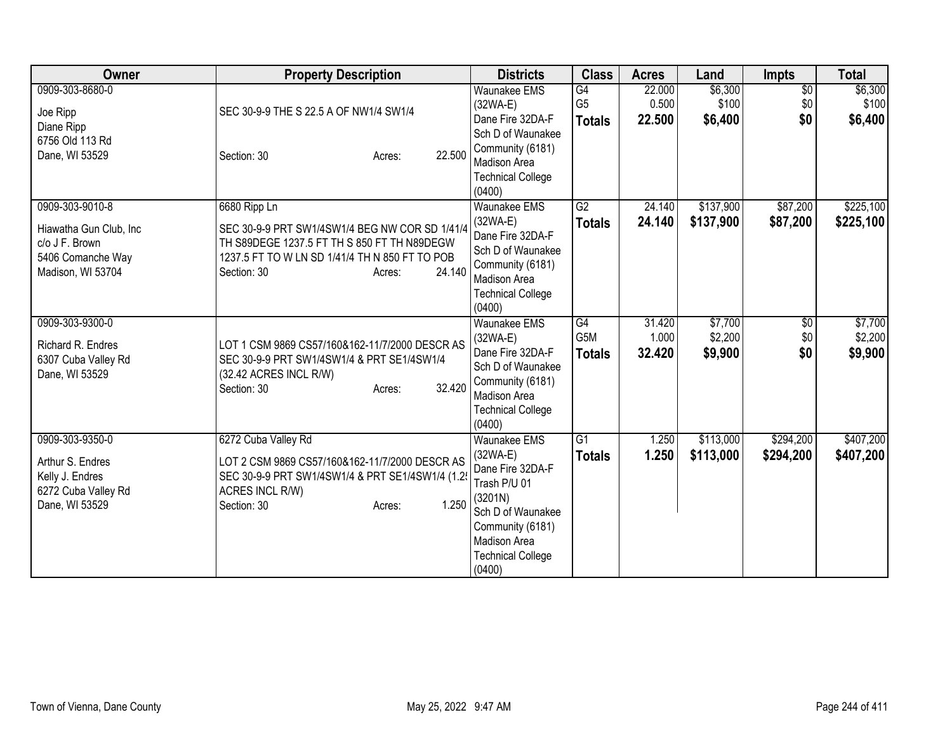| Owner                                                                                                 | <b>Property Description</b>                                                                                                                                                                        | <b>Districts</b>                                                                                                                                                                       | <b>Class</b>                          | <b>Acres</b>              | Land                          | <b>Impts</b>                  | <b>Total</b>                  |
|-------------------------------------------------------------------------------------------------------|----------------------------------------------------------------------------------------------------------------------------------------------------------------------------------------------------|----------------------------------------------------------------------------------------------------------------------------------------------------------------------------------------|---------------------------------------|---------------------------|-------------------------------|-------------------------------|-------------------------------|
| 0909-303-8680-0<br>Joe Ripp<br>Diane Ripp<br>6756 Old 113 Rd<br>Dane, WI 53529                        | SEC 30-9-9 THE S 22.5 A OF NW1/4 SW1/4<br>22.500<br>Section: 30<br>Acres:                                                                                                                          | <b>Waunakee EMS</b><br>$(32WA-E)$<br>Dane Fire 32DA-F<br>Sch D of Waunakee<br>Community (6181)<br>Madison Area<br><b>Technical College</b><br>(0400)                                   | G4<br>G <sub>5</sub><br><b>Totals</b> | 22.000<br>0.500<br>22.500 | \$6,300<br>\$100<br>\$6,400   | $\overline{60}$<br>\$0<br>\$0 | \$6,300<br>\$100<br>\$6,400   |
| 0909-303-9010-8<br>Hiawatha Gun Club, Inc<br>c/o J F. Brown<br>5406 Comanche Way<br>Madison, WI 53704 | 6680 Ripp Ln<br>SEC 30-9-9 PRT SW1/4SW1/4 BEG NW COR SD 1/41/4<br>TH S89DEGE 1237.5 FT TH S 850 FT TH N89DEGW<br>1237.5 FT TO W LN SD 1/41/4 TH N 850 FT TO POB<br>24.140<br>Section: 30<br>Acres: | Waunakee EMS<br>$(32WA-E)$<br>Dane Fire 32DA-F<br>Sch D of Waunakee<br>Community (6181)<br>Madison Area<br><b>Technical College</b><br>(0400)                                          | $\overline{G2}$<br><b>Totals</b>      | 24.140<br>24.140          | \$137,900<br>\$137,900        | \$87,200<br>\$87,200          | \$225,100<br>\$225,100        |
| 0909-303-9300-0<br>Richard R. Endres<br>6307 Cuba Valley Rd<br>Dane, WI 53529                         | LOT 1 CSM 9869 CS57/160&162-11/7/2000 DESCR AS<br>SEC 30-9-9 PRT SW1/4SW1/4 & PRT SE1/4SW1/4<br>(32.42 ACRES INCL R/W)<br>32.420<br>Section: 30<br>Acres:                                          | <b>Waunakee EMS</b><br>$(32WA-E)$<br>Dane Fire 32DA-F<br>Sch D of Waunakee<br>Community (6181)<br><b>Madison Area</b><br><b>Technical College</b><br>(0400)                            | G4<br>G5M<br><b>Totals</b>            | 31.420<br>1.000<br>32.420 | \$7,700<br>\$2,200<br>\$9,900 | $\overline{60}$<br>\$0<br>\$0 | \$7,700<br>\$2,200<br>\$9,900 |
| 0909-303-9350-0<br>Arthur S. Endres<br>Kelly J. Endres<br>6272 Cuba Valley Rd<br>Dane, WI 53529       | 6272 Cuba Valley Rd<br>LOT 2 CSM 9869 CS57/160&162-11/7/2000 DESCR AS<br>SEC 30-9-9 PRT SW1/4SW1/4 & PRT SE1/4SW1/4 (1.2<br>ACRES INCL R/W)<br>1.250<br>Section: 30<br>Acres:                      | <b>Waunakee EMS</b><br>$(32WA-E)$<br>Dane Fire 32DA-F<br>Trash P/U 01<br>(3201N)<br>Sch D of Waunakee<br>Community (6181)<br><b>Madison Area</b><br><b>Technical College</b><br>(0400) | G1<br><b>Totals</b>                   | 1.250<br>1.250            | \$113,000<br>\$113,000        | \$294,200<br>\$294,200        | \$407,200<br>\$407,200        |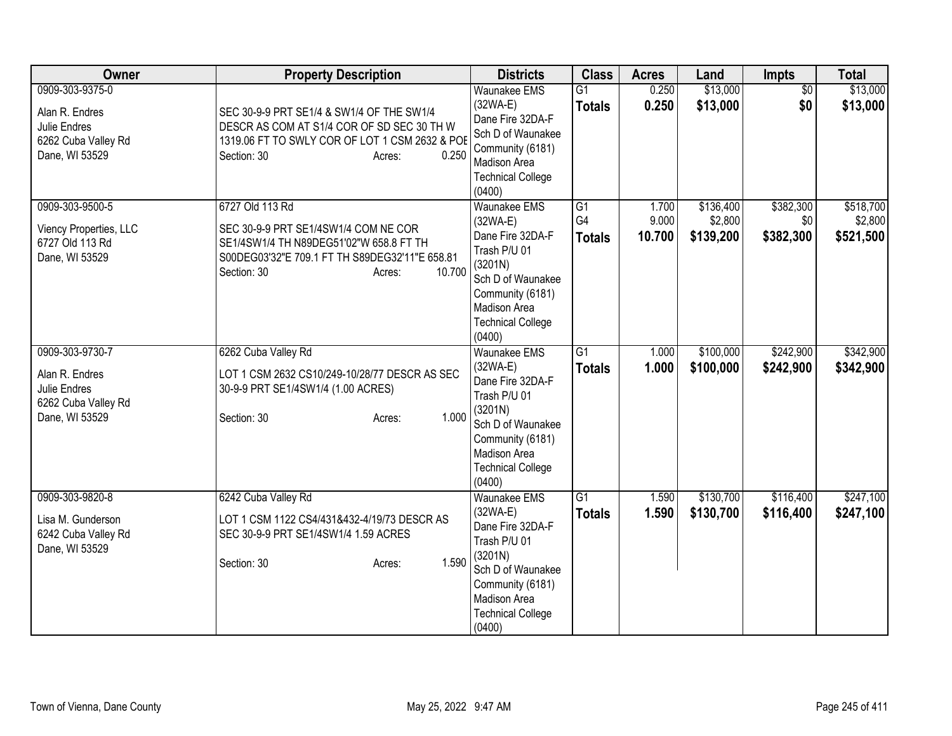| Owner                                                                                      | <b>Property Description</b>                                                                                                                                                             | <b>Districts</b>                                                                                                                                                                | <b>Class</b>                          | <b>Acres</b>             | Land                              | <b>Impts</b>                  | <b>Total</b>                      |
|--------------------------------------------------------------------------------------------|-----------------------------------------------------------------------------------------------------------------------------------------------------------------------------------------|---------------------------------------------------------------------------------------------------------------------------------------------------------------------------------|---------------------------------------|--------------------------|-----------------------------------|-------------------------------|-----------------------------------|
| 0909-303-9375-0<br>Alan R. Endres<br>Julie Endres<br>6262 Cuba Valley Rd<br>Dane, WI 53529 | SEC 30-9-9 PRT SE1/4 & SW1/4 OF THE SW1/4<br>DESCR AS COM AT S1/4 COR OF SD SEC 30 TH W<br>1319.06 FT TO SWLY COR OF LOT 1 CSM 2632 & POE<br>0.250<br>Section: 30<br>Acres:             | <b>Waunakee EMS</b><br>$(32WA-E)$<br>Dane Fire 32DA-F<br>Sch D of Waunakee<br>Community (6181)<br>Madison Area<br><b>Technical College</b><br>(0400)                            | G1<br><b>Totals</b>                   | 0.250<br>0.250           | \$13,000<br>\$13,000              | $\overline{50}$<br>\$0        | \$13,000<br>\$13,000              |
| 0909-303-9500-5<br>Viency Properties, LLC<br>6727 Old 113 Rd<br>Dane, WI 53529             | 6727 Old 113 Rd<br>SEC 30-9-9 PRT SE1/4SW1/4 COM NE COR<br>SE1/4SW1/4 TH N89DEG51'02"W 658.8 FT TH<br>S00DEG03'32"E 709.1 FT TH S89DEG32'11"E 658.81<br>10.700<br>Section: 30<br>Acres: | <b>Waunakee EMS</b><br>$(32WA-E)$<br>Dane Fire 32DA-F<br>Trash P/U 01<br>(3201N)<br>Sch D of Waunakee<br>Community (6181)<br>Madison Area<br><b>Technical College</b><br>(0400) | G1<br>G <sub>4</sub><br><b>Totals</b> | 1.700<br>9.000<br>10.700 | \$136,400<br>\$2,800<br>\$139,200 | \$382,300<br>\$0<br>\$382,300 | \$518,700<br>\$2,800<br>\$521,500 |
| 0909-303-9730-7<br>Alan R. Endres<br>Julie Endres<br>6262 Cuba Valley Rd<br>Dane, WI 53529 | 6262 Cuba Valley Rd<br>LOT 1 CSM 2632 CS10/249-10/28/77 DESCR AS SEC<br>30-9-9 PRT SE1/4SW1/4 (1.00 ACRES)<br>1.000<br>Section: 30<br>Acres:                                            | <b>Waunakee EMS</b><br>$(32WA-E)$<br>Dane Fire 32DA-F<br>Trash P/U 01<br>(3201N)<br>Sch D of Waunakee<br>Community (6181)<br>Madison Area<br><b>Technical College</b><br>(0400) | $\overline{G1}$<br><b>Totals</b>      | 1.000<br>1.000           | \$100,000<br>\$100,000            | \$242,900<br>\$242,900        | \$342,900<br>\$342,900            |
| 0909-303-9820-8<br>Lisa M. Gunderson<br>6242 Cuba Valley Rd<br>Dane, WI 53529              | 6242 Cuba Valley Rd<br>LOT 1 CSM 1122 CS4/431&432-4/19/73 DESCR AS<br>SEC 30-9-9 PRT SE1/4SW1/4 1.59 ACRES<br>1.590<br>Section: 30<br>Acres:                                            | <b>Waunakee EMS</b><br>$(32WA-E)$<br>Dane Fire 32DA-F<br>Trash P/U 01<br>(3201N)<br>Sch D of Waunakee<br>Community (6181)<br>Madison Area<br><b>Technical College</b><br>(0400) | G1<br><b>Totals</b>                   | 1.590<br>1.590           | \$130,700<br>\$130,700            | \$116,400<br>\$116,400        | \$247,100<br>\$247,100            |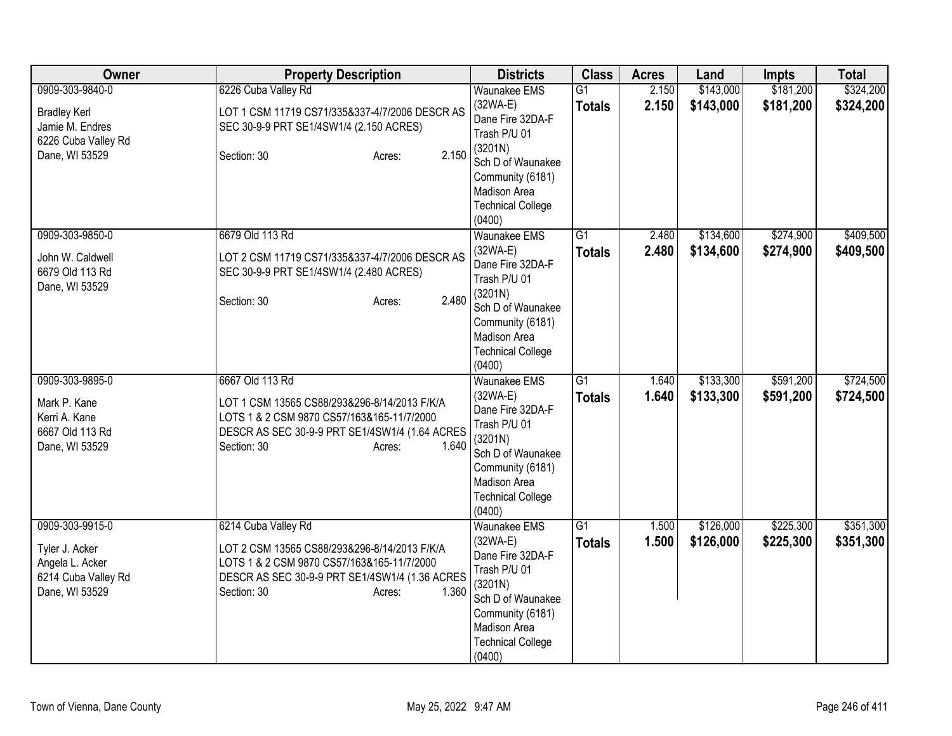| Owner                                                                                              | <b>Property Description</b>                                                                                                                                                                           | <b>Districts</b>                                                                                                                                                                | <b>Class</b>                     | <b>Acres</b>   | Land                   | <b>Impts</b>           | <b>Total</b>           |
|----------------------------------------------------------------------------------------------------|-------------------------------------------------------------------------------------------------------------------------------------------------------------------------------------------------------|---------------------------------------------------------------------------------------------------------------------------------------------------------------------------------|----------------------------------|----------------|------------------------|------------------------|------------------------|
| 0909-303-9840-0<br><b>Bradley Kerl</b><br>Jamie M. Endres<br>6226 Cuba Valley Rd<br>Dane, WI 53529 | 6226 Cuba Valley Rd<br>LOT 1 CSM 11719 CS71/335&337-4/7/2006 DESCR AS<br>SEC 30-9-9 PRT SE1/4SW1/4 (2.150 ACRES)<br>2.150<br>Section: 30<br>Acres:                                                    | <b>Waunakee EMS</b><br>$(32WA-E)$<br>Dane Fire 32DA-F<br>Trash P/U 01<br>(3201N)<br>Sch D of Waunakee<br>Community (6181)<br>Madison Area<br><b>Technical College</b><br>(0400) | $\overline{G1}$<br><b>Totals</b> | 2.150<br>2.150 | \$143,000<br>\$143,000 | \$181,200<br>\$181,200 | \$324,200<br>\$324,200 |
| 0909-303-9850-0<br>John W. Caldwell<br>6679 Old 113 Rd<br>Dane, WI 53529                           | 6679 Old 113 Rd<br>LOT 2 CSM 11719 CS71/335&337-4/7/2006 DESCR AS<br>SEC 30-9-9 PRT SE1/4SW1/4 (2.480 ACRES)<br>2.480<br>Section: 30<br>Acres:                                                        | <b>Waunakee EMS</b><br>$(32WA-E)$<br>Dane Fire 32DA-F<br>Trash P/U 01<br>(3201N)<br>Sch D of Waunakee<br>Community (6181)<br>Madison Area<br><b>Technical College</b><br>(0400) | $\overline{G1}$<br><b>Totals</b> | 2.480<br>2.480 | \$134,600<br>\$134,600 | \$274,900<br>\$274,900 | \$409,500<br>\$409,500 |
| 0909-303-9895-0<br>Mark P. Kane<br>Kerri A. Kane<br>6667 Old 113 Rd<br>Dane, WI 53529              | 6667 Old 113 Rd<br>LOT 1 CSM 13565 CS88/293&296-8/14/2013 F/K/A<br>LOTS 1 & 2 CSM 9870 CS57/163&165-11/7/2000<br>DESCR AS SEC 30-9-9 PRT SE1/4SW1/4 (1.64 ACRES<br>1.640<br>Section: 30<br>Acres:     | <b>Waunakee EMS</b><br>$(32WA-E)$<br>Dane Fire 32DA-F<br>Trash P/U 01<br>(3201N)<br>Sch D of Waunakee<br>Community (6181)<br>Madison Area<br><b>Technical College</b><br>(0400) | $\overline{G1}$<br><b>Totals</b> | 1.640<br>1.640 | \$133,300<br>\$133,300 | \$591,200<br>\$591,200 | \$724,500<br>\$724,500 |
| 0909-303-9915-0<br>Tyler J. Acker<br>Angela L. Acker<br>6214 Cuba Valley Rd<br>Dane, WI 53529      | 6214 Cuba Valley Rd<br>LOT 2 CSM 13565 CS88/293&296-8/14/2013 F/K/A<br>LOTS 1 & 2 CSM 9870 CS57/163&165-11/7/2000<br>DESCR AS SEC 30-9-9 PRT SE1/4SW1/4 (1.36 ACRES<br>1.360<br>Section: 30<br>Acres: | <b>Waunakee EMS</b><br>$(32WA-E)$<br>Dane Fire 32DA-F<br>Trash P/U 01<br>(3201N)<br>Sch D of Waunakee<br>Community (6181)<br>Madison Area<br><b>Technical College</b><br>(0400) | $\overline{G1}$<br><b>Totals</b> | 1.500<br>1.500 | \$126,000<br>\$126,000 | \$225,300<br>\$225,300 | \$351,300<br>\$351,300 |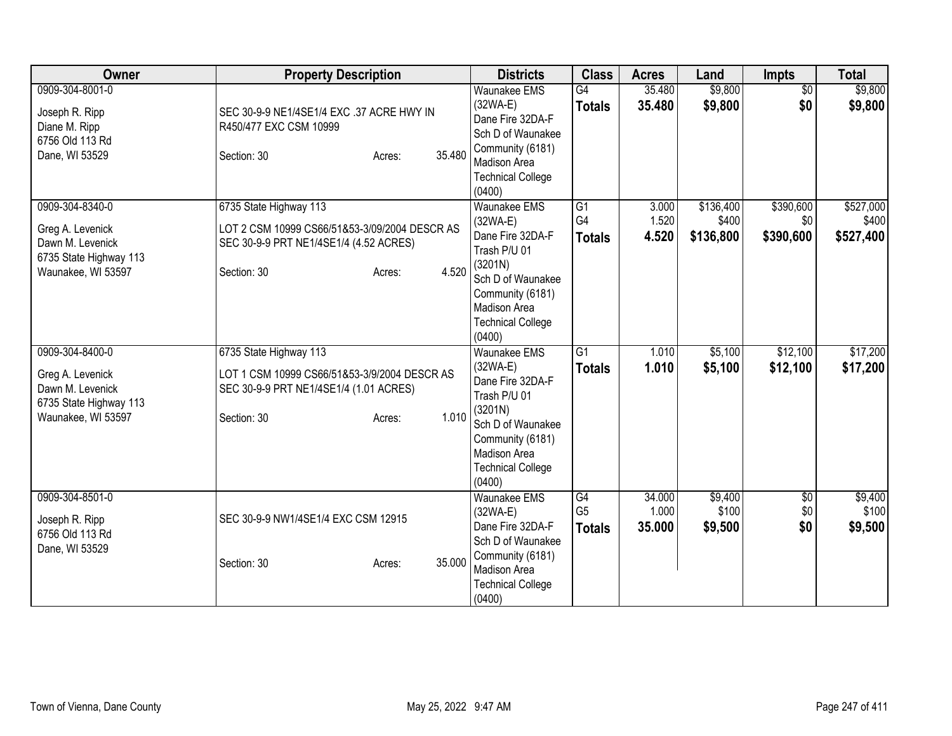| Owner                                                                                                   | <b>Property Description</b>                                                                                                                         | <b>Districts</b>                                                                                                                                                                       | <b>Class</b>                          | <b>Acres</b>              | Land                            | <b>Impts</b>                  | <b>Total</b>                    |
|---------------------------------------------------------------------------------------------------------|-----------------------------------------------------------------------------------------------------------------------------------------------------|----------------------------------------------------------------------------------------------------------------------------------------------------------------------------------------|---------------------------------------|---------------------------|---------------------------------|-------------------------------|---------------------------------|
| 0909-304-8001-0<br>Joseph R. Ripp<br>Diane M. Ripp<br>6756 Old 113 Rd<br>Dane, WI 53529                 | SEC 30-9-9 NE1/4SE1/4 EXC .37 ACRE HWY IN<br>R450/477 EXC CSM 10999<br>35.480<br>Section: 30<br>Acres:                                              | <b>Waunakee EMS</b><br>$(32WA-E)$<br>Dane Fire 32DA-F<br>Sch D of Waunakee<br>Community (6181)<br><b>Madison Area</b><br><b>Technical College</b><br>(0400)                            | G4<br><b>Totals</b>                   | 35.480<br>35.480          | \$9,800<br>\$9,800              | $\overline{50}$<br>\$0        | \$9,800<br>\$9,800              |
| 0909-304-8340-0<br>Greg A. Levenick<br>Dawn M. Levenick<br>6735 State Highway 113<br>Waunakee, WI 53597 | 6735 State Highway 113<br>LOT 2 CSM 10999 CS66/51&53-3/09/2004 DESCR AS<br>SEC 30-9-9 PRT NE1/4SE1/4 (4.52 ACRES)<br>4.520<br>Section: 30<br>Acres: | <b>Waunakee EMS</b><br>$(32WA-E)$<br>Dane Fire 32DA-F<br>Trash P/U 01<br>(3201N)<br>Sch D of Waunakee<br>Community (6181)<br><b>Madison Area</b><br><b>Technical College</b><br>(0400) | G1<br>G <sub>4</sub><br><b>Totals</b> | 3.000<br>1.520<br>4.520   | \$136,400<br>\$400<br>\$136,800 | \$390,600<br>\$0<br>\$390,600 | \$527,000<br>\$400<br>\$527,400 |
| 0909-304-8400-0<br>Greg A. Levenick<br>Dawn M. Levenick<br>6735 State Highway 113<br>Waunakee, WI 53597 | 6735 State Highway 113<br>LOT 1 CSM 10999 CS66/51&53-3/9/2004 DESCR AS<br>SEC 30-9-9 PRT NE1/4SE1/4 (1.01 ACRES)<br>1.010<br>Section: 30<br>Acres:  | <b>Waunakee EMS</b><br>$(32WA-E)$<br>Dane Fire 32DA-F<br>Trash P/U 01<br>(3201N)<br>Sch D of Waunakee<br>Community (6181)<br><b>Madison Area</b><br><b>Technical College</b><br>(0400) | G <sub>1</sub><br><b>Totals</b>       | 1.010<br>1.010            | \$5,100<br>\$5,100              | \$12,100<br>\$12,100          | \$17,200<br>\$17,200            |
| 0909-304-8501-0<br>Joseph R. Ripp<br>6756 Old 113 Rd<br>Dane, WI 53529                                  | SEC 30-9-9 NW1/4SE1/4 EXC CSM 12915<br>35.000<br>Section: 30<br>Acres:                                                                              | Waunakee EMS<br>$(32WA-E)$<br>Dane Fire 32DA-F<br>Sch D of Waunakee<br>Community (6181)<br><b>Madison Area</b><br><b>Technical College</b><br>(0400)                                   | G4<br>G <sub>5</sub><br><b>Totals</b> | 34.000<br>1.000<br>35.000 | \$9,400<br>\$100<br>\$9,500     | $\overline{50}$<br>\$0<br>\$0 | \$9,400<br>\$100<br>\$9,500     |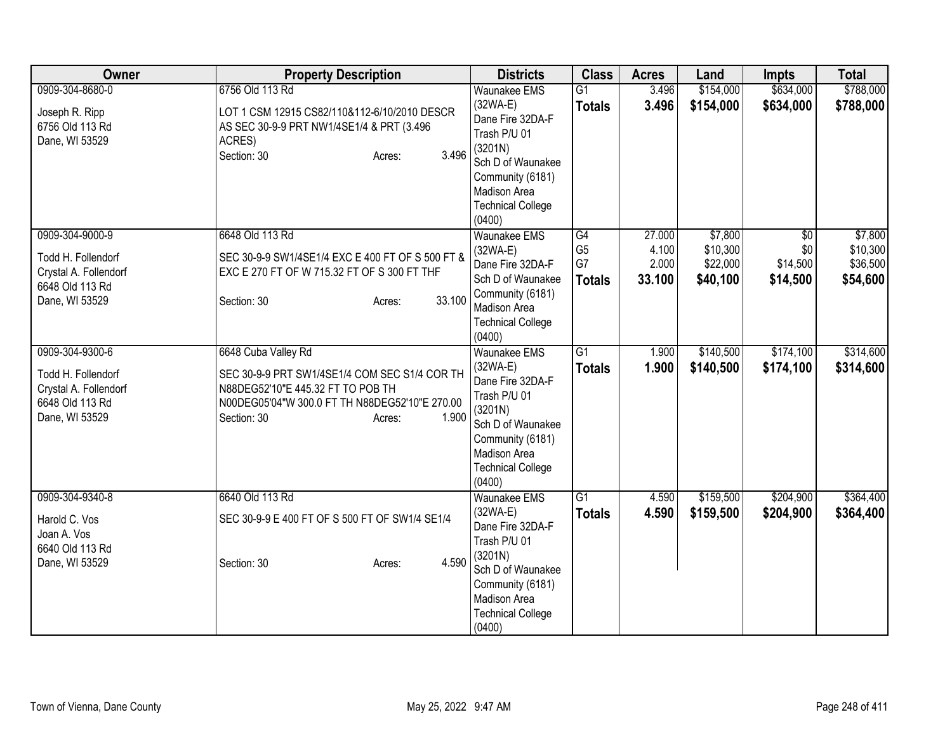| Owner                                                                                               | <b>Property Description</b>                                                                                                                                                                   | <b>Districts</b>                                                                                                                                                                | <b>Class</b>                                             | <b>Acres</b>                       | Land                                        | <b>Impts</b>                       | <b>Total</b>                                |
|-----------------------------------------------------------------------------------------------------|-----------------------------------------------------------------------------------------------------------------------------------------------------------------------------------------------|---------------------------------------------------------------------------------------------------------------------------------------------------------------------------------|----------------------------------------------------------|------------------------------------|---------------------------------------------|------------------------------------|---------------------------------------------|
| 0909-304-8680-0<br>Joseph R. Ripp<br>6756 Old 113 Rd<br>Dane, WI 53529                              | 6756 Old 113 Rd<br>LOT 1 CSM 12915 CS82/110&112-6/10/2010 DESCR<br>AS SEC 30-9-9 PRT NW1/4SE1/4 & PRT (3.496<br>ACRES)<br>3.496<br>Section: 30<br>Acres:                                      | <b>Waunakee EMS</b><br>$(32WA-E)$<br>Dane Fire 32DA-F<br>Trash P/U 01<br>(3201N)<br>Sch D of Waunakee<br>Community (6181)<br>Madison Area<br><b>Technical College</b><br>(0400) | $\overline{G1}$<br><b>Totals</b>                         | 3.496<br>3.496                     | \$154,000<br>\$154,000                      | \$634,000<br>\$634,000             | \$788,000<br>\$788,000                      |
| 0909-304-9000-9<br>Todd H. Follendorf<br>Crystal A. Follendorf<br>6648 Old 113 Rd<br>Dane, WI 53529 | 6648 Old 113 Rd<br>SEC 30-9-9 SW1/4SE1/4 EXC E 400 FT OF S 500 FT &<br>EXC E 270 FT OF W 715.32 FT OF S 300 FT THF<br>33.100<br>Section: 30<br>Acres:                                         | Waunakee EMS<br>$(32WA-E)$<br>Dane Fire 32DA-F<br>Sch D of Waunakee<br>Community (6181)<br>Madison Area<br><b>Technical College</b><br>(0400)                                   | $\overline{G4}$<br>G <sub>5</sub><br>G7<br><b>Totals</b> | 27.000<br>4.100<br>2.000<br>33.100 | \$7,800<br>\$10,300<br>\$22,000<br>\$40,100 | \$0<br>\$0<br>\$14,500<br>\$14,500 | \$7,800<br>\$10,300<br>\$36,500<br>\$54,600 |
| 0909-304-9300-6<br>Todd H. Follendorf<br>Crystal A. Follendorf<br>6648 Old 113 Rd<br>Dane, WI 53529 | 6648 Cuba Valley Rd<br>SEC 30-9-9 PRT SW1/4SE1/4 COM SEC S1/4 COR TH<br>N88DEG52'10"E 445.32 FT TO POB TH<br>N00DEG05'04"W 300.0 FT TH N88DEG52'10"E 270.00<br>1.900<br>Section: 30<br>Acres: | Waunakee EMS<br>$(32WA-E)$<br>Dane Fire 32DA-F<br>Trash P/U 01<br>(3201N)<br>Sch D of Waunakee<br>Community (6181)<br>Madison Area<br><b>Technical College</b><br>(0400)        | $\overline{G1}$<br><b>Totals</b>                         | 1.900<br>1.900                     | \$140,500<br>\$140,500                      | \$174,100<br>\$174,100             | \$314,600<br>\$314,600                      |
| 0909-304-9340-8<br>Harold C. Vos<br>Joan A. Vos<br>6640 Old 113 Rd<br>Dane, WI 53529                | 6640 Old 113 Rd<br>SEC 30-9-9 E 400 FT OF S 500 FT OF SW1/4 SE1/4<br>4.590<br>Section: 30<br>Acres:                                                                                           | Waunakee EMS<br>$(32WA-E)$<br>Dane Fire 32DA-F<br>Trash P/U 01<br>(3201N)<br>Sch D of Waunakee<br>Community (6181)<br>Madison Area<br><b>Technical College</b><br>(0400)        | $\overline{G1}$<br><b>Totals</b>                         | 4.590<br>4.590                     | \$159,500<br>\$159,500                      | \$204,900<br>\$204,900             | \$364,400<br>\$364,400                      |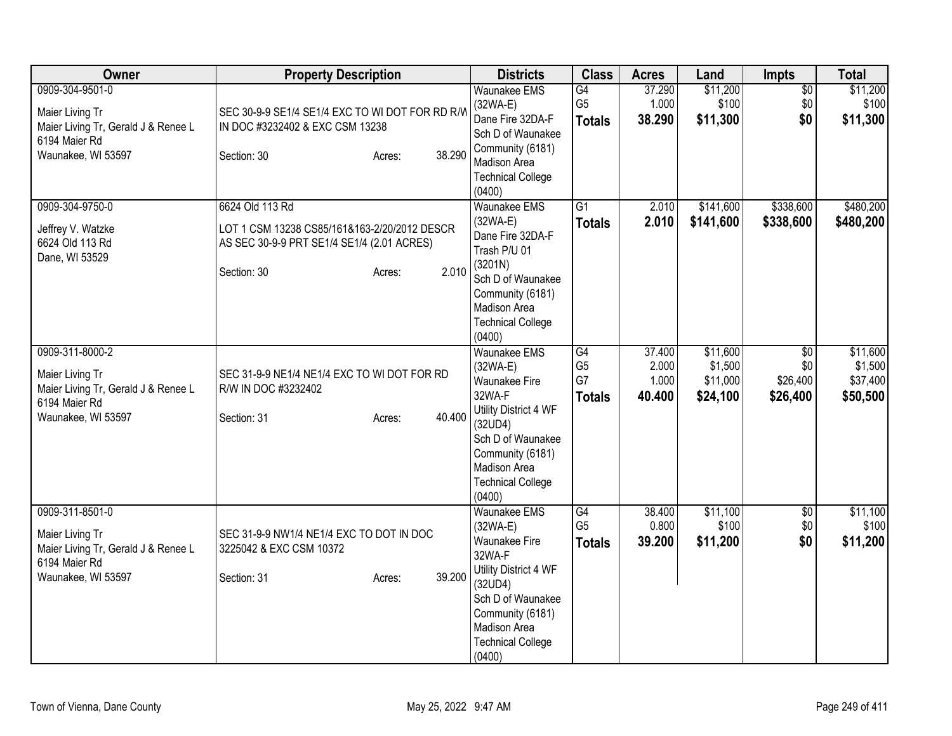| Owner                                                                                                            | <b>Property Description</b>                                                                                                                     | <b>Districts</b>                                                                                                                                                                                       | <b>Class</b>                                | <b>Acres</b>                       | Land                                        | <b>Impts</b>                                   | <b>Total</b>                                |
|------------------------------------------------------------------------------------------------------------------|-------------------------------------------------------------------------------------------------------------------------------------------------|--------------------------------------------------------------------------------------------------------------------------------------------------------------------------------------------------------|---------------------------------------------|------------------------------------|---------------------------------------------|------------------------------------------------|---------------------------------------------|
| 0909-304-9501-0<br>Maier Living Tr<br>Maier Living Tr, Gerald J & Renee L<br>6194 Maier Rd<br>Waunakee, WI 53597 | SEC 30-9-9 SE1/4 SE1/4 EXC TO WI DOT FOR RD R/W<br>IN DOC #3232402 & EXC CSM 13238<br>38.290<br>Section: 30<br>Acres:                           | <b>Waunakee EMS</b><br>$(32WA-E)$<br>Dane Fire 32DA-F<br>Sch D of Waunakee<br>Community (6181)<br>Madison Area<br><b>Technical College</b><br>(0400)                                                   | G4<br>G <sub>5</sub><br><b>Totals</b>       | 37.290<br>1.000<br>38.290          | \$11,200<br>\$100<br>\$11,300               | $\sqrt{$0}$<br>\$0<br>\$0                      | \$11,200<br>\$100<br>\$11,300               |
| 0909-304-9750-0<br>Jeffrey V. Watzke<br>6624 Old 113 Rd<br>Dane, WI 53529                                        | 6624 Old 113 Rd<br>LOT 1 CSM 13238 CS85/161&163-2/20/2012 DESCR<br>AS SEC 30-9-9 PRT SE1/4 SE1/4 (2.01 ACRES)<br>2.010<br>Section: 30<br>Acres: | <b>Waunakee EMS</b><br>$(32WA-E)$<br>Dane Fire 32DA-F<br>Trash P/U 01<br>(3201N)<br>Sch D of Waunakee<br>Community (6181)<br>Madison Area<br><b>Technical College</b><br>(0400)                        | $\overline{G1}$<br><b>Totals</b>            | 2.010<br>2.010                     | \$141,600<br>\$141,600                      | \$338,600<br>\$338,600                         | \$480,200<br>\$480,200                      |
| 0909-311-8000-2<br>Maier Living Tr<br>Maier Living Tr, Gerald J & Renee L<br>6194 Maier Rd<br>Waunakee, WI 53597 | SEC 31-9-9 NE1/4 NE1/4 EXC TO WI DOT FOR RD<br>R/W IN DOC #3232402<br>40.400<br>Section: 31<br>Acres:                                           | <b>Waunakee EMS</b><br>$(32WA-E)$<br><b>Waunakee Fire</b><br>32WA-F<br>Utility District 4 WF<br>(32UD4)<br>Sch D of Waunakee<br>Community (6181)<br>Madison Area<br><b>Technical College</b><br>(0400) | G4<br>G <sub>5</sub><br>G7<br><b>Totals</b> | 37.400<br>2.000<br>1.000<br>40.400 | \$11,600<br>\$1,500<br>\$11,000<br>\$24,100 | $\overline{50}$<br>\$0<br>\$26,400<br>\$26,400 | \$11,600<br>\$1,500<br>\$37,400<br>\$50,500 |
| 0909-311-8501-0<br>Maier Living Tr<br>Maier Living Tr, Gerald J & Renee L<br>6194 Maier Rd<br>Waunakee, WI 53597 | SEC 31-9-9 NW1/4 NE1/4 EXC TO DOT IN DOC<br>3225042 & EXC CSM 10372<br>39.200<br>Section: 31<br>Acres:                                          | <b>Waunakee EMS</b><br>$(32WA-E)$<br><b>Waunakee Fire</b><br>32WA-F<br>Utility District 4 WF<br>(32UD4)<br>Sch D of Waunakee<br>Community (6181)<br>Madison Area<br><b>Technical College</b><br>(0400) | G4<br>G <sub>5</sub><br><b>Totals</b>       | 38.400<br>0.800<br>39.200          | \$11,100<br>\$100<br>\$11,200               | $\overline{60}$<br>\$0<br>\$0                  | \$11,100<br>\$100<br>\$11,200               |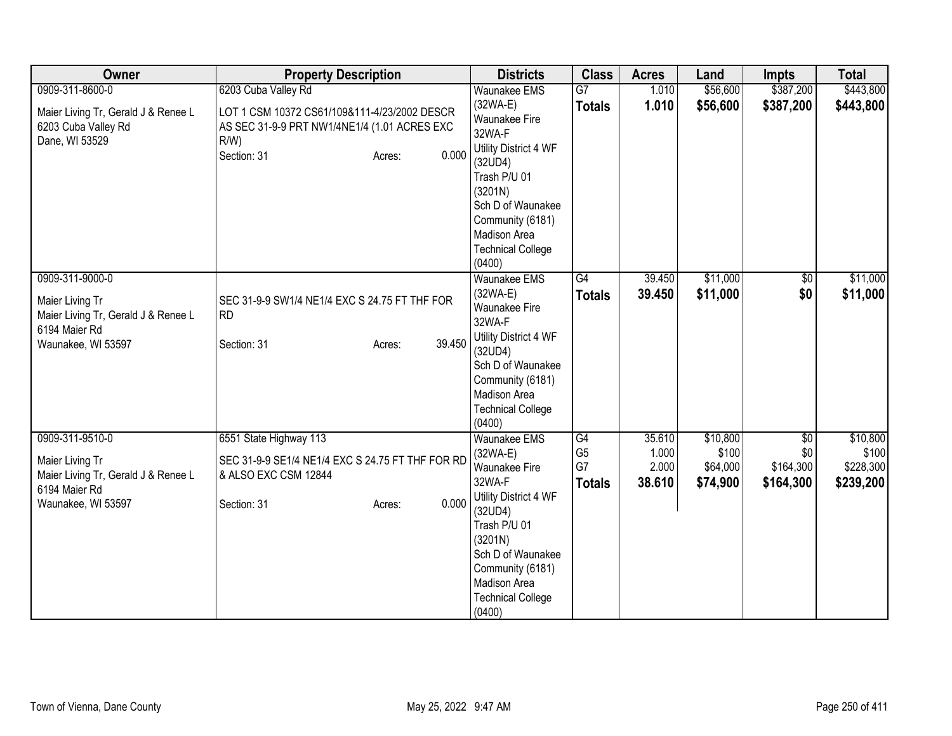| Owner                                                                                                            | <b>Property Description</b>                                                                                                                                      | <b>Districts</b>                                                                                                                                                                                                           | <b>Class</b>                                             | <b>Acres</b>                       | Land                                      | <b>Impts</b>                                     | <b>Total</b>                                |
|------------------------------------------------------------------------------------------------------------------|------------------------------------------------------------------------------------------------------------------------------------------------------------------|----------------------------------------------------------------------------------------------------------------------------------------------------------------------------------------------------------------------------|----------------------------------------------------------|------------------------------------|-------------------------------------------|--------------------------------------------------|---------------------------------------------|
| 0909-311-8600-0<br>Maier Living Tr, Gerald J & Renee L<br>6203 Cuba Valley Rd<br>Dane, WI 53529                  | 6203 Cuba Valley Rd<br>LOT 1 CSM 10372 CS61/109&111-4/23/2002 DESCR<br>AS SEC 31-9-9 PRT NW1/4NE1/4 (1.01 ACRES EXC<br>$R/W$ )<br>0.000<br>Section: 31<br>Acres: | <b>Waunakee EMS</b><br>$(32WA-E)$<br>Waunakee Fire<br>32WA-F<br>Utility District 4 WF<br>(32UD4)<br>Trash P/U 01<br>(3201N)<br>Sch D of Waunakee<br>Community (6181)<br>Madison Area<br><b>Technical College</b><br>(0400) | $\overline{G}$<br><b>Totals</b>                          | 1.010<br>1.010                     | \$56,600<br>\$56,600                      | \$387,200<br>\$387,200                           | \$443,800<br>\$443,800                      |
| 0909-311-9000-0<br>Maier Living Tr<br>Maier Living Tr, Gerald J & Renee L<br>6194 Maier Rd<br>Waunakee, WI 53597 | SEC 31-9-9 SW1/4 NE1/4 EXC S 24.75 FT THF FOR<br><b>RD</b><br>39.450<br>Section: 31<br>Acres:                                                                    | <b>Waunakee EMS</b><br>$(32WA-E)$<br>Waunakee Fire<br>32WA-F<br>Utility District 4 WF<br>(32UD4)<br>Sch D of Waunakee<br>Community (6181)<br>Madison Area<br><b>Technical College</b><br>(0400)                            | $\overline{G4}$<br><b>Totals</b>                         | 39.450<br>39.450                   | \$11,000<br>\$11,000                      | $\overline{60}$<br>\$0                           | \$11,000<br>\$11,000                        |
| 0909-311-9510-0<br>Maier Living Tr<br>Maier Living Tr, Gerald J & Renee L<br>6194 Maier Rd<br>Waunakee, WI 53597 | 6551 State Highway 113<br>SEC 31-9-9 SE1/4 NE1/4 EXC S 24.75 FT THF FOR RD<br>& ALSO EXC CSM 12844<br>0.000<br>Section: 31<br>Acres:                             | <b>Waunakee EMS</b><br>$(32WA-E)$<br>Waunakee Fire<br>32WA-F<br>Utility District 4 WF<br>(32UD4)<br>Trash P/U 01<br>(3201N)<br>Sch D of Waunakee<br>Community (6181)<br>Madison Area<br><b>Technical College</b><br>(0400) | $\overline{G4}$<br>G <sub>5</sub><br>G7<br><b>Totals</b> | 35.610<br>1.000<br>2.000<br>38.610 | \$10,800<br>\$100<br>\$64,000<br>\$74,900 | $\overline{50}$<br>\$0<br>\$164,300<br>\$164,300 | \$10,800<br>\$100<br>\$228,300<br>\$239,200 |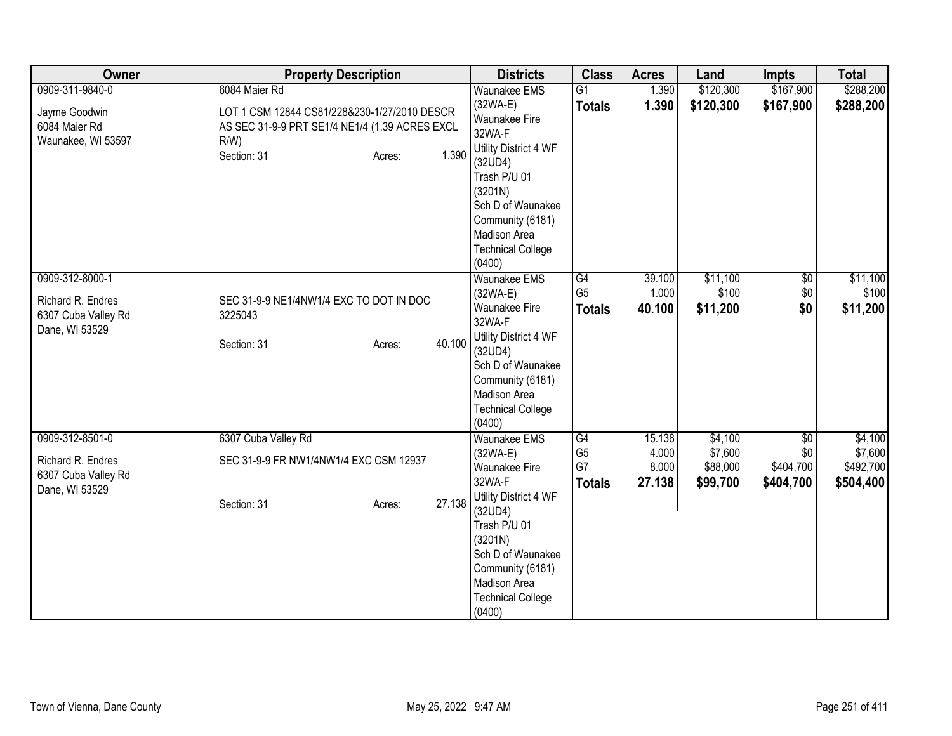| Owner                                                                         | <b>Property Description</b>                                                                                                                                  | <b>Districts</b>                                                                                                                                                                                                                  | <b>Class</b>                                | <b>Acres</b>                       | Land                                       | <b>Impts</b>                         | <b>Total</b>                                 |
|-------------------------------------------------------------------------------|--------------------------------------------------------------------------------------------------------------------------------------------------------------|-----------------------------------------------------------------------------------------------------------------------------------------------------------------------------------------------------------------------------------|---------------------------------------------|------------------------------------|--------------------------------------------|--------------------------------------|----------------------------------------------|
| 0909-311-9840-0<br>Jayme Goodwin<br>6084 Maier Rd<br>Waunakee, WI 53597       | 6084 Maier Rd<br>LOT 1 CSM 12844 CS81/228&230-1/27/2010 DESCR<br>AS SEC 31-9-9 PRT SE1/4 NE1/4 (1.39 ACRES EXCL<br>$R/W$ )<br>1.390<br>Section: 31<br>Acres: | <b>Waunakee EMS</b><br>$(32WA-E)$<br>Waunakee Fire<br>32WA-F<br>Utility District 4 WF<br>(32UD4)<br>Trash P/U 01<br>(3201N)<br>Sch D of Waunakee<br>Community (6181)<br>Madison Area<br><b>Technical College</b><br>(0400)        | $\overline{G1}$<br><b>Totals</b>            | 1.390<br>1.390                     | \$120,300<br>\$120,300                     | \$167,900<br>\$167,900               | \$288,200<br>\$288,200                       |
| 0909-312-8000-1<br>Richard R. Endres<br>6307 Cuba Valley Rd<br>Dane, WI 53529 | SEC 31-9-9 NE1/4NW1/4 EXC TO DOT IN DOC<br>3225043<br>40.100<br>Section: 31<br>Acres:                                                                        | <b>Waunakee EMS</b><br>$(32WA-E)$<br>Waunakee Fire<br>32WA-F<br>Utility District 4 WF<br>(32UD4)<br>Sch D of Waunakee<br>Community (6181)<br>Madison Area<br><b>Technical College</b><br>(0400)                                   | G4<br>G <sub>5</sub><br><b>Totals</b>       | 39.100<br>1.000<br>40.100          | \$11,100<br>\$100<br>\$11,200              | $\overline{60}$<br>\$0<br>\$0        | \$11,100<br>\$100<br>\$11,200                |
| 0909-312-8501-0<br>Richard R. Endres<br>6307 Cuba Valley Rd<br>Dane, WI 53529 | 6307 Cuba Valley Rd<br>SEC 31-9-9 FR NW1/4NW1/4 EXC CSM 12937<br>27.138<br>Section: 31<br>Acres:                                                             | <b>Waunakee EMS</b><br>$(32WA-E)$<br><b>Waunakee Fire</b><br>32WA-F<br>Utility District 4 WF<br>(32UD4)<br>Trash P/U 01<br>(3201N)<br>Sch D of Waunakee<br>Community (6181)<br>Madison Area<br><b>Technical College</b><br>(0400) | G4<br>G <sub>5</sub><br>G7<br><b>Totals</b> | 15.138<br>4.000<br>8.000<br>27.138 | \$4,100<br>\$7,600<br>\$88,000<br>\$99,700 | \$0<br>\$0<br>\$404,700<br>\$404,700 | \$4,100<br>\$7,600<br>\$492,700<br>\$504,400 |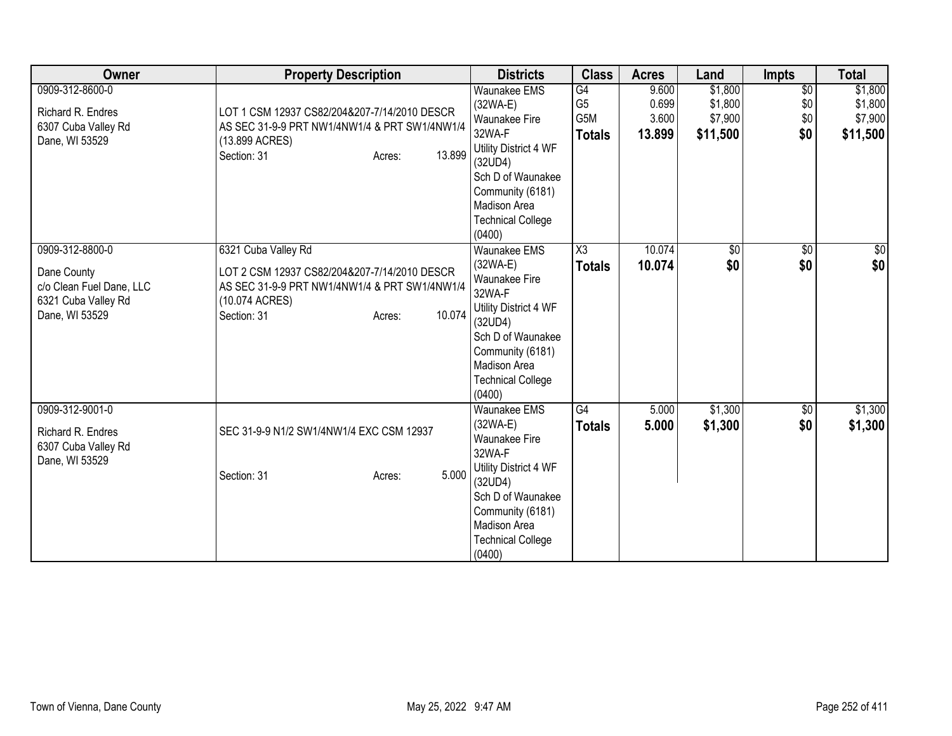| Owner                                                                         | <b>Property Description</b>                                                                                                                        | <b>Districts</b>                                                                                                                                                                              | <b>Class</b>                                 | <b>Acres</b>                      | Land                                      | <b>Impts</b>                         | <b>Total</b>                              |
|-------------------------------------------------------------------------------|----------------------------------------------------------------------------------------------------------------------------------------------------|-----------------------------------------------------------------------------------------------------------------------------------------------------------------------------------------------|----------------------------------------------|-----------------------------------|-------------------------------------------|--------------------------------------|-------------------------------------------|
| 0909-312-8600-0<br>Richard R. Endres<br>6307 Cuba Valley Rd<br>Dane, WI 53529 | LOT 1 CSM 12937 CS82/204&207-7/14/2010 DESCR<br>AS SEC 31-9-9 PRT NW1/4NW1/4 & PRT SW1/4NW1/4<br>(13.899 ACRES)<br>13.899<br>Section: 31<br>Acres: | <b>Waunakee EMS</b><br>(32WA-E)<br>Waunakee Fire<br>32WA-F<br>Utility District 4 WF<br>(32UD4)<br>Sch D of Waunakee<br>Community (6181)                                                       | G4<br>G <sub>5</sub><br>G5M<br><b>Totals</b> | 9.600<br>0.699<br>3.600<br>13.899 | \$1,800<br>\$1,800<br>\$7,900<br>\$11,500 | $\overline{50}$<br>\$0<br>\$0<br>\$0 | \$1,800<br>\$1,800<br>\$7,900<br>\$11,500 |
| 0909-312-8800-0<br>Dane County                                                | 6321 Cuba Valley Rd<br>LOT 2 CSM 12937 CS82/204&207-7/14/2010 DESCR                                                                                | Madison Area<br><b>Technical College</b><br>(0400)<br>Waunakee EMS<br>(32WA-E)                                                                                                                | $\overline{\text{X3}}$<br><b>Totals</b>      | 10.074<br>10.074                  | $\sqrt{$0}$<br>\$0                        | $\sqrt{6}$<br>\$0                    | $\sqrt{50}$<br>\$0                        |
| c/o Clean Fuel Dane, LLC<br>6321 Cuba Valley Rd<br>Dane, WI 53529             | AS SEC 31-9-9 PRT NW1/4NW1/4 & PRT SW1/4NW1/4<br>(10.074 ACRES)<br>10.074<br>Section: 31<br>Acres:                                                 | Waunakee Fire<br>32WA-F<br>Utility District 4 WF<br>(32UD4)<br>Sch D of Waunakee<br>Community (6181)<br><b>Madison Area</b><br><b>Technical College</b><br>(0400)                             |                                              |                                   |                                           |                                      |                                           |
| 0909-312-9001-0<br>Richard R. Endres<br>6307 Cuba Valley Rd<br>Dane, WI 53529 | SEC 31-9-9 N1/2 SW1/4NW1/4 EXC CSM 12937<br>5.000<br>Section: 31<br>Acres:                                                                         | Waunakee EMS<br>(32WA-E)<br><b>Waunakee Fire</b><br>32WA-F<br>Utility District 4 WF<br>(32UD4)<br>Sch D of Waunakee<br>Community (6181)<br>Madison Area<br><b>Technical College</b><br>(0400) | G4<br><b>Totals</b>                          | 5.000<br>5.000                    | \$1,300<br>\$1,300                        | \$0<br>\$0                           | \$1,300<br>\$1,300                        |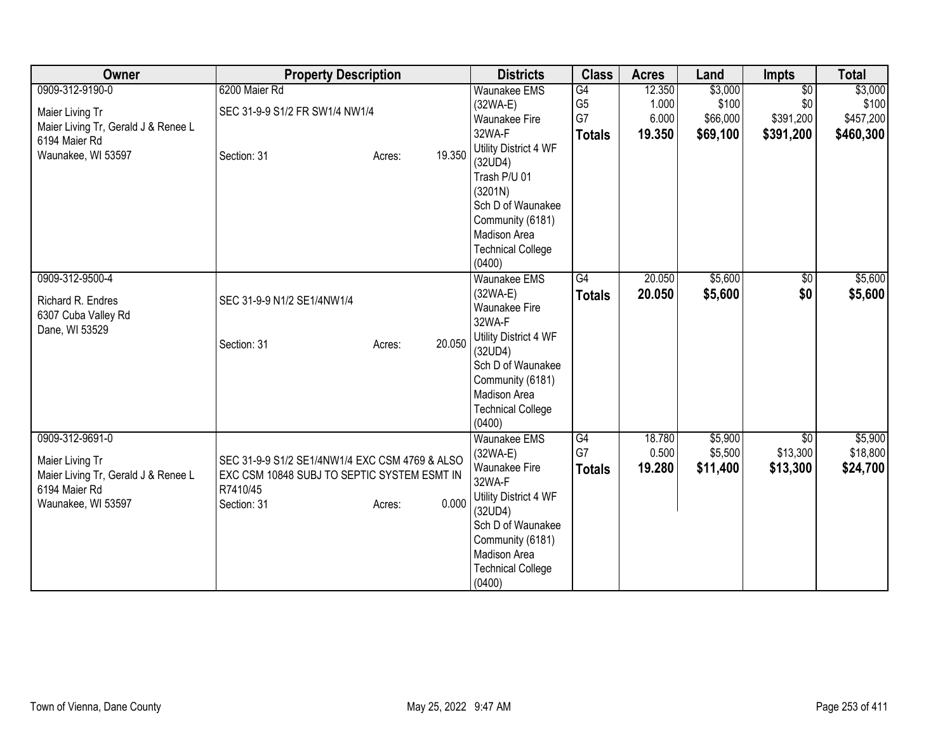| <b>Owner</b>                        | <b>Property Description</b>                    |                  | <b>Districts</b>                   | <b>Class</b>   | <b>Acres</b> | Land     | <b>Impts</b>    | <b>Total</b> |
|-------------------------------------|------------------------------------------------|------------------|------------------------------------|----------------|--------------|----------|-----------------|--------------|
| 0909-312-9190-0                     | 6200 Maier Rd                                  |                  | <b>Waunakee EMS</b>                | G4             | 12.350       | \$3,000  | $\overline{50}$ | \$3,000      |
| Maier Living Tr                     | SEC 31-9-9 S1/2 FR SW1/4 NW1/4                 |                  | $(32WA-E)$                         | G <sub>5</sub> | 1.000        | \$100    | \$0             | \$100        |
| Maier Living Tr, Gerald J & Renee L |                                                |                  | <b>Waunakee Fire</b>               | G7             | 6.000        | \$66,000 | \$391,200       | \$457,200    |
| 6194 Maier Rd                       |                                                |                  | 32WA-F                             | <b>Totals</b>  | 19.350       | \$69,100 | \$391,200       | \$460,300    |
| Waunakee, WI 53597                  | Section: 31                                    | 19.350<br>Acres: | Utility District 4 WF              |                |              |          |                 |              |
|                                     |                                                |                  | (32UD4)                            |                |              |          |                 |              |
|                                     |                                                |                  | Trash P/U 01                       |                |              |          |                 |              |
|                                     |                                                |                  | (3201N)                            |                |              |          |                 |              |
|                                     |                                                |                  | Sch D of Waunakee                  |                |              |          |                 |              |
|                                     |                                                |                  | Community (6181)                   |                |              |          |                 |              |
|                                     |                                                |                  | Madison Area                       |                |              |          |                 |              |
|                                     |                                                |                  | <b>Technical College</b><br>(0400) |                |              |          |                 |              |
| 0909-312-9500-4                     |                                                |                  | Waunakee EMS                       | G4             | 20.050       | \$5,600  |                 | \$5,600      |
|                                     |                                                |                  |                                    |                |              |          | $\sqrt{6}$      |              |
| Richard R. Endres                   | SEC 31-9-9 N1/2 SE1/4NW1/4                     |                  | $(32WA-E)$<br>Waunakee Fire        | <b>Totals</b>  | 20.050       | \$5,600  | \$0             | \$5,600      |
| 6307 Cuba Valley Rd                 |                                                |                  | 32WA-F                             |                |              |          |                 |              |
| Dane, WI 53529                      |                                                |                  | Utility District 4 WF              |                |              |          |                 |              |
|                                     | Section: 31                                    | 20.050<br>Acres: | (32UD4)                            |                |              |          |                 |              |
|                                     |                                                |                  | Sch D of Waunakee                  |                |              |          |                 |              |
|                                     |                                                |                  | Community (6181)                   |                |              |          |                 |              |
|                                     |                                                |                  | Madison Area                       |                |              |          |                 |              |
|                                     |                                                |                  | <b>Technical College</b>           |                |              |          |                 |              |
|                                     |                                                |                  | (0400)                             |                |              |          |                 |              |
| 0909-312-9691-0                     |                                                |                  | <b>Waunakee EMS</b>                | G4             | 18.780       | \$5,900  | \$0             | \$5,900      |
|                                     |                                                |                  | $(32WA-E)$                         | G7             | 0.500        | \$5,500  | \$13,300        | \$18,800     |
| Maier Living Tr                     | SEC 31-9-9 S1/2 SE1/4NW1/4 EXC CSM 4769 & ALSO |                  | <b>Waunakee Fire</b>               | <b>Totals</b>  | 19.280       | \$11,400 | \$13,300        | \$24,700     |
| Maier Living Tr, Gerald J & Renee L | EXC CSM 10848 SUBJ TO SEPTIC SYSTEM ESMT IN    |                  | 32WA-F                             |                |              |          |                 |              |
| 6194 Maier Rd                       | R7410/45                                       |                  | Utility District 4 WF              |                |              |          |                 |              |
| Waunakee, WI 53597                  | Section: 31                                    | Acres:           | 0.000<br>(32UD4)                   |                |              |          |                 |              |
|                                     |                                                |                  | Sch D of Waunakee                  |                |              |          |                 |              |
|                                     |                                                |                  | Community (6181)                   |                |              |          |                 |              |
|                                     |                                                |                  | Madison Area                       |                |              |          |                 |              |
|                                     |                                                |                  | <b>Technical College</b>           |                |              |          |                 |              |
|                                     |                                                |                  | (0400)                             |                |              |          |                 |              |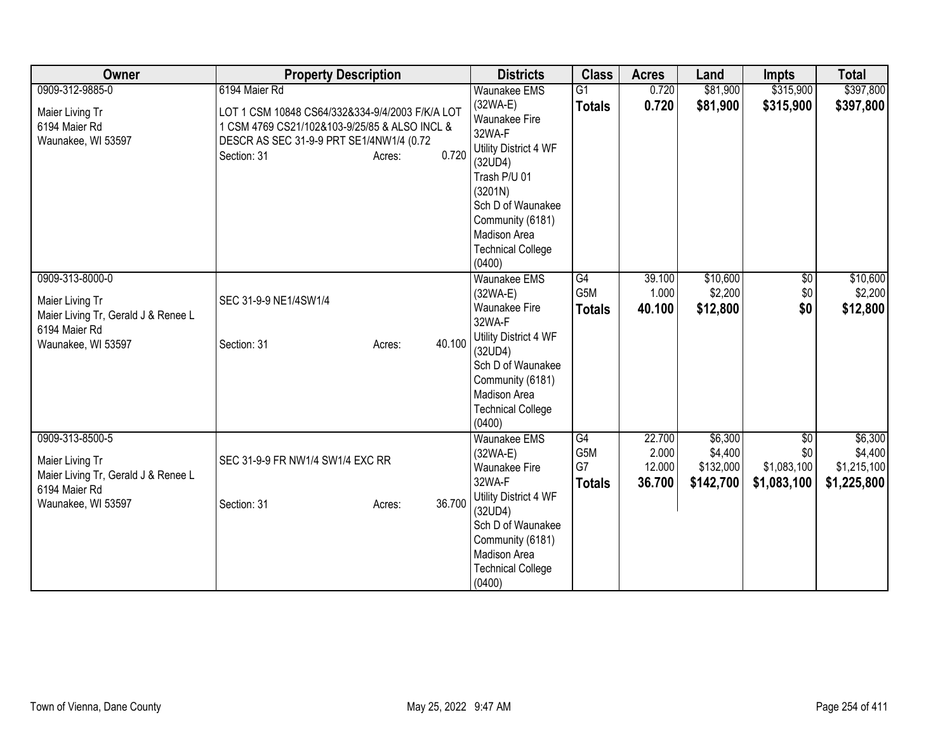| Owner                                                | <b>Property Description</b>                     | <b>Districts</b>                   | <b>Class</b>    | <b>Acres</b> | Land      | <b>Impts</b> | <b>Total</b> |
|------------------------------------------------------|-------------------------------------------------|------------------------------------|-----------------|--------------|-----------|--------------|--------------|
| 0909-312-9885-0                                      | 6194 Maier Rd                                   | <b>Waunakee EMS</b>                | $\overline{G1}$ | 0.720        | \$81,900  | \$315,900    | \$397,800    |
| Maier Living Tr                                      | LOT 1 CSM 10848 CS64/332&334-9/4/2003 F/K/A LOT | $(32WA-E)$                         | <b>Totals</b>   | 0.720        | \$81,900  | \$315,900    | \$397,800    |
| 6194 Maier Rd                                        | 1 CSM 4769 CS21/102&103-9/25/85 & ALSO INCL &   | <b>Waunakee Fire</b>               |                 |              |           |              |              |
| Waunakee, WI 53597                                   | DESCR AS SEC 31-9-9 PRT SE1/4NW1/4 (0.72        | 32WA-F                             |                 |              |           |              |              |
|                                                      | 0.720<br>Section: 31<br>Acres:                  | Utility District 4 WF              |                 |              |           |              |              |
|                                                      |                                                 | (32UD4)                            |                 |              |           |              |              |
|                                                      |                                                 | Trash P/U 01                       |                 |              |           |              |              |
|                                                      |                                                 | (3201N)<br>Sch D of Waunakee       |                 |              |           |              |              |
|                                                      |                                                 | Community (6181)                   |                 |              |           |              |              |
|                                                      |                                                 | Madison Area                       |                 |              |           |              |              |
|                                                      |                                                 | <b>Technical College</b>           |                 |              |           |              |              |
|                                                      |                                                 | (0400)                             |                 |              |           |              |              |
| 0909-313-8000-0                                      |                                                 | <b>Waunakee EMS</b>                | $\overline{G4}$ | 39.100       | \$10,600  | \$0          | \$10,600     |
|                                                      |                                                 | (32WA-E)                           | G5M             | 1.000        | \$2,200   | \$0          | \$2,200      |
| Maier Living Tr                                      | SEC 31-9-9 NE1/4SW1/4                           | Waunakee Fire                      | <b>Totals</b>   | 40.100       | \$12,800  | \$0          | \$12,800     |
| Maier Living Tr, Gerald J & Renee L<br>6194 Maier Rd |                                                 | 32WA-F                             |                 |              |           |              |              |
| Waunakee, WI 53597                                   | 40.100<br>Section: 31<br>Acres:                 | Utility District 4 WF              |                 |              |           |              |              |
|                                                      |                                                 | (32UD4)                            |                 |              |           |              |              |
|                                                      |                                                 | Sch D of Waunakee                  |                 |              |           |              |              |
|                                                      |                                                 | Community (6181)                   |                 |              |           |              |              |
|                                                      |                                                 | Madison Area                       |                 |              |           |              |              |
|                                                      |                                                 | <b>Technical College</b><br>(0400) |                 |              |           |              |              |
| 0909-313-8500-5                                      |                                                 | <b>Waunakee EMS</b>                | G4              | 22.700       | \$6,300   | \$0          | \$6,300      |
|                                                      |                                                 | $(32WA-E)$                         | G5M             | 2.000        | \$4,400   | \$0          | \$4,400      |
| Maier Living Tr                                      | SEC 31-9-9 FR NW1/4 SW1/4 EXC RR                | <b>Waunakee Fire</b>               | G7              | 12.000       | \$132,000 | \$1,083,100  | \$1,215,100  |
| Maier Living Tr, Gerald J & Renee L                  |                                                 | 32WA-F                             | <b>Totals</b>   | 36.700       | \$142,700 | \$1,083,100  | \$1,225,800  |
| 6194 Maier Rd                                        |                                                 | Utility District 4 WF              |                 |              |           |              |              |
| Waunakee, WI 53597                                   | 36.700<br>Section: 31<br>Acres:                 | (32UD4)                            |                 |              |           |              |              |
|                                                      |                                                 | Sch D of Waunakee                  |                 |              |           |              |              |
|                                                      |                                                 | Community (6181)                   |                 |              |           |              |              |
|                                                      |                                                 | Madison Area                       |                 |              |           |              |              |
|                                                      |                                                 | <b>Technical College</b>           |                 |              |           |              |              |
|                                                      |                                                 | (0400)                             |                 |              |           |              |              |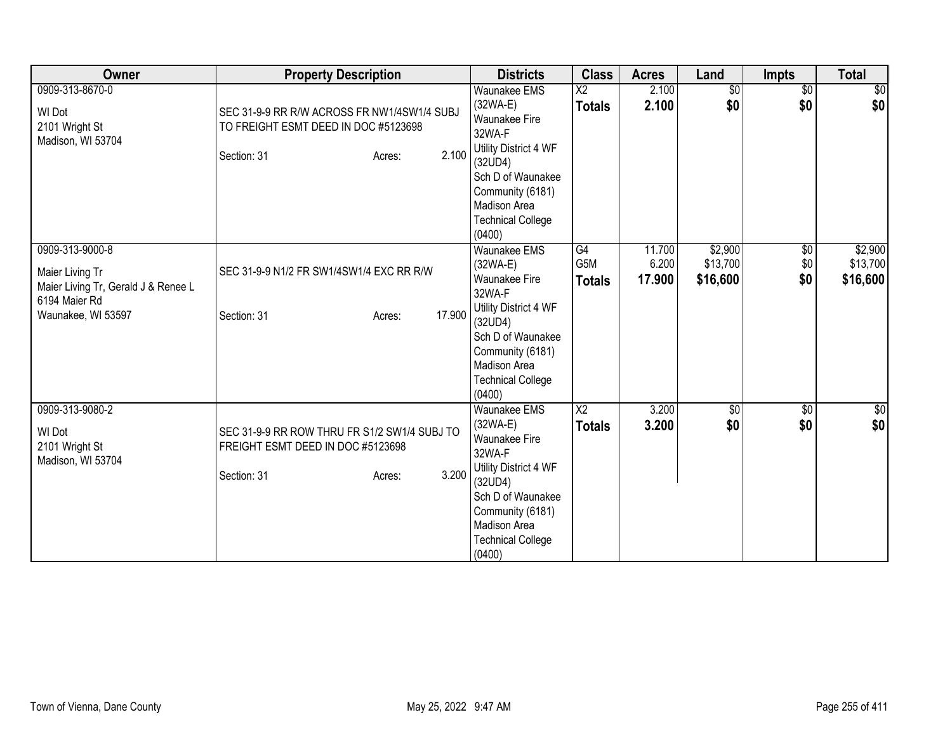| Owner                                                                                                            | <b>Property Description</b>                                                                                           | <b>Districts</b>                                                                                                                                                                                       | <b>Class</b>                            | <b>Acres</b>              | Land                            | <b>Impts</b>             | <b>Total</b>                    |
|------------------------------------------------------------------------------------------------------------------|-----------------------------------------------------------------------------------------------------------------------|--------------------------------------------------------------------------------------------------------------------------------------------------------------------------------------------------------|-----------------------------------------|---------------------------|---------------------------------|--------------------------|---------------------------------|
| 0909-313-8670-0<br><b>WI Dot</b><br>2101 Wright St<br>Madison, WI 53704                                          | SEC 31-9-9 RR R/W ACROSS FR NW1/4SW1/4 SUBJ<br>TO FREIGHT ESMT DEED IN DOC #5123698<br>2.100<br>Section: 31<br>Acres: | <b>Waunakee EMS</b><br>$(32WA-E)$<br><b>Waunakee Fire</b><br>32WA-F<br>Utility District 4 WF<br>(32UD4)<br>Sch D of Waunakee<br>Community (6181)<br>Madison Area<br><b>Technical College</b><br>(0400) | $\overline{X2}$<br><b>Totals</b>        | 2.100<br>2.100            | \$0<br>\$0                      | $\overline{50}$<br>\$0   | $\frac{1}{2}$<br>\$0            |
| 0909-313-9000-8<br>Maier Living Tr<br>Maier Living Tr, Gerald J & Renee L<br>6194 Maier Rd<br>Waunakee, WI 53597 | SEC 31-9-9 N1/2 FR SW1/4SW1/4 EXC RR R/W<br>17.900<br>Section: 31<br>Acres:                                           | <b>Waunakee EMS</b><br>(32WA-E)<br>Waunakee Fire<br>32WA-F<br>Utility District 4 WF<br>(32UD4)<br>Sch D of Waunakee<br>Community (6181)<br>Madison Area<br><b>Technical College</b><br>(0400)          | G4<br>G5M<br><b>Totals</b>              | 11.700<br>6.200<br>17.900 | \$2,900<br>\$13,700<br>\$16,600 | $\sqrt{6}$<br>\$0<br>\$0 | \$2,900<br>\$13,700<br>\$16,600 |
| 0909-313-9080-2<br>WI Dot<br>2101 Wright St<br>Madison, WI 53704                                                 | SEC 31-9-9 RR ROW THRU FR S1/2 SW1/4 SUBJ TO<br>FREIGHT ESMT DEED IN DOC #5123698<br>3.200<br>Section: 31<br>Acres:   | Waunakee EMS<br>$(32WA-E)$<br>Waunakee Fire<br>32WA-F<br>Utility District 4 WF<br>(32UD4)<br>Sch D of Waunakee<br>Community (6181)<br>Madison Area<br><b>Technical College</b><br>(0400)               | $\overline{\text{X2}}$<br><b>Totals</b> | 3.200<br>3.200            | $\overline{50}$<br>\$0          | $\overline{50}$<br>\$0   | $\sqrt{50}$<br>\$0              |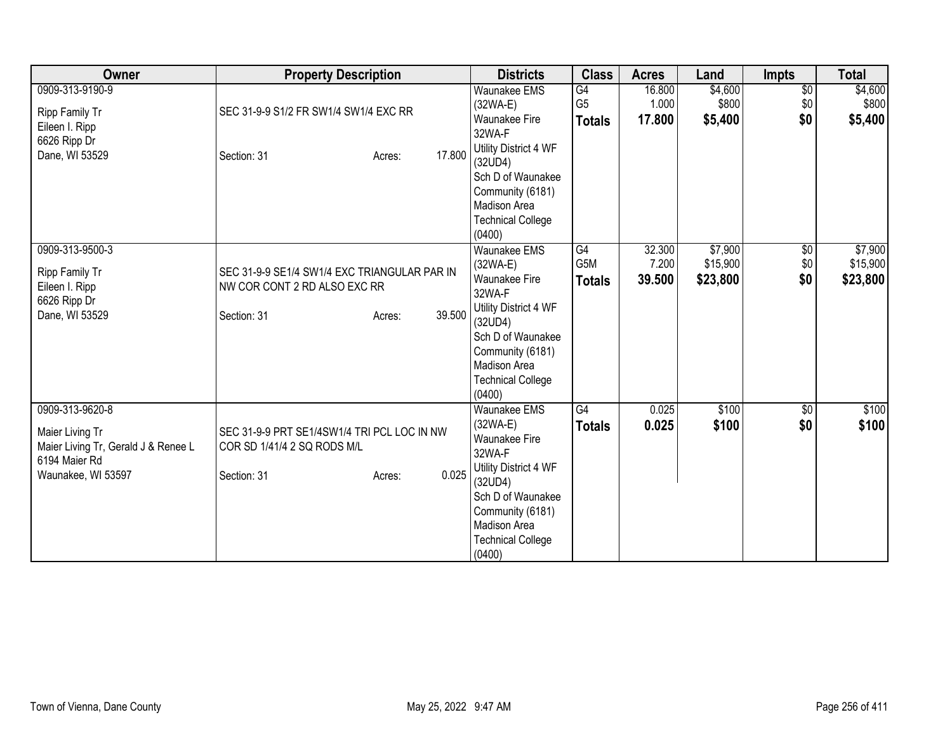| Owner                                                                                                            | <b>Property Description</b>                                                                                     | <b>Districts</b>                                                                                                                                                                                     | <b>Class</b>                          | <b>Acres</b>              | Land                            | <b>Impts</b>                  | <b>Total</b>                    |
|------------------------------------------------------------------------------------------------------------------|-----------------------------------------------------------------------------------------------------------------|------------------------------------------------------------------------------------------------------------------------------------------------------------------------------------------------------|---------------------------------------|---------------------------|---------------------------------|-------------------------------|---------------------------------|
| 0909-313-9190-9<br>Ripp Family Tr<br>Eileen I. Ripp<br>6626 Ripp Dr<br>Dane, WI 53529                            | SEC 31-9-9 S1/2 FR SW1/4 SW1/4 EXC RR<br>17.800<br>Section: 31<br>Acres:                                        | <b>Waunakee EMS</b><br>(32WA-E)<br>Waunakee Fire<br>32WA-F<br>Utility District 4 WF<br>(32UD4)<br>Sch D of Waunakee<br>Community (6181)<br>Madison Area<br><b>Technical College</b><br>(0400)        | G4<br>G <sub>5</sub><br><b>Totals</b> | 16.800<br>1.000<br>17.800 | \$4,600<br>\$800 <br>\$5,400    | $\overline{$0}$<br>\$0<br>\$0 | \$4,600<br>\$800<br>\$5,400     |
| 0909-313-9500-3<br>Ripp Family Tr<br>Eileen I. Ripp<br>6626 Ripp Dr<br>Dane, WI 53529                            | SEC 31-9-9 SE1/4 SW1/4 EXC TRIANGULAR PAR IN<br>NW COR CONT 2 RD ALSO EXC RR<br>39.500<br>Section: 31<br>Acres: | <b>Waunakee EMS</b><br>(32WA-E)<br>Waunakee Fire<br>32WA-F<br>Utility District 4 WF<br>(32UD4)<br>Sch D of Waunakee<br>Community (6181)<br>Madison Area<br><b>Technical College</b><br>(0400)        | G4<br>G5M<br><b>Totals</b>            | 32.300<br>7.200<br>39.500 | \$7,900<br>\$15,900<br>\$23,800 | $\sqrt{6}$<br>\$0<br>\$0      | \$7,900<br>\$15,900<br>\$23,800 |
| 0909-313-9620-8<br>Maier Living Tr<br>Maier Living Tr, Gerald J & Renee L<br>6194 Maier Rd<br>Waunakee, WI 53597 | SEC 31-9-9 PRT SE1/4SW1/4 TRI PCL LOC IN NW<br>COR SD 1/41/4 2 SQ RODS M/L<br>0.025<br>Section: 31<br>Acres:    | Waunakee EMS<br>(32WA-E)<br><b>Waunakee Fire</b><br>32WA-F<br>Utility District 4 WF<br>(32UD4)<br>Sch D of Waunakee<br>Community (6181)<br><b>Madison Area</b><br><b>Technical College</b><br>(0400) | $\overline{G4}$<br><b>Totals</b>      | 0.025<br>0.025            | \$100<br>\$100                  | \$0<br>\$0                    | \$100<br>\$100                  |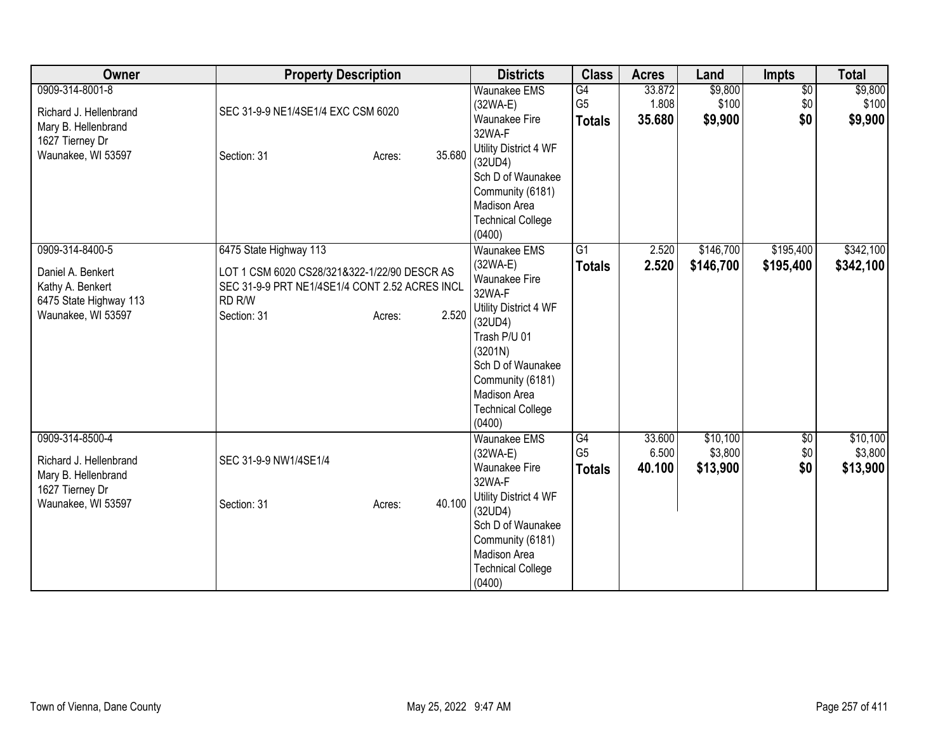| Owner                                                                                                     | <b>Property Description</b>                                                                                                                                                     | <b>Districts</b>                                                                                                                                                                                                    | <b>Class</b>                                       | <b>Acres</b>              | Land                            | Impts                         | <b>Total</b>                    |
|-----------------------------------------------------------------------------------------------------------|---------------------------------------------------------------------------------------------------------------------------------------------------------------------------------|---------------------------------------------------------------------------------------------------------------------------------------------------------------------------------------------------------------------|----------------------------------------------------|---------------------------|---------------------------------|-------------------------------|---------------------------------|
| 0909-314-8001-8<br>Richard J. Hellenbrand<br>Mary B. Hellenbrand<br>1627 Tierney Dr<br>Waunakee, WI 53597 | SEC 31-9-9 NE1/4SE1/4 EXC CSM 6020<br>35.680<br>Section: 31<br>Acres:                                                                                                           | <b>Waunakee EMS</b><br>$(32WA-E)$<br><b>Waunakee Fire</b><br>32WA-F<br>Utility District 4 WF<br>(32UD4)<br>Sch D of Waunakee<br>Community (6181)<br>Madison Area<br><b>Technical College</b><br>(0400)              | $\overline{G4}$<br>G <sub>5</sub><br><b>Totals</b> | 33.872<br>1.808<br>35.680 | \$9,800<br>\$100<br>\$9,900     | $\overline{60}$<br>\$0<br>\$0 | \$9,800<br>\$100<br>\$9,900     |
| 0909-314-8400-5<br>Daniel A. Benkert<br>Kathy A. Benkert<br>6475 State Highway 113<br>Waunakee, WI 53597  | 6475 State Highway 113<br>LOT 1 CSM 6020 CS28/321&322-1/22/90 DESCR AS<br>SEC 31-9-9 PRT NE1/4SE1/4 CONT 2.52 ACRES INCL<br>RD <sub>R/W</sub><br>2.520<br>Section: 31<br>Acres: | Waunakee EMS<br>$(32WA-E)$<br>Waunakee Fire<br>32WA-F<br>Utility District 4 WF<br>(32UD4)<br>Trash P/U 01<br>(3201N)<br>Sch D of Waunakee<br>Community (6181)<br>Madison Area<br><b>Technical College</b><br>(0400) | $\overline{G1}$<br><b>Totals</b>                   | 2.520<br>2.520            | \$146,700<br>\$146,700          | \$195,400<br>\$195,400        | \$342,100<br>\$342,100          |
| 0909-314-8500-4<br>Richard J. Hellenbrand<br>Mary B. Hellenbrand<br>1627 Tierney Dr<br>Waunakee, WI 53597 | SEC 31-9-9 NW1/4SE1/4<br>40.100<br>Section: 31<br>Acres:                                                                                                                        | <b>Waunakee EMS</b><br>(32WA-E)<br><b>Waunakee Fire</b><br>32WA-F<br>Utility District 4 WF<br>(32UD4)<br>Sch D of Waunakee<br>Community (6181)<br><b>Madison Area</b><br><b>Technical College</b><br>(0400)         | G4<br>G <sub>5</sub><br><b>Totals</b>              | 33.600<br>6.500<br>40.100 | \$10,100<br>\$3,800<br>\$13,900 | \$0<br>\$0<br>\$0             | \$10,100<br>\$3,800<br>\$13,900 |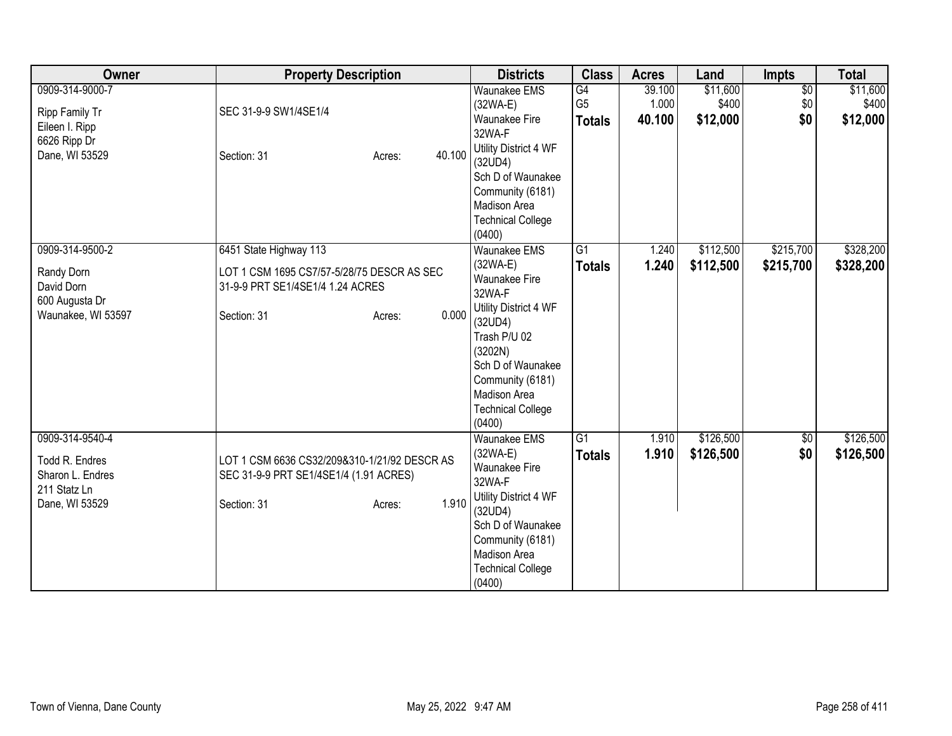| Owner                                                                                   | <b>Property Description</b>                                                                                                       |        | <b>Districts</b>                                                                                                                                                                                                    | <b>Class</b>                                       | <b>Acres</b>              | Land                          | <b>Impts</b>                  | <b>Total</b>                  |
|-----------------------------------------------------------------------------------------|-----------------------------------------------------------------------------------------------------------------------------------|--------|---------------------------------------------------------------------------------------------------------------------------------------------------------------------------------------------------------------------|----------------------------------------------------|---------------------------|-------------------------------|-------------------------------|-------------------------------|
| 0909-314-9000-7<br>Ripp Family Tr<br>Eileen I. Ripp<br>6626 Ripp Dr<br>Dane, WI 53529   | SEC 31-9-9 SW1/4SE1/4<br>Section: 31<br>Acres:                                                                                    | 40.100 | <b>Waunakee EMS</b><br>$(32WA-E)$<br><b>Waunakee Fire</b><br>32WA-F<br>Utility District 4 WF<br>(32UD4)<br>Sch D of Waunakee<br>Community (6181)<br>Madison Area<br><b>Technical College</b><br>(0400)              | $\overline{G4}$<br>G <sub>5</sub><br><b>Totals</b> | 39.100<br>1.000<br>40.100 | \$11,600<br>\$400<br>\$12,000 | $\overline{60}$<br>\$0<br>\$0 | \$11,600<br>\$400<br>\$12,000 |
| 0909-314-9500-2<br>Randy Dorn<br>David Dorn<br>600 Augusta Dr<br>Waunakee, WI 53597     | 6451 State Highway 113<br>LOT 1 CSM 1695 CS7/57-5/28/75 DESCR AS SEC<br>31-9-9 PRT SE1/4SE1/4 1.24 ACRES<br>Section: 31<br>Acres: | 0.000  | Waunakee EMS<br>$(32WA-E)$<br>Waunakee Fire<br>32WA-F<br>Utility District 4 WF<br>(32UD4)<br>Trash P/U 02<br>(3202N)<br>Sch D of Waunakee<br>Community (6181)<br>Madison Area<br><b>Technical College</b><br>(0400) | $\overline{G1}$<br><b>Totals</b>                   | 1.240<br>1.240            | \$112,500<br>\$112,500        | \$215,700<br>\$215,700        | \$328,200<br>\$328,200        |
| 0909-314-9540-4<br>Todd R. Endres<br>Sharon L. Endres<br>211 Statz Ln<br>Dane, WI 53529 | LOT 1 CSM 6636 CS32/209&310-1/21/92 DESCR AS<br>SEC 31-9-9 PRT SE1/4SE1/4 (1.91 ACRES)<br>Section: 31<br>Acres:                   | 1.910  | <b>Waunakee EMS</b><br>$(32WA-E)$<br><b>Waunakee Fire</b><br>32WA-F<br>Utility District 4 WF<br>(32UD4)<br>Sch D of Waunakee<br>Community (6181)<br>Madison Area<br><b>Technical College</b><br>(0400)              | $\overline{G1}$<br><b>Totals</b>                   | 1.910<br>1.910            | \$126,500<br>\$126,500        | \$0<br>\$0                    | \$126,500<br>\$126,500        |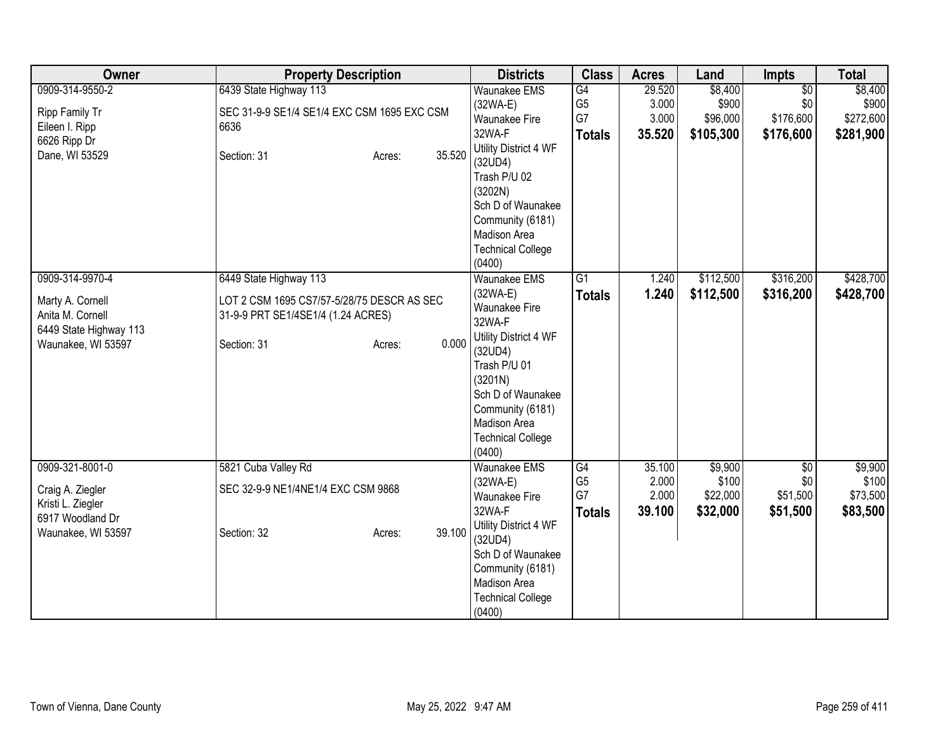| Owner                  | <b>Property Description</b>                 |                  | <b>Districts</b>             | <b>Class</b>    | <b>Acres</b> | Land      | <b>Impts</b>    | <b>Total</b> |
|------------------------|---------------------------------------------|------------------|------------------------------|-----------------|--------------|-----------|-----------------|--------------|
| 0909-314-9550-2        | 6439 State Highway 113                      |                  | <b>Waunakee EMS</b>          | G4              | 29.520       | \$8,400   | $\overline{30}$ | \$8,400      |
| Ripp Family Tr         | SEC 31-9-9 SE1/4 SE1/4 EXC CSM 1695 EXC CSM |                  | $(32WA-E)$                   | G <sub>5</sub>  | 3.000        | \$900     | \$0             | \$900        |
| Eileen I. Ripp         | 6636                                        |                  | <b>Waunakee Fire</b>         | G7              | 3.000        | \$96,000  | \$176,600       | \$272,600    |
| 6626 Ripp Dr           |                                             |                  | 32WA-F                       | <b>Totals</b>   | 35.520       | \$105,300 | \$176,600       | \$281,900    |
| Dane, WI 53529         | Section: 31                                 | 35.520<br>Acres: | Utility District 4 WF        |                 |              |           |                 |              |
|                        |                                             |                  | (32UD4)<br>Trash P/U 02      |                 |              |           |                 |              |
|                        |                                             |                  | (3202N)                      |                 |              |           |                 |              |
|                        |                                             |                  | Sch D of Waunakee            |                 |              |           |                 |              |
|                        |                                             |                  | Community (6181)             |                 |              |           |                 |              |
|                        |                                             |                  | Madison Area                 |                 |              |           |                 |              |
|                        |                                             |                  | <b>Technical College</b>     |                 |              |           |                 |              |
|                        |                                             |                  | (0400)                       |                 |              |           |                 |              |
| 0909-314-9970-4        | 6449 State Highway 113                      |                  | Waunakee EMS                 | $\overline{G1}$ | 1.240        | \$112,500 | \$316,200       | \$428,700    |
| Marty A. Cornell       | LOT 2 CSM 1695 CS7/57-5/28/75 DESCR AS SEC  |                  | $(32WA-E)$                   | <b>Totals</b>   | 1.240        | \$112,500 | \$316,200       | \$428,700    |
| Anita M. Cornell       | 31-9-9 PRT SE1/4SE1/4 (1.24 ACRES)          |                  | Waunakee Fire                |                 |              |           |                 |              |
| 6449 State Highway 113 |                                             |                  | 32WA-F                       |                 |              |           |                 |              |
| Waunakee, WI 53597     | Section: 31                                 | 0.000<br>Acres:  | Utility District 4 WF        |                 |              |           |                 |              |
|                        |                                             |                  | (32UD4)                      |                 |              |           |                 |              |
|                        |                                             |                  | Trash P/U 01<br>(3201N)      |                 |              |           |                 |              |
|                        |                                             |                  | Sch D of Waunakee            |                 |              |           |                 |              |
|                        |                                             |                  | Community (6181)             |                 |              |           |                 |              |
|                        |                                             |                  | Madison Area                 |                 |              |           |                 |              |
|                        |                                             |                  | <b>Technical College</b>     |                 |              |           |                 |              |
|                        |                                             |                  | (0400)                       |                 |              |           |                 |              |
| 0909-321-8001-0        | 5821 Cuba Valley Rd                         |                  | <b>Waunakee EMS</b>          | G4              | 35.100       | \$9,900   | \$0             | \$9,900      |
| Craig A. Ziegler       | SEC 32-9-9 NE1/4NE1/4 EXC CSM 9868          |                  | (32WA-E)                     | G <sub>5</sub>  | 2.000        | \$100     | \$0             | \$100        |
| Kristi L. Ziegler      |                                             |                  | <b>Waunakee Fire</b>         | G7              | 2.000        | \$22,000  | \$51,500        | \$73,500     |
| 6917 Woodland Dr       |                                             |                  | 32WA-F                       | <b>Totals</b>   | 39.100       | \$32,000  | \$51,500        | \$83,500     |
| Waunakee, WI 53597     | Section: 32                                 | 39.100<br>Acres: | Utility District 4 WF        |                 |              |           |                 |              |
|                        |                                             |                  | (32UD4)<br>Sch D of Waunakee |                 |              |           |                 |              |
|                        |                                             |                  | Community (6181)             |                 |              |           |                 |              |
|                        |                                             |                  | Madison Area                 |                 |              |           |                 |              |
|                        |                                             |                  | <b>Technical College</b>     |                 |              |           |                 |              |
|                        |                                             |                  | (0400)                       |                 |              |           |                 |              |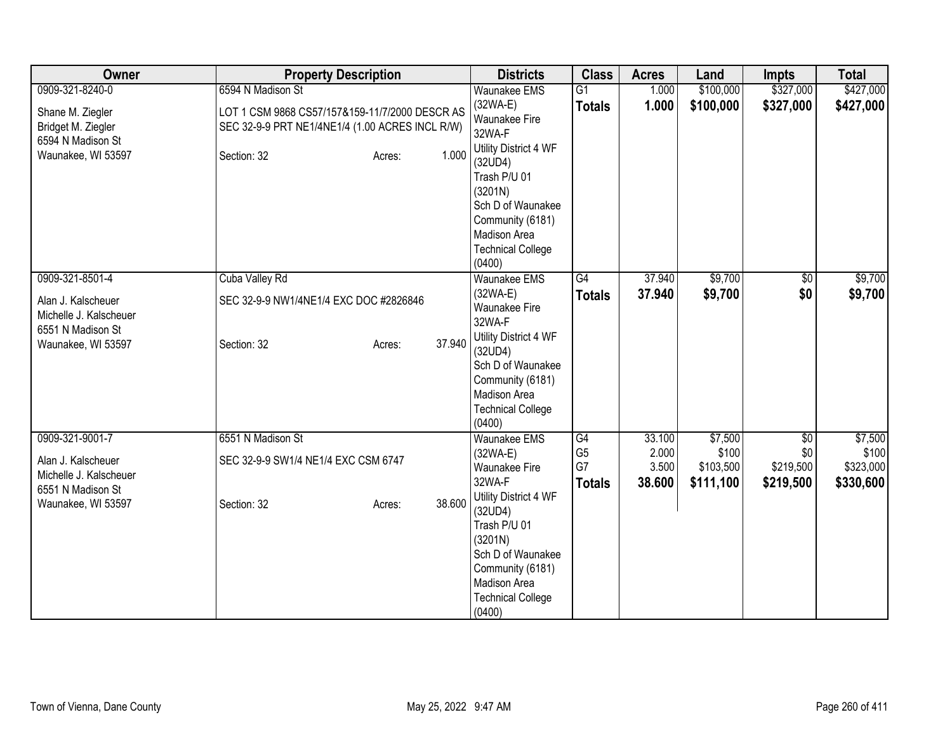| Owner                  | <b>Property Description</b>                     |                  | <b>Districts</b>                         | <b>Class</b>   | <b>Acres</b> | Land      | <b>Impts</b>    | <b>Total</b> |
|------------------------|-------------------------------------------------|------------------|------------------------------------------|----------------|--------------|-----------|-----------------|--------------|
| 0909-321-8240-0        | 6594 N Madison St                               |                  | <b>Waunakee EMS</b>                      | G1             | 1.000        | \$100,000 | \$327,000       | \$427,000    |
| Shane M. Ziegler       | LOT 1 CSM 9868 CS57/157&159-11/7/2000 DESCR AS  |                  | $(32WA-E)$                               | <b>Totals</b>  | 1.000        | \$100,000 | \$327,000       | \$427,000    |
| Bridget M. Ziegler     | SEC 32-9-9 PRT NE1/4NE1/4 (1.00 ACRES INCL R/W) |                  | Waunakee Fire                            |                |              |           |                 |              |
| 6594 N Madison St      |                                                 |                  | 32WA-F                                   |                |              |           |                 |              |
| Waunakee, WI 53597     | Section: 32                                     | 1.000<br>Acres:  | Utility District 4 WF<br>(32UD4)         |                |              |           |                 |              |
|                        |                                                 |                  | Trash P/U 01                             |                |              |           |                 |              |
|                        |                                                 |                  | (3201N)                                  |                |              |           |                 |              |
|                        |                                                 |                  | Sch D of Waunakee                        |                |              |           |                 |              |
|                        |                                                 |                  | Community (6181)                         |                |              |           |                 |              |
|                        |                                                 |                  | Madison Area                             |                |              |           |                 |              |
|                        |                                                 |                  | <b>Technical College</b>                 |                |              |           |                 |              |
|                        |                                                 |                  | (0400)                                   |                |              |           |                 |              |
| 0909-321-8501-4        | Cuba Valley Rd                                  |                  | <b>Waunakee EMS</b>                      | G4             | 37.940       | \$9,700   | $\overline{60}$ | \$9,700      |
| Alan J. Kalscheuer     | SEC 32-9-9 NW1/4NE1/4 EXC DOC #2826846          |                  | $(32WA-E)$<br>Waunakee Fire              | <b>Totals</b>  | 37.940       | \$9,700   | \$0             | \$9,700      |
| Michelle J. Kalscheuer |                                                 |                  | 32WA-F                                   |                |              |           |                 |              |
| 6551 N Madison St      |                                                 |                  | Utility District 4 WF                    |                |              |           |                 |              |
| Waunakee, WI 53597     | Section: 32                                     | 37.940<br>Acres: | (32UD4)                                  |                |              |           |                 |              |
|                        |                                                 |                  | Sch D of Waunakee                        |                |              |           |                 |              |
|                        |                                                 |                  | Community (6181)                         |                |              |           |                 |              |
|                        |                                                 |                  | Madison Area                             |                |              |           |                 |              |
|                        |                                                 |                  | <b>Technical College</b>                 |                |              |           |                 |              |
| 0909-321-9001-7        | 6551 N Madison St                               |                  | (0400)<br><b>Waunakee EMS</b>            | G4             | 33.100       | \$7,500   | $\overline{50}$ | \$7,500      |
|                        |                                                 |                  | $(32WA-E)$                               | G <sub>5</sub> | 2.000        | \$100     | \$0             | \$100        |
| Alan J. Kalscheuer     | SEC 32-9-9 SW1/4 NE1/4 EXC CSM 6747             |                  | <b>Waunakee Fire</b>                     | G7             | 3.500        | \$103,500 | \$219,500       | \$323,000    |
| Michelle J. Kalscheuer |                                                 |                  | 32WA-F                                   | <b>Totals</b>  | 38.600       | \$111,100 | \$219,500       | \$330,600    |
| 6551 N Madison St      |                                                 |                  | Utility District 4 WF                    |                |              |           |                 |              |
| Waunakee, WI 53597     | Section: 32                                     | 38.600<br>Acres: | (32UD4)                                  |                |              |           |                 |              |
|                        |                                                 |                  | Trash P/U 01                             |                |              |           |                 |              |
|                        |                                                 |                  | (3201N)                                  |                |              |           |                 |              |
|                        |                                                 |                  | Sch D of Waunakee                        |                |              |           |                 |              |
|                        |                                                 |                  | Community (6181)                         |                |              |           |                 |              |
|                        |                                                 |                  | Madison Area<br><b>Technical College</b> |                |              |           |                 |              |
|                        |                                                 |                  | (0400)                                   |                |              |           |                 |              |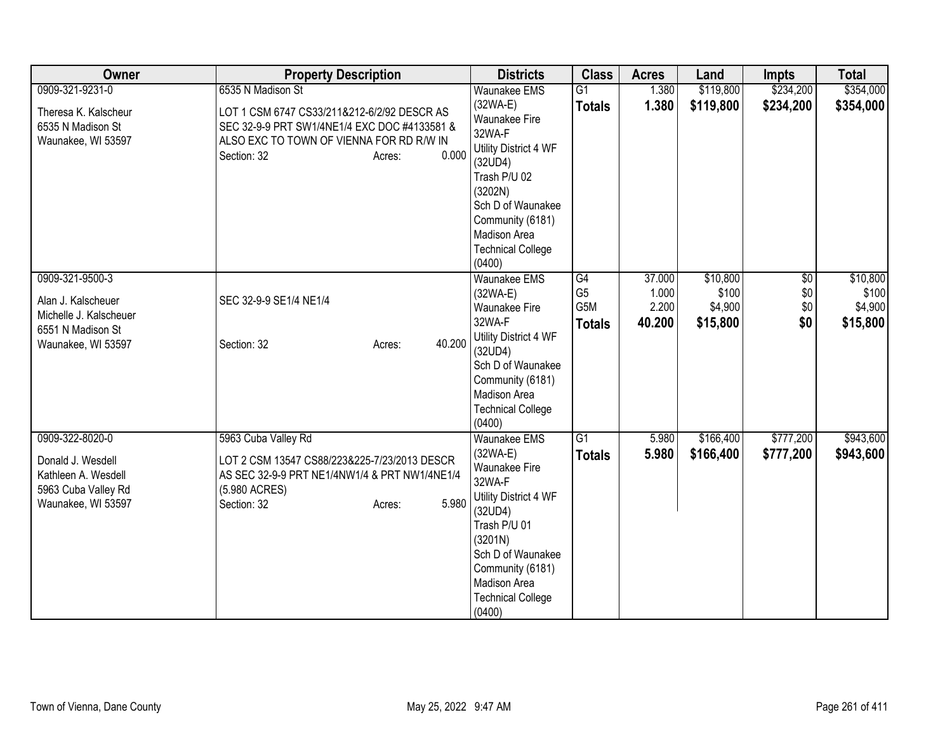| Owner                                                                                                      | <b>Property Description</b>                                                                                                                                                                    | <b>Districts</b>                                                                                                                                                                                                                  | <b>Class</b>                                 | <b>Acres</b>                       | Land                                     | <b>Impts</b>                         | <b>Total</b>                             |
|------------------------------------------------------------------------------------------------------------|------------------------------------------------------------------------------------------------------------------------------------------------------------------------------------------------|-----------------------------------------------------------------------------------------------------------------------------------------------------------------------------------------------------------------------------------|----------------------------------------------|------------------------------------|------------------------------------------|--------------------------------------|------------------------------------------|
| 0909-321-9231-0<br>Theresa K. Kalscheur<br>6535 N Madison St<br>Waunakee, WI 53597                         | 6535 N Madison St<br>LOT 1 CSM 6747 CS33/211&212-6/2/92 DESCR AS<br>SEC 32-9-9 PRT SW1/4NE1/4 EXC DOC #4133581 &<br>ALSO EXC TO TOWN OF VIENNA FOR RD R/W IN<br>0.000<br>Section: 32<br>Acres: | <b>Waunakee EMS</b><br>$(32WA-E)$<br><b>Waunakee Fire</b><br>32WA-F<br>Utility District 4 WF<br>(32UD4)<br>Trash P/U 02<br>(3202N)<br>Sch D of Waunakee<br>Community (6181)<br>Madison Area<br><b>Technical College</b><br>(0400) | $\overline{G1}$<br><b>Totals</b>             | 1.380<br>1.380                     | \$119,800<br>\$119,800                   | \$234,200<br>\$234,200               | \$354,000<br>\$354,000                   |
| 0909-321-9500-3<br>Alan J. Kalscheuer<br>Michelle J. Kalscheuer<br>6551 N Madison St<br>Waunakee, WI 53597 | SEC 32-9-9 SE1/4 NE1/4<br>40.200<br>Section: 32<br>Acres:                                                                                                                                      | Waunakee EMS<br>$(32WA-E)$<br>Waunakee Fire<br>32WA-F<br>Utility District 4 WF<br>(32UD4)<br>Sch D of Waunakee<br>Community (6181)<br>Madison Area<br><b>Technical College</b><br>(0400)                                          | G4<br>G <sub>5</sub><br>G5M<br><b>Totals</b> | 37.000<br>1.000<br>2.200<br>40.200 | \$10,800<br>\$100<br>\$4,900<br>\$15,800 | $\overline{50}$<br>\$0<br>\$0<br>\$0 | \$10,800<br>\$100<br>\$4,900<br>\$15,800 |
| 0909-322-8020-0<br>Donald J. Wesdell<br>Kathleen A. Wesdell<br>5963 Cuba Valley Rd<br>Waunakee, WI 53597   | 5963 Cuba Valley Rd<br>LOT 2 CSM 13547 CS88/223&225-7/23/2013 DESCR<br>AS SEC 32-9-9 PRT NE1/4NW1/4 & PRT NW1/4NE1/4<br>(5.980 ACRES)<br>5.980<br>Section: 32<br>Acres:                        | <b>Waunakee EMS</b><br>$(32WA-E)$<br><b>Waunakee Fire</b><br>32WA-F<br>Utility District 4 WF<br>(32UD4)<br>Trash P/U 01<br>(3201N)<br>Sch D of Waunakee<br>Community (6181)<br>Madison Area<br><b>Technical College</b><br>(0400) | $\overline{G1}$<br><b>Totals</b>             | 5.980<br>5.980                     | \$166,400<br>\$166,400                   | \$777,200<br>\$777,200               | \$943,600<br>\$943,600                   |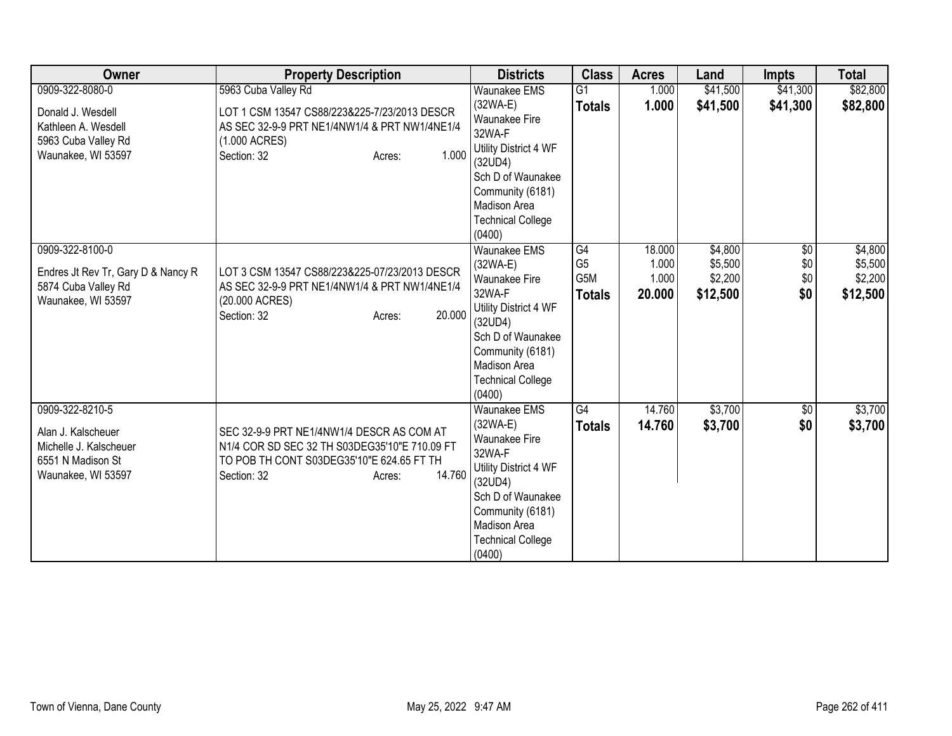| Owner                                                                                                      | <b>Property Description</b>                                                                                                                                                | <b>Districts</b>                                                                                                                                                                              | <b>Class</b>                                 | <b>Acres</b>                       | Land                                      | <b>Impts</b>                         | <b>Total</b>                              |
|------------------------------------------------------------------------------------------------------------|----------------------------------------------------------------------------------------------------------------------------------------------------------------------------|-----------------------------------------------------------------------------------------------------------------------------------------------------------------------------------------------|----------------------------------------------|------------------------------------|-------------------------------------------|--------------------------------------|-------------------------------------------|
| 0909-322-8080-0<br>Donald J. Wesdell<br>Kathleen A. Wesdell<br>5963 Cuba Valley Rd<br>Waunakee, WI 53597   | 5963 Cuba Valley Rd<br>LOT 1 CSM 13547 CS88/223&225-7/23/2013 DESCR<br>AS SEC 32-9-9 PRT NE1/4NW1/4 & PRT NW1/4NE1/4<br>(1.000 ACRES)<br>1.000<br>Section: 32<br>Acres:    | <b>Waunakee EMS</b><br>(32WA-E)<br>Waunakee Fire<br>32WA-F<br>Utility District 4 WF<br>(32UD4)<br>Sch D of Waunakee<br>Community (6181)<br>Madison Area<br><b>Technical College</b><br>(0400) | G1<br><b>Totals</b>                          | 1.000<br>1.000                     | \$41,500<br>\$41,500                      | \$41,300<br>\$41,300                 | \$82,800<br>\$82,800                      |
| 0909-322-8100-0<br>Endres Jt Rev Tr, Gary D & Nancy R<br>5874 Cuba Valley Rd<br>Waunakee, WI 53597         | LOT 3 CSM 13547 CS88/223&225-07/23/2013 DESCR<br>AS SEC 32-9-9 PRT NE1/4NW1/4 & PRT NW1/4NE1/4<br>(20.000 ACRES)<br>20.000<br>Section: 32<br>Acres:                        | <b>Waunakee EMS</b><br>(32WA-E)<br>Waunakee Fire<br>32WA-F<br>Utility District 4 WF<br>(32UD4)<br>Sch D of Waunakee<br>Community (6181)<br>Madison Area<br><b>Technical College</b><br>(0400) | G4<br>G <sub>5</sub><br>G5M<br><b>Totals</b> | 18.000<br>1.000<br>1.000<br>20.000 | \$4,800<br>\$5,500<br>\$2,200<br>\$12,500 | $\overline{50}$<br>\$0<br>\$0<br>\$0 | \$4,800<br>\$5,500<br>\$2,200<br>\$12,500 |
| 0909-322-8210-5<br>Alan J. Kalscheuer<br>Michelle J. Kalscheuer<br>6551 N Madison St<br>Waunakee, WI 53597 | SEC 32-9-9 PRT NE1/4NW1/4 DESCR AS COM AT<br>N1/4 COR SD SEC 32 TH S03DEG35'10"E 710.09 FT<br>TO POB TH CONT S03DEG35'10"E 624.65 FT TH<br>14.760<br>Section: 32<br>Acres: | Waunakee EMS<br>$(32WA-E)$<br>Waunakee Fire<br>32WA-F<br>Utility District 4 WF<br>(32UD4)<br>Sch D of Waunakee<br>Community (6181)<br>Madison Area<br><b>Technical College</b><br>(0400)      | G4<br><b>Totals</b>                          | 14.760<br>14.760                   | \$3,700<br>\$3,700                        | \$0<br>\$0                           | \$3,700<br>\$3,700                        |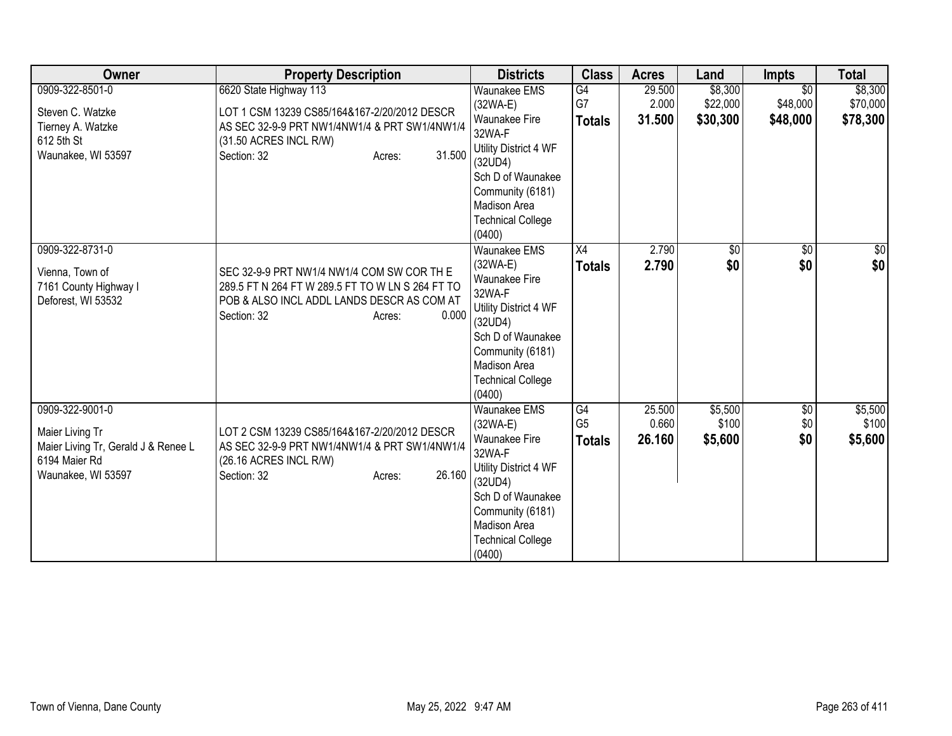| Owner                                                                                                            | <b>Property Description</b>                                                                                                                                                          | <b>Districts</b>                                                                                                                                                                                     | <b>Class</b>                          | <b>Acres</b>              | Land                            | <b>Impts</b>                            | <b>Total</b>                    |
|------------------------------------------------------------------------------------------------------------------|--------------------------------------------------------------------------------------------------------------------------------------------------------------------------------------|------------------------------------------------------------------------------------------------------------------------------------------------------------------------------------------------------|---------------------------------------|---------------------------|---------------------------------|-----------------------------------------|---------------------------------|
| 0909-322-8501-0<br>Steven C. Watzke<br>Tierney A. Watzke<br>612 5th St<br>Waunakee, WI 53597                     | 6620 State Highway 113<br>LOT 1 CSM 13239 CS85/164&167-2/20/2012 DESCR<br>AS SEC 32-9-9 PRT NW1/4NW1/4 & PRT SW1/4NW1/4<br>(31.50 ACRES INCL R/W)<br>31.500<br>Section: 32<br>Acres: | <b>Waunakee EMS</b><br>(32WA-E)<br>Waunakee Fire<br>32WA-F<br>Utility District 4 WF<br>(32UD4)<br>Sch D of Waunakee<br>Community (6181)<br>Madison Area<br><b>Technical College</b><br>(0400)        | G4<br>G7<br><b>Totals</b>             | 29.500<br>2.000<br>31.500 | \$8,300<br>\$22,000<br>\$30,300 | $\overline{50}$<br>\$48,000<br>\$48,000 | \$8,300<br>\$70,000<br>\$78,300 |
| 0909-322-8731-0<br>Vienna, Town of<br>7161 County Highway I<br>Deforest, WI 53532                                | SEC 32-9-9 PRT NW1/4 NW1/4 COM SW COR TH E<br>289.5 FT N 264 FT W 289.5 FT TO W LN S 264 FT TO<br>POB & ALSO INCL ADDL LANDS DESCR AS COM AT<br>0.000<br>Section: 32<br>Acres:       | <b>Waunakee EMS</b><br>(32WA-E)<br><b>Waunakee Fire</b><br>32WA-F<br>Utility District 4 WF<br>(32UD4)<br>Sch D of Waunakee<br>Community (6181)<br>Madison Area<br><b>Technical College</b><br>(0400) | X4<br><b>Totals</b>                   | 2.790<br>2.790            | $\sqrt{6}$<br>\$0               | $\overline{50}$<br>\$0                  | \$0<br>\$0                      |
| 0909-322-9001-0<br>Maier Living Tr<br>Maier Living Tr, Gerald J & Renee L<br>6194 Maier Rd<br>Waunakee, WI 53597 | LOT 2 CSM 13239 CS85/164&167-2/20/2012 DESCR<br>AS SEC 32-9-9 PRT NW1/4NW1/4 & PRT SW1/4NW1/4<br>(26.16 ACRES INCL R/W)<br>26.160<br>Section: 32<br>Acres:                           | Waunakee EMS<br>(32WA-E)<br><b>Waunakee Fire</b><br>32WA-F<br>Utility District 4 WF<br>(32UD4)<br>Sch D of Waunakee<br>Community (6181)<br>Madison Area<br><b>Technical College</b><br>(0400)        | G4<br>G <sub>5</sub><br><b>Totals</b> | 25.500<br>0.660<br>26.160 | \$5,500<br>\$100<br>\$5,600     | $\sqrt{$0}$<br>\$0<br>\$0               | \$5,500<br>\$100<br>\$5,600     |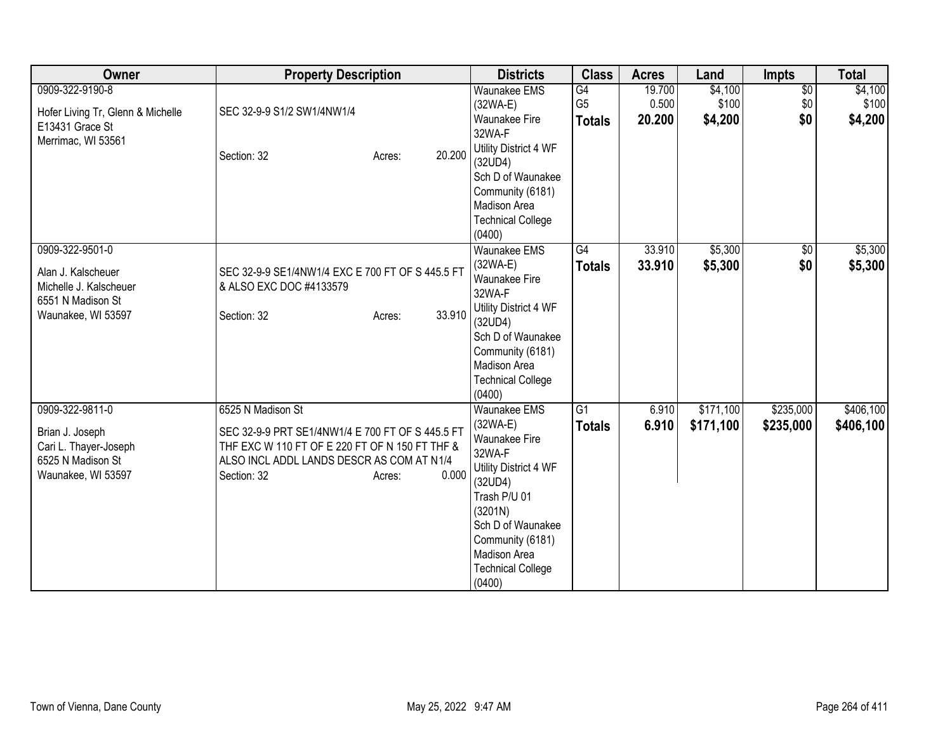| Owner                                                                                                      | <b>Property Description</b>                                                                                                                                                                            | <b>Districts</b>                                                                                                                                                                                                           | <b>Class</b>                                       | <b>Acres</b>              | Land                        | <b>Impts</b>                  | <b>Total</b>                |
|------------------------------------------------------------------------------------------------------------|--------------------------------------------------------------------------------------------------------------------------------------------------------------------------------------------------------|----------------------------------------------------------------------------------------------------------------------------------------------------------------------------------------------------------------------------|----------------------------------------------------|---------------------------|-----------------------------|-------------------------------|-----------------------------|
| 0909-322-9190-8<br>Hofer Living Tr, Glenn & Michelle<br>E13431 Grace St<br>Merrimac, WI 53561              | SEC 32-9-9 S1/2 SW1/4NW1/4<br>20.200<br>Section: 32<br>Acres:                                                                                                                                          | <b>Waunakee EMS</b><br>$(32WA-E)$<br>Waunakee Fire<br>32WA-F<br>Utility District 4 WF<br>(32UD4)<br>Sch D of Waunakee<br>Community (6181)<br><b>Madison Area</b><br><b>Technical College</b><br>(0400)                     | $\overline{G4}$<br>G <sub>5</sub><br><b>Totals</b> | 19.700<br>0.500<br>20.200 | \$4,100<br>\$100<br>\$4,200 | $\overline{60}$<br>\$0<br>\$0 | \$4,100<br>\$100<br>\$4,200 |
| 0909-322-9501-0<br>Alan J. Kalscheuer<br>Michelle J. Kalscheuer<br>6551 N Madison St<br>Waunakee, WI 53597 | SEC 32-9-9 SE1/4NW1/4 EXC E 700 FT OF S 445.5 FT<br>& ALSO EXC DOC #4133579<br>33.910<br>Section: 32<br>Acres:                                                                                         | Waunakee EMS<br>$(32WA-E)$<br>Waunakee Fire<br>32WA-F<br>Utility District 4 WF<br>(32UD4)<br>Sch D of Waunakee<br>Community (6181)<br>Madison Area<br><b>Technical College</b><br>(0400)                                   | $\overline{G4}$<br><b>Totals</b>                   | 33.910<br>33.910          | \$5,300<br>\$5,300          | \$0<br>\$0                    | \$5,300<br>\$5,300          |
| 0909-322-9811-0<br>Brian J. Joseph<br>Cari L. Thayer-Joseph<br>6525 N Madison St<br>Waunakee, WI 53597     | 6525 N Madison St<br>SEC 32-9-9 PRT SE1/4NW1/4 E 700 FT OF S 445.5 FT<br>THF EXC W 110 FT OF E 220 FT OF N 150 FT THF &<br>ALSO INCL ADDL LANDS DESCR AS COM AT N1/4<br>0.000<br>Section: 32<br>Acres: | <b>Waunakee EMS</b><br>$(32WA-E)$<br>Waunakee Fire<br>32WA-F<br>Utility District 4 WF<br>(32UD4)<br>Trash P/U 01<br>(3201N)<br>Sch D of Waunakee<br>Community (6181)<br>Madison Area<br><b>Technical College</b><br>(0400) | $\overline{G1}$<br><b>Totals</b>                   | 6.910<br>6.910            | \$171,100<br>\$171,100      | \$235,000<br>\$235,000        | \$406,100<br>\$406,100      |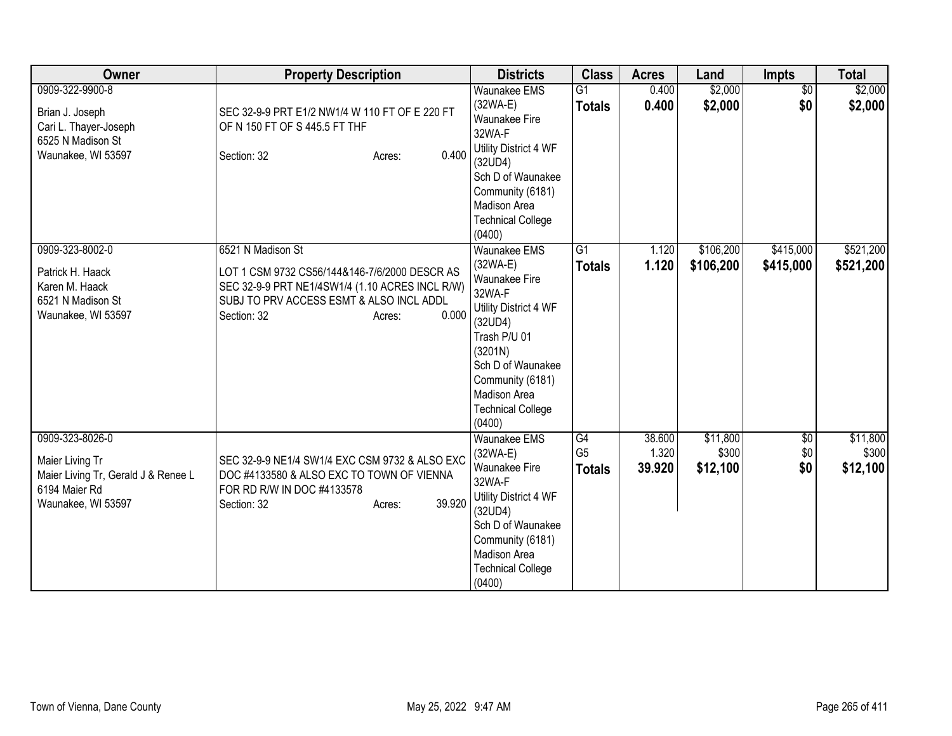| Owner                               | <b>Property Description</b>                     | <b>Districts</b>                   | <b>Class</b>    | <b>Acres</b> | Land      | <b>Impts</b>    | <b>Total</b> |
|-------------------------------------|-------------------------------------------------|------------------------------------|-----------------|--------------|-----------|-----------------|--------------|
| 0909-322-9900-8                     |                                                 | <b>Waunakee EMS</b>                | $\overline{G1}$ | 0.400        | \$2,000   | $\overline{50}$ | \$2,000      |
| Brian J. Joseph                     | SEC 32-9-9 PRT E1/2 NW1/4 W 110 FT OF E 220 FT  | $(32WA-E)$                         | <b>Totals</b>   | 0.400        | \$2,000   | \$0             | \$2,000      |
| Cari L. Thayer-Joseph               | OF N 150 FT OF S 445.5 FT THF                   | <b>Waunakee Fire</b>               |                 |              |           |                 |              |
| 6525 N Madison St                   |                                                 | 32WA-F                             |                 |              |           |                 |              |
| Waunakee, WI 53597                  | 0.400<br>Section: 32<br>Acres:                  | Utility District 4 WF              |                 |              |           |                 |              |
|                                     |                                                 | (32UD4)                            |                 |              |           |                 |              |
|                                     |                                                 | Sch D of Waunakee                  |                 |              |           |                 |              |
|                                     |                                                 | Community (6181)                   |                 |              |           |                 |              |
|                                     |                                                 | Madison Area                       |                 |              |           |                 |              |
|                                     |                                                 | <b>Technical College</b><br>(0400) |                 |              |           |                 |              |
| 0909-323-8002-0                     | 6521 N Madison St                               | <b>Waunakee EMS</b>                | $\overline{G1}$ | 1.120        | \$106,200 | \$415,000       | \$521,200    |
|                                     |                                                 | (32WA-E)                           |                 | 1.120        | \$106,200 | \$415,000       | \$521,200    |
| Patrick H. Haack                    | LOT 1 CSM 9732 CS56/144&146-7/6/2000 DESCR AS   | Waunakee Fire                      | <b>Totals</b>   |              |           |                 |              |
| Karen M. Haack                      | SEC 32-9-9 PRT NE1/4SW1/4 (1.10 ACRES INCL R/W) | 32WA-F                             |                 |              |           |                 |              |
| 6521 N Madison St                   | SUBJ TO PRV ACCESS ESMT & ALSO INCL ADDL        | Utility District 4 WF              |                 |              |           |                 |              |
| Waunakee, WI 53597                  | 0.000<br>Section: 32<br>Acres:                  | (32UD4)                            |                 |              |           |                 |              |
|                                     |                                                 | Trash P/U 01                       |                 |              |           |                 |              |
|                                     |                                                 | (3201N)                            |                 |              |           |                 |              |
|                                     |                                                 | Sch D of Waunakee                  |                 |              |           |                 |              |
|                                     |                                                 | Community (6181)                   |                 |              |           |                 |              |
|                                     |                                                 | Madison Area                       |                 |              |           |                 |              |
|                                     |                                                 | <b>Technical College</b>           |                 |              |           |                 |              |
|                                     |                                                 | (0400)                             |                 |              |           |                 |              |
| 0909-323-8026-0                     |                                                 | <b>Waunakee EMS</b>                | G4              | 38.600       | \$11,800  | \$0             | \$11,800     |
| Maier Living Tr                     | SEC 32-9-9 NE1/4 SW1/4 EXC CSM 9732 & ALSO EXC  | (32WA-E)                           | G <sub>5</sub>  | 1.320        | \$300     | \$0             | \$300        |
| Maier Living Tr, Gerald J & Renee L | DOC #4133580 & ALSO EXC TO TOWN OF VIENNA       | <b>Waunakee Fire</b>               | <b>Totals</b>   | 39.920       | \$12,100  | \$0             | \$12,100     |
| 6194 Maier Rd                       | FOR RD R/W IN DOC #4133578                      | 32WA-F                             |                 |              |           |                 |              |
| Waunakee, WI 53597                  | 39.920<br>Section: 32<br>Acres:                 | Utility District 4 WF<br>(32UD4)   |                 |              |           |                 |              |
|                                     |                                                 | Sch D of Waunakee                  |                 |              |           |                 |              |
|                                     |                                                 | Community (6181)                   |                 |              |           |                 |              |
|                                     |                                                 | Madison Area                       |                 |              |           |                 |              |
|                                     |                                                 | <b>Technical College</b>           |                 |              |           |                 |              |
|                                     |                                                 | (0400)                             |                 |              |           |                 |              |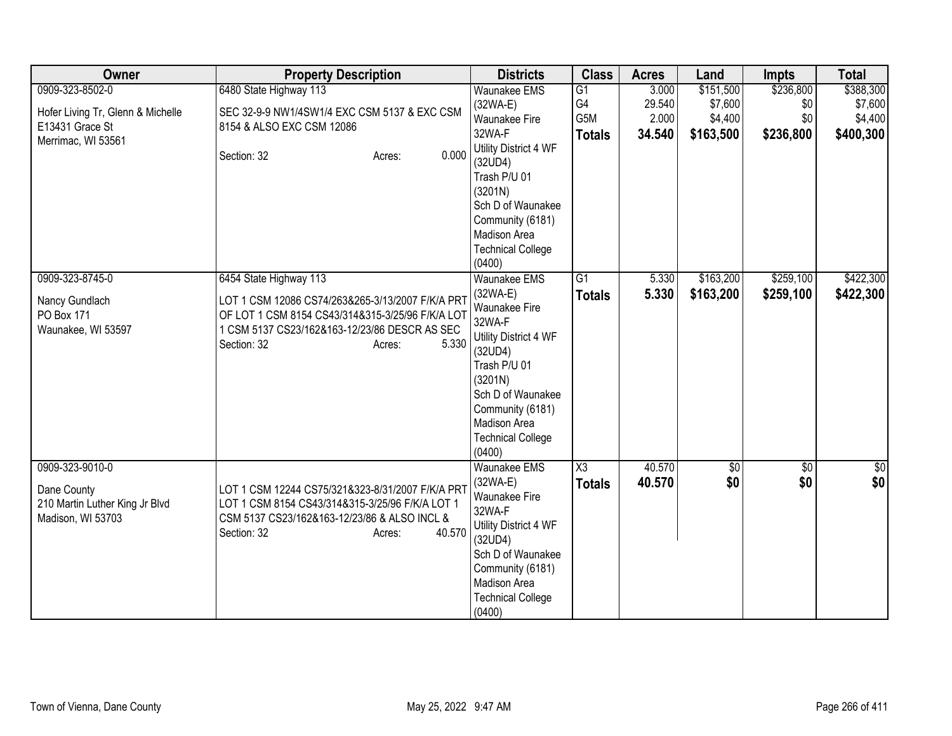| Owner                                               | <b>Property Description</b>                                                                     | <b>Districts</b>                   | <b>Class</b>        | <b>Acres</b> | Land      | <b>Impts</b>    | <b>Total</b> |
|-----------------------------------------------------|-------------------------------------------------------------------------------------------------|------------------------------------|---------------------|--------------|-----------|-----------------|--------------|
| 0909-323-8502-0                                     | 6480 State Highway 113                                                                          | Waunakee EMS                       | $\overline{G1}$     | 3.000        | \$151,500 | \$236,800       | \$388,300    |
| Hofer Living Tr, Glenn & Michelle                   | SEC 32-9-9 NW1/4SW1/4 EXC CSM 5137 & EXC CSM                                                    | $(32WA-E)$                         | G4                  | 29.540       | \$7,600   | \$0             | \$7,600      |
| E13431 Grace St                                     | 8154 & ALSO EXC CSM 12086                                                                       | <b>Waunakee Fire</b>               | G5M                 | 2.000        | \$4,400   | \$0             | \$4,400      |
| Merrimac, WI 53561                                  |                                                                                                 | 32WA-F                             | <b>Totals</b>       | 34.540       | \$163,500 | \$236,800       | \$400,300    |
|                                                     | 0.000<br>Section: 32<br>Acres:                                                                  | Utility District 4 WF<br>(32UD4)   |                     |              |           |                 |              |
|                                                     |                                                                                                 | Trash P/U 01                       |                     |              |           |                 |              |
|                                                     |                                                                                                 | (3201N)                            |                     |              |           |                 |              |
|                                                     |                                                                                                 | Sch D of Waunakee                  |                     |              |           |                 |              |
|                                                     |                                                                                                 | Community (6181)                   |                     |              |           |                 |              |
|                                                     |                                                                                                 | Madison Area                       |                     |              |           |                 |              |
|                                                     |                                                                                                 | <b>Technical College</b>           |                     |              |           |                 |              |
|                                                     |                                                                                                 | (0400)                             |                     |              |           |                 |              |
| 0909-323-8745-0                                     | 6454 State Highway 113                                                                          | <b>Waunakee EMS</b>                | G1                  | 5.330        | \$163,200 | \$259,100       | \$422,300    |
| Nancy Gundlach                                      | LOT 1 CSM 12086 CS74/263&265-3/13/2007 F/K/A PRT                                                | $(32WA-E)$<br>Waunakee Fire        | <b>Totals</b>       | 5.330        | \$163,200 | \$259,100       | \$422,300    |
| PO Box 171                                          | OF LOT 1 CSM 8154 CS43/314&315-3/25/96 F/K/A LOT                                                | 32WA-F                             |                     |              |           |                 |              |
| Waunakee, WI 53597                                  | 1 CSM 5137 CS23/162&163-12/23/86 DESCR AS SEC                                                   | Utility District 4 WF              |                     |              |           |                 |              |
|                                                     | 5.330<br>Section: 32<br>Acres:                                                                  | (32UD4)                            |                     |              |           |                 |              |
|                                                     |                                                                                                 | Trash P/U 01                       |                     |              |           |                 |              |
|                                                     |                                                                                                 | (3201N)                            |                     |              |           |                 |              |
|                                                     |                                                                                                 | Sch D of Waunakee                  |                     |              |           |                 |              |
|                                                     |                                                                                                 | Community (6181)                   |                     |              |           |                 |              |
|                                                     |                                                                                                 | Madison Area                       |                     |              |           |                 |              |
|                                                     |                                                                                                 | <b>Technical College</b><br>(0400) |                     |              |           |                 |              |
| 0909-323-9010-0                                     |                                                                                                 | <b>Waunakee EMS</b>                | $\overline{\chi_3}$ | 40.570       | \$0       | $\overline{50}$ | \$0          |
|                                                     |                                                                                                 | (32WA-E)                           | <b>Totals</b>       | 40.570       | \$0       | \$0             | \$0          |
| Dane County                                         | LOT 1 CSM 12244 CS75/321&323-8/31/2007 F/K/A PR                                                 | Waunakee Fire                      |                     |              |           |                 |              |
| 210 Martin Luther King Jr Blvd<br>Madison, WI 53703 | LOT 1 CSM 8154 CS43/314&315-3/25/96 F/K/A LOT 1<br>CSM 5137 CS23/162&163-12/23/86 & ALSO INCL & | 32WA-F                             |                     |              |           |                 |              |
|                                                     | 40.570<br>Section: 32<br>Acres:                                                                 | Utility District 4 WF              |                     |              |           |                 |              |
|                                                     |                                                                                                 | (32UD4)                            |                     |              |           |                 |              |
|                                                     |                                                                                                 | Sch D of Waunakee                  |                     |              |           |                 |              |
|                                                     |                                                                                                 | Community (6181)<br>Madison Area   |                     |              |           |                 |              |
|                                                     |                                                                                                 | <b>Technical College</b>           |                     |              |           |                 |              |
|                                                     |                                                                                                 | (0400)                             |                     |              |           |                 |              |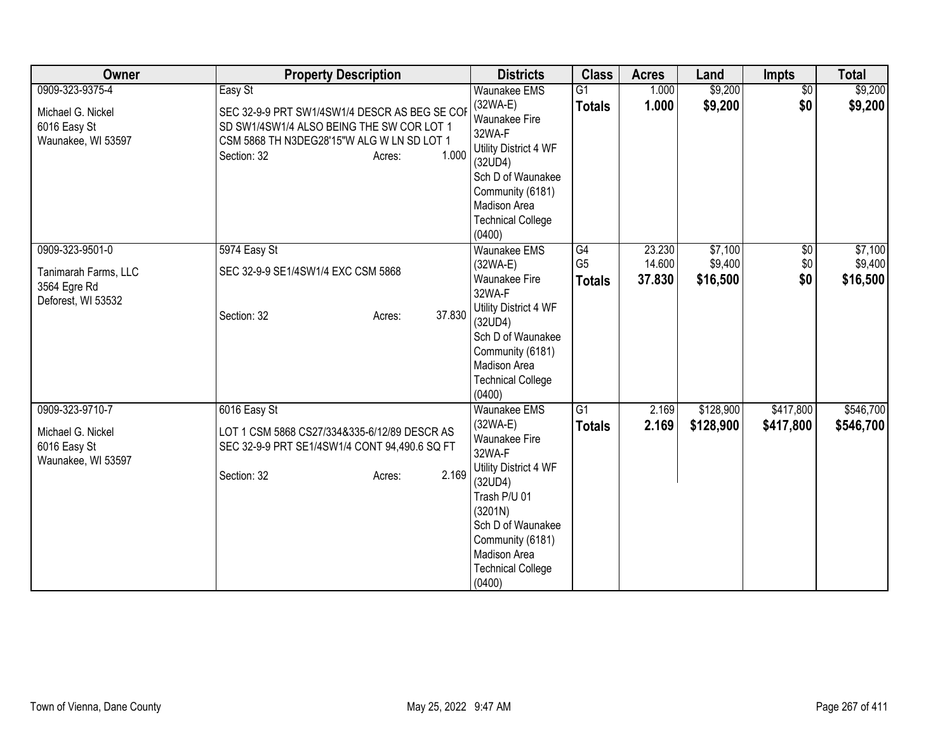| Owner                | <b>Property Description</b>                   | <b>Districts</b>                 | <b>Class</b>    | <b>Acres</b> | Land      | <b>Impts</b>    | <b>Total</b> |
|----------------------|-----------------------------------------------|----------------------------------|-----------------|--------------|-----------|-----------------|--------------|
| 0909-323-9375-4      | Easy St                                       | <b>Waunakee EMS</b>              | G1              | 1.000        | \$9,200   | $\overline{60}$ | \$9,200      |
| Michael G. Nickel    | SEC 32-9-9 PRT SW1/4SW1/4 DESCR AS BEG SE COP | $(32WA-E)$                       | <b>Totals</b>   | 1.000        | \$9,200   | \$0             | \$9,200      |
| 6016 Easy St         | SD SW1/4SW1/4 ALSO BEING THE SW COR LOT 1     | <b>Waunakee Fire</b>             |                 |              |           |                 |              |
| Waunakee, WI 53597   | CSM 5868 TH N3DEG28'15"W ALG W LN SD LOT 1    | 32WA-F                           |                 |              |           |                 |              |
|                      | 1.000<br>Section: 32<br>Acres:                | Utility District 4 WF<br>(32UD4) |                 |              |           |                 |              |
|                      |                                               | Sch D of Waunakee                |                 |              |           |                 |              |
|                      |                                               | Community (6181)                 |                 |              |           |                 |              |
|                      |                                               | Madison Area                     |                 |              |           |                 |              |
|                      |                                               | <b>Technical College</b>         |                 |              |           |                 |              |
|                      |                                               | (0400)                           |                 |              |           |                 |              |
| 0909-323-9501-0      | 5974 Easy St                                  | <b>Waunakee EMS</b>              | G4              | 23.230       | \$7,100   | $\overline{50}$ | \$7,100      |
| Tanimarah Farms, LLC | SEC 32-9-9 SE1/4SW1/4 EXC CSM 5868            | $(32WA-E)$                       | G <sub>5</sub>  | 14.600       | \$9,400   | \$0             | \$9,400      |
| 3564 Egre Rd         |                                               | Waunakee Fire                    | <b>Totals</b>   | 37.830       | \$16,500  | \$0             | \$16,500     |
| Deforest, WI 53532   |                                               | 32WA-F                           |                 |              |           |                 |              |
|                      | 37.830<br>Section: 32<br>Acres:               | Utility District 4 WF            |                 |              |           |                 |              |
|                      |                                               | (32UD4)                          |                 |              |           |                 |              |
|                      |                                               | Sch D of Waunakee                |                 |              |           |                 |              |
|                      |                                               | Community (6181)                 |                 |              |           |                 |              |
|                      |                                               | Madison Area                     |                 |              |           |                 |              |
|                      |                                               | <b>Technical College</b>         |                 |              |           |                 |              |
|                      |                                               | (0400)                           |                 |              |           |                 |              |
| 0909-323-9710-7      | 6016 Easy St                                  | <b>Waunakee EMS</b>              | $\overline{G1}$ | 2.169        | \$128,900 | \$417,800       | \$546,700    |
| Michael G. Nickel    | LOT 1 CSM 5868 CS27/334&335-6/12/89 DESCR AS  | $(32WA-E)$                       | <b>Totals</b>   | 2.169        | \$128,900 | \$417,800       | \$546,700    |
| 6016 Easy St         | SEC 32-9-9 PRT SE1/4SW1/4 CONT 94,490.6 SQ FT | <b>Waunakee Fire</b><br>32WA-F   |                 |              |           |                 |              |
| Waunakee, WI 53597   |                                               | Utility District 4 WF            |                 |              |           |                 |              |
|                      | 2.169<br>Section: 32<br>Acres:                | (32UD4)                          |                 |              |           |                 |              |
|                      |                                               | Trash P/U 01                     |                 |              |           |                 |              |
|                      |                                               | (3201N)                          |                 |              |           |                 |              |
|                      |                                               | Sch D of Waunakee                |                 |              |           |                 |              |
|                      |                                               | Community (6181)                 |                 |              |           |                 |              |
|                      |                                               | Madison Area                     |                 |              |           |                 |              |
|                      |                                               | <b>Technical College</b>         |                 |              |           |                 |              |
|                      |                                               | (0400)                           |                 |              |           |                 |              |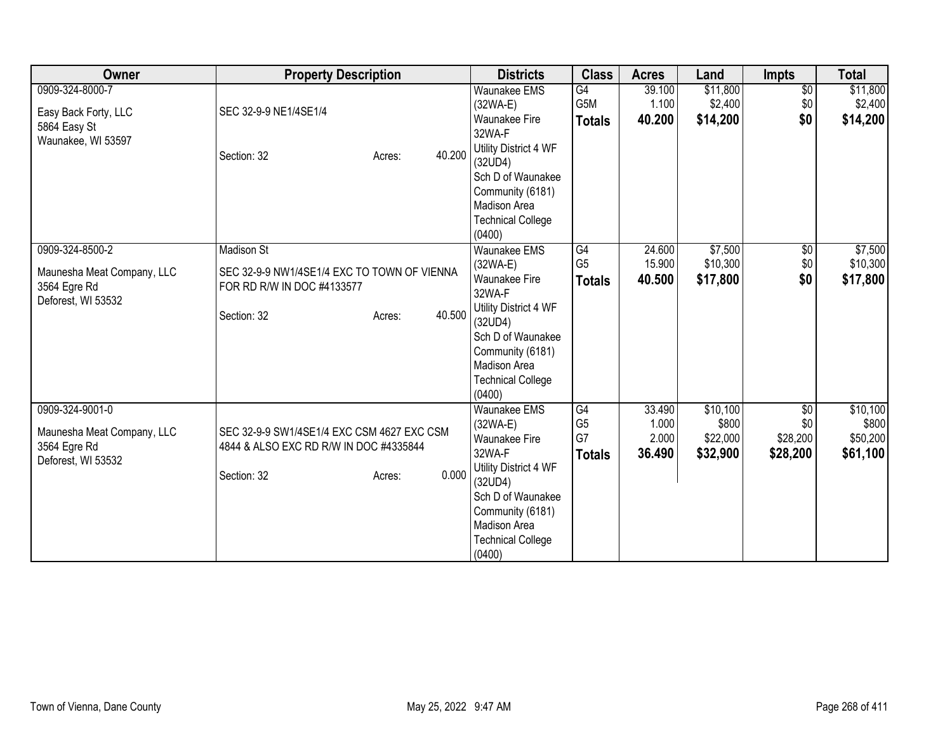| Owner                                                                               | <b>Property Description</b>                                                                                                       | <b>Districts</b>                                                                                                                                                                                     | <b>Class</b>                                | <b>Acres</b>                       | Land                                      | <b>Impts</b>                                   | <b>Total</b>                              |
|-------------------------------------------------------------------------------------|-----------------------------------------------------------------------------------------------------------------------------------|------------------------------------------------------------------------------------------------------------------------------------------------------------------------------------------------------|---------------------------------------------|------------------------------------|-------------------------------------------|------------------------------------------------|-------------------------------------------|
| 0909-324-8000-7<br>Easy Back Forty, LLC<br>5864 Easy St<br>Waunakee, WI 53597       | SEC 32-9-9 NE1/4SE1/4<br>40.200<br>Section: 32<br>Acres:                                                                          | <b>Waunakee EMS</b><br>(32WA-E)<br><b>Waunakee Fire</b><br>32WA-F<br>Utility District 4 WF<br>(32UD4)<br>Sch D of Waunakee<br>Community (6181)<br>Madison Area<br><b>Technical College</b><br>(0400) | G4<br>G5M<br><b>Totals</b>                  | 39.100<br>1.100<br>40.200          | \$11,800<br>\$2,400<br>\$14,200           | $\overline{50}$<br>\$0<br>\$0                  | \$11,800<br>\$2,400<br>\$14,200           |
| 0909-324-8500-2<br>Maunesha Meat Company, LLC<br>3564 Egre Rd<br>Deforest, WI 53532 | <b>Madison St</b><br>SEC 32-9-9 NW1/4SE1/4 EXC TO TOWN OF VIENNA<br>FOR RD R/W IN DOC #4133577<br>40.500<br>Section: 32<br>Acres: | <b>Waunakee EMS</b><br>(32WA-E)<br><b>Waunakee Fire</b><br>32WA-F<br>Utility District 4 WF<br>(32UD4)<br>Sch D of Waunakee<br>Community (6181)<br>Madison Area<br><b>Technical College</b><br>(0400) | G4<br>G <sub>5</sub><br><b>Totals</b>       | 24.600<br>15.900<br>40.500         | \$7,500<br>\$10,300<br>\$17,800           | $\overline{50}$<br>\$0<br>\$0                  | \$7,500<br>\$10,300<br>\$17,800           |
| 0909-324-9001-0<br>Maunesha Meat Company, LLC<br>3564 Egre Rd<br>Deforest, WI 53532 | SEC 32-9-9 SW1/4SE1/4 EXC CSM 4627 EXC CSM<br>4844 & ALSO EXC RD R/W IN DOC #4335844<br>0.000<br>Section: 32<br>Acres:            | Waunakee EMS<br>(32WA-E)<br><b>Waunakee Fire</b><br>32WA-F<br>Utility District 4 WF<br>(32UD4)<br>Sch D of Waunakee<br>Community (6181)<br><b>Madison Area</b><br><b>Technical College</b><br>(0400) | G4<br>G <sub>5</sub><br>G7<br><b>Totals</b> | 33.490<br>1.000<br>2.000<br>36.490 | \$10,100<br>\$800<br>\$22,000<br>\$32,900 | $\overline{50}$<br>\$0<br>\$28,200<br>\$28,200 | \$10,100<br>\$800<br>\$50,200<br>\$61,100 |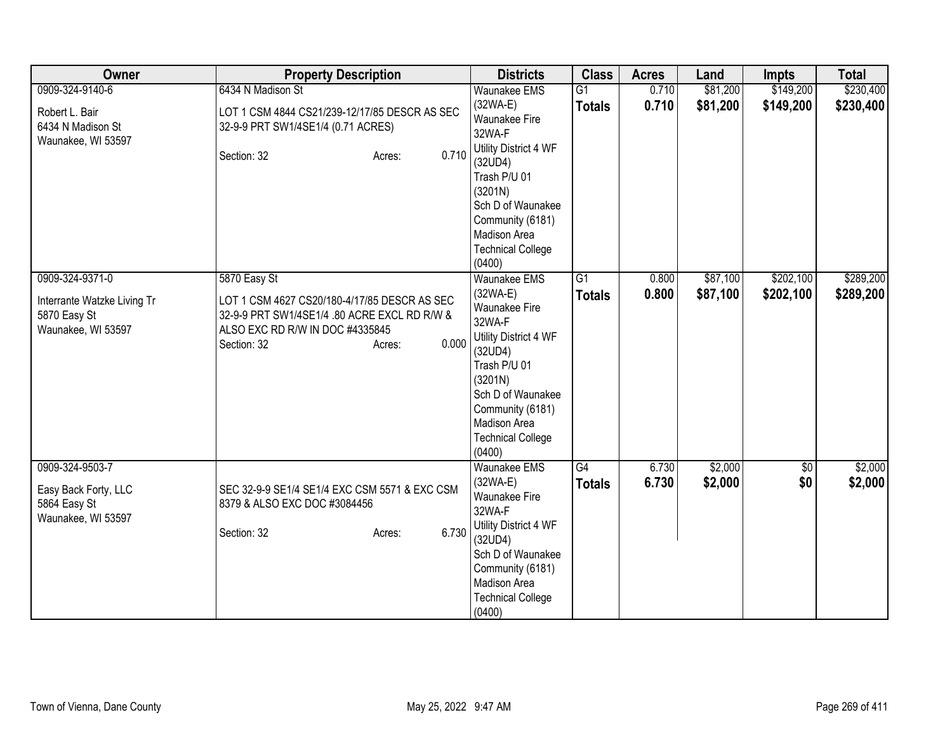| Owner                                          | <b>Property Description</b>                                                         | <b>Districts</b>                                            | <b>Class</b>                     | <b>Acres</b>   | Land                 | <b>Impts</b>           | <b>Total</b>           |
|------------------------------------------------|-------------------------------------------------------------------------------------|-------------------------------------------------------------|----------------------------------|----------------|----------------------|------------------------|------------------------|
| 0909-324-9140-6                                | 6434 N Madison St                                                                   | <b>Waunakee EMS</b>                                         | $\overline{G1}$                  | 0.710          | \$81,200             | \$149,200              | \$230,400              |
| Robert L. Bair<br>6434 N Madison St            | LOT 1 CSM 4844 CS21/239-12/17/85 DESCR AS SEC<br>32-9-9 PRT SW1/4SE1/4 (0.71 ACRES) | (32WA-E)<br><b>Waunakee Fire</b><br>32WA-F                  | <b>Totals</b>                    | 0.710          | \$81,200             | \$149,200              | \$230,400              |
| Waunakee, WI 53597                             | 0.710<br>Section: 32<br>Acres:                                                      | Utility District 4 WF<br>(32UD4)<br>Trash P/U 01<br>(3201N) |                                  |                |                      |                        |                        |
|                                                |                                                                                     | Sch D of Waunakee<br>Community (6181)<br>Madison Area       |                                  |                |                      |                        |                        |
|                                                |                                                                                     | <b>Technical College</b><br>(0400)                          |                                  |                |                      |                        |                        |
| 0909-324-9371-0<br>Interrante Watzke Living Tr | 5870 Easy St<br>LOT 1 CSM 4627 CS20/180-4/17/85 DESCR AS SEC                        | Waunakee EMS<br>$(32WA-E)$                                  | $\overline{G1}$<br><b>Totals</b> | 0.800<br>0.800 | \$87,100<br>\$87,100 | \$202,100<br>\$202,100 | \$289,200<br>\$289,200 |
| 5870 Easy St<br>Waunakee, WI 53597             | 32-9-9 PRT SW1/4SE1/4 .80 ACRE EXCL RD R/W &<br>ALSO EXC RD R/W IN DOC #4335845     | Waunakee Fire<br>32WA-F                                     |                                  |                |                      |                        |                        |
|                                                | 0.000<br>Section: 32<br>Acres:                                                      | Utility District 4 WF<br>(32UD4)                            |                                  |                |                      |                        |                        |
|                                                |                                                                                     | Trash P/U 01<br>(3201N)<br>Sch D of Waunakee                |                                  |                |                      |                        |                        |
|                                                |                                                                                     | Community (6181)<br>Madison Area                            |                                  |                |                      |                        |                        |
|                                                |                                                                                     | <b>Technical College</b><br>(0400)                          |                                  |                |                      |                        |                        |
| 0909-324-9503-7                                |                                                                                     | Waunakee EMS                                                | G4                               | 6.730          | \$2,000              | \$0                    | \$2,000                |
| Easy Back Forty, LLC<br>5864 Easy St           | SEC 32-9-9 SE1/4 SE1/4 EXC CSM 5571 & EXC CSM<br>8379 & ALSO EXC DOC #3084456       | $(32WA-E)$<br><b>Waunakee Fire</b><br>32WA-F                | <b>Totals</b>                    | 6.730          | \$2,000              | \$0                    | \$2,000                |
| Waunakee, WI 53597                             | 6.730<br>Section: 32<br>Acres:                                                      | Utility District 4 WF<br>(32UD4)                            |                                  |                |                      |                        |                        |
|                                                |                                                                                     | Sch D of Waunakee                                           |                                  |                |                      |                        |                        |
|                                                |                                                                                     | Community (6181)<br>Madison Area                            |                                  |                |                      |                        |                        |
|                                                |                                                                                     | <b>Technical College</b><br>(0400)                          |                                  |                |                      |                        |                        |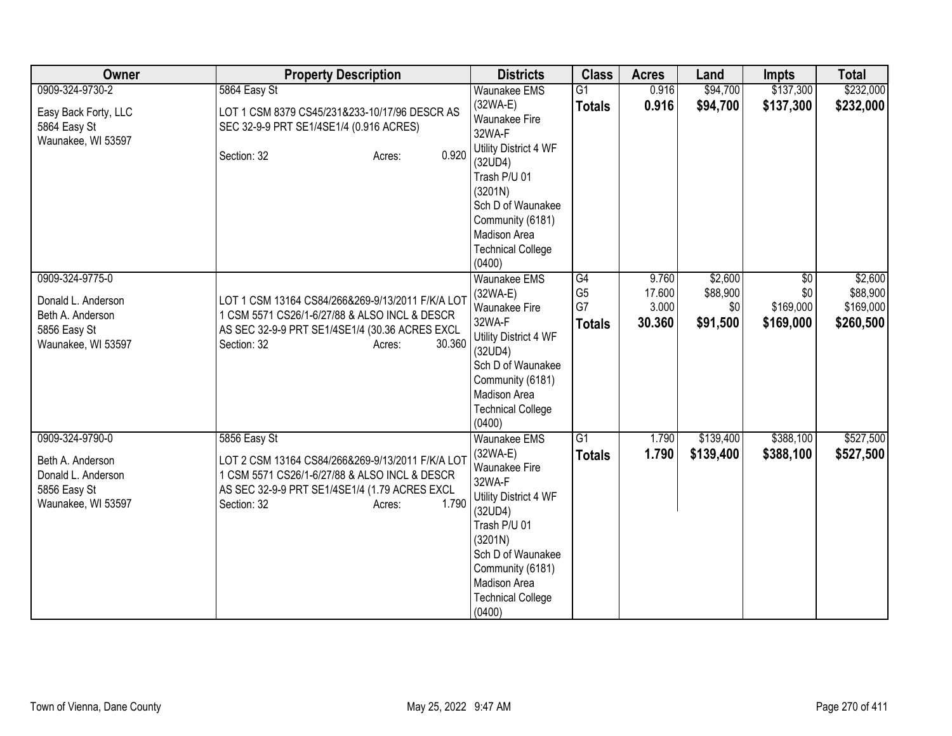| Owner                                                                                           | <b>Property Description</b>                                                                                                                                                                          | <b>Districts</b>                                                                                                                                                                                                           | <b>Class</b>                                                    | <b>Acres</b>                       | Land                                   | <b>Impts</b>                                     | <b>Total</b>                                  |
|-------------------------------------------------------------------------------------------------|------------------------------------------------------------------------------------------------------------------------------------------------------------------------------------------------------|----------------------------------------------------------------------------------------------------------------------------------------------------------------------------------------------------------------------------|-----------------------------------------------------------------|------------------------------------|----------------------------------------|--------------------------------------------------|-----------------------------------------------|
| 0909-324-9730-2                                                                                 | 5864 Easy St                                                                                                                                                                                         | <b>Waunakee EMS</b>                                                                                                                                                                                                        | $\overline{G1}$                                                 | 0.916                              | \$94,700                               | \$137,300                                        | \$232,000                                     |
| Easy Back Forty, LLC<br>5864 Easy St                                                            | LOT 1 CSM 8379 CS45/231&233-10/17/96 DESCR AS<br>SEC 32-9-9 PRT SE1/4SE1/4 (0.916 ACRES)                                                                                                             | $(32WA-E)$<br><b>Waunakee Fire</b><br>32WA-F                                                                                                                                                                               | <b>Totals</b>                                                   | 0.916                              | \$94,700                               | \$137,300                                        | \$232,000                                     |
| Waunakee, WI 53597                                                                              | 0.920<br>Section: 32<br>Acres:                                                                                                                                                                       | Utility District 4 WF<br>(32UD4)<br>Trash P/U 01<br>(3201N)<br>Sch D of Waunakee<br>Community (6181)<br>Madison Area                                                                                                       |                                                                 |                                    |                                        |                                                  |                                               |
|                                                                                                 |                                                                                                                                                                                                      | <b>Technical College</b><br>(0400)                                                                                                                                                                                         |                                                                 |                                    |                                        |                                                  |                                               |
| 0909-324-9775-0<br>Donald L. Anderson<br>Beth A. Anderson<br>5856 Easy St<br>Waunakee, WI 53597 | LOT 1 CSM 13164 CS84/266&269-9/13/2011 F/K/A LOT<br>1 CSM 5571 CS26/1-6/27/88 & ALSO INCL & DESCR<br>AS SEC 32-9-9 PRT SE1/4SE1/4 (30.36 ACRES EXCL<br>30.360<br>Section: 32<br>Acres:               | <b>Waunakee EMS</b><br>$(32WA-E)$<br>Waunakee Fire<br>32WA-F<br>Utility District 4 WF<br>(32UD4)<br>Sch D of Waunakee<br>Community (6181)<br>Madison Area<br><b>Technical College</b><br>(0400)                            | $\overline{\text{G4}}$<br>G <sub>5</sub><br>G7<br><b>Totals</b> | 9.760<br>17.600<br>3.000<br>30.360 | \$2,600<br>\$88,900<br>\$0<br>\$91,500 | $\overline{50}$<br>\$0<br>\$169,000<br>\$169,000 | \$2,600<br>\$88,900<br>\$169,000<br>\$260,500 |
| 0909-324-9790-0<br>Beth A. Anderson<br>Donald L. Anderson<br>5856 Easy St<br>Waunakee, WI 53597 | 5856 Easy St<br>LOT 2 CSM 13164 CS84/266&269-9/13/2011 F/K/A LOT<br>1 CSM 5571 CS26/1-6/27/88 & ALSO INCL & DESCR<br>AS SEC 32-9-9 PRT SE1/4SE1/4 (1.79 ACRES EXCL<br>1.790<br>Section: 32<br>Acres: | Waunakee EMS<br>$(32WA-E)$<br><b>Waunakee Fire</b><br>32WA-F<br>Utility District 4 WF<br>(32UD4)<br>Trash P/U 01<br>(3201N)<br>Sch D of Waunakee<br>Community (6181)<br>Madison Area<br><b>Technical College</b><br>(0400) | $\overline{G1}$<br><b>Totals</b>                                | 1.790<br>1.790                     | \$139,400<br>\$139,400                 | \$388,100<br>\$388,100                           | \$527,500<br>\$527,500                        |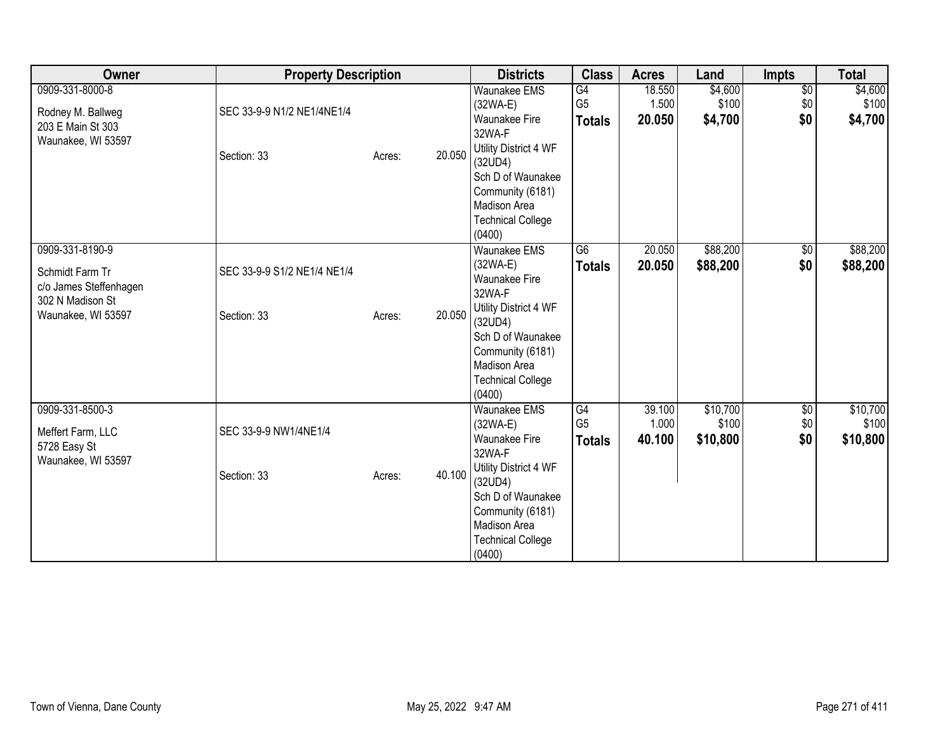| Owner                                                                                                  | <b>Property Description</b>                |                  | <b>Districts</b>                                                                                                                                                                                     | <b>Class</b>                                       | <b>Acres</b>              | Land                          | Impts                         | <b>Total</b>                  |
|--------------------------------------------------------------------------------------------------------|--------------------------------------------|------------------|------------------------------------------------------------------------------------------------------------------------------------------------------------------------------------------------------|----------------------------------------------------|---------------------------|-------------------------------|-------------------------------|-------------------------------|
| 0909-331-8000-8<br>Rodney M. Ballweg<br>203 E Main St 303<br>Waunakee, WI 53597                        | SEC 33-9-9 N1/2 NE1/4NE1/4<br>Section: 33  | 20.050<br>Acres: | <b>Waunakee EMS</b><br>(32WA-E)<br>Waunakee Fire<br>32WA-F<br>Utility District 4 WF<br>(32UD4)<br>Sch D of Waunakee<br>Community (6181)<br>Madison Area<br><b>Technical College</b><br>(0400)        | G4<br>G <sub>5</sub><br><b>Totals</b>              | 18.550<br>1.500<br>20.050 | \$4,600<br>\$100<br>\$4,700   | $\overline{60}$<br>\$0<br>\$0 | \$4,600<br>\$100<br>\$4,700   |
| 0909-331-8190-9<br>Schmidt Farm Tr<br>c/o James Steffenhagen<br>302 N Madison St<br>Waunakee, WI 53597 | SEC 33-9-9 S1/2 NE1/4 NE1/4<br>Section: 33 | 20.050<br>Acres: | Waunakee EMS<br>(32WA-E)<br><b>Waunakee Fire</b><br>32WA-F<br>Utility District 4 WF<br>(32UD4)<br>Sch D of Waunakee<br>Community (6181)<br><b>Madison Area</b><br><b>Technical College</b><br>(0400) | G6<br><b>Totals</b>                                | 20.050<br>20.050          | \$88,200<br>\$88,200          | $\sqrt{6}$<br>\$0             | \$88,200<br>\$88,200          |
| 0909-331-8500-3<br>Meffert Farm, LLC<br>5728 Easy St<br>Waunakee, WI 53597                             | SEC 33-9-9 NW1/4NE1/4<br>Section: 33       | 40.100<br>Acres: | Waunakee EMS<br>(32WA-E)<br><b>Waunakee Fire</b><br>32WA-F<br>Utility District 4 WF<br>(32UD4)<br>Sch D of Waunakee<br>Community (6181)<br><b>Madison Area</b><br><b>Technical College</b><br>(0400) | $\overline{G4}$<br>G <sub>5</sub><br><b>Totals</b> | 39.100<br>1.000<br>40.100 | \$10,700<br>\$100<br>\$10,800 | \$0<br>\$0<br>\$0             | \$10,700<br>\$100<br>\$10,800 |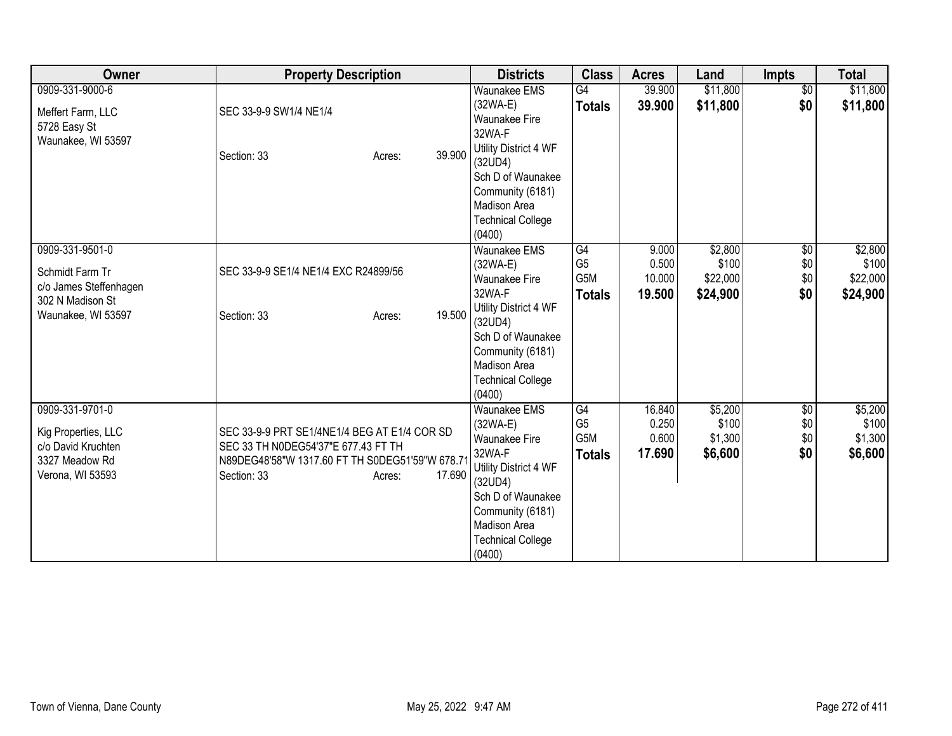| Owner                                                                                                  | <b>Property Description</b>                                                                                                                                              | <b>Districts</b>                                                                                                                                                                                       | <b>Class</b>                                                     | <b>Acres</b>                       | Land                                     | <b>Impts</b>                     | <b>Total</b>                             |
|--------------------------------------------------------------------------------------------------------|--------------------------------------------------------------------------------------------------------------------------------------------------------------------------|--------------------------------------------------------------------------------------------------------------------------------------------------------------------------------------------------------|------------------------------------------------------------------|------------------------------------|------------------------------------------|----------------------------------|------------------------------------------|
| 0909-331-9000-6<br>Meffert Farm, LLC<br>5728 Easy St<br>Waunakee, WI 53597                             | SEC 33-9-9 SW1/4 NE1/4<br>39.900<br>Section: 33<br>Acres:                                                                                                                | <b>Waunakee EMS</b><br>$(32WA-E)$<br><b>Waunakee Fire</b><br>32WA-F<br>Utility District 4 WF<br>(32UD4)<br>Sch D of Waunakee<br>Community (6181)<br>Madison Area<br><b>Technical College</b><br>(0400) | G4<br><b>Totals</b>                                              | 39.900<br>39.900                   | \$11,800<br>\$11,800                     | $\overline{60}$<br>\$0           | \$11,800<br>\$11,800                     |
| 0909-331-9501-0<br>Schmidt Farm Tr<br>c/o James Steffenhagen<br>302 N Madison St<br>Waunakee, WI 53597 | SEC 33-9-9 SE1/4 NE1/4 EXC R24899/56<br>19.500<br>Section: 33<br>Acres:                                                                                                  | <b>Waunakee EMS</b><br>$(32WA-E)$<br><b>Waunakee Fire</b><br>32WA-F<br>Utility District 4 WF<br>(32UD4)<br>Sch D of Waunakee<br>Community (6181)<br>Madison Area<br><b>Technical College</b><br>(0400) | $\overline{\text{G4}}$<br>G <sub>5</sub><br>G5M<br><b>Totals</b> | 9.000<br>0.500<br>10.000<br>19.500 | \$2,800<br>\$100<br>\$22,000<br>\$24,900 | $\sqrt{$0}$<br>\$0<br>\$0<br>\$0 | \$2,800<br>\$100<br>\$22,000<br>\$24,900 |
| 0909-331-9701-0<br>Kig Properties, LLC<br>c/o David Kruchten<br>3327 Meadow Rd<br>Verona, WI 53593     | SEC 33-9-9 PRT SE1/4NE1/4 BEG AT E1/4 COR SD<br>SEC 33 TH N0DEG54'37"E 677.43 FT TH<br>N89DEG48'58"W 1317.60 FT TH S0DEG51'59"W 678.7<br>17.690<br>Section: 33<br>Acres: | <b>Waunakee EMS</b><br>(32WA-E)<br><b>Waunakee Fire</b><br>32WA-F<br>Utility District 4 WF<br>(32UD4)<br>Sch D of Waunakee<br>Community (6181)<br>Madison Area<br><b>Technical College</b><br>(0400)   | G4<br>G <sub>5</sub><br>G <sub>5</sub> M<br><b>Totals</b>        | 16.840<br>0.250<br>0.600<br>17.690 | \$5,200<br>\$100<br>\$1,300<br>\$6,600   | $\sqrt{$0}$<br>\$0<br>\$0<br>\$0 | \$5,200<br>\$100<br>\$1,300<br>\$6,600   |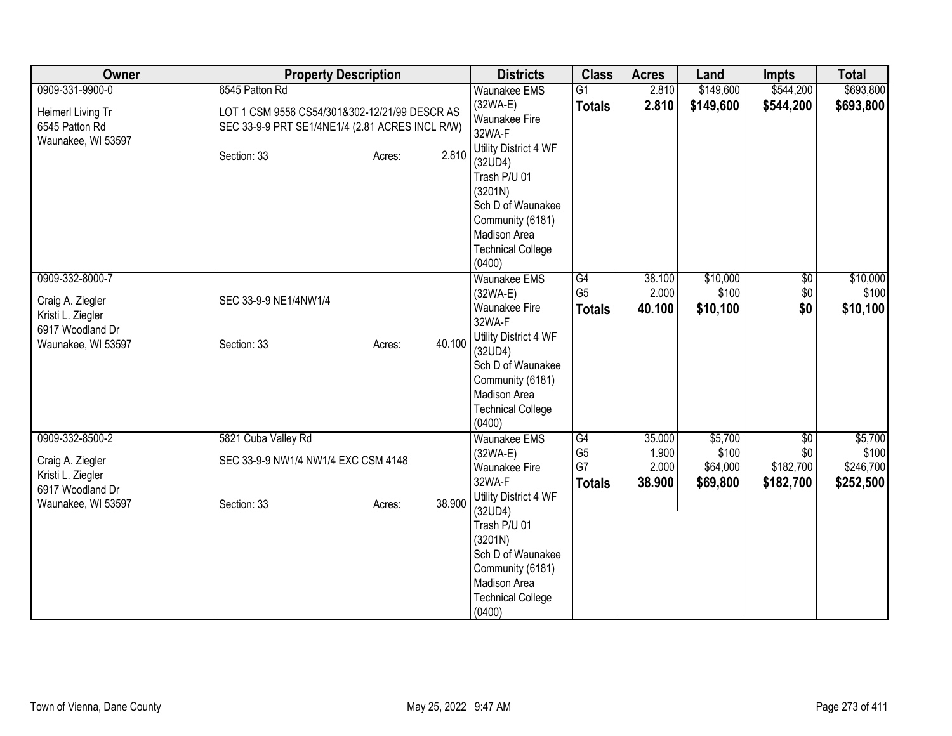| Owner                                                     | <b>Property Description</b>                                                                      | <b>Districts</b>                                                                                                                                           | <b>Class</b>                          | <b>Acres</b>             | Land                          | <b>Impts</b>                  | <b>Total</b>                    |
|-----------------------------------------------------------|--------------------------------------------------------------------------------------------------|------------------------------------------------------------------------------------------------------------------------------------------------------------|---------------------------------------|--------------------------|-------------------------------|-------------------------------|---------------------------------|
| 0909-331-9900-0                                           | 6545 Patton Rd                                                                                   | <b>Waunakee EMS</b>                                                                                                                                        | $\overline{G1}$                       | 2.810                    | \$149,600                     | \$544,200                     | \$693,800                       |
| Heimerl Living Tr<br>6545 Patton Rd                       | LOT 1 CSM 9556 CS54/301&302-12/21/99 DESCR AS<br>SEC 33-9-9 PRT SE1/4NE1/4 (2.81 ACRES INCL R/W) | $(32WA-E)$<br><b>Waunakee Fire</b><br>32WA-F                                                                                                               | <b>Totals</b>                         | 2.810                    | \$149,600                     | \$544,200                     | \$693,800                       |
| Waunakee, WI 53597                                        | 2.810<br>Section: 33<br>Acres:                                                                   | Utility District 4 WF<br>(32UD4)<br>Trash P/U 01<br>(3201N)                                                                                                |                                       |                          |                               |                               |                                 |
|                                                           |                                                                                                  | Sch D of Waunakee<br>Community (6181)<br>Madison Area                                                                                                      |                                       |                          |                               |                               |                                 |
|                                                           |                                                                                                  | <b>Technical College</b><br>(0400)                                                                                                                         |                                       |                          |                               |                               |                                 |
| 0909-332-8000-7                                           |                                                                                                  | Waunakee EMS<br>$(32WA-E)$                                                                                                                                 | G4<br>G <sub>5</sub>                  | 38.100<br>2.000          | \$10,000<br>\$100             | $\overline{50}$<br>\$0        | \$10,000<br>\$100               |
| Craig A. Ziegler<br>Kristi L. Ziegler<br>6917 Woodland Dr | SEC 33-9-9 NE1/4NW1/4                                                                            | Waunakee Fire<br>32WA-F                                                                                                                                    | <b>Totals</b>                         | 40.100                   | \$10,100                      | \$0                           | \$10,100                        |
| Waunakee, WI 53597                                        | 40.100<br>Section: 33<br>Acres:                                                                  | Utility District 4 WF<br>(32UD4)<br>Sch D of Waunakee<br>Community (6181)<br>Madison Area<br><b>Technical College</b><br>(0400)                            |                                       |                          |                               |                               |                                 |
| 0909-332-8500-2                                           | 5821 Cuba Valley Rd                                                                              | Waunakee EMS                                                                                                                                               | G4                                    | 35.000                   | \$5,700                       | $\overline{50}$               | \$5,700                         |
| Craig A. Ziegler<br>Kristi L. Ziegler<br>6917 Woodland Dr | SEC 33-9-9 NW1/4 NW1/4 EXC CSM 4148                                                              | $(32WA-E)$<br>Waunakee Fire<br>32WA-F                                                                                                                      | G <sub>5</sub><br>G7<br><b>Totals</b> | 1.900<br>2.000<br>38.900 | \$100<br>\$64,000<br>\$69,800 | \$0<br>\$182,700<br>\$182,700 | \$100<br>\$246,700<br>\$252,500 |
| Waunakee, WI 53597                                        | 38.900<br>Section: 33<br>Acres:                                                                  | Utility District 4 WF<br>(32UD4)<br>Trash P/U 01<br>(3201N)<br>Sch D of Waunakee<br>Community (6181)<br>Madison Area<br><b>Technical College</b><br>(0400) |                                       |                          |                               |                               |                                 |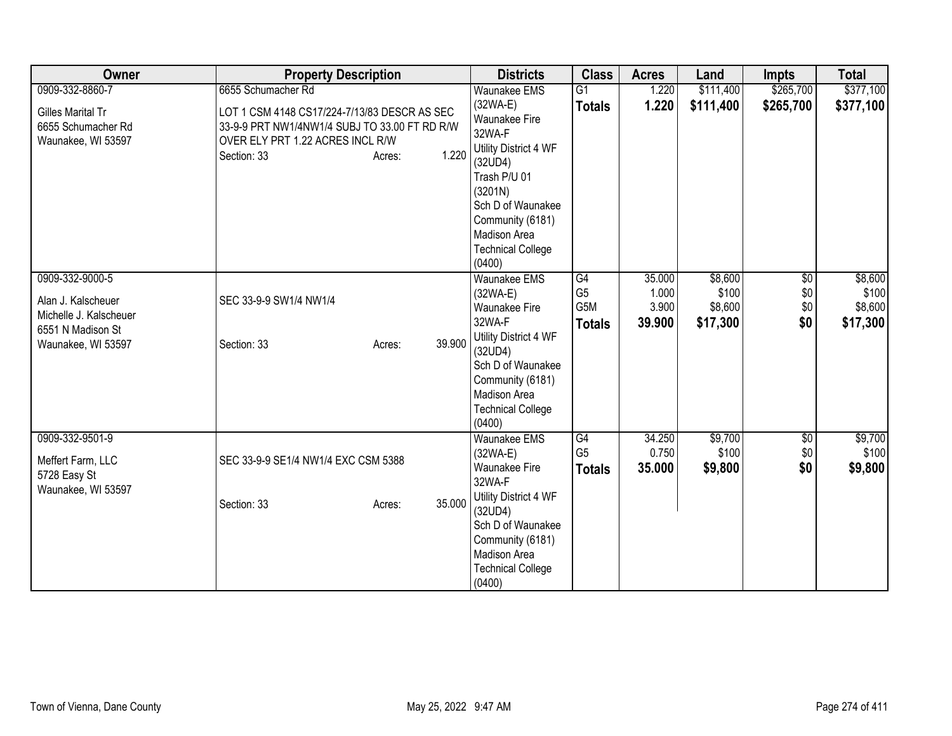| Owner                              | <b>Property Description</b>                   | <b>Districts</b>                   | <b>Class</b>    | <b>Acres</b> | Land      | <b>Impts</b>    | <b>Total</b> |
|------------------------------------|-----------------------------------------------|------------------------------------|-----------------|--------------|-----------|-----------------|--------------|
| 0909-332-8860-7                    | 6655 Schumacher Rd                            | <b>Waunakee EMS</b>                | $\overline{G1}$ | 1.220        | \$111,400 | \$265,700       | \$377,100    |
| <b>Gilles Marital Tr</b>           | LOT 1 CSM 4148 CS17/224-7/13/83 DESCR AS SEC  | $(32WA-E)$                         | <b>Totals</b>   | 1.220        | \$111,400 | \$265,700       | \$377,100    |
| 6655 Schumacher Rd                 | 33-9-9 PRT NW1/4NW1/4 SUBJ TO 33.00 FT RD R/W | Waunakee Fire                      |                 |              |           |                 |              |
| Waunakee, WI 53597                 | OVER ELY PRT 1.22 ACRES INCL R/W              | 32WA-F                             |                 |              |           |                 |              |
|                                    | 1.220<br>Section: 33<br>Acres:                | Utility District 4 WF              |                 |              |           |                 |              |
|                                    |                                               | (32UD4)                            |                 |              |           |                 |              |
|                                    |                                               | Trash P/U 01                       |                 |              |           |                 |              |
|                                    |                                               | (3201N)                            |                 |              |           |                 |              |
|                                    |                                               | Sch D of Waunakee                  |                 |              |           |                 |              |
|                                    |                                               | Community (6181)                   |                 |              |           |                 |              |
|                                    |                                               | Madison Area                       |                 |              |           |                 |              |
|                                    |                                               | <b>Technical College</b><br>(0400) |                 |              |           |                 |              |
| 0909-332-9000-5                    |                                               | <b>Waunakee EMS</b>                | G4              | 35.000       | \$8,600   | $\overline{50}$ | \$8,600      |
|                                    |                                               | $(32WA-E)$                         | G <sub>5</sub>  | 1.000        | \$100     | \$0             | \$100        |
| Alan J. Kalscheuer                 | SEC 33-9-9 SW1/4 NW1/4                        | <b>Waunakee Fire</b>               | G5M             | 3.900        | \$8,600   | \$0             | \$8,600      |
| Michelle J. Kalscheuer             |                                               | 32WA-F                             | <b>Totals</b>   | 39.900       | \$17,300  | \$0             | \$17,300     |
| 6551 N Madison St                  |                                               | Utility District 4 WF              |                 |              |           |                 |              |
| Waunakee, WI 53597                 | 39.900<br>Section: 33<br>Acres:               | (32UD4)                            |                 |              |           |                 |              |
|                                    |                                               | Sch D of Waunakee                  |                 |              |           |                 |              |
|                                    |                                               | Community (6181)                   |                 |              |           |                 |              |
|                                    |                                               | Madison Area                       |                 |              |           |                 |              |
|                                    |                                               | <b>Technical College</b>           |                 |              |           |                 |              |
|                                    |                                               | (0400)                             |                 |              |           |                 |              |
| 0909-332-9501-9                    |                                               | <b>Waunakee EMS</b>                | G4              | 34.250       | \$9,700   | \$0             | \$9,700      |
|                                    |                                               | $(32WA-E)$                         | G <sub>5</sub>  | 0.750        | \$100     | \$0             | \$100        |
| Meffert Farm, LLC                  | SEC 33-9-9 SE1/4 NW1/4 EXC CSM 5388           | <b>Waunakee Fire</b>               | Totals          | 35.000       | \$9,800   | \$0             | \$9,800      |
| 5728 Easy St<br>Waunakee, WI 53597 |                                               | 32WA-F                             |                 |              |           |                 |              |
|                                    | 35.000<br>Section: 33<br>Acres:               | Utility District 4 WF              |                 |              |           |                 |              |
|                                    |                                               | (32UD4)                            |                 |              |           |                 |              |
|                                    |                                               | Sch D of Waunakee                  |                 |              |           |                 |              |
|                                    |                                               | Community (6181)                   |                 |              |           |                 |              |
|                                    |                                               | Madison Area                       |                 |              |           |                 |              |
|                                    |                                               | <b>Technical College</b>           |                 |              |           |                 |              |
|                                    |                                               | (0400)                             |                 |              |           |                 |              |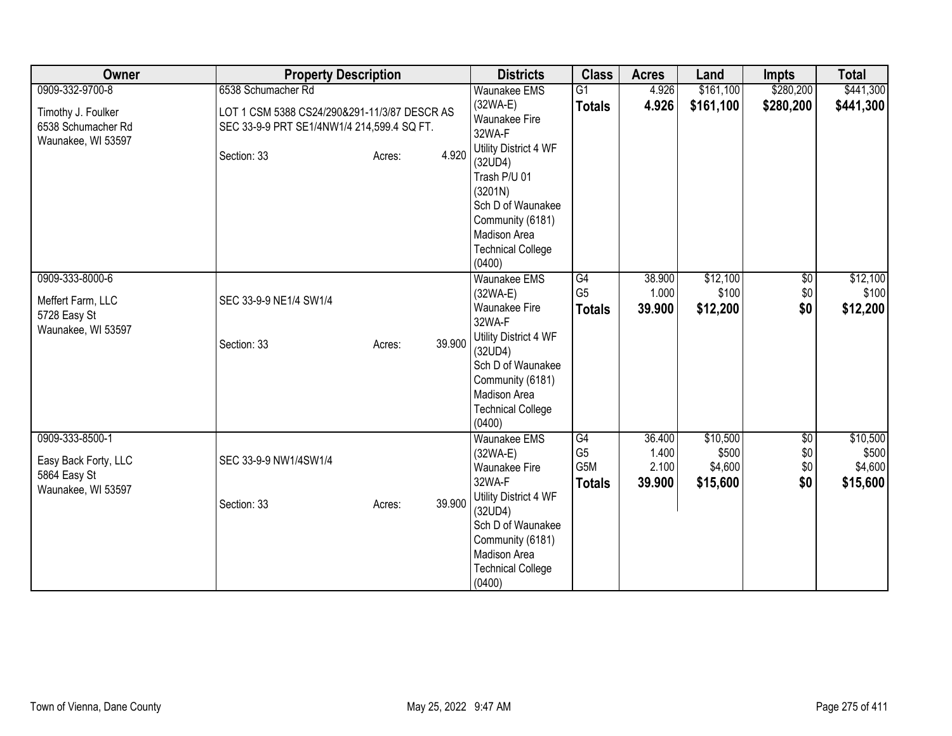| Owner                                                                         | <b>Property Description</b>                                                                                      |        | <b>Districts</b>                                                                                                                                                                                       | <b>Class</b>                                 | <b>Acres</b>                       | Land                                     | <b>Impts</b>             | <b>Total</b>                             |
|-------------------------------------------------------------------------------|------------------------------------------------------------------------------------------------------------------|--------|--------------------------------------------------------------------------------------------------------------------------------------------------------------------------------------------------------|----------------------------------------------|------------------------------------|------------------------------------------|--------------------------|------------------------------------------|
| 0909-332-9700-8<br>Timothy J. Foulker<br>6538 Schumacher Rd                   | 6538 Schumacher Rd<br>LOT 1 CSM 5388 CS24/290&291-11/3/87 DESCR AS<br>SEC 33-9-9 PRT SE1/4NW1/4 214,599.4 SQ FT. |        | <b>Waunakee EMS</b><br>$(32WA-E)$<br><b>Waunakee Fire</b><br>32WA-F                                                                                                                                    | $\overline{G1}$<br><b>Totals</b>             | 4.926<br>4.926                     | \$161,100<br>\$161,100                   | \$280,200<br>\$280,200   | \$441,300<br>\$441,300                   |
| Waunakee, WI 53597                                                            | Section: 33<br>Acres:                                                                                            | 4.920  | Utility District 4 WF<br>(32UD4)<br>Trash P/U 01<br>(3201N)<br>Sch D of Waunakee<br>Community (6181)<br>Madison Area<br><b>Technical College</b><br>(0400)                                             |                                              |                                    |                                          |                          |                                          |
| 0909-333-8000-6<br>Meffert Farm, LLC<br>5728 Easy St<br>Waunakee, WI 53597    | SEC 33-9-9 NE1/4 SW1/4<br>Section: 33<br>Acres:                                                                  | 39.900 | <b>Waunakee EMS</b><br>$(32WA-E)$<br>Waunakee Fire<br>32WA-F<br>Utility District 4 WF<br>(32UD4)<br>Sch D of Waunakee<br>Community (6181)<br>Madison Area<br><b>Technical College</b><br>(0400)        | G4<br>G <sub>5</sub><br><b>Totals</b>        | 38.900<br>1.000<br>39.900          | \$12,100<br>\$100<br>\$12,200            | $\sqrt{6}$<br>\$0<br>\$0 | \$12,100<br>\$100<br>\$12,200            |
| 0909-333-8500-1<br>Easy Back Forty, LLC<br>5864 Easy St<br>Waunakee, WI 53597 | SEC 33-9-9 NW1/4SW1/4<br>Section: 33<br>Acres:                                                                   | 39.900 | <b>Waunakee EMS</b><br>$(32WA-E)$<br><b>Waunakee Fire</b><br>32WA-F<br>Utility District 4 WF<br>(32UD4)<br>Sch D of Waunakee<br>Community (6181)<br>Madison Area<br><b>Technical College</b><br>(0400) | G4<br>G <sub>5</sub><br>G5M<br><b>Totals</b> | 36.400<br>1.400<br>2.100<br>39.900 | \$10,500<br>\$500<br>\$4,600<br>\$15,600 | \$0<br>\$0<br>\$0<br>\$0 | \$10,500<br>\$500<br>\$4,600<br>\$15,600 |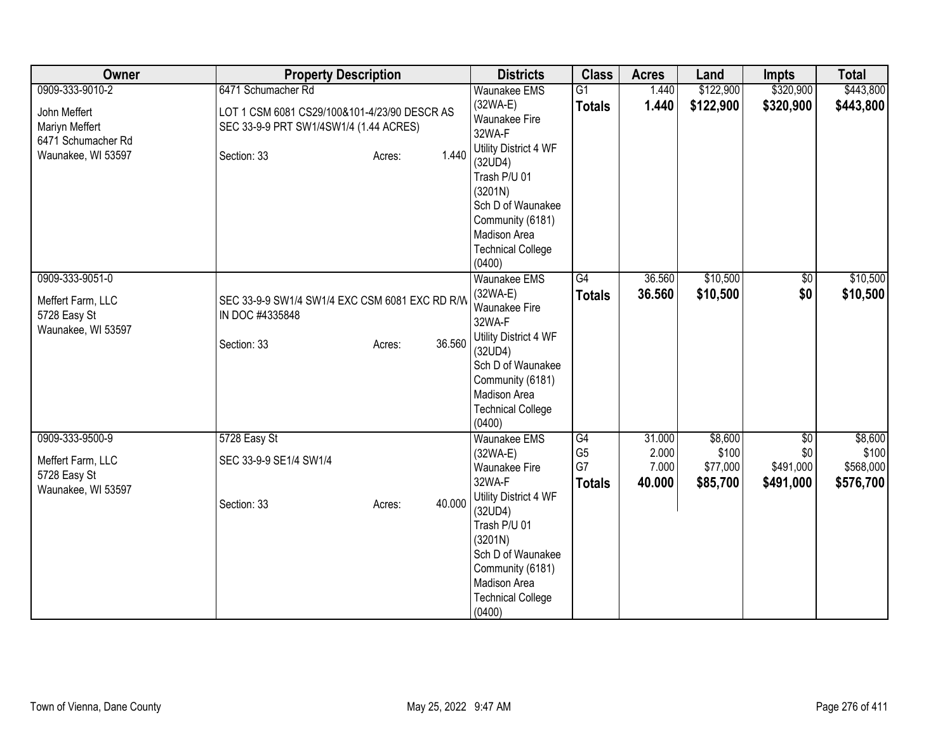| Owner                                                                      | <b>Property Description</b>                                                                          | <b>Districts</b>                                                                                                                                                                                                                  | <b>Class</b>                                | <b>Acres</b>                       | Land                                     | <b>Impts</b>                                     | <b>Total</b>                               |
|----------------------------------------------------------------------------|------------------------------------------------------------------------------------------------------|-----------------------------------------------------------------------------------------------------------------------------------------------------------------------------------------------------------------------------------|---------------------------------------------|------------------------------------|------------------------------------------|--------------------------------------------------|--------------------------------------------|
| 0909-333-9010-2                                                            | 6471 Schumacher Rd                                                                                   | Waunakee EMS                                                                                                                                                                                                                      | G1                                          | 1.440                              | \$122,900                                | \$320,900                                        | \$443,800                                  |
| John Meffert<br>Mariyn Meffert                                             | LOT 1 CSM 6081 CS29/100&101-4/23/90 DESCR AS<br>SEC 33-9-9 PRT SW1/4SW1/4 (1.44 ACRES)               | $(32WA-E)$<br>Waunakee Fire<br>32WA-F                                                                                                                                                                                             | <b>Totals</b>                               | 1.440                              | \$122,900                                | \$320,900                                        | \$443,800                                  |
| 6471 Schumacher Rd<br>Waunakee, WI 53597                                   | 1.440<br>Section: 33<br>Acres:                                                                       | Utility District 4 WF<br>(32UD4)<br>Trash P/U 01<br>(3201N)<br>Sch D of Waunakee<br>Community (6181)<br>Madison Area<br><b>Technical College</b><br>(0400)                                                                        |                                             |                                    |                                          |                                                  |                                            |
| 0909-333-9051-0<br>Meffert Farm, LLC<br>5728 Easy St<br>Waunakee, WI 53597 | SEC 33-9-9 SW1/4 SW1/4 EXC CSM 6081 EXC RD R/W<br>IN DOC #4335848<br>36.560<br>Section: 33<br>Acres: | Waunakee EMS<br>$(32WA-E)$<br>Waunakee Fire<br>32WA-F<br>Utility District 4 WF<br>(32UD4)<br>Sch D of Waunakee<br>Community (6181)<br>Madison Area<br><b>Technical College</b><br>(0400)                                          | G4<br><b>Totals</b>                         | 36.560<br>36.560                   | \$10,500<br>\$10,500                     | $\overline{60}$<br>\$0                           | \$10,500<br>\$10,500                       |
| 0909-333-9500-9<br>Meffert Farm, LLC<br>5728 Easy St<br>Waunakee, WI 53597 | 5728 Easy St<br>SEC 33-9-9 SE1/4 SW1/4<br>40.000<br>Section: 33<br>Acres:                            | <b>Waunakee EMS</b><br>$(32WA-E)$<br><b>Waunakee Fire</b><br>32WA-F<br>Utility District 4 WF<br>(32UD4)<br>Trash P/U 01<br>(3201N)<br>Sch D of Waunakee<br>Community (6181)<br>Madison Area<br><b>Technical College</b><br>(0400) | G4<br>G <sub>5</sub><br>G7<br><b>Totals</b> | 31.000<br>2.000<br>7.000<br>40.000 | \$8,600<br>\$100<br>\$77,000<br>\$85,700 | $\overline{50}$<br>\$0<br>\$491,000<br>\$491,000 | \$8,600<br>\$100<br>\$568,000<br>\$576,700 |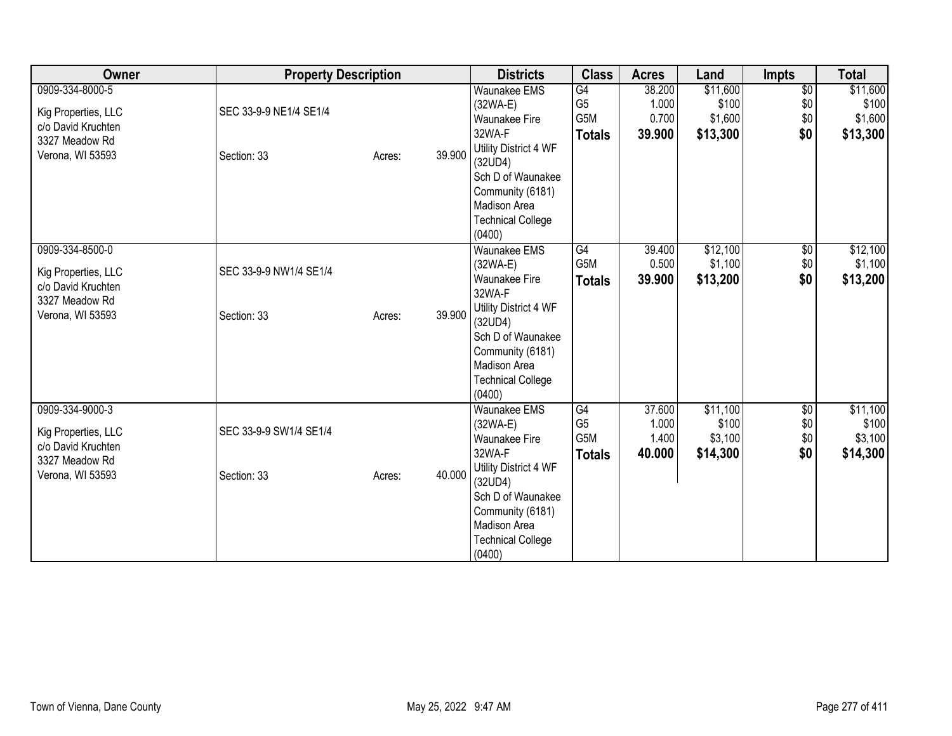| Owner               | <b>Property Description</b> |        |        | <b>Districts</b>                   | <b>Class</b>   | <b>Acres</b> | Land     | <b>Impts</b> | <b>Total</b> |
|---------------------|-----------------------------|--------|--------|------------------------------------|----------------|--------------|----------|--------------|--------------|
| 0909-334-8000-5     |                             |        |        | <b>Waunakee EMS</b>                | G4             | 38.200       | \$11,600 | \$0          | \$11,600     |
| Kig Properties, LLC | SEC 33-9-9 NE1/4 SE1/4      |        |        | $(32WA-E)$                         | G <sub>5</sub> | 1.000        | \$100    | \$0          | \$100        |
| c/o David Kruchten  |                             |        |        | <b>Waunakee Fire</b>               | G5M            | 0.700        | \$1,600  | \$0          | \$1,600      |
| 3327 Meadow Rd      |                             |        |        | 32WA-F                             | <b>Totals</b>  | 39.900       | \$13,300 | \$0          | \$13,300     |
| Verona, WI 53593    | Section: 33                 | Acres: | 39.900 | Utility District 4 WF              |                |              |          |              |              |
|                     |                             |        |        | (32UD4)                            |                |              |          |              |              |
|                     |                             |        |        | Sch D of Waunakee                  |                |              |          |              |              |
|                     |                             |        |        | Community (6181)                   |                |              |          |              |              |
|                     |                             |        |        | Madison Area                       |                |              |          |              |              |
|                     |                             |        |        | <b>Technical College</b><br>(0400) |                |              |          |              |              |
| 0909-334-8500-0     |                             |        |        | <b>Waunakee EMS</b>                | G4             | 39.400       | \$12,100 | $\sqrt{6}$   | \$12,100     |
|                     |                             |        |        | (32WA-E)                           | G5M            | 0.500        | \$1,100  | \$0          | \$1,100      |
| Kig Properties, LLC | SEC 33-9-9 NW1/4 SE1/4      |        |        | <b>Waunakee Fire</b>               |                | 39.900       |          | \$0          |              |
| c/o David Kruchten  |                             |        |        | 32WA-F                             | <b>Totals</b>  |              | \$13,200 |              | \$13,200     |
| 3327 Meadow Rd      |                             |        |        | Utility District 4 WF              |                |              |          |              |              |
| Verona, WI 53593    | Section: 33                 | Acres: | 39.900 | (32UD4)                            |                |              |          |              |              |
|                     |                             |        |        | Sch D of Waunakee                  |                |              |          |              |              |
|                     |                             |        |        | Community (6181)                   |                |              |          |              |              |
|                     |                             |        |        | <b>Madison Area</b>                |                |              |          |              |              |
|                     |                             |        |        | <b>Technical College</b>           |                |              |          |              |              |
|                     |                             |        |        | (0400)                             |                |              |          |              |              |
| 0909-334-9000-3     |                             |        |        | <b>Waunakee EMS</b>                | G4             | 37.600       | \$11,100 | \$0          | \$11,100     |
| Kig Properties, LLC | SEC 33-9-9 SW1/4 SE1/4      |        |        | (32WA-E)                           | G <sub>5</sub> | 1.000        | \$100    | \$0          | \$100        |
| c/o David Kruchten  |                             |        |        | <b>Waunakee Fire</b>               | G5M            | 1.400        | \$3,100  | \$0          | \$3,100      |
| 3327 Meadow Rd      |                             |        |        | 32WA-F                             | <b>Totals</b>  | 40.000       | \$14,300 | \$0          | \$14,300     |
| Verona, WI 53593    | Section: 33                 | Acres: | 40.000 | Utility District 4 WF              |                |              |          |              |              |
|                     |                             |        |        | (32UD4)                            |                |              |          |              |              |
|                     |                             |        |        | Sch D of Waunakee                  |                |              |          |              |              |
|                     |                             |        |        | Community (6181)                   |                |              |          |              |              |
|                     |                             |        |        | Madison Area                       |                |              |          |              |              |
|                     |                             |        |        | <b>Technical College</b>           |                |              |          |              |              |
|                     |                             |        |        | (0400)                             |                |              |          |              |              |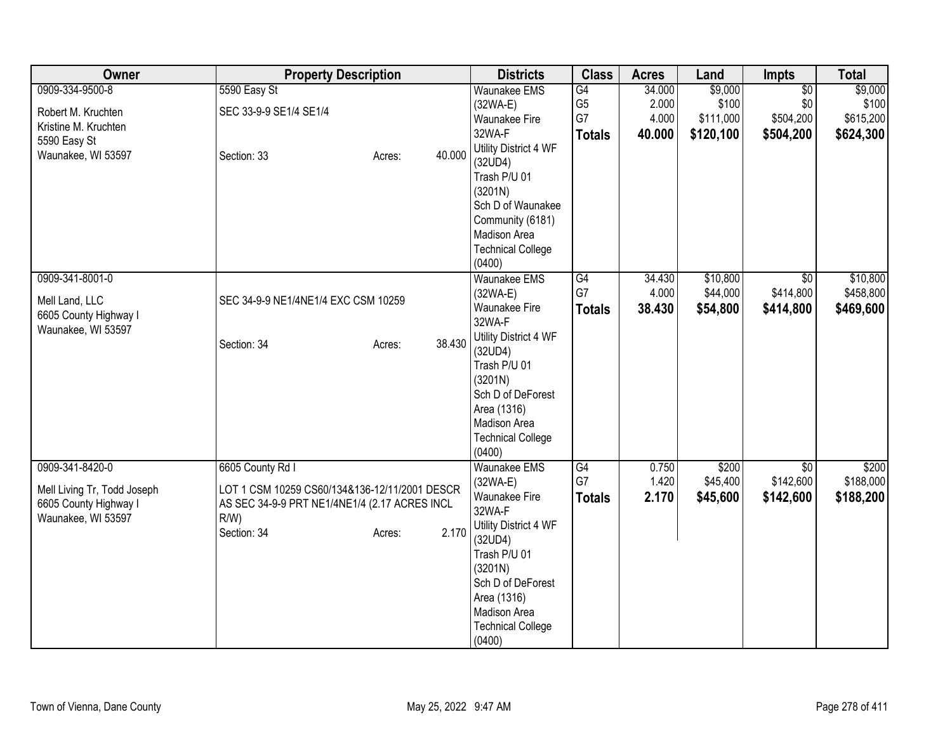| Owner                       | <b>Property Description</b>                   |                  | <b>Districts</b>                 | <b>Class</b>   | <b>Acres</b> | Land      | <b>Impts</b>    | <b>Total</b> |
|-----------------------------|-----------------------------------------------|------------------|----------------------------------|----------------|--------------|-----------|-----------------|--------------|
| 0909-334-9500-8             | 5590 Easy St                                  |                  | <b>Waunakee EMS</b>              | G4             | 34.000       | \$9,000   | $\overline{50}$ | \$9,000      |
| Robert M. Kruchten          | SEC 33-9-9 SE1/4 SE1/4                        |                  | (32WA-E)                         | G <sub>5</sub> | 2.000        | \$100     | \$0             | \$100        |
| Kristine M. Kruchten        |                                               |                  | Waunakee Fire                    | G7             | 4.000        | \$111,000 | \$504,200       | \$615,200    |
| 5590 Easy St                |                                               |                  | 32WA-F                           | <b>Totals</b>  | 40.000       | \$120,100 | \$504,200       | \$624,300    |
| Waunakee, WI 53597          | Section: 33                                   | 40.000<br>Acres: | Utility District 4 WF<br>(32UD4) |                |              |           |                 |              |
|                             |                                               |                  | Trash P/U 01                     |                |              |           |                 |              |
|                             |                                               |                  | (3201N)                          |                |              |           |                 |              |
|                             |                                               |                  | Sch D of Waunakee                |                |              |           |                 |              |
|                             |                                               |                  | Community (6181)                 |                |              |           |                 |              |
|                             |                                               |                  | Madison Area                     |                |              |           |                 |              |
|                             |                                               |                  | <b>Technical College</b>         |                |              |           |                 |              |
|                             |                                               |                  | (0400)                           |                |              |           |                 |              |
| 0909-341-8001-0             |                                               |                  | Waunakee EMS                     | G4             | 34.430       | \$10,800  | $\overline{30}$ | \$10,800     |
| Mell Land, LLC              | SEC 34-9-9 NE1/4NE1/4 EXC CSM 10259           |                  | $(32WA-E)$                       | G7             | 4.000        | \$44,000  | \$414,800       | \$458,800    |
| 6605 County Highway I       |                                               |                  | Waunakee Fire                    | <b>Totals</b>  | 38.430       | \$54,800  | \$414,800       | \$469,600    |
| Waunakee, WI 53597          |                                               |                  | 32WA-F                           |                |              |           |                 |              |
|                             | Section: 34                                   | 38.430<br>Acres: | Utility District 4 WF            |                |              |           |                 |              |
|                             |                                               |                  | (32UD4)<br>Trash P/U 01          |                |              |           |                 |              |
|                             |                                               |                  | (3201N)                          |                |              |           |                 |              |
|                             |                                               |                  | Sch D of DeForest                |                |              |           |                 |              |
|                             |                                               |                  | Area (1316)                      |                |              |           |                 |              |
|                             |                                               |                  | Madison Area                     |                |              |           |                 |              |
|                             |                                               |                  | <b>Technical College</b>         |                |              |           |                 |              |
|                             |                                               |                  | (0400)                           |                |              |           |                 |              |
| 0909-341-8420-0             | 6605 County Rd I                              |                  | Waunakee EMS                     | G4             | 0.750        | \$200     | \$0             | \$200        |
| Mell Living Tr, Todd Joseph | LOT 1 CSM 10259 CS60/134&136-12/11/2001 DESCR |                  | $(32WA-E)$                       | G7             | 1.420        | \$45,400  | \$142,600       | \$188,000    |
| 6605 County Highway I       | AS SEC 34-9-9 PRT NE1/4NE1/4 (2.17 ACRES INCL |                  | <b>Waunakee Fire</b>             | <b>Totals</b>  | 2.170        | \$45,600  | \$142,600       | \$188,200    |
| Waunakee, WI 53597          | $R/W$ )                                       |                  | 32WA-F                           |                |              |           |                 |              |
|                             | Section: 34                                   | 2.170<br>Acres:  | Utility District 4 WF            |                |              |           |                 |              |
|                             |                                               |                  | (32UD4)<br>Trash P/U 01          |                |              |           |                 |              |
|                             |                                               |                  | (3201N)                          |                |              |           |                 |              |
|                             |                                               |                  | Sch D of DeForest                |                |              |           |                 |              |
|                             |                                               |                  | Area (1316)                      |                |              |           |                 |              |
|                             |                                               |                  | Madison Area                     |                |              |           |                 |              |
|                             |                                               |                  | <b>Technical College</b>         |                |              |           |                 |              |
|                             |                                               |                  | (0400)                           |                |              |           |                 |              |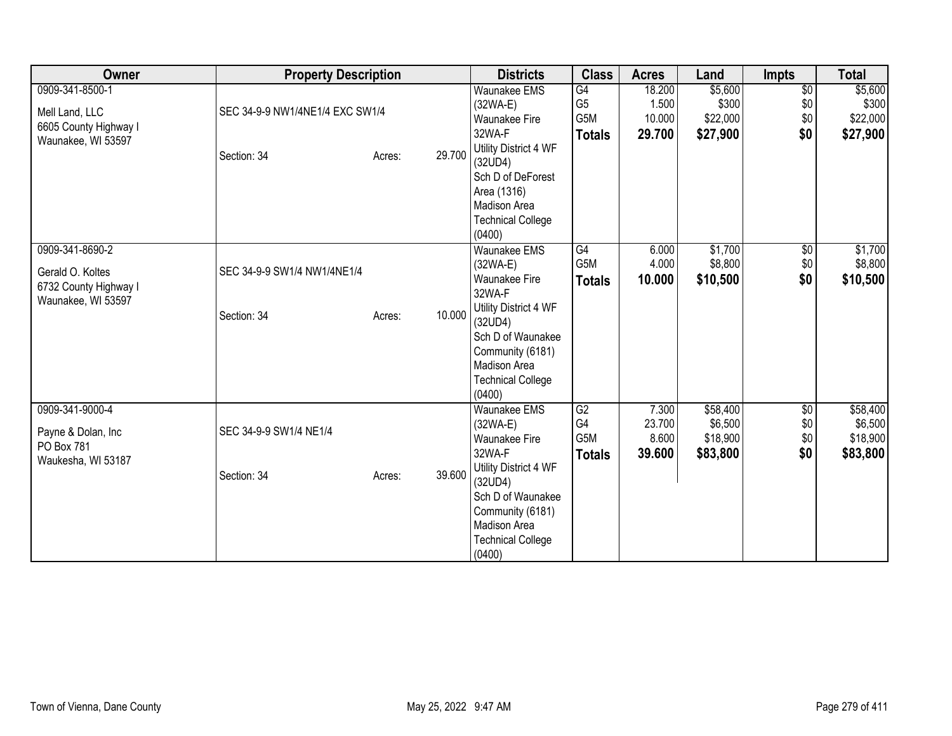| Owner                                                                            | <b>Property Description</b>                    |                  | <b>Districts</b>                                                                                                                | <b>Class</b>                                 | <b>Acres</b>                        | Land                                        | Impts                                | <b>Total</b>                                |
|----------------------------------------------------------------------------------|------------------------------------------------|------------------|---------------------------------------------------------------------------------------------------------------------------------|----------------------------------------------|-------------------------------------|---------------------------------------------|--------------------------------------|---------------------------------------------|
| 0909-341-8500-1<br>Mell Land, LLC<br>6605 County Highway I<br>Waunakee, WI 53597 | SEC 34-9-9 NW1/4NE1/4 EXC SW1/4<br>Section: 34 | 29.700<br>Acres: | <b>Waunakee EMS</b><br>(32WA-E)<br>Waunakee Fire<br>32WA-F<br>Utility District 4 WF<br>(32UD4)<br>Sch D of DeForest             | G4<br>G <sub>5</sub><br>G5M<br><b>Totals</b> | 18.200<br>1.500<br>10.000<br>29.700 | \$5,600<br>\$300<br>\$22,000<br>\$27,900    | $\overline{50}$<br>\$0<br>\$0<br>\$0 | \$5,600<br>\$300<br>\$22,000<br>\$27,900    |
| 0909-341-8690-2                                                                  |                                                |                  | Area (1316)<br>Madison Area<br><b>Technical College</b><br>(0400)                                                               | G4                                           |                                     |                                             |                                      | \$1,700                                     |
| Gerald O. Koltes<br>6732 County Highway I<br>Waunakee, WI 53597                  | SEC 34-9-9 SW1/4 NW1/4NE1/4                    |                  | Waunakee EMS<br>(32WA-E)<br><b>Waunakee Fire</b><br>32WA-F<br>Utility District 4 WF                                             | G5M<br><b>Totals</b>                         | 6.000<br>4.000<br>10.000            | \$1,700<br>\$8,800<br>\$10,500              | $\sqrt{6}$<br>\$0<br>\$0             | \$8,800<br>\$10,500                         |
|                                                                                  | Section: 34                                    | 10.000<br>Acres: | (32UD4)<br>Sch D of Waunakee<br>Community (6181)<br><b>Madison Area</b><br><b>Technical College</b><br>(0400)                   |                                              |                                     |                                             |                                      |                                             |
| 0909-341-9000-4<br>Payne & Dolan, Inc<br>PO Box 781<br>Waukesha, WI 53187        | SEC 34-9-9 SW1/4 NE1/4                         |                  | Waunakee EMS<br>(32WA-E)<br><b>Waunakee Fire</b><br>32WA-F                                                                      | G2<br>G4<br>G5M<br><b>Totals</b>             | 7.300<br>23.700<br>8.600<br>39.600  | \$58,400<br>\$6,500<br>\$18,900<br>\$83,800 | \$0<br>\$0<br>\$0<br>\$0             | \$58,400<br>\$6,500<br>\$18,900<br>\$83,800 |
|                                                                                  | Section: 34                                    | 39.600<br>Acres: | Utility District 4 WF<br>(32UD4)<br>Sch D of Waunakee<br>Community (6181)<br>Madison Area<br><b>Technical College</b><br>(0400) |                                              |                                     |                                             |                                      |                                             |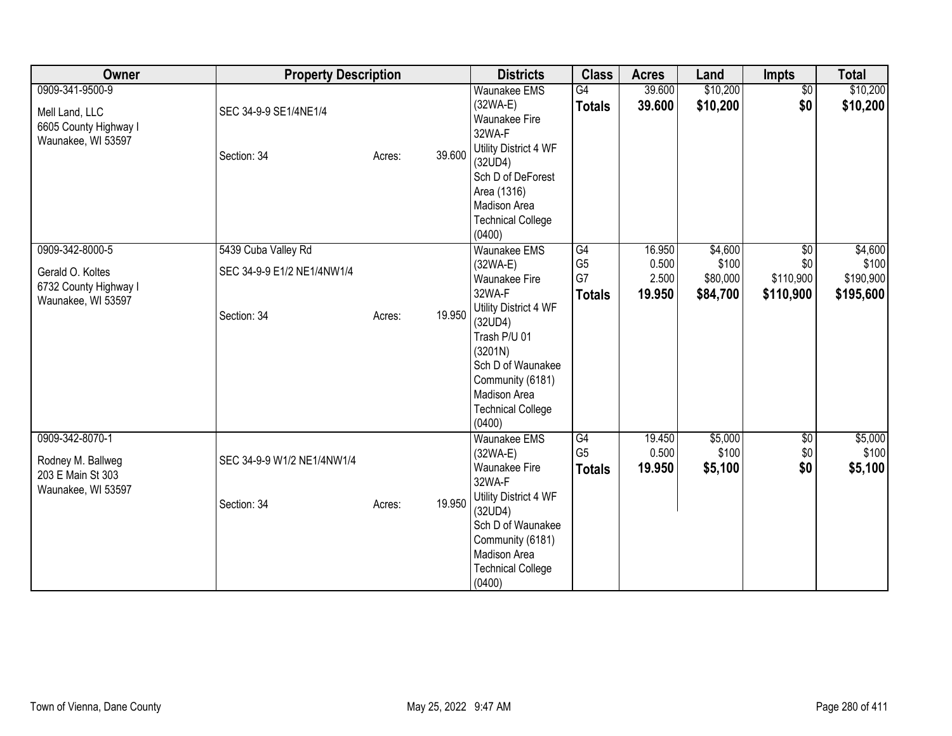| Owner                                                                              | <b>Property Description</b>                                      |        |        | <b>Districts</b>                                                                                                                                                                                                                  | <b>Class</b>                                | <b>Acres</b>                       | Land                                     | <b>Impts</b>                                     | <b>Total</b>                               |
|------------------------------------------------------------------------------------|------------------------------------------------------------------|--------|--------|-----------------------------------------------------------------------------------------------------------------------------------------------------------------------------------------------------------------------------------|---------------------------------------------|------------------------------------|------------------------------------------|--------------------------------------------------|--------------------------------------------|
| 0909-341-9500-9<br>Mell Land, LLC<br>6605 County Highway I<br>Waunakee, WI 53597   | SEC 34-9-9 SE1/4NE1/4<br>Section: 34                             | Acres: | 39.600 | <b>Waunakee EMS</b><br>$(32WA-E)$<br>Waunakee Fire<br>32WA-F<br>Utility District 4 WF<br>(32UD4)<br>Sch D of DeForest<br>Area (1316)<br>Madison Area<br><b>Technical College</b><br>(0400)                                        | G4<br><b>Totals</b>                         | 39.600<br>39.600                   | \$10,200<br>\$10,200                     | $\overline{50}$<br>\$0                           | \$10,200<br>\$10,200                       |
| 0909-342-8000-5<br>Gerald O. Koltes<br>6732 County Highway I<br>Waunakee, WI 53597 | 5439 Cuba Valley Rd<br>SEC 34-9-9 E1/2 NE1/4NW1/4<br>Section: 34 | Acres: | 19.950 | <b>Waunakee EMS</b><br>$(32WA-E)$<br><b>Waunakee Fire</b><br>32WA-F<br>Utility District 4 WF<br>(32UD4)<br>Trash P/U 01<br>(3201N)<br>Sch D of Waunakee<br>Community (6181)<br>Madison Area<br><b>Technical College</b><br>(0400) | G4<br>G <sub>5</sub><br>G7<br><b>Totals</b> | 16.950<br>0.500<br>2.500<br>19.950 | \$4,600<br>\$100<br>\$80,000<br>\$84,700 | $\overline{30}$<br>\$0<br>\$110,900<br>\$110,900 | \$4,600<br>\$100<br>\$190,900<br>\$195,600 |
| 0909-342-8070-1<br>Rodney M. Ballweg<br>203 E Main St 303<br>Waunakee, WI 53597    | SEC 34-9-9 W1/2 NE1/4NW1/4<br>Section: 34                        | Acres: | 19.950 | <b>Waunakee EMS</b><br>$(32WA-E)$<br><b>Waunakee Fire</b><br>32WA-F<br>Utility District 4 WF<br>(32UD4)<br>Sch D of Waunakee<br>Community (6181)<br>Madison Area<br><b>Technical College</b><br>(0400)                            | G4<br>G <sub>5</sub><br><b>Totals</b>       | 19.450<br>0.500<br>19.950          | \$5,000<br>\$100<br>\$5,100              | \$0<br>\$0<br>\$0                                | \$5,000<br>\$100<br>\$5,100                |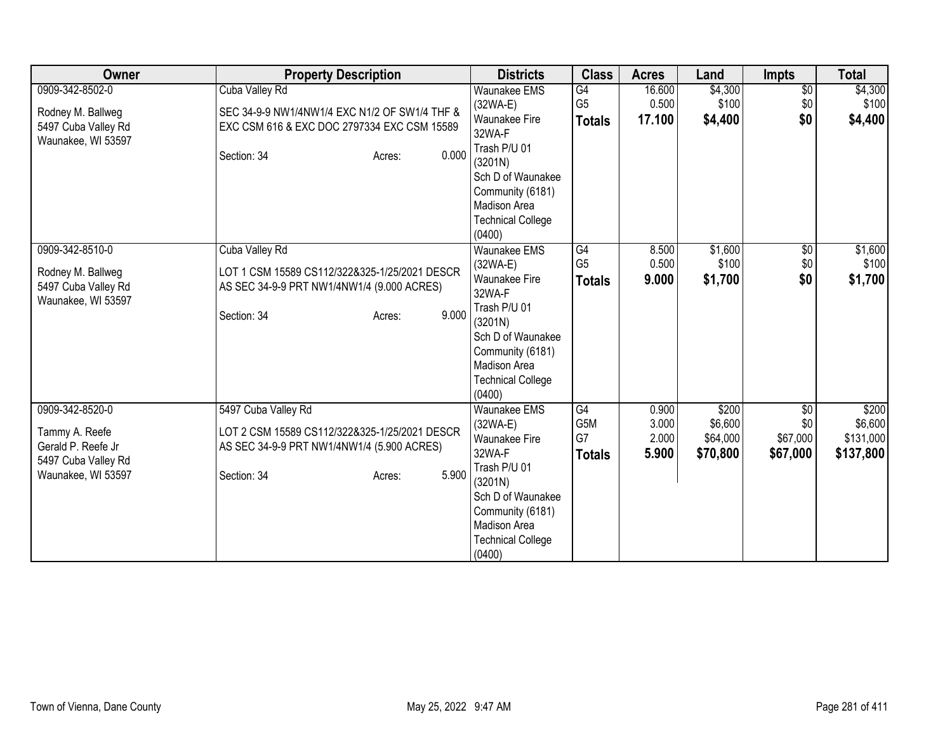| Owner                                                                                                | <b>Property Description</b>                                                                                                                          | <b>Districts</b>                                                                                                                                                                            | <b>Class</b>                          | <b>Acres</b>                     | Land                                     | <b>Impts</b>                       | <b>Total</b>                               |
|------------------------------------------------------------------------------------------------------|------------------------------------------------------------------------------------------------------------------------------------------------------|---------------------------------------------------------------------------------------------------------------------------------------------------------------------------------------------|---------------------------------------|----------------------------------|------------------------------------------|------------------------------------|--------------------------------------------|
| 0909-342-8502-0<br>Rodney M. Ballweg<br>5497 Cuba Valley Rd<br>Waunakee, WI 53597                    | Cuba Valley Rd<br>SEC 34-9-9 NW1/4NW1/4 EXC N1/2 OF SW1/4 THF &<br>EXC CSM 616 & EXC DOC 2797334 EXC CSM 15589<br>0.000<br>Section: 34<br>Acres:     | <b>Waunakee EMS</b><br>$(32WA-E)$<br>Waunakee Fire<br>32WA-F<br>Trash P/U 01<br>(3201N)<br>Sch D of Waunakee<br>Community (6181)<br>Madison Area<br><b>Technical College</b><br>(0400)      | G4<br>G <sub>5</sub><br><b>Totals</b> | 16.600<br>0.500<br>17.100        | \$4,300<br>\$100<br>\$4,400              | $\overline{$0}$<br>\$0<br>\$0      | \$4,300<br>\$100<br>\$4,400                |
| 0909-342-8510-0<br>Rodney M. Ballweg<br>5497 Cuba Valley Rd<br>Waunakee, WI 53597                    | Cuba Valley Rd<br>LOT 1 CSM 15589 CS112/322&325-1/25/2021 DESCR<br>AS SEC 34-9-9 PRT NW1/4NW1/4 (9.000 ACRES)<br>9.000<br>Section: 34<br>Acres:      | <b>Waunakee EMS</b><br>(32WA-E)<br>Waunakee Fire<br>32WA-F<br>Trash P/U 01<br>(3201N)<br>Sch D of Waunakee<br>Community (6181)<br>Madison Area<br><b>Technical College</b><br>(0400)        | G4<br>G <sub>5</sub><br><b>Totals</b> | 8.500<br>0.500<br>9.000          | \$1,600<br>\$100<br>\$1,700              | $\sqrt{6}$<br>\$0<br>\$0           | \$1,600<br>\$100<br>\$1,700                |
| 0909-342-8520-0<br>Tammy A. Reefe<br>Gerald P. Reefe Jr<br>5497 Cuba Valley Rd<br>Waunakee, WI 53597 | 5497 Cuba Valley Rd<br>LOT 2 CSM 15589 CS112/322&325-1/25/2021 DESCR<br>AS SEC 34-9-9 PRT NW1/4NW1/4 (5.900 ACRES)<br>5.900<br>Section: 34<br>Acres: | Waunakee EMS<br>(32WA-E)<br><b>Waunakee Fire</b><br>32WA-F<br>Trash P/U 01<br>(3201N)<br>Sch D of Waunakee<br>Community (6181)<br><b>Madison Area</b><br><b>Technical College</b><br>(0400) | G4<br>G5M<br>G7<br><b>Totals</b>      | 0.900<br>3.000<br>2.000<br>5.900 | \$200<br>\$6,600<br>\$64,000<br>\$70,800 | \$0<br>\$0<br>\$67,000<br>\$67,000 | \$200<br>\$6,600<br>\$131,000<br>\$137,800 |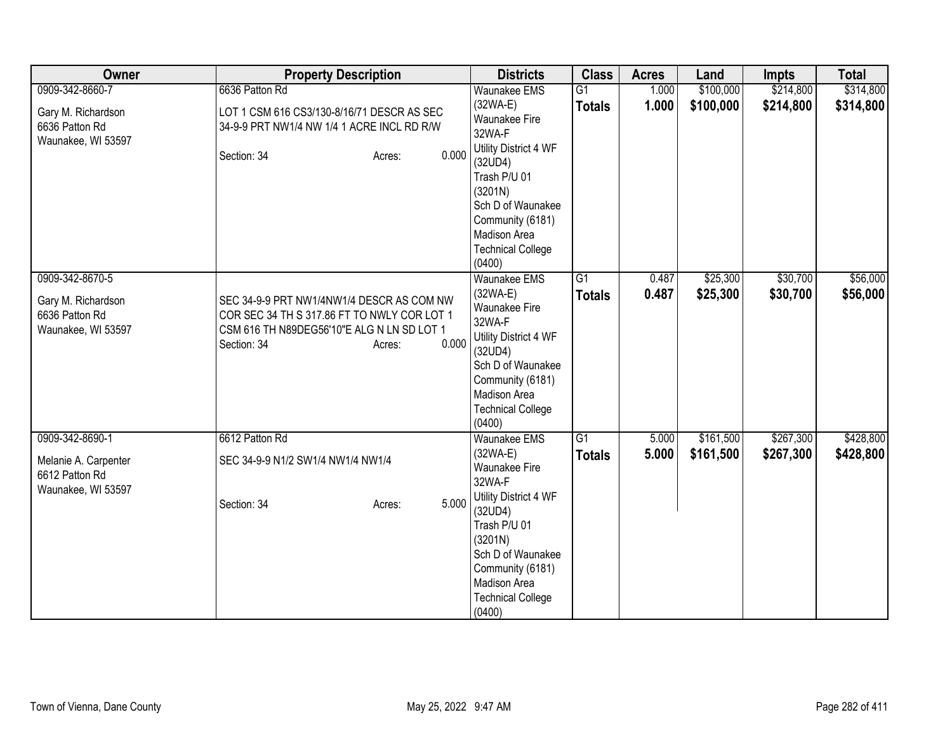| Owner                                | <b>Property Description</b>                                                              | <b>Districts</b>                                   | <b>Class</b>                     | <b>Acres</b>   | Land                 | <b>Impts</b>         | <b>Total</b>         |
|--------------------------------------|------------------------------------------------------------------------------------------|----------------------------------------------------|----------------------------------|----------------|----------------------|----------------------|----------------------|
| 0909-342-8660-7                      | 6636 Patton Rd                                                                           | <b>Waunakee EMS</b>                                | $\overline{G1}$                  | 1.000          | \$100,000            | \$214,800            | \$314,800            |
| Gary M. Richardson<br>6636 Patton Rd | LOT 1 CSM 616 CS3/130-8/16/71 DESCR AS SEC<br>34-9-9 PRT NW1/4 NW 1/4 1 ACRE INCL RD R/W | $(32WA-E)$<br><b>Waunakee Fire</b><br>32WA-F       | <b>Totals</b>                    | 1.000          | \$100,000            | \$214,800            | \$314,800            |
| Waunakee, WI 53597                   | 0.000<br>Section: 34<br>Acres:                                                           | Utility District 4 WF<br>(32UD4)<br>Trash P/U 01   |                                  |                |                      |                      |                      |
|                                      |                                                                                          | (3201N)<br>Sch D of Waunakee                       |                                  |                |                      |                      |                      |
|                                      |                                                                                          | Community (6181)<br>Madison Area                   |                                  |                |                      |                      |                      |
|                                      |                                                                                          | <b>Technical College</b><br>(0400)                 |                                  |                |                      |                      |                      |
| 0909-342-8670-5                      |                                                                                          | Waunakee EMS<br>$(32WA-E)$                         | $\overline{G1}$<br><b>Totals</b> | 0.487<br>0.487 | \$25,300<br>\$25,300 | \$30,700<br>\$30,700 | \$56,000<br>\$56,000 |
| Gary M. Richardson<br>6636 Patton Rd | SEC 34-9-9 PRT NW1/4NW1/4 DESCR AS COM NW<br>COR SEC 34 TH S 317.86 FT TO NWLY COR LOT 1 | Waunakee Fire                                      |                                  |                |                      |                      |                      |
| Waunakee, WI 53597                   | CSM 616 TH N89DEG56'10"E ALG N LN SD LOT 1<br>0.000<br>Section: 34<br>Acres:             | 32WA-F<br>Utility District 4 WF                    |                                  |                |                      |                      |                      |
|                                      |                                                                                          | (32UD4)<br>Sch D of Waunakee                       |                                  |                |                      |                      |                      |
|                                      |                                                                                          | Community (6181)                                   |                                  |                |                      |                      |                      |
|                                      |                                                                                          | Madison Area<br><b>Technical College</b><br>(0400) |                                  |                |                      |                      |                      |
| 0909-342-8690-1                      | 6612 Patton Rd                                                                           | Waunakee EMS                                       | G1                               | 5.000          | \$161,500            | \$267,300            | \$428,800            |
| Melanie A. Carpenter                 | SEC 34-9-9 N1/2 SW1/4 NW1/4 NW1/4                                                        | $(32WA-E)$<br>Waunakee Fire                        | <b>Totals</b>                    | 5.000          | \$161,500            | \$267,300            | \$428,800            |
| 6612 Patton Rd                       |                                                                                          | 32WA-F                                             |                                  |                |                      |                      |                      |
| Waunakee, WI 53597                   | 5.000<br>Section: 34<br>Acres:                                                           | Utility District 4 WF<br>(32UD4)                   |                                  |                |                      |                      |                      |
|                                      |                                                                                          | Trash P/U 01<br>(3201N)                            |                                  |                |                      |                      |                      |
|                                      |                                                                                          | Sch D of Waunakee                                  |                                  |                |                      |                      |                      |
|                                      |                                                                                          | Community (6181)                                   |                                  |                |                      |                      |                      |
|                                      |                                                                                          | Madison Area                                       |                                  |                |                      |                      |                      |
|                                      |                                                                                          | <b>Technical College</b><br>(0400)                 |                                  |                |                      |                      |                      |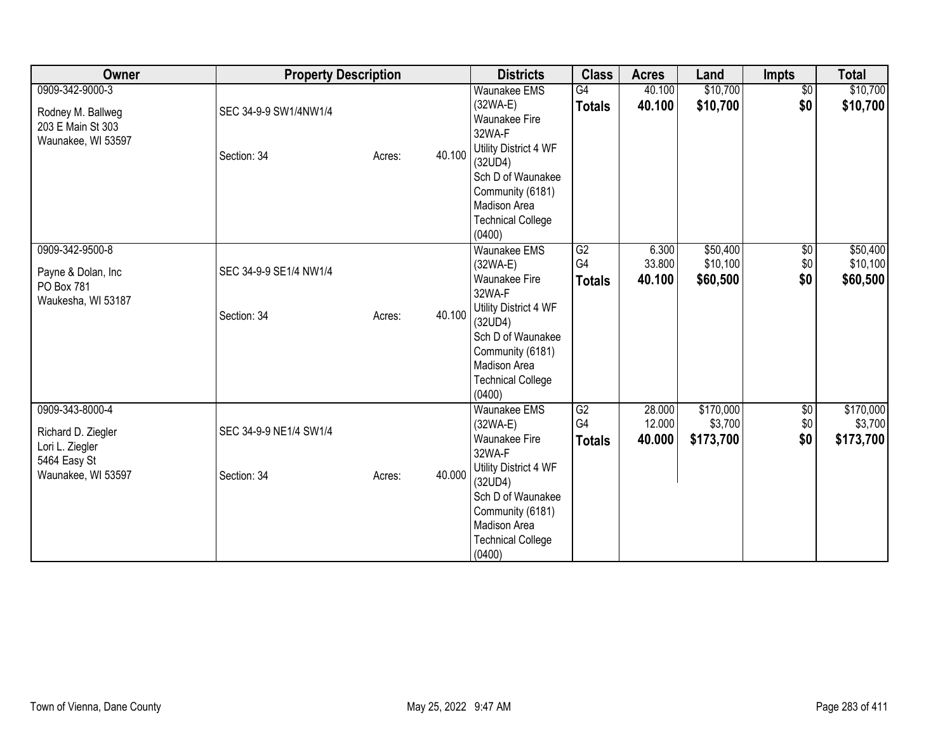| Owner                                                                                          | <b>Property Description</b>           |        |        | <b>Districts</b>                                                                                                                                                                                     | <b>Class</b>              | <b>Acres</b>               | Land                              | <b>Impts</b>             | <b>Total</b>                      |
|------------------------------------------------------------------------------------------------|---------------------------------------|--------|--------|------------------------------------------------------------------------------------------------------------------------------------------------------------------------------------------------------|---------------------------|----------------------------|-----------------------------------|--------------------------|-----------------------------------|
| 0909-342-9000-3<br>Rodney M. Ballweg<br>203 E Main St 303<br>Waunakee, WI 53597                | SEC 34-9-9 SW1/4NW1/4<br>Section: 34  | Acres: | 40.100 | <b>Waunakee EMS</b><br>(32WA-E)<br><b>Waunakee Fire</b><br>32WA-F<br>Utility District 4 WF<br>(32UD4)<br>Sch D of Waunakee<br>Community (6181)<br>Madison Area<br><b>Technical College</b><br>(0400) | G4<br><b>Totals</b>       | 40.100<br>40.100           | \$10,700<br>\$10,700              | $\overline{60}$<br>\$0   | \$10,700<br>\$10,700              |
| 0909-342-9500-8<br>Payne & Dolan, Inc<br>PO Box 781<br>Waukesha, WI 53187                      | SEC 34-9-9 SE1/4 NW1/4<br>Section: 34 | Acres: | 40.100 | Waunakee EMS<br>(32WA-E)<br><b>Waunakee Fire</b><br>32WA-F<br>Utility District 4 WF<br>(32UD4)<br>Sch D of Waunakee<br>Community (6181)<br><b>Madison Area</b><br><b>Technical College</b><br>(0400) | G2<br>G4<br><b>Totals</b> | 6.300<br>33.800<br>40.100  | \$50,400<br>\$10,100<br>\$60,500  | $\sqrt{6}$<br>\$0<br>\$0 | \$50,400<br>\$10,100<br>\$60,500  |
| 0909-343-8000-4<br>Richard D. Ziegler<br>Lori L. Ziegler<br>5464 Easy St<br>Waunakee, WI 53597 | SEC 34-9-9 NE1/4 SW1/4<br>Section: 34 | Acres: | 40.000 | Waunakee EMS<br>(32WA-E)<br><b>Waunakee Fire</b><br>32WA-F<br>Utility District 4 WF<br>(32UD4)<br>Sch D of Waunakee<br>Community (6181)<br>Madison Area<br><b>Technical College</b><br>(0400)        | G2<br>G4<br><b>Totals</b> | 28.000<br>12.000<br>40.000 | \$170,000<br>\$3,700<br>\$173,700 | \$0<br>\$0<br>\$0        | \$170,000<br>\$3,700<br>\$173,700 |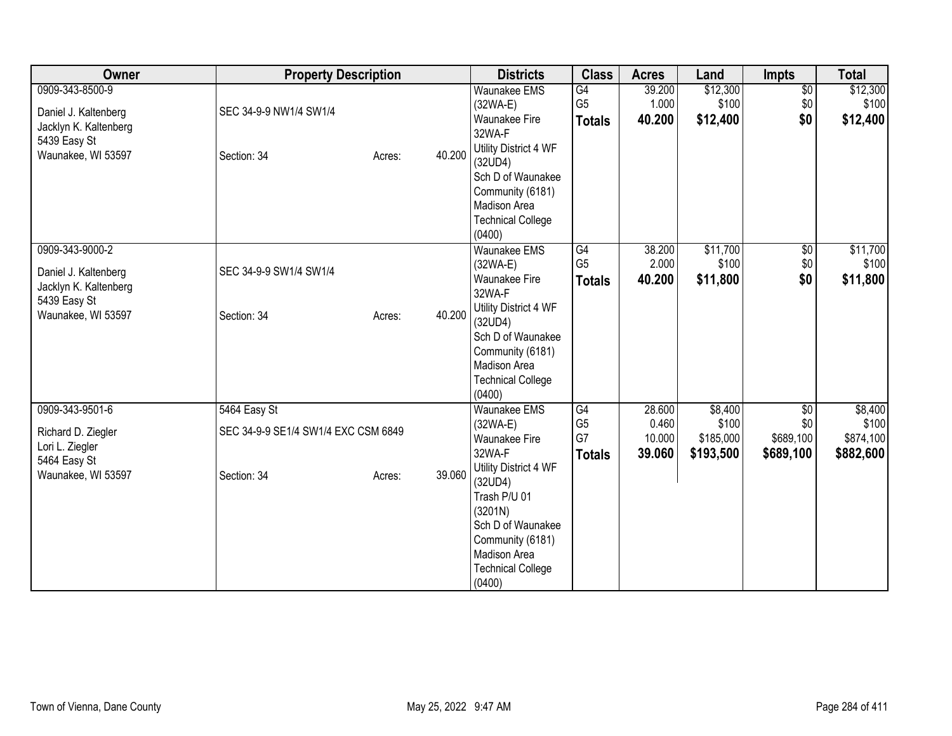| Owner                                         | <b>Property Description</b>         |        |        | <b>Districts</b>                 | <b>Class</b>   | <b>Acres</b> | Land      | <b>Impts</b>    | <b>Total</b> |
|-----------------------------------------------|-------------------------------------|--------|--------|----------------------------------|----------------|--------------|-----------|-----------------|--------------|
| 0909-343-8500-9                               |                                     |        |        | <b>Waunakee EMS</b>              | G4             | 39.200       | \$12,300  | $\sqrt{6}$      | \$12,300     |
| Daniel J. Kaltenberg                          | SEC 34-9-9 NW1/4 SW1/4              |        |        | (32WA-E)                         | G <sub>5</sub> | 1.000        | \$100     | \$0             | \$100        |
| Jacklyn K. Kaltenberg                         |                                     |        |        | Waunakee Fire                    | <b>Totals</b>  | 40.200       | \$12,400  | \$0             | \$12,400     |
| 5439 Easy St                                  |                                     |        |        | 32WA-F                           |                |              |           |                 |              |
| Waunakee, WI 53597                            | Section: 34                         | Acres: | 40.200 | Utility District 4 WF            |                |              |           |                 |              |
|                                               |                                     |        |        | (32UD4)<br>Sch D of Waunakee     |                |              |           |                 |              |
|                                               |                                     |        |        | Community (6181)                 |                |              |           |                 |              |
|                                               |                                     |        |        | Madison Area                     |                |              |           |                 |              |
|                                               |                                     |        |        | <b>Technical College</b>         |                |              |           |                 |              |
|                                               |                                     |        |        | (0400)                           |                |              |           |                 |              |
| 0909-343-9000-2                               |                                     |        |        | Waunakee EMS                     | G4             | 38.200       | \$11,700  | $\overline{60}$ | \$11,700     |
|                                               | SEC 34-9-9 SW1/4 SW1/4              |        |        | $(32WA-E)$                       | G <sub>5</sub> | 2.000        | \$100     | \$0             | \$100        |
| Daniel J. Kaltenberg<br>Jacklyn K. Kaltenberg |                                     |        |        | <b>Waunakee Fire</b>             | <b>Totals</b>  | 40.200       | \$11,800  | \$0             | \$11,800     |
| 5439 Easy St                                  |                                     |        |        | 32WA-F                           |                |              |           |                 |              |
| Waunakee, WI 53597                            | Section: 34                         | Acres: | 40.200 | Utility District 4 WF            |                |              |           |                 |              |
|                                               |                                     |        |        | (32UD4)                          |                |              |           |                 |              |
|                                               |                                     |        |        | Sch D of Waunakee                |                |              |           |                 |              |
|                                               |                                     |        |        | Community (6181)<br>Madison Area |                |              |           |                 |              |
|                                               |                                     |        |        | <b>Technical College</b>         |                |              |           |                 |              |
|                                               |                                     |        |        | (0400)                           |                |              |           |                 |              |
| 0909-343-9501-6                               | 5464 Easy St                        |        |        | <b>Waunakee EMS</b>              | G4             | 28.600       | \$8,400   | \$0             | \$8,400      |
|                                               |                                     |        |        | $(32WA-E)$                       | G <sub>5</sub> | 0.460        | \$100     | \$0             | \$100        |
| Richard D. Ziegler                            | SEC 34-9-9 SE1/4 SW1/4 EXC CSM 6849 |        |        | <b>Waunakee Fire</b>             | G7             | 10.000       | \$185,000 | \$689,100       | \$874,100    |
| Lori L. Ziegler                               |                                     |        |        | 32WA-F                           | <b>Totals</b>  | 39.060       | \$193,500 | \$689,100       | \$882,600    |
| 5464 Easy St<br>Waunakee, WI 53597            | Section: 34                         | Acres: | 39.060 | Utility District 4 WF            |                |              |           |                 |              |
|                                               |                                     |        |        | (32UD4)                          |                |              |           |                 |              |
|                                               |                                     |        |        | Trash P/U 01                     |                |              |           |                 |              |
|                                               |                                     |        |        | (3201N)                          |                |              |           |                 |              |
|                                               |                                     |        |        | Sch D of Waunakee                |                |              |           |                 |              |
|                                               |                                     |        |        | Community (6181)<br>Madison Area |                |              |           |                 |              |
|                                               |                                     |        |        | <b>Technical College</b>         |                |              |           |                 |              |
|                                               |                                     |        |        | (0400)                           |                |              |           |                 |              |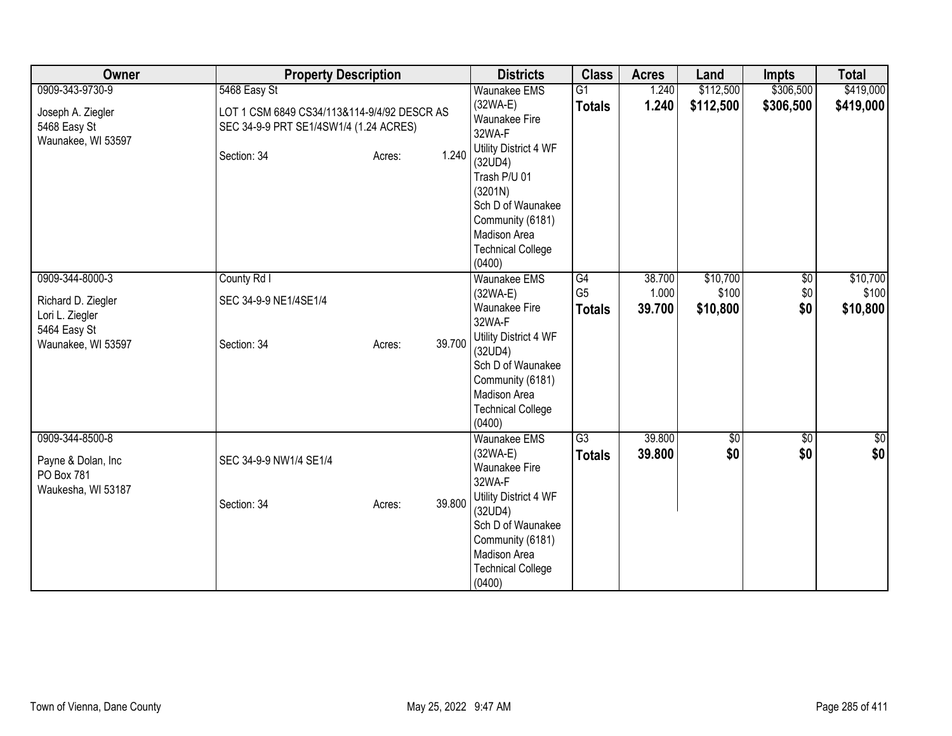| Owner                                                                                          | <b>Property Description</b>                                                                                                             | <b>Districts</b>                                                                                                                                                                                                    | <b>Class</b>                          | <b>Acres</b>              | Land                          | <b>Impts</b>                  | <b>Total</b>                  |
|------------------------------------------------------------------------------------------------|-----------------------------------------------------------------------------------------------------------------------------------------|---------------------------------------------------------------------------------------------------------------------------------------------------------------------------------------------------------------------|---------------------------------------|---------------------------|-------------------------------|-------------------------------|-------------------------------|
| 0909-343-9730-9<br>Joseph A. Ziegler<br>5468 Easy St<br>Waunakee, WI 53597                     | 5468 Easy St<br>LOT 1 CSM 6849 CS34/113&114-9/4/92 DESCR AS<br>SEC 34-9-9 PRT SE1/4SW1/4 (1.24 ACRES)<br>1.240<br>Section: 34<br>Acres: | Waunakee EMS<br>$(32WA-E)$<br>Waunakee Fire<br>32WA-F<br>Utility District 4 WF<br>(32UD4)<br>Trash P/U 01<br>(3201N)<br>Sch D of Waunakee<br>Community (6181)<br>Madison Area<br><b>Technical College</b><br>(0400) | $\overline{G1}$<br><b>Totals</b>      | 1.240<br>1.240            | \$112,500<br>\$112,500        | \$306,500<br>\$306,500        | \$419,000<br>\$419,000        |
| 0909-344-8000-3<br>Richard D. Ziegler<br>Lori L. Ziegler<br>5464 Easy St<br>Waunakee, WI 53597 | County Rd I<br>SEC 34-9-9 NE1/4SE1/4<br>39.700<br>Section: 34<br>Acres:                                                                 | <b>Waunakee EMS</b><br>$(32WA-E)$<br>Waunakee Fire<br>32WA-F<br>Utility District 4 WF<br>(32UD4)<br>Sch D of Waunakee<br>Community (6181)<br>Madison Area<br><b>Technical College</b><br>(0400)                     | G4<br>G <sub>5</sub><br><b>Totals</b> | 38.700<br>1.000<br>39.700 | \$10,700<br>\$100<br>\$10,800 | $\overline{50}$<br>\$0<br>\$0 | \$10,700<br>\$100<br>\$10,800 |
| 0909-344-8500-8<br>Payne & Dolan, Inc<br>PO Box 781<br>Waukesha, WI 53187                      | SEC 34-9-9 NW1/4 SE1/4<br>39.800<br>Section: 34<br>Acres:                                                                               | <b>Waunakee EMS</b><br>$(32WA-E)$<br><b>Waunakee Fire</b><br>32WA-F<br>Utility District 4 WF<br>(32UD4)<br>Sch D of Waunakee<br>Community (6181)<br>Madison Area<br><b>Technical College</b><br>(0400)              | $\overline{G3}$<br><b>Totals</b>      | 39.800<br>39.800          | 30 <br>\$0                    | \$0<br>\$0                    | \$0<br>\$0                    |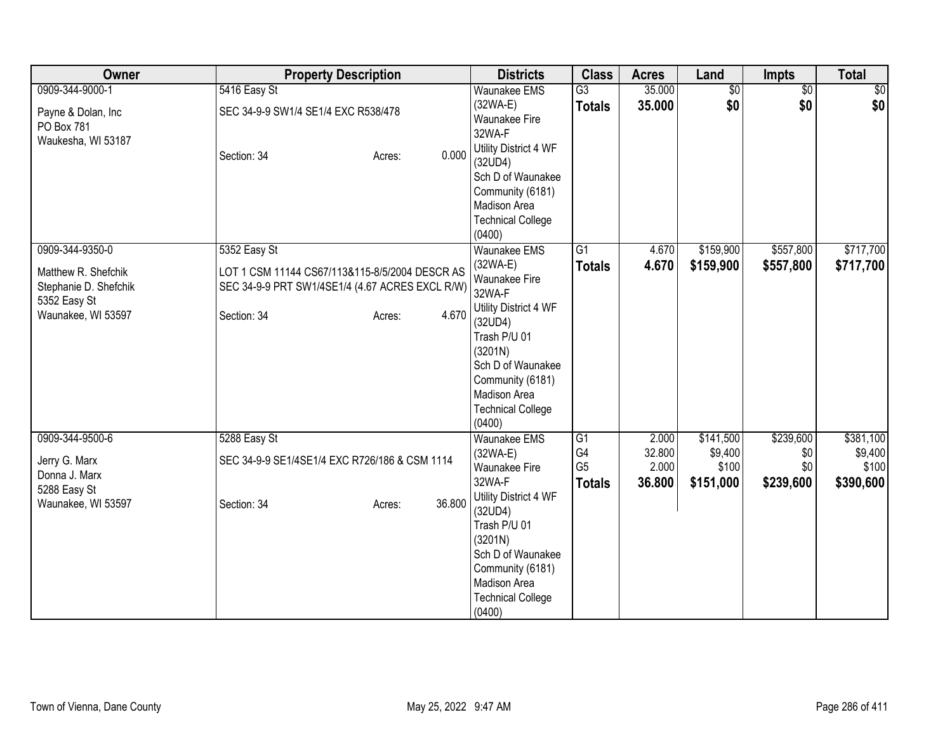| Owner                                                                                                 |                                                                                                                                  | <b>Property Description</b> |        | <b>Districts</b>                                                                                                                                                                                                           | <b>Class</b>                                             | <b>Acres</b>                       | Land                                       | <b>Impts</b>                         | <b>Total</b>                               |
|-------------------------------------------------------------------------------------------------------|----------------------------------------------------------------------------------------------------------------------------------|-----------------------------|--------|----------------------------------------------------------------------------------------------------------------------------------------------------------------------------------------------------------------------------|----------------------------------------------------------|------------------------------------|--------------------------------------------|--------------------------------------|--------------------------------------------|
| 0909-344-9000-1<br>Payne & Dolan, Inc<br>PO Box 781<br>Waukesha, WI 53187                             | 5416 Easy St<br>SEC 34-9-9 SW1/4 SE1/4 EXC R538/478<br>Section: 34                                                               | Acres:                      | 0.000  | <b>Waunakee EMS</b><br>$(32WA-E)$<br><b>Waunakee Fire</b><br>32WA-F<br>Utility District 4 WF<br>(32UD4)<br>Sch D of Waunakee<br>Community (6181)<br>Madison Area<br><b>Technical College</b><br>(0400)                     | $\overline{G3}$<br><b>Totals</b>                         | 35.000<br>35.000                   | \$0<br>\$0                                 | $\overline{50}$<br>\$0               | \$0<br>\$0                                 |
| 0909-344-9350-0<br>Matthew R. Shefchik<br>Stephanie D. Shefchik<br>5352 Easy St<br>Waunakee, WI 53597 | 5352 Easy St<br>LOT 1 CSM 11144 CS67/113&115-8/5/2004 DESCR AS<br>SEC 34-9-9 PRT SW1/4SE1/4 (4.67 ACRES EXCL R/W)<br>Section: 34 | Acres:                      | 4.670  | Waunakee EMS<br>$(32WA-E)$<br>Waunakee Fire<br>32WA-F<br>Utility District 4 WF<br>(32UD4)<br>Trash P/U 01<br>(3201N)<br>Sch D of Waunakee<br>Community (6181)<br>Madison Area<br><b>Technical College</b><br>(0400)        | $\overline{G1}$<br><b>Totals</b>                         | 4.670<br>4.670                     | \$159,900<br>\$159,900                     | \$557,800<br>\$557,800               | \$717,700<br>\$717,700                     |
| 0909-344-9500-6<br>Jerry G. Marx<br>Donna J. Marx<br>5288 Easy St<br>Waunakee, WI 53597               | 5288 Easy St<br>SEC 34-9-9 SE1/4SE1/4 EXC R726/186 & CSM 1114<br>Section: 34                                                     | Acres:                      | 36.800 | <b>Waunakee EMS</b><br>$(32WA-E)$<br>Waunakee Fire<br>32WA-F<br>Utility District 4 WF<br>(32UD4)<br>Trash P/U 01<br>(3201N)<br>Sch D of Waunakee<br>Community (6181)<br>Madison Area<br><b>Technical College</b><br>(0400) | $\overline{G1}$<br>G4<br>G <sub>5</sub><br><b>Totals</b> | 2.000<br>32.800<br>2.000<br>36.800 | \$141,500<br>\$9,400<br>\$100<br>\$151,000 | \$239,600<br>\$0<br>\$0<br>\$239,600 | \$381,100<br>\$9,400<br>\$100<br>\$390,600 |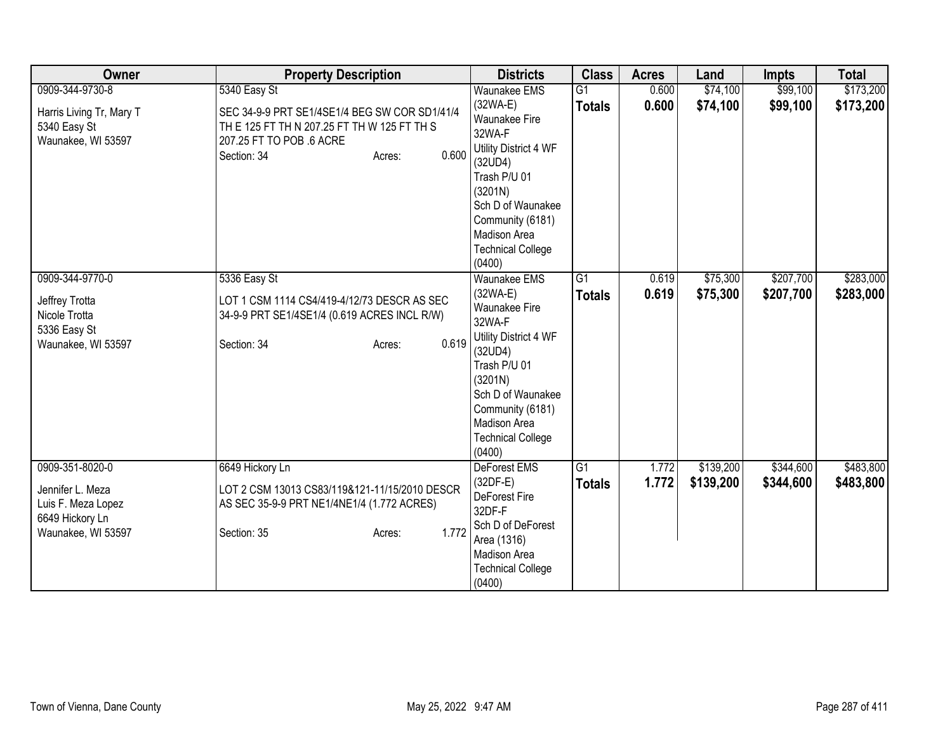| <b>Owner</b>             | <b>Property Description</b>                   | <b>Districts</b>             | <b>Class</b>    | <b>Acres</b> | Land      | <b>Impts</b> | <b>Total</b> |
|--------------------------|-----------------------------------------------|------------------------------|-----------------|--------------|-----------|--------------|--------------|
| 0909-344-9730-8          | 5340 Easy St                                  | <b>Waunakee EMS</b>          | $\overline{G1}$ | 0.600        | \$74,100  | \$99,100     | \$173,200    |
| Harris Living Tr, Mary T | SEC 34-9-9 PRT SE1/4SE1/4 BEG SW COR SD1/41/4 | $(32WA-E)$                   | <b>Totals</b>   | 0.600        | \$74,100  | \$99,100     | \$173,200    |
| 5340 Easy St             | TH E 125 FT TH N 207.25 FT TH W 125 FT TH S   | Waunakee Fire                |                 |              |           |              |              |
| Waunakee, WI 53597       | 207.25 FT TO POB .6 ACRE                      | 32WA-F                       |                 |              |           |              |              |
|                          | 0.600<br>Section: 34<br>Acres:                | Utility District 4 WF        |                 |              |           |              |              |
|                          |                                               | (32UD4)                      |                 |              |           |              |              |
|                          |                                               | Trash P/U 01                 |                 |              |           |              |              |
|                          |                                               | (3201N)<br>Sch D of Waunakee |                 |              |           |              |              |
|                          |                                               | Community (6181)             |                 |              |           |              |              |
|                          |                                               | <b>Madison Area</b>          |                 |              |           |              |              |
|                          |                                               | <b>Technical College</b>     |                 |              |           |              |              |
|                          |                                               | (0400)                       |                 |              |           |              |              |
| 0909-344-9770-0          | 5336 Easy St                                  | <b>Waunakee EMS</b>          | $\overline{G1}$ | 0.619        | \$75,300  | \$207,700    | \$283,000    |
|                          |                                               | (32WA-E)                     | <b>Totals</b>   | 0.619        | \$75,300  | \$207,700    | \$283,000    |
| Jeffrey Trotta           | LOT 1 CSM 1114 CS4/419-4/12/73 DESCR AS SEC   | Waunakee Fire                |                 |              |           |              |              |
| Nicole Trotta            | 34-9-9 PRT SE1/4SE1/4 (0.619 ACRES INCL R/W)  | 32WA-F                       |                 |              |           |              |              |
| 5336 Easy St             |                                               | Utility District 4 WF        |                 |              |           |              |              |
| Waunakee, WI 53597       | 0.619<br>Section: 34<br>Acres:                | (32UD4)                      |                 |              |           |              |              |
|                          |                                               | Trash P/U 01                 |                 |              |           |              |              |
|                          |                                               | (3201N)                      |                 |              |           |              |              |
|                          |                                               | Sch D of Waunakee            |                 |              |           |              |              |
|                          |                                               | Community (6181)             |                 |              |           |              |              |
|                          |                                               | Madison Area                 |                 |              |           |              |              |
|                          |                                               | <b>Technical College</b>     |                 |              |           |              |              |
|                          |                                               | (0400)                       |                 |              |           |              |              |
| 0909-351-8020-0          | 6649 Hickory Ln                               | <b>DeForest EMS</b>          | $\overline{G1}$ | 1.772        | \$139,200 | \$344,600    | \$483,800    |
| Jennifer L. Meza         | LOT 2 CSM 13013 CS83/119&121-11/15/2010 DESCR | $(32DF-E)$<br>DeForest Fire  | <b>Totals</b>   | 1.772        | \$139,200 | \$344,600    | \$483,800    |
| Luis F. Meza Lopez       | AS SEC 35-9-9 PRT NE1/4NE1/4 (1.772 ACRES)    | 32DF-F                       |                 |              |           |              |              |
| 6649 Hickory Ln          |                                               | Sch D of DeForest            |                 |              |           |              |              |
| Waunakee, WI 53597       | 1.772<br>Section: 35<br>Acres:                | Area (1316)                  |                 |              |           |              |              |
|                          |                                               | <b>Madison Area</b>          |                 |              |           |              |              |
|                          |                                               | <b>Technical College</b>     |                 |              |           |              |              |
|                          |                                               | (0400)                       |                 |              |           |              |              |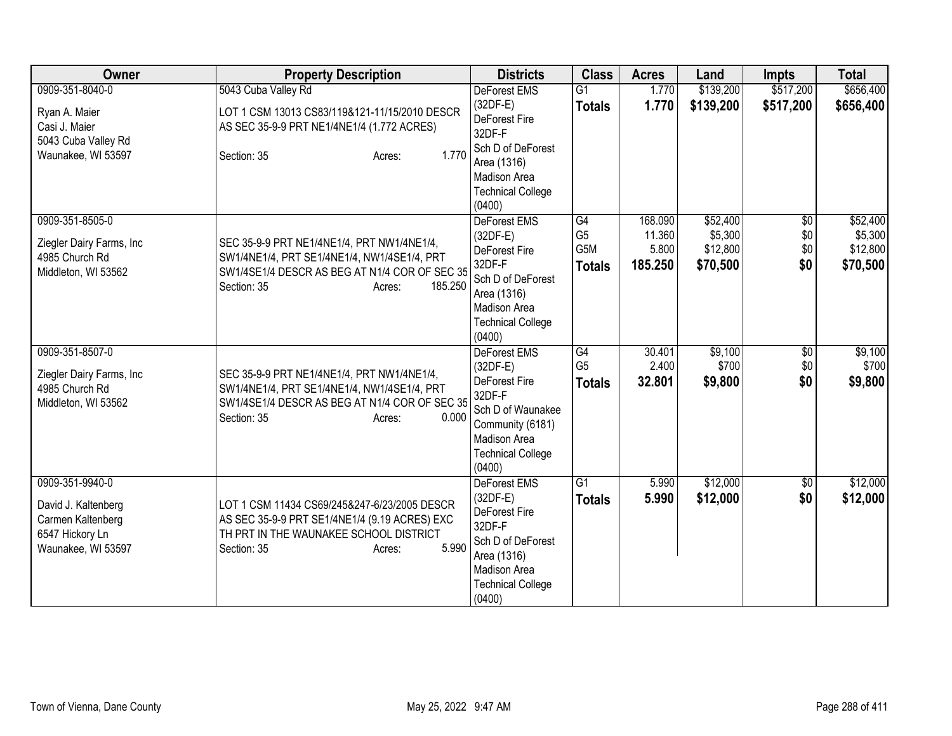| <b>Owner</b>                                          | <b>Property Description</b>                                                                 | <b>Districts</b>                                                                              | <b>Class</b>   | <b>Acres</b>     | Land                 | <b>Impts</b>    | <b>Total</b> |
|-------------------------------------------------------|---------------------------------------------------------------------------------------------|-----------------------------------------------------------------------------------------------|----------------|------------------|----------------------|-----------------|--------------|
| 0909-351-8040-0                                       | 5043 Cuba Valley Rd                                                                         | <b>DeForest EMS</b>                                                                           | G1             | 1.770            | \$139,200            | \$517,200       | \$656,400    |
| Ryan A. Maier<br>Casi J. Maier<br>5043 Cuba Valley Rd | LOT 1 CSM 13013 CS83/119&121-11/15/2010 DESCR<br>AS SEC 35-9-9 PRT NE1/4NE1/4 (1.772 ACRES) | (32DF-E)<br>DeForest Fire<br>32DF-F                                                           | <b>Totals</b>  | 1.770            | \$139,200            | \$517,200       | \$656,400    |
| Waunakee, WI 53597                                    | 1.770<br>Section: 35<br>Acres:                                                              | Sch D of DeForest<br>Area (1316)<br><b>Madison Area</b><br><b>Technical College</b><br>(0400) |                |                  |                      |                 |              |
| 0909-351-8505-0                                       |                                                                                             | DeForest EMS                                                                                  | G4             | 168.090          | \$52,400             | $\overline{50}$ | \$52,400     |
| Ziegler Dairy Farms, Inc                              | SEC 35-9-9 PRT NE1/4NE1/4, PRT NW1/4NE1/4,                                                  | $(32DF-E)$                                                                                    | G <sub>5</sub> | 11.360           | \$5,300              | \$0             | \$5,300      |
| 4985 Church Rd                                        | SW1/4NE1/4, PRT SE1/4NE1/4, NW1/4SE1/4, PRT                                                 | DeForest Fire<br>32DF-F                                                                       | G5M            | 5.800<br>185.250 | \$12,800<br>\$70,500 | \$0<br>\$0      | \$12,800     |
| Middleton, WI 53562                                   | SW1/4SE1/4 DESCR AS BEG AT N1/4 COR OF SEC 35<br>Section: 35<br>185.250<br>Acres:           | Sch D of DeForest<br>Area (1316)<br><b>Madison Area</b><br><b>Technical College</b><br>(0400) | <b>Totals</b>  |                  |                      |                 | \$70,500     |
| 0909-351-8507-0                                       |                                                                                             | DeForest EMS                                                                                  | G4             | 30.401           | \$9,100              | \$0             | \$9,100      |
| Ziegler Dairy Farms, Inc                              | SEC 35-9-9 PRT NE1/4NE1/4, PRT NW1/4NE1/4,                                                  | $(32DF-E)$                                                                                    | G <sub>5</sub> | 2.400            | \$700                | \$0             | \$700        |
| 4985 Church Rd                                        | SW1/4NE1/4, PRT SE1/4NE1/4, NW1/4SE1/4, PRT                                                 | DeForest Fire<br>32DF-F                                                                       | <b>Totals</b>  | 32.801           | \$9,800              | \$0             | \$9,800      |
| Middleton, WI 53562                                   | SW1/4SE1/4 DESCR AS BEG AT N1/4 COR OF SEC 35                                               | Sch D of Waunakee                                                                             |                |                  |                      |                 |              |
|                                                       | 0.000<br>Section: 35<br>Acres:                                                              | Community (6181)                                                                              |                |                  |                      |                 |              |
|                                                       |                                                                                             | Madison Area                                                                                  |                |                  |                      |                 |              |
|                                                       |                                                                                             | <b>Technical College</b><br>(0400)                                                            |                |                  |                      |                 |              |
| 0909-351-9940-0                                       |                                                                                             | DeForest EMS                                                                                  | G1             | 5.990            | \$12,000             | \$0             | \$12,000     |
| David J. Kaltenberg                                   | LOT 1 CSM 11434 CS69/245&247-6/23/2005 DESCR                                                | $(32DF-E)$<br>DeForest Fire                                                                   | <b>Totals</b>  | 5.990            | \$12,000             | \$0             | \$12,000     |
| Carmen Kaltenberg                                     | AS SEC 35-9-9 PRT SE1/4NE1/4 (9.19 ACRES) EXC                                               | 32DF-F                                                                                        |                |                  |                      |                 |              |
| 6547 Hickory Ln                                       | TH PRT IN THE WAUNAKEE SCHOOL DISTRICT<br>5.990                                             | Sch D of DeForest                                                                             |                |                  |                      |                 |              |
| Waunakee, WI 53597                                    | Section: 35<br>Acres:                                                                       | Area (1316)                                                                                   |                |                  |                      |                 |              |
|                                                       |                                                                                             | Madison Area                                                                                  |                |                  |                      |                 |              |
|                                                       |                                                                                             | <b>Technical College</b><br>(0400)                                                            |                |                  |                      |                 |              |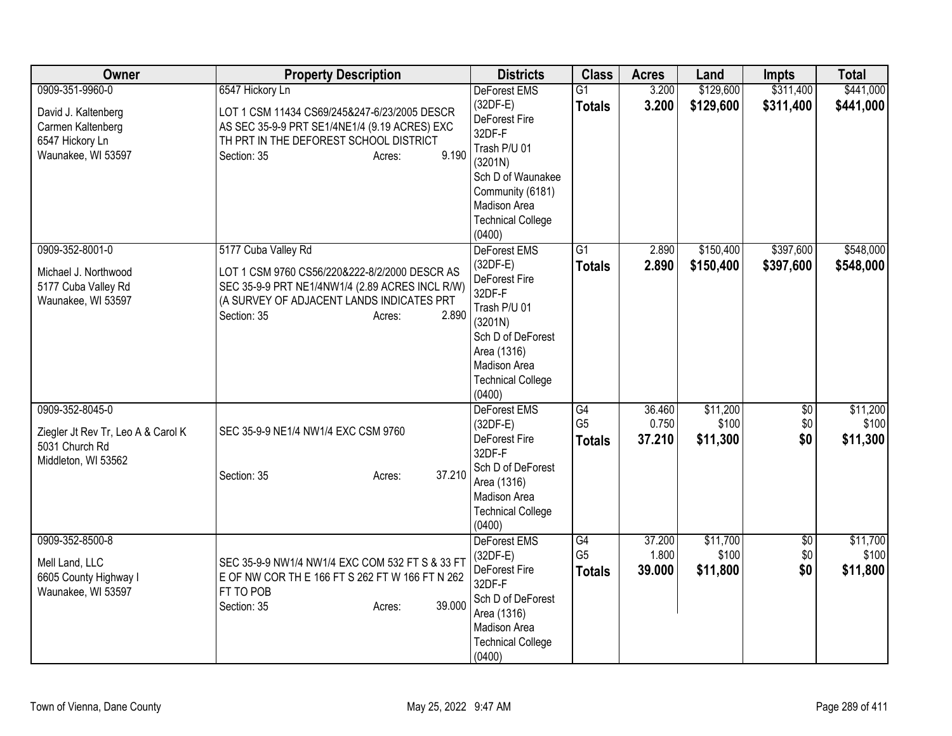| Owner                                                                                          | <b>Property Description</b>                                                                                                                                                                            | <b>Districts</b>                                                                                                                                                         | <b>Class</b>                          | <b>Acres</b>              | Land                          | <b>Impts</b>           | <b>Total</b>                  |
|------------------------------------------------------------------------------------------------|--------------------------------------------------------------------------------------------------------------------------------------------------------------------------------------------------------|--------------------------------------------------------------------------------------------------------------------------------------------------------------------------|---------------------------------------|---------------------------|-------------------------------|------------------------|-------------------------------|
| 0909-351-9960-0                                                                                | 6547 Hickory Ln                                                                                                                                                                                        | <b>DeForest EMS</b>                                                                                                                                                      | $\overline{G1}$                       | 3.200                     | \$129,600                     | \$311,400              | \$441,000                     |
| David J. Kaltenberg<br>Carmen Kaltenberg<br>6547 Hickory Ln<br>Waunakee, WI 53597              | LOT 1 CSM 11434 CS69/245&247-6/23/2005 DESCR<br>AS SEC 35-9-9 PRT SE1/4NE1/4 (9.19 ACRES) EXC<br>TH PRT IN THE DEFOREST SCHOOL DISTRICT<br>9.190<br>Section: 35<br>Acres:                              | $(32DF-E)$<br>DeForest Fire<br>32DF-F<br>Trash P/U 01<br>(3201N)<br>Sch D of Waunakee<br>Community (6181)<br>Madison Area                                                | <b>Totals</b>                         | 3.200                     | \$129,600                     | \$311,400              | \$441,000                     |
|                                                                                                |                                                                                                                                                                                                        | <b>Technical College</b><br>(0400)                                                                                                                                       |                                       |                           |                               |                        |                               |
| 0909-352-8001-0<br>Michael J. Northwood<br>5177 Cuba Valley Rd<br>Waunakee, WI 53597           | 5177 Cuba Valley Rd<br>LOT 1 CSM 9760 CS56/220&222-8/2/2000 DESCR AS<br>SEC 35-9-9 PRT NE1/4NW1/4 (2.89 ACRES INCL R/W)<br>(A SURVEY OF ADJACENT LANDS INDICATES PRT<br>Section: 35<br>2.890<br>Acres: | DeForest EMS<br>(32DF-E)<br>DeForest Fire<br>32DF-F<br>Trash P/U 01<br>(3201N)<br>Sch D of DeForest<br>Area (1316)<br>Madison Area<br><b>Technical College</b><br>(0400) | $\overline{G1}$<br><b>Totals</b>      | 2.890<br>2.890            | \$150,400<br>\$150,400        | \$397,600<br>\$397,600 | \$548,000<br>\$548,000        |
| 0909-352-8045-0<br>Ziegler Jt Rev Tr, Leo A & Carol K<br>5031 Church Rd<br>Middleton, WI 53562 | SEC 35-9-9 NE1/4 NW1/4 EXC CSM 9760<br>37.210<br>Section: 35<br>Acres:                                                                                                                                 | <b>DeForest EMS</b><br>$(32DF-E)$<br>DeForest Fire<br>32DF-F<br>Sch D of DeForest<br>Area (1316)<br>Madison Area<br><b>Technical College</b><br>(0400)                   | G4<br>G <sub>5</sub><br><b>Totals</b> | 36.460<br>0.750<br>37.210 | \$11,200<br>\$100<br>\$11,300 | \$0<br>\$0<br>\$0      | \$11,200<br>\$100<br>\$11,300 |
| 0909-352-8500-8<br>Mell Land, LLC<br>6605 County Highway I<br>Waunakee, WI 53597               | SEC 35-9-9 NW1/4 NW1/4 EXC COM 532 FT S & 33 FT<br>E OF NW COR TH E 166 FT S 262 FT W 166 FT N 262<br>FT TO POB<br>39.000<br>Section: 35<br>Acres:                                                     | DeForest EMS<br>$(32DF-E)$<br>DeForest Fire<br>32DF-F<br>Sch D of DeForest<br>Area (1316)<br>Madison Area<br><b>Technical College</b><br>(0400)                          | G4<br>G <sub>5</sub><br><b>Totals</b> | 37.200<br>1.800<br>39.000 | \$11,700<br>\$100<br>\$11,800 | \$0<br>\$0<br>\$0      | \$11,700<br>\$100<br>\$11,800 |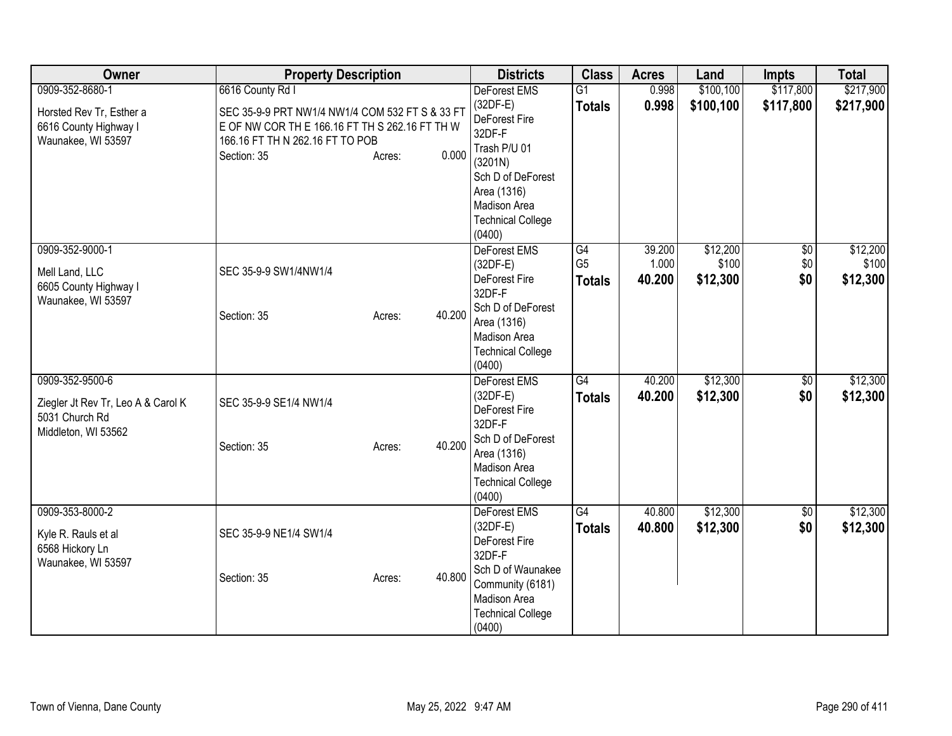| Owner                                                                                          | <b>Property Description</b>                                                                                                                                                                | <b>Districts</b>                                                                                                                                                                | <b>Class</b>                          | <b>Acres</b>              | Land                          | <b>Impts</b>                  | <b>Total</b>                  |
|------------------------------------------------------------------------------------------------|--------------------------------------------------------------------------------------------------------------------------------------------------------------------------------------------|---------------------------------------------------------------------------------------------------------------------------------------------------------------------------------|---------------------------------------|---------------------------|-------------------------------|-------------------------------|-------------------------------|
| 0909-352-8680-1<br>Horsted Rev Tr, Esther a<br>6616 County Highway I<br>Waunakee, WI 53597     | 6616 County Rd I<br>SEC 35-9-9 PRT NW1/4 NW1/4 COM 532 FT S & 33 FT<br>E OF NW COR TH E 166.16 FT TH S 262.16 FT TH W<br>166.16 FT TH N 262.16 FT TO POB<br>0.000<br>Section: 35<br>Acres: | DeForest EMS<br>(32DF-E)<br>DeForest Fire<br>32DF-F<br>Trash P/U 01<br>(3201N)<br>Sch D of DeForest<br>Area (1316)<br><b>Madison Area</b><br><b>Technical College</b><br>(0400) | $\overline{G1}$<br><b>Totals</b>      | 0.998<br>0.998            | \$100,100<br>\$100,100        | \$117,800<br>\$117,800        | \$217,900<br>\$217,900        |
| 0909-352-9000-1<br>Mell Land, LLC<br>6605 County Highway I<br>Waunakee, WI 53597               | SEC 35-9-9 SW1/4NW1/4<br>40.200<br>Section: 35<br>Acres:                                                                                                                                   | DeForest EMS<br>$(32DF-E)$<br>DeForest Fire<br>32DF-F<br>Sch D of DeForest<br>Area (1316)<br>Madison Area<br><b>Technical College</b><br>(0400)                                 | G4<br>G <sub>5</sub><br><b>Totals</b> | 39.200<br>1.000<br>40.200 | \$12,200<br>\$100<br>\$12,300 | $\overline{60}$<br>\$0<br>\$0 | \$12,200<br>\$100<br>\$12,300 |
| 0909-352-9500-6<br>Ziegler Jt Rev Tr, Leo A & Carol K<br>5031 Church Rd<br>Middleton, WI 53562 | SEC 35-9-9 SE1/4 NW1/4<br>40.200<br>Section: 35<br>Acres:                                                                                                                                  | <b>DeForest EMS</b><br>(32DF-E)<br>DeForest Fire<br>32DF-F<br>Sch D of DeForest<br>Area (1316)<br>Madison Area<br><b>Technical College</b><br>(0400)                            | $\overline{G4}$<br><b>Totals</b>      | 40.200<br>40.200          | \$12,300<br>\$12,300          | \$0<br>\$0                    | \$12,300<br>\$12,300          |
| 0909-353-8000-2<br>Kyle R. Rauls et al<br>6568 Hickory Ln<br>Waunakee, WI 53597                | SEC 35-9-9 NE1/4 SW1/4<br>40.800<br>Section: 35<br>Acres:                                                                                                                                  | DeForest EMS<br>$(32DF-E)$<br>DeForest Fire<br>32DF-F<br>Sch D of Waunakee<br>Community (6181)<br>Madison Area<br><b>Technical College</b><br>(0400)                            | $\overline{G4}$<br><b>Totals</b>      | 40.800<br>40.800          | \$12,300<br>\$12,300          | $\overline{50}$<br>\$0        | \$12,300<br>\$12,300          |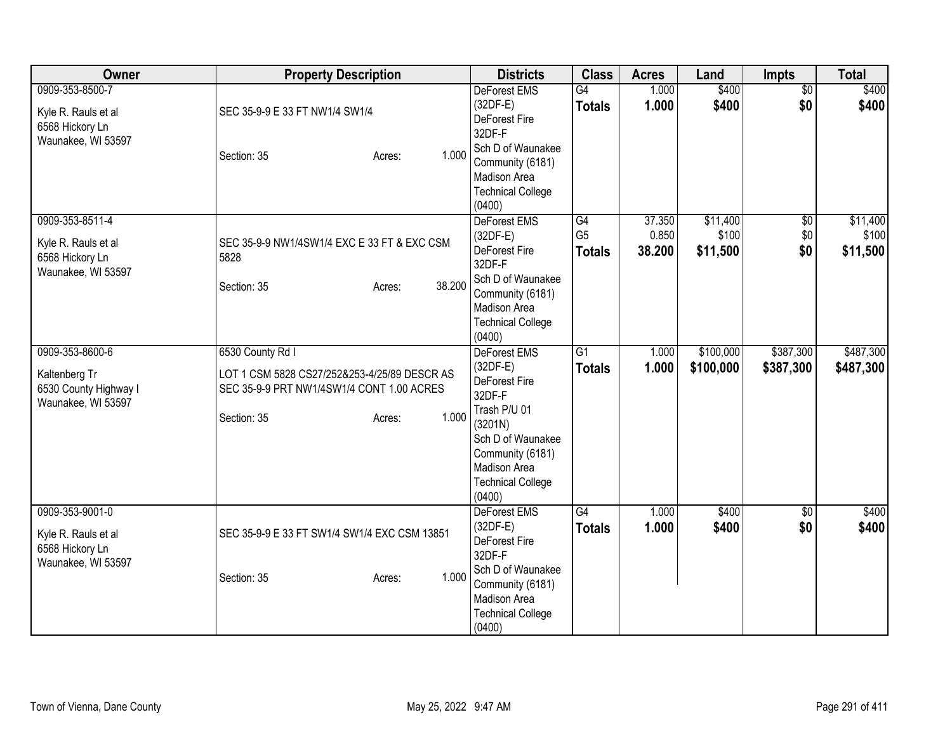| Owner                                                                           | <b>Property Description</b>                                                                                                                     | <b>Districts</b>                                                                                                                                                                | <b>Class</b>                          | <b>Acres</b>              | Land                          | Impts                    | <b>Total</b>                  |
|---------------------------------------------------------------------------------|-------------------------------------------------------------------------------------------------------------------------------------------------|---------------------------------------------------------------------------------------------------------------------------------------------------------------------------------|---------------------------------------|---------------------------|-------------------------------|--------------------------|-------------------------------|
| 0909-353-8500-7<br>Kyle R. Rauls et al<br>6568 Hickory Ln<br>Waunakee, WI 53597 | SEC 35-9-9 E 33 FT NW1/4 SW1/4<br>1.000<br>Section: 35<br>Acres:                                                                                | DeForest EMS<br>$(32DF-E)$<br>DeForest Fire<br>32DF-F<br>Sch D of Waunakee<br>Community (6181)<br>Madison Area<br><b>Technical College</b><br>(0400)                            | $\overline{G4}$<br><b>Totals</b>      | 1.000<br>1.000            | \$400<br>\$400                | $\overline{50}$<br>\$0   | \$400<br>\$400                |
| 0909-353-8511-4<br>Kyle R. Rauls et al<br>6568 Hickory Ln<br>Waunakee, WI 53597 | SEC 35-9-9 NW1/4SW1/4 EXC E 33 FT & EXC CSM<br>5828<br>38.200<br>Section: 35<br>Acres:                                                          | DeForest EMS<br>$(32DF-E)$<br>DeForest Fire<br>32DF-F<br>Sch D of Waunakee<br>Community (6181)<br>Madison Area<br><b>Technical College</b><br>(0400)                            | G4<br>G <sub>5</sub><br><b>Totals</b> | 37.350<br>0.850<br>38.200 | \$11,400<br>\$100<br>\$11,500 | $\sqrt{6}$<br>\$0<br>\$0 | \$11,400<br>\$100<br>\$11,500 |
| 0909-353-8600-6<br>Kaltenberg Tr<br>6530 County Highway I<br>Waunakee, WI 53597 | 6530 County Rd I<br>LOT 1 CSM 5828 CS27/252&253-4/25/89 DESCR AS<br>SEC 35-9-9 PRT NW1/4SW1/4 CONT 1.00 ACRES<br>1.000<br>Section: 35<br>Acres: | DeForest EMS<br>$(32DF-E)$<br>DeForest Fire<br>32DF-F<br>Trash P/U 01<br>(3201N)<br>Sch D of Waunakee<br>Community (6181)<br>Madison Area<br><b>Technical College</b><br>(0400) | $\overline{G1}$<br><b>Totals</b>      | 1.000<br>1.000            | \$100,000<br>\$100,000        | \$387,300<br>\$387,300   | \$487,300<br>\$487,300        |
| 0909-353-9001-0<br>Kyle R. Rauls et al<br>6568 Hickory Ln<br>Waunakee, WI 53597 | SEC 35-9-9 E 33 FT SW1/4 SW1/4 EXC CSM 13851<br>1.000<br>Section: 35<br>Acres:                                                                  | DeForest EMS<br>$(32DF-E)$<br>DeForest Fire<br>32DF-F<br>Sch D of Waunakee<br>Community (6181)<br>Madison Area<br><b>Technical College</b><br>(0400)                            | G4<br><b>Totals</b>                   | 1.000<br>1.000            | \$400<br>\$400                | $\overline{50}$<br>\$0   | \$400<br>\$400                |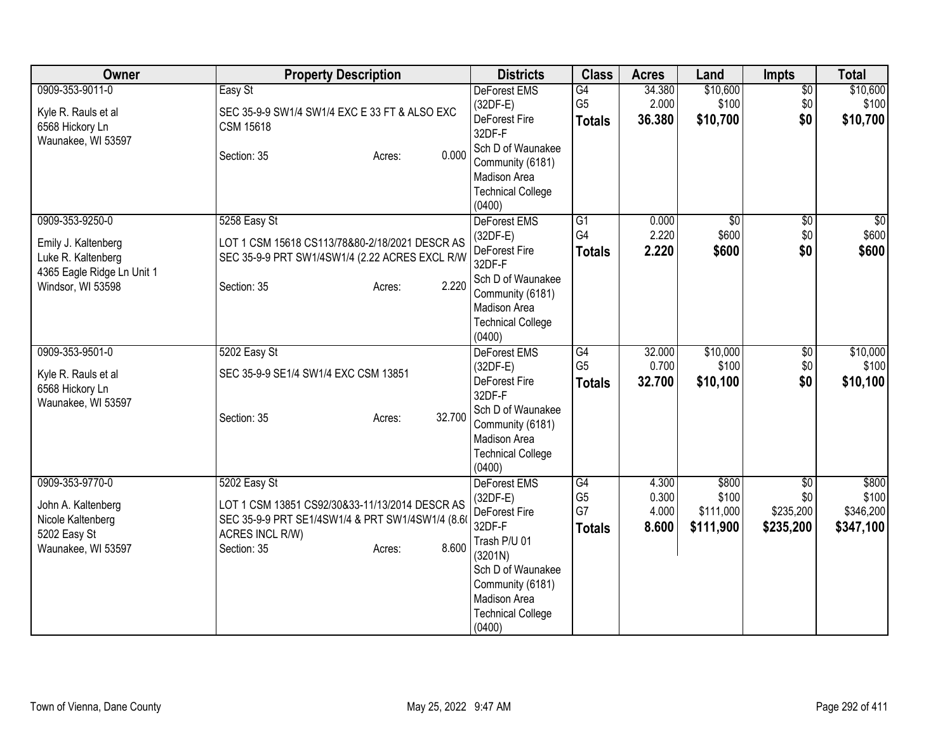| Owner                                                                                      | <b>Property Description</b>                                                                                          | <b>Districts</b>                                                                                       | <b>Class</b>                          | <b>Acres</b>              | Land                            | Impts                         | <b>Total</b>                    |
|--------------------------------------------------------------------------------------------|----------------------------------------------------------------------------------------------------------------------|--------------------------------------------------------------------------------------------------------|---------------------------------------|---------------------------|---------------------------------|-------------------------------|---------------------------------|
| 0909-353-9011-0<br>Kyle R. Rauls et al<br>6568 Hickory Ln                                  | Easy St<br>SEC 35-9-9 SW1/4 SW1/4 EXC E 33 FT & ALSO EXC<br><b>CSM 15618</b>                                         | <b>DeForest EMS</b><br>$(32DF-E)$<br>DeForest Fire<br>32DF-F                                           | G4<br>G <sub>5</sub><br><b>Totals</b> | 34.380<br>2.000<br>36.380 | \$10,600<br>\$100<br>\$10,700   | $\overline{50}$<br>\$0<br>\$0 | \$10,600<br>\$100<br>\$10,700   |
| Waunakee, WI 53597                                                                         | 0.000<br>Section: 35<br>Acres:                                                                                       | Sch D of Waunakee<br>Community (6181)<br>Madison Area<br><b>Technical College</b><br>(0400)            |                                       |                           |                                 |                               |                                 |
| 0909-353-9250-0<br>Emily J. Kaltenberg<br>Luke R. Kaltenberg<br>4365 Eagle Ridge Ln Unit 1 | 5258 Easy St<br>LOT 1 CSM 15618 CS113/78&80-2/18/2021 DESCR AS<br>SEC 35-9-9 PRT SW1/4SW1/4 (2.22 ACRES EXCL R/W     | DeForest EMS<br>(32DF-E)<br>DeForest Fire<br>32DF-F                                                    | G1<br>G4<br><b>Totals</b>             | 0.000<br>2.220<br>2.220   | $\sqrt{$0}$<br>\$600<br>\$600   | $\overline{30}$<br>\$0<br>\$0 | $\frac{1}{6}$<br>\$600<br>\$600 |
| Windsor, WI 53598                                                                          | 2.220<br>Section: 35<br>Acres:                                                                                       | Sch D of Waunakee<br>Community (6181)<br>Madison Area<br><b>Technical College</b><br>(0400)            |                                       |                           |                                 |                               |                                 |
| 0909-353-9501-0                                                                            | 5202 Easy St                                                                                                         | DeForest EMS                                                                                           | G4                                    | 32.000                    | \$10,000                        | $\overline{60}$               | \$10,000                        |
| Kyle R. Rauls et al<br>6568 Hickory Ln<br>Waunakee, WI 53597                               | SEC 35-9-9 SE1/4 SW1/4 EXC CSM 13851                                                                                 | (32DF-E)<br>DeForest Fire<br>32DF-F                                                                    | G <sub>5</sub><br><b>Totals</b>       | 0.700<br>32.700           | \$100<br>\$10,100               | \$0<br>\$0                    | \$100<br>\$10,100               |
|                                                                                            | 32.700<br>Section: 35<br>Acres:                                                                                      | Sch D of Waunakee<br>Community (6181)<br>Madison Area<br><b>Technical College</b><br>(0400)            |                                       |                           |                                 |                               |                                 |
| 0909-353-9770-0                                                                            | 5202 Easy St                                                                                                         | DeForest EMS                                                                                           | G4                                    | 4.300                     | \$800                           | $\overline{50}$               | \$800                           |
| John A. Kaltenberg<br>Nicole Kaltenberg<br>5202 Easy St                                    | LOT 1 CSM 13851 CS92/30&33-11/13/2014 DESCR AS<br>SEC 35-9-9 PRT SE1/4SW1/4 & PRT SW1/4SW1/4 (8.6<br>ACRES INCL R/W) | $(32DF-E)$<br>DeForest Fire<br>32DF-F<br>Trash P/U 01                                                  | G <sub>5</sub><br>G7<br><b>Totals</b> | 0.300<br>4.000<br>8.600   | \$100<br>\$111,000<br>\$111,900 | \$0<br>\$235,200<br>\$235,200 | \$100<br>\$346,200<br>\$347,100 |
| Waunakee, WI 53597                                                                         | 8.600<br>Section: 35<br>Acres:                                                                                       | (3201N)<br>Sch D of Waunakee<br>Community (6181)<br>Madison Area<br><b>Technical College</b><br>(0400) |                                       |                           |                                 |                               |                                 |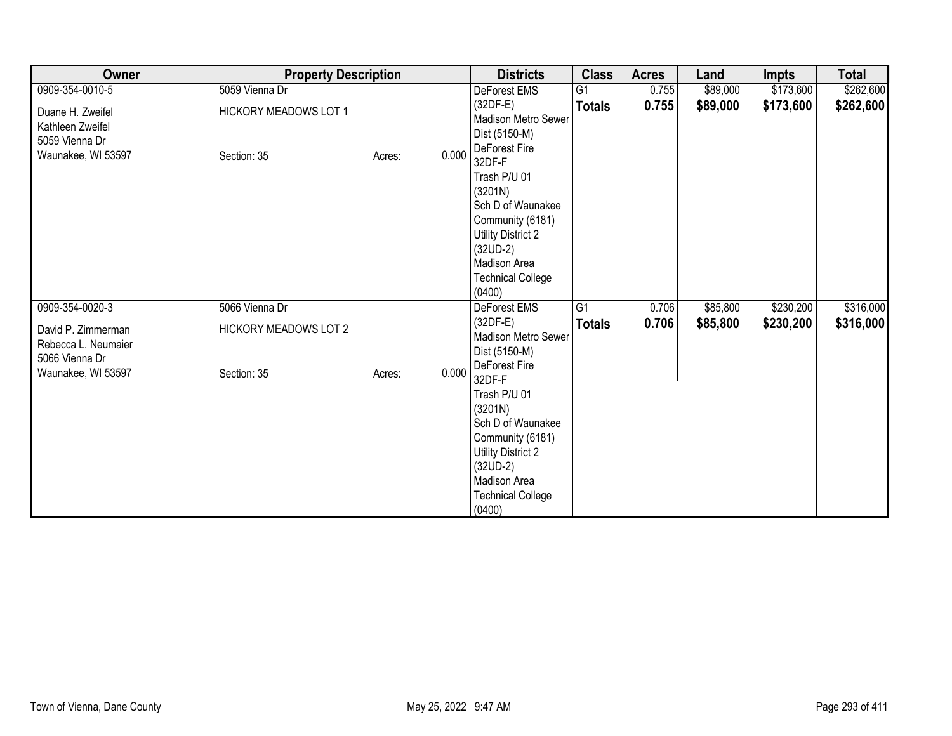| Owner                                                                        | <b>Property Description</b>                 |                 | <b>Districts</b>                                                                                                                                                                             | <b>Class</b>    | <b>Acres</b> | Land     | <b>Impts</b> | <b>Total</b> |
|------------------------------------------------------------------------------|---------------------------------------------|-----------------|----------------------------------------------------------------------------------------------------------------------------------------------------------------------------------------------|-----------------|--------------|----------|--------------|--------------|
| 0909-354-0010-5                                                              | 5059 Vienna Dr                              |                 | DeForest EMS                                                                                                                                                                                 | $\overline{G1}$ | 0.755        | \$89,000 | \$173,600    | \$262,600    |
| Duane H. Zweifel<br>Kathleen Zweifel<br>5059 Vienna Dr<br>Waunakee, WI 53597 | <b>HICKORY MEADOWS LOT 1</b><br>Section: 35 | 0.000<br>Acres: | $(32DF-E)$<br>Madison Metro Sewer<br>Dist (5150-M)<br>DeForest Fire<br>32DF-F                                                                                                                | <b>Totals</b>   | 0.755        | \$89,000 | \$173,600    | \$262,600    |
|                                                                              |                                             |                 | Trash P/U 01<br>(3201N)<br>Sch D of Waunakee<br>Community (6181)<br>Utility District 2<br>$(32UD-2)$<br>Madison Area<br><b>Technical College</b><br>(0400)                                   |                 |              |          |              |              |
| 0909-354-0020-3                                                              | 5066 Vienna Dr                              |                 | DeForest EMS                                                                                                                                                                                 | G1              | 0.706        | \$85,800 | \$230,200    | \$316,000    |
| David P. Zimmerman<br>Rebecca L. Neumaier<br>5066 Vienna Dr                  | <b>HICKORY MEADOWS LOT 2</b>                |                 | $(32DF-E)$<br>Madison Metro Sewer<br>Dist (5150-M)                                                                                                                                           | <b>Totals</b>   | 0.706        | \$85,800 | \$230,200    | \$316,000    |
| Waunakee, WI 53597                                                           | Section: 35                                 | 0.000<br>Acres: | DeForest Fire<br>32DF-F<br>Trash P/U 01<br>(3201N)<br>Sch D of Waunakee<br>Community (6181)<br><b>Utility District 2</b><br>$(32UD-2)$<br>Madison Area<br><b>Technical College</b><br>(0400) |                 |              |          |              |              |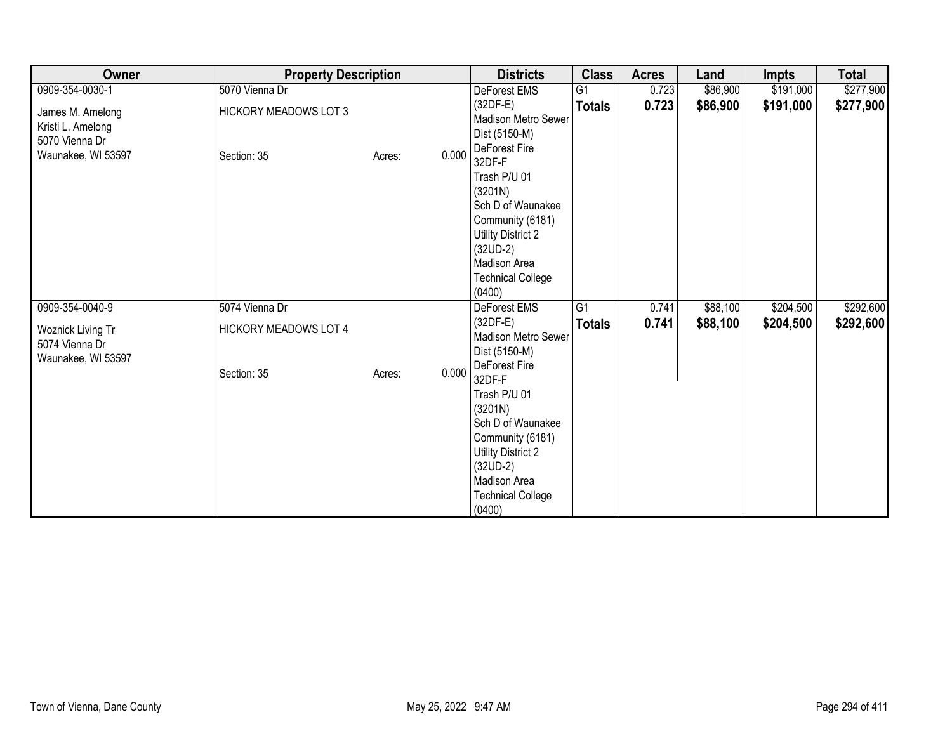| Owner                                                                         | <b>Property Description</b>                 |                 | <b>Districts</b>                                                                                                                                                                             | <b>Class</b>    | <b>Acres</b> | Land     | <b>Impts</b> | <b>Total</b> |
|-------------------------------------------------------------------------------|---------------------------------------------|-----------------|----------------------------------------------------------------------------------------------------------------------------------------------------------------------------------------------|-----------------|--------------|----------|--------------|--------------|
| 0909-354-0030-1                                                               | 5070 Vienna Dr                              |                 | DeForest EMS                                                                                                                                                                                 | $\overline{G1}$ | 0.723        | \$86,900 | \$191,000    | \$277,900    |
| James M. Amelong<br>Kristi L. Amelong<br>5070 Vienna Dr<br>Waunakee, WI 53597 | <b>HICKORY MEADOWS LOT 3</b><br>Section: 35 | 0.000<br>Acres: | $(32DF-E)$<br>Madison Metro Sewer<br>Dist (5150-M)<br>DeForest Fire<br>32DF-F                                                                                                                | <b>Totals</b>   | 0.723        | \$86,900 | \$191,000    | \$277,900    |
|                                                                               |                                             |                 | Trash P/U 01<br>(3201N)<br>Sch D of Waunakee<br>Community (6181)<br>Utility District 2<br>$(32UD-2)$<br>Madison Area<br><b>Technical College</b><br>(0400)                                   |                 |              |          |              |              |
| 0909-354-0040-9                                                               | 5074 Vienna Dr                              |                 | DeForest EMS                                                                                                                                                                                 | $\overline{G1}$ | 0.741        | \$88,100 | \$204,500    | \$292,600    |
| Woznick Living Tr<br>5074 Vienna Dr<br>Waunakee, WI 53597                     | <b>HICKORY MEADOWS LOT 4</b>                |                 | $(32DF-E)$<br>Madison Metro Sewer<br>Dist (5150-M)                                                                                                                                           | <b>Totals</b>   | 0.741        | \$88,100 | \$204,500    | \$292,600    |
|                                                                               | Section: 35                                 | 0.000<br>Acres: | DeForest Fire<br>32DF-F<br>Trash P/U 01<br>(3201N)<br>Sch D of Waunakee<br>Community (6181)<br><b>Utility District 2</b><br>$(32UD-2)$<br>Madison Area<br><b>Technical College</b><br>(0400) |                 |              |          |              |              |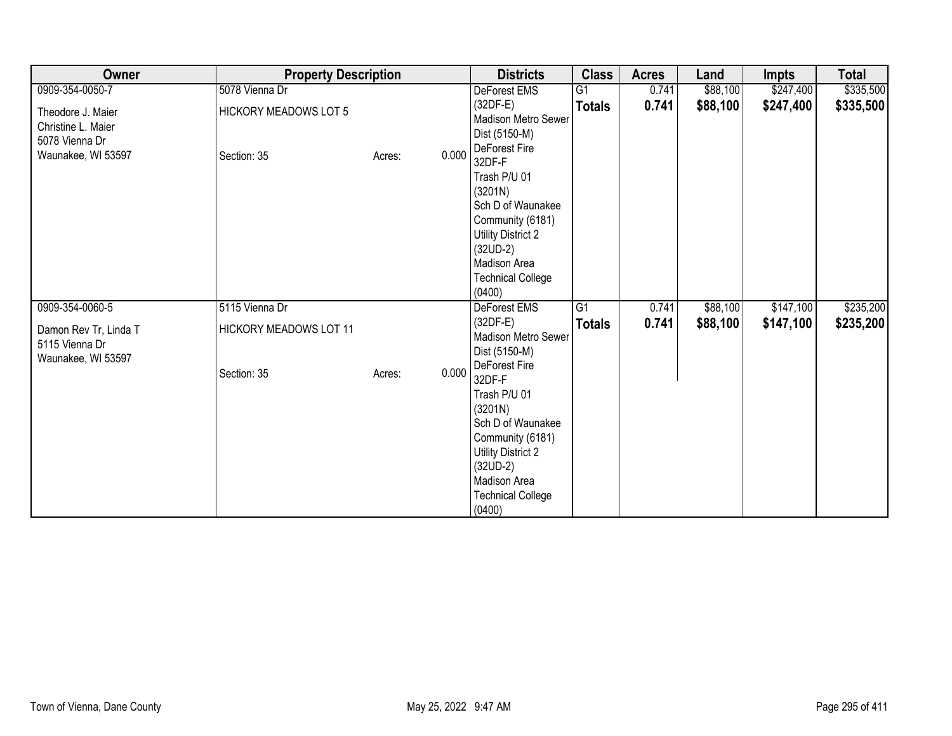| Owner                                                                           | <b>Property Description</b>                 |                 | <b>Districts</b>                                                                                                                                                                             | <b>Class</b>    | <b>Acres</b> | Land     | <b>Impts</b> | <b>Total</b> |
|---------------------------------------------------------------------------------|---------------------------------------------|-----------------|----------------------------------------------------------------------------------------------------------------------------------------------------------------------------------------------|-----------------|--------------|----------|--------------|--------------|
| 0909-354-0050-7                                                                 | 5078 Vienna Dr                              |                 | DeForest EMS                                                                                                                                                                                 | $\overline{G1}$ | 0.741        | \$88,100 | \$247,400    | \$335,500    |
| Theodore J. Maier<br>Christine L. Maier<br>5078 Vienna Dr<br>Waunakee, WI 53597 | <b>HICKORY MEADOWS LOT 5</b><br>Section: 35 | 0.000<br>Acres: | $(32DF-E)$<br>Madison Metro Sewer<br>Dist (5150-M)<br>DeForest Fire<br>32DF-F                                                                                                                | <b>Totals</b>   | 0.741        | \$88,100 | \$247,400    | \$335,500    |
|                                                                                 |                                             |                 | Trash P/U 01<br>(3201N)<br>Sch D of Waunakee<br>Community (6181)<br>Utility District 2<br>$(32UD-2)$<br>Madison Area<br><b>Technical College</b><br>(0400)                                   |                 |              |          |              |              |
| 0909-354-0060-5                                                                 | 5115 Vienna Dr                              |                 | DeForest EMS                                                                                                                                                                                 | G1              | 0.741        | \$88,100 | \$147,100    | \$235,200    |
| Damon Rev Tr, Linda T<br>5115 Vienna Dr<br>Waunakee, WI 53597                   | HICKORY MEADOWS LOT 11                      |                 | $(32DF-E)$<br>Madison Metro Sewer<br>Dist (5150-M)                                                                                                                                           | <b>Totals</b>   | 0.741        | \$88,100 | \$147,100    | \$235,200    |
|                                                                                 | Section: 35                                 | 0.000<br>Acres: | DeForest Fire<br>32DF-F<br>Trash P/U 01<br>(3201N)<br>Sch D of Waunakee<br>Community (6181)<br><b>Utility District 2</b><br>$(32UD-2)$<br>Madison Area<br><b>Technical College</b><br>(0400) |                 |              |          |              |              |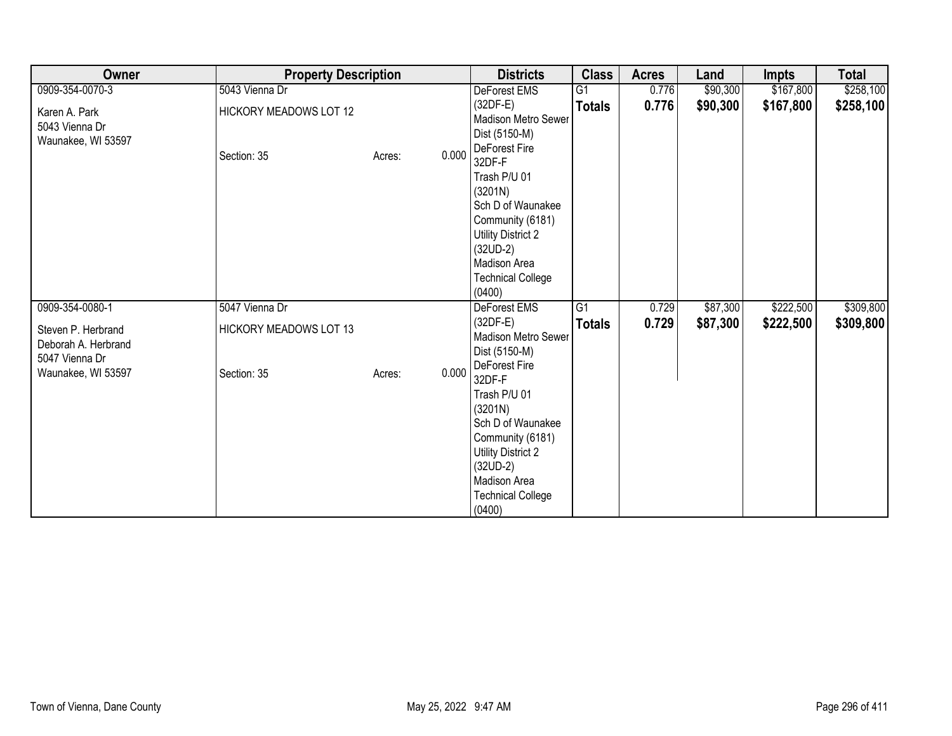| Owner                                                       | <b>Property Description</b>   |                 | <b>Districts</b>                                                                                                                                                                             | <b>Class</b>    | <b>Acres</b> | Land     | Impts     | <b>Total</b> |
|-------------------------------------------------------------|-------------------------------|-----------------|----------------------------------------------------------------------------------------------------------------------------------------------------------------------------------------------|-----------------|--------------|----------|-----------|--------------|
| 0909-354-0070-3                                             | 5043 Vienna Dr                |                 | DeForest EMS                                                                                                                                                                                 | G <sub>1</sub>  | 0.776        | \$90,300 | \$167,800 | \$258,100    |
| Karen A. Park<br>5043 Vienna Dr<br>Waunakee, WI 53597       | HICKORY MEADOWS LOT 12        |                 | $(32DF-E)$<br>Madison Metro Sewer<br>Dist (5150-M)                                                                                                                                           | <b>Totals</b>   | 0.776        | \$90,300 | \$167,800 | \$258,100    |
|                                                             | Section: 35                   | 0.000<br>Acres: | DeForest Fire<br>32DF-F<br>Trash P/U 01<br>(3201N)<br>Sch D of Waunakee<br>Community (6181)<br><b>Utility District 2</b><br>$(32UD-2)$<br>Madison Area<br><b>Technical College</b><br>(0400) |                 |              |          |           |              |
| 0909-354-0080-1                                             | 5047 Vienna Dr                |                 | DeForest EMS                                                                                                                                                                                 | $\overline{G1}$ | 0.729        | \$87,300 | \$222,500 | \$309,800    |
| Steven P. Herbrand<br>Deborah A. Herbrand<br>5047 Vienna Dr | <b>HICKORY MEADOWS LOT 13</b> |                 | $(32DF-E)$<br>Madison Metro Sewer<br>Dist (5150-M)                                                                                                                                           | <b>Totals</b>   | 0.729        | \$87,300 | \$222,500 | \$309,800    |
| Waunakee, WI 53597                                          | Section: 35                   | 0.000<br>Acres: | DeForest Fire<br>32DF-F<br>Trash P/U 01<br>(3201N)<br>Sch D of Waunakee<br>Community (6181)<br><b>Utility District 2</b><br>$(32UD-2)$<br>Madison Area<br><b>Technical College</b><br>(0400) |                 |              |          |           |              |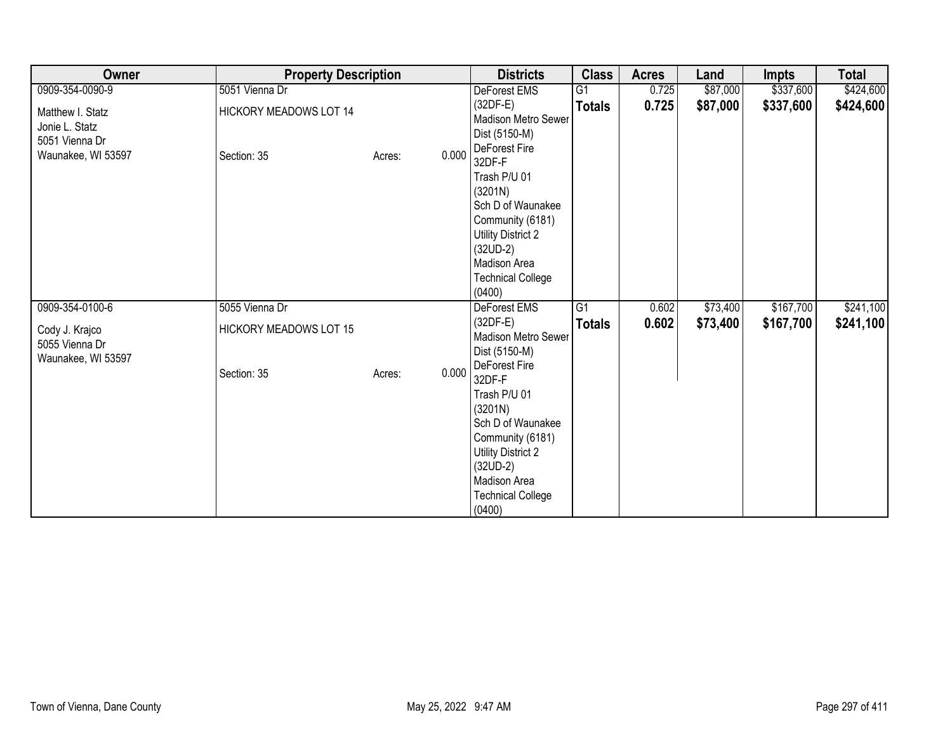| Owner                                                                      | <b>Property Description</b>                  |        |       | <b>Districts</b>                                                                                                                                                                             | <b>Class</b>    | <b>Acres</b> | Land     | <b>Impts</b> | <b>Total</b> |
|----------------------------------------------------------------------------|----------------------------------------------|--------|-------|----------------------------------------------------------------------------------------------------------------------------------------------------------------------------------------------|-----------------|--------------|----------|--------------|--------------|
| 0909-354-0090-9                                                            | 5051 Vienna Dr                               |        |       | DeForest EMS                                                                                                                                                                                 | $\overline{G1}$ | 0.725        | \$87,000 | \$337,600    | \$424,600    |
| Matthew I. Statz<br>Jonie L. Statz<br>5051 Vienna Dr<br>Waunakee, WI 53597 | <b>HICKORY MEADOWS LOT 14</b><br>Section: 35 | Acres: | 0.000 | $(32DF-E)$<br><b>Madison Metro Sewer</b><br>Dist (5150-M)<br>DeForest Fire<br>32DF-F                                                                                                         | <b>Totals</b>   | 0.725        | \$87,000 | \$337,600    | \$424,600    |
|                                                                            |                                              |        |       | Trash P/U 01<br>(3201N)<br>Sch D of Waunakee<br>Community (6181)<br>Utility District 2<br>$(32UD-2)$<br>Madison Area<br><b>Technical College</b><br>(0400)                                   |                 |              |          |              |              |
| 0909-354-0100-6                                                            | 5055 Vienna Dr                               |        |       | <b>DeForest EMS</b>                                                                                                                                                                          | $\overline{G1}$ | 0.602        | \$73,400 | \$167,700    | \$241,100    |
| Cody J. Krajco<br>5055 Vienna Dr<br>Waunakee, WI 53597                     | <b>HICKORY MEADOWS LOT 15</b>                |        |       | (32DF-E)<br>Madison Metro Sewer<br>Dist (5150-M)                                                                                                                                             | <b>Totals</b>   | 0.602        | \$73,400 | \$167,700    | \$241,100    |
|                                                                            | Section: 35                                  | Acres: | 0.000 | DeForest Fire<br>32DF-F<br>Trash P/U 01<br>(3201N)<br>Sch D of Waunakee<br>Community (6181)<br><b>Utility District 2</b><br>$(32UD-2)$<br>Madison Area<br><b>Technical College</b><br>(0400) |                 |              |          |              |              |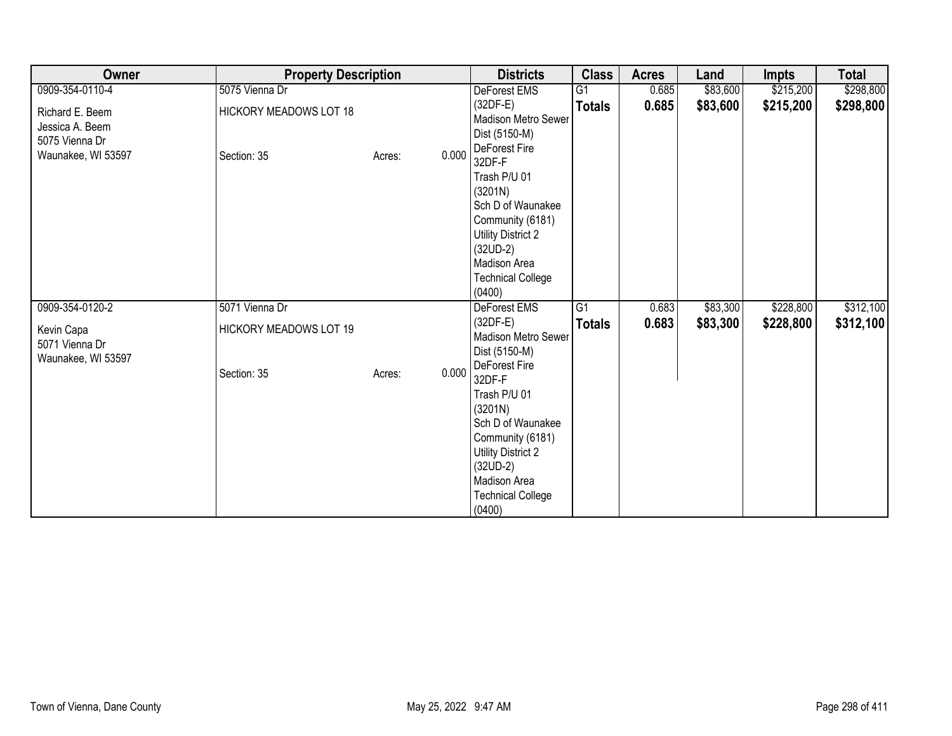| Owner                                                                      | <b>Property Description</b>                  |                 | <b>Districts</b>                                                                                                                                                                             | <b>Class</b>    | <b>Acres</b> | Land     | <b>Impts</b> | <b>Total</b> |
|----------------------------------------------------------------------------|----------------------------------------------|-----------------|----------------------------------------------------------------------------------------------------------------------------------------------------------------------------------------------|-----------------|--------------|----------|--------------|--------------|
| 0909-354-0110-4                                                            | 5075 Vienna Dr                               |                 | DeForest EMS                                                                                                                                                                                 | $\overline{G1}$ | 0.685        | \$83,600 | \$215,200    | \$298,800    |
| Richard E. Beem<br>Jessica A. Beem<br>5075 Vienna Dr<br>Waunakee, WI 53597 | <b>HICKORY MEADOWS LOT 18</b><br>Section: 35 | 0.000<br>Acres: | $(32DF-E)$<br>Madison Metro Sewer<br>Dist (5150-M)<br>DeForest Fire<br>32DF-F                                                                                                                | <b>Totals</b>   | 0.685        | \$83,600 | \$215,200    | \$298,800    |
|                                                                            |                                              |                 | Trash P/U 01<br>(3201N)<br>Sch D of Waunakee<br>Community (6181)<br>Utility District 2<br>$(32UD-2)$<br>Madison Area<br><b>Technical College</b><br>(0400)                                   |                 |              |          |              |              |
| 0909-354-0120-2                                                            | 5071 Vienna Dr                               |                 | DeForest EMS                                                                                                                                                                                 | G1              | 0.683        | \$83,300 | \$228,800    | \$312,100    |
| Kevin Capa<br>5071 Vienna Dr<br>Waunakee, WI 53597                         | <b>HICKORY MEADOWS LOT 19</b>                |                 | $(32DF-E)$<br>Madison Metro Sewer<br>Dist (5150-M)                                                                                                                                           | <b>Totals</b>   | 0.683        | \$83,300 | \$228,800    | \$312,100    |
|                                                                            | Section: 35                                  | 0.000<br>Acres: | DeForest Fire<br>32DF-F<br>Trash P/U 01<br>(3201N)<br>Sch D of Waunakee<br>Community (6181)<br><b>Utility District 2</b><br>$(32UD-2)$<br>Madison Area<br><b>Technical College</b><br>(0400) |                 |              |          |              |              |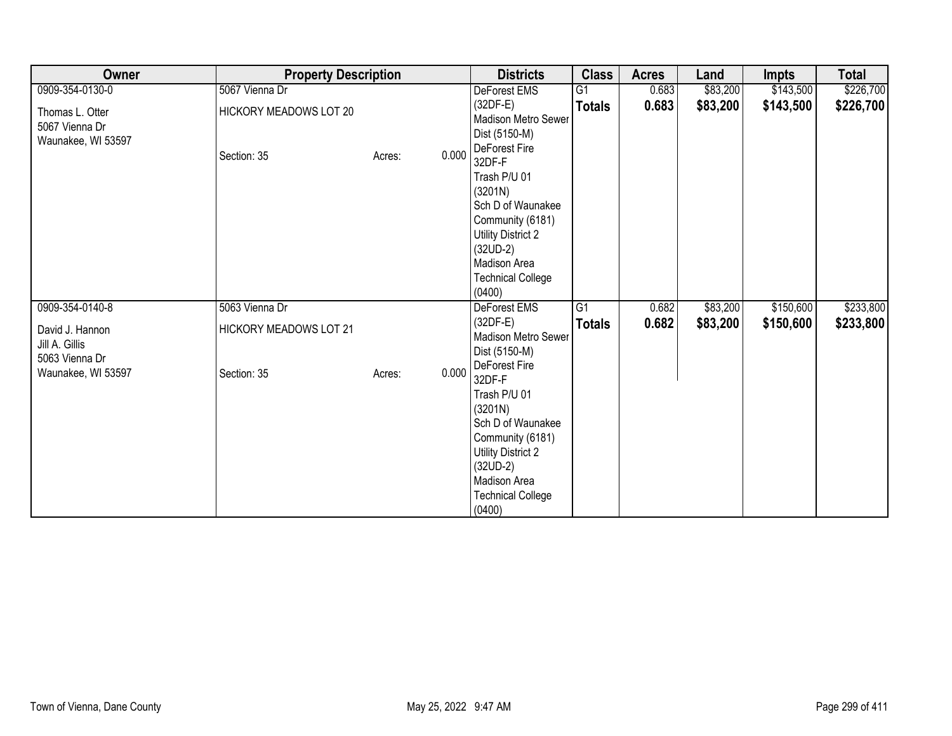| Owner                                                   | <b>Property Description</b>   |                 | <b>Districts</b>                                                                                                                                                                             | <b>Class</b>    | <b>Acres</b> | Land     | <b>Impts</b> | <b>Total</b> |
|---------------------------------------------------------|-------------------------------|-----------------|----------------------------------------------------------------------------------------------------------------------------------------------------------------------------------------------|-----------------|--------------|----------|--------------|--------------|
| 0909-354-0130-0                                         | 5067 Vienna Dr                |                 | DeForest EMS                                                                                                                                                                                 | G <sub>1</sub>  | 0.683        | \$83,200 | \$143,500    | \$226,700    |
| Thomas L. Otter<br>5067 Vienna Dr<br>Waunakee, WI 53597 | HICKORY MEADOWS LOT 20        |                 | $(32DF-E)$<br>Madison Metro Sewer<br>Dist (5150-M)                                                                                                                                           | <b>Totals</b>   | 0.683        | \$83,200 | \$143,500    | \$226,700    |
|                                                         | Section: 35                   | 0.000<br>Acres: | DeForest Fire<br>32DF-F<br>Trash P/U 01<br>(3201N)<br>Sch D of Waunakee<br>Community (6181)<br><b>Utility District 2</b><br>$(32UD-2)$<br>Madison Area<br><b>Technical College</b><br>(0400) |                 |              |          |              |              |
| 0909-354-0140-8                                         | 5063 Vienna Dr                |                 | DeForest EMS                                                                                                                                                                                 | $\overline{G1}$ | 0.682        | \$83,200 | \$150,600    | \$233,800    |
| David J. Hannon<br>Jill A. Gillis<br>5063 Vienna Dr     | <b>HICKORY MEADOWS LOT 21</b> |                 | $(32DF-E)$<br>Madison Metro Sewer<br>Dist (5150-M)                                                                                                                                           | <b>Totals</b>   | 0.682        | \$83,200 | \$150,600    | \$233,800    |
| Waunakee, WI 53597                                      | Section: 35                   | 0.000<br>Acres: | DeForest Fire<br>32DF-F<br>Trash P/U 01<br>(3201N)<br>Sch D of Waunakee<br>Community (6181)<br><b>Utility District 2</b><br>$(32UD-2)$<br>Madison Area<br><b>Technical College</b><br>(0400) |                 |              |          |              |              |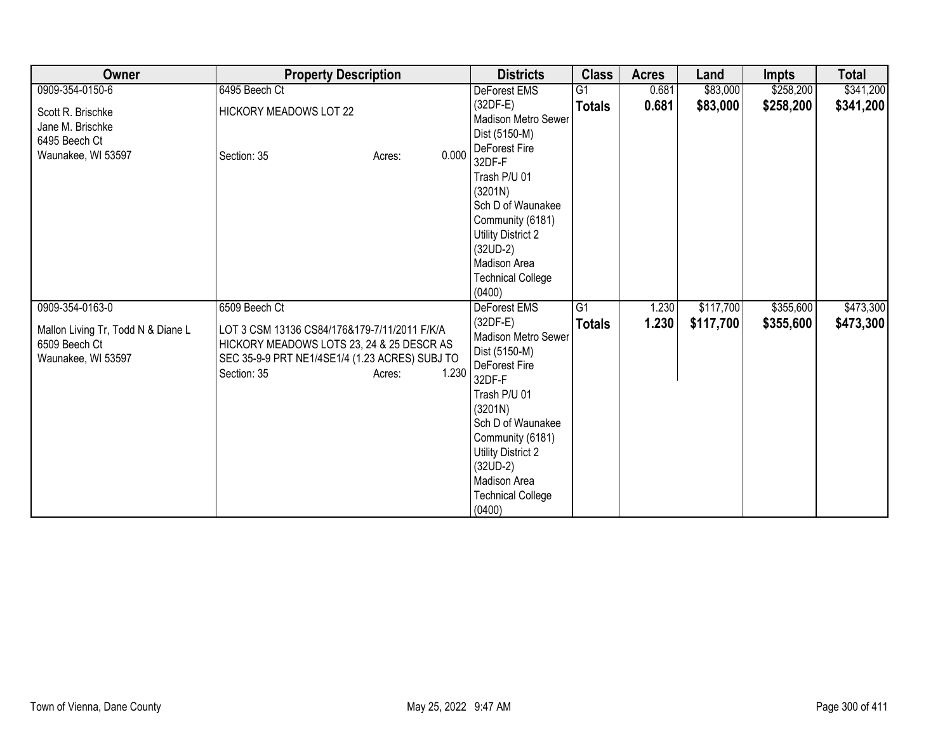| Owner                                                                     | <b>Property Description</b>                                                                                                                                                   | <b>Districts</b>                                                                                                                                                                                                                                   | <b>Class</b>    | <b>Acres</b> | Land      | <b>Impts</b> | <b>Total</b> |
|---------------------------------------------------------------------------|-------------------------------------------------------------------------------------------------------------------------------------------------------------------------------|----------------------------------------------------------------------------------------------------------------------------------------------------------------------------------------------------------------------------------------------------|-----------------|--------------|-----------|--------------|--------------|
| 0909-354-0150-6                                                           | 6495 Beech Ct                                                                                                                                                                 | DeForest EMS                                                                                                                                                                                                                                       | $\overline{G1}$ | 0.681        | \$83,000  | \$258,200    | \$341,200    |
| Scott R. Brischke<br>Jane M. Brischke<br>6495 Beech Ct                    | <b>HICKORY MEADOWS LOT 22</b>                                                                                                                                                 | $(32DF-E)$<br>Madison Metro Sewer<br>Dist (5150-M)                                                                                                                                                                                                 | <b>Totals</b>   | 0.681        | \$83,000  | \$258,200    | \$341,200    |
| Waunakee, WI 53597                                                        | 0.000<br>Section: 35<br>Acres:                                                                                                                                                | DeForest Fire<br>32DF-F<br>Trash P/U 01<br>(3201N)<br>Sch D of Waunakee<br>Community (6181)<br><b>Utility District 2</b><br>$(32UD-2)$<br>Madison Area<br><b>Technical College</b>                                                                 |                 |              |           |              |              |
| 0909-354-0163-0                                                           | 6509 Beech Ct                                                                                                                                                                 | (0400)<br>DeForest EMS                                                                                                                                                                                                                             | G1              | 1.230        | \$117,700 | \$355,600    | \$473,300    |
| Mallon Living Tr, Todd N & Diane L<br>6509 Beech Ct<br>Waunakee, WI 53597 | LOT 3 CSM 13136 CS84/176&179-7/11/2011 F/K/A<br>HICKORY MEADOWS LOTS 23, 24 & 25 DESCR AS<br>SEC 35-9-9 PRT NE1/4SE1/4 (1.23 ACRES) SUBJ TO<br>Section: 35<br>1.230<br>Acres: | $(32DF-E)$<br>Madison Metro Sewer<br>Dist (5150-M)<br>DeForest Fire<br>32DF-F<br>Trash P/U 01<br>(3201N)<br>Sch D of Waunakee<br>Community (6181)<br><b>Utility District 2</b><br>$(32UD-2)$<br>Madison Area<br><b>Technical College</b><br>(0400) | <b>Totals</b>   | 1.230        | \$117,700 | \$355,600    | \$473,300    |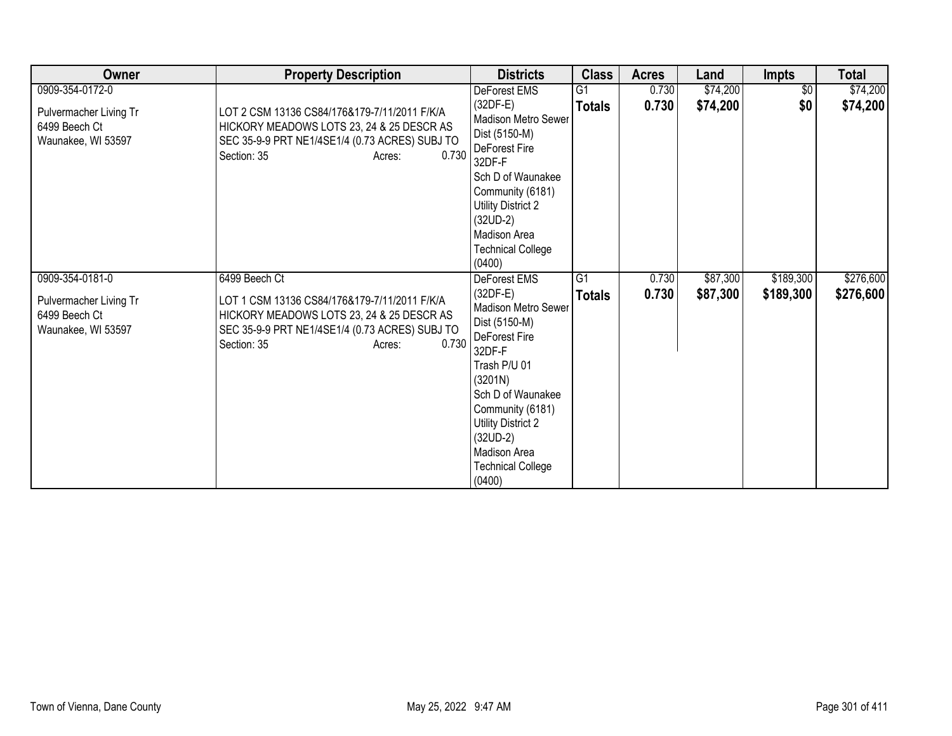| <b>Owner</b>                                                                     | <b>Property Description</b>                                                                                                                                                                    | <b>Districts</b>                                                                                                                                                                                                                                            | <b>Class</b>                     | <b>Acres</b>   | Land                 | <b>Impts</b>           | <b>Total</b>           |
|----------------------------------------------------------------------------------|------------------------------------------------------------------------------------------------------------------------------------------------------------------------------------------------|-------------------------------------------------------------------------------------------------------------------------------------------------------------------------------------------------------------------------------------------------------------|----------------------------------|----------------|----------------------|------------------------|------------------------|
| 0909-354-0172-0                                                                  |                                                                                                                                                                                                | DeForest EMS                                                                                                                                                                                                                                                | G1                               | 0.730          | \$74,200             | $\overline{50}$        | \$74,200               |
| Pulvermacher Living Tr<br>6499 Beech Ct<br>Waunakee, WI 53597                    | LOT 2 CSM 13136 CS84/176&179-7/11/2011 F/K/A<br>HICKORY MEADOWS LOTS 23, 24 & 25 DESCR AS<br>SEC 35-9-9 PRT NE1/4SE1/4 (0.73 ACRES) SUBJ TO<br>0.730<br>Section: 35<br>Acres:                  | $(32DF-E)$<br><b>Madison Metro Sewer</b><br>Dist (5150-M)<br>DeForest Fire<br>32DF-F<br>Sch D of Waunakee<br>Community (6181)<br>Utility District 2<br>$(32UD-2)$<br>Madison Area<br><b>Technical College</b><br>(0400)                                     | <b>Totals</b>                    | 0.730          | \$74,200             | \$0                    | \$74,200               |
| 0909-354-0181-0<br>Pulvermacher Living Tr<br>6499 Beech Ct<br>Waunakee, WI 53597 | 6499 Beech Ct<br>LOT 1 CSM 13136 CS84/176&179-7/11/2011 F/K/A<br>HICKORY MEADOWS LOTS 23, 24 & 25 DESCR AS<br>SEC 35-9-9 PRT NE1/4SE1/4 (0.73 ACRES) SUBJ TO<br>0.730<br>Section: 35<br>Acres: | DeForest EMS<br>$(32DF-E)$<br>Madison Metro Sewer<br>Dist (5150-M)<br>DeForest Fire<br>32DF-F<br>Trash P/U 01<br>(3201N)<br>Sch D of Waunakee<br>Community (6181)<br>Utility District 2<br>$(32UD-2)$<br>Madison Area<br><b>Technical College</b><br>(0400) | $\overline{G1}$<br><b>Totals</b> | 0.730<br>0.730 | \$87,300<br>\$87,300 | \$189,300<br>\$189,300 | \$276,600<br>\$276,600 |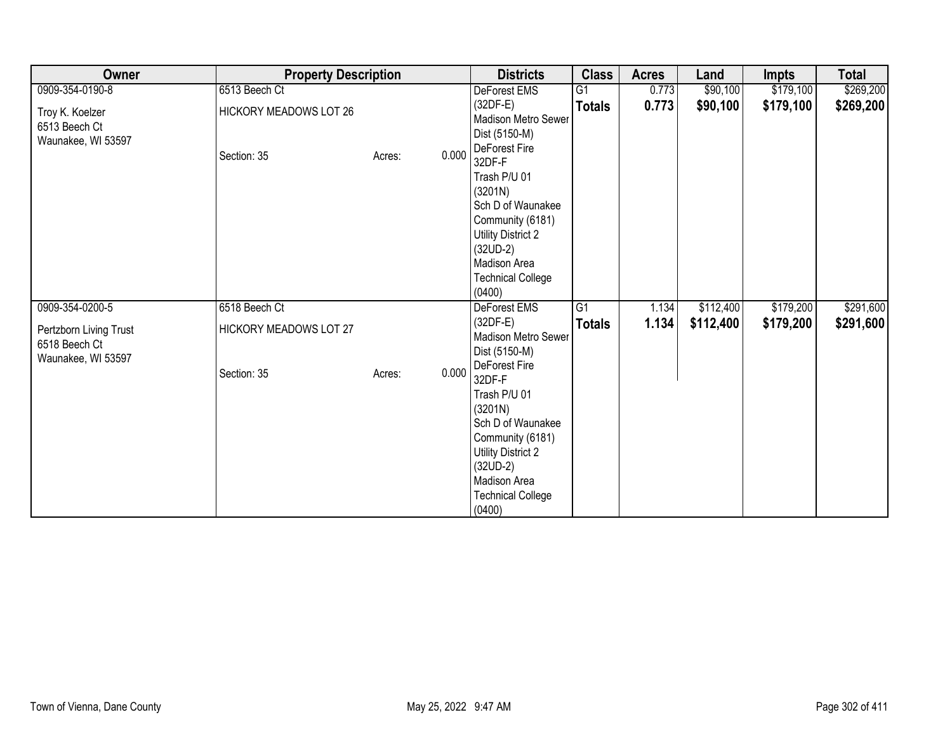| Owner                                                         | <b>Property Description</b>                  |                 | <b>Districts</b>                                                                                                                                                                             | <b>Class</b>    | <b>Acres</b> | Land      | <b>Impts</b> | <b>Total</b> |
|---------------------------------------------------------------|----------------------------------------------|-----------------|----------------------------------------------------------------------------------------------------------------------------------------------------------------------------------------------|-----------------|--------------|-----------|--------------|--------------|
| 0909-354-0190-8                                               | 6513 Beech Ct                                |                 | DeForest EMS                                                                                                                                                                                 | G1              | 0.773        | \$90,100  | \$179,100    | \$269,200    |
| Troy K. Koelzer<br>6513 Beech Ct<br>Waunakee, WI 53597        | <b>HICKORY MEADOWS LOT 26</b><br>Section: 35 | 0.000<br>Acres: | $(32DF-E)$<br>Madison Metro Sewer<br>Dist (5150-M)<br>DeForest Fire<br>32DF-F                                                                                                                | <b>Totals</b>   | 0.773        | \$90,100  | \$179,100    | \$269,200    |
|                                                               |                                              |                 | Trash P/U 01<br>(3201N)<br>Sch D of Waunakee<br>Community (6181)<br><b>Utility District 2</b><br>$(32UD-2)$<br>Madison Area<br><b>Technical College</b><br>(0400)                            |                 |              |           |              |              |
| 0909-354-0200-5                                               | 6518 Beech Ct                                |                 | DeForest EMS                                                                                                                                                                                 | $\overline{G1}$ | 1.134        | \$112,400 | \$179,200    | \$291,600    |
| Pertzborn Living Trust<br>6518 Beech Ct<br>Waunakee, WI 53597 | HICKORY MEADOWS LOT 27                       |                 | $(32DF-E)$<br>Madison Metro Sewer<br>Dist (5150-M)                                                                                                                                           | <b>Totals</b>   | 1.134        | \$112,400 | \$179,200    | \$291,600    |
|                                                               | Section: 35                                  | 0.000<br>Acres: | DeForest Fire<br>32DF-F<br>Trash P/U 01<br>(3201N)<br>Sch D of Waunakee<br>Community (6181)<br><b>Utility District 2</b><br>$(32UD-2)$<br>Madison Area<br><b>Technical College</b><br>(0400) |                 |              |           |              |              |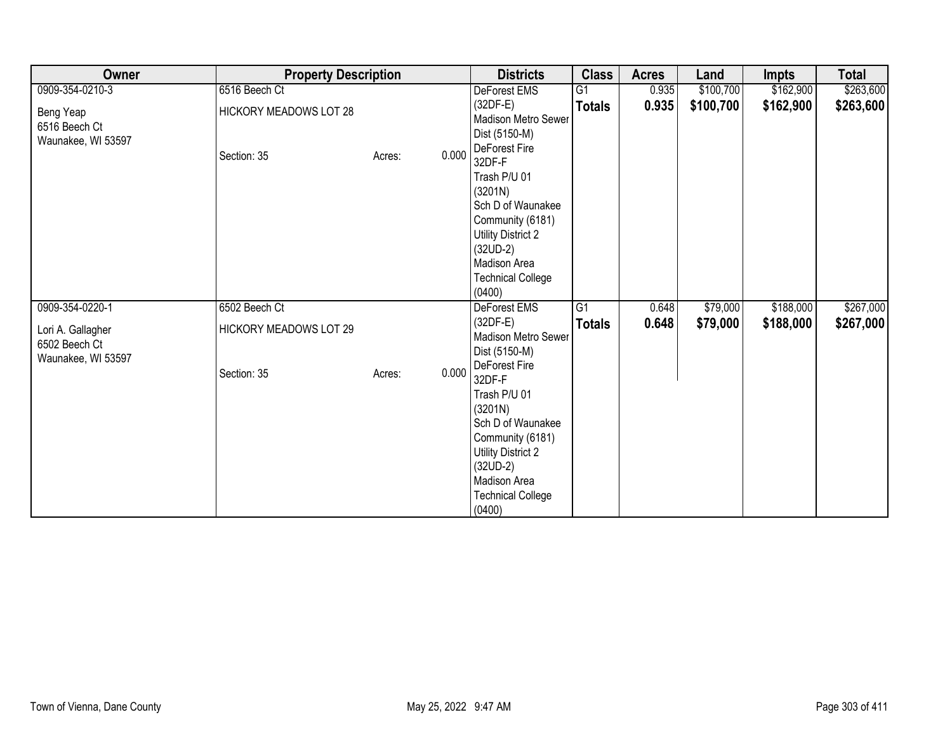| Owner                                                    | <b>Property Description</b>   |                 | <b>Districts</b>                                                                                                                                                                             | <b>Class</b>  | <b>Acres</b> | Land      | <b>Impts</b> | <b>Total</b> |
|----------------------------------------------------------|-------------------------------|-----------------|----------------------------------------------------------------------------------------------------------------------------------------------------------------------------------------------|---------------|--------------|-----------|--------------|--------------|
| 0909-354-0210-3                                          | 6516 Beech Ct                 |                 | DeForest EMS                                                                                                                                                                                 | G1            | 0.935        | \$100,700 | \$162,900    | \$263,600    |
| Beng Yeap<br>6516 Beech Ct<br>Waunakee, WI 53597         | <b>HICKORY MEADOWS LOT 28</b> |                 | $(32DF-E)$<br>Madison Metro Sewer<br>Dist (5150-M)<br>DeForest Fire                                                                                                                          | <b>Totals</b> | 0.935        | \$100,700 | \$162,900    | \$263,600    |
|                                                          | Section: 35                   | 0.000<br>Acres: | 32DF-F<br>Trash P/U 01<br>(3201N)<br>Sch D of Waunakee<br>Community (6181)<br><b>Utility District 2</b><br>$(32UD-2)$<br>Madison Area<br><b>Technical College</b><br>(0400)                  |               |              |           |              |              |
| 0909-354-0220-1                                          | 6502 Beech Ct                 |                 | DeForest EMS                                                                                                                                                                                 | G1            | 0.648        | \$79,000  | \$188,000    | \$267,000    |
| Lori A. Gallagher<br>6502 Beech Ct<br>Waunakee, WI 53597 | HICKORY MEADOWS LOT 29        |                 | $(32DF-E)$<br>Madison Metro Sewer<br>Dist (5150-M)                                                                                                                                           | <b>Totals</b> | 0.648        | \$79,000  | \$188,000    | \$267,000    |
|                                                          | Section: 35                   | 0.000<br>Acres: | DeForest Fire<br>32DF-F<br>Trash P/U 01<br>(3201N)<br>Sch D of Waunakee<br>Community (6181)<br><b>Utility District 2</b><br>$(32UD-2)$<br>Madison Area<br><b>Technical College</b><br>(0400) |               |              |           |              |              |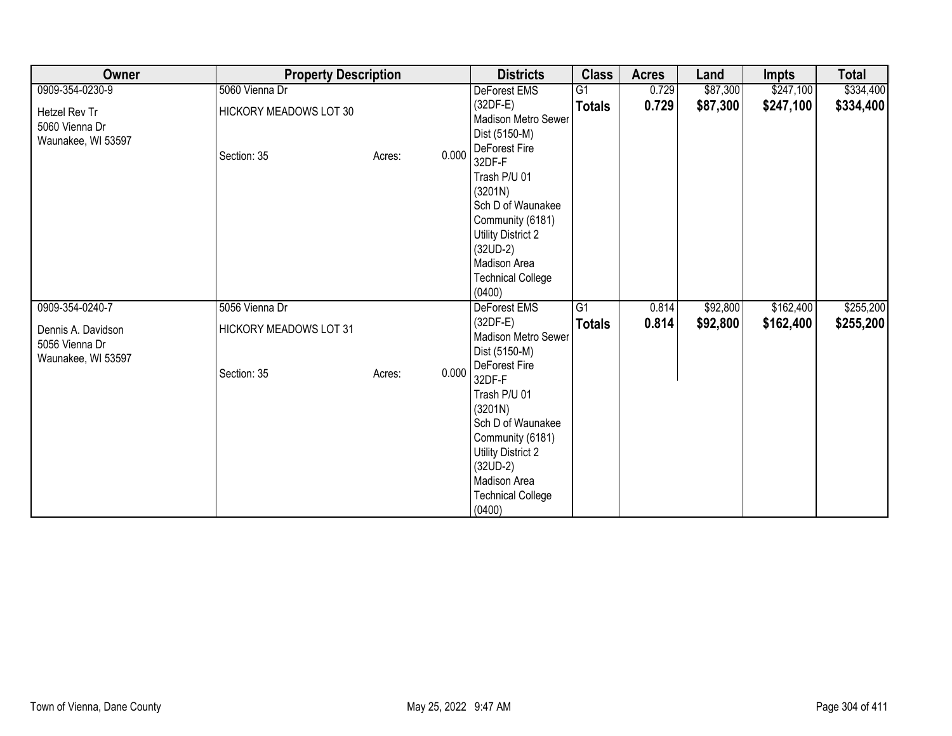| Owner                                                      | <b>Property Description</b>           |                 | <b>Districts</b>                                                                                                                                                                             | <b>Class</b>    | <b>Acres</b> | Land     | <b>Impts</b> | <b>Total</b> |
|------------------------------------------------------------|---------------------------------------|-----------------|----------------------------------------------------------------------------------------------------------------------------------------------------------------------------------------------|-----------------|--------------|----------|--------------|--------------|
| 0909-354-0230-9                                            | 5060 Vienna Dr                        |                 | DeForest EMS                                                                                                                                                                                 | G1              | 0.729        | \$87,300 | \$247,100    | \$334,400    |
| Hetzel Rev Tr<br>5060 Vienna Dr<br>Waunakee, WI 53597      | HICKORY MEADOWS LOT 30<br>Section: 35 | 0.000<br>Acres: | $(32DF-E)$<br>Madison Metro Sewer<br>Dist (5150-M)<br>DeForest Fire<br>32DF-F                                                                                                                | <b>Totals</b>   | 0.729        | \$87,300 | \$247,100    | \$334,400    |
|                                                            |                                       |                 | Trash P/U 01<br>(3201N)<br>Sch D of Waunakee<br>Community (6181)<br><b>Utility District 2</b><br>$(32UD-2)$<br>Madison Area<br><b>Technical College</b><br>(0400)                            |                 |              |          |              |              |
| 0909-354-0240-7                                            | 5056 Vienna Dr                        |                 | DeForest EMS                                                                                                                                                                                 | $\overline{G1}$ | 0.814        | \$92,800 | \$162,400    | \$255,200    |
| Dennis A. Davidson<br>5056 Vienna Dr<br>Waunakee, WI 53597 | <b>HICKORY MEADOWS LOT 31</b>         |                 | $(32DF-E)$<br>Madison Metro Sewer<br>Dist (5150-M)                                                                                                                                           | <b>Totals</b>   | 0.814        | \$92,800 | \$162,400    | \$255,200    |
|                                                            | Section: 35                           | 0.000<br>Acres: | DeForest Fire<br>32DF-F<br>Trash P/U 01<br>(3201N)<br>Sch D of Waunakee<br>Community (6181)<br><b>Utility District 2</b><br>$(32UD-2)$<br>Madison Area<br><b>Technical College</b><br>(0400) |                 |              |          |              |              |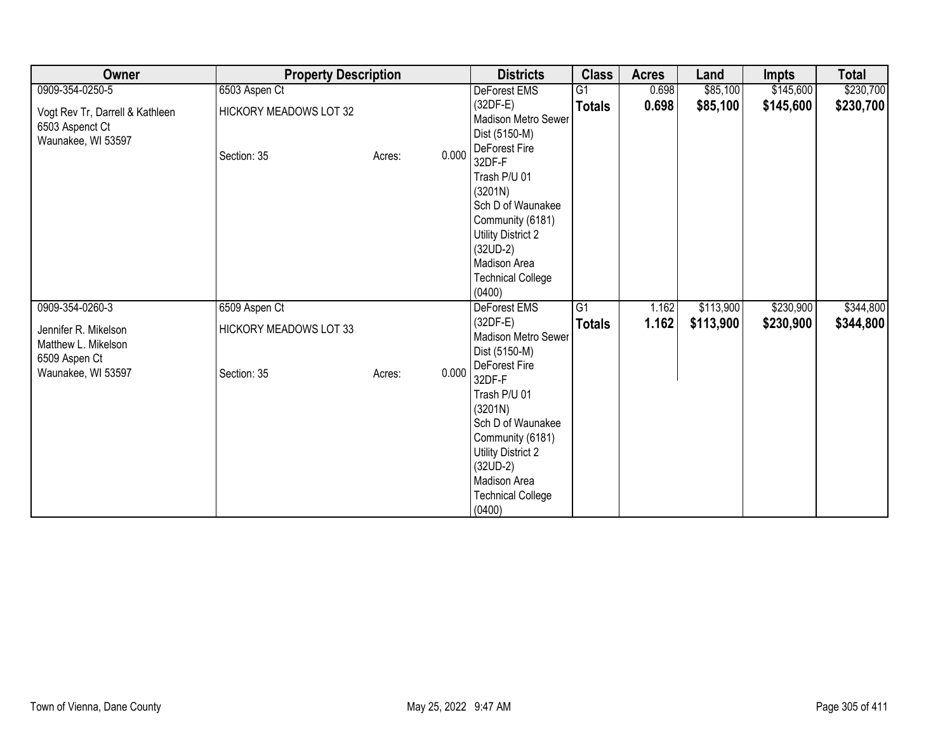| Owner                                                                    | <b>Property Description</b>                  |                 | <b>Districts</b>                                                                                                                                                                             | <b>Class</b>    | <b>Acres</b> | Land      | <b>Impts</b> | <b>Total</b> |
|--------------------------------------------------------------------------|----------------------------------------------|-----------------|----------------------------------------------------------------------------------------------------------------------------------------------------------------------------------------------|-----------------|--------------|-----------|--------------|--------------|
| 0909-354-0250-5                                                          | 6503 Aspen Ct                                |                 | DeForest EMS                                                                                                                                                                                 | G1              | 0.698        | \$85,100  | \$145,600    | \$230,700    |
| Vogt Rev Tr, Darrell & Kathleen<br>6503 Aspenct Ct<br>Waunakee, WI 53597 | <b>HICKORY MEADOWS LOT 32</b><br>Section: 35 | 0.000<br>Acres: | $(32DF-E)$<br>Madison Metro Sewer<br>Dist (5150-M)<br>DeForest Fire<br>32DF-F                                                                                                                | <b>Totals</b>   | 0.698        | \$85,100  | \$145,600    | \$230,700    |
|                                                                          |                                              |                 | Trash P/U 01<br>(3201N)<br>Sch D of Waunakee<br>Community (6181)<br><b>Utility District 2</b><br>$(32UD-2)$<br>Madison Area<br><b>Technical College</b><br>(0400)                            |                 |              |           |              |              |
| 0909-354-0260-3                                                          | 6509 Aspen Ct                                |                 | DeForest EMS                                                                                                                                                                                 | $\overline{G1}$ | 1.162        | \$113,900 | \$230,900    | \$344,800    |
| Jennifer R. Mikelson<br>Matthew L. Mikelson<br>6509 Aspen Ct             | <b>HICKORY MEADOWS LOT 33</b>                |                 | $(32DF-E)$<br>Madison Metro Sewer<br>Dist (5150-M)                                                                                                                                           | <b>Totals</b>   | 1.162        | \$113,900 | \$230,900    | \$344,800    |
| Waunakee, WI 53597                                                       | Section: 35                                  | 0.000<br>Acres: | DeForest Fire<br>32DF-F<br>Trash P/U 01<br>(3201N)<br>Sch D of Waunakee<br>Community (6181)<br><b>Utility District 2</b><br>$(32UD-2)$<br>Madison Area<br><b>Technical College</b><br>(0400) |                 |              |           |              |              |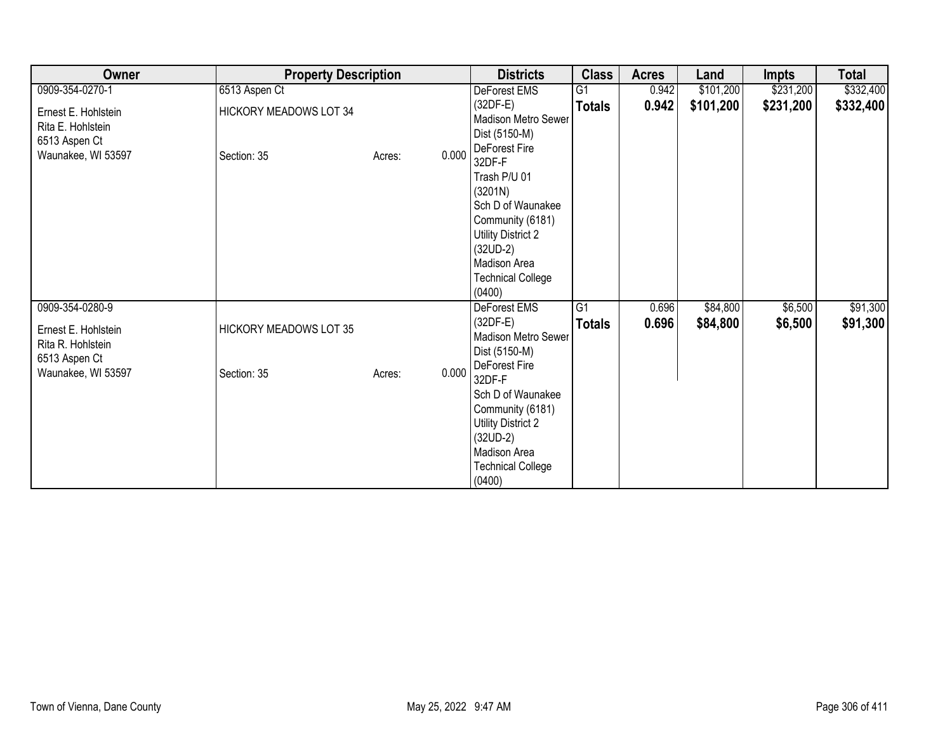| Owner                                                                                              | <b>Property Description</b>           |                 | <b>Districts</b>                                                                                                                                                                                                                        | <b>Class</b>                     | <b>Acres</b>   | Land                 | <b>Impts</b>       | <b>Total</b>         |
|----------------------------------------------------------------------------------------------------|---------------------------------------|-----------------|-----------------------------------------------------------------------------------------------------------------------------------------------------------------------------------------------------------------------------------------|----------------------------------|----------------|----------------------|--------------------|----------------------|
| 0909-354-0270-1                                                                                    | 6513 Aspen Ct                         |                 | DeForest EMS                                                                                                                                                                                                                            | $\overline{G1}$                  | 0.942          | \$101,200            | \$231,200          | \$332,400            |
| Ernest E. Hohlstein<br>Rita E. Hohlstein<br>6513 Aspen Ct                                          | <b>HICKORY MEADOWS LOT 34</b>         |                 | (32DF-E)<br><b>Madison Metro Sewer</b><br>Dist (5150-M)                                                                                                                                                                                 | <b>Totals</b>                    | 0.942          | \$101,200            | \$231,200          | \$332,400            |
| Waunakee, WI 53597                                                                                 | Section: 35                           | 0.000<br>Acres: | DeForest Fire<br>32DF-F<br>Trash P/U 01<br>(3201N)<br>Sch D of Waunakee<br>Community (6181)<br><b>Utility District 2</b><br>$(32UD-2)$<br>Madison Area<br><b>Technical College</b><br>(0400)                                            |                                  |                |                      |                    |                      |
| 0909-354-0280-9<br>Ernest E. Hohlstein<br>Rita R. Hohlstein<br>6513 Aspen Ct<br>Waunakee, WI 53597 | HICKORY MEADOWS LOT 35<br>Section: 35 | 0.000<br>Acres: | DeForest EMS<br>$(32DF-E)$<br><b>Madison Metro Sewer</b><br>Dist (5150-M)<br>DeForest Fire<br>32DF-F<br>Sch D of Waunakee<br>Community (6181)<br>Utility District 2<br>$(32UD-2)$<br>Madison Area<br><b>Technical College</b><br>(0400) | $\overline{G1}$<br><b>Totals</b> | 0.696<br>0.696 | \$84,800<br>\$84,800 | \$6,500<br>\$6,500 | \$91,300<br>\$91,300 |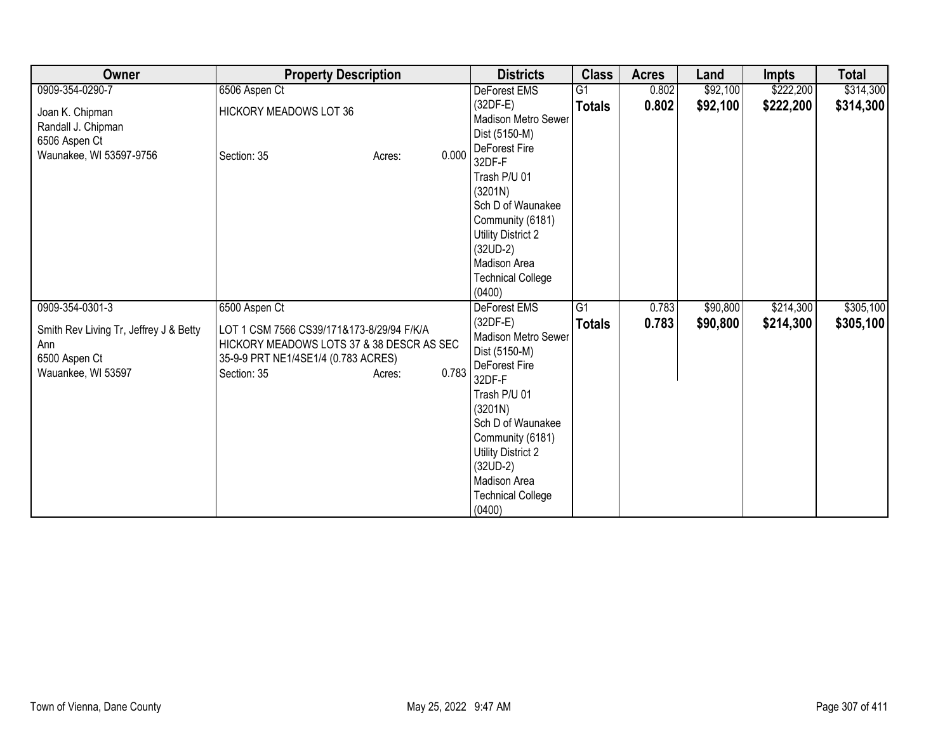| Owner                                                                                                   | <b>Property Description</b>                                                                                                                                             |       | <b>Districts</b>                                                                                                                                                                                                                                                          | <b>Class</b>        | <b>Acres</b>   | Land                 | <b>Impts</b>           | <b>Total</b>           |
|---------------------------------------------------------------------------------------------------------|-------------------------------------------------------------------------------------------------------------------------------------------------------------------------|-------|---------------------------------------------------------------------------------------------------------------------------------------------------------------------------------------------------------------------------------------------------------------------------|---------------------|----------------|----------------------|------------------------|------------------------|
| 0909-354-0290-7                                                                                         | 6506 Aspen Ct                                                                                                                                                           |       | DeForest EMS                                                                                                                                                                                                                                                              | $\overline{G1}$     | 0.802          | \$92,100             | \$222,200              | \$314,300              |
| Joan K. Chipman<br>Randall J. Chipman<br>6506 Aspen Ct                                                  | <b>HICKORY MEADOWS LOT 36</b>                                                                                                                                           |       | $(32DF-E)$<br>Madison Metro Sewer<br>Dist (5150-M)<br>DeForest Fire                                                                                                                                                                                                       | <b>Totals</b>       | 0.802          | \$92,100             | \$222,200              | \$314,300              |
| Waunakee, WI 53597-9756                                                                                 | Section: 35<br>Acres:                                                                                                                                                   | 0.000 | 32DF-F<br>Trash P/U 01<br>(3201N)<br>Sch D of Waunakee<br>Community (6181)<br><b>Utility District 2</b><br>$(32UD-2)$<br>Madison Area<br><b>Technical College</b><br>(0400)                                                                                               |                     |                |                      |                        |                        |
| 0909-354-0301-3<br>Smith Rev Living Tr, Jeffrey J & Betty<br>Ann<br>6500 Aspen Ct<br>Wauankee, WI 53597 | 6500 Aspen Ct<br>LOT 1 CSM 7566 CS39/171&173-8/29/94 F/K/A<br>HICKORY MEADOWS LOTS 37 & 38 DESCR AS SEC<br>35-9-9 PRT NE1/4SE1/4 (0.783 ACRES)<br>Section: 35<br>Acres: | 0.783 | <b>DeForest EMS</b><br>$(32DF-E)$<br>Madison Metro Sewer<br>Dist (5150-M)<br>DeForest Fire<br>32DF-F<br>Trash P/U 01<br>(3201N)<br>Sch D of Waunakee<br>Community (6181)<br><b>Utility District 2</b><br>$(32UD-2)$<br>Madison Area<br><b>Technical College</b><br>(0400) | G1<br><b>Totals</b> | 0.783<br>0.783 | \$90,800<br>\$90,800 | \$214,300<br>\$214,300 | \$305,100<br>\$305,100 |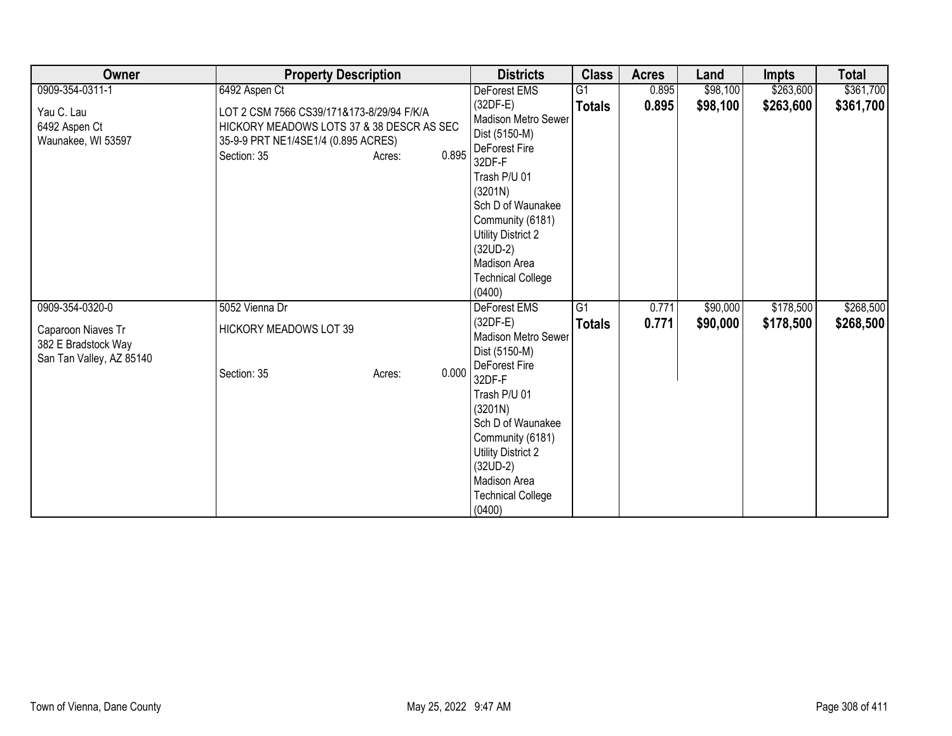| Owner                                                                 | <b>Property Description</b>                                                                                                                                     | <b>Districts</b>                                                                                                                                                  | <b>Class</b>   | <b>Acres</b> | Land     | <b>Impts</b> | <b>Total</b> |
|-----------------------------------------------------------------------|-----------------------------------------------------------------------------------------------------------------------------------------------------------------|-------------------------------------------------------------------------------------------------------------------------------------------------------------------|----------------|--------------|----------|--------------|--------------|
| 0909-354-0311-1                                                       | 6492 Aspen Ct                                                                                                                                                   | DeForest EMS                                                                                                                                                      | G <sub>1</sub> | 0.895        | \$98,100 | \$263,600    | \$361,700    |
| Yau C. Lau<br>6492 Aspen Ct<br>Waunakee, WI 53597                     | LOT 2 CSM 7566 CS39/171&173-8/29/94 F/K/A<br>HICKORY MEADOWS LOTS 37 & 38 DESCR AS SEC<br>35-9-9 PRT NE1/4SE1/4 (0.895 ACRES)<br>0.895<br>Section: 35<br>Acres: | $(32DF-E)$<br>Madison Metro Sewer<br>Dist (5150-M)<br>DeForest Fire<br>32DF-F<br>Trash P/U 01<br>(3201N)<br>Sch D of Waunakee                                     | <b>Totals</b>  | 0.895        | \$98,100 | \$263,600    | \$361,700    |
|                                                                       |                                                                                                                                                                 | Community (6181)<br>Utility District 2<br>$(32UD-2)$<br>Madison Area<br><b>Technical College</b><br>(0400)                                                        |                |              |          |              |              |
| 0909-354-0320-0                                                       | 5052 Vienna Dr                                                                                                                                                  | <b>DeForest EMS</b>                                                                                                                                               | G1             | 0.771        | \$90,000 | \$178,500    | \$268,500    |
| Caparoon Niaves Tr<br>382 E Bradstock Way<br>San Tan Valley, AZ 85140 | <b>HICKORY MEADOWS LOT 39</b><br>0.000<br>Section: 35<br>Acres:                                                                                                 | $(32DF-E)$<br><b>Madison Metro Sewer</b><br>Dist (5150-M)<br>DeForest Fire<br>32DF-F                                                                              | <b>Totals</b>  | 0.771        | \$90,000 | \$178,500    | \$268,500    |
|                                                                       |                                                                                                                                                                 | Trash P/U 01<br>(3201N)<br>Sch D of Waunakee<br>Community (6181)<br><b>Utility District 2</b><br>$(32UD-2)$<br>Madison Area<br><b>Technical College</b><br>(0400) |                |              |          |              |              |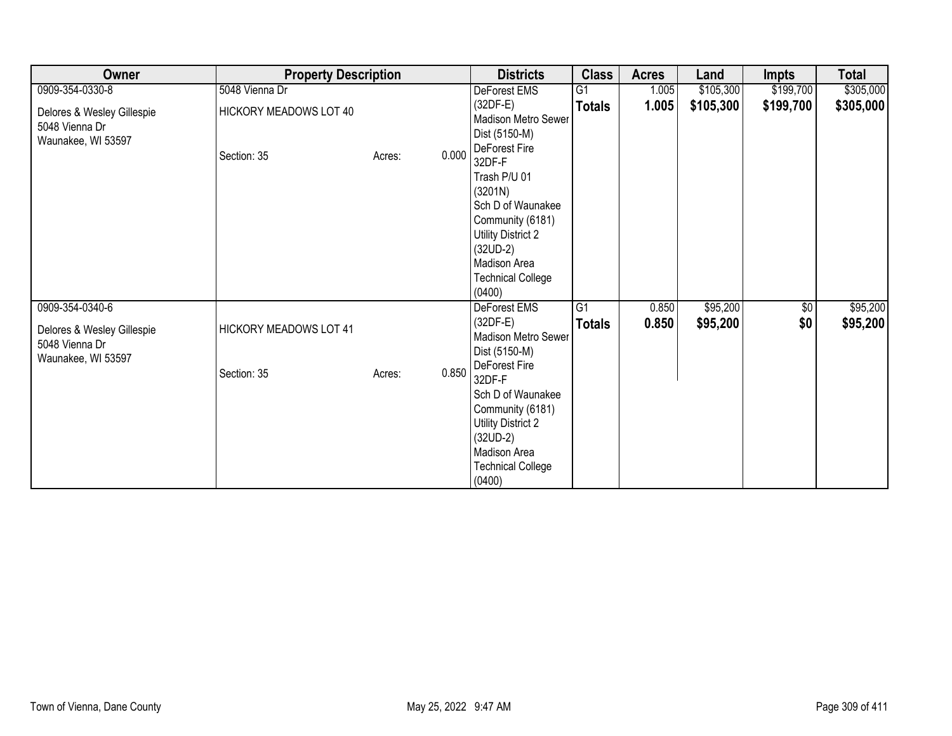| Owner                                                              | <b>Property Description</b>   |                 | <b>Districts</b>                                                                                                                                                            | <b>Class</b>                     | <b>Acres</b>   | Land                 | <b>Impts</b>      | <b>Total</b>         |
|--------------------------------------------------------------------|-------------------------------|-----------------|-----------------------------------------------------------------------------------------------------------------------------------------------------------------------------|----------------------------------|----------------|----------------------|-------------------|----------------------|
| 0909-354-0330-8                                                    | 5048 Vienna Dr                |                 | DeForest EMS                                                                                                                                                                | $\overline{G1}$                  | 1.005          | \$105,300            | \$199,700         | \$305,000            |
| Delores & Wesley Gillespie<br>5048 Vienna Dr<br>Waunakee, WI 53597 | HICKORY MEADOWS LOT 40        |                 | (32DF-E)<br><b>Madison Metro Sewer</b><br>Dist (5150-M)<br>DeForest Fire                                                                                                    | <b>Totals</b>                    | 1.005          | \$105,300            | \$199,700         | \$305,000            |
|                                                                    | Section: 35                   | 0.000<br>Acres: | 32DF-F<br>Trash P/U 01<br>(3201N)<br>Sch D of Waunakee<br>Community (6181)<br><b>Utility District 2</b><br>$(32UD-2)$<br>Madison Area<br><b>Technical College</b><br>(0400) |                                  |                |                      |                   |                      |
| 0909-354-0340-6<br>Delores & Wesley Gillespie<br>5048 Vienna Dr    | <b>HICKORY MEADOWS LOT 41</b> |                 | DeForest EMS<br>$(32DF-E)$<br><b>Madison Metro Sewer</b><br>Dist (5150-M)                                                                                                   | $\overline{G1}$<br><b>Totals</b> | 0.850<br>0.850 | \$95,200<br>\$95,200 | $\sqrt{6}$<br>\$0 | \$95,200<br>\$95,200 |
| Waunakee, WI 53597                                                 | Section: 35                   | 0.850<br>Acres: | DeForest Fire<br>32DF-F<br>Sch D of Waunakee<br>Community (6181)<br><b>Utility District 2</b><br>$(32UD-2)$<br>Madison Area<br><b>Technical College</b><br>(0400)           |                                  |                |                      |                   |                      |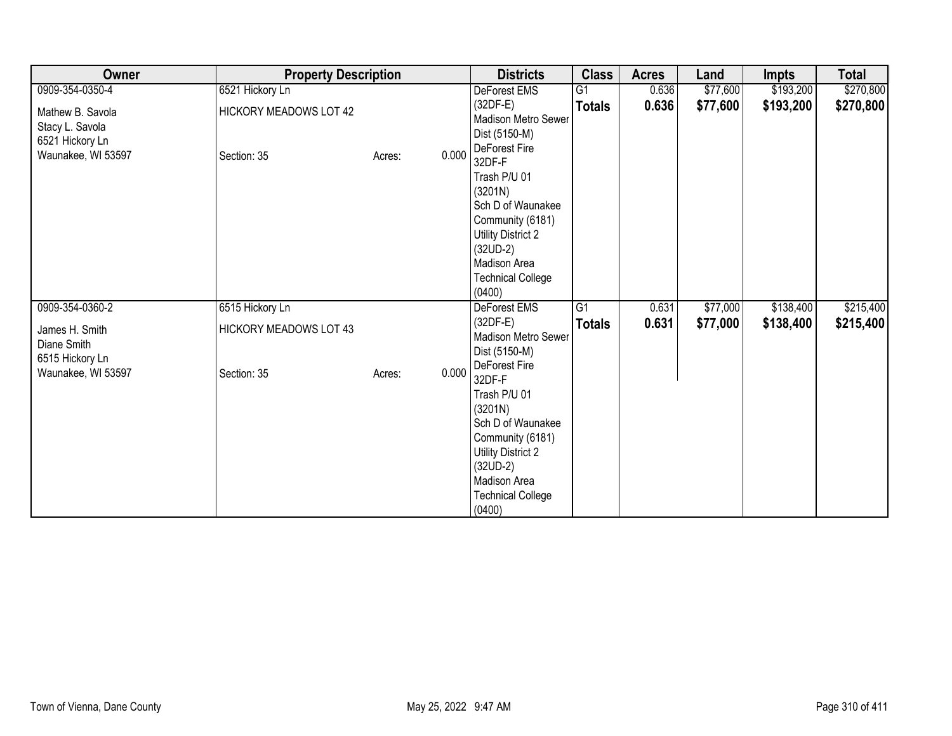| Owner                                                                        | <b>Property Description</b>           |                 | <b>Districts</b>                                                                                                                                                                             | <b>Class</b>    | <b>Acres</b> | Land     | <b>Impts</b> | <b>Total</b> |
|------------------------------------------------------------------------------|---------------------------------------|-----------------|----------------------------------------------------------------------------------------------------------------------------------------------------------------------------------------------|-----------------|--------------|----------|--------------|--------------|
| 0909-354-0350-4                                                              | 6521 Hickory Ln                       |                 | DeForest EMS                                                                                                                                                                                 | $\overline{G1}$ | 0.636        | \$77,600 | \$193,200    | \$270,800    |
| Mathew B. Savola<br>Stacy L. Savola<br>6521 Hickory Ln<br>Waunakee, WI 53597 | HICKORY MEADOWS LOT 42<br>Section: 35 | 0.000<br>Acres: | $(32DF-E)$<br>Madison Metro Sewer<br>Dist (5150-M)<br>DeForest Fire<br>32DF-F                                                                                                                | <b>Totals</b>   | 0.636        | \$77,600 | \$193,200    | \$270,800    |
|                                                                              |                                       |                 | Trash P/U 01<br>(3201N)<br>Sch D of Waunakee<br>Community (6181)<br>Utility District 2<br>$(32UD-2)$<br>Madison Area<br><b>Technical College</b><br>(0400)                                   |                 |              |          |              |              |
| 0909-354-0360-2                                                              | 6515 Hickory Ln                       |                 | DeForest EMS                                                                                                                                                                                 | $\overline{G1}$ | 0.631        | \$77,000 | \$138,400    | \$215,400    |
| James H. Smith<br>Diane Smith<br>6515 Hickory Ln                             | <b>HICKORY MEADOWS LOT 43</b>         |                 | $(32DF-E)$<br>Madison Metro Sewer<br>Dist (5150-M)                                                                                                                                           | <b>Totals</b>   | 0.631        | \$77,000 | \$138,400    | \$215,400    |
| Waunakee, WI 53597                                                           | Section: 35                           | 0.000<br>Acres: | DeForest Fire<br>32DF-F<br>Trash P/U 01<br>(3201N)<br>Sch D of Waunakee<br>Community (6181)<br><b>Utility District 2</b><br>$(32UD-2)$<br>Madison Area<br><b>Technical College</b><br>(0400) |                 |              |          |              |              |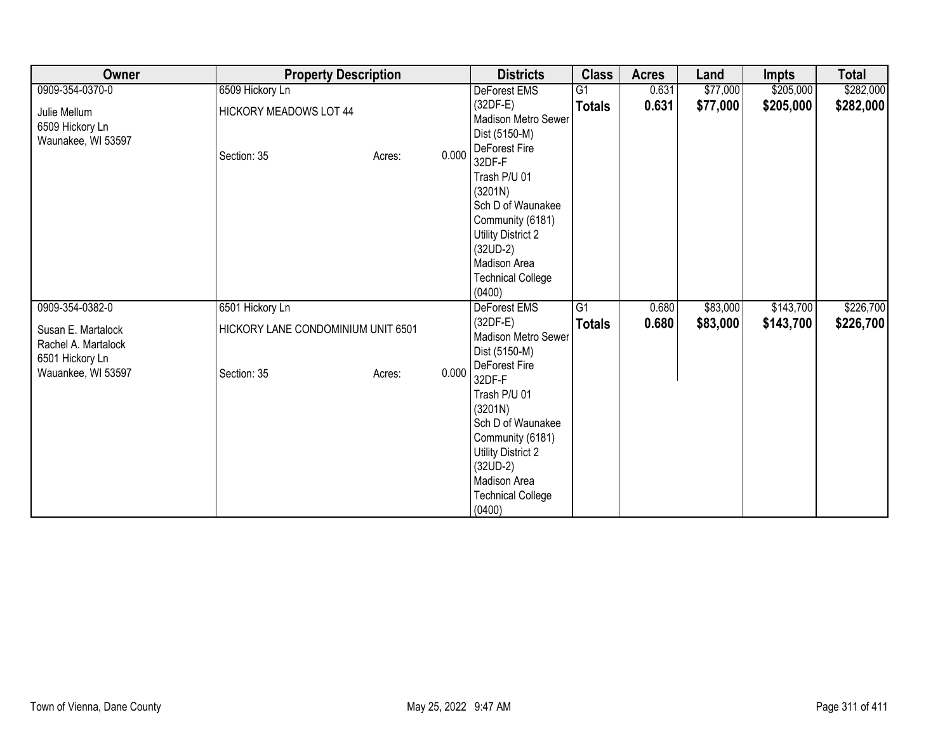| Owner                                                        | <b>Property Description</b>           |                 | <b>Districts</b>                                                                                                                                                                             | <b>Class</b>    | <b>Acres</b> | Land     | <b>Impts</b> | <b>Total</b> |
|--------------------------------------------------------------|---------------------------------------|-----------------|----------------------------------------------------------------------------------------------------------------------------------------------------------------------------------------------|-----------------|--------------|----------|--------------|--------------|
| 0909-354-0370-0                                              | 6509 Hickory Ln                       |                 | DeForest EMS                                                                                                                                                                                 | G1              | 0.631        | \$77,000 | \$205,000    | \$282,000    |
| Julie Mellum<br>6509 Hickory Ln<br>Waunakee, WI 53597        | HICKORY MEADOWS LOT 44<br>Section: 35 | 0.000<br>Acres: | $(32DF-E)$<br>Madison Metro Sewer<br>Dist (5150-M)<br>DeForest Fire<br>32DF-F                                                                                                                | <b>Totals</b>   | 0.631        | \$77,000 | \$205,000    | \$282,000    |
|                                                              |                                       |                 | Trash P/U 01<br>(3201N)<br>Sch D of Waunakee<br>Community (6181)<br><b>Utility District 2</b><br>$(32UD-2)$<br>Madison Area<br><b>Technical College</b><br>(0400)                            |                 |              |          |              |              |
| 0909-354-0382-0                                              | 6501 Hickory Ln                       |                 | DeForest EMS                                                                                                                                                                                 | $\overline{G1}$ | 0.680        | \$83,000 | \$143,700    | \$226,700    |
| Susan E. Martalock<br>Rachel A. Martalock<br>6501 Hickory Ln | HICKORY LANE CONDOMINIUM UNIT 6501    |                 | $(32DF-E)$<br>Madison Metro Sewer<br>Dist (5150-M)                                                                                                                                           | <b>Totals</b>   | 0.680        | \$83,000 | \$143,700    | \$226,700    |
| Wauankee, WI 53597                                           | Section: 35                           | 0.000<br>Acres: | DeForest Fire<br>32DF-F<br>Trash P/U 01<br>(3201N)<br>Sch D of Waunakee<br>Community (6181)<br><b>Utility District 2</b><br>$(32UD-2)$<br>Madison Area<br><b>Technical College</b><br>(0400) |                 |              |          |              |              |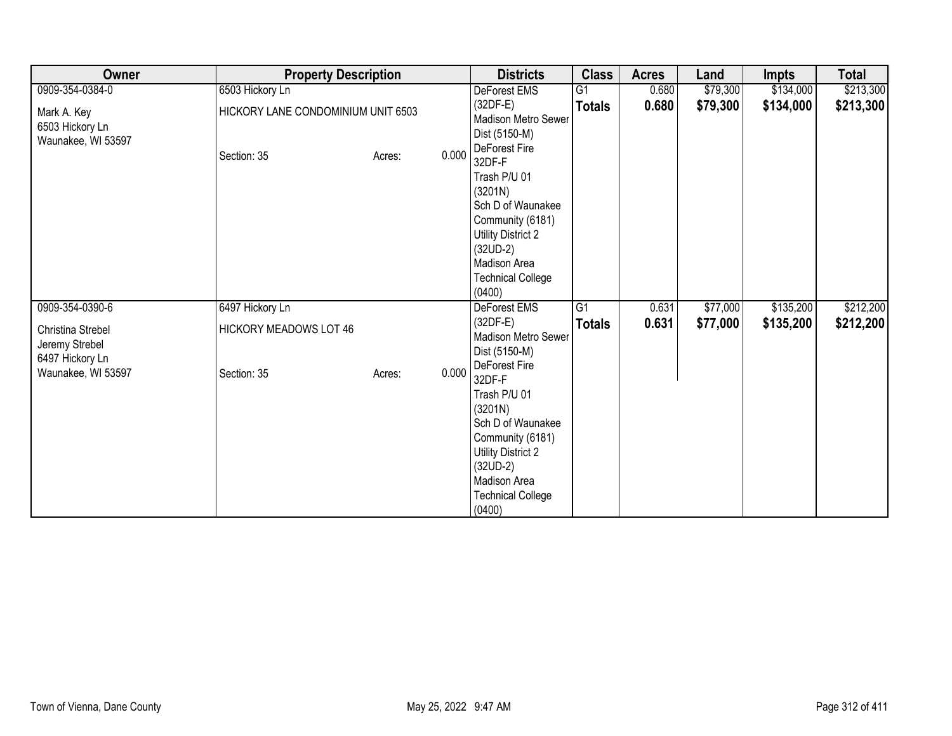| Owner                                                  | <b>Property Description</b>        |        |       | <b>Districts</b>                                                                                                                                                                             | <b>Class</b>    | <b>Acres</b> | Land     | <b>Impts</b> | <b>Total</b> |
|--------------------------------------------------------|------------------------------------|--------|-------|----------------------------------------------------------------------------------------------------------------------------------------------------------------------------------------------|-----------------|--------------|----------|--------------|--------------|
| 0909-354-0384-0                                        | 6503 Hickory Ln                    |        |       | DeForest EMS                                                                                                                                                                                 | G1              | 0.680        | \$79,300 | \$134,000    | \$213,300    |
| Mark A. Key<br>6503 Hickory Ln<br>Waunakee, WI 53597   | HICKORY LANE CONDOMINIUM UNIT 6503 |        |       | $(32DF-E)$<br>Madison Metro Sewer<br>Dist (5150-M)<br>DeForest Fire                                                                                                                          | <b>Totals</b>   | 0.680        | \$79,300 | \$134,000    | \$213,300    |
|                                                        | Section: 35                        | Acres: | 0.000 | 32DF-F<br>Trash P/U 01<br>(3201N)<br>Sch D of Waunakee<br>Community (6181)<br><b>Utility District 2</b><br>$(32UD-2)$<br>Madison Area<br><b>Technical College</b><br>(0400)                  |                 |              |          |              |              |
| 0909-354-0390-6                                        | 6497 Hickory Ln                    |        |       | DeForest EMS                                                                                                                                                                                 | $\overline{G1}$ | 0.631        | \$77,000 | \$135,200    | \$212,200    |
| Christina Strebel<br>Jeremy Strebel<br>6497 Hickory Ln | HICKORY MEADOWS LOT 46             |        |       | $(32DF-E)$<br>Madison Metro Sewer<br>Dist (5150-M)                                                                                                                                           | <b>Totals</b>   | 0.631        | \$77,000 | \$135,200    | \$212,200    |
| Waunakee, WI 53597                                     | Section: 35                        | Acres: | 0.000 | DeForest Fire<br>32DF-F<br>Trash P/U 01<br>(3201N)<br>Sch D of Waunakee<br>Community (6181)<br><b>Utility District 2</b><br>$(32UD-2)$<br>Madison Area<br><b>Technical College</b><br>(0400) |                 |              |          |              |              |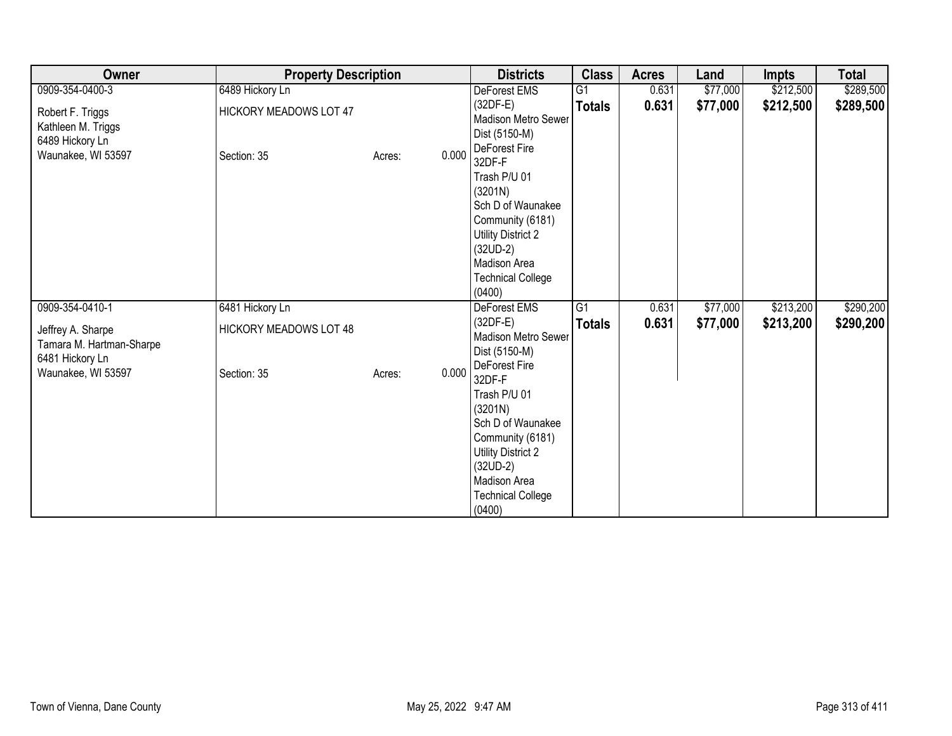| Owner                                                                           | <b>Property Description</b>           |                 | <b>Districts</b>                                                                                                                                                                             | <b>Class</b>    | <b>Acres</b> | Land     | <b>Impts</b> | <b>Total</b> |
|---------------------------------------------------------------------------------|---------------------------------------|-----------------|----------------------------------------------------------------------------------------------------------------------------------------------------------------------------------------------|-----------------|--------------|----------|--------------|--------------|
| 0909-354-0400-3                                                                 | 6489 Hickory Ln                       |                 | DeForest EMS                                                                                                                                                                                 | $\overline{G1}$ | 0.631        | \$77,000 | \$212,500    | \$289,500    |
| Robert F. Triggs<br>Kathleen M. Triggs<br>6489 Hickory Ln<br>Waunakee, WI 53597 | HICKORY MEADOWS LOT 47<br>Section: 35 | 0.000<br>Acres: | $(32DF-E)$<br>Madison Metro Sewer<br>Dist (5150-M)<br>DeForest Fire<br>32DF-F                                                                                                                | <b>Totals</b>   | 0.631        | \$77,000 | \$212,500    | \$289,500    |
|                                                                                 |                                       |                 | Trash P/U 01<br>(3201N)<br>Sch D of Waunakee<br>Community (6181)<br>Utility District 2<br>$(32UD-2)$<br>Madison Area<br><b>Technical College</b><br>(0400)                                   |                 |              |          |              |              |
| 0909-354-0410-1                                                                 | 6481 Hickory Ln                       |                 | DeForest EMS                                                                                                                                                                                 | $\overline{G1}$ | 0.631        | \$77,000 | \$213,200    | \$290,200    |
| Jeffrey A. Sharpe<br>Tamara M. Hartman-Sharpe<br>6481 Hickory Ln                | <b>HICKORY MEADOWS LOT 48</b>         |                 | $(32DF-E)$<br>Madison Metro Sewer<br>Dist (5150-M)                                                                                                                                           | <b>Totals</b>   | 0.631        | \$77,000 | \$213,200    | \$290,200    |
| Waunakee, WI 53597                                                              | Section: 35                           | 0.000<br>Acres: | DeForest Fire<br>32DF-F<br>Trash P/U 01<br>(3201N)<br>Sch D of Waunakee<br>Community (6181)<br><b>Utility District 2</b><br>$(32UD-2)$<br>Madison Area<br><b>Technical College</b><br>(0400) |                 |              |          |              |              |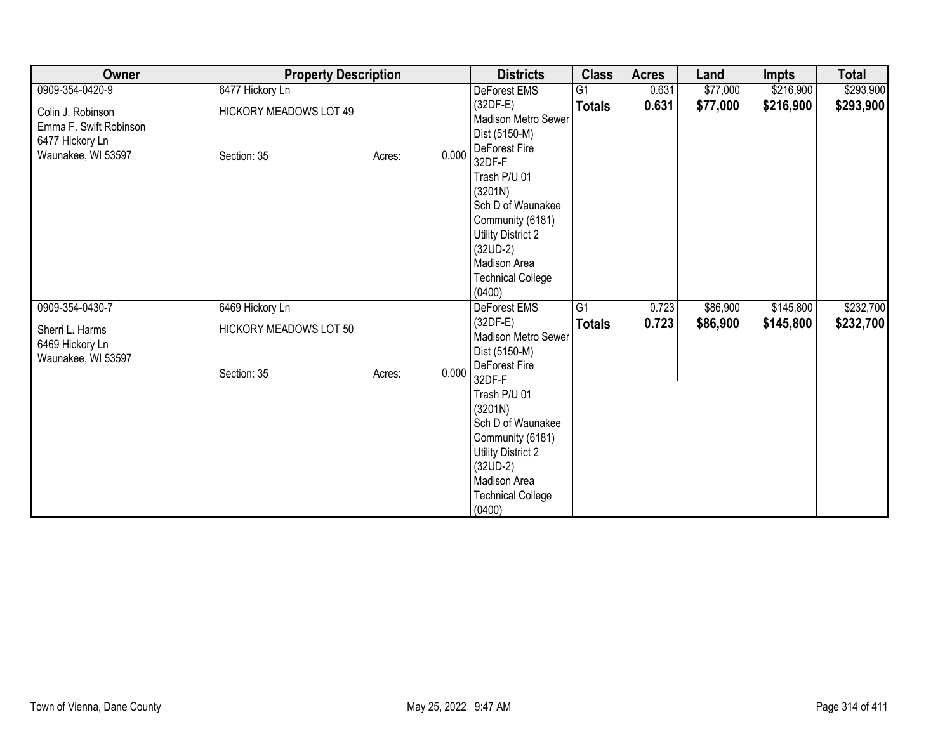| Owner                                                          | <b>Property Description</b>   |        |                                                                                                     | <b>Districts</b>                                                                               | <b>Class</b>    | <b>Acres</b> | Land     | <b>Impts</b> | <b>Total</b> |
|----------------------------------------------------------------|-------------------------------|--------|-----------------------------------------------------------------------------------------------------|------------------------------------------------------------------------------------------------|-----------------|--------------|----------|--------------|--------------|
| 0909-354-0420-9                                                | 6477 Hickory Ln               |        |                                                                                                     | DeForest EMS                                                                                   | G1              | 0.631        | \$77,000 | \$216,900    | \$293,900    |
| Colin J. Robinson<br>Emma F. Swift Robinson<br>6477 Hickory Ln | <b>HICKORY MEADOWS LOT 49</b> |        | (32DF-E)<br>Dist (5150-M)                                                                           | <b>Madison Metro Sewer</b>                                                                     | <b>Totals</b>   | 0.631        | \$77,000 | \$216,900    | \$293,900    |
| Waunakee, WI 53597                                             | Section: 35                   | Acres: | DeForest Fire<br>0.000<br>32DF-F<br>Trash P/U 01<br>(3201N)<br>$(32UD-2)$<br>Madison Area<br>(0400) | Sch D of Waunakee<br>Community (6181)<br>Utility District 2<br><b>Technical College</b>        |                 |              |          |              |              |
| 0909-354-0430-7                                                | 6469 Hickory Ln               |        |                                                                                                     | DeForest EMS                                                                                   | $\overline{G1}$ | 0.723        | \$86,900 | \$145,800    | \$232,700    |
| Sherri L. Harms<br>6469 Hickory Ln<br>Waunakee, WI 53597       | HICKORY MEADOWS LOT 50        |        | $(32DF-E)$<br>Dist (5150-M)                                                                         | Madison Metro Sewer                                                                            | <b>Totals</b>   | 0.723        | \$86,900 | \$145,800    | \$232,700    |
|                                                                | Section: 35                   | Acres: | DeForest Fire<br>0.000<br>32DF-F<br>Trash P/U 01<br>(3201N)<br>$(32UD-2)$<br>Madison Area<br>(0400) | Sch D of Waunakee<br>Community (6181)<br><b>Utility District 2</b><br><b>Technical College</b> |                 |              |          |              |              |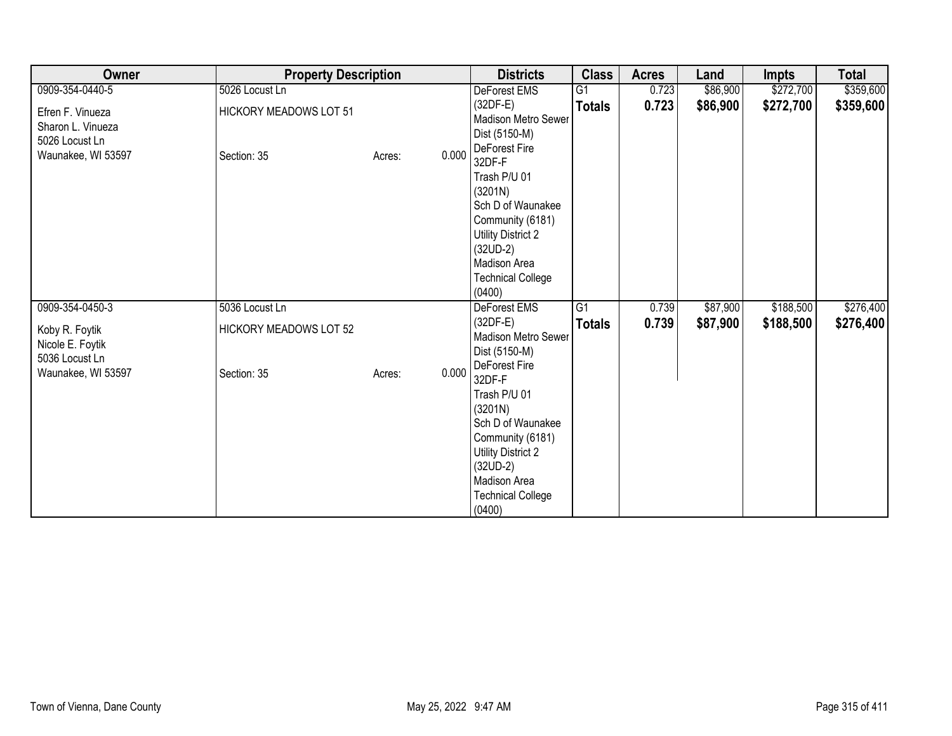| Owner                                                                         | <b>Property Description</b>                  |                 | <b>Districts</b>                                                                                                                                                                             | <b>Class</b>  | <b>Acres</b> | Land     | <b>Impts</b> | <b>Total</b> |
|-------------------------------------------------------------------------------|----------------------------------------------|-----------------|----------------------------------------------------------------------------------------------------------------------------------------------------------------------------------------------|---------------|--------------|----------|--------------|--------------|
| 0909-354-0440-5                                                               | 5026 Locust Ln                               |                 | DeForest EMS                                                                                                                                                                                 | G1            | 0.723        | \$86,900 | \$272,700    | \$359,600    |
| Efren F. Vinueza<br>Sharon L. Vinueza<br>5026 Locust Ln<br>Waunakee, WI 53597 | <b>HICKORY MEADOWS LOT 51</b><br>Section: 35 | 0.000<br>Acres: | $(32DF-E)$<br>Madison Metro Sewer<br>Dist (5150-M)<br>DeForest Fire                                                                                                                          | <b>Totals</b> | 0.723        | \$86,900 | \$272,700    | \$359,600    |
|                                                                               |                                              |                 | 32DF-F<br>Trash P/U 01<br>(3201N)<br>Sch D of Waunakee<br>Community (6181)<br><b>Utility District 2</b><br>$(32UD-2)$<br>Madison Area<br><b>Technical College</b><br>(0400)                  |               |              |          |              |              |
| 0909-354-0450-3                                                               | 5036 Locust Ln                               |                 | DeForest EMS                                                                                                                                                                                 | G1            | 0.739        | \$87,900 | \$188,500    | \$276,400    |
| Koby R. Foytik<br>Nicole E. Foytik<br>5036 Locust Ln                          | <b>HICKORY MEADOWS LOT 52</b>                |                 | $(32DF-E)$<br>Madison Metro Sewer<br>Dist (5150-M)                                                                                                                                           | <b>Totals</b> | 0.739        | \$87,900 | \$188,500    | \$276,400    |
| Waunakee, WI 53597                                                            | Section: 35                                  | 0.000<br>Acres: | DeForest Fire<br>32DF-F<br>Trash P/U 01<br>(3201N)<br>Sch D of Waunakee<br>Community (6181)<br><b>Utility District 2</b><br>$(32UD-2)$<br>Madison Area<br><b>Technical College</b><br>(0400) |               |              |          |              |              |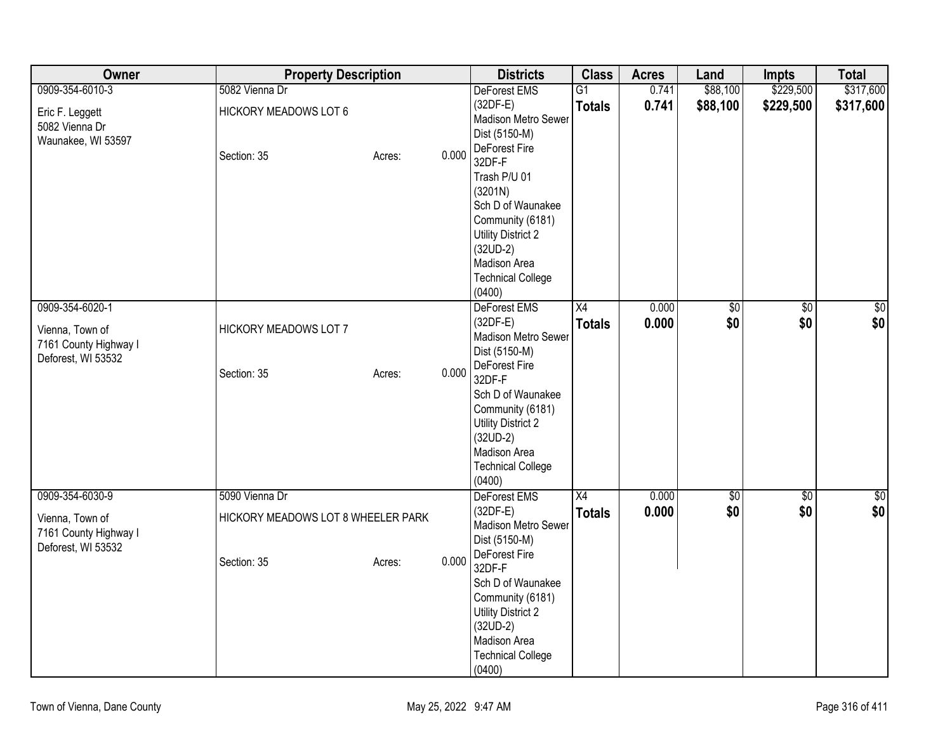| Owner                                                   | <b>Property Description</b>        |                 | <b>Districts</b>                                                   | <b>Class</b>    | <b>Acres</b> | Land        | <b>Impts</b>    | <b>Total</b>     |
|---------------------------------------------------------|------------------------------------|-----------------|--------------------------------------------------------------------|-----------------|--------------|-------------|-----------------|------------------|
| 0909-354-6010-3                                         | 5082 Vienna Dr                     |                 | DeForest EMS                                                       | $\overline{G1}$ | 0.741        | \$88,100    | \$229,500       | \$317,600        |
| Eric F. Leggett<br>5082 Vienna Dr<br>Waunakee, WI 53597 | <b>HICKORY MEADOWS LOT 6</b>       |                 | $(32DF-E)$<br>Madison Metro Sewer<br>Dist (5150-M)                 | <b>Totals</b>   | 0.741        | \$88,100    | \$229,500       | \$317,600        |
|                                                         | Section: 35                        | 0.000<br>Acres: | DeForest Fire<br>32DF-F                                            |                 |              |             |                 |                  |
|                                                         |                                    |                 | Trash P/U 01<br>(3201N)<br>Sch D of Waunakee                       |                 |              |             |                 |                  |
|                                                         |                                    |                 | Community (6181)<br><b>Utility District 2</b><br>$(32UD-2)$        |                 |              |             |                 |                  |
|                                                         |                                    |                 | Madison Area<br><b>Technical College</b>                           |                 |              |             |                 |                  |
|                                                         |                                    |                 | (0400)                                                             |                 |              |             |                 |                  |
| 0909-354-6020-1                                         |                                    |                 | DeForest EMS                                                       | X4              | 0.000        | $\sqrt{50}$ | $\overline{50}$ | $\overline{\$0}$ |
| Vienna, Town of<br>7161 County Highway I                | HICKORY MEADOWS LOT 7              |                 | $(32DF-E)$<br>Madison Metro Sewer<br>Dist (5150-M)                 | <b>Totals</b>   | 0.000        | \$0         | \$0             | \$0              |
| Deforest, WI 53532                                      | Section: 35                        | 0.000<br>Acres: | DeForest Fire<br>32DF-F                                            |                 |              |             |                 |                  |
|                                                         |                                    |                 | Sch D of Waunakee<br>Community (6181)<br><b>Utility District 2</b> |                 |              |             |                 |                  |
|                                                         |                                    |                 | $(32UD-2)$<br>Madison Area                                         |                 |              |             |                 |                  |
|                                                         |                                    |                 | <b>Technical College</b><br>(0400)                                 |                 |              |             |                 |                  |
| 0909-354-6030-9                                         | 5090 Vienna Dr                     |                 | <b>DeForest EMS</b>                                                | X4              | 0.000        | $\sqrt{50}$ | \$0             | $\sqrt{50}$      |
| Vienna, Town of<br>7161 County Highway I                | HICKORY MEADOWS LOT 8 WHEELER PARK |                 | $(32DF-E)$<br>Madison Metro Sewer<br>Dist (5150-M)                 | <b>Totals</b>   | 0.000        | \$0         | \$0             | \$0              |
| Deforest, WI 53532                                      | Section: 35                        | 0.000<br>Acres: | DeForest Fire<br>32DF-F                                            |                 |              |             |                 |                  |
|                                                         |                                    |                 | Sch D of Waunakee<br>Community (6181)                              |                 |              |             |                 |                  |
|                                                         |                                    |                 | <b>Utility District 2</b><br>$(32UD-2)$<br>Madison Area            |                 |              |             |                 |                  |
|                                                         |                                    |                 | <b>Technical College</b><br>(0400)                                 |                 |              |             |                 |                  |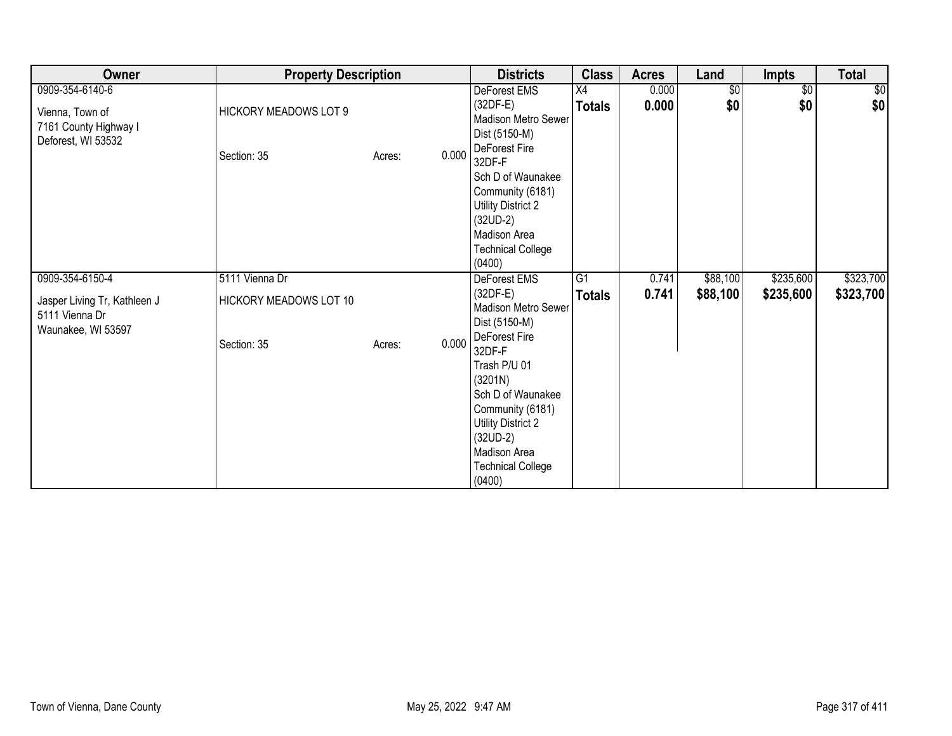| <b>Owner</b>                                                         | <b>Property Description</b>  |                 | <b>Districts</b>                                                                                                                                                                             | <b>Class</b>    | <b>Acres</b> | Land            | <b>Impts</b>    | <b>Total</b> |
|----------------------------------------------------------------------|------------------------------|-----------------|----------------------------------------------------------------------------------------------------------------------------------------------------------------------------------------------|-----------------|--------------|-----------------|-----------------|--------------|
| 0909-354-6140-6                                                      |                              |                 | DeForest EMS                                                                                                                                                                                 | X4              | 0.000        | $\overline{50}$ | $\overline{50}$ | \$0          |
| Vienna, Town of<br>7161 County Highway I<br>Deforest, WI 53532       | <b>HICKORY MEADOWS LOT 9</b> |                 | $(32DF-E)$<br>Madison Metro Sewer<br>Dist (5150-M)                                                                                                                                           | <b>Totals</b>   | 0.000        | \$0             | \$0             | \$0          |
|                                                                      | Section: 35                  | 0.000<br>Acres: | DeForest Fire<br>32DF-F<br>Sch D of Waunakee<br>Community (6181)<br><b>Utility District 2</b><br>$(32UD-2)$<br>Madison Area<br><b>Technical College</b>                                      |                 |              |                 |                 |              |
|                                                                      |                              |                 | (0400)                                                                                                                                                                                       |                 |              |                 |                 |              |
| 0909-354-6150-4                                                      | 5111 Vienna Dr               |                 | DeForest EMS                                                                                                                                                                                 | $\overline{G1}$ | 0.741        | \$88,100        | \$235,600       | \$323,700    |
| Jasper Living Tr, Kathleen J<br>5111 Vienna Dr<br>Waunakee, WI 53597 | HICKORY MEADOWS LOT 10       |                 | $(32DF-E)$<br>Madison Metro Sewer<br>Dist (5150-M)                                                                                                                                           | <b>Totals</b>   | 0.741        | \$88,100        | \$235,600       | \$323,700    |
|                                                                      | Section: 35                  | 0.000<br>Acres: | DeForest Fire<br>32DF-F<br>Trash P/U 01<br>(3201N)<br>Sch D of Waunakee<br>Community (6181)<br><b>Utility District 2</b><br>$(32UD-2)$<br>Madison Area<br><b>Technical College</b><br>(0400) |                 |              |                 |                 |              |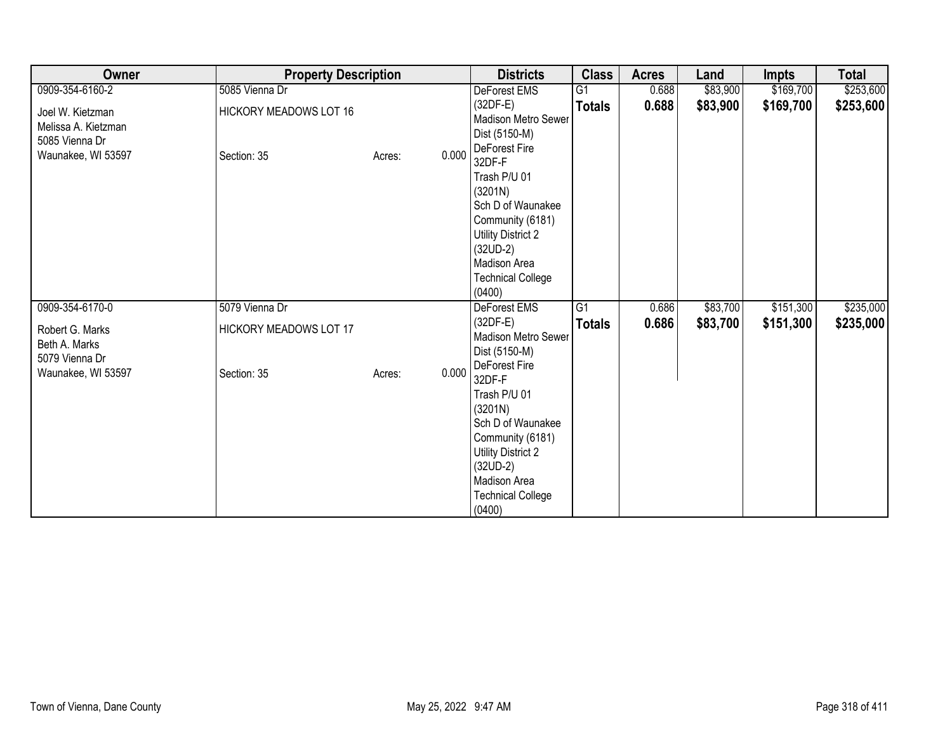| Owner                                                     | <b>Property Description</b> |        |       | <b>Districts</b>                                                                                                                                                            | <b>Class</b>    | <b>Acres</b> | Land     | Impts     | <b>Total</b> |
|-----------------------------------------------------------|-----------------------------|--------|-------|-----------------------------------------------------------------------------------------------------------------------------------------------------------------------------|-----------------|--------------|----------|-----------|--------------|
| 0909-354-6160-2                                           | 5085 Vienna Dr              |        |       | DeForest EMS                                                                                                                                                                | G <sub>1</sub>  | 0.688        | \$83,900 | \$169,700 | \$253,600    |
| Joel W. Kietzman<br>Melissa A. Kietzman<br>5085 Vienna Dr | HICKORY MEADOWS LOT 16      |        |       | $(32DF-E)$<br>Madison Metro Sewer<br>Dist (5150-M)<br>DeForest Fire                                                                                                         | <b>Totals</b>   | 0.688        | \$83,900 | \$169,700 | \$253,600    |
| Waunakee, WI 53597                                        | Section: 35                 | Acres: | 0.000 | 32DF-F<br>Trash P/U 01<br>(3201N)<br>Sch D of Waunakee<br>Community (6181)<br><b>Utility District 2</b><br>$(32UD-2)$<br>Madison Area<br><b>Technical College</b><br>(0400) |                 |              |          |           |              |
| 0909-354-6170-0                                           | 5079 Vienna Dr              |        |       | DeForest EMS                                                                                                                                                                | $\overline{G1}$ | 0.686        | \$83,700 | \$151,300 | \$235,000    |
| Robert G. Marks<br>Beth A. Marks<br>5079 Vienna Dr        | HICKORY MEADOWS LOT 17      |        |       | $(32DF-E)$<br>Madison Metro Sewer<br>Dist (5150-M)<br>DeForest Fire                                                                                                         | <b>Totals</b>   | 0.686        | \$83,700 | \$151,300 | \$235,000    |
| Waunakee, WI 53597                                        | Section: 35                 | Acres: | 0.000 | 32DF-F<br>Trash P/U 01<br>(3201N)<br>Sch D of Waunakee<br>Community (6181)<br><b>Utility District 2</b><br>$(32UD-2)$<br>Madison Area<br><b>Technical College</b><br>(0400) |                 |              |          |           |              |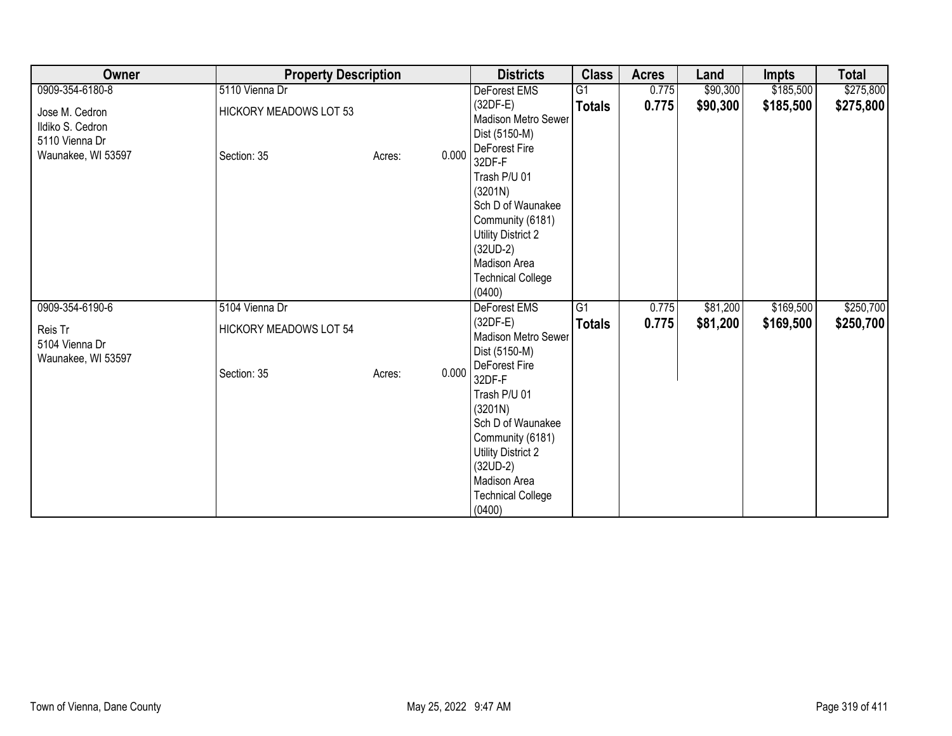| Owner                                                                      | <b>Property Description</b>                  |                 | <b>Districts</b>                                                                                                                                                                             | <b>Class</b>    | <b>Acres</b> | Land     | <b>Impts</b> | <b>Total</b> |
|----------------------------------------------------------------------------|----------------------------------------------|-----------------|----------------------------------------------------------------------------------------------------------------------------------------------------------------------------------------------|-----------------|--------------|----------|--------------|--------------|
| 0909-354-6180-8                                                            | 5110 Vienna Dr                               |                 | DeForest EMS                                                                                                                                                                                 | $\overline{G1}$ | 0.775        | \$90,300 | \$185,500    | \$275,800    |
| Jose M. Cedron<br>Ildiko S. Cedron<br>5110 Vienna Dr<br>Waunakee, WI 53597 | <b>HICKORY MEADOWS LOT 53</b><br>Section: 35 | 0.000<br>Acres: | $(32DF-E)$<br>Madison Metro Sewer<br>Dist (5150-M)<br>DeForest Fire<br>32DF-F                                                                                                                | <b>Totals</b>   | 0.775        | \$90,300 | \$185,500    | \$275,800    |
|                                                                            |                                              |                 | Trash P/U 01<br>(3201N)<br>Sch D of Waunakee<br>Community (6181)<br>Utility District 2<br>$(32UD-2)$<br>Madison Area<br><b>Technical College</b><br>(0400)                                   |                 |              |          |              |              |
| 0909-354-6190-6                                                            | 5104 Vienna Dr                               |                 | DeForest EMS                                                                                                                                                                                 | $\overline{G1}$ | 0.775        | \$81,200 | \$169,500    | \$250,700    |
| Reis Tr<br>5104 Vienna Dr<br>Waunakee, WI 53597                            | <b>HICKORY MEADOWS LOT 54</b>                |                 | $(32DF-E)$<br>Madison Metro Sewer<br>Dist (5150-M)                                                                                                                                           | <b>Totals</b>   | 0.775        | \$81,200 | \$169,500    | \$250,700    |
|                                                                            | Section: 35                                  | 0.000<br>Acres: | DeForest Fire<br>32DF-F<br>Trash P/U 01<br>(3201N)<br>Sch D of Waunakee<br>Community (6181)<br><b>Utility District 2</b><br>$(32UD-2)$<br>Madison Area<br><b>Technical College</b><br>(0400) |                 |              |          |              |              |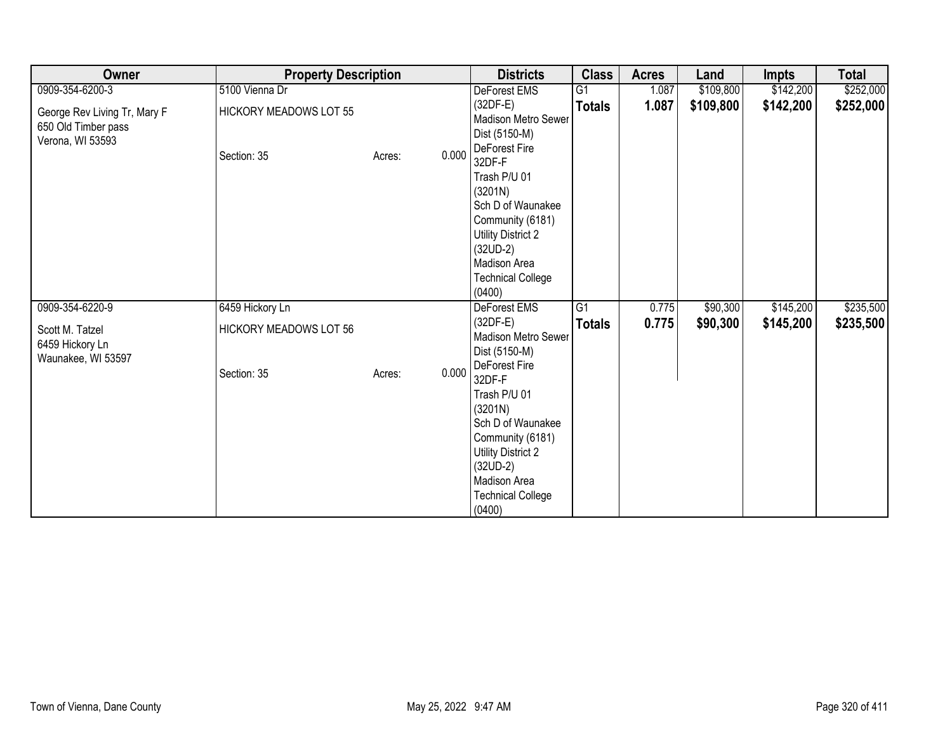| Owner                                                                   | <b>Property Description</b>   |                 | <b>Districts</b>                                                                                                                                                                             | <b>Class</b>    | <b>Acres</b> | Land      | Impts     | <b>Total</b> |
|-------------------------------------------------------------------------|-------------------------------|-----------------|----------------------------------------------------------------------------------------------------------------------------------------------------------------------------------------------|-----------------|--------------|-----------|-----------|--------------|
| 0909-354-6200-3                                                         | 5100 Vienna Dr                |                 | DeForest EMS                                                                                                                                                                                 | G <sub>1</sub>  | 1.087        | \$109,800 | \$142,200 | \$252,000    |
| George Rev Living Tr, Mary F<br>650 Old Timber pass<br>Verona, WI 53593 | <b>HICKORY MEADOWS LOT 55</b> |                 | $(32DF-E)$<br>Madison Metro Sewer<br>Dist (5150-M)                                                                                                                                           | <b>Totals</b>   | 1.087        | \$109,800 | \$142,200 | \$252,000    |
|                                                                         | Section: 35                   | 0.000<br>Acres: | DeForest Fire<br>32DF-F<br>Trash P/U 01<br>(3201N)<br>Sch D of Waunakee<br>Community (6181)<br><b>Utility District 2</b><br>$(32UD-2)$<br>Madison Area                                       |                 |              |           |           |              |
|                                                                         |                               |                 | <b>Technical College</b><br>(0400)                                                                                                                                                           |                 |              |           |           |              |
| 0909-354-6220-9                                                         | 6459 Hickory Ln               |                 | DeForest EMS                                                                                                                                                                                 | $\overline{G1}$ | 0.775        | \$90,300  | \$145,200 | \$235,500    |
| Scott M. Tatzel<br>6459 Hickory Ln<br>Waunakee, WI 53597                | <b>HICKORY MEADOWS LOT 56</b> |                 | $(32DF-E)$<br>Madison Metro Sewer<br>Dist (5150-M)                                                                                                                                           | <b>Totals</b>   | 0.775        | \$90,300  | \$145,200 | \$235,500    |
|                                                                         | Section: 35                   | 0.000<br>Acres: | DeForest Fire<br>32DF-F<br>Trash P/U 01<br>(3201N)<br>Sch D of Waunakee<br>Community (6181)<br><b>Utility District 2</b><br>$(32UD-2)$<br>Madison Area<br><b>Technical College</b><br>(0400) |                 |              |           |           |              |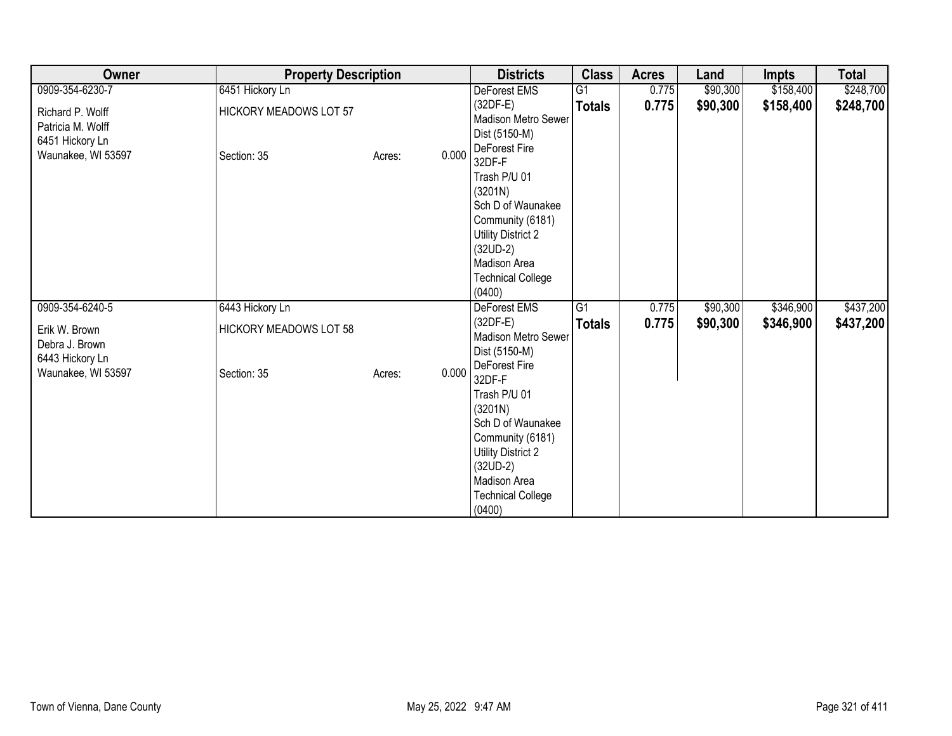| Owner                                                                          | <b>Property Description</b>                  |                 | <b>Districts</b>                                                                                                                                                                             | <b>Class</b>    | <b>Acres</b> | Land     | <b>Impts</b> | <b>Total</b> |
|--------------------------------------------------------------------------------|----------------------------------------------|-----------------|----------------------------------------------------------------------------------------------------------------------------------------------------------------------------------------------|-----------------|--------------|----------|--------------|--------------|
| 0909-354-6230-7                                                                | 6451 Hickory Ln                              |                 | DeForest EMS                                                                                                                                                                                 | $\overline{G1}$ | 0.775        | \$90,300 | \$158,400    | \$248,700    |
| Richard P. Wolff<br>Patricia M. Wolff<br>6451 Hickory Ln<br>Waunakee, WI 53597 | <b>HICKORY MEADOWS LOT 57</b><br>Section: 35 | 0.000<br>Acres: | $(32DF-E)$<br>Madison Metro Sewer<br>Dist (5150-M)<br>DeForest Fire<br>32DF-F                                                                                                                | <b>Totals</b>   | 0.775        | \$90,300 | \$158,400    | \$248,700    |
|                                                                                |                                              |                 | Trash P/U 01<br>(3201N)<br>Sch D of Waunakee<br>Community (6181)<br>Utility District 2<br>$(32UD-2)$<br>Madison Area<br><b>Technical College</b><br>(0400)                                   |                 |              |          |              |              |
| 0909-354-6240-5                                                                | 6443 Hickory Ln                              |                 | DeForest EMS                                                                                                                                                                                 | $\overline{G1}$ | 0.775        | \$90,300 | \$346,900    | \$437,200    |
| Erik W. Brown<br>Debra J. Brown<br>6443 Hickory Ln                             | <b>HICKORY MEADOWS LOT 58</b>                |                 | $(32DF-E)$<br>Madison Metro Sewer<br>Dist (5150-M)                                                                                                                                           | <b>Totals</b>   | 0.775        | \$90,300 | \$346,900    | \$437,200    |
| Waunakee, WI 53597                                                             | Section: 35                                  | 0.000<br>Acres: | DeForest Fire<br>32DF-F<br>Trash P/U 01<br>(3201N)<br>Sch D of Waunakee<br>Community (6181)<br><b>Utility District 2</b><br>$(32UD-2)$<br>Madison Area<br><b>Technical College</b><br>(0400) |                 |              |          |              |              |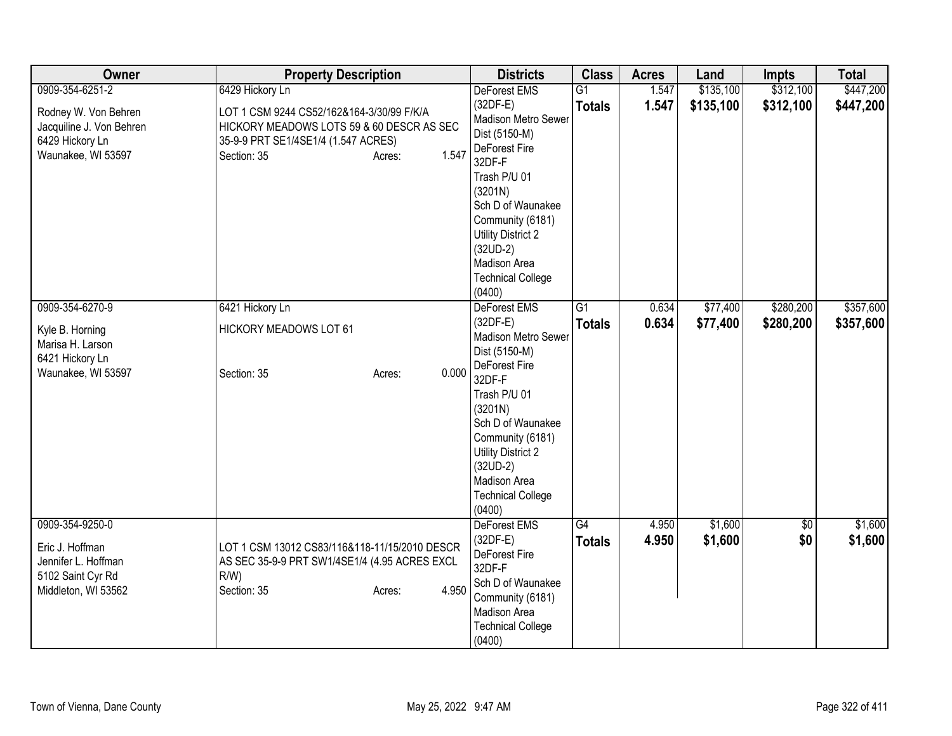| Owner                                                                                                        | <b>Property Description</b>                                                                                                                                                        | <b>Districts</b>                                                                                                                                                                                                                                                 | <b>Class</b>                     | <b>Acres</b>   | Land                   | <b>Impts</b>           | <b>Total</b>           |
|--------------------------------------------------------------------------------------------------------------|------------------------------------------------------------------------------------------------------------------------------------------------------------------------------------|------------------------------------------------------------------------------------------------------------------------------------------------------------------------------------------------------------------------------------------------------------------|----------------------------------|----------------|------------------------|------------------------|------------------------|
| 0909-354-6251-2<br>Rodney W. Von Behren<br>Jacquiline J. Von Behren<br>6429 Hickory Ln<br>Waunakee, WI 53597 | 6429 Hickory Ln<br>LOT 1 CSM 9244 CS52/162&164-3/30/99 F/K/A<br>HICKORY MEADOWS LOTS 59 & 60 DESCR AS SEC<br>35-9-9 PRT SE1/4SE1/4 (1.547 ACRES)<br>1.547<br>Section: 35<br>Acres: | DeForest EMS<br>(32DF-E)<br>Madison Metro Sewer<br>Dist (5150-M)<br>DeForest Fire<br>32DF-F<br>Trash P/U 01<br>(3201N)<br>Sch D of Waunakee<br>Community (6181)<br><b>Utility District 2</b><br>$(32UD-2)$<br>Madison Area<br><b>Technical College</b><br>(0400) | $\overline{G1}$<br><b>Totals</b> | 1.547<br>1.547 | \$135,100<br>\$135,100 | \$312,100<br>\$312,100 | \$447,200<br>\$447,200 |
| 0909-354-6270-9<br>Kyle B. Horning<br>Marisa H. Larson<br>6421 Hickory Ln<br>Waunakee, WI 53597              | 6421 Hickory Ln<br>HICKORY MEADOWS LOT 61<br>0.000<br>Section: 35<br>Acres:                                                                                                        | DeForest EMS<br>$(32DF-E)$<br>Madison Metro Sewer<br>Dist (5150-M)<br>DeForest Fire<br>32DF-F<br>Trash P/U 01<br>(3201N)<br>Sch D of Waunakee<br>Community (6181)<br>Utility District 2<br>$(32UD-2)$<br>Madison Area<br><b>Technical College</b><br>(0400)      | $\overline{G1}$<br><b>Totals</b> | 0.634<br>0.634 | \$77,400<br>\$77,400   | \$280,200<br>\$280,200 | \$357,600<br>\$357,600 |
| 0909-354-9250-0<br>Eric J. Hoffman<br>Jennifer L. Hoffman<br>5102 Saint Cyr Rd<br>Middleton, WI 53562        | LOT 1 CSM 13012 CS83/116&118-11/15/2010 DESCR<br>AS SEC 35-9-9 PRT SW1/4SE1/4 (4.95 ACRES EXCL<br>$R/W$ )<br>4.950<br>Section: 35<br>Acres:                                        | DeForest EMS<br>$(32DF-E)$<br>DeForest Fire<br>32DF-F<br>Sch D of Waunakee<br>Community (6181)<br>Madison Area<br><b>Technical College</b><br>(0400)                                                                                                             | G4<br><b>Totals</b>              | 4.950<br>4.950 | \$1,600<br>\$1,600     | $\sqrt{$0}$<br>\$0     | \$1,600<br>\$1,600     |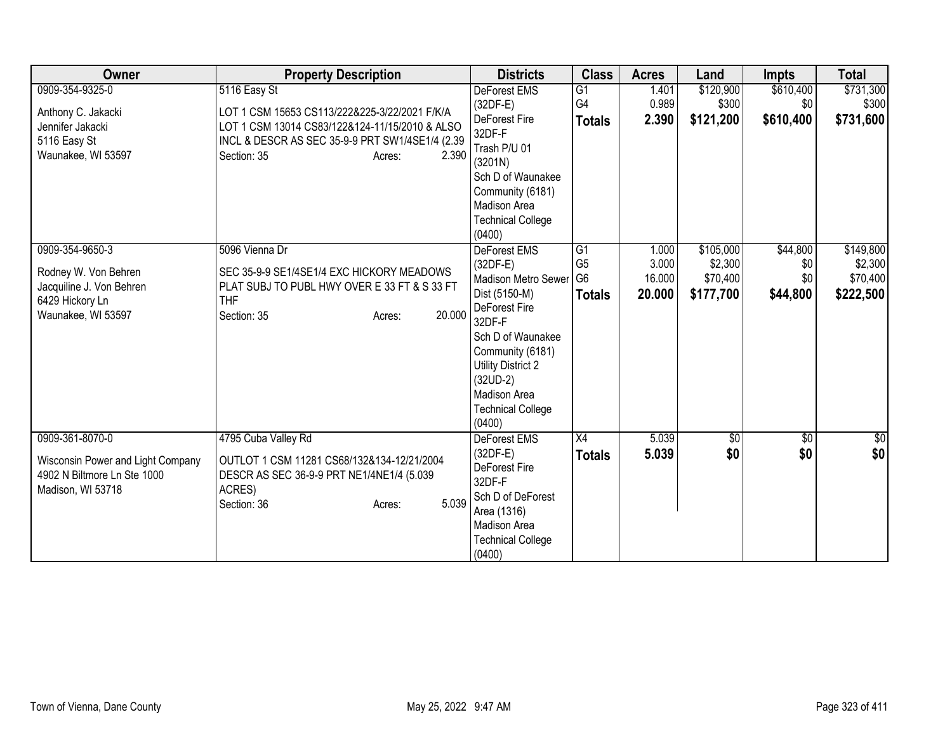| Owner                                                                                                        | <b>Property Description</b>                                                                                                                                                                          | <b>Districts</b>                                                                                                                                                                                                                      | <b>Class</b>                                                         | <b>Acres</b>                       | Land                                          | <b>Impts</b>                       | <b>Total</b>                                  |
|--------------------------------------------------------------------------------------------------------------|------------------------------------------------------------------------------------------------------------------------------------------------------------------------------------------------------|---------------------------------------------------------------------------------------------------------------------------------------------------------------------------------------------------------------------------------------|----------------------------------------------------------------------|------------------------------------|-----------------------------------------------|------------------------------------|-----------------------------------------------|
| 0909-354-9325-0<br>Anthony C. Jakacki<br>Jennifer Jakacki<br>5116 Easy St<br>Waunakee, WI 53597              | 5116 Easy St<br>LOT 1 CSM 15653 CS113/222&225-3/22/2021 F/K/A<br>LOT 1 CSM 13014 CS83/122&124-11/15/2010 & ALSO<br>INCL & DESCR AS SEC 35-9-9 PRT SW1/4SE1/4 (2.39<br>2.390<br>Section: 35<br>Acres: | DeForest EMS<br>(32DF-E)<br>DeForest Fire<br>32DF-F<br>Trash P/U 01<br>(3201N)<br>Sch D of Waunakee<br>Community (6181)<br>Madison Area<br><b>Technical College</b><br>(0400)                                                         | $\overline{G1}$<br>G4<br><b>Totals</b>                               | 1.401<br>0.989<br>2.390            | \$120,900<br>\$300<br>\$121,200               | \$610,400<br>\$0<br>\$610,400      | \$731,300<br>\$300<br>\$731,600               |
| 0909-354-9650-3<br>Rodney W. Von Behren<br>Jacquiline J. Von Behren<br>6429 Hickory Ln<br>Waunakee, WI 53597 | 5096 Vienna Dr<br>SEC 35-9-9 SE1/4SE1/4 EXC HICKORY MEADOWS<br>PLAT SUBJ TO PUBL HWY OVER E 33 FT & S 33 FT<br><b>THF</b><br>20.000<br>Section: 35<br>Acres:                                         | DeForest EMS<br>(32DF-E)<br>Madison Metro Sewer<br>Dist (5150-M)<br>DeForest Fire<br>32DF-F<br>Sch D of Waunakee<br>Community (6181)<br><b>Utility District 2</b><br>$(32UD-2)$<br>Madison Area<br><b>Technical College</b><br>(0400) | $\overline{G1}$<br>G <sub>5</sub><br>G <sub>6</sub><br><b>Totals</b> | 1.000<br>3.000<br>16.000<br>20.000 | \$105,000<br>\$2,300<br>\$70,400<br>\$177,700 | \$44,800<br>\$0<br>\$0<br>\$44,800 | \$149,800<br>\$2,300<br>\$70,400<br>\$222,500 |
| 0909-361-8070-0<br>Wisconsin Power and Light Company<br>4902 N Biltmore Ln Ste 1000<br>Madison, WI 53718     | 4795 Cuba Valley Rd<br>OUTLOT 1 CSM 11281 CS68/132&134-12/21/2004<br>DESCR AS SEC 36-9-9 PRT NE1/4NE1/4 (5.039<br>ACRES)<br>5.039<br>Section: 36<br>Acres:                                           | DeForest EMS<br>(32DF-E)<br>DeForest Fire<br>32DF-F<br>Sch D of DeForest<br>Area (1316)<br>Madison Area<br><b>Technical College</b><br>(0400)                                                                                         | X4<br><b>Totals</b>                                                  | 5.039<br>5.039                     | 30 <br>\$0                                    | \$0<br>\$0                         | \$0<br>\$0                                    |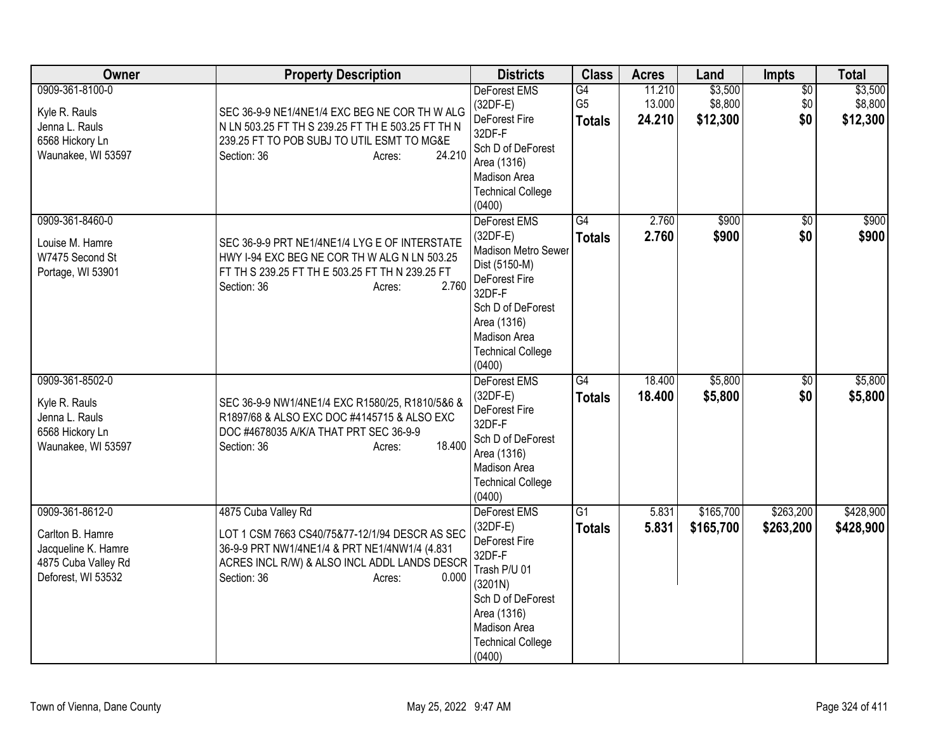| Owner                                                                                                   | <b>Property Description</b>                                                                                                                                                                              | <b>Districts</b>                                                                                                                                                                        | <b>Class</b>                          | <b>Acres</b>               | Land                           | <b>Impts</b>                  | <b>Total</b>                   |
|---------------------------------------------------------------------------------------------------------|----------------------------------------------------------------------------------------------------------------------------------------------------------------------------------------------------------|-----------------------------------------------------------------------------------------------------------------------------------------------------------------------------------------|---------------------------------------|----------------------------|--------------------------------|-------------------------------|--------------------------------|
| 0909-361-8100-0<br>Kyle R. Rauls<br>Jenna L. Rauls<br>6568 Hickory Ln<br>Waunakee, WI 53597             | SEC 36-9-9 NE1/4NE1/4 EXC BEG NE COR TH W ALG<br>N LN 503.25 FT TH S 239.25 FT TH E 503.25 FT TH N<br>239.25 FT TO POB SUBJ TO UTIL ESMT TO MG&E<br>24.210<br>Section: 36<br>Acres:                      | <b>DeForest EMS</b><br>$(32DF-E)$<br>DeForest Fire<br>32DF-F<br>Sch D of DeForest<br>Area (1316)<br>Madison Area<br><b>Technical College</b><br>(0400)                                  | G4<br>G <sub>5</sub><br><b>Totals</b> | 11.210<br>13.000<br>24.210 | \$3,500<br>\$8,800<br>\$12,300 | $\overline{50}$<br>\$0<br>\$0 | \$3,500<br>\$8,800<br>\$12,300 |
| 0909-361-8460-0<br>Louise M. Hamre<br>W7475 Second St<br>Portage, WI 53901                              | SEC 36-9-9 PRT NE1/4NE1/4 LYG E OF INTERSTATE<br>HWY I-94 EXC BEG NE COR TH W ALG N LN 503.25<br>FT TH S 239.25 FT TH E 503.25 FT TH N 239.25 FT<br>2.760<br>Section: 36<br>Acres:                       | DeForest EMS<br>$(32DF-E)$<br>Madison Metro Sewer<br>Dist (5150-M)<br>DeForest Fire<br>32DF-F<br>Sch D of DeForest<br>Area (1316)<br>Madison Area<br><b>Technical College</b><br>(0400) | G4<br><b>Totals</b>                   | 2.760<br>2.760             | \$900<br>\$900                 | $\overline{50}$<br>\$0        | \$900<br>\$900                 |
| 0909-361-8502-0<br>Kyle R. Rauls<br>Jenna L. Rauls<br>6568 Hickory Ln<br>Waunakee, WI 53597             | SEC 36-9-9 NW1/4NE1/4 EXC R1580/25, R1810/5&6 &<br>R1897/68 & ALSO EXC DOC #4145715 & ALSO EXC<br>DOC #4678035 A/K/A THAT PRT SEC 36-9-9<br>18.400<br>Section: 36<br>Acres:                              | DeForest EMS<br>$(32DF-E)$<br>DeForest Fire<br>32DF-F<br>Sch D of DeForest<br>Area (1316)<br>Madison Area<br><b>Technical College</b><br>(0400)                                         | G4<br><b>Totals</b>                   | 18.400<br>18.400           | \$5,800<br>\$5,800             | \$0<br>\$0                    | \$5,800<br>\$5,800             |
| 0909-361-8612-0<br>Carlton B. Hamre<br>Jacqueline K. Hamre<br>4875 Cuba Valley Rd<br>Deforest, WI 53532 | 4875 Cuba Valley Rd<br>LOT 1 CSM 7663 CS40/75&77-12/1/94 DESCR AS SEC<br>36-9-9 PRT NW1/4NE1/4 & PRT NE1/4NW1/4 (4.831<br>ACRES INCL R/W) & ALSO INCL ADDL LANDS DESCR<br>Section: 36<br>0.000<br>Acres: | <b>DeForest EMS</b><br>(32DF-E)<br>DeForest Fire<br>32DF-F<br>Trash P/U 01<br>(3201N)<br>Sch D of DeForest<br>Area (1316)<br>Madison Area<br><b>Technical College</b><br>(0400)         | G1<br><b>Totals</b>                   | 5.831<br>5.831             | \$165,700<br>\$165,700         | \$263,200<br>\$263,200        | \$428,900<br>\$428,900         |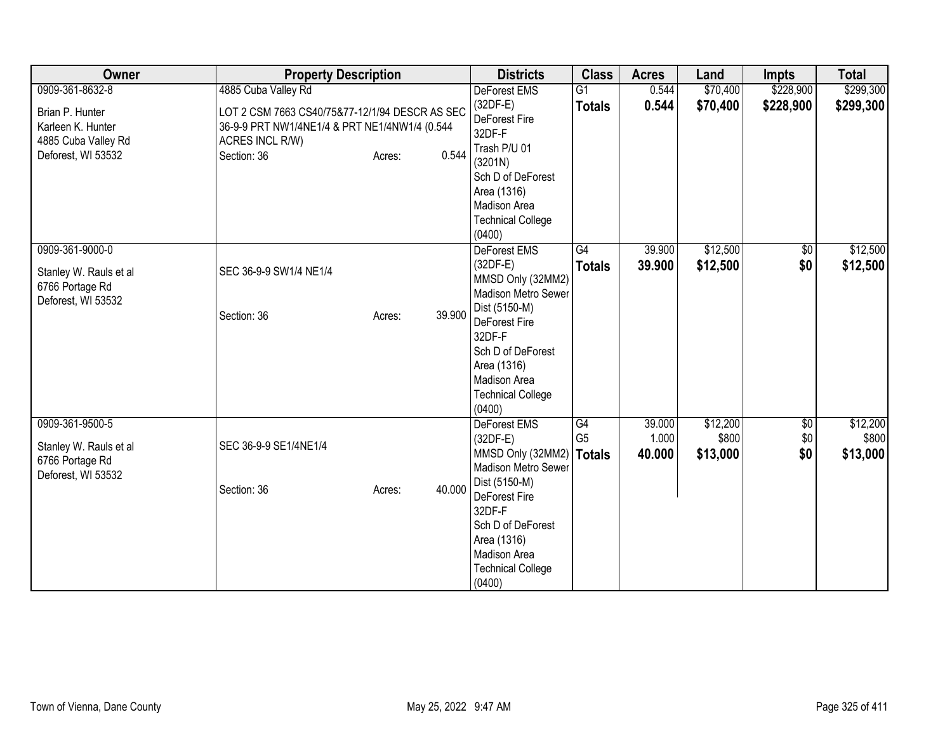| Owner                                 | <b>Property Description</b>                    | <b>Districts</b>                | <b>Class</b>   | <b>Acres</b> | Land     | <b>Impts</b> | <b>Total</b> |
|---------------------------------------|------------------------------------------------|---------------------------------|----------------|--------------|----------|--------------|--------------|
| 0909-361-8632-8                       | 4885 Cuba Valley Rd                            | DeForest EMS                    | G1             | 0.544        | \$70,400 | \$228,900    | \$299,300    |
| Brian P. Hunter                       | LOT 2 CSM 7663 CS40/75&77-12/1/94 DESCR AS SEC | $(32DF-E)$                      | <b>Totals</b>  | 0.544        | \$70,400 | \$228,900    | \$299,300    |
| Karleen K. Hunter                     | 36-9-9 PRT NW1/4NE1/4 & PRT NE1/4NW1/4 (0.544  | DeForest Fire                   |                |              |          |              |              |
| 4885 Cuba Valley Rd                   | ACRES INCL R/W)                                | 32DF-F                          |                |              |          |              |              |
| Deforest, WI 53532                    | Section: 36<br>Acres:                          | Trash P/U 01<br>0.544           |                |              |          |              |              |
|                                       |                                                | (3201N)                         |                |              |          |              |              |
|                                       |                                                | Sch D of DeForest               |                |              |          |              |              |
|                                       |                                                | Area (1316)                     |                |              |          |              |              |
|                                       |                                                | Madison Area                    |                |              |          |              |              |
|                                       |                                                | <b>Technical College</b>        |                |              |          |              |              |
|                                       |                                                | (0400)                          | G4             |              | \$12,500 |              |              |
| 0909-361-9000-0                       |                                                | DeForest EMS                    |                | 39.900       |          | \$0          | \$12,500     |
| Stanley W. Rauls et al                | SEC 36-9-9 SW1/4 NE1/4                         | $(32DF-E)$<br>MMSD Only (32MM2) | <b>Totals</b>  | 39.900       | \$12,500 | \$0          | \$12,500     |
| 6766 Portage Rd                       |                                                | Madison Metro Sewer             |                |              |          |              |              |
| Deforest, WI 53532                    |                                                | Dist (5150-M)                   |                |              |          |              |              |
|                                       | 39.900<br>Section: 36<br>Acres:                | DeForest Fire                   |                |              |          |              |              |
|                                       |                                                | 32DF-F                          |                |              |          |              |              |
|                                       |                                                | Sch D of DeForest               |                |              |          |              |              |
|                                       |                                                | Area (1316)                     |                |              |          |              |              |
|                                       |                                                | Madison Area                    |                |              |          |              |              |
|                                       |                                                | <b>Technical College</b>        |                |              |          |              |              |
|                                       |                                                | (0400)                          |                |              |          |              |              |
| 0909-361-9500-5                       |                                                | <b>DeForest EMS</b>             | G4             | 39.000       | \$12,200 | \$0          | \$12,200     |
|                                       | SEC 36-9-9 SE1/4NE1/4                          | $(32DF-E)$                      | G <sub>5</sub> | 1.000        | \$800    | \$0          | \$800        |
| Stanley W. Rauls et al                |                                                | MMSD Only (32MM2)               | <b>Totals</b>  | 40.000       | \$13,000 | \$0          | \$13,000     |
| 6766 Portage Rd<br>Deforest, WI 53532 |                                                | Madison Metro Sewer             |                |              |          |              |              |
|                                       | 40.000<br>Section: 36<br>Acres:                | Dist (5150-M)                   |                |              |          |              |              |
|                                       |                                                | DeForest Fire                   |                |              |          |              |              |
|                                       |                                                | 32DF-F                          |                |              |          |              |              |
|                                       |                                                | Sch D of DeForest               |                |              |          |              |              |
|                                       |                                                | Area (1316)                     |                |              |          |              |              |
|                                       |                                                | Madison Area                    |                |              |          |              |              |
|                                       |                                                | <b>Technical College</b>        |                |              |          |              |              |
|                                       |                                                | (0400)                          |                |              |          |              |              |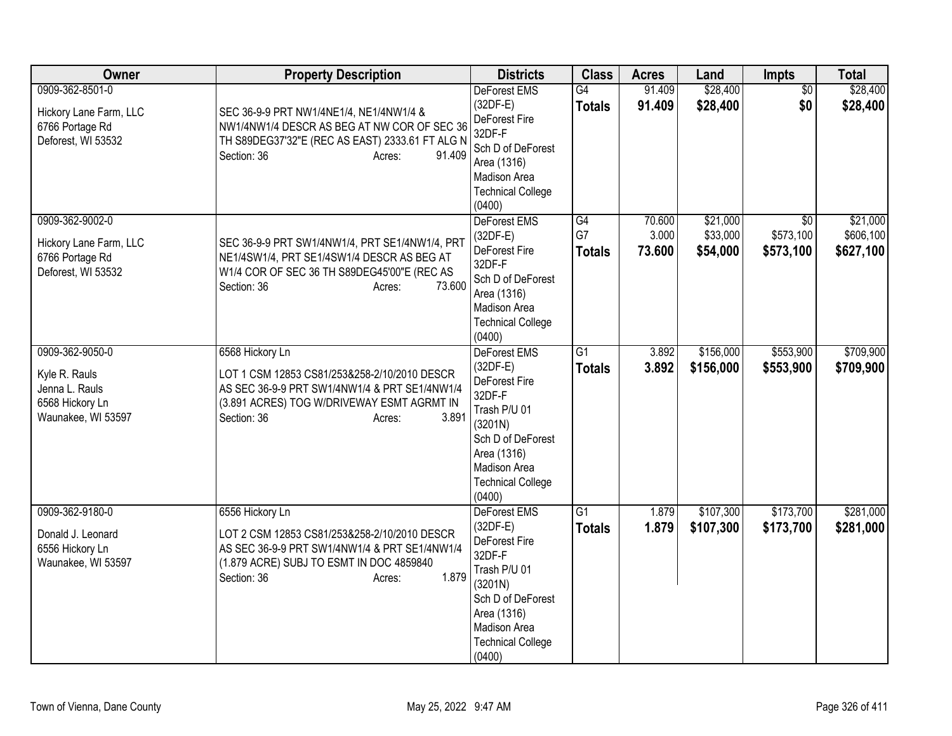| Owner                                                                                       | <b>Property Description</b>                                                                                                                                                                      | <b>Districts</b>                                                                                                                                                                  | <b>Class</b>                     | <b>Acres</b>              | Land                             | Impts                                     | <b>Total</b>                       |
|---------------------------------------------------------------------------------------------|--------------------------------------------------------------------------------------------------------------------------------------------------------------------------------------------------|-----------------------------------------------------------------------------------------------------------------------------------------------------------------------------------|----------------------------------|---------------------------|----------------------------------|-------------------------------------------|------------------------------------|
| 0909-362-8501-0<br>Hickory Lane Farm, LLC<br>6766 Portage Rd<br>Deforest, WI 53532          | SEC 36-9-9 PRT NW1/4NE1/4, NE1/4NW1/4 &<br>NW1/4NW1/4 DESCR AS BEG AT NW COR OF SEC 36<br>TH S89DEG37'32"E (REC AS EAST) 2333.61 FT ALG N<br>Section: 36<br>91.409<br>Acres:                     | DeForest EMS<br>$(32DF-E)$<br>DeForest Fire<br>32DF-F<br>Sch D of DeForest<br>Area (1316)<br>Madison Area<br><b>Technical College</b><br>(0400)                                   | G4<br><b>Totals</b>              | 91.409<br>91.409          | \$28,400<br>\$28,400             | $\overline{50}$<br>\$0                    | \$28,400<br>\$28,400               |
| 0909-362-9002-0<br>Hickory Lane Farm, LLC<br>6766 Portage Rd<br>Deforest, WI 53532          | SEC 36-9-9 PRT SW1/4NW1/4, PRT SE1/4NW1/4, PRT<br>NE1/4SW1/4, PRT SE1/4SW1/4 DESCR AS BEG AT<br>W1/4 COR OF SEC 36 TH S89DEG45'00"E (REC AS<br>73.600<br>Section: 36<br>Acres:                   | DeForest EMS<br>(32DF-E)<br>DeForest Fire<br>32DF-F<br>Sch D of DeForest<br>Area (1316)<br>Madison Area<br><b>Technical College</b><br>(0400)                                     | G4<br>G7<br><b>Totals</b>        | 70.600<br>3.000<br>73.600 | \$21,000<br>\$33,000<br>\$54,000 | $\overline{30}$<br>\$573,100<br>\$573,100 | \$21,000<br>\$606,100<br>\$627,100 |
| 0909-362-9050-0<br>Kyle R. Rauls<br>Jenna L. Rauls<br>6568 Hickory Ln<br>Waunakee, WI 53597 | 6568 Hickory Ln<br>LOT 1 CSM 12853 CS81/253&258-2/10/2010 DESCR<br>AS SEC 36-9-9 PRT SW1/4NW1/4 & PRT SE1/4NW1/4<br>(3.891 ACRES) TOG W/DRIVEWAY ESMT AGRMT IN<br>3.891<br>Section: 36<br>Acres: | <b>DeForest EMS</b><br>$(32DF-E)$<br>DeForest Fire<br>32DF-F<br>Trash P/U 01<br>(3201N)<br>Sch D of DeForest<br>Area (1316)<br>Madison Area<br><b>Technical College</b><br>(0400) | G1<br><b>Totals</b>              | 3.892<br>3.892            | \$156,000<br>\$156,000           | \$553,900<br>\$553,900                    | \$709,900<br>\$709,900             |
| 0909-362-9180-0<br>Donald J. Leonard<br>6556 Hickory Ln<br>Waunakee, WI 53597               | 6556 Hickory Ln<br>LOT 2 CSM 12853 CS81/253&258-2/10/2010 DESCR<br>AS SEC 36-9-9 PRT SW1/4NW1/4 & PRT SE1/4NW1/4<br>(1.879 ACRE) SUBJ TO ESMT IN DOC 4859840<br>1.879<br>Section: 36<br>Acres:   | <b>DeForest EMS</b><br>(32DF-E)<br>DeForest Fire<br>32DF-F<br>Trash P/U 01<br>(3201N)<br>Sch D of DeForest<br>Area (1316)<br>Madison Area<br><b>Technical College</b><br>(0400)   | $\overline{G1}$<br><b>Totals</b> | 1.879<br>1.879            | \$107,300<br>\$107,300           | \$173,700<br>\$173,700                    | \$281,000<br>\$281,000             |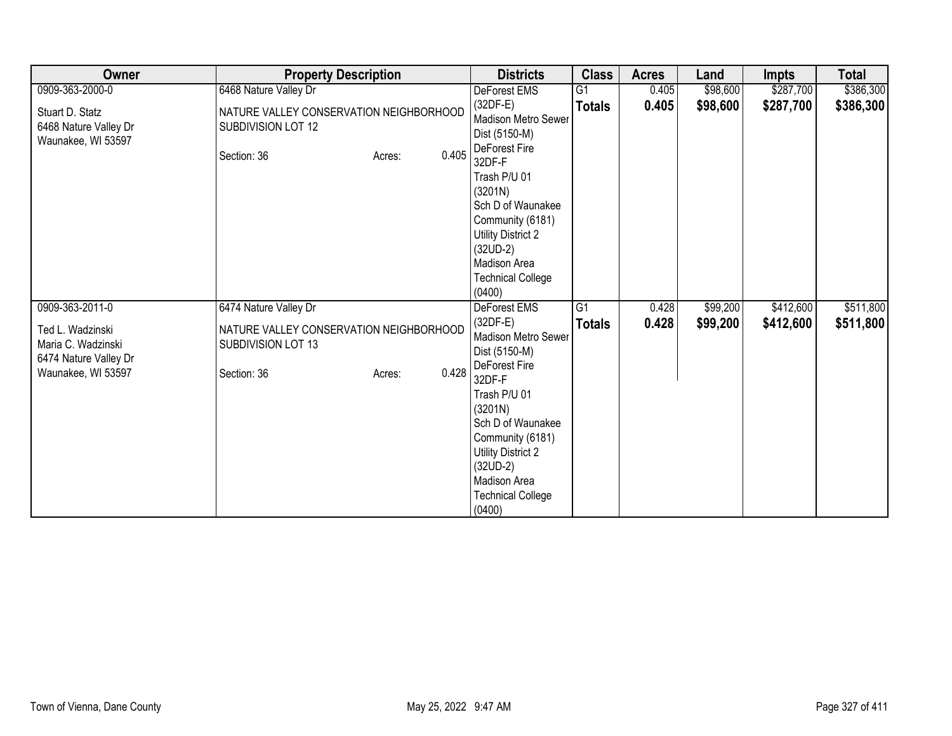| Owner                                                                                                    | <b>Property Description</b>                                                                                              | <b>Districts</b>                                                                                                                                                                                                                                                          | <b>Class</b>        | <b>Acres</b>   | Land                 | Impts                  | <b>Total</b>           |
|----------------------------------------------------------------------------------------------------------|--------------------------------------------------------------------------------------------------------------------------|---------------------------------------------------------------------------------------------------------------------------------------------------------------------------------------------------------------------------------------------------------------------------|---------------------|----------------|----------------------|------------------------|------------------------|
| 0909-363-2000-0                                                                                          | 6468 Nature Valley Dr                                                                                                    | DeForest EMS                                                                                                                                                                                                                                                              | G <sub>1</sub>      | 0.405          | \$98,600             | \$287,700              | \$386,300              |
| Stuart D. Statz<br>6468 Nature Valley Dr<br>Waunakee, WI 53597                                           | NATURE VALLEY CONSERVATION NEIGHBORHOOD<br>SUBDIVISION LOT 12<br>0.405<br>Section: 36<br>Acres:                          | $(32DF-E)$<br>Madison Metro Sewer<br>Dist (5150-M)<br>DeForest Fire<br>32DF-F<br>Trash P/U 01<br>(3201N)<br>Sch D of Waunakee<br>Community (6181)                                                                                                                         | <b>Totals</b>       | 0.405          | \$98,600             | \$287,700              | \$386,300              |
|                                                                                                          |                                                                                                                          | <b>Utility District 2</b><br>$(32UD-2)$<br>Madison Area<br><b>Technical College</b><br>(0400)                                                                                                                                                                             |                     |                |                      |                        |                        |
| 0909-363-2011-0<br>Ted L. Wadzinski<br>Maria C. Wadzinski<br>6474 Nature Valley Dr<br>Waunakee, WI 53597 | 6474 Nature Valley Dr<br>NATURE VALLEY CONSERVATION NEIGHBORHOOD<br>SUBDIVISION LOT 13<br>0.428<br>Section: 36<br>Acres: | <b>DeForest EMS</b><br>$(32DF-E)$<br>Madison Metro Sewer<br>Dist (5150-M)<br>DeForest Fire<br>32DF-F<br>Trash P/U 01<br>(3201N)<br>Sch D of Waunakee<br>Community (6181)<br><b>Utility District 2</b><br>$(32UD-2)$<br>Madison Area<br><b>Technical College</b><br>(0400) | G1<br><b>Totals</b> | 0.428<br>0.428 | \$99,200<br>\$99,200 | \$412,600<br>\$412,600 | \$511,800<br>\$511,800 |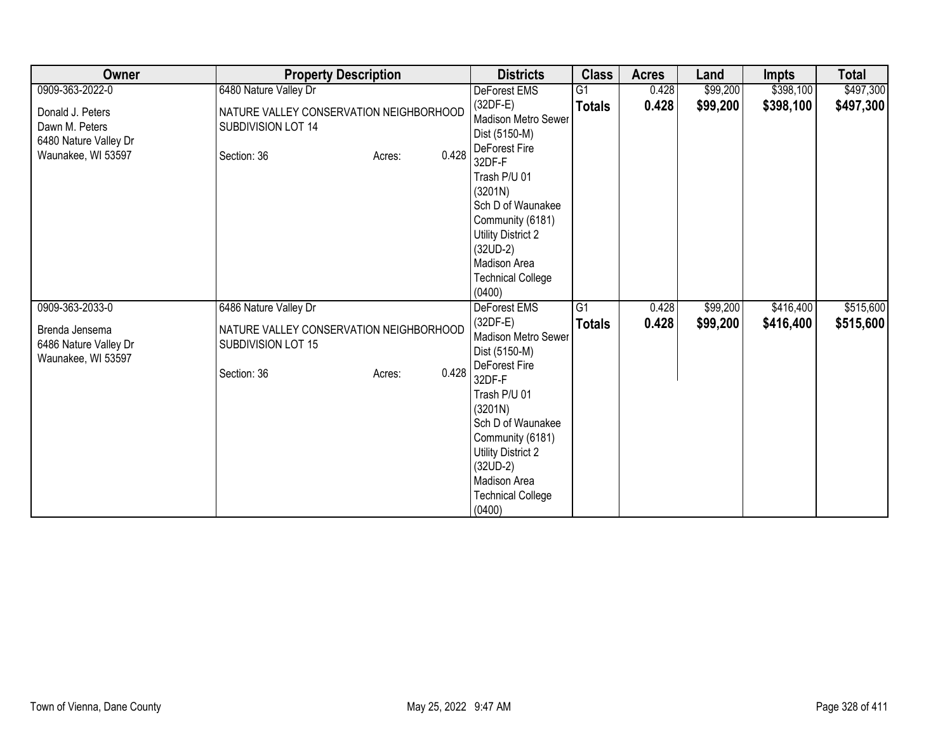| Owner                                                                             | <b>Property Description</b>                                                                     | <b>Districts</b>                                                                                                                                                            | <b>Class</b>    | <b>Acres</b> | Land     | <b>Impts</b> | <b>Total</b> |
|-----------------------------------------------------------------------------------|-------------------------------------------------------------------------------------------------|-----------------------------------------------------------------------------------------------------------------------------------------------------------------------------|-----------------|--------------|----------|--------------|--------------|
| 0909-363-2022-0                                                                   | 6480 Nature Valley Dr                                                                           | DeForest EMS                                                                                                                                                                | $\overline{G1}$ | 0.428        | \$99,200 | \$398,100    | \$497,300    |
| Donald J. Peters<br>Dawn M. Peters<br>6480 Nature Valley Dr<br>Waunakee, WI 53597 | NATURE VALLEY CONSERVATION NEIGHBORHOOD<br>SUBDIVISION LOT 14<br>0.428<br>Section: 36<br>Acres: | $(32DF-E)$<br>Madison Metro Sewer<br>Dist (5150-M)<br>DeForest Fire<br>32DF-F                                                                                               | <b>Totals</b>   | 0.428        | \$99,200 | \$398,100    | \$497,300    |
|                                                                                   |                                                                                                 | Trash P/U 01<br>(3201N)<br>Sch D of Waunakee<br>Community (6181)<br><b>Utility District 2</b><br>$(32UD-2)$<br>Madison Area<br><b>Technical College</b><br>(0400)           |                 |              |          |              |              |
| 0909-363-2033-0                                                                   | 6486 Nature Valley Dr                                                                           | <b>DeForest EMS</b>                                                                                                                                                         | G1              | 0.428        | \$99,200 | \$416,400    | \$515,600    |
| Brenda Jensema<br>6486 Nature Valley Dr<br>Waunakee, WI 53597                     | NATURE VALLEY CONSERVATION NEIGHBORHOOD<br>SUBDIVISION LOT 15<br>0.428<br>Section: 36<br>Acres: | $(32DF-E)$<br>Madison Metro Sewer<br>Dist (5150-M)<br>DeForest Fire                                                                                                         | <b>Totals</b>   | 0.428        | \$99,200 | \$416,400    | \$515,600    |
|                                                                                   |                                                                                                 | 32DF-F<br>Trash P/U 01<br>(3201N)<br>Sch D of Waunakee<br>Community (6181)<br><b>Utility District 2</b><br>$(32UD-2)$<br>Madison Area<br><b>Technical College</b><br>(0400) |                 |              |          |              |              |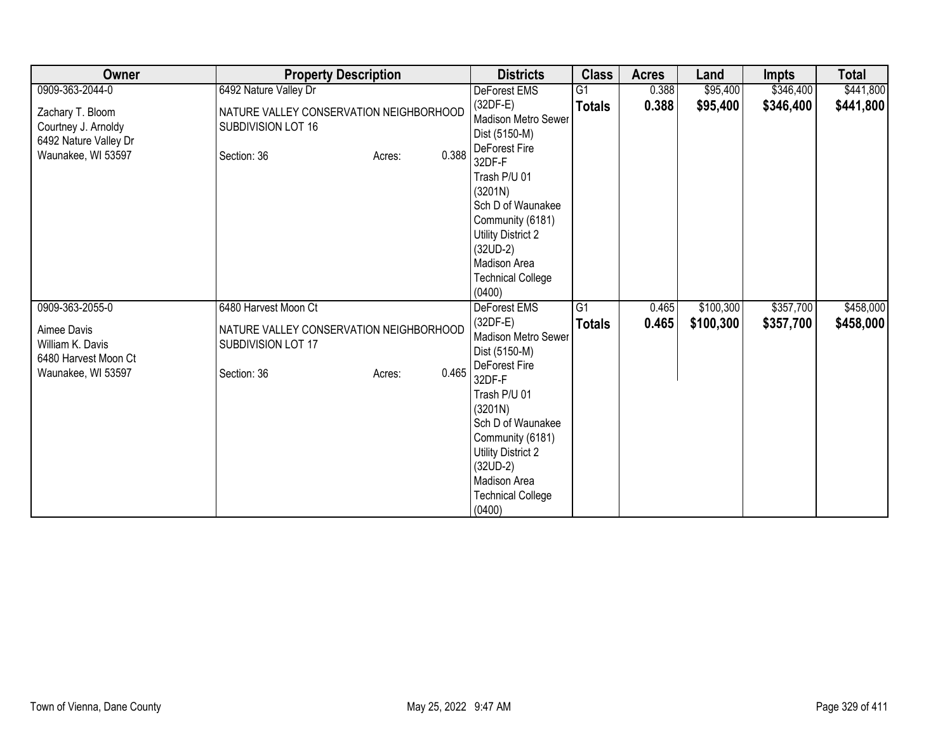| Owner                                                                                  | <b>Property Description</b>                                                                     | <b>Districts</b>                                                                                                                                                                                                                                   | <b>Class</b>    | <b>Acres</b> | Land      | <b>Impts</b> | <b>Total</b> |
|----------------------------------------------------------------------------------------|-------------------------------------------------------------------------------------------------|----------------------------------------------------------------------------------------------------------------------------------------------------------------------------------------------------------------------------------------------------|-----------------|--------------|-----------|--------------|--------------|
| 0909-363-2044-0                                                                        | 6492 Nature Valley Dr                                                                           | DeForest EMS                                                                                                                                                                                                                                       | $\overline{G1}$ | 0.388        | \$95,400  | \$346,400    | \$441,800    |
| Zachary T. Bloom<br>Courtney J. Arnoldy<br>6492 Nature Valley Dr<br>Waunakee, WI 53597 | NATURE VALLEY CONSERVATION NEIGHBORHOOD<br>SUBDIVISION LOT 16<br>0.388<br>Section: 36<br>Acres: | $(32DF-E)$<br>Madison Metro Sewer<br>Dist (5150-M)<br>DeForest Fire<br>32DF-F                                                                                                                                                                      | <b>Totals</b>   | 0.388        | \$95,400  | \$346,400    | \$441,800    |
|                                                                                        |                                                                                                 | Trash P/U 01<br>(3201N)<br>Sch D of Waunakee<br>Community (6181)<br><b>Utility District 2</b><br>$(32UD-2)$<br>Madison Area<br><b>Technical College</b><br>(0400)                                                                                  |                 |              |           |              |              |
| 0909-363-2055-0                                                                        | 6480 Harvest Moon Ct                                                                            | <b>DeForest EMS</b>                                                                                                                                                                                                                                | G1              | 0.465        | \$100,300 | \$357,700    | \$458,000    |
| Aimee Davis<br>William K. Davis<br>6480 Harvest Moon Ct<br>Waunakee, WI 53597          | NATURE VALLEY CONSERVATION NEIGHBORHOOD<br>SUBDIVISION LOT 17<br>0.465<br>Section: 36<br>Acres: | $(32DF-E)$<br>Madison Metro Sewer<br>Dist (5150-M)<br>DeForest Fire<br>32DF-F<br>Trash P/U 01<br>(3201N)<br>Sch D of Waunakee<br>Community (6181)<br><b>Utility District 2</b><br>$(32UD-2)$<br>Madison Area<br><b>Technical College</b><br>(0400) | <b>Totals</b>   | 0.465        | \$100,300 | \$357,700    | \$458,000    |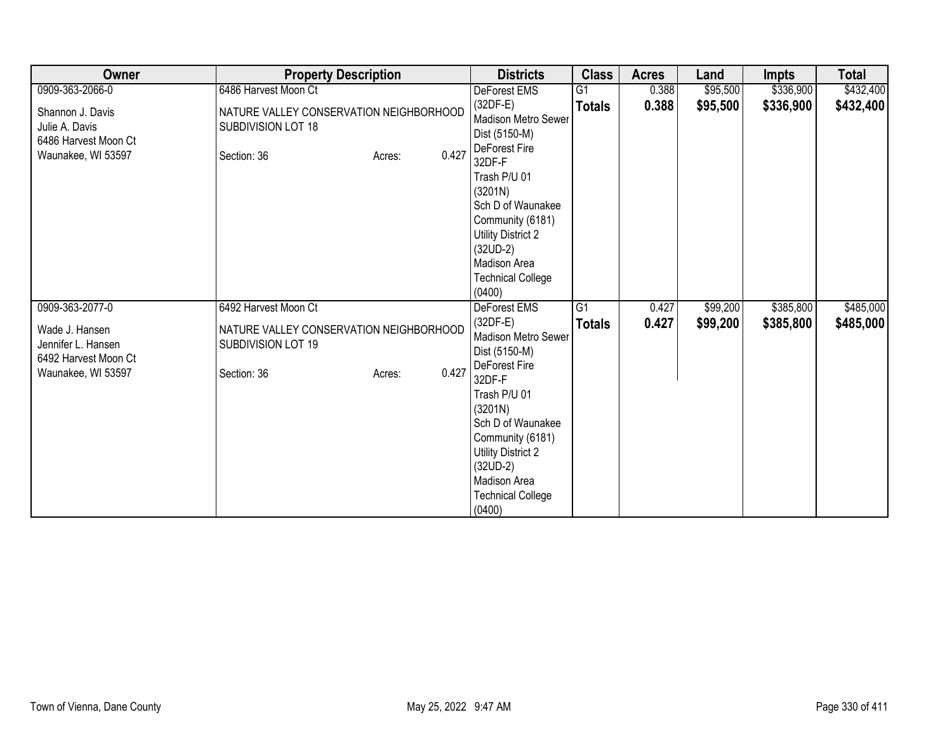| Owner                                                                                                 | <b>Property Description</b>                                                                                             | <b>Districts</b>                                                                                                                                                                                                                                                          | <b>Class</b>        | <b>Acres</b>   | Land                 | Impts                  | <b>Total</b>           |
|-------------------------------------------------------------------------------------------------------|-------------------------------------------------------------------------------------------------------------------------|---------------------------------------------------------------------------------------------------------------------------------------------------------------------------------------------------------------------------------------------------------------------------|---------------------|----------------|----------------------|------------------------|------------------------|
| 0909-363-2066-0                                                                                       | 6486 Harvest Moon Ct                                                                                                    | DeForest EMS                                                                                                                                                                                                                                                              | G <sub>1</sub>      | 0.388          | \$95,500             | \$336,900              | \$432,400              |
| Shannon J. Davis<br>Julie A. Davis<br>6486 Harvest Moon Ct<br>Waunakee, WI 53597                      | NATURE VALLEY CONSERVATION NEIGHBORHOOD<br>SUBDIVISION LOT 18<br>0.427<br>Section: 36<br>Acres:                         | $(32DF-E)$<br>Madison Metro Sewer<br>Dist (5150-M)<br>DeForest Fire<br>32DF-F<br>Trash P/U 01<br>(3201N)<br>Sch D of Waunakee<br>Community (6181)<br><b>Utility District 2</b><br>$(32UD-2)$<br>Madison Area<br><b>Technical College</b>                                  | <b>Totals</b>       | 0.388          | \$95,500             | \$336,900              | \$432,400              |
|                                                                                                       |                                                                                                                         | (0400)                                                                                                                                                                                                                                                                    |                     |                |                      |                        |                        |
| 0909-363-2077-0<br>Wade J. Hansen<br>Jennifer L. Hansen<br>6492 Harvest Moon Ct<br>Waunakee, WI 53597 | 6492 Harvest Moon Ct<br>NATURE VALLEY CONSERVATION NEIGHBORHOOD<br>SUBDIVISION LOT 19<br>0.427<br>Section: 36<br>Acres: | <b>DeForest EMS</b><br>$(32DF-E)$<br>Madison Metro Sewer<br>Dist (5150-M)<br>DeForest Fire<br>32DF-F<br>Trash P/U 01<br>(3201N)<br>Sch D of Waunakee<br>Community (6181)<br><b>Utility District 2</b><br>$(32UD-2)$<br>Madison Area<br><b>Technical College</b><br>(0400) | G1<br><b>Totals</b> | 0.427<br>0.427 | \$99,200<br>\$99,200 | \$385,800<br>\$385,800 | \$485,000<br>\$485,000 |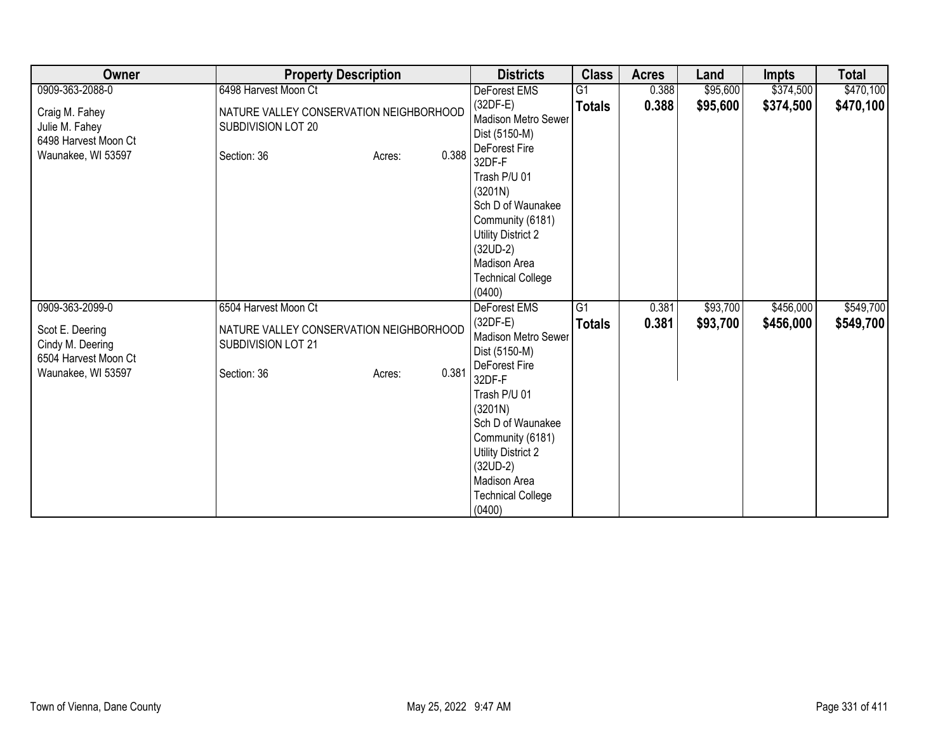| Owner                                                                             | <b>Property Description</b>                                                                     | <b>Districts</b>                                                                                                                                                                                                                                   | <b>Class</b>    | <b>Acres</b> | Land     | <b>Impts</b> | <b>Total</b> |
|-----------------------------------------------------------------------------------|-------------------------------------------------------------------------------------------------|----------------------------------------------------------------------------------------------------------------------------------------------------------------------------------------------------------------------------------------------------|-----------------|--------------|----------|--------------|--------------|
| 0909-363-2088-0                                                                   | 6498 Harvest Moon Ct                                                                            | DeForest EMS                                                                                                                                                                                                                                       | $\overline{G1}$ | 0.388        | \$95,600 | \$374,500    | \$470,100    |
| Craig M. Fahey<br>Julie M. Fahey<br>6498 Harvest Moon Ct<br>Waunakee, WI 53597    | NATURE VALLEY CONSERVATION NEIGHBORHOOD<br>SUBDIVISION LOT 20<br>0.388<br>Section: 36<br>Acres: | $(32DF-E)$<br>Madison Metro Sewer<br>Dist (5150-M)<br>DeForest Fire<br>32DF-F                                                                                                                                                                      | <b>Totals</b>   | 0.388        | \$95,600 | \$374,500    | \$470,100    |
|                                                                                   |                                                                                                 | Trash P/U 01<br>(3201N)<br>Sch D of Waunakee<br>Community (6181)<br><b>Utility District 2</b><br>$(32UD-2)$<br>Madison Area<br><b>Technical College</b><br>(0400)                                                                                  |                 |              |          |              |              |
| 0909-363-2099-0                                                                   | 6504 Harvest Moon Ct                                                                            | <b>DeForest EMS</b>                                                                                                                                                                                                                                | G1              | 0.381        | \$93,700 | \$456,000    | \$549,700    |
| Scot E. Deering<br>Cindy M. Deering<br>6504 Harvest Moon Ct<br>Waunakee, WI 53597 | NATURE VALLEY CONSERVATION NEIGHBORHOOD<br>SUBDIVISION LOT 21<br>0.381<br>Section: 36<br>Acres: | $(32DF-E)$<br>Madison Metro Sewer<br>Dist (5150-M)<br>DeForest Fire<br>32DF-F<br>Trash P/U 01<br>(3201N)<br>Sch D of Waunakee<br>Community (6181)<br><b>Utility District 2</b><br>$(32UD-2)$<br>Madison Area<br><b>Technical College</b><br>(0400) | <b>Totals</b>   | 0.381        | \$93,700 | \$456,000    | \$549,700    |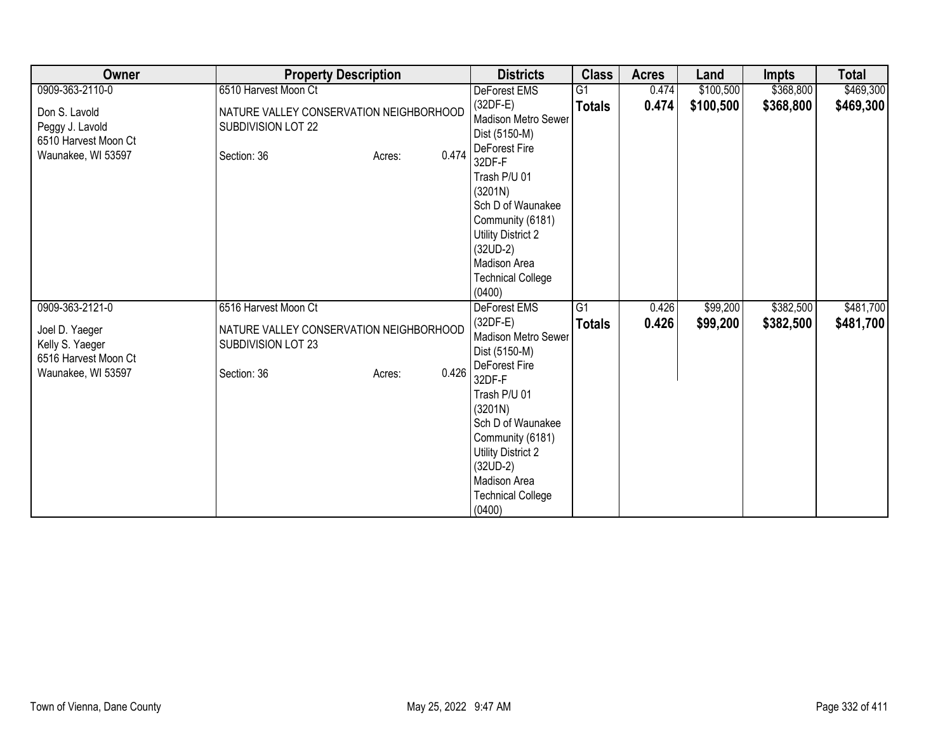| Owner                                                                           | <b>Property Description</b>                                                                     | <b>Districts</b>                                                                                                                                                                                                                                   | <b>Class</b>    | <b>Acres</b> | Land      | <b>Impts</b> | <b>Total</b> |
|---------------------------------------------------------------------------------|-------------------------------------------------------------------------------------------------|----------------------------------------------------------------------------------------------------------------------------------------------------------------------------------------------------------------------------------------------------|-----------------|--------------|-----------|--------------|--------------|
| 0909-363-2110-0                                                                 | 6510 Harvest Moon Ct                                                                            | DeForest EMS                                                                                                                                                                                                                                       | $\overline{G1}$ | 0.474        | \$100,500 | \$368,800    | \$469,300    |
| Don S. Lavold<br>Peggy J. Lavold<br>6510 Harvest Moon Ct<br>Waunakee, WI 53597  | NATURE VALLEY CONSERVATION NEIGHBORHOOD<br>SUBDIVISION LOT 22<br>0.474<br>Section: 36<br>Acres: | $(32DF-E)$<br>Madison Metro Sewer<br>Dist (5150-M)<br>DeForest Fire<br>32DF-F                                                                                                                                                                      | <b>Totals</b>   | 0.474        | \$100,500 | \$368,800    | \$469,300    |
|                                                                                 |                                                                                                 | Trash P/U 01<br>(3201N)<br>Sch D of Waunakee<br>Community (6181)<br><b>Utility District 2</b><br>$(32UD-2)$<br>Madison Area<br><b>Technical College</b><br>(0400)                                                                                  |                 |              |           |              |              |
| 0909-363-2121-0                                                                 | 6516 Harvest Moon Ct                                                                            | <b>DeForest EMS</b>                                                                                                                                                                                                                                | G1              | 0.426        | \$99,200  | \$382,500    | \$481,700    |
| Joel D. Yaeger<br>Kelly S. Yaeger<br>6516 Harvest Moon Ct<br>Waunakee, WI 53597 | NATURE VALLEY CONSERVATION NEIGHBORHOOD<br>SUBDIVISION LOT 23<br>0.426<br>Section: 36<br>Acres: | $(32DF-E)$<br>Madison Metro Sewer<br>Dist (5150-M)<br>DeForest Fire<br>32DF-F<br>Trash P/U 01<br>(3201N)<br>Sch D of Waunakee<br>Community (6181)<br><b>Utility District 2</b><br>$(32UD-2)$<br>Madison Area<br><b>Technical College</b><br>(0400) | <b>Totals</b>   | 0.426        | \$99,200  | \$382,500    | \$481,700    |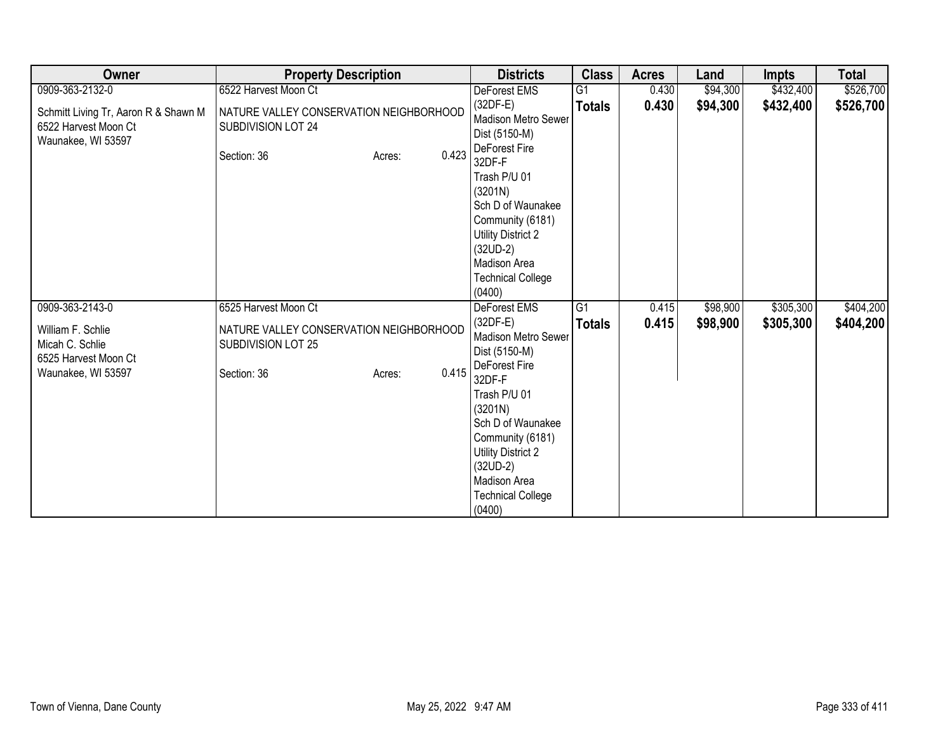| Owner                                                                              | <b>Property Description</b>                                                  |                 | <b>Districts</b>                                                                                                                                                  | <b>Class</b>    | <b>Acres</b> | Land     | <b>Impts</b> | <b>Total</b> |
|------------------------------------------------------------------------------------|------------------------------------------------------------------------------|-----------------|-------------------------------------------------------------------------------------------------------------------------------------------------------------------|-----------------|--------------|----------|--------------|--------------|
| 0909-363-2132-0                                                                    | 6522 Harvest Moon Ct                                                         |                 | DeForest EMS                                                                                                                                                      | $\overline{G1}$ | 0.430        | \$94,300 | \$432,400    | \$526,700    |
| Schmitt Living Tr, Aaron R & Shawn M<br>6522 Harvest Moon Ct<br>Waunakee, WI 53597 | NATURE VALLEY CONSERVATION NEIGHBORHOOD<br>SUBDIVISION LOT 24<br>Section: 36 | 0.423<br>Acres: | $(32DF-E)$<br><b>Madison Metro Sewer</b><br>Dist (5150-M)<br>DeForest Fire<br>32DF-F                                                                              | <b>Totals</b>   | 0.430        | \$94,300 | \$432,400    | \$526,700    |
|                                                                                    |                                                                              |                 | Trash P/U 01<br>(3201N)<br>Sch D of Waunakee<br>Community (6181)<br><b>Utility District 2</b><br>$(32UD-2)$<br>Madison Area<br><b>Technical College</b><br>(0400) |                 |              |          |              |              |
| 0909-363-2143-0                                                                    | 6525 Harvest Moon Ct                                                         |                 | <b>DeForest EMS</b>                                                                                                                                               | $\overline{G1}$ | 0.415        | \$98,900 | \$305,300    | \$404,200    |
| William F. Schlie<br>Micah C. Schlie<br>6525 Harvest Moon Ct<br>Waunakee, WI 53597 | NATURE VALLEY CONSERVATION NEIGHBORHOOD<br>SUBDIVISION LOT 25<br>Section: 36 | 0.415<br>Acres: | $(32DF-E)$<br>Madison Metro Sewer<br>Dist (5150-M)<br>DeForest Fire<br>32DF-F<br>Trash P/U 01<br>(3201N)                                                          | <b>Totals</b>   | 0.415        | \$98,900 | \$305,300    | \$404,200    |
|                                                                                    |                                                                              |                 | Sch D of Waunakee<br>Community (6181)<br><b>Utility District 2</b><br>$(32UD-2)$<br>Madison Area<br><b>Technical College</b><br>(0400)                            |                 |              |          |              |              |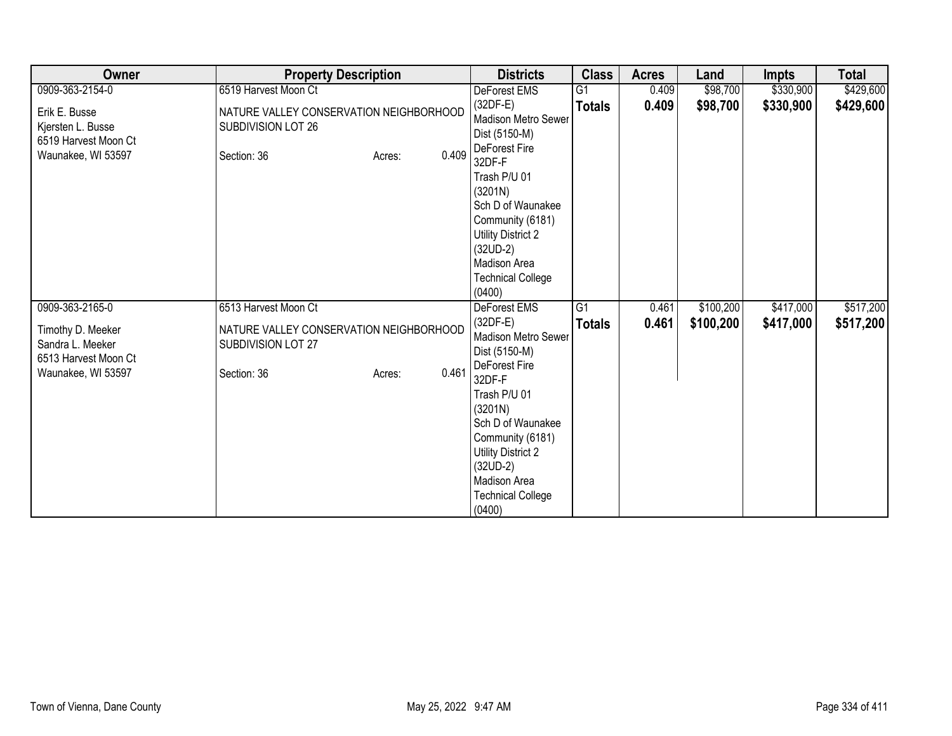| Owner                                                                                                  | <b>Property Description</b>                                                                                             | <b>Districts</b>                                                                                                                                                                                                                                                          | <b>Class</b>                     | <b>Acres</b>   | Land                   | <b>Impts</b>           | <b>Total</b>           |
|--------------------------------------------------------------------------------------------------------|-------------------------------------------------------------------------------------------------------------------------|---------------------------------------------------------------------------------------------------------------------------------------------------------------------------------------------------------------------------------------------------------------------------|----------------------------------|----------------|------------------------|------------------------|------------------------|
| 0909-363-2154-0                                                                                        | 6519 Harvest Moon Ct                                                                                                    | DeForest EMS                                                                                                                                                                                                                                                              | G1                               | 0.409          | \$98,700               | \$330,900              | \$429,600              |
| Erik E. Busse<br>Kjersten L. Busse<br>6519 Harvest Moon Ct<br>Waunakee, WI 53597                       | NATURE VALLEY CONSERVATION NEIGHBORHOOD<br>SUBDIVISION LOT 26<br>0.409<br>Section: 36<br>Acres:                         | $(32DF-E)$<br>Madison Metro Sewer<br>Dist (5150-M)<br>DeForest Fire<br>32DF-F<br>Trash P/U 01<br>(3201N)<br>Sch D of Waunakee<br>Community (6181)<br>Utility District 2<br>$(32UD-2)$<br>Madison Area                                                                     | <b>Totals</b>                    | 0.409          | \$98,700               | \$330,900              | \$429,600              |
|                                                                                                        |                                                                                                                         | <b>Technical College</b><br>(0400)                                                                                                                                                                                                                                        |                                  |                |                        |                        |                        |
| 0909-363-2165-0<br>Timothy D. Meeker<br>Sandra L. Meeker<br>6513 Harvest Moon Ct<br>Waunakee, WI 53597 | 6513 Harvest Moon Ct<br>NATURE VALLEY CONSERVATION NEIGHBORHOOD<br>SUBDIVISION LOT 27<br>0.461<br>Section: 36<br>Acres: | <b>DeForest EMS</b><br>$(32DF-E)$<br>Madison Metro Sewer<br>Dist (5150-M)<br>DeForest Fire<br>32DF-F<br>Trash P/U 01<br>(3201N)<br>Sch D of Waunakee<br>Community (6181)<br><b>Utility District 2</b><br>$(32UD-2)$<br>Madison Area<br><b>Technical College</b><br>(0400) | $\overline{G1}$<br><b>Totals</b> | 0.461<br>0.461 | \$100,200<br>\$100,200 | \$417,000<br>\$417,000 | \$517,200<br>\$517,200 |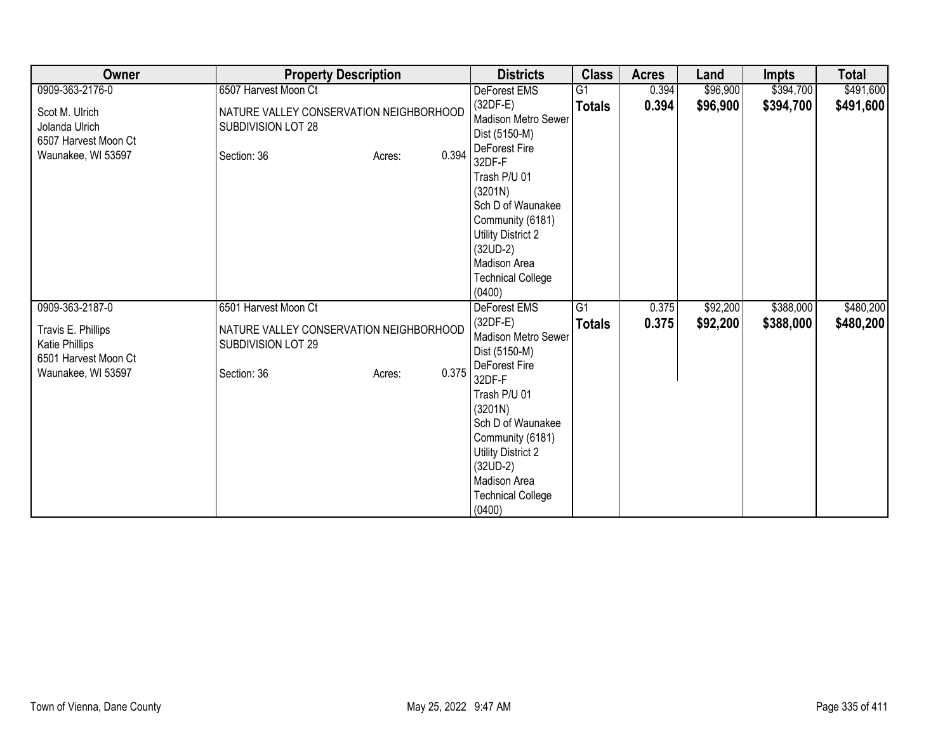| Owner                                                                                     | <b>Property Description</b>                                                                     | <b>Districts</b>                                                                                                                                                                                                                            | <b>Class</b>  | <b>Acres</b> | Land     | <b>Impts</b> | <b>Total</b> |
|-------------------------------------------------------------------------------------------|-------------------------------------------------------------------------------------------------|---------------------------------------------------------------------------------------------------------------------------------------------------------------------------------------------------------------------------------------------|---------------|--------------|----------|--------------|--------------|
| 0909-363-2176-0                                                                           | 6507 Harvest Moon Ct                                                                            | DeForest EMS                                                                                                                                                                                                                                | G1            | 0.394        | \$96,900 | \$394,700    | \$491,600    |
| Scot M. Ulrich<br>Jolanda Ulrich<br>6507 Harvest Moon Ct<br>Waunakee, WI 53597            | NATURE VALLEY CONSERVATION NEIGHBORHOOD<br>SUBDIVISION LOT 28<br>0.394<br>Section: 36<br>Acres: | $(32DF-E)$<br>Madison Metro Sewer<br>Dist (5150-M)<br>DeForest Fire                                                                                                                                                                         | <b>Totals</b> | 0.394        | \$96,900 | \$394,700    | \$491,600    |
|                                                                                           |                                                                                                 | 32DF-F<br>Trash P/U 01<br>(3201N)<br>Sch D of Waunakee<br>Community (6181)<br>Utility District 2<br>$(32UD-2)$<br>Madison Area<br><b>Technical College</b><br>(0400)                                                                        |               |              |          |              |              |
| 0909-363-2187-0                                                                           | 6501 Harvest Moon Ct                                                                            | <b>DeForest EMS</b>                                                                                                                                                                                                                         | G1            | 0.375        | \$92,200 | \$388,000    | \$480,200    |
| Travis E. Phillips<br><b>Katie Phillips</b><br>6501 Harvest Moon Ct<br>Waunakee, WI 53597 | NATURE VALLEY CONSERVATION NEIGHBORHOOD<br>SUBDIVISION LOT 29<br>0.375<br>Section: 36<br>Acres: | $(32DF-E)$<br>Madison Metro Sewer<br>Dist (5150-M)<br>DeForest Fire<br>32DF-F<br>Trash P/U 01<br>(3201N)<br>Sch D of Waunakee<br>Community (6181)<br>Utility District 2<br>$(32UD-2)$<br>Madison Area<br><b>Technical College</b><br>(0400) | <b>Totals</b> | 0.375        | \$92,200 | \$388,000    | \$480,200    |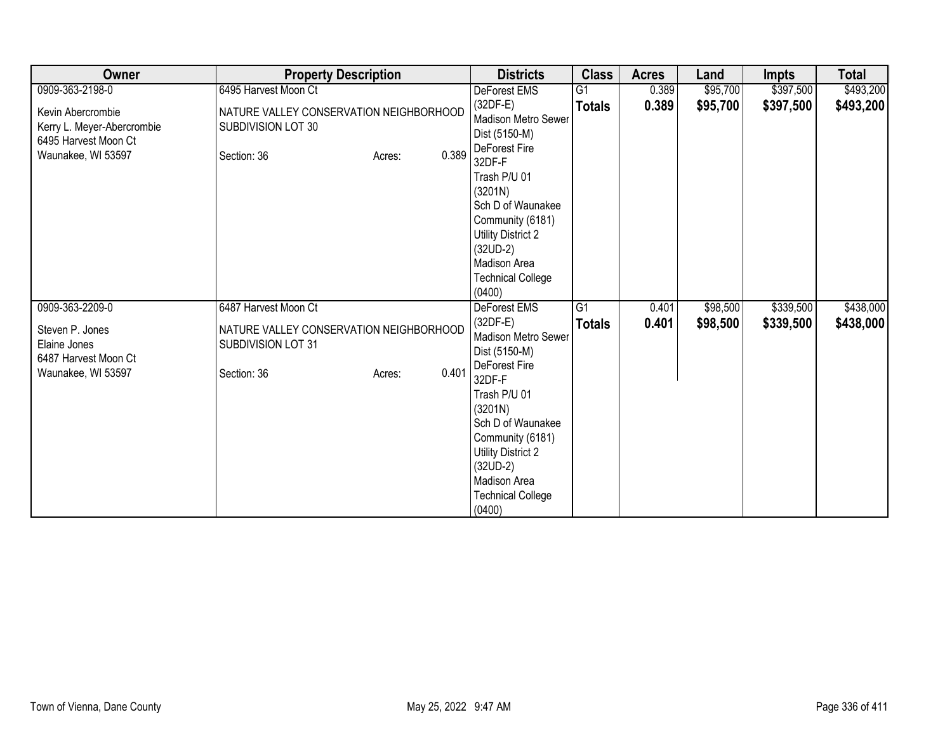| Owner                                                                                         | <b>Property Description</b>                                                                     | <b>Districts</b>                                                                                                                                                                                                                                   | <b>Class</b>   | <b>Acres</b> | Land     | Impts     | <b>Total</b> |
|-----------------------------------------------------------------------------------------------|-------------------------------------------------------------------------------------------------|----------------------------------------------------------------------------------------------------------------------------------------------------------------------------------------------------------------------------------------------------|----------------|--------------|----------|-----------|--------------|
| 0909-363-2198-0                                                                               | 6495 Harvest Moon Ct                                                                            | DeForest EMS                                                                                                                                                                                                                                       | G <sub>1</sub> | 0.389        | \$95,700 | \$397,500 | \$493,200    |
| Kevin Abercrombie<br>Kerry L. Meyer-Abercrombie<br>6495 Harvest Moon Ct<br>Waunakee, WI 53597 | NATURE VALLEY CONSERVATION NEIGHBORHOOD<br>SUBDIVISION LOT 30<br>0.389<br>Section: 36<br>Acres: | $(32DF-E)$<br>Madison Metro Sewer<br>Dist (5150-M)<br>DeForest Fire<br>32DF-F                                                                                                                                                                      | <b>Totals</b>  | 0.389        | \$95,700 | \$397,500 | \$493,200    |
|                                                                                               |                                                                                                 | Trash P/U 01<br>(3201N)<br>Sch D of Waunakee<br>Community (6181)<br><b>Utility District 2</b><br>$(32UD-2)$<br>Madison Area<br><b>Technical College</b><br>(0400)                                                                                  |                |              |          |           |              |
| 0909-363-2209-0                                                                               | 6487 Harvest Moon Ct                                                                            | <b>DeForest EMS</b>                                                                                                                                                                                                                                | G1             | 0.401        | \$98,500 | \$339,500 | \$438,000    |
| Steven P. Jones<br>Elaine Jones<br>6487 Harvest Moon Ct<br>Waunakee, WI 53597                 | NATURE VALLEY CONSERVATION NEIGHBORHOOD<br>SUBDIVISION LOT 31<br>0.401<br>Section: 36<br>Acres: | $(32DF-E)$<br>Madison Metro Sewer<br>Dist (5150-M)<br>DeForest Fire<br>32DF-F<br>Trash P/U 01<br>(3201N)<br>Sch D of Waunakee<br>Community (6181)<br><b>Utility District 2</b><br>$(32UD-2)$<br>Madison Area<br><b>Technical College</b><br>(0400) | <b>Totals</b>  | 0.401        | \$98,500 | \$339,500 | \$438,000    |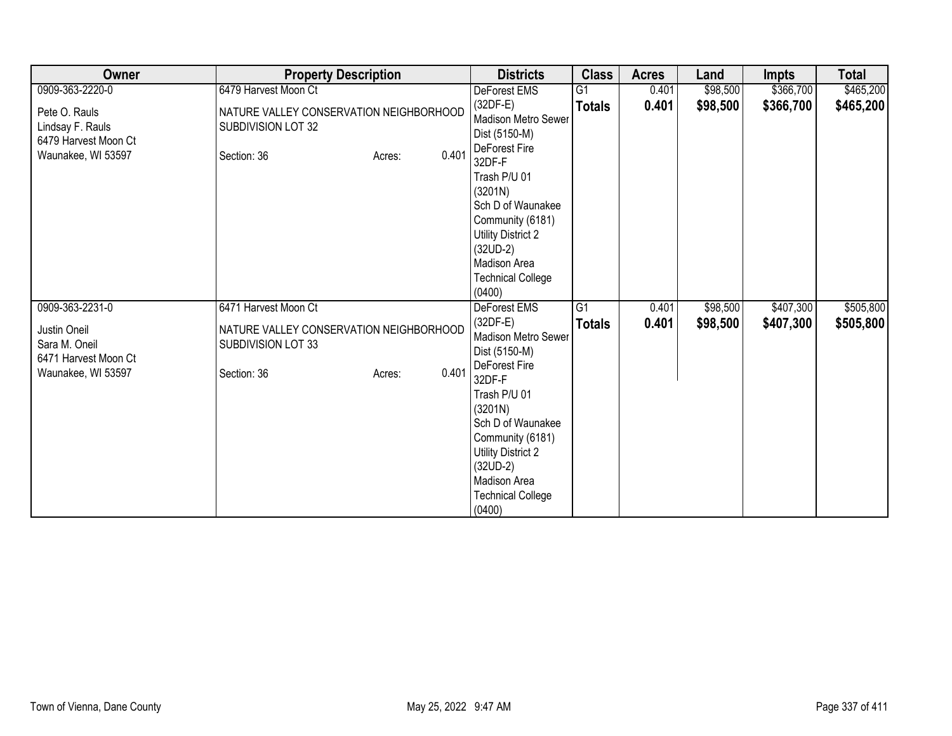| Owner                                                                           | <b>Property Description</b>                                                                     | <b>Districts</b>                                                                                                                                                     | <b>Class</b>  | <b>Acres</b> | Land     | <b>Impts</b> | <b>Total</b> |
|---------------------------------------------------------------------------------|-------------------------------------------------------------------------------------------------|----------------------------------------------------------------------------------------------------------------------------------------------------------------------|---------------|--------------|----------|--------------|--------------|
| 0909-363-2220-0                                                                 | 6479 Harvest Moon Ct                                                                            | DeForest EMS                                                                                                                                                         | G1            | 0.401        | \$98,500 | \$366,700    | \$465,200    |
| Pete O. Rauls<br>Lindsay F. Rauls<br>6479 Harvest Moon Ct<br>Waunakee, WI 53597 | NATURE VALLEY CONSERVATION NEIGHBORHOOD<br>SUBDIVISION LOT 32<br>0.401<br>Section: 36<br>Acres: | $(32DF-E)$<br>Madison Metro Sewer<br>Dist (5150-M)<br>DeForest Fire                                                                                                  | <b>Totals</b> | 0.401        | \$98,500 | \$366,700    | \$465,200    |
|                                                                                 |                                                                                                 | 32DF-F<br>Trash P/U 01<br>(3201N)<br>Sch D of Waunakee<br>Community (6181)<br>Utility District 2<br>$(32UD-2)$<br>Madison Area<br><b>Technical College</b><br>(0400) |               |              |          |              |              |
| 0909-363-2231-0                                                                 | 6471 Harvest Moon Ct                                                                            | <b>DeForest EMS</b>                                                                                                                                                  | G1            | 0.401        | \$98,500 | \$407,300    | \$505,800    |
| Justin Oneil<br>Sara M. Oneil<br>6471 Harvest Moon Ct                           | NATURE VALLEY CONSERVATION NEIGHBORHOOD<br>SUBDIVISION LOT 33                                   | $(32DF-E)$<br>Madison Metro Sewer<br>Dist (5150-M)<br>DeForest Fire                                                                                                  | <b>Totals</b> | 0.401        | \$98,500 | \$407,300    | \$505,800    |
| Waunakee, WI 53597                                                              | 0.401<br>Section: 36<br>Acres:                                                                  | 32DF-F<br>Trash P/U 01<br>(3201N)<br>Sch D of Waunakee<br>Community (6181)<br>Utility District 2<br>$(32UD-2)$<br>Madison Area<br><b>Technical College</b><br>(0400) |               |              |          |              |              |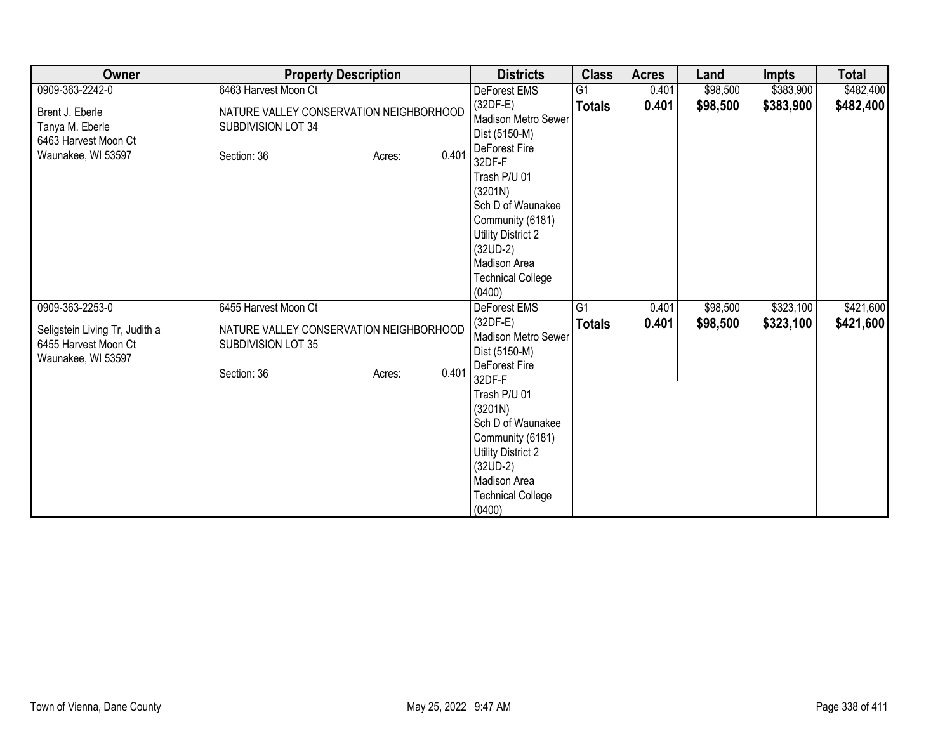| Owner                                                                        | <b>Property Description</b>                                                  |                 | <b>Districts</b>                                                                                                                                                                                                                            | <b>Class</b>   | <b>Acres</b> | Land     | Impts     | <b>Total</b> |
|------------------------------------------------------------------------------|------------------------------------------------------------------------------|-----------------|---------------------------------------------------------------------------------------------------------------------------------------------------------------------------------------------------------------------------------------------|----------------|--------------|----------|-----------|--------------|
| 0909-363-2242-0                                                              | 6463 Harvest Moon Ct                                                         |                 | DeForest EMS                                                                                                                                                                                                                                | G <sub>1</sub> | 0.401        | \$98,500 | \$383,900 | \$482,400    |
| Brent J. Eberle<br>Tanya M. Eberle<br>6463 Harvest Moon Ct                   | NATURE VALLEY CONSERVATION NEIGHBORHOOD<br>SUBDIVISION LOT 34                |                 | $(32DF-E)$<br>Madison Metro Sewer<br>Dist (5150-M)<br>DeForest Fire                                                                                                                                                                         | <b>Totals</b>  | 0.401        | \$98,500 | \$383,900 | \$482,400    |
| Waunakee, WI 53597                                                           | Section: 36                                                                  | 0.401<br>Acres: | 32DF-F<br>Trash P/U 01<br>(3201N)<br>Sch D of Waunakee<br>Community (6181)<br><b>Utility District 2</b><br>$(32UD-2)$<br>Madison Area<br><b>Technical College</b><br>(0400)                                                                 |                |              |          |           |              |
| 0909-363-2253-0                                                              | 6455 Harvest Moon Ct                                                         |                 | <b>DeForest EMS</b>                                                                                                                                                                                                                         | G1             | 0.401        | \$98,500 | \$323,100 | \$421,600    |
| Seligstein Living Tr, Judith a<br>6455 Harvest Moon Ct<br>Waunakee, WI 53597 | NATURE VALLEY CONSERVATION NEIGHBORHOOD<br>SUBDIVISION LOT 35<br>Section: 36 | 0.401<br>Acres: | $(32DF-E)$<br>Madison Metro Sewer<br>Dist (5150-M)<br>DeForest Fire<br>32DF-F<br>Trash P/U 01<br>(3201N)<br>Sch D of Waunakee<br>Community (6181)<br>Utility District 2<br>$(32UD-2)$<br>Madison Area<br><b>Technical College</b><br>(0400) | <b>Totals</b>  | 0.401        | \$98,500 | \$323,100 | \$421,600    |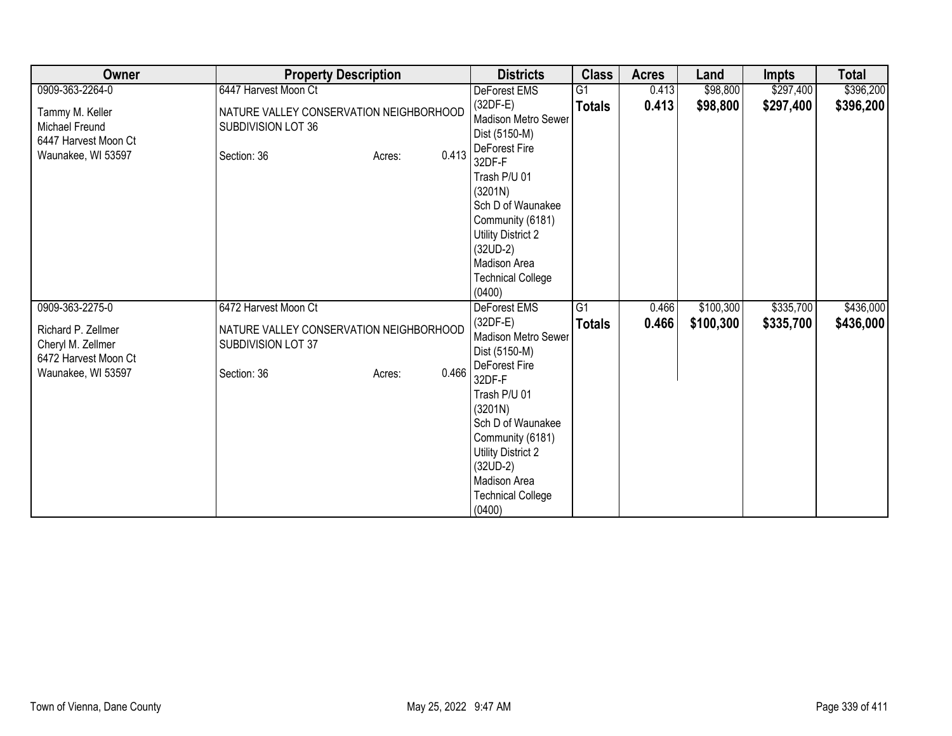| Owner                                                                                 | <b>Property Description</b>                                                                     | <b>Districts</b>                                                                                                                                                                                                                            | <b>Class</b>  | <b>Acres</b> | Land      | <b>Impts</b> | <b>Total</b> |
|---------------------------------------------------------------------------------------|-------------------------------------------------------------------------------------------------|---------------------------------------------------------------------------------------------------------------------------------------------------------------------------------------------------------------------------------------------|---------------|--------------|-----------|--------------|--------------|
| 0909-363-2264-0                                                                       | 6447 Harvest Moon Ct                                                                            | DeForest EMS                                                                                                                                                                                                                                | G1            | 0.413        | \$98,800  | \$297,400    | \$396,200    |
| Tammy M. Keller<br>Michael Freund<br>6447 Harvest Moon Ct<br>Waunakee, WI 53597       | NATURE VALLEY CONSERVATION NEIGHBORHOOD<br>SUBDIVISION LOT 36<br>0.413<br>Section: 36<br>Acres: | $(32DF-E)$<br>Madison Metro Sewer<br>Dist (5150-M)<br>DeForest Fire                                                                                                                                                                         | <b>Totals</b> | 0.413        | \$98,800  | \$297,400    | \$396,200    |
|                                                                                       |                                                                                                 | 32DF-F<br>Trash P/U 01<br>(3201N)<br>Sch D of Waunakee<br>Community (6181)<br>Utility District 2<br>$(32UD-2)$<br>Madison Area<br><b>Technical College</b><br>(0400)                                                                        |               |              |           |              |              |
| 0909-363-2275-0                                                                       | 6472 Harvest Moon Ct                                                                            | <b>DeForest EMS</b>                                                                                                                                                                                                                         | G1            | 0.466        | \$100,300 | \$335,700    | \$436,000    |
| Richard P. Zellmer<br>Cheryl M. Zellmer<br>6472 Harvest Moon Ct<br>Waunakee, WI 53597 | NATURE VALLEY CONSERVATION NEIGHBORHOOD<br>SUBDIVISION LOT 37<br>0.466<br>Section: 36<br>Acres: | $(32DF-E)$<br>Madison Metro Sewer<br>Dist (5150-M)<br>DeForest Fire<br>32DF-F<br>Trash P/U 01<br>(3201N)<br>Sch D of Waunakee<br>Community (6181)<br>Utility District 2<br>$(32UD-2)$<br>Madison Area<br><b>Technical College</b><br>(0400) | <b>Totals</b> | 0.466        | \$100,300 | \$335,700    | \$436,000    |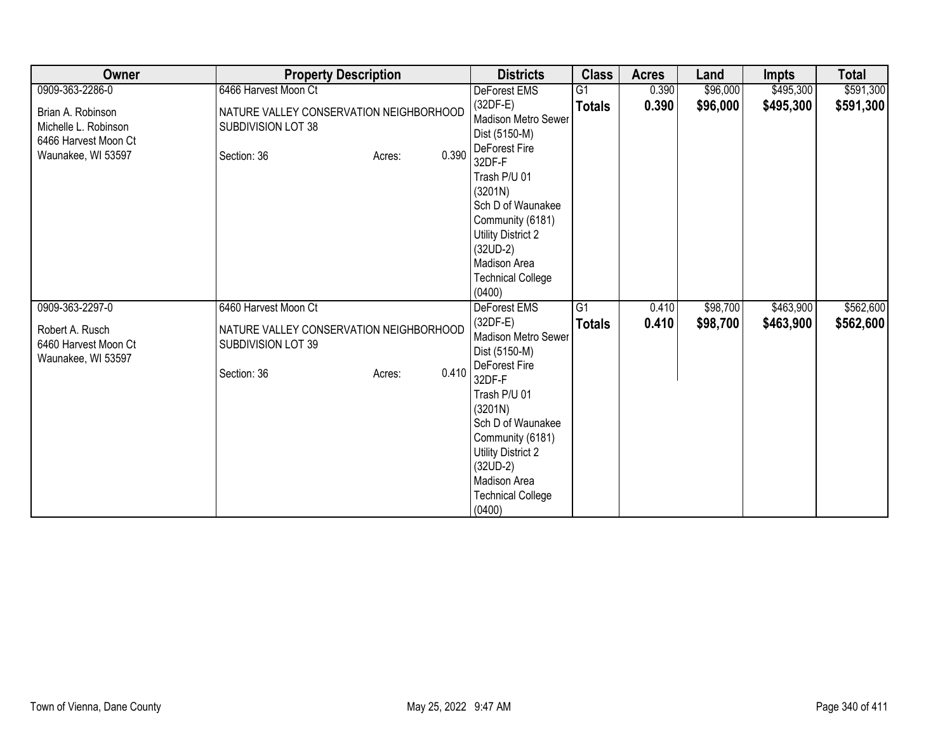| Owner                                                                                   | <b>Property Description</b>                                                                     | <b>Districts</b>                                                                                                                                                            | <b>Class</b>    | <b>Acres</b> | Land     | <b>Impts</b> | <b>Total</b> |
|-----------------------------------------------------------------------------------------|-------------------------------------------------------------------------------------------------|-----------------------------------------------------------------------------------------------------------------------------------------------------------------------------|-----------------|--------------|----------|--------------|--------------|
| 0909-363-2286-0                                                                         | 6466 Harvest Moon Ct                                                                            | DeForest EMS                                                                                                                                                                | $\overline{G1}$ | 0.390        | \$96,000 | \$495,300    | \$591,300    |
| Brian A. Robinson<br>Michelle L. Robinson<br>6466 Harvest Moon Ct<br>Waunakee, WI 53597 | NATURE VALLEY CONSERVATION NEIGHBORHOOD<br>SUBDIVISION LOT 38<br>0.390<br>Section: 36<br>Acres: | $(32DF-E)$<br>Madison Metro Sewer<br>Dist (5150-M)<br>DeForest Fire<br>32DF-F                                                                                               | <b>Totals</b>   | 0.390        | \$96,000 | \$495,300    | \$591,300    |
|                                                                                         |                                                                                                 | Trash P/U 01<br>(3201N)<br>Sch D of Waunakee<br>Community (6181)<br><b>Utility District 2</b><br>$(32UD-2)$<br>Madison Area<br><b>Technical College</b><br>(0400)           |                 |              |          |              |              |
| 0909-363-2297-0                                                                         | 6460 Harvest Moon Ct                                                                            | <b>DeForest EMS</b>                                                                                                                                                         | G1              | 0.410        | \$98,700 | \$463,900    | \$562,600    |
| Robert A. Rusch<br>6460 Harvest Moon Ct<br>Waunakee, WI 53597                           | NATURE VALLEY CONSERVATION NEIGHBORHOOD<br>SUBDIVISION LOT 39                                   | $(32DF-E)$<br>Madison Metro Sewer<br>Dist (5150-M)<br>DeForest Fire                                                                                                         | <b>Totals</b>   | 0.410        | \$98,700 | \$463,900    | \$562,600    |
|                                                                                         | 0.410<br>Section: 36<br>Acres:                                                                  | 32DF-F<br>Trash P/U 01<br>(3201N)<br>Sch D of Waunakee<br>Community (6181)<br><b>Utility District 2</b><br>$(32UD-2)$<br>Madison Area<br><b>Technical College</b><br>(0400) |                 |              |          |              |              |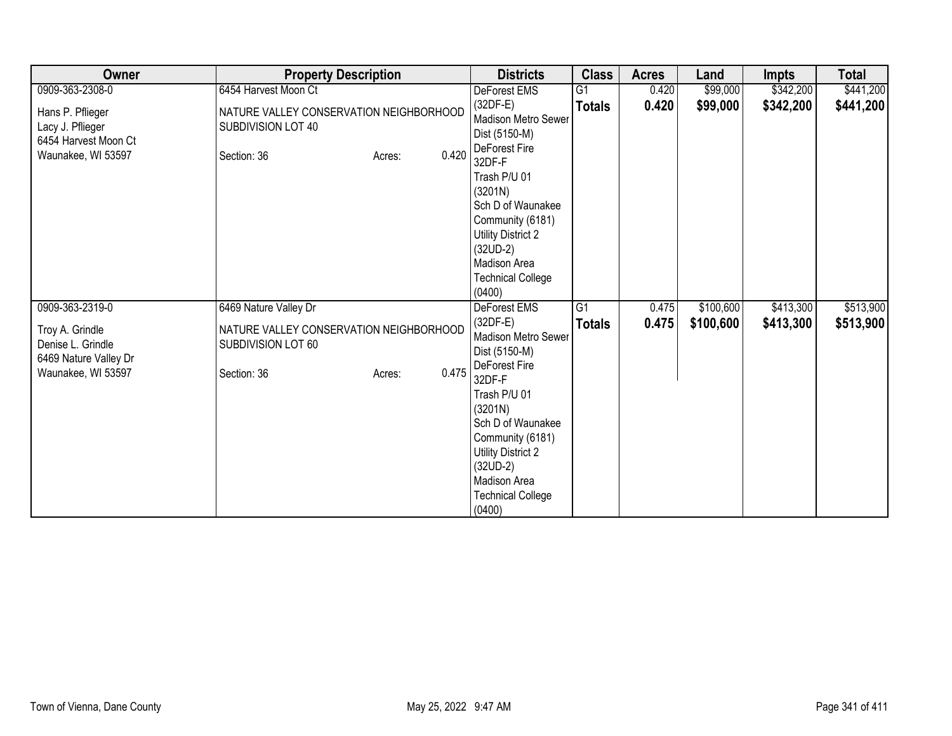| Owner                                                                               | <b>Property Description</b>                                                            |       | <b>Districts</b>                                                                                                                                                                                                                            | <b>Class</b>  | <b>Acres</b> | Land      | <b>Impts</b> | <b>Total</b> |
|-------------------------------------------------------------------------------------|----------------------------------------------------------------------------------------|-------|---------------------------------------------------------------------------------------------------------------------------------------------------------------------------------------------------------------------------------------------|---------------|--------------|-----------|--------------|--------------|
| 0909-363-2308-0                                                                     | 6454 Harvest Moon Ct                                                                   |       | DeForest EMS                                                                                                                                                                                                                                | G1            | 0.420        | \$99,000  | \$342,200    | \$441,200    |
| Hans P. Pflieger<br>Lacy J. Pflieger<br>6454 Harvest Moon Ct<br>Waunakee, WI 53597  | NATURE VALLEY CONSERVATION NEIGHBORHOOD<br>SUBDIVISION LOT 40<br>Section: 36<br>Acres: | 0.420 | $(32DF-E)$<br>Madison Metro Sewer<br>Dist (5150-M)<br>DeForest Fire                                                                                                                                                                         | <b>Totals</b> | 0.420        | \$99,000  | \$342,200    | \$441,200    |
|                                                                                     |                                                                                        |       | 32DF-F<br>Trash P/U 01<br>(3201N)<br>Sch D of Waunakee<br>Community (6181)<br>Utility District 2<br>$(32UD-2)$<br>Madison Area<br><b>Technical College</b><br>(0400)                                                                        |               |              |           |              |              |
| 0909-363-2319-0                                                                     | 6469 Nature Valley Dr                                                                  |       | <b>DeForest EMS</b>                                                                                                                                                                                                                         | G1            | 0.475        | \$100,600 | \$413,300    | \$513,900    |
| Troy A. Grindle<br>Denise L. Grindle<br>6469 Nature Valley Dr<br>Waunakee, WI 53597 | NATURE VALLEY CONSERVATION NEIGHBORHOOD<br>SUBDIVISION LOT 60<br>Section: 36<br>Acres: | 0.475 | $(32DF-E)$<br>Madison Metro Sewer<br>Dist (5150-M)<br>DeForest Fire<br>32DF-F<br>Trash P/U 01<br>(3201N)<br>Sch D of Waunakee<br>Community (6181)<br>Utility District 2<br>$(32UD-2)$<br>Madison Area<br><b>Technical College</b><br>(0400) | <b>Totals</b> | 0.475        | \$100,600 | \$413,300    | \$513,900    |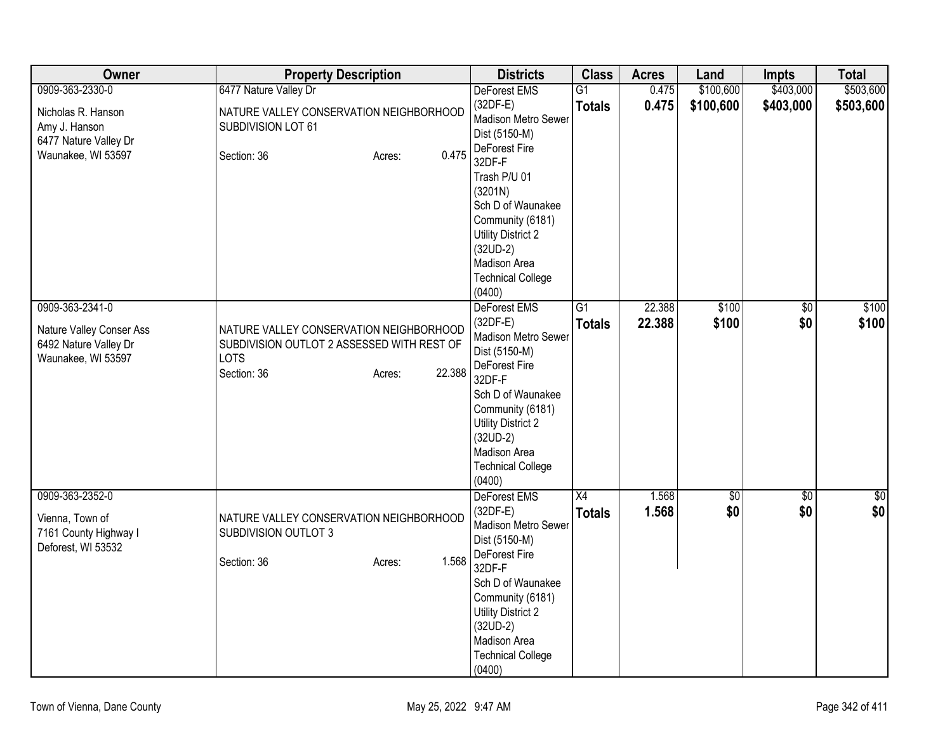| Owner                                                                                             | <b>Property Description</b>                                                                                                             | <b>Districts</b>                                                                                                                                                                                                                        | <b>Class</b>                     | <b>Acres</b>     | Land               | <b>Impts</b>           | <b>Total</b>   |
|---------------------------------------------------------------------------------------------------|-----------------------------------------------------------------------------------------------------------------------------------------|-----------------------------------------------------------------------------------------------------------------------------------------------------------------------------------------------------------------------------------------|----------------------------------|------------------|--------------------|------------------------|----------------|
| 0909-363-2330-0                                                                                   | 6477 Nature Valley Dr                                                                                                                   | DeForest EMS                                                                                                                                                                                                                            | $\overline{G1}$                  | 0.475            | \$100,600          | \$403,000              | \$503,600      |
| Nicholas R. Hanson<br>Amy J. Hanson<br>6477 Nature Valley Dr                                      | NATURE VALLEY CONSERVATION NEIGHBORHOOD<br>SUBDIVISION LOT 61                                                                           | $(32DF-E)$<br>Madison Metro Sewer<br>Dist (5150-M)<br>DeForest Fire                                                                                                                                                                     | <b>Totals</b>                    | 0.475            | \$100,600          | \$403,000              | \$503,600      |
| Waunakee, WI 53597                                                                                | 0.475<br>Section: 36<br>Acres:                                                                                                          | 32DF-F<br>Trash P/U 01<br>(3201N)<br>Sch D of Waunakee<br>Community (6181)<br><b>Utility District 2</b><br>$(32UD-2)$<br>Madison Area<br><b>Technical College</b><br>(0400)                                                             |                                  |                  |                    |                        |                |
| 0909-363-2341-0<br><b>Nature Valley Conser Ass</b><br>6492 Nature Valley Dr<br>Waunakee, WI 53597 | NATURE VALLEY CONSERVATION NEIGHBORHOOD<br>SUBDIVISION OUTLOT 2 ASSESSED WITH REST OF<br><b>LOTS</b><br>22.388<br>Section: 36<br>Acres: | DeForest EMS<br>$(32DF-E)$<br>Madison Metro Sewer<br>Dist (5150-M)<br>DeForest Fire<br>32DF-F<br>Sch D of Waunakee<br>Community (6181)<br><b>Utility District 2</b><br>$(32UD-2)$<br>Madison Area<br><b>Technical College</b><br>(0400) | $\overline{G1}$<br><b>Totals</b> | 22.388<br>22.388 | \$100<br>\$100     | $\overline{50}$<br>\$0 | \$100<br>\$100 |
| 0909-363-2352-0<br>Vienna, Town of<br>7161 County Highway I<br>Deforest, WI 53532                 | NATURE VALLEY CONSERVATION NEIGHBORHOOD<br>SUBDIVISION OUTLOT 3<br>1.568<br>Section: 36<br>Acres:                                       | DeForest EMS<br>$(32DF-E)$<br>Madison Metro Sewer<br>Dist (5150-M)<br>DeForest Fire<br>32DF-F<br>Sch D of Waunakee<br>Community (6181)<br><b>Utility District 2</b><br>$(32UD-2)$<br>Madison Area<br><b>Technical College</b><br>(0400) | $\overline{X4}$<br><b>Totals</b> | 1.568<br>1.568   | $\sqrt{50}$<br>\$0 | \$0<br>\$0             | \$0<br>\$0     |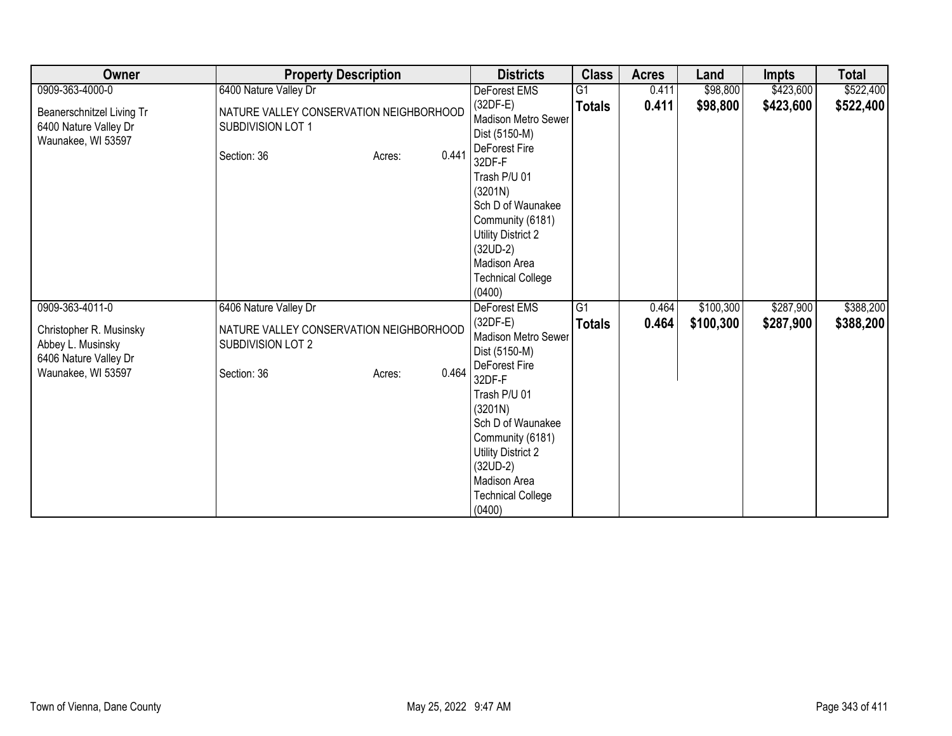| Owner                                                                                       | <b>Property Description</b>                                                                    | <b>Districts</b>                                                                                                                                                                                                                                          | <b>Class</b>    | <b>Acres</b> | Land      | <b>Impts</b> | <b>Total</b> |
|---------------------------------------------------------------------------------------------|------------------------------------------------------------------------------------------------|-----------------------------------------------------------------------------------------------------------------------------------------------------------------------------------------------------------------------------------------------------------|-----------------|--------------|-----------|--------------|--------------|
| 0909-363-4000-0                                                                             | 6400 Nature Valley Dr                                                                          | DeForest EMS                                                                                                                                                                                                                                              | $\overline{G1}$ | 0.411        | \$98,800  | \$423,600    | \$522,400    |
| Beanerschnitzel Living Tr<br>6400 Nature Valley Dr<br>Waunakee, WI 53597                    | NATURE VALLEY CONSERVATION NEIGHBORHOOD<br>SUBDIVISION LOT 1<br>0.441<br>Section: 36<br>Acres: | $(32DF-E)$<br><b>Madison Metro Sewer</b><br>Dist (5150-M)<br>DeForest Fire<br>32DF-F                                                                                                                                                                      | <b>Totals</b>   | 0.411        | \$98,800  | \$423,600    | \$522,400    |
|                                                                                             |                                                                                                | Trash P/U 01<br>(3201N)<br>Sch D of Waunakee<br>Community (6181)<br><b>Utility District 2</b><br>$(32UD-2)$<br>Madison Area<br><b>Technical College</b><br>(0400)                                                                                         |                 |              |           |              |              |
| 0909-363-4011-0                                                                             | 6406 Nature Valley Dr                                                                          | <b>DeForest EMS</b>                                                                                                                                                                                                                                       | $\overline{G1}$ | 0.464        | \$100,300 | \$287,900    | \$388,200    |
| Christopher R. Musinsky<br>Abbey L. Musinsky<br>6406 Nature Valley Dr<br>Waunakee, WI 53597 | NATURE VALLEY CONSERVATION NEIGHBORHOOD<br>SUBDIVISION LOT 2<br>0.464<br>Section: 36<br>Acres: | $(32DF-E)$<br><b>Madison Metro Sewer</b><br>Dist (5150-M)<br>DeForest Fire<br>32DF-F<br>Trash P/U 01<br>(3201N)<br>Sch D of Waunakee<br>Community (6181)<br><b>Utility District 2</b><br>$(32UD-2)$<br>Madison Area<br><b>Technical College</b><br>(0400) | <b>Totals</b>   | 0.464        | \$100,300 | \$287,900    | \$388,200    |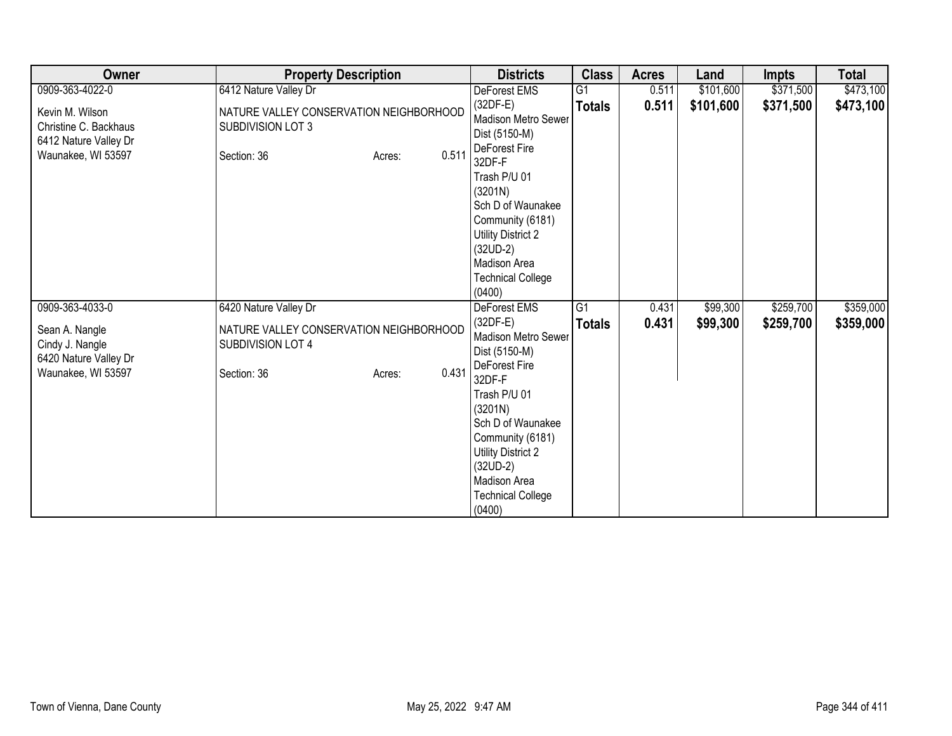| Owner                                                                                   | <b>Property Description</b>                                                                    | <b>Districts</b>                                                                                                                                                                                                                                   | <b>Class</b>    | <b>Acres</b> | Land      | <b>Impts</b> | <b>Total</b> |
|-----------------------------------------------------------------------------------------|------------------------------------------------------------------------------------------------|----------------------------------------------------------------------------------------------------------------------------------------------------------------------------------------------------------------------------------------------------|-----------------|--------------|-----------|--------------|--------------|
| 0909-363-4022-0                                                                         | 6412 Nature Valley Dr                                                                          | DeForest EMS                                                                                                                                                                                                                                       | $\overline{G1}$ | 0.511        | \$101,600 | \$371,500    | \$473,100    |
| Kevin M. Wilson<br>Christine C. Backhaus<br>6412 Nature Valley Dr<br>Waunakee, WI 53597 | NATURE VALLEY CONSERVATION NEIGHBORHOOD<br>SUBDIVISION LOT 3<br>0.511<br>Section: 36<br>Acres: | $(32DF-E)$<br><b>Madison Metro Sewer</b><br>Dist (5150-M)<br>DeForest Fire<br>32DF-F                                                                                                                                                               | <b>Totals</b>   | 0.511        | \$101,600 | \$371,500    | \$473,100    |
|                                                                                         |                                                                                                | Trash P/U 01<br>(3201N)<br>Sch D of Waunakee<br>Community (6181)<br>Utility District 2<br>$(32UD-2)$<br>Madison Area<br><b>Technical College</b><br>(0400)                                                                                         |                 |              |           |              |              |
| 0909-363-4033-0                                                                         | 6420 Nature Valley Dr                                                                          | <b>DeForest EMS</b>                                                                                                                                                                                                                                | $\overline{G1}$ | 0.431        | \$99,300  | \$259,700    | \$359,000    |
| Sean A. Nangle<br>Cindy J. Nangle<br>6420 Nature Valley Dr<br>Waunakee, WI 53597        | NATURE VALLEY CONSERVATION NEIGHBORHOOD<br>SUBDIVISION LOT 4<br>0.431<br>Section: 36<br>Acres: | $(32DF-E)$<br>Madison Metro Sewer<br>Dist (5150-M)<br>DeForest Fire<br>32DF-F<br>Trash P/U 01<br>(3201N)<br>Sch D of Waunakee<br>Community (6181)<br><b>Utility District 2</b><br>$(32UD-2)$<br>Madison Area<br><b>Technical College</b><br>(0400) | <b>Totals</b>   | 0.431        | \$99,300  | \$259,700    | \$359,000    |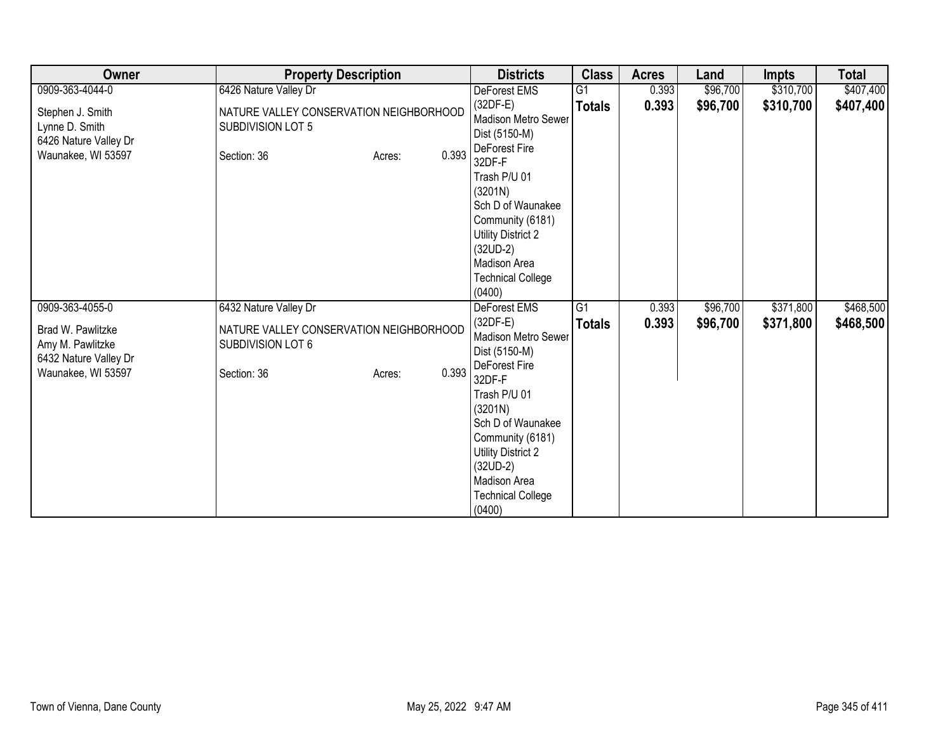| Owner                                                                                | <b>Property Description</b>                                                                    | <b>Districts</b>                                                                                                                                                                                                                                   | <b>Class</b>    | <b>Acres</b> | Land     | <b>Impts</b> | <b>Total</b> |
|--------------------------------------------------------------------------------------|------------------------------------------------------------------------------------------------|----------------------------------------------------------------------------------------------------------------------------------------------------------------------------------------------------------------------------------------------------|-----------------|--------------|----------|--------------|--------------|
| 0909-363-4044-0                                                                      | 6426 Nature Valley Dr                                                                          | DeForest EMS                                                                                                                                                                                                                                       | $\overline{G1}$ | 0.393        | \$96,700 | \$310,700    | \$407,400    |
| Stephen J. Smith<br>Lynne D. Smith<br>6426 Nature Valley Dr<br>Waunakee, WI 53597    | NATURE VALLEY CONSERVATION NEIGHBORHOOD<br>SUBDIVISION LOT 5<br>0.393<br>Section: 36<br>Acres: | $(32DF-E)$<br>Madison Metro Sewer<br>Dist (5150-M)<br>DeForest Fire<br>32DF-F                                                                                                                                                                      | <b>Totals</b>   | 0.393        | \$96,700 | \$310,700    | \$407,400    |
|                                                                                      |                                                                                                | Trash P/U 01<br>(3201N)<br>Sch D of Waunakee<br>Community (6181)<br><b>Utility District 2</b><br>$(32UD-2)$<br>Madison Area<br><b>Technical College</b><br>(0400)                                                                                  |                 |              |          |              |              |
| 0909-363-4055-0                                                                      | 6432 Nature Valley Dr                                                                          | <b>DeForest EMS</b>                                                                                                                                                                                                                                | G1              | 0.393        | \$96,700 | \$371,800    | \$468,500    |
| Brad W. Pawlitzke<br>Amy M. Pawlitzke<br>6432 Nature Valley Dr<br>Waunakee, WI 53597 | NATURE VALLEY CONSERVATION NEIGHBORHOOD<br>SUBDIVISION LOT 6<br>0.393<br>Section: 36<br>Acres: | $(32DF-E)$<br>Madison Metro Sewer<br>Dist (5150-M)<br>DeForest Fire<br>32DF-F<br>Trash P/U 01<br>(3201N)<br>Sch D of Waunakee<br>Community (6181)<br><b>Utility District 2</b><br>$(32UD-2)$<br>Madison Area<br><b>Technical College</b><br>(0400) | <b>Totals</b>   | 0.393        | \$96,700 | \$371,800    | \$468,500    |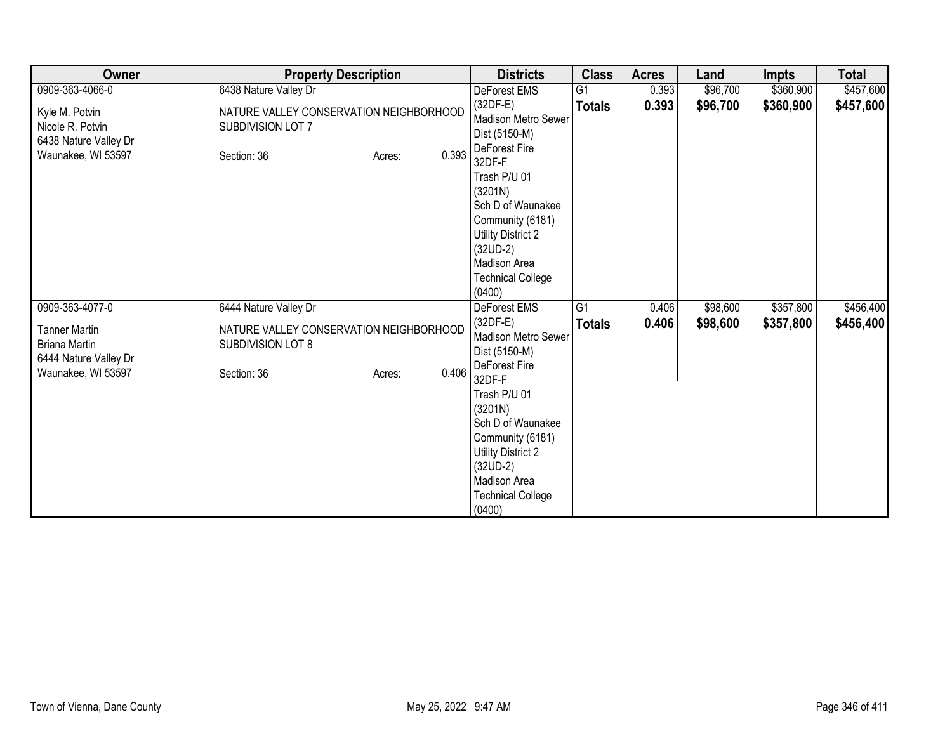| Owner                                                                                       | <b>Property Description</b>                                                           |       | <b>Districts</b>                                                                                                                                                                                      | <b>Class</b>  | <b>Acres</b> | Land     | <b>Impts</b> | <b>Total</b> |
|---------------------------------------------------------------------------------------------|---------------------------------------------------------------------------------------|-------|-------------------------------------------------------------------------------------------------------------------------------------------------------------------------------------------------------|---------------|--------------|----------|--------------|--------------|
| 0909-363-4066-0                                                                             | 6438 Nature Valley Dr                                                                 |       | DeForest EMS                                                                                                                                                                                          | G1            | 0.393        | \$96,700 | \$360,900    | \$457,600    |
| Kyle M. Potvin<br>Nicole R. Potvin<br>6438 Nature Valley Dr<br>Waunakee, WI 53597           | NATURE VALLEY CONSERVATION NEIGHBORHOOD<br>SUBDIVISION LOT 7<br>Section: 36<br>Acres: | 0.393 | $(32DF-E)$<br>Madison Metro Sewer<br>Dist (5150-M)<br>DeForest Fire                                                                                                                                   | <b>Totals</b> | 0.393        | \$96,700 | \$360,900    | \$457,600    |
|                                                                                             |                                                                                       |       | 32DF-F<br>Trash P/U 01<br>(3201N)<br>Sch D of Waunakee<br>Community (6181)<br>Utility District 2<br>$(32UD-2)$<br>Madison Area<br><b>Technical College</b><br>(0400)                                  |               |              |          |              |              |
| 0909-363-4077-0                                                                             | 6444 Nature Valley Dr                                                                 |       | <b>DeForest EMS</b>                                                                                                                                                                                   | G1            | 0.406        | \$98,600 | \$357,800    | \$456,400    |
| <b>Tanner Martin</b><br><b>Briana Martin</b><br>6444 Nature Valley Dr<br>Waunakee, WI 53597 | NATURE VALLEY CONSERVATION NEIGHBORHOOD<br>SUBDIVISION LOT 8<br>Section: 36<br>Acres: | 0.406 | $(32DF-E)$<br>Madison Metro Sewer<br>Dist (5150-M)<br>DeForest Fire<br>32DF-F<br>Trash P/U 01<br>(3201N)<br>Sch D of Waunakee<br>Community (6181)<br>Utility District 2<br>$(32UD-2)$<br>Madison Area | <b>Totals</b> | 0.406        | \$98,600 | \$357,800    | \$456,400    |
|                                                                                             |                                                                                       |       | <b>Technical College</b><br>(0400)                                                                                                                                                                    |               |              |          |              |              |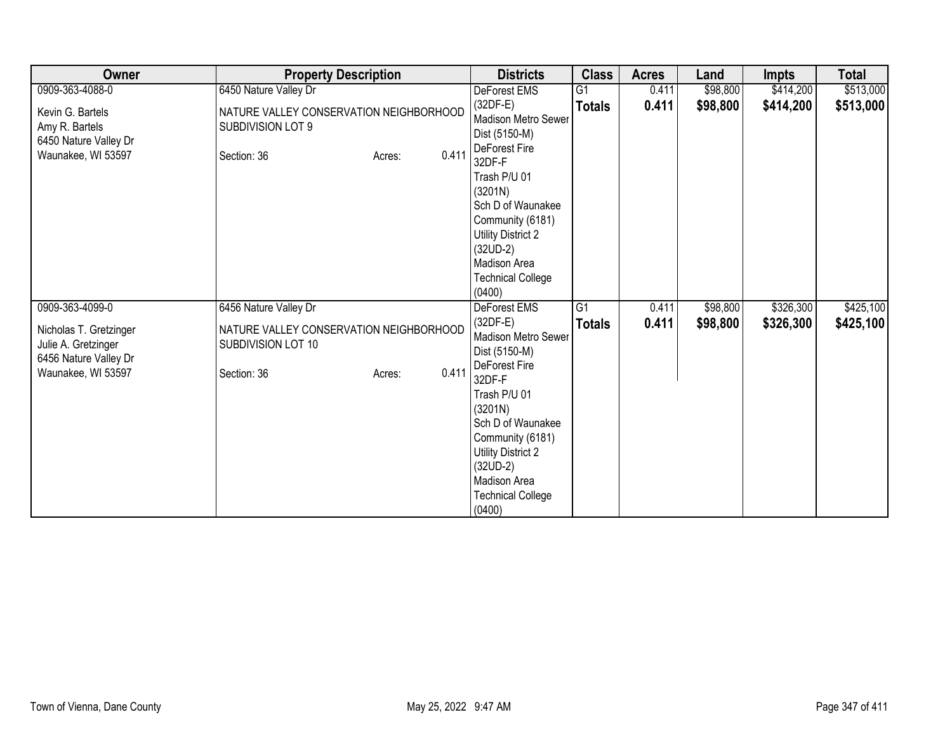| Owner                                                                                        | <b>Property Description</b>                                                                     | <b>Districts</b>                                                                                                                                                                                                                                   | <b>Class</b>    | <b>Acres</b> | Land     | <b>Impts</b> | <b>Total</b> |
|----------------------------------------------------------------------------------------------|-------------------------------------------------------------------------------------------------|----------------------------------------------------------------------------------------------------------------------------------------------------------------------------------------------------------------------------------------------------|-----------------|--------------|----------|--------------|--------------|
| 0909-363-4088-0                                                                              | 6450 Nature Valley Dr                                                                           | DeForest EMS                                                                                                                                                                                                                                       | $\overline{G1}$ | 0.411        | \$98,800 | \$414,200    | \$513,000    |
| Kevin G. Bartels<br>Amy R. Bartels<br>6450 Nature Valley Dr<br>Waunakee, WI 53597            | NATURE VALLEY CONSERVATION NEIGHBORHOOD<br>SUBDIVISION LOT 9<br>0.411<br>Section: 36<br>Acres:  | $(32DF-E)$<br>Madison Metro Sewer<br>Dist (5150-M)<br>DeForest Fire<br>32DF-F                                                                                                                                                                      | <b>Totals</b>   | 0.411        | \$98,800 | \$414,200    | \$513,000    |
|                                                                                              |                                                                                                 | Trash P/U 01<br>(3201N)<br>Sch D of Waunakee<br>Community (6181)<br><b>Utility District 2</b><br>$(32UD-2)$<br>Madison Area<br><b>Technical College</b><br>(0400)                                                                                  |                 |              |          |              |              |
| 0909-363-4099-0                                                                              | 6456 Nature Valley Dr                                                                           | <b>DeForest EMS</b>                                                                                                                                                                                                                                | G1              | 0.411        | \$98,800 | \$326,300    | \$425,100    |
| Nicholas T. Gretzinger<br>Julie A. Gretzinger<br>6456 Nature Valley Dr<br>Waunakee, WI 53597 | NATURE VALLEY CONSERVATION NEIGHBORHOOD<br>SUBDIVISION LOT 10<br>0.411<br>Section: 36<br>Acres: | $(32DF-E)$<br>Madison Metro Sewer<br>Dist (5150-M)<br>DeForest Fire<br>32DF-F<br>Trash P/U 01<br>(3201N)<br>Sch D of Waunakee<br>Community (6181)<br><b>Utility District 2</b><br>$(32UD-2)$<br>Madison Area<br><b>Technical College</b><br>(0400) | <b>Totals</b>   | 0.411        | \$98,800 | \$326,300    | \$425,100    |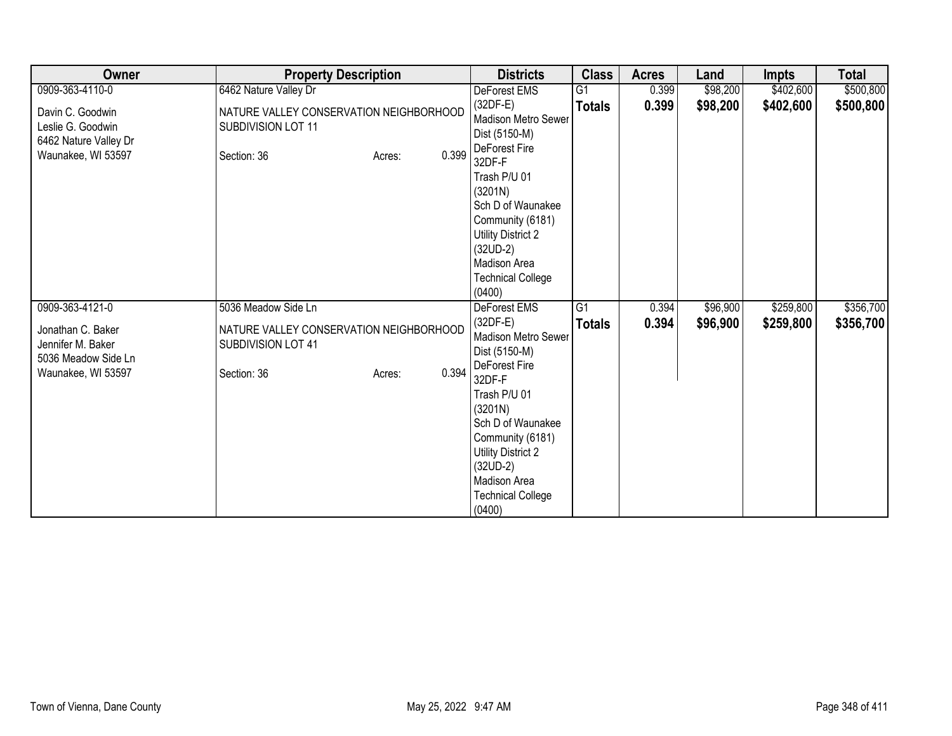| Owner                                                                                | <b>Property Description</b>                                                                     | <b>Districts</b>                                                                                                                                                                                                                            | <b>Class</b>    | <b>Acres</b> | Land     | <b>Impts</b> | <b>Total</b> |
|--------------------------------------------------------------------------------------|-------------------------------------------------------------------------------------------------|---------------------------------------------------------------------------------------------------------------------------------------------------------------------------------------------------------------------------------------------|-----------------|--------------|----------|--------------|--------------|
| 0909-363-4110-0                                                                      | 6462 Nature Valley Dr                                                                           | DeForest EMS                                                                                                                                                                                                                                | $\overline{G1}$ | 0.399        | \$98,200 | \$402,600    | \$500,800    |
| Davin C. Goodwin<br>Leslie G. Goodwin<br>6462 Nature Valley Dr<br>Waunakee, WI 53597 | NATURE VALLEY CONSERVATION NEIGHBORHOOD<br>SUBDIVISION LOT 11<br>0.399<br>Section: 36<br>Acres: | $(32DF-E)$<br>Madison Metro Sewer<br>Dist (5150-M)<br>DeForest Fire<br>32DF-F                                                                                                                                                               | <b>Totals</b>   | 0.399        | \$98,200 | \$402,600    | \$500,800    |
|                                                                                      |                                                                                                 | Trash P/U 01<br>(3201N)<br>Sch D of Waunakee<br>Community (6181)<br><b>Utility District 2</b><br>$(32UD-2)$<br>Madison Area<br><b>Technical College</b><br>(0400)                                                                           |                 |              |          |              |              |
| 0909-363-4121-0                                                                      | 5036 Meadow Side Ln                                                                             | <b>DeForest EMS</b>                                                                                                                                                                                                                         | G1              | 0.394        | \$96,900 | \$259,800    | \$356,700    |
| Jonathan C. Baker<br>Jennifer M. Baker<br>5036 Meadow Side Ln<br>Waunakee, WI 53597  | NATURE VALLEY CONSERVATION NEIGHBORHOOD<br>SUBDIVISION LOT 41<br>0.394<br>Section: 36<br>Acres: | $(32DF-E)$<br>Madison Metro Sewer<br>Dist (5150-M)<br>DeForest Fire<br>32DF-F<br>Trash P/U 01<br>(3201N)<br>Sch D of Waunakee<br>Community (6181)<br>Utility District 2<br>$(32UD-2)$<br>Madison Area<br><b>Technical College</b><br>(0400) | <b>Totals</b>   | 0.394        | \$96,900 | \$259,800    | \$356,700    |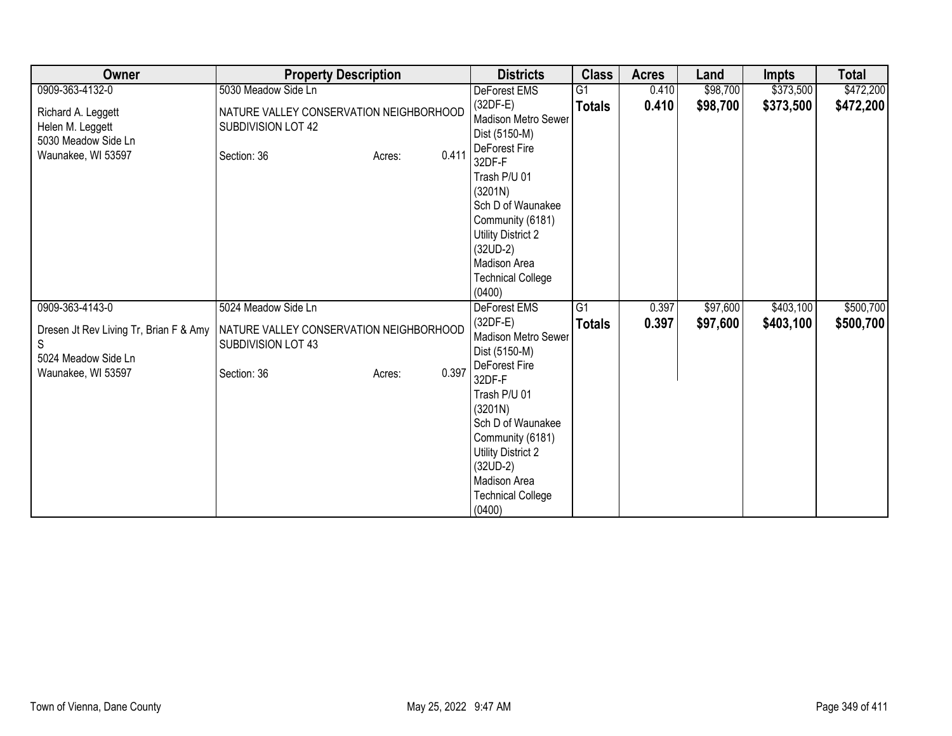| Owner                                                              | <b>Property Description</b>                                   |                 | <b>Districts</b>                                                                                                                                                                             | <b>Class</b>    | <b>Acres</b> | Land     | <b>Impts</b> | <b>Total</b> |
|--------------------------------------------------------------------|---------------------------------------------------------------|-----------------|----------------------------------------------------------------------------------------------------------------------------------------------------------------------------------------------|-----------------|--------------|----------|--------------|--------------|
| 0909-363-4132-0                                                    | 5030 Meadow Side Ln                                           |                 | DeForest EMS                                                                                                                                                                                 | G1              | 0.410        | \$98,700 | \$373,500    | \$472,200    |
| Richard A. Leggett<br>Helen M. Leggett<br>5030 Meadow Side Ln      | NATURE VALLEY CONSERVATION NEIGHBORHOOD<br>SUBDIVISION LOT 42 |                 | $(32DF-E)$<br><b>Madison Metro Sewer</b><br>Dist (5150-M)                                                                                                                                    | <b>Totals</b>   | 0.410        | \$98,700 | \$373,500    | \$472,200    |
| Waunakee, WI 53597                                                 | Section: 36                                                   | 0.411<br>Acres: | DeForest Fire<br>32DF-F<br>Trash P/U 01<br>(3201N)<br>Sch D of Waunakee<br>Community (6181)<br>Utility District 2<br>$(32UD-2)$<br>Madison Area<br><b>Technical College</b><br>(0400)        |                 |              |          |              |              |
| 0909-363-4143-0                                                    | 5024 Meadow Side Ln                                           |                 | <b>DeForest EMS</b>                                                                                                                                                                          | $\overline{G1}$ | 0.397        | \$97,600 | \$403,100    | \$500,700    |
| Dresen Jt Rev Living Tr, Brian F & Amy<br>S<br>5024 Meadow Side Ln | NATURE VALLEY CONSERVATION NEIGHBORHOOD<br>SUBDIVISION LOT 43 |                 | $(32DF-E)$<br>Madison Metro Sewer<br>Dist (5150-M)                                                                                                                                           | <b>Totals</b>   | 0.397        | \$97,600 | \$403,100    | \$500,700    |
| Waunakee, WI 53597                                                 | Section: 36                                                   | 0.397<br>Acres: | DeForest Fire<br>32DF-F<br>Trash P/U 01<br>(3201N)<br>Sch D of Waunakee<br>Community (6181)<br><b>Utility District 2</b><br>$(32UD-2)$<br>Madison Area<br><b>Technical College</b><br>(0400) |                 |              |          |              |              |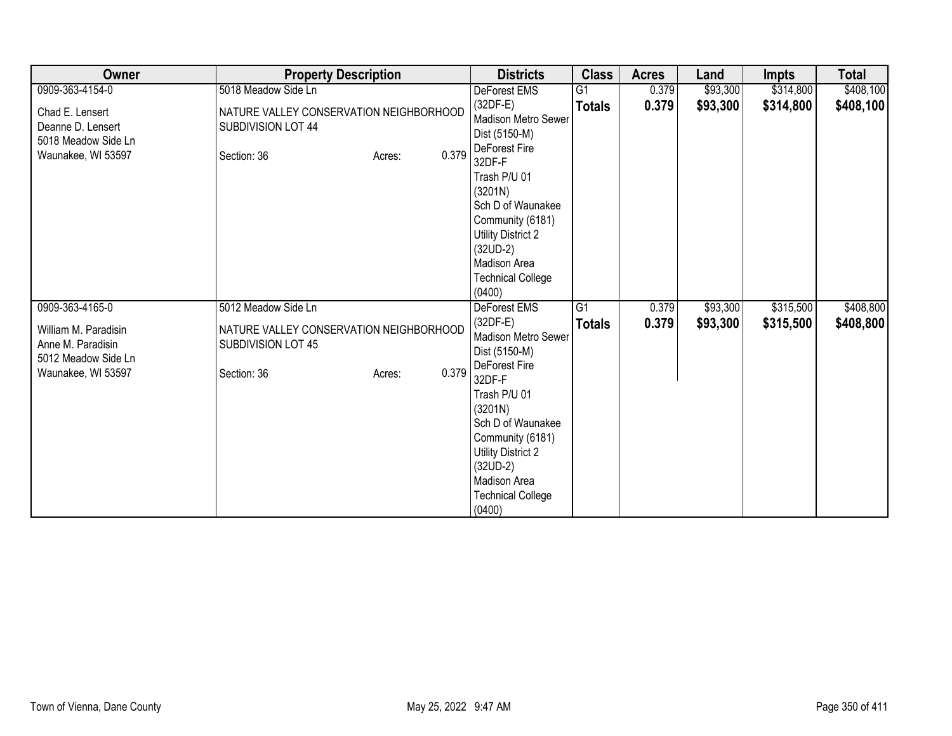| Owner                                                                                  | <b>Property Description</b>                                                                     | <b>Districts</b>                                                                                                                                                                                                                                   | <b>Class</b>    | <b>Acres</b> | Land     | <b>Impts</b> | <b>Total</b> |
|----------------------------------------------------------------------------------------|-------------------------------------------------------------------------------------------------|----------------------------------------------------------------------------------------------------------------------------------------------------------------------------------------------------------------------------------------------------|-----------------|--------------|----------|--------------|--------------|
| 0909-363-4154-0                                                                        | 5018 Meadow Side Ln                                                                             | DeForest EMS                                                                                                                                                                                                                                       | $\overline{G1}$ | 0.379        | \$93,300 | \$314,800    | \$408,100    |
| Chad E. Lensert<br>Deanne D. Lensert<br>5018 Meadow Side Ln<br>Waunakee, WI 53597      | NATURE VALLEY CONSERVATION NEIGHBORHOOD<br>SUBDIVISION LOT 44<br>0.379<br>Section: 36<br>Acres: | $(32DF-E)$<br>Madison Metro Sewer<br>Dist (5150-M)<br>DeForest Fire<br>32DF-F                                                                                                                                                                      | <b>Totals</b>   | 0.379        | \$93,300 | \$314,800    | \$408,100    |
|                                                                                        |                                                                                                 | Trash P/U 01<br>(3201N)<br>Sch D of Waunakee<br>Community (6181)<br><b>Utility District 2</b><br>$(32UD-2)$<br>Madison Area<br><b>Technical College</b><br>(0400)                                                                                  |                 |              |          |              |              |
| 0909-363-4165-0                                                                        | 5012 Meadow Side Ln                                                                             | <b>DeForest EMS</b>                                                                                                                                                                                                                                | G1              | 0.379        | \$93,300 | \$315,500    | \$408,800    |
| William M. Paradisin<br>Anne M. Paradisin<br>5012 Meadow Side Ln<br>Waunakee, WI 53597 | NATURE VALLEY CONSERVATION NEIGHBORHOOD<br>SUBDIVISION LOT 45<br>0.379<br>Section: 36<br>Acres: | $(32DF-E)$<br>Madison Metro Sewer<br>Dist (5150-M)<br>DeForest Fire<br>32DF-F<br>Trash P/U 01<br>(3201N)<br>Sch D of Waunakee<br>Community (6181)<br><b>Utility District 2</b><br>$(32UD-2)$<br>Madison Area<br><b>Technical College</b><br>(0400) | <b>Totals</b>   | 0.379        | \$93,300 | \$315,500    | \$408,800    |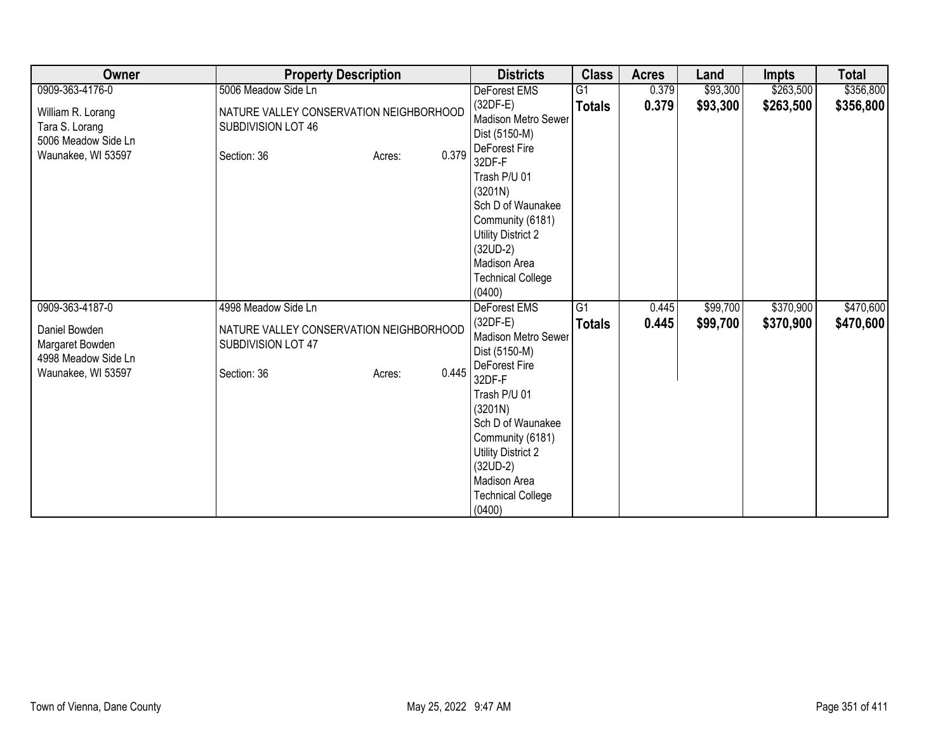| Owner                                                                            | <b>Property Description</b>                                                                     | <b>Districts</b>                                                                                                                                                                                                                                          | <b>Class</b>    | <b>Acres</b> | Land     | <b>Impts</b> | <b>Total</b> |
|----------------------------------------------------------------------------------|-------------------------------------------------------------------------------------------------|-----------------------------------------------------------------------------------------------------------------------------------------------------------------------------------------------------------------------------------------------------------|-----------------|--------------|----------|--------------|--------------|
| 0909-363-4176-0                                                                  | 5006 Meadow Side Ln                                                                             | DeForest EMS                                                                                                                                                                                                                                              | $\overline{G1}$ | 0.379        | \$93,300 | \$263,500    | \$356,800    |
| William R. Lorang<br>Tara S. Lorang<br>5006 Meadow Side Ln<br>Waunakee, WI 53597 | NATURE VALLEY CONSERVATION NEIGHBORHOOD<br>SUBDIVISION LOT 46<br>0.379<br>Section: 36<br>Acres: | $(32DF-E)$<br><b>Madison Metro Sewer</b><br>Dist (5150-M)<br>DeForest Fire<br>32DF-F                                                                                                                                                                      | <b>Totals</b>   | 0.379        | \$93,300 | \$263,500    | \$356,800    |
|                                                                                  |                                                                                                 | Trash P/U 01<br>(3201N)<br>Sch D of Waunakee<br>Community (6181)<br><b>Utility District 2</b><br>$(32UD-2)$<br>Madison Area<br><b>Technical College</b><br>(0400)                                                                                         |                 |              |          |              |              |
| 0909-363-4187-0                                                                  | 4998 Meadow Side Ln                                                                             | <b>DeForest EMS</b>                                                                                                                                                                                                                                       | $\overline{G1}$ | 0.445        | \$99,700 | \$370,900    | \$470,600    |
| Daniel Bowden<br>Margaret Bowden<br>4998 Meadow Side Ln<br>Waunakee, WI 53597    | NATURE VALLEY CONSERVATION NEIGHBORHOOD<br>SUBDIVISION LOT 47<br>0.445<br>Section: 36<br>Acres: | $(32DF-E)$<br><b>Madison Metro Sewer</b><br>Dist (5150-M)<br>DeForest Fire<br>32DF-F<br>Trash P/U 01<br>(3201N)<br>Sch D of Waunakee<br>Community (6181)<br><b>Utility District 2</b><br>$(32UD-2)$<br>Madison Area<br><b>Technical College</b><br>(0400) | <b>Totals</b>   | 0.445        | \$99,700 | \$370,900    | \$470,600    |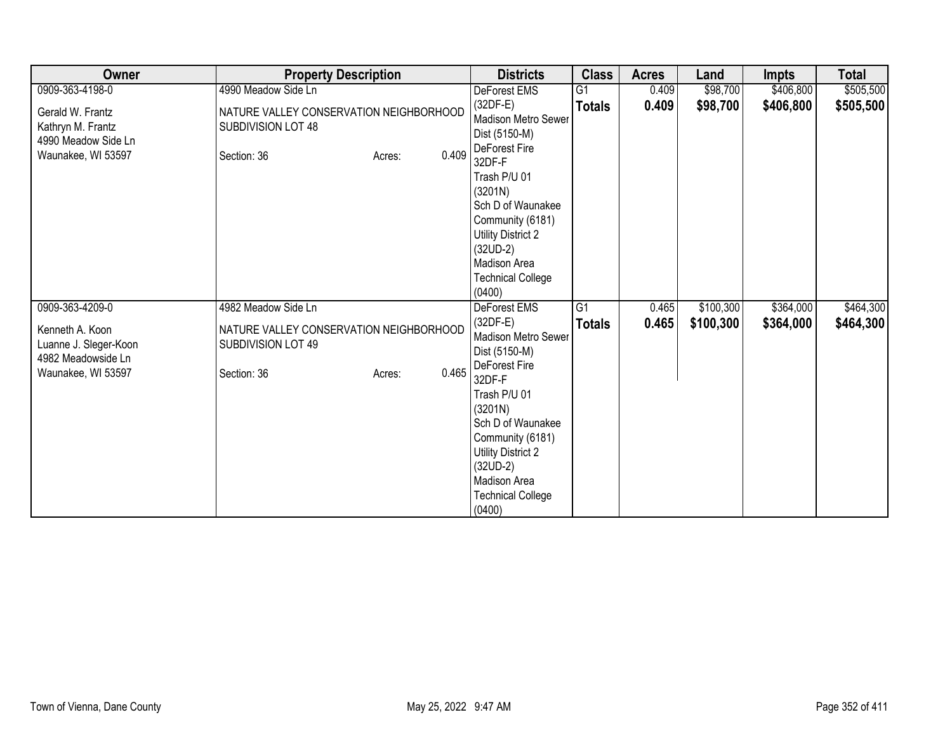| Owner                                                                                | <b>Property Description</b>                                                                     | <b>Districts</b>                                                                                                                                                                                                                                   | <b>Class</b>    | <b>Acres</b> | Land      | <b>Impts</b> | <b>Total</b> |
|--------------------------------------------------------------------------------------|-------------------------------------------------------------------------------------------------|----------------------------------------------------------------------------------------------------------------------------------------------------------------------------------------------------------------------------------------------------|-----------------|--------------|-----------|--------------|--------------|
| 0909-363-4198-0                                                                      | 4990 Meadow Side Ln                                                                             | DeForest EMS                                                                                                                                                                                                                                       | $\overline{G1}$ | 0.409        | \$98,700  | \$406,800    | \$505,500    |
| Gerald W. Frantz<br>Kathryn M. Frantz<br>4990 Meadow Side Ln<br>Waunakee, WI 53597   | NATURE VALLEY CONSERVATION NEIGHBORHOOD<br>SUBDIVISION LOT 48<br>0.409<br>Section: 36<br>Acres: | $(32DF-E)$<br>Madison Metro Sewer<br>Dist (5150-M)<br>DeForest Fire<br>32DF-F                                                                                                                                                                      | <b>Totals</b>   | 0.409        | \$98,700  | \$406,800    | \$505,500    |
|                                                                                      |                                                                                                 | Trash P/U 01<br>(3201N)<br>Sch D of Waunakee<br>Community (6181)<br><b>Utility District 2</b><br>$(32UD-2)$<br>Madison Area<br><b>Technical College</b><br>(0400)                                                                                  |                 |              |           |              |              |
| 0909-363-4209-0                                                                      | 4982 Meadow Side Ln                                                                             | <b>DeForest EMS</b>                                                                                                                                                                                                                                | G1              | 0.465        | \$100,300 | \$364,000    | \$464,300    |
| Kenneth A. Koon<br>Luanne J. Sleger-Koon<br>4982 Meadowside Ln<br>Waunakee, WI 53597 | NATURE VALLEY CONSERVATION NEIGHBORHOOD<br>SUBDIVISION LOT 49<br>0.465<br>Section: 36<br>Acres: | $(32DF-E)$<br>Madison Metro Sewer<br>Dist (5150-M)<br>DeForest Fire<br>32DF-F<br>Trash P/U 01<br>(3201N)<br>Sch D of Waunakee<br>Community (6181)<br><b>Utility District 2</b><br>$(32UD-2)$<br>Madison Area<br><b>Technical College</b><br>(0400) | <b>Totals</b>   | 0.465        | \$100,300 | \$364,000    | \$464,300    |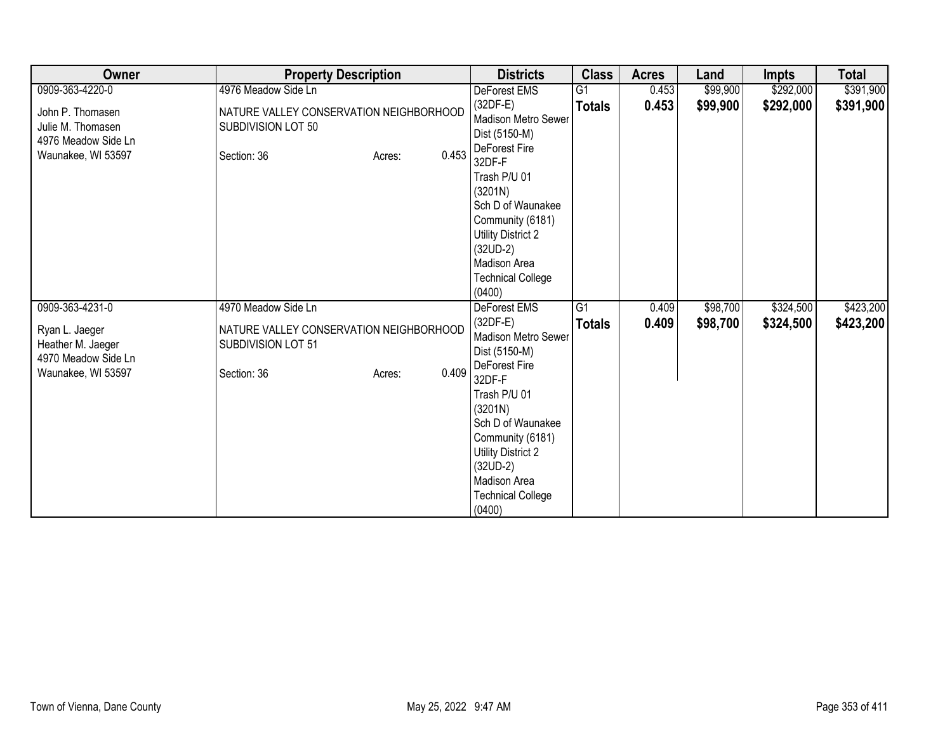| Owner                                                                              | <b>Property Description</b>                                                                     | <b>Districts</b>                                                                                                                                                                                                                                   | <b>Class</b>    | <b>Acres</b> | Land     | <b>Impts</b> | <b>Total</b> |
|------------------------------------------------------------------------------------|-------------------------------------------------------------------------------------------------|----------------------------------------------------------------------------------------------------------------------------------------------------------------------------------------------------------------------------------------------------|-----------------|--------------|----------|--------------|--------------|
| 0909-363-4220-0                                                                    | 4976 Meadow Side Ln                                                                             | DeForest EMS                                                                                                                                                                                                                                       | $\overline{G1}$ | 0.453        | \$99,900 | \$292,000    | \$391,900    |
| John P. Thomasen<br>Julie M. Thomasen<br>4976 Meadow Side Ln<br>Waunakee, WI 53597 | NATURE VALLEY CONSERVATION NEIGHBORHOOD<br>SUBDIVISION LOT 50<br>0.453<br>Section: 36<br>Acres: | $(32DF-E)$<br>Madison Metro Sewer<br>Dist (5150-M)<br>DeForest Fire<br>32DF-F                                                                                                                                                                      | <b>Totals</b>   | 0.453        | \$99,900 | \$292,000    | \$391,900    |
|                                                                                    |                                                                                                 | Trash P/U 01<br>(3201N)<br>Sch D of Waunakee<br>Community (6181)<br><b>Utility District 2</b><br>$(32UD-2)$<br>Madison Area<br><b>Technical College</b><br>(0400)                                                                                  |                 |              |          |              |              |
| 0909-363-4231-0                                                                    | 4970 Meadow Side Ln                                                                             | <b>DeForest EMS</b>                                                                                                                                                                                                                                | $\overline{G1}$ | 0.409        | \$98,700 | \$324,500    | \$423,200    |
| Ryan L. Jaeger<br>Heather M. Jaeger<br>4970 Meadow Side Ln<br>Waunakee, WI 53597   | NATURE VALLEY CONSERVATION NEIGHBORHOOD<br>SUBDIVISION LOT 51<br>0.409<br>Section: 36<br>Acres: | $(32DF-E)$<br>Madison Metro Sewer<br>Dist (5150-M)<br>DeForest Fire<br>32DF-F<br>Trash P/U 01<br>(3201N)<br>Sch D of Waunakee<br>Community (6181)<br><b>Utility District 2</b><br>$(32UD-2)$<br>Madison Area<br><b>Technical College</b><br>(0400) | <b>Totals</b>   | 0.409        | \$98,700 | \$324,500    | \$423,200    |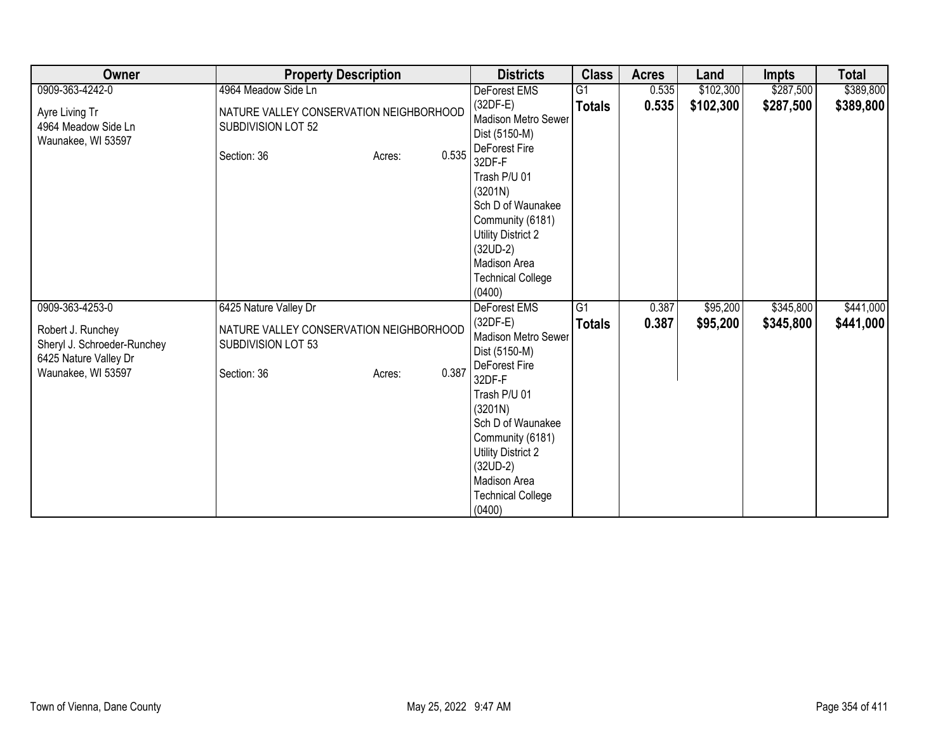| Owner                                                                                                              | <b>Property Description</b>                                                                                     |       | <b>Districts</b>                                                                                                                                                                                                                                                          | <b>Class</b>        | <b>Acres</b>   | Land                 | Impts                  | <b>Total</b>           |
|--------------------------------------------------------------------------------------------------------------------|-----------------------------------------------------------------------------------------------------------------|-------|---------------------------------------------------------------------------------------------------------------------------------------------------------------------------------------------------------------------------------------------------------------------------|---------------------|----------------|----------------------|------------------------|------------------------|
| 0909-363-4242-0                                                                                                    | 4964 Meadow Side Ln                                                                                             |       | DeForest EMS                                                                                                                                                                                                                                                              | G <sub>1</sub>      | 0.535          | \$102,300            | \$287,500              | \$389,800              |
| Ayre Living Tr<br>4964 Meadow Side Ln<br>Waunakee, WI 53597                                                        | NATURE VALLEY CONSERVATION NEIGHBORHOOD<br>SUBDIVISION LOT 52<br>Section: 36<br>Acres:                          | 0.535 | $(32DF-E)$<br>Madison Metro Sewer<br>Dist (5150-M)<br>DeForest Fire<br>32DF-F<br>Trash P/U 01                                                                                                                                                                             | <b>Totals</b>       | 0.535          | \$102,300            | \$287,500              | \$389,800              |
|                                                                                                                    |                                                                                                                 |       | (3201N)<br>Sch D of Waunakee<br>Community (6181)<br><b>Utility District 2</b><br>$(32UD-2)$<br>Madison Area<br><b>Technical College</b><br>(0400)                                                                                                                         |                     |                |                      |                        |                        |
| 0909-363-4253-0<br>Robert J. Runchey<br>Sheryl J. Schroeder-Runchey<br>6425 Nature Valley Dr<br>Waunakee, WI 53597 | 6425 Nature Valley Dr<br>NATURE VALLEY CONSERVATION NEIGHBORHOOD<br>SUBDIVISION LOT 53<br>Section: 36<br>Acres: | 0.387 | <b>DeForest EMS</b><br>$(32DF-E)$<br>Madison Metro Sewer<br>Dist (5150-M)<br>DeForest Fire<br>32DF-F<br>Trash P/U 01<br>(3201N)<br>Sch D of Waunakee<br>Community (6181)<br><b>Utility District 2</b><br>$(32UD-2)$<br>Madison Area<br><b>Technical College</b><br>(0400) | G1<br><b>Totals</b> | 0.387<br>0.387 | \$95,200<br>\$95,200 | \$345,800<br>\$345,800 | \$441,000<br>\$441,000 |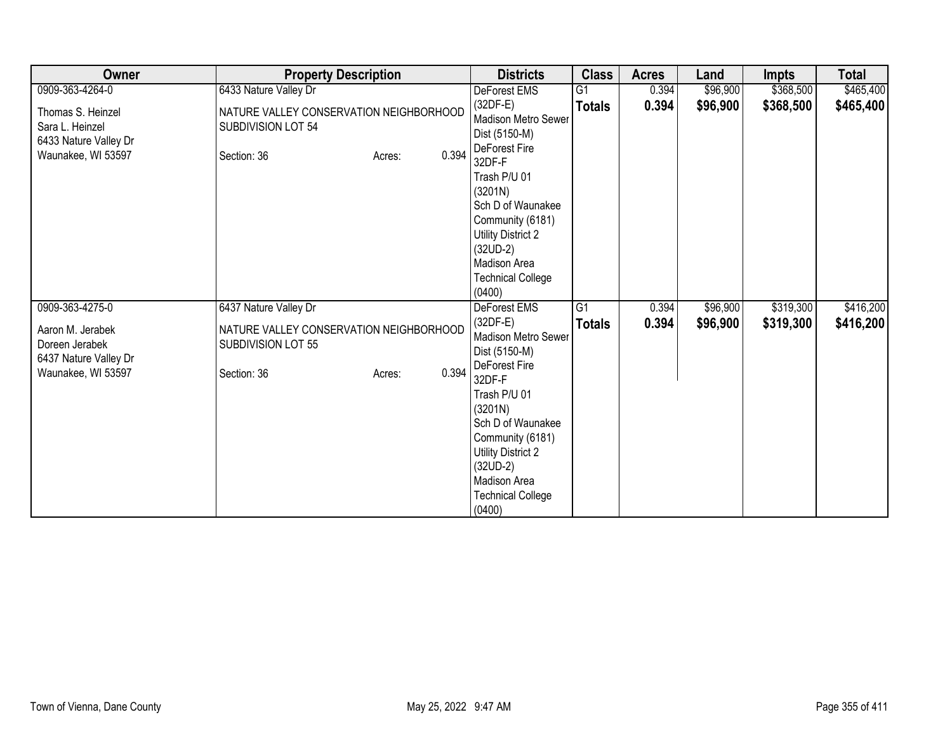| Owner                                                                               | <b>Property Description</b>                                                                     | <b>Districts</b>                                                                                                                                                                                                                                   | <b>Class</b>    | <b>Acres</b> | Land     | <b>Impts</b> | <b>Total</b> |
|-------------------------------------------------------------------------------------|-------------------------------------------------------------------------------------------------|----------------------------------------------------------------------------------------------------------------------------------------------------------------------------------------------------------------------------------------------------|-----------------|--------------|----------|--------------|--------------|
| 0909-363-4264-0                                                                     | 6433 Nature Valley Dr                                                                           | DeForest EMS                                                                                                                                                                                                                                       | $\overline{G1}$ | 0.394        | \$96,900 | \$368,500    | \$465,400    |
| Thomas S. Heinzel<br>Sara L. Heinzel<br>6433 Nature Valley Dr<br>Waunakee, WI 53597 | NATURE VALLEY CONSERVATION NEIGHBORHOOD<br>SUBDIVISION LOT 54<br>0.394<br>Section: 36<br>Acres: | $(32DF-E)$<br>Madison Metro Sewer<br>Dist (5150-M)<br>DeForest Fire<br>32DF-F                                                                                                                                                                      | <b>Totals</b>   | 0.394        | \$96,900 | \$368,500    | \$465,400    |
|                                                                                     |                                                                                                 | Trash P/U 01<br>(3201N)<br>Sch D of Waunakee<br>Community (6181)<br><b>Utility District 2</b><br>$(32UD-2)$<br>Madison Area<br><b>Technical College</b><br>(0400)                                                                                  |                 |              |          |              |              |
| 0909-363-4275-0                                                                     | 6437 Nature Valley Dr                                                                           | <b>DeForest EMS</b>                                                                                                                                                                                                                                | G1              | 0.394        | \$96,900 | \$319,300    | \$416,200    |
| Aaron M. Jerabek<br>Doreen Jerabek<br>6437 Nature Valley Dr<br>Waunakee, WI 53597   | NATURE VALLEY CONSERVATION NEIGHBORHOOD<br>SUBDIVISION LOT 55<br>0.394<br>Section: 36<br>Acres: | $(32DF-E)$<br>Madison Metro Sewer<br>Dist (5150-M)<br>DeForest Fire<br>32DF-F<br>Trash P/U 01<br>(3201N)<br>Sch D of Waunakee<br>Community (6181)<br><b>Utility District 2</b><br>$(32UD-2)$<br>Madison Area<br><b>Technical College</b><br>(0400) | <b>Totals</b>   | 0.394        | \$96,900 | \$319,300    | \$416,200    |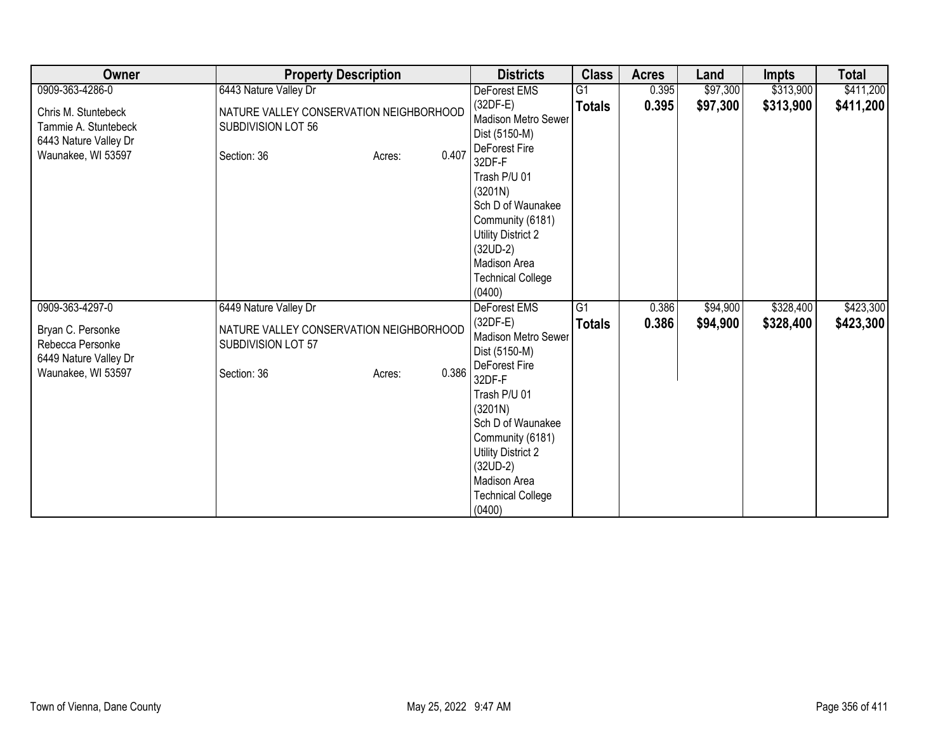| Owner                                                                                      | <b>Property Description</b>                                                            |       | <b>Districts</b>                                                                                                                                                                                                    | <b>Class</b>    | <b>Acres</b> | Land     | <b>Impts</b> | <b>Total</b> |
|--------------------------------------------------------------------------------------------|----------------------------------------------------------------------------------------|-------|---------------------------------------------------------------------------------------------------------------------------------------------------------------------------------------------------------------------|-----------------|--------------|----------|--------------|--------------|
| 0909-363-4286-0                                                                            | 6443 Nature Valley Dr                                                                  |       | DeForest EMS                                                                                                                                                                                                        | $\overline{G1}$ | 0.395        | \$97,300 | \$313,900    | \$411,200    |
| Chris M. Stuntebeck<br>Tammie A. Stuntebeck<br>6443 Nature Valley Dr<br>Waunakee, WI 53597 | NATURE VALLEY CONSERVATION NEIGHBORHOOD<br>SUBDIVISION LOT 56<br>Section: 36<br>Acres: | 0.407 | $(32DF-E)$<br><b>Madison Metro Sewer</b><br>Dist (5150-M)<br>DeForest Fire<br>32DF-F                                                                                                                                | <b>Totals</b>   | 0.395        | \$97,300 | \$313,900    | \$411,200    |
|                                                                                            |                                                                                        |       | Trash P/U 01<br>(3201N)<br>Sch D of Waunakee<br>Community (6181)<br><b>Utility District 2</b><br>$(32UD-2)$<br>Madison Area<br><b>Technical College</b><br>(0400)                                                   |                 |              |          |              |              |
| 0909-363-4297-0                                                                            | 6449 Nature Valley Dr                                                                  |       | <b>DeForest EMS</b>                                                                                                                                                                                                 | $\overline{G1}$ | 0.386        | \$94,900 | \$328,400    | \$423,300    |
| Bryan C. Personke<br>Rebecca Personke<br>6449 Nature Valley Dr<br>Waunakee, WI 53597       | NATURE VALLEY CONSERVATION NEIGHBORHOOD<br>SUBDIVISION LOT 57<br>Section: 36<br>Acres: | 0.386 | $(32DF-E)$<br><b>Madison Metro Sewer</b><br>Dist (5150-M)<br>DeForest Fire<br>32DF-F<br>Trash P/U 01<br>(3201N)<br>Sch D of Waunakee<br>Community (6181)<br><b>Utility District 2</b><br>$(32UD-2)$<br>Madison Area | <b>Totals</b>   | 0.386        | \$94,900 | \$328,400    | \$423,300    |
|                                                                                            |                                                                                        |       | <b>Technical College</b><br>(0400)                                                                                                                                                                                  |                 |              |          |              |              |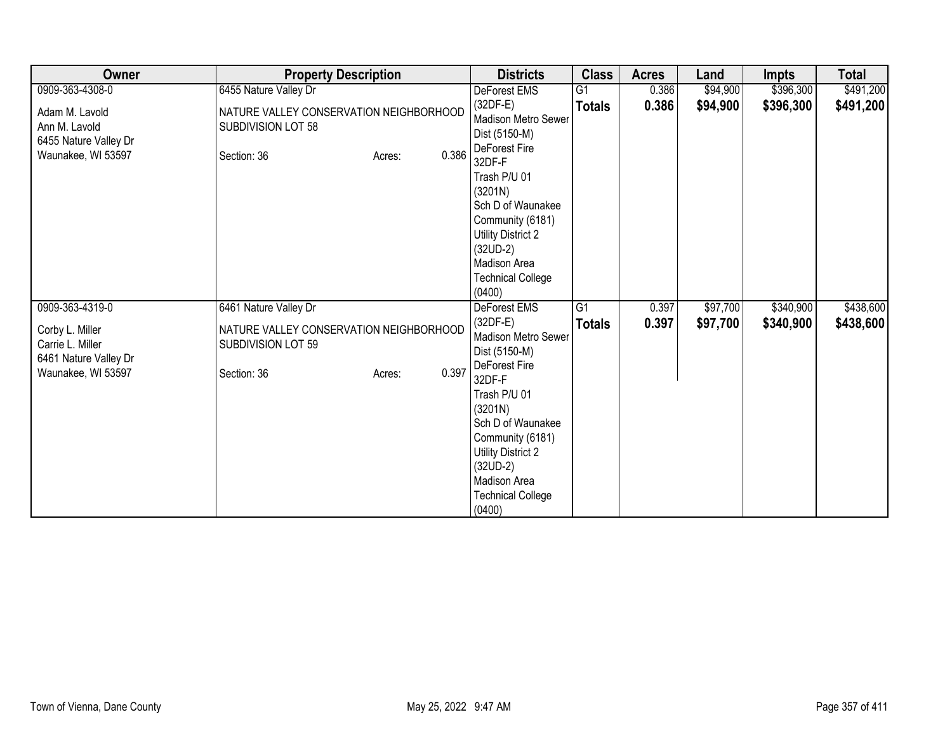| Owner                                                                              | <b>Property Description</b>                                                            |       | <b>Districts</b>                                                                                                                                                                                                    | <b>Class</b>    | <b>Acres</b> | Land     | <b>Impts</b> | <b>Total</b> |
|------------------------------------------------------------------------------------|----------------------------------------------------------------------------------------|-------|---------------------------------------------------------------------------------------------------------------------------------------------------------------------------------------------------------------------|-----------------|--------------|----------|--------------|--------------|
| 0909-363-4308-0                                                                    | 6455 Nature Valley Dr                                                                  |       | DeForest EMS                                                                                                                                                                                                        | $\overline{G1}$ | 0.386        | \$94,900 | \$396,300    | \$491,200    |
| Adam M. Lavold<br>Ann M. Lavold<br>6455 Nature Valley Dr<br>Waunakee, WI 53597     | NATURE VALLEY CONSERVATION NEIGHBORHOOD<br>SUBDIVISION LOT 58<br>Section: 36<br>Acres: | 0.386 | $(32DF-E)$<br><b>Madison Metro Sewer</b><br>Dist (5150-M)<br>DeForest Fire<br>32DF-F                                                                                                                                | <b>Totals</b>   | 0.386        | \$94,900 | \$396,300    | \$491,200    |
|                                                                                    |                                                                                        |       | Trash P/U 01<br>(3201N)<br>Sch D of Waunakee<br>Community (6181)<br>Utility District 2<br>$(32UD-2)$<br>Madison Area<br><b>Technical College</b><br>(0400)                                                          |                 |              |          |              |              |
| 0909-363-4319-0                                                                    | 6461 Nature Valley Dr                                                                  |       | <b>DeForest EMS</b>                                                                                                                                                                                                 | $\overline{G1}$ | 0.397        | \$97,700 | \$340,900    | \$438,600    |
| Corby L. Miller<br>Carrie L. Miller<br>6461 Nature Valley Dr<br>Waunakee, WI 53597 | NATURE VALLEY CONSERVATION NEIGHBORHOOD<br>SUBDIVISION LOT 59<br>Section: 36<br>Acres: | 0.397 | $(32DF-E)$<br><b>Madison Metro Sewer</b><br>Dist (5150-M)<br>DeForest Fire<br>32DF-F<br>Trash P/U 01<br>(3201N)<br>Sch D of Waunakee<br>Community (6181)<br><b>Utility District 2</b><br>$(32UD-2)$<br>Madison Area | <b>Totals</b>   | 0.397        | \$97,700 | \$340,900    | \$438,600    |
|                                                                                    |                                                                                        |       | <b>Technical College</b><br>(0400)                                                                                                                                                                                  |                 |              |          |              |              |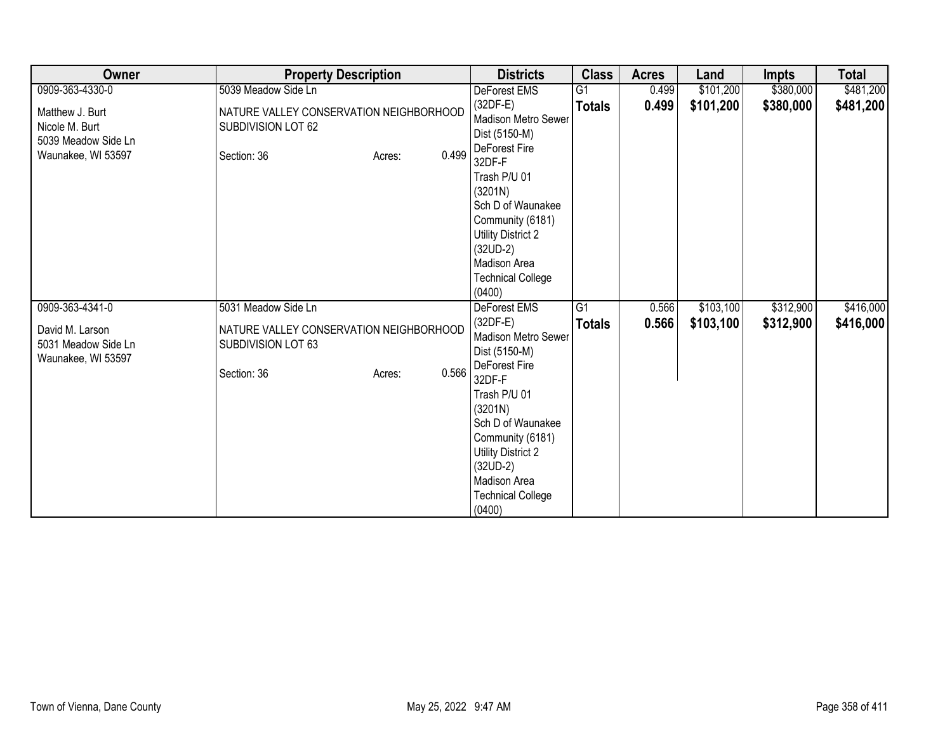| Owner                                                                          | <b>Property Description</b>                                                            |       | <b>Districts</b>                                                                                                                                                            | <b>Class</b>    | <b>Acres</b> | Land      | <b>Impts</b> | <b>Total</b> |
|--------------------------------------------------------------------------------|----------------------------------------------------------------------------------------|-------|-----------------------------------------------------------------------------------------------------------------------------------------------------------------------------|-----------------|--------------|-----------|--------------|--------------|
| 0909-363-4330-0                                                                | 5039 Meadow Side Ln                                                                    |       | DeForest EMS                                                                                                                                                                | $\overline{G1}$ | 0.499        | \$101,200 | \$380,000    | \$481,200    |
| Matthew J. Burt<br>Nicole M. Burt<br>5039 Meadow Side Ln<br>Waunakee, WI 53597 | NATURE VALLEY CONSERVATION NEIGHBORHOOD<br>SUBDIVISION LOT 62<br>Section: 36<br>Acres: | 0.499 | $(32DF-E)$<br>Madison Metro Sewer<br>Dist (5150-M)<br>DeForest Fire<br>32DF-F                                                                                               | <b>Totals</b>   | 0.499        | \$101,200 | \$380,000    | \$481,200    |
|                                                                                |                                                                                        |       | Trash P/U 01<br>(3201N)<br>Sch D of Waunakee<br>Community (6181)<br><b>Utility District 2</b><br>$(32UD-2)$<br>Madison Area<br><b>Technical College</b><br>(0400)           |                 |              |           |              |              |
| 0909-363-4341-0                                                                | 5031 Meadow Side Ln                                                                    |       | <b>DeForest EMS</b>                                                                                                                                                         | G1              | 0.566        | \$103,100 | \$312,900    | \$416,000    |
| David M. Larson<br>5031 Meadow Side Ln<br>Waunakee, WI 53597                   | NATURE VALLEY CONSERVATION NEIGHBORHOOD<br>SUBDIVISION LOT 63                          |       | $(32DF-E)$<br>Madison Metro Sewer<br>Dist (5150-M)<br>DeForest Fire                                                                                                         | <b>Totals</b>   | 0.566        | \$103,100 | \$312,900    | \$416,000    |
|                                                                                | Section: 36<br>Acres:                                                                  | 0.566 | 32DF-F<br>Trash P/U 01<br>(3201N)<br>Sch D of Waunakee<br>Community (6181)<br><b>Utility District 2</b><br>$(32UD-2)$<br>Madison Area<br><b>Technical College</b><br>(0400) |                 |              |           |              |              |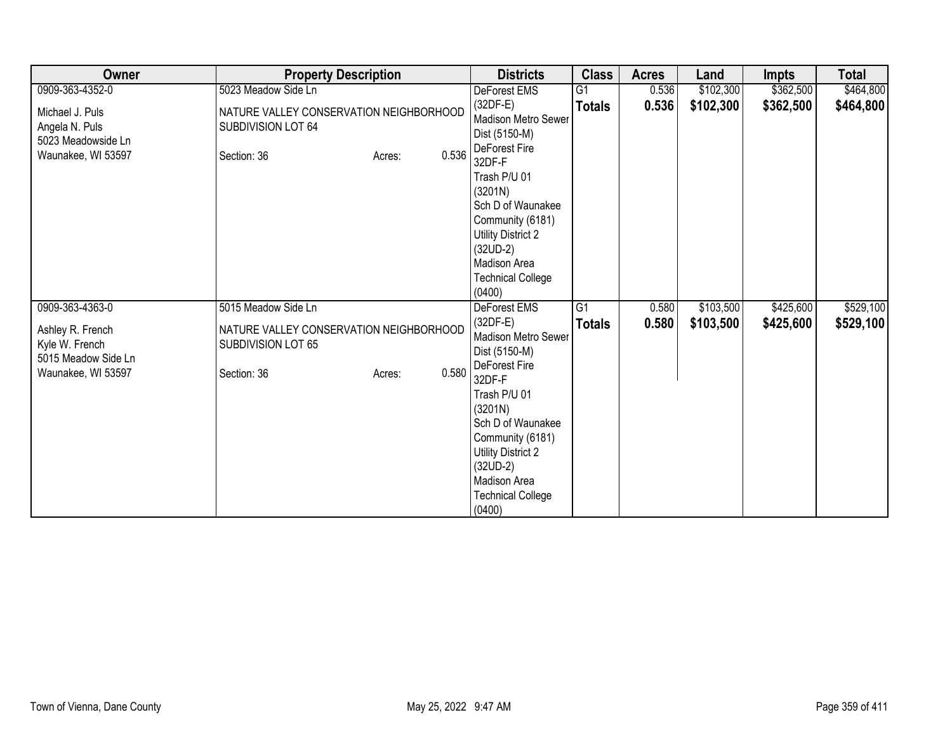| Owner                                                                           | <b>Property Description</b>                                                                     | <b>Districts</b>                                                                                                                                                                                                                                   | <b>Class</b>    | <b>Acres</b> | Land      | <b>Impts</b> | <b>Total</b> |
|---------------------------------------------------------------------------------|-------------------------------------------------------------------------------------------------|----------------------------------------------------------------------------------------------------------------------------------------------------------------------------------------------------------------------------------------------------|-----------------|--------------|-----------|--------------|--------------|
| 0909-363-4352-0                                                                 | 5023 Meadow Side Ln                                                                             | DeForest EMS                                                                                                                                                                                                                                       | $\overline{G1}$ | 0.536        | \$102,300 | \$362,500    | \$464,800    |
| Michael J. Puls<br>Angela N. Puls<br>5023 Meadowside Ln<br>Waunakee, WI 53597   | NATURE VALLEY CONSERVATION NEIGHBORHOOD<br>SUBDIVISION LOT 64<br>0.536<br>Section: 36<br>Acres: | $(32DF-E)$<br>Madison Metro Sewer<br>Dist (5150-M)<br>DeForest Fire<br>32DF-F                                                                                                                                                                      | <b>Totals</b>   | 0.536        | \$102,300 | \$362,500    | \$464,800    |
|                                                                                 |                                                                                                 | Trash P/U 01<br>(3201N)<br>Sch D of Waunakee<br>Community (6181)<br><b>Utility District 2</b><br>$(32UD-2)$<br>Madison Area<br><b>Technical College</b><br>(0400)                                                                                  |                 |              |           |              |              |
| 0909-363-4363-0                                                                 | 5015 Meadow Side Ln                                                                             | <b>DeForest EMS</b>                                                                                                                                                                                                                                | G1              | 0.580        | \$103,500 | \$425,600    | \$529,100    |
| Ashley R. French<br>Kyle W. French<br>5015 Meadow Side Ln<br>Waunakee, WI 53597 | NATURE VALLEY CONSERVATION NEIGHBORHOOD<br>SUBDIVISION LOT 65<br>0.580<br>Section: 36<br>Acres: | $(32DF-E)$<br>Madison Metro Sewer<br>Dist (5150-M)<br>DeForest Fire<br>32DF-F<br>Trash P/U 01<br>(3201N)<br>Sch D of Waunakee<br>Community (6181)<br><b>Utility District 2</b><br>$(32UD-2)$<br>Madison Area<br><b>Technical College</b><br>(0400) | <b>Totals</b>   | 0.580        | \$103,500 | \$425,600    | \$529,100    |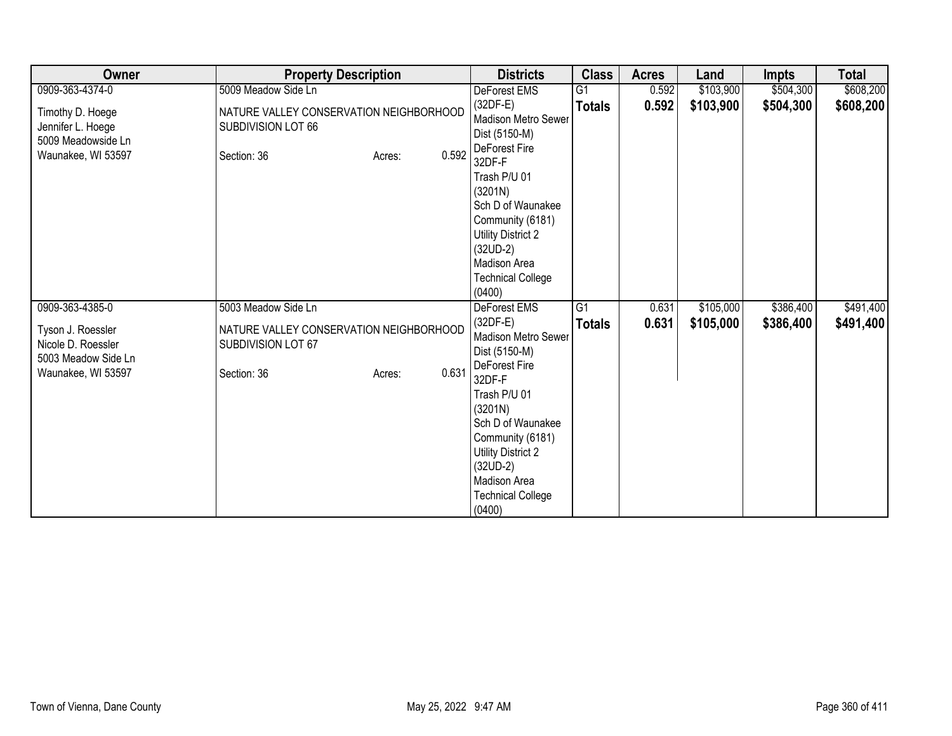| Owner                                                                                | <b>Property Description</b>                                                  |                 | <b>Districts</b>                                                                                                                                                                                                                                          | <b>Class</b>    | <b>Acres</b> | Land      | <b>Impts</b> | <b>Total</b> |
|--------------------------------------------------------------------------------------|------------------------------------------------------------------------------|-----------------|-----------------------------------------------------------------------------------------------------------------------------------------------------------------------------------------------------------------------------------------------------------|-----------------|--------------|-----------|--------------|--------------|
| 0909-363-4374-0                                                                      | 5009 Meadow Side Ln                                                          |                 | DeForest EMS                                                                                                                                                                                                                                              | $\overline{G1}$ | 0.592        | \$103,900 | \$504,300    | \$608,200    |
| Timothy D. Hoege<br>Jennifer L. Hoege<br>5009 Meadowside Ln<br>Waunakee, WI 53597    | NATURE VALLEY CONSERVATION NEIGHBORHOOD<br>SUBDIVISION LOT 66<br>Section: 36 | 0.592<br>Acres: | $(32DF-E)$<br><b>Madison Metro Sewer</b><br>Dist (5150-M)<br>DeForest Fire<br>32DF-F                                                                                                                                                                      | <b>Totals</b>   | 0.592        | \$103,900 | \$504,300    | \$608,200    |
|                                                                                      |                                                                              |                 | Trash P/U 01<br>(3201N)<br>Sch D of Waunakee<br>Community (6181)<br><b>Utility District 2</b><br>$(32UD-2)$<br>Madison Area<br><b>Technical College</b><br>(0400)                                                                                         |                 |              |           |              |              |
| 0909-363-4385-0                                                                      | 5003 Meadow Side Ln                                                          |                 | <b>DeForest EMS</b>                                                                                                                                                                                                                                       | $\overline{G1}$ | 0.631        | \$105,000 | \$386,400    | \$491,400    |
| Tyson J. Roessler<br>Nicole D. Roessler<br>5003 Meadow Side Ln<br>Waunakee, WI 53597 | NATURE VALLEY CONSERVATION NEIGHBORHOOD<br>SUBDIVISION LOT 67<br>Section: 36 | 0.631<br>Acres: | $(32DF-E)$<br><b>Madison Metro Sewer</b><br>Dist (5150-M)<br>DeForest Fire<br>32DF-F<br>Trash P/U 01<br>(3201N)<br>Sch D of Waunakee<br>Community (6181)<br><b>Utility District 2</b><br>$(32UD-2)$<br>Madison Area<br><b>Technical College</b><br>(0400) | <b>Totals</b>   | 0.631        | \$105,000 | \$386,400    | \$491,400    |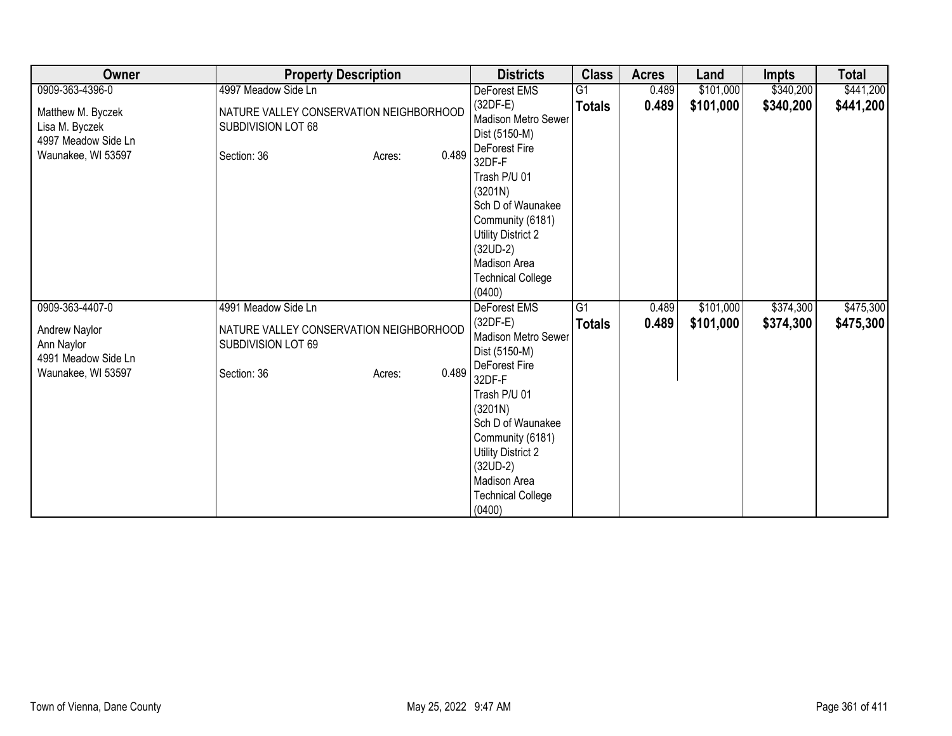| Owner                                                                                       | <b>Property Description</b>                                                                                            | <b>Districts</b>                                                                                                                                                                                                                                                                    | <b>Class</b>        | <b>Acres</b>   | Land                   | Impts                  | <b>Total</b>           |
|---------------------------------------------------------------------------------------------|------------------------------------------------------------------------------------------------------------------------|-------------------------------------------------------------------------------------------------------------------------------------------------------------------------------------------------------------------------------------------------------------------------------------|---------------------|----------------|------------------------|------------------------|------------------------|
| 0909-363-4396-0                                                                             | 4997 Meadow Side Ln                                                                                                    | DeForest EMS                                                                                                                                                                                                                                                                        | G <sub>1</sub>      | 0.489          | \$101,000              | \$340,200              | \$441,200              |
| Matthew M. Byczek<br>Lisa M. Byczek<br>4997 Meadow Side Ln<br>Waunakee, WI 53597            | NATURE VALLEY CONSERVATION NEIGHBORHOOD<br>SUBDIVISION LOT 68<br>0.489<br>Section: 36<br>Acres:                        | $(32DF-E)$<br>Madison Metro Sewer<br>Dist (5150-M)<br>DeForest Fire<br>32DF-F<br>Trash P/U 01<br>(3201N)<br>Sch D of Waunakee<br>Community (6181)<br><b>Utility District 2</b><br>$(32UD-2)$<br>Madison Area<br><b>Technical College</b>                                            | <b>Totals</b>       | 0.489          | \$101,000              | \$340,200              | \$441,200              |
| 0909-363-4407-0<br>Andrew Naylor<br>Ann Naylor<br>4991 Meadow Side Ln<br>Waunakee, WI 53597 | 4991 Meadow Side Ln<br>NATURE VALLEY CONSERVATION NEIGHBORHOOD<br>SUBDIVISION LOT 69<br>0.489<br>Section: 36<br>Acres: | (0400)<br><b>DeForest EMS</b><br>$(32DF-E)$<br>Madison Metro Sewer<br>Dist (5150-M)<br>DeForest Fire<br>32DF-F<br>Trash P/U 01<br>(3201N)<br>Sch D of Waunakee<br>Community (6181)<br><b>Utility District 2</b><br>$(32UD-2)$<br>Madison Area<br><b>Technical College</b><br>(0400) | G1<br><b>Totals</b> | 0.489<br>0.489 | \$101,000<br>\$101,000 | \$374,300<br>\$374,300 | \$475,300<br>\$475,300 |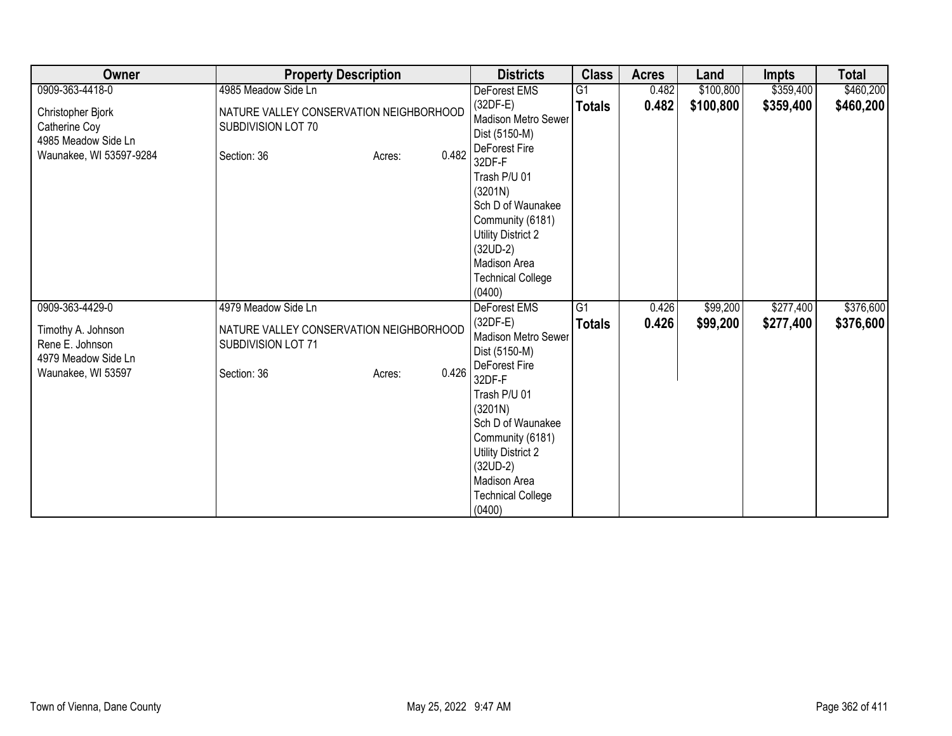| Owner                                                                                | <b>Property Description</b>                                                            |       | <b>Districts</b>                                                                                                                                                                                                                                          | <b>Class</b>    | <b>Acres</b> | Land      | <b>Impts</b> | <b>Total</b> |
|--------------------------------------------------------------------------------------|----------------------------------------------------------------------------------------|-------|-----------------------------------------------------------------------------------------------------------------------------------------------------------------------------------------------------------------------------------------------------------|-----------------|--------------|-----------|--------------|--------------|
| 0909-363-4418-0                                                                      | 4985 Meadow Side Ln                                                                    |       | DeForest EMS                                                                                                                                                                                                                                              | $\overline{G1}$ | 0.482        | \$100,800 | \$359,400    | \$460,200    |
| Christopher Bjork<br>Catherine Coy<br>4985 Meadow Side Ln<br>Waunakee, WI 53597-9284 | NATURE VALLEY CONSERVATION NEIGHBORHOOD<br>SUBDIVISION LOT 70<br>Section: 36<br>Acres: | 0.482 | $(32DF-E)$<br><b>Madison Metro Sewer</b><br>Dist (5150-M)<br>DeForest Fire<br>32DF-F                                                                                                                                                                      | <b>Totals</b>   | 0.482        | \$100,800 | \$359,400    | \$460,200    |
|                                                                                      |                                                                                        |       | Trash P/U 01<br>(3201N)<br>Sch D of Waunakee<br>Community (6181)<br><b>Utility District 2</b><br>$(32UD-2)$<br>Madison Area<br><b>Technical College</b><br>(0400)                                                                                         |                 |              |           |              |              |
| 0909-363-4429-0                                                                      | 4979 Meadow Side Ln                                                                    |       | <b>DeForest EMS</b>                                                                                                                                                                                                                                       | $\overline{G1}$ | 0.426        | \$99,200  | \$277,400    | \$376,600    |
| Timothy A. Johnson<br>Rene E. Johnson<br>4979 Meadow Side Ln<br>Waunakee, WI 53597   | NATURE VALLEY CONSERVATION NEIGHBORHOOD<br>SUBDIVISION LOT 71<br>Section: 36<br>Acres: | 0.426 | $(32DF-E)$<br><b>Madison Metro Sewer</b><br>Dist (5150-M)<br>DeForest Fire<br>32DF-F<br>Trash P/U 01<br>(3201N)<br>Sch D of Waunakee<br>Community (6181)<br><b>Utility District 2</b><br>$(32UD-2)$<br>Madison Area<br><b>Technical College</b><br>(0400) | <b>Totals</b>   | 0.426        | \$99,200  | \$277,400    | \$376,600    |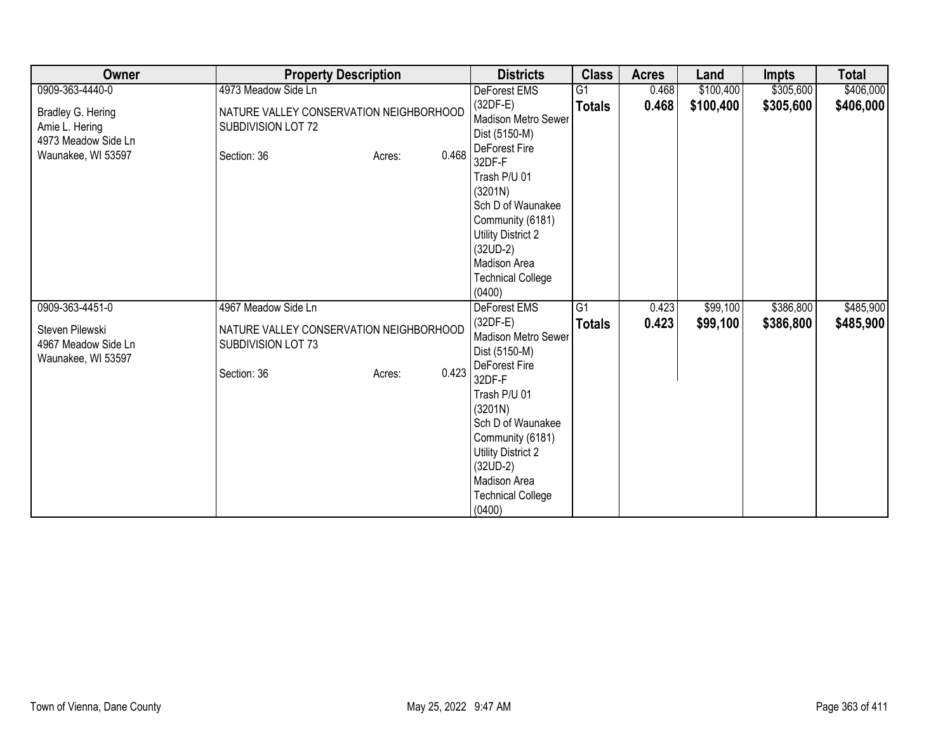| Owner                                                                            | <b>Property Description</b>                                                  |                 | <b>Districts</b>                                                                                                                     | <b>Class</b>    | <b>Acres</b> | Land      | <b>Impts</b> | <b>Total</b> |
|----------------------------------------------------------------------------------|------------------------------------------------------------------------------|-----------------|--------------------------------------------------------------------------------------------------------------------------------------|-----------------|--------------|-----------|--------------|--------------|
| 0909-363-4440-0                                                                  | 4973 Meadow Side Ln                                                          |                 | DeForest EMS                                                                                                                         | G1              | 0.468        | \$100,400 | \$305,600    | \$406,000    |
| Bradley G. Hering<br>Amie L. Hering<br>4973 Meadow Side Ln<br>Waunakee, WI 53597 | NATURE VALLEY CONSERVATION NEIGHBORHOOD<br>SUBDIVISION LOT 72<br>Section: 36 | 0.468<br>Acres: | $(32DF-E)$<br><b>Madison Metro Sewer</b><br>Dist (5150-M)<br>DeForest Fire<br>32DF-F<br>Trash P/U 01<br>(3201N)<br>Sch D of Waunakee | <b>Totals</b>   | 0.468        | \$100,400 | \$305,600    | \$406,000    |
|                                                                                  |                                                                              |                 | Community (6181)<br>Utility District 2<br>$(32UD-2)$<br>Madison Area<br><b>Technical College</b><br>(0400)                           |                 |              |           |              |              |
| 0909-363-4451-0                                                                  | 4967 Meadow Side Ln                                                          |                 | <b>DeForest EMS</b>                                                                                                                  | $\overline{G1}$ | 0.423        | \$99,100  | \$386,800    | \$485,900    |
| Steven Pilewski<br>4967 Meadow Side Ln<br>Waunakee, WI 53597                     | NATURE VALLEY CONSERVATION NEIGHBORHOOD<br>SUBDIVISION LOT 73                |                 | $(32DF-E)$<br>Madison Metro Sewer<br>Dist (5150-M)                                                                                   | <b>Totals</b>   | 0.423        | \$99,100  | \$386,800    | \$485,900    |
|                                                                                  | Section: 36                                                                  | 0.423<br>Acres: | DeForest Fire<br>32DF-F                                                                                                              |                 |              |           |              |              |
|                                                                                  |                                                                              |                 | Trash P/U 01<br>(3201N)<br>Sch D of Waunakee                                                                                         |                 |              |           |              |              |
|                                                                                  |                                                                              |                 | Community (6181)<br><b>Utility District 2</b>                                                                                        |                 |              |           |              |              |
|                                                                                  |                                                                              |                 | $(32UD-2)$                                                                                                                           |                 |              |           |              |              |
|                                                                                  |                                                                              |                 | Madison Area<br><b>Technical College</b>                                                                                             |                 |              |           |              |              |
|                                                                                  |                                                                              |                 | (0400)                                                                                                                               |                 |              |           |              |              |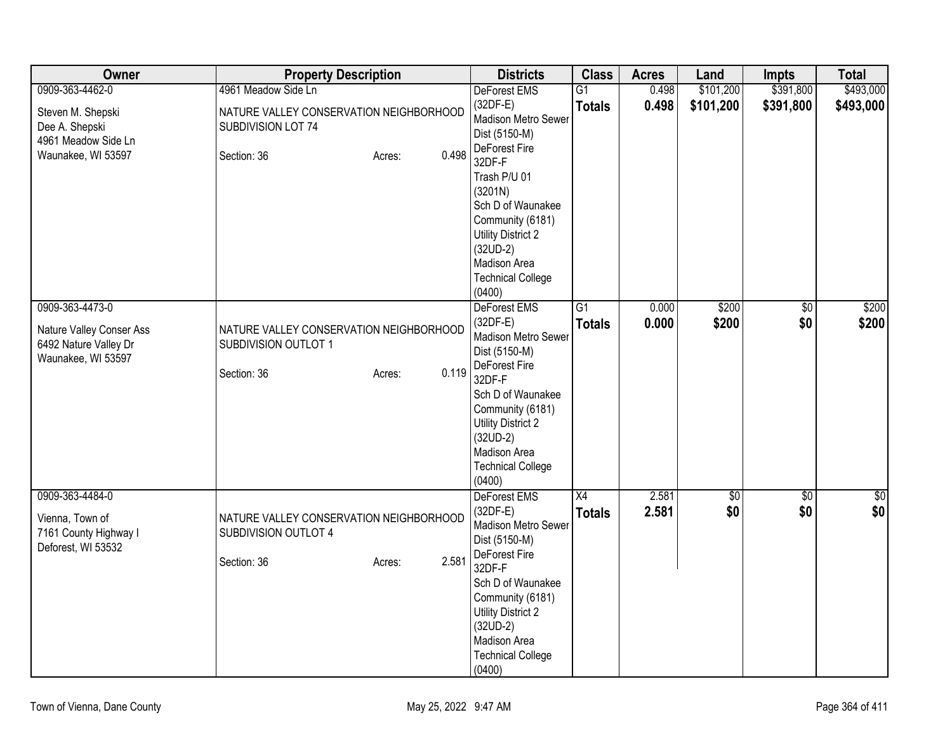| Owner                                                                                      | <b>Property Description</b>                                                                       | <b>Districts</b>                                                                                                                                                                                                                        | <b>Class</b>                     | <b>Acres</b>   | Land               | <b>Impts</b>           | <b>Total</b>   |
|--------------------------------------------------------------------------------------------|---------------------------------------------------------------------------------------------------|-----------------------------------------------------------------------------------------------------------------------------------------------------------------------------------------------------------------------------------------|----------------------------------|----------------|--------------------|------------------------|----------------|
| 0909-363-4462-0                                                                            | 4961 Meadow Side Ln                                                                               | DeForest EMS                                                                                                                                                                                                                            | $\overline{G1}$                  | 0.498          | \$101,200          | \$391,800              | \$493,000      |
| Steven M. Shepski<br>Dee A. Shepski<br>4961 Meadow Side Ln                                 | NATURE VALLEY CONSERVATION NEIGHBORHOOD<br>SUBDIVISION LOT 74                                     | $(32DF-E)$<br>Madison Metro Sewer<br>Dist (5150-M)<br>DeForest Fire                                                                                                                                                                     | <b>Totals</b>                    | 0.498          | \$101,200          | \$391,800              | \$493,000      |
| Waunakee, WI 53597                                                                         | 0.498<br>Section: 36<br>Acres:                                                                    | 32DF-F<br>Trash P/U 01<br>(3201N)<br>Sch D of Waunakee<br>Community (6181)<br><b>Utility District 2</b><br>$(32UD-2)$<br>Madison Area<br><b>Technical College</b><br>(0400)                                                             |                                  |                |                    |                        |                |
| 0909-363-4473-0<br>Nature Valley Conser Ass<br>6492 Nature Valley Dr<br>Waunakee, WI 53597 | NATURE VALLEY CONSERVATION NEIGHBORHOOD<br>SUBDIVISION OUTLOT 1<br>0.119<br>Section: 36<br>Acres: | DeForest EMS<br>$(32DF-E)$<br>Madison Metro Sewer<br>Dist (5150-M)<br>DeForest Fire<br>32DF-F<br>Sch D of Waunakee<br>Community (6181)<br><b>Utility District 2</b><br>$(32UD-2)$<br>Madison Area<br><b>Technical College</b><br>(0400) | $\overline{G1}$<br><b>Totals</b> | 0.000<br>0.000 | \$200<br>\$200     | $\overline{50}$<br>\$0 | \$200<br>\$200 |
| 0909-363-4484-0<br>Vienna, Town of<br>7161 County Highway I<br>Deforest, WI 53532          | NATURE VALLEY CONSERVATION NEIGHBORHOOD<br>SUBDIVISION OUTLOT 4<br>2.581<br>Section: 36<br>Acres: | DeForest EMS<br>$(32DF-E)$<br>Madison Metro Sewer<br>Dist (5150-M)<br>DeForest Fire<br>32DF-F<br>Sch D of Waunakee<br>Community (6181)<br><b>Utility District 2</b><br>$(32UD-2)$<br>Madison Area<br><b>Technical College</b><br>(0400) | X4<br><b>Totals</b>              | 2.581<br>2.581 | $\sqrt{50}$<br>\$0 | \$0<br>\$0             | \$0<br>\$0     |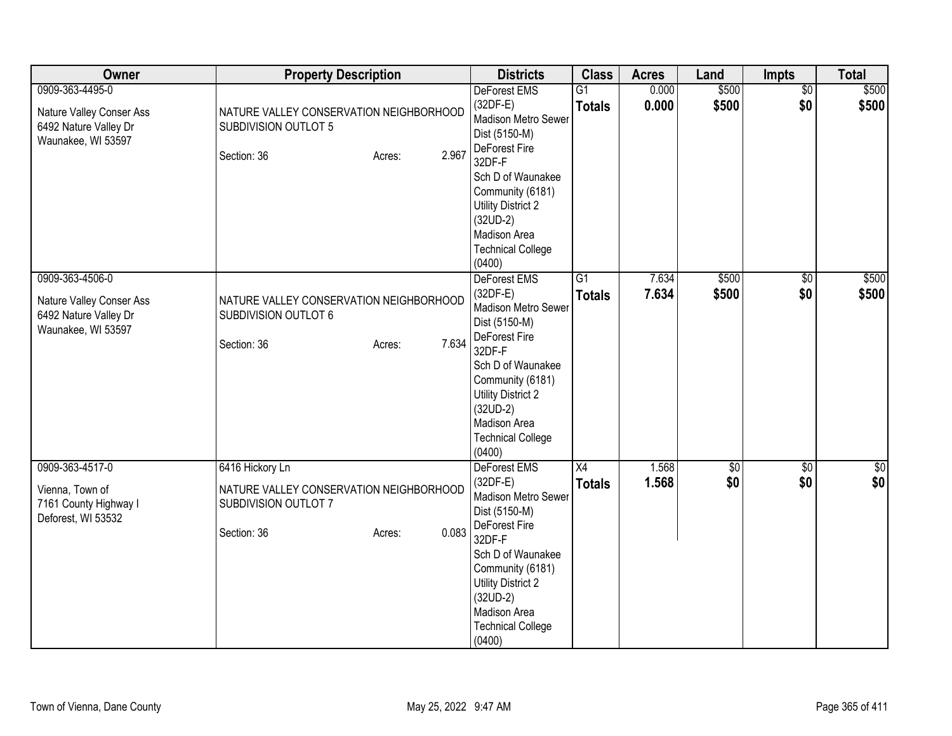| Owner                                                                                      | <b>Property Description</b>                                                                                          | <b>Districts</b>                                                                                                                                                                                                                                      | <b>Class</b>                     | <b>Acres</b>   | Land           | Impts                  | <b>Total</b>       |
|--------------------------------------------------------------------------------------------|----------------------------------------------------------------------------------------------------------------------|-------------------------------------------------------------------------------------------------------------------------------------------------------------------------------------------------------------------------------------------------------|----------------------------------|----------------|----------------|------------------------|--------------------|
| 0909-363-4495-0<br>Nature Valley Conser Ass<br>6492 Nature Valley Dr<br>Waunakee, WI 53597 | NATURE VALLEY CONSERVATION NEIGHBORHOOD<br>SUBDIVISION OUTLOT 5<br>2.967<br>Section: 36<br>Acres:                    | <b>DeForest EMS</b><br>$(32DF-E)$<br><b>Madison Metro Sewer</b><br>Dist (5150-M)<br>DeForest Fire<br>32DF-F<br>Sch D of Waunakee<br>Community (6181)<br><b>Utility District 2</b><br>$(32UD-2)$<br>Madison Area<br><b>Technical College</b><br>(0400) | $\overline{G1}$<br><b>Totals</b> | 0.000<br>0.000 | \$500<br>\$500 | $\overline{50}$<br>\$0 | \$500<br>\$500     |
| 0909-363-4506-0<br>Nature Valley Conser Ass<br>6492 Nature Valley Dr<br>Waunakee, WI 53597 | NATURE VALLEY CONSERVATION NEIGHBORHOOD<br>SUBDIVISION OUTLOT 6<br>7.634<br>Section: 36<br>Acres:                    | DeForest EMS<br>$(32DF-E)$<br>Madison Metro Sewer<br>Dist (5150-M)<br>DeForest Fire<br>32DF-F<br>Sch D of Waunakee<br>Community (6181)<br><b>Utility District 2</b><br>$(32UD-2)$<br>Madison Area<br><b>Technical College</b><br>(0400)               | $\overline{G1}$<br><b>Totals</b> | 7.634<br>7.634 | \$500<br>\$500 | $\overline{50}$<br>\$0 | \$500<br>\$500     |
| 0909-363-4517-0<br>Vienna, Town of<br>7161 County Highway I<br>Deforest, WI 53532          | 6416 Hickory Ln<br>NATURE VALLEY CONSERVATION NEIGHBORHOOD<br>SUBDIVISION OUTLOT 7<br>0.083<br>Section: 36<br>Acres: | DeForest EMS<br>$(32DF-E)$<br>Madison Metro Sewer<br>Dist (5150-M)<br>DeForest Fire<br>32DF-F<br>Sch D of Waunakee<br>Community (6181)<br><b>Utility District 2</b><br>$(32UD-2)$<br>Madison Area<br><b>Technical College</b><br>(0400)               | X4<br><b>Totals</b>              | 1.568<br>1.568 | \$0<br>\$0     | $\overline{50}$<br>\$0 | $\sqrt{50}$<br>\$0 |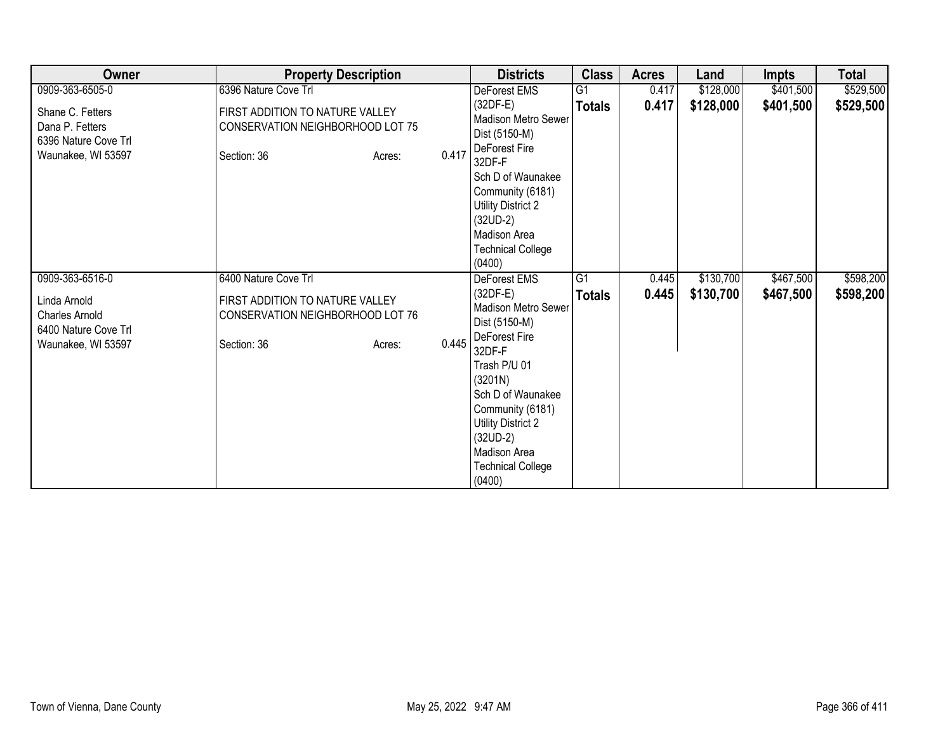| Owner                                                         | <b>Property Description</b>                                         |       | <b>Districts</b>                                                                                                                                                                             | <b>Class</b>    | <b>Acres</b> | Land      | <b>Impts</b> | <b>Total</b> |
|---------------------------------------------------------------|---------------------------------------------------------------------|-------|----------------------------------------------------------------------------------------------------------------------------------------------------------------------------------------------|-----------------|--------------|-----------|--------------|--------------|
| 0909-363-6505-0                                               | 6396 Nature Cove Trl                                                |       | DeForest EMS                                                                                                                                                                                 | $\overline{G1}$ | 0.417        | \$128,000 | \$401,500    | \$529,500    |
| Shane C. Fetters<br>Dana P. Fetters<br>6396 Nature Cove Trl   | FIRST ADDITION TO NATURE VALLEY<br>CONSERVATION NEIGHBORHOOD LOT 75 |       | $(32DF-E)$<br>Madison Metro Sewer<br>Dist (5150-M)<br>DeForest Fire                                                                                                                          | <b>Totals</b>   | 0.417        | \$128,000 | \$401,500    | \$529,500    |
| Waunakee, WI 53597                                            | Section: 36<br>Acres:                                               | 0.417 | 32DF-F<br>Sch D of Waunakee<br>Community (6181)<br>Utility District 2<br>$(32UD-2)$<br>Madison Area<br><b>Technical College</b><br>(0400)                                                    |                 |              |           |              |              |
| 0909-363-6516-0                                               | 6400 Nature Cove Trl                                                |       | DeForest EMS                                                                                                                                                                                 | $\overline{G1}$ | 0.445        | \$130,700 | \$467,500    | \$598,200    |
| Linda Arnold<br><b>Charles Arnold</b><br>6400 Nature Cove Trl | FIRST ADDITION TO NATURE VALLEY<br>CONSERVATION NEIGHBORHOOD LOT 76 |       | $(32DF-E)$<br>Madison Metro Sewer<br>Dist (5150-M)                                                                                                                                           | <b>Totals</b>   | 0.445        | \$130,700 | \$467,500    | \$598,200    |
| Waunakee, WI 53597                                            | Section: 36<br>Acres:                                               | 0.445 | DeForest Fire<br>32DF-F<br>Trash P/U 01<br>(3201N)<br>Sch D of Waunakee<br>Community (6181)<br><b>Utility District 2</b><br>$(32UD-2)$<br>Madison Area<br><b>Technical College</b><br>(0400) |                 |              |           |              |              |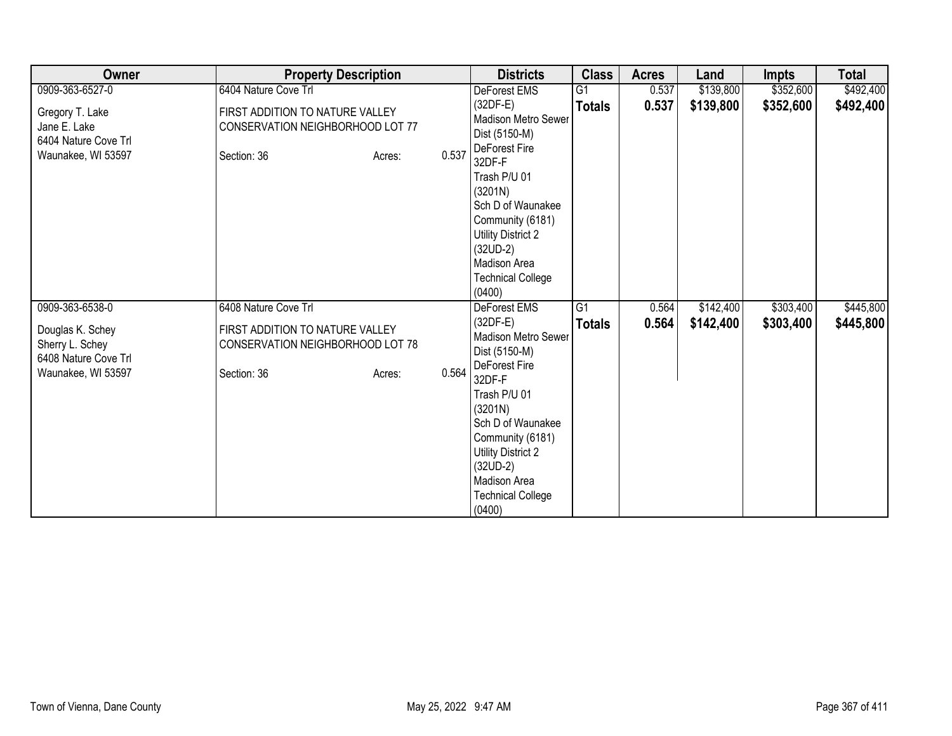| Owner                                                                         | <b>Property Description</b>                                                        |        |       | <b>Districts</b>                                                                                                                                                            | <b>Class</b>    | <b>Acres</b> | Land      | <b>Impts</b> | <b>Total</b> |
|-------------------------------------------------------------------------------|------------------------------------------------------------------------------------|--------|-------|-----------------------------------------------------------------------------------------------------------------------------------------------------------------------------|-----------------|--------------|-----------|--------------|--------------|
| 0909-363-6527-0                                                               | 6404 Nature Cove Trl                                                               |        |       | DeForest EMS                                                                                                                                                                | $\overline{G1}$ | 0.537        | \$139,800 | \$352,600    | \$492,400    |
| Gregory T. Lake<br>Jane E. Lake<br>6404 Nature Cove Trl<br>Waunakee, WI 53597 | FIRST ADDITION TO NATURE VALLEY<br>CONSERVATION NEIGHBORHOOD LOT 77<br>Section: 36 | Acres: | 0.537 | $(32DF-E)$<br><b>Madison Metro Sewer</b><br>Dist (5150-M)<br>DeForest Fire<br>32DF-F                                                                                        | <b>Totals</b>   | 0.537        | \$139,800 | \$352,600    | \$492,400    |
|                                                                               |                                                                                    |        |       | Trash P/U 01<br>(3201N)<br>Sch D of Waunakee<br>Community (6181)<br><b>Utility District 2</b><br>$(32UD-2)$<br>Madison Area<br><b>Technical College</b><br>(0400)           |                 |              |           |              |              |
| 0909-363-6538-0                                                               | 6408 Nature Cove Trl                                                               |        |       | <b>DeForest EMS</b>                                                                                                                                                         | $\overline{G1}$ | 0.564        | \$142,400 | \$303,400    | \$445,800    |
| Douglas K. Schey<br>Sherry L. Schey<br>6408 Nature Cove Trl                   | FIRST ADDITION TO NATURE VALLEY<br>CONSERVATION NEIGHBORHOOD LOT 78                |        |       | $(32DF-E)$<br><b>Madison Metro Sewer</b><br>Dist (5150-M)<br>DeForest Fire                                                                                                  | <b>Totals</b>   | 0.564        | \$142,400 | \$303,400    | \$445,800    |
| Waunakee, WI 53597                                                            | Section: 36                                                                        | Acres: | 0.564 | 32DF-F<br>Trash P/U 01<br>(3201N)<br>Sch D of Waunakee<br>Community (6181)<br><b>Utility District 2</b><br>$(32UD-2)$<br>Madison Area<br><b>Technical College</b><br>(0400) |                 |              |           |              |              |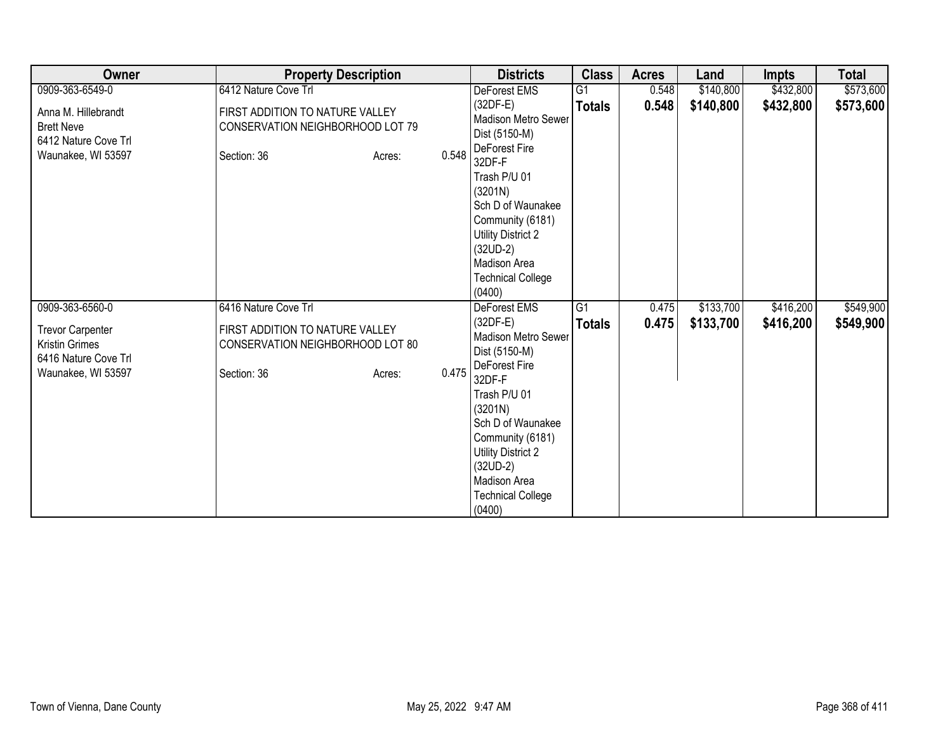| Owner                                                                                          | <b>Property Description</b>                                                        |                 | <b>Districts</b>                                                                                                                                                  | <b>Class</b>    | <b>Acres</b> | Land      | <b>Impts</b> | <b>Total</b> |
|------------------------------------------------------------------------------------------------|------------------------------------------------------------------------------------|-----------------|-------------------------------------------------------------------------------------------------------------------------------------------------------------------|-----------------|--------------|-----------|--------------|--------------|
| 0909-363-6549-0                                                                                | 6412 Nature Cove Trl                                                               |                 | DeForest EMS                                                                                                                                                      | $\overline{G1}$ | 0.548        | \$140,800 | \$432,800    | \$573,600    |
| Anna M. Hillebrandt<br><b>Brett Neve</b><br>6412 Nature Cove Trl<br>Waunakee, WI 53597         | FIRST ADDITION TO NATURE VALLEY<br>CONSERVATION NEIGHBORHOOD LOT 79<br>Section: 36 | 0.548<br>Acres: | $(32DF-E)$<br><b>Madison Metro Sewer</b><br>Dist (5150-M)<br>DeForest Fire<br>32DF-F                                                                              | <b>Totals</b>   | 0.548        | \$140,800 | \$432,800    | \$573,600    |
|                                                                                                |                                                                                    |                 | Trash P/U 01<br>(3201N)<br>Sch D of Waunakee<br>Community (6181)<br><b>Utility District 2</b><br>$(32UD-2)$<br>Madison Area<br><b>Technical College</b><br>(0400) |                 |              |           |              |              |
| 0909-363-6560-0                                                                                | 6416 Nature Cove Trl                                                               |                 | <b>DeForest EMS</b>                                                                                                                                               | $\overline{G1}$ | 0.475        | \$133,700 | \$416,200    | \$549,900    |
| <b>Trevor Carpenter</b><br><b>Kristin Grimes</b><br>6416 Nature Cove Trl<br>Waunakee, WI 53597 | FIRST ADDITION TO NATURE VALLEY<br>CONSERVATION NEIGHBORHOOD LOT 80<br>Section: 36 | 0.475<br>Acres: | $(32DF-E)$<br><b>Madison Metro Sewer</b><br>Dist (5150-M)<br>DeForest Fire<br>32DF-F                                                                              | <b>Totals</b>   | 0.475        | \$133,700 | \$416,200    | \$549,900    |
|                                                                                                |                                                                                    |                 | Trash P/U 01<br>(3201N)<br>Sch D of Waunakee<br>Community (6181)<br><b>Utility District 2</b><br>$(32UD-2)$<br>Madison Area<br><b>Technical College</b><br>(0400) |                 |              |           |              |              |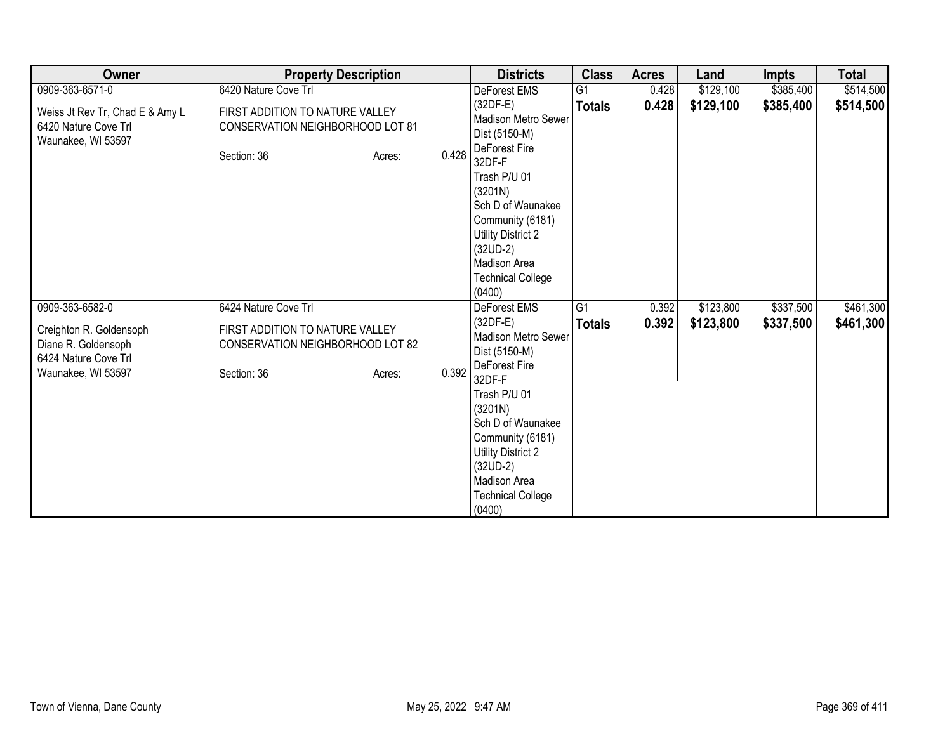| Owner                                                                         |                                                                     | <b>Property Description</b> |       | <b>Districts</b>                                   | <b>Class</b>   | <b>Acres</b>   | Land                   | Impts                  | <b>Total</b>           |
|-------------------------------------------------------------------------------|---------------------------------------------------------------------|-----------------------------|-------|----------------------------------------------------|----------------|----------------|------------------------|------------------------|------------------------|
| 0909-363-6571-0                                                               | 6420 Nature Cove Trl                                                |                             |       | DeForest EMS                                       | G <sub>1</sub> | 0.428          | \$129,100              | \$385,400              | \$514,500              |
| Weiss Jt Rev Tr, Chad E & Amy L<br>6420 Nature Cove Trl<br>Waunakee, WI 53597 | FIRST ADDITION TO NATURE VALLEY<br>CONSERVATION NEIGHBORHOOD LOT 81 |                             |       | $(32DF-E)$<br>Madison Metro Sewer<br>Dist (5150-M) | <b>Totals</b>  | 0.428          | \$129,100              | \$385,400              | \$514,500              |
|                                                                               | Section: 36                                                         | Acres:                      | 0.428 | DeForest Fire<br>32DF-F                            |                |                |                        |                        |                        |
|                                                                               |                                                                     |                             |       | Trash P/U 01<br>(3201N)                            |                |                |                        |                        |                        |
|                                                                               |                                                                     |                             |       | Sch D of Waunakee<br>Community (6181)              |                |                |                        |                        |                        |
|                                                                               |                                                                     |                             |       | <b>Utility District 2</b>                          |                |                |                        |                        |                        |
|                                                                               |                                                                     |                             |       | $(32UD-2)$<br>Madison Area                         |                |                |                        |                        |                        |
|                                                                               |                                                                     |                             |       | <b>Technical College</b>                           |                |                |                        |                        |                        |
|                                                                               |                                                                     |                             |       | (0400)                                             |                |                |                        |                        |                        |
| 0909-363-6582-0                                                               | 6424 Nature Cove Trl                                                |                             |       | <b>DeForest EMS</b><br>$(32DF-E)$                  | G1             | 0.392<br>0.392 | \$123,800<br>\$123,800 | \$337,500<br>\$337,500 | \$461,300<br>\$461,300 |
| Creighton R. Goldensoph                                                       | FIRST ADDITION TO NATURE VALLEY                                     |                             |       | Madison Metro Sewer                                | <b>Totals</b>  |                |                        |                        |                        |
| Diane R. Goldensoph                                                           | CONSERVATION NEIGHBORHOOD LOT 82                                    |                             |       | Dist (5150-M)                                      |                |                |                        |                        |                        |
| 6424 Nature Cove Trl                                                          |                                                                     |                             | 0.392 | DeForest Fire                                      |                |                |                        |                        |                        |
| Waunakee, WI 53597                                                            | Section: 36                                                         | Acres:                      |       | 32DF-F                                             |                |                |                        |                        |                        |
|                                                                               |                                                                     |                             |       | Trash P/U 01                                       |                |                |                        |                        |                        |
|                                                                               |                                                                     |                             |       | (3201N)<br>Sch D of Waunakee                       |                |                |                        |                        |                        |
|                                                                               |                                                                     |                             |       | Community (6181)                                   |                |                |                        |                        |                        |
|                                                                               |                                                                     |                             |       | <b>Utility District 2</b>                          |                |                |                        |                        |                        |
|                                                                               |                                                                     |                             |       | $(32UD-2)$                                         |                |                |                        |                        |                        |
|                                                                               |                                                                     |                             |       | Madison Area                                       |                |                |                        |                        |                        |
|                                                                               |                                                                     |                             |       | <b>Technical College</b>                           |                |                |                        |                        |                        |
|                                                                               |                                                                     |                             |       | (0400)                                             |                |                |                        |                        |                        |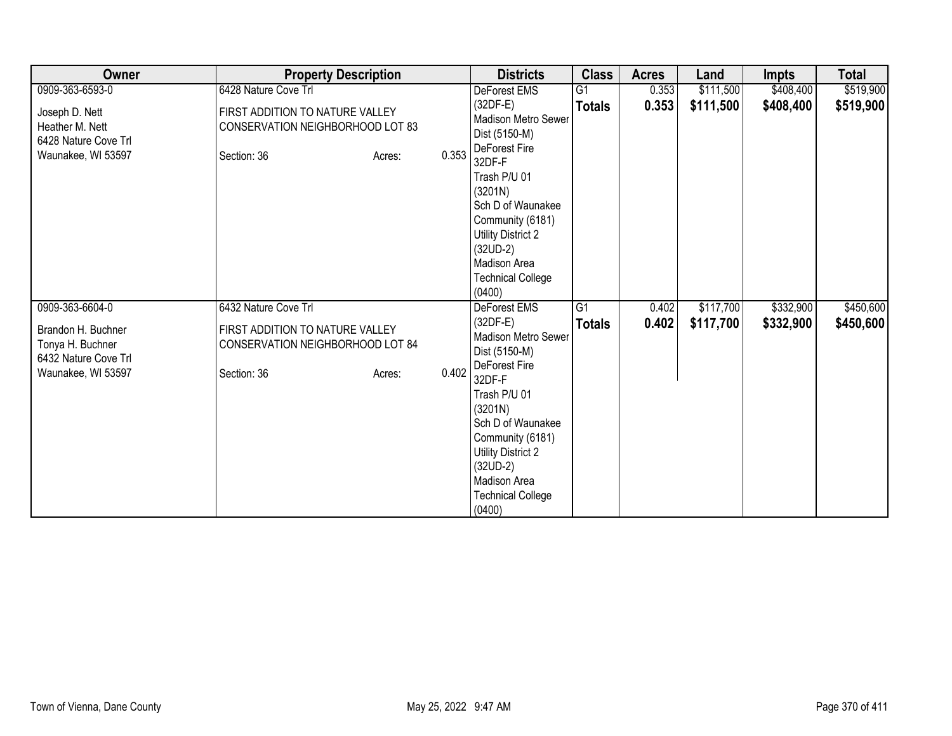| Owner                                                                                | <b>Property Description</b>                                                        |                 | <b>Districts</b>                                                                                                                                                  | <b>Class</b>    | <b>Acres</b> | Land      | <b>Impts</b> | <b>Total</b> |
|--------------------------------------------------------------------------------------|------------------------------------------------------------------------------------|-----------------|-------------------------------------------------------------------------------------------------------------------------------------------------------------------|-----------------|--------------|-----------|--------------|--------------|
| 0909-363-6593-0                                                                      | 6428 Nature Cove Trl                                                               |                 | DeForest EMS                                                                                                                                                      | $\overline{G1}$ | 0.353        | \$111,500 | \$408,400    | \$519,900    |
| Joseph D. Nett<br>Heather M. Nett<br>6428 Nature Cove Trl<br>Waunakee, WI 53597      | FIRST ADDITION TO NATURE VALLEY<br>CONSERVATION NEIGHBORHOOD LOT 83<br>Section: 36 | 0.353<br>Acres: | $(32DF-E)$<br><b>Madison Metro Sewer</b><br>Dist (5150-M)<br>DeForest Fire<br>32DF-F                                                                              | <b>Totals</b>   | 0.353        | \$111,500 | \$408,400    | \$519,900    |
|                                                                                      |                                                                                    |                 | Trash P/U 01<br>(3201N)<br>Sch D of Waunakee<br>Community (6181)<br><b>Utility District 2</b><br>$(32UD-2)$<br>Madison Area<br><b>Technical College</b><br>(0400) |                 |              |           |              |              |
| 0909-363-6604-0                                                                      | 6432 Nature Cove Trl                                                               |                 | <b>DeForest EMS</b>                                                                                                                                               | $\overline{G1}$ | 0.402        | \$117,700 | \$332,900    | \$450,600    |
| Brandon H. Buchner<br>Tonya H. Buchner<br>6432 Nature Cove Trl<br>Waunakee, WI 53597 | FIRST ADDITION TO NATURE VALLEY<br>CONSERVATION NEIGHBORHOOD LOT 84<br>Section: 36 | 0.402<br>Acres: | $(32DF-E)$<br><b>Madison Metro Sewer</b><br>Dist (5150-M)<br>DeForest Fire<br>32DF-F                                                                              | <b>Totals</b>   | 0.402        | \$117,700 | \$332,900    | \$450,600    |
|                                                                                      |                                                                                    |                 | Trash P/U 01<br>(3201N)<br>Sch D of Waunakee<br>Community (6181)<br><b>Utility District 2</b><br>$(32UD-2)$<br>Madison Area<br><b>Technical College</b><br>(0400) |                 |              |           |              |              |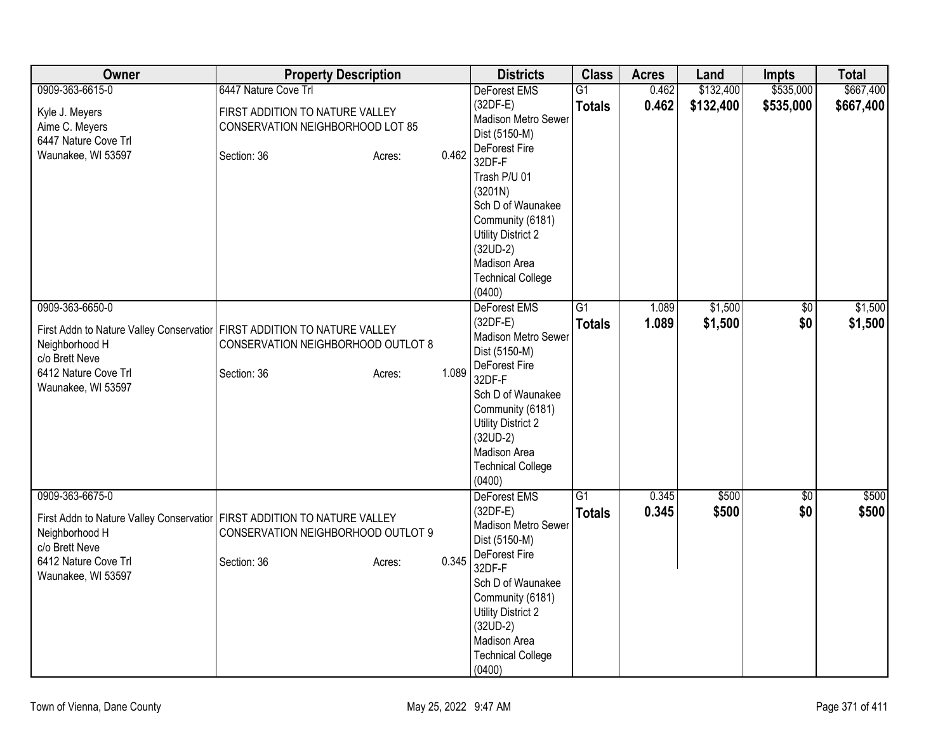| Owner                                                                                                                                         | <b>Property Description</b>                                                                             | <b>Districts</b>                                                                                                                                                                                                                                   | <b>Class</b>                     | <b>Acres</b>   | Land               | <b>Impts</b>      | <b>Total</b>       |
|-----------------------------------------------------------------------------------------------------------------------------------------------|---------------------------------------------------------------------------------------------------------|----------------------------------------------------------------------------------------------------------------------------------------------------------------------------------------------------------------------------------------------------|----------------------------------|----------------|--------------------|-------------------|--------------------|
| 0909-363-6615-0                                                                                                                               | 6447 Nature Cove Trl                                                                                    | <b>DeForest EMS</b>                                                                                                                                                                                                                                | $\overline{G1}$                  | 0.462          | \$132,400          | \$535,000         | \$667,400          |
| Kyle J. Meyers<br>Aime C. Meyers<br>6447 Nature Cove Trl<br>Waunakee, WI 53597                                                                | FIRST ADDITION TO NATURE VALLEY<br>CONSERVATION NEIGHBORHOOD LOT 85<br>0.462<br>Section: 36<br>Acres:   | $(32DF-E)$<br>Madison Metro Sewer<br>Dist (5150-M)<br>DeForest Fire<br>32DF-F<br>Trash P/U 01<br>(3201N)<br>Sch D of Waunakee<br>Community (6181)<br><b>Utility District 2</b><br>$(32UD-2)$<br>Madison Area<br><b>Technical College</b><br>(0400) | <b>Totals</b>                    | 0.462          | \$132,400          | \$535,000         | \$667,400          |
| 0909-363-6650-0<br>First Addn to Nature Valley Conservatior<br>Neighborhood H<br>c/o Brett Neve<br>6412 Nature Cove Trl<br>Waunakee, WI 53597 | FIRST ADDITION TO NATURE VALLEY<br>CONSERVATION NEIGHBORHOOD OUTLOT 8<br>1.089<br>Section: 36<br>Acres: | DeForest EMS<br>$(32DF-E)$<br>Madison Metro Sewer<br>Dist (5150-M)<br>DeForest Fire<br>32DF-F<br>Sch D of Waunakee<br>Community (6181)<br><b>Utility District 2</b><br>$(32UD-2)$<br>Madison Area<br><b>Technical College</b><br>(0400)            | $\overline{G1}$<br><b>Totals</b> | 1.089<br>1.089 | \$1,500<br>\$1,500 | $\sqrt{6}$<br>\$0 | \$1,500<br>\$1,500 |
| 0909-363-6675-0                                                                                                                               |                                                                                                         | DeForest EMS                                                                                                                                                                                                                                       | $\overline{G1}$                  | 0.345          | \$500              | \$0               | \$500              |
| First Addn to Nature Valley Conservatior<br>Neighborhood H<br>c/o Brett Neve<br>6412 Nature Cove Trl<br>Waunakee, WI 53597                    | FIRST ADDITION TO NATURE VALLEY<br>CONSERVATION NEIGHBORHOOD OUTLOT 9<br>0.345<br>Section: 36<br>Acres: | $(32DF-E)$<br>Madison Metro Sewer<br>Dist (5150-M)<br>DeForest Fire<br>32DF-F<br>Sch D of Waunakee<br>Community (6181)<br><b>Utility District 2</b><br>$(32UD-2)$<br>Madison Area<br><b>Technical College</b><br>(0400)                            | <b>Totals</b>                    | 0.345          | \$500              | \$0               | \$500              |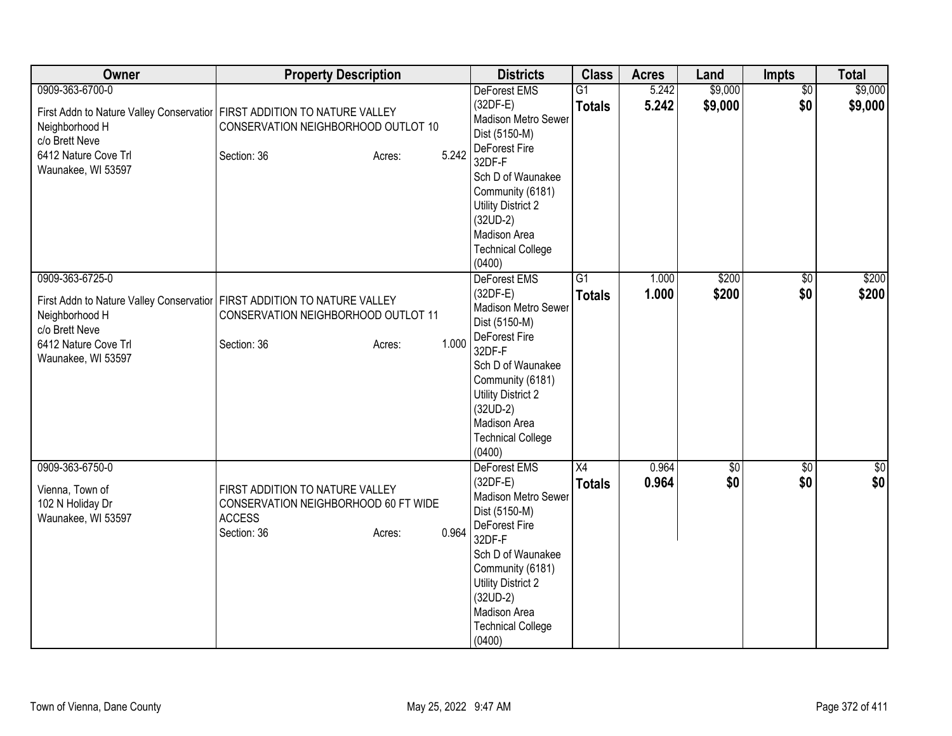| Owner                                                                                             | <b>Property Description</b>                                                                                                                         | <b>Districts</b>                                                                                                                                                                                                                               | <b>Class</b>                     | <b>Acres</b>   | Land                   | Impts                  | <b>Total</b>       |
|---------------------------------------------------------------------------------------------------|-----------------------------------------------------------------------------------------------------------------------------------------------------|------------------------------------------------------------------------------------------------------------------------------------------------------------------------------------------------------------------------------------------------|----------------------------------|----------------|------------------------|------------------------|--------------------|
| 0909-363-6700-0<br>Neighborhood H<br>c/o Brett Neve<br>6412 Nature Cove Trl<br>Waunakee, WI 53597 | First Addn to Nature Valley Conservatior   FIRST ADDITION TO NATURE VALLEY<br>CONSERVATION NEIGHBORHOOD OUTLOT 10<br>5.242<br>Section: 36<br>Acres: | <b>DeForest EMS</b><br>$(32DF-E)$<br>Madison Metro Sewer<br>Dist (5150-M)<br>DeForest Fire<br>32DF-F<br>Sch D of Waunakee<br>Community (6181)<br>Utility District 2<br>$(32UD-2)$<br>Madison Area<br><b>Technical College</b><br>(0400)        | $\overline{G1}$<br><b>Totals</b> | 5.242<br>5.242 | \$9,000<br>\$9,000     | $\overline{50}$<br>\$0 | \$9,000<br>\$9,000 |
| 0909-363-6725-0<br>Neighborhood H<br>c/o Brett Neve<br>6412 Nature Cove Trl<br>Waunakee, WI 53597 | First Addn to Nature Valley Conservatior   FIRST ADDITION TO NATURE VALLEY<br>CONSERVATION NEIGHBORHOOD OUTLOT 11<br>1.000<br>Section: 36<br>Acres: | DeForest EMS<br>$(32DF-E)$<br>Madison Metro Sewer<br>Dist (5150-M)<br>DeForest Fire<br>32DF-F<br>Sch D of Waunakee<br>Community (6181)<br>Utility District 2<br>$(32UD-2)$<br>Madison Area<br><b>Technical College</b><br>(0400)               | G1<br><b>Totals</b>              | 1.000<br>1.000 | \$200<br>\$200         | $\sqrt{6}$<br>\$0      | \$200<br>\$200     |
| 0909-363-6750-0<br>Vienna, Town of<br>102 N Holiday Dr<br>Waunakee, WI 53597                      | FIRST ADDITION TO NATURE VALLEY<br>CONSERVATION NEIGHBORHOOD 60 FT WIDE<br><b>ACCESS</b><br>0.964<br>Section: 36<br>Acres:                          | <b>DeForest EMS</b><br>$(32DF-E)$<br>Madison Metro Sewer<br>Dist (5150-M)<br>DeForest Fire<br>32DF-F<br>Sch D of Waunakee<br>Community (6181)<br><b>Utility District 2</b><br>$(32UD-2)$<br>Madison Area<br><b>Technical College</b><br>(0400) | X4<br><b>Totals</b>              | 0.964<br>0.964 | $\overline{60}$<br>\$0 | $\overline{50}$<br>\$0 | $\sqrt{50}$<br>\$0 |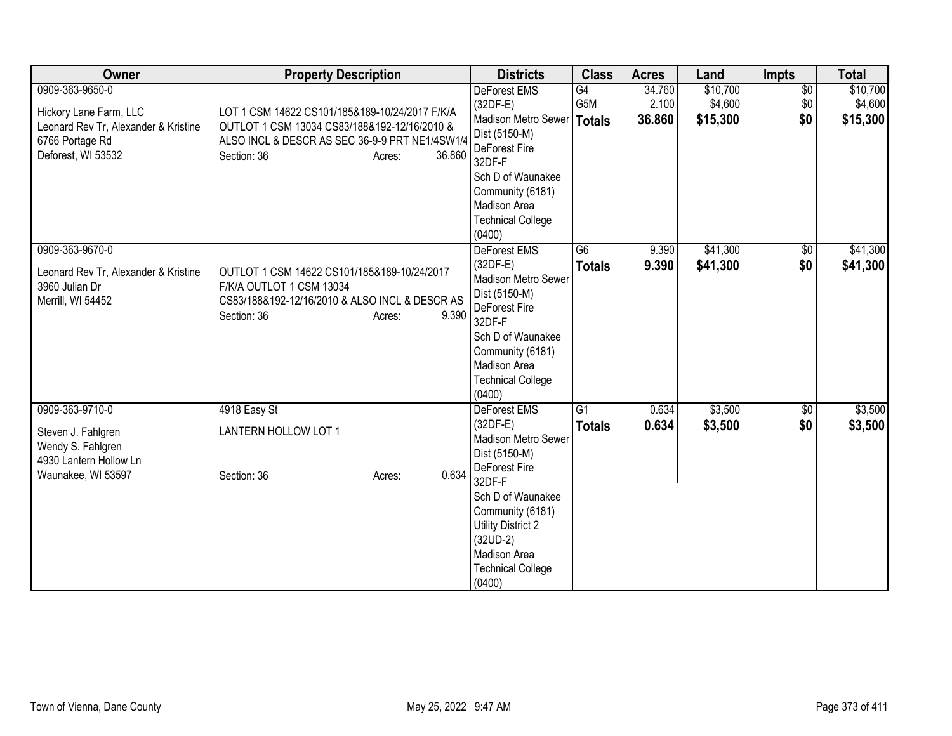| Owner                                | <b>Property Description</b>                    |                  | <b>Districts</b>                      | <b>Class</b>    | <b>Acres</b> | Land     | <b>Impts</b>    | <b>Total</b> |
|--------------------------------------|------------------------------------------------|------------------|---------------------------------------|-----------------|--------------|----------|-----------------|--------------|
| 0909-363-9650-0                      |                                                |                  | DeForest EMS                          | G4              | 34.760       | \$10,700 | $\overline{60}$ | \$10,700     |
| Hickory Lane Farm, LLC               | LOT 1 CSM 14622 CS101/185&189-10/24/2017 F/K/A |                  | $(32DF-E)$                            | G5M             | 2.100        | \$4,600  | \$0             | \$4,600      |
| Leonard Rev Tr, Alexander & Kristine | OUTLOT 1 CSM 13034 CS83/188&192-12/16/2010 &   |                  | Madison Metro Sewer                   | <b>Totals</b>   | 36.860       | \$15,300 | \$0             | \$15,300     |
| 6766 Portage Rd                      | ALSO INCL & DESCR AS SEC 36-9-9 PRT NE1/4SW1/4 |                  | Dist (5150-M)                         |                 |              |          |                 |              |
| Deforest, WI 53532                   | Section: 36                                    | 36.860<br>Acres: | DeForest Fire<br>32DF-F               |                 |              |          |                 |              |
|                                      |                                                |                  | Sch D of Waunakee                     |                 |              |          |                 |              |
|                                      |                                                |                  | Community (6181)                      |                 |              |          |                 |              |
|                                      |                                                |                  | Madison Area                          |                 |              |          |                 |              |
|                                      |                                                |                  | <b>Technical College</b>              |                 |              |          |                 |              |
|                                      |                                                |                  | (0400)                                |                 |              |          |                 |              |
| 0909-363-9670-0                      |                                                |                  | DeForest EMS                          | $\overline{G6}$ | 9.390        | \$41,300 | \$0             | \$41,300     |
| Leonard Rev Tr, Alexander & Kristine | OUTLOT 1 CSM 14622 CS101/185&189-10/24/2017    |                  | $(32DF-E)$                            | <b>Totals</b>   | 9.390        | \$41,300 | \$0             | \$41,300     |
| 3960 Julian Dr                       | F/K/A OUTLOT 1 CSM 13034                       |                  | Madison Metro Sewer                   |                 |              |          |                 |              |
| Merrill, WI 54452                    | CS83/188&192-12/16/2010 & ALSO INCL & DESCR AS |                  | Dist (5150-M)                         |                 |              |          |                 |              |
|                                      | Section: 36                                    | 9.390<br>Acres:  | DeForest Fire                         |                 |              |          |                 |              |
|                                      |                                                |                  | 32DF-F                                |                 |              |          |                 |              |
|                                      |                                                |                  | Sch D of Waunakee<br>Community (6181) |                 |              |          |                 |              |
|                                      |                                                |                  | Madison Area                          |                 |              |          |                 |              |
|                                      |                                                |                  | <b>Technical College</b>              |                 |              |          |                 |              |
|                                      |                                                |                  | (0400)                                |                 |              |          |                 |              |
| 0909-363-9710-0                      | 4918 Easy St                                   |                  | <b>DeForest EMS</b>                   | $\overline{G1}$ | 0.634        | \$3,500  | \$0             | \$3,500      |
|                                      |                                                |                  | $(32DF-E)$                            | <b>Totals</b>   | 0.634        | \$3,500  | \$0             | \$3,500      |
| Steven J. Fahlgren                   | LANTERN HOLLOW LOT 1                           |                  | <b>Madison Metro Sewer</b>            |                 |              |          |                 |              |
| Wendy S. Fahlgren                    |                                                |                  | Dist (5150-M)                         |                 |              |          |                 |              |
| 4930 Lantern Hollow Ln               |                                                |                  | DeForest Fire                         |                 |              |          |                 |              |
| Waunakee, WI 53597                   | Section: 36                                    | 0.634<br>Acres:  | 32DF-F                                |                 |              |          |                 |              |
|                                      |                                                |                  | Sch D of Waunakee                     |                 |              |          |                 |              |
|                                      |                                                |                  | Community (6181)                      |                 |              |          |                 |              |
|                                      |                                                |                  | Utility District 2                    |                 |              |          |                 |              |
|                                      |                                                |                  | $(32UD-2)$                            |                 |              |          |                 |              |
|                                      |                                                |                  | Madison Area                          |                 |              |          |                 |              |
|                                      |                                                |                  | <b>Technical College</b>              |                 |              |          |                 |              |
|                                      |                                                |                  | (0400)                                |                 |              |          |                 |              |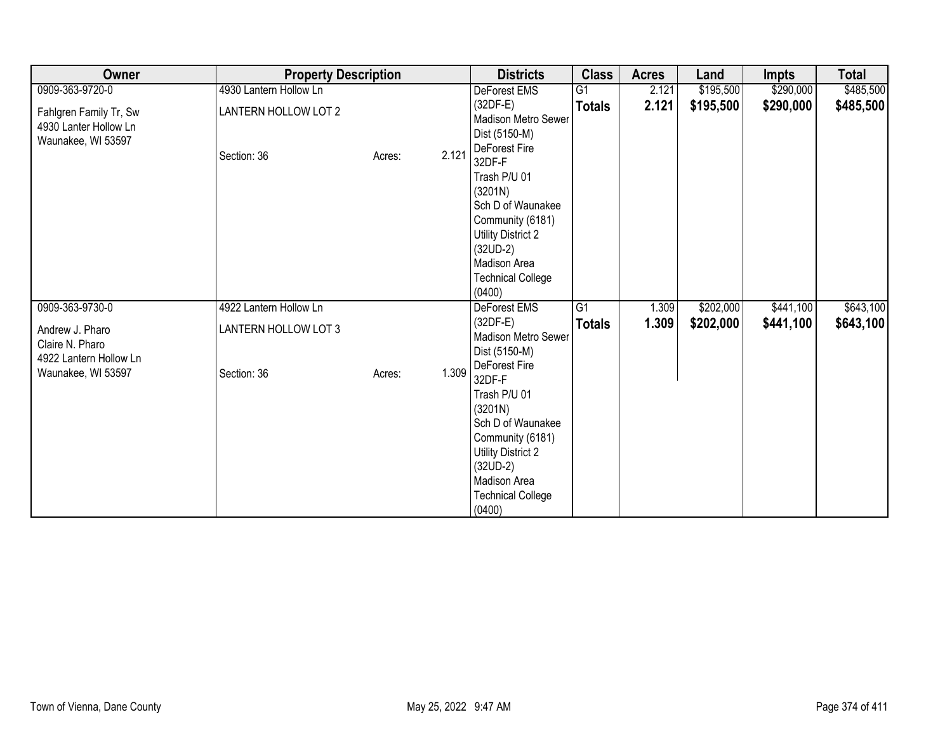| Owner                                                                 | <b>Property Description</b> |                 | <b>Districts</b>                                                                                                                                                            | <b>Class</b>    | <b>Acres</b> | Land      | Impts     | <b>Total</b> |
|-----------------------------------------------------------------------|-----------------------------|-----------------|-----------------------------------------------------------------------------------------------------------------------------------------------------------------------------|-----------------|--------------|-----------|-----------|--------------|
| 0909-363-9720-0                                                       | 4930 Lantern Hollow Ln      |                 | DeForest EMS                                                                                                                                                                | G <sub>1</sub>  | 2.121        | \$195,500 | \$290,000 | \$485,500    |
| Fahlgren Family Tr, Sw<br>4930 Lanter Hollow Ln<br>Waunakee, WI 53597 | LANTERN HOLLOW LOT 2        |                 | $(32DF-E)$<br>Madison Metro Sewer<br>Dist (5150-M)<br>DeForest Fire                                                                                                         | <b>Totals</b>   | 2.121        | \$195,500 | \$290,000 | \$485,500    |
|                                                                       | Section: 36                 | 2.121<br>Acres: | 32DF-F<br>Trash P/U 01<br>(3201N)<br>Sch D of Waunakee<br>Community (6181)<br><b>Utility District 2</b><br>$(32UD-2)$<br>Madison Area<br><b>Technical College</b><br>(0400) |                 |              |           |           |              |
| 0909-363-9730-0                                                       | 4922 Lantern Hollow Ln      |                 | DeForest EMS                                                                                                                                                                | $\overline{G1}$ | 1.309        | \$202,000 | \$441,100 | \$643,100    |
| Andrew J. Pharo<br>Claire N. Pharo<br>4922 Lantern Hollow Ln          | LANTERN HOLLOW LOT 3        |                 | $(32DF-E)$<br>Madison Metro Sewer<br>Dist (5150-M)<br>DeForest Fire                                                                                                         | <b>Totals</b>   | 1.309        | \$202,000 | \$441,100 | \$643,100    |
| Waunakee, WI 53597                                                    | Section: 36                 | 1.309<br>Acres: | 32DF-F<br>Trash P/U 01<br>(3201N)<br>Sch D of Waunakee<br>Community (6181)<br><b>Utility District 2</b><br>$(32UD-2)$<br>Madison Area<br><b>Technical College</b><br>(0400) |                 |              |           |           |              |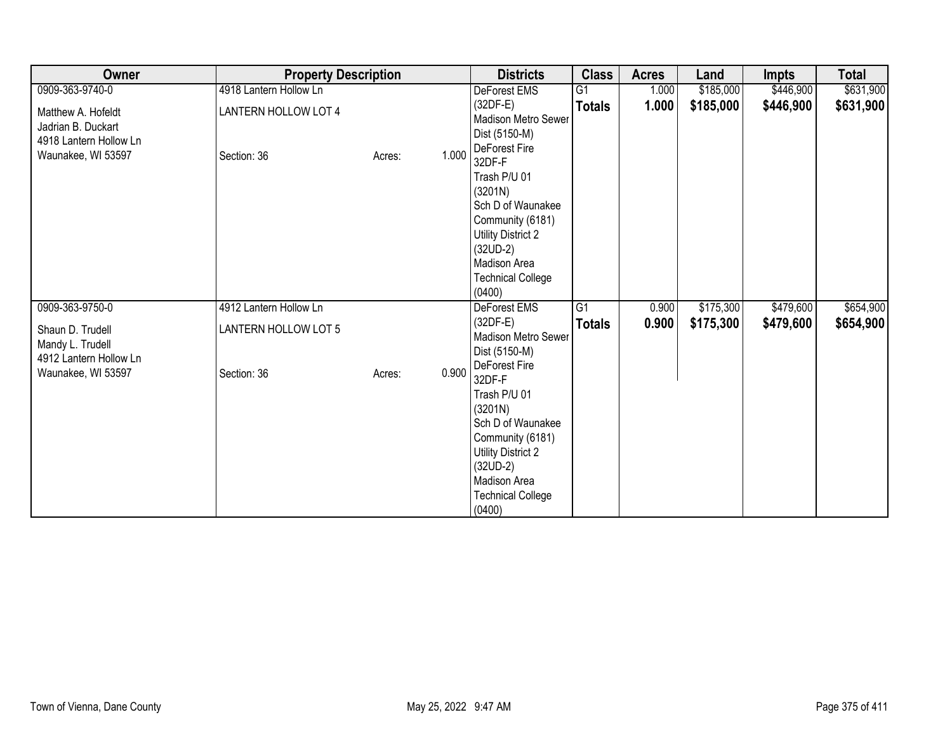| Owner                                                                                    | <b>Property Description</b>         |                 | <b>Districts</b>                                                                                                                                                            | <b>Class</b>   | <b>Acres</b> | Land      | <b>Impts</b> | <b>Total</b> |
|------------------------------------------------------------------------------------------|-------------------------------------|-----------------|-----------------------------------------------------------------------------------------------------------------------------------------------------------------------------|----------------|--------------|-----------|--------------|--------------|
| 0909-363-9740-0                                                                          | 4918 Lantern Hollow Ln              |                 | DeForest EMS                                                                                                                                                                | G <sub>1</sub> | 1.000        | \$185,000 | \$446,900    | \$631,900    |
| Matthew A. Hofeldt<br>Jadrian B. Duckart<br>4918 Lantern Hollow Ln<br>Waunakee, WI 53597 | LANTERN HOLLOW LOT 4<br>Section: 36 | 1.000<br>Acres: | $(32DF-E)$<br><b>Madison Metro Sewer</b><br>Dist (5150-M)<br>DeForest Fire                                                                                                  | <b>Totals</b>  | 1.000        | \$185,000 | \$446,900    | \$631,900    |
|                                                                                          |                                     |                 | 32DF-F<br>Trash P/U 01<br>(3201N)<br>Sch D of Waunakee<br>Community (6181)<br>Utility District 2<br>$(32UD-2)$<br>Madison Area<br><b>Technical College</b><br>(0400)        |                |              |           |              |              |
| 0909-363-9750-0                                                                          | 4912 Lantern Hollow Ln              |                 | DeForest EMS                                                                                                                                                                | G1             | 0.900        | \$175,300 | \$479,600    | \$654,900    |
| Shaun D. Trudell<br>Mandy L. Trudell<br>4912 Lantern Hollow Ln                           | LANTERN HOLLOW LOT 5                |                 | $(32DF-E)$<br>Madison Metro Sewer<br>Dist (5150-M)<br>DeForest Fire                                                                                                         | <b>Totals</b>  | 0.900        | \$175,300 | \$479,600    | \$654,900    |
| Waunakee, WI 53597                                                                       | Section: 36                         | 0.900<br>Acres: | 32DF-F<br>Trash P/U 01<br>(3201N)<br>Sch D of Waunakee<br>Community (6181)<br><b>Utility District 2</b><br>$(32UD-2)$<br>Madison Area<br><b>Technical College</b><br>(0400) |                |              |           |              |              |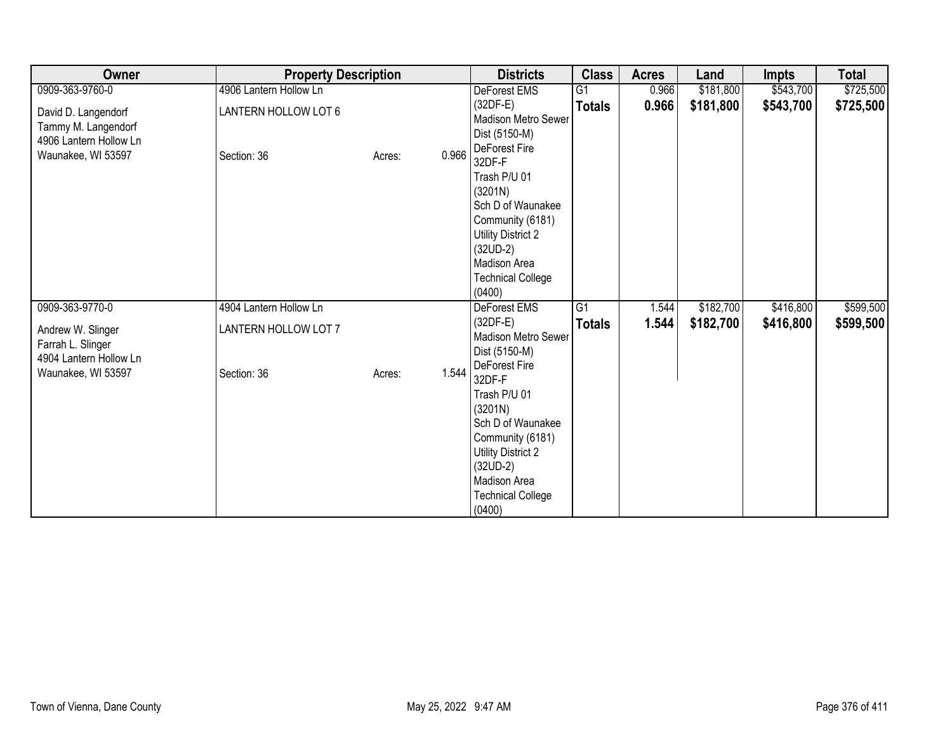| Owner                                                                                      | <b>Property Description</b>         | <b>Districts</b> | <b>Class</b>                                                                                                                                                                                 | <b>Acres</b>    | Land  | <b>Impts</b> | <b>Total</b> |           |
|--------------------------------------------------------------------------------------------|-------------------------------------|------------------|----------------------------------------------------------------------------------------------------------------------------------------------------------------------------------------------|-----------------|-------|--------------|--------------|-----------|
| 0909-363-9760-0                                                                            | 4906 Lantern Hollow Ln              |                  | DeForest EMS                                                                                                                                                                                 | $\overline{G1}$ | 0.966 | \$181,800    | \$543,700    | \$725,500 |
| David D. Langendorf<br>Tammy M. Langendorf<br>4906 Lantern Hollow Ln<br>Waunakee, WI 53597 | LANTERN HOLLOW LOT 6<br>Section: 36 | 0.966<br>Acres:  | $(32DF-E)$<br>Madison Metro Sewer<br>Dist (5150-M)<br>DeForest Fire<br>32DF-F                                                                                                                | <b>Totals</b>   | 0.966 | \$181,800    | \$543,700    | \$725,500 |
|                                                                                            |                                     |                  | Trash P/U 01<br>(3201N)<br>Sch D of Waunakee<br>Community (6181)<br><b>Utility District 2</b><br>$(32UD-2)$<br>Madison Area<br><b>Technical College</b><br>(0400)                            |                 |       |              |              |           |
| 0909-363-9770-0                                                                            | 4904 Lantern Hollow Ln              |                  | DeForest EMS                                                                                                                                                                                 | $\overline{G1}$ | 1.544 | \$182,700    | \$416,800    | \$599,500 |
| Andrew W. Slinger<br>Farrah L. Slinger<br>4904 Lantern Hollow Ln                           | LANTERN HOLLOW LOT 7                |                  | $(32DF-E)$<br>Madison Metro Sewer<br>Dist (5150-M)                                                                                                                                           | <b>Totals</b>   | 1.544 | \$182,700    | \$416,800    | \$599,500 |
| Waunakee, WI 53597                                                                         | Section: 36                         | 1.544<br>Acres:  | DeForest Fire<br>32DF-F<br>Trash P/U 01<br>(3201N)<br>Sch D of Waunakee<br>Community (6181)<br><b>Utility District 2</b><br>$(32UD-2)$<br>Madison Area<br><b>Technical College</b><br>(0400) |                 |       |              |              |           |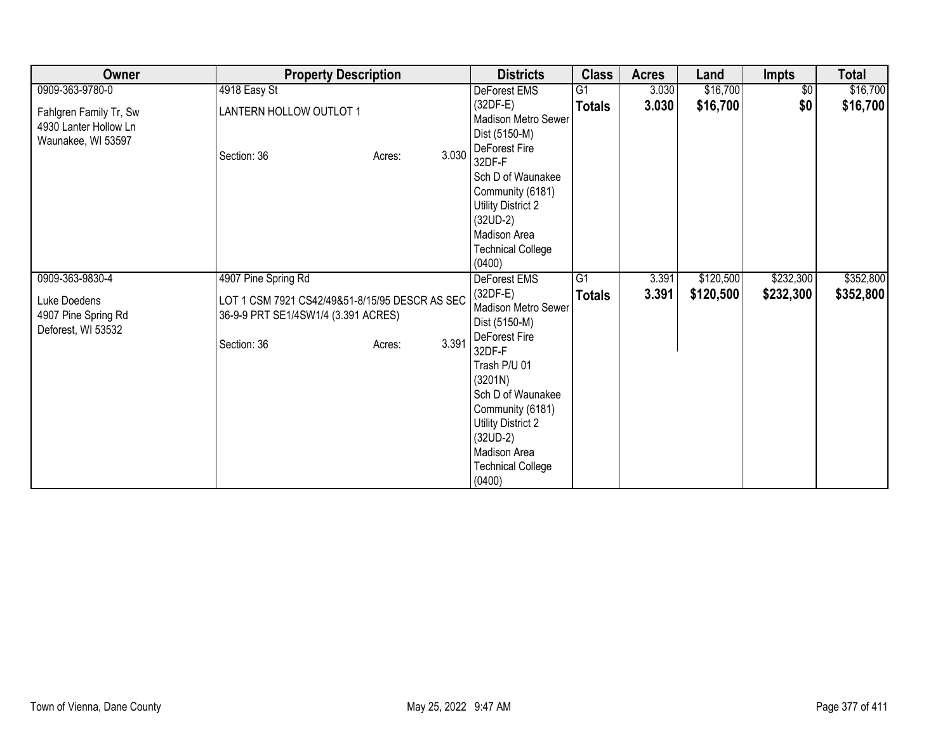| Owner                                                                 | <b>Property Description</b>                                                           | <b>Districts</b> | <b>Class</b>                                                                                                                                                                                 | Acres           | Land  | <b>Impts</b> | <b>Total</b> |           |
|-----------------------------------------------------------------------|---------------------------------------------------------------------------------------|------------------|----------------------------------------------------------------------------------------------------------------------------------------------------------------------------------------------|-----------------|-------|--------------|--------------|-----------|
| 0909-363-9780-0                                                       | 4918 Easy St                                                                          |                  | DeForest EMS                                                                                                                                                                                 | G1              | 3.030 | \$16,700     | $\sqrt{6}$   | \$16,700  |
| Fahlgren Family Tr, Sw<br>4930 Lanter Hollow Ln<br>Waunakee, WI 53597 | LANTERN HOLLOW OUTLOT 1                                                               |                  | $(32DF-E)$<br>Madison Metro Sewer<br>Dist (5150-M)                                                                                                                                           | <b>Totals</b>   | 3.030 | \$16,700     | \$0          | \$16,700  |
|                                                                       | Section: 36                                                                           | 3.030<br>Acres:  | DeForest Fire<br>32DF-F<br>Sch D of Waunakee<br>Community (6181)<br>Utility District 2<br>$(32UD-2)$<br>Madison Area<br><b>Technical College</b><br>(0400)                                   |                 |       |              |              |           |
| 0909-363-9830-4                                                       | 4907 Pine Spring Rd                                                                   |                  | DeForest EMS                                                                                                                                                                                 | $\overline{G1}$ | 3.391 | \$120,500    | \$232,300    | \$352,800 |
| Luke Doedens<br>4907 Pine Spring Rd<br>Deforest, WI 53532             | LOT 1 CSM 7921 CS42/49&51-8/15/95 DESCR AS SEC<br>36-9-9 PRT SE1/4SW1/4 (3.391 ACRES) |                  | $(32DF-E)$<br>Madison Metro Sewer<br>Dist (5150-M)                                                                                                                                           | <b>Totals</b>   | 3.391 | \$120,500    | \$232,300    | \$352,800 |
|                                                                       | Section: 36                                                                           | 3.391<br>Acres:  | <b>DeForest Fire</b><br>32DF-F<br>Trash P/U 01<br>(3201N)<br>Sch D of Waunakee<br>Community (6181)<br>Utility District 2<br>$(32UD-2)$<br>Madison Area<br><b>Technical College</b><br>(0400) |                 |       |              |              |           |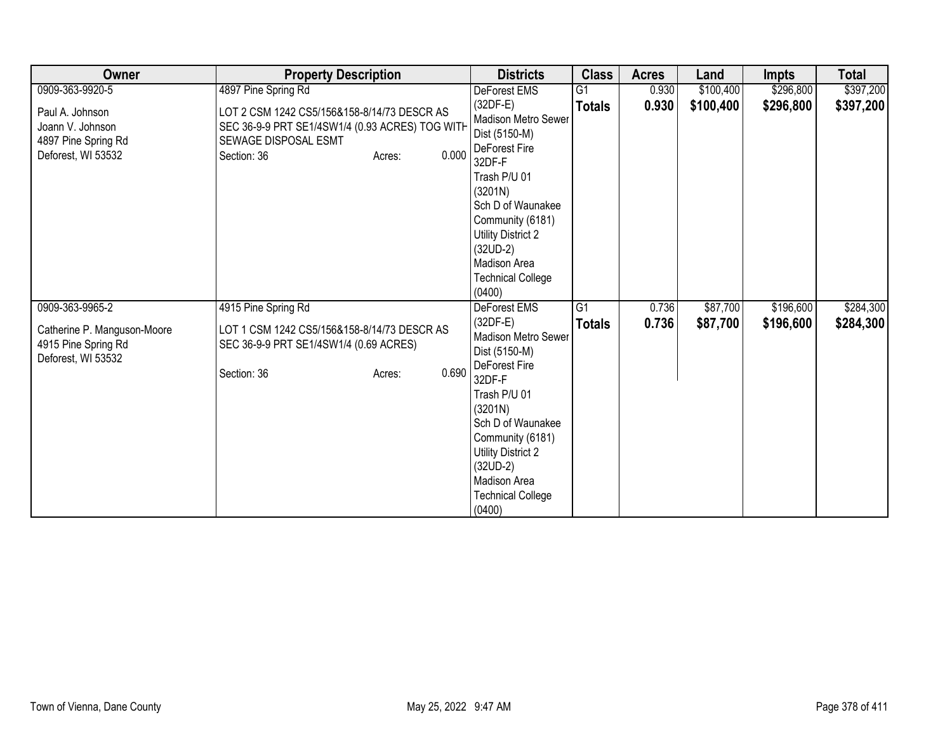| Owner                                                                            | <b>Property Description</b>                                                                                                                              | <b>Districts</b>                                                                                                                                                                                                                                   | <b>Class</b>    | <b>Acres</b> | Land      | <b>Impts</b> | <b>Total</b> |
|----------------------------------------------------------------------------------|----------------------------------------------------------------------------------------------------------------------------------------------------------|----------------------------------------------------------------------------------------------------------------------------------------------------------------------------------------------------------------------------------------------------|-----------------|--------------|-----------|--------------|--------------|
| 0909-363-9920-5                                                                  | 4897 Pine Spring Rd                                                                                                                                      | DeForest EMS                                                                                                                                                                                                                                       | G1              | 0.930        | \$100,400 | \$296,800    | \$397,200    |
| Paul A. Johnson<br>Joann V. Johnson<br>4897 Pine Spring Rd<br>Deforest, WI 53532 | LOT 2 CSM 1242 CS5/156&158-8/14/73 DESCR AS<br>SEC 36-9-9 PRT SE1/4SW1/4 (0.93 ACRES) TOG WITH<br>SEWAGE DISPOSAL ESMT<br>0.000<br>Section: 36<br>Acres: | $(32DF-E)$<br>Madison Metro Sewer<br>Dist (5150-M)<br>DeForest Fire<br>32DF-F<br>Trash P/U 01<br>(3201N)<br>Sch D of Waunakee<br>Community (6181)<br>Utility District 2<br>$(32UD-2)$<br>Madison Area<br><b>Technical College</b><br>(0400)        | <b>Totals</b>   | 0.930        | \$100,400 | \$296,800    | \$397,200    |
| 0909-363-9965-2                                                                  | 4915 Pine Spring Rd                                                                                                                                      | <b>DeForest EMS</b>                                                                                                                                                                                                                                | $\overline{G1}$ | 0.736        | \$87,700  | \$196,600    | \$284,300    |
| Catherine P. Manguson-Moore<br>4915 Pine Spring Rd<br>Deforest, WI 53532         | LOT 1 CSM 1242 CS5/156&158-8/14/73 DESCR AS<br>SEC 36-9-9 PRT SE1/4SW1/4 (0.69 ACRES)<br>0.690<br>Section: 36<br>Acres:                                  | $(32DF-E)$<br>Madison Metro Sewer<br>Dist (5150-M)<br>DeForest Fire<br>32DF-F<br>Trash P/U 01<br>(3201N)<br>Sch D of Waunakee<br>Community (6181)<br><b>Utility District 2</b><br>$(32UD-2)$<br>Madison Area<br><b>Technical College</b><br>(0400) | <b>Totals</b>   | 0.736        | \$87,700  | \$196,600    | \$284,300    |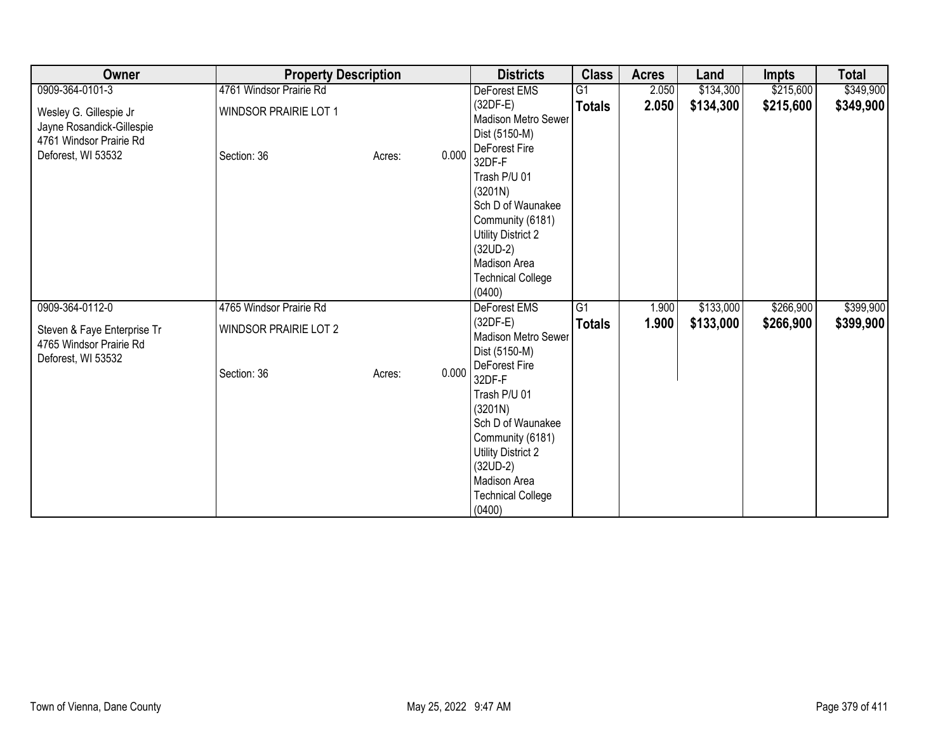| Owner                                                                          | <b>Property Description</b>  |        |       | <b>Districts</b>                                                                                                                                                                             | <b>Class</b>    | <b>Acres</b> | Land      | Impts     | <b>Total</b> |
|--------------------------------------------------------------------------------|------------------------------|--------|-------|----------------------------------------------------------------------------------------------------------------------------------------------------------------------------------------------|-----------------|--------------|-----------|-----------|--------------|
| 0909-364-0101-3                                                                | 4761 Windsor Prairie Rd      |        |       | DeForest EMS                                                                                                                                                                                 | G <sub>1</sub>  | 2.050        | \$134,300 | \$215,600 | \$349,900    |
| Wesley G. Gillespie Jr<br>Jayne Rosandick-Gillespie<br>4761 Windsor Prairie Rd | <b>WINDSOR PRAIRIE LOT 1</b> |        |       | $(32DF-E)$<br>Madison Metro Sewer<br>Dist (5150-M)<br>DeForest Fire                                                                                                                          | <b>Totals</b>   | 2.050        | \$134,300 | \$215,600 | \$349,900    |
| Deforest, WI 53532                                                             | Section: 36                  | Acres: | 0.000 | 32DF-F<br>Trash P/U 01<br>(3201N)<br>Sch D of Waunakee<br>Community (6181)<br><b>Utility District 2</b><br>$(32UD-2)$<br>Madison Area<br><b>Technical College</b><br>(0400)                  |                 |              |           |           |              |
| 0909-364-0112-0                                                                | 4765 Windsor Prairie Rd      |        |       | DeForest EMS                                                                                                                                                                                 | $\overline{G1}$ | 1.900        | \$133,000 | \$266,900 | \$399,900    |
| Steven & Faye Enterprise Tr<br>4765 Windsor Prairie Rd<br>Deforest, WI 53532   | <b>WINDSOR PRAIRIE LOT 2</b> |        |       | $(32DF-E)$<br>Madison Metro Sewer<br>Dist (5150-M)                                                                                                                                           | <b>Totals</b>   | 1.900        | \$133,000 | \$266,900 | \$399,900    |
|                                                                                | Section: 36                  | Acres: | 0.000 | DeForest Fire<br>32DF-F<br>Trash P/U 01<br>(3201N)<br>Sch D of Waunakee<br>Community (6181)<br><b>Utility District 2</b><br>$(32UD-2)$<br>Madison Area<br><b>Technical College</b><br>(0400) |                 |              |           |           |              |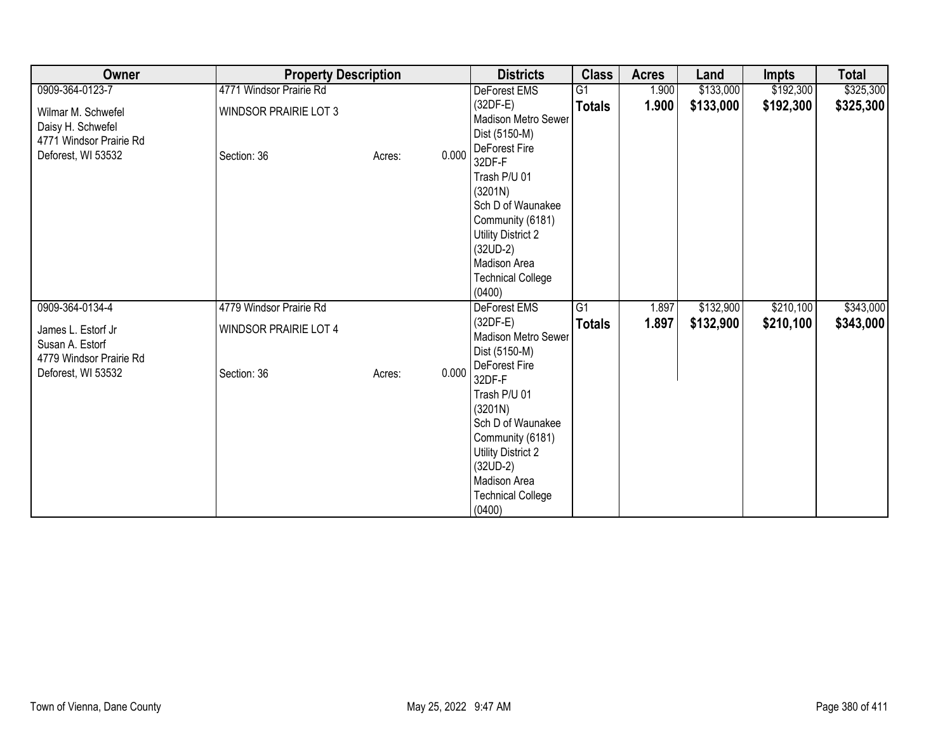| Owner                                                                                    | <b>Property Description</b>                 |        |       | <b>Districts</b>                                                                                                                                                                             | <b>Class</b>    | <b>Acres</b> | Land      | <b>Impts</b> | <b>Total</b> |
|------------------------------------------------------------------------------------------|---------------------------------------------|--------|-------|----------------------------------------------------------------------------------------------------------------------------------------------------------------------------------------------|-----------------|--------------|-----------|--------------|--------------|
| 0909-364-0123-7                                                                          | 4771 Windsor Prairie Rd                     |        |       | DeForest EMS                                                                                                                                                                                 | G1              | 1.900        | \$133,000 | \$192,300    | \$325,300    |
| Wilmar M. Schwefel<br>Daisy H. Schwefel<br>4771 Windsor Prairie Rd<br>Deforest, WI 53532 | <b>WINDSOR PRAIRIE LOT 3</b><br>Section: 36 | Acres: | 0.000 | $(32DF-E)$<br>Madison Metro Sewer<br>Dist (5150-M)<br>DeForest Fire<br>32DF-F                                                                                                                | <b>Totals</b>   | 1.900        | \$133,000 | \$192,300    | \$325,300    |
|                                                                                          |                                             |        |       | Trash P/U 01<br>(3201N)<br>Sch D of Waunakee<br>Community (6181)<br>Utility District 2<br>$(32UD-2)$<br>Madison Area<br><b>Technical College</b><br>(0400)                                   |                 |              |           |              |              |
| 0909-364-0134-4                                                                          | 4779 Windsor Prairie Rd                     |        |       | DeForest EMS                                                                                                                                                                                 | $\overline{G1}$ | 1.897        | \$132,900 | \$210,100    | \$343,000    |
| James L. Estorf Jr<br>Susan A. Estorf<br>4779 Windsor Prairie Rd                         | <b>WINDSOR PRAIRIE LOT 4</b>                |        |       | $(32DF-E)$<br>Madison Metro Sewer<br>Dist (5150-M)                                                                                                                                           | <b>Totals</b>   | 1.897        | \$132,900 | \$210,100    | \$343,000    |
| Deforest, WI 53532                                                                       | Section: 36                                 | Acres: | 0.000 | DeForest Fire<br>32DF-F<br>Trash P/U 01<br>(3201N)<br>Sch D of Waunakee<br>Community (6181)<br><b>Utility District 2</b><br>$(32UD-2)$<br>Madison Area<br><b>Technical College</b><br>(0400) |                 |              |           |              |              |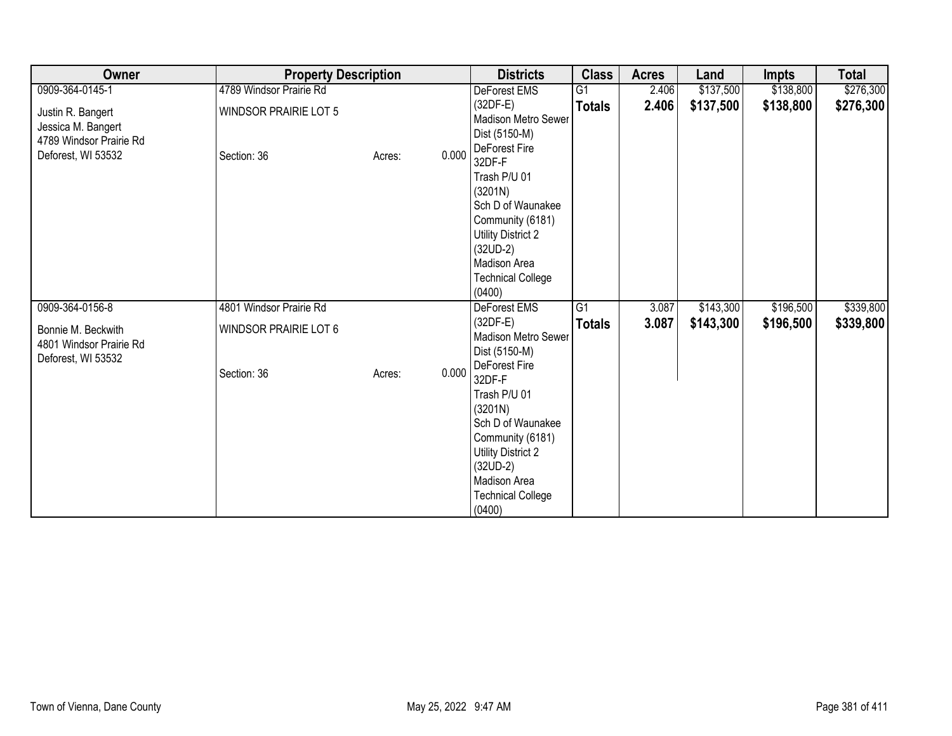| Owner                                                                                    | <b>Property Description</b>                 | <b>Districts</b> | <b>Class</b>                                                                                                                                                                                 | <b>Acres</b>    | Land  | <b>Impts</b> | <b>Total</b> |           |
|------------------------------------------------------------------------------------------|---------------------------------------------|------------------|----------------------------------------------------------------------------------------------------------------------------------------------------------------------------------------------|-----------------|-------|--------------|--------------|-----------|
| 0909-364-0145-1                                                                          | 4789 Windsor Prairie Rd                     |                  | DeForest EMS                                                                                                                                                                                 | $\overline{G1}$ | 2.406 | \$137,500    | \$138,800    | \$276,300 |
| Justin R. Bangert<br>Jessica M. Bangert<br>4789 Windsor Prairie Rd<br>Deforest, WI 53532 | <b>WINDSOR PRAIRIE LOT 5</b><br>Section: 36 | 0.000<br>Acres:  | $(32DF-E)$<br><b>Madison Metro Sewer</b><br>Dist (5150-M)<br>DeForest Fire<br>32DF-F                                                                                                         | <b>Totals</b>   | 2.406 | \$137,500    | \$138,800    | \$276,300 |
|                                                                                          |                                             |                  | Trash P/U 01<br>(3201N)<br>Sch D of Waunakee<br>Community (6181)<br>Utility District 2<br>$(32UD-2)$<br>Madison Area<br><b>Technical College</b><br>(0400)                                   |                 |       |              |              |           |
| 0909-364-0156-8                                                                          | 4801 Windsor Prairie Rd                     |                  | DeForest EMS                                                                                                                                                                                 | $\overline{G1}$ | 3.087 | \$143,300    | \$196,500    | \$339,800 |
| Bonnie M. Beckwith<br>4801 Windsor Prairie Rd<br>Deforest, WI 53532                      | <b>WINDSOR PRAIRIE LOT 6</b>                |                  | (32DF-E)<br>Madison Metro Sewer<br>Dist (5150-M)                                                                                                                                             | <b>Totals</b>   | 3.087 | \$143,300    | \$196,500    | \$339,800 |
|                                                                                          | Section: 36                                 | 0.000<br>Acres:  | DeForest Fire<br>32DF-F<br>Trash P/U 01<br>(3201N)<br>Sch D of Waunakee<br>Community (6181)<br><b>Utility District 2</b><br>$(32UD-2)$<br>Madison Area<br><b>Technical College</b><br>(0400) |                 |       |              |              |           |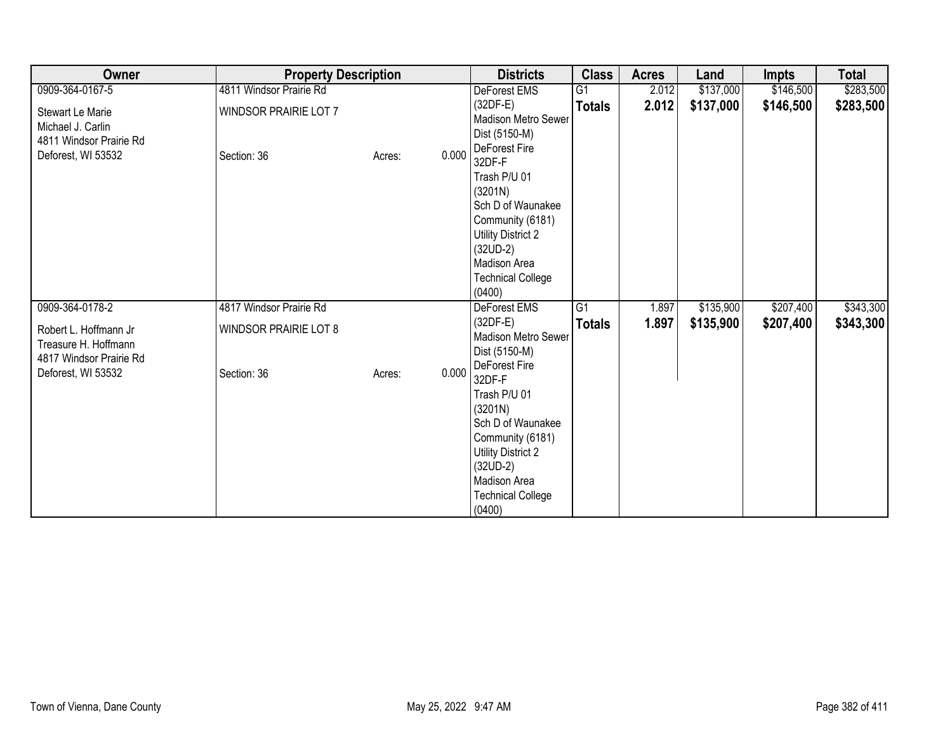| Owner                                                                                  | <b>Property Description</b>                 |        |       | <b>Districts</b>                                                                                                                                                                             | <b>Class</b>    | <b>Acres</b> | Land      | Impts     | <b>Total</b> |
|----------------------------------------------------------------------------------------|---------------------------------------------|--------|-------|----------------------------------------------------------------------------------------------------------------------------------------------------------------------------------------------|-----------------|--------------|-----------|-----------|--------------|
| 0909-364-0167-5                                                                        | 4811 Windsor Prairie Rd                     |        |       | DeForest EMS                                                                                                                                                                                 | G <sub>1</sub>  | 2.012        | \$137,000 | \$146,500 | \$283,500    |
| Stewart Le Marie<br>Michael J. Carlin<br>4811 Windsor Prairie Rd<br>Deforest, WI 53532 | <b>WINDSOR PRAIRIE LOT 7</b><br>Section: 36 | Acres: | 0.000 | $(32DF-E)$<br>Madison Metro Sewer<br>Dist (5150-M)<br>DeForest Fire                                                                                                                          | <b>Totals</b>   | 2.012        | \$137,000 | \$146,500 | \$283,500    |
|                                                                                        |                                             |        |       | 32DF-F<br>Trash P/U 01<br>(3201N)<br>Sch D of Waunakee<br>Community (6181)<br><b>Utility District 2</b><br>$(32UD-2)$<br>Madison Area<br><b>Technical College</b><br>(0400)                  |                 |              |           |           |              |
| 0909-364-0178-2                                                                        | 4817 Windsor Prairie Rd                     |        |       | DeForest EMS                                                                                                                                                                                 | $\overline{G1}$ | 1.897        | \$135,900 | \$207,400 | \$343,300    |
| Robert L. Hoffmann Jr<br>Treasure H. Hoffmann<br>4817 Windsor Prairie Rd               | <b>WINDSOR PRAIRIE LOT 8</b>                |        |       | $(32DF-E)$<br>Madison Metro Sewer<br>Dist (5150-M)                                                                                                                                           | <b>Totals</b>   | 1.897        | \$135,900 | \$207,400 | \$343,300    |
| Deforest, WI 53532                                                                     | Section: 36                                 | Acres: | 0.000 | DeForest Fire<br>32DF-F<br>Trash P/U 01<br>(3201N)<br>Sch D of Waunakee<br>Community (6181)<br><b>Utility District 2</b><br>$(32UD-2)$<br>Madison Area<br><b>Technical College</b><br>(0400) |                 |              |           |           |              |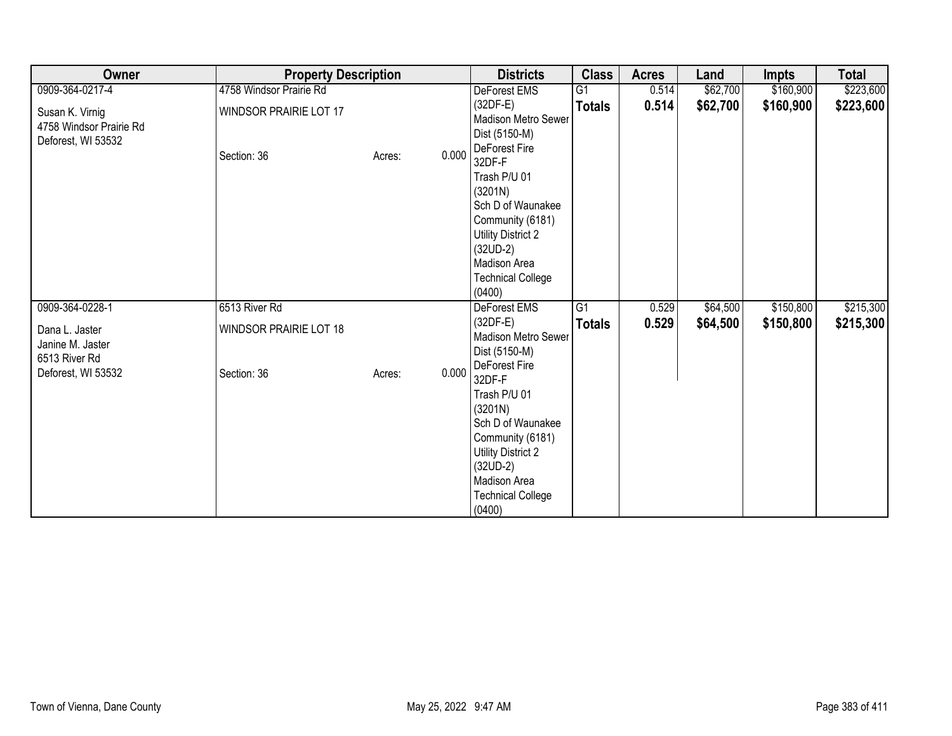| Owner                                                            | <b>Property Description</b>           | <b>Districts</b> | <b>Class</b>                                                                                                                                                                                 | <b>Acres</b>    | Land  | <b>Impts</b> | <b>Total</b> |           |
|------------------------------------------------------------------|---------------------------------------|------------------|----------------------------------------------------------------------------------------------------------------------------------------------------------------------------------------------|-----------------|-------|--------------|--------------|-----------|
| 0909-364-0217-4                                                  | 4758 Windsor Prairie Rd               |                  | DeForest EMS                                                                                                                                                                                 | G1              | 0.514 | \$62,700     | \$160,900    | \$223,600 |
| Susan K. Virnig<br>4758 Windsor Prairie Rd<br>Deforest, WI 53532 | WINDSOR PRAIRIE LOT 17<br>Section: 36 | 0.000<br>Acres:  | $(32DF-E)$<br>Madison Metro Sewer<br>Dist (5150-M)<br>DeForest Fire<br>32DF-F                                                                                                                | <b>Totals</b>   | 0.514 | \$62,700     | \$160,900    | \$223,600 |
|                                                                  |                                       |                  | Trash P/U 01<br>(3201N)<br>Sch D of Waunakee<br>Community (6181)<br>Utility District 2<br>$(32UD-2)$<br>Madison Area<br><b>Technical College</b><br>(0400)                                   |                 |       |              |              |           |
| 0909-364-0228-1                                                  | 6513 River Rd                         |                  | DeForest EMS                                                                                                                                                                                 | $\overline{G1}$ | 0.529 | \$64,500     | \$150,800    | \$215,300 |
| Dana L. Jaster<br>Janine M. Jaster<br>6513 River Rd              | <b>WINDSOR PRAIRIE LOT 18</b>         |                  | $(32DF-E)$<br>Madison Metro Sewer<br>Dist (5150-M)                                                                                                                                           | <b>Totals</b>   | 0.529 | \$64,500     | \$150,800    | \$215,300 |
| Deforest, WI 53532                                               | Section: 36                           | 0.000<br>Acres:  | DeForest Fire<br>32DF-F<br>Trash P/U 01<br>(3201N)<br>Sch D of Waunakee<br>Community (6181)<br><b>Utility District 2</b><br>$(32UD-2)$<br>Madison Area<br><b>Technical College</b><br>(0400) |                 |       |              |              |           |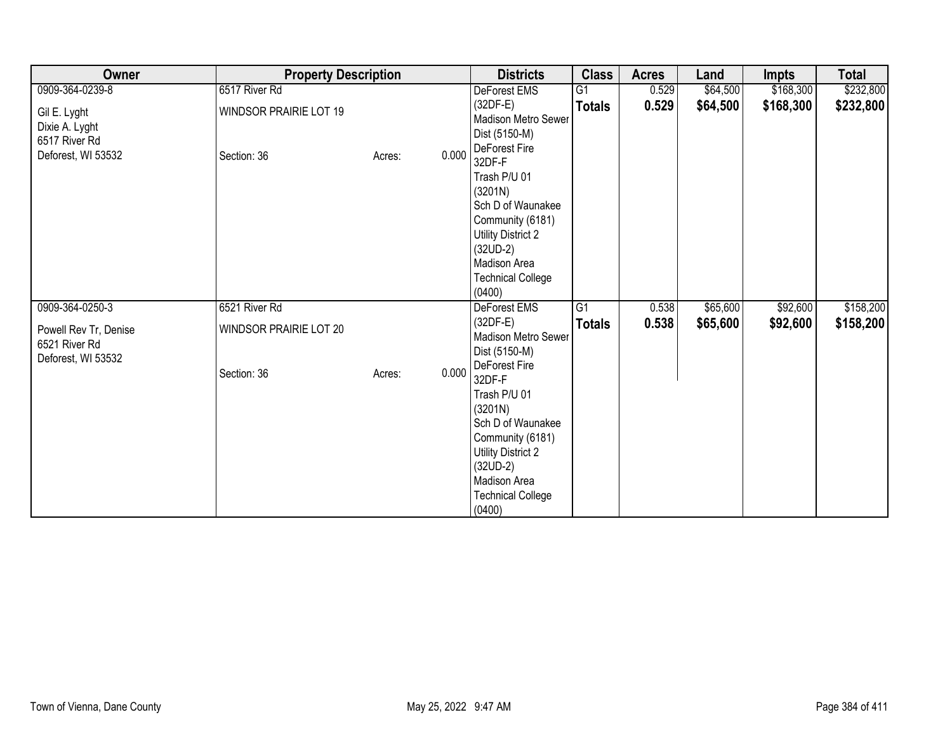| Owner                                                                 | <b>Property Description</b>                  | <b>Districts</b> | <b>Class</b>                                                                                                                                                                                 | <b>Acres</b>    | Land  | <b>Impts</b> | <b>Total</b> |           |
|-----------------------------------------------------------------------|----------------------------------------------|------------------|----------------------------------------------------------------------------------------------------------------------------------------------------------------------------------------------|-----------------|-------|--------------|--------------|-----------|
| 0909-364-0239-8                                                       | 6517 River Rd                                |                  | DeForest EMS                                                                                                                                                                                 | $\overline{G1}$ | 0.529 | \$64,500     | \$168,300    | \$232,800 |
| Gil E. Lyght<br>Dixie A. Lyght<br>6517 River Rd<br>Deforest, WI 53532 | <b>WINDSOR PRAIRIE LOT 19</b><br>Section: 36 | 0.000<br>Acres:  | $(32DF-E)$<br>Madison Metro Sewer<br>Dist (5150-M)<br>DeForest Fire<br>32DF-F                                                                                                                | <b>Totals</b>   | 0.529 | \$64,500     | \$168,300    | \$232,800 |
|                                                                       |                                              |                  | Trash P/U 01<br>(3201N)<br>Sch D of Waunakee<br>Community (6181)<br>Utility District 2<br>$(32UD-2)$<br>Madison Area<br><b>Technical College</b><br>(0400)                                   |                 |       |              |              |           |
| 0909-364-0250-3                                                       | 6521 River Rd                                |                  | DeForest EMS                                                                                                                                                                                 | G1              | 0.538 | \$65,600     | \$92,600     | \$158,200 |
| Powell Rev Tr, Denise<br>6521 River Rd<br>Deforest, WI 53532          | WINDSOR PRAIRIE LOT 20                       |                  | $(32DF-E)$<br>Madison Metro Sewer<br>Dist (5150-M)                                                                                                                                           | <b>Totals</b>   | 0.538 | \$65,600     | \$92,600     | \$158,200 |
|                                                                       | Section: 36                                  | 0.000<br>Acres:  | DeForest Fire<br>32DF-F<br>Trash P/U 01<br>(3201N)<br>Sch D of Waunakee<br>Community (6181)<br><b>Utility District 2</b><br>$(32UD-2)$<br>Madison Area<br><b>Technical College</b><br>(0400) |                 |       |              |              |           |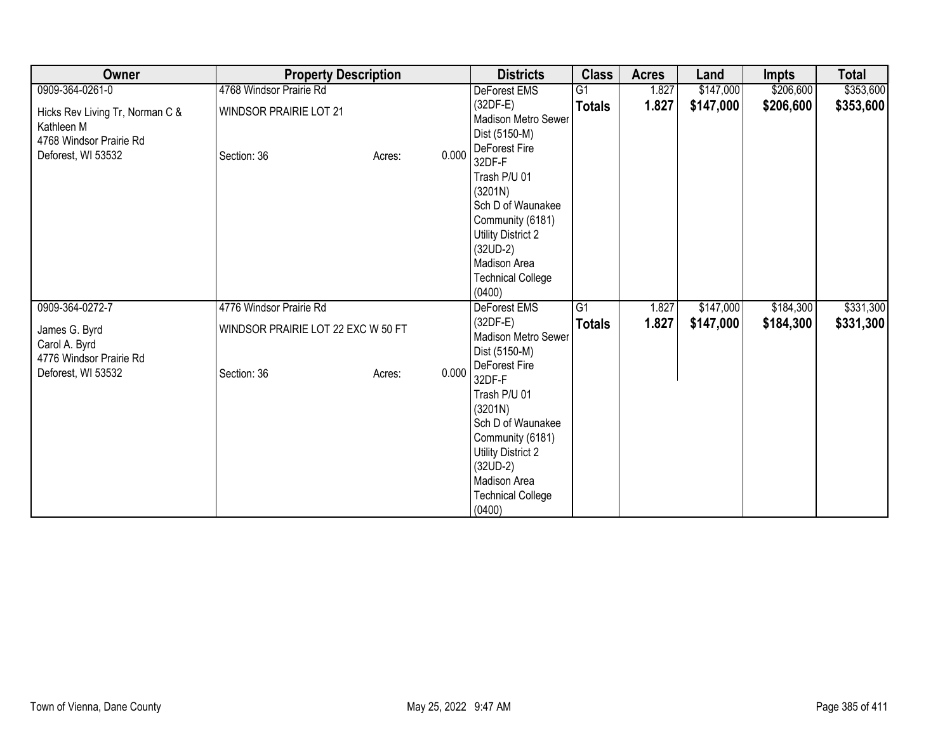| Owner                                                                                          | <b>Property Description</b>                  |                 | <b>Districts</b>                                                                                                                                                                             | <b>Class</b>    | <b>Acres</b> | Land      | <b>Impts</b> | <b>Total</b> |
|------------------------------------------------------------------------------------------------|----------------------------------------------|-----------------|----------------------------------------------------------------------------------------------------------------------------------------------------------------------------------------------|-----------------|--------------|-----------|--------------|--------------|
| 0909-364-0261-0                                                                                | 4768 Windsor Prairie Rd                      |                 | DeForest EMS                                                                                                                                                                                 | G1              | 1.827        | \$147,000 | \$206,600    | \$353,600    |
| Hicks Rev Living Tr, Norman C &<br>Kathleen M<br>4768 Windsor Prairie Rd<br>Deforest, WI 53532 | <b>WINDSOR PRAIRIE LOT 21</b><br>Section: 36 | 0.000<br>Acres: | $(32DF-E)$<br>Madison Metro Sewer<br>Dist (5150-M)<br>DeForest Fire<br>32DF-F                                                                                                                | <b>Totals</b>   | 1.827        | \$147,000 | \$206,600    | \$353,600    |
|                                                                                                |                                              |                 | Trash P/U 01<br>(3201N)<br>Sch D of Waunakee<br>Community (6181)<br>Utility District 2<br>$(32UD-2)$<br>Madison Area<br><b>Technical College</b><br>(0400)                                   |                 |              |           |              |              |
| 0909-364-0272-7                                                                                | 4776 Windsor Prairie Rd                      |                 | DeForest EMS                                                                                                                                                                                 | $\overline{G1}$ | 1.827        | \$147,000 | \$184,300    | \$331,300    |
| James G. Byrd<br>Carol A. Byrd<br>4776 Windsor Prairie Rd                                      | WINDSOR PRAIRIE LOT 22 EXC W 50 FT           |                 | $(32DF-E)$<br>Madison Metro Sewer<br>Dist (5150-M)                                                                                                                                           | <b>Totals</b>   | 1.827        | \$147,000 | \$184,300    | \$331,300    |
| Deforest, WI 53532                                                                             | Section: 36                                  | 0.000<br>Acres: | DeForest Fire<br>32DF-F<br>Trash P/U 01<br>(3201N)<br>Sch D of Waunakee<br>Community (6181)<br><b>Utility District 2</b><br>$(32UD-2)$<br>Madison Area<br><b>Technical College</b><br>(0400) |                 |              |           |              |              |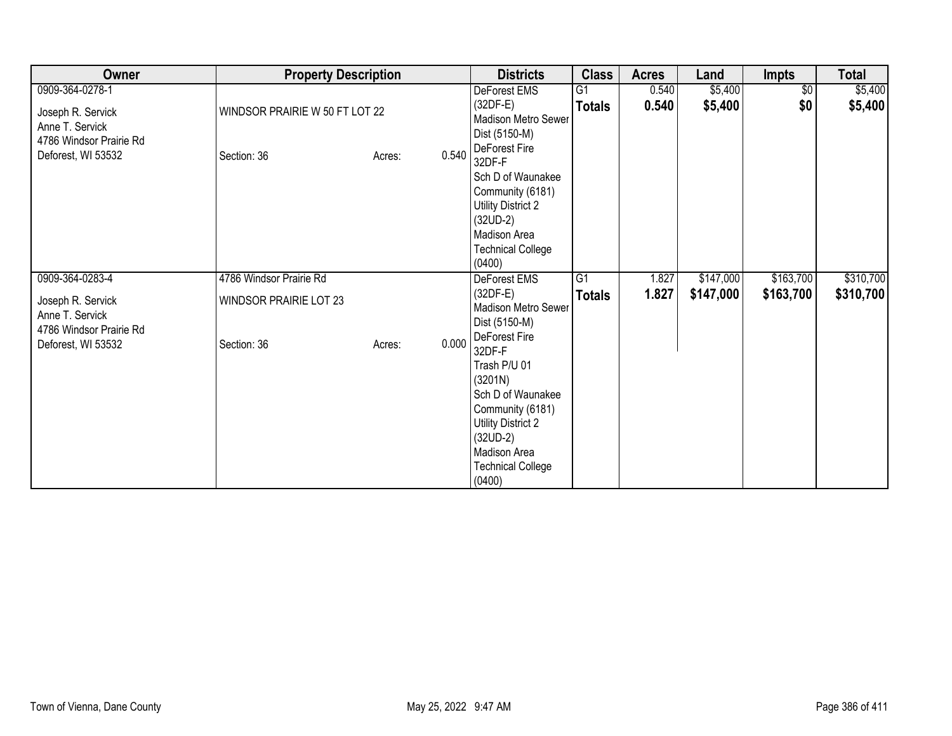| Owner                                                                                 | <b>Property Description</b>                  |                 | <b>Districts</b>                                                                                                                                           | <b>Class</b>  | <b>Acres</b> | Land      | <b>Impts</b>    | <b>Total</b> |
|---------------------------------------------------------------------------------------|----------------------------------------------|-----------------|------------------------------------------------------------------------------------------------------------------------------------------------------------|---------------|--------------|-----------|-----------------|--------------|
| 0909-364-0278-1                                                                       |                                              |                 | DeForest EMS                                                                                                                                               | G1            | 0.540        | \$5,400   | $\overline{50}$ | \$5,400      |
| Joseph R. Servick<br>Anne T. Servick<br>4786 Windsor Prairie Rd                       | WINDSOR PRAIRIE W 50 FT LOT 22               |                 | (32DF-E)<br>Madison Metro Sewer<br>Dist (5150-M)                                                                                                           | <b>Totals</b> | 0.540        | \$5,400   | \$0             | \$5,400      |
| Deforest, WI 53532                                                                    | Section: 36                                  | 0.540<br>Acres: | DeForest Fire<br>32DF-F<br>Sch D of Waunakee<br>Community (6181)<br>Utility District 2<br>$(32UD-2)$<br>Madison Area<br><b>Technical College</b><br>(0400) |               |              |           |                 |              |
| 0909-364-0283-4                                                                       | 4786 Windsor Prairie Rd                      |                 | DeForest EMS                                                                                                                                               | G1            | 1.827        | \$147,000 | \$163,700       | \$310,700    |
| Joseph R. Servick<br>Anne T. Servick<br>4786 Windsor Prairie Rd<br>Deforest, WI 53532 | <b>WINDSOR PRAIRIE LOT 23</b><br>Section: 36 | 0.000<br>Acres: | $(32DF-E)$<br>Madison Metro Sewer<br>Dist (5150-M)<br>DeForest Fire<br>32DF-F                                                                              | <b>Totals</b> | 1.827        | \$147,000 | \$163,700       | \$310,700    |
|                                                                                       |                                              |                 | Trash P/U 01<br>(3201N)<br>Sch D of Waunakee<br>Community (6181)<br>Utility District 2<br>$(32UD-2)$<br>Madison Area<br><b>Technical College</b><br>(0400) |               |              |           |                 |              |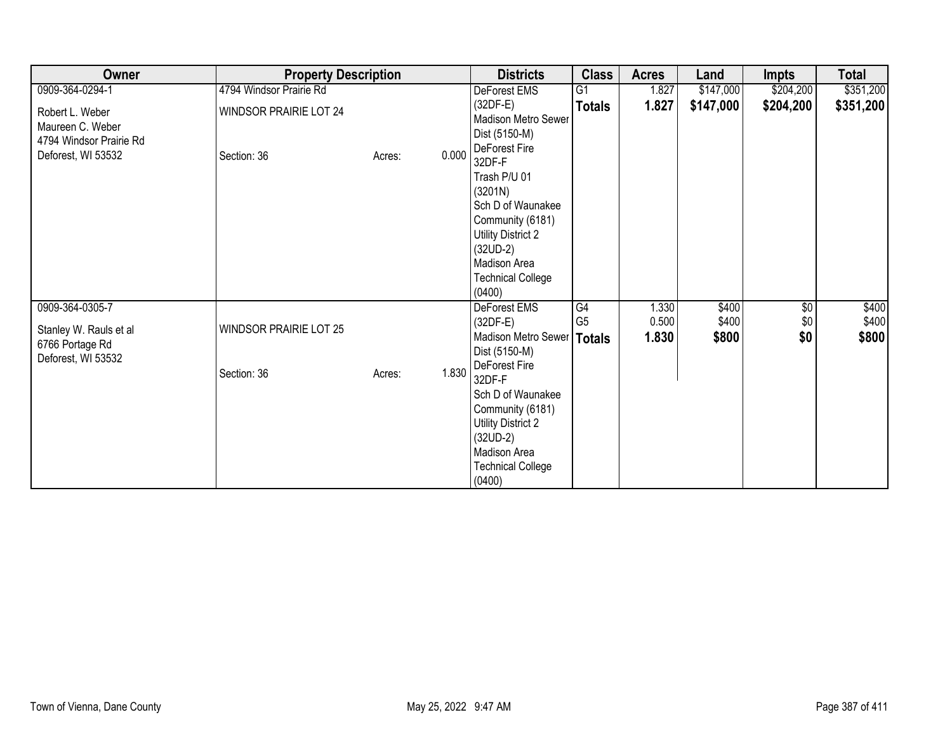| Owner                                                           | <b>Property Description</b>   |                 | <b>Districts</b>                                                                                                                                                                      | <b>Class</b>         | <b>Acres</b>   | Land           | <b>Impts</b>      | <b>Total</b>   |
|-----------------------------------------------------------------|-------------------------------|-----------------|---------------------------------------------------------------------------------------------------------------------------------------------------------------------------------------|----------------------|----------------|----------------|-------------------|----------------|
| 0909-364-0294-1                                                 | 4794 Windsor Prairie Rd       |                 | DeForest EMS                                                                                                                                                                          | G1                   | 1.827          | \$147,000      | \$204,200         | \$351,200      |
| Robert L. Weber<br>Maureen C. Weber<br>4794 Windsor Prairie Rd  | WINDSOR PRAIRIE LOT 24        |                 | $(32DF-E)$<br><b>Madison Metro Sewer</b><br>Dist (5150-M)                                                                                                                             | <b>Totals</b>        | 1.827          | \$147,000      | \$204,200         | \$351,200      |
| Deforest, WI 53532                                              | Section: 36                   | 0.000<br>Acres: | DeForest Fire<br>32DF-F<br>Trash P/U 01<br>(3201N)<br>Sch D of Waunakee<br>Community (6181)<br>Utility District 2<br>$(32UD-2)$<br>Madison Area<br><b>Technical College</b><br>(0400) |                      |                |                |                   |                |
| 0909-364-0305-7                                                 |                               |                 | DeForest EMS<br>$(32DF-E)$                                                                                                                                                            | G4<br>G <sub>5</sub> | 1.330<br>0.500 | \$400<br>\$400 | $\sqrt{6}$<br>\$0 | \$400<br>\$400 |
| Stanley W. Rauls et al<br>6766 Portage Rd<br>Deforest, WI 53532 | <b>WINDSOR PRAIRIE LOT 25</b> |                 | Madison Metro Sewer<br>Dist (5150-M)                                                                                                                                                  | Totals               | 1.830          | \$800          | \$0               | \$800          |
|                                                                 | Section: 36                   | 1.830<br>Acres: | DeForest Fire<br>32DF-F<br>Sch D of Waunakee<br>Community (6181)<br><b>Utility District 2</b><br>$(32UD-2)$<br>Madison Area<br><b>Technical College</b><br>(0400)                     |                      |                |                |                   |                |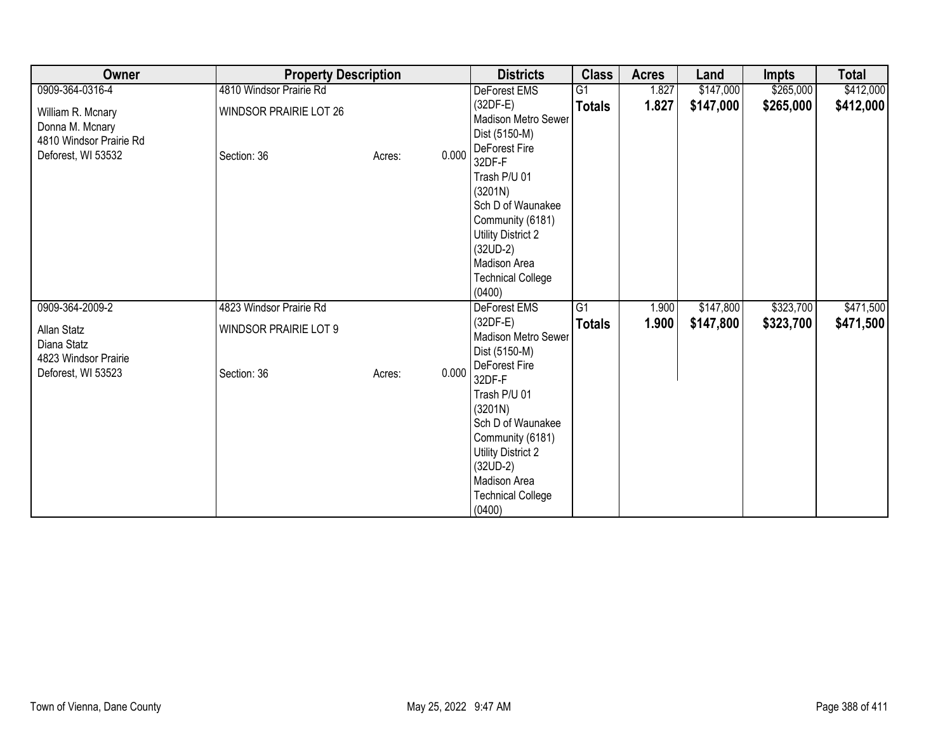| Owner                                                                                 | <b>Property Description</b>                  |                 | <b>Districts</b>                                                                                                                                                                             | <b>Class</b>    | <b>Acres</b> | Land      | <b>Impts</b> | <b>Total</b> |
|---------------------------------------------------------------------------------------|----------------------------------------------|-----------------|----------------------------------------------------------------------------------------------------------------------------------------------------------------------------------------------|-----------------|--------------|-----------|--------------|--------------|
| 0909-364-0316-4                                                                       | 4810 Windsor Prairie Rd                      |                 | DeForest EMS                                                                                                                                                                                 | $\overline{G1}$ | 1.827        | \$147,000 | \$265,000    | \$412,000    |
| William R. Mcnary<br>Donna M. Mcnary<br>4810 Windsor Prairie Rd<br>Deforest, WI 53532 | <b>WINDSOR PRAIRIE LOT 26</b><br>Section: 36 | 0.000<br>Acres: | $(32DF-E)$<br>Madison Metro Sewer<br>Dist (5150-M)<br>DeForest Fire<br>32DF-F                                                                                                                | <b>Totals</b>   | 1.827        | \$147,000 | \$265,000    | \$412,000    |
|                                                                                       |                                              |                 | Trash P/U 01<br>(3201N)<br>Sch D of Waunakee<br>Community (6181)<br>Utility District 2<br>$(32UD-2)$<br>Madison Area<br><b>Technical College</b><br>(0400)                                   |                 |              |           |              |              |
| 0909-364-2009-2                                                                       | 4823 Windsor Prairie Rd                      |                 | DeForest EMS                                                                                                                                                                                 | $\overline{G1}$ | 1.900        | \$147,800 | \$323,700    | \$471,500    |
| Allan Statz<br>Diana Statz<br>4823 Windsor Prairie                                    | <b>WINDSOR PRAIRIE LOT 9</b>                 |                 | $(32DF-E)$<br>Madison Metro Sewer<br>Dist (5150-M)                                                                                                                                           | <b>Totals</b>   | 1.900        | \$147,800 | \$323,700    | \$471,500    |
| Deforest, WI 53523                                                                    | Section: 36                                  | 0.000<br>Acres: | DeForest Fire<br>32DF-F<br>Trash P/U 01<br>(3201N)<br>Sch D of Waunakee<br>Community (6181)<br><b>Utility District 2</b><br>$(32UD-2)$<br>Madison Area<br><b>Technical College</b><br>(0400) |                 |              |           |              |              |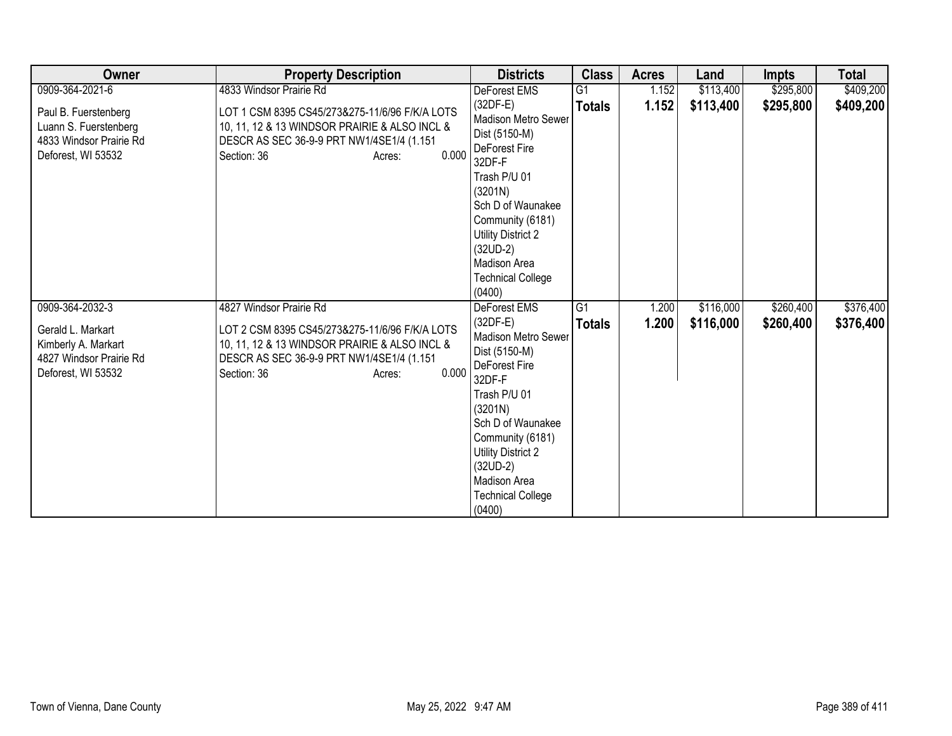| Owner                                                                                                        | <b>Property Description</b>                                                                                                                                                                               | <b>Districts</b>                                                                                                                                                                                                                                                                 | <b>Class</b>                     | <b>Acres</b>   | Land                   | <b>Impts</b>           | <b>Total</b>           |
|--------------------------------------------------------------------------------------------------------------|-----------------------------------------------------------------------------------------------------------------------------------------------------------------------------------------------------------|----------------------------------------------------------------------------------------------------------------------------------------------------------------------------------------------------------------------------------------------------------------------------------|----------------------------------|----------------|------------------------|------------------------|------------------------|
| 0909-364-2021-6                                                                                              | 4833 Windsor Prairie Rd                                                                                                                                                                                   | DeForest EMS                                                                                                                                                                                                                                                                     | G <sub>1</sub>                   | 1.152          | \$113,400              | \$295,800              | \$409,200              |
| Paul B. Fuerstenberg<br>Luann S. Fuerstenberg<br>4833 Windsor Prairie Rd<br>Deforest, WI 53532               | LOT 1 CSM 8395 CS45/273&275-11/6/96 F/K/A LOTS<br>10, 11, 12 & 13 WINDSOR PRAIRIE & ALSO INCL &<br>DESCR AS SEC 36-9-9 PRT NW1/4SE1/4 (1.151<br>0.000<br>Section: 36<br>Acres:                            | $(32DF-E)$<br>Madison Metro Sewer<br>Dist (5150-M)<br>DeForest Fire<br>32DF-F<br>Trash P/U 01<br>(3201N)<br>Sch D of Waunakee<br>Community (6181)<br>Utility District 2<br>$(32UD-2)$<br>Madison Area<br><b>Technical College</b><br>(0400)                                      | <b>Totals</b>                    | 1.152          | \$113,400              | \$295,800              | \$409,200              |
| 0909-364-2032-3<br>Gerald L. Markart<br>Kimberly A. Markart<br>4827 Windsor Prairie Rd<br>Deforest, WI 53532 | 4827 Windsor Prairie Rd<br>LOT 2 CSM 8395 CS45/273&275-11/6/96 F/K/A LOTS<br>10, 11, 12 & 13 WINDSOR PRAIRIE & ALSO INCL &<br>DESCR AS SEC 36-9-9 PRT NW1/4SE1/4 (1.151<br>0.000<br>Section: 36<br>Acres: | <b>DeForest EMS</b><br>$(32DF-E)$<br><b>Madison Metro Sewer</b><br>Dist (5150-M)<br>DeForest Fire<br>32DF-F<br>Trash P/U 01<br>(3201N)<br>Sch D of Waunakee<br>Community (6181)<br><b>Utility District 2</b><br>$(32UD-2)$<br>Madison Area<br><b>Technical College</b><br>(0400) | $\overline{G1}$<br><b>Totals</b> | 1.200<br>1.200 | \$116,000<br>\$116,000 | \$260,400<br>\$260,400 | \$376,400<br>\$376,400 |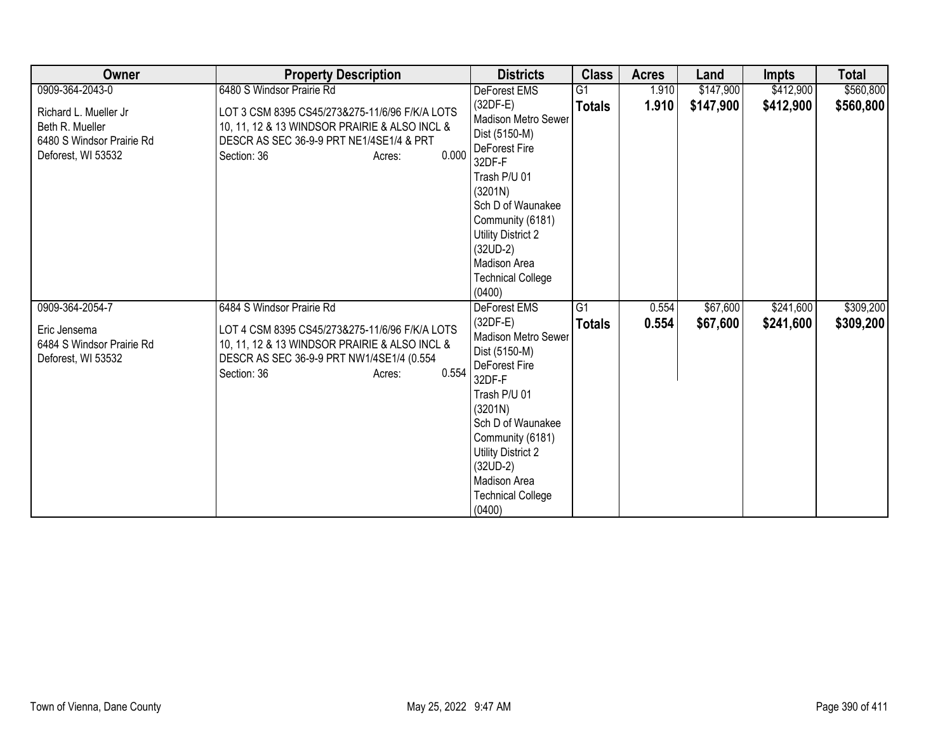| Owner                                                                                       | <b>Property Description</b>                                                                                                                                                    | <b>Districts</b>                                                                                                                                                                                                                                          | <b>Class</b>    | <b>Acres</b> | Land      | <b>Impts</b> | <b>Total</b> |
|---------------------------------------------------------------------------------------------|--------------------------------------------------------------------------------------------------------------------------------------------------------------------------------|-----------------------------------------------------------------------------------------------------------------------------------------------------------------------------------------------------------------------------------------------------------|-----------------|--------------|-----------|--------------|--------------|
| 0909-364-2043-0                                                                             | 6480 S Windsor Prairie Rd                                                                                                                                                      | DeForest EMS                                                                                                                                                                                                                                              | G1              | 1.910        | \$147,900 | \$412,900    | \$560,800    |
| Richard L. Mueller Jr<br>Beth R. Mueller<br>6480 S Windsor Prairie Rd<br>Deforest, WI 53532 | LOT 3 CSM 8395 CS45/273&275-11/6/96 F/K/A LOTS<br>10, 11, 12 & 13 WINDSOR PRAIRIE & ALSO INCL &<br>DESCR AS SEC 36-9-9 PRT NE1/4SE1/4 & PRT<br>0.000<br>Section: 36<br>Acres:  | $(32DF-E)$<br>Madison Metro Sewer<br>Dist (5150-M)<br>DeForest Fire<br>32DF-F<br>Trash P/U 01<br>(3201N)<br>Sch D of Waunakee<br>Community (6181)<br><b>Utility District 2</b><br>$(32UD-2)$<br>Madison Area<br><b>Technical College</b><br>(0400)        | <b>Totals</b>   | 1.910        | \$147,900 | \$412,900    | \$560,800    |
| 0909-364-2054-7                                                                             | 6484 S Windsor Prairie Rd                                                                                                                                                      | <b>DeForest EMS</b>                                                                                                                                                                                                                                       | $\overline{G1}$ | 0.554        | \$67,600  | \$241,600    | \$309,200    |
| Eric Jensema<br>6484 S Windsor Prairie Rd<br>Deforest, WI 53532                             | LOT 4 CSM 8395 CS45/273&275-11/6/96 F/K/A LOTS<br>10, 11, 12 & 13 WINDSOR PRAIRIE & ALSO INCL &<br>DESCR AS SEC 36-9-9 PRT NW1/4SE1/4 (0.554<br>0.554<br>Section: 36<br>Acres: | $(32DF-E)$<br><b>Madison Metro Sewer</b><br>Dist (5150-M)<br>DeForest Fire<br>32DF-F<br>Trash P/U 01<br>(3201N)<br>Sch D of Waunakee<br>Community (6181)<br><b>Utility District 2</b><br>$(32UD-2)$<br>Madison Area<br><b>Technical College</b><br>(0400) | <b>Totals</b>   | 0.554        | \$67,600  | \$241,600    | \$309,200    |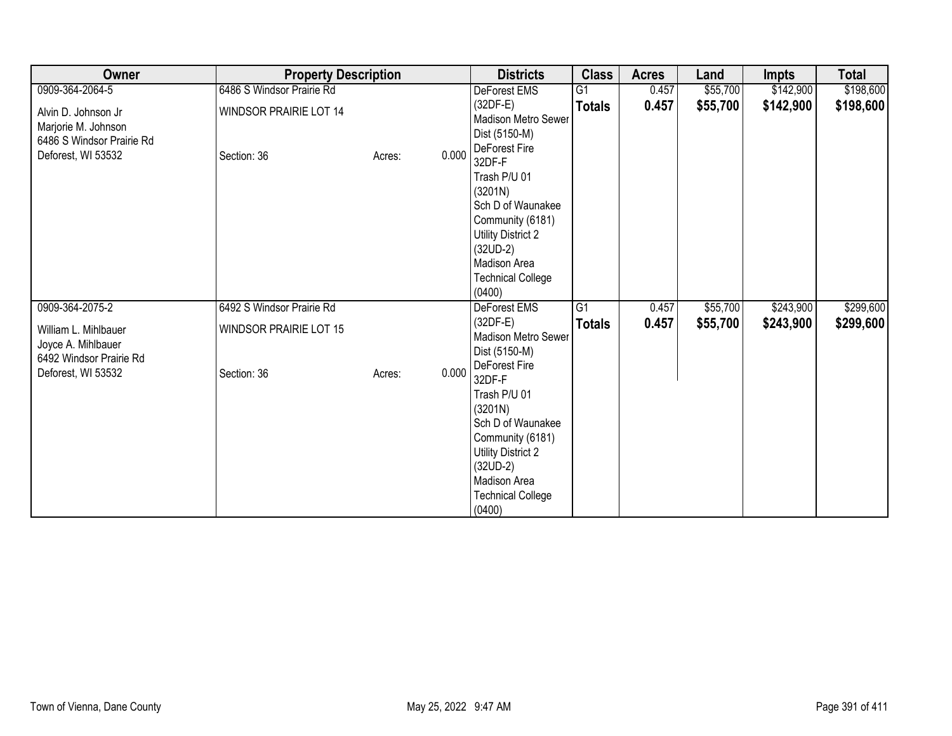| Owner                                                                   | <b>Property Description</b>   |                 | <b>Districts</b>                                                                                                                                                            | <b>Class</b>    | <b>Acres</b> | Land     | Impts     | <b>Total</b> |
|-------------------------------------------------------------------------|-------------------------------|-----------------|-----------------------------------------------------------------------------------------------------------------------------------------------------------------------------|-----------------|--------------|----------|-----------|--------------|
| 0909-364-2064-5                                                         | 6486 S Windsor Prairie Rd     |                 | DeForest EMS                                                                                                                                                                | G <sub>1</sub>  | 0.457        | \$55,700 | \$142,900 | \$198,600    |
| Alvin D. Johnson Jr<br>Marjorie M. Johnson<br>6486 S Windsor Prairie Rd | <b>WINDSOR PRAIRIE LOT 14</b> |                 | $(32DF-E)$<br>Madison Metro Sewer<br>Dist (5150-M)<br>DeForest Fire                                                                                                         | <b>Totals</b>   | 0.457        | \$55,700 | \$142,900 | \$198,600    |
| Deforest, WI 53532                                                      | Section: 36                   | 0.000<br>Acres: | 32DF-F<br>Trash P/U 01<br>(3201N)<br>Sch D of Waunakee<br>Community (6181)<br><b>Utility District 2</b><br>$(32UD-2)$<br>Madison Area<br><b>Technical College</b><br>(0400) |                 |              |          |           |              |
| 0909-364-2075-2                                                         | 6492 S Windsor Prairie Rd     |                 | DeForest EMS                                                                                                                                                                | $\overline{G1}$ | 0.457        | \$55,700 | \$243,900 | \$299,600    |
| William L. Mihlbauer<br>Joyce A. Mihlbauer<br>6492 Windsor Prairie Rd   | <b>WINDSOR PRAIRIE LOT 15</b> |                 | $(32DF-E)$<br>Madison Metro Sewer<br>Dist (5150-M)<br>DeForest Fire                                                                                                         | <b>Totals</b>   | 0.457        | \$55,700 | \$243,900 | \$299,600    |
| Deforest, WI 53532                                                      | Section: 36                   | 0.000<br>Acres: | 32DF-F<br>Trash P/U 01<br>(3201N)<br>Sch D of Waunakee<br>Community (6181)<br><b>Utility District 2</b><br>$(32UD-2)$<br>Madison Area<br><b>Technical College</b><br>(0400) |                 |              |          |           |              |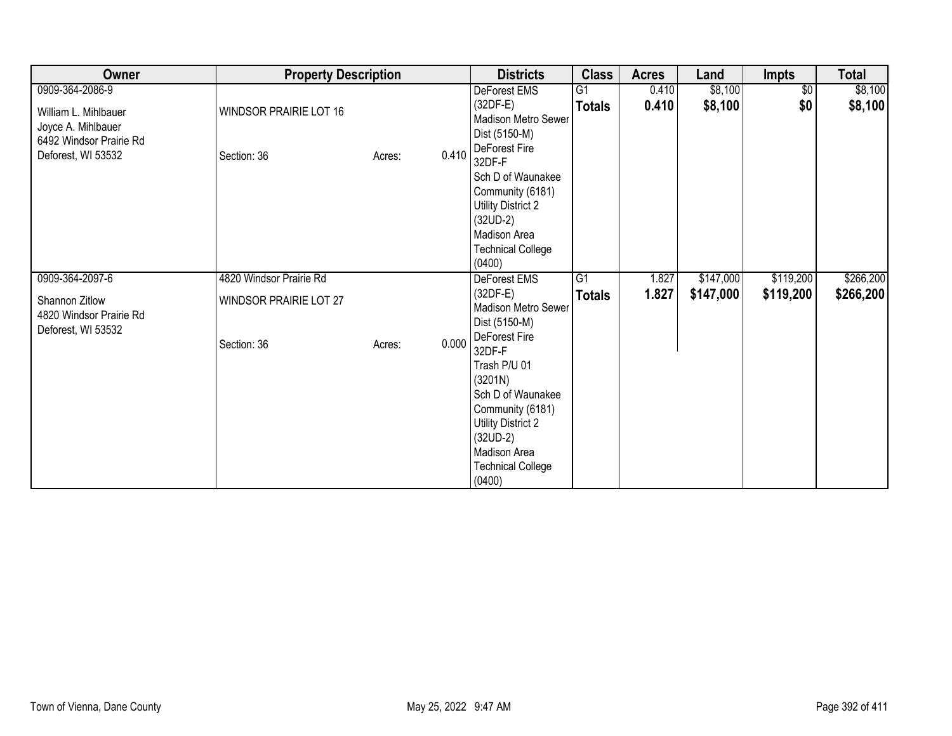| Owner                                                                 | <b>Property Description</b>                  |                 | <b>Districts</b>                                                                                                                                                     | <b>Class</b>  | <b>Acres</b> | Land      | <b>Impts</b> | <b>Total</b> |
|-----------------------------------------------------------------------|----------------------------------------------|-----------------|----------------------------------------------------------------------------------------------------------------------------------------------------------------------|---------------|--------------|-----------|--------------|--------------|
| 0909-364-2086-9                                                       |                                              |                 | DeForest EMS                                                                                                                                                         | G1            | 0.410        | \$8,100   | \$0          | \$8,100      |
| William L. Mihlbauer<br>Joyce A. Mihlbauer<br>6492 Windsor Prairie Rd | WINDSOR PRAIRIE LOT 16                       |                 | $(32DF-E)$<br>Madison Metro Sewer<br>Dist (5150-M)                                                                                                                   | <b>Totals</b> | 0.410        | \$8,100   | \$0          | \$8,100      |
| Deforest, WI 53532                                                    | Section: 36                                  | 0.410<br>Acres: | DeForest Fire<br>32DF-F<br>Sch D of Waunakee<br>Community (6181)<br>Utility District 2<br>$(32UD-2)$<br>Madison Area<br><b>Technical College</b><br>(0400)           |               |              |           |              |              |
| 0909-364-2097-6                                                       | 4820 Windsor Prairie Rd                      |                 | DeForest EMS                                                                                                                                                         | G1            | 1.827        | \$147,000 | \$119,200    | \$266,200    |
| Shannon Zitlow<br>4820 Windsor Prairie Rd<br>Deforest, WI 53532       | <b>WINDSOR PRAIRIE LOT 27</b><br>Section: 36 | 0.000<br>Acres: | $(32DF-E)$<br>Madison Metro Sewer<br>Dist (5150-M)<br>DeForest Fire                                                                                                  | <b>Totals</b> | 1.827        | \$147,000 | \$119,200    | \$266,200    |
|                                                                       |                                              |                 | 32DF-F<br>Trash P/U 01<br>(3201N)<br>Sch D of Waunakee<br>Community (6181)<br>Utility District 2<br>$(32UD-2)$<br>Madison Area<br><b>Technical College</b><br>(0400) |               |              |           |              |              |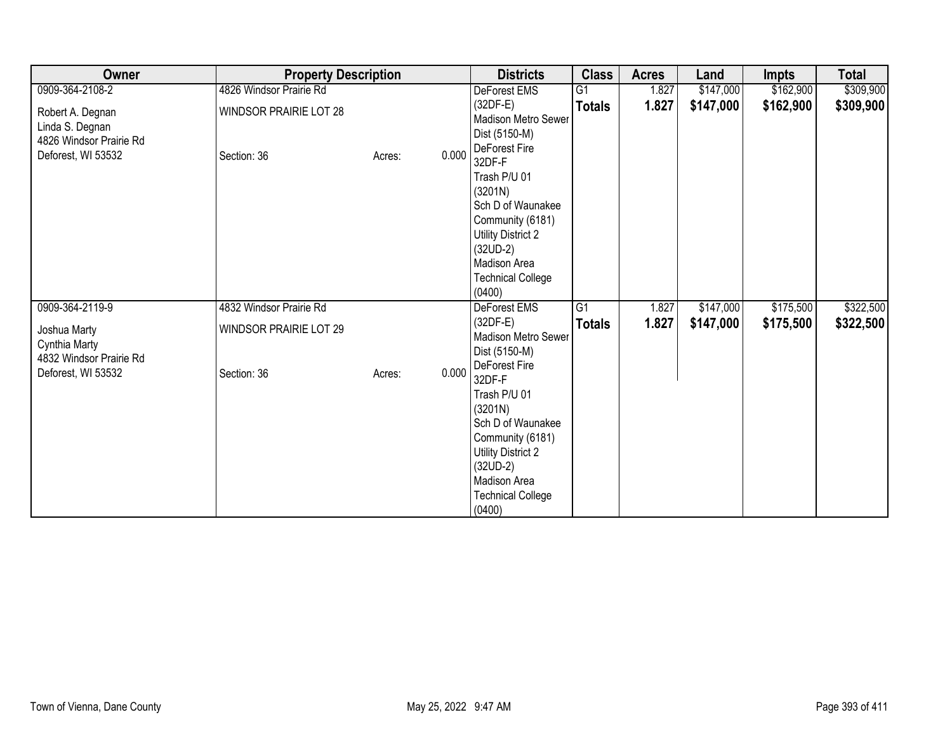| Owner                                                          | <b>Property Description</b>   |                 | <b>Districts</b>                                                                                                                                                            | <b>Class</b>    | <b>Acres</b> | Land      | Impts     | <b>Total</b> |
|----------------------------------------------------------------|-------------------------------|-----------------|-----------------------------------------------------------------------------------------------------------------------------------------------------------------------------|-----------------|--------------|-----------|-----------|--------------|
| 0909-364-2108-2                                                | 4826 Windsor Prairie Rd       |                 | DeForest EMS                                                                                                                                                                | G <sub>1</sub>  | 1.827        | \$147,000 | \$162,900 | \$309,900    |
| Robert A. Degnan<br>Linda S. Degnan<br>4826 Windsor Prairie Rd | WINDSOR PRAIRIE LOT 28        |                 | $(32DF-E)$<br>Madison Metro Sewer<br>Dist (5150-M)<br>DeForest Fire                                                                                                         | <b>Totals</b>   | 1.827        | \$147,000 | \$162,900 | \$309,900    |
| Deforest, WI 53532                                             | Section: 36                   | 0.000<br>Acres: | 32DF-F<br>Trash P/U 01<br>(3201N)<br>Sch D of Waunakee<br>Community (6181)<br><b>Utility District 2</b><br>$(32UD-2)$<br>Madison Area<br><b>Technical College</b><br>(0400) |                 |              |           |           |              |
| 0909-364-2119-9                                                | 4832 Windsor Prairie Rd       |                 | DeForest EMS                                                                                                                                                                | $\overline{G1}$ | 1.827        | \$147,000 | \$175,500 | \$322,500    |
| Joshua Marty<br>Cynthia Marty<br>4832 Windsor Prairie Rd       | <b>WINDSOR PRAIRIE LOT 29</b> |                 | $(32DF-E)$<br>Madison Metro Sewer<br>Dist (5150-M)<br>DeForest Fire                                                                                                         | <b>Totals</b>   | 1.827        | \$147,000 | \$175,500 | \$322,500    |
| Deforest, WI 53532                                             | Section: 36                   | 0.000<br>Acres: | 32DF-F<br>Trash P/U 01<br>(3201N)<br>Sch D of Waunakee<br>Community (6181)<br><b>Utility District 2</b><br>$(32UD-2)$<br>Madison Area<br><b>Technical College</b><br>(0400) |                 |              |           |           |              |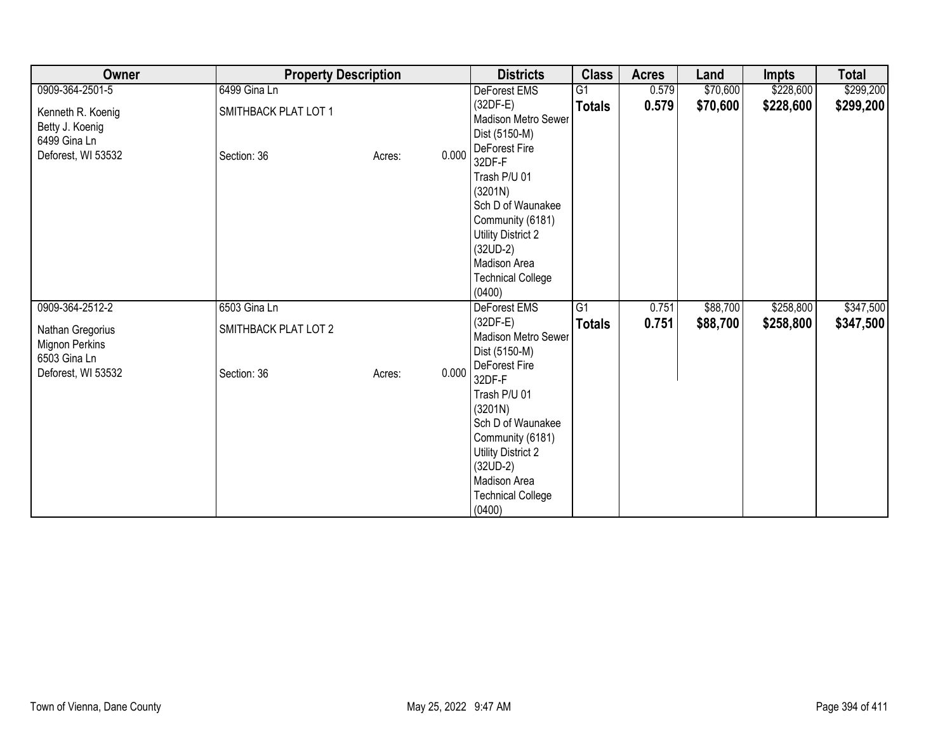| Owner                                                     | <b>Property Description</b> |        | <b>Districts</b> | <b>Class</b>                                                                                                                                                                                 | <b>Acres</b>    | Land  | <b>Impts</b> | <b>Total</b> |           |
|-----------------------------------------------------------|-----------------------------|--------|------------------|----------------------------------------------------------------------------------------------------------------------------------------------------------------------------------------------|-----------------|-------|--------------|--------------|-----------|
| 0909-364-2501-5                                           | 6499 Gina Ln                |        |                  | DeForest EMS                                                                                                                                                                                 | G1              | 0.579 | \$70,600     | \$228,600    | \$299,200 |
| Kenneth R. Koenig<br>Betty J. Koenig<br>6499 Gina Ln      | SMITHBACK PLAT LOT 1        |        |                  | (32DF-E)<br>Madison Metro Sewer<br>Dist (5150-M)                                                                                                                                             | <b>Totals</b>   | 0.579 | \$70,600     | \$228,600    | \$299,200 |
| Deforest, WI 53532                                        | Section: 36                 | Acres: | 0.000            | DeForest Fire<br>32DF-F<br>Trash P/U 01<br>(3201N)<br>Sch D of Waunakee<br>Community (6181)<br>Utility District 2<br>$(32UD-2)$<br>Madison Area<br><b>Technical College</b><br>(0400)        |                 |       |              |              |           |
| 0909-364-2512-2                                           | 6503 Gina Ln                |        |                  | DeForest EMS                                                                                                                                                                                 | $\overline{G1}$ | 0.751 | \$88,700     | \$258,800    | \$347,500 |
| Nathan Gregorius<br><b>Mignon Perkins</b><br>6503 Gina Ln | SMITHBACK PLAT LOT 2        |        |                  | $(32DF-E)$<br>Madison Metro Sewer<br>Dist (5150-M)                                                                                                                                           | <b>Totals</b>   | 0.751 | \$88,700     | \$258,800    | \$347,500 |
| Deforest, WI 53532                                        | Section: 36                 | Acres: | 0.000            | DeForest Fire<br>32DF-F<br>Trash P/U 01<br>(3201N)<br>Sch D of Waunakee<br>Community (6181)<br><b>Utility District 2</b><br>$(32UD-2)$<br>Madison Area<br><b>Technical College</b><br>(0400) |                 |       |              |              |           |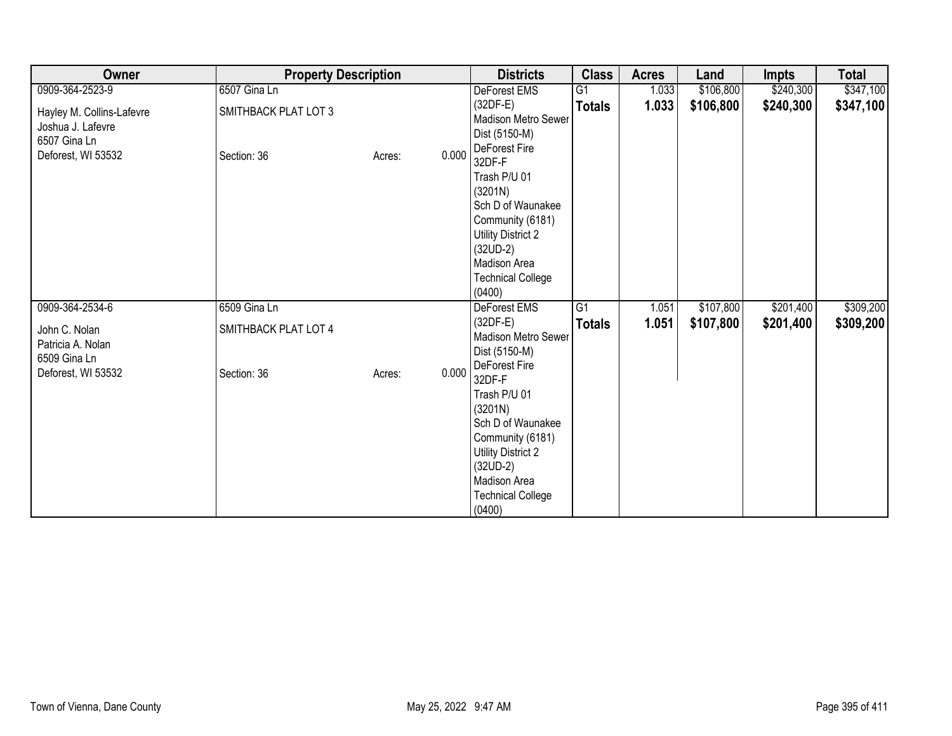| Owner                                                                                | <b>Property Description</b>         |        |       | <b>Districts</b>                                                                                                                                                                             | <b>Class</b>    | <b>Acres</b> | Land      | <b>Impts</b> | <b>Total</b> |
|--------------------------------------------------------------------------------------|-------------------------------------|--------|-------|----------------------------------------------------------------------------------------------------------------------------------------------------------------------------------------------|-----------------|--------------|-----------|--------------|--------------|
| 0909-364-2523-9                                                                      | 6507 Gina Ln                        |        |       | DeForest EMS                                                                                                                                                                                 | $\overline{G1}$ | 1.033        | \$106,800 | \$240,300    | \$347,100    |
| Hayley M. Collins-Lafevre<br>Joshua J. Lafevre<br>6507 Gina Ln<br>Deforest, WI 53532 | SMITHBACK PLAT LOT 3<br>Section: 36 | Acres: | 0.000 | $(32DF-E)$<br>Madison Metro Sewer<br>Dist (5150-M)<br>DeForest Fire<br>32DF-F                                                                                                                | <b>Totals</b>   | 1.033        | \$106,800 | \$240,300    | \$347,100    |
|                                                                                      |                                     |        |       | Trash P/U 01<br>(3201N)<br>Sch D of Waunakee<br>Community (6181)<br>Utility District 2<br>$(32UD-2)$<br>Madison Area<br><b>Technical College</b><br>(0400)                                   |                 |              |           |              |              |
| 0909-364-2534-6                                                                      | 6509 Gina Ln                        |        |       | DeForest EMS                                                                                                                                                                                 | $\overline{G1}$ | 1.051        | \$107,800 | \$201,400    | \$309,200    |
| John C. Nolan<br>Patricia A. Nolan<br>6509 Gina Ln                                   | SMITHBACK PLAT LOT 4                |        |       | $(32DF-E)$<br>Madison Metro Sewer<br>Dist (5150-M)                                                                                                                                           | <b>Totals</b>   | 1.051        | \$107,800 | \$201,400    | \$309,200    |
| Deforest, WI 53532                                                                   | Section: 36                         | Acres: | 0.000 | DeForest Fire<br>32DF-F<br>Trash P/U 01<br>(3201N)<br>Sch D of Waunakee<br>Community (6181)<br><b>Utility District 2</b><br>$(32UD-2)$<br>Madison Area<br><b>Technical College</b><br>(0400) |                 |              |           |              |              |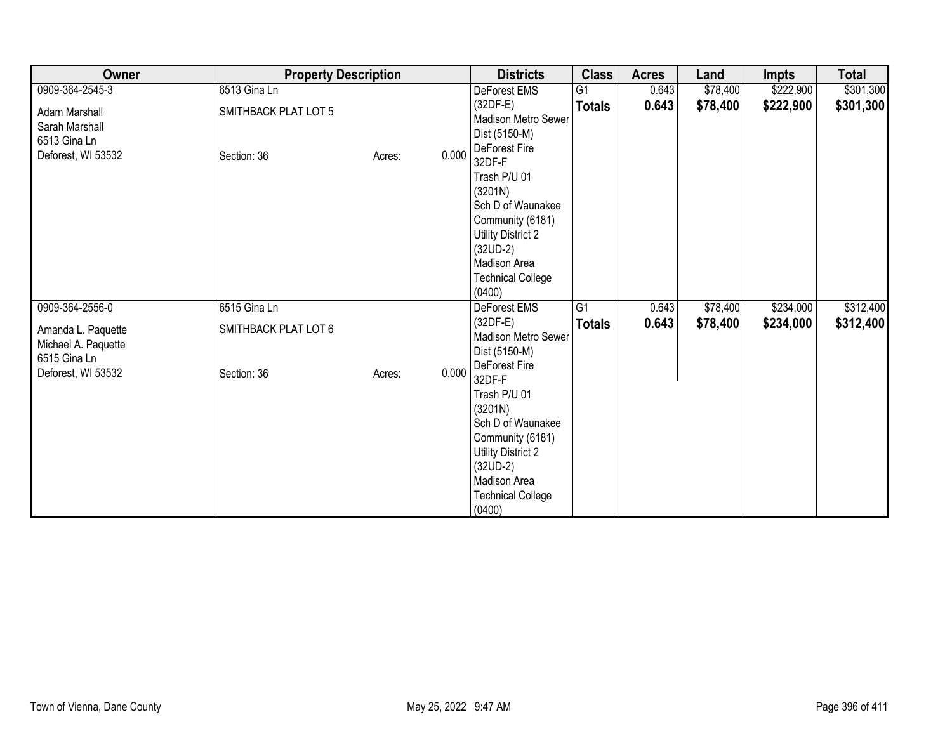| Owner                                                     | <b>Property Description</b> |        | <b>Districts</b> | <b>Class</b>                                                                                                                                                                                 | <b>Acres</b>    | Land  | <b>Impts</b> | <b>Total</b> |           |
|-----------------------------------------------------------|-----------------------------|--------|------------------|----------------------------------------------------------------------------------------------------------------------------------------------------------------------------------------------|-----------------|-------|--------------|--------------|-----------|
| 0909-364-2545-3                                           | 6513 Gina Ln                |        |                  | DeForest EMS                                                                                                                                                                                 | G <sub>1</sub>  | 0.643 | \$78,400     | \$222,900    | \$301,300 |
| Adam Marshall<br>Sarah Marshall<br>6513 Gina Ln           | SMITHBACK PLAT LOT 5        |        |                  | $(32DF-E)$<br>Madison Metro Sewer<br>Dist (5150-M)<br>DeForest Fire                                                                                                                          | <b>Totals</b>   | 0.643 | \$78,400     | \$222,900    | \$301,300 |
| Deforest, WI 53532                                        | Section: 36                 | Acres: | 0.000            | 32DF-F<br>Trash P/U 01<br>(3201N)<br>Sch D of Waunakee<br>Community (6181)<br><b>Utility District 2</b><br>$(32UD-2)$<br>Madison Area<br><b>Technical College</b><br>(0400)                  |                 |       |              |              |           |
| 0909-364-2556-0                                           | 6515 Gina Ln                |        |                  | DeForest EMS                                                                                                                                                                                 | $\overline{G1}$ | 0.643 | \$78,400     | \$234,000    | \$312,400 |
| Amanda L. Paquette<br>Michael A. Paquette<br>6515 Gina Ln | SMITHBACK PLAT LOT 6        |        |                  | $(32DF-E)$<br>Madison Metro Sewer<br>Dist (5150-M)                                                                                                                                           | <b>Totals</b>   | 0.643 | \$78,400     | \$234,000    | \$312,400 |
| Deforest, WI 53532                                        | Section: 36                 | Acres: | 0.000            | DeForest Fire<br>32DF-F<br>Trash P/U 01<br>(3201N)<br>Sch D of Waunakee<br>Community (6181)<br><b>Utility District 2</b><br>$(32UD-2)$<br>Madison Area<br><b>Technical College</b><br>(0400) |                 |       |              |              |           |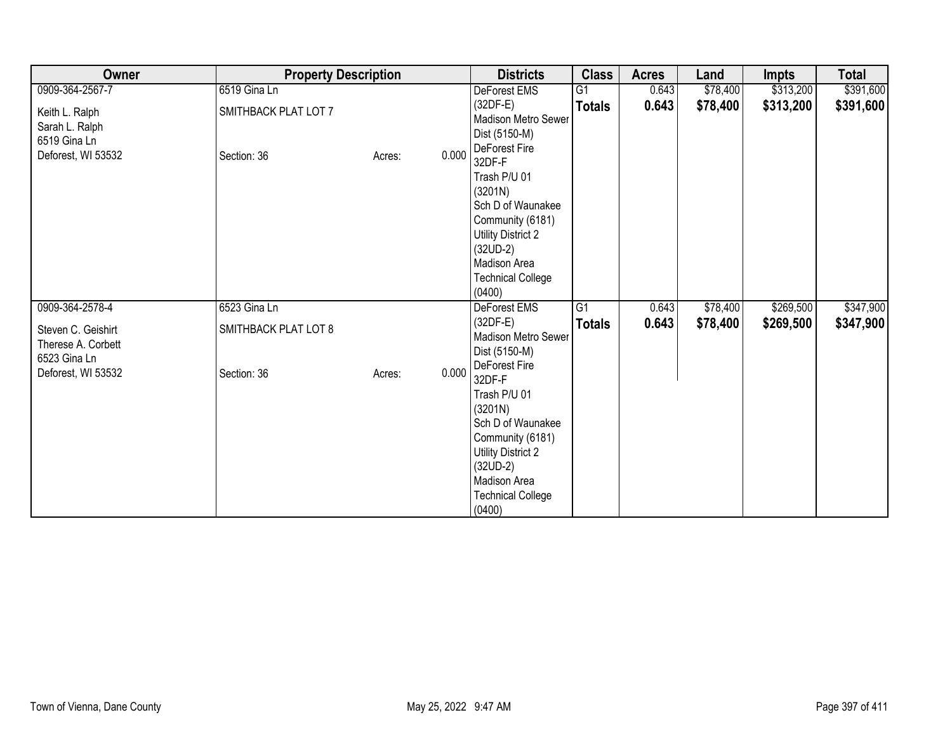| Owner                                                    | <b>Property Description</b> |        |       | <b>Districts</b>                                                                                                                                                                             | <b>Class</b>   | <b>Acres</b> | Land     | <b>Impts</b> | <b>Total</b> |
|----------------------------------------------------------|-----------------------------|--------|-------|----------------------------------------------------------------------------------------------------------------------------------------------------------------------------------------------|----------------|--------------|----------|--------------|--------------|
| 0909-364-2567-7                                          | 6519 Gina Ln                |        |       | DeForest EMS                                                                                                                                                                                 | G <sub>1</sub> | 0.643        | \$78,400 | \$313,200    | \$391,600    |
| Keith L. Ralph<br>Sarah L. Ralph<br>6519 Gina Ln         | SMITHBACK PLAT LOT 7        |        |       | $(32DF-E)$<br><b>Madison Metro Sewer</b><br>Dist (5150-M)                                                                                                                                    | <b>Totals</b>  | 0.643        | \$78,400 | \$313,200    | \$391,600    |
| Deforest, WI 53532                                       | Section: 36                 | Acres: | 0.000 | DeForest Fire<br>32DF-F<br>Trash P/U 01<br>(3201N)<br>Sch D of Waunakee<br>Community (6181)<br><b>Utility District 2</b><br>$(32UD-2)$<br>Madison Area<br><b>Technical College</b><br>(0400) |                |              |          |              |              |
| 0909-364-2578-4                                          | 6523 Gina Ln                |        |       | DeForest EMS                                                                                                                                                                                 | G1             | 0.643        | \$78,400 | \$269,500    | \$347,900    |
| Steven C. Geishirt<br>Therese A. Corbett<br>6523 Gina Ln | SMITHBACK PLAT LOT 8        |        |       | $(32DF-E)$<br>Madison Metro Sewer<br>Dist (5150-M)                                                                                                                                           | <b>Totals</b>  | 0.643        | \$78,400 | \$269,500    | \$347,900    |
| Deforest, WI 53532                                       | Section: 36                 | Acres: | 0.000 | DeForest Fire<br>32DF-F<br>Trash P/U 01<br>(3201N)<br>Sch D of Waunakee<br>Community (6181)<br><b>Utility District 2</b><br>$(32UD-2)$<br>Madison Area<br><b>Technical College</b><br>(0400) |                |              |          |              |              |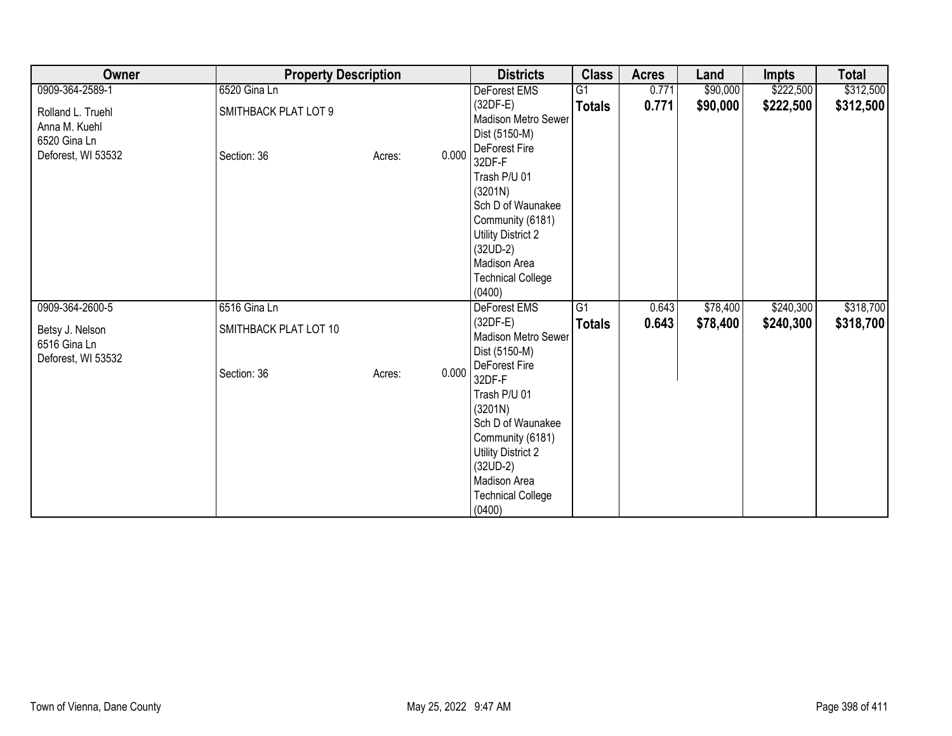| Owner                                                                    | <b>Property Description</b>         |                 | <b>Districts</b>                                                                                                                                                                             | <b>Class</b>    | <b>Acres</b> | Land     | <b>Impts</b> | <b>Total</b> |
|--------------------------------------------------------------------------|-------------------------------------|-----------------|----------------------------------------------------------------------------------------------------------------------------------------------------------------------------------------------|-----------------|--------------|----------|--------------|--------------|
| 0909-364-2589-1                                                          | 6520 Gina Ln                        |                 | DeForest EMS                                                                                                                                                                                 | $\overline{G1}$ | 0.771        | \$90,000 | \$222,500    | \$312,500    |
| Rolland L. Truehl<br>Anna M. Kuehl<br>6520 Gina Ln<br>Deforest, WI 53532 | SMITHBACK PLAT LOT 9<br>Section: 36 | 0.000<br>Acres: | $(32DF-E)$<br>Madison Metro Sewer<br>Dist (5150-M)<br>DeForest Fire<br>32DF-F                                                                                                                | <b>Totals</b>   | 0.771        | \$90,000 | \$222,500    | \$312,500    |
|                                                                          |                                     |                 | Trash P/U 01<br>(3201N)<br>Sch D of Waunakee<br>Community (6181)<br>Utility District 2<br>$(32UD-2)$<br>Madison Area<br><b>Technical College</b><br>(0400)                                   |                 |              |          |              |              |
| 0909-364-2600-5                                                          | 6516 Gina Ln                        |                 | DeForest EMS                                                                                                                                                                                 | G1              | 0.643        | \$78,400 | \$240,300    | \$318,700    |
| Betsy J. Nelson<br>6516 Gina Ln<br>Deforest, WI 53532                    | SMITHBACK PLAT LOT 10               |                 | $(32DF-E)$<br>Madison Metro Sewer<br>Dist (5150-M)                                                                                                                                           | <b>Totals</b>   | 0.643        | \$78,400 | \$240,300    | \$318,700    |
|                                                                          | Section: 36                         | 0.000<br>Acres: | DeForest Fire<br>32DF-F<br>Trash P/U 01<br>(3201N)<br>Sch D of Waunakee<br>Community (6181)<br><b>Utility District 2</b><br>$(32UD-2)$<br>Madison Area<br><b>Technical College</b><br>(0400) |                 |              |          |              |              |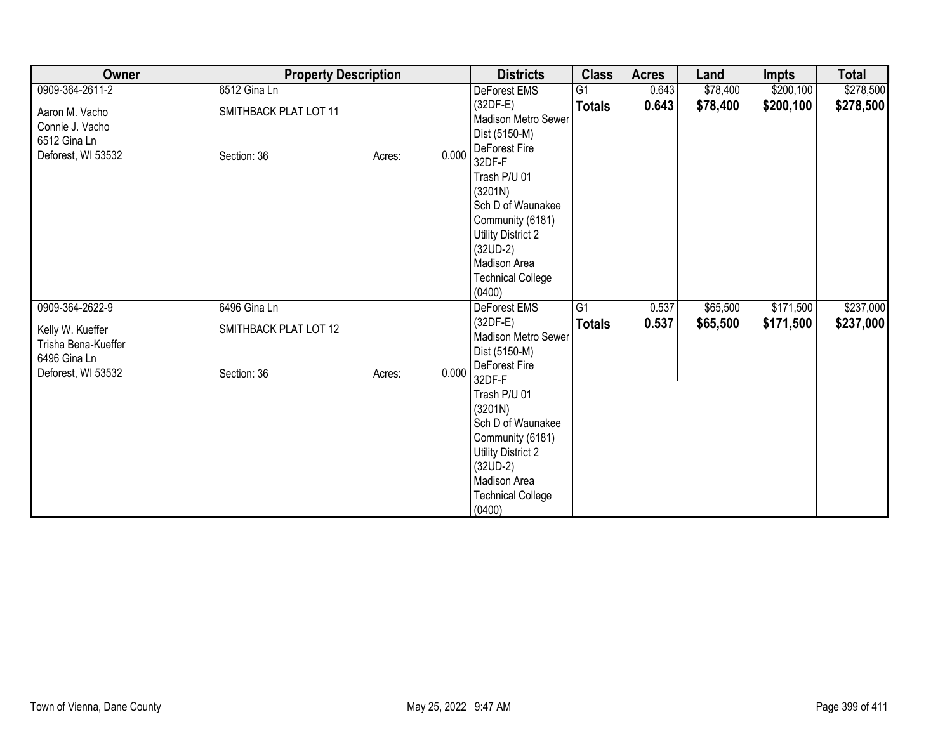| Owner                                                                   | <b>Property Description</b>          |                 | <b>Districts</b>                                                                                                                                                                             | <b>Class</b>    | <b>Acres</b> | Land     | <b>Impts</b> | <b>Total</b> |
|-------------------------------------------------------------------------|--------------------------------------|-----------------|----------------------------------------------------------------------------------------------------------------------------------------------------------------------------------------------|-----------------|--------------|----------|--------------|--------------|
| 0909-364-2611-2                                                         | 6512 Gina Ln                         |                 | DeForest EMS                                                                                                                                                                                 | G1              | 0.643        | \$78,400 | \$200,100    | \$278,500    |
| Aaron M. Vacho<br>Connie J. Vacho<br>6512 Gina Ln<br>Deforest, WI 53532 | SMITHBACK PLAT LOT 11<br>Section: 36 | 0.000<br>Acres: | $(32DF-E)$<br>Madison Metro Sewer<br>Dist (5150-M)<br>DeForest Fire<br>32DF-F                                                                                                                | <b>Totals</b>   | 0.643        | \$78,400 | \$200,100    | \$278,500    |
|                                                                         |                                      |                 | Trash P/U 01<br>(3201N)<br>Sch D of Waunakee<br>Community (6181)<br>Utility District 2<br>$(32UD-2)$<br>Madison Area<br><b>Technical College</b><br>(0400)                                   |                 |              |          |              |              |
| 0909-364-2622-9                                                         | 6496 Gina Ln                         |                 | DeForest EMS                                                                                                                                                                                 | $\overline{G1}$ | 0.537        | \$65,500 | \$171,500    | \$237,000    |
| Kelly W. Kueffer<br>Trisha Bena-Kueffer<br>6496 Gina Ln                 | SMITHBACK PLAT LOT 12                |                 | $(32DF-E)$<br>Madison Metro Sewer<br>Dist (5150-M)                                                                                                                                           | <b>Totals</b>   | 0.537        | \$65,500 | \$171,500    | \$237,000    |
| Deforest, WI 53532                                                      | Section: 36                          | 0.000<br>Acres: | DeForest Fire<br>32DF-F<br>Trash P/U 01<br>(3201N)<br>Sch D of Waunakee<br>Community (6181)<br><b>Utility District 2</b><br>$(32UD-2)$<br>Madison Area<br><b>Technical College</b><br>(0400) |                 |              |          |              |              |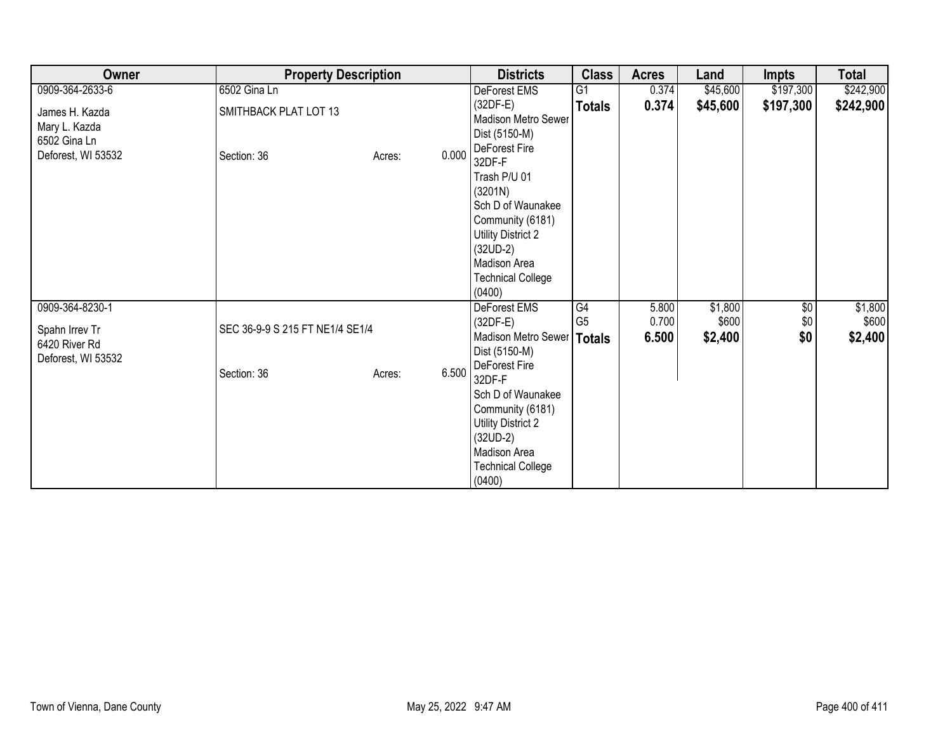| Owner                                                                 | <b>Property Description</b>          |                 | <b>Districts</b>                                                                                                                                                                                            | <b>Class</b>         | <b>Acres</b>   | Land             | <b>Impts</b>      | <b>Total</b>     |
|-----------------------------------------------------------------------|--------------------------------------|-----------------|-------------------------------------------------------------------------------------------------------------------------------------------------------------------------------------------------------------|----------------------|----------------|------------------|-------------------|------------------|
| 0909-364-2633-6                                                       | 6502 Gina Ln                         |                 | DeForest EMS                                                                                                                                                                                                | $\overline{G1}$      | 0.374          | \$45,600         | \$197,300         | \$242,900        |
| James H. Kazda<br>Mary L. Kazda<br>6502 Gina Ln<br>Deforest, WI 53532 | SMITHBACK PLAT LOT 13<br>Section: 36 | 0.000<br>Acres: | $(32DF-E)$<br>Madison Metro Sewer<br>Dist (5150-M)<br>DeForest Fire<br>32DF-F<br>Trash P/U 01<br>(3201N)<br>Sch D of Waunakee<br>Community (6181)<br>Utility District 2<br>$(32UD-2)$<br>Madison Area       | <b>Totals</b>        | 0.374          | \$45,600         | \$197,300         | \$242,900        |
| 0909-364-8230-1<br>Spahn Irrev Tr                                     | SEC 36-9-9 S 215 FT NE1/4 SE1/4      |                 | <b>Technical College</b><br>(0400)<br>DeForest EMS<br>$(32DF-E)$                                                                                                                                            | G4<br>G <sub>5</sub> | 5.800<br>0.700 | \$1,800<br>\$600 | $\sqrt{6}$<br>\$0 | \$1,800<br>\$600 |
| 6420 River Rd<br>Deforest, WI 53532                                   | Section: 36                          | 6.500<br>Acres: | Madison Metro Sewer   Totals<br>Dist (5150-M)<br>DeForest Fire<br>32DF-F<br>Sch D of Waunakee<br>Community (6181)<br>Utility District 2<br>$(32UD-2)$<br>Madison Area<br><b>Technical College</b><br>(0400) |                      | 6.500          | \$2,400          | \$0               | \$2,400          |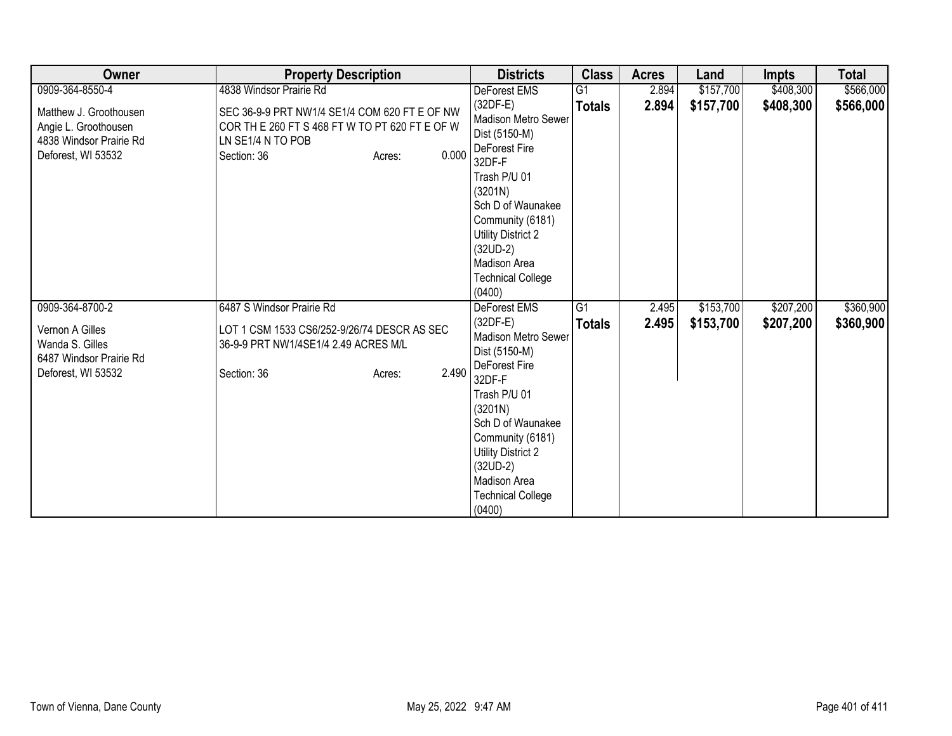| Owner                                                                                           | <b>Property Description</b>                                                                                                                            | <b>Districts</b>                                                                                                                                                                                                                                   | <b>Class</b>    | <b>Acres</b> | Land      | <b>Impts</b> | <b>Total</b> |
|-------------------------------------------------------------------------------------------------|--------------------------------------------------------------------------------------------------------------------------------------------------------|----------------------------------------------------------------------------------------------------------------------------------------------------------------------------------------------------------------------------------------------------|-----------------|--------------|-----------|--------------|--------------|
| 0909-364-8550-4                                                                                 | 4838 Windsor Prairie Rd                                                                                                                                | DeForest EMS                                                                                                                                                                                                                                       | $\overline{G1}$ | 2.894        | \$157,700 | \$408,300    | \$566,000    |
| Matthew J. Groothousen<br>Angie L. Groothousen<br>4838 Windsor Prairie Rd<br>Deforest, WI 53532 | SEC 36-9-9 PRT NW1/4 SE1/4 COM 620 FT E OF NW<br>COR TH E 260 FT S 468 FT W TO PT 620 FT E OF W<br>LN SE1/4 N TO POB<br>0.000<br>Section: 36<br>Acres: | $(32DF-E)$<br>Madison Metro Sewer<br>Dist (5150-M)<br>DeForest Fire<br>32DF-F                                                                                                                                                                      | <b>Totals</b>   | 2.894        | \$157,700 | \$408,300    | \$566,000    |
|                                                                                                 |                                                                                                                                                        | Trash P/U 01<br>(3201N)<br>Sch D of Waunakee<br>Community (6181)<br><b>Utility District 2</b><br>$(32UD-2)$<br>Madison Area<br><b>Technical College</b><br>(0400)                                                                                  |                 |              |           |              |              |
| 0909-364-8700-2                                                                                 | 6487 S Windsor Prairie Rd                                                                                                                              | DeForest EMS                                                                                                                                                                                                                                       | G1              | 2.495        | \$153,700 | \$207,200    | \$360,900    |
| Vernon A Gilles<br>Wanda S. Gilles<br>6487 Windsor Prairie Rd<br>Deforest, WI 53532             | LOT 1 CSM 1533 CS6/252-9/26/74 DESCR AS SEC<br>36-9-9 PRT NW1/4SE1/4 2.49 ACRES M/L<br>2.490<br>Section: 36<br>Acres:                                  | $(32DF-E)$<br>Madison Metro Sewer<br>Dist (5150-M)<br>DeForest Fire<br>32DF-F<br>Trash P/U 01<br>(3201N)<br>Sch D of Waunakee<br>Community (6181)<br><b>Utility District 2</b><br>$(32UD-2)$<br>Madison Area<br><b>Technical College</b><br>(0400) | <b>Totals</b>   | 2.495        | \$153,700 | \$207,200    | \$360,900    |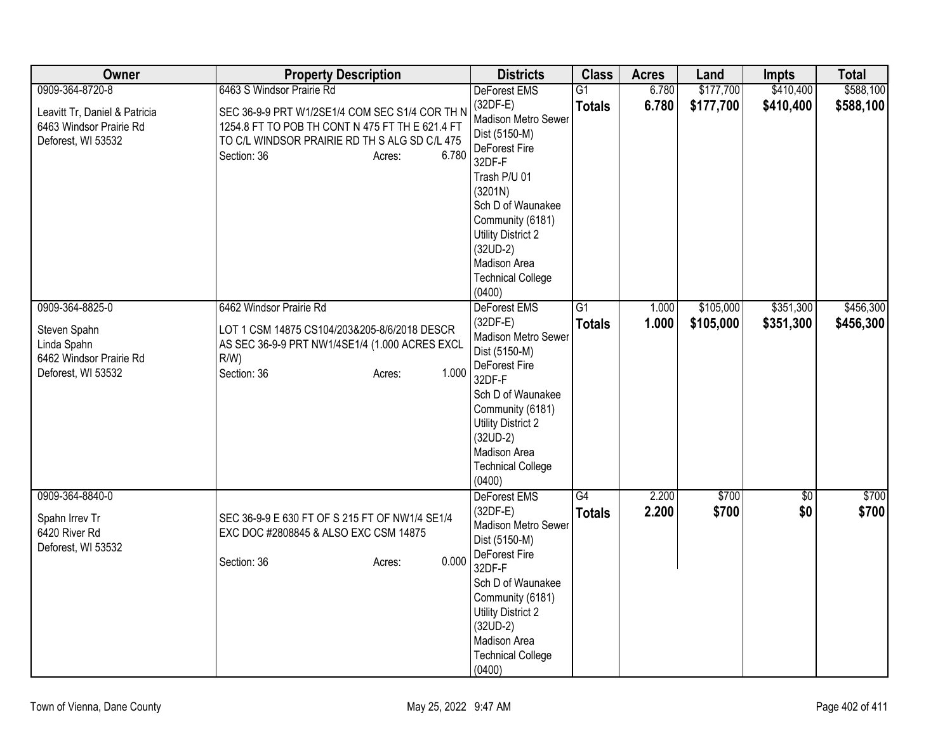| Owner                                                                          | <b>Property Description</b>                                                                                                                                                          | <b>Districts</b>                                                                                                                                                                                                                                   | <b>Class</b>    | <b>Acres</b> | Land      | <b>Impts</b>    | <b>Total</b> |
|--------------------------------------------------------------------------------|--------------------------------------------------------------------------------------------------------------------------------------------------------------------------------------|----------------------------------------------------------------------------------------------------------------------------------------------------------------------------------------------------------------------------------------------------|-----------------|--------------|-----------|-----------------|--------------|
| 0909-364-8720-8                                                                | 6463 S Windsor Prairie Rd                                                                                                                                                            | <b>DeForest EMS</b>                                                                                                                                                                                                                                | $\overline{G1}$ | 6.780        | \$177,700 | \$410,400       | \$588,100    |
| Leavitt Tr, Daniel & Patricia<br>6463 Windsor Prairie Rd<br>Deforest, WI 53532 | SEC 36-9-9 PRT W1/2SE1/4 COM SEC S1/4 COR TH N<br>1254.8 FT TO POB TH CONT N 475 FT TH E 621.4 FT<br>TO C/L WINDSOR PRAIRIE RD TH S ALG SD C/L 475<br>Section: 36<br>6.780<br>Acres: | $(32DF-E)$<br>Madison Metro Sewer<br>Dist (5150-M)<br>DeForest Fire<br>32DF-F<br>Trash P/U 01<br>(3201N)<br>Sch D of Waunakee<br>Community (6181)<br><b>Utility District 2</b><br>$(32UD-2)$<br>Madison Area<br><b>Technical College</b><br>(0400) | <b>Totals</b>   | 6.780        | \$177,700 | \$410,400       | \$588,100    |
| 0909-364-8825-0                                                                | 6462 Windsor Prairie Rd                                                                                                                                                              | DeForest EMS                                                                                                                                                                                                                                       | $\overline{G1}$ | 1.000        | \$105,000 | \$351,300       | \$456,300    |
| Steven Spahn<br>Linda Spahn<br>6462 Windsor Prairie Rd<br>Deforest, WI 53532   | LOT 1 CSM 14875 CS104/203&205-8/6/2018 DESCR<br>AS SEC 36-9-9 PRT NW1/4SE1/4 (1.000 ACRES EXCL<br>$R/W$ )<br>1.000<br>Section: 36<br>Acres:                                          | $(32DF-E)$<br>Madison Metro Sewer<br>Dist (5150-M)<br>DeForest Fire<br>32DF-F<br>Sch D of Waunakee<br>Community (6181)<br><b>Utility District 2</b><br>$(32UD-2)$<br>Madison Area<br><b>Technical College</b><br>(0400)                            | <b>Totals</b>   | 1.000        | \$105,000 | \$351,300       | \$456,300    |
| 0909-364-8840-0                                                                |                                                                                                                                                                                      | DeForest EMS                                                                                                                                                                                                                                       | G4              | 2.200        | \$700     | $\overline{50}$ | \$700        |
| Spahn Irrev Tr<br>6420 River Rd<br>Deforest, WI 53532                          | SEC 36-9-9 E 630 FT OF S 215 FT OF NW1/4 SE1/4<br>EXC DOC #2808845 & ALSO EXC CSM 14875<br>0.000<br>Section: 36<br>Acres:                                                            | $(32DF-E)$<br>Madison Metro Sewer<br>Dist (5150-M)<br>DeForest Fire<br>32DF-F<br>Sch D of Waunakee<br>Community (6181)<br><b>Utility District 2</b><br>$(32UD-2)$<br>Madison Area<br><b>Technical College</b><br>(0400)                            | <b>Totals</b>   | 2.200        | \$700     | \$0             | \$700        |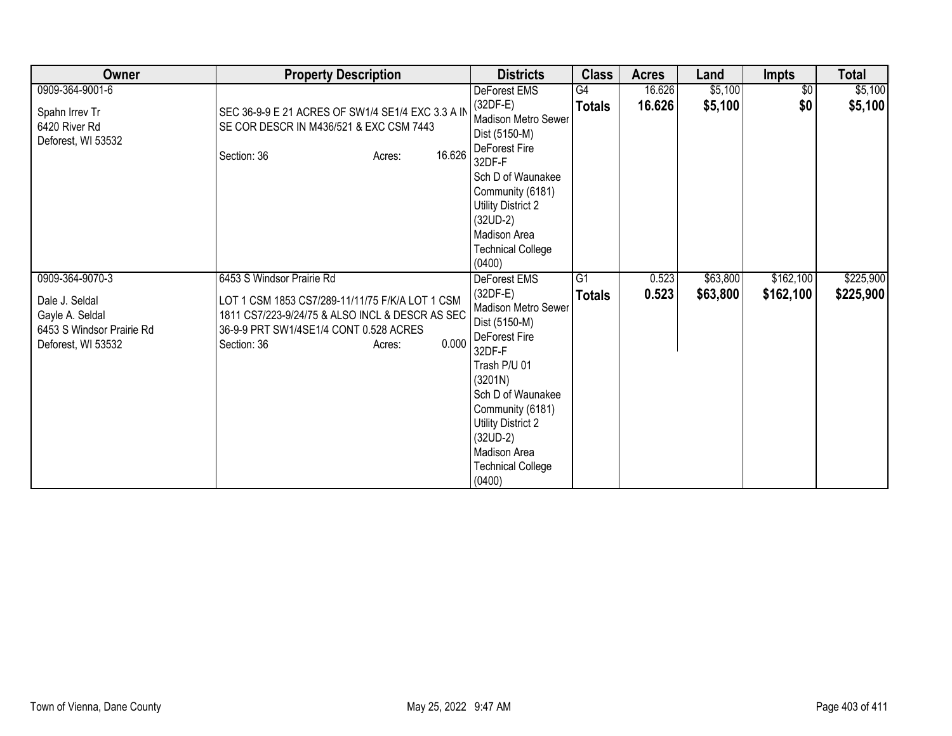| Owner                                                                                                   | <b>Property Description</b>                                                                                                                                                                                 | <b>Districts</b>                                                                                                                                                                                                                                                      | <b>Class</b>                     | <b>Acres</b>   | Land                 | <b>Impts</b>           | <b>Total</b>           |
|---------------------------------------------------------------------------------------------------------|-------------------------------------------------------------------------------------------------------------------------------------------------------------------------------------------------------------|-----------------------------------------------------------------------------------------------------------------------------------------------------------------------------------------------------------------------------------------------------------------------|----------------------------------|----------------|----------------------|------------------------|------------------------|
| 0909-364-9001-6                                                                                         |                                                                                                                                                                                                             | DeForest EMS                                                                                                                                                                                                                                                          | G4                               | 16.626         | \$5,100              | \$0                    | \$5,100                |
| Spahn Irrev Tr<br>6420 River Rd<br>Deforest, WI 53532                                                   | SEC 36-9-9 E 21 ACRES OF SW1/4 SE1/4 EXC 3.3 A IN<br>SE COR DESCR IN M436/521 & EXC CSM 7443<br>16.626<br>Section: 36<br>Acres:                                                                             | $(32DF-E)$<br><b>Madison Metro Sewer</b><br>Dist (5150-M)<br>DeForest Fire<br>32DF-F<br>Sch D of Waunakee<br>Community (6181)<br>Utility District 2<br>$(32UD-2)$<br>Madison Area<br><b>Technical College</b>                                                         | <b>Totals</b>                    | 16.626         | \$5,100              | \$0                    | \$5,100                |
| 0909-364-9070-3<br>Dale J. Seldal<br>Gayle A. Seldal<br>6453 S Windsor Prairie Rd<br>Deforest, WI 53532 | 6453 S Windsor Prairie Rd<br>LOT 1 CSM 1853 CS7/289-11/11/75 F/K/A LOT 1 CSM<br>1811 CS7/223-9/24/75 & ALSO INCL & DESCR AS SEC<br>36-9-9 PRT SW1/4SE1/4 CONT 0.528 ACRES<br>0.000<br>Section: 36<br>Acres: | (0400)<br>DeForest EMS<br>$(32DF-E)$<br>Madison Metro Sewer<br>Dist (5150-M)<br>DeForest Fire<br>32DF-F<br>Trash P/U 01<br>(3201N)<br>Sch D of Waunakee<br>Community (6181)<br>Utility District 2<br>$(32UD-2)$<br>Madison Area<br><b>Technical College</b><br>(0400) | $\overline{G1}$<br><b>Totals</b> | 0.523<br>0.523 | \$63,800<br>\$63,800 | \$162,100<br>\$162,100 | \$225,900<br>\$225,900 |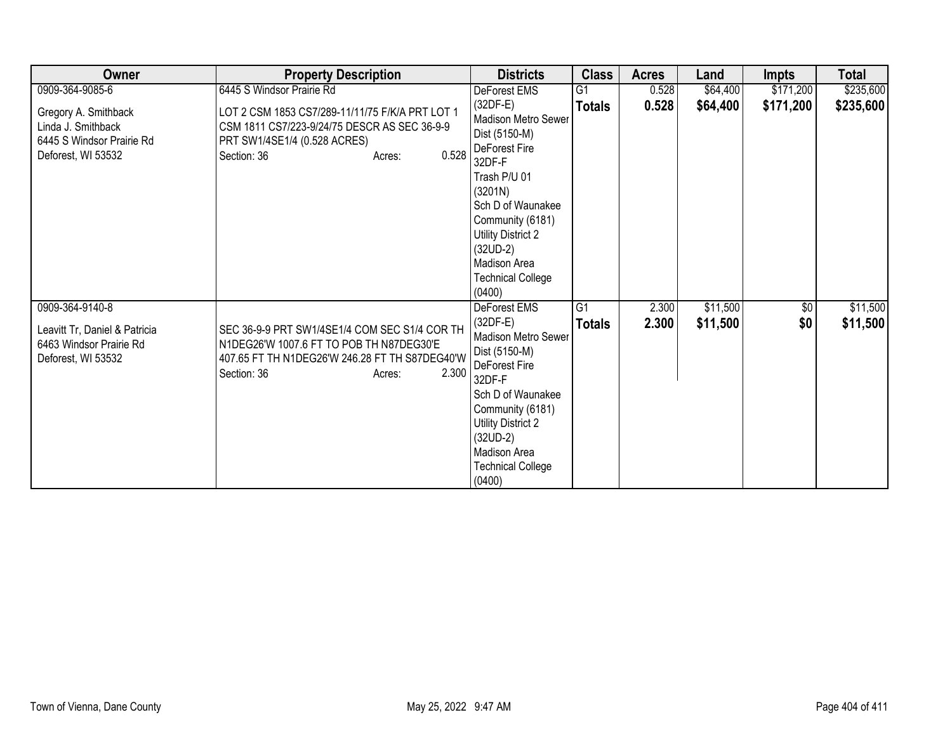| Owner                                                                                             | <b>Property Description</b>                                                                                                                                                   | <b>Districts</b>                                                                                                                                                                                                                                        | <b>Class</b>        | <b>Acres</b>   | Land                 | <b>Impts</b>       | <b>Total</b>         |
|---------------------------------------------------------------------------------------------------|-------------------------------------------------------------------------------------------------------------------------------------------------------------------------------|---------------------------------------------------------------------------------------------------------------------------------------------------------------------------------------------------------------------------------------------------------|---------------------|----------------|----------------------|--------------------|----------------------|
| 0909-364-9085-6                                                                                   | 6445 S Windsor Prairie Rd                                                                                                                                                     | DeForest EMS                                                                                                                                                                                                                                            | G1                  | 0.528          | \$64,400             | \$171,200          | \$235,600            |
| Gregory A. Smithback<br>Linda J. Smithback<br>6445 S Windsor Prairie Rd<br>Deforest, WI 53532     | LOT 2 CSM 1853 CS7/289-11/11/75 F/K/A PRT LOT 1<br>CSM 1811 CS7/223-9/24/75 DESCR AS SEC 36-9-9<br>PRT SW1/4SE1/4 (0.528 ACRES)<br>0.528<br>Section: 36<br>Acres:             | (32DF-E)<br><b>Madison Metro Sewer</b><br>Dist (5150-M)<br>DeForest Fire<br>32DF-F<br>Trash P/U 01<br>(3201N)<br>Sch D of Waunakee<br>Community (6181)<br>Utility District 2<br>$(32UD-2)$<br><b>Madison Area</b><br><b>Technical College</b><br>(0400) | <b>Totals</b>       | 0.528          | \$64,400             | \$171,200          | \$235,600            |
| 0909-364-9140-8<br>Leavitt Tr, Daniel & Patricia<br>6463 Windsor Prairie Rd<br>Deforest, WI 53532 | SEC 36-9-9 PRT SW1/4SE1/4 COM SEC S1/4 COR TH<br>N1DEG26'W 1007.6 FT TO POB TH N87DEG30'E<br>407.65 FT TH N1DEG26'W 246.28 FT TH S87DEG40'W<br>2.300<br>Section: 36<br>Acres: | DeForest EMS<br>$(32DF-E)$<br><b>Madison Metro Sewer</b><br>Dist (5150-M)<br>DeForest Fire<br>32DF-F<br>Sch D of Waunakee<br>Community (6181)<br>Utility District 2<br>$(32UD-2)$<br>Madison Area<br><b>Technical College</b><br>(0400)                 | G1<br><b>Totals</b> | 2.300<br>2.300 | \$11,500<br>\$11,500 | $\sqrt{$0}$<br>\$0 | \$11,500<br>\$11,500 |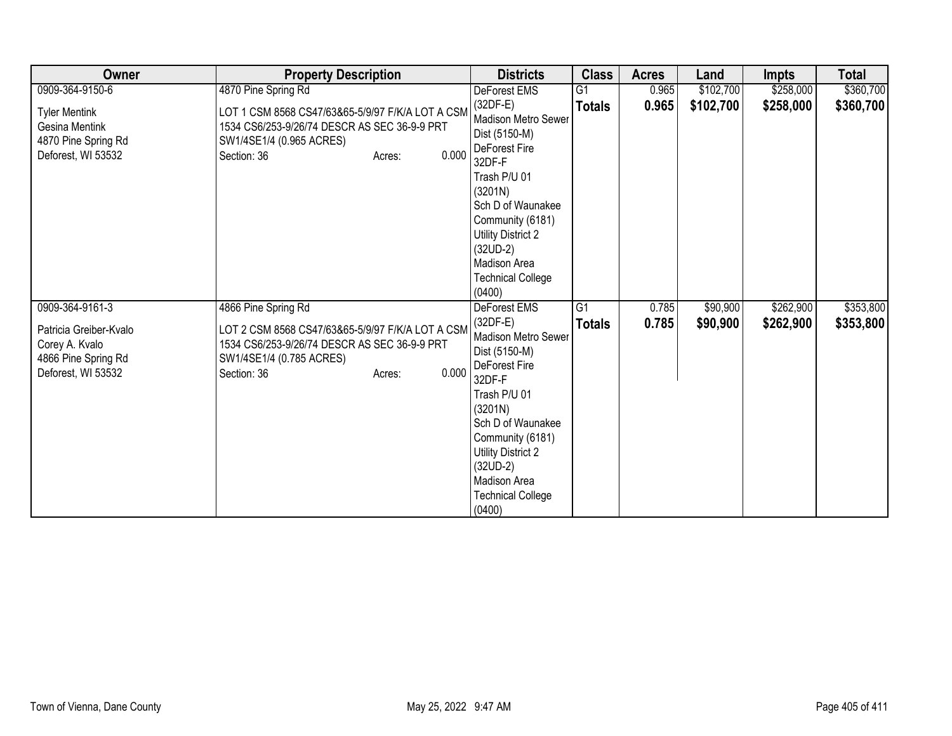| Owner                                                                                                    | <b>Property Description</b>                                                                                                                                                           | <b>Districts</b>                                                                                                                                                                                                                                                          | <b>Class</b>                     | <b>Acres</b>   | Land                 | <b>Impts</b>           | <b>Total</b>           |
|----------------------------------------------------------------------------------------------------------|---------------------------------------------------------------------------------------------------------------------------------------------------------------------------------------|---------------------------------------------------------------------------------------------------------------------------------------------------------------------------------------------------------------------------------------------------------------------------|----------------------------------|----------------|----------------------|------------------------|------------------------|
| 0909-364-9150-6                                                                                          | 4870 Pine Spring Rd                                                                                                                                                                   | DeForest EMS                                                                                                                                                                                                                                                              | G <sub>1</sub>                   | 0.965          | \$102,700            | \$258,000              | \$360,700              |
| <b>Tyler Mentink</b><br>Gesina Mentink<br>4870 Pine Spring Rd<br>Deforest, WI 53532                      | LOT 1 CSM 8568 CS47/63&65-5/9/97 F/K/A LOT A CSM<br>1534 CS6/253-9/26/74 DESCR AS SEC 36-9-9 PRT<br>SW1/4SE1/4 (0.965 ACRES)<br>0.000<br>Section: 36<br>Acres:                        | $(32DF-E)$<br><b>Madison Metro Sewer</b><br>Dist (5150-M)<br>DeForest Fire<br>32DF-F<br>Trash P/U 01<br>(3201N)<br>Sch D of Waunakee<br>Community (6181)<br>Utility District 2<br>$(32UD-2)$<br>Madison Area<br><b>Technical College</b><br>(0400)                        | <b>Totals</b>                    | 0.965          | \$102,700            | \$258,000              | \$360,700              |
| 0909-364-9161-3<br>Patricia Greiber-Kvalo<br>Corey A. Kvalo<br>4866 Pine Spring Rd<br>Deforest, WI 53532 | 4866 Pine Spring Rd<br>LOT 2 CSM 8568 CS47/63&65-5/9/97 F/K/A LOT A CSM<br>1534 CS6/253-9/26/74 DESCR AS SEC 36-9-9 PRT<br>SW1/4SE1/4 (0.785 ACRES)<br>0.000<br>Section: 36<br>Acres: | <b>DeForest EMS</b><br>$(32DF-E)$<br><b>Madison Metro Sewer</b><br>Dist (5150-M)<br>DeForest Fire<br>32DF-F<br>Trash P/U 01<br>(3201N)<br>Sch D of Waunakee<br>Community (6181)<br>Utility District 2<br>$(32UD-2)$<br>Madison Area<br><b>Technical College</b><br>(0400) | $\overline{G1}$<br><b>Totals</b> | 0.785<br>0.785 | \$90,900<br>\$90,900 | \$262,900<br>\$262,900 | \$353,800<br>\$353,800 |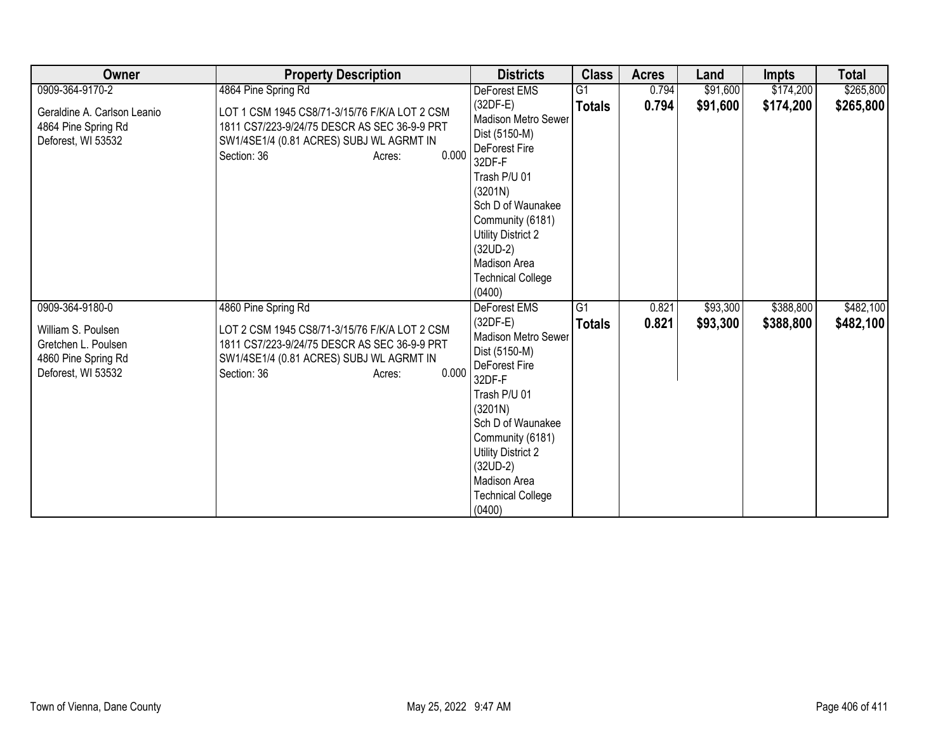| Owner                                                                                                     | <b>Property Description</b>                                                                                                                                                                        | <b>Districts</b>                                                                                                                                                                                                                                                   | <b>Class</b>                     | <b>Acres</b>   | Land                 | <b>Impts</b>           | <b>Total</b>           |
|-----------------------------------------------------------------------------------------------------------|----------------------------------------------------------------------------------------------------------------------------------------------------------------------------------------------------|--------------------------------------------------------------------------------------------------------------------------------------------------------------------------------------------------------------------------------------------------------------------|----------------------------------|----------------|----------------------|------------------------|------------------------|
| 0909-364-9170-2                                                                                           | 4864 Pine Spring Rd                                                                                                                                                                                | DeForest EMS                                                                                                                                                                                                                                                       | G1                               | 0.794          | \$91,600             | \$174,200              | \$265,800              |
| Geraldine A. Carlson Leanio<br>4864 Pine Spring Rd<br>Deforest, WI 53532                                  | LOT 1 CSM 1945 CS8/71-3/15/76 F/K/A LOT 2 CSM<br>1811 CS7/223-9/24/75 DESCR AS SEC 36-9-9 PRT<br>SW1/4SE1/4 (0.81 ACRES) SUBJ WL AGRMT IN<br>0.000<br>Section: 36<br>Acres:                        | (32DF-E)<br><b>Madison Metro Sewer</b><br>Dist (5150-M)<br>DeForest Fire<br>32DF-F<br>Trash P/U 01<br>(3201N)<br>Sch D of Waunakee<br>Community (6181)<br>Utility District 2<br>$(32UD-2)$<br>Madison Area<br><b>Technical College</b><br>(0400)                   | <b>Totals</b>                    | 0.794          | \$91,600             | \$174,200              | \$265,800              |
| 0909-364-9180-0<br>William S. Poulsen<br>Gretchen L. Poulsen<br>4860 Pine Spring Rd<br>Deforest, WI 53532 | 4860 Pine Spring Rd<br>LOT 2 CSM 1945 CS8/71-3/15/76 F/K/A LOT 2 CSM<br>1811 CS7/223-9/24/75 DESCR AS SEC 36-9-9 PRT<br>SW1/4SE1/4 (0.81 ACRES) SUBJ WL AGRMT IN<br>0.000<br>Section: 36<br>Acres: | DeForest EMS<br>$(32DF-E)$<br><b>Madison Metro Sewer</b><br>Dist (5150-M)<br>DeForest Fire<br>32DF-F<br>Trash P/U 01<br>(3201N)<br>Sch D of Waunakee<br>Community (6181)<br>Utility District 2<br>$(32UD-2)$<br>Madison Area<br><b>Technical College</b><br>(0400) | $\overline{G1}$<br><b>Totals</b> | 0.821<br>0.821 | \$93,300<br>\$93,300 | \$388,800<br>\$388,800 | \$482,100<br>\$482,100 |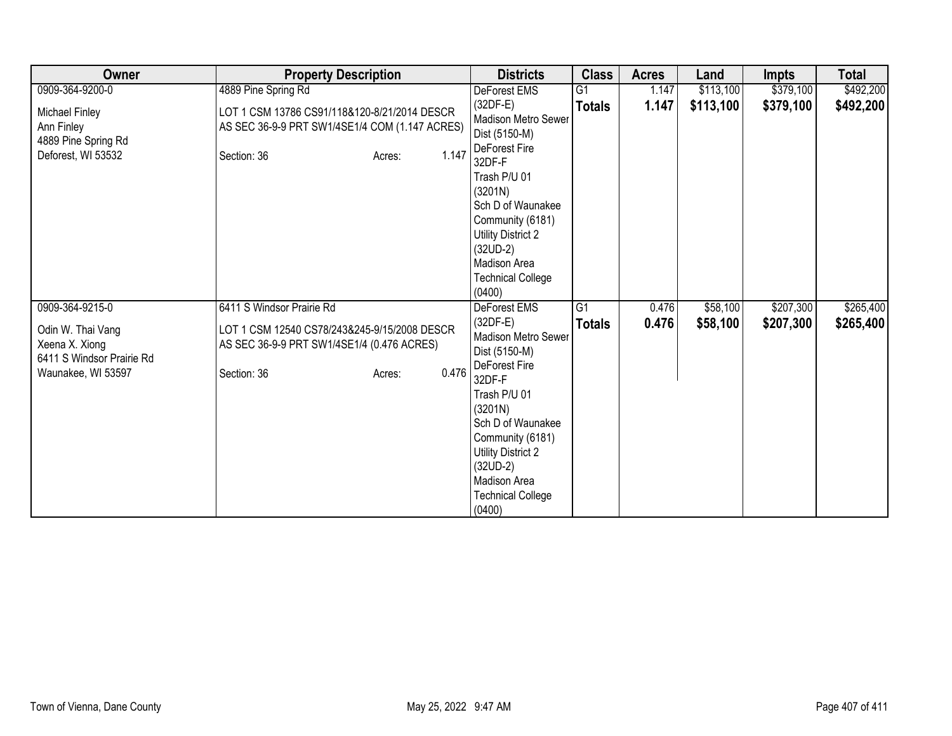| Owner                                                                                                     | <b>Property Description</b>                                                                                                                               | <b>Districts</b>                                                                                                                                                                                                                                                          | <b>Class</b>        | <b>Acres</b>   | Land                 | <b>Impts</b>           | <b>Total</b>           |
|-----------------------------------------------------------------------------------------------------------|-----------------------------------------------------------------------------------------------------------------------------------------------------------|---------------------------------------------------------------------------------------------------------------------------------------------------------------------------------------------------------------------------------------------------------------------------|---------------------|----------------|----------------------|------------------------|------------------------|
| 0909-364-9200-0                                                                                           | 4889 Pine Spring Rd                                                                                                                                       | DeForest EMS                                                                                                                                                                                                                                                              | G <sub>1</sub>      | 1.147          | \$113,100            | \$379,100              | \$492,200              |
| Michael Finley<br>Ann Finley<br>4889 Pine Spring Rd<br>Deforest, WI 53532                                 | LOT 1 CSM 13786 CS91/118&120-8/21/2014 DESCR<br>AS SEC 36-9-9 PRT SW1/4SE1/4 COM (1.147 ACRES)<br>1.147<br>Section: 36<br>Acres:                          | $(32DF-E)$<br>Madison Metro Sewer<br>Dist (5150-M)<br>DeForest Fire<br>32DF-F<br>Trash P/U 01<br>(3201N)<br>Sch D of Waunakee<br>Community (6181)<br><b>Utility District 2</b><br>$(32UD-2)$<br>Madison Area                                                              | <b>Totals</b>       | 1.147          | \$113,100            | \$379,100              | \$492,200              |
|                                                                                                           |                                                                                                                                                           | <b>Technical College</b><br>(0400)                                                                                                                                                                                                                                        |                     |                |                      |                        |                        |
| 0909-364-9215-0<br>Odin W. Thai Vang<br>Xeena X. Xiong<br>6411 S Windsor Prairie Rd<br>Waunakee, WI 53597 | 6411 S Windsor Prairie Rd<br>LOT 1 CSM 12540 CS78/243&245-9/15/2008 DESCR<br>AS SEC 36-9-9 PRT SW1/4SE1/4 (0.476 ACRES)<br>0.476<br>Section: 36<br>Acres: | <b>DeForest EMS</b><br>$(32DF-E)$<br>Madison Metro Sewer<br>Dist (5150-M)<br>DeForest Fire<br>32DF-F<br>Trash P/U 01<br>(3201N)<br>Sch D of Waunakee<br>Community (6181)<br><b>Utility District 2</b><br>$(32UD-2)$<br>Madison Area<br><b>Technical College</b><br>(0400) | G1<br><b>Totals</b> | 0.476<br>0.476 | \$58,100<br>\$58,100 | \$207,300<br>\$207,300 | \$265,400<br>\$265,400 |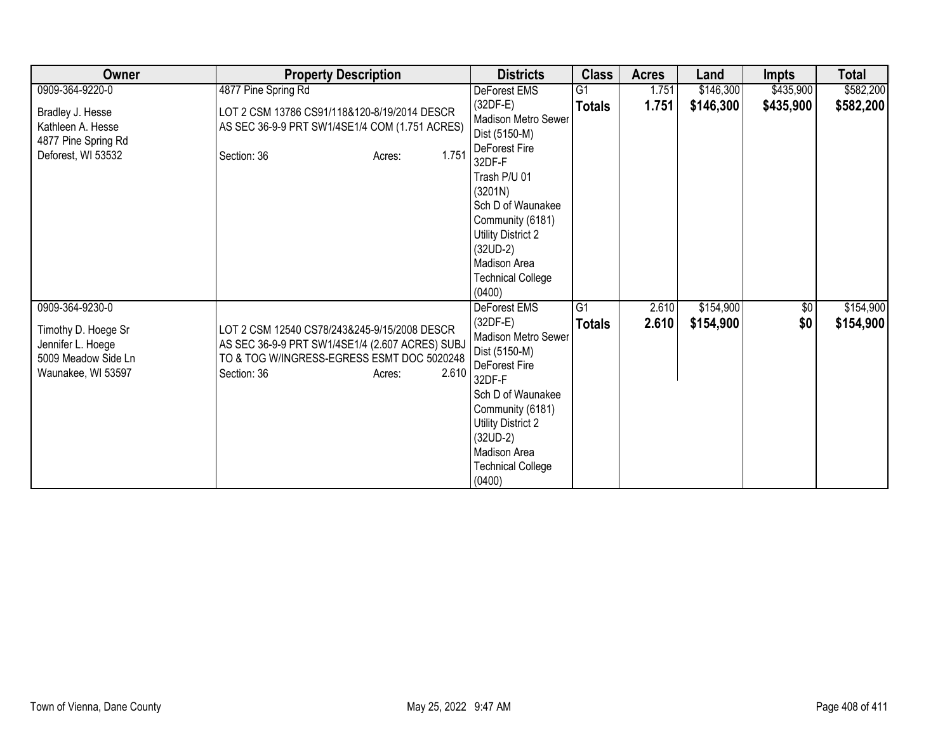| Owner                                                                                                    | <b>Property Description</b>                                                                                                                                                     | <b>Districts</b>                                                                                                                                                                                                                                          | <b>Class</b>        | <b>Acres</b>   | Land                   | <b>Impts</b>      | <b>Total</b>           |
|----------------------------------------------------------------------------------------------------------|---------------------------------------------------------------------------------------------------------------------------------------------------------------------------------|-----------------------------------------------------------------------------------------------------------------------------------------------------------------------------------------------------------------------------------------------------------|---------------------|----------------|------------------------|-------------------|------------------------|
| 0909-364-9220-0                                                                                          | 4877 Pine Spring Rd                                                                                                                                                             | DeForest EMS                                                                                                                                                                                                                                              | G1                  | 1.751          | \$146,300              | \$435,900         | \$582,200              |
| Bradley J. Hesse<br>Kathleen A. Hesse<br>4877 Pine Spring Rd<br>Deforest, WI 53532                       | LOT 2 CSM 13786 CS91/118&120-8/19/2014 DESCR<br>AS SEC 36-9-9 PRT SW1/4SE1/4 COM (1.751 ACRES)<br>1.751<br>Section: 36<br>Acres:                                                | $(32DF-E)$<br><b>Madison Metro Sewer</b><br>Dist (5150-M)<br>DeForest Fire<br>32DF-F<br>Trash P/U 01<br>(3201N)<br>Sch D of Waunakee<br>Community (6181)<br>Utility District 2<br>$(32UD-2)$<br><b>Madison Area</b><br><b>Technical College</b><br>(0400) | <b>Totals</b>       | 1.751          | \$146,300              | \$435,900         | \$582,200              |
| 0909-364-9230-0<br>Timothy D. Hoege Sr<br>Jennifer L. Hoege<br>5009 Meadow Side Ln<br>Waunakee, WI 53597 | LOT 2 CSM 12540 CS78/243&245-9/15/2008 DESCR<br>AS SEC 36-9-9 PRT SW1/4SE1/4 (2.607 ACRES) SUBJ<br>TO & TOG W/INGRESS-EGRESS ESMT DOC 5020248<br>2.610<br>Section: 36<br>Acres: | DeForest EMS<br>$(32DF-E)$<br><b>Madison Metro Sewer</b><br>Dist (5150-M)<br>DeForest Fire<br>32DF-F<br>Sch D of Waunakee<br>Community (6181)<br>Utility District 2<br>$(32UD-2)$<br>Madison Area<br><b>Technical College</b><br>(0400)                   | G1<br><b>Totals</b> | 2.610<br>2.610 | \$154,900<br>\$154,900 | $\sqrt{6}$<br>\$0 | \$154,900<br>\$154,900 |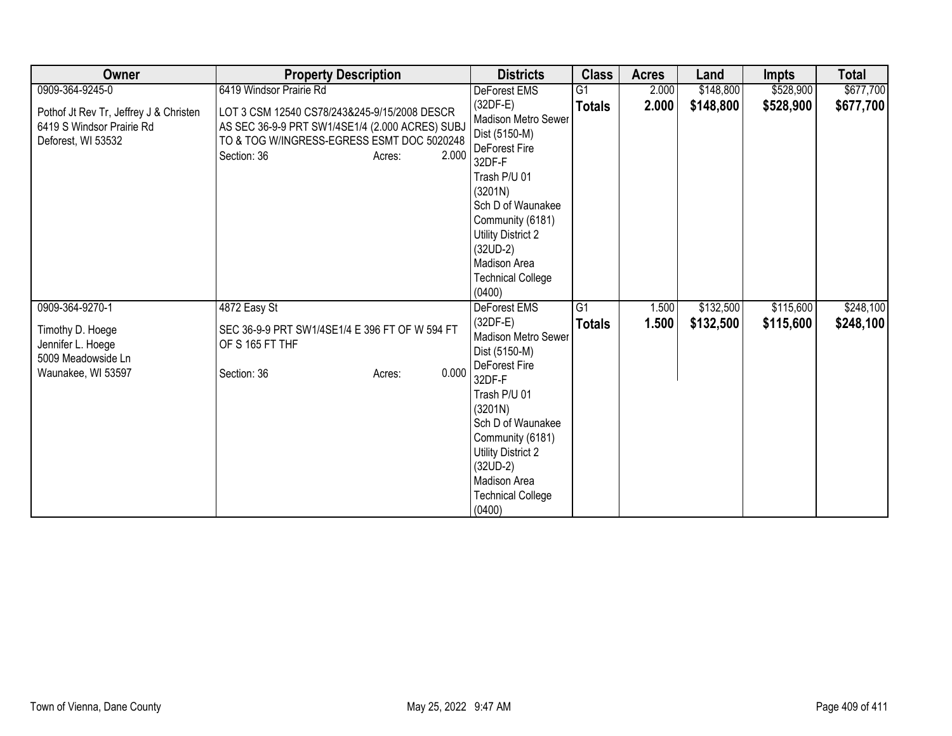| Owner                                                                                                | <b>Property Description</b>                                                                                                                                                     | <b>Districts</b>                                                                                                                                                                                                                                   | <b>Class</b>        | <b>Acres</b>   | Land                   | <b>Impts</b>           | <b>Total</b>           |
|------------------------------------------------------------------------------------------------------|---------------------------------------------------------------------------------------------------------------------------------------------------------------------------------|----------------------------------------------------------------------------------------------------------------------------------------------------------------------------------------------------------------------------------------------------|---------------------|----------------|------------------------|------------------------|------------------------|
| 0909-364-9245-0                                                                                      | 6419 Windsor Prairie Rd                                                                                                                                                         | DeForest EMS                                                                                                                                                                                                                                       | G <sub>1</sub>      | 2.000          | \$148,800              | \$528,900              | \$677,700              |
| Pothof Jt Rev Tr, Jeffrey J & Christen<br>6419 S Windsor Prairie Rd<br>Deforest, WI 53532            | LOT 3 CSM 12540 CS78/243&245-9/15/2008 DESCR<br>AS SEC 36-9-9 PRT SW1/4SE1/4 (2.000 ACRES) SUBJ<br>TO & TOG W/INGRESS-EGRESS ESMT DOC 5020248<br>2.000<br>Section: 36<br>Acres: | $(32DF-E)$<br>Madison Metro Sewer<br>Dist (5150-M)<br>DeForest Fire<br>32DF-F<br>Trash P/U 01<br>(3201N)<br>Sch D of Waunakee<br>Community (6181)<br><b>Utility District 2</b><br>$(32UD-2)$<br>Madison Area<br><b>Technical College</b><br>(0400) | <b>Totals</b>       | 2.000          | \$148,800              | \$528,900              | \$677,700              |
| 0909-364-9270-1<br>Timothy D. Hoege<br>Jennifer L. Hoege<br>5009 Meadowside Ln<br>Waunakee, WI 53597 | 4872 Easy St<br>SEC 36-9-9 PRT SW1/4SE1/4 E 396 FT OF W 594 FT<br>OF S 165 FT THF<br>0.000<br>Section: 36<br>Acres:                                                             | <b>DeForest EMS</b><br>$(32DF-E)$<br>Madison Metro Sewer<br>Dist (5150-M)<br>DeForest Fire<br>32DF-F<br>Trash P/U 01<br>(3201N)                                                                                                                    | G1<br><b>Totals</b> | 1.500<br>1.500 | \$132,500<br>\$132,500 | \$115,600<br>\$115,600 | \$248,100<br>\$248,100 |
|                                                                                                      |                                                                                                                                                                                 | Sch D of Waunakee<br>Community (6181)<br><b>Utility District 2</b><br>$(32UD-2)$<br>Madison Area<br><b>Technical College</b><br>(0400)                                                                                                             |                     |                |                        |                        |                        |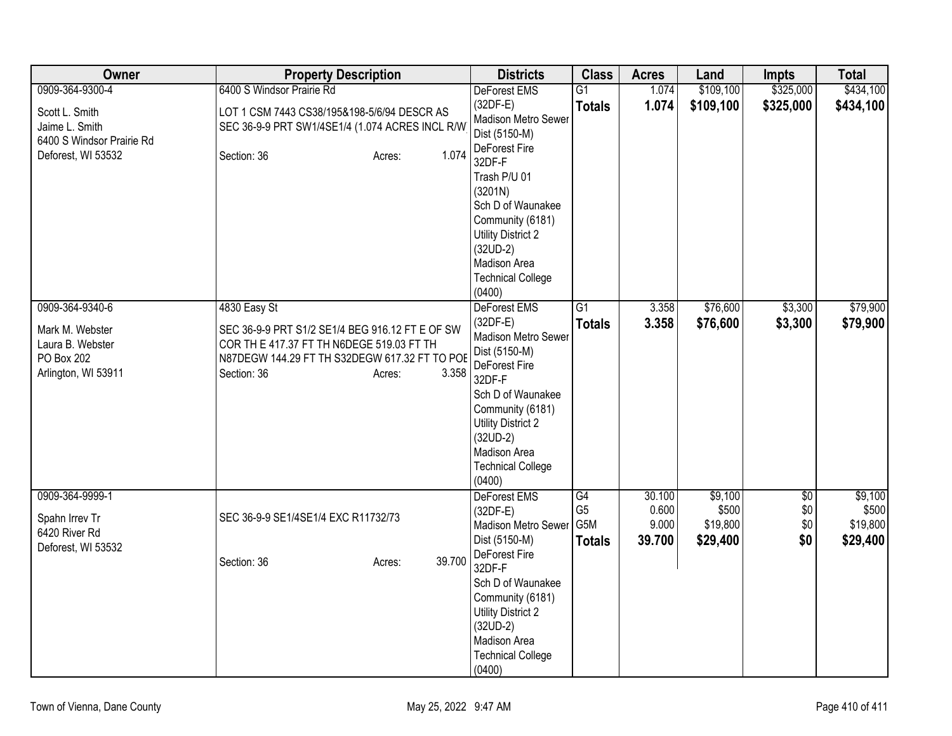| Owner                                                                                       | <b>Property Description</b>                                                                                                                                                                     | <b>Districts</b>                                                                                                                                                                                                                        | <b>Class</b>                                 | <b>Acres</b>                       | Land                                     | <b>Impts</b>                         | <b>Total</b>                             |
|---------------------------------------------------------------------------------------------|-------------------------------------------------------------------------------------------------------------------------------------------------------------------------------------------------|-----------------------------------------------------------------------------------------------------------------------------------------------------------------------------------------------------------------------------------------|----------------------------------------------|------------------------------------|------------------------------------------|--------------------------------------|------------------------------------------|
| 0909-364-9300-4                                                                             | 6400 S Windsor Prairie Rd                                                                                                                                                                       | <b>DeForest EMS</b>                                                                                                                                                                                                                     | G1                                           | 1.074                              | \$109,100                                | \$325,000                            | \$434,100                                |
| Scott L. Smith<br>Jaime L. Smith<br>6400 S Windsor Prairie Rd                               | LOT 1 CSM 7443 CS38/195&198-5/6/94 DESCR AS<br>SEC 36-9-9 PRT SW1/4SE1/4 (1.074 ACRES INCL R/W                                                                                                  | $(32DF-E)$<br>Madison Metro Sewer<br>Dist (5150-M)<br>DeForest Fire                                                                                                                                                                     | <b>Totals</b>                                | 1.074                              | \$109,100                                | \$325,000                            | \$434,100                                |
| Deforest, WI 53532                                                                          | 1.074<br>Section: 36<br>Acres:                                                                                                                                                                  | 32DF-F<br>Trash P/U 01<br>(3201N)<br>Sch D of Waunakee<br>Community (6181)<br><b>Utility District 2</b><br>$(32UD-2)$<br>Madison Area<br><b>Technical College</b><br>(0400)                                                             |                                              |                                    |                                          |                                      |                                          |
| 0909-364-9340-6<br>Mark M. Webster<br>Laura B. Webster<br>PO Box 202<br>Arlington, WI 53911 | 4830 Easy St<br>SEC 36-9-9 PRT S1/2 SE1/4 BEG 916.12 FT E OF SW<br>COR TH E 417.37 FT TH N6DEGE 519.03 FT TH<br>N87DEGW 144.29 FT TH S32DEGW 617.32 FT TO POE<br>3.358<br>Section: 36<br>Acres: | DeForest EMS<br>$(32DF-E)$<br>Madison Metro Sewer<br>Dist (5150-M)<br>DeForest Fire<br>32DF-F<br>Sch D of Waunakee<br>Community (6181)<br><b>Utility District 2</b><br>$(32UD-2)$<br>Madison Area<br><b>Technical College</b><br>(0400) | $\overline{G1}$<br><b>Totals</b>             | 3.358<br>3.358                     | \$76,600<br>\$76,600                     | \$3,300<br>\$3,300                   | \$79,900<br>\$79,900                     |
| 0909-364-9999-1<br>Spahn Irrev Tr<br>6420 River Rd<br>Deforest, WI 53532                    | SEC 36-9-9 SE1/4SE1/4 EXC R11732/73                                                                                                                                                             | DeForest EMS<br>$(32DF-E)$<br>Madison Metro Sewer<br>Dist (5150-M)<br>DeForest Fire                                                                                                                                                     | G4<br>G <sub>5</sub><br>G5M<br><b>Totals</b> | 30.100<br>0.600<br>9.000<br>39.700 | \$9,100<br>\$500<br>\$19,800<br>\$29,400 | $\overline{50}$<br>\$0<br>\$0<br>\$0 | \$9,100<br>\$500<br>\$19,800<br>\$29,400 |
|                                                                                             | 39.700<br>Section: 36<br>Acres:                                                                                                                                                                 | 32DF-F<br>Sch D of Waunakee<br>Community (6181)<br><b>Utility District 2</b><br>$(32UD-2)$<br>Madison Area<br><b>Technical College</b><br>(0400)                                                                                        |                                              |                                    |                                          |                                      |                                          |